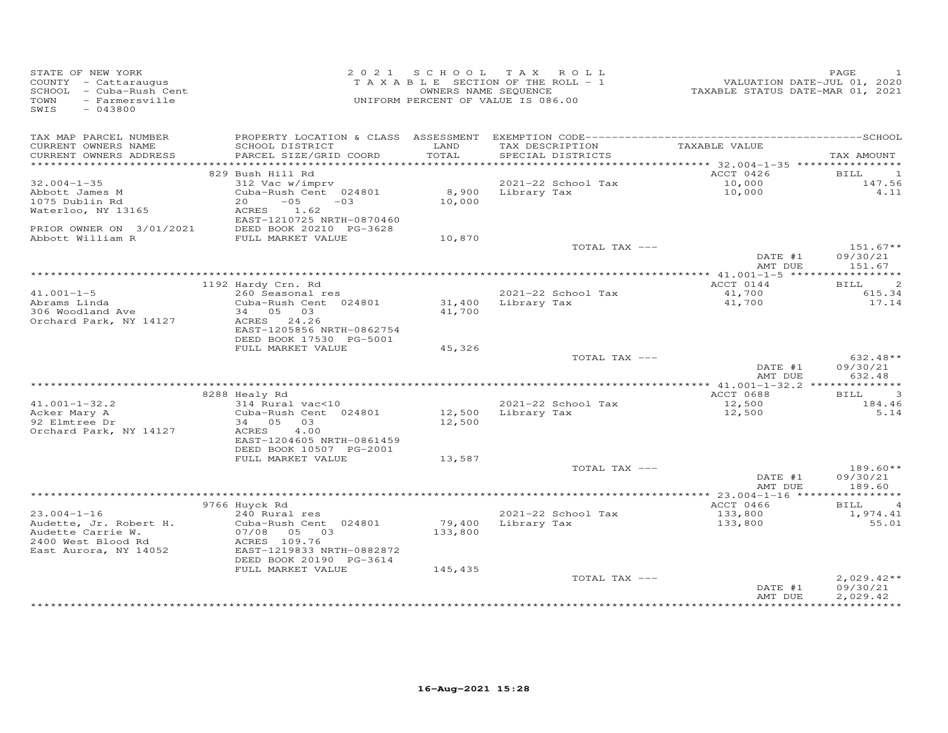| STATE OF NEW YORK<br>COUNTY - Cattaraugus<br>SCHOOL - Cuba-Rush Cent<br>TOWN<br>- Farmersville |                                                                                                                                                    | 2021 SCHOOL      | T A X<br>ROLL<br>TAXABLE SECTION OF THE ROLL - 1<br>OWNERS NAME SEQUENCE<br>UNIFORM PERCENT OF VALUE IS 086.00 | VALUATION DATE-JUL 01, 2020<br>TAXABLE STATUS DATE-MAR 01, 2021 | PAGE<br>1                                   |
|------------------------------------------------------------------------------------------------|----------------------------------------------------------------------------------------------------------------------------------------------------|------------------|----------------------------------------------------------------------------------------------------------------|-----------------------------------------------------------------|---------------------------------------------|
| SWIS<br>$-043800$                                                                              |                                                                                                                                                    |                  |                                                                                                                |                                                                 |                                             |
| TAX MAP PARCEL NUMBER<br>CURRENT OWNERS NAME<br>CURRENT OWNERS ADDRESS                         | SCHOOL DISTRICT<br>PARCEL SIZE/GRID COORD                                                                                                          | LAND<br>TOTAL    | TAX DESCRIPTION<br>SPECIAL DISTRICTS                                                                           | TAXABLE VALUE                                                   | TAX AMOUNT                                  |
|                                                                                                |                                                                                                                                                    |                  |                                                                                                                |                                                                 |                                             |
| $32.004 - 1 - 35$<br>Abbott James M<br>1075 Dublin Rd<br>Waterloo, NY 13165                    | 829 Bush Hill Rd<br>312 Vac w/imprv<br>Cuba-Rush Cent 024801<br>$-0.5$<br>20<br>$-03$<br>ACRES<br>1.62                                             | 8,900<br>10,000  | 2021-22 School Tax<br>Library Tax                                                                              | ACCT 0426<br>10,000<br>10,000                                   | $\mathbf{1}$<br>BILL<br>147.56<br>4.11      |
| PRIOR OWNER ON 3/01/2021<br>Abbott William R                                                   | EAST-1210725 NRTH-0870460<br>DEED BOOK 20210 PG-3628<br>FULL MARKET VALUE                                                                          | 10,870           |                                                                                                                |                                                                 |                                             |
|                                                                                                |                                                                                                                                                    |                  | TOTAL TAX ---                                                                                                  | DATE #1<br>AMT DUE                                              | $151.67**$<br>09/30/21<br>151.67            |
|                                                                                                |                                                                                                                                                    |                  |                                                                                                                |                                                                 |                                             |
| $41.001 - 1 - 5$<br>Abrams Linda<br>306 Woodland Ave<br>Orchard Park, NY 14127                 | 1192 Hardy Crn. Rd<br>260 Seasonal res<br>Cuba-Rush Cent 024801<br>34 05 03<br>ACRES 24.26<br>EAST-1205856 NRTH-0862754<br>DEED BOOK 17530 PG-5001 | 41,700           | 2021-22 School Tax<br>31,400 Library Tax                                                                       | ACCT 0144<br>41,700<br>41,700                                   | $\overline{c}$<br>BILL<br>615.34<br>17.14   |
|                                                                                                | FULL MARKET VALUE                                                                                                                                  | 45,326           |                                                                                                                |                                                                 |                                             |
|                                                                                                |                                                                                                                                                    |                  | TOTAL TAX ---                                                                                                  | DATE #1<br>AMT DUE                                              | 632.48**<br>09/30/21<br>632.48              |
|                                                                                                |                                                                                                                                                    |                  |                                                                                                                |                                                                 | $\overline{3}$                              |
| $41.001 - 1 - 32.2$<br>Acker Mary A<br>92 Elmtree Dr<br>Orchard Park, NY 14127                 | 8288 Healy Rd<br>314 Rural vac<10<br>Cuba-Rush Cent 024801<br>03<br>34 05<br>4.00<br>ACRES<br>EAST-1204605 NRTH-0861459<br>DEED BOOK 10507 PG-2001 | 12,500<br>12,500 | 2021-22 School Tax<br>Library Tax                                                                              | ACCT 0688<br>12,500<br>12,500                                   | BILL<br>184.46<br>5.14                      |
|                                                                                                | FULL MARKET VALUE                                                                                                                                  | 13,587           | TOTAL TAX ---                                                                                                  |                                                                 | $189.60**$                                  |
|                                                                                                |                                                                                                                                                    |                  |                                                                                                                | DATE #1<br>AMT DUE                                              | 09/30/21<br>189.60                          |
|                                                                                                |                                                                                                                                                    |                  |                                                                                                                |                                                                 |                                             |
| $23.004 - 1 - 16$<br>Audette, Jr. Robert H.                                                    | 9766 Huyck Rd<br>240 Rural res<br>Cuba-Rush Cent 024801                                                                                            | 79,400           | 2021-22 School Tax<br>Library Tax                                                                              | ACCT 0466<br>133,800<br>133,800                                 | $\overline{4}$<br>BILL<br>1,974.41<br>55.01 |
| Audette Carrie W.<br>2400 West Blood Rd<br>East Aurora, NY 14052                               | 07/08<br>05 03<br>ACRES 109.76<br>EAST-1219833 NRTH-0882872<br>DEED BOOK 20190 PG-3614                                                             | 133,800          |                                                                                                                |                                                                 |                                             |
|                                                                                                | FULL MARKET VALUE                                                                                                                                  | 145,435          | TOTAL TAX ---                                                                                                  |                                                                 | $2,029.42**$                                |
|                                                                                                |                                                                                                                                                    |                  |                                                                                                                | DATE #1<br>AMT DUE                                              | 09/30/21<br>2,029.42<br>***********         |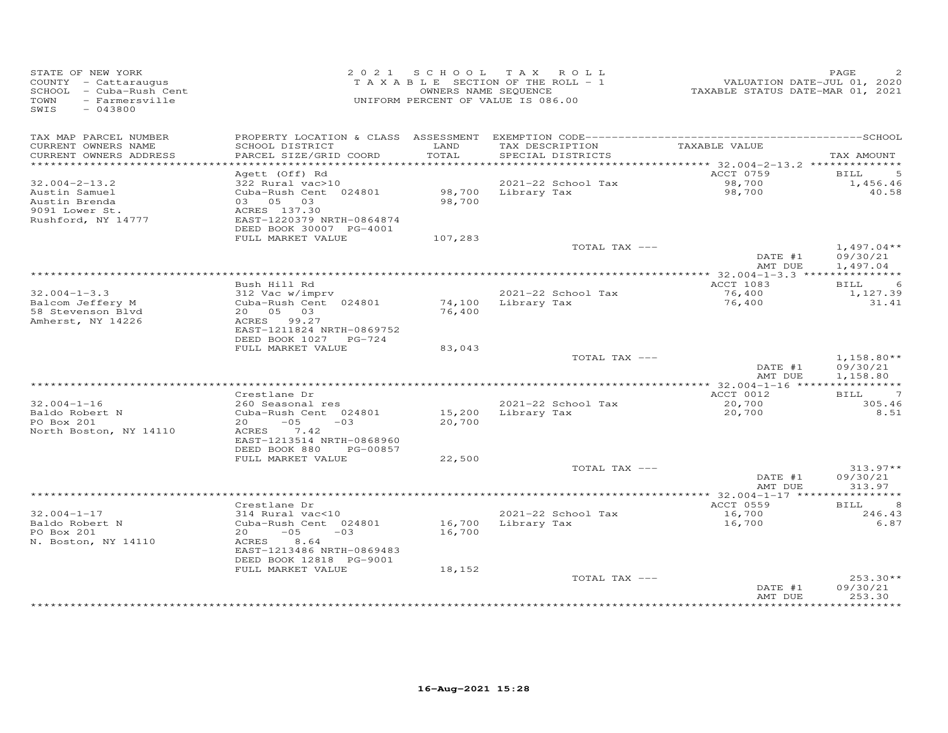| STATE OF NEW YORK<br>COUNTY - Cattaraugus<br>SCHOOL - Cuba-Rush Cent<br>TOWN<br>- Farmersville<br>SWIS<br>$-043800$ |                                                                                                                                          |                  | 2021 SCHOOL TAX ROLL<br>TAXABLE SECTION OF THE ROLL - 1<br>OWNERS NAME SEQUENCE<br>UNIFORM PERCENT OF VALUE IS 086.00 | -------<br>2020 - VALUATION DATE-JUL 01, 2020<br>2021 - TAXABLE STATUS DATE-MAR | PAGE                                 |
|---------------------------------------------------------------------------------------------------------------------|------------------------------------------------------------------------------------------------------------------------------------------|------------------|-----------------------------------------------------------------------------------------------------------------------|---------------------------------------------------------------------------------|--------------------------------------|
| TAX MAP PARCEL NUMBER<br>CURRENT OWNERS NAME<br>CURRENT OWNERS ADDRESS                                              | SCHOOL DISTRICT<br>PARCEL SIZE/GRID COORD                                                                                                | LAND<br>TOTAL    | TAX DESCRIPTION<br>SPECIAL DISTRICTS                                                                                  | TAXABLE VALUE                                                                   | TAX AMOUNT                           |
| *************************                                                                                           |                                                                                                                                          |                  |                                                                                                                       |                                                                                 |                                      |
|                                                                                                                     | Agett (Off) Rd                                                                                                                           |                  |                                                                                                                       | ACCT 0759                                                                       | $\overline{5}$<br>BILL               |
| $32.004 - 2 - 13.2$                                                                                                 | 322 Rural vac>10                                                                                                                         |                  | 2021-22 School Tax                                                                                                    | 98,700<br>98,700                                                                | 1,456.46                             |
| Austin Samuel<br>Austin Brenda<br>9091 Lower St.<br>Rushford, NY 14777                                              | Cuba-Rush Cent 024801<br>03 05 03<br>ACRES 137.30<br>EAST-1220379 NRTH-0864874<br>DEED BOOK 30007 PG-4001                                | 98,700           | 98,700 Library Tax                                                                                                    |                                                                                 | 40.58                                |
|                                                                                                                     | FULL MARKET VALUE                                                                                                                        | 107,283          |                                                                                                                       |                                                                                 |                                      |
|                                                                                                                     |                                                                                                                                          |                  | TOTAL TAX ---                                                                                                         | DATE #1<br>AMT DUE                                                              | $1,497.04**$<br>09/30/21<br>1,497.04 |
|                                                                                                                     |                                                                                                                                          |                  |                                                                                                                       |                                                                                 |                                      |
|                                                                                                                     | Bush Hill Rd                                                                                                                             |                  |                                                                                                                       | ACCT 1083                                                                       | <b>BILL</b><br>-6                    |
| $32.004 - 1 - 3.3$<br>Balcom Jeffery M<br>58 Stevenson Blvd<br>Amherst, NY 14226                                    | 312 Vac w/imprv<br>Cuba-Rush Cent 024801<br>20 05 03<br>ACRES 99.27<br>EAST-1211824 NRTH-0869752<br>DEED BOOK 1027 PG-724                | 76,400           | 2021-22 School Tax<br>74,100 Library Tax                                                                              | 76,400<br>76,400                                                                | 1,127.39<br>31.41                    |
|                                                                                                                     | FULL MARKET VALUE                                                                                                                        | 83,043           |                                                                                                                       |                                                                                 |                                      |
|                                                                                                                     |                                                                                                                                          |                  | TOTAL TAX ---                                                                                                         | DATE #1<br>AMT DUE                                                              | $1,158.80**$<br>09/30/21<br>1,158.80 |
|                                                                                                                     |                                                                                                                                          |                  |                                                                                                                       |                                                                                 |                                      |
| $32.004 - 1 - 16$<br>Baldo Robert N<br>PO Box 201<br>North Boston, NY 14110                                         | Crestlane Dr<br>260 Seasonal res<br>Cuba-Rush Cent 024801<br>$20 -05 -03$<br>ACRES 7.42                                                  | 15,200<br>20,700 | 2021-22 School Tax<br>Library Tax                                                                                     | ACCT 0012<br>20,700<br>20,700                                                   | BILL 7<br>305.46<br>8.51             |
|                                                                                                                     | EAST-1213514 NRTH-0868960<br>DEED BOOK 880 PG-00857                                                                                      |                  |                                                                                                                       |                                                                                 |                                      |
|                                                                                                                     | FULL MARKET VALUE                                                                                                                        | 22,500           |                                                                                                                       |                                                                                 |                                      |
|                                                                                                                     |                                                                                                                                          |                  | TOTAL TAX ---                                                                                                         | DATE #1<br>AMT DUE                                                              | $313.97**$<br>09/30/21<br>313.97     |
|                                                                                                                     |                                                                                                                                          |                  |                                                                                                                       | ****************** 32.004-1-17 *****************                                |                                      |
|                                                                                                                     | Crestlane Dr                                                                                                                             |                  |                                                                                                                       | ACCT 0559                                                                       | <b>BILL</b><br>8                     |
| $32.004 - 1 - 17$<br>Baldo Robert N<br>PO Box 201<br>N. Boston, NY 14110                                            | 314 Rural vac<10<br>Cuba-Rush Cent 024801<br>$20 - 05$<br>$-03$<br>8.64<br>ACRES<br>EAST-1213486 NRTH-0869483<br>DEED BOOK 12818 PG-9001 | 16,700           | 2021-22 School Tax<br>16,700 Library Tax                                                                              | 16,700<br>16,700                                                                | 246.43<br>6.87                       |
|                                                                                                                     | FULL MARKET VALUE                                                                                                                        | 18,152           | TOTAL TAX ---                                                                                                         | DATE #1<br>AMT DUE                                                              | $253.30**$<br>09/30/21<br>253.30     |
|                                                                                                                     |                                                                                                                                          |                  |                                                                                                                       |                                                                                 |                                      |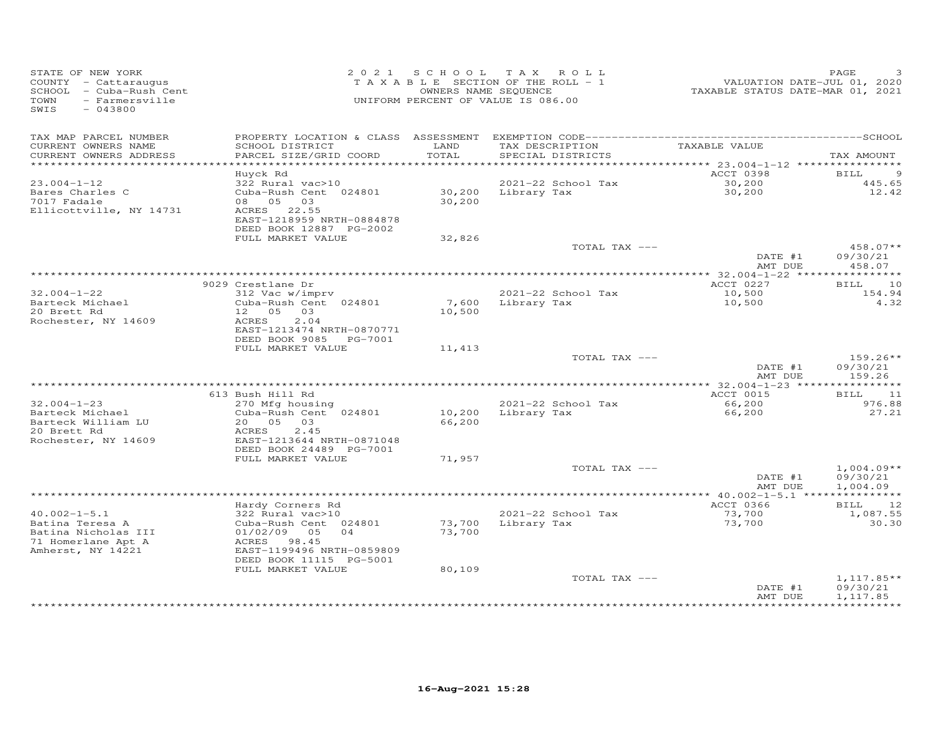| STATE OF NEW YORK<br>COUNTY - Cattaraugus<br>SCHOOL - Cuba-Rush Cent<br>- Farmersville<br>TOWN<br>SWIS<br>$-043800$ |                                              | 2021 SCHOOL   | TAX ROLL<br>TAXABLE SECTION OF THE ROLL - 1<br>OWNERS NAME SEQUENCE<br>UNIFORM PERCENT OF VALUE IS 086.00 | VALUATION DATE-JUL 01, 2020<br>TAXABLE STATUS DATE-MAR 01, 2021 | PAGE                   |
|---------------------------------------------------------------------------------------------------------------------|----------------------------------------------|---------------|-----------------------------------------------------------------------------------------------------------|-----------------------------------------------------------------|------------------------|
| TAX MAP PARCEL NUMBER                                                                                               |                                              |               |                                                                                                           |                                                                 |                        |
| CURRENT OWNERS NAME<br>CURRENT OWNERS ADDRESS                                                                       | SCHOOL DISTRICT<br>PARCEL SIZE/GRID COORD    | LAND<br>TOTAL | TAX DESCRIPTION<br>SPECIAL DISTRICTS                                                                      | TAXABLE VALUE                                                   | TAX AMOUNT             |
| ***********************                                                                                             |                                              |               |                                                                                                           |                                                                 |                        |
|                                                                                                                     | Huyck Rd                                     |               |                                                                                                           | ACCT 0398                                                       | 9<br>BILL              |
| $23.004 - 1 - 12$                                                                                                   | 322 Rural vac>10                             |               | 2021-22 School Tax                                                                                        | 30, 200                                                         | 445.65                 |
| Bares Charles C                                                                                                     | Cuba-Rush Cent 024801                        |               | 30,200 Library Tax                                                                                        | 30,200                                                          | 12.42                  |
| 7017 Fadale                                                                                                         | 08 05 03                                     | 30,200        |                                                                                                           |                                                                 |                        |
| Ellicottville, NY 14731                                                                                             | ACRES 22.55<br>EAST-1218959 NRTH-0884878     |               |                                                                                                           |                                                                 |                        |
|                                                                                                                     | DEED BOOK 12887 PG-2002                      |               |                                                                                                           |                                                                 |                        |
|                                                                                                                     | FULL MARKET VALUE                            | 32,826        |                                                                                                           |                                                                 |                        |
|                                                                                                                     |                                              |               | TOTAL TAX ---                                                                                             |                                                                 | $458.07**$             |
|                                                                                                                     |                                              |               |                                                                                                           | DATE #1                                                         | 09/30/21               |
|                                                                                                                     |                                              |               |                                                                                                           | AMT DUE                                                         | 458.07                 |
|                                                                                                                     | 9029 Crestlane Dr                            |               |                                                                                                           | *************** 32.004-1-22 *****************<br>ACCT 0227      | 10<br>BILL             |
| $32.004 - 1 - 22$                                                                                                   | 312 Vac w/imprv                              |               | 2021-22 School Tax                                                                                        | 10,500                                                          | 154.94                 |
| Barteck Michael                                                                                                     | Cuba-Rush Cent 024801                        |               | 7,600 Library Tax                                                                                         | 10,500                                                          | 4.32                   |
| 20 Brett Rd                                                                                                         | 12  05  03                                   | 10,500        |                                                                                                           |                                                                 |                        |
| Rochester, NY 14609                                                                                                 | ACRES<br>2.04<br>EAST-1213474 NRTH-0870771   |               |                                                                                                           |                                                                 |                        |
|                                                                                                                     | DEED BOOK 9085 PG-7001                       |               |                                                                                                           |                                                                 |                        |
|                                                                                                                     | FULL MARKET VALUE                            | 11,413        |                                                                                                           |                                                                 |                        |
|                                                                                                                     |                                              |               | TOTAL TAX ---                                                                                             |                                                                 | $159.26**$             |
|                                                                                                                     |                                              |               |                                                                                                           | DATE #1                                                         | 09/30/21               |
|                                                                                                                     |                                              |               |                                                                                                           | AMT DUE                                                         | 159.26                 |
|                                                                                                                     | 613 Bush Hill Rd                             |               |                                                                                                           | ACCT 0015                                                       | 11<br>BILL             |
| $32.004 - 1 - 23$                                                                                                   | 270 Mfg housing                              |               | 2021-22 School Tax                                                                                        | 66,200                                                          | 976.88                 |
| Barteck Michael                                                                                                     | Cuba-Rush Cent 024801                        | 10,200        | Library Tax                                                                                               | 66,200                                                          | 27.21                  |
| Barteck William LU                                                                                                  | 20  05  03                                   | 66,200        |                                                                                                           |                                                                 |                        |
| 20 Brett Rd                                                                                                         | ACRES<br>2.45                                |               |                                                                                                           |                                                                 |                        |
| Rochester, NY 14609                                                                                                 | EAST-1213644 NRTH-0871048                    |               |                                                                                                           |                                                                 |                        |
|                                                                                                                     | DEED BOOK 24489 PG-7001<br>FULL MARKET VALUE | 71,957        |                                                                                                           |                                                                 |                        |
|                                                                                                                     |                                              |               | TOTAL TAX ---                                                                                             |                                                                 | $1,004.09**$           |
|                                                                                                                     |                                              |               |                                                                                                           | DATE #1                                                         | 09/30/21               |
|                                                                                                                     |                                              |               |                                                                                                           | AMT DUE                                                         | 1,004.09               |
|                                                                                                                     |                                              |               |                                                                                                           |                                                                 |                        |
| $40.002 - 1 - 5.1$                                                                                                  | Hardy Corners Rd<br>322 Rural vac>10         |               | 2021-22 School Tax                                                                                        | ACCT 0366<br>73,700                                             | 12<br>BILL<br>1,087.55 |
| Batina Teresa A                                                                                                     | Cuba-Rush Cent 024801                        | 73,700        | Library Tax                                                                                               | 73,700                                                          | 30.30                  |
| Batina Nicholas III                                                                                                 | 01/02/09<br>05<br>04                         | 73,700        |                                                                                                           |                                                                 |                        |
| 71 Homerlane Apt A                                                                                                  | ACRES 98.45                                  |               |                                                                                                           |                                                                 |                        |
| Amherst, NY 14221                                                                                                   | EAST-1199496 NRTH-0859809                    |               |                                                                                                           |                                                                 |                        |
|                                                                                                                     | DEED BOOK 11115 PG-5001                      |               |                                                                                                           |                                                                 |                        |
|                                                                                                                     | FULL MARKET VALUE                            | 80,109        | TOTAL TAX ---                                                                                             |                                                                 | $1,117.85**$           |
|                                                                                                                     |                                              |               |                                                                                                           | DATE #1                                                         | 09/30/21               |
|                                                                                                                     |                                              |               |                                                                                                           | AMT DUE                                                         | 1,117.85               |
|                                                                                                                     |                                              |               |                                                                                                           | * * * * * * * * * * * * * * * * * *                             | ***********            |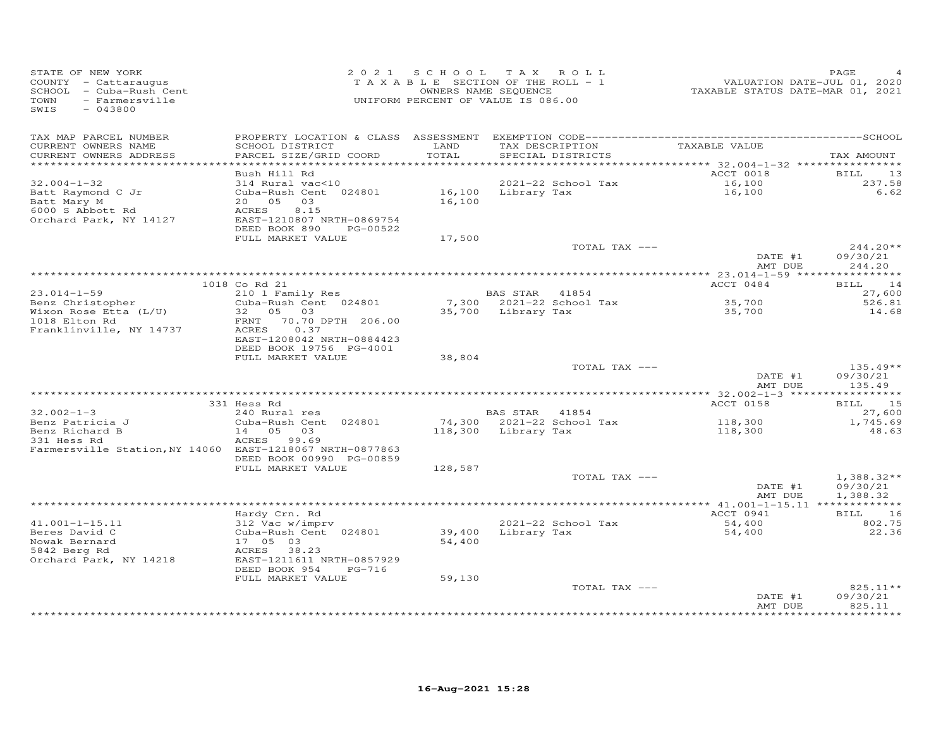| STATE OF NEW YORK<br>COUNTY - Cattaraugus<br>SCHOOL - Cuba-Rush Cent<br>TOWN<br>- Farmersville<br>SWIS<br>$-043800$ |                                                                                                                                     |                  | 2021 SCHOOL TAX ROLL<br>TAXABLE SECTION OF THE ROLL - 1<br>OWNERS NAME SEQUENCE<br>UNIFORM PERCENT OF VALUE IS 086.00 | VALUATION DATE-JUL 01, 2020<br>TAXABLE STATUS DATE-MAR 01, 2021 | PAGE                                 |
|---------------------------------------------------------------------------------------------------------------------|-------------------------------------------------------------------------------------------------------------------------------------|------------------|-----------------------------------------------------------------------------------------------------------------------|-----------------------------------------------------------------|--------------------------------------|
| TAX MAP PARCEL NUMBER<br>CURRENT OWNERS NAME<br>CURRENT OWNERS ADDRESS                                              | SCHOOL DISTRICT<br>PARCEL SIZE/GRID COORD                                                                                           | LAND<br>TOTAL    | TAX DESCRIPTION<br>SPECIAL DISTRICTS                                                                                  | TAXABLE VALUE                                                   | TAX AMOUNT                           |
| *************************                                                                                           | Bush Hill Rd                                                                                                                        |                  |                                                                                                                       | ACCT 0018                                                       | <b>BILL</b><br>13                    |
| $32.004 - 1 - 32$<br>Batt Raymond C Jr<br>Batt Mary M<br>6000 S Abbott Rd<br>Orchard Park, NY 14127                 | 314 Rural vac<10<br>Cuba-Rush Cent 024801<br>20 05<br>03<br>8.15<br>ACRES<br>EAST-1210807 NRTH-0869754<br>DEED BOOK 890<br>PG-00522 | 16,100           | 2021-22 School Tax<br>16,100 Library Tax                                                                              | 16,100<br>16,100                                                | 237.58<br>6.62                       |
|                                                                                                                     | FULL MARKET VALUE                                                                                                                   | 17,500           |                                                                                                                       |                                                                 |                                      |
|                                                                                                                     |                                                                                                                                     |                  | TOTAL TAX ---                                                                                                         | DATE #1<br>AMT DUE                                              | $244.20**$<br>09/30/21<br>244.20     |
|                                                                                                                     |                                                                                                                                     |                  |                                                                                                                       |                                                                 |                                      |
| $23.014 - 1 - 59$                                                                                                   | 1018 Co Rd 21<br>210 1 Family Res                                                                                                   |                  | BAS STAR 41854                                                                                                        | ACCT 0484                                                       | 14<br>BILL<br>27,600                 |
| Benz Christopher                                                                                                    | Cuba-Rush Cent 024801                                                                                                               |                  | 7,300 2021-22 School Tax                                                                                              | 35,700                                                          | 526.81                               |
| Wixon Rose Etta (L/U)<br>1018 Elton Rd<br>Franklinville, NY 14737                                                   | 32  05  03<br>70.70 DPTH 206.00<br>FRNT<br>0.37<br>ACRES<br>EAST-1208042 NRTH-0884423<br>DEED BOOK 19756 PG-4001                    |                  | 35,700 Library Tax                                                                                                    | 35,700                                                          | 14.68                                |
|                                                                                                                     | FULL MARKET VALUE                                                                                                                   | 38,804           |                                                                                                                       |                                                                 |                                      |
|                                                                                                                     |                                                                                                                                     |                  | TOTAL TAX ---                                                                                                         | DATE #1<br>AMT DUE                                              | $135.49**$<br>09/30/21<br>135.49     |
|                                                                                                                     |                                                                                                                                     |                  |                                                                                                                       |                                                                 |                                      |
| $32.002 - 1 - 3$                                                                                                    | 331 Hess Rd<br>240 Rural res                                                                                                        |                  | BAS STAR 41854                                                                                                        | ACCT 0158                                                       | BILL 15<br>27,600                    |
| Benz Patricia J<br>Benz Richard B<br>331 Hess Rd<br>Farmersville Station, NY 14060 EAST-1218067 NRTH-0877863        | Cuba-Rush Cent 024801<br>14 05 03<br>ACRES 99.69<br>DEED BOOK 00990 PG-00859                                                        |                  | 74,300 2021-22 School Tax<br>118,300 Library Tax                                                                      | 118,300<br>118,300                                              | 1,745.69<br>48.63                    |
|                                                                                                                     | FULL MARKET VALUE                                                                                                                   | 128,587          |                                                                                                                       |                                                                 |                                      |
|                                                                                                                     |                                                                                                                                     |                  | TOTAL TAX ---                                                                                                         | DATE #1<br>AMT DUE                                              | $1,388.32**$<br>09/30/21<br>1,388.32 |
|                                                                                                                     |                                                                                                                                     |                  |                                                                                                                       |                                                                 |                                      |
| $41.001 - 1 - 15.11$<br>Beres David C<br>Nowak Bernard<br>5842 Berg Rd                                              | Hardy Crn. Rd<br>312 Vac w/imprv<br>Cuba-Rush Cent 024801<br>17 05 03<br>ACRES 38.23                                                | 39,400<br>54,400 | 2021-22 School Tax<br>Library Tax                                                                                     | ACCT 0941<br>54,400<br>54,400                                   | BILL 16<br>802.75<br>22.36           |
| Orchard Park, NY 14218                                                                                              | EAST-1211611 NRTH-0857929<br>DEED BOOK 954<br>$PG-716$                                                                              |                  |                                                                                                                       |                                                                 |                                      |
|                                                                                                                     | FULL MARKET VALUE                                                                                                                   | 59,130           | TOTAL TAX ---                                                                                                         |                                                                 | 825.11**                             |
|                                                                                                                     |                                                                                                                                     |                  |                                                                                                                       | DATE #1<br>AMT DUE                                              | 09/30/21<br>825.11                   |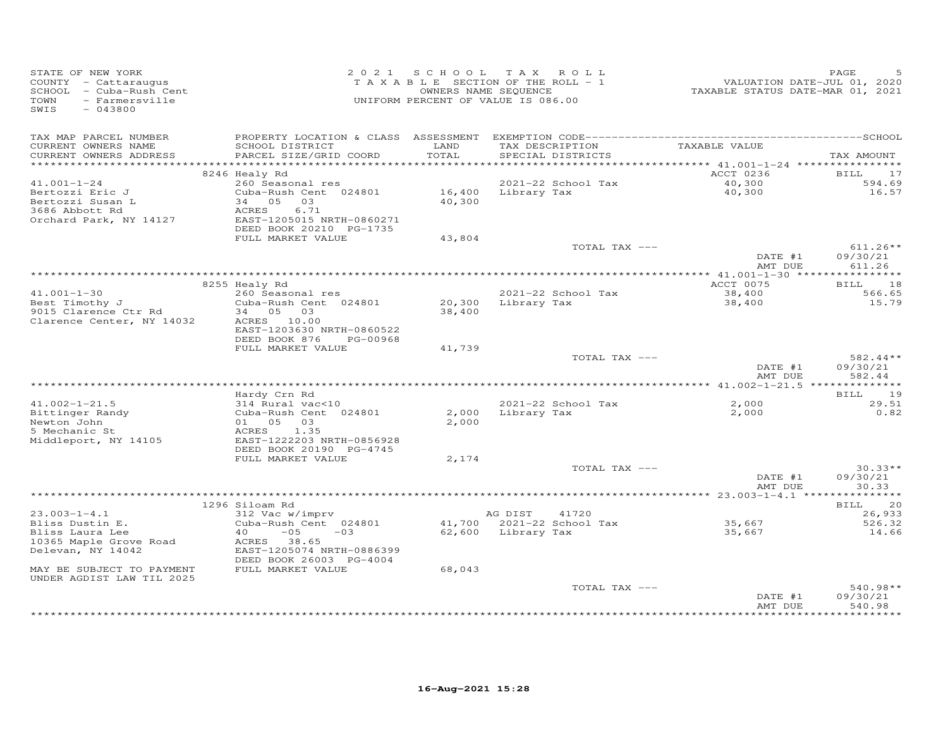| TAXABLE SECTION OF THE ROLL - 1<br>COUNTY - Cattaraugus<br>SCHOOL - Cuba-Rush Cent<br>OWNERS NAME SEQUENCE<br>- Farmersville<br>UNIFORM PERCENT OF VALUE IS 086.00<br>TOWN<br>SWIS<br>$-043800$                                                                                                | VALUATION DATE-JUL 01, 2020<br>TAXABLE STATUS DATE-MAR 01, 2021       |
|------------------------------------------------------------------------------------------------------------------------------------------------------------------------------------------------------------------------------------------------------------------------------------------------|-----------------------------------------------------------------------|
| TAX MAP PARCEL NUMBER<br>CURRENT OWNERS NAME<br>SCHOOL DISTRICT<br>LAND<br>TOTAL<br>CURRENT OWNERS ADDRESS<br>PARCEL SIZE/GRID COORD<br>SPECIAL DISTRICTS                                                                                                                                      | TAX DESCRIPTION TAXABLE VALUE<br>TAX AMOUNT                           |
| 8246 Healy Rd                                                                                                                                                                                                                                                                                  | ACCT 0236<br><b>BILL</b><br>17                                        |
| 260 Seasonal res<br>2021-22 School Tax<br>$41.001 - 1 - 24$<br>$16,400$ Library Tax<br>Cuba-Rush Cent 024801<br>Bertozzi Eric J<br>Bertozzi Susan L<br>34 05 03<br>40,300<br>3686 Abbott Rd<br>ACRES<br>6.71<br>Orchard Park, NY 14127<br>EAST-1205015 NRTH-0860271<br>DEED BOOK 20210 PG-1735 | 40,300<br>594.69<br>40,300<br>16.57                                   |
| FULL MARKET VALUE<br>43,804                                                                                                                                                                                                                                                                    | TOTAL TAX ---<br>$611.26**$                                           |
|                                                                                                                                                                                                                                                                                                | DATE #1<br>09/30/21<br>AMT DUE<br>611.26                              |
|                                                                                                                                                                                                                                                                                                |                                                                       |
| 8255 Healy Rd<br>260 Seasonal res<br>$41.001 - 1 - 30$<br>2021-22 School Tax                                                                                                                                                                                                                   | ACCT 0075<br>BILL 18<br>38,400<br>566.65                              |
| Best Timothy J<br>Cuba-Rush Cent 024801<br>20,300<br>Library Tax<br>9015 Clarence Ctr Rd<br>34 05 03<br>38,400<br>Clarence Center, NY 14032<br>ACRES 10.00<br>EAST-1203630 NRTH-0860522                                                                                                        | 38,400<br>15.79                                                       |
| DEED BOOK 876<br>PG-00968<br>FULL MARKET VALUE<br>41,739                                                                                                                                                                                                                                       |                                                                       |
|                                                                                                                                                                                                                                                                                                | 582.44**<br>TOTAL TAX ---<br>09/30/21<br>DATE #1<br>AMT DUE<br>582.44 |
|                                                                                                                                                                                                                                                                                                |                                                                       |
| Hardy Crn Rd                                                                                                                                                                                                                                                                                   | 19<br>BILL                                                            |
| 314 Rural vac<10<br>$41.002 - 1 - 21.5$<br>2021-22 School Tax<br>Cuba-Rush Cent 024801<br>2,000 Library Tax<br>Bittinger Randy<br>01 05 03<br>2,000<br>Newton John<br>5 Mechanic St<br>ACRES<br>1.35<br>Middleport, NY 14105<br>EAST-1222203 NRTH-0856928                                      | 2,000<br>29.51<br>2,000<br>0.82                                       |
| DEED BOOK 20190 PG-4745<br>FULL MARKET VALUE<br>2,174                                                                                                                                                                                                                                          |                                                                       |
|                                                                                                                                                                                                                                                                                                | $30.33**$<br>TOTAL TAX ---<br>DATE #1<br>09/30/21                     |
|                                                                                                                                                                                                                                                                                                | 30.33<br>AMT DUE                                                      |
| 1296 Siloam Rd                                                                                                                                                                                                                                                                                 | <b>BILL</b><br>20                                                     |
| $23.003 - 1 - 4.1$<br>312 Vac w/imprv<br>AG DIST                                                                                                                                                                                                                                               | 41720<br>26,933                                                       |
| 41,700 2021-22 School Tax<br>Bliss Dustin E.<br>Cuba-Rush Cent 024801<br>62,600 Library Tax<br>Bliss Laura Lee<br>40<br>$-05$<br>$-03$                                                                                                                                                         | 35,667<br>526.32<br>35,667<br>14.66                                   |
| 10365 Maple Grove Road<br>ACRES 38.65<br>EAST-1205074 NRTH-0886399<br>Delevan, NY 14042<br>DEED BOOK 26003 PG-4004                                                                                                                                                                             |                                                                       |
| MAY BE SUBJECT TO PAYMENT<br>FULL MARKET VALUE<br>68,043<br>UNDER AGDIST LAW TIL 2025                                                                                                                                                                                                          |                                                                       |
|                                                                                                                                                                                                                                                                                                | 540.98**<br>TOTAL TAX ---<br>09/30/21<br>DATE #1<br>540.98<br>AMT DUE |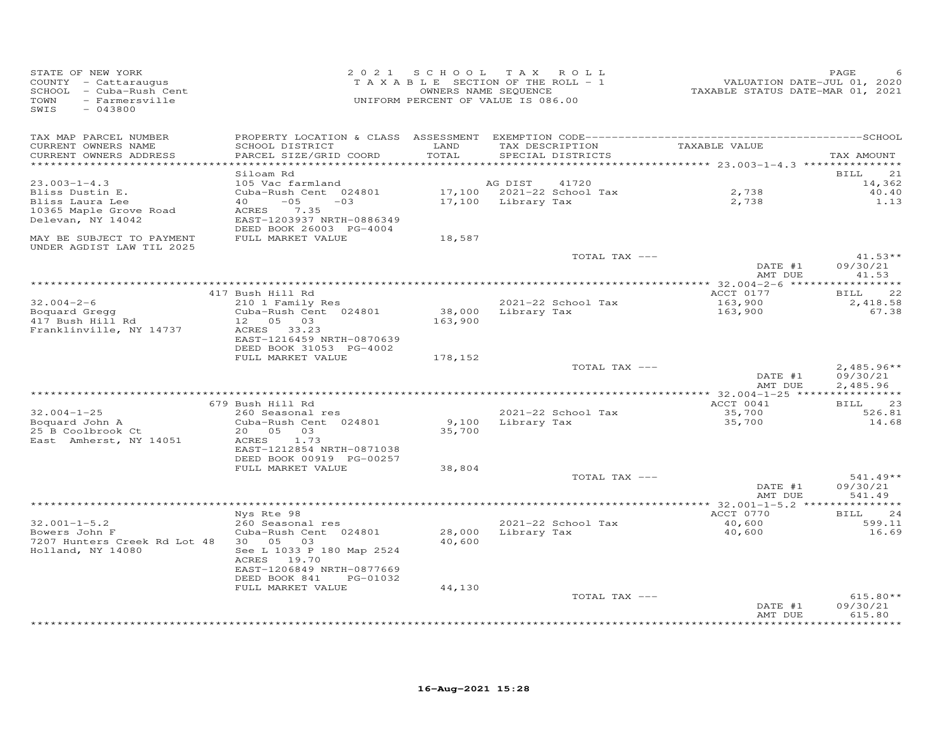| STATE OF NEW YORK<br>COUNTY - Cattaraugus<br>SCHOOL - Cuba-Rush Cent<br>- Farmersville<br>TOWN<br>SWIS<br>$-043800$ |                                                                                                                                                                             | 2021 SCHOOL                 | TAX ROLL<br>TAXABLE SECTION OF THE ROLL - 1<br>OWNERS NAME SEQUENCE<br>UNIFORM PERCENT OF VALUE IS 086.00 | VALUATION DATE-JUL 01, 2020<br>TAXABLE STATUS DATE-MAR 01, 2021           | PAGE                                   |
|---------------------------------------------------------------------------------------------------------------------|-----------------------------------------------------------------------------------------------------------------------------------------------------------------------------|-----------------------------|-----------------------------------------------------------------------------------------------------------|---------------------------------------------------------------------------|----------------------------------------|
| TAX MAP PARCEL NUMBER<br>CURRENT OWNERS NAME<br>CURRENT OWNERS ADDRESS<br>**********************                    | SCHOOL DISTRICT<br>PARCEL SIZE/GRID COORD                                                                                                                                   | LAND<br>TOTAL<br>********** | TAX DESCRIPTION<br>SPECIAL DISTRICTS                                                                      | TAXABLE VALUE<br>*************************** 23.003-1-4.3 *************** | TAX AMOUNT                             |
| $23.003 - 1 - 4.3$<br>Bliss Dustin E.<br>Bliss Laura Lee<br>10365 Maple Grove Road<br>Delevan, NY 14042             | Siloam Rd<br>105 Vac farmland<br>Cuba-Rush Cent 024801<br>$-05$<br>40<br>$-03$<br>7.35<br>ACRES<br>EAST-1203937 NRTH-0886349<br>DEED BOOK 26003 PG-4004                     |                             | AG DIST<br>41720<br>17,100 2021-22 School Tax<br>17,100 Library Tax                                       | 2,738<br>2,738                                                            | BILL<br>21<br>14,362<br>40.40<br>1.13  |
| MAY BE SUBJECT TO PAYMENT<br>UNDER AGDIST LAW TIL 2025                                                              | FULL MARKET VALUE                                                                                                                                                           | 18,587                      | TOTAL TAX ---                                                                                             | DATE #1                                                                   | $41.53**$<br>09/30/21                  |
|                                                                                                                     |                                                                                                                                                                             |                             |                                                                                                           | AMT DUE<br>*************** 32.004-2-6 *****                               | 41.53<br>*********                     |
| $32.004 - 2 - 6$<br>Boquard Gregg<br>417 Bush Hill Rd<br>Franklinville, NY 14737                                    | 417 Bush Hill Rd<br>210 1 Family Res<br>Cuba-Rush Cent 024801<br>12  05  03<br>ACRES 33.23                                                                                  | 163,900                     | 2021-22 School Tax<br>38,000 Library Tax                                                                  | ACCT 0177<br>163,900<br>163,900                                           | 22<br><b>BILL</b><br>2,418.58<br>67.38 |
|                                                                                                                     | EAST-1216459 NRTH-0870639<br>DEED BOOK 31053 PG-4002<br>FULL MARKET VALUE                                                                                                   | 178,152                     | TOTAL TAX ---                                                                                             |                                                                           | $2,485.96**$                           |
|                                                                                                                     |                                                                                                                                                                             |                             |                                                                                                           | DATE #1<br>AMT DUE                                                        | 09/30/21<br>2,485.96                   |
|                                                                                                                     |                                                                                                                                                                             |                             |                                                                                                           |                                                                           |                                        |
| $32.004 - 1 - 25$<br>Boquard John A<br>25 B Coolbrook Ct<br>East Amherst, NY 14051                                  | 679 Bush Hill Rd<br>260 Seasonal res<br>Cuba-Rush Cent 024801<br>20  05  03<br>ACRES 1.73<br>EAST-1212854 NRTH-0871038                                                      | 9,100<br>35,700             | 2021-22 School Tax<br>Library Tax                                                                         | ACCT 0041<br>35,700<br>35,700                                             | <b>BILL</b><br>23<br>526.81<br>14.68   |
|                                                                                                                     | DEED BOOK 00919 PG-00257<br>FULL MARKET VALUE                                                                                                                               | 38,804                      | TOTAL TAX ---                                                                                             | DATE #1<br>AMT DUE                                                        | $541.49**$<br>09/30/21<br>541.49       |
|                                                                                                                     |                                                                                                                                                                             |                             |                                                                                                           |                                                                           |                                        |
| $32.001 - 1 - 5.2$<br>Bowers John F<br>7207 Hunters Creek Rd Lot 48<br>Holland, NY 14080                            | Nys Rte 98<br>260 Seasonal res<br>Cuba-Rush Cent 024801<br>30  05  03<br>See L 1033 P 180 Map 2524<br>ACRES 19.70<br>EAST-1206849 NRTH-0877669<br>DEED BOOK 841<br>PG-01032 | 40,600                      | 2021-22 School Tax<br>28,000 Library Tax                                                                  | ACCT 0770<br>40,600<br>40,600                                             | BILL<br>24<br>599.11<br>16.69          |
|                                                                                                                     | FULL MARKET VALUE                                                                                                                                                           | 44,130                      | TOTAL TAX ---                                                                                             | DATE #1<br>AMT DUE                                                        | $615.80**$<br>09/30/21<br>615.80       |
|                                                                                                                     |                                                                                                                                                                             |                             |                                                                                                           |                                                                           | ********                               |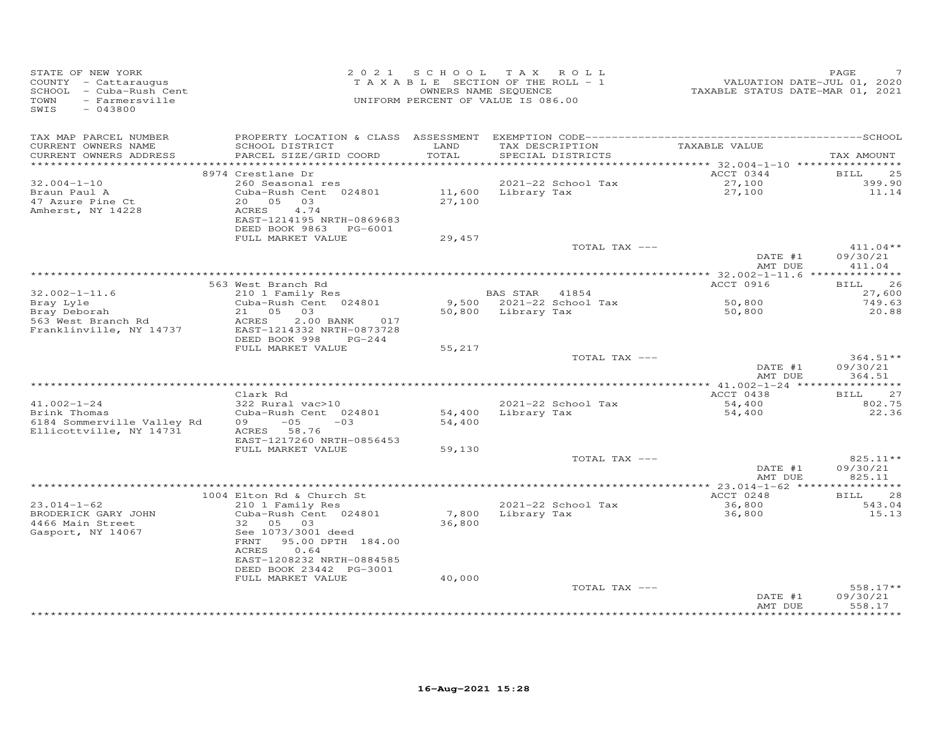| SWIS<br>$-043800$                                                                                                                                                                                                                                                                                                                                                                      |                                      |
|----------------------------------------------------------------------------------------------------------------------------------------------------------------------------------------------------------------------------------------------------------------------------------------------------------------------------------------------------------------------------------------|--------------------------------------|
| TAX MAP PARCEL NUMBER<br>TAX DESCRIPTION TAXABLE VALUE<br>CURRENT OWNERS NAME<br>SCHOOL DISTRICT<br>LAND<br>TOTAL<br>CURRENT OWNERS ADDRESS<br>PARCEL SIZE/GRID COORD<br>SPECIAL DISTRICTS                                                                                                                                                                                             | TAX AMOUNT                           |
| ACCT 0344<br>8974 Crestlane Dr<br>$32.004 - 1 - 10$<br>260 Seasonal res<br>2021-22 School Tax<br>27,100<br>11,600 Library Tax<br>27,100<br>Braun Paul A<br>Cuba-Rush Cent 024801<br>20  05  03<br>27,100<br>47 Azure Pine Ct<br>Amherst, NY 14228<br>4.74<br>ACRES<br>EAST-1214195 NRTH-0869683<br>DEED BOOK 9863 PG-6001<br>FULL MARKET VALUE<br>29,457                               | BILL<br>25<br>399.90<br>11.14        |
| TOTAL TAX ---<br>DATE #1<br>AMT DUE                                                                                                                                                                                                                                                                                                                                                    | $411.04**$<br>09/30/21<br>411.04     |
|                                                                                                                                                                                                                                                                                                                                                                                        |                                      |
| ACCT 0916<br>563 West Branch Rd<br>210 1 Family Res<br>$32.002 - 1 - 11.6$<br>BAS STAR 41854                                                                                                                                                                                                                                                                                           | 26<br><b>BILL</b><br>27,600          |
| Cuba-Rush Cent 024801<br>9,500 2021-22 School Tax<br>50,800<br>Bray Lyle<br>Bray Deborah<br>21 05 03<br>50,800 Library Tax<br>50,800<br>563 West Branch Rd<br>$2.00$ BANK<br>ACRES<br>017<br>EAST-1214332 NRTH-0873728<br>Franklinville, NY 14737                                                                                                                                      | 749.63<br>20.88                      |
| DEED BOOK 998<br>PG-244<br>FULL MARKET VALUE<br>55,217<br>TOTAL TAX ---<br>DATE #1<br>AMT DUE                                                                                                                                                                                                                                                                                          | $364.51**$<br>09/30/21<br>364.51     |
|                                                                                                                                                                                                                                                                                                                                                                                        |                                      |
| Clark Rd<br>ACCT 0438<br>$41.002 - 1 - 24$<br>322 Rural vac>10<br>2021-22 School Tax<br>54,400                                                                                                                                                                                                                                                                                         | 27<br>BILL<br>802.75                 |
| Brink Thomas<br>Cuba-Rush Cent 024801<br>54,400 Library Tax<br>54,400<br>6184 Sommerville Valley Rd<br>$09 - 05$<br>54,400<br>$-03$<br>Ellicottville, NY 14731<br>ACRES 58.76<br>EAST-1217260 NRTH-0856453                                                                                                                                                                             | 22.36                                |
| FULL MARKET VALUE<br>59,130<br>TOTAL TAX ---<br>DATE #1                                                                                                                                                                                                                                                                                                                                | $825.11**$<br>09/30/21               |
| AMT DUE                                                                                                                                                                                                                                                                                                                                                                                | 825.11                               |
|                                                                                                                                                                                                                                                                                                                                                                                        |                                      |
| ACCT 0248<br>1004 Elton Rd & Church St<br>36,800<br>$23.014 - 1 - 62$<br>210 1 Family Res<br>2021-22 School Tax<br>7,800 Library Tax<br>BRODERICK GARY JOHN<br>Cuba-Rush Cent 024801<br>36,800<br>4466 Main Street<br>32 05 03<br>36,800<br>Gasport, NY 14067<br>See 1073/3001 deed<br>FRNT 95.00 DPTH 184.00<br>ACRES<br>0.64<br>EAST-1208232 NRTH-0884585<br>DEED BOOK 23442 PG-3001 | <b>BILL</b><br>28<br>543.04<br>15.13 |
| FULL MARKET VALUE<br>40,000<br>TOTAL TAX ---<br>DATE #1<br>AMT DUE                                                                                                                                                                                                                                                                                                                     | $558.17**$<br>09/30/21<br>558.17     |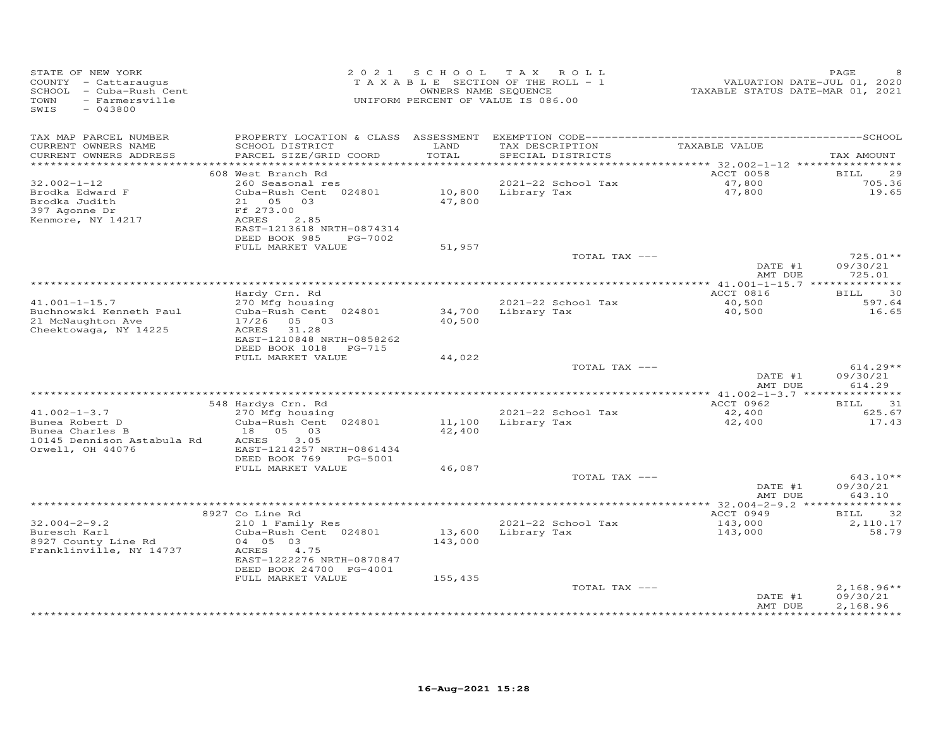| TAX MAP PARCEL NUMBER<br>LAND<br>TAXABLE VALUE<br>CURRENT OWNERS NAME<br>SCHOOL DISTRICT<br>TAX DESCRIPTION<br>PARCEL SIZE/GRID COORD<br>TOTAL<br>CURRENT OWNERS ADDRESS<br>SPECIAL DISTRICTS<br>***********************<br>**********************<br>******************<br>*********<br>********** 32.002-1-12 *****************<br>ACCT 0058<br>608 West Branch Rd<br>BILL<br>$32.002 - 1 - 12$<br>260 Seasonal res<br>2021-22 School Tax<br>47,800<br>10,800<br>47,800<br>Brodka Edward F<br>Cuba-Rush Cent 024801<br>Library Tax<br>Brodka Judith<br>21 05<br>03<br>47,800<br>397 Agonne Dr<br>Ff 273.00<br>Kenmore, NY 14217<br>ACRES<br>2.85<br>EAST-1213618 NRTH-0874314<br>DEED BOOK 985<br>PG-7002<br>FULL MARKET VALUE<br>51,957<br>TOTAL TAX ---<br>DATE #1<br>AMT DUE<br>725.01<br>Hardy Crn. Rd<br>ACCT 0816<br>BILL<br>2021-22 School Tax<br>$41.001 - 1 - 15.7$<br>270 Mfg housing<br>40,500<br>597.64<br>Buchnowski Kenneth Paul<br>Cuba-Rush Cent 024801<br>34,700<br>Library Tax<br>40,500<br>21 McNaughton Ave<br>17/26<br>05 03<br>40,500<br>31.28<br>Cheektowaga, NY 14225<br>ACRES<br>EAST-1210848 NRTH-0858262<br>DEED BOOK 1018 PG-715<br>FULL MARKET VALUE<br>44,022<br>TOTAL TAX ---<br>DATE #1<br>AMT DUE<br>ACCT 0962<br>548 Hardys Crn. Rd<br>BILL<br>$41.002 - 1 - 3.7$<br>2021-22 School Tax<br>270 Mfg housing<br>42,400<br>Bunea Robert D<br>Library Tax<br>Cuba-Rush Cent 024801<br>11,100<br>42,400<br>Bunea Charles B<br>05<br>18<br>03<br>42,400<br>10145 Dennison Astabula Rd<br>3.05<br>ACRES<br>Orwell, OH 44076<br>EAST-1214257 NRTH-0861434<br>DEED BOOK 769<br>PG-5001<br>FULL MARKET VALUE<br>46,087<br>TOTAL TAX ---<br>$643.10**$<br>DATE #1<br>AMT DUE<br>8927 Co Line Rd<br>ACCT 0949<br>BILL<br>$32.004 - 2 - 9.2$<br>2021-22 School Tax<br>210 1 Family Res<br>143,000<br>Buresch Karl<br>Cuba-Rush Cent 024801<br>13,600<br>Library Tax<br>143,000<br>8927 County Line Rd<br>04 05 03<br>143,000<br>Franklinville, NY 14737<br>ACRES<br>4.75<br>EAST-1222276 NRTH-0870847<br>DEED BOOK 24700 PG-4001<br>155,435<br>FULL MARKET VALUE<br>TOTAL TAX --- | STATE OF NEW YORK<br>COUNTY - Cattaraugus<br>SCHOOL - Cuba-Rush Cent<br>TOWN<br>- Farmersville<br>$-043800$<br>SWIS | 2021 SCHOOL | TAX ROLL<br>TAXABLE SECTION OF THE ROLL - 1<br>OWNERS NAME SEQUENCE<br>UNIFORM PERCENT OF VALUE IS 086.00 | VALUATION DATE-JUL 01, 2020<br>TAXABLE STATUS DATE-MAR 01, 2021 | PAGE                                 |
|----------------------------------------------------------------------------------------------------------------------------------------------------------------------------------------------------------------------------------------------------------------------------------------------------------------------------------------------------------------------------------------------------------------------------------------------------------------------------------------------------------------------------------------------------------------------------------------------------------------------------------------------------------------------------------------------------------------------------------------------------------------------------------------------------------------------------------------------------------------------------------------------------------------------------------------------------------------------------------------------------------------------------------------------------------------------------------------------------------------------------------------------------------------------------------------------------------------------------------------------------------------------------------------------------------------------------------------------------------------------------------------------------------------------------------------------------------------------------------------------------------------------------------------------------------------------------------------------------------------------------------------------------------------------------------------------------------------------------------------------------------------------------------------------------------------------------------------------------------------------------------------------------------------------------------------------------------------------------------------------------------------------------------------------------------------------------------------------------------|---------------------------------------------------------------------------------------------------------------------|-------------|-----------------------------------------------------------------------------------------------------------|-----------------------------------------------------------------|--------------------------------------|
|                                                                                                                                                                                                                                                                                                                                                                                                                                                                                                                                                                                                                                                                                                                                                                                                                                                                                                                                                                                                                                                                                                                                                                                                                                                                                                                                                                                                                                                                                                                                                                                                                                                                                                                                                                                                                                                                                                                                                                                                                                                                                                          |                                                                                                                     |             |                                                                                                           |                                                                 | TAX AMOUNT                           |
|                                                                                                                                                                                                                                                                                                                                                                                                                                                                                                                                                                                                                                                                                                                                                                                                                                                                                                                                                                                                                                                                                                                                                                                                                                                                                                                                                                                                                                                                                                                                                                                                                                                                                                                                                                                                                                                                                                                                                                                                                                                                                                          |                                                                                                                     |             |                                                                                                           |                                                                 | 29                                   |
|                                                                                                                                                                                                                                                                                                                                                                                                                                                                                                                                                                                                                                                                                                                                                                                                                                                                                                                                                                                                                                                                                                                                                                                                                                                                                                                                                                                                                                                                                                                                                                                                                                                                                                                                                                                                                                                                                                                                                                                                                                                                                                          |                                                                                                                     |             |                                                                                                           |                                                                 | 705.36<br>19.65                      |
|                                                                                                                                                                                                                                                                                                                                                                                                                                                                                                                                                                                                                                                                                                                                                                                                                                                                                                                                                                                                                                                                                                                                                                                                                                                                                                                                                                                                                                                                                                                                                                                                                                                                                                                                                                                                                                                                                                                                                                                                                                                                                                          |                                                                                                                     |             |                                                                                                           |                                                                 |                                      |
|                                                                                                                                                                                                                                                                                                                                                                                                                                                                                                                                                                                                                                                                                                                                                                                                                                                                                                                                                                                                                                                                                                                                                                                                                                                                                                                                                                                                                                                                                                                                                                                                                                                                                                                                                                                                                                                                                                                                                                                                                                                                                                          |                                                                                                                     |             |                                                                                                           |                                                                 | 725.01**<br>09/30/21                 |
|                                                                                                                                                                                                                                                                                                                                                                                                                                                                                                                                                                                                                                                                                                                                                                                                                                                                                                                                                                                                                                                                                                                                                                                                                                                                                                                                                                                                                                                                                                                                                                                                                                                                                                                                                                                                                                                                                                                                                                                                                                                                                                          |                                                                                                                     |             |                                                                                                           |                                                                 |                                      |
|                                                                                                                                                                                                                                                                                                                                                                                                                                                                                                                                                                                                                                                                                                                                                                                                                                                                                                                                                                                                                                                                                                                                                                                                                                                                                                                                                                                                                                                                                                                                                                                                                                                                                                                                                                                                                                                                                                                                                                                                                                                                                                          |                                                                                                                     |             |                                                                                                           |                                                                 | 30                                   |
|                                                                                                                                                                                                                                                                                                                                                                                                                                                                                                                                                                                                                                                                                                                                                                                                                                                                                                                                                                                                                                                                                                                                                                                                                                                                                                                                                                                                                                                                                                                                                                                                                                                                                                                                                                                                                                                                                                                                                                                                                                                                                                          |                                                                                                                     |             |                                                                                                           |                                                                 | 16.65                                |
|                                                                                                                                                                                                                                                                                                                                                                                                                                                                                                                                                                                                                                                                                                                                                                                                                                                                                                                                                                                                                                                                                                                                                                                                                                                                                                                                                                                                                                                                                                                                                                                                                                                                                                                                                                                                                                                                                                                                                                                                                                                                                                          |                                                                                                                     |             |                                                                                                           |                                                                 |                                      |
|                                                                                                                                                                                                                                                                                                                                                                                                                                                                                                                                                                                                                                                                                                                                                                                                                                                                                                                                                                                                                                                                                                                                                                                                                                                                                                                                                                                                                                                                                                                                                                                                                                                                                                                                                                                                                                                                                                                                                                                                                                                                                                          |                                                                                                                     |             |                                                                                                           |                                                                 | $614.29**$<br>09/30/21<br>614.29     |
|                                                                                                                                                                                                                                                                                                                                                                                                                                                                                                                                                                                                                                                                                                                                                                                                                                                                                                                                                                                                                                                                                                                                                                                                                                                                                                                                                                                                                                                                                                                                                                                                                                                                                                                                                                                                                                                                                                                                                                                                                                                                                                          |                                                                                                                     |             |                                                                                                           |                                                                 |                                      |
|                                                                                                                                                                                                                                                                                                                                                                                                                                                                                                                                                                                                                                                                                                                                                                                                                                                                                                                                                                                                                                                                                                                                                                                                                                                                                                                                                                                                                                                                                                                                                                                                                                                                                                                                                                                                                                                                                                                                                                                                                                                                                                          |                                                                                                                     |             |                                                                                                           |                                                                 | 31<br>625.67<br>17.43                |
|                                                                                                                                                                                                                                                                                                                                                                                                                                                                                                                                                                                                                                                                                                                                                                                                                                                                                                                                                                                                                                                                                                                                                                                                                                                                                                                                                                                                                                                                                                                                                                                                                                                                                                                                                                                                                                                                                                                                                                                                                                                                                                          |                                                                                                                     |             |                                                                                                           |                                                                 |                                      |
|                                                                                                                                                                                                                                                                                                                                                                                                                                                                                                                                                                                                                                                                                                                                                                                                                                                                                                                                                                                                                                                                                                                                                                                                                                                                                                                                                                                                                                                                                                                                                                                                                                                                                                                                                                                                                                                                                                                                                                                                                                                                                                          |                                                                                                                     |             |                                                                                                           |                                                                 | 09/30/21<br>643.10                   |
|                                                                                                                                                                                                                                                                                                                                                                                                                                                                                                                                                                                                                                                                                                                                                                                                                                                                                                                                                                                                                                                                                                                                                                                                                                                                                                                                                                                                                                                                                                                                                                                                                                                                                                                                                                                                                                                                                                                                                                                                                                                                                                          |                                                                                                                     |             |                                                                                                           |                                                                 |                                      |
|                                                                                                                                                                                                                                                                                                                                                                                                                                                                                                                                                                                                                                                                                                                                                                                                                                                                                                                                                                                                                                                                                                                                                                                                                                                                                                                                                                                                                                                                                                                                                                                                                                                                                                                                                                                                                                                                                                                                                                                                                                                                                                          |                                                                                                                     |             |                                                                                                           |                                                                 | 32<br>2,110.17<br>58.79              |
| AMT DUE                                                                                                                                                                                                                                                                                                                                                                                                                                                                                                                                                                                                                                                                                                                                                                                                                                                                                                                                                                                                                                                                                                                                                                                                                                                                                                                                                                                                                                                                                                                                                                                                                                                                                                                                                                                                                                                                                                                                                                                                                                                                                                  |                                                                                                                     |             |                                                                                                           | DATE #1                                                         | $2,168.96**$<br>09/30/21<br>2,168.96 |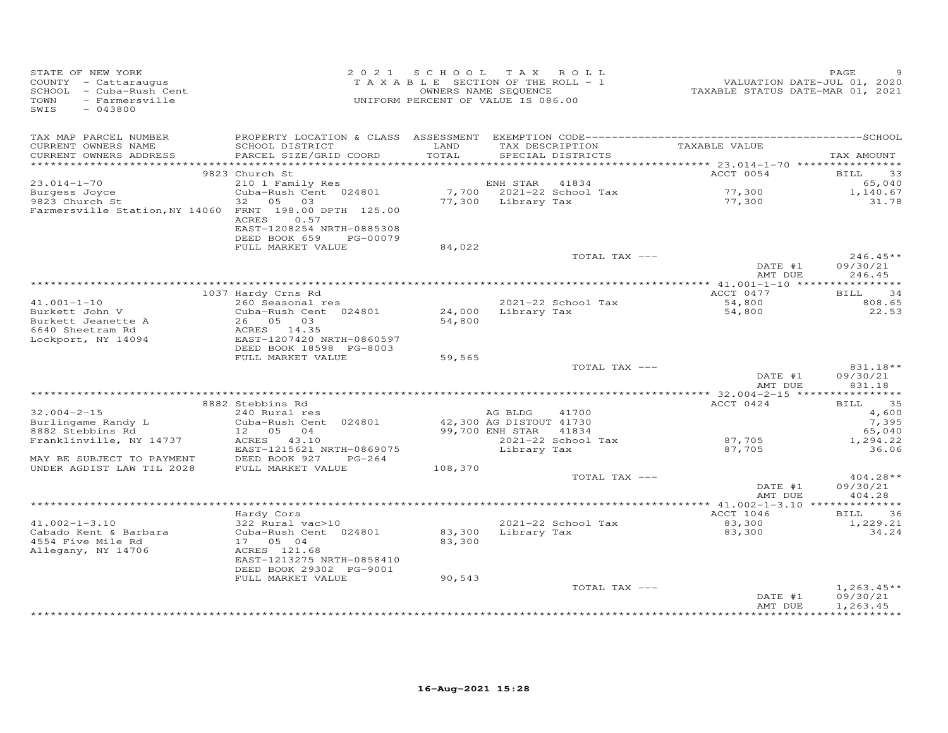| STATE OF NEW YORK<br>COUNTY - Cattaraugus<br>SCHOOL - Cuba-Rush Cent<br>- Farmersville<br>TOWN<br>SWIS<br>$-043800$ |                                                                      | 2021 SCHOOL TAX ROLL<br>TAXABLE SECTION OF THE ROLL - 1<br>UNIFORM PERCENT OF VALUE IS 086.00 | OWNERS NAME SEQUENCE     |                    | VALUATION DATE-JUL 01, 2020<br>TAXABLE STATUS DATE-MAR 01, 2021 | PAGE                                |
|---------------------------------------------------------------------------------------------------------------------|----------------------------------------------------------------------|-----------------------------------------------------------------------------------------------|--------------------------|--------------------|-----------------------------------------------------------------|-------------------------------------|
| TAX MAP PARCEL NUMBER<br>CURRENT OWNERS NAME<br>CURRENT OWNERS ADDRESS                                              | SCHOOL DISTRICT<br>PARCEL SIZE/GRID COORD                            | LAND<br>TOTAL                                                                                 | SPECIAL DISTRICTS        | TAX DESCRIPTION    | TAXABLE VALUE                                                   | TAX AMOUNT                          |
|                                                                                                                     | 9823 Church St                                                       |                                                                                               |                          |                    | ACCT 0054                                                       | $\overline{\phantom{0}}$ 33<br>BILL |
| $23.014 - 1 - 70$                                                                                                   | 210 1 Family Res                                                     |                                                                                               | ENH STAR                 | 41834              |                                                                 | 65,040                              |
| Burgess Joyce                                                                                                       | Cuba-Rush Cent 024801                                                |                                                                                               | 7,700 2021-22 School Tax |                    | 77,300                                                          | 1,140.67                            |
| 9823 Church St<br>Farmersville Station, NY 14060 FRNT 198.00 DPTH 125.00                                            | 32 05 03<br>ACRES<br>0.57<br>EAST-1208254 NRTH-0885308               |                                                                                               | 77,300 Library Tax       |                    | 77,300                                                          | 31.78                               |
|                                                                                                                     | DEED BOOK 659<br>PG-00079<br>FULL MARKET VALUE                       | 84,022                                                                                        |                          |                    |                                                                 |                                     |
|                                                                                                                     |                                                                      |                                                                                               |                          | TOTAL TAX ---      |                                                                 | $246.45**$                          |
|                                                                                                                     |                                                                      |                                                                                               |                          |                    | DATE #1<br>AMT DUE                                              | 09/30/21<br>246.45                  |
|                                                                                                                     |                                                                      |                                                                                               |                          |                    |                                                                 |                                     |
|                                                                                                                     | 1037 Hardy Crns Rd                                                   |                                                                                               |                          |                    | ACCT 0477<br>$54,800$<br>54,800                                 | 34<br>BILL                          |
| $41.001 - 1 - 10$                                                                                                   | 260 Seasonal res                                                     |                                                                                               |                          | 2021-22 School Tax |                                                                 | 808.65                              |
| Burkett John V<br>Burkett Jeanette A                                                                                | Cuba-Rush Cent 024801<br>26 05 03                                    | 54,800                                                                                        | 24,000 Library Tax       |                    |                                                                 | 22.53                               |
| 6640 Sheetram Rd                                                                                                    | ACRES 14.35                                                          |                                                                                               |                          |                    |                                                                 |                                     |
| Lockport, NY 14094                                                                                                  | EAST-1207420 NRTH-0860597                                            |                                                                                               |                          |                    |                                                                 |                                     |
|                                                                                                                     | DEED BOOK 18598 PG-8003                                              |                                                                                               |                          |                    |                                                                 |                                     |
|                                                                                                                     | FULL MARKET VALUE                                                    | 59,565                                                                                        |                          |                    |                                                                 |                                     |
|                                                                                                                     |                                                                      |                                                                                               |                          | TOTAL TAX ---      | DATE #1<br>AMT DUE                                              | 831.18**<br>09/30/21                |
|                                                                                                                     |                                                                      |                                                                                               |                          |                    |                                                                 | 831.18<br>************              |
|                                                                                                                     | 8882 Stebbins Rd                                                     |                                                                                               |                          |                    | ACCT 0424                                                       | <b>BILL</b><br>35                   |
| $32.004 - 2 - 15$                                                                                                   | 240 Rural res                                                        |                                                                                               | AG BLDG                  | 41700              |                                                                 | 4,600                               |
| Burlingame Randy L                                                                                                  | Cuba-Rush Cent 024801                                                |                                                                                               | 42,300 AG DISTOUT 41730  |                    |                                                                 | 7,395                               |
| 8882 Stebbins Rd                                                                                                    | 12  05  04                                                           |                                                                                               | 99,700 ENH STAR          | 41834              |                                                                 | 65,040                              |
| Franklinville, NY 14737                                                                                             | ACRES 43.10<br>EAST-1215621 NRTH-0869075                             |                                                                                               | Library Tax              | 2021-22 School Tax | 87,705<br>87,705                                                | 1,294.22<br>36.06                   |
| MAY BE SUBJECT TO PAYMENT                                                                                           | DEED BOOK 927<br>PG-264                                              |                                                                                               |                          |                    |                                                                 |                                     |
| UNDER AGDIST LAW TIL 2028                                                                                           | FULL MARKET VALUE                                                    | 108,370                                                                                       |                          |                    |                                                                 |                                     |
|                                                                                                                     |                                                                      |                                                                                               |                          | TOTAL TAX ---      | DATE #1<br>AMT DUE                                              | $404.28**$<br>09/30/21<br>404.28    |
|                                                                                                                     |                                                                      |                                                                                               |                          |                    |                                                                 |                                     |
|                                                                                                                     | Hardy Cors                                                           |                                                                                               |                          |                    | ACCT 1046                                                       | <b>BILL</b><br>36                   |
| $41.002 - 1 - 3.10$                                                                                                 | 322 Rural vac>10                                                     |                                                                                               |                          | 2021-22 School Tax | $83,300$<br>$83,300$                                            | 1,229.21                            |
| Cabado Kent & Barbara                                                                                               | Cuba-Rush Cent 024801                                                | 83,300                                                                                        | Library Tax              |                    | 83,300                                                          | 34.24                               |
| 4554 Five Mile Rd                                                                                                   | 17 05 04                                                             | 83,300                                                                                        |                          |                    |                                                                 |                                     |
| Allegany, NY 14706                                                                                                  | ACRES 121.68<br>EAST-1213275 NRTH-0858410<br>DEED BOOK 29302 PG-9001 |                                                                                               |                          |                    |                                                                 |                                     |
|                                                                                                                     | FULL MARKET VALUE                                                    | 90,543                                                                                        |                          |                    |                                                                 |                                     |
|                                                                                                                     |                                                                      |                                                                                               |                          | TOTAL TAX ---      |                                                                 | $1,263.45**$                        |
|                                                                                                                     |                                                                      |                                                                                               |                          |                    | DATE #1<br>AMT DUE                                              | 09/30/21<br>1,263.45                |
|                                                                                                                     |                                                                      |                                                                                               |                          |                    |                                                                 |                                     |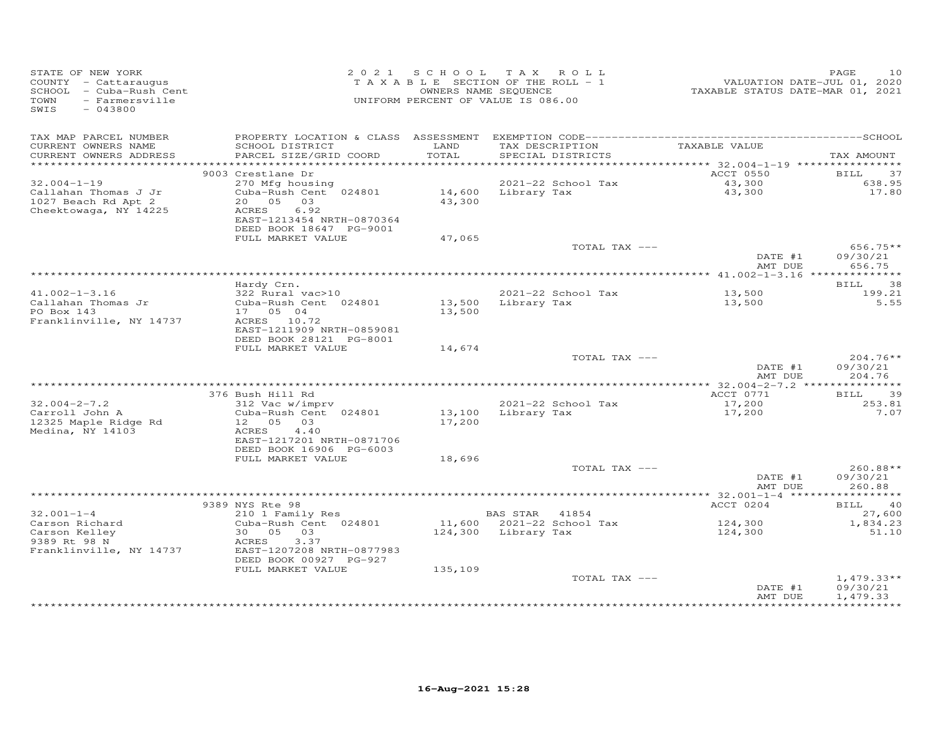| STATE OF NEW YORK<br>COUNTY - Cattaraugus<br>SCHOOL - Cuba-Rush Cent<br>TOWN<br>- Farmersville<br>SWIS<br>$-043800$ |                                                                                                                              |                  | 2021 SCHOOL TAX ROLL<br>TAXABLE SECTION OF THE ROLL - 1<br>OWNERS NAME SEQUENCE<br>UNIFORM PERCENT OF VALUE IS 086.00 | VALUATION DATE-JUL 01, 2020<br>TAXABLE STATUS DATE-MAR 01, 2021 | 10<br>PAGE                       |
|---------------------------------------------------------------------------------------------------------------------|------------------------------------------------------------------------------------------------------------------------------|------------------|-----------------------------------------------------------------------------------------------------------------------|-----------------------------------------------------------------|----------------------------------|
| TAX MAP PARCEL NUMBER<br>CURRENT OWNERS NAME                                                                        | SCHOOL DISTRICT                                                                                                              | LAND             | TAX DESCRIPTION                                                                                                       | TAXABLE VALUE                                                   |                                  |
| CURRENT OWNERS ADDRESS                                                                                              | PARCEL SIZE/GRID COORD                                                                                                       | TOTAL            | SPECIAL DISTRICTS                                                                                                     |                                                                 | TAX AMOUNT                       |
|                                                                                                                     | 9003 Crestlane Dr                                                                                                            |                  |                                                                                                                       | ACCT 0550                                                       | <b>BILL</b><br>37                |
| $32.004 - 1 - 19$                                                                                                   | 270 Mfg housing                                                                                                              |                  | 2021-22 School Tax                                                                                                    |                                                                 | 638.95                           |
| Callahan Thomas J Jr<br>1027 Beach Rd Apt 2<br>Cheektowaga, NY 14225                                                | Cuba-Rush Cent 024801<br>20  05  03<br>6.92<br>ACRES<br>EAST-1213454 NRTH-0870364<br>DEED BOOK 18647 PG-9001                 | 43,300           | 14,600 Library Tax                                                                                                    | 43,300<br>43,300                                                | 17.80                            |
|                                                                                                                     | FULL MARKET VALUE                                                                                                            | 47,065           |                                                                                                                       |                                                                 |                                  |
|                                                                                                                     |                                                                                                                              |                  | TOTAL TAX ---                                                                                                         | DATE #1                                                         | $656.75**$<br>09/30/21           |
|                                                                                                                     |                                                                                                                              |                  |                                                                                                                       | AMT DUE                                                         | 656.75                           |
|                                                                                                                     | Hardy Crn.                                                                                                                   |                  |                                                                                                                       |                                                                 | BILL<br>38                       |
| $41.002 - 1 - 3.16$                                                                                                 | 322 Rural vac>10                                                                                                             |                  | 2021-22 School Tax                                                                                                    | 13,500                                                          | 199.21                           |
| Callahan Thomas Jr<br>PO Box 143<br>Franklinville, NY 14737                                                         | Cuba-Rush Cent 024801<br>17 05 04<br>ACRES 10.72<br>EAST-1211909 NRTH-0859081                                                | 13,500           | 13,500 Library Tax                                                                                                    | 13,500                                                          | 5.55                             |
|                                                                                                                     | DEED BOOK 28121 PG-8001<br>FULL MARKET VALUE                                                                                 | 14,674           |                                                                                                                       |                                                                 |                                  |
|                                                                                                                     |                                                                                                                              |                  | TOTAL TAX ---                                                                                                         | DATE #1<br>AMT DUE                                              | $204.76**$<br>09/30/21<br>204.76 |
|                                                                                                                     |                                                                                                                              |                  |                                                                                                                       |                                                                 |                                  |
|                                                                                                                     | 376 Bush Hill Rd                                                                                                             |                  |                                                                                                                       | ACCT 0771                                                       | BILL 39                          |
| $32.004 - 2 - 7.2$<br>Carroll John A<br>12325 Maple Ridge Rd<br>Medina, NY 14103                                    | $312$ Vac w/imprv<br>Cuba-Rush Cent 024801<br>12 05 03<br>ACRES 4.40<br>EAST-1217201 NRTH-0871706<br>DEED BOOK 16906 PG-6003 | 13,100<br>17,200 | 2021-22 School Tax<br>Library Tax                                                                                     | 17,200<br>17,200                                                | 253.81<br>7.07                   |
|                                                                                                                     | FULL MARKET VALUE                                                                                                            | 18,696           |                                                                                                                       |                                                                 |                                  |
|                                                                                                                     |                                                                                                                              |                  | TOTAL TAX ---                                                                                                         | DATE #1<br>AMT DUE                                              | 260.88**<br>09/30/21<br>260.88   |
|                                                                                                                     |                                                                                                                              |                  |                                                                                                                       |                                                                 |                                  |
| $32.001 - 1 - 4$                                                                                                    | 9389 NYS Rte 98                                                                                                              |                  |                                                                                                                       | ACCT 0204                                                       | BILL 40                          |
| Carson Richard                                                                                                      | 210 1 Family Res<br>Cuba-Rush Cent 024801                                                                                    |                  | <b>BAS STAR 41854</b><br>11,600 2021-22 School Tax                                                                    | 124,300                                                         | 27,600<br>1,834.23               |
| Carson Kelley<br>9389 Rt 98 N<br>Franklinville, NY 14737                                                            | 30  05  03<br>3.37<br>ACRES<br>EAST-1207208 NRTH-0877983                                                                     |                  | 124,300 Library Tax                                                                                                   | 124,300                                                         | 51.10                            |
|                                                                                                                     | DEED BOOK 00927 PG-927<br>FULL MARKET VALUE                                                                                  | 135,109          |                                                                                                                       |                                                                 |                                  |
|                                                                                                                     |                                                                                                                              |                  | TOTAL TAX ---                                                                                                         | DATE #1                                                         | $1,479.33**$<br>09/30/21         |
|                                                                                                                     |                                                                                                                              |                  |                                                                                                                       | AMT DUE                                                         | 1,479.33<br>***********          |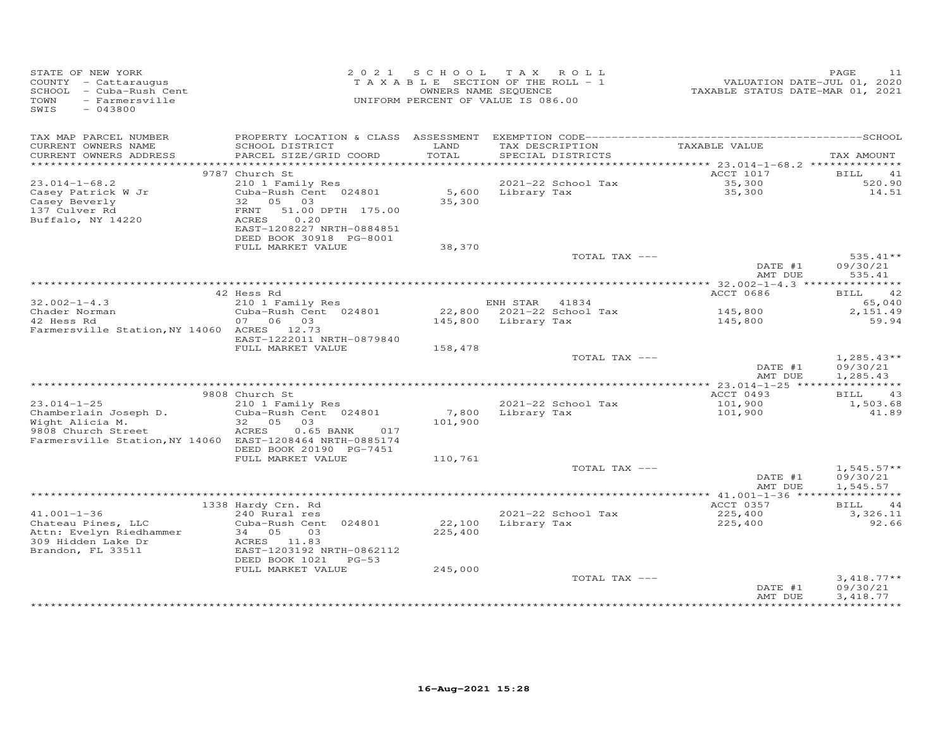| STATE OF NEW YORK<br>COUNTY - Cattaraugus<br>SCHOOL - Cuba-Rush Cent<br>TOWN<br>- Farmersville<br>$-043800$<br>SWIS |                                                                                                 | OWNERS NAME SEQUENCE | 2021 SCHOOL TAX ROLL<br>TAXABLE SECTION OF THE ROLL - 1<br>UNIFORM PERCENT OF VALUE IS 086.00 | VALUATION DATE-JUL 01, 2020<br>TAXABLE STATUS DATE-MAR 01, 2021 | PAGE<br>11                           |
|---------------------------------------------------------------------------------------------------------------------|-------------------------------------------------------------------------------------------------|----------------------|-----------------------------------------------------------------------------------------------|-----------------------------------------------------------------|--------------------------------------|
| TAX MAP PARCEL NUMBER<br>CURRENT OWNERS NAME<br>CURRENT OWNERS ADDRESS                                              | SCHOOL DISTRICT<br>PARCEL SIZE/GRID COORD                                                       | LAND<br>TOTAL        | TAX DESCRIPTION<br>SPECIAL DISTRICTS                                                          | TAXABLE VALUE                                                   | TAX AMOUNT                           |
|                                                                                                                     |                                                                                                 |                      |                                                                                               |                                                                 |                                      |
|                                                                                                                     | 9787 Church St                                                                                  |                      |                                                                                               | ACCT 1017                                                       | BILL<br>41                           |
| $23.014 - 1 - 68.2$<br>Casey Patrick W Jr<br>Casey Beverly                                                          | 210 1 Family Res<br>Cuba-Rush Cent 024801<br>32 05 03                                           | 35,300               | 2021-22 School Tax<br>5,600 Library Tax                                                       | 35,300<br>35,300                                                | 520.90<br>14.51                      |
| 137 Culver Rd<br>Buffalo, NY 14220                                                                                  | FRNT 51.00 DPTH 175.00<br>0.20<br>ACRES<br>EAST-1208227 NRTH-0884851<br>DEED BOOK 30918 PG-8001 |                      |                                                                                               |                                                                 |                                      |
|                                                                                                                     | FULL MARKET VALUE                                                                               | 38,370               |                                                                                               |                                                                 |                                      |
|                                                                                                                     |                                                                                                 |                      | TOTAL TAX ---                                                                                 | DATE #1                                                         | $535.41**$<br>09/30/21               |
|                                                                                                                     |                                                                                                 |                      |                                                                                               | AMT DUE                                                         | 535.41                               |
|                                                                                                                     | 42 Hess Rd                                                                                      |                      |                                                                                               | ACCT 0686                                                       | <b>BILL</b><br>42                    |
| $32.002 - 1 - 4.3$                                                                                                  | 210 1 Family Res                                                                                |                      | ENH STAR 41834                                                                                |                                                                 | 65,040                               |
| Chader Norman<br>10 Hose Rd                                                                                         | Cuba-Rush Cent 024801                                                                           |                      | 22,800 2021-22 School Tax                                                                     | 145,800                                                         | 2,151.49                             |
| 42 Hess Rd<br>Farmersville Station, NY 14060 ACRES 12.73                                                            | 07 06 03<br>EAST-1222011 NRTH-0879840                                                           |                      | 145,800 Library Tax                                                                           | 145,800                                                         | 59.94                                |
|                                                                                                                     | FULL MARKET VALUE                                                                               | 158,478              |                                                                                               |                                                                 |                                      |
|                                                                                                                     |                                                                                                 |                      | TOTAL TAX ---                                                                                 | DATE #1<br>AMT DUE                                              | $1,285.43**$<br>09/30/21<br>1,285.43 |
|                                                                                                                     |                                                                                                 |                      |                                                                                               |                                                                 |                                      |
|                                                                                                                     | 9808 Church St                                                                                  |                      |                                                                                               | ACCT 0493                                                       | <b>BILL</b><br>43                    |
| $23.014 - 1 - 25$<br>Chamberlain Joseph D.                                                                          | 210 1 Family Res<br>Cuba-Rush Cent 024801                                                       | 7,800                | 2021-22 School Tax<br>Library Tax                                                             | 101,900<br>101,900                                              | 1,503.68<br>41.89                    |
|                                                                                                                     | 32 05 03                                                                                        | 101,900              |                                                                                               |                                                                 |                                      |
| Wight Alicia M.<br>9808 Church Street<br>Farmersville Station, NY 14060 EAST-1208464 NRTH-0885174                   | $0.65$ BANK<br>ACRES<br>017                                                                     |                      |                                                                                               |                                                                 |                                      |
|                                                                                                                     | DEED BOOK 20190 PG-7451<br>FULL MARKET VALUE                                                    | 110,761              |                                                                                               |                                                                 |                                      |
|                                                                                                                     |                                                                                                 |                      | TOTAL TAX ---                                                                                 |                                                                 | $1,545.57**$                         |
|                                                                                                                     |                                                                                                 |                      |                                                                                               | DATE #1<br>AMT DUE                                              | 09/30/21<br>1,545.57                 |
|                                                                                                                     |                                                                                                 |                      |                                                                                               |                                                                 |                                      |
| $41.001 - 1 - 36$                                                                                                   | 1338 Hardy Crn. Rd<br>240 Rural res                                                             |                      | 2021-22 School Tax                                                                            | ACCT 0357<br>225,400                                            | 44<br>BILL<br>3,326.11               |
| Chateau Pines, LLC                                                                                                  | Cuba-Rush Cent 024801                                                                           | 22,100               | Library Tax                                                                                   | 225,400                                                         | 92.66                                |
| Attn: Evelyn Riedhammer<br>309 Hidden Lake Dr<br>Brandon, FL 33511                                                  | 34 05<br>03<br>ACRES 11.83<br>EAST-1203192 NRTH-0862112                                         | 225,400              |                                                                                               |                                                                 |                                      |
|                                                                                                                     | DEED BOOK 1021 PG-53                                                                            |                      |                                                                                               |                                                                 |                                      |
|                                                                                                                     | FULL MARKET VALUE                                                                               | 245,000              |                                                                                               |                                                                 |                                      |
|                                                                                                                     |                                                                                                 |                      | TOTAL TAX ---                                                                                 | DATE #1<br>AMT DUE                                              | $3,418.77**$<br>09/30/21<br>3,418.77 |
|                                                                                                                     |                                                                                                 |                      |                                                                                               |                                                                 |                                      |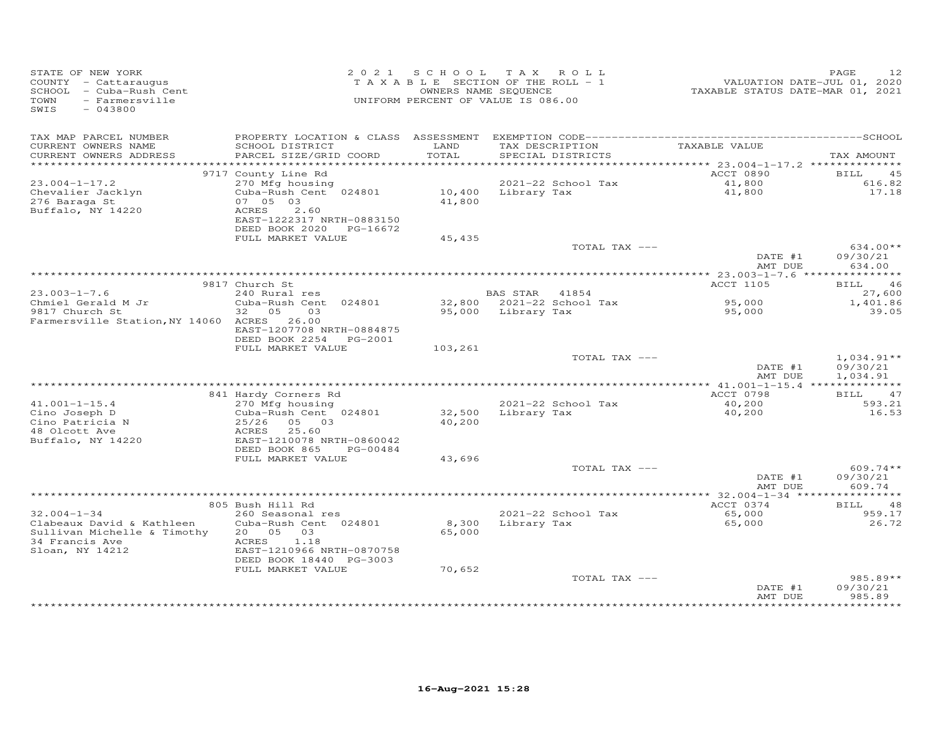| STATE OF NEW YORK<br>COUNTY - Cattaraugus<br>SCHOOL - Cuba-Rush Cent<br>TOWN<br>- Farmersville<br>SWIS<br>$-043800$ |                                                               |               | 2021 SCHOOL TAX ROLL<br>TAXABLE SECTION OF THE ROLL - 1<br>OWNERS NAME SEQUENCE<br>UNIFORM PERCENT OF VALUE IS 086.00 |                    | 12<br>PAGE            |
|---------------------------------------------------------------------------------------------------------------------|---------------------------------------------------------------|---------------|-----------------------------------------------------------------------------------------------------------------------|--------------------|-----------------------|
| TAX MAP PARCEL NUMBER                                                                                               |                                                               |               |                                                                                                                       | TAXABLE VALUE      |                       |
| CURRENT OWNERS NAME<br>CURRENT OWNERS ADDRESS                                                                       | SCHOOL DISTRICT<br>PARCEL SIZE/GRID COORD                     | LAND<br>TOTAL | TAX DESCRIPTION<br>SPECIAL DISTRICTS                                                                                  |                    | TAX AMOUNT            |
|                                                                                                                     |                                                               |               |                                                                                                                       |                    |                       |
| $23.004 - 1 - 17.2$                                                                                                 | 9717 County Line Rd<br>270 Mfg housing                        |               | 2021-22 School Tax                                                                                                    | ACCT 0890          | BILL<br>45<br>616.82  |
| Chevalier Jacklyn                                                                                                   | Cuba-Rush Cent 024801                                         |               | 10,400 Library Tax                                                                                                    | 41,800<br>41,800   | 17.18                 |
| 276 Baraga St                                                                                                       | 07 05 03                                                      | 41,800        |                                                                                                                       |                    |                       |
| Buffalo, NY 14220                                                                                                   | ACRES<br>2.60                                                 |               |                                                                                                                       |                    |                       |
|                                                                                                                     | EAST-1222317 NRTH-0883150<br>DEED BOOK 2020 PG-16672          |               |                                                                                                                       |                    |                       |
|                                                                                                                     | FULL MARKET VALUE                                             | 45,435        |                                                                                                                       |                    |                       |
|                                                                                                                     |                                                               |               | TOTAL TAX ---                                                                                                         |                    | $634.00**$            |
|                                                                                                                     |                                                               |               |                                                                                                                       | DATE #1<br>AMT DUE | 09/30/21<br>634.00    |
|                                                                                                                     |                                                               |               |                                                                                                                       |                    |                       |
|                                                                                                                     | 9817 Church St                                                |               |                                                                                                                       | ACCT 1105          | 46<br>BILL            |
| $23.003 - 1 - 7.6$                                                                                                  | 240 Rural res<br>Cuba-Rush Cent 024801                        |               | BAS STAR 41854<br>32,800 2021-22 School Tax                                                                           | 95,000             | 27,600<br>1,401.86    |
| $23.003 - 1 - $<br>Chmiel Gerald M Jr                                                                               | 32 05<br>$03$ and $03$                                        |               | 95,000 Library Tax                                                                                                    | 95,000             | 39.05                 |
| Farmersville Station, NY 14060 ACRES 26.00                                                                          | EAST-1207708 NRTH-0884875<br>DEED BOOK 2254 PG-2001           |               |                                                                                                                       |                    |                       |
|                                                                                                                     | FULL MARKET VALUE                                             | 103,261       |                                                                                                                       |                    |                       |
|                                                                                                                     |                                                               |               | TOTAL TAX ---                                                                                                         |                    | $1,034.91**$          |
|                                                                                                                     |                                                               |               |                                                                                                                       | DATE #1            | 09/30/21              |
|                                                                                                                     |                                                               |               |                                                                                                                       | AMT DUE            | 1,034.91              |
|                                                                                                                     | 841 Hardy Corners Rd                                          |               |                                                                                                                       | ACCT 0798          | BILL 47               |
| $41.001 - 1 - 15.4$                                                                                                 | 270 Mfg housing                                               |               | 2021-22 School Tax                                                                                                    | 40,200             | 593.21                |
| Cino Joseph D                                                                                                       | Cuba-Rush Cent 024801<br>Cuba-1<br>$25/26$<br>ACRES<br>EAST-1 | 32,500        | Library Tax                                                                                                           | 40,200             | 16.53                 |
| Cino Patricia N                                                                                                     | 25/26 05 03                                                   | 40,200        |                                                                                                                       |                    |                       |
| 48 Olcott Ave                                                                                                       | 25.60<br>EAST-1210078 NRTH-0860042                            |               |                                                                                                                       |                    |                       |
| Buffalo, NY 14220                                                                                                   | DEED BOOK 865<br>PG-00484                                     |               |                                                                                                                       |                    |                       |
|                                                                                                                     | FULL MARKET VALUE                                             | 43,696        |                                                                                                                       |                    |                       |
|                                                                                                                     |                                                               |               | TOTAL TAX ---                                                                                                         |                    | $609.74**$            |
|                                                                                                                     |                                                               |               |                                                                                                                       | DATE #1            | 09/30/21              |
|                                                                                                                     |                                                               |               |                                                                                                                       | AMT DUE            | 609.74                |
|                                                                                                                     | 805 Bush Hill Rd                                              |               |                                                                                                                       | ACCT 0374          | BILL 48               |
| $32.004 - 1 - 34$                                                                                                   | 260 Seasonal res                                              |               | 2021-22 School Tax                                                                                                    | 65,000             | 959.17                |
| Clabeaux David & Kathleen                                                                                           | Cuba-Rush Cent 024801                                         |               | 8,300 Library Tax                                                                                                     | 65,000             | 26.72                 |
| Sullivan Michelle & Timothy<br>34 Francis Ave                                                                       | 20 05<br>03<br>ACRES<br>1.18                                  | 65,000        |                                                                                                                       |                    |                       |
| Sloan, NY 14212                                                                                                     | EAST-1210966 NRTH-0870758                                     |               |                                                                                                                       |                    |                       |
|                                                                                                                     | DEED BOOK 18440 PG-3003                                       |               |                                                                                                                       |                    |                       |
|                                                                                                                     | FULL MARKET VALUE                                             | 70,652        |                                                                                                                       |                    |                       |
|                                                                                                                     |                                                               |               | TOTAL TAX ---                                                                                                         |                    | $985.89**$            |
|                                                                                                                     |                                                               |               |                                                                                                                       | DATE #1<br>AMT DUE | 09/30/21<br>985.89    |
|                                                                                                                     |                                                               |               |                                                                                                                       |                    | * * * * * * * * * * * |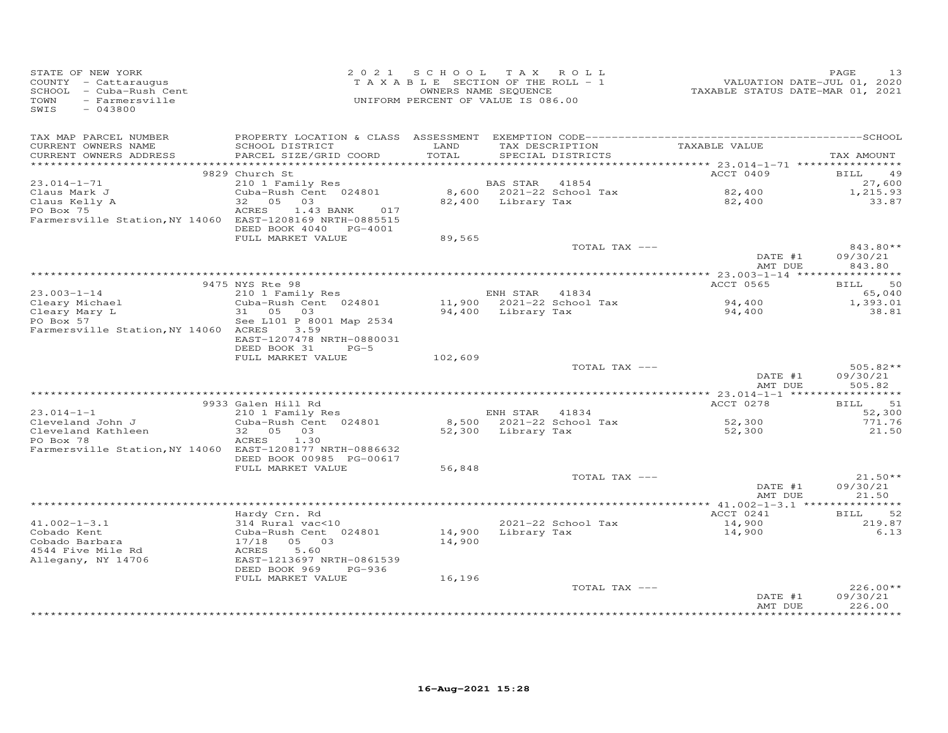| STATE OF NEW YORK<br>COUNTY - Cattaraugus<br>SCHOOL - Cuba-Rush Cent<br>- Farmersville<br>TOWN<br>SWIS<br>$-043800$ |                                                                       |               | 2021 SCHOOL TAX ROLL<br>TAXABLE SECTION OF THE ROLL - 1<br>OWNERS NAME SEQUENCE<br>UNIFORM PERCENT OF VALUE IS 086.00 |               | VALUATION DATE-JUL 01, 2020<br>TAXABLE STATUS DATE-MAR 01, 2021 | PAGE<br>13                       |
|---------------------------------------------------------------------------------------------------------------------|-----------------------------------------------------------------------|---------------|-----------------------------------------------------------------------------------------------------------------------|---------------|-----------------------------------------------------------------|----------------------------------|
| TAX MAP PARCEL NUMBER<br>CURRENT OWNERS NAME<br>CURRENT OWNERS ADDRESS                                              | SCHOOL DISTRICT<br>PARCEL SIZE/GRID COORD                             | LAND<br>TOTAL | TAX DESCRIPTION<br>SPECIAL DISTRICTS                                                                                  |               | TAXABLE VALUE                                                   | TAX AMOUNT                       |
|                                                                                                                     |                                                                       |               |                                                                                                                       |               |                                                                 |                                  |
| $23.014 - 1 - 71$                                                                                                   | 9829 Church St<br>210 1 Family Res                                    |               | BAS STAR 41854                                                                                                        |               | ACCT 0409                                                       | <b>BILL</b><br>-49<br>27,600     |
| Claus Mark J                                                                                                        | Cuba-Rush Cent 024801                                                 |               | 8,600 2021-22 School Tax                                                                                              |               |                                                                 | 1,215.93                         |
| Claus Kelly A                                                                                                       | 32 05 03                                                              |               | 82,400 Library Tax                                                                                                    |               | 82,400<br>82,400                                                | 33.87                            |
| PO Box 75<br>Farmersville Station, NY 14060 EAST-1208169 NRTH-0885515                                               | ACRES<br>1.43 BANK<br>017<br>DEED BOOK 4040 PG-4001                   |               |                                                                                                                       |               |                                                                 |                                  |
|                                                                                                                     | FULL MARKET VALUE                                                     | 89,565        |                                                                                                                       |               |                                                                 |                                  |
|                                                                                                                     |                                                                       |               |                                                                                                                       | TOTAL TAX --- | DATE #1                                                         | 843.80**<br>09/30/21             |
|                                                                                                                     |                                                                       |               |                                                                                                                       |               | AMT DUE                                                         | 843.80                           |
|                                                                                                                     | 9475 NYS Rte 98                                                       |               |                                                                                                                       |               | ACCT 0565                                                       | BILL 50                          |
| $23.003 - 1 - 14$                                                                                                   | 210 1 Family Res                                                      |               | ENH STAR 41834                                                                                                        |               |                                                                 | 65,040                           |
| Cleary Michael<br>Cleary Mary L<br>Leary F                                                                          | Cuba-Rush Cent 024801                                                 |               | 11,900 2021-22 School Tax                                                                                             |               | 94,400                                                          | 1,393.01                         |
|                                                                                                                     | 31 05 03                                                              |               | 94,400 Library Tax                                                                                                    |               | 94,400                                                          | 38.81                            |
| PO Box 57<br>Farmersville Station, NY 14060 ACRES                                                                   | See L101 P 8001 Map 2534<br>3.59                                      |               |                                                                                                                       |               |                                                                 |                                  |
|                                                                                                                     | EAST-1207478 NRTH-0880031<br>DEED BOOK 31<br>$PG-5$                   |               |                                                                                                                       |               |                                                                 |                                  |
|                                                                                                                     | FULL MARKET VALUE                                                     | 102,609       |                                                                                                                       |               |                                                                 |                                  |
|                                                                                                                     |                                                                       |               |                                                                                                                       | TOTAL TAX --- | DATE #1<br>AMT DUE                                              | $505.82**$<br>09/30/21<br>505.82 |
|                                                                                                                     |                                                                       |               |                                                                                                                       |               |                                                                 |                                  |
|                                                                                                                     | 9933 Galen Hill Rd                                                    |               |                                                                                                                       |               | ACCT 0278                                                       | BILL 51                          |
| $23.014 - 1 - 1$                                                                                                    | 210 1 Family Res                                                      |               | ENH STAR 41834                                                                                                        |               |                                                                 | 52,300                           |
| Cleveland John J                                                                                                    | Cuba-Rush Cent 024801                                                 |               | 8,500 2021-22 School Tax                                                                                              |               | 52,300                                                          | 771.76                           |
| Cleveland Kathleen<br>PO Box 78<br>Farmersville Station, NY 14060 EAST-1208177 NRTH-0886632                         | 32  05  03<br>1.30<br>ACRES                                           |               | 52,300 Library Tax                                                                                                    |               | 52,300                                                          | 21.50                            |
|                                                                                                                     | DEED BOOK 00985 PG-00617                                              |               |                                                                                                                       |               |                                                                 |                                  |
|                                                                                                                     | FULL MARKET VALUE                                                     | 56,848        |                                                                                                                       |               |                                                                 |                                  |
|                                                                                                                     |                                                                       |               |                                                                                                                       | TOTAL TAX --- |                                                                 | $21.50**$                        |
|                                                                                                                     |                                                                       |               |                                                                                                                       |               | DATE #1<br>AMT DUE                                              | 09/30/21<br>21.50                |
|                                                                                                                     | Hardy Crn. Rd                                                         |               |                                                                                                                       |               | ACCT 0241                                                       | <b>BILL</b><br>52                |
| $41.002 - 1 - 3.1$                                                                                                  | 314 Rural vac<10                                                      |               | 2021-22 School Tax                                                                                                    |               | 14,900                                                          | 219.87                           |
| Cobado Kent                                                                                                         | Cuba-Rush Cent 024801                                                 | 14,900        | Library Tax                                                                                                           |               | 14,900                                                          | 6.13                             |
| Cobado Barbara                                                                                                      | 17/18 05 03                                                           | 14,900        |                                                                                                                       |               |                                                                 |                                  |
| 4544 Five Mile Rd<br>Allegany, NY 14706                                                                             | ACRES<br>5.60<br>EAST-1213697 NRTH-0861539<br>DEED BOOK 969<br>PG-936 |               |                                                                                                                       |               |                                                                 |                                  |
|                                                                                                                     | FULL MARKET VALUE                                                     | 16,196        |                                                                                                                       |               |                                                                 |                                  |
|                                                                                                                     |                                                                       |               |                                                                                                                       | TOTAL TAX --- | DATE #1<br>AMT DUE                                              | $226.00**$<br>09/30/21<br>226.00 |
|                                                                                                                     |                                                                       |               |                                                                                                                       |               |                                                                 |                                  |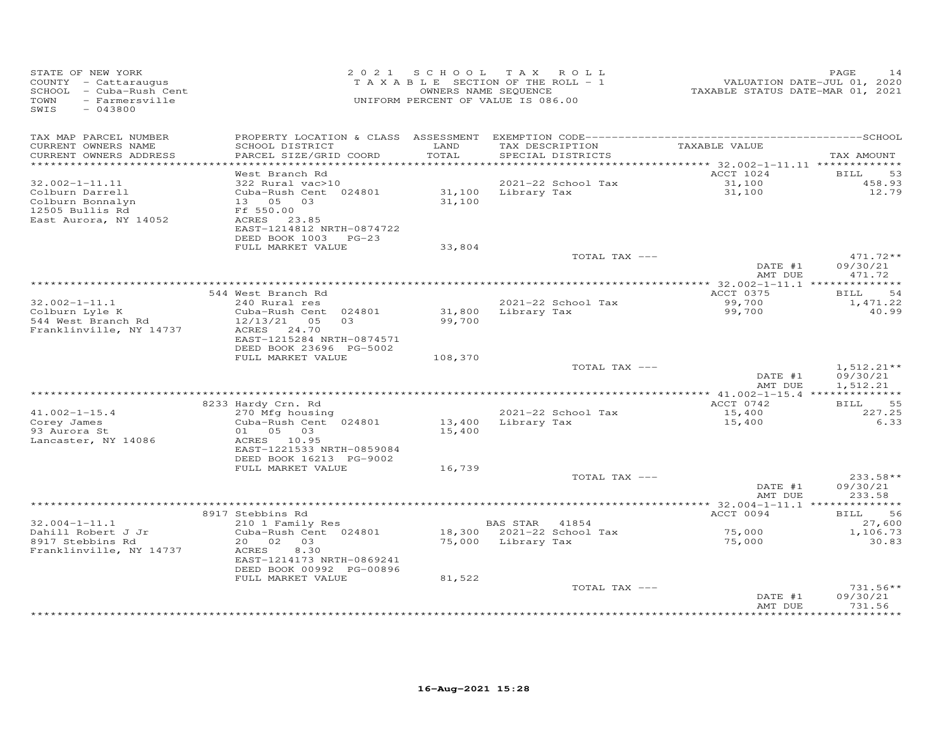| STATE OF NEW YORK<br>COUNTY - Cattaraugus<br>SCHOOL - Cuba-Rush Cent<br>TOWN<br>- Farmersville<br>SWIS<br>$-043800$ |                                                                                                                                | 2021 SCHOOL      | T A X<br>ROLL<br>TAXABLE SECTION OF THE ROLL - 1<br>OWNERS NAME SEQUENCE<br>UNIFORM PERCENT OF VALUE IS 086.00 | VALUATION DATE-JUL 01, 2020<br>TAXABLE STATUS DATE-MAR 01, 2021 | PAGE<br>14                           |
|---------------------------------------------------------------------------------------------------------------------|--------------------------------------------------------------------------------------------------------------------------------|------------------|----------------------------------------------------------------------------------------------------------------|-----------------------------------------------------------------|--------------------------------------|
| TAX MAP PARCEL NUMBER<br>CURRENT OWNERS NAME<br>CURRENT OWNERS ADDRESS                                              | SCHOOL DISTRICT<br>PARCEL SIZE/GRID COORD                                                                                      | LAND<br>TOTAL    | TAX DESCRIPTION<br>SPECIAL DISTRICTS                                                                           | TAXABLE VALUE                                                   | TAX AMOUNT                           |
| ***********************                                                                                             | West Branch Rd                                                                                                                 |                  |                                                                                                                | ACCT 1024                                                       | BILL<br>53                           |
| $32.002 - 1 - 11.11$                                                                                                | 322 Rural vac>10                                                                                                               |                  | 2021-22 School Tax                                                                                             | 31,100                                                          | 458.93                               |
| Colburn Darrell<br>Colburn Bonnalyn<br>12505 Bullis Rd<br>East Aurora, NY 14052                                     | Cuba-Rush Cent 024801<br>13 05 03<br>Ff 550.00<br>ACRES 23.85<br>EAST-1214812 NRTH-0874722<br>DEED BOOK 1003<br>$PG-23$        | 31,100<br>31,100 | Library Tax                                                                                                    | 31,100                                                          | 12.79                                |
|                                                                                                                     | FULL MARKET VALUE                                                                                                              | 33,804           |                                                                                                                |                                                                 |                                      |
|                                                                                                                     |                                                                                                                                |                  | TOTAL TAX ---                                                                                                  | DATE #1                                                         | 471.72**<br>09/30/21                 |
|                                                                                                                     |                                                                                                                                |                  |                                                                                                                | AMT DUE                                                         | 471.72                               |
|                                                                                                                     | 544 West Branch Rd                                                                                                             |                  |                                                                                                                | ACCT 0375                                                       | 54<br><b>BILL</b>                    |
| $32.002 - 1 - 11.1$                                                                                                 | 240 Rural res                                                                                                                  |                  | 2021-22 School Tax                                                                                             | 99,700                                                          | 1,471.22                             |
| Colburn Lyle K<br>544 West Branch Rd<br>Franklinville, NY 14737                                                     | Cuba-Rush Cent 024801<br>12/13/21<br>03<br>05<br>ACRES<br>24.70<br>EAST-1215284 NRTH-0874571<br>DEED BOOK 23696 PG-5002        | 31,800<br>99,700 | Library Tax                                                                                                    | 99,700                                                          | 40.99                                |
|                                                                                                                     | FULL MARKET VALUE                                                                                                              | 108,370          |                                                                                                                |                                                                 |                                      |
|                                                                                                                     |                                                                                                                                |                  | TOTAL TAX ---                                                                                                  | DATE #1<br>AMT DUE                                              | $1,512.21**$<br>09/30/21<br>1,512.21 |
|                                                                                                                     |                                                                                                                                |                  |                                                                                                                |                                                                 |                                      |
|                                                                                                                     | 8233 Hardy Crn. Rd                                                                                                             |                  |                                                                                                                | ACCT 0742                                                       | <b>BILL</b><br>55                    |
| $41.002 - 1 - 15.4$<br>Corey James<br>93 Aurora St<br>Lancaster, NY 14086                                           | 270 Mfg housing<br>Cuba-Rush Cent 024801<br>01<br>05 03<br>ACRES 10.95<br>EAST-1221533 NRTH-0859084<br>DEED BOOK 16213 PG-9002 | 13,400<br>15,400 | 2021-22 School Tax<br>Library Tax                                                                              | 15,400<br>15,400                                                | 227.25<br>6.33                       |
|                                                                                                                     | FULL MARKET VALUE                                                                                                              | 16,739           | TOTAL TAX ---                                                                                                  |                                                                 | 233.58**                             |
|                                                                                                                     |                                                                                                                                |                  |                                                                                                                | DATE #1<br>AMT DUE                                              | 09/30/21<br>233.58                   |
|                                                                                                                     |                                                                                                                                |                  |                                                                                                                |                                                                 |                                      |
|                                                                                                                     | 8917 Stebbins Rd                                                                                                               |                  |                                                                                                                | ACCT 0094                                                       | 56<br>BILL                           |
| $32.004 - 1 - 11.1$<br>Dahill Robert J Jr                                                                           | 210 1 Family Res<br>Cuba-Rush Cent 024801                                                                                      | 18,300           | BAS STAR<br>41854<br>2021-22 School Tax                                                                        | 75,000                                                          | 27,600<br>1,106.73                   |
| 8917 Stebbins Rd<br>Franklinville, NY 14737                                                                         | 02<br>20<br>03<br>ACRES<br>8.30<br>EAST-1214173 NRTH-0869241<br>DEED BOOK 00992 PG-00896<br>FULL MARKET VALUE                  | 75,000<br>81,522 | Library Tax                                                                                                    | 75,000                                                          | 30.83                                |
|                                                                                                                     |                                                                                                                                |                  | TOTAL TAX ---                                                                                                  | DATE #1<br>AMT DUE                                              | 731.56**<br>09/30/21<br>731.56       |
|                                                                                                                     |                                                                                                                                |                  |                                                                                                                |                                                                 |                                      |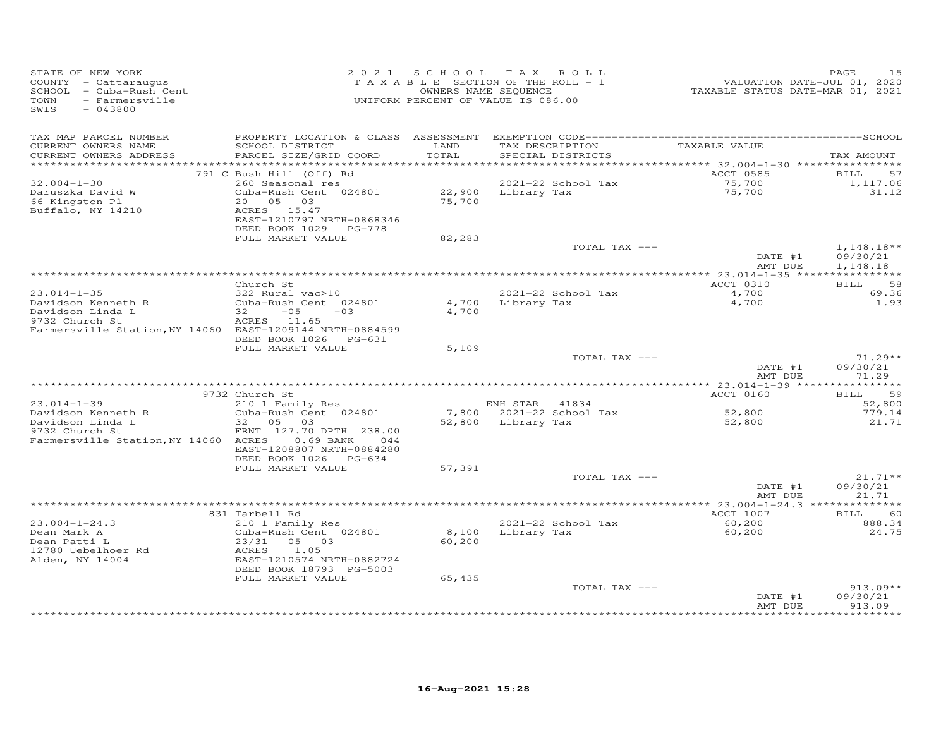| STATE OF NEW YORK<br>COUNTY - Cattaraugus<br>SCHOOL - Cuba-Rush Cent<br>TOWN<br>- Farmersville<br>SWIS<br>$-043800$   |                                                                                                                                                                                         | 2021 SCHOOL TAX            | ROLL<br>TAXABLE SECTION OF THE ROLL - 1<br>OWNERS NAME SEQUENCE<br>UNIFORM PERCENT OF VALUE IS 086.00 | VALUATION DATE-JUL 01, 2020<br>TAXABLE STATUS DATE-MAR 01, 2021 | 15<br>PAGE                              |
|-----------------------------------------------------------------------------------------------------------------------|-----------------------------------------------------------------------------------------------------------------------------------------------------------------------------------------|----------------------------|-------------------------------------------------------------------------------------------------------|-----------------------------------------------------------------|-----------------------------------------|
| TAX MAP PARCEL NUMBER<br>CURRENT OWNERS NAME<br>CURRENT OWNERS ADDRESS<br>***********************                     | SCHOOL DISTRICT<br>PARCEL SIZE/GRID COORD                                                                                                                                               | LAND<br>TOTAL              | TAX DESCRIPTION<br>SPECIAL DISTRICTS                                                                  | TAXABLE VALUE                                                   | TAX AMOUNT                              |
| $32.004 - 1 - 30$<br>Daruszka David W<br>66 Kingston Pl<br>Buffalo, NY 14210                                          | 791 C Bush Hill (Off) Rd<br>260 Seasonal res<br>Cuba-Rush Cent 024801<br>20  05  03<br>ACRES 15.47<br>EAST-1210797 NRTH-0868346<br>DEED BOOK 1029 PG-778<br>FULL MARKET VALUE           | 22,900<br>75,700<br>82,283 | 2021-22 School Tax<br>Library Tax                                                                     | ACCT 0585<br>75,700<br>75,700                                   | 57<br>BILL<br>1,117.06<br>31.12         |
|                                                                                                                       |                                                                                                                                                                                         |                            | TOTAL TAX ---                                                                                         | DATE #1<br>AMT DUE                                              | $1,148.18**$<br>09/30/21<br>1,148.18    |
| $23.014 - 1 - 35$                                                                                                     | Church St<br>322 Rural vac>10                                                                                                                                                           |                            | 2021-22 School Tax                                                                                    | ACCT 0310<br>4,700                                              | 58<br>BILL<br>69.36                     |
| Davidson Kenneth R<br>Davidson Linda L<br>9732 Church St<br>Farmersville Station, NY 14060 EAST-1209144 NRTH-0884599  | Cuba-Rush Cent 024801<br>$32 -$<br>$-0.5$<br>$-0.3$<br>ACRES 11.65<br>DEED BOOK 1026 PG-631                                                                                             | 4,700<br>4,700             | Library Tax                                                                                           | 4,700                                                           | 1.93                                    |
|                                                                                                                       | FULL MARKET VALUE                                                                                                                                                                       | 5,109                      | TOTAL TAX ---                                                                                         | DATE #1<br>AMT DUE                                              | $71.29**$<br>09/30/21<br>71.29          |
|                                                                                                                       |                                                                                                                                                                                         |                            |                                                                                                       |                                                                 |                                         |
| $23.014 - 1 - 39$<br>Davidson Kenneth R<br>Davidson Linda L<br>9732 Church St<br>Farmersville Station, NY 14060 ACRES | 9732 Church St<br>210 1 Family Res<br>Cuba-Rush Cent 024801<br>32<br>05<br>03<br>FRNT 127.70 DPTH 238.00<br>$0.69$ BANK<br>044<br>EAST-1208807 NRTH-0884280<br>DEED BOOK 1026<br>PG-634 |                            | ENH STAR 41834<br>7,800 2021-22 School Tax<br>52,800 Library Tax                                      | ACCT 0160<br>52,800<br>52,800                                   | 59<br>BILL<br>52,800<br>779.14<br>21.71 |
|                                                                                                                       | FULL MARKET VALUE                                                                                                                                                                       | 57,391                     | TOTAL TAX ---                                                                                         | DATE #1                                                         | $21.71**$<br>09/30/21                   |
|                                                                                                                       |                                                                                                                                                                                         |                            |                                                                                                       | AMT DUE                                                         | 21.71                                   |
| $23.004 - 1 - 24.3$<br>Dean Mark A<br>Dean Patti L<br>12780 Uebelhoer Rd<br>Alden, NY 14004                           | 831 Tarbell Rd<br>210 1 Family Res<br>Cuba-Rush Cent 024801<br>05 03<br>23/31<br>1.05<br>ACRES<br>EAST-1210574 NRTH-0882724                                                             | 8,100<br>60,200            | 2021-22 School Tax<br>Library Tax                                                                     | ACCT 1007<br>60,200<br>60,200                                   | <b>BILL</b><br>60<br>888.34<br>24.75    |
|                                                                                                                       | DEED BOOK 18793 PG-5003<br>FULL MARKET VALUE                                                                                                                                            | 65,435                     | TOTAL TAX ---                                                                                         | DATE #1<br>AMT DUE                                              | $913.09**$<br>09/30/21<br>913.09        |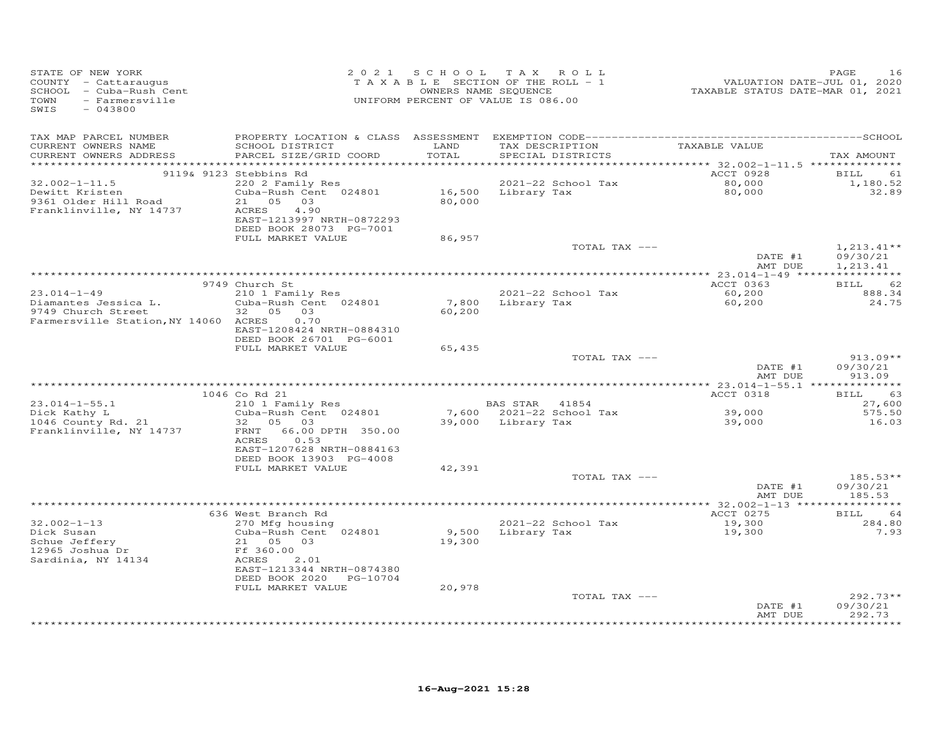| STATE OF NEW YORK<br>COUNTY - Cattaraugus<br>SCHOOL - Cuba-Rush Cent<br>TOWN<br>- Farmersville<br>SWIS<br>$-043800$ | 2 0 2 1                                                                                                                                                                               |                  | SCHOOL TAX ROLL<br>T A X A B L E SECTION OF THE ROLL - 1<br>OWNERS NAME SEQUENCE<br>UNIFORM PERCENT OF VALUE IS 086.00 |               | 1020<br>VALUATION DATE-JUL 01, 2020<br>TAXABLE STATUS DATE-MAR 01, 2021 | PAGE<br>16                           |
|---------------------------------------------------------------------------------------------------------------------|---------------------------------------------------------------------------------------------------------------------------------------------------------------------------------------|------------------|------------------------------------------------------------------------------------------------------------------------|---------------|-------------------------------------------------------------------------|--------------------------------------|
| TAX MAP PARCEL NUMBER<br>CURRENT OWNERS NAME<br>CURRENT OWNERS ADDRESS                                              | SCHOOL DISTRICT<br>PARCEL SIZE/GRID COORD                                                                                                                                             | LAND<br>TOTAL    | TAX DESCRIPTION TAXABLE VALUE<br>SPECIAL DISTRICTS                                                                     |               |                                                                         | TAX AMOUNT                           |
| $32.002 - 1 - 11.5$<br>Dewitt Kristen<br>9361 Older Hill Road<br>Franklinville, NY 14737                            | 9119& 9123 Stebbins Rd<br>220 2 Family Res<br>Cuba-Rush Cent 024801<br>21 05 03<br>ACRES<br>4.90<br>EAST-1213997 NRTH-0872293<br>DEED BOOK 28073 PG-7001<br>FULL MARKET VALUE         | 80,000<br>86,957 | 2021-22 School Tax<br>16,500 Library Tax                                                                               |               | ACCT 0928<br>80,000<br>80,000                                           | BILL<br>61<br>1,180.52<br>32.89      |
|                                                                                                                     |                                                                                                                                                                                       |                  |                                                                                                                        | TOTAL TAX --- | DATE #1<br>AMT DUE                                                      | $1,213.41**$<br>09/30/21<br>1,213.41 |
|                                                                                                                     |                                                                                                                                                                                       |                  |                                                                                                                        |               |                                                                         |                                      |
| $23.014 - 1 - 49$<br>Diamantes Jessica L.<br>9749 Church Street<br>Farmersville Station, NY 14060 ACRES             | 9749 Church St<br>210 1 Family Res<br>Cuba-Rush Cent 024801<br>32 05 03<br>0.70<br>EAST-1208424 NRTH-0884310<br>DEED BOOK 26701 PG-6001                                               | 7,800<br>60,200  | 2021-22 School Tax<br>Library Tax                                                                                      |               | ACCT 0363<br>60,200<br>60,200                                           | BILL 62<br>888.34<br>24.75           |
|                                                                                                                     | FULL MARKET VALUE                                                                                                                                                                     | 65,435           |                                                                                                                        | TOTAL TAX --- | DATE #1<br>AMT DUE                                                      | $913.09**$<br>09/30/21<br>913.09     |
|                                                                                                                     | 1046 Co Rd 21                                                                                                                                                                         |                  |                                                                                                                        |               | ACCT 0318                                                               | BILL<br>63                           |
| $23.014 - 1 - 55.1$<br>Dick Kathy L<br>1046 County Rd. 21<br>Franklinville, NY 14737                                | 210 1 Family Res<br>Cuba-Rush Cent 024801<br>32  05  03<br>FRNT 66.00 DPTH 350.00<br>ACRES<br>0.53<br>EAST-1207628 NRTH-0884163                                                       |                  | BAS STAR 41854<br>7,600 2021-22 School Tax<br>39,000 Library Tax                                                       |               | 39,000<br>39,000                                                        | 27,600<br>575.50<br>16.03            |
|                                                                                                                     | DEED BOOK 13903 PG-4008<br>FULL MARKET VALUE                                                                                                                                          | 42,391           |                                                                                                                        | TOTAL TAX --- | DATE #1<br>AMT DUE                                                      | $185.53**$<br>09/30/21<br>185.53     |
|                                                                                                                     |                                                                                                                                                                                       |                  |                                                                                                                        |               |                                                                         |                                      |
| $32.002 - 1 - 13$<br>Dick Susan<br>Schue Jeffery<br>12965 Joshua Dr<br>Sardinia, NY 14134                           | 636 West Branch Rd<br>270 Mfg housing<br>Cuba-Rush Cent 024801<br>21 05 03<br>Ff 360.00<br>ACRES<br>2.01<br>EAST-1213344 NRTH-0874380<br>DEED BOOK 2020 PG-10704<br>FULL MARKET VALUE | 19,300<br>20,978 | 2021-22 School Tax<br>9,500 Library Tax                                                                                |               | ACCT 0275<br>19,300<br>19,300                                           | <b>BILL</b><br>64<br>284.80<br>7.93  |
|                                                                                                                     |                                                                                                                                                                                       |                  |                                                                                                                        | TOTAL TAX --- | DATE #1<br>AMT DUE                                                      | $292.73**$<br>09/30/21<br>292.73     |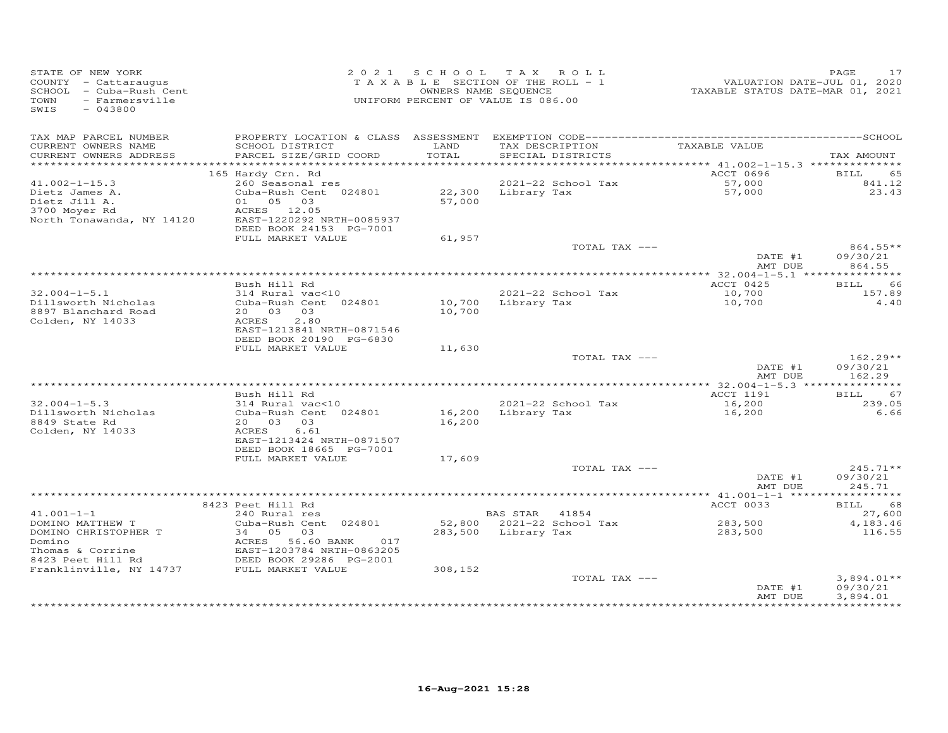| STATE OF NEW YORK<br>COUNTY - Cattaraugus<br>SCHOOL - Cuba-Rush Cent<br>- Farmersville<br>TOWN<br>SWIS<br>$-043800$ |                                                                                                |                  | 2021 SCHOOL TAX ROLL<br>TAXABLE SECTION OF THE ROLL - 1<br>OWNERS NAME SEQUENCE<br>UNIFORM PERCENT OF VALUE IS 086.00 | VALUATION DATE-JUL 01, 2020<br>TAXABLE STATUS DATE-MAR 01, 2021 | PAGE<br>17                           |
|---------------------------------------------------------------------------------------------------------------------|------------------------------------------------------------------------------------------------|------------------|-----------------------------------------------------------------------------------------------------------------------|-----------------------------------------------------------------|--------------------------------------|
| TAX MAP PARCEL NUMBER<br>CURRENT OWNERS NAME<br>CURRENT OWNERS ADDRESS                                              | SCHOOL DISTRICT<br>PARCEL SIZE/GRID COORD                                                      | LAND<br>TOTAL    | TAX DESCRIPTION<br>SPECIAL DISTRICTS                                                                                  | TAXABLE VALUE                                                   | TAX AMOUNT                           |
|                                                                                                                     |                                                                                                |                  |                                                                                                                       |                                                                 |                                      |
|                                                                                                                     | 165 Hardy Crn. Rd                                                                              |                  |                                                                                                                       | ACCT 0696                                                       | 65<br>BILL                           |
| $41.002 - 1 - 15.3$                                                                                                 | 260 Seasonal res                                                                               |                  | 2021-22 School Tax                                                                                                    | 57,000<br>57,000                                                | 841.12                               |
| Dietz James A.<br>Dietz Jill A.<br>3700 Moyer Rd<br>North Tonawanda, NY 14120                                       | Cuba-Rush Cent 024801<br>01 05 03<br>ACRES 12.05<br>EAST-1220292 NRTH-0085937                  | 57,000           | 22,300 Library Tax                                                                                                    |                                                                 | 23.43                                |
|                                                                                                                     | DEED BOOK 24153 PG-7001<br>FULL MARKET VALUE                                                   | 61,957           |                                                                                                                       |                                                                 |                                      |
|                                                                                                                     |                                                                                                |                  | TOTAL TAX ---                                                                                                         |                                                                 | 864.55**                             |
|                                                                                                                     |                                                                                                |                  |                                                                                                                       | DATE #1<br>AMT DUE                                              | 09/30/21<br>864.55                   |
|                                                                                                                     | Bush Hill Rd                                                                                   |                  |                                                                                                                       | ACCT 0425                                                       | BILL<br>66                           |
| $32.004 - 1 - 5.1$                                                                                                  | 314 Rural vac<10                                                                               |                  | 2021-22 School Tax                                                                                                    |                                                                 | 157.89                               |
| Dillsworth Nicholas<br>8897 Blanchard Road<br>Colden, NY 14033                                                      | Cuba-Rush Cent 024801<br>20 03 03<br>2.80<br>ACRES<br>EAST-1213841 NRTH-0871546                | 10,700           | 10,700 Library Tax                                                                                                    | 10,700<br>10,700                                                | 4.40                                 |
|                                                                                                                     | DEED BOOK 20190 PG-6830<br>FULL MARKET VALUE                                                   | 11,630           |                                                                                                                       |                                                                 |                                      |
|                                                                                                                     |                                                                                                |                  | TOTAL TAX ---                                                                                                         |                                                                 | $162.29**$                           |
|                                                                                                                     |                                                                                                |                  |                                                                                                                       | DATE #1<br>AMT DUE                                              | 09/30/21<br>162.29                   |
|                                                                                                                     |                                                                                                |                  |                                                                                                                       |                                                                 |                                      |
| $32.004 - 1 - 5.3$                                                                                                  | Bush Hill Rd<br>314 Rural vac<10                                                               |                  | 2021-22 School Tax                                                                                                    | ACCT 1191<br>16,200                                             | <b>BILL</b><br>67<br>239.05          |
| Dillsworth Nicholas<br>8849 State Rd<br>Colden, NY 14033                                                            | Cuba-Rush Cent 024801<br>20  03  03<br>6.61<br>ACRES<br>EAST-1213424 NRTH-0871507              | 16,200<br>16,200 | Library Tax                                                                                                           | 16,200                                                          | 6.66                                 |
|                                                                                                                     | DEED BOOK 18665 PG-7001                                                                        |                  |                                                                                                                       |                                                                 |                                      |
|                                                                                                                     | FULL MARKET VALUE                                                                              | 17,609           |                                                                                                                       |                                                                 |                                      |
|                                                                                                                     |                                                                                                |                  | TOTAL TAX ---                                                                                                         | DATE #1                                                         | $245.71**$<br>09/30/21               |
|                                                                                                                     |                                                                                                |                  |                                                                                                                       | AMT DUE                                                         | 245.71                               |
|                                                                                                                     | 8423 Peet Hill Rd                                                                              |                  |                                                                                                                       | ACCT 0033                                                       | BILL 68                              |
| $41.001 - 1 - 1$                                                                                                    | 240 Rural res                                                                                  |                  | BAS STAR 41854                                                                                                        |                                                                 | 27,600                               |
| DOMINO MATTHEW T                                                                                                    | Cuba-Rush Cent 024801                                                                          |                  | 52,800 2021-22 School Tax                                                                                             | 283,500                                                         | 4,183.46                             |
| DOMINO CHRISTOPHER T<br>Domino<br>Thomas & Corrine                                                                  | 34 05<br>03<br>ACRES 56.60 BANK<br>017<br>EAST-1203784 NRTH-0863205<br>DEED BOOK 29286 PG-2001 |                  | 283,500 Library Tax                                                                                                   | 283,500                                                         | 116.55                               |
| 8423 Peet Hill Rd                                                                                                   |                                                                                                |                  |                                                                                                                       |                                                                 |                                      |
| Franklinville, NY 14737 FULL MARKET VALUE                                                                           |                                                                                                | 308,152          |                                                                                                                       |                                                                 |                                      |
|                                                                                                                     |                                                                                                |                  | TOTAL TAX ---                                                                                                         | DATE #1<br>AMT DUE                                              | $3,894.01**$<br>09/30/21<br>3,894.01 |
|                                                                                                                     |                                                                                                |                  |                                                                                                                       |                                                                 |                                      |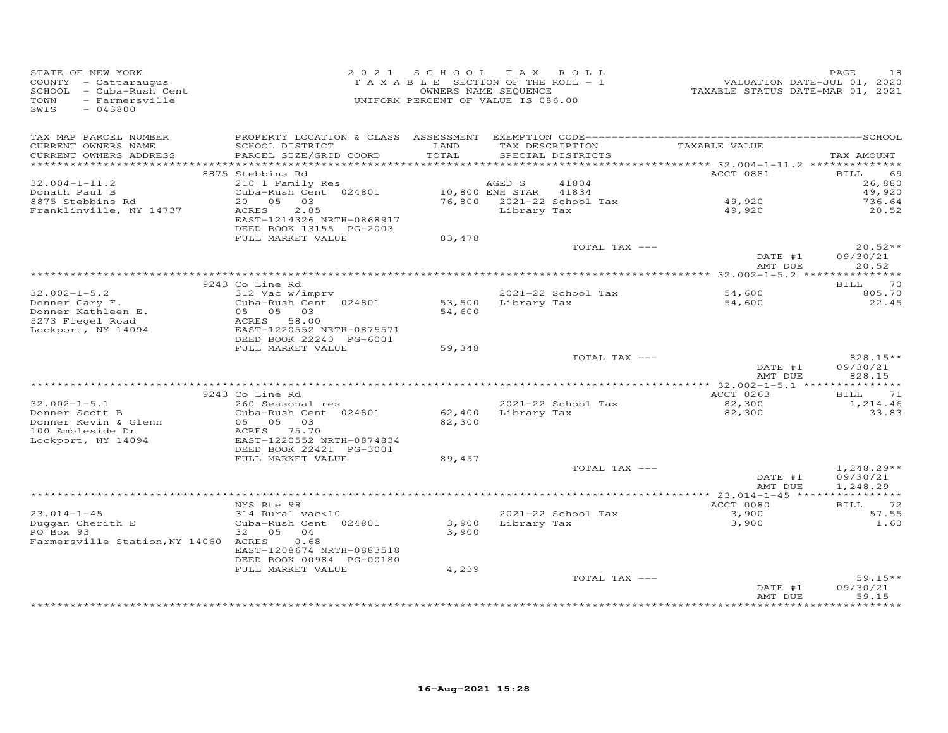| STATE OF NEW YORK<br>COUNTY - Cattaraugus<br>SCHOOL - Cuba-Rush Cent<br>TOWN<br>- Farmersville<br>SWIS<br>$-043800$ |                                                                       | 2021 SCHOOL TAX ROLL<br>TAXABLE SECTION OF THE ROLL - 1<br>OWNERS NAME SEQUENCE<br>UNIFORM PERCENT OF VALUE IS 086.00 |                    |                                      | VALUATION DATE-JUL 01, 2020<br>TAXABLE STATUS DATE-MAR 01, 2021 | PAGE<br>18            |
|---------------------------------------------------------------------------------------------------------------------|-----------------------------------------------------------------------|-----------------------------------------------------------------------------------------------------------------------|--------------------|--------------------------------------|-----------------------------------------------------------------|-----------------------|
| TAX MAP PARCEL NUMBER                                                                                               |                                                                       |                                                                                                                       |                    |                                      |                                                                 |                       |
| CURRENT OWNERS NAME<br>CURRENT OWNERS ADDRESS                                                                       | SCHOOL DISTRICT<br>PARCEL SIZE/GRID COORD                             | LAND<br>TOTAL                                                                                                         |                    | TAX DESCRIPTION<br>SPECIAL DISTRICTS | TAXABLE VALUE                                                   | TAX AMOUNT            |
|                                                                                                                     |                                                                       |                                                                                                                       |                    |                                      |                                                                 |                       |
|                                                                                                                     | 8875 Stebbins Rd                                                      |                                                                                                                       |                    |                                      | <b>ACCT 0881</b>                                                | 69<br>BILL            |
| $32.004 - 1 - 11.2$                                                                                                 | 210 1 Family Res                                                      |                                                                                                                       | AGED S             | 41804                                |                                                                 | 26,880                |
| Donath Paul B                                                                                                       | Cuba-Rush Cent 024801                                                 | 10,800 ENH STAR 41834                                                                                                 |                    |                                      |                                                                 | 49,920                |
| 8875 Stebbins Rd                                                                                                    | 20  05  03                                                            |                                                                                                                       |                    | 76,800 2021-22 School Tax            | 49,920                                                          | 736.64                |
| Franklinville, NY 14737                                                                                             | ACRES<br>2.85<br>EAST-1214326 NRTH-0868917<br>DEED BOOK 13155 PG-2003 |                                                                                                                       | Library Tax        |                                      | 49,920                                                          | 20.52                 |
|                                                                                                                     | FULL MARKET VALUE                                                     | 83,478                                                                                                                |                    |                                      |                                                                 |                       |
|                                                                                                                     |                                                                       |                                                                                                                       |                    | TOTAL TAX ---                        | DATE #1                                                         | $20.52**$<br>09/30/21 |
|                                                                                                                     |                                                                       |                                                                                                                       |                    |                                      | AMT DUE                                                         | 20.52                 |
|                                                                                                                     |                                                                       |                                                                                                                       |                    |                                      |                                                                 |                       |
|                                                                                                                     | 9243 Co Line Rd                                                       |                                                                                                                       |                    |                                      |                                                                 | BILL 70               |
| $32.002 - 1 - 5.2$                                                                                                  | 312 Vac w/imprv                                                       |                                                                                                                       |                    | 2021-22 School Tax                   | 54,600                                                          | 805.70                |
| Donner Gary F.                                                                                                      | Cuba-Rush Cent 024801                                                 |                                                                                                                       | 53,500 Library Tax |                                      | 54,600                                                          | 22.45                 |
| Donner Kathleen E.                                                                                                  | 05 05 03                                                              | 54,600                                                                                                                |                    |                                      |                                                                 |                       |
| 5273 Fiegel Road<br>Lockport, NY 14094                                                                              | ACRES 58.00<br>EAST-1220552 NRTH-0875571                              |                                                                                                                       |                    |                                      |                                                                 |                       |
|                                                                                                                     | DEED BOOK 22240 PG-6001                                               |                                                                                                                       |                    |                                      |                                                                 |                       |
|                                                                                                                     | FULL MARKET VALUE                                                     | 59,348                                                                                                                |                    |                                      |                                                                 |                       |
|                                                                                                                     |                                                                       |                                                                                                                       |                    | TOTAL TAX ---                        |                                                                 | 828.15**              |
|                                                                                                                     |                                                                       |                                                                                                                       |                    |                                      | DATE #1                                                         | 09/30/21              |
|                                                                                                                     |                                                                       |                                                                                                                       |                    |                                      | AMT DUE                                                         | 828.15                |
|                                                                                                                     |                                                                       |                                                                                                                       |                    |                                      |                                                                 |                       |
|                                                                                                                     | 9243 Co Line Rd                                                       |                                                                                                                       |                    |                                      | ACCT 0263                                                       | 71<br>BILL            |
| $32.002 - 1 - 5.1$<br>Donner Scott B                                                                                | 260 Seasonal res                                                      |                                                                                                                       |                    | 2021-22 School Tax                   | 82,300                                                          | 1,214.46              |
| Donner Kevin & Glenn                                                                                                | Cuba-Rush Cent 024801<br>05 05 03                                     | 62,400<br>82,300                                                                                                      |                    | Library Tax                          | 82,300                                                          | 33.83                 |
| 100 Ambleside Dr                                                                                                    | ACRES 75.70                                                           |                                                                                                                       |                    |                                      |                                                                 |                       |
| Lockport, NY 14094                                                                                                  | EAST-1220552 NRTH-0874834                                             |                                                                                                                       |                    |                                      |                                                                 |                       |
|                                                                                                                     | DEED BOOK 22421 PG-3001                                               |                                                                                                                       |                    |                                      |                                                                 |                       |
|                                                                                                                     | FULL MARKET VALUE                                                     | 89,457                                                                                                                |                    |                                      |                                                                 |                       |
|                                                                                                                     |                                                                       |                                                                                                                       |                    | TOTAL TAX ---                        |                                                                 | $1,248.29**$          |
|                                                                                                                     |                                                                       |                                                                                                                       |                    |                                      | DATE #1                                                         | 09/30/21              |
|                                                                                                                     |                                                                       |                                                                                                                       |                    |                                      | AMT DUE                                                         | 1,248.29              |
|                                                                                                                     | NYS Rte 98                                                            |                                                                                                                       |                    |                                      | ACCT 0080                                                       | BILL 72               |
| $23.014 - 1 - 45$                                                                                                   | 314 Rural vac<10                                                      |                                                                                                                       |                    | 2021-22 School Tax                   | 3,900                                                           | 57.55                 |
| Duggan Cherith E                                                                                                    | Cuba-Rush Cent 024801                                                 |                                                                                                                       |                    | 3,900 Library Tax                    | 3,900                                                           | 1.60                  |
| PO Box 93                                                                                                           | 32  05  04                                                            | 3,900                                                                                                                 |                    |                                      |                                                                 |                       |
| Farmersville Station, NY 14060 ACRES                                                                                | 0.68                                                                  |                                                                                                                       |                    |                                      |                                                                 |                       |
|                                                                                                                     | EAST-1208674 NRTH-0883518                                             |                                                                                                                       |                    |                                      |                                                                 |                       |
|                                                                                                                     | DEED BOOK 00984 PG-00180                                              |                                                                                                                       |                    |                                      |                                                                 |                       |
|                                                                                                                     | FULL MARKET VALUE                                                     | 4,239                                                                                                                 |                    |                                      |                                                                 |                       |
|                                                                                                                     |                                                                       |                                                                                                                       |                    | TOTAL TAX ---                        | DATE #1                                                         | $59.15**$<br>09/30/21 |
|                                                                                                                     |                                                                       |                                                                                                                       |                    |                                      | AMT DUE                                                         | 59.15                 |
|                                                                                                                     |                                                                       |                                                                                                                       |                    |                                      |                                                                 | ********              |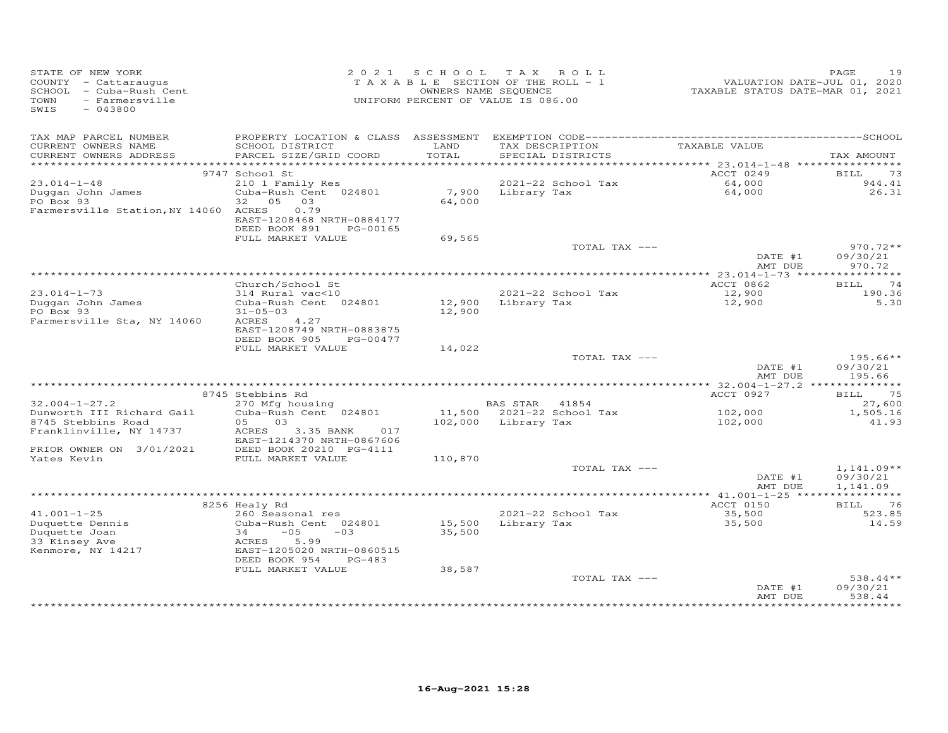| STATE OF NEW YORK<br>COUNTY - Cattaraugus<br>SCHOOL - Cuba-Rush Cent<br>TOWN<br>- Farmersville<br>SWIS<br>$-043800$ |                                                        | 2021 SCHOOL     | TAX ROLL<br>TAXABLE SECTION OF THE ROLL - 1<br>OWNERS NAME SEQUENCE<br>UNIFORM PERCENT OF VALUE IS 086.00 | VALUATION DATE-JUL 01, 2020<br>TAXABLE STATUS DATE-MAR 01, 2021 | PAGE<br>19           |
|---------------------------------------------------------------------------------------------------------------------|--------------------------------------------------------|-----------------|-----------------------------------------------------------------------------------------------------------|-----------------------------------------------------------------|----------------------|
| TAX MAP PARCEL NUMBER<br>CURRENT OWNERS NAME<br>CURRENT OWNERS ADDRESS                                              | SCHOOL DISTRICT<br>PARCEL SIZE/GRID COORD              | LAND<br>TOTAL   | TAX DESCRIPTION<br>SPECIAL DISTRICTS                                                                      | TAXABLE VALUE                                                   | TAX AMOUNT           |
|                                                                                                                     |                                                        |                 |                                                                                                           |                                                                 |                      |
|                                                                                                                     | 9747 School St                                         |                 |                                                                                                           | ACCT 0249                                                       | BILL<br>73           |
| $23.014 - 1 - 48$                                                                                                   | 210 1 Family Res                                       |                 | 2021-22 School Tax                                                                                        | 64,000<br>64,000                                                | 944.41               |
| Duggan John James<br>PO Box 93                                                                                      | Cuba-Rush Cent 024801<br>32 05 03                      | 7,900<br>64,000 | Library Tax                                                                                               |                                                                 | 26.31                |
| Farmersville Station, NY 14060 ACRES                                                                                | 0.79                                                   |                 |                                                                                                           |                                                                 |                      |
|                                                                                                                     | EAST-1208468 NRTH-0884177                              |                 |                                                                                                           |                                                                 |                      |
|                                                                                                                     | DEED BOOK 891<br>PG-00165                              |                 |                                                                                                           |                                                                 |                      |
|                                                                                                                     | FULL MARKET VALUE                                      | 69,565          | TOTAL TAX ---                                                                                             |                                                                 | $970.72**$           |
|                                                                                                                     |                                                        |                 |                                                                                                           | DATE #1                                                         | 09/30/21             |
|                                                                                                                     |                                                        |                 |                                                                                                           | AMT DUE                                                         | 970.72               |
|                                                                                                                     |                                                        |                 |                                                                                                           |                                                                 |                      |
| $23.014 - 1 - 73$                                                                                                   | Church/School St<br>314 Rural vac<10                   |                 | 2021-22 School Tax                                                                                        | ACCT 0862<br>12,900                                             | 74<br>BILL<br>190.36 |
| Duggan John James                                                                                                   | Cuba-Rush Cent 024801                                  |                 | 12,900 Library Tax                                                                                        | 12,900                                                          | 5.30                 |
| PO Box 93                                                                                                           | $31 - 05 - 03$                                         | 12,900          |                                                                                                           |                                                                 |                      |
| Farmersville Sta, NY 14060                                                                                          | 4.27<br>ACRES                                          |                 |                                                                                                           |                                                                 |                      |
|                                                                                                                     | EAST-1208749 NRTH-0883875                              |                 |                                                                                                           |                                                                 |                      |
|                                                                                                                     | DEED BOOK 905<br>PG-00477<br>FULL MARKET VALUE         | 14,022          |                                                                                                           |                                                                 |                      |
|                                                                                                                     |                                                        |                 | TOTAL TAX ---                                                                                             |                                                                 | $195.66**$           |
|                                                                                                                     |                                                        |                 |                                                                                                           | DATE #1                                                         | 09/30/21             |
|                                                                                                                     |                                                        |                 |                                                                                                           | AMT DUE                                                         | 195.66               |
|                                                                                                                     | 8745 Stebbins Rd                                       |                 |                                                                                                           | ACCT 0927                                                       | BILL<br>75           |
| $32.004 - 1 - 27.2$                                                                                                 | 270 Mfg housing                                        |                 | BAS STAR 41854                                                                                            |                                                                 | 27,600               |
| Dunworth III Richard Gail                                                                                           | Cuba-Rush Cent 024801                                  |                 | 11,500 2021-22 School Tax                                                                                 | 102,000                                                         | 1,505.16             |
| 8745 Stebbins Road                                                                                                  | 03<br>05                                               |                 | 102,000 Library Tax                                                                                       | 102,000                                                         | 41.93                |
| Franklinville, NY 14737                                                                                             | 3.35 BANK<br>017<br>ACRES                              |                 |                                                                                                           |                                                                 |                      |
| PRIOR OWNER ON 3/01/2021                                                                                            | EAST-1214370 NRTH-0867606                              |                 |                                                                                                           |                                                                 |                      |
| Yates Kevin                                                                                                         | DEED BOOK 20210 PG-4111<br>FULL MARKET VALUE           | 110,870         |                                                                                                           |                                                                 |                      |
|                                                                                                                     |                                                        |                 | TOTAL TAX ---                                                                                             |                                                                 | $1,141.09**$         |
|                                                                                                                     |                                                        |                 |                                                                                                           | DATE #1                                                         | 09/30/21             |
|                                                                                                                     |                                                        |                 |                                                                                                           | AMT DUE                                                         | 1,141.09             |
|                                                                                                                     | 8256 Healy Rd                                          |                 |                                                                                                           | ACCT 0150                                                       | 76<br>BILL           |
| $41.001 - 1 - 25$                                                                                                   | 260 Seasonal res                                       |                 | 2021-22 School Tax                                                                                        | 35,500                                                          | 523.85               |
| Duquette Dennis                                                                                                     | Cuba-Rush Cent 024801                                  | 15,500          | Library Tax                                                                                               | 35,500                                                          | 14.59                |
| Duquette Joan                                                                                                       | $-05$<br>34<br>$-03$                                   | 35,500          |                                                                                                           |                                                                 |                      |
| 33 Kinsey Ave                                                                                                       | ACRES<br>5.99                                          |                 |                                                                                                           |                                                                 |                      |
| Kenmore, NY 14217                                                                                                   | EAST-1205020 NRTH-0860515<br>DEED BOOK 954<br>$PG-483$ |                 |                                                                                                           |                                                                 |                      |
|                                                                                                                     | FULL MARKET VALUE                                      | 38,587          |                                                                                                           |                                                                 |                      |
|                                                                                                                     |                                                        |                 | TOTAL TAX ---                                                                                             |                                                                 | $538.44**$           |
|                                                                                                                     |                                                        |                 |                                                                                                           | DATE #1                                                         | 09/30/21             |
|                                                                                                                     |                                                        |                 |                                                                                                           | AMT DUE                                                         | 538.44<br>********   |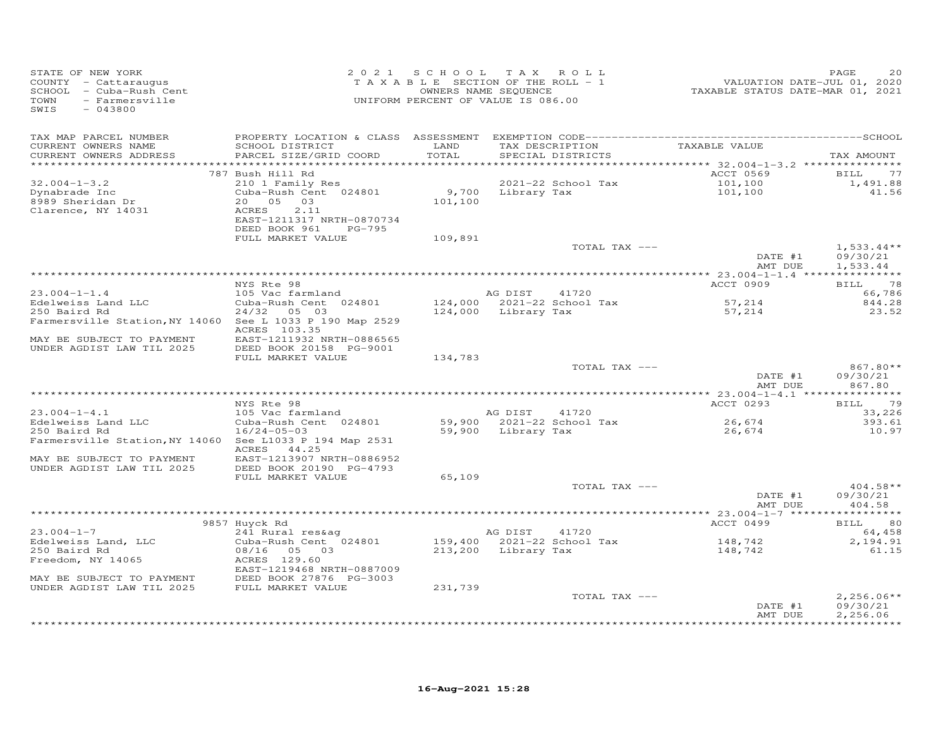| SIALE OF NEW YORK<br>COUNTY - Cattaraugus<br>SCHOOL - Cuba-Rush Cent<br>TOWN - Farmersville<br>SWIS - 042000<br>SWIS<br>$-043800$                                                              |                                                                                                                                                                           | 2021 SCHOOL TAX ROLL<br>UNIFORM PERCENT OF VALUE IS 086.00 |               |                                                                  | TAXABLE SECTION OF THE ROLL - 1<br>TAXABLE SECTION OF THE ROLL - 1<br>OWNERS NAME SEQUENCE TAXABLE STATUS DATE-MAR 01, 2021 | PAGE<br>20                           |
|------------------------------------------------------------------------------------------------------------------------------------------------------------------------------------------------|---------------------------------------------------------------------------------------------------------------------------------------------------------------------------|------------------------------------------------------------|---------------|------------------------------------------------------------------|-----------------------------------------------------------------------------------------------------------------------------|--------------------------------------|
| TAX MAP PARCEL NUMBER<br>CURRENT OWNERS NAME<br>CURRENT OWNERS ADDRESS<br>**********************                                                                                               | SCHOOL DISTRICT<br>PARCEL SIZE/GRID COORD                                                                                                                                 | LAND<br>TOTAL<br>************                              |               | TAX DESCRIPTION<br>SPECIAL DISTRICTS                             | TAXABLE VALUE                                                                                                               | TAX AMOUNT                           |
| $32.004 - 1 - 3.2$<br>Dynabrade Inc<br>8989 Sheridan Dr<br>Clarence, NY 14031                                                                                                                  | 787 Bush Hill Rd<br>210 1 Family Res<br>Cuba-Rush Cent 024801<br>20  05  03<br>ACRES<br>2.11<br>EAST-1211317 NRTH-0870734<br>DEED BOOK 961<br>PG-795<br>FULL MARKET VALUE | 101,100<br>109,891                                         |               | 2021-22 School Tax<br>9,700 Library Tax                          | ACCT 0569<br>101,100<br>101,100                                                                                             | BILL<br>77<br>1,491.88<br>41.56      |
|                                                                                                                                                                                                |                                                                                                                                                                           |                                                            |               | TOTAL TAX ---                                                    | DATE #1<br>AMT DUE                                                                                                          | $1,533.44**$<br>09/30/21<br>1,533.44 |
|                                                                                                                                                                                                | NYS Rte 98                                                                                                                                                                |                                                            |               |                                                                  | ACCT 0909                                                                                                                   | BILL 78                              |
| $23.004 - 1 - 1.4$<br>Edelweiss Land LLC<br>250 Baird Rd<br>250 Baird Rd<br>Farmersville Station, NY 14060 See L 1033 P 190 Map 2529<br>MAY BE SUBJECT TO PAYMENT<br>UNDER AGDIST LAW TIL 2025 | 105 Vac farmland<br>Cuba-Rush Cent 024801<br>24/32 05 03<br>ACRES 103.35<br>EAST-1211932 NRTH-0886565<br>DEED BOOK 20158 PG-9001                                          |                                                            | AG DIST 41720 |                                                                  | 57,214<br>57,214                                                                                                            | 66,786<br>844.28<br>23.52            |
|                                                                                                                                                                                                | FULL MARKET VALUE                                                                                                                                                         | 134,783                                                    |               | TOTAL TAX ---                                                    | DATE #1<br>AMT DUE                                                                                                          | $867.80**$<br>09/30/21<br>867.80     |
|                                                                                                                                                                                                | NYS Rte 98                                                                                                                                                                |                                                            |               |                                                                  | ACCT 0293                                                                                                                   | BILL 79                              |
| $23.004 - 1 - 4.1$<br>23.004-1-4.1<br>Edelweiss Land LLC<br>250 Baird Rd<br>Farmersville Station, NY 14060 See L1033 P 194 Map 2531<br>MAY BE SUBJECT TO PAYMENT                               | 105 Vac farmland<br>Cuba-Rush Cent 024801<br>$16/24 - 05 - 03$<br>ACRES 44.25<br>EAST-1213907 NRTH-0886952                                                                |                                                            |               | AG DIST 41720<br>59,900 2021-22 School Tax<br>59,900 Library Tax | 26,674<br>26,674                                                                                                            | 33,226<br>393.61<br>10.97            |
| UNDER AGDIST LAW TIL 2025                                                                                                                                                                      | DEED BOOK 20190 PG-4793<br>FULL MARKET VALUE                                                                                                                              | 65,109                                                     |               | TOTAL TAX ---                                                    | DATE #1<br>AMT DUE                                                                                                          | $404.58**$<br>09/30/21<br>404.58     |
|                                                                                                                                                                                                | 9857 Huyck Rd                                                                                                                                                             |                                                            |               |                                                                  | ACCT 0499                                                                                                                   | BILL 80                              |
| $23.004 - 1 - 7$<br>Edelweiss Land, LLC<br>250 Baird Rd<br>Freedom, NY 14065<br>MAY BE SUBJECT TO PAYMENT                                                                                      | 241 Rural res&ag<br>Cuba-Rush Cent 024801<br>08/16 05 03<br>ACRES 129.60<br>EAST-1219468 NRTH-0887009<br>DEED BOOK 27876 PG-3003                                          |                                                            | AG DIST 41720 | 159,400 2021-22 School Tax<br>213,200 Library Tax                | 148,742<br>148,742                                                                                                          | 64,458<br>2,194.91<br>61.15          |
| UNDER AGDIST LAW TIL 2025                                                                                                                                                                      | FULL MARKET VALUE                                                                                                                                                         | 231,739                                                    |               | TOTAL TAX ---                                                    | DATE #1                                                                                                                     | $2,256.06**$<br>09/30/21             |
|                                                                                                                                                                                                |                                                                                                                                                                           |                                                            |               |                                                                  | AMT DUE                                                                                                                     | 2,256.06<br>* * * * * * * * * * *    |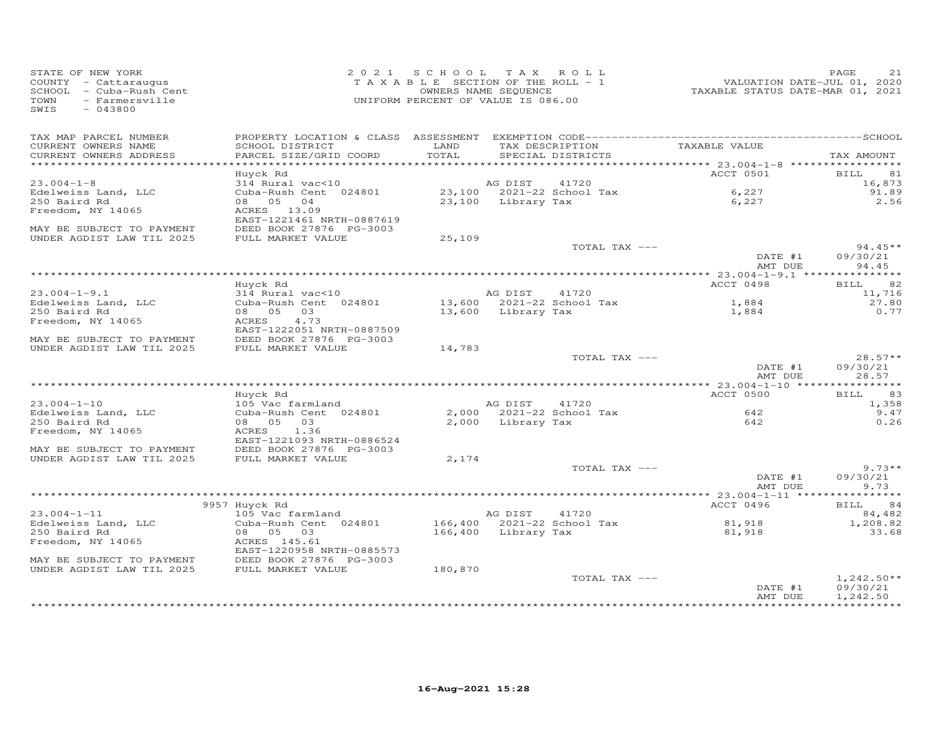| STATE OF NEW YORK<br>COUNTY - Cattaraugus<br>SCHOOL - Cuba-Rush Cent<br>TOWN - Farmersville<br>- Farmersville<br>TOWN<br>SWIS<br>$-043800$ |                                              | 2021 SCHOOL TAX ROLL<br>TAXABLE SECTION OF THE ROLL - 1<br>OWNERS NAME SEQUENCE<br>UNIFORM PERCENT OF VALUE IS 086.00 |                     |                                                    | 21.000 VALUATION DATE-JUL 01, 2020<br>TAXABLE STATUS DATE-MAR 01, 2021 | 21<br>PAGE                     |
|--------------------------------------------------------------------------------------------------------------------------------------------|----------------------------------------------|-----------------------------------------------------------------------------------------------------------------------|---------------------|----------------------------------------------------|------------------------------------------------------------------------|--------------------------------|
| TAX MAP PARCEL NUMBER                                                                                                                      |                                              |                                                                                                                       |                     |                                                    |                                                                        |                                |
| CURRENT OWNERS NAME<br>CURRENT OWNERS ADDRESS                                                                                              | SCHOOL DISTRICT<br>PARCEL SIZE/GRID COORD    | LAND<br>TOTAL                                                                                                         |                     | TAX DESCRIPTION TAXABLE VALUE<br>SPECIAL DISTRICTS |                                                                        | TAX AMOUNT                     |
|                                                                                                                                            | Huyck Rd                                     |                                                                                                                       |                     |                                                    | ACCT 0501                                                              | BILL 81                        |
| $23.004 - 1 - 8$                                                                                                                           | 314 Rural vac<10                             |                                                                                                                       | AG DIST             | 41720                                              |                                                                        | 16,873                         |
| Edelweiss Land, LLC                                                                                                                        | Cuba-Rush Cent 024801                        |                                                                                                                       |                     | 23,100 2021-22 School Tax                          | 6,227                                                                  | 91.89                          |
| 250 Baird Rd                                                                                                                               | 08 05 04                                     |                                                                                                                       | 23,100 Library Tax  |                                                    | 6,227                                                                  | 2.56                           |
| Freedom, NY 14065                                                                                                                          | ACRES 13.09<br>EAST-1221461 NRTH-0887619     |                                                                                                                       |                     |                                                    |                                                                        |                                |
| MAY BE SUBJECT TO PAYMENT<br>UNDER AGDIST LAW TIL 2025                                                                                     | DEED BOOK 27876 PG-3003<br>FULL MARKET VALUE | 25,109                                                                                                                |                     |                                                    |                                                                        |                                |
|                                                                                                                                            |                                              |                                                                                                                       |                     | TOTAL TAX ---                                      |                                                                        | $94.45**$                      |
|                                                                                                                                            |                                              |                                                                                                                       |                     |                                                    | DATE #1<br>AMT DUE                                                     | 09/30/21<br>94.45              |
|                                                                                                                                            |                                              |                                                                                                                       |                     |                                                    |                                                                        |                                |
|                                                                                                                                            | Huyck Rd                                     |                                                                                                                       |                     |                                                    | ACCT 0498                                                              | BILL 82                        |
| $23.004 - 1 - 9.1$<br>Edelweiss Land, LLC                                                                                                  | 314 Rural vac<10<br>Cuba-Rush Cent 024801    |                                                                                                                       | AG DIST             | 41720                                              |                                                                        | 11,716<br>27.80                |
| 250 Baird Rd                                                                                                                               | 08  05  03                                   |                                                                                                                       |                     | 13,600 Library Tax                                 | 1,884<br>1,884                                                         | 0.77                           |
| Freedom, NY 14065                                                                                                                          | ACRES<br>4.73                                |                                                                                                                       |                     |                                                    |                                                                        |                                |
|                                                                                                                                            | EAST-1222051 NRTH-0887509                    |                                                                                                                       |                     |                                                    |                                                                        |                                |
| MAY BE SUBJECT TO PAYMENT                                                                                                                  | DEED BOOK 27876 PG-3003                      |                                                                                                                       |                     |                                                    |                                                                        |                                |
| UNDER AGDIST LAW TIL 2025                                                                                                                  | FULL MARKET VALUE                            | 14,783                                                                                                                |                     |                                                    |                                                                        |                                |
|                                                                                                                                            |                                              |                                                                                                                       |                     | TOTAL TAX ---                                      | DATE #1<br>AMT DUE                                                     | $28.57**$<br>09/30/21<br>28.57 |
|                                                                                                                                            |                                              |                                                                                                                       |                     |                                                    |                                                                        |                                |
|                                                                                                                                            | Huyck Rd                                     |                                                                                                                       |                     |                                                    | ACCT 0500                                                              | 83<br>BILL                     |
| $23.004 - 1 - 10$                                                                                                                          | 105 Vac farmland                             |                                                                                                                       | AG DIST 41720       |                                                    |                                                                        | 1,358                          |
| Edelweiss Land, LLC                                                                                                                        | Cuba-Rush Cent 024801                        |                                                                                                                       |                     | 2,000 2021-22 School Tax                           | 642<br>642                                                             | 9.47                           |
| 250 Baird Rd<br>Freedom, NY 14065                                                                                                          | 08 05 03<br>ACRES 1.36                       |                                                                                                                       | 2,000 Library Tax   |                                                    |                                                                        | 0.26                           |
|                                                                                                                                            | EAST-1221093 NRTH-0886524                    |                                                                                                                       |                     |                                                    |                                                                        |                                |
| MAY BE SUBJECT TO PAYMENT                                                                                                                  | DEED BOOK 27876 PG-3003                      |                                                                                                                       |                     |                                                    |                                                                        |                                |
| UNDER AGDIST LAW TIL 2025                                                                                                                  | FULL MARKET VALUE                            | 2,174                                                                                                                 |                     |                                                    |                                                                        |                                |
|                                                                                                                                            |                                              |                                                                                                                       |                     | TOTAL TAX ---                                      |                                                                        | $9.73**$                       |
|                                                                                                                                            |                                              |                                                                                                                       |                     |                                                    | DATE #1<br>AMT DUE                                                     | 09/30/21<br>9.73               |
|                                                                                                                                            |                                              |                                                                                                                       |                     |                                                    |                                                                        |                                |
|                                                                                                                                            | 9957 Huyck Rd                                |                                                                                                                       |                     |                                                    | ACCT 0496                                                              | BILL 84                        |
| $23.004 - 1 - 11$                                                                                                                          | 105 Vac farmland                             |                                                                                                                       | AG DIST 41720       |                                                    |                                                                        | 84,482                         |
| Edelweiss Land, LLC                                                                                                                        | Cuba-Rush Cent 024801                        |                                                                                                                       |                     | 166,400 2021-22 School Tax                         | 81,918                                                                 | 1,208.82                       |
| 250 Baird Rd                                                                                                                               | 08 05 03<br>ACRES 145.61                     |                                                                                                                       | 166,400 Library Tax |                                                    | 81,918                                                                 | 33.68                          |
| Freedom, NY 14065                                                                                                                          | EAST-1220958 NRTH-0885573                    |                                                                                                                       |                     |                                                    |                                                                        |                                |
| MAY BE SUBJECT TO PAYMENT                                                                                                                  | DEED BOOK 27876 PG-3003                      |                                                                                                                       |                     |                                                    |                                                                        |                                |
| UNDER AGDIST LAW TIL 2025                                                                                                                  | FULL MARKET VALUE                            | 180,870                                                                                                               |                     |                                                    |                                                                        |                                |
|                                                                                                                                            |                                              |                                                                                                                       |                     | TOTAL TAX ---                                      |                                                                        | $1,242.50**$                   |
|                                                                                                                                            |                                              |                                                                                                                       |                     |                                                    | DATE #1                                                                | 09/30/21                       |
|                                                                                                                                            |                                              |                                                                                                                       |                     |                                                    | AMT DUE                                                                | 1,242.50                       |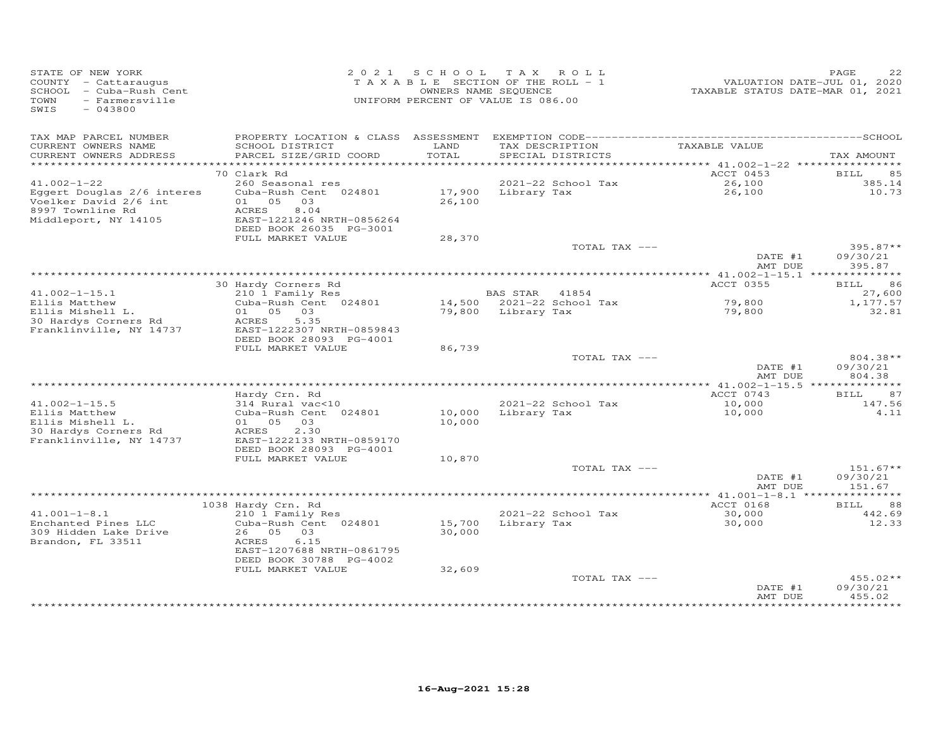| STATE OF NEW YORK<br>COUNTY - Cattaraugus<br>SCHOOL - Cuba-Rush Cent<br>TOWN<br>- Farmersville<br>SWIS<br>$-043800$ |                                                                                                            |                  | 2021 SCHOOL TAX ROLL<br>TAXABLE SECTION OF THE ROLL - 1<br>OWNERS NAME SEQUENCE<br>UNIFORM PERCENT OF VALUE IS 086.00 | VALUATION DATE-JUL 01, 2020<br>TAXABLE STATUS DATE-MAR 01, 2021 | PAGE                             |
|---------------------------------------------------------------------------------------------------------------------|------------------------------------------------------------------------------------------------------------|------------------|-----------------------------------------------------------------------------------------------------------------------|-----------------------------------------------------------------|----------------------------------|
| TAX MAP PARCEL NUMBER                                                                                               |                                                                                                            |                  |                                                                                                                       |                                                                 |                                  |
| CURRENT OWNERS NAME<br>CURRENT OWNERS ADDRESS                                                                       | SCHOOL DISTRICT<br>PARCEL SIZE/GRID COORD                                                                  | LAND<br>TOTAL    | TAX DESCRIPTION<br>SPECIAL DISTRICTS                                                                                  | TAXABLE VALUE                                                   | TAX AMOUNT                       |
|                                                                                                                     | 70 Clark Rd                                                                                                |                  |                                                                                                                       | ********* 41.002-1-22 *****************<br>ACCT 0453            | BILL<br>85                       |
| $41.002 - 1 - 22$                                                                                                   | 260 Seasonal res                                                                                           |                  | 2021-22 School Tax                                                                                                    | 26,100                                                          | 385.14                           |
| Eggert Douglas 2/6 interes<br>Voelker David 2/6 int<br>8997 Townline Rd<br>Middleport, NY 14105                     | Cuba-Rush Cent 024801<br>01 05 03<br>ACRES<br>8.04<br>EAST-1221246 NRTH-0856264<br>DEED BOOK 26035 PG-3001 | 26,100           | 17,900 Library Tax                                                                                                    | 26,100                                                          | 10.73                            |
|                                                                                                                     | FULL MARKET VALUE                                                                                          | 28,370           |                                                                                                                       |                                                                 |                                  |
|                                                                                                                     |                                                                                                            |                  | TOTAL TAX ---                                                                                                         | DATE #1                                                         | $395.87**$<br>09/30/21           |
|                                                                                                                     |                                                                                                            |                  |                                                                                                                       | AMT DUE                                                         | 395.87                           |
|                                                                                                                     | 30 Hardy Corners Rd                                                                                        |                  |                                                                                                                       | <b>ACCT 0355</b>                                                | BILL<br>86                       |
| $41.002 - 1 - 15.1$                                                                                                 | 210 1 Family Res                                                                                           |                  | <b>BAS STAR</b><br>41854                                                                                              |                                                                 | 27,600                           |
| Ellis Matthew                                                                                                       | Cuba-Rush Cent 024801                                                                                      |                  | 14,500 2021-22 School Tax                                                                                             | 79,800                                                          | 1,177.57                         |
| Ellis Mishell L.<br>30 Hardys Corners Rd<br>Franklinville, NY 14737                                                 | 01 05<br>03<br>5.35<br>ACRES<br>EAST-1222307 NRTH-0859843<br>DEED BOOK 28093 PG-4001                       |                  | 79,800 Library Tax                                                                                                    | 79,800                                                          | 32.81                            |
|                                                                                                                     | FULL MARKET VALUE                                                                                          | 86,739           |                                                                                                                       |                                                                 |                                  |
|                                                                                                                     |                                                                                                            |                  | TOTAL TAX ---                                                                                                         | DATE #1<br>AMT DUE                                              | 804.38**<br>09/30/21<br>804.38   |
|                                                                                                                     |                                                                                                            |                  |                                                                                                                       |                                                                 |                                  |
|                                                                                                                     | Hardy Crn. Rd                                                                                              |                  |                                                                                                                       | ACCT 0743                                                       | 87<br><b>BILL</b>                |
| $41.002 - 1 - 15.5$<br>Ellis Matthew<br>Ellis Mishell L.                                                            | 314 Rural vac<10<br>Cuba-Rush Cent 024801<br>01 05 03                                                      | 10,000<br>10,000 | 2021-22 School Tax<br>Library Tax                                                                                     | 10,000<br>10,000                                                | 147.56<br>4.11                   |
| 30 Hardys Corners Rd<br>Franklinville, NY 14737                                                                     | 2.30<br>ACRES<br>EAST-1222133 NRTH-0859170<br>DEED BOOK 28093 PG-4001                                      |                  |                                                                                                                       |                                                                 |                                  |
|                                                                                                                     | FULL MARKET VALUE                                                                                          | 10,870           |                                                                                                                       |                                                                 |                                  |
|                                                                                                                     |                                                                                                            |                  | TOTAL TAX ---                                                                                                         | DATE #1<br>AMT DUE                                              | $151.67**$<br>09/30/21<br>151.67 |
|                                                                                                                     |                                                                                                            |                  |                                                                                                                       | *********** 41.001-1-8.1 ***                                    | *********                        |
|                                                                                                                     | 1038 Hardy Crn. Rd                                                                                         |                  |                                                                                                                       | ACCT 0168                                                       | 88<br>BILL                       |
| $41.001 - 1 - 8.1$                                                                                                  | 210 1 Family Res                                                                                           |                  | 2021-22 School Tax                                                                                                    | 30,000                                                          | 442.69                           |
| Enchanted Pines LLC<br>309 Hidden Lake Drive<br>Brandon, FL 33511                                                   | Cuba-Rush Cent 024801<br>26 05 03<br>ACRES<br>6.15<br>EAST-1207688 NRTH-0861795                            | 15,700<br>30,000 | Library Tax                                                                                                           | 30,000                                                          | 12.33                            |
|                                                                                                                     | DEED BOOK 30788 PG-4002                                                                                    |                  |                                                                                                                       |                                                                 |                                  |
|                                                                                                                     | FULL MARKET VALUE                                                                                          | 32,609           | TOTAL TAX ---                                                                                                         | DATE #1                                                         | $455.02**$<br>09/30/21           |
|                                                                                                                     |                                                                                                            |                  |                                                                                                                       | AMT DUE                                                         | 455.02                           |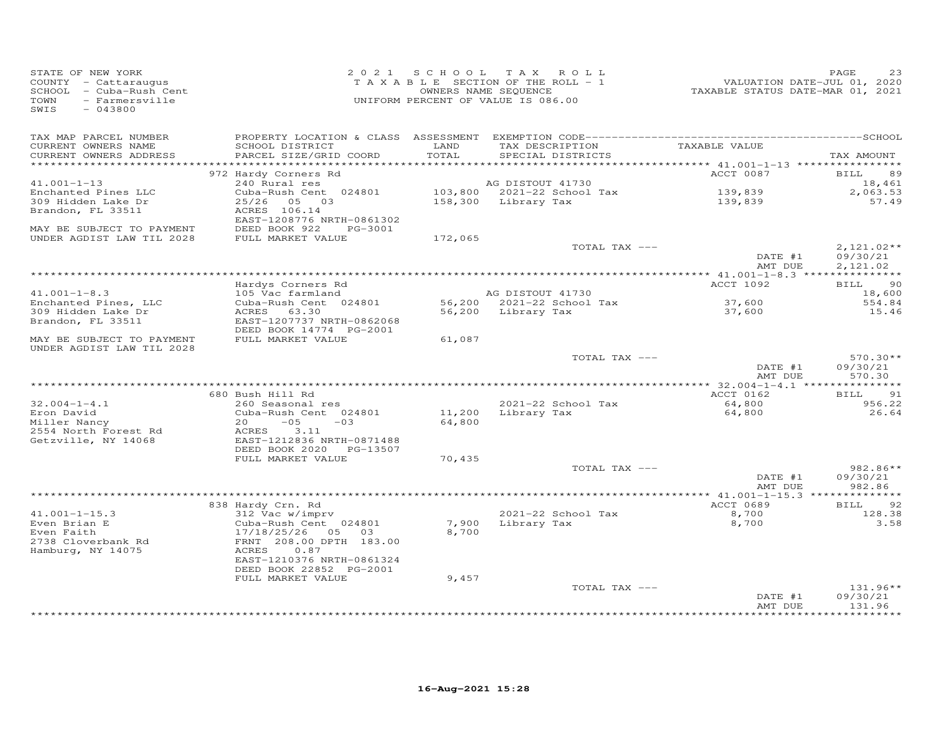|                                                                                                                                                                                               | TAX AMOUNT           |
|-----------------------------------------------------------------------------------------------------------------------------------------------------------------------------------------------|----------------------|
| TAX MAP PARCEL NUMBER                                                                                                                                                                         |                      |
| TAX DESCRIPTION TAXABLE VALUE<br>LAND<br>CURRENT OWNERS NAME<br>SCHOOL DISTRICT<br>TOTAL<br>CURRENT OWNERS ADDRESS<br>SPECIAL DISTRICTS<br>PARCEL SIZE/GRID COORD<br>************************ |                      |
| ACCT 0087<br>972 Hardy Corners Rd                                                                                                                                                             | <b>BILL</b><br>89    |
| $41.001 - 1 - 13$<br>240 Rural res<br>AG DISTOUT 41730                                                                                                                                        | 18,461               |
| Enchanted Pines LLC<br>Cuba-Rush Cent 024801<br>139,839<br>139,839                                                                                                                            | 2,063.53             |
| 309 Hidden Lake Dr<br>25/26 05 03                                                                                                                                                             | 57.49                |
| Brandon, FL 33511<br>ACRES 106.14                                                                                                                                                             |                      |
| EAST-1208776 NRTH-0861302<br>MAY BE SUBJECT TO PAYMENT<br>DEED BOOK 922 PG-3001                                                                                                               |                      |
| UNDER AGDIST LAW TIL 2028<br>FULL MARKET VALUE<br>172,065                                                                                                                                     |                      |
| TOTAL TAX ---                                                                                                                                                                                 | $2,121.02**$         |
| DATE #1<br>AMT DUE                                                                                                                                                                            | 09/30/21<br>2,121.02 |
|                                                                                                                                                                                               |                      |
| ACCT 1092<br>Hardys Corners Rd<br>AG DISTOUT 41730                                                                                                                                            | <b>BILL</b><br>90    |
| $41.001 - 1 - 8.3$<br>105 Vac farmland<br>56,200 2021-22 School Tax<br>Enchanted Pines, LLC<br>Cuba-Rush Cent 024801                                                                          | 18,600<br>554.84     |
| 37,600<br>37,600<br>ACRES 63.30<br>309 Hidden Lake Dr<br>56,200 Library Tax                                                                                                                   | 15.46                |
| EAST-1207737 NRTH-0862068<br>Brandon, FL 33511                                                                                                                                                |                      |
| DEED BOOK 14774 PG-2001                                                                                                                                                                       |                      |
| FULL MARKET VALUE<br>61,087<br>MAY BE SUBJECT TO PAYMENT                                                                                                                                      |                      |
| UNDER AGDIST LAW TIL 2028<br>TOTAL TAX ---                                                                                                                                                    | $570.30**$           |
| DATE #1                                                                                                                                                                                       | 09/30/21             |
| AMT DUE                                                                                                                                                                                       | 570.30               |
|                                                                                                                                                                                               |                      |
| 680 Bush Hill Rd<br>ACCT 0162                                                                                                                                                                 | <b>BILL</b><br>91    |
| $32.004 - 1 - 4.1$<br>2021-22 School Tax<br>64,800<br>260 Seasonal res                                                                                                                        | 956.22               |
| 11,200 Library Tax<br>Eron David<br>Cuba-Rush Cent 024801<br>64,800<br>Miller Nancy<br>20<br>$-05$<br>$-03$<br>64,800                                                                         | 26.64                |
| 2554 North Forest Rd<br>ACRES<br>3.11                                                                                                                                                         |                      |
| Getzville, NY 14068<br>EAST-1212836 NRTH-0871488                                                                                                                                              |                      |
| DEED BOOK 2020 PG-13507                                                                                                                                                                       |                      |
| FULL MARKET VALUE<br>70,435                                                                                                                                                                   |                      |
| TOTAL TAX ---                                                                                                                                                                                 | 982.86**             |
| DATE #1<br>AMT DUE                                                                                                                                                                            | 09/30/21<br>982.86   |
|                                                                                                                                                                                               |                      |
| 838 Hardy Crn. Rd<br>ACCT 0689                                                                                                                                                                | 92<br><b>BILL</b>    |
| $41.001 - 1 - 15.3$<br>312 Vac w/imprv<br>2021-22 School Tax<br>8,700                                                                                                                         | 128.38               |
| Even Brian E<br>Cuba-Rush Cent 024801<br>7,900<br>Library Tax<br>8,700                                                                                                                        | 3.58                 |
| Even Faith<br>17/18/25/26 05 03<br>8,700                                                                                                                                                      |                      |
| 2738 Cloverbank Rd<br>FRNT 208.00 DPTH 183.00<br>0.87                                                                                                                                         |                      |
| Hamburg, NY 14075<br>ACRES<br>EAST-1210376 NRTH-0861324                                                                                                                                       |                      |
| DEED BOOK 22852 PG-2001                                                                                                                                                                       |                      |
| FULL MARKET VALUE<br>9,457                                                                                                                                                                    |                      |
| TOTAL TAX ---                                                                                                                                                                                 | 131.96**             |
| DATE #1                                                                                                                                                                                       | 09/30/21             |
| AMT DUE                                                                                                                                                                                       | 131.96               |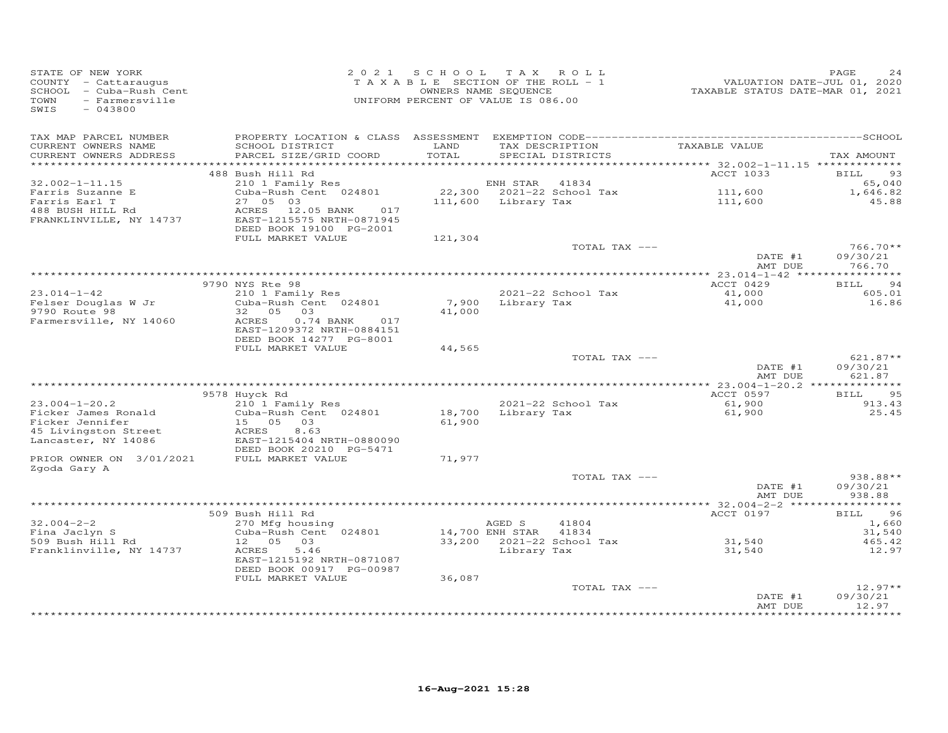| TAX MAP PARCEL NUMBER                                                                                                                                                                                                                                                                            |                                                        |
|--------------------------------------------------------------------------------------------------------------------------------------------------------------------------------------------------------------------------------------------------------------------------------------------------|--------------------------------------------------------|
| TAXABLE VALUE<br>CURRENT OWNERS NAME<br>SCHOOL DISTRICT<br>LAND<br>TAX DESCRIPTION<br>CURRENT OWNERS ADDRESS<br>PARCEL SIZE/GRID COORD<br>TOTAL<br>SPECIAL DISTRICTS<br>************************                                                                                                 | TAX AMOUNT                                             |
| 488 Bush Hill Rd<br>ACCT 1033                                                                                                                                                                                                                                                                    | <b>BILL</b><br>93                                      |
| $32.002 - 1 - 11.15$<br>210 1 Family Res<br>ENH STAR 41834                                                                                                                                                                                                                                       | 65,040                                                 |
| 111,600<br>111,600<br>Farris Suzanne E<br>Cuba-Rush Cent 024801<br>22,300 2021-22 School Tax<br>27 05 03<br>111,600 Library Tax<br>Farris Earl T<br>488 BUSH HILL Rd<br>ACRES<br>12.05 BANK<br>017<br>FRANKLINVILLE, NY 14737<br>EAST-1215575 NRTH-0871945<br>DEED BOOK 19100 PG-2001            | 1,646.82<br>45.88                                      |
| FULL MARKET VALUE<br>121,304                                                                                                                                                                                                                                                                     |                                                        |
| TOTAL TAX ---                                                                                                                                                                                                                                                                                    | 766.70**<br>DATE #1<br>09/30/21<br>766.70<br>AMT DUE   |
|                                                                                                                                                                                                                                                                                                  |                                                        |
| 9790 NYS Rte 98<br>ACCT 0429<br>210 1 Family Res<br>41,000<br>$23.014 - 1 - 42$<br>2021-22 School Tax                                                                                                                                                                                            | <b>BILL</b><br>94<br>605.01                            |
| Cuba-Rush Cent 024801<br>7,900 Library Tax<br>Felser Douglas W Jr<br>41,000                                                                                                                                                                                                                      | 16.86                                                  |
| 9790 Route 98<br>32 05 03<br>41,000<br>Farmersville, NY 14060<br>$0.74$ BANK<br>017<br>ACRES<br>EAST-1209372 NRTH-0884151<br>DEED BOOK 14277 PG-8001                                                                                                                                             |                                                        |
| FULL MARKET VALUE<br>44,565                                                                                                                                                                                                                                                                      |                                                        |
| TOTAL TAX ---                                                                                                                                                                                                                                                                                    | $621.87**$<br>DATE #1<br>09/30/21<br>AMT DUE<br>621.87 |
|                                                                                                                                                                                                                                                                                                  |                                                        |
| 9578 Huyck Rd<br>ACCT 0597                                                                                                                                                                                                                                                                       | <b>BILL</b><br>95                                      |
| 210 1 Family Res<br>2021-22 School Tax<br>$23.004 - 1 - 20.2$<br>61,900<br>18,700 Library Tax<br>Ficker James Ronald<br>Cuba-Rush Cent 024801<br>61,900<br>61,900<br>Ficker Jennifer<br>15 05<br>03<br>45 Livingston Street<br>ACRES<br>8.63<br>Lancaster, NY 14086<br>EAST-1215404 NRTH-0880090 | 913.43<br>25.45                                        |
| DEED BOOK 20210 PG-5471                                                                                                                                                                                                                                                                          |                                                        |
| PRIOR OWNER ON 3/01/2021<br>FULL MARKET VALUE<br>71,977                                                                                                                                                                                                                                          |                                                        |
| Zgoda Gary A<br>TOTAL TAX ---                                                                                                                                                                                                                                                                    | 938.88**                                               |
|                                                                                                                                                                                                                                                                                                  | DATE #1<br>09/30/21<br>AMT DUE<br>938.88               |
|                                                                                                                                                                                                                                                                                                  |                                                        |
| 509 Bush Hill Rd<br>ACCT 0197<br>$32.004 - 2 - 2$<br>270 Mfg housing<br>AGED S<br>41804                                                                                                                                                                                                          | 96<br>BILL<br>1,660                                    |
| Cuba-Rush Cent 024801<br>14,700 ENH STAR<br>Fina Jaclyn S<br>41834                                                                                                                                                                                                                               | 31,540                                                 |
| 31,540<br>509 Bush Hill Rd<br>12  05  03<br>33,200 2021-22 School Tax<br>5.46<br>31,540<br>Franklinville, NY 14737<br>ACRES<br>Library Tax<br>EAST-1215192 NRTH-0871087<br>DEED BOOK 00917 PG-00987                                                                                              | 465.42<br>12.97                                        |
| FULL MARKET VALUE<br>36,087                                                                                                                                                                                                                                                                      |                                                        |
| TOTAL TAX ---                                                                                                                                                                                                                                                                                    | $12.97**$<br>09/30/21<br>DATE #1<br>12.97<br>AMT DUE   |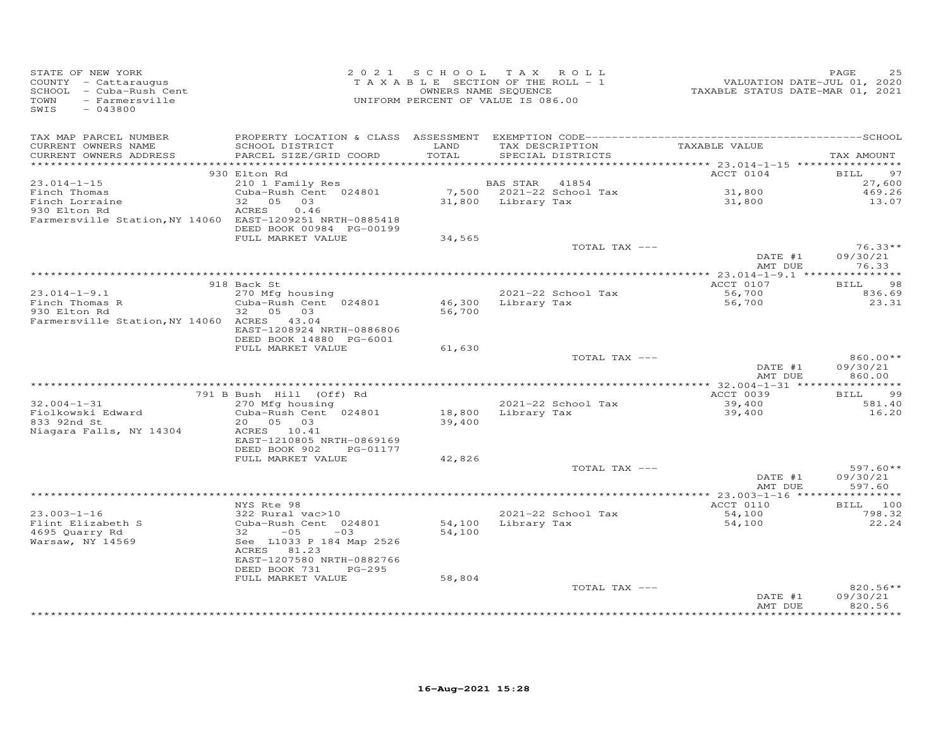| STATE OF NEW YORK<br>SCHOOL - Cattaraugus<br>SCHOOL - Cuba-Rush Cent<br>TOWN - Farmersville<br>SWIS - 043800 |                                                   |        | 2021 SCHOOL TAX ROLL<br>PAGE 25<br>TAXABLE SECTION OF THE ROLL - 1<br>OWNERS NAME SEQUENCE<br>UNIFORM PERCENT OF VALUE IS 086.00<br>UNIFORM PERCENT OF VALUE IS 086.00 |                    | PAGE                           |
|--------------------------------------------------------------------------------------------------------------|---------------------------------------------------|--------|------------------------------------------------------------------------------------------------------------------------------------------------------------------------|--------------------|--------------------------------|
| TAX MAP PARCEL NUMBER                                                                                        |                                                   |        |                                                                                                                                                                        |                    |                                |
| CURRENT OWNERS NAME<br>CURRENT OWNERS ADDRESS                                                                | SCHOOL DISTRICT LAND<br>PARCEL SIZE/GRID COORD    | TOTAL  | TAX DESCRIPTION TAXABLE VALUE<br>SPECIAL DISTRICTS                                                                                                                     |                    | TAX AMOUNT                     |
|                                                                                                              | 930 Elton Rd                                      |        |                                                                                                                                                                        | ACCT 0104          | <b>BILL</b><br>97              |
| $23.014 - 1 - 15$                                                                                            | 210 1 Family Res                                  |        | BAS STAR 41854                                                                                                                                                         |                    | 27,600                         |
|                                                                                                              | Cuba-Rush Cent 024801                             |        | 7,500 2021-22 School Tax<br>31,800 Library Tax                                                                                                                         | 31,800<br>31,800   | 469.26                         |
| Finch Thomas<br>Finch Lorraine<br>930 Elton Rd                                                               | $32 \t 05 \t 03$                                  |        |                                                                                                                                                                        |                    | 13.07                          |
| Farmersville Station, NY 14060 EAST-1209251 NRTH-0885418                                                     | 0.46<br>ACRES<br>DEED BOOK 00984 PG-00199         |        |                                                                                                                                                                        |                    |                                |
|                                                                                                              | FULL MARKET VALUE                                 | 34,565 |                                                                                                                                                                        |                    |                                |
|                                                                                                              |                                                   |        | TOTAL TAX ---                                                                                                                                                          | DATE #1<br>AMT DUE | $76.33**$<br>09/30/21<br>76.33 |
|                                                                                                              |                                                   |        |                                                                                                                                                                        |                    |                                |
|                                                                                                              | 918 Back St                                       |        |                                                                                                                                                                        | ACCT 0107          | <b>BILL</b><br>98              |
| $23.014 - 1 - 9.1$                                                                                           | 270 Mfg housing                                   |        | 2021-22 School Tax                                                                                                                                                     | 56,700             | 836.69                         |
| Finch Thomas R<br>930 Elton Rd                                                                               | Cuba-Rush Cent 024801                             |        | 46,300 Library Tax                                                                                                                                                     | 56,700             | 23.31                          |
| Farmersville Station, NY 14060 ACRES 43.04                                                                   |                                                   | 56,700 |                                                                                                                                                                        |                    |                                |
|                                                                                                              | EAST-1208924 NRTH-0886806                         |        |                                                                                                                                                                        |                    |                                |
|                                                                                                              | DEED BOOK 14880 PG-6001                           |        |                                                                                                                                                                        |                    |                                |
|                                                                                                              | FULL MARKET VALUE                                 | 61,630 |                                                                                                                                                                        |                    |                                |
|                                                                                                              |                                                   |        | TOTAL TAX ---                                                                                                                                                          | DATE #1            | 860.00**<br>09/30/21           |
|                                                                                                              |                                                   |        |                                                                                                                                                                        | AMT DUE            | 860.00                         |
|                                                                                                              |                                                   |        |                                                                                                                                                                        |                    |                                |
|                                                                                                              | 791 B Bush Hill (Off) Rd                          |        |                                                                                                                                                                        | ACCT 0039          | BILL 99                        |
| $32.004 - 1 - 31$                                                                                            | 270 Mfg housing<br>Cuba-Rush Cent 024801          |        | 2021-22 School Tax                                                                                                                                                     | 39,400<br>39,400   | 581.40<br>16.20                |
| Fiolkowski Edward<br>833 92nd St                                                                             | 20 05 03                                          |        |                                                                                                                                                                        |                    |                                |
| Niagara Falls, NY 14304                                                                                      | ACRES 10.41                                       |        | $2021 - 22$<br>18,800 Library Tax<br>39,400                                                                                                                            |                    |                                |
|                                                                                                              | EAST-1210805 NRTH-0869169                         |        |                                                                                                                                                                        |                    |                                |
|                                                                                                              | DEED BOOK 902 PG-01177                            |        |                                                                                                                                                                        |                    |                                |
|                                                                                                              | FULL MARKET VALUE                                 | 42,826 | TOTAL TAX ---                                                                                                                                                          |                    | 597.60**                       |
|                                                                                                              |                                                   |        |                                                                                                                                                                        | DATE #1            | 09/30/21                       |
|                                                                                                              |                                                   |        |                                                                                                                                                                        | AMT DUE            | 597.60                         |
|                                                                                                              |                                                   |        |                                                                                                                                                                        |                    |                                |
| $23.003 - 1 - 16$                                                                                            | NYS Rte 98<br>$322$ Rural vac > 10                |        |                                                                                                                                                                        | ACCT 0110          | BILL 100                       |
|                                                                                                              |                                                   |        | 2021-22 School Tax<br>54,100 Library Tax                                                                                                                               | 54,100<br>54,100   | 798.32<br>22.24                |
|                                                                                                              | Cuba-Rush Cent 024801<br>32 -05 -03<br>32 -05 -03 | 54,100 |                                                                                                                                                                        |                    |                                |
| Flint Elizabeth S<br>4695 Quarry Rd<br>Warsaw, NY 14569                                                      | See L1033 P 184 Map 2526                          |        |                                                                                                                                                                        |                    |                                |
|                                                                                                              | ACRES 81.23                                       |        |                                                                                                                                                                        |                    |                                |
|                                                                                                              | EAST-1207580 NRTH-0882766<br>DEED BOOK 731 PG-295 |        |                                                                                                                                                                        |                    |                                |
|                                                                                                              | FULL MARKET VALUE                                 | 58,804 |                                                                                                                                                                        |                    |                                |
|                                                                                                              |                                                   |        | TOTAL TAX ---                                                                                                                                                          |                    | $820.56**$                     |
|                                                                                                              |                                                   |        |                                                                                                                                                                        | DATE #1            | 09/30/21                       |
|                                                                                                              |                                                   |        |                                                                                                                                                                        | AMT DUE            | 820.56                         |
|                                                                                                              |                                                   |        |                                                                                                                                                                        |                    |                                |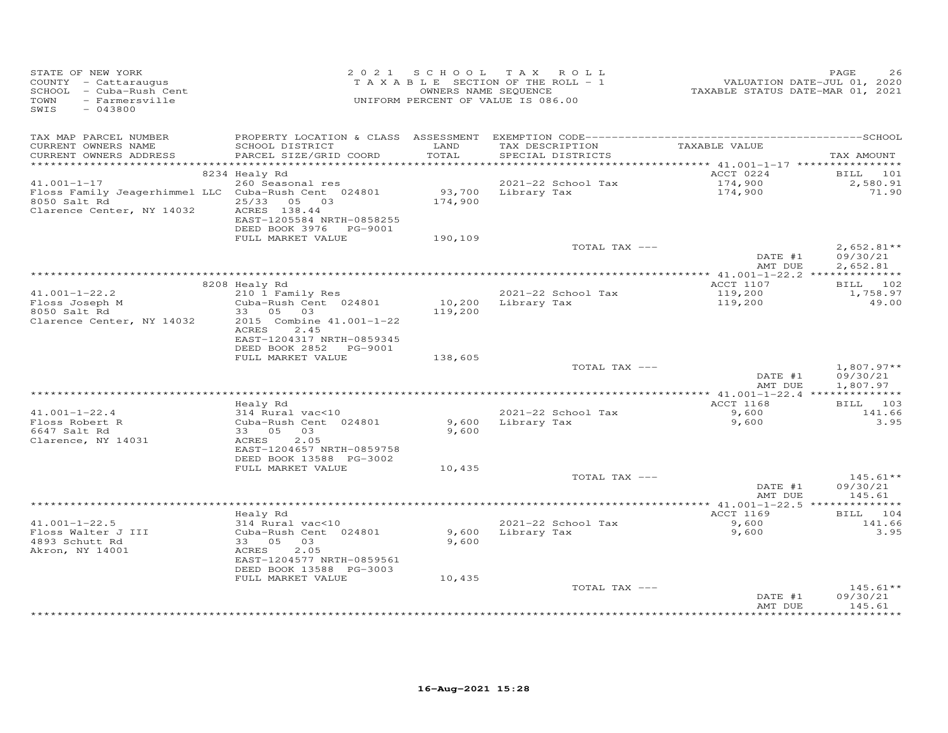| STATE OF NEW YORK<br>COUNTY - Cattaraugus<br>SCHOOL - Cuba-Rush Cent<br>TOWN<br>- Farmersville<br>SWIS<br>$-043800$   |                                                                                                              |                | 2021 SCHOOL TAX ROLL<br>TAXABLE SECTION OF THE ROLL - 1<br>OWNERS NAME SEQUENCE<br>UNIFORM PERCENT OF VALUE IS 086.00 | VALUATION DATE-JUL 01, 2020<br>TAXABLE STATUS DATE-MAR 01, 2021 | PAGE<br>26                           |
|-----------------------------------------------------------------------------------------------------------------------|--------------------------------------------------------------------------------------------------------------|----------------|-----------------------------------------------------------------------------------------------------------------------|-----------------------------------------------------------------|--------------------------------------|
| TAX MAP PARCEL NUMBER<br>CURRENT OWNERS NAME<br>CURRENT OWNERS ADDRESS                                                | SCHOOL DISTRICT<br>PARCEL SIZE/GRID COORD                                                                    | LAND<br>TOTAL  | TAX DESCRIPTION<br>SPECIAL DISTRICTS                                                                                  | TAXABLE VALUE                                                   | TAX AMOUNT                           |
|                                                                                                                       | 8234 Healy Rd                                                                                                |                |                                                                                                                       | ACCT 0224                                                       | BILL 101                             |
| $41.001 - 1 - 17$<br>Floss Family Jeagerhimmel LLC Cuba-Rush Cent 024801<br>8050 Salt Rd<br>Clarence Center, NY 14032 | 260 Seasonal res<br>25/33 05 03<br>ACRES 138.44<br>EAST-1205584 NRTH-0858255<br>DEED BOOK 3976    PG-9001    | 174,900        | 2021-22 School Tax<br>93,700 Library Tax                                                                              | 174,900<br>174,900                                              | 2,580.91<br>71.90                    |
|                                                                                                                       | FULL MARKET VALUE                                                                                            | 190,109        |                                                                                                                       |                                                                 |                                      |
|                                                                                                                       |                                                                                                              |                | TOTAL TAX ---                                                                                                         | DATE #1<br>AMT DUE                                              | $2,652.81**$<br>09/30/21<br>2,652.81 |
|                                                                                                                       |                                                                                                              |                |                                                                                                                       |                                                                 |                                      |
| $41.001 - 1 - 22.2$<br>Floss Joseph M                                                                                 | 8208 Healy Rd<br>210 1 Family Res<br>Cuba-Rush Cent 024801                                                   | 10,200         | 2021-22 School Tax<br>Library Tax                                                                                     | ACCT 1107<br>119,200<br>119,200                                 | BILL 102<br>1,758.97<br>49.00        |
| 8050 Salt Rd<br>Clarence Center, NY 14032                                                                             | 33 05 03<br>2015 Combine 41.001-1-22<br>2.45<br>ACRES<br>EAST-1204317 NRTH-0859345<br>DEED BOOK 2852 PG-9001 | 119,200        |                                                                                                                       |                                                                 |                                      |
|                                                                                                                       | FULL MARKET VALUE                                                                                            | 138,605        |                                                                                                                       |                                                                 |                                      |
|                                                                                                                       |                                                                                                              |                | TOTAL TAX ---                                                                                                         | DATE #1<br>AMT DUE                                              | $1,807.97**$<br>09/30/21<br>1,807.97 |
|                                                                                                                       | Healy Rd                                                                                                     |                |                                                                                                                       | ACCT 1168                                                       | BILL 103                             |
| $41.001 - 1 - 22.4$<br>Floss Robert R<br>6647 Salt Rd<br>Clarence, NY 14031                                           | 314 Rural vac<10<br>Cuba-Rush Cent 024801<br>33 05 03<br>ACRES<br>2.05                                       | 9,600<br>9,600 | 2021-22 School Tax<br>Library Tax                                                                                     | 9,600<br>9,600                                                  | 141.66<br>3.95                       |
|                                                                                                                       | EAST-1204657 NRTH-0859758<br>DEED BOOK 13588 PG-3002<br>FULL MARKET VALUE                                    | 10,435         |                                                                                                                       |                                                                 |                                      |
|                                                                                                                       |                                                                                                              |                | TOTAL TAX ---                                                                                                         | DATE #1                                                         | $145.61**$<br>09/30/21               |
|                                                                                                                       |                                                                                                              |                |                                                                                                                       | AMT DUE                                                         | 145.61                               |
|                                                                                                                       | Healy Rd                                                                                                     |                |                                                                                                                       | ACCT 1169                                                       | BILL 104                             |
| $41.001 - 1 - 22.5$<br>Floss Walter J III<br>4893 Schutt Rd<br>Akron, NY 14001                                        | 314 Rural vac<10<br>Cuba-Rush Cent 024801<br>33 05 03<br>ACRES<br>2.05<br>EAST-1204577 NRTH-0859561          | 9,600<br>9,600 | 2021-22 School Tax<br>Library Tax                                                                                     | 9,600<br>9,600                                                  | 141.66<br>3.95                       |
|                                                                                                                       | DEED BOOK 13588 PG-3003                                                                                      |                |                                                                                                                       |                                                                 |                                      |
|                                                                                                                       | FULL MARKET VALUE                                                                                            | 10,435         | TOTAL TAX ---                                                                                                         | DATE #1<br>AMT DUE                                              | $145.61**$<br>09/30/21<br>145.61     |
|                                                                                                                       |                                                                                                              |                |                                                                                                                       |                                                                 |                                      |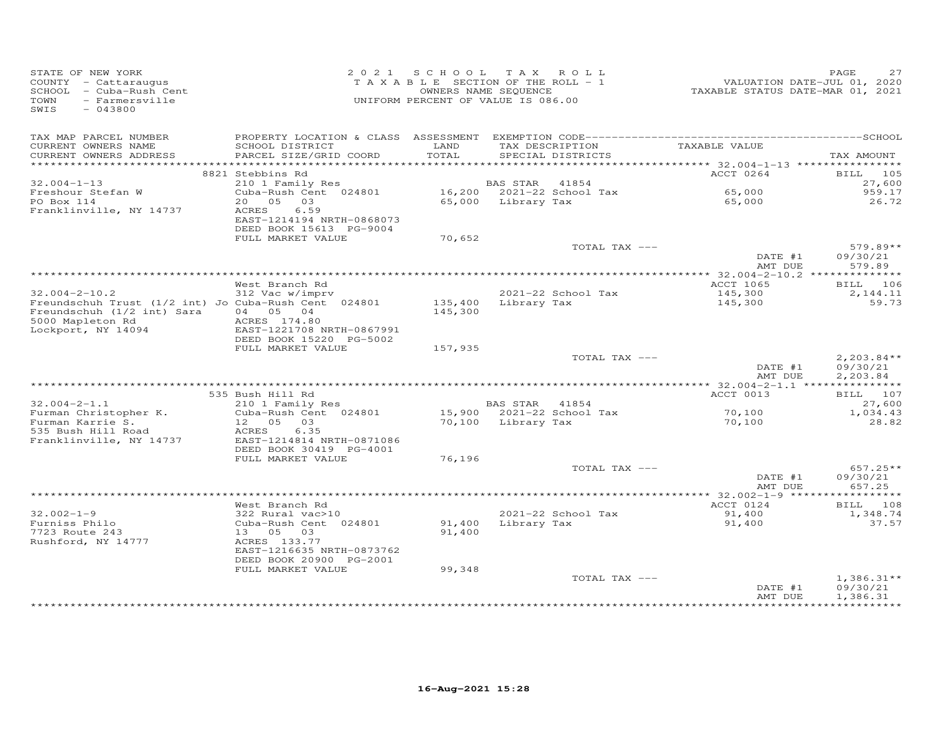| STATE OF NEW YORK<br>COUNTY - Cattaraugus<br>SCHOOL - Cuba-Rush Cent<br>TOWN<br>- Farmersville<br>SWIS<br>$-043800$ |                                            | 2021 SCHOOL TAX ROLL<br>TAXABLE SECTION OF THE ROLL - 1<br>UNIFORM PERCENT OF VALUE IS 086.00 | OWNERS NAME SEQUENCE      |                                             | VALUATION DATE-JUL 01, 2020<br>TAXABLE STATUS DATE-MAR 01, 2021 | PAGE<br>27             |
|---------------------------------------------------------------------------------------------------------------------|--------------------------------------------|-----------------------------------------------------------------------------------------------|---------------------------|---------------------------------------------|-----------------------------------------------------------------|------------------------|
| TAX MAP PARCEL NUMBER                                                                                               |                                            |                                                                                               |                           |                                             |                                                                 |                        |
| CURRENT OWNERS NAME<br>CURRENT OWNERS ADDRESS                                                                       | SCHOOL DISTRICT<br>PARCEL SIZE/GRID COORD  | LAND<br>TOTAL                                                                                 |                           | TAX DESCRIPTION<br>SPECIAL DISTRICTS        | TAXABLE VALUE                                                   | TAX AMOUNT             |
|                                                                                                                     |                                            |                                                                                               |                           |                                             |                                                                 |                        |
|                                                                                                                     | 8821 Stebbins Rd                           |                                                                                               |                           |                                             | ACCT 0264                                                       | <b>BILL</b> 105        |
| $32.004 - 1 - 13$                                                                                                   | 210 1 Family Res                           |                                                                                               |                           | BAS STAR 41854<br>16,200 2021-22 School Tax |                                                                 | 27,600                 |
| Freshour Stefan W                                                                                                   | $Cuba-Rush Cent 024801$                    |                                                                                               |                           |                                             | 65,000                                                          | 959.17                 |
| PO Box 114<br>Franklinville, NY 14737                                                                               | 20 05 03<br>6.59<br>ACRES                  |                                                                                               | 65,000 Library Tax        |                                             | 65,000                                                          | 26.72                  |
|                                                                                                                     | EAST-1214194 NRTH-0868073                  |                                                                                               |                           |                                             |                                                                 |                        |
|                                                                                                                     | DEED BOOK 15613 PG-9004                    |                                                                                               |                           |                                             |                                                                 |                        |
|                                                                                                                     | FULL MARKET VALUE                          | 70,652                                                                                        |                           |                                             |                                                                 |                        |
|                                                                                                                     |                                            |                                                                                               |                           | TOTAL TAX ---                               |                                                                 | $579.89**$             |
|                                                                                                                     |                                            |                                                                                               |                           |                                             | DATE #1<br>AMT DUE                                              | 09/30/21<br>579.89     |
|                                                                                                                     |                                            |                                                                                               |                           |                                             |                                                                 |                        |
|                                                                                                                     | West Branch Rd                             |                                                                                               |                           |                                             | ACCT 1065                                                       | BILL 106               |
| $32.004 - 2 - 10.2$                                                                                                 | 312 Vac w/imprv                            |                                                                                               |                           | 2021-22 School Tax                          | 145,300                                                         | 2,144.11               |
| Freundschuh Trust (1/2 int) Jo Cuba-Rush Cent 024801                                                                |                                            |                                                                                               | 135,400 Library Tax       |                                             | 145,300                                                         | 59.73                  |
| Freundschuh (1/2 int) Sara                                                                                          | 04   05   04<br>ACRES 174.80               | 145,300                                                                                       |                           |                                             |                                                                 |                        |
| 5000 Mapleton Rd<br>Lockport, NY 14094                                                                              | EAST-1221708 NRTH-0867991                  |                                                                                               |                           |                                             |                                                                 |                        |
|                                                                                                                     | DEED BOOK 15220 PG-5002                    |                                                                                               |                           |                                             |                                                                 |                        |
|                                                                                                                     | FULL MARKET VALUE                          | 157,935                                                                                       |                           |                                             |                                                                 |                        |
|                                                                                                                     |                                            |                                                                                               |                           | TOTAL TAX ---                               |                                                                 | $2,203.84**$           |
|                                                                                                                     |                                            |                                                                                               |                           |                                             | DATE #1<br>AMT DUE                                              | 09/30/21               |
|                                                                                                                     |                                            |                                                                                               |                           |                                             |                                                                 | 2,203.84               |
|                                                                                                                     | 535 Bush Hill Rd                           |                                                                                               |                           |                                             | ACCT 0013                                                       | BILL 107               |
| $32.004 - 2 - 1.1$                                                                                                  | 210 1 Family Res                           |                                                                                               | BAS STAR 41854            |                                             |                                                                 | 27,600                 |
| Furman Christopher K.                                                                                               | Cuba-Rush Cent 024801                      |                                                                                               | 15,900 2021-22 School Tax |                                             | 70,100                                                          | 1,034.43               |
| Furman Karrie S.                                                                                                    | 12  05  03                                 |                                                                                               | 70,100 Library Tax        |                                             | 70,100                                                          | 28.82                  |
| 535 Bush Hill Road<br>Franklinville, NY 14737                                                                       | 6.35<br>ACRES<br>EAST-1214814 NRTH-0871086 |                                                                                               |                           |                                             |                                                                 |                        |
|                                                                                                                     | DEED BOOK 30419 PG-4001                    |                                                                                               |                           |                                             |                                                                 |                        |
|                                                                                                                     | FULL MARKET VALUE                          | 76,196                                                                                        |                           |                                             |                                                                 |                        |
|                                                                                                                     |                                            |                                                                                               |                           | TOTAL TAX ---                               |                                                                 | $657.25**$             |
|                                                                                                                     |                                            |                                                                                               |                           |                                             | DATE #1                                                         | 09/30/21               |
|                                                                                                                     |                                            |                                                                                               |                           |                                             | AMT DUE<br>************** 32.002-1-9 ******                     | 657.25<br>***********  |
|                                                                                                                     | West Branch Rd                             |                                                                                               |                           |                                             | ACCT 0124                                                       | <b>BILL</b> 108        |
| $32.002 - 1 - 9$                                                                                                    | 322 Rural vac>10                           |                                                                                               |                           | 2021-22 School Tax                          | 91,400                                                          | 1,348.74               |
| Furniss Philo                                                                                                       | Cuba-Rush Cent 024801                      |                                                                                               | 91,400 Library Tax        |                                             | 91,400                                                          | 37.57                  |
| 7723 Route 243                                                                                                      | 13 05 03                                   | 91,400                                                                                        |                           |                                             |                                                                 |                        |
| Rushford, NY 14777                                                                                                  | ACRES 133.77<br>EAST-1216635 NRTH-0873762  |                                                                                               |                           |                                             |                                                                 |                        |
|                                                                                                                     | DEED BOOK 20900 PG-2001                    |                                                                                               |                           |                                             |                                                                 |                        |
|                                                                                                                     | FULL MARKET VALUE                          | 99,348                                                                                        |                           |                                             |                                                                 |                        |
|                                                                                                                     |                                            |                                                                                               |                           | TOTAL TAX ---                               |                                                                 | $1,386.31**$           |
|                                                                                                                     |                                            |                                                                                               |                           |                                             | DATE #1                                                         | 09/30/21               |
|                                                                                                                     |                                            |                                                                                               |                           |                                             | AMT DUE                                                         | 1,386.31<br>********** |
|                                                                                                                     |                                            |                                                                                               |                           |                                             |                                                                 |                        |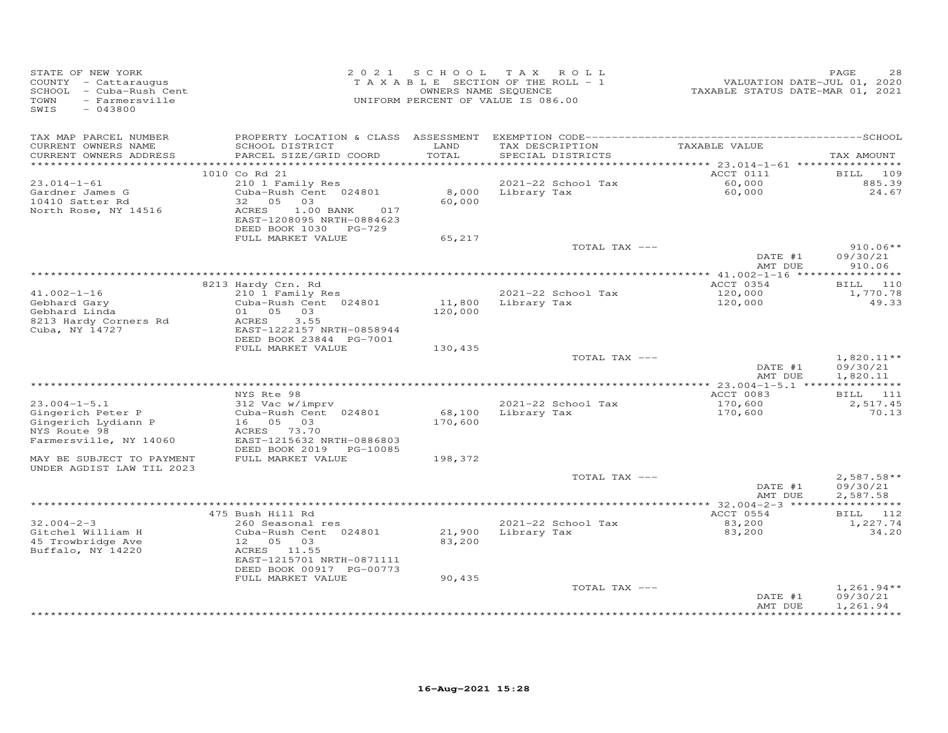| STATE OF NEW YORK<br>COUNTY - Cattaraugus<br>SCHOOL - Cuba-Rush Cent<br>- Farmersville<br>TOWN<br>SWIS<br>$-043800$ | 2 0 2 1                                                                                                                                         |                   | SCHOOL TAX ROLL<br>TAXABLE SECTION OF THE ROLL - 1<br>OWNERS NAME SEQUENCE<br>UNIFORM PERCENT OF VALUE IS 086.00 | VALUATION DATE-JUL 01, 2020<br>TAXABLE STATUS DATE-MAR 01, 2021 | PAGE<br>28                           |
|---------------------------------------------------------------------------------------------------------------------|-------------------------------------------------------------------------------------------------------------------------------------------------|-------------------|------------------------------------------------------------------------------------------------------------------|-----------------------------------------------------------------|--------------------------------------|
| TAX MAP PARCEL NUMBER<br>CURRENT OWNERS NAME<br>CURRENT OWNERS ADDRESS                                              | SCHOOL DISTRICT<br>PARCEL SIZE/GRID COORD                                                                                                       | LAND<br>TOTAL     | TAX DESCRIPTION<br>SPECIAL DISTRICTS                                                                             | TAXABLE VALUE                                                   | TAX AMOUNT                           |
| ***********************                                                                                             | 1010 Co Rd 21                                                                                                                                   |                   |                                                                                                                  | ACCT 0111                                                       | BILL<br>109                          |
| $23.014 - 1 - 61$<br>Gardner James G<br>10410 Satter Rd<br>North Rose, NY 14516                                     | 210 1 Family Res<br>Cuba-Rush Cent 024801<br>0.5<br>32<br>03<br>ACRES<br>1.00 BANK<br>017<br>EAST-1208095 NRTH-0884623<br>DEED BOOK 1030 PG-729 | 8,000<br>60,000   | 2021-22 School Tax<br>Library Tax                                                                                | 60,000<br>60,000                                                | 885.39<br>24.67                      |
|                                                                                                                     | FULL MARKET VALUE                                                                                                                               | 65,217            |                                                                                                                  |                                                                 |                                      |
|                                                                                                                     |                                                                                                                                                 |                   | TOTAL TAX ---                                                                                                    | DATE #1<br>AMT DUE                                              | $910.06**$<br>09/30/21<br>910.06     |
|                                                                                                                     |                                                                                                                                                 |                   |                                                                                                                  |                                                                 |                                      |
| $41.002 - 1 - 16$<br>Gebhard Gary<br>Gebhard Linda<br>8213 Hardy Corners Rd                                         | 8213 Hardy Crn. Rd<br>210 1 Family Res<br>Cuba-Rush Cent 024801<br>01 05 03<br>ACRES<br>3.55                                                    | 11,800<br>120,000 | 2021-22 School Tax<br>Library Tax                                                                                | ACCT 0354<br>120,000<br>120,000                                 | BILL 110<br>1,770.78<br>49.33        |
| Cuba, NY 14727                                                                                                      | EAST-1222157 NRTH-0858944<br>DEED BOOK 23844 PG-7001<br>FULL MARKET VALUE                                                                       | 130,435           |                                                                                                                  |                                                                 |                                      |
|                                                                                                                     |                                                                                                                                                 |                   | TOTAL TAX ---                                                                                                    | DATE #1<br>AMT DUE                                              | $1,820.11**$<br>09/30/21<br>1,820.11 |
|                                                                                                                     |                                                                                                                                                 |                   |                                                                                                                  |                                                                 |                                      |
| $23.004 - 1 - 5.1$<br>Gingerich Peter P<br>Gingerich Lydiann P<br>NYS Route 98                                      | NYS Rte 98<br>312 Vac w/imprv<br>Cuba-Rush Cent 024801<br>16 05 03<br>ACRES 73.70                                                               | 68,100<br>170,600 | 2021-22 School Tax<br>Library Tax                                                                                | ACCT 0083<br>170,600<br>170,600                                 | BILL 111<br>2,517.45<br>70.13        |
| MAY BE SUBJECT TO PAYMENT                                                                                           | DEED BOOK 2019 PG-10085<br>FULL MARKET VALUE                                                                                                    | 198,372           |                                                                                                                  |                                                                 |                                      |
| UNDER AGDIST LAW TIL 2023                                                                                           |                                                                                                                                                 |                   | TOTAL TAX ---                                                                                                    | DATE #1                                                         | $2,587.58**$<br>09/30/21             |
|                                                                                                                     |                                                                                                                                                 |                   |                                                                                                                  | AMT DUE                                                         | 2,587.58                             |
|                                                                                                                     |                                                                                                                                                 |                   |                                                                                                                  |                                                                 | BILL 112<br>1,227.74                 |
| Gitchel William H<br>45 Trowbridge Ave<br>Buffalo, NY 14220                                                         | Cuba-Rush Cent 024801<br>12  05  03<br>ACRES 11.55<br>EAST-1215701 NRTH-0871111<br>DEED BOOK 00917 PG-00773                                     | 21,900<br>83,200  | Library Tax                                                                                                      | 83,200                                                          | 34.20                                |
|                                                                                                                     | FULL MARKET VALUE                                                                                                                               |                   | TOTAL TAX ---                                                                                                    | DATE #1<br>AMT DUE                                              | $1,261.94**$<br>09/30/21<br>1,261.94 |
| Farmersville, NY 14060<br>$32.004 - 2 - 3$                                                                          | EAST-1215632 NRTH-0886803<br>475 Bush Hill Rd<br>260 Seasonal res                                                                               | 90,435            | 2021-22 School Tax                                                                                               | ACCT 0554<br>83,200                                             |                                      |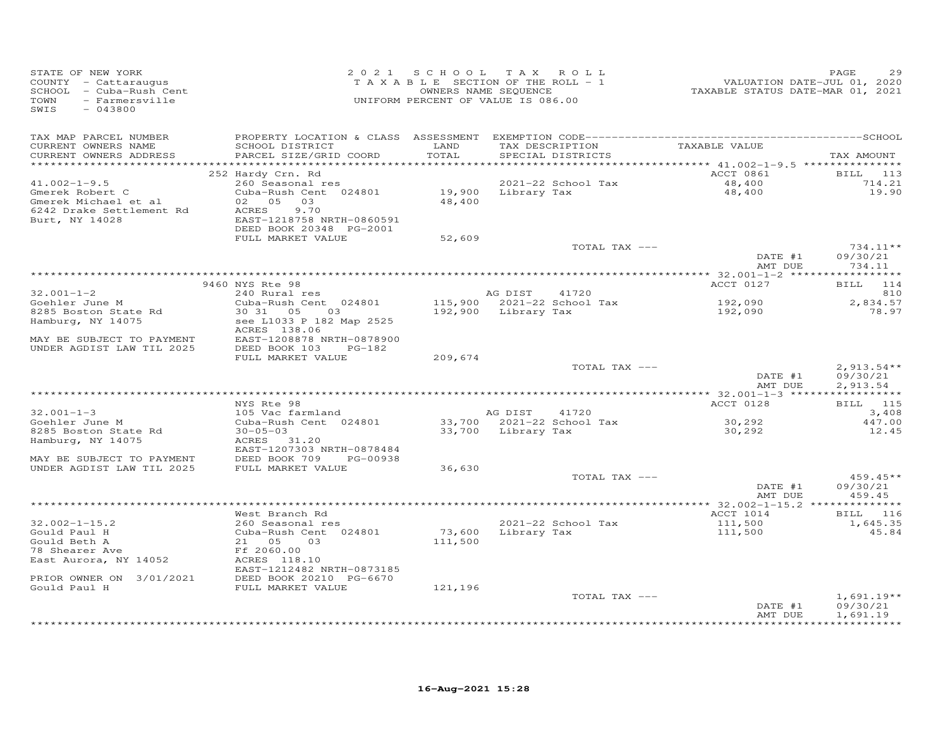| STATE OF NEW YORK<br>COUNTY - Cattaraugus<br>SCHOOL - Cuba-Rush Cent<br>TOWN<br>- Farmersville<br>SWIS<br>$-043800$                       |                                                                                                                                                                          | 2021 SCHOOL TAX ROLL<br>TAXABLE SECTION OF THE ROLL - 1<br>OWNERS NAME SEQUENCE<br>UNIFORM PERCENT OF VALUE IS 086.00 |                                |                                      | VALUATION DATE-JUL 01, 2020<br>TAXABLE STATUS DATE-MAR 01, 2021 | PAGE<br>29                           |
|-------------------------------------------------------------------------------------------------------------------------------------------|--------------------------------------------------------------------------------------------------------------------------------------------------------------------------|-----------------------------------------------------------------------------------------------------------------------|--------------------------------|--------------------------------------|-----------------------------------------------------------------|--------------------------------------|
| TAX MAP PARCEL NUMBER<br>CURRENT OWNERS NAME<br>CURRENT OWNERS ADDRESS<br>************************                                        | SCHOOL DISTRICT<br>PARCEL SIZE/GRID COORD                                                                                                                                | LAND<br>TOTAL                                                                                                         |                                | TAX DESCRIPTION<br>SPECIAL DISTRICTS | TAXABLE VALUE                                                   | TAX AMOUNT                           |
| $41.002 - 1 - 9.5$<br>Gmerek Robert C<br>Gmerek Michael et al<br>6242 Drake Settlement Rd<br>Burt, NY 14028                               | 252 Hardy Crn. Rd<br>260 Seasonal res<br>Cuba-Rush Cent 024801<br>02 05 03<br>ACRES<br>9.70<br>EAST-1218758 NRTH-0860591<br>DEED BOOK 20348 PG-2001<br>FULL MARKET VALUE | 48,400<br>52,609                                                                                                      | 19,900 Library Tax             | 2021-22 School Tax                   | ACCT 0861<br>48,400<br>48,400                                   | BILL 113<br>714.21<br>19.90          |
|                                                                                                                                           |                                                                                                                                                                          |                                                                                                                       |                                | TOTAL TAX ---                        | DATE #1<br>AMT DUE                                              | $734.11**$<br>09/30/21<br>734.11     |
|                                                                                                                                           | 9460 NYS Rte 98                                                                                                                                                          |                                                                                                                       |                                |                                      | ACCT 0127                                                       | BILL 114                             |
| $32.001 - 1 - 2$<br>Goehler June M<br>8285 Boston State Rd<br>Hamburg, NY 14075<br>MAY BE SUBJECT TO PAYMENT<br>UNDER AGDIST LAW TIL 2025 | 240 Rural res<br>Cuba-Rush Cent 024801<br>30 31 05<br>03<br>see L1033 P 182 Map 2525<br>ACRES 138.06<br>EAST-1208878 NRTH-0878900<br>DEED BOOK 103<br>PG-182             |                                                                                                                       | AG DIST<br>192,900 Library Tax | 41720<br>115,900 2021-22 School Tax  | 192,090<br>192,090                                              | 810<br>2,834.57<br>78.97             |
|                                                                                                                                           | FULL MARKET VALUE                                                                                                                                                        | 209,674                                                                                                               |                                | TOTAL TAX ---                        | DATE #1<br>AMT DUE                                              | $2,913.54**$<br>09/30/21<br>2,913.54 |
|                                                                                                                                           | NYS Rte 98                                                                                                                                                               |                                                                                                                       |                                |                                      | ACCT 0128                                                       | <b>BILL</b> 115                      |
| $32.001 - 1 - 3$<br>Goehler June M<br>8285 Boston State Rd<br>Hamburg, NY 14075                                                           | 105 Vac farmland<br>Cuba-Rush Cent 024801<br>$30 - 05 - 03$<br>ACRES 31.20                                                                                               |                                                                                                                       | AG DIST<br>33,700 Library Tax  | 41720<br>33,700 2021-22 School Tax   | 30,292<br>30,292                                                | 3,408<br>447.00<br>12.45             |
| MAY BE SUBJECT TO PAYMENT<br>UNDER AGDIST LAW TIL 2025                                                                                    | EAST-1207303 NRTH-0878484<br>DEED BOOK 709<br>PG-00938<br>FULL MARKET VALUE                                                                                              | 36,630                                                                                                                |                                | TOTAL TAX ---                        | DATE #1                                                         | $459.45**$<br>09/30/21               |
|                                                                                                                                           |                                                                                                                                                                          |                                                                                                                       |                                |                                      | AMT DUE                                                         | 459.45                               |
| $32.002 - 1 - 15.2$<br>Gould Paul H<br>Gould Beth A<br>78 Shearer Ave<br>East Aurora, NY 14052                                            | West Branch Rd<br>260 Seasonal res<br>Cuba-Rush Cent 024801<br>21 05<br>03<br>Ff 2060.00<br>ACRES 118.10<br>EAST-1212482 NRTH-0873185                                    | 111,500                                                                                                               | 73,600 Library Tax             | 2021-22 School Tax                   | ACCT 1014<br>111,500<br>111,500                                 | BILL 116<br>1,645.35<br>45.84        |
| PRIOR OWNER ON 3/01/2021<br>Gould Paul H                                                                                                  | DEED BOOK 20210 PG-6670<br>FULL MARKET VALUE                                                                                                                             | 121,196                                                                                                               |                                | TOTAL TAX ---                        | DATE #1<br>AMT DUE                                              | $1,691.19**$<br>09/30/21<br>1,691.19 |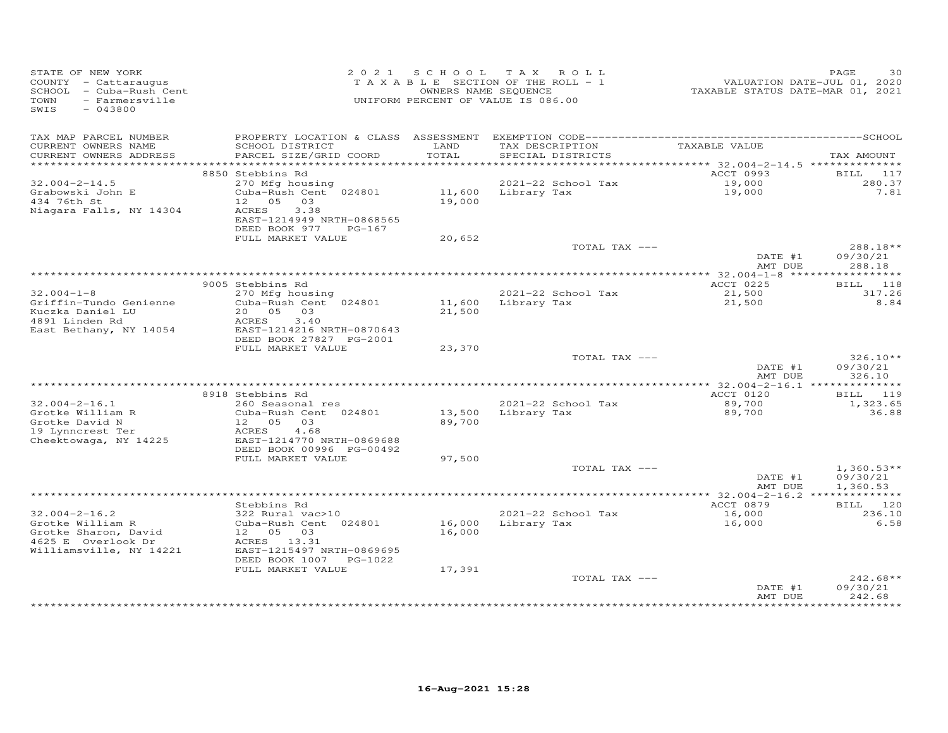| STATE OF NEW YORK<br>COUNTY - Cattaraugus<br>SCHOOL - Cuba-Rush Cent<br>- Farmersville<br>TOWN<br>SWIS<br>$-043800$ |                                                                                   | 2021 SCHOOL      | TAX ROLL<br>TAXABLE SECTION OF THE ROLL - 1<br>OWNERS NAME SEQUENCE<br>UNIFORM PERCENT OF VALUE IS 086.00 | VALUATION DATE-JUL 01, 2020<br>TAXABLE STATUS DATE-MAR 01, 2021 | PAGE<br>30                                              |
|---------------------------------------------------------------------------------------------------------------------|-----------------------------------------------------------------------------------|------------------|-----------------------------------------------------------------------------------------------------------|-----------------------------------------------------------------|---------------------------------------------------------|
| TAX MAP PARCEL NUMBER<br>CURRENT OWNERS NAME<br>CURRENT OWNERS ADDRESS                                              | SCHOOL DISTRICT<br>PARCEL SIZE/GRID COORD                                         | LAND<br>TOTAL    | TAX DESCRIPTION<br>SPECIAL DISTRICTS                                                                      | TAXABLE VALUE                                                   | TAX AMOUNT                                              |
|                                                                                                                     |                                                                                   |                  |                                                                                                           |                                                                 |                                                         |
|                                                                                                                     | 8850 Stebbins Rd                                                                  |                  |                                                                                                           | ACCT 0993                                                       | 117<br>BILL                                             |
| $32.004 - 2 - 14.5$<br>Grabowski John E<br>434 76th St<br>Niagara Falls, NY 14304                                   | 270 Mfg housing<br>Cuba-Rush Cent 024801<br>12  05  03<br>3.38<br>ACRES           | 19,000           | 2021-22 School Tax<br>11,600 Library Tax                                                                  | 19,000<br>19,000                                                | 280.37<br>7.81                                          |
|                                                                                                                     | EAST-1214949 NRTH-0868565<br>DEED BOOK 977<br>PG-167<br>FULL MARKET VALUE         | 20,652           |                                                                                                           |                                                                 |                                                         |
|                                                                                                                     |                                                                                   |                  | TOTAL TAX ---                                                                                             |                                                                 | 288.18**                                                |
|                                                                                                                     |                                                                                   |                  |                                                                                                           | DATE #1<br>AMT DUE                                              | 09/30/21<br>288.18                                      |
|                                                                                                                     | 9005 Stebbins Rd                                                                  |                  |                                                                                                           | ACCT 0225                                                       | BILL 118                                                |
| $32.004 - 1 - 8$                                                                                                    | 270 Mfg housing                                                                   |                  | 2021-22 School Tax                                                                                        | 21,500                                                          | 317.26                                                  |
| Griffin-Tundo Genienne<br>Kuczka Daniel LU<br>4891 Linden Rd<br>East Bethany, NY 14054                              | Cuba-Rush Cent 024801<br>20  05  03<br>3.40<br>ACRES<br>EAST-1214216 NRTH-0870643 | 21,500           | 11,600 Library Tax                                                                                        | 21,500                                                          | 8.84                                                    |
|                                                                                                                     | DEED BOOK 27827 PG-2001<br>FULL MARKET VALUE                                      |                  |                                                                                                           |                                                                 |                                                         |
|                                                                                                                     |                                                                                   | 23,370           | TOTAL TAX ---                                                                                             | DATE #1                                                         | $326.10**$<br>09/30/21                                  |
|                                                                                                                     |                                                                                   |                  |                                                                                                           | AMT DUE<br>****** 32.004-2-16.1 **************                  | 326.10                                                  |
|                                                                                                                     | 8918 Stebbins Rd                                                                  |                  |                                                                                                           | ACCT 0120                                                       | BILL 119                                                |
| $32.004 - 2 - 16.1$<br>Grotke William R<br>Grotke David N                                                           | 260 Seasonal res<br>Cuba-Rush Cent 024801<br>12 05 03                             | 13,500<br>89,700 | 2021-22 School Tax<br>Library Tax                                                                         | 89,700<br>89,700                                                | 1,323.65<br>36.88                                       |
| 19 Lynncrest Ter<br>Cheektowaga, NY 14225                                                                           | ACRES<br>4.68<br>EAST-1214770 NRTH-0869688<br>DEED BOOK 00996 PG-00492            |                  |                                                                                                           |                                                                 |                                                         |
|                                                                                                                     | FULL MARKET VALUE                                                                 | 97,500           | TOTAL TAX ---                                                                                             |                                                                 | $1,360.53**$                                            |
|                                                                                                                     |                                                                                   |                  |                                                                                                           | DATE #1<br>AMT DUE                                              | 09/30/21<br>1,360.53                                    |
|                                                                                                                     |                                                                                   |                  |                                                                                                           |                                                                 |                                                         |
|                                                                                                                     | Stebbins Rd                                                                       |                  |                                                                                                           | ACCT 0879                                                       | BILL 120                                                |
| $32.004 - 2 - 16.2$<br>Grotke William R<br>Grotke Sharon, David                                                     | 322 Rural vac>10<br>Cuba-Rush Cent 024801<br>12 05<br>03                          | 16,000<br>16,000 | 2021-22 School Tax<br>Library Tax                                                                         | 16,000<br>16,000                                                | 236.10<br>6.58                                          |
| 4625 E Overlook Dr<br>Williamsville, NY 14221                                                                       | ACRES 13.31<br>EAST-1215497 NRTH-0869695<br>DEED BOOK 1007 PG-1022                |                  |                                                                                                           |                                                                 |                                                         |
|                                                                                                                     | FULL MARKET VALUE                                                                 | 17,391           |                                                                                                           |                                                                 |                                                         |
|                                                                                                                     |                                                                                   |                  | TOTAL TAX ---                                                                                             | DATE #1<br>AMT DUE                                              | $242.68**$<br>09/30/21<br>242.68<br>* * * * * * * * * * |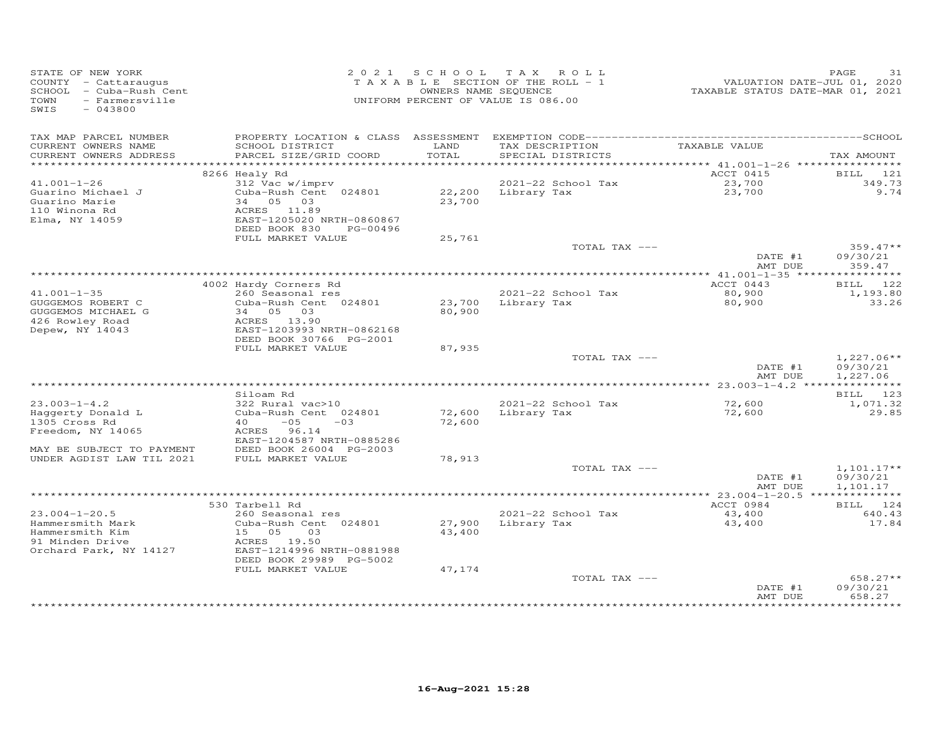| STATE OF NEW YORK<br>COUNTY - Cattaraugus<br>SCHOOL - Cuba-Rush Cent<br>TOWN<br>- Farmersville<br>SWIS<br>$-043800$ |                                                      |               | 2021 SCHOOL TAX ROLL<br>TAXABLE SECTION OF THE ROLL - 1<br>OWNERS NAME SEQUENCE<br>UNIFORM PERCENT OF VALUE IS 086.00 | VALUATION DATE-JUL 01, 2020<br>TAXABLE STATUS DATE-MAR 01, 2021 | PAGE<br>31           |
|---------------------------------------------------------------------------------------------------------------------|------------------------------------------------------|---------------|-----------------------------------------------------------------------------------------------------------------------|-----------------------------------------------------------------|----------------------|
| TAX MAP PARCEL NUMBER                                                                                               |                                                      |               |                                                                                                                       |                                                                 |                      |
| CURRENT OWNERS NAME<br>CURRENT OWNERS ADDRESS                                                                       | SCHOOL DISTRICT<br>PARCEL SIZE/GRID COORD            | LAND<br>TOTAL | TAX DESCRIPTION<br>SPECIAL DISTRICTS                                                                                  | TAXABLE VALUE                                                   | TAX AMOUNT           |
|                                                                                                                     | ************                                         |               |                                                                                                                       | ********** 41.001-1-26 *****************                        |                      |
|                                                                                                                     | 8266 Healy Rd                                        |               | 2021-22 School Tax                                                                                                    | ACCT 0415                                                       | BILL 121<br>349.73   |
| $41.001 - 1 - 26$<br>Guarino Michael J                                                                              | 312 Vac w/imprv<br>Cuba-Rush Cent 024801             |               | 22,200 Library Tax                                                                                                    | 23,700<br>23,700                                                | 9.74                 |
| Guarino Marie                                                                                                       | 34 05 03                                             | 23,700        |                                                                                                                       |                                                                 |                      |
| 110 Winona Rd                                                                                                       | ACRES 11.89                                          |               |                                                                                                                       |                                                                 |                      |
| Elma, NY 14059                                                                                                      | EAST-1205020 NRTH-0860867                            |               |                                                                                                                       |                                                                 |                      |
|                                                                                                                     | DEED BOOK 830<br>PG-00496                            |               |                                                                                                                       |                                                                 |                      |
|                                                                                                                     | FULL MARKET VALUE                                    | 25,761        | TOTAL TAX ---                                                                                                         |                                                                 | $359.47**$           |
|                                                                                                                     |                                                      |               |                                                                                                                       | DATE #1                                                         | 09/30/21             |
|                                                                                                                     |                                                      |               |                                                                                                                       | AMT DUE                                                         | 359.47               |
|                                                                                                                     |                                                      |               |                                                                                                                       |                                                                 |                      |
|                                                                                                                     | 4002 Hardy Corners Rd                                |               |                                                                                                                       | ACCT 0443                                                       | BILL 122             |
| $41.001 - 1 - 35$                                                                                                   | 260 Seasonal res                                     |               | 2021-22 School Tax                                                                                                    | 80,900                                                          | 1,193.80             |
| GUGGEMOS ROBERT C                                                                                                   | Cuba-Rush Cent 024801                                |               | 23,700 Library Tax                                                                                                    | 80,900                                                          | 33.26                |
| GUGGEMOS MICHAEL G<br>426 Rowley Road                                                                               | 34 05 03<br>ACRES 13.90                              | 80,900        |                                                                                                                       |                                                                 |                      |
| Depew, NY 14043                                                                                                     | EAST-1203993 NRTH-0862168                            |               |                                                                                                                       |                                                                 |                      |
|                                                                                                                     | DEED BOOK 30766 PG-2001                              |               |                                                                                                                       |                                                                 |                      |
|                                                                                                                     | FULL MARKET VALUE                                    | 87,935        |                                                                                                                       |                                                                 |                      |
|                                                                                                                     |                                                      |               | TOTAL TAX ---                                                                                                         |                                                                 | $1,227.06**$         |
|                                                                                                                     |                                                      |               |                                                                                                                       | DATE #1                                                         | 09/30/21             |
|                                                                                                                     |                                                      |               |                                                                                                                       | AMT DUE                                                         | 1,227.06             |
|                                                                                                                     | Siloam Rd                                            |               |                                                                                                                       |                                                                 | BILL 123             |
| $23.003 - 1 - 4.2$                                                                                                  | 322 Rural vac>10                                     |               | 2021-22 School Tax                                                                                                    | 72,600                                                          | 1,071.32             |
| Haggerty Donald L                                                                                                   | Cuba-Rush Cent 024801                                | 72,600        | Library Tax                                                                                                           | 72,600                                                          | 29.85                |
| 1305 Cross Rd                                                                                                       | $40 -05$<br>$-03$                                    | 72,600        |                                                                                                                       |                                                                 |                      |
| Freedom, NY 14065                                                                                                   | ACRES 96.14                                          |               |                                                                                                                       |                                                                 |                      |
| MAY BE SUBJECT TO PAYMENT                                                                                           | EAST-1204587 NRTH-0885286<br>DEED BOOK 26004 PG-2003 |               |                                                                                                                       |                                                                 |                      |
| UNDER AGDIST LAW TIL 2021                                                                                           | FULL MARKET VALUE                                    | 78,913        |                                                                                                                       |                                                                 |                      |
|                                                                                                                     |                                                      |               | TOTAL TAX ---                                                                                                         |                                                                 | $1,101.17**$         |
|                                                                                                                     |                                                      |               |                                                                                                                       | DATE #1                                                         | 09/30/21             |
|                                                                                                                     |                                                      |               |                                                                                                                       | AMT DUE                                                         | 1,101.17             |
|                                                                                                                     |                                                      |               |                                                                                                                       |                                                                 |                      |
| $23.004 - 1 - 20.5$                                                                                                 | 530 Tarbell Rd<br>260 Seasonal res                   |               | 2021-22 School Tax                                                                                                    | ACCT 0984<br>43,400                                             | BILL 124<br>640.43   |
| Hammersmith Mark                                                                                                    | Cuba-Rush Cent 024801                                |               | 27,900 Library Tax                                                                                                    | 43,400                                                          | 17.84                |
| Hammersmith Kim                                                                                                     | 15 05<br>03                                          | 43,400        |                                                                                                                       |                                                                 |                      |
| 91 Minden Drive                                                                                                     | ACRES 19.50                                          |               |                                                                                                                       |                                                                 |                      |
| Orchard Park, NY 14127                                                                                              | EAST-1214996 NRTH-0881988                            |               |                                                                                                                       |                                                                 |                      |
|                                                                                                                     | DEED BOOK 29989 PG-5002                              |               |                                                                                                                       |                                                                 |                      |
|                                                                                                                     | FULL MARKET VALUE                                    | 47,174        |                                                                                                                       |                                                                 |                      |
|                                                                                                                     |                                                      |               | TOTAL TAX ---                                                                                                         | DATE #1                                                         | 658.27**<br>09/30/21 |
|                                                                                                                     |                                                      |               |                                                                                                                       | AMT DUE                                                         | 658.27               |
|                                                                                                                     |                                                      |               |                                                                                                                       |                                                                 | * * * * * * * * * *  |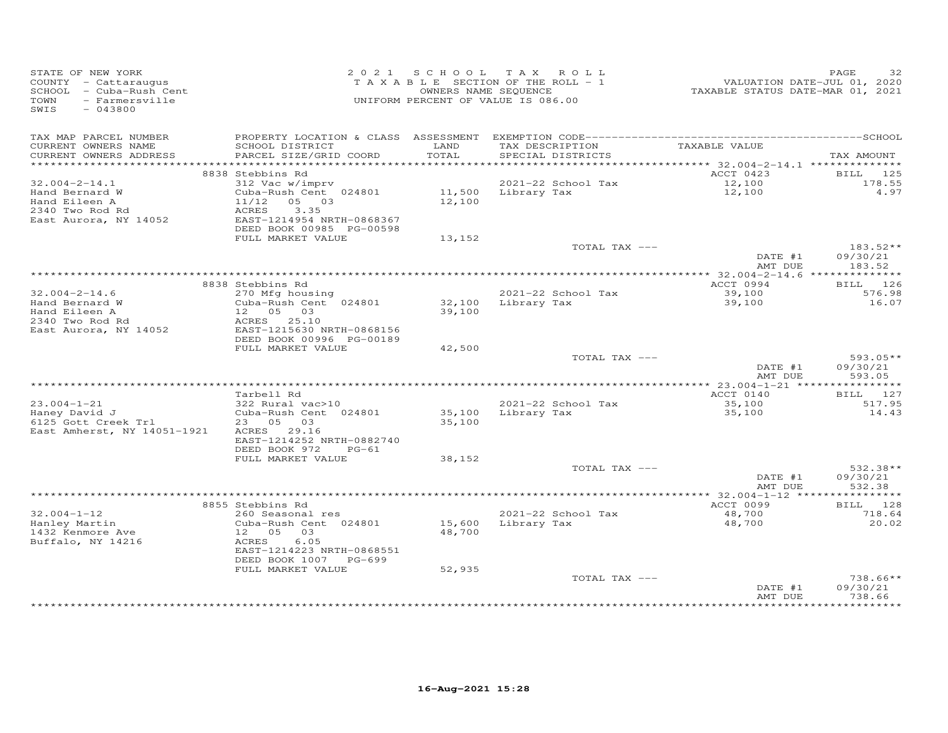| STATE OF NEW YORK<br>COUNTY - Cattaraugus<br>SCHOOL - Cuba-Rush Cent<br>TOWN - Farmersville<br>SWIS - 043800<br>SWIS<br>$-043800$ |                                                                                                       |               | 2021 SCHOOL TAX ROLL<br>T A X A B L E SECTION OF THE ROLL - 1<br>OWNERS NAME SEQUENCE<br>UNIFORM PERCENT OF VALUE IS 086.00 | 2020<br>TAXABLE STATUS DATE-JUL 01, 2020<br>TAXABLE STATUS DATE-MAR 01, 2021 | PAGE<br>32         |
|-----------------------------------------------------------------------------------------------------------------------------------|-------------------------------------------------------------------------------------------------------|---------------|-----------------------------------------------------------------------------------------------------------------------------|------------------------------------------------------------------------------|--------------------|
| TAX MAP PARCEL NUMBER<br>CURRENT OWNERS NAME<br>CURRENT OWNERS ADDRESS                                                            | SCHOOL DISTRICT<br>PARCEL SIZE/GRID COORD                                                             | LAND<br>TOTAL | TAX DESCRIPTION TAXABLE VALUE<br>SPECIAL DISTRICTS                                                                          |                                                                              | TAX AMOUNT         |
|                                                                                                                                   |                                                                                                       |               |                                                                                                                             |                                                                              |                    |
|                                                                                                                                   | 8838 Stebbins Rd                                                                                      |               |                                                                                                                             | ACCT 0423                                                                    | BILL 125           |
| $32.004 - 2 - 14.1$<br>Hand Bernard W                                                                                             | 312 Vac w/imprv<br>Siz vac w/imprv box 2021-22 School lax<br>Cuba-Rush Cent 024801 11,500 Library Tax |               | 2021-22 School Tax                                                                                                          | 12,100<br>12,100                                                             | 178.55<br>4.97     |
| Hand Eileen A                                                                                                                     | $11/12$ 05 03                                                                                         | 12,100        |                                                                                                                             |                                                                              |                    |
| 2340 Two Rod Rd                                                                                                                   | ACRES<br>3.35                                                                                         |               |                                                                                                                             |                                                                              |                    |
| East Aurora, NY 14052                                                                                                             | EAST-1214954 NRTH-0868367                                                                             |               |                                                                                                                             |                                                                              |                    |
|                                                                                                                                   | DEED BOOK 00985 PG-00598                                                                              |               |                                                                                                                             |                                                                              |                    |
|                                                                                                                                   | FULL MARKET VALUE                                                                                     | 13,152        | TOTAL TAX ---                                                                                                               |                                                                              | $183.52**$         |
|                                                                                                                                   |                                                                                                       |               |                                                                                                                             | DATE #1                                                                      | 09/30/21           |
|                                                                                                                                   |                                                                                                       |               |                                                                                                                             | AMT DUE                                                                      | 183.52             |
|                                                                                                                                   |                                                                                                       |               |                                                                                                                             |                                                                              |                    |
|                                                                                                                                   | 8838 Stebbins Rd                                                                                      |               |                                                                                                                             | ACCT 0994                                                                    | BILL 126           |
| $32.004 - 2 - 14.6$<br>Hand Bernard W                                                                                             | 270 Mfg housing<br>Cuba-Rush Cent <sup>024801</sup>                                                   |               | 2021-22 School Tax<br>2021-22 SCHOOT TAX<br>32,100 Library Tax                                                              | 39,100<br>39,100                                                             | 576.98<br>16.07    |
| Hand Eileen A                                                                                                                     | 12  05  03                                                                                            | 39,100        |                                                                                                                             |                                                                              |                    |
| 2340 Two Rod Rd                                                                                                                   | ACRES 25.10                                                                                           |               |                                                                                                                             |                                                                              |                    |
| East Aurora, NY 14052                                                                                                             | EAST-1215630 NRTH-0868156                                                                             |               |                                                                                                                             |                                                                              |                    |
|                                                                                                                                   | DEED BOOK 00996 PG-00189                                                                              |               |                                                                                                                             |                                                                              |                    |
|                                                                                                                                   | FULL MARKET VALUE                                                                                     | 42,500        | TOTAL TAX ---                                                                                                               |                                                                              | $593.05**$         |
|                                                                                                                                   |                                                                                                       |               |                                                                                                                             | DATE #1                                                                      | 09/30/21           |
|                                                                                                                                   |                                                                                                       |               |                                                                                                                             | AMT DUE                                                                      | 593.05             |
|                                                                                                                                   |                                                                                                       |               |                                                                                                                             |                                                                              |                    |
| $23.004 - 1 - 21$                                                                                                                 | Tarbell Rd<br>$322$ Rural vac > 10                                                                    |               | 2021-22 School Tax                                                                                                          | ACCT 0140<br>35,100                                                          | BILL 127<br>517.95 |
| Haney David J                                                                                                                     | Cuba-Rush Cent 024801                                                                                 |               | 35,100 Library Tax                                                                                                          | 35,100                                                                       | 14.43              |
| Huney David J<br>6125 Gott Creek Trl<br>Fest J '                                                                                  | 23 05 03                                                                                              | 35,100        |                                                                                                                             |                                                                              |                    |
| East Amherst, NY 14051-1921                                                                                                       | ACRES 29.16                                                                                           |               |                                                                                                                             |                                                                              |                    |
|                                                                                                                                   | EAST-1214252 NRTH-0882740                                                                             |               |                                                                                                                             |                                                                              |                    |
|                                                                                                                                   | DEED BOOK 972 PG-61<br>FULL MARKET VALUE                                                              | 38,152        |                                                                                                                             |                                                                              |                    |
|                                                                                                                                   |                                                                                                       |               | TOTAL TAX ---                                                                                                               |                                                                              | 532.38**           |
|                                                                                                                                   |                                                                                                       |               |                                                                                                                             | DATE $#1$                                                                    | 09/30/21           |
|                                                                                                                                   |                                                                                                       |               |                                                                                                                             | AMT DUE                                                                      | 532.38             |
|                                                                                                                                   |                                                                                                       |               |                                                                                                                             |                                                                              |                    |
| $32.004 - 1 - 12$                                                                                                                 | 8855 Stebbins Rd<br>260 Seasonal res                                                                  |               | 2021-22 School Tax                                                                                                          | ACCT 0099<br>48,700                                                          | BILL 128<br>718.64 |
| Hanley Martin                                                                                                                     | Cuba-Rush Cent 024801                                                                                 |               |                                                                                                                             | 48,700                                                                       | 20.02              |
| 1432 Kenmore Ave                                                                                                                  | 12  05  03                                                                                            |               | 15,600 Library Tax<br>48,700                                                                                                |                                                                              |                    |
| Buffalo, NY 14216                                                                                                                 | ACRES<br>6.05                                                                                         |               |                                                                                                                             |                                                                              |                    |
|                                                                                                                                   | EAST-1214223 NRTH-0868551                                                                             |               |                                                                                                                             |                                                                              |                    |
|                                                                                                                                   | DEED BOOK 1007 PG-699<br>FULL MARKET VALUE                                                            | 52,935        |                                                                                                                             |                                                                              |                    |
|                                                                                                                                   |                                                                                                       |               | TOTAL TAX ---                                                                                                               |                                                                              | $738.66**$         |
|                                                                                                                                   |                                                                                                       |               |                                                                                                                             | DATE #1                                                                      | 09/30/21           |
|                                                                                                                                   |                                                                                                       |               |                                                                                                                             | AMT DUE                                                                      | 738.66             |
|                                                                                                                                   |                                                                                                       |               |                                                                                                                             |                                                                              |                    |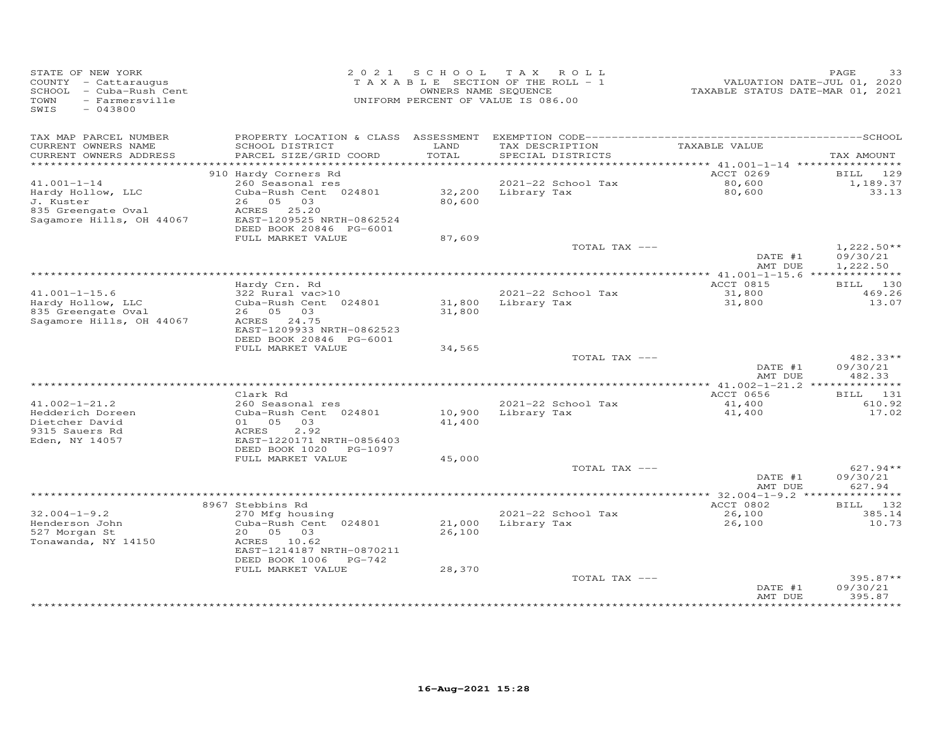| STATE OF NEW YORK<br>COUNTY - Cattaraugus<br>SCHOOL - Cuba-Rush Cent<br>TOWN<br>- Farmersville<br>SWIS<br>$-043800$ |                                                | 2021 SCHOOL   | TAX ROLL<br>TAXABLE SECTION OF THE ROLL - 1<br>OWNERS NAME SEQUENCE<br>UNIFORM PERCENT OF VALUE IS 086.00 | VALUATION DATE-JUL 01, 2020<br>TAXABLE STATUS DATE-MAR 01, 2021 | PAGE<br>33             |
|---------------------------------------------------------------------------------------------------------------------|------------------------------------------------|---------------|-----------------------------------------------------------------------------------------------------------|-----------------------------------------------------------------|------------------------|
| TAX MAP PARCEL NUMBER<br>CURRENT OWNERS NAME<br>CURRENT OWNERS ADDRESS                                              | SCHOOL DISTRICT<br>PARCEL SIZE/GRID COORD      | LAND<br>TOTAL | TAX DESCRIPTION<br>SPECIAL DISTRICTS                                                                      | TAXABLE VALUE                                                   | TAX AMOUNT             |
| *************************                                                                                           |                                                |               |                                                                                                           |                                                                 |                        |
|                                                                                                                     | 910 Hardy Corners Rd                           |               |                                                                                                           | ACCT 0269                                                       | 129<br>BILL            |
| $41.001 - 1 - 14$                                                                                                   | 260 Seasonal res                               |               | 2021-22 School Tax                                                                                        | 80,600                                                          | 1,189.37               |
| Hardy Hollow, LLC                                                                                                   | Cuba-Rush Cent 024801<br>26 05 03              |               | 32,200 Library Tax                                                                                        | 80,600                                                          | 33.13                  |
| J. Kuster<br>835 Greengate Oval                                                                                     | ACRES 25.20                                    | 80,600        |                                                                                                           |                                                                 |                        |
| Sagamore Hills, OH 44067                                                                                            | EAST-1209525 NRTH-0862524                      |               |                                                                                                           |                                                                 |                        |
|                                                                                                                     | DEED BOOK 20846 PG-6001                        |               |                                                                                                           |                                                                 |                        |
|                                                                                                                     | FULL MARKET VALUE                              | 87,609        |                                                                                                           |                                                                 |                        |
|                                                                                                                     |                                                |               | TOTAL TAX ---                                                                                             |                                                                 | $1,222.50**$           |
|                                                                                                                     |                                                |               |                                                                                                           | DATE #1                                                         | 09/30/21               |
|                                                                                                                     |                                                |               |                                                                                                           | AMT DUE<br>*************** 41.001-1-15.6 ***************        | 1,222.50               |
|                                                                                                                     | Hardy Crn. Rd                                  |               |                                                                                                           | ACCT 0815                                                       | BILL 130               |
| $41.001 - 1 - 15.6$                                                                                                 | 322 Rural vac>10                               |               | 2021-22 School Tax                                                                                        | 31,800                                                          | 469.26                 |
| Hardy Hollow, LLC                                                                                                   | Cuba-Rush Cent 024801                          |               | 31,800 Library Tax                                                                                        | 31,800                                                          | 13.07                  |
| 835 Greengate Oval                                                                                                  | 26 05 03                                       | 31,800        |                                                                                                           |                                                                 |                        |
| Sagamore Hills, OH 44067                                                                                            | ACRES 24.75<br>EAST-1209933 NRTH-0862523       |               |                                                                                                           |                                                                 |                        |
|                                                                                                                     | DEED BOOK 20846 PG-6001                        |               |                                                                                                           |                                                                 |                        |
|                                                                                                                     | FULL MARKET VALUE                              | 34,565        |                                                                                                           |                                                                 |                        |
|                                                                                                                     |                                                |               | TOTAL TAX ---                                                                                             |                                                                 | 482.33**               |
|                                                                                                                     |                                                |               |                                                                                                           | DATE #1                                                         | 09/30/21               |
|                                                                                                                     |                                                |               |                                                                                                           | AMT DUE                                                         | 482.33                 |
|                                                                                                                     | Clark Rd                                       |               |                                                                                                           | ACCT 0656                                                       | BILL 131               |
| $41.002 - 1 - 21.2$                                                                                                 | 260 Seasonal res                               |               | 2021-22 School Tax                                                                                        | 41,400                                                          | 610.92                 |
| Hedderich Doreen                                                                                                    | Cuba-Rush Cent 024801                          | 10,900        | Library Tax                                                                                               | 41,400                                                          | 17.02                  |
| Dietcher David                                                                                                      | 01 05<br>03                                    | 41,400        |                                                                                                           |                                                                 |                        |
| 9315 Sauers Rd                                                                                                      | 2.92<br>ACRES                                  |               |                                                                                                           |                                                                 |                        |
| Eden, NY 14057                                                                                                      | EAST-1220171 NRTH-0856403                      |               |                                                                                                           |                                                                 |                        |
|                                                                                                                     | DEED BOOK 1020<br>PG-1097<br>FULL MARKET VALUE | 45,000        |                                                                                                           |                                                                 |                        |
|                                                                                                                     |                                                |               | TOTAL TAX ---                                                                                             |                                                                 | $627.94**$             |
|                                                                                                                     |                                                |               |                                                                                                           | DATE #1                                                         | 09/30/21               |
|                                                                                                                     |                                                |               |                                                                                                           | AMT DUE                                                         | 627.94                 |
|                                                                                                                     |                                                |               |                                                                                                           | ********** 32.004-1-9.2 ****                                    | **********             |
|                                                                                                                     | 8967 Stebbins Rd                               |               |                                                                                                           | <b>ACCT 0802</b>                                                | BILL 132               |
| $32.004 - 1 - 9.2$<br>Henderson John                                                                                | 270 Mfg housing<br>Cuba-Rush Cent 024801       | 21,000        | 2021-22 School Tax<br>Library Tax                                                                         | 26,100<br>26,100                                                | 385.14<br>10.73        |
| 527 Morgan St                                                                                                       | 20 05<br>03                                    | 26,100        |                                                                                                           |                                                                 |                        |
| Tonawanda, NY 14150                                                                                                 | ACRES<br>10.62                                 |               |                                                                                                           |                                                                 |                        |
|                                                                                                                     | EAST-1214187 NRTH-0870211                      |               |                                                                                                           |                                                                 |                        |
|                                                                                                                     | DEED BOOK 1006<br>$PG-742$                     |               |                                                                                                           |                                                                 |                        |
|                                                                                                                     | FULL MARKET VALUE                              | 28,370        |                                                                                                           |                                                                 |                        |
|                                                                                                                     |                                                |               | TOTAL TAX ---                                                                                             | DATE #1                                                         | $395.87**$<br>09/30/21 |
|                                                                                                                     |                                                |               |                                                                                                           | AMT DUE                                                         | 395.87                 |
|                                                                                                                     |                                                |               |                                                                                                           |                                                                 |                        |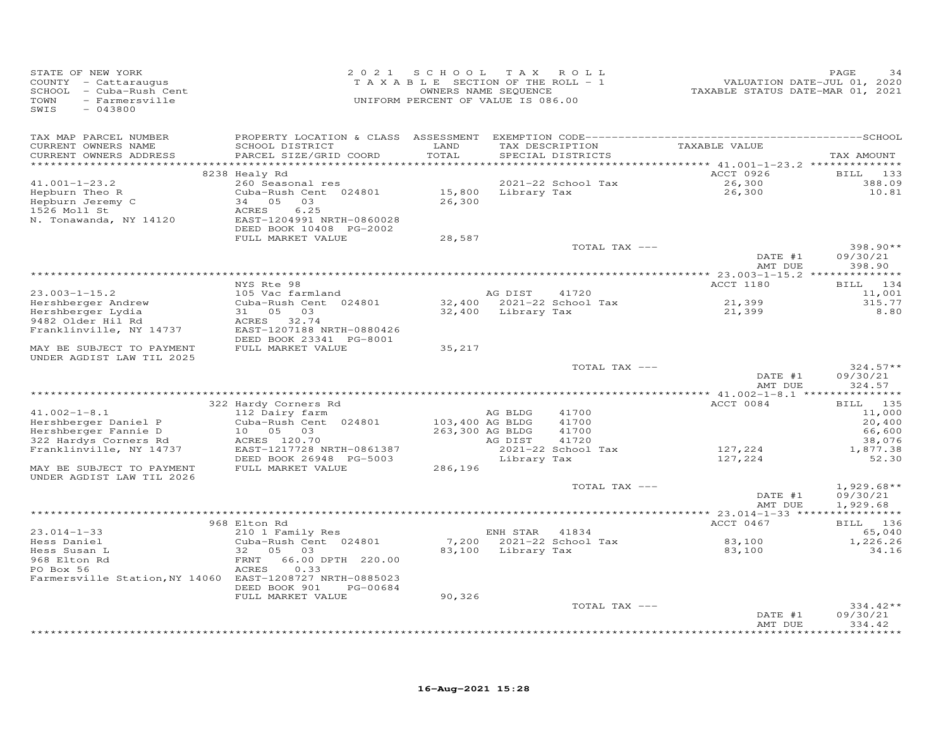| STATE OF NEW YORK<br>COUNTY - Cattaraugus<br>- Cuba-Rush Cent<br>SCHOOL<br>TOWN<br>- Farmersville<br>SWIS<br>$-043800$ | 2 0 2 1                                                                                                                                            | SCHOOL<br>TAXABLE SECTION OF THE ROLL - 1<br>OWNERS NAME SEQUENCE<br>UNIFORM PERCENT OF VALUE IS 086.00 | T A X              | ROLL                                 | TAXABLE STATUS DATE-MAR 01, 2021 | PAGE<br>34<br>VALUATION DATE-JUL 01, 2020 |
|------------------------------------------------------------------------------------------------------------------------|----------------------------------------------------------------------------------------------------------------------------------------------------|---------------------------------------------------------------------------------------------------------|--------------------|--------------------------------------|----------------------------------|-------------------------------------------|
| TAX MAP PARCEL NUMBER<br>CURRENT OWNERS NAME<br>CURRENT OWNERS ADDRESS                                                 | SCHOOL DISTRICT<br>PARCEL SIZE/GRID COORD                                                                                                          | LAND<br>TOTAL                                                                                           |                    | TAX DESCRIPTION<br>SPECIAL DISTRICTS | TAXABLE VALUE                    | TAX AMOUNT                                |
| **********************                                                                                                 |                                                                                                                                                    |                                                                                                         |                    |                                      |                                  |                                           |
| $41.001 - 1 - 23.2$<br>Hepburn Theo R<br>Hepburn Jeremy C<br>1526 Moll St<br>N. Tonawanda, NY 14120                    | 8238 Healy Rd<br>260 Seasonal res<br>Cuba-Rush Cent 024801<br>34 05<br>03<br>6.25<br>ACRES<br>EAST-1204991 NRTH-0860028<br>DEED BOOK 10408 PG-2002 | 15,800<br>26,300                                                                                        | Library Tax        | 2021-22 School Tax                   | ACCT 0926<br>26,300<br>26,300    | BILL 133<br>388.09<br>10.81               |
|                                                                                                                        | FULL MARKET VALUE                                                                                                                                  | 28,587                                                                                                  |                    | TOTAL TAX ---                        | DATE #1                          | $398.90**$<br>09/30/21                    |
|                                                                                                                        |                                                                                                                                                    |                                                                                                         |                    |                                      | AMT DUE                          | 398.90                                    |
|                                                                                                                        | NYS Rte 98                                                                                                                                         |                                                                                                         |                    |                                      | <b>ACCT 1180</b>                 | 134<br>BILL                               |
| $23.003 - 1 - 15.2$                                                                                                    | 105 Vac farmland                                                                                                                                   |                                                                                                         | AG DIST            | 41720                                |                                  | 11,001                                    |
| Hershberger Andrew<br>Hershberger Lydia<br>9482 Older Hil Rd<br>Franklinville, NY 14737                                | Cuba-Rush Cent 024801<br>31<br>05<br>03<br>ACRES<br>32.74<br>EAST-1207188 NRTH-0880426                                                             | 32,400<br>32,400                                                                                        | Library Tax        | 2021-22 School Tax                   | 21,399<br>21,399                 | 315.77<br>8.80                            |
| MAY BE SUBJECT TO PAYMENT<br>UNDER AGDIST LAW TIL 2025                                                                 | DEED BOOK 23341 PG-8001<br>FULL MARKET VALUE                                                                                                       | 35,217                                                                                                  |                    |                                      |                                  |                                           |
|                                                                                                                        |                                                                                                                                                    |                                                                                                         |                    | TOTAL TAX ---                        | DATE #1<br>AMT DUE               | $324.57**$<br>09/30/21<br>324.57          |
|                                                                                                                        |                                                                                                                                                    |                                                                                                         |                    |                                      |                                  |                                           |
|                                                                                                                        | 322 Hardy Corners Rd                                                                                                                               |                                                                                                         |                    |                                      | ACCT 0084                        | 135<br>BILL                               |
| $41.002 - 1 - 8.1$<br>Hershberger Daniel P<br>Hershberger Fannie D<br>322 Hardys Corners Rd                            | 112 Dairy farm<br>Cuba-Rush Cent 024801<br>10<br>05<br>03<br>ACRES 120.70                                                                          | 103,400 AG BLDG<br>263,300 AG BLDG                                                                      | AG BLDG<br>AG DIST | 41700<br>41700<br>41700<br>41720     |                                  | 11,000<br>20,400<br>66,600<br>38,076      |
| Franklinville, NY 14737                                                                                                | EAST-1217728 NRTH-0861387<br>DEED BOOK 26948 PG-5003                                                                                               |                                                                                                         | Library Tax        | 2021-22 School Tax                   | 127,224<br>127,224               | 1,877.38<br>52.30                         |
| MAY BE SUBJECT TO PAYMENT<br>UNDER AGDIST LAW TIL 2026                                                                 | FULL MARKET VALUE                                                                                                                                  | 286,196                                                                                                 |                    |                                      |                                  |                                           |
|                                                                                                                        |                                                                                                                                                    |                                                                                                         |                    | TOTAL TAX ---                        | DATE #1<br>AMT DUE               | $1,929.68**$<br>09/30/21<br>1,929.68      |
|                                                                                                                        |                                                                                                                                                    |                                                                                                         |                    |                                      |                                  |                                           |
| $23.014 - 1 - 33$                                                                                                      | 968 Elton Rd<br>210 1 Family Res                                                                                                                   |                                                                                                         | ENH STAR           | 41834                                | ACCT 0467                        | BILL 136<br>65,040                        |
| Hess Daniel<br>Hess Susan L<br>968 Elton Rd<br>PO Box 56                                                               | Cuba-Rush Cent 024801<br>32<br>05<br>03<br>66.00 DPTH 220.00<br>FRNT<br>ACRES<br>0.33                                                              | 7,200<br>83,100                                                                                         | Library Tax        | 2021-22 School Tax                   | 83,100<br>83,100                 | 1,226.26<br>34.16                         |
| Farmersville Station, NY 14060 EAST-1208727 NRTH-0885023                                                               | DEED BOOK 901<br>PG-00684                                                                                                                          |                                                                                                         |                    |                                      |                                  |                                           |
|                                                                                                                        | FULL MARKET VALUE                                                                                                                                  | 90,326                                                                                                  |                    |                                      |                                  |                                           |
|                                                                                                                        |                                                                                                                                                    |                                                                                                         |                    | TOTAL TAX ---                        | DATE #1<br>AMT DUE               | $334.42**$<br>09/30/21<br>334.42          |
|                                                                                                                        |                                                                                                                                                    |                                                                                                         |                    |                                      |                                  | + + + + + + + +                           |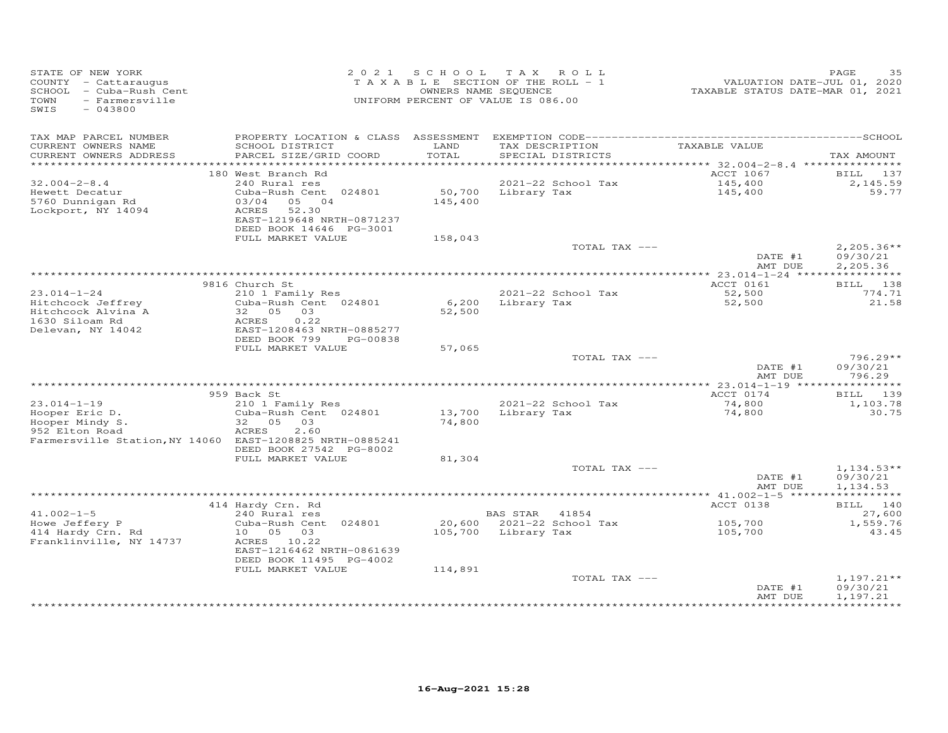| STATE OF NEW YORK<br>COUNTY - Cattaraugus<br>SCHOOL - Cuba-Rush Cent<br>TOWN<br>- Farmersville<br>SWIS<br>$-043800$ |                                                                                                                | 2021 SCHOOL TAX ROLL<br>TAXABLE SECTION OF THE ROLL - 1<br>OWNERS NAME SEQUENCE<br>UNIFORM PERCENT OF VALUE IS 086.00 |                     |                                      | VALUATION DATE-JUL 01, 2020<br>TAXABLE STATUS DATE-MAR 01, 2021 | PAGE<br>35                           |
|---------------------------------------------------------------------------------------------------------------------|----------------------------------------------------------------------------------------------------------------|-----------------------------------------------------------------------------------------------------------------------|---------------------|--------------------------------------|-----------------------------------------------------------------|--------------------------------------|
| TAX MAP PARCEL NUMBER                                                                                               |                                                                                                                |                                                                                                                       |                     |                                      |                                                                 |                                      |
| CURRENT OWNERS NAME<br>CURRENT OWNERS ADDRESS                                                                       | SCHOOL DISTRICT<br>PARCEL SIZE/GRID COORD                                                                      | LAND<br>TOTAL                                                                                                         |                     | TAX DESCRIPTION<br>SPECIAL DISTRICTS | TAXABLE VALUE                                                   | TAX AMOUNT                           |
|                                                                                                                     |                                                                                                                |                                                                                                                       |                     |                                      | ********** 32.004-2-8.4 ****************                        |                                      |
| $32.004 - 2 - 8.4$                                                                                                  | 180 West Branch Rd<br>240 Rural res                                                                            |                                                                                                                       |                     | 2021-22 School Tax                   | ACCT 1067<br>145,400                                            | <b>BILL</b> 137<br>2,145.59          |
| Hewett Decatur                                                                                                      | Cuba-Rush Cent 024801                                                                                          | 50,700                                                                                                                | Library Tax         |                                      | 145,400                                                         | 59.77                                |
| 5760 Dunnigan Rd<br>Lockport, NY 14094                                                                              | 03/04 05 04<br>ACRES<br>52.30<br>EAST-1219648 NRTH-0871237<br>DEED BOOK 14646 PG-3001                          | 145,400                                                                                                               |                     |                                      |                                                                 |                                      |
|                                                                                                                     | FULL MARKET VALUE                                                                                              | 158,043                                                                                                               |                     |                                      |                                                                 |                                      |
|                                                                                                                     |                                                                                                                |                                                                                                                       |                     | TOTAL TAX ---                        | DATE #1                                                         | $2,205.36**$<br>09/30/21             |
|                                                                                                                     |                                                                                                                |                                                                                                                       |                     |                                      | AMT DUE                                                         | 2,205.36                             |
|                                                                                                                     | 9816 Church St                                                                                                 |                                                                                                                       |                     |                                      | ACCT 0161                                                       | BILL 138                             |
| $23.014 - 1 - 24$                                                                                                   | 210 1 Family Res                                                                                               |                                                                                                                       |                     | 2021-22 School Tax                   | 52,500                                                          | 774.71                               |
| Hitchcock Jeffrey<br>Hitchcock Alvina A<br>1630 Siloam Rd<br>Delevan, NY 14042                                      | Cuba-Rush Cent 024801<br>32  05  03<br>ACRES<br>0.22<br>EAST-1208463 NRTH-0885277<br>DEED BOOK 799<br>PG-00838 | 52,500                                                                                                                | 6,200 Library Tax   |                                      | 52,500                                                          | 21.58                                |
|                                                                                                                     | FULL MARKET VALUE                                                                                              | 57,065                                                                                                                |                     |                                      |                                                                 |                                      |
|                                                                                                                     |                                                                                                                |                                                                                                                       |                     | TOTAL TAX ---                        | DATE #1                                                         | $796.29**$<br>09/30/21               |
|                                                                                                                     |                                                                                                                |                                                                                                                       |                     |                                      | AMT DUE                                                         | 796.29                               |
|                                                                                                                     | 959 Back St                                                                                                    |                                                                                                                       |                     |                                      | ACCT 0174                                                       | BILL 139                             |
| $23.014 - 1 - 19$                                                                                                   | 210 1 Family Res                                                                                               |                                                                                                                       |                     | 2021-22 School Tax                   | 74,800                                                          | 1,103.78                             |
| Hooper Eric D.<br>Hooper Mindy S.<br>952 Elton Road                                                                 | Cuba-Rush Cent 024801<br>32 05 03<br>2.60<br>ACRES                                                             | 13,700<br>74,800                                                                                                      |                     | Library Tax                          | 74,800                                                          | 30.75                                |
| Farmersville Station, NY 14060 EAST-1208825 NRTH-0885241                                                            | DEED BOOK 27542 PG-8002                                                                                        |                                                                                                                       |                     |                                      |                                                                 |                                      |
|                                                                                                                     | FULL MARKET VALUE                                                                                              | 81,304                                                                                                                |                     |                                      |                                                                 |                                      |
|                                                                                                                     |                                                                                                                |                                                                                                                       |                     | TOTAL TAX ---                        | DATE #1<br>AMT DUE                                              | $1,134.53**$<br>09/30/21<br>1,134.53 |
|                                                                                                                     |                                                                                                                |                                                                                                                       |                     |                                      | *********** 41.002-1-5 ******************                       |                                      |
|                                                                                                                     | 414 Hardy Crn. Rd                                                                                              |                                                                                                                       |                     |                                      | ACCT 0138                                                       | BILL 140                             |
| $41.002 - 1 - 5$                                                                                                    | 240 Rural res                                                                                                  |                                                                                                                       | BAS STAR 41854      |                                      |                                                                 | 27,600                               |
| Howe Jeffery P<br>414 Hardy Crn. Rd                                                                                 | Cuba-Rush Cent 024801<br>10  05  03                                                                            |                                                                                                                       | 105,700 Library Tax | 20,600 2021-22 School Tax            | 105,700<br>105,700                                              | 1,559.76<br>43.45                    |
| Franklinville, NY 14737                                                                                             | ACRES 10.22<br>EAST-1216462 NRTH-0861639<br>DEED BOOK 11495 PG-4002                                            |                                                                                                                       |                     |                                      |                                                                 |                                      |
|                                                                                                                     | FULL MARKET VALUE                                                                                              | 114,891                                                                                                               |                     |                                      |                                                                 |                                      |
|                                                                                                                     |                                                                                                                |                                                                                                                       |                     | TOTAL TAX ---                        | DATE #1<br>AMT DUE                                              | $1,197.21**$<br>09/30/21<br>1,197.21 |
|                                                                                                                     |                                                                                                                |                                                                                                                       |                     |                                      |                                                                 | * * * * * * * * * * *                |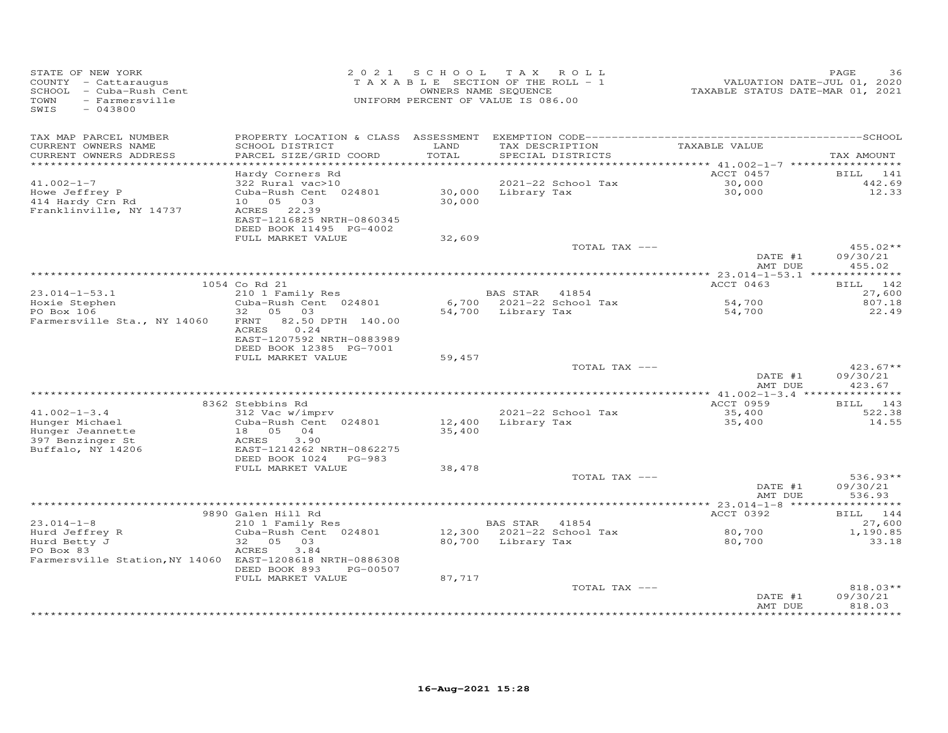| STATE OF NEW YORK<br>COUNTY - Cattaraugus<br>SCHOOL - Cuba-Rush Cent<br>- Farmersville<br>TOWN<br>SWIS<br>$-043800$ |                                                                                                 | 2021 SCHOOL   | TAX ROLL<br>TAXABLE SECTION OF THE ROLL - 1<br>OWNERS NAME SEQUENCE<br>UNIFORM PERCENT OF VALUE IS 086.00 | VALUATION DATE-JUL 01, 2020<br>TAXABLE STATUS DATE-MAR 01, 2021 | PAGE<br>36                       |
|---------------------------------------------------------------------------------------------------------------------|-------------------------------------------------------------------------------------------------|---------------|-----------------------------------------------------------------------------------------------------------|-----------------------------------------------------------------|----------------------------------|
| TAX MAP PARCEL NUMBER<br>CURRENT OWNERS NAME<br>CURRENT OWNERS ADDRESS<br>************************                  | SCHOOL DISTRICT<br>PARCEL SIZE/GRID COORD                                                       | LAND<br>TOTAL | TAX DESCRIPTION<br>SPECIAL DISTRICTS                                                                      | TAXABLE VALUE                                                   | TAX AMOUNT                       |
|                                                                                                                     | Hardy Corners Rd                                                                                |               |                                                                                                           | ACCT 0457                                                       | BILL 141                         |
| $41.002 - 1 - 7$<br>Howe Jeffrey P                                                                                  | 322 Rural vac>10<br>Cuba-Rush Cent 024801                                                       |               | 2021-22 School Tax<br>$30,000$ Library Tax                                                                | 30,000<br>30,000                                                | 442.69<br>12.33                  |
| 414 Hardy Crn Rd<br>Franklinville, NY 14737                                                                         | 10 05 03<br>ACRES 22.39<br>EAST-1216825 NRTH-0860345<br>DEED BOOK 11495 PG-4002                 | 30,000        |                                                                                                           |                                                                 |                                  |
|                                                                                                                     | FULL MARKET VALUE                                                                               | 32,609        |                                                                                                           |                                                                 |                                  |
|                                                                                                                     |                                                                                                 |               | TOTAL TAX ---                                                                                             | DATE #1<br>AMT DUE                                              | $455.02**$<br>09/30/21<br>455.02 |
|                                                                                                                     |                                                                                                 |               |                                                                                                           |                                                                 |                                  |
| $23.014 - 1 - 53.1$                                                                                                 | 1054 Co Rd 21<br>210 1 Family Res                                                               |               | BAS STAR 41854                                                                                            | ACCT 0463                                                       | BILL 142<br>27,600               |
| Hoxie Stephen                                                                                                       | Cuba-Rush Cent 024801                                                                           |               | 6,700 2021-22 School Tax                                                                                  |                                                                 | 807.18                           |
| PO Box 106                                                                                                          | 32 05 03                                                                                        |               | 54,700 Library Tax                                                                                        | 54,700<br>54,700                                                | 22.49                            |
| Farmersville Sta., NY 14060                                                                                         | FRNT 82.50 DPTH 140.00<br>0.24<br>ACRES<br>EAST-1207592 NRTH-0883989<br>DEED BOOK 12385 PG-7001 |               |                                                                                                           |                                                                 |                                  |
|                                                                                                                     | FULL MARKET VALUE                                                                               | 59,457        |                                                                                                           |                                                                 |                                  |
|                                                                                                                     |                                                                                                 |               | TOTAL TAX ---                                                                                             | DATE #1                                                         | $423.67**$<br>09/30/21           |
|                                                                                                                     |                                                                                                 |               |                                                                                                           | AMT DUE                                                         | 423.67                           |
|                                                                                                                     | 8362 Stebbins Rd                                                                                |               |                                                                                                           | ACCT 0959                                                       | BILL 143                         |
| $41.002 - 1 - 3.4$                                                                                                  | 312 Vac w/imprv                                                                                 |               | 2021-22 School Tax                                                                                        | 35,400                                                          | 522.38                           |
| Hunger Michael<br>Hunger Jeannette                                                                                  | Cuba-Rush Cent 024801<br>18 05<br>04                                                            | 35,400        | 12,400 Library Tax                                                                                        | 35,400                                                          | 14.55                            |
| 397 Benzinger St<br>Buffalo, NY 14206                                                                               | ACRES<br>3.90<br>EAST-1214262 NRTH-0862275<br>DEED BOOK 1024 PG-983                             |               |                                                                                                           |                                                                 |                                  |
|                                                                                                                     | FULL MARKET VALUE                                                                               | 38,478        |                                                                                                           |                                                                 |                                  |
|                                                                                                                     |                                                                                                 |               | TOTAL TAX ---                                                                                             |                                                                 | $536.93**$                       |
|                                                                                                                     |                                                                                                 |               |                                                                                                           | DATE #1<br>AMT DUE                                              | 09/30/21<br>536.93               |
|                                                                                                                     | 9890 Galen Hill Rd                                                                              |               |                                                                                                           | ACCT 0392                                                       | BILL 144                         |
| $23.014 - 1 - 8$                                                                                                    | 210 1 Family Res                                                                                |               | BAS STAR 41854                                                                                            |                                                                 | 27,600                           |
| Hurd Jeffrey R                                                                                                      | Cuba-Rush Cent 024801                                                                           |               | 12,300 2021-22 School Tax                                                                                 | 80,700                                                          | 1,190.85                         |
| Hurd Betty J<br>PO Box 83                                                                                           | 32  05  03<br>ACRES<br>3.84                                                                     |               | 80,700 Library Tax                                                                                        | 80,700                                                          | 33.18                            |
| Farmersville Station, NY 14060 EAST-1208618 NRTH-0886308                                                            | DEED BOOK 893<br>PG-00507                                                                       |               |                                                                                                           |                                                                 |                                  |
|                                                                                                                     | FULL MARKET VALUE                                                                               | 87,717        | TOTAL TAX ---                                                                                             |                                                                 | $818.03**$                       |
|                                                                                                                     |                                                                                                 |               |                                                                                                           | DATE #1<br>AMT DUE                                              | 09/30/21<br>818.03               |
|                                                                                                                     |                                                                                                 |               |                                                                                                           |                                                                 |                                  |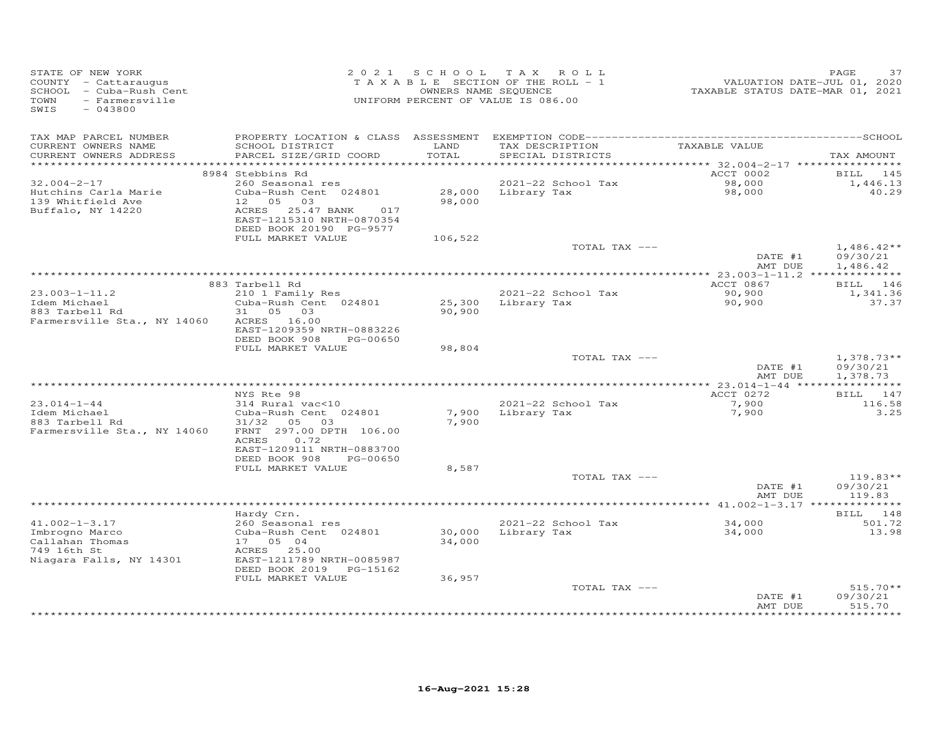| STATE OF NEW YORK<br>COUNTY - Cattaraugus<br>SCHOOL - Cuba-Rush Cent<br>TOWN<br>- Farmersville<br>SWIS<br>$-043800$ | 2 0 2 1                                                                                                                                    | SCHOOL           | TAX ROLL<br>TAXABLE SECTION OF THE ROLL - 1<br>OWNERS NAME SEQUENCE<br>UNIFORM PERCENT OF VALUE IS 086.00 | VALUATION DATE-JUL 01, 2020<br>TAXABLE STATUS DATE-MAR 01, 2021 | PAGE<br>37                           |
|---------------------------------------------------------------------------------------------------------------------|--------------------------------------------------------------------------------------------------------------------------------------------|------------------|-----------------------------------------------------------------------------------------------------------|-----------------------------------------------------------------|--------------------------------------|
| TAX MAP PARCEL NUMBER<br>CURRENT OWNERS NAME<br>CURRENT OWNERS ADDRESS                                              | SCHOOL DISTRICT<br>PARCEL SIZE/GRID COORD                                                                                                  | LAND<br>TOTAL    | TAX DESCRIPTION<br>SPECIAL DISTRICTS                                                                      | TAXABLE VALUE                                                   | TAX AMOUNT                           |
| ***********************                                                                                             |                                                                                                                                            |                  |                                                                                                           | ACCT 0002                                                       |                                      |
| $32.004 - 2 - 17$<br>Hutchins Carla Marie<br>139 Whitfield Ave<br>Buffalo, NY 14220                                 | 8984 Stebbins Rd<br>260 Seasonal res<br>Cuba-Rush Cent 024801<br>12<br>05<br>03<br>ACRES<br>25.47 BANK<br>017<br>EAST-1215310 NRTH-0870354 | 28,000<br>98,000 | 2021-22 School Tax<br>Library Tax                                                                         | 98,000<br>98,000                                                | BILL 145<br>1,446.13<br>40.29        |
|                                                                                                                     | DEED BOOK 20190 PG-9577<br>FULL MARKET VALUE                                                                                               | 106,522          |                                                                                                           |                                                                 |                                      |
|                                                                                                                     |                                                                                                                                            |                  | TOTAL TAX ---                                                                                             | DATE #1<br>AMT DUE                                              | $1,486.42**$<br>09/30/21<br>1,486.42 |
|                                                                                                                     |                                                                                                                                            |                  |                                                                                                           |                                                                 |                                      |
|                                                                                                                     | 883 Tarbell Rd                                                                                                                             |                  |                                                                                                           | ACCT 0867                                                       | BILL 146                             |
| $23.003 - 1 - 11.2$<br>Idem Michael<br>883 Tarbell Rd<br>Farmersville Sta., NY 14060                                | 210 1 Family Res<br>Cuba-Rush Cent 024801<br>31 05 03<br>ACRES 16.00                                                                       | 25,300<br>90,900 | 2021-22 School Tax<br>Library Tax                                                                         | 90,900<br>90,900                                                | 1,341.36<br>37.37                    |
|                                                                                                                     | EAST-1209359 NRTH-0883226<br>DEED BOOK 908<br>PG-00650<br>FULL MARKET VALUE                                                                | 98,804           |                                                                                                           |                                                                 |                                      |
|                                                                                                                     |                                                                                                                                            |                  | TOTAL TAX ---                                                                                             | DATE #1<br>AMT DUE                                              | $1,378.73**$<br>09/30/21<br>1,378.73 |
| *************************                                                                                           |                                                                                                                                            |                  |                                                                                                           |                                                                 |                                      |
| $23.014 - 1 - 44$<br>Idem Michael<br>883 Tarbell Rd<br>Farmersville Sta., NY 14060                                  | NYS Rte 98<br>314 Rural vac<10<br>Cuba-Rush Cent 024801<br>31/32<br>05 03<br>FRNT 297.00 DPTH 106.00<br>0.72<br>ACRES                      | 7,900<br>7,900   | 2021-22 School Tax<br>Library Tax                                                                         | ACCT 0272<br>7,900<br>7,900                                     | BILL 147<br>116.58<br>3.25           |
|                                                                                                                     | EAST-1209111 NRTH-0883700<br>DEED BOOK 908<br>PG-00650                                                                                     |                  |                                                                                                           |                                                                 |                                      |
|                                                                                                                     | FULL MARKET VALUE                                                                                                                          | 8,587            |                                                                                                           |                                                                 |                                      |
|                                                                                                                     |                                                                                                                                            |                  | TOTAL TAX ---                                                                                             | DATE #1<br>AMT DUE                                              | $119.83**$<br>09/30/21<br>119.83     |
|                                                                                                                     |                                                                                                                                            |                  |                                                                                                           |                                                                 |                                      |
| $41.002 - 1 - 3.17$                                                                                                 | Hardy Crn.<br>260 Seasonal res                                                                                                             |                  | 2021-22 School Tax                                                                                        | 34,000                                                          | BILL 148<br>501.72                   |
| Imbrogno Marco<br>Callahan Thomas<br>749 16th St<br>Niagara Falls, NY 14301                                         | Cuba-Rush Cent 024801<br>17  05  04<br>ACRES 25.00<br>EAST-1211789 NRTH-0085987<br>DEED BOOK 2019 PG-15162                                 | 30,000<br>34,000 | Library Tax                                                                                               | 34,000                                                          | 13.98                                |
|                                                                                                                     | FULL MARKET VALUE                                                                                                                          | 36,957           | TOTAL TAX ---                                                                                             | DATE #1                                                         | $515.70**$<br>09/30/21               |
|                                                                                                                     |                                                                                                                                            |                  |                                                                                                           | AMT DUE                                                         | 515.70                               |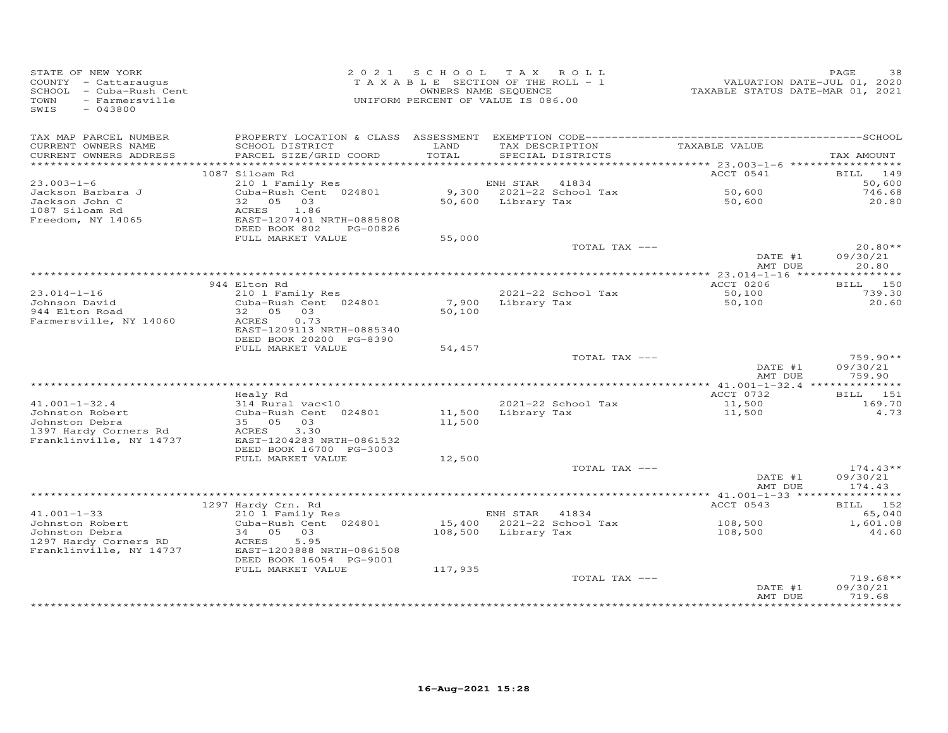| STATE OF NEW YORK<br>COUNTY - Cattaraugus<br>SCHOOL - Cuba-Rush Cent<br><b>TOWN</b><br>- Farmersville<br>SWIS<br>$-043800$ |                                              | 2021 SCHOOL TAX ROLL<br>TAXABLE SECTION OF THE ROLL - 1<br>UNIFORM PERCENT OF VALUE IS 086.00 | OWNERS NAME SEQUENCE |                                      | VALUATION DATE-JUL 01, 2020<br>TAXABLE STATUS DATE-MAR 01, 2021 | PAGE<br>38            |
|----------------------------------------------------------------------------------------------------------------------------|----------------------------------------------|-----------------------------------------------------------------------------------------------|----------------------|--------------------------------------|-----------------------------------------------------------------|-----------------------|
| TAX MAP PARCEL NUMBER                                                                                                      |                                              | LAND                                                                                          |                      |                                      | TAXABLE VALUE                                                   |                       |
| CURRENT OWNERS NAME<br>CURRENT OWNERS ADDRESS                                                                              | SCHOOL DISTRICT<br>PARCEL SIZE/GRID COORD    | TOTAL                                                                                         |                      | TAX DESCRIPTION<br>SPECIAL DISTRICTS |                                                                 | TAX AMOUNT            |
|                                                                                                                            |                                              |                                                                                               |                      |                                      |                                                                 |                       |
|                                                                                                                            | 1087 Siloam Rd                               |                                                                                               |                      |                                      | ACCT 0541                                                       | BILL 149              |
| $23.003 - 1 - 6$<br>Jackson Barbara J                                                                                      | 210 1 Family Res<br>Cuba-Rush Cent 024801    |                                                                                               | ENH STAR             | 41834<br>9,300 2021-22 School Tax    | 50,600                                                          | 50,600<br>746.68      |
| Jackson John C                                                                                                             | 32 05 03                                     |                                                                                               | 50,600 Library Tax   |                                      | 50,600                                                          | 20.80                 |
| 1087 Siloam Rd                                                                                                             | ACRES<br>1.86                                |                                                                                               |                      |                                      |                                                                 |                       |
| Freedom, NY 14065                                                                                                          | EAST-1207401 NRTH-0885808                    |                                                                                               |                      |                                      |                                                                 |                       |
|                                                                                                                            | DEED BOOK 802<br>PG-00826                    |                                                                                               |                      |                                      |                                                                 |                       |
|                                                                                                                            | FULL MARKET VALUE                            | 55,000                                                                                        |                      |                                      |                                                                 |                       |
|                                                                                                                            |                                              |                                                                                               |                      | TOTAL TAX ---                        | DATE #1                                                         | $20.80**$<br>09/30/21 |
|                                                                                                                            |                                              |                                                                                               |                      |                                      | AMT DUE                                                         | 20.80                 |
|                                                                                                                            |                                              |                                                                                               |                      |                                      |                                                                 |                       |
|                                                                                                                            | 944 Elton Rd                                 |                                                                                               |                      |                                      | ACCT 0206                                                       | BILL 150              |
| $23.014 - 1 - 16$                                                                                                          | 210 1 Family Res                             |                                                                                               |                      | 2021-22 School Tax                   | 50,100                                                          | 739.30                |
| Johnson David                                                                                                              | Cuba-Rush Cent 024801                        |                                                                                               | 7,900 Library Tax    |                                      | 50,100                                                          | 20.60                 |
| 944 Elton Road                                                                                                             | 32 05 03<br>ACRES<br>0.73                    | 50,100                                                                                        |                      |                                      |                                                                 |                       |
| Farmersville, NY 14060                                                                                                     | EAST-1209113 NRTH-0885340                    |                                                                                               |                      |                                      |                                                                 |                       |
|                                                                                                                            | DEED BOOK 20200 PG-8390                      |                                                                                               |                      |                                      |                                                                 |                       |
|                                                                                                                            | FULL MARKET VALUE                            | 54,457                                                                                        |                      |                                      |                                                                 |                       |
|                                                                                                                            |                                              |                                                                                               |                      | TOTAL TAX ---                        |                                                                 | $759.90**$            |
|                                                                                                                            |                                              |                                                                                               |                      |                                      | DATE #1                                                         | 09/30/21              |
|                                                                                                                            |                                              |                                                                                               |                      |                                      | AMT DUE                                                         | 759.90                |
|                                                                                                                            | Healy Rd                                     |                                                                                               |                      |                                      | ACCT 0732                                                       | BILL 151              |
| $41.001 - 1 - 32.4$                                                                                                        | $314$ Rural vac<10                           |                                                                                               |                      | 2021-22 School Tax                   | 11,500                                                          | 169.70                |
| Johnston Robert                                                                                                            | Cuba-Rush Cent 024801                        | 11,500                                                                                        |                      | Library Tax                          | 11,500                                                          | 4.73                  |
| Johnston Debra                                                                                                             | 35 05 03                                     | 11,500                                                                                        |                      |                                      |                                                                 |                       |
| 1397 Hardy Corners Rd                                                                                                      | 3.30<br>ACRES                                |                                                                                               |                      |                                      |                                                                 |                       |
| Franklinville, NY 14737                                                                                                    | EAST-1204283 NRTH-0861532                    |                                                                                               |                      |                                      |                                                                 |                       |
|                                                                                                                            | DEED BOOK 16700 PG-3003<br>FULL MARKET VALUE | 12,500                                                                                        |                      |                                      |                                                                 |                       |
|                                                                                                                            |                                              |                                                                                               |                      | TOTAL TAX ---                        |                                                                 | $174.43**$            |
|                                                                                                                            |                                              |                                                                                               |                      |                                      | DATE #1                                                         | 09/30/21              |
|                                                                                                                            |                                              |                                                                                               |                      |                                      | AMT DUE                                                         | 174.43                |
|                                                                                                                            |                                              |                                                                                               |                      |                                      |                                                                 |                       |
| $41.001 - 1 - 33$                                                                                                          | 1297 Hardy Crn. Rd                           |                                                                                               |                      |                                      | ACCT 0543                                                       | BILL 152              |
| Johnston Robert                                                                                                            | 210 1 Family Res<br>Cuba-Rush Cent 024801    |                                                                                               | ENH STAR 41834       | 15,400 2021-22 School Tax            | 108,500                                                         | 65,040<br>1,601.08    |
| Johnston Debra                                                                                                             | 34 05 03                                     |                                                                                               | 108,500 Library Tax  |                                      | 108,500                                                         | 44.60                 |
| 1297 Hardy Corners RD                                                                                                      | ACRES<br>5.95                                |                                                                                               |                      |                                      |                                                                 |                       |
| Franklinville, NY 14737                                                                                                    | EAST-1203888 NRTH-0861508                    |                                                                                               |                      |                                      |                                                                 |                       |
|                                                                                                                            | DEED BOOK 16054 PG-9001                      |                                                                                               |                      |                                      |                                                                 |                       |
|                                                                                                                            | FULL MARKET VALUE                            | 117,935                                                                                       |                      |                                      |                                                                 |                       |
|                                                                                                                            |                                              |                                                                                               |                      | TOTAL TAX ---                        |                                                                 | $719.68**$            |
|                                                                                                                            |                                              |                                                                                               |                      |                                      | DATE #1<br>AMT DUE                                              | 09/30/21<br>719.68    |
|                                                                                                                            |                                              |                                                                                               |                      |                                      |                                                                 | * * * * * * * * * *   |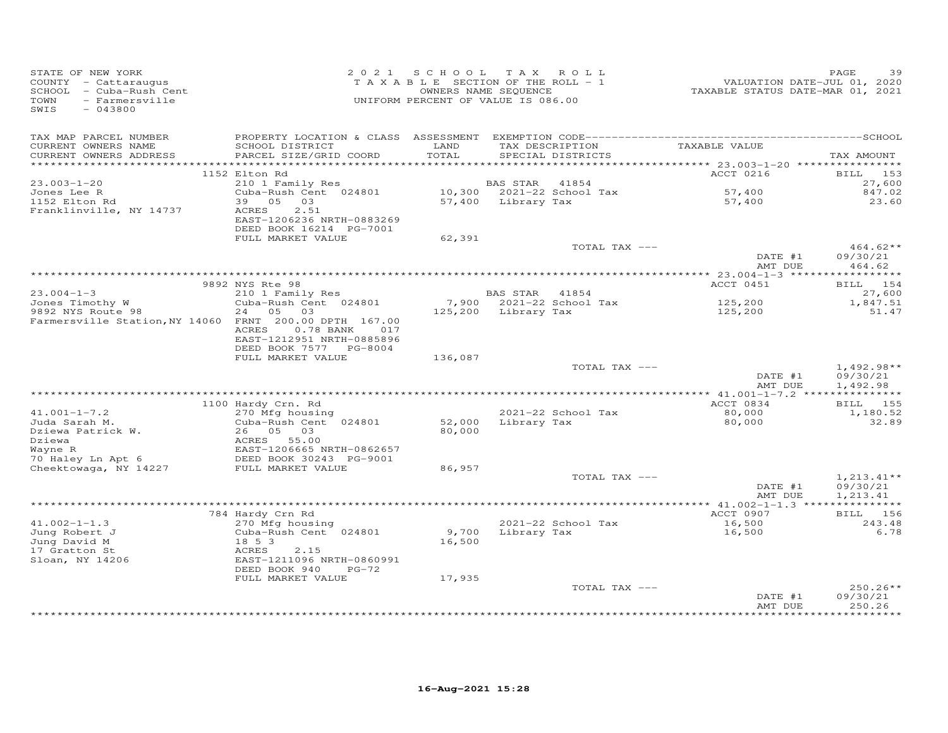| TAX MAP PARCEL NUMBER<br>TAXABLE VALUE<br>SCHOOL DISTRICT<br>LAND<br>TAX DESCRIPTION<br>CURRENT OWNERS NAME<br>PARCEL SIZE/GRID COORD<br>TOTAL<br>CURRENT OWNERS ADDRESS<br>SPECIAL DISTRICTS<br>************************<br>ACCT 0216<br>1152 Elton Rd<br>BILL 153<br>$23.003 - 1 - 20$<br>210 1 Family Res<br>BAS STAR<br>41854<br>Cuba-Rush Cent 024801<br>10,300<br>2021-22 School Tax<br>57,400<br>Jones Lee R<br>1152 Elton Rd<br>39 05 03<br>57,400 Library Tax<br>57,400<br>Franklinville, NY 14737<br>2.51<br>ACRES<br>EAST-1206236 NRTH-0883269<br>DEED BOOK 16214 PG-7001<br>FULL MARKET VALUE<br>62,391<br>TOTAL TAX ---<br>DATE #1<br>AMT DUE<br>9892 NYS Rte 98<br>ACCT 0451<br>$23.004 - 1 - 3$<br>210 1 Family Res<br>BAS STAR 41854<br>7,900 2021-22 School Tax<br>125,200<br>Jones Timothy W<br>Cuba-Rush Cent 024801<br>9892 NYS Route 98<br>24 05 03<br>125,200 Library Tax<br>125,200<br>Farmersville Station, NY 14060 FRNT 200.00 DPTH 167.00<br>ACRES<br>$0.78$ BANK<br>017<br>EAST-1212951 NRTH-0885896<br>DEED BOOK 7577 PG-8004<br>136,087<br>FULL MARKET VALUE<br>TOTAL TAX ---<br>DATE #1<br>AMT DUE<br>ACCT 0834<br>1100 Hardy Crn. Rd<br>$41.001 - 1 - 7.2$<br>2021-22 School Tax<br>80,000<br>270 Mfg housing<br>Juda Sarah M.<br>Cuba-Rush Cent 024801<br>52,000<br>Library Tax<br>80,000<br>Dziewa Patrick W.<br>26 05 03<br>80,000<br>Dziewa<br>ACRES 55.00<br>EAST-1206665 NRTH-0862657<br>DEED BOOK 30243 PG-9001<br>Wayne R<br>EAST-1206665 NRTH-0862657<br>70 Haley Ln Apt 6<br>86,957<br>Cheektowaga, NY 14227<br>FULL MARKET VALUE<br>TOTAL TAX ---<br>DATE #1<br>AMT DUE<br>ACCT 0907<br>784 Hardy Crn Rd<br>$41.002 - 1 - 1.3$<br>2021-22 School Tax<br>270 Mfg housing<br>16,500<br>Jung Robert J<br>Cuba-Rush Cent 024801<br>9,700<br>Library Tax<br>16,500<br>Jung David M<br>18 5 3<br>16,500<br>17 Gratton St<br>ACRES<br>2.15<br>EAST-1211096 NRTH-0860991<br>Sloan, NY 14206<br>DEED BOOK 940<br>$PG-72$<br>17,935<br>FULL MARKET VALUE | STATE OF NEW YORK<br>COUNTY - Cattaraugus<br>SCHOOL - Cuba-Rush Cent<br>TOWN<br>- Farmersville<br>SWIS<br>$-043800$ | 2021 SCHOOL | TAX ROLL<br>TAXABLE SECTION OF THE ROLL - 1<br>OWNERS NAME SEQUENCE<br>UNIFORM PERCENT OF VALUE IS 086.00 | VALUATION DATE-JUL 01, 2020<br>TAXABLE STATUS DATE-MAR 01, 2021 | PAGE<br>39                           |
|-------------------------------------------------------------------------------------------------------------------------------------------------------------------------------------------------------------------------------------------------------------------------------------------------------------------------------------------------------------------------------------------------------------------------------------------------------------------------------------------------------------------------------------------------------------------------------------------------------------------------------------------------------------------------------------------------------------------------------------------------------------------------------------------------------------------------------------------------------------------------------------------------------------------------------------------------------------------------------------------------------------------------------------------------------------------------------------------------------------------------------------------------------------------------------------------------------------------------------------------------------------------------------------------------------------------------------------------------------------------------------------------------------------------------------------------------------------------------------------------------------------------------------------------------------------------------------------------------------------------------------------------------------------------------------------------------------------------------------------------------------------------------------------------------------------------------------------------------------------------------------------------------------------------------------------------------------------------------------------------|---------------------------------------------------------------------------------------------------------------------|-------------|-----------------------------------------------------------------------------------------------------------|-----------------------------------------------------------------|--------------------------------------|
|                                                                                                                                                                                                                                                                                                                                                                                                                                                                                                                                                                                                                                                                                                                                                                                                                                                                                                                                                                                                                                                                                                                                                                                                                                                                                                                                                                                                                                                                                                                                                                                                                                                                                                                                                                                                                                                                                                                                                                                           |                                                                                                                     |             |                                                                                                           |                                                                 | TAX AMOUNT                           |
|                                                                                                                                                                                                                                                                                                                                                                                                                                                                                                                                                                                                                                                                                                                                                                                                                                                                                                                                                                                                                                                                                                                                                                                                                                                                                                                                                                                                                                                                                                                                                                                                                                                                                                                                                                                                                                                                                                                                                                                           |                                                                                                                     |             |                                                                                                           |                                                                 |                                      |
|                                                                                                                                                                                                                                                                                                                                                                                                                                                                                                                                                                                                                                                                                                                                                                                                                                                                                                                                                                                                                                                                                                                                                                                                                                                                                                                                                                                                                                                                                                                                                                                                                                                                                                                                                                                                                                                                                                                                                                                           |                                                                                                                     |             |                                                                                                           |                                                                 | 27,600                               |
|                                                                                                                                                                                                                                                                                                                                                                                                                                                                                                                                                                                                                                                                                                                                                                                                                                                                                                                                                                                                                                                                                                                                                                                                                                                                                                                                                                                                                                                                                                                                                                                                                                                                                                                                                                                                                                                                                                                                                                                           |                                                                                                                     |             |                                                                                                           |                                                                 | 847.02                               |
|                                                                                                                                                                                                                                                                                                                                                                                                                                                                                                                                                                                                                                                                                                                                                                                                                                                                                                                                                                                                                                                                                                                                                                                                                                                                                                                                                                                                                                                                                                                                                                                                                                                                                                                                                                                                                                                                                                                                                                                           |                                                                                                                     |             |                                                                                                           |                                                                 | 23.60                                |
|                                                                                                                                                                                                                                                                                                                                                                                                                                                                                                                                                                                                                                                                                                                                                                                                                                                                                                                                                                                                                                                                                                                                                                                                                                                                                                                                                                                                                                                                                                                                                                                                                                                                                                                                                                                                                                                                                                                                                                                           |                                                                                                                     |             |                                                                                                           |                                                                 |                                      |
|                                                                                                                                                                                                                                                                                                                                                                                                                                                                                                                                                                                                                                                                                                                                                                                                                                                                                                                                                                                                                                                                                                                                                                                                                                                                                                                                                                                                                                                                                                                                                                                                                                                                                                                                                                                                                                                                                                                                                                                           |                                                                                                                     |             |                                                                                                           |                                                                 | $464.62**$<br>09/30/21               |
|                                                                                                                                                                                                                                                                                                                                                                                                                                                                                                                                                                                                                                                                                                                                                                                                                                                                                                                                                                                                                                                                                                                                                                                                                                                                                                                                                                                                                                                                                                                                                                                                                                                                                                                                                                                                                                                                                                                                                                                           |                                                                                                                     |             |                                                                                                           |                                                                 | 464.62                               |
|                                                                                                                                                                                                                                                                                                                                                                                                                                                                                                                                                                                                                                                                                                                                                                                                                                                                                                                                                                                                                                                                                                                                                                                                                                                                                                                                                                                                                                                                                                                                                                                                                                                                                                                                                                                                                                                                                                                                                                                           |                                                                                                                     |             |                                                                                                           |                                                                 | BILL 154                             |
|                                                                                                                                                                                                                                                                                                                                                                                                                                                                                                                                                                                                                                                                                                                                                                                                                                                                                                                                                                                                                                                                                                                                                                                                                                                                                                                                                                                                                                                                                                                                                                                                                                                                                                                                                                                                                                                                                                                                                                                           |                                                                                                                     |             |                                                                                                           |                                                                 | 27,600                               |
|                                                                                                                                                                                                                                                                                                                                                                                                                                                                                                                                                                                                                                                                                                                                                                                                                                                                                                                                                                                                                                                                                                                                                                                                                                                                                                                                                                                                                                                                                                                                                                                                                                                                                                                                                                                                                                                                                                                                                                                           |                                                                                                                     |             |                                                                                                           |                                                                 | 1,847.51                             |
|                                                                                                                                                                                                                                                                                                                                                                                                                                                                                                                                                                                                                                                                                                                                                                                                                                                                                                                                                                                                                                                                                                                                                                                                                                                                                                                                                                                                                                                                                                                                                                                                                                                                                                                                                                                                                                                                                                                                                                                           |                                                                                                                     |             |                                                                                                           |                                                                 | 51.47                                |
|                                                                                                                                                                                                                                                                                                                                                                                                                                                                                                                                                                                                                                                                                                                                                                                                                                                                                                                                                                                                                                                                                                                                                                                                                                                                                                                                                                                                                                                                                                                                                                                                                                                                                                                                                                                                                                                                                                                                                                                           |                                                                                                                     |             |                                                                                                           |                                                                 |                                      |
|                                                                                                                                                                                                                                                                                                                                                                                                                                                                                                                                                                                                                                                                                                                                                                                                                                                                                                                                                                                                                                                                                                                                                                                                                                                                                                                                                                                                                                                                                                                                                                                                                                                                                                                                                                                                                                                                                                                                                                                           |                                                                                                                     |             |                                                                                                           |                                                                 |                                      |
|                                                                                                                                                                                                                                                                                                                                                                                                                                                                                                                                                                                                                                                                                                                                                                                                                                                                                                                                                                                                                                                                                                                                                                                                                                                                                                                                                                                                                                                                                                                                                                                                                                                                                                                                                                                                                                                                                                                                                                                           |                                                                                                                     |             |                                                                                                           |                                                                 | $1,492.98**$<br>09/30/21<br>1,492.98 |
|                                                                                                                                                                                                                                                                                                                                                                                                                                                                                                                                                                                                                                                                                                                                                                                                                                                                                                                                                                                                                                                                                                                                                                                                                                                                                                                                                                                                                                                                                                                                                                                                                                                                                                                                                                                                                                                                                                                                                                                           |                                                                                                                     |             |                                                                                                           |                                                                 |                                      |
|                                                                                                                                                                                                                                                                                                                                                                                                                                                                                                                                                                                                                                                                                                                                                                                                                                                                                                                                                                                                                                                                                                                                                                                                                                                                                                                                                                                                                                                                                                                                                                                                                                                                                                                                                                                                                                                                                                                                                                                           |                                                                                                                     |             |                                                                                                           |                                                                 | BILL 155                             |
|                                                                                                                                                                                                                                                                                                                                                                                                                                                                                                                                                                                                                                                                                                                                                                                                                                                                                                                                                                                                                                                                                                                                                                                                                                                                                                                                                                                                                                                                                                                                                                                                                                                                                                                                                                                                                                                                                                                                                                                           |                                                                                                                     |             |                                                                                                           |                                                                 | 1,180.52<br>32.89                    |
|                                                                                                                                                                                                                                                                                                                                                                                                                                                                                                                                                                                                                                                                                                                                                                                                                                                                                                                                                                                                                                                                                                                                                                                                                                                                                                                                                                                                                                                                                                                                                                                                                                                                                                                                                                                                                                                                                                                                                                                           |                                                                                                                     |             |                                                                                                           |                                                                 |                                      |
|                                                                                                                                                                                                                                                                                                                                                                                                                                                                                                                                                                                                                                                                                                                                                                                                                                                                                                                                                                                                                                                                                                                                                                                                                                                                                                                                                                                                                                                                                                                                                                                                                                                                                                                                                                                                                                                                                                                                                                                           |                                                                                                                     |             |                                                                                                           |                                                                 |                                      |
|                                                                                                                                                                                                                                                                                                                                                                                                                                                                                                                                                                                                                                                                                                                                                                                                                                                                                                                                                                                                                                                                                                                                                                                                                                                                                                                                                                                                                                                                                                                                                                                                                                                                                                                                                                                                                                                                                                                                                                                           |                                                                                                                     |             |                                                                                                           |                                                                 | $1,213.41**$<br>09/30/21<br>1,213.41 |
|                                                                                                                                                                                                                                                                                                                                                                                                                                                                                                                                                                                                                                                                                                                                                                                                                                                                                                                                                                                                                                                                                                                                                                                                                                                                                                                                                                                                                                                                                                                                                                                                                                                                                                                                                                                                                                                                                                                                                                                           |                                                                                                                     |             |                                                                                                           |                                                                 |                                      |
|                                                                                                                                                                                                                                                                                                                                                                                                                                                                                                                                                                                                                                                                                                                                                                                                                                                                                                                                                                                                                                                                                                                                                                                                                                                                                                                                                                                                                                                                                                                                                                                                                                                                                                                                                                                                                                                                                                                                                                                           |                                                                                                                     |             |                                                                                                           |                                                                 | BILL 156                             |
|                                                                                                                                                                                                                                                                                                                                                                                                                                                                                                                                                                                                                                                                                                                                                                                                                                                                                                                                                                                                                                                                                                                                                                                                                                                                                                                                                                                                                                                                                                                                                                                                                                                                                                                                                                                                                                                                                                                                                                                           |                                                                                                                     |             |                                                                                                           |                                                                 | 243.48<br>6.78                       |
|                                                                                                                                                                                                                                                                                                                                                                                                                                                                                                                                                                                                                                                                                                                                                                                                                                                                                                                                                                                                                                                                                                                                                                                                                                                                                                                                                                                                                                                                                                                                                                                                                                                                                                                                                                                                                                                                                                                                                                                           |                                                                                                                     |             |                                                                                                           |                                                                 |                                      |
|                                                                                                                                                                                                                                                                                                                                                                                                                                                                                                                                                                                                                                                                                                                                                                                                                                                                                                                                                                                                                                                                                                                                                                                                                                                                                                                                                                                                                                                                                                                                                                                                                                                                                                                                                                                                                                                                                                                                                                                           |                                                                                                                     |             |                                                                                                           |                                                                 |                                      |
|                                                                                                                                                                                                                                                                                                                                                                                                                                                                                                                                                                                                                                                                                                                                                                                                                                                                                                                                                                                                                                                                                                                                                                                                                                                                                                                                                                                                                                                                                                                                                                                                                                                                                                                                                                                                                                                                                                                                                                                           |                                                                                                                     |             |                                                                                                           |                                                                 |                                      |
|                                                                                                                                                                                                                                                                                                                                                                                                                                                                                                                                                                                                                                                                                                                                                                                                                                                                                                                                                                                                                                                                                                                                                                                                                                                                                                                                                                                                                                                                                                                                                                                                                                                                                                                                                                                                                                                                                                                                                                                           |                                                                                                                     |             |                                                                                                           |                                                                 |                                      |
| TOTAL TAX ---<br>DATE #1<br>AMT DUE                                                                                                                                                                                                                                                                                                                                                                                                                                                                                                                                                                                                                                                                                                                                                                                                                                                                                                                                                                                                                                                                                                                                                                                                                                                                                                                                                                                                                                                                                                                                                                                                                                                                                                                                                                                                                                                                                                                                                       |                                                                                                                     |             |                                                                                                           |                                                                 | 250.26**<br>09/30/21<br>250.26       |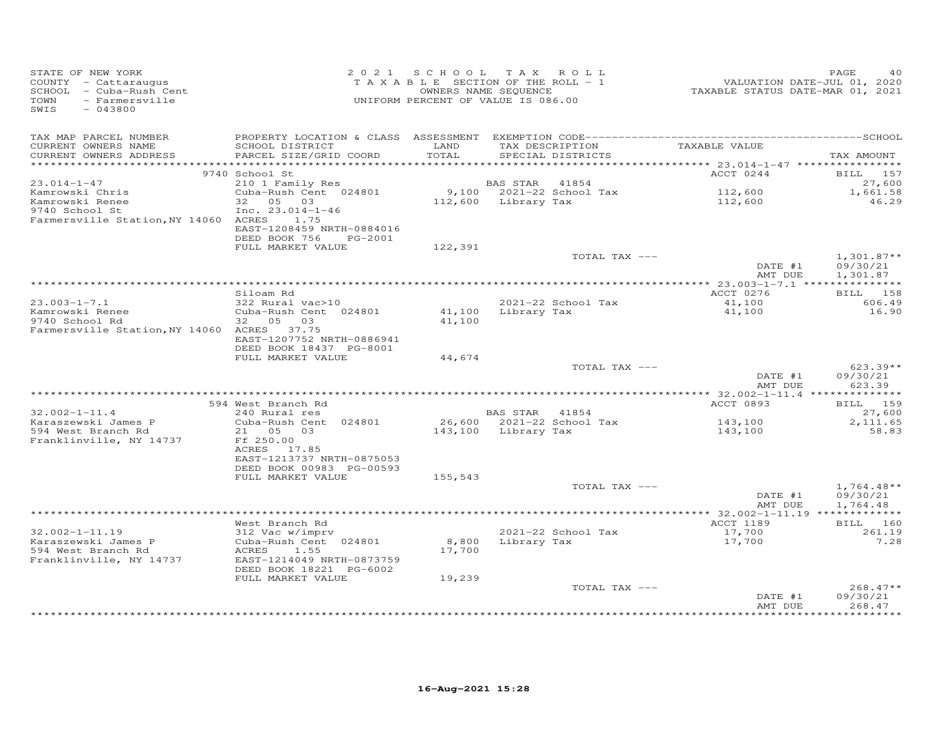| STATE OF NEW YORK<br>COUNTY - Cattaraugus<br>SCHOOL - Cuba-Rush Cent<br>TOWN<br>- Farmersville<br>SWIS<br>$-043800$ |                                           | 2021 SCHOOL   | TAX ROLL<br>TAXABLE SECTION OF THE ROLL - 1<br>OWNERS NAME SEQUENCE<br>UNIFORM PERCENT OF VALUE IS 086.00 | VALUATION DATE-JUL 01, 2020<br>TAXABLE STATUS DATE-MAR 01, 2021 | PAGE<br>40             |
|---------------------------------------------------------------------------------------------------------------------|-------------------------------------------|---------------|-----------------------------------------------------------------------------------------------------------|-----------------------------------------------------------------|------------------------|
| TAX MAP PARCEL NUMBER                                                                                               |                                           |               |                                                                                                           |                                                                 |                        |
| CURRENT OWNERS NAME<br>CURRENT OWNERS ADDRESS<br>***********************                                            | SCHOOL DISTRICT<br>PARCEL SIZE/GRID COORD | LAND<br>TOTAL | TAX DESCRIPTION<br>SPECIAL DISTRICTS                                                                      | TAXABLE VALUE                                                   | TAX AMOUNT             |
|                                                                                                                     | 9740 School St                            |               |                                                                                                           | ACCT 0244                                                       | BILL 157               |
| $23.014 - 1 - 47$                                                                                                   | 210 1 Family Res                          |               | BAS STAR<br>41854                                                                                         |                                                                 | 27,600                 |
| Kamrowski Chris                                                                                                     | Cuba-Rush Cent 024801                     |               | 9,100 2021-22 School Tax                                                                                  | 112,600                                                         | 1,661.58               |
| Kamrowski Renee                                                                                                     | 32 05 03                                  |               | 112,600 Library Tax                                                                                       | 112,600                                                         | 46.29                  |
| 9740 School St                                                                                                      | Inc. $23.014 - 1 - 46$                    |               |                                                                                                           |                                                                 |                        |
| Farmersville Station, NY 14060 ACRES 1.75                                                                           | EAST-1208459 NRTH-0884016                 |               |                                                                                                           |                                                                 |                        |
|                                                                                                                     | DEED BOOK 756<br>PG-2001                  |               |                                                                                                           |                                                                 |                        |
|                                                                                                                     | FULL MARKET VALUE                         | 122,391       |                                                                                                           |                                                                 |                        |
|                                                                                                                     |                                           |               | TOTAL TAX ---                                                                                             |                                                                 | $1,301.87**$           |
|                                                                                                                     |                                           |               |                                                                                                           | DATE #1<br>AMT DUE                                              | 09/30/21<br>1,301.87   |
|                                                                                                                     |                                           |               |                                                                                                           |                                                                 |                        |
|                                                                                                                     | Siloam Rd                                 |               |                                                                                                           | ACCT 0276                                                       | BILL 158               |
| $23.003 - 1 - 7.1$                                                                                                  | 322 Rural vac>10                          |               | 2021-22 School Tax                                                                                        | 41,100                                                          | 606.49                 |
| Kamrowski Renee                                                                                                     | Cuba-Rush Cent 024801                     |               | 41,100 Library Tax                                                                                        | 41,100                                                          | 16.90                  |
| 9740 School Rd<br>Farmersville Station, NY 14060 ACRES 37.75                                                        | 32 05<br>03                               | 41,100        |                                                                                                           |                                                                 |                        |
|                                                                                                                     | EAST-1207752 NRTH-0886941                 |               |                                                                                                           |                                                                 |                        |
|                                                                                                                     | DEED BOOK 18437 PG-8001                   |               |                                                                                                           |                                                                 |                        |
|                                                                                                                     | FULL MARKET VALUE                         | 44,674        |                                                                                                           |                                                                 |                        |
|                                                                                                                     |                                           |               | TOTAL TAX ---                                                                                             | DATE #1                                                         | $623.39**$<br>09/30/21 |
|                                                                                                                     |                                           |               |                                                                                                           | AMT DUE                                                         | 623.39                 |
|                                                                                                                     |                                           |               |                                                                                                           | ************** 32.002-1-11.4 ***************                    |                        |
|                                                                                                                     | 594 West Branch Rd                        |               |                                                                                                           | ACCT 0893                                                       | BILL 159               |
| $32.002 - 1 - 11.4$                                                                                                 | 240 Rural res                             |               | BAS STAR 41854                                                                                            |                                                                 | 27,600                 |
| Karaszewski James P<br>594 West Branch Rd                                                                           | Cuba-Rush Cent 024801<br>21  05  03       |               | 26,600 2021-22 School Tax<br>143,100 Library Tax                                                          | 143,100<br>143,100                                              | 2,111.65<br>58.83      |
| Franklinville, NY 14737                                                                                             | Ff 250.00                                 |               |                                                                                                           |                                                                 |                        |
|                                                                                                                     | ACRES 17.85                               |               |                                                                                                           |                                                                 |                        |
|                                                                                                                     | EAST-1213737 NRTH-0875053                 |               |                                                                                                           |                                                                 |                        |
|                                                                                                                     | DEED BOOK 00983 PG-00593                  |               |                                                                                                           |                                                                 |                        |
|                                                                                                                     | FULL MARKET VALUE                         | 155,543       | TOTAL TAX ---                                                                                             |                                                                 | $1,764.48**$           |
|                                                                                                                     |                                           |               |                                                                                                           | DATE #1                                                         | 09/30/21               |
|                                                                                                                     |                                           |               |                                                                                                           | AMT DUE                                                         | 1,764.48               |
|                                                                                                                     |                                           |               |                                                                                                           |                                                                 |                        |
| $32.002 - 1 - 11.19$                                                                                                | West Branch Rd                            |               | 2021-22 School Tax                                                                                        | ACCT 1189                                                       | BILL 160<br>261.19     |
| Karaszewski James P                                                                                                 | 312 Vac w/imprv<br>Cuba-Rush Cent 024801  | 8,800         | Library Tax                                                                                               | 17,700<br>17,700                                                | 7.28                   |
| 594 West Branch Rd                                                                                                  | ACRES<br>1.55                             | 17,700        |                                                                                                           |                                                                 |                        |
| Franklinville, NY 14737                                                                                             | EAST-1214049 NRTH-0873759                 |               |                                                                                                           |                                                                 |                        |
|                                                                                                                     | DEED BOOK 18221 PG-6002                   |               |                                                                                                           |                                                                 |                        |
|                                                                                                                     | FULL MARKET VALUE                         | 19,239        | TOTAL TAX ---                                                                                             |                                                                 | $268.47**$             |
|                                                                                                                     |                                           |               |                                                                                                           | DATE #1                                                         | 09/30/21               |
|                                                                                                                     |                                           |               |                                                                                                           | AMT DUE                                                         | 268.47                 |
|                                                                                                                     |                                           |               |                                                                                                           |                                                                 |                        |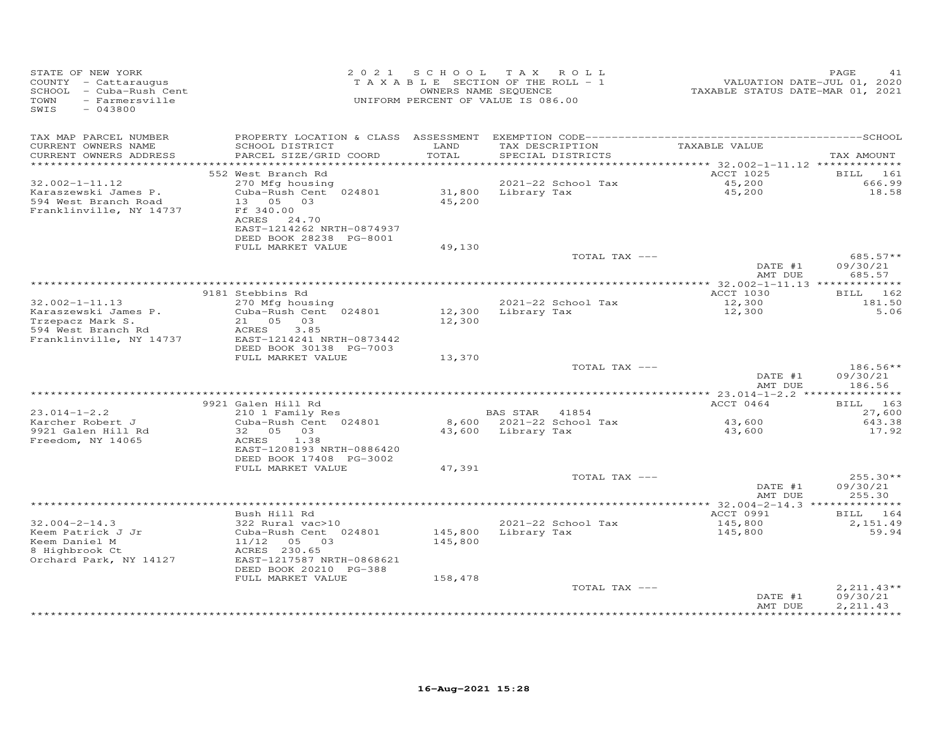| STATE OF NEW YORK<br>COUNTY - Cattaraugus<br>SCHOOL<br>- Cuba-Rush Cent<br>TOWN<br>- Farmersville<br>SWIS<br>$-043800$ | 2 0 2 1                                                                                                               | SCHOOL           | T A X<br>ROLL<br>TAXABLE SECTION OF THE ROLL - 1<br>OWNERS NAME SEQUENCE<br>UNIFORM PERCENT OF VALUE IS 086.00 | VALUATION DATE-JUL 01, 2020<br>TAXABLE STATUS DATE-MAR 01, 2021 | PAGE<br>41                     |
|------------------------------------------------------------------------------------------------------------------------|-----------------------------------------------------------------------------------------------------------------------|------------------|----------------------------------------------------------------------------------------------------------------|-----------------------------------------------------------------|--------------------------------|
| TAX MAP PARCEL NUMBER<br>CURRENT OWNERS NAME<br>CURRENT OWNERS ADDRESS                                                 | SCHOOL DISTRICT<br>PARCEL SIZE/GRID COORD                                                                             | LAND<br>TOTAL    | TAX DESCRIPTION<br>SPECIAL DISTRICTS                                                                           | TAXABLE VALUE                                                   | TAX AMOUNT                     |
| ***********************<br>$32.002 - 1 - 11.12$                                                                        | 552 West Branch Rd<br>270 Mfg housing                                                                                 |                  | 2021-22 School Tax                                                                                             | ACCT 1025<br>45,200                                             | <b>BILL</b><br>161<br>666.99   |
| Karaszewski James P.<br>594 West Branch Road<br>Franklinville, NY 14737                                                | Cuba-Rush Cent 024801<br>13 05 03<br>Ff 340.00<br>ACRES 24.70<br>EAST-1214262 NRTH-0874937<br>DEED BOOK 28238 PG-8001 | 31,800<br>45,200 | Library Tax                                                                                                    | 45,200                                                          | 18.58                          |
|                                                                                                                        | FULL MARKET VALUE                                                                                                     | 49,130           |                                                                                                                |                                                                 |                                |
|                                                                                                                        |                                                                                                                       |                  | TOTAL TAX ---                                                                                                  | DATE #1<br>AMT DUE                                              | 685.57**<br>09/30/21<br>685.57 |
|                                                                                                                        |                                                                                                                       |                  |                                                                                                                | ************ 32.002-1-11.13 *************                       |                                |
| $32.002 - 1 - 11.13$                                                                                                   | 9181 Stebbins Rd                                                                                                      |                  | 2021-22 School Tax                                                                                             | <b>ACCT 1030</b>                                                | 162<br><b>BILL</b>             |
| Karaszewski James P.                                                                                                   | 270 Mfg housing<br>Cuba-Rush Cent 024801                                                                              | 12,300           | Library Tax                                                                                                    | 12,300<br>12,300                                                | 181.50<br>5.06                 |
| Trzepacz Mark S.                                                                                                       | 21 05<br>03                                                                                                           | 12,300           |                                                                                                                |                                                                 |                                |
| 594 West Branch Rd                                                                                                     | ACRES<br>3.85                                                                                                         |                  |                                                                                                                |                                                                 |                                |
| Franklinville, NY 14737                                                                                                | EAST-1214241 NRTH-0873442                                                                                             |                  |                                                                                                                |                                                                 |                                |
|                                                                                                                        | DEED BOOK 30138 PG-7003<br>FULL MARKET VALUE                                                                          | 13,370           |                                                                                                                |                                                                 |                                |
|                                                                                                                        |                                                                                                                       |                  | TOTAL TAX ---                                                                                                  |                                                                 | 186.56**                       |
|                                                                                                                        |                                                                                                                       |                  |                                                                                                                | DATE #1<br>AMT DUE                                              | 09/30/21<br>186.56             |
|                                                                                                                        |                                                                                                                       |                  |                                                                                                                | *********** 23.014-1-2.2 ***                                    | ***********                    |
| $23.014 - 1 - 2.2$                                                                                                     | 9921 Galen Hill Rd<br>210 1 Family Res                                                                                |                  | <b>BAS STAR</b><br>41854                                                                                       | ACCT 0464                                                       | BILL 163<br>27,600             |
| Karcher Robert J                                                                                                       | Cuba-Rush Cent 024801                                                                                                 | 8,600            | 2021-22 School Tax                                                                                             | 43,600                                                          | 643.38                         |
| 9921 Galen Hill Rd<br>Freedom, NY 14065                                                                                | 32 05<br>03<br>1.38<br>ACRES<br>EAST-1208193 NRTH-0886420                                                             | 43,600           | Library Tax                                                                                                    | 43,600                                                          | 17.92                          |
|                                                                                                                        | DEED BOOK 17408 PG-3002<br>FULL MARKET VALUE                                                                          | 47,391           |                                                                                                                |                                                                 |                                |
|                                                                                                                        |                                                                                                                       |                  | TOTAL TAX ---                                                                                                  |                                                                 | $255.30**$                     |
|                                                                                                                        |                                                                                                                       |                  |                                                                                                                | DATE #1<br>AMT DUE                                              | 09/30/21<br>255.30             |
|                                                                                                                        |                                                                                                                       |                  |                                                                                                                |                                                                 |                                |
| $32.004 - 2 - 14.3$                                                                                                    | Bush Hill Rd<br>322 Rural vac>10                                                                                      |                  | 2021-22 School Tax                                                                                             | ACCT 0991                                                       | BILL 164<br>2,151.49           |
| Keem Patrick J Jr                                                                                                      | Cuba-Rush Cent 024801                                                                                                 | 145,800          | Library Tax                                                                                                    | 145,800<br>145,800                                              | 59.94                          |
| Keem Daniel M                                                                                                          | 11/12<br>05 03                                                                                                        | 145,800          |                                                                                                                |                                                                 |                                |
| 8 Highbrook Ct                                                                                                         | ACRES 230.65                                                                                                          |                  |                                                                                                                |                                                                 |                                |
| Orchard Park, NY 14127                                                                                                 | EAST-1217587 NRTH-0868621<br>DEED BOOK 20210 PG-388                                                                   |                  |                                                                                                                |                                                                 |                                |
|                                                                                                                        | FULL MARKET VALUE                                                                                                     | 158,478          |                                                                                                                |                                                                 |                                |
|                                                                                                                        |                                                                                                                       |                  | TOTAL TAX ---                                                                                                  |                                                                 | $2,211.43**$                   |
|                                                                                                                        |                                                                                                                       |                  |                                                                                                                | DATE #1                                                         | 09/30/21                       |
|                                                                                                                        |                                                                                                                       |                  |                                                                                                                | AMT DUE<br>**************                                       | 2, 211.43<br>***********       |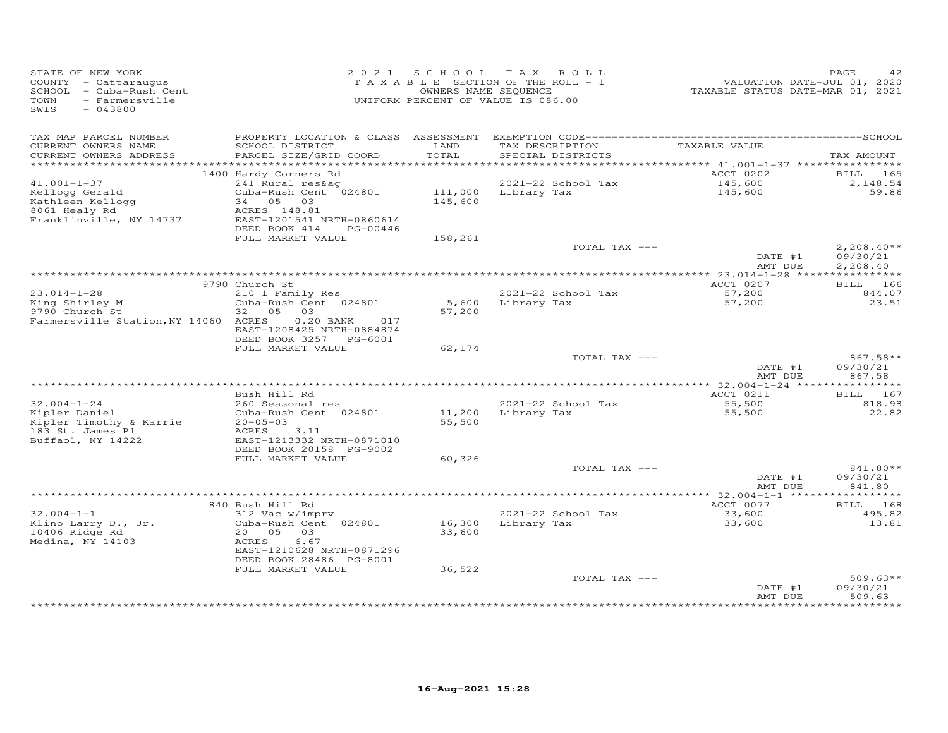| STATE OF NEW YORK<br>COUNTY - Cattaraugus<br>SCHOOL - Cuba-Rush Cent<br>- Farmersville<br>TOWN<br>SWIS<br>$-043800$ |                                                                           |                  | 2021 SCHOOL TAX ROLL<br>TAXABLE SECTION OF THE ROLL - 1<br>OWNERS NAME SEQUENCE<br>UNIFORM PERCENT OF VALUE IS 086.00 | VALUATION DATE-JUL 01, 2020<br>TAXABLE STATUS DATE-MAR 01, 2021 | PAGE                        |
|---------------------------------------------------------------------------------------------------------------------|---------------------------------------------------------------------------|------------------|-----------------------------------------------------------------------------------------------------------------------|-----------------------------------------------------------------|-----------------------------|
| TAX MAP PARCEL NUMBER<br>CURRENT OWNERS NAME<br>CURRENT OWNERS ADDRESS                                              | SCHOOL DISTRICT<br>PARCEL SIZE/GRID COORD                                 | LAND<br>TOTAL    | TAX DESCRIPTION<br>SPECIAL DISTRICTS                                                                                  | TAXABLE VALUE                                                   | TAX AMOUNT                  |
| *************************                                                                                           |                                                                           |                  |                                                                                                                       |                                                                 |                             |
| $41.001 - 1 - 37$                                                                                                   | 1400 Hardy Corners Rd<br>241 Rural res&ag                                 |                  | 2021-22 School Tax                                                                                                    | ACCT 0202<br>145,600                                            | <b>BILL</b> 165<br>2,148.54 |
| Kellogg Gerald                                                                                                      | Cuba-Rush Cent 024801                                                     | 111,000          | Library Tax                                                                                                           | 145,600                                                         | 59.86                       |
| Kathleen Kellogg                                                                                                    | 34 05 03                                                                  | 145,600          |                                                                                                                       |                                                                 |                             |
| 8061 Healy Rd                                                                                                       | ACRES 148.81                                                              |                  |                                                                                                                       |                                                                 |                             |
| Franklinville, NY 14737                                                                                             | EAST-1201541 NRTH-0860614<br>DEED BOOK 414<br>PG-00446                    |                  |                                                                                                                       |                                                                 |                             |
|                                                                                                                     | FULL MARKET VALUE                                                         | 158,261          | TOTAL TAX ---                                                                                                         |                                                                 | $2,208.40**$                |
|                                                                                                                     |                                                                           |                  |                                                                                                                       | DATE #1<br>AMT DUE                                              | 09/30/21<br>2,208.40        |
|                                                                                                                     |                                                                           |                  |                                                                                                                       |                                                                 |                             |
|                                                                                                                     | 9790 Church St                                                            |                  |                                                                                                                       | ACCT 0207                                                       | BILL 166                    |
| $23.014 - 1 - 28$<br>King Shirley M                                                                                 | 210 1 Family Res<br>Cuba-Rush Cent 024801                                 |                  | 2021-22 School Tax<br>5,600 Library Tax                                                                               | 57,200<br>57,200                                                | 844.07<br>23.51             |
| 9790 Church St                                                                                                      | 32 05<br>03                                                               | 57,200           |                                                                                                                       |                                                                 |                             |
| Farmersville Station, NY 14060 ACRES                                                                                | $0.20$ BANK<br>017<br>EAST-1208425 NRTH-0884874<br>DEED BOOK 3257 PG-6001 |                  |                                                                                                                       |                                                                 |                             |
|                                                                                                                     | FULL MARKET VALUE                                                         | 62,174           |                                                                                                                       |                                                                 |                             |
|                                                                                                                     |                                                                           |                  | TOTAL TAX ---                                                                                                         | DATE #1                                                         | 867.58**<br>09/30/21        |
|                                                                                                                     |                                                                           |                  |                                                                                                                       | AMT DUE                                                         | 867.58                      |
|                                                                                                                     | Bush Hill Rd                                                              |                  |                                                                                                                       | ACCT 0211                                                       | BILL 167                    |
| $32.004 - 1 - 24$                                                                                                   | 260 Seasonal res                                                          |                  | 2021-22 School Tax                                                                                                    | 55,500                                                          | 818.98                      |
| Kipler Daniel<br>Kipler Timothy & Karrie                                                                            | Cuba-Rush Cent 024801<br>$20 - 05 - 03$                                   | 11,200<br>55,500 | Library Tax                                                                                                           | 55,500                                                          | 22.82                       |
| 183 St. James Pl<br>Buffaol, NY 14222                                                                               | ACRES<br>3.11<br>EAST-1213332 NRTH-0871010                                |                  |                                                                                                                       |                                                                 |                             |
|                                                                                                                     | DEED BOOK 20158 PG-9002<br>FULL MARKET VALUE                              | 60,326           |                                                                                                                       |                                                                 |                             |
|                                                                                                                     |                                                                           |                  | TOTAL TAX ---                                                                                                         |                                                                 | 841.80**                    |
|                                                                                                                     |                                                                           |                  |                                                                                                                       | DATE #1<br>AMT DUE                                              | 09/30/21<br>841.80          |
|                                                                                                                     |                                                                           |                  |                                                                                                                       | *********** 32.004-1-1 ***                                      | **********                  |
| $32.004 - 1 - 1$                                                                                                    | 840 Bush Hill Rd<br>312 Vac w/imprv                                       |                  | 2021-22 School Tax                                                                                                    | ACCT 0077<br>33,600                                             | BILL 168<br>495.82          |
| Klino Larry D., Jr.                                                                                                 | Cuba-Rush Cent 024801                                                     | 16,300           | Library Tax                                                                                                           | 33,600                                                          | 13.81                       |
| 10406 Ridge Rd                                                                                                      | 20  05  03                                                                | 33,600           |                                                                                                                       |                                                                 |                             |
| Medina, NY 14103                                                                                                    | 6.67<br>ACRES<br>EAST-1210628 NRTH-0871296                                |                  |                                                                                                                       |                                                                 |                             |
|                                                                                                                     | DEED BOOK 28486 PG-8001<br>FULL MARKET VALUE                              | 36,522           |                                                                                                                       |                                                                 |                             |
|                                                                                                                     |                                                                           |                  | TOTAL TAX ---                                                                                                         | DATE #1                                                         | $509.63**$<br>09/30/21      |
|                                                                                                                     |                                                                           |                  |                                                                                                                       | AMT DUE                                                         | 509.63                      |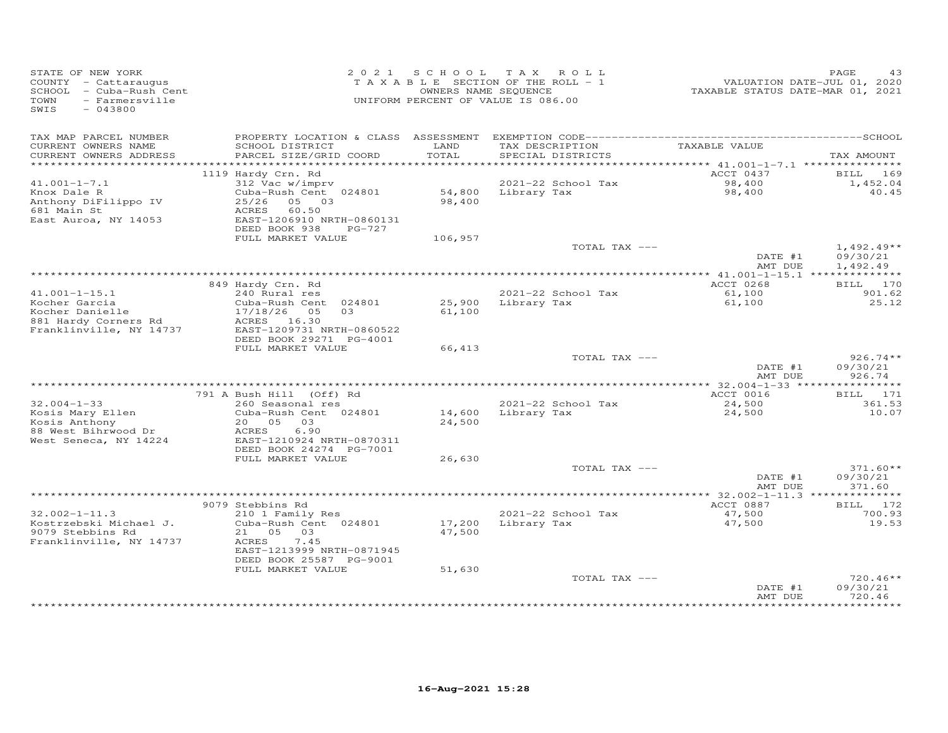| STATE OF NEW YORK<br>COUNTY - Cattaraugus<br>SCHOOL - Cuba-Rush Cent<br>TOWN<br>- Farmersville<br>SWIS<br>$-043800$ |                                                                                                                    | 2021 SCHOOL      | TAX ROLL<br>TAXABLE SECTION OF THE ROLL - 1<br>OWNERS NAME SEQUENCE<br>UNIFORM PERCENT OF VALUE IS 086.00 | VALUATION DATE-JUL 01, 2020<br>TAXABLE STATUS DATE-MAR 01, 2021 | PAGE<br>43                       |
|---------------------------------------------------------------------------------------------------------------------|--------------------------------------------------------------------------------------------------------------------|------------------|-----------------------------------------------------------------------------------------------------------|-----------------------------------------------------------------|----------------------------------|
| TAX MAP PARCEL NUMBER<br>CURRENT OWNERS NAME<br>CURRENT OWNERS ADDRESS                                              | SCHOOL DISTRICT<br>PARCEL SIZE/GRID COORD                                                                          | LAND<br>TOTAL    | TAX DESCRIPTION<br>SPECIAL DISTRICTS                                                                      | TAXABLE VALUE                                                   | TAX AMOUNT                       |
| *************************                                                                                           |                                                                                                                    |                  |                                                                                                           |                                                                 |                                  |
|                                                                                                                     | 1119 Hardy Crn. Rd                                                                                                 |                  |                                                                                                           | ACCT 0437                                                       | 169<br>BILL                      |
| $41.001 - 1 - 7.1$                                                                                                  | 312 Vac w/imprv                                                                                                    |                  | 2021-22 School Tax                                                                                        | 98,400<br>98,400                                                | 1,452.04                         |
| Knox Dale R<br>Anthony DiFilippo IV<br>681 Main St<br>East Auroa, NY 14053                                          | Cuba-Rush Cent 024801<br>25/26 05 03<br>60.50<br>ACRES<br>EAST-1206910 NRTH-0860131                                | 98,400           | 54,800 Library Tax                                                                                        |                                                                 | 40.45                            |
|                                                                                                                     | DEED BOOK 938<br>PG-727                                                                                            |                  |                                                                                                           |                                                                 |                                  |
|                                                                                                                     | FULL MARKET VALUE                                                                                                  | 106,957          | TOTAL TAX ---                                                                                             | DATE #1                                                         | $1,492.49**$<br>09/30/21         |
|                                                                                                                     |                                                                                                                    |                  |                                                                                                           | AMT DUE                                                         | 1,492.49                         |
|                                                                                                                     |                                                                                                                    |                  |                                                                                                           | ACCT 0268                                                       |                                  |
| $41.001 - 1 - 15.1$                                                                                                 | 849 Hardy Crn. Rd<br>240 Rural res                                                                                 |                  | 2021-22 School Tax                                                                                        | 61,100                                                          | BILL 170<br>901.62               |
| Kocher Garcia<br>Kocher Danielle<br>881 Hardy Corners Rd<br>Franklinville, NY 14737                                 | Cuba-Rush Cent 024801<br>17/18/26 05<br>0.3<br>ACRES 16.30<br>EAST-1209731 NRTH-0860522<br>DEED BOOK 29271 PG-4001 | 61,100           | 25,900 Library Tax                                                                                        | 61,100                                                          | 25.12                            |
|                                                                                                                     | FULL MARKET VALUE                                                                                                  | 66,413           |                                                                                                           |                                                                 |                                  |
|                                                                                                                     |                                                                                                                    |                  | TOTAL TAX ---                                                                                             | DATE #1<br>AMT DUE                                              | $926.74**$<br>09/30/21<br>926.74 |
|                                                                                                                     |                                                                                                                    |                  |                                                                                                           |                                                                 |                                  |
|                                                                                                                     | 791 A Bush Hill (Off) Rd                                                                                           |                  |                                                                                                           | ACCT 0016                                                       | BILL 171                         |
| $32.004 - 1 - 33$<br>Kosis Mary Ellen<br>Kosis Anthony<br>88 West Bihrwood Dr<br>West Seneca, NY 14224              | 260 Seasonal res<br>Cuba-Rush Cent 024801<br>20  05  03<br>6.90<br>ACRES<br>EAST-1210924 NRTH-0870311              | 14,600<br>24,500 | 2021-22 School Tax<br>Library Tax                                                                         | 24,500<br>24,500                                                | 361.53<br>10.07                  |
|                                                                                                                     | DEED BOOK 24274 PG-7001                                                                                            |                  |                                                                                                           |                                                                 |                                  |
|                                                                                                                     | FULL MARKET VALUE                                                                                                  | 26,630           |                                                                                                           |                                                                 |                                  |
|                                                                                                                     |                                                                                                                    |                  | TOTAL TAX ---                                                                                             | DATE #1<br>AMT DUE                                              | $371.60**$<br>09/30/21<br>371.60 |
|                                                                                                                     |                                                                                                                    |                  |                                                                                                           | *************** 32.002-1-11.3 **************                    |                                  |
| $32.002 - 1 - 11.3$                                                                                                 | 9079 Stebbins Rd<br>210 1 Family Res                                                                               |                  | 2021-22 School Tax                                                                                        | ACCT 0887<br>47,500                                             | BILL 172<br>700.93               |
| Kostrzebski Michael J.<br>9079 Stebbins Rd                                                                          | Cuba-Rush Cent 024801<br>21 05 03                                                                                  | 17,200<br>47,500 | Library Tax                                                                                               | 47,500                                                          | 19.53                            |
| Franklinville, NY 14737                                                                                             | ACRES<br>7.45<br>EAST-1213999 NRTH-0871945<br>DEED BOOK 25587 PG-9001                                              |                  |                                                                                                           |                                                                 |                                  |
|                                                                                                                     | FULL MARKET VALUE                                                                                                  | 51,630           |                                                                                                           |                                                                 |                                  |
|                                                                                                                     |                                                                                                                    |                  | TOTAL TAX ---                                                                                             | DATE #1<br>AMT DUE                                              | $720.46**$<br>09/30/21<br>720.46 |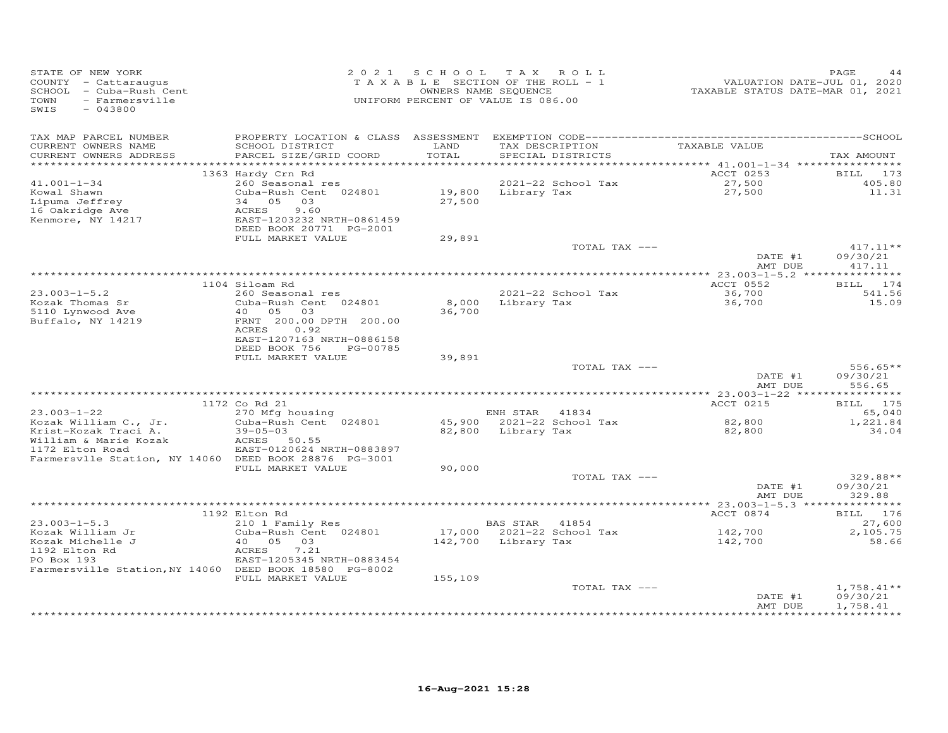| SWIS<br>$-043800$                                                                                                                                                                                                                                                                                                                                                    |                                         |
|----------------------------------------------------------------------------------------------------------------------------------------------------------------------------------------------------------------------------------------------------------------------------------------------------------------------------------------------------------------------|-----------------------------------------|
| TAX MAP PARCEL NUMBER<br>TAXABLE VALUE<br>CURRENT OWNERS NAME<br>SCHOOL DISTRICT<br>LAND<br>TAX DESCRIPTION<br>TOTAL<br>CURRENT OWNERS ADDRESS<br>PARCEL SIZE/GRID COORD<br>SPECIAL DISTRICTS                                                                                                                                                                        | TAX AMOUNT                              |
| ************************<br>ACCT 0253<br>1363 Hardy Crn Rd<br>$41.001 - 1 - 34$<br>260 Seasonal res<br>2021-22 School Tax<br>27,500<br>Cuba-Rush Cent 024801<br>19,800 Library Tax<br>27,500<br>Kowal Shawn<br>34 05 03<br>27,500<br>Lipuma Jeffrey<br>16 Oakridge Ave<br>ACRES<br>9.60<br>Kenmore, NY 14217<br>EAST-1203232 NRTH-0861459<br>DEED BOOK 20771 PG-2001 | BILL 173<br>405.80<br>11.31             |
| FULL MARKET VALUE<br>29,891<br>TOTAL TAX ---<br>DATE #1                                                                                                                                                                                                                                                                                                              | $417.11**$<br>09/30/21                  |
| AMT DUE                                                                                                                                                                                                                                                                                                                                                              | 417.11                                  |
| ACCT 0552<br>1104 Siloam Rd                                                                                                                                                                                                                                                                                                                                          | BILL 174                                |
| 36,700<br>$23.003 - 1 - 5.2$<br>260 Seasonal res<br>2021-22 School Tax<br>Kozak Thomas Sr<br>Cuba-Rush Cent 024801<br>8,000<br>36,700<br>Library Tax<br>5110 Lynwood Ave<br>40  05  03<br>36,700<br>Buffalo, NY 14219<br>FRNT 200.00 DPTH 200.00<br>ACRES<br>0.92<br>EAST-1207163 NRTH-0886158                                                                       | 541.56<br>15.09                         |
| DEED BOOK 756<br>PG-00785<br>FULL MARKET VALUE<br>39,891                                                                                                                                                                                                                                                                                                             |                                         |
| TOTAL TAX ---<br>DATE #1<br>AMT DUE                                                                                                                                                                                                                                                                                                                                  | $556.65**$<br>09/30/21<br>556.65        |
|                                                                                                                                                                                                                                                                                                                                                                      |                                         |
| 1172 Co Rd 21<br>ACCT 0215<br>$23.003 - 1 - 22$<br>270 Mfg housing<br>ENH STAR 41834<br>Kozak William C., Jr.<br>Cuba-Rush Cent 024801<br>45,900 2021-22 School Tax<br>82,800<br>Krist-Kozak Traci A.<br>$39 - 05 - 03$<br>82,800 Library Tax<br>82,800<br>William & Marie Kozak<br>ACRES 50.55<br>1172 Elton Road<br>EAST-0120624 NRTH-0883897                      | BILL 175<br>65,040<br>1,221.84<br>34.04 |
| Farmersvlle Station, NY 14060 DEED BOOK 28876 PG-3001                                                                                                                                                                                                                                                                                                                |                                         |
| 90,000<br>FULL MARKET VALUE<br>TOTAL TAX ---<br>DATE #1<br>AMT DUE                                                                                                                                                                                                                                                                                                   | 329.88**<br>09/30/21<br>329.88          |
|                                                                                                                                                                                                                                                                                                                                                                      |                                         |
| 1192 Elton Rd<br>ACCT 0874                                                                                                                                                                                                                                                                                                                                           | BILL 176                                |
| $23.003 - 1 - 5.3$<br>210 1 Family Res<br>BAS STAR 41854                                                                                                                                                                                                                                                                                                             | 27,600                                  |
| 17,000 2021-22 School Tax<br>142,700<br>Kozak William Jr<br>Cuba-Rush Cent 024801<br>Kozak Michelle J<br>40  05  03<br>142,700 Library Tax<br>142,700<br>1192 Elton Rd<br>ACRES<br>7.21<br>PO Box 193<br>EAST-1205345 NRTH-0883454<br>Farmersville Station, NY 14060 DEED BOOK 18580 PG-8002                                                                         | 2,105.75<br>58.66                       |
| FULL MARKET VALUE<br>155,109<br>TOTAL TAX ---<br>DATE #1<br>AMT DUE                                                                                                                                                                                                                                                                                                  | $1,758.41**$<br>09/30/21<br>1,758.41    |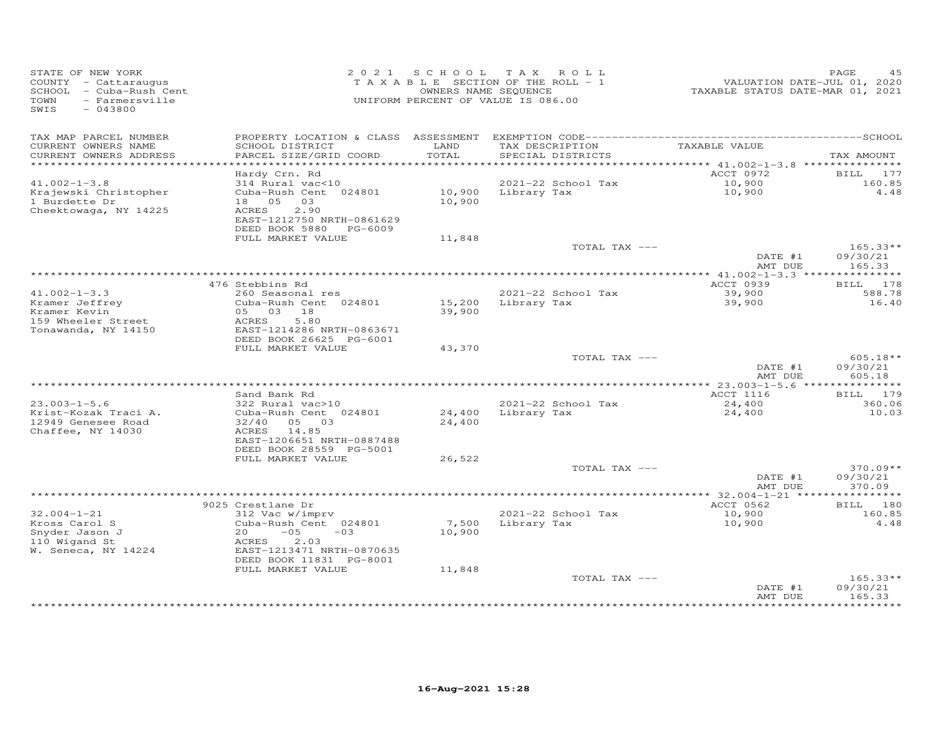| STATE OF NEW YORK<br>COUNTY - Cattaraugus<br>SCHOOL - Cuba-Rush Cent<br>TOWN<br>- Farmersville<br>SWIS<br>$-043800$ |                                              | 2021 SCHOOL      | TAX ROLL<br>TAXABLE SECTION OF THE ROLL - 1<br>OWNERS NAME SEQUENCE<br>UNIFORM PERCENT OF VALUE IS 086.00 | VALUATION DATE-JUL 01, 2020<br>TAXABLE STATUS DATE-MAR 01, 2021 | PAGE<br>45         |
|---------------------------------------------------------------------------------------------------------------------|----------------------------------------------|------------------|-----------------------------------------------------------------------------------------------------------|-----------------------------------------------------------------|--------------------|
| TAX MAP PARCEL NUMBER<br>CURRENT OWNERS NAME                                                                        | SCHOOL DISTRICT                              | LAND             | TAX DESCRIPTION                                                                                           | TAXABLE VALUE                                                   |                    |
| CURRENT OWNERS ADDRESS                                                                                              | PARCEL SIZE/GRID COORD                       | TOTAL            | SPECIAL DISTRICTS                                                                                         |                                                                 | TAX AMOUNT         |
| **********************                                                                                              |                                              |                  |                                                                                                           |                                                                 |                    |
|                                                                                                                     | Hardy Crn. Rd                                |                  |                                                                                                           | ACCT 0972                                                       | 177<br>BILL        |
| $41.002 - 1 - 3.8$                                                                                                  | 314 Rural vac<10                             |                  | 2021-22 School Tax                                                                                        | 10,900                                                          | 160.85             |
| Krajewski Christopher                                                                                               | Cuba-Rush Cent 024801                        |                  | 10,900 Library Tax                                                                                        | 10,900                                                          | 4.48               |
| 1 Burdette Dr                                                                                                       | 18  05  03<br>2.90                           | 10,900           |                                                                                                           |                                                                 |                    |
| Cheektowaga, NY 14225                                                                                               | ACRES<br>EAST-1212750 NRTH-0861629           |                  |                                                                                                           |                                                                 |                    |
|                                                                                                                     | DEED BOOK 5880 PG-6009                       |                  |                                                                                                           |                                                                 |                    |
|                                                                                                                     | FULL MARKET VALUE                            | 11,848           |                                                                                                           |                                                                 |                    |
|                                                                                                                     |                                              |                  | TOTAL TAX ---                                                                                             |                                                                 | $165.33**$         |
|                                                                                                                     |                                              |                  |                                                                                                           | DATE #1                                                         | 09/30/21           |
|                                                                                                                     |                                              |                  |                                                                                                           | AMT DUE                                                         | 165.33             |
|                                                                                                                     | 476 Stebbins Rd                              |                  |                                                                                                           | *************** 41.002-1-3.3 ****************<br>ACCT 0939      | BILL 178           |
| $41.002 - 1 - 3.3$                                                                                                  | 260 Seasonal res                             |                  | 2021-22 School Tax                                                                                        | 39,900                                                          | 588.78             |
| Kramer Jeffrey                                                                                                      | Cuba-Rush Cent 024801                        |                  | 15,200 Library Tax                                                                                        | 39,900                                                          | 16.40              |
| Kramer Kevin                                                                                                        | 05 03 18                                     | 39,900           |                                                                                                           |                                                                 |                    |
| 159 Wheeler Street                                                                                                  | 5.80<br>ACRES                                |                  |                                                                                                           |                                                                 |                    |
| Tonawanda, NY 14150                                                                                                 | EAST-1214286 NRTH-0863671                    |                  |                                                                                                           |                                                                 |                    |
|                                                                                                                     | DEED BOOK 26625 PG-6001<br>FULL MARKET VALUE |                  |                                                                                                           |                                                                 |                    |
|                                                                                                                     |                                              | 43,370           | TOTAL TAX ---                                                                                             |                                                                 | 605.18**           |
|                                                                                                                     |                                              |                  |                                                                                                           | DATE #1                                                         | 09/30/21           |
|                                                                                                                     |                                              |                  |                                                                                                           | AMT DUE                                                         | 605.18             |
|                                                                                                                     |                                              |                  |                                                                                                           |                                                                 |                    |
|                                                                                                                     | Sand Bank Rd                                 |                  |                                                                                                           | ACCT 1116                                                       | BILL 179           |
| $23.003 - 1 - 5.6$<br>Krist-Kozak Traci A.                                                                          | 322 Rural vac>10<br>Cuba-Rush Cent 024801    |                  | 2021-22 School Tax<br>Library Tax                                                                         | 24,400                                                          | 360.06<br>10.03    |
| 12949 Genesee Road                                                                                                  | 32/40 05 03                                  | 24,400<br>24,400 |                                                                                                           | 24,400                                                          |                    |
| Chaffee, NY 14030                                                                                                   | ACRES 14.85                                  |                  |                                                                                                           |                                                                 |                    |
|                                                                                                                     | EAST-1206651 NRTH-0887488                    |                  |                                                                                                           |                                                                 |                    |
|                                                                                                                     | DEED BOOK 28559 PG-5001                      |                  |                                                                                                           |                                                                 |                    |
|                                                                                                                     | FULL MARKET VALUE                            | 26,522           |                                                                                                           |                                                                 |                    |
|                                                                                                                     |                                              |                  | TOTAL TAX ---                                                                                             |                                                                 | $370.09**$         |
|                                                                                                                     |                                              |                  |                                                                                                           | DATE #1<br>AMT DUE                                              | 09/30/21<br>370.09 |
|                                                                                                                     |                                              |                  |                                                                                                           |                                                                 |                    |
|                                                                                                                     | 9025 Crestlane Dr                            |                  |                                                                                                           | ACCT 0562                                                       | 180<br>BILL        |
| $32.004 - 1 - 21$                                                                                                   | 312 Vac w/imprv                              |                  | 2021-22 School Tax                                                                                        | 10,900                                                          | 160.85             |
| Kross Carol S                                                                                                       | Cuba-Rush Cent 024801                        | 7,500            | Library Tax                                                                                               | 10,900                                                          | 4.48               |
| Snyder Jason J                                                                                                      | $-05$<br>20<br>$-03$                         | 10,900           |                                                                                                           |                                                                 |                    |
| 110 Wigand St                                                                                                       | 2.03<br>ACRES<br>EAST-1213471 NRTH-0870635   |                  |                                                                                                           |                                                                 |                    |
| W. Seneca, NY 14224                                                                                                 | DEED BOOK 11831 PG-8001                      |                  |                                                                                                           |                                                                 |                    |
|                                                                                                                     | FULL MARKET VALUE                            | 11,848           |                                                                                                           |                                                                 |                    |
|                                                                                                                     |                                              |                  | TOTAL TAX ---                                                                                             |                                                                 | $165.33**$         |
|                                                                                                                     |                                              |                  |                                                                                                           | DATE #1                                                         | 09/30/21           |
|                                                                                                                     |                                              |                  |                                                                                                           | AMT DUE                                                         | 165.33             |
|                                                                                                                     |                                              |                  |                                                                                                           | * * * * * * * * * * * * * * * * *                               | *********          |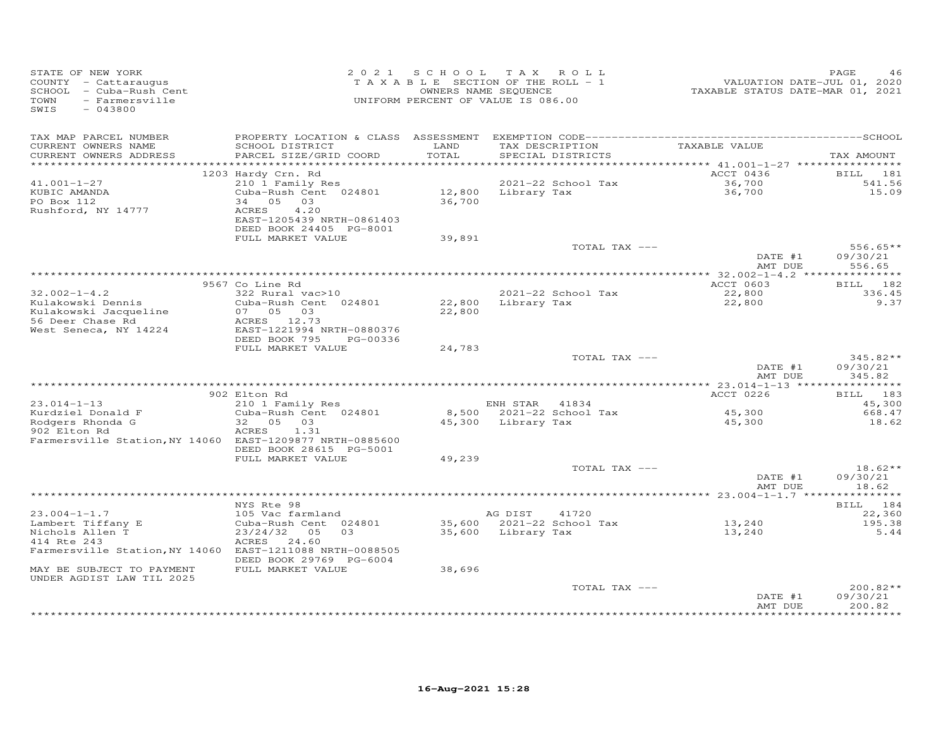| STATE OF NEW YORK<br>COUNTY - Cattaraugus<br>SCHOOL - Cuba-Rush Cent<br>- Farmersville<br>TOWN<br>SWIS<br>$-043800$                   |                                                                                                                                                      |                  | 2021 SCHOOL TAX ROLL<br>TAXABLE SECTION OF THE ROLL - 1<br>OWNERS NAME SEQUENCE<br>UNIFORM PERCENT OF VALUE IS 086.00 | VALUATION DATE-JUL 01, 2020<br>TAXABLE STATUS DATE-MAR 01, 2021 | PAGE<br>46                           |
|---------------------------------------------------------------------------------------------------------------------------------------|------------------------------------------------------------------------------------------------------------------------------------------------------|------------------|-----------------------------------------------------------------------------------------------------------------------|-----------------------------------------------------------------|--------------------------------------|
| TAX MAP PARCEL NUMBER<br>CURRENT OWNERS NAME<br>CURRENT OWNERS ADDRESS<br>*************************                                   | SCHOOL DISTRICT<br>PARCEL SIZE/GRID COORD                                                                                                            | LAND<br>TOTAL    | TAX DESCRIPTION<br>SPECIAL DISTRICTS                                                                                  | TAXABLE VALUE                                                   | TAX AMOUNT                           |
| $41.001 - 1 - 27$<br>KUBIC AMANDA<br>PO Box 112<br>Rushford, NY 14777                                                                 | 1203 Hardy Crn. Rd<br>210 1 Family Res<br>Cuba-Rush Cent 024801<br>34 05 03<br>4.20<br>ACRES<br>EAST-1205439 NRTH-0861403<br>DEED BOOK 24405 PG-8001 | 36,700           | 2021-22 School Tax<br>12,800 Library Tax                                                                              | ACCT 0436<br>36,700<br>36,700                                   | BILL 181<br>541.56<br>15.09          |
|                                                                                                                                       | FULL MARKET VALUE                                                                                                                                    | 39,891           | TOTAL TAX ---                                                                                                         | DATE #1<br>AMT DUE                                              | $556.65**$<br>09/30/21<br>556.65     |
|                                                                                                                                       |                                                                                                                                                      |                  |                                                                                                                       |                                                                 |                                      |
| $32.002 - 1 - 4.2$                                                                                                                    | 9567 Co Line Rd<br>322 Rural vac>10                                                                                                                  |                  | 2021-22 School Tax                                                                                                    | ACCT 0603<br>22,800                                             | BILL 182<br>336.45                   |
| Kulakowski Dennis<br>Kulakowski Jacqueline<br>56 Deer Chase Rd<br>West Seneca, NY 14224                                               | Cuba-Rush Cent 024801<br>07 05 03<br>ACRES 12.73<br>EAST-1221994 NRTH-0880376<br>DEED BOOK 795<br>PG-00336                                           | 22,800<br>22,800 | Library Tax                                                                                                           | 22,800                                                          | 9.37                                 |
|                                                                                                                                       | FULL MARKET VALUE                                                                                                                                    | 24,783           | TOTAL TAX ---                                                                                                         | DATE #1                                                         | 345.82**<br>09/30/21                 |
|                                                                                                                                       |                                                                                                                                                      |                  |                                                                                                                       | AMT DUE                                                         | 345.82                               |
|                                                                                                                                       | 902 Elton Rd                                                                                                                                         |                  |                                                                                                                       | ACCT 0226                                                       | BILL 183                             |
| $23.014 - 1 - 13$<br>Kurdziel Donald F<br>Rodgers Rhonda G<br>902 Elton Rd                                                            | 210 1 Family Res<br>Cuba-Rush Cent 024801<br>32 05 03<br>ACRES<br>1.31                                                                               |                  | ENH STAR 41834<br>8,500 2021-22 School Tax<br>45,300 Library Tax                                                      | 45,300<br>45,300                                                | 45,300<br>668.47<br>18.62            |
| Farmersville Station, NY 14060 EAST-1209877 NRTH-0885600                                                                              | DEED BOOK 28615 PG-5001<br>FULL MARKET VALUE                                                                                                         | 49,239           |                                                                                                                       |                                                                 |                                      |
|                                                                                                                                       |                                                                                                                                                      |                  | TOTAL TAX ---                                                                                                         | DATE #1<br>AMT DUE                                              | $18.62**$<br>09/30/21<br>18.62       |
|                                                                                                                                       |                                                                                                                                                      |                  |                                                                                                                       |                                                                 |                                      |
| $23.004 - 1 - 1.7$<br>Lambert Tiffany E<br>Nichols Allen T<br>414 Rte 243<br>Farmersville Station, NY 14060 EAST-1211088 NRTH-0088505 | NYS Rte 98<br>105 Vac farmland<br>Cuba-Rush Cent 024801<br>23/24/32 05 03<br>ACRES 24.60                                                             |                  | AG DIST<br>41720<br>35,600 2021-22 School Tax<br>35,600 Library Tax                                                   | 13,240<br>13,240                                                | BILL 184<br>22,360<br>195.38<br>5.44 |
| MAY BE SUBJECT TO PAYMENT<br>UNDER AGDIST LAW TIL 2025                                                                                | DEED BOOK 29769 PG-6004<br>FULL MARKET VALUE                                                                                                         | 38,696           |                                                                                                                       |                                                                 |                                      |
|                                                                                                                                       |                                                                                                                                                      |                  | TOTAL TAX ---                                                                                                         | DATE #1<br>AMT DUE                                              | 200.82**<br>09/30/21<br>200.82       |
|                                                                                                                                       |                                                                                                                                                      |                  |                                                                                                                       |                                                                 |                                      |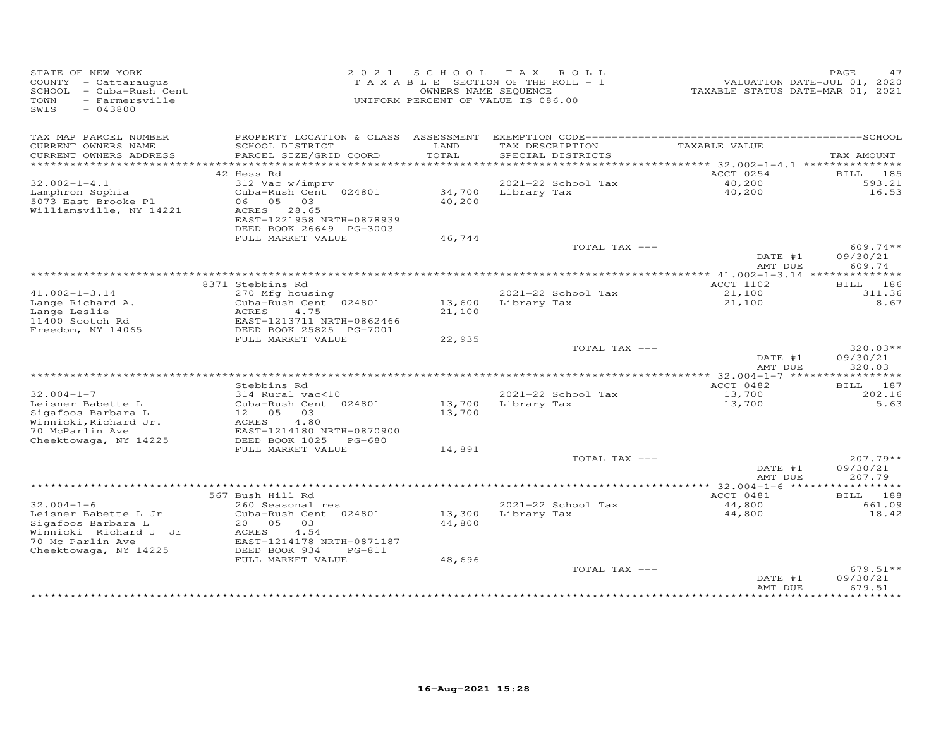| STATE OF NEW YORK<br>COUNTY - Cattaraugus<br>SCHOOL - Cuba-Rush Cent<br>- Farmersville<br>TOWN<br>SWIS<br>$-043800$ |                                                                                                             | OWNERS NAME SEQUENCE | 2021 SCHOOL TAX ROLL<br>TAXABLE SECTION OF THE ROLL - 1<br>UNIFORM PERCENT OF VALUE IS 086.00 | VALUATION DATE-JUL 01, 2020<br>TAXABLE STATUS DATE-MAR 01, 2021 | <b>PAGE</b><br>47                |
|---------------------------------------------------------------------------------------------------------------------|-------------------------------------------------------------------------------------------------------------|----------------------|-----------------------------------------------------------------------------------------------|-----------------------------------------------------------------|----------------------------------|
| TAX MAP PARCEL NUMBER<br>CURRENT OWNERS NAME                                                                        | PROPERTY LOCATION & CLASS ASSESSMENT<br>SCHOOL DISTRICT                                                     | LAND                 | TAX DESCRIPTION                                                                               | TAXABLE VALUE                                                   |                                  |
| CURRENT OWNERS ADDRESS<br>***********************                                                                   | PARCEL SIZE/GRID COORD                                                                                      | TOTAL                | SPECIAL DISTRICTS                                                                             |                                                                 | TAX AMOUNT                       |
|                                                                                                                     | 42 Hess Rd                                                                                                  |                      |                                                                                               | ACCT 0254                                                       | BILL 185                         |
| $32.002 - 1 - 4.1$                                                                                                  | 312 Vac w/imprv                                                                                             |                      | 2021-22 School Tax                                                                            | 40,200                                                          | 593.21                           |
| Lamphron Sophia<br>5073 East Brooke Pl<br>Williamsville, NY 14221                                                   | Cuba-Rush Cent 024801<br>06 05<br>03<br>ACRES 28.65<br>EAST-1221958 NRTH-0878939<br>DEED BOOK 26649 PG-3003 | 34,700<br>40,200     | Library Tax                                                                                   | 40,200                                                          | 16.53                            |
|                                                                                                                     | FULL MARKET VALUE                                                                                           | 46,744               |                                                                                               |                                                                 |                                  |
|                                                                                                                     |                                                                                                             |                      | TOTAL TAX ---                                                                                 | DATE #1<br>AMT DUE                                              | $609.74**$<br>09/30/21<br>609.74 |
|                                                                                                                     |                                                                                                             |                      |                                                                                               | ****************** 41.002-1-3.14 ***************                |                                  |
|                                                                                                                     | 8371 Stebbins Rd                                                                                            |                      |                                                                                               | ACCT 1102                                                       | 186<br>BILL                      |
| $41.002 - 1 - 3.14$<br>Lange Richard A.<br>Lange Leslie                                                             | 270 Mfg housing<br>Cuba-Rush Cent 024801<br>4.75<br>ACRES                                                   | 13,600<br>21,100     | 2021-22 School Tax<br>Library Tax                                                             | 21,100<br>21,100                                                | 311.36<br>8.67                   |
| 11400 Scotch Rd<br>Freedom, NY 14065                                                                                | EAST-1213711 NRTH-0862466<br>DEED BOOK 25825 PG-7001                                                        |                      |                                                                                               |                                                                 |                                  |
|                                                                                                                     | FULL MARKET VALUE                                                                                           | 22,935               |                                                                                               |                                                                 |                                  |
|                                                                                                                     |                                                                                                             |                      | TOTAL TAX ---                                                                                 | DATE #1<br>AMT DUE                                              | $320.03**$<br>09/30/21<br>320.03 |
|                                                                                                                     |                                                                                                             |                      |                                                                                               |                                                                 | ***********                      |
|                                                                                                                     | Stebbins Rd                                                                                                 |                      |                                                                                               | ACCT 0482                                                       | BILL 187                         |
| $32.004 - 1 - 7$                                                                                                    | 314 Rural vac<10                                                                                            |                      | 2021-22 School Tax                                                                            | 13,700                                                          | 202.16                           |
| Leisner Babette L<br>Sigafoos Barbara L<br>Winnicki, Richard Jr.                                                    | Cuba-Rush Cent 024801<br>12  05  03<br>ACRES<br>4.80                                                        | 13,700<br>13,700     | Library Tax                                                                                   | 13,700                                                          | 5.63                             |
| 70 McParlin Ave<br>Cheektowaga, NY 14225                                                                            | EAST-1214180 NRTH-0870900<br>DEED BOOK 1025 PG-680                                                          |                      |                                                                                               |                                                                 |                                  |
|                                                                                                                     | FULL MARKET VALUE                                                                                           | 14,891               |                                                                                               |                                                                 |                                  |
|                                                                                                                     |                                                                                                             |                      | TOTAL TAX ---                                                                                 | DATE #1<br>AMT DUE                                              | $207.79**$<br>09/30/21<br>207.79 |
|                                                                                                                     |                                                                                                             |                      |                                                                                               |                                                                 |                                  |
|                                                                                                                     | 567 Bush Hill Rd                                                                                            |                      |                                                                                               | ACCT 0481                                                       | BILL 188                         |
| $32.004 - 1 - 6$<br>Leisner Babette L Jr                                                                            | 260 Seasonal res<br>Cuba-Rush Cent 024801                                                                   | 13,300               | 2021-22 School Tax<br>Library Tax                                                             | 44,800<br>44,800                                                | 661.09<br>18.42                  |
| Sigafoos Barbara L<br>Winnicki Richard J Jr<br>70 Mc Parlin Ave                                                     | 20  05  03<br>ACRES<br>4.54<br>EAST-1214178 NRTH-0871187                                                    | 44,800               |                                                                                               |                                                                 |                                  |
| Cheektowaga, NY 14225                                                                                               | DEED BOOK 934<br>$PG-811$<br>FULL MARKET VALUE                                                              | 48,696               |                                                                                               |                                                                 |                                  |
|                                                                                                                     |                                                                                                             |                      | TOTAL TAX ---                                                                                 | DATE #1                                                         | $679.51**$<br>09/30/21           |
|                                                                                                                     |                                                                                                             |                      |                                                                                               | AMT DUE                                                         | 679.51                           |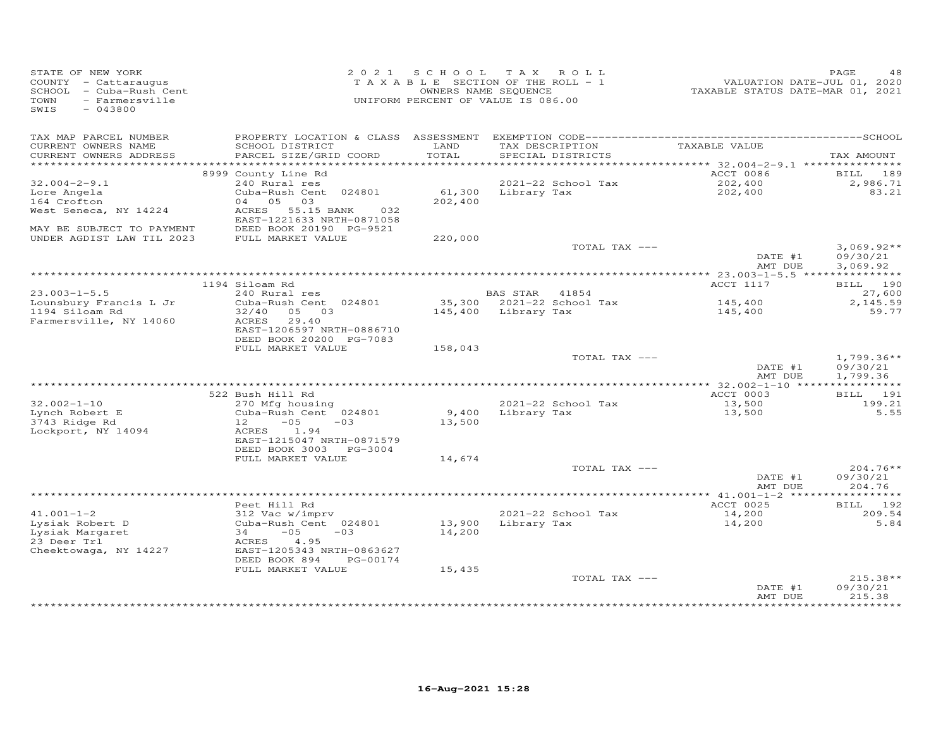| STATE OF NEW YORK<br>COUNTY - Cattaraugus<br>SCHOOL - Cuba-Rush Cent<br>- Farmersville<br>TOWN<br>SWIS<br>$-043800$ |                                                                                          |                  | 2021 SCHOOL TAX ROLL<br>TAXABLE SECTION OF THE ROLL - 1<br>OWNERS NAME SEQUENCE<br>UNIFORM PERCENT OF VALUE IS 086.00 |                 | VALUATION DATE-JUL 01, 2020<br>TAXABLE STATUS DATE-MAR 01, 2021 | PAGE<br>48                       |
|---------------------------------------------------------------------------------------------------------------------|------------------------------------------------------------------------------------------|------------------|-----------------------------------------------------------------------------------------------------------------------|-----------------|-----------------------------------------------------------------|----------------------------------|
| TAX MAP PARCEL NUMBER<br>CURRENT OWNERS NAME                                                                        | SCHOOL DISTRICT                                                                          | LAND             |                                                                                                                       | TAX DESCRIPTION | TAXABLE VALUE                                                   |                                  |
| CURRENT OWNERS ADDRESS<br>***********************                                                                   | PARCEL SIZE/GRID COORD                                                                   | TOTAL            | SPECIAL DISTRICTS                                                                                                     |                 |                                                                 | TAX AMOUNT                       |
|                                                                                                                     | 8999 County Line Rd                                                                      |                  |                                                                                                                       |                 | ACCT 0086                                                       | <b>BILL</b> 189                  |
| $32.004 - 2 - 9.1$                                                                                                  | 240 Rural res                                                                            |                  | 2021-22 School Tax                                                                                                    |                 | 202,400                                                         | 2,986.71                         |
| Lore Angela                                                                                                         | Cuba-Rush Cent 024801                                                                    |                  | 61,300 Library Tax                                                                                                    |                 | 202,400                                                         | 83.21                            |
| 164 Crofton                                                                                                         | 04 05 03                                                                                 | 202,400          |                                                                                                                       |                 |                                                                 |                                  |
| West Seneca, NY 14224<br>MAY BE SUBJECT TO PAYMENT                                                                  | ACRES 55.15 BANK<br>032<br>EAST-1221633 NRTH-0871058<br>DEED BOOK 20190 PG-9521          |                  |                                                                                                                       |                 |                                                                 |                                  |
| UNDER AGDIST LAW TIL 2023                                                                                           | FULL MARKET VALUE                                                                        | 220,000          |                                                                                                                       |                 |                                                                 |                                  |
|                                                                                                                     |                                                                                          |                  |                                                                                                                       | TOTAL TAX ---   | DATE #1                                                         | $3,069.92**$<br>09/30/21         |
|                                                                                                                     |                                                                                          |                  |                                                                                                                       |                 | AMT DUE                                                         | 3,069.92                         |
|                                                                                                                     | 1194 Siloam Rd                                                                           |                  |                                                                                                                       |                 | ACCT 1117                                                       | BILL 190                         |
| $23.003 - 1 - 5.5$                                                                                                  | 240 Rural res                                                                            |                  | BAS STAR 41854                                                                                                        |                 |                                                                 | 27,600                           |
| Lounsbury Francis L Jr                                                                                              | Cuba-Rush Cent 024801                                                                    |                  | 35,300 2021-22 School Tax                                                                                             |                 | 145,400                                                         | 2,145.59                         |
| 1194 Siloam Rd<br>Farmersville, NY 14060                                                                            | 32/40<br>05 03<br>ACRES<br>29.40<br>EAST-1206597 NRTH-0886710<br>DEED BOOK 20200 PG-7083 |                  | 145,400 Library Tax                                                                                                   |                 | 145,400                                                         | 59.77                            |
|                                                                                                                     | FULL MARKET VALUE                                                                        | 158,043          |                                                                                                                       |                 |                                                                 |                                  |
|                                                                                                                     |                                                                                          |                  |                                                                                                                       | TOTAL TAX ---   | DATE #1                                                         | $1,799.36**$<br>09/30/21         |
|                                                                                                                     |                                                                                          |                  |                                                                                                                       |                 | AMT DUE                                                         | 1,799.36                         |
|                                                                                                                     |                                                                                          |                  |                                                                                                                       |                 |                                                                 |                                  |
| $32.002 - 1 - 10$                                                                                                   | 522 Bush Hill Rd<br>270 Mfg housing                                                      |                  | 2021-22 School Tax                                                                                                    |                 | ACCT 0003<br>13,500                                             | <b>BILL</b> 191<br>199.21        |
| Lynch Robert E<br>3743 Ridge Rd<br>Lockport, NY 14094                                                               | Cuba-Rush Cent 024801<br>$12 - 05$<br>$-03$<br>ACRES 1.94                                | 9,400<br>13,500  | Library Tax                                                                                                           |                 | 13,500                                                          | 5.55                             |
|                                                                                                                     | EAST-1215047 NRTH-0871579<br>DEED BOOK 3003 PG-3004                                      |                  |                                                                                                                       |                 |                                                                 |                                  |
|                                                                                                                     | FULL MARKET VALUE                                                                        | 14,674           |                                                                                                                       |                 |                                                                 |                                  |
|                                                                                                                     |                                                                                          |                  |                                                                                                                       | TOTAL TAX ---   | DATE #1<br>AMT DUE                                              | $204.76**$<br>09/30/21<br>204.76 |
|                                                                                                                     |                                                                                          |                  |                                                                                                                       |                 |                                                                 |                                  |
|                                                                                                                     | Peet Hill Rd                                                                             |                  |                                                                                                                       |                 | ACCT 0025                                                       | BILL 192                         |
| $41.001 - 1 - 2$                                                                                                    | 312 Vac w/imprv                                                                          |                  | 2021-22 School Tax                                                                                                    |                 | 14,200                                                          | 209.54                           |
| Lysiak Robert D<br>Lysiak Margaret                                                                                  | Cuba-Rush Cent 024801<br>$-05$<br>34<br>$-03$                                            | 13,900<br>14,200 | Library Tax                                                                                                           |                 | 14,200                                                          | 5.84                             |
| 23 Deer Trl<br>Cheektowaga, NY 14227                                                                                | 4.95<br>ACRES<br>EAST-1205343 NRTH-0863627<br>DEED BOOK 894<br>PG-00174                  |                  |                                                                                                                       |                 |                                                                 |                                  |
|                                                                                                                     | FULL MARKET VALUE                                                                        | 15,435           |                                                                                                                       |                 |                                                                 |                                  |
|                                                                                                                     |                                                                                          |                  |                                                                                                                       | TOTAL TAX ---   | DATE #1                                                         | $215.38**$<br>09/30/21           |
|                                                                                                                     |                                                                                          |                  |                                                                                                                       |                 | AMT DUE                                                         | 215.38<br>* * * * * * * *        |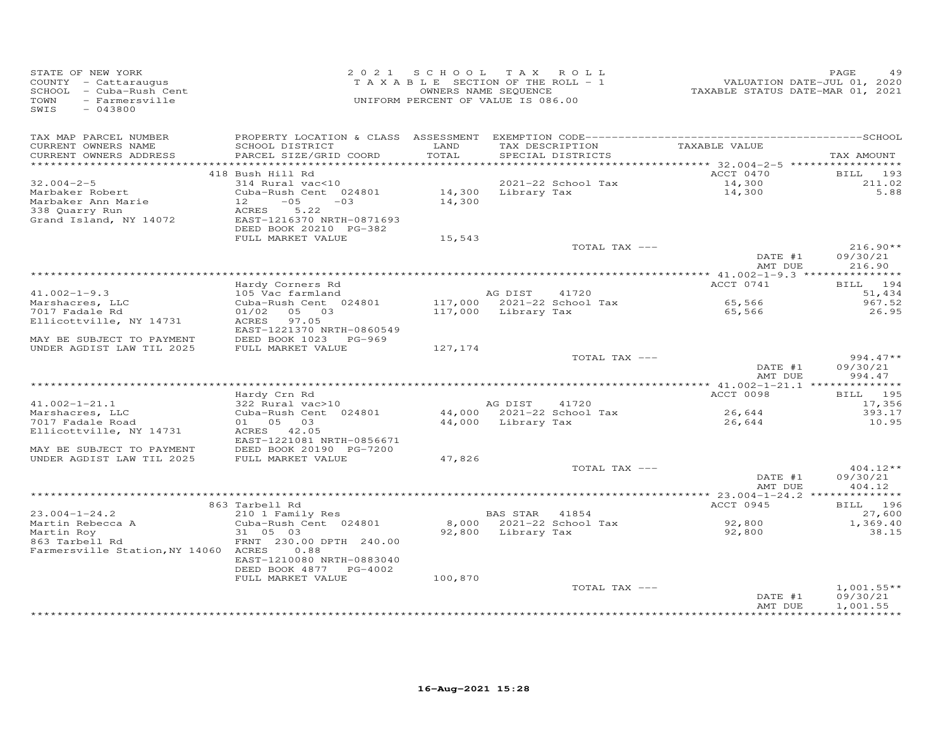| STATE OF NEW YORK<br>COUNTY - Cattaraugus<br>SCHOOL - Cuba-Rush Cent<br>- Farmersville<br>TOWN<br>SWIS<br>$-043800$ |                                                                                                                 |               | 2021 SCHOOL TAX ROLL<br>TAXABLE SECTION OF THE ROLL - 1<br>OWNERS NAME SEQUENCE<br>UNIFORM PERCENT OF VALUE IS 086.00 | TAXABLE STATUS DATE-MAR 01, 2021 | PAGE<br>49<br>VALUATION DATE-JUL 01, 2020 |
|---------------------------------------------------------------------------------------------------------------------|-----------------------------------------------------------------------------------------------------------------|---------------|-----------------------------------------------------------------------------------------------------------------------|----------------------------------|-------------------------------------------|
| TAX MAP PARCEL NUMBER<br>CURRENT OWNERS NAME<br>CURRENT OWNERS ADDRESS<br>***********************                   | SCHOOL DISTRICT<br>PARCEL SIZE/GRID COORD                                                                       | LAND<br>TOTAL | TAX DESCRIPTION<br>SPECIAL DISTRICTS                                                                                  | TAXABLE VALUE                    | TAX AMOUNT                                |
|                                                                                                                     | 418 Bush Hill Rd                                                                                                |               |                                                                                                                       | ACCT 0470                        | BILL 193                                  |
| $32.004 - 2 - 5$<br>Marbaker Robert<br>Marbaker Ann Marie<br>338 Quarry Run<br>Grand Island, NY 14072               | 314 Rural vac<10<br>Cuba-Rush Cent 024801<br>$-05$<br>12<br>$-03$<br>5.22<br>ACRES<br>EAST-1216370 NRTH-0871693 | 14,300        | 2021-22 School Tax<br>14,300 Library Tax                                                                              | 14,300<br>14,300                 | 211.02<br>5.88                            |
|                                                                                                                     | DEED BOOK 20210 PG-382<br>FULL MARKET VALUE                                                                     | 15,543        |                                                                                                                       |                                  |                                           |
|                                                                                                                     |                                                                                                                 |               | TOTAL TAX ---                                                                                                         | DATE #1<br>AMT DUE               | $216.90**$<br>09/30/21<br>216.90          |
|                                                                                                                     |                                                                                                                 |               |                                                                                                                       |                                  |                                           |
| $41.002 - 1 - 9.3$                                                                                                  | Hardy Corners Rd<br>105 Vac farmland                                                                            |               | AG DIST 41720                                                                                                         | ACCT 0741                        | BILL 194<br>51,434                        |
| Marshacres, LLC<br>7017 Fadale Rd                                                                                   | Cuba-Rush Cent 024801<br>$01/02$ 05 03                                                                          |               | 117,000 2021-22 School Tax<br>117,000 Library Tax                                                                     | 65,566<br>65,566                 | 967.52<br>26.95                           |
| Ellicottville, NY 14731                                                                                             | ACRES 97.05<br>EAST-1221370 NRTH-0860549                                                                        |               |                                                                                                                       |                                  |                                           |
| MAY BE SUBJECT TO PAYMENT<br>UNDER AGDIST LAW TIL 2025                                                              | DEED BOOK 1023 PG-969<br>FULL MARKET VALUE                                                                      | 127,174       |                                                                                                                       |                                  |                                           |
|                                                                                                                     |                                                                                                                 |               | TOTAL TAX ---                                                                                                         | DATE #1<br>AMT DUE               | $994.47**$<br>09/30/21<br>994.47          |
| ******************************                                                                                      |                                                                                                                 |               |                                                                                                                       |                                  |                                           |
|                                                                                                                     | Hardy Crn Rd                                                                                                    |               |                                                                                                                       | ACCT 0098                        | BILL 195                                  |
| $41.002 - 1 - 21.1$                                                                                                 | 322 Rural vac>10                                                                                                |               | AG DIST<br>41720                                                                                                      |                                  | 17,356                                    |
| Marshacres, LLC<br>7017 Fadale Road<br>Ellicottville, NY 14731                                                      | Cuba-Rush Cent 024801<br>01 05 03<br>ACRES 42.05                                                                |               | 44,000 2021-22 School Tax<br>44,000 Library Tax                                                                       | 26,644<br>26,644                 | 393.17<br>10.95                           |
| MAY BE SUBJECT TO PAYMENT                                                                                           | EAST-1221081 NRTH-0856671<br>DEED BOOK 20190 PG-7200                                                            |               |                                                                                                                       |                                  |                                           |
| UNDER AGDIST LAW TIL 2025                                                                                           | FULL MARKET VALUE                                                                                               | 47,826        | TOTAL TAX ---                                                                                                         |                                  | $404.12**$                                |
|                                                                                                                     |                                                                                                                 |               |                                                                                                                       | DATE #1<br>AMT DUE               | 09/30/21<br>404.12                        |
|                                                                                                                     |                                                                                                                 |               |                                                                                                                       |                                  |                                           |
|                                                                                                                     | 863 Tarbell Rd                                                                                                  |               |                                                                                                                       | ACCT 0945                        | BILL 196                                  |
| $23.004 - 1 - 24.2$                                                                                                 | 210 1 Family Res                                                                                                |               | BAS STAR 41854                                                                                                        |                                  | 27,600                                    |
| Martin Rebecca A<br>Martin Roy<br>863 Tarbell Rd<br>Farmersville Station, NY 14060 ACRES                            | Cuba-Rush Cent 024801<br>31 05 03<br>FRNT 230.00 DPTH 240.00<br>0.88<br>EAST-1210080 NRTH-0883040               |               | 8,000 2021-22 School Tax<br>92,800 Library Tax                                                                        | 92,800<br>92,800                 | 1,369.40<br>38.15                         |
|                                                                                                                     | DEED BOOK 4877 PG-4002                                                                                          |               |                                                                                                                       |                                  |                                           |
|                                                                                                                     | FULL MARKET VALUE                                                                                               | 100,870       | TOTAL TAX ---                                                                                                         | DATE #1                          | $1,001.55**$<br>09/30/21                  |
|                                                                                                                     |                                                                                                                 |               |                                                                                                                       | AMT DUE                          | 1,001.55                                  |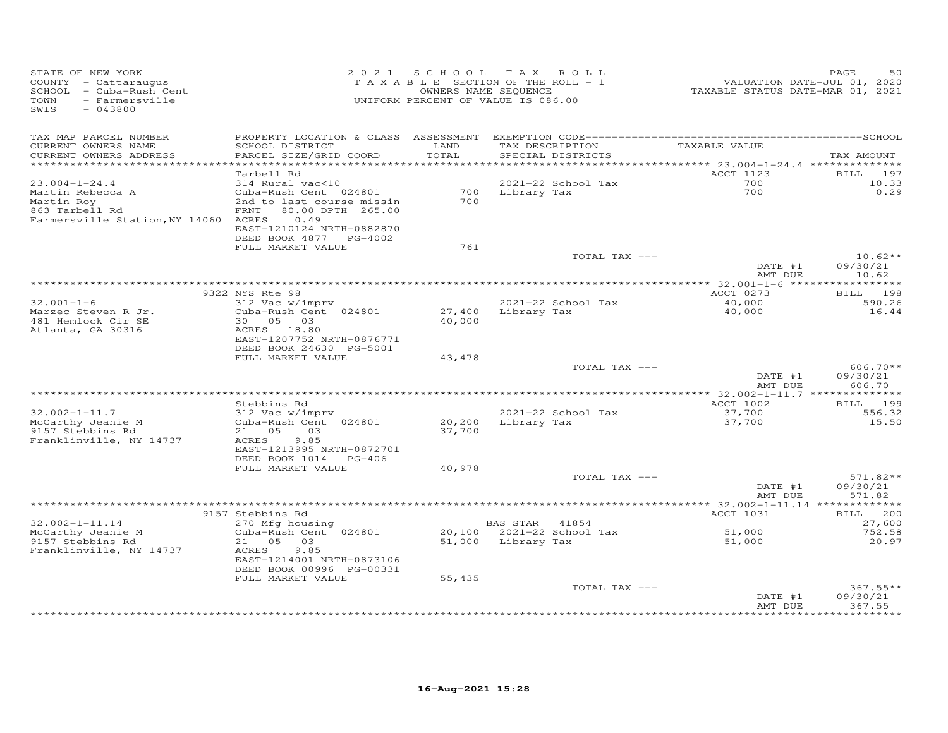| STATE OF NEW YORK<br>COUNTY - Cattaraugus<br>SCHOOL - Cuba-Rush Cent | 2 0 2 1                                             | S C H O O L       | T A X<br>ROLL<br>TAXABLE SECTION OF THE ROLL - 1<br>OWNERS NAME SEQUENCE | VALUATION DATE-JUL 01, 2020<br>TAXABLE STATUS DATE-MAR 01, 2021 | 50<br>PAGE             |
|----------------------------------------------------------------------|-----------------------------------------------------|-------------------|--------------------------------------------------------------------------|-----------------------------------------------------------------|------------------------|
| - Farmersville<br>TOWN<br>$-043800$<br>SWIS                          |                                                     |                   | UNIFORM PERCENT OF VALUE IS 086.00                                       |                                                                 |                        |
| TAX MAP PARCEL NUMBER                                                | PROPERTY LOCATION & CLASS ASSESSMENT                |                   | EXEMPTION CODE--------------------------                                 |                                                                 | --------------SCHOOL   |
| CURRENT OWNERS NAME                                                  | SCHOOL DISTRICT                                     | LAND              | TAX DESCRIPTION                                                          | TAXABLE VALUE                                                   |                        |
| CURRENT OWNERS ADDRESS<br>********************                       | PARCEL SIZE/GRID COORD                              | TOTAL<br>******** | SPECIAL DISTRICTS                                                        | ************ 23.004-1-24.4 ***************                      | TAX AMOUNT             |
|                                                                      | Tarbell Rd                                          |                   |                                                                          | <b>ACCT 1123</b>                                                | 197<br><b>BILL</b>     |
| $23.004 - 1 - 24.4$                                                  | 314 Rural vac<10                                    |                   | 2021-22 School Tax                                                       | 700                                                             | 10.33                  |
| Martin Rebecca A                                                     | Cuba-Rush Cent 024801                               | 700               | Library Tax                                                              | 700                                                             | 0.29                   |
| Martin Roy                                                           | 2nd to last course missin                           | 700               |                                                                          |                                                                 |                        |
| 863 Tarbell Rd                                                       | 80.00 DPTH 265.00<br>FRNT                           |                   |                                                                          |                                                                 |                        |
| Farmersville Station, NY 14060 ACRES                                 | 0.49                                                |                   |                                                                          |                                                                 |                        |
|                                                                      | EAST-1210124 NRTH-0882870<br>DEED BOOK 4877 PG-4002 |                   |                                                                          |                                                                 |                        |
|                                                                      | FULL MARKET VALUE                                   | 761               |                                                                          |                                                                 |                        |
|                                                                      |                                                     |                   | TOTAL TAX ---                                                            |                                                                 | $10.62**$              |
|                                                                      |                                                     |                   |                                                                          | DATE #1                                                         | 09/30/21               |
|                                                                      |                                                     |                   |                                                                          | AMT DUE                                                         | 10.62                  |
|                                                                      |                                                     |                   |                                                                          | ************ 32.001-1-6 *****                                   | * * * * * * * *        |
|                                                                      | 9322 NYS Rte 98                                     |                   |                                                                          | ACCT 0273                                                       | 198<br>BILL            |
| $32.001 - 1 - 6$<br>Marzec Steven R Jr.                              | 312 Vac w/imprv<br>Cuba-Rush Cent 024801            | 27,400            | 2021-22 School Tax<br>Library Tax                                        | 40,000<br>40,000                                                | 590.26<br>16.44        |
| 481 Hemlock Cir SE                                                   | 05<br>30<br>03                                      | 40,000            |                                                                          |                                                                 |                        |
| Atlanta, GA 30316                                                    | ACRES<br>18.80                                      |                   |                                                                          |                                                                 |                        |
|                                                                      | EAST-1207752 NRTH-0876771                           |                   |                                                                          |                                                                 |                        |
|                                                                      | DEED BOOK 24630 PG-5001                             |                   |                                                                          |                                                                 |                        |
|                                                                      | FULL MARKET VALUE                                   | 43,478            |                                                                          |                                                                 |                        |
|                                                                      |                                                     |                   | TOTAL TAX ---                                                            | DATE #1                                                         | $606.70**$<br>09/30/21 |
|                                                                      |                                                     |                   |                                                                          | AMT DUE                                                         | 606.70                 |
|                                                                      |                                                     |                   |                                                                          |                                                                 |                        |
|                                                                      | Stebbins Rd                                         |                   |                                                                          | <b>ACCT 1002</b>                                                | <b>BILL</b> 199        |
| $32.002 - 1 - 11.7$                                                  | 312 Vac w/imprv                                     |                   | 2021-22 School Tax                                                       | 37,700                                                          | 556.32                 |
| McCarthy Jeanie M                                                    | Cuba-Rush Cent 024801                               | 20,200            | Library Tax                                                              | 37,700                                                          | 15.50                  |
| 9157 Stebbins Rd                                                     | 05<br>21<br>03                                      | 37,700            |                                                                          |                                                                 |                        |
| Franklinville, NY 14737                                              | 9.85<br>ACRES<br>EAST-1213995 NRTH-0872701          |                   |                                                                          |                                                                 |                        |
|                                                                      | DEED BOOK 1014<br>PG-406                            |                   |                                                                          |                                                                 |                        |
|                                                                      | FULL MARKET VALUE                                   | 40,978            |                                                                          |                                                                 |                        |
|                                                                      |                                                     |                   | TOTAL TAX ---                                                            |                                                                 | $571.82**$             |
|                                                                      |                                                     |                   |                                                                          | DATE #1                                                         | 09/30/21               |
|                                                                      |                                                     |                   |                                                                          | AMT DUE                                                         | 571.82                 |
|                                                                      | 9157 Stebbins Rd                                    |                   |                                                                          | ** $32.002 - 1 - 11.14$<br>ACCT 1031                            | 200<br>BILL            |
| $32.002 - 1 - 11.14$                                                 | 270 Mfg housing                                     |                   | <b>BAS STAR</b><br>41854                                                 |                                                                 | 27,600                 |
| McCarthy Jeanie M                                                    | Cuba-Rush Cent 024801                               | 20,100            | 2021-22 School Tax                                                       | 51,000                                                          | 752.58                 |
| 9157 Stebbins Rd                                                     | 21 05<br>03                                         | 51,000            | Library Tax                                                              | 51,000                                                          | 20.97                  |
| Franklinville, NY 14737                                              | 9.85<br>ACRES                                       |                   |                                                                          |                                                                 |                        |
|                                                                      | EAST-1214001 NRTH-0873106                           |                   |                                                                          |                                                                 |                        |
|                                                                      | DEED BOOK 00996 PG-00331                            |                   |                                                                          |                                                                 |                        |
|                                                                      | FULL MARKET VALUE                                   | 55,435            | TOTAL TAX ---                                                            |                                                                 | $367.55**$             |
|                                                                      |                                                     |                   |                                                                          | DATE #1                                                         | 09/30/21               |
|                                                                      |                                                     |                   |                                                                          | AMT DUE                                                         | 367.55                 |
|                                                                      |                                                     |                   |                                                                          |                                                                 | .                      |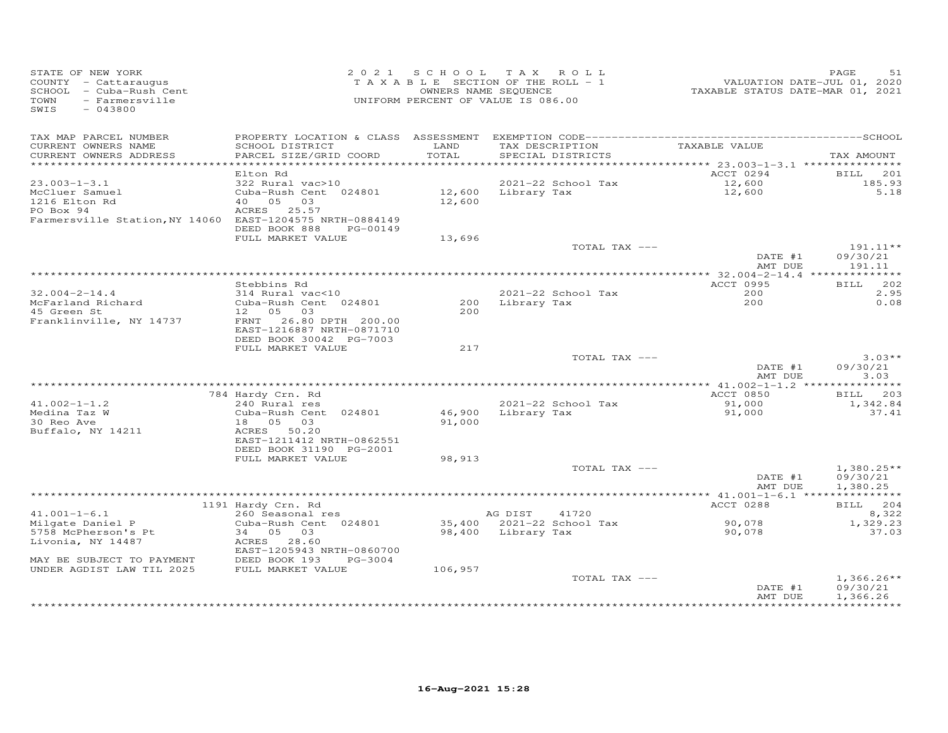| TAX MAP PARCEL NUMBER<br>TAX DESCRIPTION<br>TAXABLE VALUE<br>CURRENT OWNERS NAME<br>SCHOOL DISTRICT<br>LAND<br>TOTAL<br>CURRENT OWNERS ADDRESS<br>PARCEL SIZE/GRID COORD<br>SPECIAL DISTRICTS<br>TAX AMOUNT<br>ACCT 0294<br>Elton Rd<br>201<br>BILL<br>$23.003 - 1 - 3.1$<br>2021-22 School Tax<br>322 Rural vac>10<br>12,600<br>12,600<br>185.93<br>McCluer Samuel<br>Cuba-Rush Cent 024801<br>12,600 Library Tax<br>5.18<br>1216 Elton Rd<br>40  05  03<br>12,600<br>ACRES 25.57<br>PO Box 94<br>Farmersville Station, NY 14060 EAST-1204575 NRTH-0884149<br>DEED BOOK 888<br>PG-00149<br>FULL MARKET VALUE<br>13,696<br>TOTAL TAX ---<br>$191.11**$<br>DATE #1<br>09/30/21<br>AMT DUE<br>191.11<br>Stebbins Rd<br>ACCT 0995<br>BILL 202<br>2.95<br>$32.004 - 2 - 14.4$<br>314 Rural vac<10<br>2021-22 School Tax<br>200<br>Cuba-Rush Cent 024801<br>200<br>0.08<br>McFarland Richard<br>200 Library Tax<br>45 Green St<br>12  05  03<br>200<br>Franklinville, NY 14737<br>FRNT 26.80 DPTH 200.00<br>EAST-1216887 NRTH-0871710<br>DEED BOOK 30042 PG-7003<br>FULL MARKET VALUE<br>217<br>$3.03**$<br>TOTAL TAX ---<br>DATE #1<br>09/30/21<br>3.03<br>AMT DUE<br>******* 41.002-1-1.2 ***************<br>784 Hardy Crn. Rd<br>ACCT 0850<br>BILL 203<br>91,000<br>$41.002 - 1 - 1.2$<br>240 Rural res<br>2021-22 School Tax<br>1,342.84<br>Medina Taz W<br>Cuba-Rush Cent 024801<br>46,900<br>Library Tax<br>91,000<br>37.41<br>30 Reo Ave<br>18  05  03<br>91,000<br>Buffalo, NY 14211<br>ACRES 50.20<br>EAST-1211412 NRTH-0862551<br>DEED BOOK 31190 PG-2001<br>FULL MARKET VALUE<br>98,913<br>TOTAL TAX ---<br>$1,380.25**$<br>DATE #1<br>09/30/21<br>AMT DUE<br>1,380.25<br>ACCT 0288<br>BILL 204<br>1191 Hardy Crn. Rd<br>$41.001 - 1 - 6.1$<br>260 Seasonal res<br>AG DIST<br>41720<br>8,322<br>90,078<br>35,400 2021-22 School Tax<br>1,329.23<br>Milgate Daniel P<br>Cuba-Rush Cent 024801<br>37.03<br>5758 McPherson's Pt<br>34 05 03<br>98,400 Library Tax<br>90,078<br>Livonia, NY 14487<br>ACRES 28.60<br>EAST-1205943 NRTH-0860700<br>DEED BOOK 193<br>MAY BE SUBJECT TO PAYMENT<br>PG-3004<br>UNDER AGDIST LAW TIL 2025<br>FULL MARKET VALUE<br>106,957<br>TOTAL TAX ---<br>$1,366.26**$<br>DATE #1<br>09/30/21<br>1,366.26<br>AMT DUE | STATE OF NEW YORK<br>COUNTY - Cattaraugus<br>SCHOOL - Cuba-Rush Cent<br>- Farmersville<br>TOWN<br>SWIS<br>$-043800$ |  | 2021 SCHOOL TAX ROLL<br>TAXABLE SECTION OF THE ROLL - 1<br>OWNERS NAME SEQUENCE<br>UNIFORM PERCENT OF VALUE IS 086.00 | ------<br>VALUATION DATE-JUL 01, 2020<br>TAXABLE STATUS DATE-MAR 01, 2021 | PAGE<br>51 |
|------------------------------------------------------------------------------------------------------------------------------------------------------------------------------------------------------------------------------------------------------------------------------------------------------------------------------------------------------------------------------------------------------------------------------------------------------------------------------------------------------------------------------------------------------------------------------------------------------------------------------------------------------------------------------------------------------------------------------------------------------------------------------------------------------------------------------------------------------------------------------------------------------------------------------------------------------------------------------------------------------------------------------------------------------------------------------------------------------------------------------------------------------------------------------------------------------------------------------------------------------------------------------------------------------------------------------------------------------------------------------------------------------------------------------------------------------------------------------------------------------------------------------------------------------------------------------------------------------------------------------------------------------------------------------------------------------------------------------------------------------------------------------------------------------------------------------------------------------------------------------------------------------------------------------------------------------------------------------------------------------------------------------------------------------------------------------------------------------------------------------------------------------------------------------------------------------------------------------------------------------|---------------------------------------------------------------------------------------------------------------------|--|-----------------------------------------------------------------------------------------------------------------------|---------------------------------------------------------------------------|------------|
|                                                                                                                                                                                                                                                                                                                                                                                                                                                                                                                                                                                                                                                                                                                                                                                                                                                                                                                                                                                                                                                                                                                                                                                                                                                                                                                                                                                                                                                                                                                                                                                                                                                                                                                                                                                                                                                                                                                                                                                                                                                                                                                                                                                                                                                      |                                                                                                                     |  |                                                                                                                       |                                                                           |            |
|                                                                                                                                                                                                                                                                                                                                                                                                                                                                                                                                                                                                                                                                                                                                                                                                                                                                                                                                                                                                                                                                                                                                                                                                                                                                                                                                                                                                                                                                                                                                                                                                                                                                                                                                                                                                                                                                                                                                                                                                                                                                                                                                                                                                                                                      |                                                                                                                     |  |                                                                                                                       |                                                                           |            |
|                                                                                                                                                                                                                                                                                                                                                                                                                                                                                                                                                                                                                                                                                                                                                                                                                                                                                                                                                                                                                                                                                                                                                                                                                                                                                                                                                                                                                                                                                                                                                                                                                                                                                                                                                                                                                                                                                                                                                                                                                                                                                                                                                                                                                                                      |                                                                                                                     |  |                                                                                                                       |                                                                           |            |
|                                                                                                                                                                                                                                                                                                                                                                                                                                                                                                                                                                                                                                                                                                                                                                                                                                                                                                                                                                                                                                                                                                                                                                                                                                                                                                                                                                                                                                                                                                                                                                                                                                                                                                                                                                                                                                                                                                                                                                                                                                                                                                                                                                                                                                                      |                                                                                                                     |  |                                                                                                                       |                                                                           |            |
|                                                                                                                                                                                                                                                                                                                                                                                                                                                                                                                                                                                                                                                                                                                                                                                                                                                                                                                                                                                                                                                                                                                                                                                                                                                                                                                                                                                                                                                                                                                                                                                                                                                                                                                                                                                                                                                                                                                                                                                                                                                                                                                                                                                                                                                      |                                                                                                                     |  |                                                                                                                       |                                                                           |            |
|                                                                                                                                                                                                                                                                                                                                                                                                                                                                                                                                                                                                                                                                                                                                                                                                                                                                                                                                                                                                                                                                                                                                                                                                                                                                                                                                                                                                                                                                                                                                                                                                                                                                                                                                                                                                                                                                                                                                                                                                                                                                                                                                                                                                                                                      |                                                                                                                     |  |                                                                                                                       |                                                                           |            |
|                                                                                                                                                                                                                                                                                                                                                                                                                                                                                                                                                                                                                                                                                                                                                                                                                                                                                                                                                                                                                                                                                                                                                                                                                                                                                                                                                                                                                                                                                                                                                                                                                                                                                                                                                                                                                                                                                                                                                                                                                                                                                                                                                                                                                                                      |                                                                                                                     |  |                                                                                                                       |                                                                           |            |
|                                                                                                                                                                                                                                                                                                                                                                                                                                                                                                                                                                                                                                                                                                                                                                                                                                                                                                                                                                                                                                                                                                                                                                                                                                                                                                                                                                                                                                                                                                                                                                                                                                                                                                                                                                                                                                                                                                                                                                                                                                                                                                                                                                                                                                                      |                                                                                                                     |  |                                                                                                                       |                                                                           |            |
|                                                                                                                                                                                                                                                                                                                                                                                                                                                                                                                                                                                                                                                                                                                                                                                                                                                                                                                                                                                                                                                                                                                                                                                                                                                                                                                                                                                                                                                                                                                                                                                                                                                                                                                                                                                                                                                                                                                                                                                                                                                                                                                                                                                                                                                      |                                                                                                                     |  |                                                                                                                       |                                                                           |            |
|                                                                                                                                                                                                                                                                                                                                                                                                                                                                                                                                                                                                                                                                                                                                                                                                                                                                                                                                                                                                                                                                                                                                                                                                                                                                                                                                                                                                                                                                                                                                                                                                                                                                                                                                                                                                                                                                                                                                                                                                                                                                                                                                                                                                                                                      |                                                                                                                     |  |                                                                                                                       |                                                                           |            |
|                                                                                                                                                                                                                                                                                                                                                                                                                                                                                                                                                                                                                                                                                                                                                                                                                                                                                                                                                                                                                                                                                                                                                                                                                                                                                                                                                                                                                                                                                                                                                                                                                                                                                                                                                                                                                                                                                                                                                                                                                                                                                                                                                                                                                                                      |                                                                                                                     |  |                                                                                                                       |                                                                           |            |
|                                                                                                                                                                                                                                                                                                                                                                                                                                                                                                                                                                                                                                                                                                                                                                                                                                                                                                                                                                                                                                                                                                                                                                                                                                                                                                                                                                                                                                                                                                                                                                                                                                                                                                                                                                                                                                                                                                                                                                                                                                                                                                                                                                                                                                                      |                                                                                                                     |  |                                                                                                                       |                                                                           |            |
|                                                                                                                                                                                                                                                                                                                                                                                                                                                                                                                                                                                                                                                                                                                                                                                                                                                                                                                                                                                                                                                                                                                                                                                                                                                                                                                                                                                                                                                                                                                                                                                                                                                                                                                                                                                                                                                                                                                                                                                                                                                                                                                                                                                                                                                      |                                                                                                                     |  |                                                                                                                       |                                                                           |            |
|                                                                                                                                                                                                                                                                                                                                                                                                                                                                                                                                                                                                                                                                                                                                                                                                                                                                                                                                                                                                                                                                                                                                                                                                                                                                                                                                                                                                                                                                                                                                                                                                                                                                                                                                                                                                                                                                                                                                                                                                                                                                                                                                                                                                                                                      |                                                                                                                     |  |                                                                                                                       |                                                                           |            |
|                                                                                                                                                                                                                                                                                                                                                                                                                                                                                                                                                                                                                                                                                                                                                                                                                                                                                                                                                                                                                                                                                                                                                                                                                                                                                                                                                                                                                                                                                                                                                                                                                                                                                                                                                                                                                                                                                                                                                                                                                                                                                                                                                                                                                                                      |                                                                                                                     |  |                                                                                                                       |                                                                           |            |
|                                                                                                                                                                                                                                                                                                                                                                                                                                                                                                                                                                                                                                                                                                                                                                                                                                                                                                                                                                                                                                                                                                                                                                                                                                                                                                                                                                                                                                                                                                                                                                                                                                                                                                                                                                                                                                                                                                                                                                                                                                                                                                                                                                                                                                                      |                                                                                                                     |  |                                                                                                                       |                                                                           |            |
|                                                                                                                                                                                                                                                                                                                                                                                                                                                                                                                                                                                                                                                                                                                                                                                                                                                                                                                                                                                                                                                                                                                                                                                                                                                                                                                                                                                                                                                                                                                                                                                                                                                                                                                                                                                                                                                                                                                                                                                                                                                                                                                                                                                                                                                      |                                                                                                                     |  |                                                                                                                       |                                                                           |            |
|                                                                                                                                                                                                                                                                                                                                                                                                                                                                                                                                                                                                                                                                                                                                                                                                                                                                                                                                                                                                                                                                                                                                                                                                                                                                                                                                                                                                                                                                                                                                                                                                                                                                                                                                                                                                                                                                                                                                                                                                                                                                                                                                                                                                                                                      |                                                                                                                     |  |                                                                                                                       |                                                                           |            |
|                                                                                                                                                                                                                                                                                                                                                                                                                                                                                                                                                                                                                                                                                                                                                                                                                                                                                                                                                                                                                                                                                                                                                                                                                                                                                                                                                                                                                                                                                                                                                                                                                                                                                                                                                                                                                                                                                                                                                                                                                                                                                                                                                                                                                                                      |                                                                                                                     |  |                                                                                                                       |                                                                           |            |
|                                                                                                                                                                                                                                                                                                                                                                                                                                                                                                                                                                                                                                                                                                                                                                                                                                                                                                                                                                                                                                                                                                                                                                                                                                                                                                                                                                                                                                                                                                                                                                                                                                                                                                                                                                                                                                                                                                                                                                                                                                                                                                                                                                                                                                                      |                                                                                                                     |  |                                                                                                                       |                                                                           |            |
|                                                                                                                                                                                                                                                                                                                                                                                                                                                                                                                                                                                                                                                                                                                                                                                                                                                                                                                                                                                                                                                                                                                                                                                                                                                                                                                                                                                                                                                                                                                                                                                                                                                                                                                                                                                                                                                                                                                                                                                                                                                                                                                                                                                                                                                      |                                                                                                                     |  |                                                                                                                       |                                                                           |            |
|                                                                                                                                                                                                                                                                                                                                                                                                                                                                                                                                                                                                                                                                                                                                                                                                                                                                                                                                                                                                                                                                                                                                                                                                                                                                                                                                                                                                                                                                                                                                                                                                                                                                                                                                                                                                                                                                                                                                                                                                                                                                                                                                                                                                                                                      |                                                                                                                     |  |                                                                                                                       |                                                                           |            |
|                                                                                                                                                                                                                                                                                                                                                                                                                                                                                                                                                                                                                                                                                                                                                                                                                                                                                                                                                                                                                                                                                                                                                                                                                                                                                                                                                                                                                                                                                                                                                                                                                                                                                                                                                                                                                                                                                                                                                                                                                                                                                                                                                                                                                                                      |                                                                                                                     |  |                                                                                                                       |                                                                           |            |
|                                                                                                                                                                                                                                                                                                                                                                                                                                                                                                                                                                                                                                                                                                                                                                                                                                                                                                                                                                                                                                                                                                                                                                                                                                                                                                                                                                                                                                                                                                                                                                                                                                                                                                                                                                                                                                                                                                                                                                                                                                                                                                                                                                                                                                                      |                                                                                                                     |  |                                                                                                                       |                                                                           |            |
|                                                                                                                                                                                                                                                                                                                                                                                                                                                                                                                                                                                                                                                                                                                                                                                                                                                                                                                                                                                                                                                                                                                                                                                                                                                                                                                                                                                                                                                                                                                                                                                                                                                                                                                                                                                                                                                                                                                                                                                                                                                                                                                                                                                                                                                      |                                                                                                                     |  |                                                                                                                       |                                                                           |            |
|                                                                                                                                                                                                                                                                                                                                                                                                                                                                                                                                                                                                                                                                                                                                                                                                                                                                                                                                                                                                                                                                                                                                                                                                                                                                                                                                                                                                                                                                                                                                                                                                                                                                                                                                                                                                                                                                                                                                                                                                                                                                                                                                                                                                                                                      |                                                                                                                     |  |                                                                                                                       |                                                                           |            |
|                                                                                                                                                                                                                                                                                                                                                                                                                                                                                                                                                                                                                                                                                                                                                                                                                                                                                                                                                                                                                                                                                                                                                                                                                                                                                                                                                                                                                                                                                                                                                                                                                                                                                                                                                                                                                                                                                                                                                                                                                                                                                                                                                                                                                                                      |                                                                                                                     |  |                                                                                                                       |                                                                           |            |
|                                                                                                                                                                                                                                                                                                                                                                                                                                                                                                                                                                                                                                                                                                                                                                                                                                                                                                                                                                                                                                                                                                                                                                                                                                                                                                                                                                                                                                                                                                                                                                                                                                                                                                                                                                                                                                                                                                                                                                                                                                                                                                                                                                                                                                                      |                                                                                                                     |  |                                                                                                                       |                                                                           |            |
|                                                                                                                                                                                                                                                                                                                                                                                                                                                                                                                                                                                                                                                                                                                                                                                                                                                                                                                                                                                                                                                                                                                                                                                                                                                                                                                                                                                                                                                                                                                                                                                                                                                                                                                                                                                                                                                                                                                                                                                                                                                                                                                                                                                                                                                      |                                                                                                                     |  |                                                                                                                       |                                                                           |            |
|                                                                                                                                                                                                                                                                                                                                                                                                                                                                                                                                                                                                                                                                                                                                                                                                                                                                                                                                                                                                                                                                                                                                                                                                                                                                                                                                                                                                                                                                                                                                                                                                                                                                                                                                                                                                                                                                                                                                                                                                                                                                                                                                                                                                                                                      |                                                                                                                     |  |                                                                                                                       |                                                                           |            |
|                                                                                                                                                                                                                                                                                                                                                                                                                                                                                                                                                                                                                                                                                                                                                                                                                                                                                                                                                                                                                                                                                                                                                                                                                                                                                                                                                                                                                                                                                                                                                                                                                                                                                                                                                                                                                                                                                                                                                                                                                                                                                                                                                                                                                                                      |                                                                                                                     |  |                                                                                                                       |                                                                           |            |
|                                                                                                                                                                                                                                                                                                                                                                                                                                                                                                                                                                                                                                                                                                                                                                                                                                                                                                                                                                                                                                                                                                                                                                                                                                                                                                                                                                                                                                                                                                                                                                                                                                                                                                                                                                                                                                                                                                                                                                                                                                                                                                                                                                                                                                                      |                                                                                                                     |  |                                                                                                                       |                                                                           |            |
|                                                                                                                                                                                                                                                                                                                                                                                                                                                                                                                                                                                                                                                                                                                                                                                                                                                                                                                                                                                                                                                                                                                                                                                                                                                                                                                                                                                                                                                                                                                                                                                                                                                                                                                                                                                                                                                                                                                                                                                                                                                                                                                                                                                                                                                      |                                                                                                                     |  |                                                                                                                       |                                                                           |            |
|                                                                                                                                                                                                                                                                                                                                                                                                                                                                                                                                                                                                                                                                                                                                                                                                                                                                                                                                                                                                                                                                                                                                                                                                                                                                                                                                                                                                                                                                                                                                                                                                                                                                                                                                                                                                                                                                                                                                                                                                                                                                                                                                                                                                                                                      |                                                                                                                     |  |                                                                                                                       |                                                                           |            |
|                                                                                                                                                                                                                                                                                                                                                                                                                                                                                                                                                                                                                                                                                                                                                                                                                                                                                                                                                                                                                                                                                                                                                                                                                                                                                                                                                                                                                                                                                                                                                                                                                                                                                                                                                                                                                                                                                                                                                                                                                                                                                                                                                                                                                                                      |                                                                                                                     |  |                                                                                                                       |                                                                           |            |
|                                                                                                                                                                                                                                                                                                                                                                                                                                                                                                                                                                                                                                                                                                                                                                                                                                                                                                                                                                                                                                                                                                                                                                                                                                                                                                                                                                                                                                                                                                                                                                                                                                                                                                                                                                                                                                                                                                                                                                                                                                                                                                                                                                                                                                                      |                                                                                                                     |  |                                                                                                                       |                                                                           |            |
|                                                                                                                                                                                                                                                                                                                                                                                                                                                                                                                                                                                                                                                                                                                                                                                                                                                                                                                                                                                                                                                                                                                                                                                                                                                                                                                                                                                                                                                                                                                                                                                                                                                                                                                                                                                                                                                                                                                                                                                                                                                                                                                                                                                                                                                      |                                                                                                                     |  |                                                                                                                       |                                                                           |            |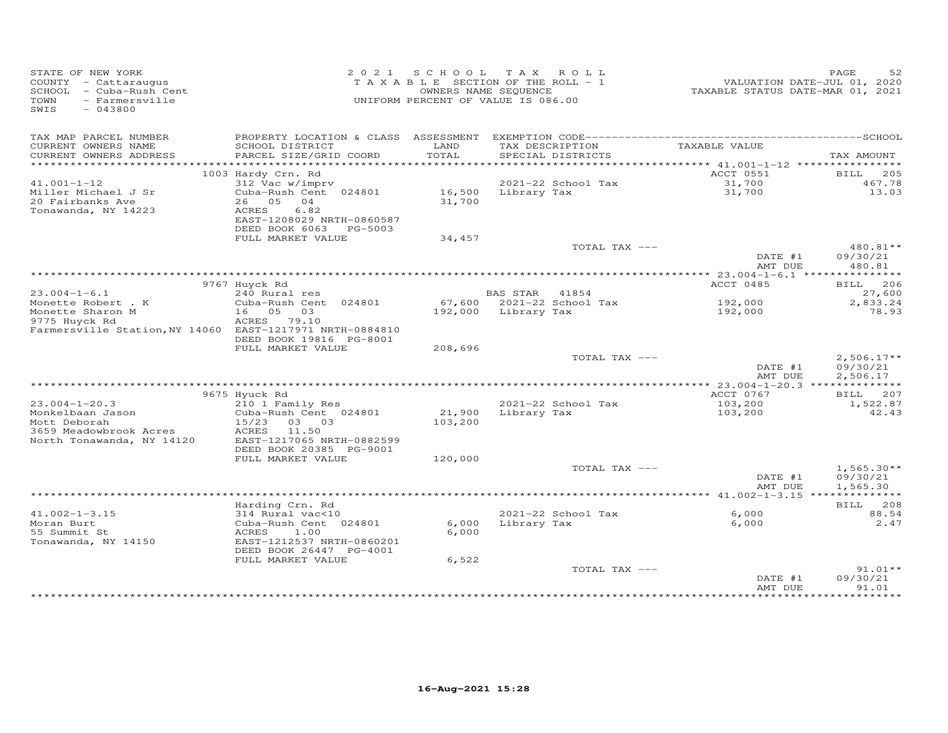| STATE OF NEW YORK<br>COUNTY - Cattaraugus<br>SCHOOL - Cuba-Rush Cent<br>- Farmersville<br>TOWN<br>$-043800$<br>SWIS |                                                                                  | 2021 SCHOOL TAX ROLL<br>TAXABLE SECTION OF THE ROLL - 1<br>UNIFORM PERCENT OF VALUE IS 086.00 | OWNERS NAME SEQUENCE |                                          | TAXABLE STATUS DATE-MAR 01, 2021 | PAGE<br>52<br>VALUATION DATE-JUL 01, 2020 |
|---------------------------------------------------------------------------------------------------------------------|----------------------------------------------------------------------------------|-----------------------------------------------------------------------------------------------|----------------------|------------------------------------------|----------------------------------|-------------------------------------------|
| TAX MAP PARCEL NUMBER<br>CURRENT OWNERS NAME<br>CURRENT OWNERS ADDRESS                                              | SCHOOL DISTRICT<br>PARCEL SIZE/GRID COORD                                        | LAND<br>TOTAL                                                                                 |                      | TAX DESCRIPTION<br>SPECIAL DISTRICTS     | TAXABLE VALUE                    | TAX AMOUNT                                |
|                                                                                                                     |                                                                                  |                                                                                               |                      |                                          |                                  |                                           |
|                                                                                                                     | 1003 Hardy Crn. Rd                                                               |                                                                                               |                      |                                          | ACCT 0551                        | BILL 205                                  |
| $41.001 - 1 - 12$<br>Miller Michael J Sr                                                                            | 312 Vac w/imprv<br>Cuba-Rush Cent 024801                                         |                                                                                               |                      | 2021-22 School Tax<br>16,500 Library Tax | 31,700                           | 467.78<br>13.03                           |
| 20 Fairbanks Ave<br>Tonawanda, NY 14223                                                                             | 26 05 04<br>ACRES<br>6.82<br>EAST-1208029 NRTH-0860587<br>DEED BOOK 6063 PG-5003 | 31,700                                                                                        |                      |                                          | 31,700                           |                                           |
|                                                                                                                     | FULL MARKET VALUE                                                                | 34,457                                                                                        |                      |                                          |                                  |                                           |
|                                                                                                                     |                                                                                  |                                                                                               |                      | TOTAL TAX ---                            |                                  | 480.81**                                  |
|                                                                                                                     |                                                                                  |                                                                                               |                      |                                          | DATE #1<br>AMT DUE               | 09/30/21<br>480.81                        |
|                                                                                                                     |                                                                                  |                                                                                               |                      |                                          |                                  |                                           |
| $23.004 - 1 - 6.1$                                                                                                  | 9767 Huyck Rd<br>240 Rural res                                                   |                                                                                               | BAS STAR             | 41854                                    | ACCT 0485                        | <b>BILL</b> 206<br>27,600                 |
| Monette Robert . K                                                                                                  | Cuba-Rush Cent 024801                                                            |                                                                                               |                      | 67,600 2021-22 School Tax                | 192,000                          | 2,833.24                                  |
| Monette Sharon M                                                                                                    | 16 05<br>03                                                                      |                                                                                               | 192,000 Library Tax  |                                          | 192,000                          | 78.93                                     |
| 9775 Huyck Rd                                                                                                       | ACRES 79.10                                                                      |                                                                                               |                      |                                          |                                  |                                           |
| Farmersville Station, NY 14060 EAST-1217971 NRTH-0884810                                                            |                                                                                  |                                                                                               |                      |                                          |                                  |                                           |
|                                                                                                                     | DEED BOOK 19816 PG-8001<br>FULL MARKET VALUE                                     | 208,696                                                                                       |                      |                                          |                                  |                                           |
|                                                                                                                     |                                                                                  |                                                                                               |                      | TOTAL TAX ---                            |                                  | $2,506.17**$                              |
|                                                                                                                     |                                                                                  |                                                                                               |                      |                                          | DATE #1<br>AMT DUE               | 09/30/21<br>2,506.17                      |
|                                                                                                                     |                                                                                  |                                                                                               |                      |                                          |                                  |                                           |
|                                                                                                                     | 9675 Hyuck Rd                                                                    |                                                                                               |                      |                                          | ACCT 0767                        | BILL 207                                  |
| $23.004 - 1 - 20.3$<br>Monkelbaan Jason                                                                             | 210 1 Family Res<br>Cuba-Rush Cent 024801                                        |                                                                                               | 21,900 Library Tax   | 2021-22 School Tax                       | 103,200<br>103,200               | 1,522.87<br>42.43                         |
| Mott Deborah                                                                                                        | 15/23 03 03                                                                      | 103,200                                                                                       |                      |                                          |                                  |                                           |
| 3659 Meadowbrook Acres                                                                                              | ACRES 11.50                                                                      |                                                                                               |                      |                                          |                                  |                                           |
| North Tonawanda, NY 14120                                                                                           | EAST-1217065 NRTH-0882599                                                        |                                                                                               |                      |                                          |                                  |                                           |
|                                                                                                                     | DEED BOOK 20385 PG-9001                                                          |                                                                                               |                      |                                          |                                  |                                           |
|                                                                                                                     | FULL MARKET VALUE                                                                | 120,000                                                                                       |                      |                                          |                                  |                                           |
|                                                                                                                     |                                                                                  |                                                                                               |                      | TOTAL TAX ---                            | DATE #1                          | $1.565.30**$<br>09/30/21                  |
|                                                                                                                     |                                                                                  |                                                                                               |                      |                                          | AMT DUE                          | 1,565.30                                  |
|                                                                                                                     |                                                                                  |                                                                                               |                      |                                          |                                  |                                           |
|                                                                                                                     | Harding Crn. Rd                                                                  |                                                                                               |                      |                                          |                                  | BILL 208                                  |
| $41.002 - 1 - 3.15$                                                                                                 | 314 Rural vac<10                                                                 |                                                                                               |                      | 2021-22 School Tax                       | 6,000                            | 88.54                                     |
| Moran Burt<br>55 Summit St                                                                                          | Cuba-Rush Cent 024801<br>1.00                                                    | 6,000<br>6,000                                                                                |                      | Library Tax                              | 6,000                            | 2.47                                      |
| Tonawanda, NY 14150                                                                                                 | ACRES<br>EAST-1212537 NRTH-0860201                                               |                                                                                               |                      |                                          |                                  |                                           |
|                                                                                                                     | DEED BOOK 26447 PG-4001                                                          |                                                                                               |                      |                                          |                                  |                                           |
|                                                                                                                     | FULL MARKET VALUE                                                                | 6,522                                                                                         |                      |                                          |                                  |                                           |
|                                                                                                                     |                                                                                  |                                                                                               |                      | TOTAL TAX ---                            |                                  | $91.01**$                                 |
|                                                                                                                     |                                                                                  |                                                                                               |                      |                                          | DATE #1                          | 09/30/21                                  |
|                                                                                                                     |                                                                                  |                                                                                               |                      |                                          | AMT DUE                          | 91.01                                     |
|                                                                                                                     |                                                                                  |                                                                                               |                      |                                          |                                  |                                           |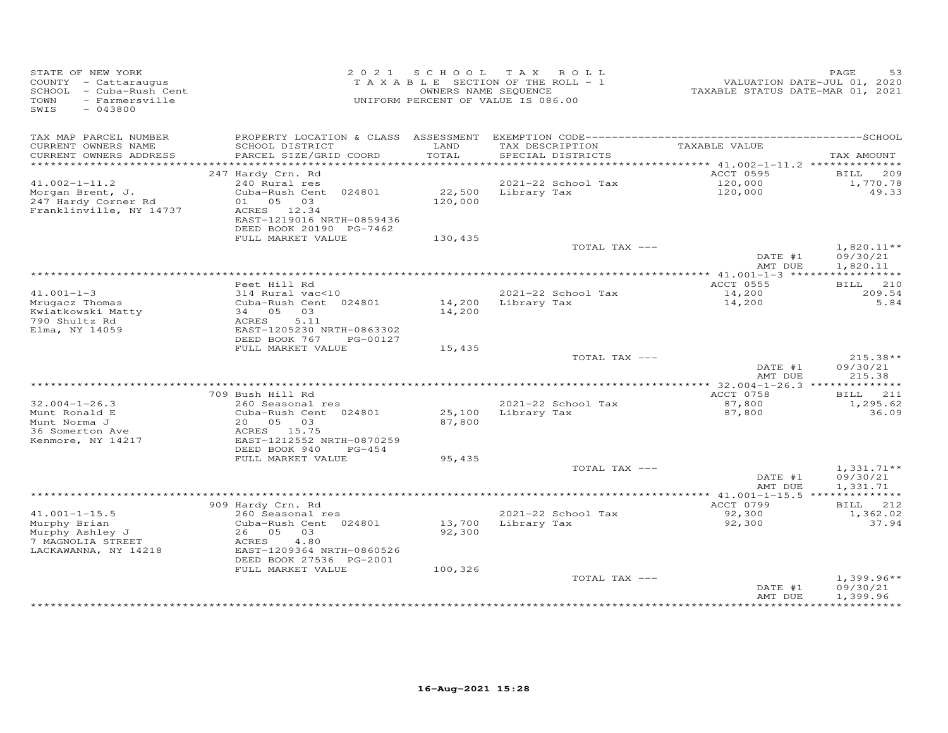| STATE OF NEW YORK<br>COUNTY - Cattaraugus<br>SCHOOL - Cuba-Rush Cent<br><b>TOWN</b><br>- Farmersville<br>SWIS<br>$-043800$ |                                                                                 |         | 2021 SCHOOL TAX ROLL<br>TAXABLE SECTION OF THE ROLL - 1<br>OWNERS NAME SEQUENCE<br>UNIFORM PERCENT OF VALUE IS 086.00 | VALUATION DATE-JUL 01, 2020<br>TAXABLE STATUS DATE-MAR 01, 2021 | PAGE<br>53                       |
|----------------------------------------------------------------------------------------------------------------------------|---------------------------------------------------------------------------------|---------|-----------------------------------------------------------------------------------------------------------------------|-----------------------------------------------------------------|----------------------------------|
| TAX MAP PARCEL NUMBER<br>CURRENT OWNERS NAME                                                                               | PROPERTY LOCATION & CLASS ASSESSMENT<br>SCHOOL DISTRICT                         | LAND    | TAX DESCRIPTION                                                                                                       | TAXABLE VALUE                                                   |                                  |
| CURRENT OWNERS ADDRESS                                                                                                     | PARCEL SIZE/GRID COORD                                                          | TOTAL   | SPECIAL DISTRICTS                                                                                                     |                                                                 | TAX AMOUNT                       |
|                                                                                                                            |                                                                                 |         |                                                                                                                       |                                                                 |                                  |
| $41.002 - 1 - 11.2$                                                                                                        | 247 Hardy Crn. Rd<br>240 Rural res                                              |         | 2021-22 School Tax                                                                                                    | ACCT 0595<br>120,000                                            | BILL 209<br>1,770.78             |
| Morgan Brent, J.                                                                                                           | Cuba-Rush Cent 024801                                                           | 22,500  | Library Tax                                                                                                           | 120,000                                                         | 49.33                            |
| 247 Hardy Corner Rd<br>Franklinville, NY 14737                                                                             | 01 05 03<br>ACRES 12.34<br>EAST-1219016 NRTH-0859436<br>DEED BOOK 20190 PG-7462 | 120,000 |                                                                                                                       |                                                                 |                                  |
|                                                                                                                            | FULL MARKET VALUE                                                               | 130,435 |                                                                                                                       |                                                                 |                                  |
|                                                                                                                            |                                                                                 |         | TOTAL TAX ---                                                                                                         | DATE #1                                                         | $1,820.11**$<br>09/30/21         |
|                                                                                                                            |                                                                                 |         |                                                                                                                       | AMT DUE                                                         | 1,820.11                         |
|                                                                                                                            |                                                                                 |         |                                                                                                                       | ***************** 41.001-1-3 ******************                 |                                  |
|                                                                                                                            | Peet Hill Rd                                                                    |         |                                                                                                                       | ACCT 0555                                                       | BILL 210                         |
| $41.001 - 1 - 3$<br>Mrugacz Thomas                                                                                         | 314 Rural vac<10<br>Cuba-Rush Cent 024801                                       |         | 2021-22 School Tax<br>14,200 Library Tax                                                                              | 14,200<br>14,200                                                | 209.54<br>5.84                   |
| Kwiatkowski Matty<br>790 Shultz Rd<br>Elma, NY 14059                                                                       | 34 05 03<br>ACRES<br>5.11<br>EAST-1205230 NRTH-0863302                          | 14,200  |                                                                                                                       |                                                                 |                                  |
|                                                                                                                            | DEED BOOK 767<br>PG-00127                                                       |         |                                                                                                                       |                                                                 |                                  |
|                                                                                                                            | FULL MARKET VALUE                                                               | 15,435  |                                                                                                                       |                                                                 |                                  |
|                                                                                                                            |                                                                                 |         | TOTAL TAX ---                                                                                                         | DATE #1<br>AMT DUE                                              | $215.38**$<br>09/30/21<br>215.38 |
|                                                                                                                            |                                                                                 |         |                                                                                                                       |                                                                 |                                  |
|                                                                                                                            | 709 Bush Hill Rd                                                                |         |                                                                                                                       | ACCT 0758                                                       | BILL 211                         |
| $32.004 - 1 - 26.3$                                                                                                        | 260 Seasonal res                                                                |         | 2021-22 School Tax                                                                                                    | 87,800                                                          | 1,295.62                         |
| Munt Ronald E                                                                                                              | Cuba-Rush Cent 024801                                                           | 25,100  | Library Tax                                                                                                           | 87,800                                                          | 36.09                            |
| Munt Norma J<br>36 Somerton Ave                                                                                            | 20  05  03<br>ACRES 15.75                                                       | 87,800  |                                                                                                                       |                                                                 |                                  |
| Kenmore, NY 14217                                                                                                          | EAST-1212552 NRTH-0870259                                                       |         |                                                                                                                       |                                                                 |                                  |
|                                                                                                                            | DEED BOOK 940<br>$PG-454$                                                       |         |                                                                                                                       |                                                                 |                                  |
|                                                                                                                            | FULL MARKET VALUE                                                               | 95,435  |                                                                                                                       |                                                                 |                                  |
|                                                                                                                            |                                                                                 |         | TOTAL TAX ---                                                                                                         |                                                                 | $1,331.71**$                     |
|                                                                                                                            |                                                                                 |         |                                                                                                                       | DATE #1<br>AMT DUE                                              | 09/30/21                         |
|                                                                                                                            |                                                                                 |         |                                                                                                                       |                                                                 | 1,331.71                         |
|                                                                                                                            | 909 Hardy Crn. Rd                                                               |         |                                                                                                                       | ACCT 0799                                                       | BILL 212                         |
| $41.001 - 1 - 15.5$                                                                                                        | 260 Seasonal res                                                                |         | 2021-22 School Tax                                                                                                    | 92,300                                                          | 1,362.02                         |
| Murphy Brian                                                                                                               | Cuba-Rush Cent 024801                                                           | 13,700  | Library Tax                                                                                                           | 92,300                                                          | 37.94                            |
| Murphy Ashley J                                                                                                            | 26 05 03                                                                        | 92,300  |                                                                                                                       |                                                                 |                                  |
| 7 MAGNOLIA STREET<br>LACKAWANNA, NY 14218                                                                                  | 4.80<br>ACRES<br>EAST-1209364 NRTH-0860526                                      |         |                                                                                                                       |                                                                 |                                  |
|                                                                                                                            | DEED BOOK 27536 PG-2001<br>FULL MARKET VALUE                                    | 100,326 |                                                                                                                       |                                                                 |                                  |
|                                                                                                                            |                                                                                 |         | TOTAL TAX ---                                                                                                         |                                                                 | $1,399.96**$                     |
|                                                                                                                            |                                                                                 |         |                                                                                                                       | DATE #1<br>AMT DUE                                              | 09/30/21<br>1,399.96             |
|                                                                                                                            |                                                                                 |         |                                                                                                                       | ******************                                              | ***********                      |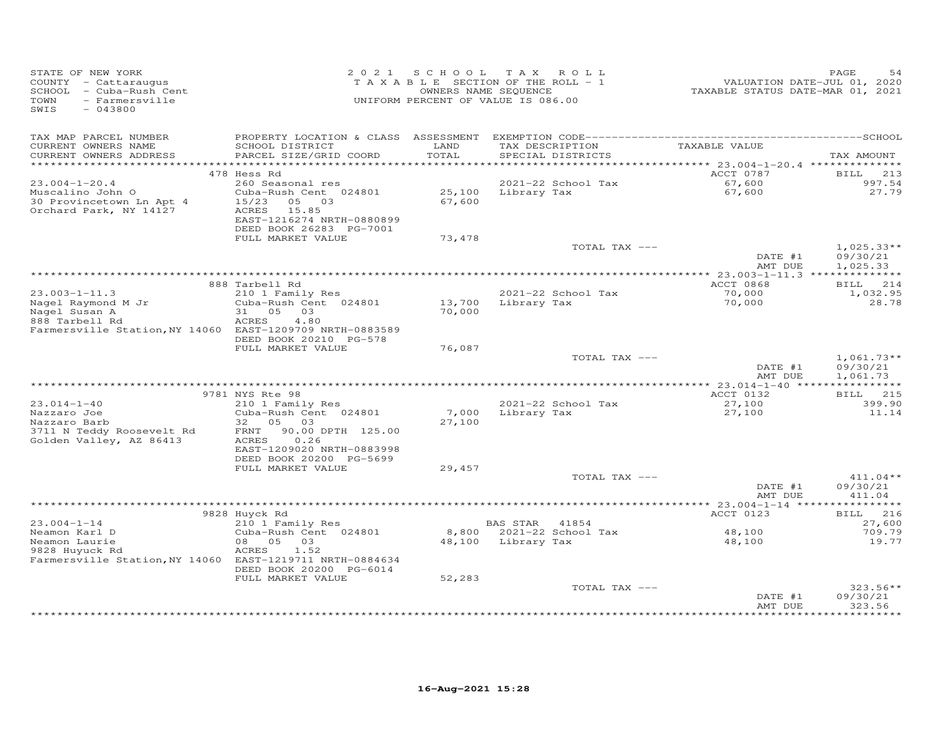| STATE OF NEW YORK<br>COUNTY - Cattaraugus<br>SCHOOL - Cuba-Rush Cent<br>- Farmersville<br>TOWN<br>SWIS<br>$-043800$ | 2 0 2 1                                                                                                           |                  | SCHOOL TAX ROLL<br>TAXABLE SECTION OF THE ROLL - 1<br>OWNERS NAME SEQUENCE<br>UNIFORM PERCENT OF VALUE IS 086.00 | VALUATION DATE-JUL 01, 2020<br>TAXABLE STATUS DATE-MAR 01, 2021 | PAGE                         |
|---------------------------------------------------------------------------------------------------------------------|-------------------------------------------------------------------------------------------------------------------|------------------|------------------------------------------------------------------------------------------------------------------|-----------------------------------------------------------------|------------------------------|
| TAX MAP PARCEL NUMBER<br>CURRENT OWNERS NAME                                                                        | PROPERTY LOCATION & CLASS ASSESSMENT<br>SCHOOL DISTRICT                                                           | LAND             | TAX DESCRIPTION                                                                                                  | TAXABLE VALUE                                                   |                              |
| CURRENT OWNERS ADDRESS                                                                                              | PARCEL SIZE/GRID COORD                                                                                            | TOTAL            | SPECIAL DISTRICTS                                                                                                |                                                                 | TAX AMOUNT                   |
|                                                                                                                     | 478 Hess Rd                                                                                                       |                  |                                                                                                                  | ACCT 0787                                                       | 213<br>BILL                  |
| $23.004 - 1 - 20.4$                                                                                                 | 260 Seasonal res                                                                                                  |                  | 2021-22 School Tax                                                                                               | 67,600                                                          | 997.54                       |
| Muscalino John O<br>30 Provincetown Ln Apt 4<br>Orchard Park, NY 14127                                              | Cuba-Rush Cent 024801<br>15/23<br>05 03<br>ACRES<br>15.85<br>EAST-1216274 NRTH-0880899<br>DEED BOOK 26283 PG-7001 | 25,100<br>67,600 | Library Tax                                                                                                      | 67,600                                                          | 27.79                        |
|                                                                                                                     | FULL MARKET VALUE                                                                                                 | 73,478           |                                                                                                                  |                                                                 |                              |
|                                                                                                                     |                                                                                                                   |                  | TOTAL TAX ---                                                                                                    | DATE #1                                                         | $1,025.33**$<br>09/30/21     |
|                                                                                                                     |                                                                                                                   |                  |                                                                                                                  | AMT DUE<br>******* 23.003-1-11.3 **************                 | 1,025.33                     |
|                                                                                                                     | 888 Tarbell Rd                                                                                                    |                  |                                                                                                                  | ACCT 0868                                                       | BILL 214                     |
| $23.003 - 1 - 11.3$                                                                                                 | 210 1 Family Res                                                                                                  |                  | 2021-22 School Tax                                                                                               | 70,000                                                          | 1,032.95                     |
| Nagel Raymond M Jr                                                                                                  | Cuba-Rush Cent 024801                                                                                             | 13,700           | Library Tax                                                                                                      | 70,000                                                          | 28.78                        |
| Nagel Susan A                                                                                                       | 31 05 03<br>4.80<br>ACRES                                                                                         | 70,000           |                                                                                                                  |                                                                 |                              |
| 888 Tarbell Rd<br>Farmersville Station, NY 14060 EAST-1209709 NRTH-0883589                                          |                                                                                                                   |                  |                                                                                                                  |                                                                 |                              |
|                                                                                                                     | DEED BOOK 20210 PG-578<br>FULL MARKET VALUE                                                                       | 76,087           |                                                                                                                  |                                                                 |                              |
|                                                                                                                     |                                                                                                                   |                  | TOTAL TAX ---                                                                                                    |                                                                 | $1,061.73**$                 |
|                                                                                                                     |                                                                                                                   |                  |                                                                                                                  | DATE #1<br>AMT DUE                                              | 09/30/21<br>1,061.73         |
|                                                                                                                     |                                                                                                                   |                  |                                                                                                                  |                                                                 |                              |
| $23.014 - 1 - 40$                                                                                                   | 9781 NYS Rte 98                                                                                                   |                  | 2021-22 School Tax                                                                                               | ACCT 0132<br>27,100                                             | <b>BILL</b><br>215<br>399.90 |
| Nazzaro Joe                                                                                                         | 210 1 Family Res<br>Cuba-Rush Cent 024801                                                                         | 7,000            | Library Tax                                                                                                      | 27,100                                                          | 11.14                        |
| Nazzaro Barb                                                                                                        | 05 03<br>32                                                                                                       | 27,100           |                                                                                                                  |                                                                 |                              |
| 3711 N Teddy Roosevelt Rd<br>Golden Valley, AZ 86413                                                                | 90.00 DPTH 125.00<br>FRNT<br>0.26<br>ACRES                                                                        |                  |                                                                                                                  |                                                                 |                              |
|                                                                                                                     | EAST-1209020 NRTH-0883998<br>DEED BOOK 20200 PG-5699                                                              |                  |                                                                                                                  |                                                                 |                              |
|                                                                                                                     | FULL MARKET VALUE                                                                                                 | 29,457           | TOTAL TAX ---                                                                                                    |                                                                 | $411.04**$                   |
|                                                                                                                     |                                                                                                                   |                  |                                                                                                                  | DATE #1<br>AMT DUE                                              | 09/30/21<br>411.04           |
|                                                                                                                     |                                                                                                                   |                  |                                                                                                                  |                                                                 |                              |
|                                                                                                                     | 9828 Huyck Rd                                                                                                     |                  |                                                                                                                  | ACCT 0123                                                       | 216<br><b>BILL</b>           |
| $23.004 - 1 - 14$                                                                                                   | 210 1 Family Res                                                                                                  |                  | BAS STAR 41854                                                                                                   |                                                                 | 27,600                       |
| Neamon Karl D<br>Neamon Laurie                                                                                      | Cuba-Rush Cent 024801<br>05 03<br>08                                                                              | 8,800<br>48,100  | 2021-22 School Tax<br>Library Tax                                                                                | 48,100<br>48,100                                                | 709.79<br>19.77              |
| 9828 Huyuck Rd<br>Farmersville Station, NY 14060 EAST-1219711 NRTH-0884634                                          | ACRES<br>1.52                                                                                                     |                  |                                                                                                                  |                                                                 |                              |
|                                                                                                                     | DEED BOOK 20200 PG-6014                                                                                           |                  |                                                                                                                  |                                                                 |                              |
|                                                                                                                     | FULL MARKET VALUE                                                                                                 | 52,283           |                                                                                                                  |                                                                 | $323.56**$                   |
|                                                                                                                     |                                                                                                                   |                  | TOTAL TAX ---                                                                                                    | DATE #1<br>AMT DUE                                              | 09/30/21<br>323.56           |
|                                                                                                                     |                                                                                                                   |                  |                                                                                                                  |                                                                 |                              |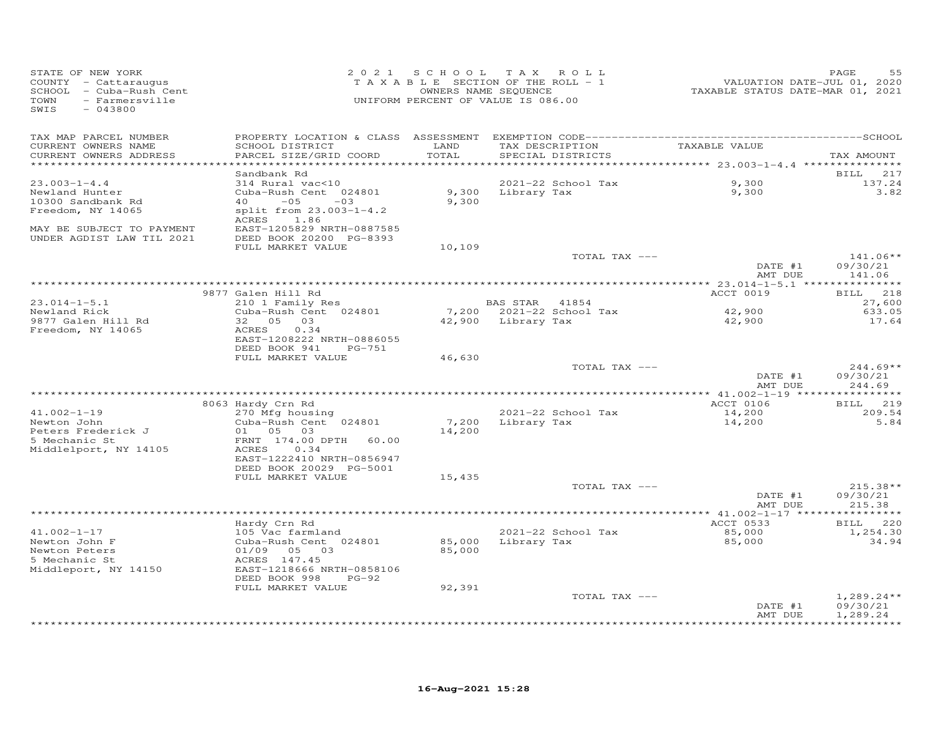| STATE OF NEW YORK<br>COUNTY - Cattaraugus<br>SCHOOL - Cuba-Rush Cent<br>TOWN<br>- Farmersville<br>SWIS<br>$-043800$                      | 2 0 2 1                                                                                                                                                                           | SCHOOL TAX<br>TAXABLE SECTION OF THE ROLL - 1<br>OWNERS NAME SEQUENCE<br>UNIFORM PERCENT OF VALUE IS 086.00 |                                      | ROLL                                 | VALUATION DATE-JUL 01, 2020<br>TAXABLE STATUS DATE-MAR 01, 2021 | PAGE<br>55                                                |
|------------------------------------------------------------------------------------------------------------------------------------------|-----------------------------------------------------------------------------------------------------------------------------------------------------------------------------------|-------------------------------------------------------------------------------------------------------------|--------------------------------------|--------------------------------------|-----------------------------------------------------------------|-----------------------------------------------------------|
| TAX MAP PARCEL NUMBER<br>CURRENT OWNERS NAME<br>CURRENT OWNERS ADDRESS<br>***********************                                        | SCHOOL DISTRICT<br>PARCEL SIZE/GRID COORD                                                                                                                                         | LAND<br>TOTAL                                                                                               |                                      | TAX DESCRIPTION<br>SPECIAL DISTRICTS | TAXABLE VALUE                                                   | TAX AMOUNT                                                |
| $23.003 - 1 - 4.4$<br>Newland Hunter<br>10300 Sandbank Rd<br>Freedom, NY 14065<br>MAY BE SUBJECT TO PAYMENT<br>UNDER AGDIST LAW TIL 2021 | Sandbank Rd<br>314 Rural vac<10<br>Cuba-Rush Cent 024801<br>$-05$<br>40<br>$-03$<br>split from 23.003-1-4.2<br>ACRES 1.86<br>EAST-1205829 NRTH-0887585<br>DEED BOOK 20200 PG-8393 | 9,300<br>9,300                                                                                              | Library Tax                          | 2021-22 School Tax                   | 9,300<br>9,300                                                  | 217<br><b>BILL</b><br>137.24<br>3.82                      |
|                                                                                                                                          | FULL MARKET VALUE                                                                                                                                                                 | 10,109                                                                                                      |                                      | TOTAL TAX ---                        | DATE #1<br>AMT DUE                                              | $141.06**$<br>09/30/21<br>141.06                          |
| $23.014 - 1 - 5.1$<br>Newland Rick<br>9877 Galen Hill Rd<br>Freedom, NY 14065                                                            | 9877 Galen Hill Rd<br>210 1 Family Res<br>Cuba-Rush Cent 024801<br>32 05<br>03<br>0.34<br><b>ACRES</b><br>EAST-1208222 NRTH-0886055<br>DEED BOOK 941<br>PG-751                    |                                                                                                             | BAS STAR 41854<br>42,900 Library Tax | 7,200 2021-22 School Tax             | ACCT 0019<br>42,900<br>42,900                                   | 218<br><b>BILL</b><br>27,600<br>633.05<br>17.64           |
|                                                                                                                                          | FULL MARKET VALUE                                                                                                                                                                 | 46,630                                                                                                      |                                      | TOTAL TAX ---                        | DATE #1<br>AMT DUE                                              | $244.69**$<br>09/30/21<br>244.69                          |
| $41.002 - 1 - 19$<br>Newton John<br>Peters Frederick J<br>5 Mechanic St<br>Middlelport, NY 14105                                         | 8063 Hardy Crn Rd<br>270 Mfg housing<br>Cuba-Rush Cent 024801<br>01 05 03<br>FRNT 174.00 DPTH 60.00<br>0.34<br>ACRES<br>EAST-1222410 NRTH-0856947<br>DEED BOOK 20029 PG-5001      | 7,200<br>14,200                                                                                             |                                      | 2021-22 School Tax<br>Library Tax    | ACCT 0106<br>14,200<br>14,200                                   | BILL 219<br>209.54<br>5.84                                |
|                                                                                                                                          | FULL MARKET VALUE                                                                                                                                                                 | 15,435                                                                                                      |                                      | TOTAL TAX ---                        | DATE #1<br>AMT DUE                                              | $215.38**$<br>09/30/21<br>215.38                          |
| $41.002 - 1 - 17$<br>Newton John F<br>Newton Peters<br>5 Mechanic St<br>Middleport, NY 14150                                             | Hardy Crn Rd<br>105 Vac farmland<br>Cuba-Rush Cent 024801<br>01/09<br>05 03<br>ACRES 147.45<br>EAST-1218666 NRTH-0858106<br>DEED BOOK 998<br>$PG-92$<br>FULL MARKET VALUE         | 85,000<br>85,000<br>92,391                                                                                  |                                      | 2021-22 School Tax<br>Library Tax    | ACCT 0533<br>85,000<br>85,000                                   | BILL 220<br>1,254.30<br>34.94                             |
|                                                                                                                                          |                                                                                                                                                                                   |                                                                                                             |                                      | TOTAL TAX ---                        | DATE #1<br>AMT DUE                                              | $1,289.24**$<br>09/30/21<br>1,289.24<br>* * * * * * * * * |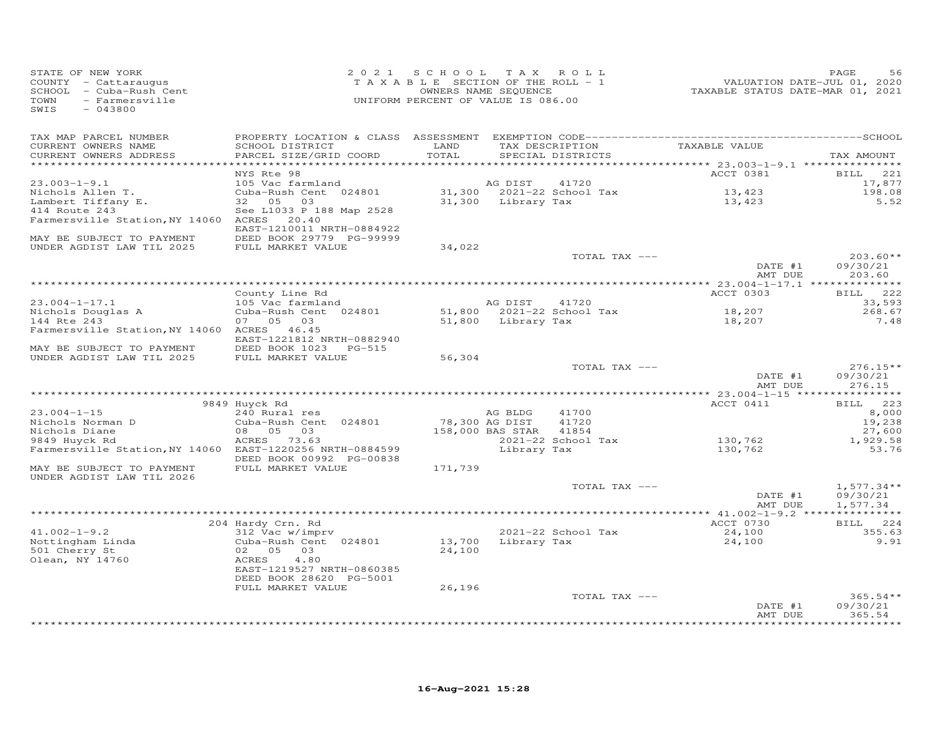| STATE OF NEW YORK<br>COUNTY - Cattaraugus<br>SCHOOL - Cuba-Rush Cent<br>TOWN<br>- Farmersville<br>SWIS<br>$-043800$ |                                              | 2021 SCHOOL<br>TAXABLE SECTION OF THE ROLL - 1<br>UNIFORM PERCENT OF VALUE IS 086.00 | TAX ROLL<br>OWNERS NAME SEQUENCE |                                    | VALUATION DATE-JUL 01, 2020<br>TAXABLE STATUS DATE-MAR 01, 2021         | PAGE<br>56                        |
|---------------------------------------------------------------------------------------------------------------------|----------------------------------------------|--------------------------------------------------------------------------------------|----------------------------------|------------------------------------|-------------------------------------------------------------------------|-----------------------------------|
| TAX MAP PARCEL NUMBER                                                                                               |                                              |                                                                                      |                                  |                                    |                                                                         |                                   |
| CURRENT OWNERS NAME<br>CURRENT OWNERS ADDRESS<br>*********************                                              | SCHOOL DISTRICT<br>PARCEL SIZE/GRID COORD    | LAND<br>TOTAL<br>************                                                        | TAX DESCRIPTION                  | SPECIAL DISTRICTS                  | TAXABLE VALUE                                                           | TAX AMOUNT                        |
|                                                                                                                     | NYS Rte 98                                   |                                                                                      |                                  |                                    | ***************************** 23.003-1-9.1 ***************<br>ACCT 0381 | BILL<br>221                       |
| $23.003 - 1 - 9.1$                                                                                                  | 105 Vac farmland                             |                                                                                      | AG DIST                          | 41720                              |                                                                         | 17,877                            |
| Nichols Allen T.                                                                                                    | Cuba-Rush Cent 024801                        |                                                                                      |                                  | 31,300 2021-22 School Tax          | 13,423                                                                  | 198.08                            |
| Lambert Tiffany E.                                                                                                  | 32 05 03                                     | 31,300                                                                               | Library Tax                      |                                    | 13,423                                                                  | 5.52                              |
| 414 Route 243                                                                                                       | See L1033 P 188 Map 2528                     |                                                                                      |                                  |                                    |                                                                         |                                   |
| Farmersville Station, NY 14060 ACRES 20.40                                                                          | EAST-1210011 NRTH-0884922                    |                                                                                      |                                  |                                    |                                                                         |                                   |
| MAY BE SUBJECT TO PAYMENT<br>UNDER AGDIST LAW TIL 2025                                                              | DEED BOOK 29779 PG-99999                     |                                                                                      |                                  |                                    |                                                                         |                                   |
|                                                                                                                     | FULL MARKET VALUE                            | 34,022                                                                               |                                  | TOTAL TAX ---                      |                                                                         | $203.60**$                        |
|                                                                                                                     |                                              |                                                                                      |                                  |                                    | DATE #1<br>AMT DUE                                                      | 09/30/21<br>203.60                |
|                                                                                                                     |                                              |                                                                                      |                                  |                                    |                                                                         |                                   |
|                                                                                                                     | County Line Rd                               |                                                                                      |                                  |                                    | ACCT 0303                                                               | 222<br>BILL                       |
| $23.004 - 1 - 17.1$<br>Nichols Douglas A                                                                            | 105 Vac farmland<br>Cuba-Rush Cent 024801    |                                                                                      | AG DIST                          | 41720<br>51,800 2021-22 School Tax | 18,207                                                                  | 33,593<br>268.67                  |
| 144 Rte 243                                                                                                         | 07   05   03                                 |                                                                                      | 51,800 Library Tax               |                                    | 18,207                                                                  | 7.48                              |
| Farmersville Station, NY 14060 ACRES 46.45                                                                          | EAST-1221812 NRTH-0882940                    |                                                                                      |                                  |                                    |                                                                         |                                   |
| MAY BE SUBJECT TO PAYMENT                                                                                           | DEED BOOK 1023 PG-515                        |                                                                                      |                                  |                                    |                                                                         |                                   |
| UNDER AGDIST LAW TIL 2025                                                                                           | FULL MARKET VALUE                            | 56,304                                                                               |                                  |                                    |                                                                         |                                   |
|                                                                                                                     |                                              |                                                                                      |                                  | TOTAL TAX ---                      |                                                                         | $276.15**$                        |
|                                                                                                                     |                                              |                                                                                      |                                  |                                    | DATE #1<br>AMT DUE                                                      | 09/30/21<br>276.15<br>*********** |
|                                                                                                                     | 9849 Huyck Rd                                |                                                                                      |                                  |                                    | ACCT 0411                                                               | BILL 223                          |
| $23.004 - 1 - 15$                                                                                                   | 240 Rural res                                |                                                                                      | AG BLDG                          | 41700                              |                                                                         | 8,000                             |
| Nichols Norman D                                                                                                    | Cuba-Rush Cent 024801                        | 78,300 AG DIST                                                                       |                                  | 41720                              |                                                                         | 19,238                            |
| Nichols Diane                                                                                                       | 08 05 03                                     |                                                                                      | 158,000 BAS STAR 41854           |                                    |                                                                         | 27,600                            |
| 9849 Huyck Rd                                                                                                       | ACRES 73.63                                  |                                                                                      |                                  | 2021-22 School Tax                 | 130,762                                                                 | 1,929.58                          |
| Farmersville Station, NY 14060 EAST-1220256 NRTH-0884599                                                            | DEED BOOK 00992 PG-00838                     |                                                                                      | Library Tax                      |                                    | 130,762                                                                 | 53.76                             |
| MAY BE SUBJECT TO PAYMENT<br>UNDER AGDIST LAW TIL 2026                                                              | FULL MARKET VALUE                            | 171,739                                                                              |                                  |                                    |                                                                         |                                   |
|                                                                                                                     |                                              |                                                                                      |                                  | TOTAL TAX ---                      | DATE #1                                                                 | $1,577.34**$<br>09/30/21          |
|                                                                                                                     |                                              |                                                                                      |                                  |                                    | AMT DUE                                                                 | 1,577.34                          |
|                                                                                                                     | 204 Hardy Crn. Rd                            |                                                                                      |                                  |                                    | ACCT 0730                                                               | BILL 224                          |
| $41.002 - 1 - 9.2$                                                                                                  | 312 Vac w/imprv                              |                                                                                      |                                  | 2021-22 School Tax                 | 24,100                                                                  | 355.63                            |
| Nottingham Linda                                                                                                    | Cuba-Rush Cent 024801                        | 13,700                                                                               | Library Tax                      |                                    | 24,100                                                                  | 9.91                              |
| 501 Cherry St                                                                                                       | 02 05<br>03                                  | 24,100                                                                               |                                  |                                    |                                                                         |                                   |
| Olean, NY 14760                                                                                                     | ACRES<br>4.80<br>EAST-1219527 NRTH-0860385   |                                                                                      |                                  |                                    |                                                                         |                                   |
|                                                                                                                     | DEED BOOK 28620 PG-5001<br>FULL MARKET VALUE | 26,196                                                                               |                                  |                                    |                                                                         |                                   |
|                                                                                                                     |                                              |                                                                                      |                                  | TOTAL TAX ---                      |                                                                         | $365.54**$                        |
|                                                                                                                     |                                              |                                                                                      |                                  |                                    | DATE #1<br>AMT DUE                                                      | 09/30/21<br>365.54                |
|                                                                                                                     |                                              |                                                                                      |                                  |                                    |                                                                         |                                   |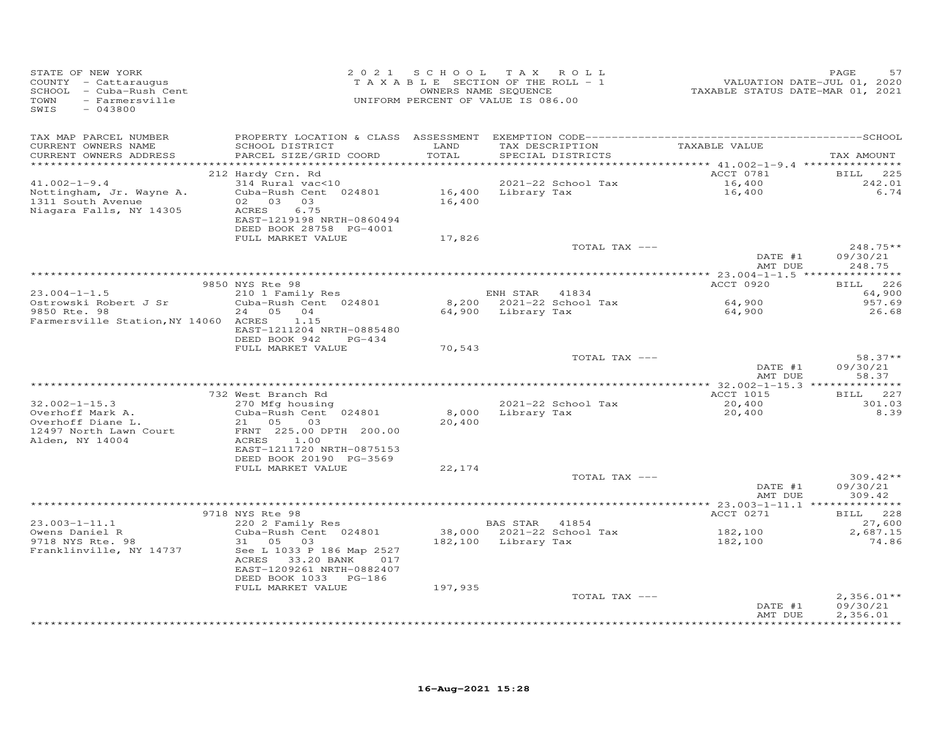| TAX MAP PARCEL NUMBER<br>TAX DESCRIPTION TAXABLE VALUE<br>SCHOOL DISTRICT<br>LAND<br>CURRENT OWNERS NAME<br>TOTAL<br>CURRENT OWNERS ADDRESS<br>PARCEL SIZE/GRID COORD<br>SPECIAL DISTRICTS<br>TAX AMOUNT<br>************************<br>ACCT 0781<br><b>BILL</b><br>212 Hardy Crn. Rd<br>16,400<br>16,400<br>314 Rural vac<10<br>2021-22 School Tax<br>$41.002 - 1 - 9.4$<br>16,400 Library Tax<br>Cuba-Rush Cent 024801<br>Nottingham, Jr. Wayne A.<br>02 03 03<br>16,400<br>1311 South Avenue<br>ACRES<br>6.75<br>Niagara Falls, NY 14305<br>EAST-1219198 NRTH-0860494<br>DEED BOOK 28758 PG-4001<br>FULL MARKET VALUE<br>17,826<br>TOTAL TAX ---<br>DATE #1<br>248.75<br>AMT DUE<br>ACCT 0920<br>9850 NYS Rte 98<br>210 1 Family Res<br>$23.004 - 1 - 1.5$<br>ENH STAR 41834<br>8,200 2021-22 School Tax<br>64,900<br>Ostrowski Robert J Sr<br>Cuba-Rush Cent 024801<br>9850 Rte. 98<br>24 05 04<br>64,900 Library Tax<br>64,900<br>Farmersville Station, NY 14060 ACRES<br>1.15<br>EAST-1211204 NRTH-0885480<br>DEED BOOK 942<br>PG-434<br>FULL MARKET VALUE<br>70,543<br>TOTAL TAX ---<br>DATE #1<br>09/30/21<br>AMT DUE<br>58.37<br>ACCT 1015<br>BILL 227<br>732 West Branch Rd<br>$32.002 - 1 - 15.3$<br>2021-22 School Tax<br>20,400<br>20,400<br>270 Mfg housing<br>Overhoff Mark A.<br>Cuba-Rush Cent 024801<br>8,000 Library Tax<br>21 05<br>20,400<br>Overhoff Diane L.<br>03<br>FRNT 225.00 DPTH 200.00<br>12497 North Lawn Court<br>Alden, NY 14004<br>ACRES 1.00<br>EAST-1211720 NRTH-0875153<br>DEED BOOK 20190 PG-3569<br>FULL MARKET VALUE<br>22,174<br>TOTAL TAX ---<br>09/30/21<br>DATE #1<br>AMT DUE<br>309.42<br>9718 NYS Rte 98<br>ACCT 0271<br>BILL 228<br>220 2 Family Res<br>$23.003 - 1 - 11.1$<br><b>BAS STAR</b> 41854<br>38,000 2021-22 School Tax<br>182,100<br>Owens Daniel R<br>Cuba-Rush Cent 024801<br>9718 NYS Rte. 98<br>31  05  03<br>182,100 Library Tax<br>182,100<br>Franklinville, NY 14737<br>See L 1033 P 186 Map 2527<br>ACRES 33.20 BANK<br>017<br>EAST-1209261 NRTH-0882407<br>DEED BOOK 1033 PG-186<br>197,935<br>FULL MARKET VALUE<br>TOTAL TAX ---<br>09/30/21<br>DATE #1<br>AMT DUE | STATE OF NEW YORK<br>COUNTY - Cattaraugus<br>SCHOOL - Cuba-Rush Cent<br>TOWN<br>- Farmersville<br>SWIS<br>$-043800$ | 2021 SCHOOL TAX ROLL<br>T A X A B L E SECTION OF THE ROLL - 1<br>OWNERS NAME SEQUENCE<br>UNIFORM PERCENT OF VALUE IS 086.00 |  | 2020<br>VALUATION DATE-JUL 01, 2020<br>TAXABLE STATUS DATE-MAR 01, 2021 | PAGE<br>57                  |
|----------------------------------------------------------------------------------------------------------------------------------------------------------------------------------------------------------------------------------------------------------------------------------------------------------------------------------------------------------------------------------------------------------------------------------------------------------------------------------------------------------------------------------------------------------------------------------------------------------------------------------------------------------------------------------------------------------------------------------------------------------------------------------------------------------------------------------------------------------------------------------------------------------------------------------------------------------------------------------------------------------------------------------------------------------------------------------------------------------------------------------------------------------------------------------------------------------------------------------------------------------------------------------------------------------------------------------------------------------------------------------------------------------------------------------------------------------------------------------------------------------------------------------------------------------------------------------------------------------------------------------------------------------------------------------------------------------------------------------------------------------------------------------------------------------------------------------------------------------------------------------------------------------------------------------------------------------------------------------------------------------------------------------------------------------------------------------------------------------------------------------------|---------------------------------------------------------------------------------------------------------------------|-----------------------------------------------------------------------------------------------------------------------------|--|-------------------------------------------------------------------------|-----------------------------|
|                                                                                                                                                                                                                                                                                                                                                                                                                                                                                                                                                                                                                                                                                                                                                                                                                                                                                                                                                                                                                                                                                                                                                                                                                                                                                                                                                                                                                                                                                                                                                                                                                                                                                                                                                                                                                                                                                                                                                                                                                                                                                                                                        |                                                                                                                     |                                                                                                                             |  |                                                                         |                             |
|                                                                                                                                                                                                                                                                                                                                                                                                                                                                                                                                                                                                                                                                                                                                                                                                                                                                                                                                                                                                                                                                                                                                                                                                                                                                                                                                                                                                                                                                                                                                                                                                                                                                                                                                                                                                                                                                                                                                                                                                                                                                                                                                        |                                                                                                                     |                                                                                                                             |  |                                                                         | 225<br>242.01<br>6.74       |
|                                                                                                                                                                                                                                                                                                                                                                                                                                                                                                                                                                                                                                                                                                                                                                                                                                                                                                                                                                                                                                                                                                                                                                                                                                                                                                                                                                                                                                                                                                                                                                                                                                                                                                                                                                                                                                                                                                                                                                                                                                                                                                                                        |                                                                                                                     |                                                                                                                             |  |                                                                         | $248.75**$<br>09/30/21      |
|                                                                                                                                                                                                                                                                                                                                                                                                                                                                                                                                                                                                                                                                                                                                                                                                                                                                                                                                                                                                                                                                                                                                                                                                                                                                                                                                                                                                                                                                                                                                                                                                                                                                                                                                                                                                                                                                                                                                                                                                                                                                                                                                        |                                                                                                                     |                                                                                                                             |  |                                                                         | BILL 226                    |
|                                                                                                                                                                                                                                                                                                                                                                                                                                                                                                                                                                                                                                                                                                                                                                                                                                                                                                                                                                                                                                                                                                                                                                                                                                                                                                                                                                                                                                                                                                                                                                                                                                                                                                                                                                                                                                                                                                                                                                                                                                                                                                                                        |                                                                                                                     |                                                                                                                             |  |                                                                         | 64,900<br>957.69<br>26.68   |
|                                                                                                                                                                                                                                                                                                                                                                                                                                                                                                                                                                                                                                                                                                                                                                                                                                                                                                                                                                                                                                                                                                                                                                                                                                                                                                                                                                                                                                                                                                                                                                                                                                                                                                                                                                                                                                                                                                                                                                                                                                                                                                                                        |                                                                                                                     |                                                                                                                             |  |                                                                         | $58.37**$                   |
|                                                                                                                                                                                                                                                                                                                                                                                                                                                                                                                                                                                                                                                                                                                                                                                                                                                                                                                                                                                                                                                                                                                                                                                                                                                                                                                                                                                                                                                                                                                                                                                                                                                                                                                                                                                                                                                                                                                                                                                                                                                                                                                                        |                                                                                                                     |                                                                                                                             |  |                                                                         |                             |
|                                                                                                                                                                                                                                                                                                                                                                                                                                                                                                                                                                                                                                                                                                                                                                                                                                                                                                                                                                                                                                                                                                                                                                                                                                                                                                                                                                                                                                                                                                                                                                                                                                                                                                                                                                                                                                                                                                                                                                                                                                                                                                                                        |                                                                                                                     |                                                                                                                             |  |                                                                         | 301.03<br>8.39              |
|                                                                                                                                                                                                                                                                                                                                                                                                                                                                                                                                                                                                                                                                                                                                                                                                                                                                                                                                                                                                                                                                                                                                                                                                                                                                                                                                                                                                                                                                                                                                                                                                                                                                                                                                                                                                                                                                                                                                                                                                                                                                                                                                        |                                                                                                                     |                                                                                                                             |  |                                                                         | $309.42**$                  |
|                                                                                                                                                                                                                                                                                                                                                                                                                                                                                                                                                                                                                                                                                                                                                                                                                                                                                                                                                                                                                                                                                                                                                                                                                                                                                                                                                                                                                                                                                                                                                                                                                                                                                                                                                                                                                                                                                                                                                                                                                                                                                                                                        |                                                                                                                     |                                                                                                                             |  |                                                                         |                             |
|                                                                                                                                                                                                                                                                                                                                                                                                                                                                                                                                                                                                                                                                                                                                                                                                                                                                                                                                                                                                                                                                                                                                                                                                                                                                                                                                                                                                                                                                                                                                                                                                                                                                                                                                                                                                                                                                                                                                                                                                                                                                                                                                        |                                                                                                                     |                                                                                                                             |  |                                                                         |                             |
|                                                                                                                                                                                                                                                                                                                                                                                                                                                                                                                                                                                                                                                                                                                                                                                                                                                                                                                                                                                                                                                                                                                                                                                                                                                                                                                                                                                                                                                                                                                                                                                                                                                                                                                                                                                                                                                                                                                                                                                                                                                                                                                                        |                                                                                                                     |                                                                                                                             |  |                                                                         | 27,600<br>2,687.15<br>74.86 |
|                                                                                                                                                                                                                                                                                                                                                                                                                                                                                                                                                                                                                                                                                                                                                                                                                                                                                                                                                                                                                                                                                                                                                                                                                                                                                                                                                                                                                                                                                                                                                                                                                                                                                                                                                                                                                                                                                                                                                                                                                                                                                                                                        |                                                                                                                     |                                                                                                                             |  |                                                                         | $2,356.01**$<br>2,356.01    |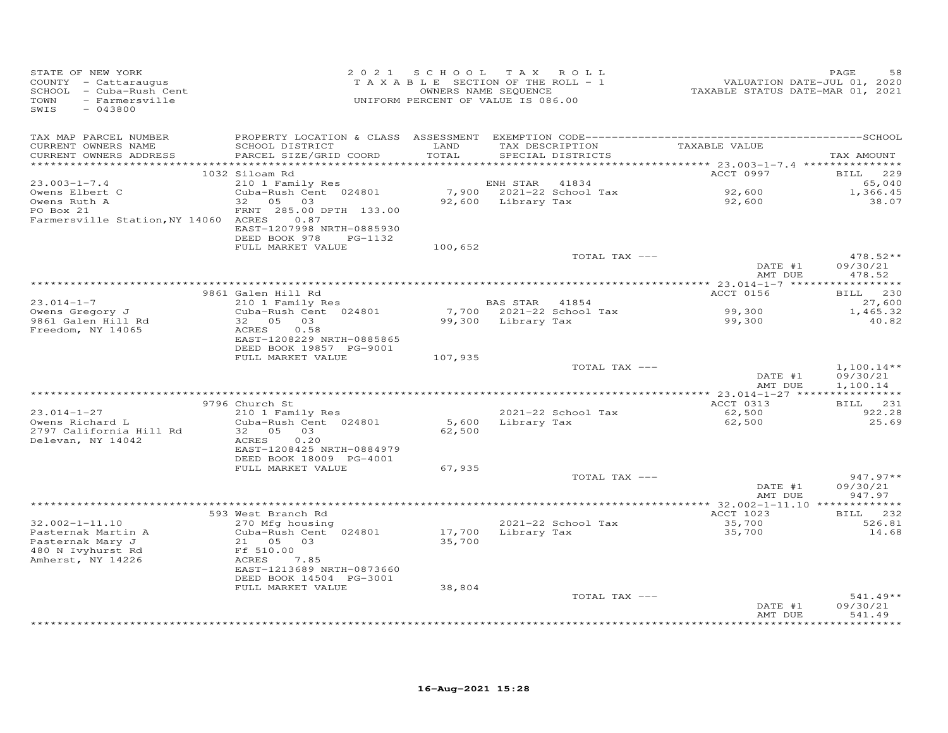| STATE OF NEW YORK<br>COUNTY - Cattaraugus<br>SCHOOL - Cuba-Rush Cent<br>- Farmersville<br>TOWN<br>SWIS<br>$-043800$ |                                                       |         | 2021 SCHOOL TAX ROLL<br>TAXABLE SECTION OF THE ROLL - 1<br>OWNERS NAME SEQUENCE<br>UNIFORM PERCENT OF VALUE IS 086.00 | VALUATION DATE-JUL 01, 2020<br>TAXABLE STATUS DATE-MAR 01, 2021 | PAGE<br>58         |
|---------------------------------------------------------------------------------------------------------------------|-------------------------------------------------------|---------|-----------------------------------------------------------------------------------------------------------------------|-----------------------------------------------------------------|--------------------|
| TAX MAP PARCEL NUMBER                                                                                               |                                                       |         |                                                                                                                       |                                                                 |                    |
| CURRENT OWNERS NAME                                                                                                 | SCHOOL DISTRICT                                       | LAND    | TAX DESCRIPTION                                                                                                       | TAXABLE VALUE                                                   |                    |
| CURRENT OWNERS ADDRESS                                                                                              | PARCEL SIZE/GRID COORD                                | TOTAL   | SPECIAL DISTRICTS                                                                                                     |                                                                 | TAX AMOUNT         |
|                                                                                                                     | 1032 Siloam Rd                                        |         |                                                                                                                       | ACCT 0997                                                       | BILL 229           |
| $23.003 - 1 - 7.4$                                                                                                  | 210 1 Family Res                                      |         | ENH STAR<br>41834                                                                                                     |                                                                 | 65,040             |
| Owens Elbert C                                                                                                      | Cuba-Rush Cent 024801                                 |         | 7,900 2021-22 School Tax                                                                                              | 92,600                                                          | 1,366.45           |
| Owens Ruth A                                                                                                        | 32 05 03                                              |         | 92,600 Library Tax                                                                                                    | 92,600                                                          | 38.07              |
| PO Box 21                                                                                                           | FRNT 285.00 DPTH 133.00                               |         |                                                                                                                       |                                                                 |                    |
| Farmersville Station, NY 14060 ACRES                                                                                | 0.87                                                  |         |                                                                                                                       |                                                                 |                    |
|                                                                                                                     | EAST-1207998 NRTH-0885930<br>DEED BOOK 978<br>PG-1132 |         |                                                                                                                       |                                                                 |                    |
|                                                                                                                     | FULL MARKET VALUE                                     | 100,652 |                                                                                                                       |                                                                 |                    |
|                                                                                                                     |                                                       |         | TOTAL TAX ---                                                                                                         |                                                                 | $478.52**$         |
|                                                                                                                     |                                                       |         |                                                                                                                       | DATE #1                                                         | 09/30/21           |
|                                                                                                                     |                                                       |         |                                                                                                                       | AMT DUE                                                         | 478.52             |
|                                                                                                                     | 9861 Galen Hill Rd                                    |         |                                                                                                                       | ACCT 0156                                                       | BILL 230           |
| $23.014 - 1 - 7$                                                                                                    | 210 1 Family Res                                      |         | BAS STAR 41854                                                                                                        |                                                                 | 27,600             |
| Owens Gregory J                                                                                                     | Cuba-Rush Cent 024801                                 |         | 7,700 2021-22 School Tax                                                                                              | 99,300                                                          | 1,465.32           |
| 9861 Galen Hill Rd                                                                                                  | 32 05 03                                              |         | 99,300 Library Tax                                                                                                    | 99,300                                                          | 40.82              |
| Freedom, NY 14065                                                                                                   | ACRES<br>0.58                                         |         |                                                                                                                       |                                                                 |                    |
|                                                                                                                     | EAST-1208229 NRTH-0885865<br>DEED BOOK 19857 PG-9001  |         |                                                                                                                       |                                                                 |                    |
|                                                                                                                     | FULL MARKET VALUE                                     | 107,935 |                                                                                                                       |                                                                 |                    |
|                                                                                                                     |                                                       |         | TOTAL TAX ---                                                                                                         |                                                                 | $1,100.14**$       |
|                                                                                                                     |                                                       |         |                                                                                                                       | DATE #1                                                         | 09/30/21           |
|                                                                                                                     |                                                       |         |                                                                                                                       | AMT DUE                                                         | 1,100.14           |
|                                                                                                                     | 9796 Church St                                        |         |                                                                                                                       | ACCT 0313                                                       | BILL 231           |
| $23.014 - 1 - 27$                                                                                                   | 210 1 Family Res                                      |         | 2021-22 School Tax                                                                                                    | 62,500                                                          | 922.28             |
| Owens Richard L                                                                                                     | Cuba-Rush Cent 024801                                 | 5,600   | Library Tax                                                                                                           | 62,500                                                          | 25.69              |
| 2797 California Hill Rd                                                                                             | 32  05  03                                            | 62,500  |                                                                                                                       |                                                                 |                    |
| Delevan, NY 14042                                                                                                   | ACRES<br>0.20                                         |         |                                                                                                                       |                                                                 |                    |
|                                                                                                                     | EAST-1208425 NRTH-0884979                             |         |                                                                                                                       |                                                                 |                    |
|                                                                                                                     | DEED BOOK 18009 PG-4001<br>FULL MARKET VALUE          | 67,935  |                                                                                                                       |                                                                 |                    |
|                                                                                                                     |                                                       |         | TOTAL TAX ---                                                                                                         |                                                                 | $947.97**$         |
|                                                                                                                     |                                                       |         |                                                                                                                       | DATE #1                                                         | 09/30/21           |
|                                                                                                                     |                                                       |         |                                                                                                                       | AMT DUE                                                         | 947.97             |
|                                                                                                                     |                                                       |         |                                                                                                                       |                                                                 |                    |
| $32.002 - 1 - 11.10$                                                                                                | 593 West Branch Rd<br>270 Mfg housing                 |         | 2021-22 School Tax                                                                                                    | ACCT 1023<br>35,700                                             | BILL 232<br>526.81 |
| Pasternak Martin A                                                                                                  | Cuba-Rush Cent 024801                                 |         | 17,700 Library Tax                                                                                                    | 35,700                                                          | 14.68              |
| Pasternak Mary J                                                                                                    | 21 05<br>03                                           | 35,700  |                                                                                                                       |                                                                 |                    |
| 480 N Ivyhurst Rd                                                                                                   | Ff 510.00                                             |         |                                                                                                                       |                                                                 |                    |
| Amherst, NY 14226                                                                                                   | ACRES<br>7.85                                         |         |                                                                                                                       |                                                                 |                    |
|                                                                                                                     | EAST-1213689 NRTH-0873660                             |         |                                                                                                                       |                                                                 |                    |
|                                                                                                                     | DEED BOOK 14504 PG-3001<br>FULL MARKET VALUE          | 38,804  |                                                                                                                       |                                                                 |                    |
|                                                                                                                     |                                                       |         | TOTAL TAX ---                                                                                                         |                                                                 | $541.49**$         |
|                                                                                                                     |                                                       |         |                                                                                                                       | DATE #1                                                         | 09/30/21           |
|                                                                                                                     |                                                       |         |                                                                                                                       | AMT DUE                                                         | 541.49             |
|                                                                                                                     |                                                       |         |                                                                                                                       |                                                                 | . <b>.</b>         |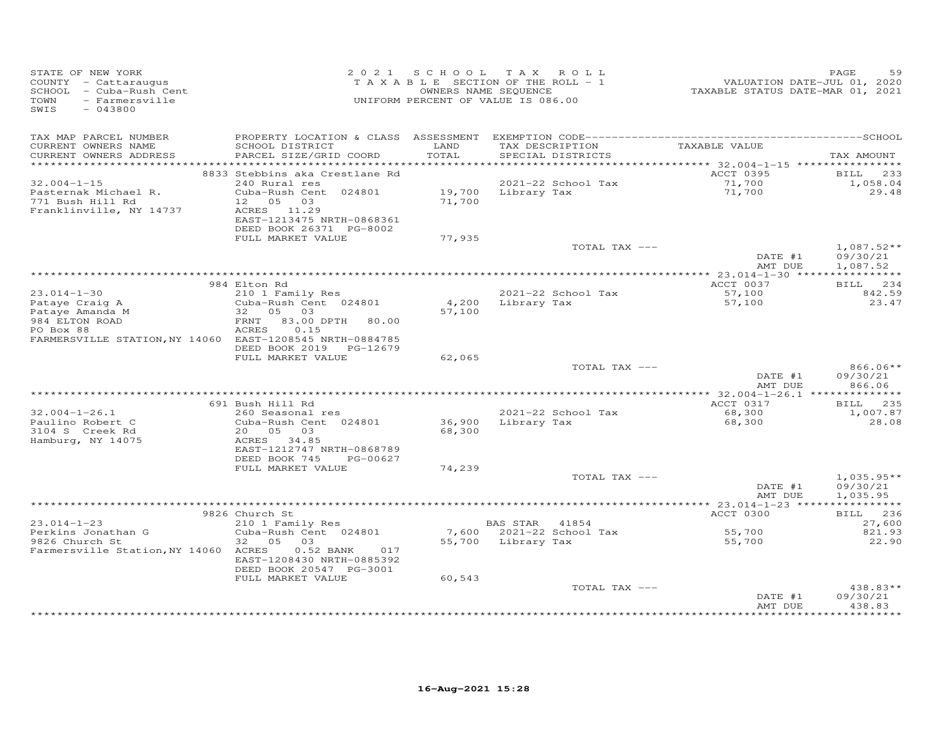| STATE OF NEW YORK<br>------- - cattaraugus<br>SCHOOL - Cuba-Rush Cent<br>TOWN - Farmersville<br>SWIS - 043800 |                                                                                          |               | 2021 SCHOOL TAX ROLL<br>TAXABLE SECTION OF THE ROLL - 1<br>OWNERS NAME SEQUENCE<br>UNIFORM PERCENT OF VALUE IS 086.00 | 25<br>VALUATION DATE-JUL 01, 2020<br>TAXABLE STATUS DATE-MAR 01, 2021 | PAGE<br>59                     |
|---------------------------------------------------------------------------------------------------------------|------------------------------------------------------------------------------------------|---------------|-----------------------------------------------------------------------------------------------------------------------|-----------------------------------------------------------------------|--------------------------------|
| TAX MAP PARCEL NUMBER<br>CURRENT OWNERS NAME<br>CURRENT OWNERS ADDRESS                                        | SCHOOL DISTRICT<br>PARCEL SIZE/GRID COORD                                                | LAND<br>TOTAL | TAX DESCRIPTION TAXABLE VALUE<br>SPECIAL DISTRICTS                                                                    |                                                                       | TAX AMOUNT                     |
|                                                                                                               | 8833 Stebbins aka Crestlane Rd                                                           |               |                                                                                                                       | ACCT 0395                                                             | 233<br><b>BILL</b>             |
| $32.004 - 1 - 15$<br>Pasternak Michael R.<br>771 Bush Hill Rd                                                 | 240 Rural res<br>Cuba-Rush Cent 024801<br>12  05  03                                     |               | 2021-22 School Tax<br>19,700     Library Tax<br>71,700                                                                | 71,700<br>71,700                                                      | 1,058.04<br>29.48              |
| Franklinville, NY 14737                                                                                       | ACRES 11.29<br>EAST-1213475 NRTH-0868361<br>DEED BOOK 26371 PG-8002<br>FULL MARKET VALUE | 77,935        |                                                                                                                       |                                                                       |                                |
|                                                                                                               |                                                                                          |               | TOTAL TAX ---                                                                                                         |                                                                       | $1,087.52**$                   |
|                                                                                                               |                                                                                          |               |                                                                                                                       | DATE #1<br>AMT DUE                                                    | 09/30/21<br>1,087.52           |
|                                                                                                               | 984 Elton Rd                                                                             |               |                                                                                                                       | ACCT 0037                                                             | BILL 234                       |
| $23.014 - 1 - 30$                                                                                             | 210 1 Family Res                                                                         |               | 2021-22 School Tax                                                                                                    | 57,100                                                                | 842.59                         |
| Pataye Craig A                                                                                                | Cuba-Rush Cent 024801                                                                    | 4,200         | Library Tax                                                                                                           | 57,100                                                                | 23.47                          |
| Pataye Amanda M<br>984 ELTON ROAD                                                                             | 32 05 03<br>FRNT 83.00 DPTH 80.00                                                        | 57,100        |                                                                                                                       |                                                                       |                                |
| PO Box 88<br>FARMERSVILLE STATION, NY 14060 EAST-1208545 NRTH-0884785                                         | ACRES<br>0.15<br>DEED BOOK 2019 PG-12679                                                 |               |                                                                                                                       |                                                                       |                                |
|                                                                                                               | FULL MARKET VALUE                                                                        | 62,065        | TOTAL TAX ---                                                                                                         |                                                                       | 866.06**                       |
|                                                                                                               |                                                                                          |               |                                                                                                                       | DATE #1<br>AMT DUE                                                    | 09/30/21<br>866.06             |
|                                                                                                               |                                                                                          |               |                                                                                                                       |                                                                       |                                |
| $32.004 - 1 - 26.1$                                                                                           | 691 Bush Hill Rd<br>260 Seasonal res                                                     |               | 2021-22 School Tax                                                                                                    | ACCT 0317<br>68,300                                                   | BILL 235<br>1,007.87           |
| Paulino Robert C<br>3104 S Creek Rd                                                                           | Cuba-Rush Cent 024801<br>20  05  03                                                      | 68,300        | 36,900 Library Tax                                                                                                    | 68,300                                                                | 28.08                          |
| Hamburg, NY 14075                                                                                             | ACRES 34.85<br>EAST-1212747 NRTH-0868789<br>DEED BOOK 745<br>PG-00627                    |               |                                                                                                                       |                                                                       |                                |
|                                                                                                               | FULL MARKET VALUE                                                                        | 74,239        |                                                                                                                       |                                                                       |                                |
|                                                                                                               |                                                                                          |               | TOTAL TAX ---                                                                                                         |                                                                       | $1,035.95**$                   |
|                                                                                                               |                                                                                          |               |                                                                                                                       | DATE #1<br>AMT DUE                                                    | 09/30/21<br>1,035.95           |
|                                                                                                               | 9826 Church St                                                                           |               |                                                                                                                       | ACCT 0300                                                             | BILL 236                       |
| $23.014 - 1 - 23$                                                                                             | 210 1 Family Res                                                                         |               | <b>BAS STAR</b> 41854                                                                                                 |                                                                       | 27,600                         |
| Perkins Jonathan G                                                                                            | Cuba-Rush Cent 024801                                                                    |               | 7,600 2021-22 School Tax                                                                                              | 55,700<br>55.700                                                      | 821.93                         |
| 9826 Church St<br>Farmersville Station, NY 14060 ACRES                                                        | 32 05 03<br>$0.52$ BANK<br>017<br>EAST-1208430 NRTH-0885392<br>DEED BOOK 20547 PG-3001   |               | 55,700 Library Tax                                                                                                    | 55,700                                                                | 22.90                          |
|                                                                                                               | FULL MARKET VALUE                                                                        | 60,543        |                                                                                                                       |                                                                       |                                |
|                                                                                                               |                                                                                          |               | TOTAL TAX ---                                                                                                         | DATE #1<br>AMT DUE                                                    | 438.83**<br>09/30/21<br>438.83 |
|                                                                                                               |                                                                                          |               |                                                                                                                       |                                                                       |                                |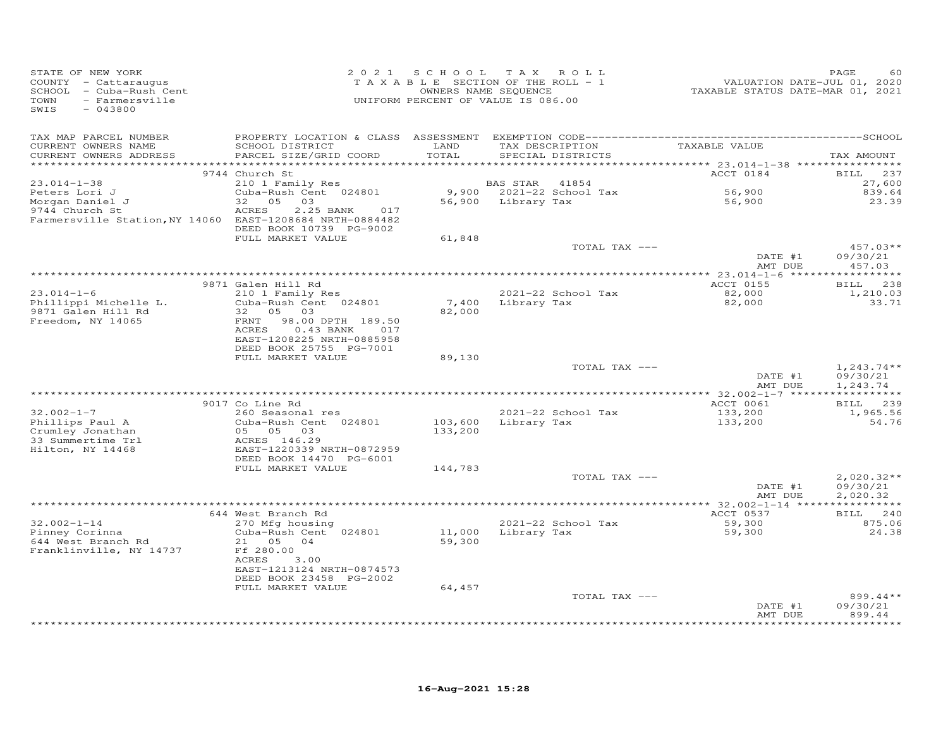| STATE OF NEW YORK<br>COUNTY - Cattaraugus<br>SCHOOL - Cuba-Rush Cent<br>TOWN<br>- Farmersville<br>SWIS<br>$-043800$ |                                                                                                                                 | 2021 SCHOOL        | T A X<br>ROLL<br>TAXABLE SECTION OF THE ROLL - 1<br>OWNERS NAME SEQUENCE<br>UNIFORM PERCENT OF VALUE IS 086.00 | VALUATION DATE-JUL 01, 2020<br>TAXABLE STATUS DATE-MAR 01, 2021 | PAGE<br>60                           |
|---------------------------------------------------------------------------------------------------------------------|---------------------------------------------------------------------------------------------------------------------------------|--------------------|----------------------------------------------------------------------------------------------------------------|-----------------------------------------------------------------|--------------------------------------|
| TAX MAP PARCEL NUMBER<br>CURRENT OWNERS NAME<br>CURRENT OWNERS ADDRESS<br>***********************                   | SCHOOL DISTRICT<br>PARCEL SIZE/GRID COORD                                                                                       | LAND<br>TOTAL      | TAX DESCRIPTION<br>SPECIAL DISTRICTS                                                                           | TAXABLE VALUE                                                   | TAX AMOUNT                           |
|                                                                                                                     | 9744 Church St                                                                                                                  |                    |                                                                                                                | ACCT 0184                                                       | 237<br><b>BILL</b>                   |
| $23.014 - 1 - 38$                                                                                                   | 210 1 Family Res                                                                                                                |                    | BAS STAR<br>41854                                                                                              |                                                                 | 27,600                               |
| Peters Lori J                                                                                                       | Cuba-Rush Cent 024801                                                                                                           |                    | 9,900 2021-22 School Tax                                                                                       | 56,900                                                          | 839.64                               |
| Morgan Daniel J<br>9744 Church St<br>Farmersville Station, NY 14060 EAST-1208684 NRTH-0884482                       | 32<br>05<br>03<br><b>ACRES</b><br>2.25 BANK<br>017<br>DEED BOOK 10739 PG-9002                                                   |                    | 56,900 Library Tax                                                                                             | 56,900                                                          | 23.39                                |
|                                                                                                                     | FULL MARKET VALUE                                                                                                               | 61,848             | TOTAL TAX ---                                                                                                  |                                                                 | $457.03**$                           |
|                                                                                                                     |                                                                                                                                 |                    |                                                                                                                | DATE #1<br>AMT DUE                                              | 09/30/21<br>457.03                   |
|                                                                                                                     |                                                                                                                                 |                    |                                                                                                                |                                                                 |                                      |
|                                                                                                                     | 9871 Galen Hill Rd                                                                                                              |                    |                                                                                                                | <b>ACCT 0155</b>                                                | BILL 238                             |
| $23.014 - 1 - 6$<br>Phillippi Michelle L.                                                                           | 210 1 Family Res<br>Cuba-Rush Cent 024801                                                                                       | 7,400              | 2021-22 School Tax<br>Library Tax                                                                              | 82,000<br>82,000                                                | 1,210.03<br>33.71                    |
| 9871 Galen Hill Rd<br>Freedom, NY 14065                                                                             | 32 05<br>03<br>98.00 DPTH 189.50<br>FRNT<br>$0.43$ BANK<br>ACRES<br>017<br>EAST-1208225 NRTH-0885958<br>DEED BOOK 25755 PG-7001 | 82,000             |                                                                                                                |                                                                 |                                      |
|                                                                                                                     | FULL MARKET VALUE                                                                                                               | 89,130             |                                                                                                                |                                                                 |                                      |
|                                                                                                                     |                                                                                                                                 |                    | TOTAL TAX ---                                                                                                  | DATE #1<br>AMT DUE                                              | $1,243.74**$<br>09/30/21<br>1,243.74 |
|                                                                                                                     | 9017 Co Line Rd                                                                                                                 |                    |                                                                                                                | ACCT 0061                                                       | BILL 239                             |
| $32.002 - 1 - 7$                                                                                                    | 260 Seasonal res                                                                                                                |                    | 2021-22 School Tax                                                                                             | 133,200                                                         | 1,965.56                             |
| Phillips Paul A<br>Crumley Jonathan<br>33 Summertime Trl                                                            | Cuba-Rush Cent 024801<br>05 05 03<br>ACRES 146.29                                                                               | 103,600<br>133,200 | Library Tax                                                                                                    | 133,200                                                         | 54.76                                |
| Hilton, NY 14468                                                                                                    | EAST-1220339 NRTH-0872959<br>DEED BOOK 14470 PG-6001                                                                            |                    |                                                                                                                |                                                                 |                                      |
|                                                                                                                     | FULL MARKET VALUE                                                                                                               | 144,783            |                                                                                                                |                                                                 |                                      |
|                                                                                                                     |                                                                                                                                 |                    | TOTAL TAX ---                                                                                                  | DATE #1<br>AMT DUE                                              | $2,020.32**$<br>09/30/21<br>2,020.32 |
|                                                                                                                     |                                                                                                                                 |                    |                                                                                                                |                                                                 |                                      |
| $32.002 - 1 - 14$                                                                                                   | 644 West Branch Rd<br>270 Mfg housing<br>Cuba-Rush Cent 024801                                                                  |                    | 2021-22 School Tax<br>Library Tax                                                                              | ACCT 0537<br>59,300<br>59,300                                   | BILL 240<br>875.06<br>24.38          |
| Pinney Corinna<br>644 West Branch Rd<br>Franklinville, NY 14737                                                     | 21 05<br>04<br>Ff 280.00<br><b>ACRES</b><br>3.00<br>EAST-1213124 NRTH-0874573<br>DEED BOOK 23458 PG-2002                        | 11,000<br>59,300   |                                                                                                                |                                                                 |                                      |
|                                                                                                                     | FULL MARKET VALUE                                                                                                               | 64,457             | TOTAL TAX ---                                                                                                  |                                                                 | $899.44**$                           |
|                                                                                                                     |                                                                                                                                 |                    |                                                                                                                | DATE #1<br>AMT DUE                                              | 09/30/21<br>899.44                   |
|                                                                                                                     |                                                                                                                                 |                    |                                                                                                                |                                                                 | *******                              |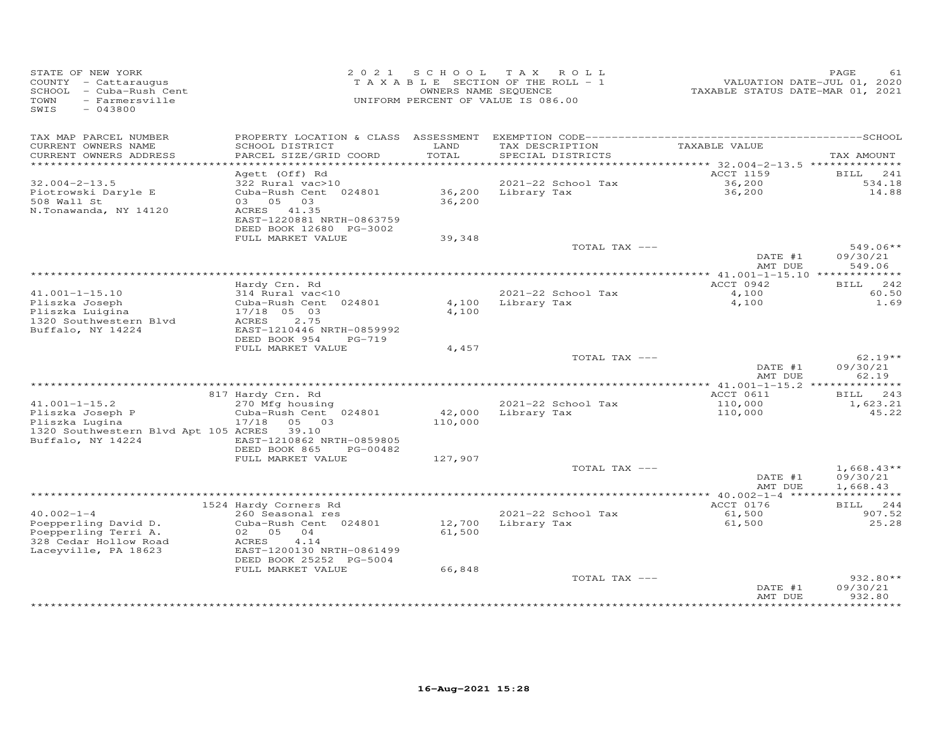| STATE OF NEW YORK<br>COUNTY - Cattaraugus<br>SCHOOL - Cuba-Rush Cent<br>TOWN<br>- Farmersville<br>SWIS<br>$-043800$ |                                                         | 2021 SCHOOL | TAX ROLL<br>TAXABLE SECTION OF THE ROLL - 1<br>OWNERS NAME SEQUENCE<br>UNIFORM PERCENT OF VALUE IS 086.00 | VALUATION DATE-JUL 01, 2020<br>TAXABLE STATUS DATE-MAR 01, 2021 | PAGE<br>61            |
|---------------------------------------------------------------------------------------------------------------------|---------------------------------------------------------|-------------|-----------------------------------------------------------------------------------------------------------|-----------------------------------------------------------------|-----------------------|
| TAX MAP PARCEL NUMBER<br>CURRENT OWNERS NAME                                                                        | PROPERTY LOCATION & CLASS ASSESSMENT<br>SCHOOL DISTRICT | LAND        | TAX DESCRIPTION                                                                                           | TAXABLE VALUE                                                   |                       |
| CURRENT OWNERS ADDRESS                                                                                              | PARCEL SIZE/GRID COORD                                  | TOTAL       | SPECIAL DISTRICTS                                                                                         |                                                                 | TAX AMOUNT            |
| ***********************                                                                                             |                                                         |             |                                                                                                           |                                                                 |                       |
| $32.004 - 2 - 13.5$                                                                                                 | Agett (Off) Rd<br>322 Rural vac>10                      |             | 2021-22 School Tax                                                                                        | ACCT 1159<br>36, 200                                            | 241<br>BILL<br>534.18 |
| Piotrowski Daryle E                                                                                                 | Cuba-Rush Cent 024801                                   | 36,200      | Library Tax                                                                                               | 36,200                                                          | 14.88                 |
| 508 Wall St                                                                                                         | 03 05 03                                                | 36,200      |                                                                                                           |                                                                 |                       |
| N.Tonawanda, NY 14120                                                                                               | ACRES 41.35                                             |             |                                                                                                           |                                                                 |                       |
|                                                                                                                     | EAST-1220881 NRTH-0863759                               |             |                                                                                                           |                                                                 |                       |
|                                                                                                                     | DEED BOOK 12680 PG-3002                                 |             |                                                                                                           |                                                                 |                       |
|                                                                                                                     | FULL MARKET VALUE                                       | 39,348      | TOTAL TAX ---                                                                                             |                                                                 | $549.06**$            |
|                                                                                                                     |                                                         |             |                                                                                                           | DATE #1                                                         | 09/30/21              |
|                                                                                                                     |                                                         |             |                                                                                                           | AMT DUE                                                         | 549.06                |
|                                                                                                                     |                                                         |             |                                                                                                           | ****************** 41.001-1-15.10 **************                |                       |
|                                                                                                                     | Hardy Crn. Rd                                           |             |                                                                                                           | ACCT 0942                                                       | 242<br><b>BILL</b>    |
| $41.001 - 1 - 15.10$                                                                                                | 314 Rural vac<10<br>Cuba-Rush Cent 024801               |             | 2021-22 School Tax<br>4,100 Library Tax                                                                   | 4,100                                                           | 60.50<br>1.69         |
| Pliszka Joseph<br>Pliszka Luigina                                                                                   | 17/18 05 03                                             | 4,100       |                                                                                                           | 4,100                                                           |                       |
| 1320 Southwestern Blvd                                                                                              | ACRES<br>2.75                                           |             |                                                                                                           |                                                                 |                       |
| Buffalo, NY 14224                                                                                                   | EAST-1210446 NRTH-0859992                               |             |                                                                                                           |                                                                 |                       |
|                                                                                                                     | DEED BOOK 954<br>PG-719                                 |             |                                                                                                           |                                                                 |                       |
|                                                                                                                     | FULL MARKET VALUE                                       | 4,457       |                                                                                                           |                                                                 |                       |
|                                                                                                                     |                                                         |             | TOTAL TAX ---                                                                                             | DATE #1                                                         | $62.19**$<br>09/30/21 |
|                                                                                                                     |                                                         |             |                                                                                                           | AMT DUE                                                         | 62.19                 |
|                                                                                                                     |                                                         |             |                                                                                                           |                                                                 |                       |
|                                                                                                                     | 817 Hardy Crn. Rd                                       |             |                                                                                                           | ACCT 0611                                                       | BILL 243              |
| $41.001 - 1 - 15.2$                                                                                                 | 270 Mfg housing                                         |             | 2021-22 School Tax                                                                                        | 110,000                                                         | 1,623.21              |
| Pliszka Joseph P                                                                                                    | Cuba-Rush Cent 024801                                   | 42,000      | Library Tax                                                                                               | 110,000                                                         | 45.22                 |
| Pliszka Lugina<br>1320 Southwestern Blvd Apt 105 ACRES                                                              | 17/18<br>05 03<br>39.10                                 | 110,000     |                                                                                                           |                                                                 |                       |
| Buffalo, NY 14224                                                                                                   | EAST-1210862 NRTH-0859805                               |             |                                                                                                           |                                                                 |                       |
|                                                                                                                     | DEED BOOK 865<br>PG-00482                               |             |                                                                                                           |                                                                 |                       |
|                                                                                                                     | FULL MARKET VALUE                                       | 127,907     |                                                                                                           |                                                                 |                       |
|                                                                                                                     |                                                         |             | TOTAL TAX ---                                                                                             |                                                                 | $1,668.43**$          |
|                                                                                                                     |                                                         |             |                                                                                                           | DATE #1<br>AMT DUE                                              | 09/30/21<br>1,668.43  |
|                                                                                                                     |                                                         |             |                                                                                                           |                                                                 | ***********           |
|                                                                                                                     | 1524 Hardy Corners Rd                                   |             |                                                                                                           | ACCT 0176                                                       | BILL 244              |
| $40.002 - 1 - 4$                                                                                                    | 260 Seasonal res                                        |             | 2021-22 School Tax                                                                                        | 61,500                                                          | 907.52                |
| Poepperling David D.                                                                                                | Cuba-Rush Cent 024801                                   | 12,700      | Library Tax                                                                                               | 61,500                                                          | 25.28                 |
| Poepperling Terri A.                                                                                                | 02 05 04                                                | 61,500      |                                                                                                           |                                                                 |                       |
| 328 Cedar Hollow Road<br>Laceyville, PA 18623                                                                       | ACRES<br>4.14<br>EAST-1200130 NRTH-0861499              |             |                                                                                                           |                                                                 |                       |
|                                                                                                                     | DEED BOOK 25252 PG-5004                                 |             |                                                                                                           |                                                                 |                       |
|                                                                                                                     | FULL MARKET VALUE                                       | 66,848      |                                                                                                           |                                                                 |                       |
|                                                                                                                     |                                                         |             | TOTAL TAX ---                                                                                             |                                                                 | 932.80**              |
|                                                                                                                     |                                                         |             |                                                                                                           | DATE #1                                                         | 09/30/21              |
|                                                                                                                     |                                                         |             |                                                                                                           | AMT DUE                                                         | 932.80                |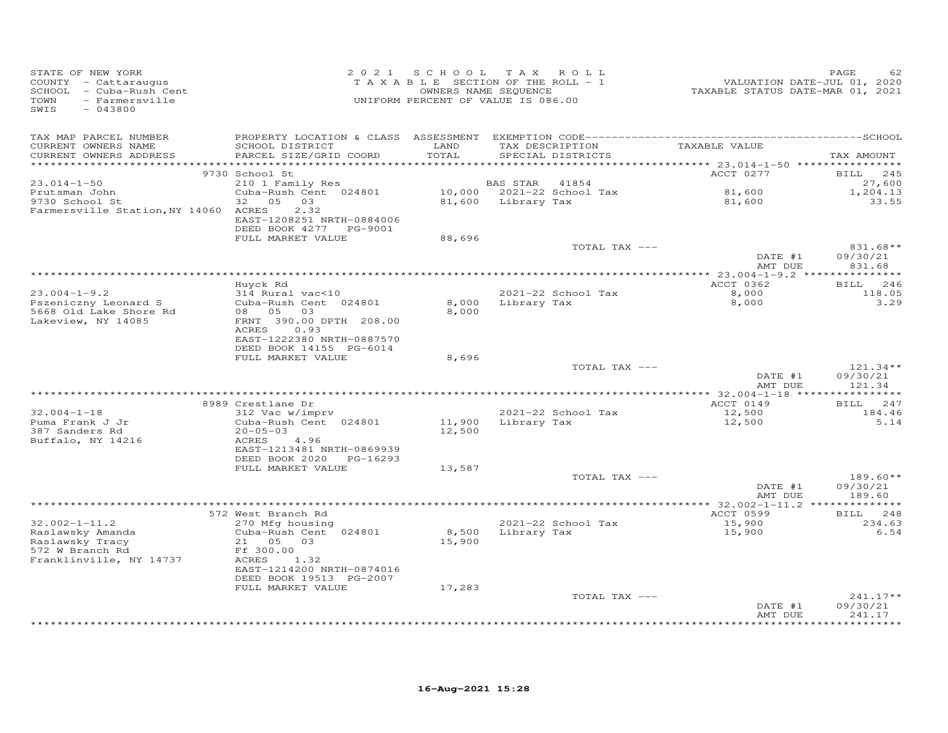| STATE OF NEW YORK<br>COUNTY - Cattaraugus<br>SCHOOL - Cuba-Rush Cent<br>TOWN<br>- Farmersville<br>SWIS<br>$-043800$ |                                                                                                                 |                | 2021 SCHOOL TAX ROLL<br>TAXABLE SECTION OF THE ROLL - 1<br>OWNERS NAME SEQUENCE<br>UNIFORM PERCENT OF VALUE IS 086.00 | VALUATION DATE-JUL 01, 2020<br>TAXABLE STATUS DATE-MAR 01, 2021 | PAGE<br>62                       |
|---------------------------------------------------------------------------------------------------------------------|-----------------------------------------------------------------------------------------------------------------|----------------|-----------------------------------------------------------------------------------------------------------------------|-----------------------------------------------------------------|----------------------------------|
| TAX MAP PARCEL NUMBER<br>CURRENT OWNERS NAME<br>CURRENT OWNERS ADDRESS                                              | SCHOOL DISTRICT<br>PARCEL SIZE/GRID COORD                                                                       | LAND<br>TOTAL  | TAX DESCRIPTION<br>SPECIAL DISTRICTS                                                                                  | TAXABLE VALUE                                                   | TAX AMOUNT                       |
| ***********************                                                                                             | 9730 School St                                                                                                  |                |                                                                                                                       | ACCT 0277                                                       | 245<br><b>BILL</b>               |
| $23.014 - 1 - 50$                                                                                                   | 210 1 Family Res                                                                                                |                | BAS STAR<br>41854                                                                                                     |                                                                 | 27,600                           |
| Prutsman John                                                                                                       | Cuba-Rush Cent 024801                                                                                           |                | 10,000 2021-22 School Tax                                                                                             | 81,600<br>81,600                                                | 1,204.13                         |
| 9730 School St                                                                                                      | 32<br>05 03                                                                                                     |                | 81,600 Library Tax                                                                                                    |                                                                 | 33.55                            |
| Farmersville Station, NY 14060 ACRES                                                                                | 2.32<br>EAST-1208251 NRTH-0884006<br>DEED BOOK 4277 PG-9001                                                     |                |                                                                                                                       |                                                                 |                                  |
|                                                                                                                     | FULL MARKET VALUE                                                                                               | 88,696         |                                                                                                                       |                                                                 |                                  |
|                                                                                                                     |                                                                                                                 |                | TOTAL TAX ---                                                                                                         | DATE #1<br>AMT DUE                                              | 831.68**<br>09/30/21<br>831.68   |
|                                                                                                                     |                                                                                                                 |                |                                                                                                                       |                                                                 |                                  |
|                                                                                                                     | Huyck Rd                                                                                                        |                |                                                                                                                       | ACCT 0362                                                       | BILL 246                         |
| $23.004 - 1 - 9.2$                                                                                                  | 314 Rural vac<10                                                                                                |                | 2021-22 School Tax                                                                                                    | 8,000                                                           | 118.05                           |
| Pszeniczny Leonard S<br>5668 Old Lake Shore Rd<br>Lakeview, NY 14085                                                | Cuba-Rush Cent 024801<br>08 05<br>03<br>FRNT 390.00 DPTH 208.00<br>ACRES<br>0.93<br>EAST-1222380 NRTH-0887570   | 8,000<br>8,000 | Library Tax                                                                                                           | 8,000                                                           | 3.29                             |
|                                                                                                                     | DEED BOOK 14155 PG-6014                                                                                         |                |                                                                                                                       |                                                                 |                                  |
|                                                                                                                     | FULL MARKET VALUE                                                                                               | 8,696          | TOTAL TAX ---                                                                                                         |                                                                 | $121.34**$                       |
|                                                                                                                     |                                                                                                                 |                |                                                                                                                       | DATE #1<br>AMT DUE                                              | 09/30/21<br>121.34               |
|                                                                                                                     |                                                                                                                 |                |                                                                                                                       |                                                                 |                                  |
| $32.004 - 1 - 18$                                                                                                   | 8989 Crestlane Dr<br>312 Vac w/imprv                                                                            |                | 2021-22 School Tax                                                                                                    | ACCT 0149<br>12,500                                             | BILL 247<br>184.46               |
| Puma Frank J Jr                                                                                                     | Cuba-Rush Cent 024801                                                                                           | 11,900         | Library Tax                                                                                                           | 12,500                                                          | 5.14                             |
| 387 Sanders Rd                                                                                                      | $20 - 05 - 03$                                                                                                  | 12,500         |                                                                                                                       |                                                                 |                                  |
| Buffalo, NY 14216                                                                                                   | 4.96<br>ACRES<br>EAST-1213481 NRTH-0869939<br>DEED BOOK 2020 PG-16293                                           |                |                                                                                                                       |                                                                 |                                  |
|                                                                                                                     | FULL MARKET VALUE                                                                                               | 13,587         |                                                                                                                       |                                                                 |                                  |
|                                                                                                                     |                                                                                                                 |                | TOTAL TAX ---                                                                                                         | DATE #1<br>AMT DUE                                              | 189.60**<br>09/30/21<br>189.60   |
|                                                                                                                     |                                                                                                                 |                |                                                                                                                       |                                                                 |                                  |
|                                                                                                                     | 572 West Branch Rd                                                                                              |                |                                                                                                                       | ACCT 0599                                                       | BILL 248                         |
| $32.002 - 1 - 11.2$<br>Raslawsky Amanda<br>Raslawsky Tracy<br>572 W Branch Rd<br>Franklinville, NY 14737            | 270 Mfg housing<br>Cuba-Rush Cent 024801<br>21 05 03<br>Ff 300.00<br>ACRES<br>1.32<br>EAST-1214200 NRTH-0874016 | 15,900         | 2021-22 School Tax<br>8,500 Library Tax                                                                               | $15,900$<br>$15,900$<br>15,900                                  | 234.63<br>6.54                   |
|                                                                                                                     | DEED BOOK 19513 PG-2007                                                                                         |                |                                                                                                                       |                                                                 |                                  |
|                                                                                                                     | FULL MARKET VALUE                                                                                               | 17,283         |                                                                                                                       |                                                                 |                                  |
|                                                                                                                     |                                                                                                                 |                | TOTAL TAX ---                                                                                                         | DATE #1<br>AMT DUE                                              | $241.17**$<br>09/30/21<br>241.17 |
|                                                                                                                     |                                                                                                                 |                |                                                                                                                       |                                                                 | *******                          |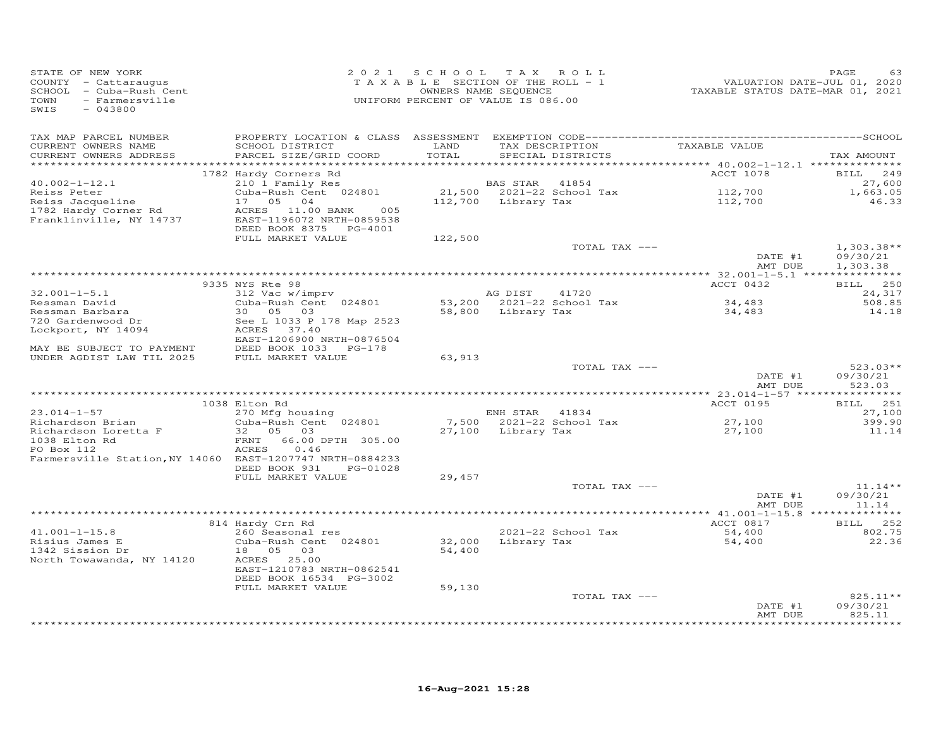| TAX MAP PARCEL NUMBER<br>TAXABLE VALUE<br>CURRENT OWNERS NAME<br>SCHOOL DISTRICT<br>LAND<br>TAX DESCRIPTION<br>TOTAL<br>CURRENT OWNERS ADDRESS<br>PARCEL SIZE/GRID COORD<br>SPECIAL DISTRICTS<br>********** 40.002-1-12.1 ***************<br>********<br>1782 Hardy Corners Rd<br>ACCT 1078<br>210 1 Family Res<br>$40.002 - 1 - 12.1$<br>BAS STAR<br>41854<br>Cuba-Rush Cent 024801<br>21,500 2021-22 School Tax<br>112,700<br>Reiss Peter<br>Reiss Jacqueline<br>17<br>05<br>04<br>112,700 Library Tax<br>112,700<br>1782 Hardy Corner Rd<br>ACRES 11.00 BANK<br>005<br>Franklinville, NY 14737<br>EAST-1196072 NRTH-0859538<br>DEED BOOK 8375 PG-4001<br>FULL MARKET VALUE<br>122,500<br>TOTAL TAX ---<br>DATE #1<br>AMT DUE<br>9335 NYS Rte 98<br>ACCT 0432<br>$32.001 - 1 - 5.1$<br>312 Vac w/imprv<br>AG DIST<br>41720<br>53,200 2021-22 School Tax<br>Ressman David<br>Cuba-Rush Cent 024801<br>34,483<br>Ressman Barbara<br>30  05  03<br>58,800 Library Tax<br>34,483<br>720 Gardenwood Dr<br>See L 1033 P 178 Map 2523<br>Lockport, NY 14094<br>ACRES 37.40<br>EAST-1206900 NRTH-0876504<br>DEED BOOK 1033 PG-178<br>MAY BE SUBJECT TO PAYMENT<br>UNDER AGDIST LAW TIL 2025<br>FULL MARKET VALUE<br>63,913<br>TOTAL TAX --- | PAGE<br>63<br>VALUATION DATE-JUL 01, 2020<br>TAXABLE STATUS DATE-MAR 01, 2021 |
|---------------------------------------------------------------------------------------------------------------------------------------------------------------------------------------------------------------------------------------------------------------------------------------------------------------------------------------------------------------------------------------------------------------------------------------------------------------------------------------------------------------------------------------------------------------------------------------------------------------------------------------------------------------------------------------------------------------------------------------------------------------------------------------------------------------------------------------------------------------------------------------------------------------------------------------------------------------------------------------------------------------------------------------------------------------------------------------------------------------------------------------------------------------------------------------------------------------------------------------|-------------------------------------------------------------------------------|
|                                                                                                                                                                                                                                                                                                                                                                                                                                                                                                                                                                                                                                                                                                                                                                                                                                                                                                                                                                                                                                                                                                                                                                                                                                       | TAX AMOUNT                                                                    |
|                                                                                                                                                                                                                                                                                                                                                                                                                                                                                                                                                                                                                                                                                                                                                                                                                                                                                                                                                                                                                                                                                                                                                                                                                                       | <b>BILL</b><br>249                                                            |
|                                                                                                                                                                                                                                                                                                                                                                                                                                                                                                                                                                                                                                                                                                                                                                                                                                                                                                                                                                                                                                                                                                                                                                                                                                       | 27,600<br>1,663.05<br>46.33                                                   |
|                                                                                                                                                                                                                                                                                                                                                                                                                                                                                                                                                                                                                                                                                                                                                                                                                                                                                                                                                                                                                                                                                                                                                                                                                                       |                                                                               |
|                                                                                                                                                                                                                                                                                                                                                                                                                                                                                                                                                                                                                                                                                                                                                                                                                                                                                                                                                                                                                                                                                                                                                                                                                                       | $1,303.38**$<br>09/30/21<br>1,303.38                                          |
|                                                                                                                                                                                                                                                                                                                                                                                                                                                                                                                                                                                                                                                                                                                                                                                                                                                                                                                                                                                                                                                                                                                                                                                                                                       |                                                                               |
|                                                                                                                                                                                                                                                                                                                                                                                                                                                                                                                                                                                                                                                                                                                                                                                                                                                                                                                                                                                                                                                                                                                                                                                                                                       | BILL 250                                                                      |
|                                                                                                                                                                                                                                                                                                                                                                                                                                                                                                                                                                                                                                                                                                                                                                                                                                                                                                                                                                                                                                                                                                                                                                                                                                       | 24,317<br>508.85<br>14.18                                                     |
|                                                                                                                                                                                                                                                                                                                                                                                                                                                                                                                                                                                                                                                                                                                                                                                                                                                                                                                                                                                                                                                                                                                                                                                                                                       |                                                                               |
|                                                                                                                                                                                                                                                                                                                                                                                                                                                                                                                                                                                                                                                                                                                                                                                                                                                                                                                                                                                                                                                                                                                                                                                                                                       |                                                                               |
| DATE #1<br>AMT DUE                                                                                                                                                                                                                                                                                                                                                                                                                                                                                                                                                                                                                                                                                                                                                                                                                                                                                                                                                                                                                                                                                                                                                                                                                    | $523.03**$<br>09/30/21<br>523.03                                              |
|                                                                                                                                                                                                                                                                                                                                                                                                                                                                                                                                                                                                                                                                                                                                                                                                                                                                                                                                                                                                                                                                                                                                                                                                                                       |                                                                               |
| 1038 Elton Rd<br>ACCT 0195<br>$23.014 - 1 - 57$<br>270 Mfg housing<br>ENH STAR<br>41834                                                                                                                                                                                                                                                                                                                                                                                                                                                                                                                                                                                                                                                                                                                                                                                                                                                                                                                                                                                                                                                                                                                                               | 251<br><b>BILL</b><br>27,100                                                  |
| Cuba-Rush Cent 024801<br>7,500 2021-22 School Tax<br>Richardson Brian<br>27,100<br>32 05 03<br>Richardson Loretta F<br>27,100<br>Library Tax<br>27,100                                                                                                                                                                                                                                                                                                                                                                                                                                                                                                                                                                                                                                                                                                                                                                                                                                                                                                                                                                                                                                                                                | 399.90<br>11.14                                                               |
| 1038 Elton Rd<br>66.00 DPTH 305.00<br>FRNT<br>PO Box 112<br>ACRES<br>0.46<br>Farmersville Station, NY 14060 EAST-1207747 NRTH-0884233<br>DEED BOOK 931<br>PG-01028                                                                                                                                                                                                                                                                                                                                                                                                                                                                                                                                                                                                                                                                                                                                                                                                                                                                                                                                                                                                                                                                    |                                                                               |
| FULL MARKET VALUE<br>29,457                                                                                                                                                                                                                                                                                                                                                                                                                                                                                                                                                                                                                                                                                                                                                                                                                                                                                                                                                                                                                                                                                                                                                                                                           |                                                                               |
| TOTAL TAX ---<br>DATE #1<br>AMT DUE                                                                                                                                                                                                                                                                                                                                                                                                                                                                                                                                                                                                                                                                                                                                                                                                                                                                                                                                                                                                                                                                                                                                                                                                   | $11.14**$<br>09/30/21<br>11.14                                                |
|                                                                                                                                                                                                                                                                                                                                                                                                                                                                                                                                                                                                                                                                                                                                                                                                                                                                                                                                                                                                                                                                                                                                                                                                                                       |                                                                               |
| ACCT 0817<br>814 Hardy Crn Rd                                                                                                                                                                                                                                                                                                                                                                                                                                                                                                                                                                                                                                                                                                                                                                                                                                                                                                                                                                                                                                                                                                                                                                                                         | BILL 252                                                                      |
| $41.001 - 1 - 15.8$<br>2021-22 School Tax<br>260 Seasonal res<br>54,400<br>Risius James E<br>Cuba-Rush Cent 024801<br>32,000<br>Library Tax<br>54,400<br>1342 Sission Dr<br>18  05  03<br>54,400<br>North Towawanda, NY 14120<br>ACRES 25.00<br>EAST-1210783 NRTH-0862541                                                                                                                                                                                                                                                                                                                                                                                                                                                                                                                                                                                                                                                                                                                                                                                                                                                                                                                                                             | 802.75<br>22.36                                                               |
| DEED BOOK 16534 PG-3002<br>59,130<br>FULL MARKET VALUE                                                                                                                                                                                                                                                                                                                                                                                                                                                                                                                                                                                                                                                                                                                                                                                                                                                                                                                                                                                                                                                                                                                                                                                |                                                                               |
| TOTAL TAX ---<br>DATE #1<br>AMT DUE                                                                                                                                                                                                                                                                                                                                                                                                                                                                                                                                                                                                                                                                                                                                                                                                                                                                                                                                                                                                                                                                                                                                                                                                   | 825.11**<br>09/30/21<br>825.11<br>*********                                   |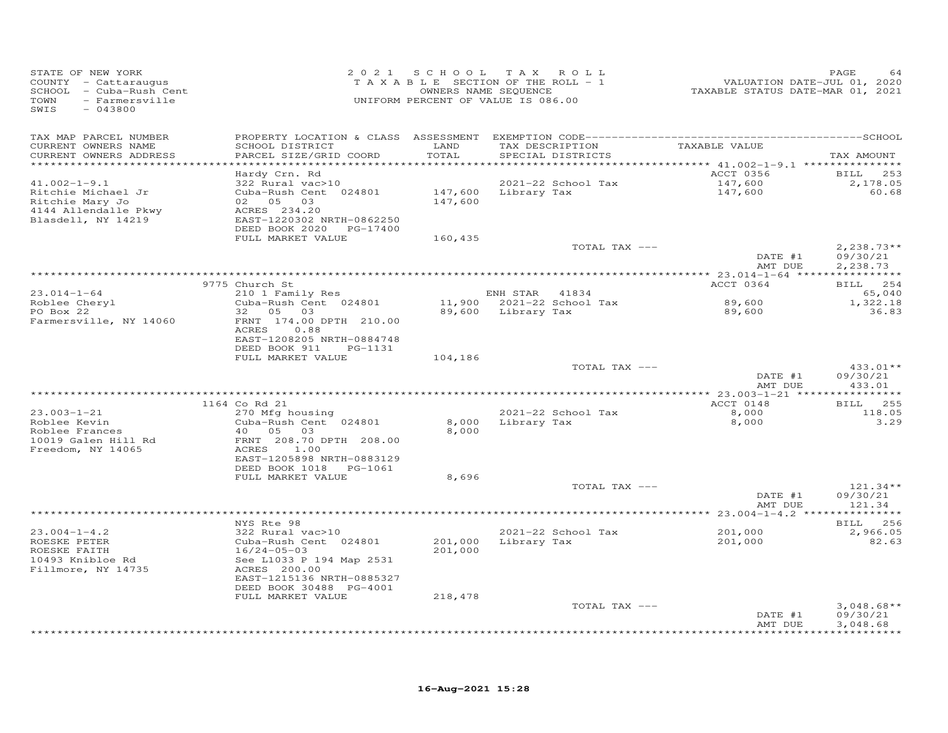| STATE OF NEW YORK<br>COUNTY - Cattaraugus<br>SCHOOL - Cuba-Rush Cent<br>TOWN<br>- Farmersville<br>SWIS<br>$-043800$ |                                                      |                  | 2021 SCHOOL TAX ROLL<br>TAXABLE SECTION OF THE ROLL - 1<br>OWNERS NAME SEQUENCE<br>UNIFORM PERCENT OF VALUE IS 086.00 | VALUATION DATE-JUL 01, 2020<br>TAXABLE STATUS DATE-MAR 01, 2021 | PAGE<br>64              |
|---------------------------------------------------------------------------------------------------------------------|------------------------------------------------------|------------------|-----------------------------------------------------------------------------------------------------------------------|-----------------------------------------------------------------|-------------------------|
| TAX MAP PARCEL NUMBER                                                                                               |                                                      |                  |                                                                                                                       |                                                                 |                         |
| CURRENT OWNERS NAME<br>CURRENT OWNERS ADDRESS                                                                       | SCHOOL DISTRICT<br>PARCEL SIZE/GRID COORD            | LAND<br>TOTAL    | TAX DESCRIPTION<br>SPECIAL DISTRICTS                                                                                  | TAXABLE VALUE                                                   | TAX AMOUNT              |
| ***********************                                                                                             |                                                      |                  |                                                                                                                       |                                                                 |                         |
| $41.002 - 1 - 9.1$                                                                                                  | Hardy Crn. Rd<br>322 Rural vac>10                    |                  | 2021-22 School Tax                                                                                                    | ACCT 0356<br>147,600                                            | 253<br>BILL<br>2,178.05 |
| Ritchie Michael Jr                                                                                                  | Cuba-Rush Cent 024801                                |                  | 147,600 Library Tax                                                                                                   | 147,600                                                         | 60.68                   |
| Ritchie Mary Jo                                                                                                     | 02 05 03                                             | 147,600          |                                                                                                                       |                                                                 |                         |
| 4144 Allendalle Pkwy                                                                                                | ACRES 234.20                                         |                  |                                                                                                                       |                                                                 |                         |
| Blasdell, NY 14219                                                                                                  | EAST-1220302 NRTH-0862250                            |                  |                                                                                                                       |                                                                 |                         |
|                                                                                                                     | DEED BOOK 2020 PG-17400                              |                  |                                                                                                                       |                                                                 |                         |
|                                                                                                                     | FULL MARKET VALUE                                    | 160,435          | TOTAL TAX ---                                                                                                         |                                                                 | $2,238.73**$            |
|                                                                                                                     |                                                      |                  |                                                                                                                       | DATE #1                                                         | 09/30/21                |
|                                                                                                                     |                                                      |                  |                                                                                                                       | AMT DUE                                                         | 2,238.73                |
|                                                                                                                     |                                                      |                  |                                                                                                                       |                                                                 |                         |
|                                                                                                                     | 9775 Church St                                       |                  |                                                                                                                       | ACCT 0364                                                       | BILL 254                |
| $23.014 - 1 - 64$                                                                                                   | 210 1 Family Res                                     |                  | ENH STAR 41834                                                                                                        |                                                                 | 65,040                  |
| Roblee Cheryl<br>PO Box 22                                                                                          | Cuba-Rush Cent 024801<br>05 03<br>32                 | 11,900<br>89,600 | 2021-22 School Tax<br>Library Tax                                                                                     | 89,600                                                          | 1,322.18<br>36.83       |
| Farmersville, NY 14060                                                                                              | FRNT 174.00 DPTH 210.00                              |                  |                                                                                                                       | 89,600                                                          |                         |
|                                                                                                                     | ACRES<br>0.88                                        |                  |                                                                                                                       |                                                                 |                         |
|                                                                                                                     | EAST-1208205 NRTH-0884748                            |                  |                                                                                                                       |                                                                 |                         |
|                                                                                                                     | DEED BOOK 911<br>PG-1131                             |                  |                                                                                                                       |                                                                 |                         |
|                                                                                                                     | FULL MARKET VALUE                                    | 104,186          |                                                                                                                       |                                                                 |                         |
|                                                                                                                     |                                                      |                  | TOTAL TAX ---                                                                                                         | DATE #1                                                         | $433.01**$<br>09/30/21  |
|                                                                                                                     |                                                      |                  |                                                                                                                       | AMT DUE                                                         | 433.01                  |
|                                                                                                                     |                                                      |                  | *************************************                                                                                 | *********** 23.003-1-21 ****                                    | **********              |
|                                                                                                                     | 1164 Co Rd 21                                        |                  |                                                                                                                       | ACCT 0148                                                       | <b>BILL</b><br>255      |
| $23.003 - 1 - 21$                                                                                                   | 270 Mfg housing                                      |                  | 2021-22 School Tax                                                                                                    | 8,000                                                           | 118.05                  |
| Roblee Kevin                                                                                                        | Cuba-Rush Cent 024801                                | 8,000            | Library Tax                                                                                                           | 8,000                                                           | 3.29                    |
| Roblee Frances                                                                                                      | 40<br>05<br>03                                       | 8,000            |                                                                                                                       |                                                                 |                         |
| 10019 Galen Hill Rd<br>Freedom, NY 14065                                                                            | FRNT 208.70 DPTH 208.00<br>ACRES<br>1.00             |                  |                                                                                                                       |                                                                 |                         |
|                                                                                                                     | EAST-1205898 NRTH-0883129                            |                  |                                                                                                                       |                                                                 |                         |
|                                                                                                                     | DEED BOOK 1018 PG-1061                               |                  |                                                                                                                       |                                                                 |                         |
|                                                                                                                     | FULL MARKET VALUE                                    | 8,696            |                                                                                                                       |                                                                 |                         |
|                                                                                                                     |                                                      |                  | TOTAL TAX ---                                                                                                         |                                                                 | $121.34**$              |
|                                                                                                                     |                                                      |                  |                                                                                                                       | DATE #1                                                         | 09/30/21                |
|                                                                                                                     |                                                      |                  |                                                                                                                       | AMT DUE                                                         | 121.34                  |
|                                                                                                                     | NYS Rte 98                                           |                  |                                                                                                                       |                                                                 | 256<br><b>BILL</b>      |
| $23.004 - 1 - 4.2$                                                                                                  | 322 Rural vac>10                                     |                  | 2021-22 School Tax                                                                                                    | 201,000                                                         | 2,966.05                |
| ROESKE PETER                                                                                                        | Cuba-Rush Cent 024801                                | 201,000          | Library Tax                                                                                                           | 201,000                                                         | 82.63                   |
| ROESKE FAITH                                                                                                        | $16/24 - 05 - 03$                                    | 201,000          |                                                                                                                       |                                                                 |                         |
| 10493 Knibloe Rd                                                                                                    | See L1033 P 194 Map 2531                             |                  |                                                                                                                       |                                                                 |                         |
| Fillmore, NY 14735                                                                                                  | ACRES 200.00                                         |                  |                                                                                                                       |                                                                 |                         |
|                                                                                                                     | EAST-1215136 NRTH-0885327<br>DEED BOOK 30488 PG-4001 |                  |                                                                                                                       |                                                                 |                         |
|                                                                                                                     | FULL MARKET VALUE                                    | 218,478          |                                                                                                                       |                                                                 |                         |
|                                                                                                                     |                                                      |                  | TOTAL TAX ---                                                                                                         |                                                                 | $3,048.68**$            |
|                                                                                                                     |                                                      |                  |                                                                                                                       | DATE #1                                                         | 09/30/21                |
|                                                                                                                     |                                                      |                  |                                                                                                                       | AMT DUE                                                         | 3,048.68                |
|                                                                                                                     |                                                      |                  |                                                                                                                       |                                                                 | * * * * * * * * * *     |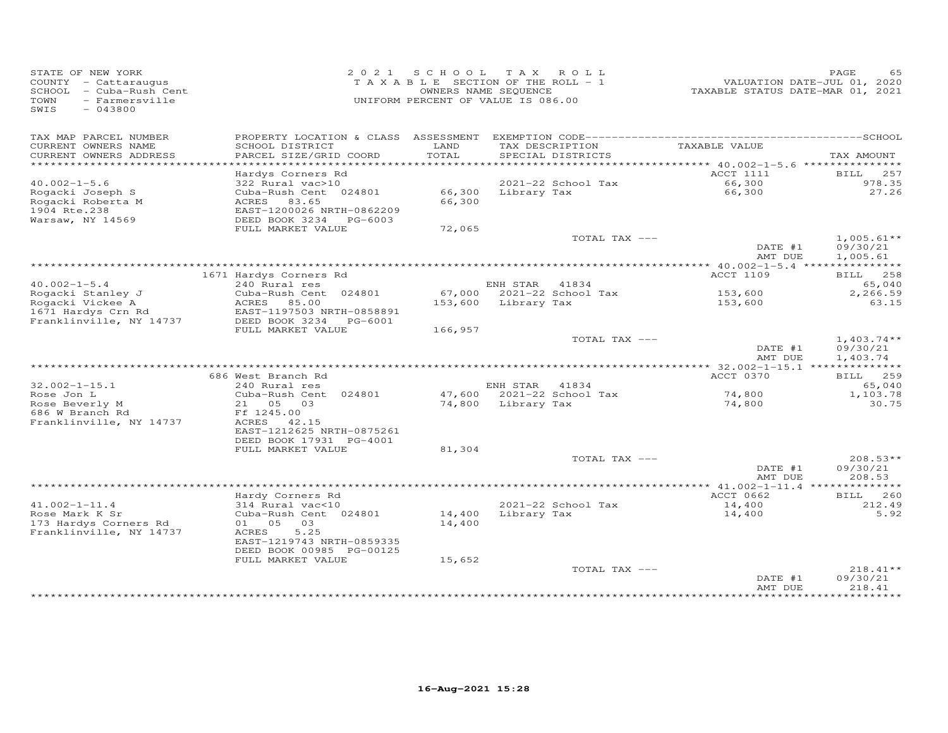| STATE OF NEW YORK<br>COUNTY - Cattaraugus<br>SCHOOL - Cuba-Rush Cent<br>TOWN<br>- Farmersville<br>SWIS<br>$-043800$ |                                                                   | 2021 SCHOOL<br>TAXABLE SECTION OF THE ROLL - 1<br>OWNERS NAME SEQUENCE<br>UNIFORM PERCENT OF VALUE IS 086.00 |                    | TAX ROLL                             | TAXABLE STATUS DATE-MAR 01, 2021        | PAGE<br>65<br>VALUATION DATE-JUL 01, 2020 |
|---------------------------------------------------------------------------------------------------------------------|-------------------------------------------------------------------|--------------------------------------------------------------------------------------------------------------|--------------------|--------------------------------------|-----------------------------------------|-------------------------------------------|
| TAX MAP PARCEL NUMBER<br>CURRENT OWNERS NAME<br>CURRENT OWNERS ADDRESS                                              | SCHOOL DISTRICT<br>PARCEL SIZE/GRID COORD                         | LAND<br>TOTAL                                                                                                |                    | TAX DESCRIPTION<br>SPECIAL DISTRICTS | TAXABLE VALUE                           | TAX AMOUNT                                |
|                                                                                                                     |                                                                   |                                                                                                              |                    |                                      | ********* 40.002-1-5.6 **************** |                                           |
|                                                                                                                     | Hardys Corners Rd                                                 |                                                                                                              |                    |                                      | ACCT 1111                               | 257<br>BILL                               |
| $40.002 - 1 - 5.6$                                                                                                  | 322 Rural vac>10                                                  |                                                                                                              |                    | 2021-22 School Tax                   | 66,300                                  | 978.35                                    |
| Rogacki Joseph S<br>Rogacki Roberta M<br>1904 Rte.238                                                               | Cuba-Rush Cent 024801<br>ACRES 83.65<br>EAST-1200026 NRTH-0862209 | 66,300<br>66,300                                                                                             | Library Tax        |                                      | 66,300                                  | 27.26                                     |
| Warsaw, NY 14569                                                                                                    | DEED BOOK 3234<br>PG-6003                                         |                                                                                                              |                    |                                      |                                         |                                           |
|                                                                                                                     | FULL MARKET VALUE                                                 | 72,065                                                                                                       |                    |                                      |                                         |                                           |
|                                                                                                                     |                                                                   |                                                                                                              |                    | TOTAL TAX ---                        | DATE #1                                 | $1,005.61**$<br>09/30/21                  |
|                                                                                                                     |                                                                   |                                                                                                              |                    |                                      | AMT DUE                                 | 1,005.61                                  |
|                                                                                                                     | 1671 Hardys Corners Rd                                            |                                                                                                              |                    |                                      | <b>ACCT 1109</b>                        | BILL 258                                  |
| $40.002 - 1 - 5.4$                                                                                                  | 240 Rural res                                                     |                                                                                                              | ENH STAR 41834     |                                      |                                         | 65,040                                    |
| Rogacki Stanley J                                                                                                   | Cuba-Rush Cent 024801                                             |                                                                                                              |                    | 67,000 2021-22 School Tax            | 153,600                                 | 2,266.59                                  |
| Rogacki Vickee A                                                                                                    | ACRES<br>85.00                                                    | 153,600                                                                                                      | Library Tax        |                                      | 153,600                                 | 63.15                                     |
| 1671 Hardys Crn Rd                                                                                                  | EAST-1197503 NRTH-0858891                                         |                                                                                                              |                    |                                      |                                         |                                           |
| Franklinville, NY 14737                                                                                             | DEED BOOK 3234 PG-6001<br>FULL MARKET VALUE                       | 166,957                                                                                                      |                    |                                      |                                         |                                           |
|                                                                                                                     |                                                                   |                                                                                                              |                    | TOTAL TAX ---                        |                                         | $1,403.74**$                              |
|                                                                                                                     |                                                                   |                                                                                                              |                    |                                      | DATE #1<br>AMT DUE                      | 09/30/21<br>1,403.74                      |
|                                                                                                                     |                                                                   |                                                                                                              |                    |                                      |                                         |                                           |
| $32.002 - 1 - 15.1$                                                                                                 | 686 West Branch Rd<br>240 Rural res                               |                                                                                                              | ENH STAR 41834     |                                      | ACCT 0370                               | BILL 259<br>65,040                        |
| Rose Jon L                                                                                                          | Cuba-Rush Cent 024801                                             |                                                                                                              |                    | 47,600 2021-22 School Tax            | 74,800                                  | 1,103.78                                  |
| Rose Beverly M<br>686 W Branch Rd                                                                                   | 21  05  03<br>Ff 1245.00                                          |                                                                                                              | 74,800 Library Tax |                                      | 74,800                                  | 30.75                                     |
| Franklinville, NY 14737                                                                                             | ACRES 42.15<br>EAST-1212625 NRTH-0875261                          |                                                                                                              |                    |                                      |                                         |                                           |
|                                                                                                                     | DEED BOOK 17931 PG-4001<br>FULL MARKET VALUE                      | 81,304                                                                                                       |                    |                                      |                                         |                                           |
|                                                                                                                     |                                                                   |                                                                                                              |                    | TOTAL TAX ---                        |                                         | $208.53**$                                |
|                                                                                                                     |                                                                   |                                                                                                              |                    |                                      | DATE #1<br>AMT DUE                      | 09/30/21<br>208.53                        |
|                                                                                                                     |                                                                   |                                                                                                              |                    |                                      |                                         |                                           |
| $41.002 - 1 - 11.4$                                                                                                 | Hardy Corners Rd                                                  |                                                                                                              |                    |                                      | ACCT 0662                               | <b>BILL</b> 260                           |
| Rose Mark K Sr                                                                                                      | 314 Rural vac<10<br>Cuba-Rush Cent 024801                         | 14,400                                                                                                       | Library Tax        | 2021-22 School Tax                   | 14,400<br>14,400                        | 212.49<br>5.92                            |
| 173 Hardys Corners Rd                                                                                               | 01 05 03                                                          | 14,400                                                                                                       |                    |                                      |                                         |                                           |
| Franklinville, NY 14737                                                                                             | 5.25<br>ACRES                                                     |                                                                                                              |                    |                                      |                                         |                                           |
|                                                                                                                     | EAST-1219743 NRTH-0859335                                         |                                                                                                              |                    |                                      |                                         |                                           |
|                                                                                                                     | DEED BOOK 00985 PG-00125                                          |                                                                                                              |                    |                                      |                                         |                                           |
|                                                                                                                     | FULL MARKET VALUE                                                 | 15,652                                                                                                       |                    | TOTAL TAX ---                        |                                         | $218.41**$                                |
|                                                                                                                     |                                                                   |                                                                                                              |                    |                                      | DATE #1<br>AMT DUE                      | 09/30/21<br>218.41                        |
|                                                                                                                     |                                                                   |                                                                                                              |                    |                                      |                                         |                                           |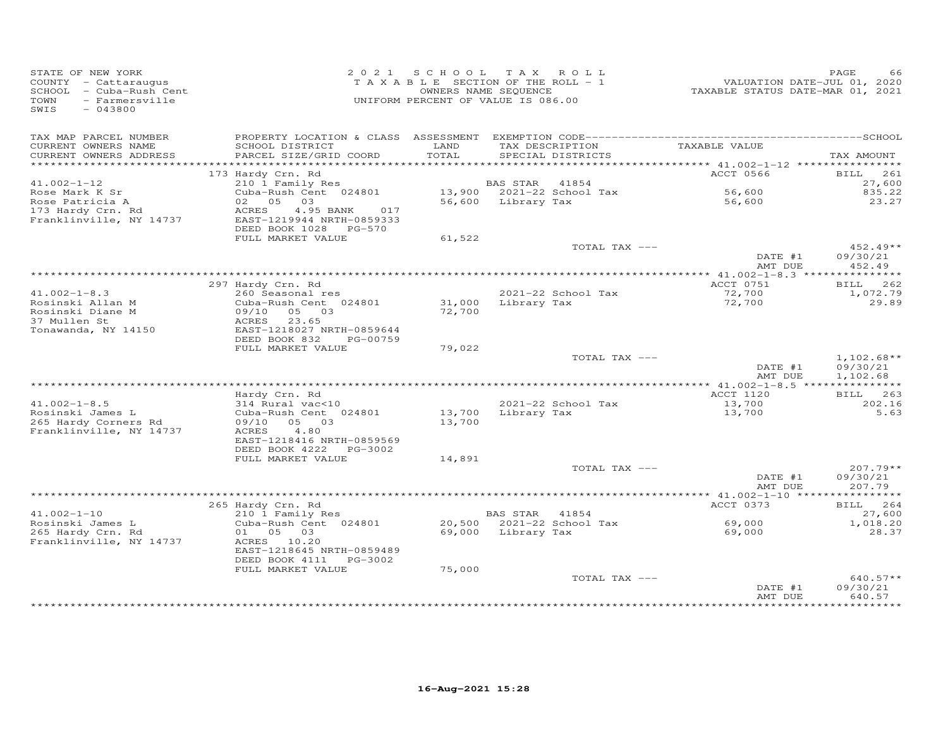| STATE OF NEW YORK<br>COUNTY - Cattaraugus<br>SCHOOL - Cuba-Rush Cent<br>TOWN<br>- Farmersville<br>SWIS<br>$-043800$ |                                                                                 | 2021 SCHOOL | TAX ROLL<br>TAXABLE SECTION OF THE ROLL - 1<br>OWNERS NAME SEQUENCE<br>UNIFORM PERCENT OF VALUE IS 086.00 | VALUATION DATE-JUL 01, 2020<br>TAXABLE STATUS DATE-MAR 01, 2021 | PAGE<br>66           |
|---------------------------------------------------------------------------------------------------------------------|---------------------------------------------------------------------------------|-------------|-----------------------------------------------------------------------------------------------------------|-----------------------------------------------------------------|----------------------|
| TAX MAP PARCEL NUMBER                                                                                               |                                                                                 | LAND        |                                                                                                           | TAXABLE VALUE                                                   |                      |
| CURRENT OWNERS NAME<br>CURRENT OWNERS ADDRESS                                                                       | SCHOOL DISTRICT<br>PARCEL SIZE/GRID COORD                                       | TOTAL       | TAX DESCRIPTION<br>SPECIAL DISTRICTS                                                                      |                                                                 | TAX AMOUNT           |
| *************************                                                                                           |                                                                                 |             |                                                                                                           |                                                                 |                      |
|                                                                                                                     | 173 Hardy Crn. Rd                                                               |             |                                                                                                           | ACCT 0566                                                       | 261<br>BILL          |
| $41.002 - 1 - 12$                                                                                                   | 210 1 Family Res                                                                |             | BAS STAR<br>41854                                                                                         |                                                                 | 27,600               |
| Rose Mark K Sr                                                                                                      | Cuba-Rush Cent 024801                                                           |             | 13,900 2021-22 School Tax                                                                                 | 56,600                                                          | 835.22               |
| Rose Patricia A                                                                                                     | 02 05<br>03                                                                     | 56,600      | Library Tax                                                                                               | 56,600                                                          | 23.27                |
| 173 Hardy Crn. Rd<br>Franklinville, NY 14737                                                                        | 4.95 BANK<br>ACRES<br>017<br>EAST-1219944 NRTH-0859333<br>DEED BOOK 1028 PG-570 |             |                                                                                                           |                                                                 |                      |
|                                                                                                                     | FULL MARKET VALUE                                                               | 61,522      |                                                                                                           |                                                                 |                      |
|                                                                                                                     |                                                                                 |             | TOTAL TAX ---                                                                                             |                                                                 | 452.49**             |
|                                                                                                                     |                                                                                 |             |                                                                                                           | DATE #1<br>AMT DUE                                              | 09/30/21<br>452.49   |
|                                                                                                                     |                                                                                 |             |                                                                                                           | ****************** $41.002 - 1 - 8.3$ ****************          |                      |
| $41.002 - 1 - 8.3$                                                                                                  | 297 Hardy Crn. Rd<br>260 Seasonal res                                           |             | 2021-22 School Tax                                                                                        | ACCT 0751<br>72,700                                             | 262<br>BILL          |
| Rosinski Allan M                                                                                                    | Cuba-Rush Cent 024801                                                           | 31,000      | Library Tax                                                                                               | 72,700                                                          | 1,072.79<br>29.89    |
| Rosinski Diane M                                                                                                    | 09/10<br>05 03                                                                  | 72,700      |                                                                                                           |                                                                 |                      |
| 37 Mullen St                                                                                                        | ACRES<br>23.65                                                                  |             |                                                                                                           |                                                                 |                      |
| Tonawanda, NY 14150                                                                                                 | EAST-1218027 NRTH-0859644                                                       |             |                                                                                                           |                                                                 |                      |
|                                                                                                                     | DEED BOOK 832<br>PG-00759                                                       |             |                                                                                                           |                                                                 |                      |
|                                                                                                                     | FULL MARKET VALUE                                                               | 79,022      |                                                                                                           |                                                                 |                      |
|                                                                                                                     |                                                                                 |             | TOTAL TAX ---                                                                                             |                                                                 | $1,102.68**$         |
|                                                                                                                     |                                                                                 |             |                                                                                                           | DATE #1<br>AMT DUE                                              | 09/30/21<br>1,102.68 |
|                                                                                                                     |                                                                                 |             |                                                                                                           |                                                                 |                      |
|                                                                                                                     | Hardy Crn. Rd                                                                   |             |                                                                                                           | ACCT 1120                                                       | BILL 263             |
| $41.002 - 1 - 8.5$                                                                                                  | 314 Rural vac<10                                                                |             | 2021-22 School Tax                                                                                        | 13,700                                                          | 202.16               |
| Rosinski James L                                                                                                    | Cuba-Rush Cent 024801                                                           | 13,700      | Library Tax                                                                                               | 13,700                                                          | 5.63                 |
| 265 Hardy Corners Rd                                                                                                | 09/10<br>05 03                                                                  | 13,700      |                                                                                                           |                                                                 |                      |
| Franklinville, NY 14737                                                                                             | 4.80<br>ACRES                                                                   |             |                                                                                                           |                                                                 |                      |
|                                                                                                                     | EAST-1218416 NRTH-0859569                                                       |             |                                                                                                           |                                                                 |                      |
|                                                                                                                     | DEED BOOK 4222 PG-3002<br>FULL MARKET VALUE                                     | 14,891      |                                                                                                           |                                                                 |                      |
|                                                                                                                     |                                                                                 |             | TOTAL TAX ---                                                                                             |                                                                 | 207.79**             |
|                                                                                                                     |                                                                                 |             |                                                                                                           | DATE #1                                                         | 09/30/21             |
|                                                                                                                     |                                                                                 |             |                                                                                                           | AMT DUE                                                         | 207.79               |
|                                                                                                                     |                                                                                 |             |                                                                                                           |                                                                 | * * * * * * * * * *  |
|                                                                                                                     | 265 Hardy Crn. Rd                                                               |             |                                                                                                           | ACCT 0373                                                       | BILL 264             |
| $41.002 - 1 - 10$                                                                                                   | 210 1 Family Res                                                                |             | BAS STAR 41854                                                                                            |                                                                 | 27,600               |
| Rosinski James L                                                                                                    | Cuba-Rush Cent 024801                                                           |             | 20,500 2021-22 School Tax                                                                                 | 69,000                                                          | 1,018.20             |
| 265 Hardy Crn. Rd                                                                                                   | 01 05 03                                                                        | 69,000      | Library Tax                                                                                               | 69,000                                                          | 28.37                |
| Franklinville, NY 14737                                                                                             | ACRES 10.20<br>EAST-1218645 NRTH-0859489                                        |             |                                                                                                           |                                                                 |                      |
|                                                                                                                     | DEED BOOK 4111 PG-3002                                                          |             |                                                                                                           |                                                                 |                      |
|                                                                                                                     | FULL MARKET VALUE                                                               | 75,000      |                                                                                                           |                                                                 |                      |
|                                                                                                                     |                                                                                 |             | TOTAL TAX ---                                                                                             |                                                                 | $640.57**$           |
|                                                                                                                     |                                                                                 |             |                                                                                                           | DATE #1                                                         | 09/30/21             |
|                                                                                                                     |                                                                                 |             |                                                                                                           | AMT DUE                                                         | 640.57               |
|                                                                                                                     |                                                                                 |             |                                                                                                           |                                                                 |                      |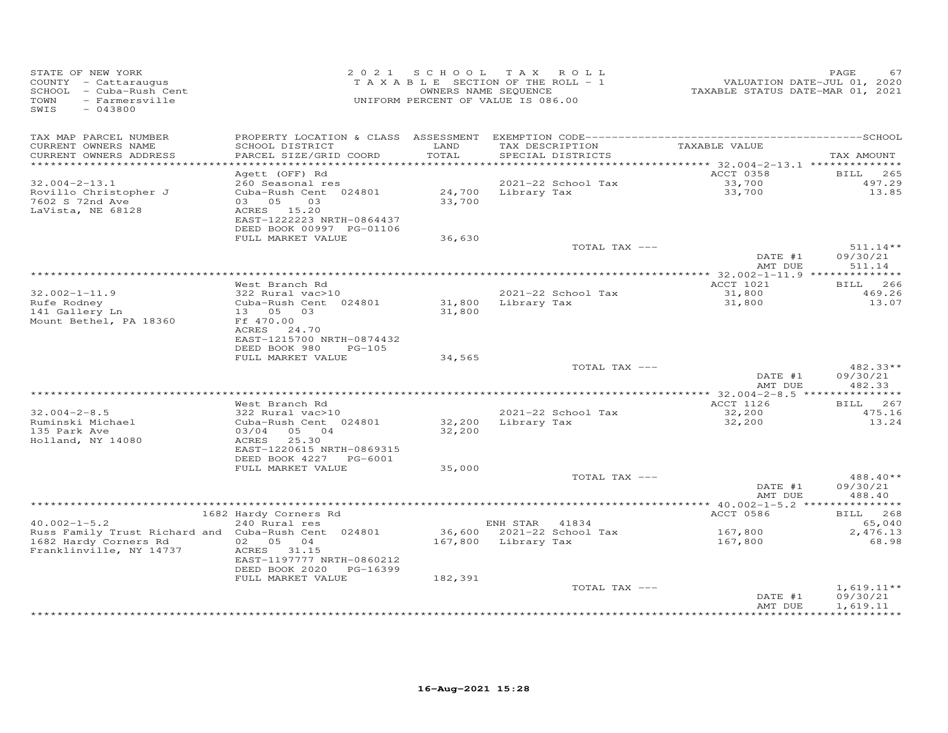| COUNTY - Cattaraugus<br>SCHOOL - Cuba-Rush Cent<br>- Farmersville<br>TOWN<br>SWIS<br>$-043800$ |                                                                                                                                                  |                  | 2021 SCHOOL TAX ROLL<br>TAXABLE SECTION OF THE ROLL - 1<br>OWNERS NAME SEQUENCE<br>UNIFORM PERCENT OF VALUE IS 086.00 |               | VALUATION DATE-JUL 01, 2020<br>TAXABLE STATUS DATE-MAR 01, 2021 | PAGE<br>67                                           |
|------------------------------------------------------------------------------------------------|--------------------------------------------------------------------------------------------------------------------------------------------------|------------------|-----------------------------------------------------------------------------------------------------------------------|---------------|-----------------------------------------------------------------|------------------------------------------------------|
| TAX MAP PARCEL NUMBER<br>CURRENT OWNERS NAME<br>CURRENT OWNERS ADDRESS                         | SCHOOL DISTRICT<br>PARCEL SIZE/GRID COORD                                                                                                        | LAND<br>TOTAL    | TAX DESCRIPTION<br>SPECIAL DISTRICTS                                                                                  |               | TAXABLE VALUE                                                   | TAX AMOUNT                                           |
| ***********************                                                                        | Agett (OFF) Rd                                                                                                                                   |                  |                                                                                                                       |               | ACCT 0358                                                       | 265<br>BILL                                          |
| $32.004 - 2 - 13.1$<br>Rovillo Christopher J<br>7602 S 72nd Ave<br>LaVista, NE 68128           | 260 Seasonal res<br>Cuba-Rush Cent 024801<br>03 05<br>03<br>ACRES 15.20<br>EAST-1222223 NRTH-0864437<br>DEED BOOK 00997 PG-01106                 | 33,700           | 2021-22 School Tax<br>24,700 Library Tax                                                                              |               | 33,700<br>33,700                                                | 497.29<br>13.85                                      |
|                                                                                                | FULL MARKET VALUE                                                                                                                                | 36,630           |                                                                                                                       | TOTAL TAX --- |                                                                 | $511.14**$                                           |
|                                                                                                |                                                                                                                                                  |                  |                                                                                                                       |               | DATE #1<br>AMT DUE                                              | 09/30/21<br>511.14                                   |
|                                                                                                |                                                                                                                                                  |                  |                                                                                                                       |               | ACCT 1021                                                       | BILL 266                                             |
| $32.002 - 1 - 11.9$                                                                            | West Branch Rd<br>322 Rural vac>10                                                                                                               |                  | 2021-22 School Tax                                                                                                    |               | 31,800                                                          | 469.26                                               |
| Rufe Rodney<br>141 Gallery Ln<br>Mount Bethel, PA 18360                                        | Cuba-Rush Cent 024801<br>13 05 03<br>Ff 470.00<br>ACRES 24.70<br>EAST-1215700 NRTH-0874432                                                       | 31,800<br>31,800 | Library Tax                                                                                                           |               | 31,800                                                          | 13.07                                                |
|                                                                                                | DEED BOOK 980<br>$PG-105$<br>FULL MARKET VALUE                                                                                                   | 34,565           |                                                                                                                       |               |                                                                 |                                                      |
|                                                                                                |                                                                                                                                                  |                  |                                                                                                                       | TOTAL TAX --- | DATE #1<br>AMT DUE                                              | $482.33**$<br>09/30/21<br>482.33                     |
|                                                                                                |                                                                                                                                                  |                  |                                                                                                                       |               |                                                                 |                                                      |
| $32.004 - 2 - 8.5$<br>Ruminski Michael<br>135 Park Ave<br>Holland, NY 14080                    | West Branch Rd<br>322 Rural vac>10<br>Cuba-Rush Cent 024801<br>03/04 05 04<br>ACRES 25.30<br>EAST-1220615 NRTH-0869315<br>DEED BOOK 4227 PG-6001 | 32,200<br>32,200 | 2021-22 School Tax<br>Library Tax                                                                                     |               | ACCT 1126<br>32,200<br>32,200                                   | BILL 267<br>475.16<br>13.24                          |
|                                                                                                | FULL MARKET VALUE                                                                                                                                | 35,000           |                                                                                                                       |               |                                                                 |                                                      |
|                                                                                                |                                                                                                                                                  |                  |                                                                                                                       | TOTAL TAX --- | DATE #1<br>AMT DUE                                              | 488.40**<br>09/30/21<br>488.40                       |
|                                                                                                |                                                                                                                                                  |                  |                                                                                                                       |               |                                                                 |                                                      |
| $40.002 - 1 - 5.2$                                                                             | 1682 Hardy Corners Rd<br>240 Rural res                                                                                                           |                  | ENH STAR 41834                                                                                                        |               | ACCT 0586                                                       | BILL 268<br>65,040                                   |
| Russ Family Trust Richard and Cuba-Rush Cent 024801                                            |                                                                                                                                                  |                  | 36,600 2021-22 School Tax                                                                                             |               | 167,800                                                         | 2,476.13                                             |
| 1682 Hardy Corners Rd<br>Franklinville, NY 14737                                               | 02 05 04<br>ACRES 31.15<br>EAST-1197777 NRTH-0860212<br>DEED BOOK 2020 PG-16399<br>FULL MARKET VALUE                                             | 182,391          | 167,800 Library Tax                                                                                                   |               | 167,800                                                         | 68.98                                                |
|                                                                                                |                                                                                                                                                  |                  |                                                                                                                       | TOTAL TAX --- | DATE #1<br>AMT DUE                                              | $1,619.11**$<br>09/30/21<br>1,619.11<br>************ |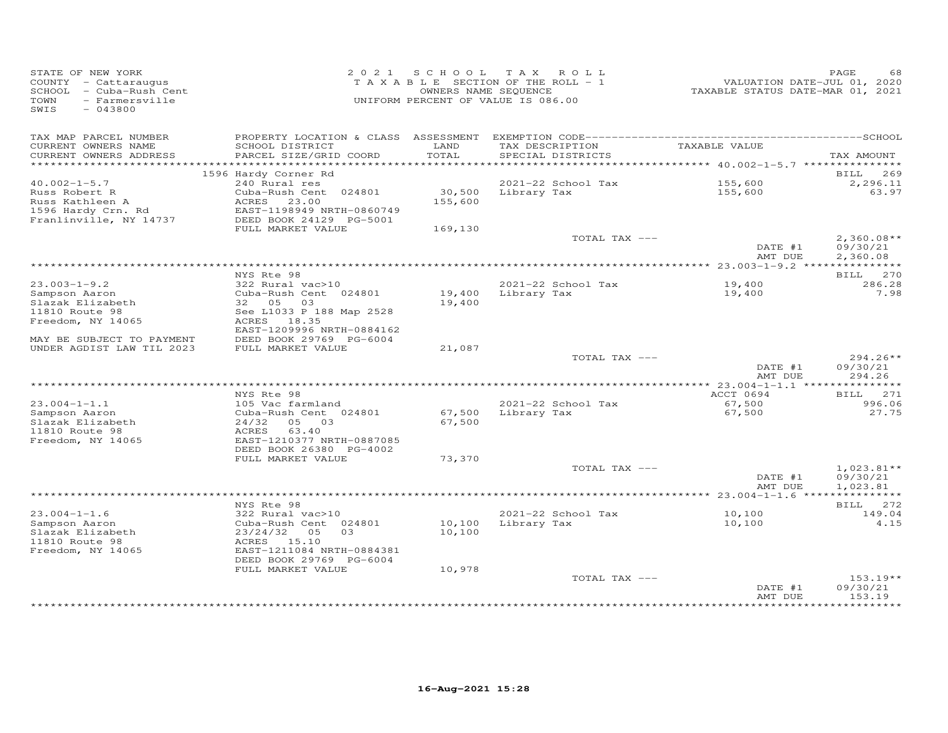| STATE OF NEW YORK<br>COUNTY - Cattaraugus<br>SCHOOL - Cuba-Rush Cent<br><b>TOWN</b><br>- Farmersville<br>SWIS<br>$-043800$ | 2021                                                 |         | SCHOOL TAX ROLL<br>TAXABLE SECTION OF THE ROLL - 1<br>OWNERS NAME SEQUENCE<br>UNIFORM PERCENT OF VALUE IS 086.00 | VALUATION DATE-JUL 01, 2020<br>TAXABLE STATUS DATE-MAR 01, 2021 | PAGE<br>68         |
|----------------------------------------------------------------------------------------------------------------------------|------------------------------------------------------|---------|------------------------------------------------------------------------------------------------------------------|-----------------------------------------------------------------|--------------------|
| TAX MAP PARCEL NUMBER<br>CURRENT OWNERS NAME                                                                               | SCHOOL DISTRICT                                      | LAND    | TAX DESCRIPTION                                                                                                  | TAXABLE VALUE                                                   |                    |
| CURRENT OWNERS ADDRESS                                                                                                     | PARCEL SIZE/GRID COORD                               | TOTAL   | SPECIAL DISTRICTS                                                                                                |                                                                 | TAX AMOUNT         |
|                                                                                                                            | 1596 Hardy Corner Rd                                 |         |                                                                                                                  |                                                                 | BILL 269           |
| $40.002 - 1 - 5.7$                                                                                                         | 240 Rural res                                        |         | 2021-22 School Tax                                                                                               | 155,600                                                         | 2,296.11           |
| Russ Robert R                                                                                                              | Cuba-Rush Cent 024801                                |         | 30,500 Library Tax                                                                                               | 155,600                                                         | 63.97              |
| Russ Kathleen A                                                                                                            | ACRES 23.00                                          | 155,600 |                                                                                                                  |                                                                 |                    |
| 1596 Hardy Crn. Rd                                                                                                         | EAST-1198949 NRTH-0860749                            |         |                                                                                                                  |                                                                 |                    |
| Franlinville, NY 14737                                                                                                     | DEED BOOK 24129 PG-5001<br>FULL MARKET VALUE         |         |                                                                                                                  |                                                                 |                    |
|                                                                                                                            |                                                      | 169,130 | TOTAL TAX ---                                                                                                    |                                                                 | $2,360.08**$       |
|                                                                                                                            |                                                      |         |                                                                                                                  | DATE #1                                                         | 09/30/21           |
|                                                                                                                            |                                                      |         |                                                                                                                  | AMT DUE                                                         | 2,360.08           |
|                                                                                                                            |                                                      |         |                                                                                                                  |                                                                 |                    |
| $23.003 - 1 - 9.2$                                                                                                         | NYS Rte 98<br>322 Rural vac>10                       |         | 2021-22 School Tax                                                                                               | 19,400                                                          | BILL 270<br>286.28 |
| Sampson Aaron                                                                                                              | Cuba-Rush Cent 024801                                |         | 19,400 Library Tax                                                                                               | 19,400                                                          | 7.98               |
| Slazak Elizabeth                                                                                                           | 32 05 03                                             | 19,400  |                                                                                                                  |                                                                 |                    |
| 11810 Route 98                                                                                                             | See L1033 P 188 Map 2528                             |         |                                                                                                                  |                                                                 |                    |
| Freedom, NY 14065                                                                                                          | ACRES 18.35                                          |         |                                                                                                                  |                                                                 |                    |
| MAY BE SUBJECT TO PAYMENT                                                                                                  | EAST-1209996 NRTH-0884162<br>DEED BOOK 29769 PG-6004 |         |                                                                                                                  |                                                                 |                    |
| UNDER AGDIST LAW TIL 2023                                                                                                  | FULL MARKET VALUE                                    | 21,087  |                                                                                                                  |                                                                 |                    |
|                                                                                                                            |                                                      |         | TOTAL TAX ---                                                                                                    |                                                                 | 294.26**           |
|                                                                                                                            |                                                      |         |                                                                                                                  | DATE #1                                                         | 09/30/21           |
|                                                                                                                            |                                                      |         |                                                                                                                  | AMT DUE                                                         | 294.26             |
|                                                                                                                            | NYS Rte 98                                           |         |                                                                                                                  | ACCT 0694                                                       | BILL 271           |
| $23.004 - 1 - 1.1$                                                                                                         | 105 Vac farmland                                     |         | 2021-22 School Tax                                                                                               | 67,500                                                          | 996.06             |
| Sampson Aaron                                                                                                              | Cuba-Rush Cent 024801                                | 67,500  | Library Tax                                                                                                      | 67,500                                                          | 27.75              |
| Slazak Elizabeth                                                                                                           | 24/32 05 03                                          | 67,500  |                                                                                                                  |                                                                 |                    |
| 11810 Route 98                                                                                                             | ACRES 63.40                                          |         |                                                                                                                  |                                                                 |                    |
| Freedom, NY 14065                                                                                                          | EAST-1210377 NRTH-0887085                            |         |                                                                                                                  |                                                                 |                    |
|                                                                                                                            | DEED BOOK 26380 PG-4002<br>FULL MARKET VALUE         | 73,370  |                                                                                                                  |                                                                 |                    |
|                                                                                                                            |                                                      |         | TOTAL TAX ---                                                                                                    |                                                                 | $1,023.81**$       |
|                                                                                                                            |                                                      |         |                                                                                                                  | DATE #1                                                         | 09/30/21           |
|                                                                                                                            |                                                      |         |                                                                                                                  | AMT DUE                                                         | 1,023.81           |
|                                                                                                                            |                                                      |         |                                                                                                                  |                                                                 |                    |
| $23.004 - 1 - 1.6$                                                                                                         | NYS Rte 98<br>322 Rural vac>10                       |         | 2021-22 School Tax                                                                                               | 10,100                                                          | BILL 272<br>149.04 |
| Sampson Aaron                                                                                                              | Cuba-Rush Cent 024801                                | 10,100  | Library Tax                                                                                                      | 10,100                                                          | 4.15               |
| Slazak Elizabeth                                                                                                           | 23/24/32 05<br>0.3                                   | 10,100  |                                                                                                                  |                                                                 |                    |
| 11810 Route 98                                                                                                             | ACRES 15.10                                          |         |                                                                                                                  |                                                                 |                    |
| Freedom, NY 14065                                                                                                          | EAST-1211084 NRTH-0884381                            |         |                                                                                                                  |                                                                 |                    |
|                                                                                                                            | DEED BOOK 29769 PG-6004<br>FULL MARKET VALUE         | 10,978  |                                                                                                                  |                                                                 |                    |
|                                                                                                                            |                                                      |         | TOTAL TAX ---                                                                                                    |                                                                 | $153.19**$         |
|                                                                                                                            |                                                      |         |                                                                                                                  | DATE #1                                                         | 09/30/21           |
|                                                                                                                            |                                                      |         |                                                                                                                  | AMT DUE                                                         | 153.19             |
|                                                                                                                            |                                                      |         |                                                                                                                  | ****************                                                | *********          |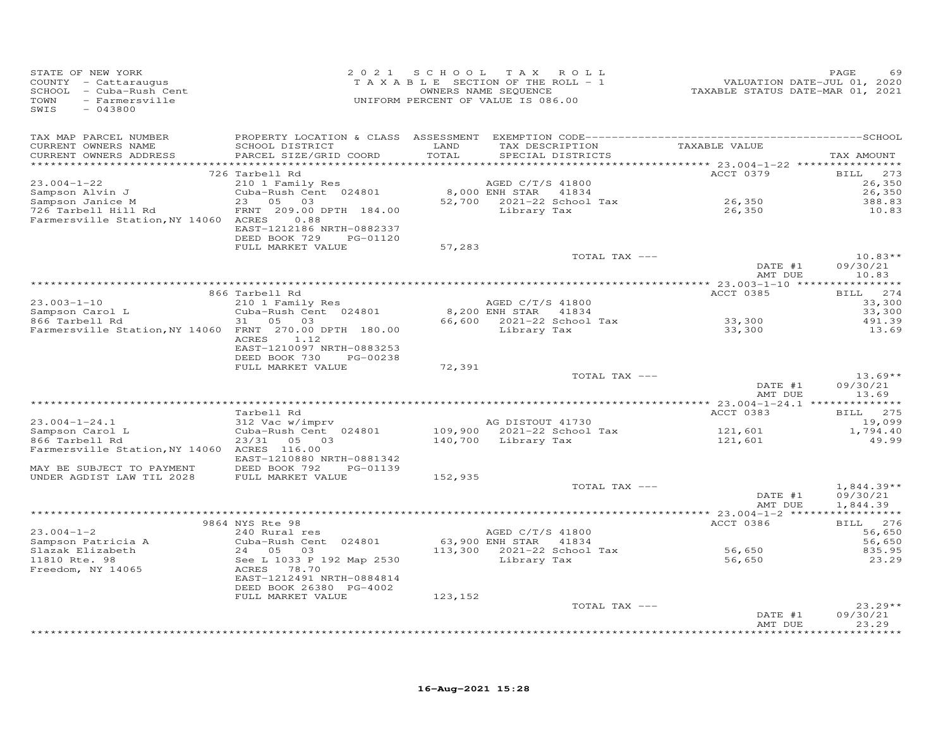| SIATE OF NEW YORK<br>COUNTY - Cattaraugus<br>SCHOOL - Cuba-Rush Cent<br>TOWN - Farmersville<br>SWIS - 042900<br>SWIS<br>$-043800$ |                                                                                 |         | 2021 SCHOOL TAX ROLL<br>T A X A B L E SECTION OF THE ROLL - 1<br>OWNERS NAME SEQUENCE<br>UNIFORM PERCENT OF VALUE IS 086.00 | 7020<br>TAXABLE STATUS DATE-JUL 01, 2020<br>TAXABLE STATUS DATE-MAR 01, 2021 | PAGE<br>69                           |
|-----------------------------------------------------------------------------------------------------------------------------------|---------------------------------------------------------------------------------|---------|-----------------------------------------------------------------------------------------------------------------------------|------------------------------------------------------------------------------|--------------------------------------|
| TAX MAP PARCEL NUMBER                                                                                                             |                                                                                 |         |                                                                                                                             |                                                                              |                                      |
| CURRENT OWNERS NAME                                                                                                               | SCHOOL DISTRICT                                                                 | LAND    | TAX DESCRIPTION                                                                                                             | TAXABLE VALUE                                                                |                                      |
| CURRENT OWNERS ADDRESS                                                                                                            | PARCEL SIZE/GRID COORD                                                          | TOTAL   | SPECIAL DISTRICTS                                                                                                           |                                                                              | TAX AMOUNT                           |
|                                                                                                                                   | 726 Tarbell Rd                                                                  |         |                                                                                                                             | ACCT 0379                                                                    | BILL 273                             |
| $23.004 - 1 - 22$                                                                                                                 | 210 1 Family Res                                                                |         | AGED C/T/S 41800                                                                                                            |                                                                              | 26,350                               |
| Sampson Alvin J<br>Sampson Janice M                                                                                               | Cuba-Rush Cent 024801<br>23 05 03                                               |         | 8,000 ENH STAR 41834                                                                                                        |                                                                              | 26,350                               |
|                                                                                                                                   | 23 05 03<br>FRNT 209.00 DPTH 184.00<br>FRNT 209.00 DPTH 184.00<br>Library Tax   |         | $52,700$ 2021-22 School Tax                                                                                                 | 26,350                                                                       | 388.83                               |
| 726 Tarbell Hill Rd<br>Farmersville Station, NY 14060 ACRES 0.88                                                                  | EAST-1212186 NRTH-0882337                                                       |         |                                                                                                                             | 26,350                                                                       | 10.83                                |
|                                                                                                                                   | DEED BOOK 729 PG-01120                                                          |         |                                                                                                                             |                                                                              |                                      |
|                                                                                                                                   | FULL MARKET VALUE                                                               | 57,283  | TOTAL TAX ---                                                                                                               |                                                                              | $10.83**$                            |
|                                                                                                                                   |                                                                                 |         |                                                                                                                             | DATE #1                                                                      | 09/30/21                             |
|                                                                                                                                   |                                                                                 |         |                                                                                                                             | AMT DUE                                                                      | 10.83                                |
|                                                                                                                                   |                                                                                 |         |                                                                                                                             | ACCT 0385                                                                    | BILL 274                             |
| $23.003 - 1 - 10$                                                                                                                 | 866 Tarbell Rd                                                                  |         | AGED C/T/S 41800                                                                                                            |                                                                              | 33,300                               |
|                                                                                                                                   | narbeir Nu<br>210 1 Family Res<br>Cuba-Rush Cent 024801                         |         | 8,200 ENH STAR 41834                                                                                                        |                                                                              | 33,300                               |
| Sampson Carol L<br>866 Tarbell Rd                                                                                                 | 31 05 03                                                                        |         | 66,600 2021-22 School Tax                                                                                                   | 33,300                                                                       | 491.39                               |
| Farmersville Station, NY 14060 FRNT 270.00 DPTH 180.00                                                                            | ACRES 1.12                                                                      |         | Library Tax                                                                                                                 | 33,300                                                                       | 13.69                                |
|                                                                                                                                   | EAST-1210097 NRTH-0883253<br>DEED BOOK 730 PG-00238                             |         |                                                                                                                             |                                                                              |                                      |
|                                                                                                                                   | FULL MARKET VALUE                                                               | 72,391  |                                                                                                                             |                                                                              |                                      |
|                                                                                                                                   |                                                                                 |         | TOTAL TAX ---                                                                                                               |                                                                              | $13.69**$                            |
|                                                                                                                                   |                                                                                 |         |                                                                                                                             | DATE #1<br>AMT DUE                                                           | 09/30/21<br>13.69                    |
|                                                                                                                                   |                                                                                 |         |                                                                                                                             |                                                                              |                                      |
| $23.004 - 1 - 24.1$                                                                                                               | Tarbell Rd<br>Tarbell Rd<br>312 Vac w/imprv                                     |         | AG DISTOUT 41730                                                                                                            | ACCT 0383                                                                    | BILL 275<br>19,099                   |
| Sampson Carol L                                                                                                                   | Cuba-Rush Cent 024801                                                           |         |                                                                                                                             |                                                                              | 1,794.40                             |
| 866 Tarbell Rd                                                                                                                    | 23/31 05 03                                                                     |         | 109,900 2021-22 School Tax<br>140,700 Library Tax                                                                           | 121,601<br>121,601                                                           | 49.99                                |
| Farmersville Station, NY 14060 ACRES 116.00                                                                                       |                                                                                 |         |                                                                                                                             |                                                                              |                                      |
|                                                                                                                                   | EAST-1210880 NRTH-0881342                                                       |         |                                                                                                                             |                                                                              |                                      |
| MAY BE SUBJECT TO PAYMENT<br>UNDER AGDIST LAW TIL 2028                                                                            | DEED BOOK 792 PG-01139<br>DEED BOOK 792     P<br>FULL MARKET VALUE              | 152,935 |                                                                                                                             |                                                                              |                                      |
|                                                                                                                                   |                                                                                 |         | TOTAL TAX ---                                                                                                               |                                                                              | $1,844.39**$                         |
|                                                                                                                                   |                                                                                 |         |                                                                                                                             | DATE #1<br>AMT DUE                                                           | 09/30/21<br>1,844.39                 |
|                                                                                                                                   |                                                                                 |         |                                                                                                                             |                                                                              |                                      |
|                                                                                                                                   | 9864 NYS Rte 98                                                                 |         |                                                                                                                             | ACCT 0386                                                                    | BILL 276                             |
| $23.004 - 1 - 2$<br>Sampson Patricia A                                                                                            | 240 Rural res<br>Cuba-Rush Cent 024801                                          |         | AGED C/T/S 41800<br>63,900 ENH STAR 41834                                                                                   |                                                                              | 56,650<br>56,650                     |
| Slazak Elizabeth                                                                                                                  |                                                                                 |         | 113,300 2021-22 School Tax                                                                                                  | 56,650                                                                       | 835.95                               |
|                                                                                                                                   |                                                                                 |         | Library Tax                                                                                                                 | 56,650                                                                       | 23.29                                |
| 11810 Rte. 98<br>Freedom, NY 14065<br>RCRES 78.70                                                                                 | 24 05 03<br>See L 1033 P 192 Map 2530<br>--- 78.70<br>EAST-1212491 NRTH-0884814 |         |                                                                                                                             |                                                                              |                                      |
|                                                                                                                                   | DEED BOOK 26380 PG-4002                                                         |         |                                                                                                                             |                                                                              |                                      |
|                                                                                                                                   | FULL MARKET VALUE                                                               | 123,152 | TOTAL TAX ---                                                                                                               |                                                                              | $23.29**$                            |
|                                                                                                                                   |                                                                                 |         |                                                                                                                             | DATE #1                                                                      | 09/30/21                             |
|                                                                                                                                   |                                                                                 |         |                                                                                                                             | AMT DUE                                                                      | 23.29<br>بان بان بان بان بان بان بان |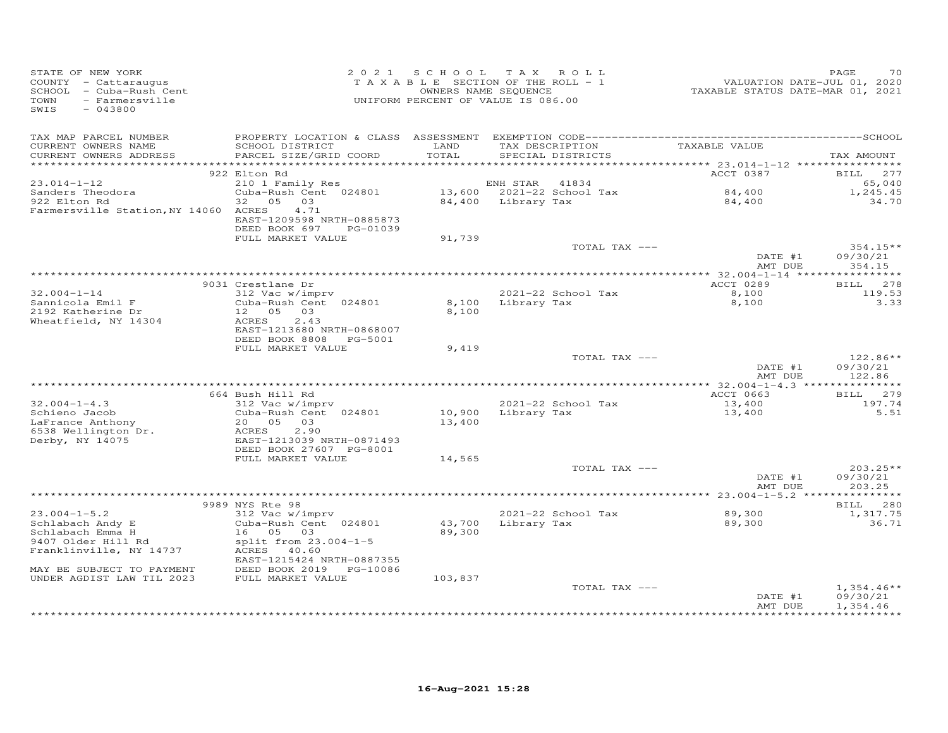| STATE OF NEW YORK<br>COUNTY - Cattaraugus<br>SCHOOL - Cuba-Rush Cent<br>- Farmersville<br>TOWN<br>SWIS<br>$-043800$ |                                                                         |                  | 2021 SCHOOL TAX ROLL<br>TAXABLE SECTION OF THE ROLL - 1<br>OWNERS NAME SEQUENCE<br>UNIFORM PERCENT OF VALUE IS 086.00 | VALUATION DATE-JUL 01, 2020<br>TAXABLE STATUS DATE-MAR 01, 2021 | PAGE<br>70                       |
|---------------------------------------------------------------------------------------------------------------------|-------------------------------------------------------------------------|------------------|-----------------------------------------------------------------------------------------------------------------------|-----------------------------------------------------------------|----------------------------------|
| TAX MAP PARCEL NUMBER<br>CURRENT OWNERS NAME<br>CURRENT OWNERS ADDRESS                                              | SCHOOL DISTRICT<br>PARCEL SIZE/GRID COORD                               | LAND<br>TOTAL    | TAX DESCRIPTION TAXABLE VALUE<br>SPECIAL DISTRICTS                                                                    |                                                                 | TAX AMOUNT                       |
|                                                                                                                     | 922 Elton Rd                                                            |                  |                                                                                                                       | ACCT 0387                                                       | BILL 277                         |
| $23.014 - 1 - 12$                                                                                                   | 210 1 Family Res                                                        |                  | ENH STAR 41834                                                                                                        |                                                                 | 65,040                           |
| Sanders Theodora                                                                                                    | Cuba-Rush Cent 024801                                                   |                  |                                                                                                                       | 84,400<br>84,400                                                | 1,245.45                         |
| 922 Elton Rd<br>Farmersville Station, NY 14060 ACRES                                                                | 32 05 03<br>4.71<br>EAST-1209598 NRTH-0885873<br>DEED BOOK 697 PG-01039 |                  | 13,600 2021-22 School Tax<br>84,400 Library Tax                                                                       |                                                                 | 34.70                            |
|                                                                                                                     | FULL MARKET VALUE                                                       | 91,739           |                                                                                                                       |                                                                 |                                  |
|                                                                                                                     |                                                                         |                  | TOTAL TAX ---                                                                                                         | DATE #1<br>AMT DUE                                              | $354.15**$<br>09/30/21<br>354.15 |
|                                                                                                                     |                                                                         |                  |                                                                                                                       |                                                                 |                                  |
|                                                                                                                     | 9031 Crestlane Dr                                                       |                  |                                                                                                                       | ACCT 0289                                                       | BILL 278                         |
| $32.004 - 1 - 14$                                                                                                   | 312 Vac w/imprv                                                         |                  | 2021-22 School Tax                                                                                                    | 8,100                                                           | 119.53                           |
| Sannicola Emil F                                                                                                    | Cuba-Rush Cent 024801                                                   |                  | 8,100 Library Tax                                                                                                     | 8,100                                                           | 3.33                             |
| 2192 Katherine Dr                                                                                                   | 12  05  03                                                              | 8,100            |                                                                                                                       |                                                                 |                                  |
| Wheatfield, NY 14304                                                                                                | 2.43<br>ACRES                                                           |                  |                                                                                                                       |                                                                 |                                  |
|                                                                                                                     | EAST-1213680 NRTH-0868007<br>DEED BOOK 8808 PG-5001                     |                  |                                                                                                                       |                                                                 |                                  |
|                                                                                                                     | FULL MARKET VALUE                                                       | 9,419            |                                                                                                                       |                                                                 |                                  |
|                                                                                                                     |                                                                         |                  | TOTAL TAX ---                                                                                                         |                                                                 | $122.86**$                       |
|                                                                                                                     |                                                                         |                  |                                                                                                                       | DATE #1                                                         | 09/30/21                         |
|                                                                                                                     |                                                                         |                  |                                                                                                                       | AMT DUE                                                         | 122.86                           |
|                                                                                                                     | 664 Bush Hill Rd                                                        |                  |                                                                                                                       | ACCT 0663                                                       | BILL 279                         |
| $32.004 - 1 - 4.3$                                                                                                  | 312 Vac w/imprv                                                         |                  | 2021-22 School Tax                                                                                                    | 13,400                                                          | 197.74                           |
| Schieno Jacob                                                                                                       | Cuba-Rush Cent 024801                                                   |                  | ZUZI-ZZ SCNOOI IAX<br>10,900   Library Tax                                                                            | 13,400                                                          | 5.51                             |
| LaFrance Anthony                                                                                                    | 20 05 03                                                                | 13,400           |                                                                                                                       |                                                                 |                                  |
| 6538 Wellington Dr.<br>Derby, NY 14075                                                                              | ACRES<br>2.90                                                           |                  |                                                                                                                       |                                                                 |                                  |
| Derby, NY 14075                                                                                                     | EAST-1213039 NRTH-0871493                                               |                  |                                                                                                                       |                                                                 |                                  |
|                                                                                                                     | DEED BOOK 27607 PG-8001<br>FULL MARKET VALUE                            | 14,565           |                                                                                                                       |                                                                 |                                  |
|                                                                                                                     |                                                                         |                  | TOTAL TAX ---                                                                                                         |                                                                 | $203.25**$                       |
|                                                                                                                     |                                                                         |                  |                                                                                                                       | DATE #1                                                         | 09/30/21                         |
|                                                                                                                     |                                                                         |                  |                                                                                                                       | AMT DUE                                                         | 203.25                           |
|                                                                                                                     |                                                                         |                  |                                                                                                                       |                                                                 |                                  |
|                                                                                                                     | 9989 NYS Rte 98                                                         |                  |                                                                                                                       |                                                                 | BILL 280                         |
| $23.004 - 1 - 5.2$                                                                                                  | 312 Vac w/imprv<br>Cuba-Rush Cent 024801                                |                  | 2021-22 School Tax<br>Library Tax                                                                                     | 89,300<br>89,300                                                | 1,317.75<br>36.71                |
| Schlabach Andy E<br>Schlabach Emma H                                                                                | 16 05 03                                                                | 43,700<br>89,300 |                                                                                                                       |                                                                 |                                  |
| 9407 Older Hill Rd                                                                                                  | split from $23.004-1-5$                                                 |                  |                                                                                                                       |                                                                 |                                  |
| Franklinville, NY 14737                                                                                             | ACRES 40.60                                                             |                  |                                                                                                                       |                                                                 |                                  |
|                                                                                                                     | EAST-1215424 NRTH-0887355                                               |                  |                                                                                                                       |                                                                 |                                  |
| MAY BE SUBJECT TO PAYMENT                                                                                           | DEED BOOK 2019 PG-10086                                                 |                  |                                                                                                                       |                                                                 |                                  |
| UNDER AGDIST LAW TIL 2023                                                                                           | FULL MARKET VALUE                                                       | 103,837          |                                                                                                                       |                                                                 |                                  |
|                                                                                                                     |                                                                         |                  | TOTAL TAX ---                                                                                                         | DATE #1                                                         | $1,354.46**$<br>09/30/21         |
|                                                                                                                     |                                                                         |                  |                                                                                                                       | AMT DUE                                                         | 1,354.46                         |
|                                                                                                                     |                                                                         |                  |                                                                                                                       |                                                                 |                                  |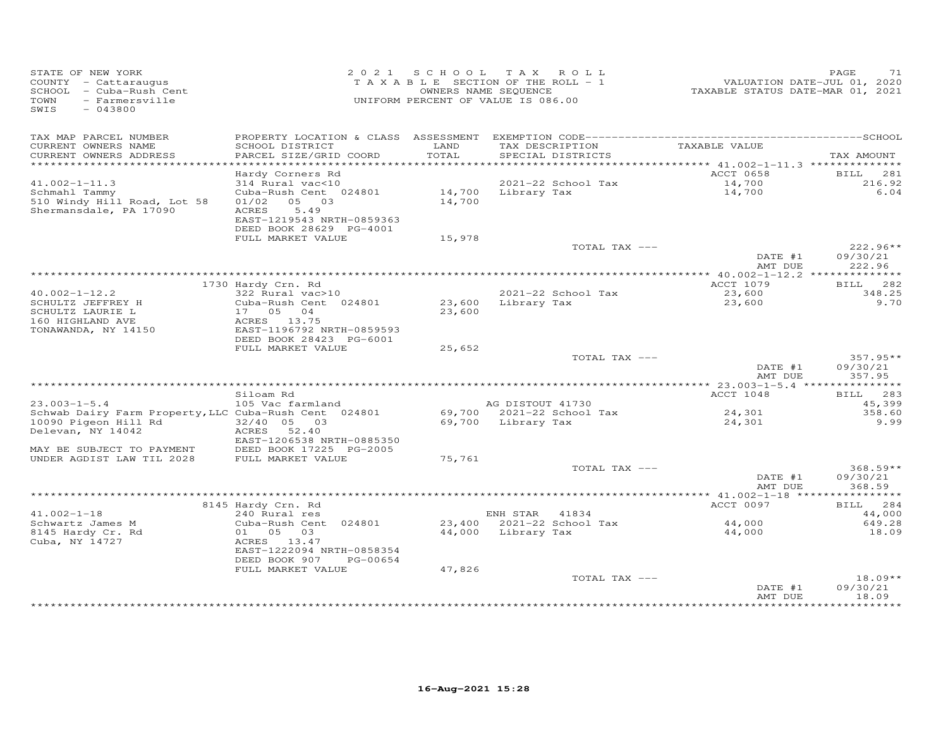| STATE OF NEW YORK<br>COUNTY - Cattaraugus<br>SCHOOL - Cuba-Rush Cent<br>TOWN - Farmersville<br>SWIS - CACCOS<br>SWIS<br>$-043800$ |                                                                                                               |               | 2021 SCHOOL TAX ROLL<br>T A X A B L E SECTION OF THE ROLL - 1<br>OWNERS NAME SEQUENCE<br>UNIFORM PERCENT OF VALUE IS 086.00 |                      | PAGE<br>71             |
|-----------------------------------------------------------------------------------------------------------------------------------|---------------------------------------------------------------------------------------------------------------|---------------|-----------------------------------------------------------------------------------------------------------------------------|----------------------|------------------------|
| TAX MAP PARCEL NUMBER<br>CURRENT OWNERS NAME<br>CURRENT OWNERS ADDRESS                                                            | SCHOOL DISTRICT<br>PARCEL SIZE/GRID COORD                                                                     | LAND<br>TOTAL | TAX DESCRIPTION<br>SPECIAL DISTRICTS                                                                                        | TAXABLE VALUE        | TAX AMOUNT             |
|                                                                                                                                   |                                                                                                               |               |                                                                                                                             |                      |                        |
|                                                                                                                                   | Hardy Corners Rd                                                                                              |               |                                                                                                                             | ACCT 0658            | BILL 281               |
| $41.002 - 1 - 11.3$                                                                                                               | 314 Rural vac<10                                                                                              |               | 2021-22 School Tax                                                                                                          | 14,700<br>14,700     | 216.92                 |
| Schmahl Tammy<br>510 Windy Hill Road, Lot 58<br>Shermansdale, PA 17090                                                            | Cuba-Rush Cent 024801<br>01/02 05 03<br>5.49<br>ACRES<br>EAST-1219543 NRTH-0859363<br>DEED BOOK 28629 PG-4001 | 14,700        | 14,700 Library Tax                                                                                                          |                      | 6.04                   |
|                                                                                                                                   | FULL MARKET VALUE                                                                                             | 15,978        |                                                                                                                             |                      |                        |
|                                                                                                                                   |                                                                                                               |               | TOTAL TAX ---                                                                                                               | DATE #1              | $222.96**$<br>09/30/21 |
|                                                                                                                                   |                                                                                                               |               |                                                                                                                             | AMT DUE              | 222.96                 |
|                                                                                                                                   | 1730 Hardy Crn. Rd                                                                                            |               |                                                                                                                             | ACCT 1079            | BILL 282               |
| $40.002 - 1 - 12.2$                                                                                                               | 322 Rural vac>10                                                                                              |               | 2021-22 School Tax                                                                                                          |                      | 348.25                 |
| SCHULTZ JEFFREY H<br>SCHULTZ LAURIE L<br>160 HIGHLAND AVE<br>TONAWANDA, NY 14150                                                  | Cuba-Rush Cent 024801<br>17 05 04<br>ACRES 13.75<br>EAST-1196792 NRTH-0859593                                 | 23,600        | 2021-22 School Tax<br>23,600   Library Tax                                                                                  | 23,600<br>23,600     | 9.70                   |
|                                                                                                                                   | DEED BOOK 28423 PG-6001<br>FULL MARKET VALUE                                                                  | 25,652        |                                                                                                                             |                      |                        |
|                                                                                                                                   |                                                                                                               |               | TOTAL TAX ---                                                                                                               |                      | $357.95**$             |
|                                                                                                                                   |                                                                                                               |               |                                                                                                                             | DATE #1<br>AMT DUE   | 09/30/21<br>357.95     |
|                                                                                                                                   |                                                                                                               |               |                                                                                                                             |                      |                        |
|                                                                                                                                   | Siloam Rd<br>uitum nu<br>105 Vac farmland                                                                     |               |                                                                                                                             | ACCT 1048            | BILL 283               |
| $23.003 - 1 - 5.4$<br>Schwab Dairy Farm Property, LLC Cuba-Rush Cent 024801                                                       |                                                                                                               |               | AG DISTOUT 41730<br>69,700 2021-22 School Tax                                                                               | 24,301               | 45,399<br>358.60       |
| 10090 Pigeon Hill Rd 32/40 05 03                                                                                                  |                                                                                                               |               | 69,700 Library Tax                                                                                                          | 24,301               | 9.99                   |
| Delevan, NY 14042                                                                                                                 | ACRES 52.40<br>EAST-1206538 NRTH-0885350                                                                      |               |                                                                                                                             |                      |                        |
| MAY BE SUBJECT TO PAYMENT DEED BOOK 17225 F<br>UNDER AGDIST LAW TIL 2028 FULL MARKET VALUE                                        | DEED BOOK 17225 PG-2005                                                                                       | 75,761        |                                                                                                                             |                      |                        |
|                                                                                                                                   |                                                                                                               |               | TOTAL TAX ---                                                                                                               |                      | $368.59**$             |
|                                                                                                                                   |                                                                                                               |               |                                                                                                                             | DATE #1<br>AMT DUE   | 09/30/21<br>368.59     |
|                                                                                                                                   |                                                                                                               |               |                                                                                                                             |                      |                        |
|                                                                                                                                   | 8145 Hardy Crn. Rd                                                                                            |               |                                                                                                                             | ACCT 0097            | BILL 284               |
| $41.002 - 1 - 18$                                                                                                                 | 240 Rural res                                                                                                 |               | ENH STAR 41834                                                                                                              |                      | 44,000                 |
| Schwartz James M                                                                                                                  | Cuba-Rush Cent 024801                                                                                         |               |                                                                                                                             | $44,000$<br>$44,000$ | 649.28                 |
| 8145 Hardy Cr. Rd<br>Cuba, NY 14727                                                                                               | 01 05 03<br>ACRES 13.47<br>EAST-1222094 NRTH-0858354<br>DEED BOOK 907<br>PG-00654                             |               |                                                                                                                             |                      | 18.09                  |
|                                                                                                                                   | FULL MARKET VALUE                                                                                             | 47,826        | TOTAL TAX ---                                                                                                               |                      | $18.09**$              |
|                                                                                                                                   |                                                                                                               |               |                                                                                                                             | DATE #1<br>AMT DUE   | 09/30/21<br>18.09      |
|                                                                                                                                   |                                                                                                               |               |                                                                                                                             |                      |                        |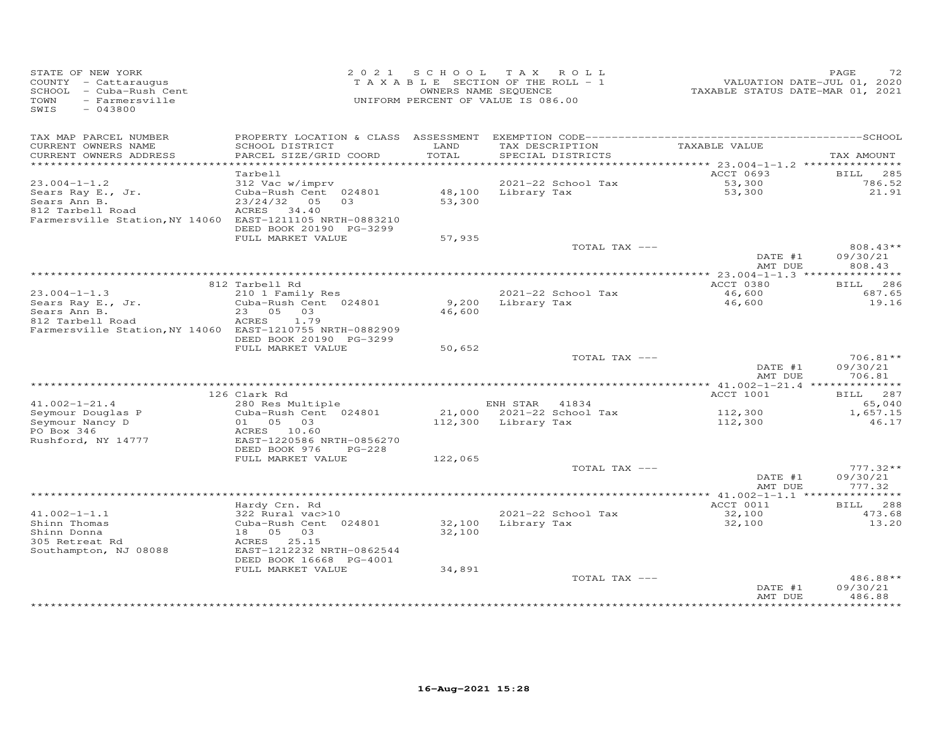| STATE OF NEW YORK<br>COUNTY - Cattaraugus<br>SCHOOL - Cuba-Rush Cent<br>- Farmersville<br>TOWN |                                                      | 2021 SCHOOL   | TAX ROLL<br>TAXABLE SECTION OF THE ROLL - 1<br>OWNERS NAME SEQUENCE<br>UNIFORM PERCENT OF VALUE IS 086.00 | VALUATION DATE-JUL 01, 2020<br>TAXABLE STATUS DATE-MAR 01, 2021 | PAGE<br>72                    |
|------------------------------------------------------------------------------------------------|------------------------------------------------------|---------------|-----------------------------------------------------------------------------------------------------------|-----------------------------------------------------------------|-------------------------------|
| SWIS<br>$-043800$                                                                              |                                                      |               |                                                                                                           |                                                                 |                               |
| TAX MAP PARCEL NUMBER                                                                          |                                                      |               |                                                                                                           |                                                                 |                               |
| CURRENT OWNERS NAME<br>CURRENT OWNERS ADDRESS                                                  | SCHOOL DISTRICT<br>PARCEL SIZE/GRID COORD            | LAND<br>TOTAL | TAX DESCRIPTION<br>SPECIAL DISTRICTS                                                                      | TAXABLE VALUE                                                   | TAX AMOUNT                    |
|                                                                                                |                                                      |               |                                                                                                           |                                                                 |                               |
| $23.004 - 1 - 1.2$                                                                             | Tarbell<br>312 Vac w/imprv                           |               | 2021-22 School Tax                                                                                        | ACCT 0693                                                       | BILL 285<br>786.52            |
| Sears Ray E., Jr.<br>Sears Ann B.                                                              | Cuba-Rush Cent 024801<br>$23/24/32$ 05<br>0.3        | 53,300        | 48,100 Library Tax                                                                                        | $53,300$<br>53,300                                              | 21.91                         |
| 812 Tarbell Road<br>Farmersville Station, NY 14060 EAST-1211105 NRTH-0883210                   | ACRES 34.40                                          |               |                                                                                                           |                                                                 |                               |
|                                                                                                | DEED BOOK 20190 PG-3299<br>FULL MARKET VALUE         | 57,935        |                                                                                                           |                                                                 |                               |
|                                                                                                |                                                      |               | TOTAL TAX ---                                                                                             |                                                                 | 808.43**                      |
|                                                                                                |                                                      |               |                                                                                                           | DATE #1<br>AMT DUE                                              | 09/30/21<br>808.43            |
|                                                                                                |                                                      |               |                                                                                                           | ACCT 0380                                                       |                               |
| $23.004 - 1 - 1.3$                                                                             | 812 Tarbell Rd<br>210 1 Family Res                   |               | 2021-22 School Tax                                                                                        | 46,600                                                          | BILL 286<br>687.65            |
| Sears Ray E., Jr.                                                                              | Cuba-Rush Cent 024801                                |               | 9,200 Library Tax                                                                                         | 46,600                                                          | 19.16                         |
| Sears Ann B.                                                                                   | 23 05 03                                             | 46,600        |                                                                                                           |                                                                 |                               |
| 812 Tarbell Road                                                                               | ACRES<br>1.79                                        |               |                                                                                                           |                                                                 |                               |
| Farmersville Station, NY 14060 EAST-1210755 NRTH-0882909                                       |                                                      |               |                                                                                                           |                                                                 |                               |
|                                                                                                | DEED BOOK 20190 PG-3299<br>FULL MARKET VALUE         | 50,652        |                                                                                                           |                                                                 |                               |
|                                                                                                |                                                      |               | TOTAL TAX ---                                                                                             |                                                                 | $706.81**$                    |
|                                                                                                |                                                      |               |                                                                                                           | DATE #1                                                         | 09/30/21                      |
|                                                                                                |                                                      |               |                                                                                                           | AMT DUE                                                         | 706.81                        |
|                                                                                                | 126 Clark Rd                                         |               |                                                                                                           | ACCT 1001                                                       | BILL 287                      |
| $41.002 - 1 - 21.4$                                                                            | 280 Res Multiple                                     |               | ENH STAR 41834                                                                                            |                                                                 | 65,040                        |
| Seymour Douglas P                                                                              | Cuba-Rush Cent 024801                                |               | 21,000 2021-22 School Tax                                                                                 | 112,300                                                         | 1,657.15                      |
| Seymour Nancy D                                                                                | 01 05 03                                             |               | 112,300 Library Tax                                                                                       | 112,300                                                         | 46.17                         |
| PO Box 346<br>Rushford, NY 14777                                                               | ACRES 10.60<br>EAST-1220586 NRTH-0856270             |               |                                                                                                           |                                                                 |                               |
|                                                                                                | DEED BOOK 976<br>$PG-228$                            |               |                                                                                                           |                                                                 |                               |
|                                                                                                | FULL MARKET VALUE                                    | 122,065       |                                                                                                           |                                                                 |                               |
|                                                                                                |                                                      |               | TOTAL TAX ---                                                                                             |                                                                 | $777.32**$                    |
|                                                                                                |                                                      |               |                                                                                                           | DATE #1                                                         | 09/30/21                      |
|                                                                                                |                                                      |               |                                                                                                           | AMT DUE                                                         | 777.32                        |
|                                                                                                | Hardy Crn. Rd                                        |               |                                                                                                           | ACCT 0011                                                       | BILL 288                      |
| $41.002 - 1 - 1.1$                                                                             | 322 Rural vac>10                                     |               | 2021-22 School Tax                                                                                        | 32,100                                                          | 473.68                        |
| Shinn Thomas                                                                                   | Cuba-Rush Cent 024801                                |               | 32,100 Library Tax                                                                                        | 32,100                                                          | 13.20                         |
| Shinn Donna                                                                                    | 18  05  03                                           | 32,100        |                                                                                                           |                                                                 |                               |
| 305 Retreat Rd                                                                                 | ACRES 25.15                                          |               |                                                                                                           |                                                                 |                               |
| Southampton, NJ 08088                                                                          | EAST-1212232 NRTH-0862544<br>DEED BOOK 16668 PG-4001 |               |                                                                                                           |                                                                 |                               |
|                                                                                                | FULL MARKET VALUE                                    | 34,891        |                                                                                                           |                                                                 |                               |
|                                                                                                |                                                      |               | TOTAL TAX ---                                                                                             |                                                                 | 486.88**                      |
|                                                                                                |                                                      |               |                                                                                                           | DATE #1                                                         | 09/30/21                      |
|                                                                                                |                                                      |               |                                                                                                           | AMT DUE                                                         | 486.88<br>* * * * * * * * * * |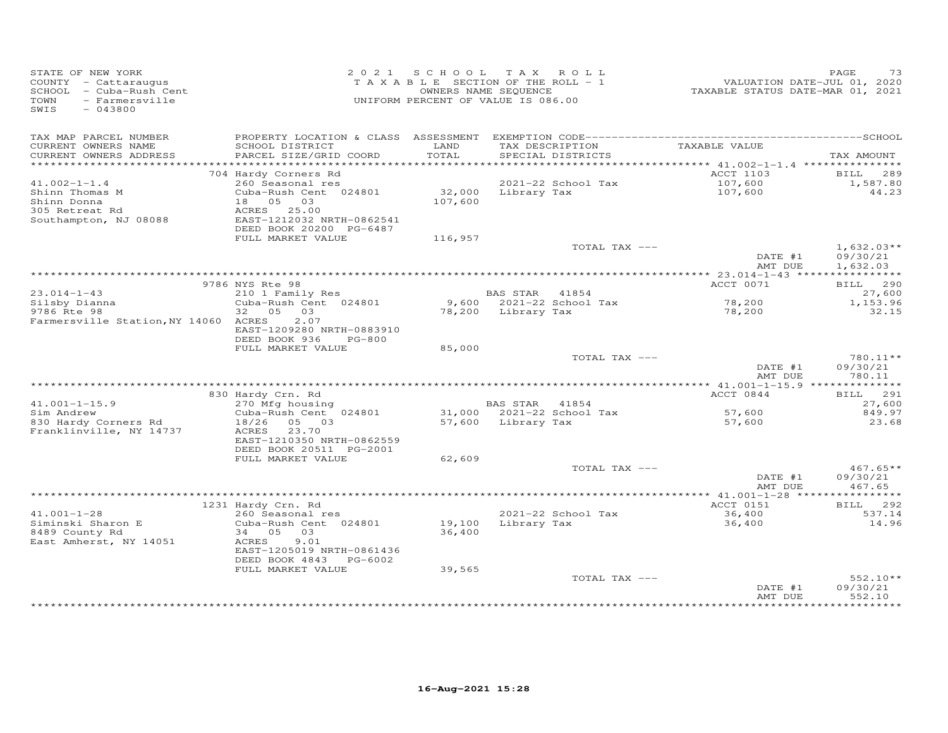| VALUATION DATE-JUL 01, 2020<br>TAXABLE STATUS DATE-MAR 01, 2021<br>T A X A B L E SECTION OF THE ROLL - 1<br>COUNTY - Cattaraugus<br>SCHOOL - Cuba-Rush Cent<br>OWNERS NAME SEQUENCE<br>TOWN<br>- Farmersville<br>UNIFORM PERCENT OF VALUE IS 086.00<br>SWIS<br>$-043800$ |                          |
|--------------------------------------------------------------------------------------------------------------------------------------------------------------------------------------------------------------------------------------------------------------------------|--------------------------|
| TAX MAP PARCEL NUMBER                                                                                                                                                                                                                                                    |                          |
| TAX DESCRIPTION<br>TAXABLE VALUE<br>CURRENT OWNERS NAME<br>SCHOOL DISTRICT<br>LAND<br>TOTAL<br>CURRENT OWNERS ADDRESS<br>PARCEL SIZE/GRID COORD<br>SPECIAL DISTRICTS                                                                                                     | TAX AMOUNT               |
|                                                                                                                                                                                                                                                                          |                          |
| ACCT 1103<br>704 Hardy Corners Rd                                                                                                                                                                                                                                        | 289<br><b>BILL</b>       |
| 2021-22 School Tax<br>$41.002 - 1 - 1.4$<br>260 Seasonal res<br>107,600<br>Shinn Thomas M<br>Cuba-Rush Cent 024801                                                                                                                                                       | 1,587.80<br>44.23        |
| 32,000 Library Tax<br>107,600<br>Shinn Donna<br>18  05  03<br>107,600                                                                                                                                                                                                    |                          |
| ACRES 25.00<br>305 Retreat Rd                                                                                                                                                                                                                                            |                          |
| Southampton, NJ 08088<br>EAST-1212032 NRTH-0862541                                                                                                                                                                                                                       |                          |
| DEED BOOK 20200 PG-6487                                                                                                                                                                                                                                                  |                          |
| FULL MARKET VALUE<br>116,957                                                                                                                                                                                                                                             |                          |
| TOTAL TAX ---<br>DATE #1                                                                                                                                                                                                                                                 | $1,632.03**$<br>09/30/21 |
| AMT DUE                                                                                                                                                                                                                                                                  | 1,632.03                 |
|                                                                                                                                                                                                                                                                          |                          |
| ACCT 0071<br>9786 NYS Rte 98                                                                                                                                                                                                                                             | BILL 290                 |
| 210 1 Family Res<br>$23.014 - 1 - 43$<br><b>BAS STAR</b><br>41854                                                                                                                                                                                                        | 27,600                   |
| 78,200<br>Cuba-Rush Cent 024801<br>9,600 2021-22 School Tax<br>Silsby Dianna                                                                                                                                                                                             | 1,153.96                 |
| 32  05  03<br>9786 Rte 98<br>78,200 Library Tax<br>78,200<br>Farmersville Station, NY 14060 ACRES<br>2.07                                                                                                                                                                | 32.15                    |
| EAST-1209280 NRTH-0883910                                                                                                                                                                                                                                                |                          |
| DEED BOOK 936<br>PG-800                                                                                                                                                                                                                                                  |                          |
| FULL MARKET VALUE<br>85,000                                                                                                                                                                                                                                              |                          |
| TOTAL TAX ---                                                                                                                                                                                                                                                            | $780.11**$               |
| DATE #1<br>AMT DUE                                                                                                                                                                                                                                                       | 09/30/21<br>780.11       |
|                                                                                                                                                                                                                                                                          |                          |
| ACCT 0844<br>830 Hardy Crn. Rd                                                                                                                                                                                                                                           | BILL 291                 |
| $41.001 - 1 - 15.9$<br>270 Mfg housing<br>BAS STAR 41854                                                                                                                                                                                                                 | 27,600                   |
| Sim Andrew<br>31,000 2021-22 School Tax<br>Cuba-Rush Cent 024801<br>57,600                                                                                                                                                                                               | 849.97                   |
| 830 Hardy Corners Rd<br>18/26<br>57,600 Library Tax<br>05 03<br>57,600<br>Franklinville, NY 14737<br>23.70<br>ACRES                                                                                                                                                      | 23.68                    |
| EAST-1210350 NRTH-0862559                                                                                                                                                                                                                                                |                          |
| DEED BOOK 20511 PG-2001                                                                                                                                                                                                                                                  |                          |
| FULL MARKET VALUE<br>62,609                                                                                                                                                                                                                                              |                          |
| TOTAL TAX ---                                                                                                                                                                                                                                                            | $467.65**$               |
| DATE #1<br>AMT DUE                                                                                                                                                                                                                                                       | 09/30/21<br>467.65       |
|                                                                                                                                                                                                                                                                          | * * * * * * * * * * *    |
| 1231 Hardy Crn. Rd<br>ACCT 0151                                                                                                                                                                                                                                          | 292<br><b>BILL</b>       |
| $41.001 - 1 - 28$<br>2021-22 School Tax<br>260 Seasonal res<br>36,400                                                                                                                                                                                                    | 537.14                   |
| Cuba-Rush Cent 024801<br>19,100 Library Tax<br>36,400<br>Siminski Sharon E                                                                                                                                                                                               | 14.96                    |
| 36,400<br>8489 County Rd<br>34 05 03                                                                                                                                                                                                                                     |                          |
| East Amherst, NY 14051<br>ACRES<br>9.01<br>EAST-1205019 NRTH-0861436                                                                                                                                                                                                     |                          |
| DEED BOOK 4843 PG-6002                                                                                                                                                                                                                                                   |                          |
| FULL MARKET VALUE<br>39,565                                                                                                                                                                                                                                              |                          |
| TOTAL TAX ---                                                                                                                                                                                                                                                            | $552.10**$               |
| DATE #1                                                                                                                                                                                                                                                                  | 09/30/21                 |
| AMT DUE                                                                                                                                                                                                                                                                  | 552.10                   |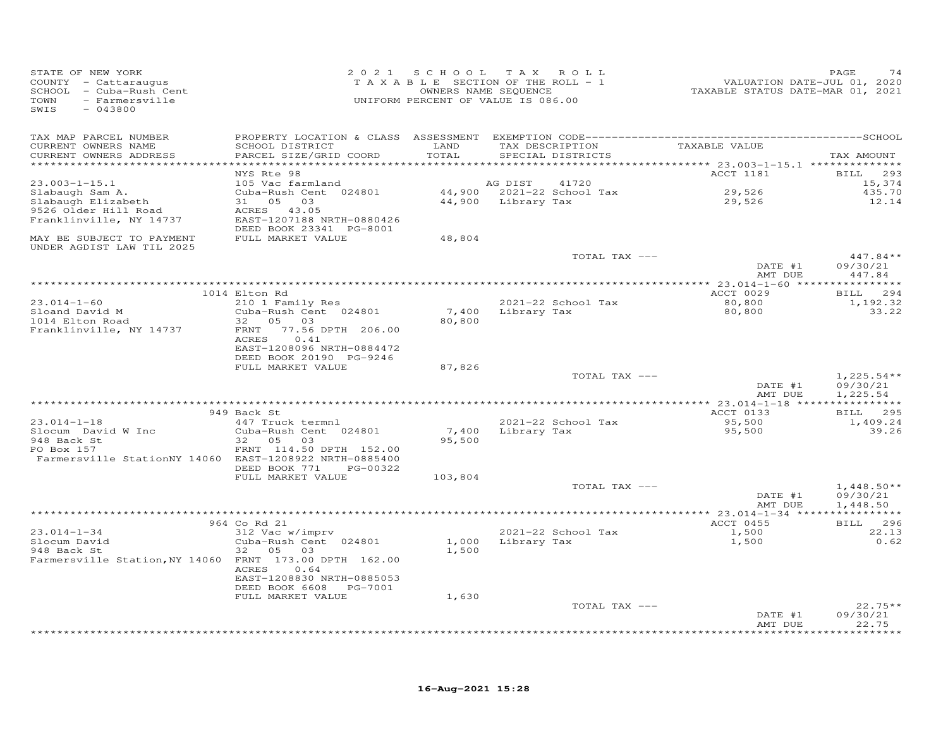| STATE OF NEW YORK<br>COUNTY - Cattaraugus<br>SCHOOL - Cuba-Rush Cent<br>TOWN<br>- Farmersville<br>SWIS<br>$-043800$ |                                                                     |         | 2021 SCHOOL TAX ROLL<br>TAXABLE SECTION OF THE ROLL - 1<br>OWNERS NAME SEQUENCE<br>UNIFORM PERCENT OF VALUE IS 086.00 | VALUATION DATE-JUL 01, 2020<br>TAXABLE STATUS DATE-MAR 01, 2021 | PAGE<br>74                   |
|---------------------------------------------------------------------------------------------------------------------|---------------------------------------------------------------------|---------|-----------------------------------------------------------------------------------------------------------------------|-----------------------------------------------------------------|------------------------------|
| TAX MAP PARCEL NUMBER<br>CURRENT OWNERS NAME                                                                        | SCHOOL DISTRICT                                                     | LAND    | TAX DESCRIPTION                                                                                                       | TAXABLE VALUE                                                   |                              |
| CURRENT OWNERS ADDRESS                                                                                              | PARCEL SIZE/GRID COORD                                              | TOTAL   | SPECIAL DISTRICTS                                                                                                     |                                                                 | TAX AMOUNT                   |
| ************************                                                                                            |                                                                     |         |                                                                                                                       |                                                                 |                              |
| $23.003 - 1 - 15.1$                                                                                                 | NYS Rte 98<br>105 Vac farmland                                      |         | AG DIST<br>41720                                                                                                      | ACCT 1181                                                       | 293<br><b>BILL</b><br>15,374 |
| Slabaugh Sam A.                                                                                                     | Cuba-Rush Cent 024801                                               |         | 44,900 2021-22 School Tax                                                                                             | 29,526                                                          | 435.70                       |
| Slabaugh Elizabeth                                                                                                  | 31 05 03                                                            |         | 44,900 Library Tax                                                                                                    | 29,526                                                          | 12.14                        |
| 9526 Older Hill Road<br>Franklinville, NY 14737                                                                     | ACRES 43.05<br>EAST-1207188 NRTH-0880426<br>DEED BOOK 23341 PG-8001 |         |                                                                                                                       |                                                                 |                              |
| MAY BE SUBJECT TO PAYMENT<br>UNDER AGDIST LAW TIL 2025                                                              | FULL MARKET VALUE                                                   | 48,804  |                                                                                                                       |                                                                 |                              |
|                                                                                                                     |                                                                     |         | TOTAL TAX ---                                                                                                         |                                                                 | 447.84**                     |
|                                                                                                                     |                                                                     |         |                                                                                                                       | DATE #1<br>AMT DUE                                              | 09/30/21<br>447.84           |
|                                                                                                                     |                                                                     |         |                                                                                                                       | **************** 23.014-1-60 *****************                  |                              |
|                                                                                                                     | 1014 Elton Rd                                                       |         |                                                                                                                       | ACCT 0029                                                       | BILL 294                     |
| $23.014 - 1 - 60$                                                                                                   | 210 1 Family Res                                                    |         | 2021-22 School Tax                                                                                                    | 80,800                                                          | 1,192.32                     |
| Sloand David M<br>1014 Elton Road                                                                                   | Cuba-Rush Cent 024801<br>32<br>05 03                                | 80,800  | 7,400 Library Tax                                                                                                     | 80,800                                                          | 33.22                        |
| Franklinville, NY 14737                                                                                             | FRNT 77.56 DPTH 206.00                                              |         |                                                                                                                       |                                                                 |                              |
|                                                                                                                     | ACRES<br>0.41                                                       |         |                                                                                                                       |                                                                 |                              |
|                                                                                                                     | EAST-1208096 NRTH-0884472<br>DEED BOOK 20190 PG-9246                |         |                                                                                                                       |                                                                 |                              |
|                                                                                                                     | FULL MARKET VALUE                                                   | 87,826  |                                                                                                                       |                                                                 |                              |
|                                                                                                                     |                                                                     |         | TOTAL TAX ---                                                                                                         |                                                                 | $1,225.54**$                 |
|                                                                                                                     |                                                                     |         |                                                                                                                       | DATE #1<br>AMT DUE                                              | 09/30/21<br>1,225.54         |
|                                                                                                                     | 949 Back St                                                         |         |                                                                                                                       | ACCT 0133                                                       | BILL 295                     |
| $23.014 - 1 - 18$                                                                                                   | 447 Truck termnl                                                    |         | 2021-22 School Tax                                                                                                    | 95,500                                                          | 1,409.24                     |
| Slocum David W Inc                                                                                                  | Cuba-Rush Cent 024801                                               | 7,400   | Library Tax                                                                                                           | 95,500                                                          | 39.26                        |
| 948 Back St                                                                                                         | 32 05<br>03                                                         | 95,500  |                                                                                                                       |                                                                 |                              |
| PO Box 157<br>Farmersville StationNY 14060 EAST-1208922 NRTH-0885400                                                | FRNT 114.50 DPTH 152.00                                             |         |                                                                                                                       |                                                                 |                              |
|                                                                                                                     | DEED BOOK 771<br>PG-00322                                           |         |                                                                                                                       |                                                                 |                              |
|                                                                                                                     | FULL MARKET VALUE                                                   | 103,804 |                                                                                                                       |                                                                 |                              |
|                                                                                                                     |                                                                     |         | TOTAL TAX ---                                                                                                         | DATE #1                                                         | $1,448.50**$<br>09/30/21     |
|                                                                                                                     |                                                                     |         |                                                                                                                       | AMT DUE                                                         | 1,448.50                     |
|                                                                                                                     |                                                                     |         |                                                                                                                       |                                                                 |                              |
|                                                                                                                     | 964 Co Rd 21                                                        |         |                                                                                                                       | ACCT 0455                                                       | BILL 296                     |
| $23.014 - 1 - 34$<br>Slocum David                                                                                   | 312 Vac w/imprv<br>Cuba-Rush Cent 024801                            |         | 2021-22 School Tax<br>1,000 Library Tax                                                                               | 1,500<br>1,500                                                  | 22.13<br>0.62                |
| 948 Back St                                                                                                         | 32 05 03                                                            | 1,500   |                                                                                                                       |                                                                 |                              |
| Farmersville Station, NY 14060 FRNT 173.00 DPTH 162.00                                                              |                                                                     |         |                                                                                                                       |                                                                 |                              |
|                                                                                                                     | ACRES<br>0.64                                                       |         |                                                                                                                       |                                                                 |                              |
|                                                                                                                     | EAST-1208830 NRTH-0885053<br>DEED BOOK 6608<br>PG-7001              |         |                                                                                                                       |                                                                 |                              |
|                                                                                                                     | FULL MARKET VALUE                                                   | 1,630   |                                                                                                                       |                                                                 |                              |
|                                                                                                                     |                                                                     |         | TOTAL TAX ---                                                                                                         |                                                                 | $22.75**$                    |
|                                                                                                                     |                                                                     |         |                                                                                                                       | DATE #1                                                         | 09/30/21                     |
|                                                                                                                     |                                                                     |         |                                                                                                                       | AMT DUE                                                         | 22.75<br>******              |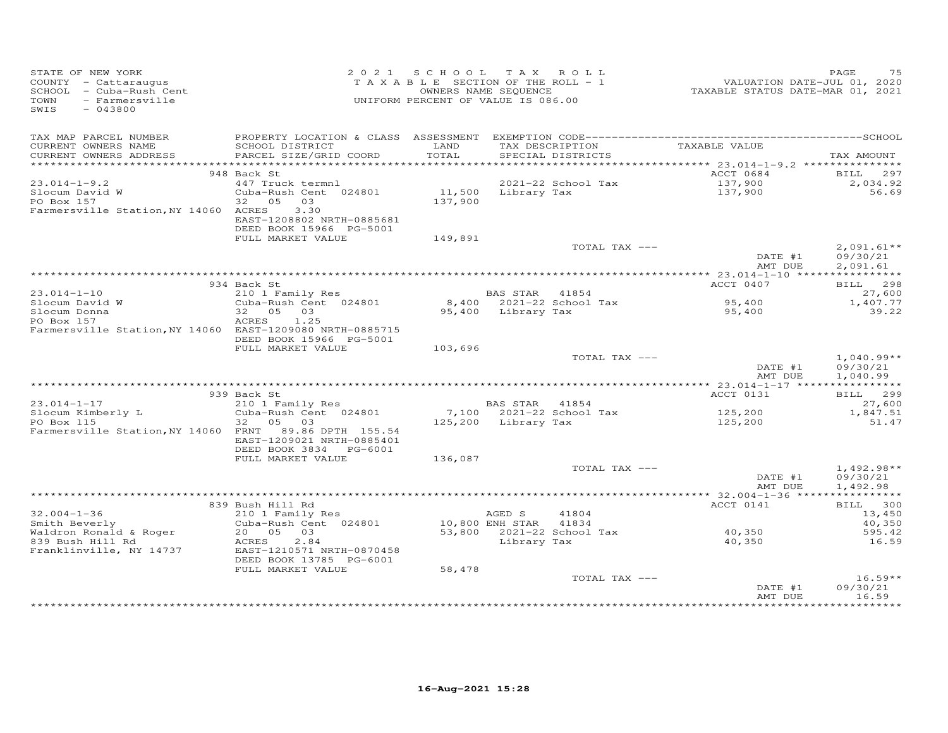|                                                                                                                                                                                      |                                                                                                                                                                     | 2021 SCHOOL TAX ROLL<br>UNIFORM PERCENT OF VALUE IS 086.00 |                                                    | PAGE 75 PAGE 75<br>TAXABLE SECTION OF THE ROLL - 1 VALUATION DATE-JUL 01, 2020<br>OWNERS NAME SEQUENCE TAXABLE STATUS DATE-MAR 01, 2021 | PAGE<br>75                   |
|--------------------------------------------------------------------------------------------------------------------------------------------------------------------------------------|---------------------------------------------------------------------------------------------------------------------------------------------------------------------|------------------------------------------------------------|----------------------------------------------------|-----------------------------------------------------------------------------------------------------------------------------------------|------------------------------|
| TAX MAP PARCEL NUMBER                                                                                                                                                                |                                                                                                                                                                     |                                                            |                                                    |                                                                                                                                         |                              |
| CURRENT OWNERS NAME<br>CURRENT OWNERS ADDRESS                                                                                                                                        | SCHOOL DISTRICT<br><b>EXAMPLE SERVICE SERVICE SERVICE SERVICE SERVICE SERVICE SERVICE SERVICE SERVICE SERVICE SERVICE SERVICE SERVICE</b><br>PARCEL SIZE/GRID COORD | TOTAL                                                      | TAX DESCRIPTION TAXABLE VALUE<br>SPECIAL DISTRICTS |                                                                                                                                         | TAX AMOUNT                   |
|                                                                                                                                                                                      |                                                                                                                                                                     |                                                            |                                                    |                                                                                                                                         |                              |
|                                                                                                                                                                                      | 948 Back St                                                                                                                                                         |                                                            |                                                    | ACCT 0684                                                                                                                               | BILL 297                     |
| $23.014 - 1 - 9.2$                                                                                                                                                                   | 2021-22 School Tax<br>Cuba-Rush Cent 024801 11,500 Library Tax                                                                                                      |                                                            | 2021-22 School Tax                                 | 137,900<br>137,900                                                                                                                      | 2,034.92<br>56.69            |
| Slocum David W<br>PO Box 157                                                                                                                                                         | 32  05  03                                                                                                                                                          | 137,900                                                    |                                                    |                                                                                                                                         |                              |
| Farmersville Station, NY 14060 ACRES                                                                                                                                                 | 3.30                                                                                                                                                                |                                                            |                                                    |                                                                                                                                         |                              |
|                                                                                                                                                                                      | EAST-1208802 NRTH-0885681                                                                                                                                           |                                                            |                                                    |                                                                                                                                         |                              |
|                                                                                                                                                                                      | DEED BOOK 15966 PG-5001                                                                                                                                             |                                                            |                                                    |                                                                                                                                         |                              |
|                                                                                                                                                                                      | FULL MARKET VALUE                                                                                                                                                   | 149,891                                                    | TOTAL TAX ---                                      |                                                                                                                                         | $2,091.61**$                 |
|                                                                                                                                                                                      |                                                                                                                                                                     |                                                            |                                                    | DATE #1                                                                                                                                 | 09/30/21                     |
|                                                                                                                                                                                      |                                                                                                                                                                     |                                                            |                                                    | AMT DUE                                                                                                                                 | 2,091.61                     |
|                                                                                                                                                                                      |                                                                                                                                                                     |                                                            |                                                    |                                                                                                                                         |                              |
|                                                                                                                                                                                      | 934 Back St                                                                                                                                                         |                                                            |                                                    | ACCT 0407                                                                                                                               | BILL 298                     |
|                                                                                                                                                                                      |                                                                                                                                                                     |                                                            |                                                    | 95,400                                                                                                                                  | 27,600<br>1,407.77           |
| 23.014-1-10<br>Slocum David W 210 1 Family Res<br>Slocum David W 2021 -22 School Tax<br>Slocum Donna<br>22 05 03<br>PO Box 157<br>ACRES 1.25<br>25<br>22 05 03<br>25,400 Library Tax |                                                                                                                                                                     |                                                            |                                                    | 95,400                                                                                                                                  | 39.22                        |
|                                                                                                                                                                                      | ACRES 1.25                                                                                                                                                          |                                                            |                                                    |                                                                                                                                         |                              |
| Farmersville Station, NY 14060 EAST-1209080 NRTH-0885715                                                                                                                             |                                                                                                                                                                     |                                                            |                                                    |                                                                                                                                         |                              |
|                                                                                                                                                                                      | DEED BOOK 15966 PG-5001<br>FULL MARKET VALUE                                                                                                                        |                                                            |                                                    |                                                                                                                                         |                              |
|                                                                                                                                                                                      |                                                                                                                                                                     | 103,696                                                    | TOTAL TAX ---                                      |                                                                                                                                         | $1,040.99**$                 |
|                                                                                                                                                                                      |                                                                                                                                                                     |                                                            |                                                    | DATE #1                                                                                                                                 | 09/30/21                     |
|                                                                                                                                                                                      |                                                                                                                                                                     |                                                            |                                                    | AMT DUE                                                                                                                                 | 1,040.99                     |
|                                                                                                                                                                                      |                                                                                                                                                                     |                                                            |                                                    |                                                                                                                                         |                              |
| $23.014 - 1 - 17$                                                                                                                                                                    | 939 Back St<br>9 Back St<br>210 1 Family Res<br>Cuba-Rush Cent 024801 7,100 2021-22 School Tax<br>32 05 03 125,200 Library Tax                                      |                                                            |                                                    | ACCT 0131                                                                                                                               | BILL 299<br>27,600           |
|                                                                                                                                                                                      |                                                                                                                                                                     |                                                            |                                                    |                                                                                                                                         | 1,847.51                     |
| Slocum Kimberly L<br>PO Box 115                                                                                                                                                      |                                                                                                                                                                     |                                                            |                                                    | 125,200<br>125,200                                                                                                                      | 51.47                        |
| Farmersville Station, NY 14060 FRNT 89.86 DPTH 155.54                                                                                                                                |                                                                                                                                                                     |                                                            |                                                    |                                                                                                                                         |                              |
|                                                                                                                                                                                      | EAST-1209021 NRTH-0885401                                                                                                                                           |                                                            |                                                    |                                                                                                                                         |                              |
|                                                                                                                                                                                      | DEED BOOK 3834 PG-6001<br>FULL MARKET VALUE                                                                                                                         | 136,087                                                    |                                                    |                                                                                                                                         |                              |
|                                                                                                                                                                                      |                                                                                                                                                                     |                                                            | TOTAL TAX ---                                      |                                                                                                                                         | $1,492.98**$                 |
|                                                                                                                                                                                      |                                                                                                                                                                     |                                                            |                                                    | DATE #1                                                                                                                                 | 09/30/21                     |
|                                                                                                                                                                                      |                                                                                                                                                                     |                                                            |                                                    | AMT DUE                                                                                                                                 | 1,492.98                     |
|                                                                                                                                                                                      |                                                                                                                                                                     |                                                            |                                                    |                                                                                                                                         |                              |
| $32.004 - 1 - 36$                                                                                                                                                                    | 839 Bush Hill Rd                                                                                                                                                    |                                                            |                                                    | ACCT 0141                                                                                                                               | BILL 300<br>13,450           |
| Smith Beverly                                                                                                                                                                        |                                                                                                                                                                     |                                                            |                                                    |                                                                                                                                         | 40,350                       |
| Waldron Ronald & Roger                                                                                                                                                               |                                                                                                                                                                     |                                                            |                                                    |                                                                                                                                         | 595.42                       |
| 839 Bush Hill Rd                                                                                                                                                                     | <b>ACRES</b><br>2.84                                                                                                                                                |                                                            | Library Tax                                        | 40,350                                                                                                                                  | 16.59                        |
| Franklinville, NY 14737                                                                                                                                                              | EAST-1210571 NRTH-0870458                                                                                                                                           |                                                            |                                                    |                                                                                                                                         |                              |
|                                                                                                                                                                                      | DEED BOOK 13785 PG-6001<br>FULL MARKET VALUE                                                                                                                        | 58,478                                                     |                                                    |                                                                                                                                         |                              |
|                                                                                                                                                                                      |                                                                                                                                                                     |                                                            | TOTAL TAX ---                                      |                                                                                                                                         | $16.59**$                    |
|                                                                                                                                                                                      |                                                                                                                                                                     |                                                            |                                                    | DATE #1                                                                                                                                 | 09/30/21                     |
|                                                                                                                                                                                      |                                                                                                                                                                     |                                                            |                                                    | AMT DUE                                                                                                                                 | 16.59<br>* * * * * * * * * * |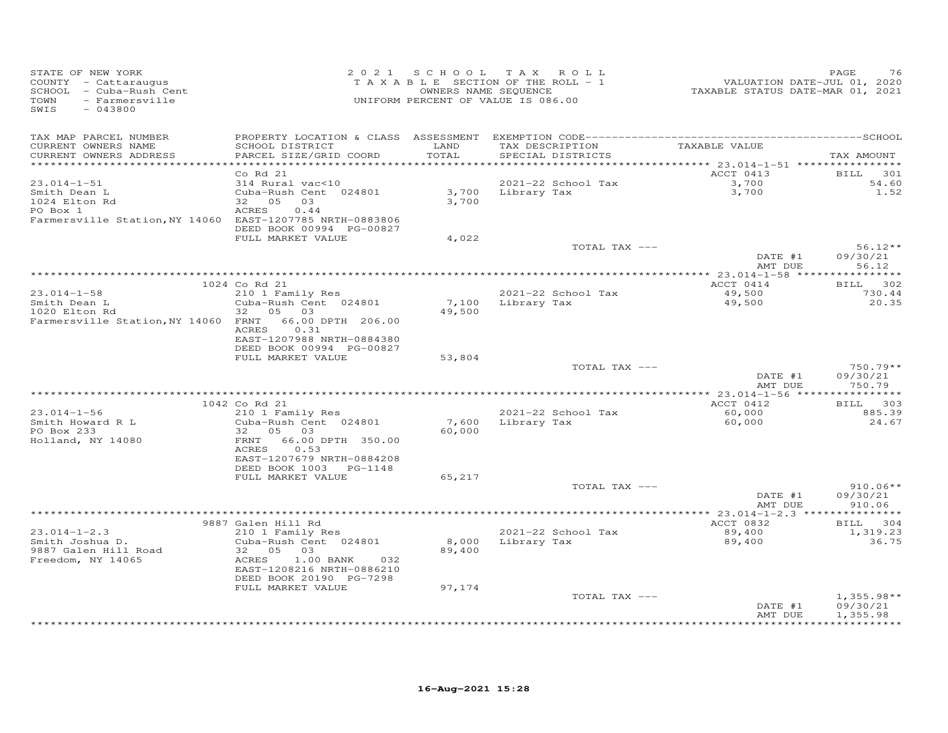| STATE OF NEW YORK<br>COUNTY - Cattaraugus<br>SCHOOL - Cuba-Rush Cent<br>- Farmersville<br>TOWN<br>SWIS<br>$-043800$ | 2 0 2 1                                   | S C H O O L     | T A X<br>ROLL<br>T A X A B L E SECTION OF THE ROLL - 1<br>OWNERS NAME SEQUENCE<br>UNIFORM PERCENT OF VALUE IS 086.00 | VALUATION DATE-JUL 01, 2020<br>TAXABLE STATUS DATE-MAR 01, 2021 | PAGE<br>76         |
|---------------------------------------------------------------------------------------------------------------------|-------------------------------------------|-----------------|----------------------------------------------------------------------------------------------------------------------|-----------------------------------------------------------------|--------------------|
| TAX MAP PARCEL NUMBER                                                                                               | PROPERTY LOCATION & CLASS                 | ASSESSMENT      |                                                                                                                      |                                                                 |                    |
| CURRENT OWNERS NAME<br>CURRENT OWNERS ADDRESS                                                                       | SCHOOL DISTRICT<br>PARCEL SIZE/GRID COORD | LAND<br>TOTAL   | TAX DESCRIPTION<br>SPECIAL DISTRICTS                                                                                 | TAXABLE VALUE                                                   | TAX AMOUNT         |
|                                                                                                                     |                                           | ******          |                                                                                                                      | ******** 23.014-1-51 ***********                                |                    |
|                                                                                                                     | Co Rd 21                                  |                 |                                                                                                                      | ACCT 0413                                                       | <b>BILL</b><br>301 |
| $23.014 - 1 - 51$<br>Smith Dean L                                                                                   | 314 Rural vac<10<br>Cuba-Rush Cent 024801 | 3,700           | 2021-22 School Tax<br>Library Tax                                                                                    | 3,700<br>3,700                                                  | 54.60<br>1.52      |
| 1024 Elton Rd                                                                                                       | 32<br>05<br>03                            | 3,700           |                                                                                                                      |                                                                 |                    |
| PO Box 1                                                                                                            | <b>ACRES</b><br>0.44                      |                 |                                                                                                                      |                                                                 |                    |
| Farmersville Station, NY 14060 EAST-1207785 NRTH-0883806                                                            |                                           |                 |                                                                                                                      |                                                                 |                    |
|                                                                                                                     | DEED BOOK 00994 PG-00827                  |                 |                                                                                                                      |                                                                 |                    |
|                                                                                                                     | FULL MARKET VALUE                         | 4,022           |                                                                                                                      |                                                                 |                    |
|                                                                                                                     |                                           |                 | TOTAL TAX ---                                                                                                        |                                                                 | $56.12**$          |
|                                                                                                                     |                                           |                 |                                                                                                                      | DATE #1<br>AMT DUE                                              | 09/30/21<br>56.12  |
|                                                                                                                     |                                           |                 |                                                                                                                      |                                                                 | * * * * * * * *    |
|                                                                                                                     | 1024 Co Rd 21                             |                 |                                                                                                                      | ACCT 0414                                                       | 302<br>BILL        |
| $23.014 - 1 - 58$                                                                                                   | 210 1 Family Res                          |                 | 2021-22 School Tax                                                                                                   | 49,500                                                          | 730.44             |
| Smith Dean L                                                                                                        | Cuba-Rush Cent 024801                     | 7,100           | Library Tax                                                                                                          | 49,500                                                          | 20.35              |
| 1020 Elton Rd                                                                                                       | 05 03<br>32                               | 49,500          |                                                                                                                      |                                                                 |                    |
| Farmersville Station, NY 14060 FRNT                                                                                 | 66.00 DPTH 206.00<br>0.31<br><b>ACRES</b> |                 |                                                                                                                      |                                                                 |                    |
|                                                                                                                     | EAST-1207988 NRTH-0884380                 |                 |                                                                                                                      |                                                                 |                    |
|                                                                                                                     | DEED BOOK 00994 PG-00827                  |                 |                                                                                                                      |                                                                 |                    |
|                                                                                                                     | FULL MARKET VALUE                         | 53,804          |                                                                                                                      |                                                                 |                    |
|                                                                                                                     |                                           |                 | TOTAL TAX ---                                                                                                        |                                                                 | $750.79**$         |
|                                                                                                                     |                                           |                 |                                                                                                                      | DATE #1<br>AMT DUE                                              | 09/30/21<br>750.79 |
|                                                                                                                     |                                           |                 |                                                                                                                      | *** 23.014-1-56 ******                                          | *********          |
|                                                                                                                     | 1042 Co Rd 21                             |                 |                                                                                                                      | ACCT 0412                                                       | 303<br><b>BILL</b> |
| $23.014 - 1 - 56$<br>Smith Howard R L                                                                               | 210 1 Family Res<br>Cuba-Rush Cent 024801 | 7,600           | 2021-22 School Tax<br>Library Tax                                                                                    | 60,000<br>60,000                                                | 885.39<br>24.67    |
| PO Box 233                                                                                                          | 32<br>05<br>03                            | 60,000          |                                                                                                                      |                                                                 |                    |
| Holland, NY 14080                                                                                                   | 66.00 DPTH 350.00<br>FRNT                 |                 |                                                                                                                      |                                                                 |                    |
|                                                                                                                     | ACRES<br>0.53                             |                 |                                                                                                                      |                                                                 |                    |
|                                                                                                                     | EAST-1207679 NRTH-0884208                 |                 |                                                                                                                      |                                                                 |                    |
|                                                                                                                     | DEED BOOK 1003<br>PG-1148                 |                 |                                                                                                                      |                                                                 |                    |
|                                                                                                                     | FULL MARKET VALUE                         | 65,217          | TOTAL TAX ---                                                                                                        |                                                                 | $910.06**$         |
|                                                                                                                     |                                           |                 |                                                                                                                      | DATE #1                                                         | 09/30/21           |
|                                                                                                                     |                                           |                 |                                                                                                                      | AMT DUE                                                         | 910.06             |
|                                                                                                                     |                                           |                 |                                                                                                                      | **** 23.014-1-2.3 *****                                         | **********         |
|                                                                                                                     | 9887 Galen Hill Rd                        |                 |                                                                                                                      | ACCT 0832                                                       | 304<br>BILL        |
| $23.014 - 1 - 2.3$                                                                                                  | 210 1 Family Res                          |                 | 2021-22 School Tax                                                                                                   | 89,400                                                          | 1,319.23           |
| Smith Joshua D.<br>9887 Galen Hill Road                                                                             | Cuba-Rush Cent 024801<br>32<br>05<br>03   | 8,000<br>89,400 | Library Tax                                                                                                          | 89,400                                                          | 36.75              |
| Freedom, NY 14065                                                                                                   | ACRES<br>1.00 BANK<br>032                 |                 |                                                                                                                      |                                                                 |                    |
|                                                                                                                     | EAST-1208216 NRTH-0886210                 |                 |                                                                                                                      |                                                                 |                    |
|                                                                                                                     | DEED BOOK 20190 PG-7298                   |                 |                                                                                                                      |                                                                 |                    |
|                                                                                                                     | FULL MARKET VALUE                         | 97,174          |                                                                                                                      |                                                                 |                    |
|                                                                                                                     |                                           |                 | TOTAL TAX ---                                                                                                        |                                                                 | $1,355.98**$       |
|                                                                                                                     |                                           |                 |                                                                                                                      | DATE #1                                                         | 09/30/21           |
|                                                                                                                     |                                           |                 |                                                                                                                      | AMT DUE                                                         | 1,355.98           |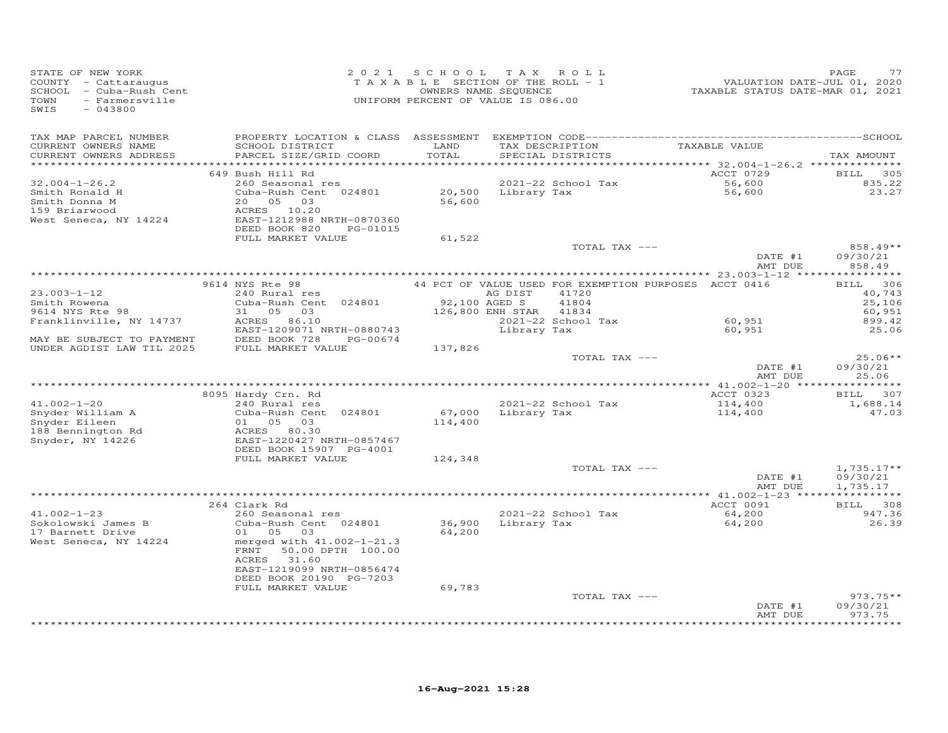| STATE OF NEW YORK<br>COUNTY - Cattaraugus<br>SCHOOL - Cuba-Rush Cent<br>TOWN<br>- Farmersville<br>SWIS<br>$-043800$ | 2 0 2 1                                                | SCHOOL TAX ROLL<br>TAXABLE SECTION OF THE ROLL - 1<br>OWNERS NAME SEQUENCE<br>UNIFORM PERCENT OF VALUE IS 086.00 |                  |                    | VALUATION DATE-JUL 01, 2020<br>TAXABLE STATUS DATE-MAR 01, 2021              | PAGE<br>77             |
|---------------------------------------------------------------------------------------------------------------------|--------------------------------------------------------|------------------------------------------------------------------------------------------------------------------|------------------|--------------------|------------------------------------------------------------------------------|------------------------|
| TAX MAP PARCEL NUMBER                                                                                               |                                                        |                                                                                                                  |                  |                    |                                                                              |                        |
| CURRENT OWNERS NAME                                                                                                 | SCHOOL DISTRICT                                        | LAND                                                                                                             |                  | TAX DESCRIPTION    | TAXABLE VALUE                                                                |                        |
| CURRENT OWNERS ADDRESS                                                                                              | PARCEL SIZE/GRID COORD                                 | TOTAL                                                                                                            |                  | SPECIAL DISTRICTS  |                                                                              | TAX AMOUNT             |
| ***********************                                                                                             | 649 Bush Hill Rd                                       | ************                                                                                                     |                  |                    | ********************************** 32.004–1–26.2 **************<br>ACCT 0729 | 305<br><b>BILL</b>     |
| $32.004 - 1 - 26.2$                                                                                                 | 260 Seasonal res                                       |                                                                                                                  |                  | 2021-22 School Tax | 56,600                                                                       | 835.22                 |
| Smith Ronald H                                                                                                      | Cuba-Rush Cent 024801                                  | 20,500                                                                                                           | Library Tax      |                    | 56,600                                                                       | 23.27                  |
| Smith Donna M                                                                                                       | 20 05<br>03                                            | 56,600                                                                                                           |                  |                    |                                                                              |                        |
| 159 Briarwood                                                                                                       | ACRES 10.20                                            |                                                                                                                  |                  |                    |                                                                              |                        |
| West Seneca, NY 14224                                                                                               | EAST-1212988 NRTH-0870360                              |                                                                                                                  |                  |                    |                                                                              |                        |
|                                                                                                                     | DEED BOOK 820<br>PG-01015                              |                                                                                                                  |                  |                    |                                                                              |                        |
|                                                                                                                     | FULL MARKET VALUE                                      | 61,522                                                                                                           |                  | TOTAL TAX ---      |                                                                              | 858.49**               |
|                                                                                                                     |                                                        |                                                                                                                  |                  |                    | DATE #1                                                                      | 09/30/21               |
|                                                                                                                     |                                                        |                                                                                                                  |                  |                    | AMT DUE                                                                      | 858.49                 |
|                                                                                                                     |                                                        |                                                                                                                  |                  |                    |                                                                              |                        |
|                                                                                                                     | 9614 NYS Rte 98                                        |                                                                                                                  |                  |                    | 44 PCT OF VALUE USED FOR EXEMPTION PURPOSES ACCT 0416                        | 306<br>BILL            |
| $23.003 - 1 - 12$                                                                                                   | 240 Rural res                                          | 92,100 AGED S                                                                                                    | AG DIST          | 41720<br>41804     |                                                                              | 40,743                 |
| Smith Rowena<br>9614 NYS Rte 98                                                                                     | Cuba-Rush Cent 024801<br>31 05 03                      |                                                                                                                  | 126,800 ENH STAR | 41834              |                                                                              | 25,106<br>60,951       |
| Franklinville, NY 14737                                                                                             | ACRES 86.10                                            |                                                                                                                  |                  | 2021-22 School Tax | 60,951                                                                       | 899.42                 |
|                                                                                                                     | EAST-1209071 NRTH-0880743                              |                                                                                                                  | Library Tax      |                    | 60,951                                                                       | 25.06                  |
| MAY BE SUBJECT TO PAYMENT                                                                                           | DEED BOOK 728<br>PG-00674                              |                                                                                                                  |                  |                    |                                                                              |                        |
| UNDER AGDIST LAW TIL 2025                                                                                           | FULL MARKET VALUE                                      | 137,826                                                                                                          |                  |                    |                                                                              |                        |
|                                                                                                                     |                                                        |                                                                                                                  |                  | TOTAL TAX ---      | DATE #1                                                                      | $25.06**$<br>09/30/21  |
|                                                                                                                     |                                                        |                                                                                                                  |                  |                    | AMT DUE                                                                      | 25.06                  |
|                                                                                                                     |                                                        |                                                                                                                  |                  |                    |                                                                              | ***********            |
|                                                                                                                     | 8095 Hardy Crn. Rd                                     |                                                                                                                  |                  |                    | ACCT 0323                                                                    | BILL 307               |
| $41.002 - 1 - 20$                                                                                                   | 240 Rural res                                          |                                                                                                                  |                  | 2021-22 School Tax | 114,400                                                                      | 1,688.14               |
| Snyder William A                                                                                                    | Cuba-Rush Cent 024801                                  | 67,000                                                                                                           | Library Tax      |                    | 114,400                                                                      | 47.03                  |
| Snyder Eileen<br>188 Bennington Rd                                                                                  | 01 05 03<br>ACRES 80.30                                | 114,400                                                                                                          |                  |                    |                                                                              |                        |
| Snyder, NY 14226                                                                                                    | EAST-1220427 NRTH-0857467                              |                                                                                                                  |                  |                    |                                                                              |                        |
|                                                                                                                     | DEED BOOK 15907 PG-4001                                |                                                                                                                  |                  |                    |                                                                              |                        |
|                                                                                                                     | FULL MARKET VALUE                                      | 124,348                                                                                                          |                  |                    |                                                                              |                        |
|                                                                                                                     |                                                        |                                                                                                                  |                  | TOTAL TAX ---      |                                                                              | $1,735.17**$           |
|                                                                                                                     |                                                        |                                                                                                                  |                  |                    | DATE #1<br>AMT DUE                                                           | 09/30/21               |
|                                                                                                                     |                                                        |                                                                                                                  |                  |                    |                                                                              | 1,735.17               |
|                                                                                                                     | 264 Clark Rd                                           |                                                                                                                  |                  |                    | ACCT 0091                                                                    | <b>BILL</b><br>308     |
| $41.002 - 1 - 23$                                                                                                   | 260 Seasonal res                                       |                                                                                                                  |                  | 2021-22 School Tax | 64,200                                                                       | 947.36                 |
| Sokolowski James B                                                                                                  | Cuba-Rush Cent 024801                                  | 36,900                                                                                                           |                  | Library Tax        | 64,200                                                                       | 26.39                  |
| 17 Barnett Drive                                                                                                    | 01 05<br>03                                            | 64,200                                                                                                           |                  |                    |                                                                              |                        |
| West Seneca, NY 14224                                                                                               | merged with 41.002-1-21.3<br>50.00 DPTH 100.00<br>FRNT |                                                                                                                  |                  |                    |                                                                              |                        |
|                                                                                                                     | ACRES 31.60                                            |                                                                                                                  |                  |                    |                                                                              |                        |
|                                                                                                                     | EAST-1219099 NRTH-0856474                              |                                                                                                                  |                  |                    |                                                                              |                        |
|                                                                                                                     | DEED BOOK 20190 PG-7203                                |                                                                                                                  |                  |                    |                                                                              |                        |
|                                                                                                                     | FULL MARKET VALUE                                      | 69,783                                                                                                           |                  |                    |                                                                              |                        |
|                                                                                                                     |                                                        |                                                                                                                  |                  | TOTAL TAX ---      |                                                                              | $973.75**$<br>09/30/21 |
|                                                                                                                     |                                                        |                                                                                                                  |                  |                    | DATE #1<br>AMT DUE                                                           | 973.75                 |
|                                                                                                                     |                                                        |                                                                                                                  |                  |                    |                                                                              | *********              |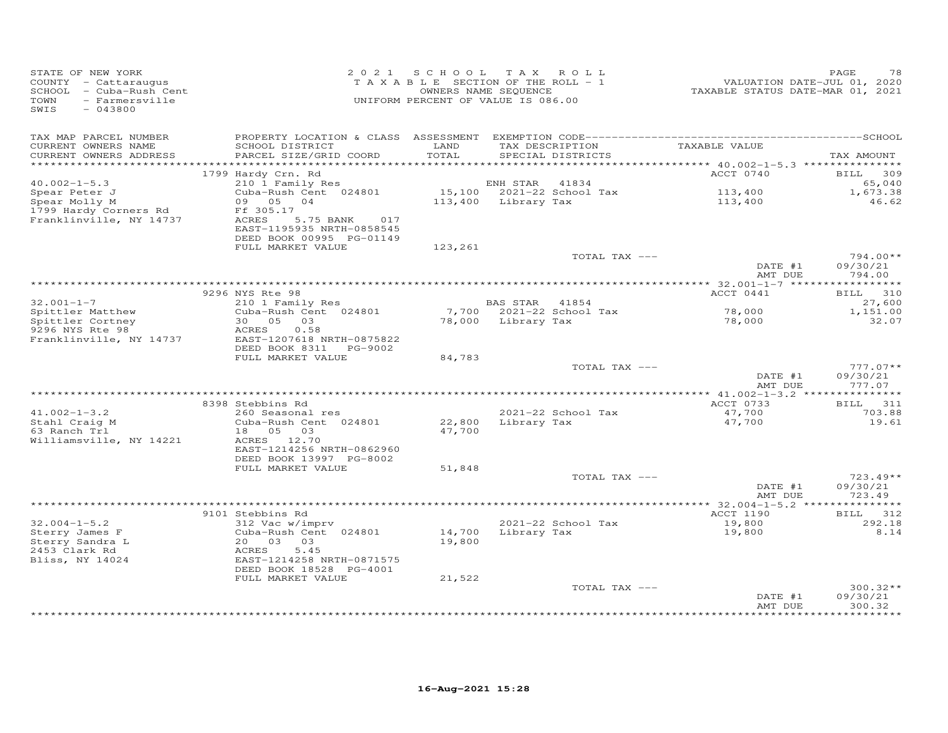| STATE OF NEW YORK<br>COUNTY - Cattaraugus<br>SCHOOL - Cuba-Rush Cent<br>- Farmersville<br>TOWN<br>SWIS<br>$-043800$ |                                                                                                                                                          | 2021 SCHOOL<br>OWNERS NAME SEQUENCE | T A X<br>ROLL<br>TAXABLE SECTION OF THE ROLL - 1<br>UNIFORM PERCENT OF VALUE IS 086.00 | VALUATION DATE-JUL 01, 2020<br>TAXABLE STATUS DATE-MAR 01, 2021 | PAGE<br>78                       |
|---------------------------------------------------------------------------------------------------------------------|----------------------------------------------------------------------------------------------------------------------------------------------------------|-------------------------------------|----------------------------------------------------------------------------------------|-----------------------------------------------------------------|----------------------------------|
| TAX MAP PARCEL NUMBER<br>CURRENT OWNERS NAME<br>CURRENT OWNERS ADDRESS                                              | SCHOOL DISTRICT<br>PARCEL SIZE/GRID COORD                                                                                                                | LAND<br>TOTAL                       | TAX DESCRIPTION<br>SPECIAL DISTRICTS                                                   | TAXABLE VALUE                                                   | TAX AMOUNT                       |
| *************************                                                                                           | 1799 Hardy Crn. Rd                                                                                                                                       |                                     |                                                                                        | ACCT 0740                                                       | 309<br>BILL                      |
| $40.002 - 1 - 5.3$<br>Spear Peter J<br>Spear Molly M<br>1799 Hardy Corners Rd<br>Franklinville, NY 14737            | 210 1 Family Res<br>Cuba-Rush Cent 024801<br>09 05 04<br>Ff 305.17<br>ACRES<br>5.75 BANK<br>017<br>EAST-1195935 NRTH-0858545<br>DEED BOOK 00995 PG-01149 | 15,100<br>113,400                   | 41834<br>ENH STAR<br>2021-22 School Tax<br>Library Tax                                 | 113,400<br>113,400                                              | 65,040<br>1,673.38<br>46.62      |
|                                                                                                                     | FULL MARKET VALUE                                                                                                                                        | 123,261                             |                                                                                        |                                                                 |                                  |
|                                                                                                                     |                                                                                                                                                          |                                     | TOTAL TAX ---                                                                          | DATE #1<br>AMT DUE                                              | 794.00**<br>09/30/21<br>794.00   |
|                                                                                                                     |                                                                                                                                                          |                                     |                                                                                        |                                                                 | ***********                      |
| $32.001 - 1 - 7$                                                                                                    | 9296 NYS Rte 98<br>210 1 Family Res                                                                                                                      |                                     | BAS STAR<br>41854                                                                      | ACCT 0441                                                       | 310<br>BILL<br>27,600            |
| Spittler Matthew<br>Spittler Cortney<br>9296 NYS Rte 98                                                             | Cuba-Rush Cent 024801<br>30 05 03<br>0.58<br>ACRES                                                                                                       | 7,700<br>78,000                     | 2021-22 School Tax<br>Library Tax                                                      | 78,000<br>78,000                                                | 1,151.00<br>32.07                |
| Franklinville, NY 14737                                                                                             | EAST-1207618 NRTH-0875822<br>DEED BOOK 8311 PG-9002<br>FULL MARKET VALUE                                                                                 | 84,783                              |                                                                                        |                                                                 |                                  |
|                                                                                                                     |                                                                                                                                                          |                                     | TOTAL TAX ---                                                                          | DATE #1<br>AMT DUE                                              | $777.07**$<br>09/30/21<br>777.07 |
|                                                                                                                     | 8398 Stebbins Rd                                                                                                                                         |                                     |                                                                                        | ACCT 0733                                                       | BILL 311                         |
| $41.002 - 1 - 3.2$<br>Stahl Craig M<br>63 Ranch Trl<br>Williamsville, NY 14221                                      | 260 Seasonal res<br>Cuba-Rush Cent 024801<br>18  05  03<br>ACRES 12.70<br>EAST-1214256 NRTH-0862960<br>DEED BOOK 13997 PG-8002                           | 22,800<br>47,700                    | 2021-22 School Tax<br>Library Tax                                                      | 47,700<br>47,700                                                | 703.88<br>19.61                  |
|                                                                                                                     | FULL MARKET VALUE                                                                                                                                        | 51,848                              |                                                                                        |                                                                 |                                  |
|                                                                                                                     |                                                                                                                                                          |                                     | TOTAL TAX ---                                                                          | DATE #1<br>AMT DUE                                              | $723.49**$<br>09/30/21<br>723.49 |
|                                                                                                                     |                                                                                                                                                          |                                     |                                                                                        |                                                                 |                                  |
| $32.004 - 1 - 5.2$                                                                                                  | 9101 Stebbins Rd<br>312 Vac w/imprv                                                                                                                      |                                     | 2021-22 School Tax                                                                     | ACCT 1190<br>19,800                                             | 312<br>BILL<br>292.18            |
| Sterry James F<br>Sterry Sandra L<br>2453 Clark Rd<br>Bliss, NY 14024                                               | Cuba-Rush Cent 024801<br>20  03  03<br>ACRES<br>5.45<br>EAST-1214258 NRTH-0871575<br>DEED BOOK 18528 PG-4001                                             | 14,700<br>19,800                    | Library Tax                                                                            | 19,800                                                          | 8.14                             |
|                                                                                                                     | FULL MARKET VALUE                                                                                                                                        | 21,522                              | TOTAL TAX ---                                                                          | DATE #1                                                         | $300.32**$<br>09/30/21           |
|                                                                                                                     |                                                                                                                                                          |                                     |                                                                                        | AMT DUE                                                         | 300.32                           |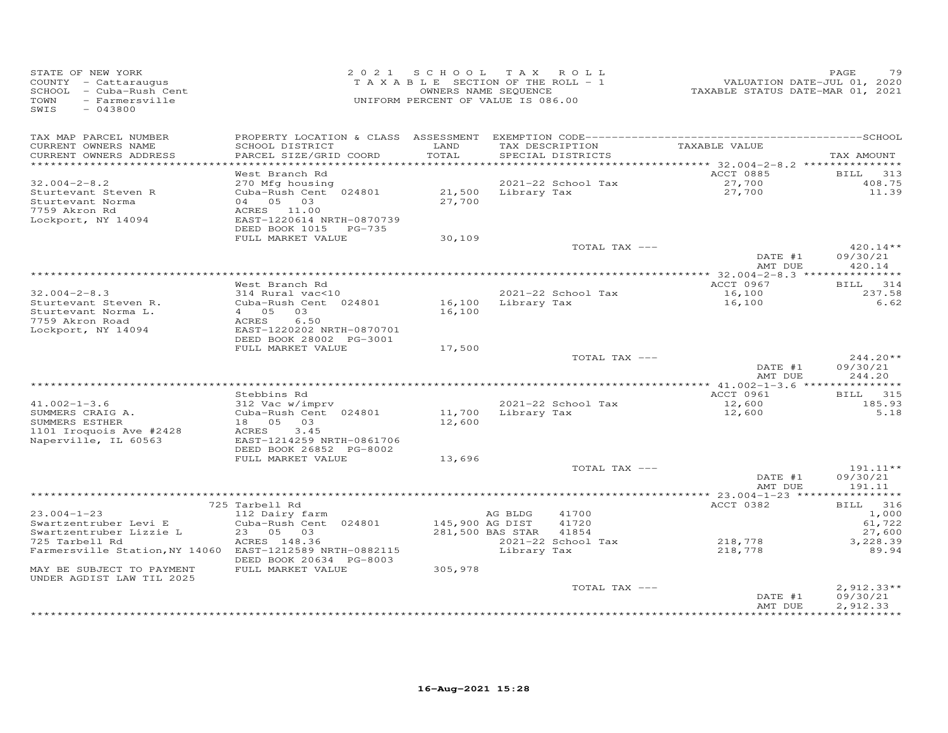| STATE OF NEW YORK<br>COUNTY - Cattaraugus<br>SCHOOL - Cuba-Rush Cent<br>TOWN<br>- Farmersville<br>SWIS<br>$-043800$ |                                                                                                                    | 2021 SCHOOL TAX ROLL<br>TAXABLE SECTION OF THE ROLL - 1<br>OWNERS NAME SEQUENCE<br>UNIFORM PERCENT OF VALUE IS 086.00 |                        |                                      | VALUATION DATE-JUL 01, 2020<br>TAXABLE STATUS DATE-MAR 01, 2021 | PAGE<br>79                            |
|---------------------------------------------------------------------------------------------------------------------|--------------------------------------------------------------------------------------------------------------------|-----------------------------------------------------------------------------------------------------------------------|------------------------|--------------------------------------|-----------------------------------------------------------------|---------------------------------------|
| TAX MAP PARCEL NUMBER<br>CURRENT OWNERS NAME<br>CURRENT OWNERS ADDRESS<br>***********************                   | SCHOOL DISTRICT<br>PARCEL SIZE/GRID COORD                                                                          | LAND<br>TOTAL                                                                                                         |                        | TAX DESCRIPTION<br>SPECIAL DISTRICTS | TAXABLE VALUE                                                   | TAX AMOUNT                            |
| $32.004 - 2 - 8.2$<br>Sturtevant Steven R<br>Sturtevant Norma<br>7759 Akron Rd<br>Lockport, NY 14094                | West Branch Rd<br>270 Mfg housing<br>Cuba-Rush Cent 024801<br>04 05 03<br>ACRES 11.00<br>EAST-1220614 NRTH-0870739 | 27,700                                                                                                                | 21,500 Library Tax     | 2021-22 School Tax                   | ACCT 0885<br>27,700<br>27,700                                   | <b>BILL</b><br>313<br>408.75<br>11.39 |
|                                                                                                                     | DEED BOOK 1015 PG-735<br>FULL MARKET VALUE                                                                         | 30,109                                                                                                                |                        | TOTAL TAX ---                        |                                                                 | $420.14**$                            |
|                                                                                                                     |                                                                                                                    |                                                                                                                       |                        |                                      | DATE #1<br>AMT DUE                                              | 09/30/21<br>420.14                    |
|                                                                                                                     |                                                                                                                    |                                                                                                                       |                        |                                      |                                                                 |                                       |
| $32.004 - 2 - 8.3$<br>Sturtevant Steven R.<br>Sturtevant Norma L.                                                   | West Branch Rd<br>314 Rural vac<10<br>Cuba-Rush Cent 024801<br>4 05 03                                             | 16,100                                                                                                                |                        | 2021-22 School Tax<br>Library Tax    | ACCT 0967<br>16,100<br>16,100                                   | BILL 314<br>237.58<br>6.62            |
| 7759 Akron Road<br>Lockport, NY 14094                                                                               | 6.50<br>ACRES<br>EAST-1220202 NRTH-0870701<br>DEED BOOK 28002 PG-3001<br>FULL MARKET VALUE                         | 16,100<br>17,500                                                                                                      |                        |                                      |                                                                 |                                       |
|                                                                                                                     |                                                                                                                    |                                                                                                                       |                        | TOTAL TAX ---                        | DATE #1<br>AMT DUE                                              | $244.20**$<br>09/30/21<br>244.20      |
|                                                                                                                     |                                                                                                                    |                                                                                                                       |                        |                                      |                                                                 |                                       |
| $41.002 - 1 - 3.6$<br>SUMMERS CRAIG A.                                                                              | Stebbins Rd<br>312 Vac w/imprv<br>Cuba-Rush Cent 024801                                                            | 11,700 Library Tax                                                                                                    |                        | 2021-22 School Tax                   | ACCT 0961<br>12,600<br>12,600                                   | <b>BILL</b><br>315<br>185.93<br>5.18  |
| SUMMERS ESTHER<br>1101 Iroquois Ave #2428<br>Naperville, IL 60563                                                   | 18  05  03<br>3.45<br>ACRES<br>EAST-1214259 NRTH-0861706<br>DEED BOOK 26852 PG-8002                                | 12,600                                                                                                                |                        |                                      |                                                                 |                                       |
|                                                                                                                     | FULL MARKET VALUE                                                                                                  | 13,696                                                                                                                |                        |                                      |                                                                 |                                       |
|                                                                                                                     |                                                                                                                    |                                                                                                                       |                        | TOTAL TAX ---                        | DATE #1<br>AMT DUE                                              | 191.11**<br>09/30/21<br>191.11        |
|                                                                                                                     |                                                                                                                    |                                                                                                                       |                        |                                      | ******* 23.004-1-23 ****************                            |                                       |
|                                                                                                                     | 725 Tarbell Rd                                                                                                     |                                                                                                                       |                        |                                      | ACCT 0382                                                       | BILL 316                              |
| $23.004 - 1 - 23$                                                                                                   | 112 Dairy farm                                                                                                     |                                                                                                                       | AG BLDG                | 41700                                |                                                                 | 1,000                                 |
| Swartzentruber Levi E<br>Swartzentruber Lizzie L                                                                    | Cuba-Rush Cent 024801<br>23 05 03                                                                                  | 145,900 AG DIST                                                                                                       | 281,500 BAS STAR 41854 | 41720                                |                                                                 | 61,722<br>27,600                      |
| 725 Tarbell Rd                                                                                                      | ACRES 148.36                                                                                                       |                                                                                                                       |                        | 2021-22 School Tax                   | 218,778                                                         | 3,228.39                              |
| Farmersville Station, NY 14060 EAST-1212589 NRTH-0882115                                                            | DEED BOOK 20634 PG-8003                                                                                            |                                                                                                                       | Library Tax            |                                      | 218,778                                                         | 89.94                                 |
| MAY BE SUBJECT TO PAYMENT<br>UNDER AGDIST LAW TIL 2025                                                              | FULL MARKET VALUE                                                                                                  | 305,978                                                                                                               |                        |                                      |                                                                 |                                       |
|                                                                                                                     |                                                                                                                    |                                                                                                                       |                        | TOTAL TAX ---                        | DATE #1                                                         | $2,912.33**$<br>09/30/21              |
|                                                                                                                     |                                                                                                                    |                                                                                                                       |                        |                                      | AMT DUE                                                         | 2,912.33                              |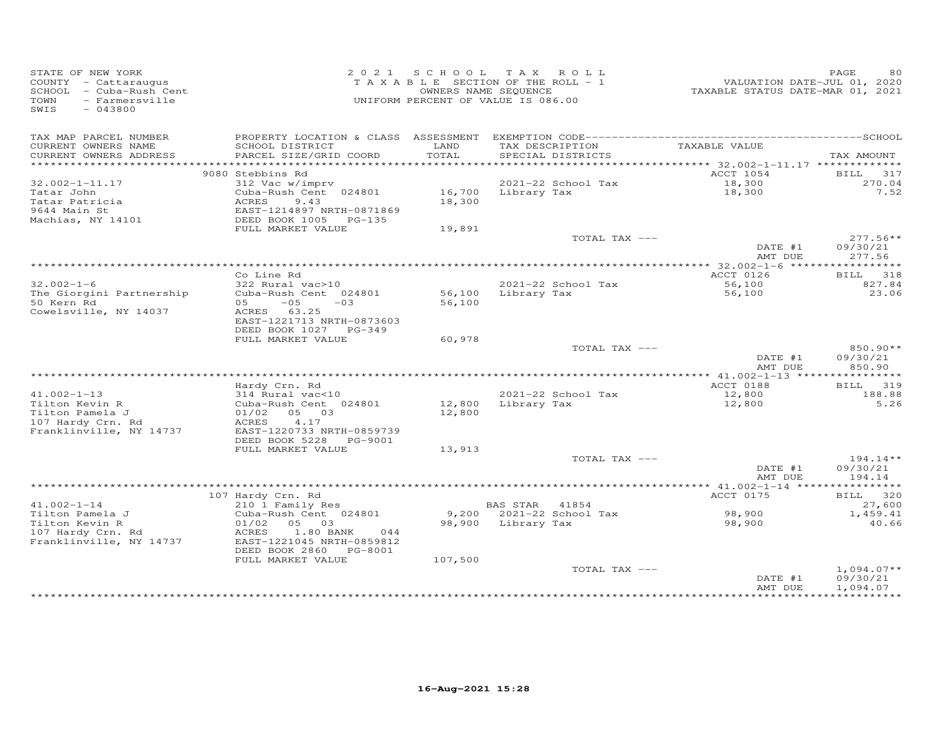| STATE OF NEW YORK<br>COUNTY - Cattaraugus<br>SCHOOL - Cuba-Rush Cent<br>TOWN<br>- Farmersville<br>SWIS<br>$-043800$ |                                                                                                 | 2021 SCHOOL      | TAX ROLL<br>TAXABLE SECTION OF THE ROLL - 1<br>OWNERS NAME SEQUENCE<br>UNIFORM PERCENT OF VALUE IS 086.00 | TAXABLE STATUS DATE-MAR 01, 2021 | PAGE<br>80<br>VALUATION DATE-JUL 01, 2020 |
|---------------------------------------------------------------------------------------------------------------------|-------------------------------------------------------------------------------------------------|------------------|-----------------------------------------------------------------------------------------------------------|----------------------------------|-------------------------------------------|
| TAX MAP PARCEL NUMBER<br>CURRENT OWNERS NAME<br>CURRENT OWNERS ADDRESS                                              | SCHOOL DISTRICT<br>PARCEL SIZE/GRID COORD                                                       | LAND<br>TOTAL    | TAX DESCRIPTION<br>SPECIAL DISTRICTS                                                                      | TAXABLE VALUE                    | TAX AMOUNT                                |
| *******************                                                                                                 |                                                                                                 |                  |                                                                                                           |                                  |                                           |
|                                                                                                                     | 9080 Stebbins Rd                                                                                |                  |                                                                                                           | ACCT 1054                        | BILL 317                                  |
| $32.002 - 1 - 11.17$                                                                                                | 312 Vac w/imprv                                                                                 |                  | 2021-22 School Tax                                                                                        | 18,300                           | 270.04                                    |
| Tatar John<br>Tatar Patricia<br>9644 Main St<br>Machias, NY 14101                                                   | Cuba-Rush Cent 024801<br>ACRES<br>9.43<br>EAST-1214897 NRTH-0871869<br>DEED BOOK 1005<br>PG-135 | 16,700<br>18,300 | Library Tax                                                                                               | 18,300                           | 7.52                                      |
|                                                                                                                     | FULL MARKET VALUE                                                                               | 19,891           |                                                                                                           |                                  |                                           |
|                                                                                                                     |                                                                                                 |                  | TOTAL TAX ---                                                                                             | DATE #1<br>AMT DUE               | $277.56**$<br>09/30/21<br>277.56          |
|                                                                                                                     |                                                                                                 |                  |                                                                                                           |                                  |                                           |
|                                                                                                                     | Co Line Rd                                                                                      |                  |                                                                                                           | ACCT 0126                        | 318<br>BILL                               |
| $32.002 - 1 - 6$                                                                                                    | 322 Rural vac>10                                                                                |                  | 2021-22 School Tax                                                                                        | 56,100                           | 827.84                                    |
| The Giorgini Partnership<br>50 Kern Rd                                                                              | Cuba-Rush Cent 024801<br>$-0.5$<br>$-03$<br>05                                                  | 56,100<br>56,100 | Library Tax                                                                                               | 56,100                           | 23.06                                     |
| Cowelsville, NY 14037                                                                                               | ACRES 63.25<br>EAST-1221713 NRTH-0873603<br>DEED BOOK 1027 PG-349                               |                  |                                                                                                           |                                  |                                           |
|                                                                                                                     | FULL MARKET VALUE                                                                               | 60,978           |                                                                                                           |                                  |                                           |
|                                                                                                                     |                                                                                                 |                  | TOTAL TAX ---                                                                                             | DATE #1<br>AMT DUE               | 850.90**<br>09/30/21<br>850.90            |
|                                                                                                                     |                                                                                                 |                  |                                                                                                           |                                  |                                           |
|                                                                                                                     | Hardy Crn. Rd                                                                                   |                  |                                                                                                           | ACCT 0188                        | <b>BILL</b><br>319                        |
| $41.002 - 1 - 13$                                                                                                   | 314 Rural vac<10                                                                                |                  | 2021-22 School Tax                                                                                        | 12,800                           | 188.88                                    |
| Tilton Kevin R<br>Tilton Pamela J                                                                                   | Cuba-Rush Cent 024801<br>01/02<br>05 03                                                         | 12,800<br>12,800 | Library Tax                                                                                               | 12,800                           | 5.26                                      |
| 107 Hardy Crn. Rd<br>Franklinville, NY 14737                                                                        | ACRES<br>4.17<br>EAST-1220733 NRTH-0859739<br>DEED BOOK 5228 PG-9001                            |                  |                                                                                                           |                                  |                                           |
|                                                                                                                     | FULL MARKET VALUE                                                                               | 13,913           |                                                                                                           |                                  |                                           |
|                                                                                                                     |                                                                                                 |                  | TOTAL TAX ---                                                                                             |                                  | $194.14**$                                |
|                                                                                                                     |                                                                                                 |                  |                                                                                                           | DATE #1<br>AMT DUE               | 09/30/21<br>194.14                        |
|                                                                                                                     |                                                                                                 |                  |                                                                                                           |                                  |                                           |
| $41.002 - 1 - 14$                                                                                                   | 107 Hardy Crn. Rd<br>210 1 Family Res                                                           |                  | BAS STAR<br>41854                                                                                         | ACCT 0175                        | BILL 320<br>27,600                        |
| Tilton Pamela J<br>Tilton Kevin R<br>107 Hardy Crn. Rd                                                              | Cuba-Rush Cent 024801<br>01/02<br>05 03<br>ACRES<br>1.80 BANK<br>044                            |                  | 9,200 2021-22 School Tax<br>98,900 Library Tax                                                            | 98,900<br>98,900                 | 1,459.41<br>40.66                         |
| Franklinville, NY 14737                                                                                             | EAST-1221045 NRTH-0859812<br>DEED BOOK 2860 PG-8001<br>FULL MARKET VALUE                        |                  |                                                                                                           |                                  |                                           |
|                                                                                                                     |                                                                                                 | 107,500          | TOTAL TAX ---                                                                                             | DATE #1<br>AMT DUE               | $1,094.07**$<br>09/30/21<br>1,094.07      |
|                                                                                                                     |                                                                                                 |                  |                                                                                                           |                                  |                                           |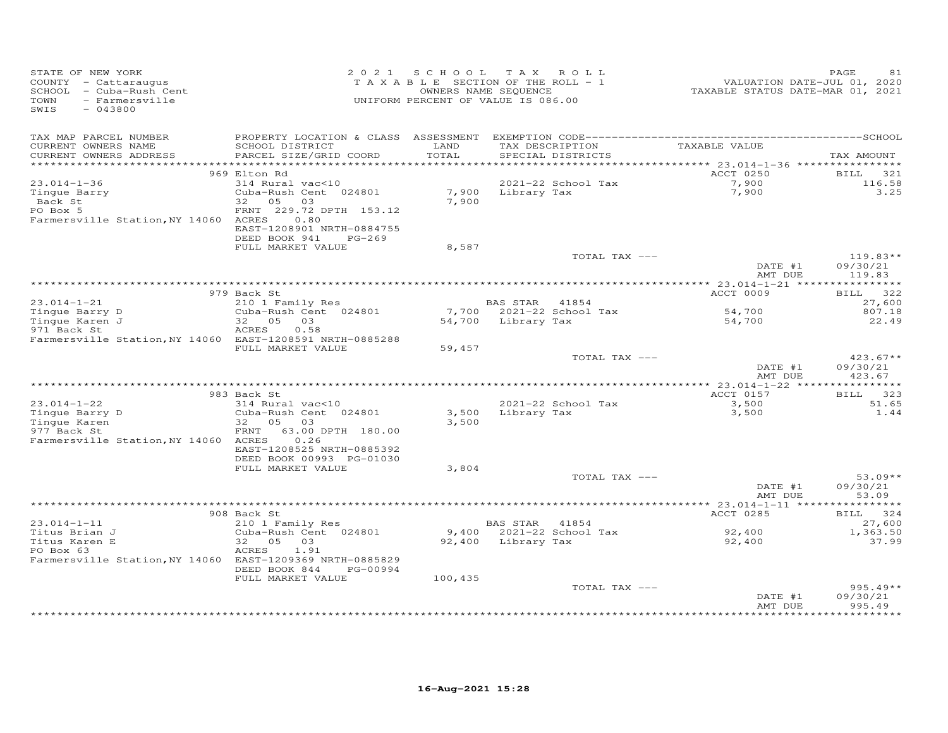| STATE OF NEW YORK<br>COUNTY - Cattaraugus<br>SCHOOL - Cuba-Rush Cent<br>- Farmersville<br>TOWN<br>SWIS<br>$-043800$ |                                                                                                                                                    | 2021 SCHOOL<br>TAXABLE SECTION OF THE ROLL - 1<br>OWNERS NAME SEQUENCE<br>UNIFORM PERCENT OF VALUE IS 086.00 | TAX ROLL           |                                      | VALUATION DATE-JUL 01, 2020<br>TAXABLE STATUS DATE-MAR 01, 2021 | PAGE<br>81                       |
|---------------------------------------------------------------------------------------------------------------------|----------------------------------------------------------------------------------------------------------------------------------------------------|--------------------------------------------------------------------------------------------------------------|--------------------|--------------------------------------|-----------------------------------------------------------------|----------------------------------|
| TAX MAP PARCEL NUMBER<br>CURRENT OWNERS NAME<br>CURRENT OWNERS ADDRESS                                              | SCHOOL DISTRICT<br>PARCEL SIZE/GRID COORD                                                                                                          | LAND<br>TOTAL                                                                                                |                    | TAX DESCRIPTION<br>SPECIAL DISTRICTS | TAXABLE VALUE                                                   | TAX AMOUNT                       |
|                                                                                                                     | 969 Elton Rd                                                                                                                                       |                                                                                                              |                    |                                      | ACCT 0250                                                       | BILL<br>321                      |
| $23.014 - 1 - 36$<br>Tingue Barry<br>Back St<br>PO Box 5<br>Farmersville Station, NY 14060 ACRES                    | 314 Rural vac<10<br>Cuba-Rush Cent 024801<br>32 05 03<br>FRNT 229.72 DPTH 153.12<br>0.80<br>EAST-1208901 NRTH-0884755<br>DEED BOOK 941<br>$PG-269$ | 7,900                                                                                                        | 7,900 Library Tax  | 2021-22 School Tax                   | 7,900<br>7,900                                                  | 116.58<br>3.25                   |
|                                                                                                                     | FULL MARKET VALUE                                                                                                                                  | 8,587                                                                                                        |                    |                                      |                                                                 |                                  |
|                                                                                                                     |                                                                                                                                                    |                                                                                                              |                    | TOTAL TAX ---                        | DATE #1<br>AMT DUE                                              | $119.83**$<br>09/30/21<br>119.83 |
|                                                                                                                     |                                                                                                                                                    |                                                                                                              |                    |                                      |                                                                 |                                  |
| $23.014 - 1 - 21$                                                                                                   | 979 Back St<br>210 1 Family Res                                                                                                                    |                                                                                                              | BAS STAR 41854     |                                      | ACCT 0009                                                       | BILL 322<br>27,600               |
| Tinque Barry D<br>Tingue Karen J<br>971 Back St                                                                     | Cuba-Rush Cent 024801<br>32  05  03<br>ACRES<br>0.58                                                                                               |                                                                                                              | 54,700 Library Tax |                                      | 54,700<br>54,700                                                | 807.18<br>22.49                  |
| Farmersville Station, NY 14060 EAST-1208591 NRTH-0885288                                                            | FULL MARKET VALUE                                                                                                                                  | 59,457                                                                                                       |                    |                                      |                                                                 |                                  |
|                                                                                                                     |                                                                                                                                                    |                                                                                                              |                    | TOTAL TAX ---                        | DATE #1<br>AMT DUE                                              | $423.67**$<br>09/30/21<br>423.67 |
|                                                                                                                     |                                                                                                                                                    |                                                                                                              |                    |                                      | ************ 23.014-1-22 ****                                   | ***********                      |
| $23.014 - 1 - 22$                                                                                                   | 983 Back St<br>314 Rural vac<10                                                                                                                    |                                                                                                              |                    | 2021-22 School Tax                   | ACCT 0157<br>3,500                                              | <b>BILL</b><br>323<br>51.65      |
| Tingue Barry D<br>Tingue Karen<br>977 Back St<br>Farmersville Station, NY 14060 ACRES                               | Cuba-Rush Cent 024801<br>32 05 03<br>FRNT 63.00 DPTH 180.00<br>0.26<br>EAST-1208525 NRTH-0885392<br>DEED BOOK 00993 PG-01030                       | 3,500                                                                                                        |                    | 3,500 Library Tax                    | 3,500                                                           | 1.44                             |
|                                                                                                                     | FULL MARKET VALUE                                                                                                                                  | 3,804                                                                                                        |                    |                                      |                                                                 |                                  |
|                                                                                                                     |                                                                                                                                                    |                                                                                                              |                    | TOTAL TAX ---                        | DATE #1<br>AMT DUE                                              | $53.09**$<br>09/30/21<br>53.09   |
|                                                                                                                     |                                                                                                                                                    |                                                                                                              |                    |                                      |                                                                 |                                  |
| $23.014 - 1 - 11$                                                                                                   | 908 Back St<br>210 1 Family Res                                                                                                                    |                                                                                                              | BAS STAR 41854     |                                      | ACCT 0285                                                       | 324<br>BILL<br>27,600            |
| Titus Brian J                                                                                                       | Cuba-Rush Cent 024801                                                                                                                              |                                                                                                              |                    | 9,400 2021-22 School Tax             | 92,400<br>92,400                                                | 1,363.50                         |
| Titus Karen E<br>PO Box 63                                                                                          | 32 05 03<br>ACRES<br>1.91                                                                                                                          |                                                                                                              | 92,400 Library Tax |                                      | 92,400                                                          | 37.99                            |
| Farmersville Station, NY 14060 EAST-1209369 NRTH-0885829                                                            | DEED BOOK 844<br>PG-00994<br>FULL MARKET VALUE                                                                                                     | 100,435                                                                                                      |                    |                                      |                                                                 |                                  |
|                                                                                                                     |                                                                                                                                                    |                                                                                                              |                    | TOTAL TAX ---                        | DATE #1<br>AMT DUE                                              | $995.49**$<br>09/30/21<br>995.49 |
|                                                                                                                     |                                                                                                                                                    |                                                                                                              |                    |                                      |                                                                 |                                  |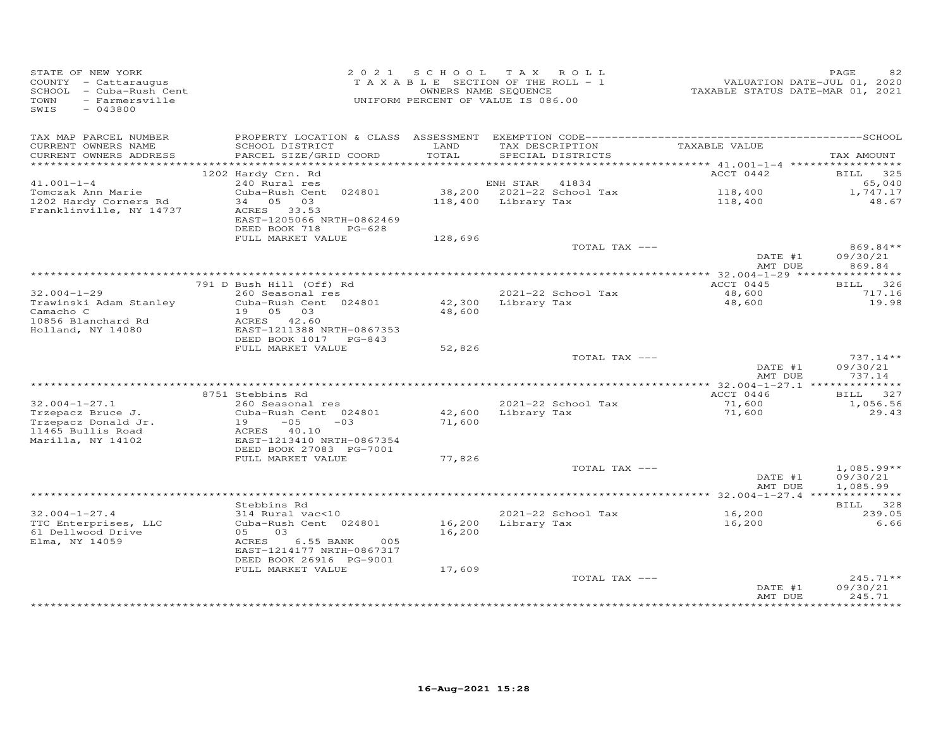| STATE OF NEW YORK<br>COUNTY - Cattaraugus<br>SCHOOL - Cuba-Rush Cent<br>TOWN<br>- Farmersville<br>SWIS<br>$-043800$ |                                                                                   |                  | 2021 SCHOOL TAX ROLL<br>TAXABLE SECTION OF THE ROLL - 1<br>OWNERS NAME SEQUENCE<br>UNIFORM PERCENT OF VALUE IS 086.00 | VALUATION DATE-JUL 01, 2020<br>TAXABLE STATUS DATE-MAR 01, 2021 | PAGE<br>82                       |
|---------------------------------------------------------------------------------------------------------------------|-----------------------------------------------------------------------------------|------------------|-----------------------------------------------------------------------------------------------------------------------|-----------------------------------------------------------------|----------------------------------|
| TAX MAP PARCEL NUMBER                                                                                               |                                                                                   |                  |                                                                                                                       |                                                                 |                                  |
| CURRENT OWNERS NAME<br>CURRENT OWNERS ADDRESS                                                                       | SCHOOL DISTRICT<br>PARCEL SIZE/GRID COORD                                         | LAND<br>TOTAL    | TAX DESCRIPTION<br>SPECIAL DISTRICTS                                                                                  | TAXABLE VALUE                                                   | TAX AMOUNT                       |
|                                                                                                                     |                                                                                   |                  |                                                                                                                       |                                                                 |                                  |
|                                                                                                                     | 1202 Hardy Crn. Rd                                                                |                  |                                                                                                                       | ACCT 0442                                                       | BILL 325                         |
| $41.001 - 1 - 4$<br>Tomczak Ann Marie                                                                               | 240 Rural res<br>Cuba-Rush Cent 024801                                            |                  | ENH STAR<br>41834<br>38,200 2021-22 School Tax                                                                        | 118,400                                                         | 65,040<br>1,747.17               |
| 1202 Hardy Corners Rd<br>Franklinville, NY 14737                                                                    | 34 05 03<br>ACRES 33.53<br>EAST-1205066 NRTH-0862469<br>DEED BOOK 718<br>$PG-628$ |                  | 118,400 Library Tax                                                                                                   | 118,400                                                         | 48.67                            |
|                                                                                                                     | FULL MARKET VALUE                                                                 | 128,696          |                                                                                                                       |                                                                 |                                  |
|                                                                                                                     |                                                                                   |                  | TOTAL TAX ---                                                                                                         | DATE #1                                                         | 869.84**<br>09/30/21             |
|                                                                                                                     |                                                                                   |                  |                                                                                                                       | AMT DUE                                                         | 869.84                           |
|                                                                                                                     |                                                                                   |                  |                                                                                                                       |                                                                 |                                  |
| $32.004 - 1 - 29$                                                                                                   | 791 D Bush Hill (Off) Rd                                                          |                  |                                                                                                                       | ACCT 0445                                                       | BILL 326                         |
| Trawinski Adam Stanley<br>Camacho C                                                                                 | 260 Seasonal res<br>Cuba-Rush Cent 024801<br>19  05  03                           | 48,600           | 2021-22 School Tax<br>$42,300$ Library Tax                                                                            | 48,600<br>48,600                                                | 717.16<br>19.98                  |
| 10856 Blanchard Rd<br>Holland, NY 14080                                                                             | ACRES 42.60<br>EAST-1211388 NRTH-0867353                                          |                  |                                                                                                                       |                                                                 |                                  |
|                                                                                                                     | DEED BOOK 1017 PG-843                                                             |                  |                                                                                                                       |                                                                 |                                  |
|                                                                                                                     | FULL MARKET VALUE                                                                 | 52,826           |                                                                                                                       |                                                                 |                                  |
|                                                                                                                     |                                                                                   |                  | TOTAL TAX ---                                                                                                         | DATE #1<br>AMT DUE                                              | $737.14**$<br>09/30/21<br>737.14 |
|                                                                                                                     |                                                                                   |                  |                                                                                                                       |                                                                 |                                  |
|                                                                                                                     | 8751 Stebbins Rd                                                                  |                  |                                                                                                                       | ACCT 0446                                                       | BILL 327                         |
| $32.004 - 1 - 27.1$                                                                                                 | 260 Seasonal res                                                                  |                  | 2021-22 School Tax                                                                                                    | 71,600                                                          | 1,056.56                         |
| Trzepacz Bruce J.<br>Trzepacz Donald Jr.                                                                            | Cuba-Rush Cent 024801<br>$19 -05 -03$                                             | 42,600<br>71,600 | Library Tax                                                                                                           | 71,600                                                          | 29.43                            |
| 11465 Bullis Road<br>Marilla, NY 14102                                                                              | ACRES 40.10<br>EAST-1213410 NRTH-0867354                                          |                  |                                                                                                                       |                                                                 |                                  |
|                                                                                                                     | DEED BOOK 27083 PG-7001                                                           |                  |                                                                                                                       |                                                                 |                                  |
|                                                                                                                     | FULL MARKET VALUE                                                                 | 77,826           | TOTAL TAX ---                                                                                                         |                                                                 | $1,085.99**$                     |
|                                                                                                                     |                                                                                   |                  |                                                                                                                       | DATE #1<br>AMT DUE                                              | 09/30/21<br>1,085.99             |
|                                                                                                                     |                                                                                   |                  |                                                                                                                       |                                                                 |                                  |
|                                                                                                                     | Stebbins Rd                                                                       |                  |                                                                                                                       |                                                                 | BILL 328                         |
| $32.004 - 1 - 27.4$                                                                                                 | 314 Rural vac<10                                                                  |                  | 2021-22 School Tax                                                                                                    | 16,200                                                          | 239.05                           |
| TTC Enterprises, LLC<br>61 Dellwood Drive                                                                           | Cuba-Rush Cent 024801<br>05 03                                                    | 16,200           | 16,200 Library Tax                                                                                                    | 16,200                                                          | 6.66                             |
| Elma, NY 14059                                                                                                      | 6.55 BANK<br>ACRES<br>005<br>EAST-1214177 NRTH-0867317<br>DEED BOOK 26916 PG-9001 |                  |                                                                                                                       |                                                                 |                                  |
|                                                                                                                     | FULL MARKET VALUE                                                                 | 17,609           |                                                                                                                       |                                                                 |                                  |
|                                                                                                                     |                                                                                   |                  | TOTAL TAX ---                                                                                                         | DATE #1<br>AMT DUE                                              | $245.71**$<br>09/30/21<br>245.71 |
|                                                                                                                     |                                                                                   |                  |                                                                                                                       |                                                                 | * * * * * * * *                  |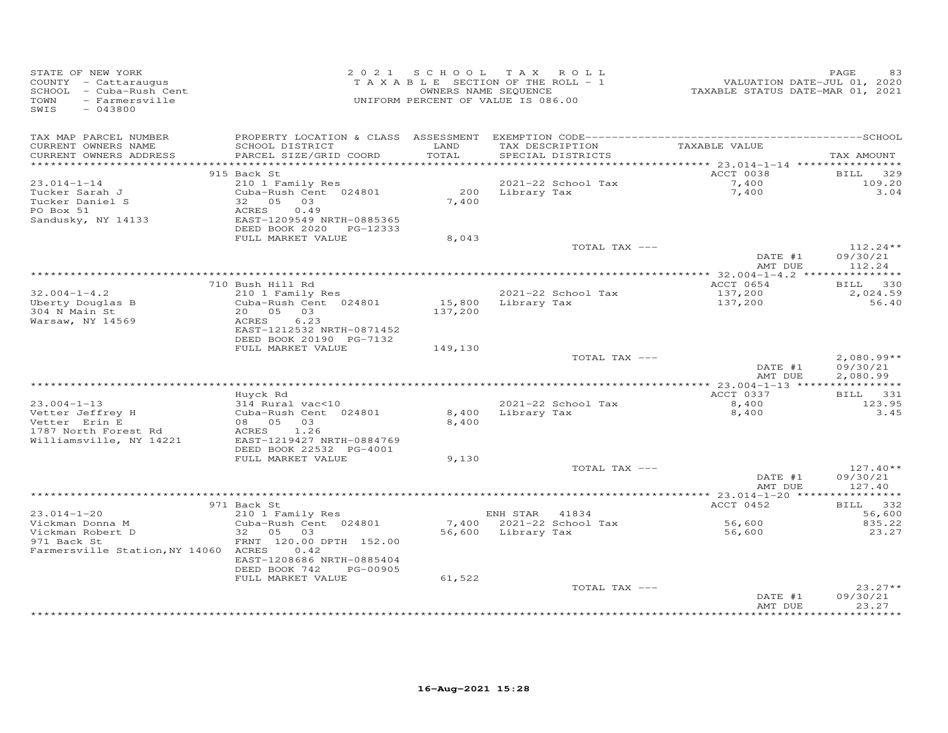| STATE OF NEW YORK<br>COUNTY - Cattaraugus<br>SCHOOL - Cuba-Rush Cent<br>TOWN<br>- Farmersville<br>SWIS<br>$-043800$ |                                                                                                       |                   | 2021 SCHOOL TAX ROLL<br>TAXABLE SECTION OF THE ROLL - 1<br>OWNERS NAME SEQUENCE<br>UNIFORM PERCENT OF VALUE IS 086.00 | VALUATION DATE-JUL 01, 2020<br>TAXABLE STATUS DATE-MAR 01, 2021 | PAGE<br>83                     |
|---------------------------------------------------------------------------------------------------------------------|-------------------------------------------------------------------------------------------------------|-------------------|-----------------------------------------------------------------------------------------------------------------------|-----------------------------------------------------------------|--------------------------------|
| TAX MAP PARCEL NUMBER<br>CURRENT OWNERS NAME<br>CURRENT OWNERS ADDRESS                                              | SCHOOL DISTRICT<br>PARCEL SIZE/GRID COORD                                                             | LAND<br>TOTAL     | TAX DESCRIPTION<br>SPECIAL DISTRICTS                                                                                  | TAXABLE VALUE                                                   | TAX AMOUNT                     |
|                                                                                                                     | 915 Back St                                                                                           |                   |                                                                                                                       | ACCT 0038                                                       | BILL 329                       |
| $23.014 - 1 - 14$<br>Tucker Sarah J<br>Tucker Daniel S<br>PO Box 51<br>Sandusky, NY 14133                           | 210 1 Family Res<br>Cuba-Rush Cent 024801<br>32  05  03<br>ACRES<br>0.49<br>EAST-1209549 NRTH-0885365 | 7,400             | 2021-22 School Tax<br>200 Library Tax                                                                                 | 7,400<br>7,400                                                  | 109.20<br>3.04                 |
|                                                                                                                     | DEED BOOK 2020 PG-12333                                                                               |                   |                                                                                                                       |                                                                 |                                |
|                                                                                                                     | FULL MARKET VALUE                                                                                     | 8,043             | TOTAL TAX ---                                                                                                         |                                                                 | 112.24**                       |
|                                                                                                                     |                                                                                                       |                   |                                                                                                                       | DATE #1<br>AMT DUE                                              | 09/30/21<br>112.24             |
|                                                                                                                     |                                                                                                       |                   |                                                                                                                       |                                                                 |                                |
|                                                                                                                     | 710 Bush Hill Rd                                                                                      |                   |                                                                                                                       | ACCT 0654                                                       | BILL 330                       |
| $32.004 - 1 - 4.2$<br>Uberty Douglas B<br>304 N Main St                                                             | 210 1 Family Res<br>Cuba-Rush Cent 024801<br>20  05  03                                               | 15,800<br>137,200 | 2021-22 School Tax<br>Library Tax                                                                                     | 137,200<br>137,200                                              | 2,024.59<br>56.40              |
| Warsaw, NY 14569                                                                                                    | 6.23<br>ACRES<br>EAST-1212532 NRTH-0871452<br>DEED BOOK 20190 PG-7132<br>FULL MARKET VALUE            | 149,130           |                                                                                                                       |                                                                 |                                |
|                                                                                                                     |                                                                                                       |                   | TOTAL TAX ---                                                                                                         |                                                                 | $2,080.99**$                   |
|                                                                                                                     |                                                                                                       |                   |                                                                                                                       | DATE #1<br>AMT DUE                                              | 09/30/21<br>2,080.99           |
|                                                                                                                     |                                                                                                       |                   |                                                                                                                       |                                                                 |                                |
| $23.004 - 1 - 13$                                                                                                   | Huyck Rd<br>314 Rural vac<10                                                                          |                   | 2021-22 School Tax                                                                                                    | ACCT 0337<br>8,400                                              | BILL 331<br>123.95             |
| Vetter Jeffrey H<br>Vetter Erin E<br>1787 North Forest Rd                                                           | Cuba-Rush Cent 024801<br>08 05 03<br>1.26<br>ACRES                                                    | 8,400             | 8,400 Library Tax                                                                                                     | 8,400                                                           | 3.45                           |
| Williamsville, NY 14221                                                                                             | EAST-1219427 NRTH-0884769<br>DEED BOOK 22532 PG-4001                                                  |                   |                                                                                                                       |                                                                 |                                |
|                                                                                                                     | FULL MARKET VALUE                                                                                     | 9,130             | TOTAL TAX ---                                                                                                         |                                                                 | $127.40**$                     |
|                                                                                                                     |                                                                                                       |                   |                                                                                                                       | DATE #1<br>AMT DUE                                              | 09/30/21<br>127.40             |
|                                                                                                                     |                                                                                                       |                   |                                                                                                                       |                                                                 |                                |
| $23.014 - 1 - 20$                                                                                                   | 971 Back St<br>210 1 Family Res                                                                       |                   | ENH STAR 41834                                                                                                        | ACCT 0452                                                       | BILL 332<br>56,600             |
| Vickman Donna M                                                                                                     | Cuba-Rush Cent 024801                                                                                 |                   | 7,400 2021-22 School Tax                                                                                              | 56,600                                                          | 835.22                         |
| Vickman Robert D<br>971 Back St<br>Farmersville Station, NY 14060 ACRES 0.42                                        | 32 05 03<br>FRNT 120.00 DPTH 152.00<br>EAST-1208686 NRTH-0885404                                      |                   | 56,600 Library Tax                                                                                                    | 56,600                                                          | 23.27                          |
|                                                                                                                     | DEED BOOK 742<br>PG-00905                                                                             |                   |                                                                                                                       |                                                                 |                                |
|                                                                                                                     | FULL MARKET VALUE                                                                                     | 61,522            |                                                                                                                       |                                                                 |                                |
|                                                                                                                     |                                                                                                       |                   | TOTAL TAX ---                                                                                                         | DATE #1<br>AMT DUE                                              | $23.27**$<br>09/30/21<br>23.27 |
|                                                                                                                     |                                                                                                       |                   |                                                                                                                       |                                                                 |                                |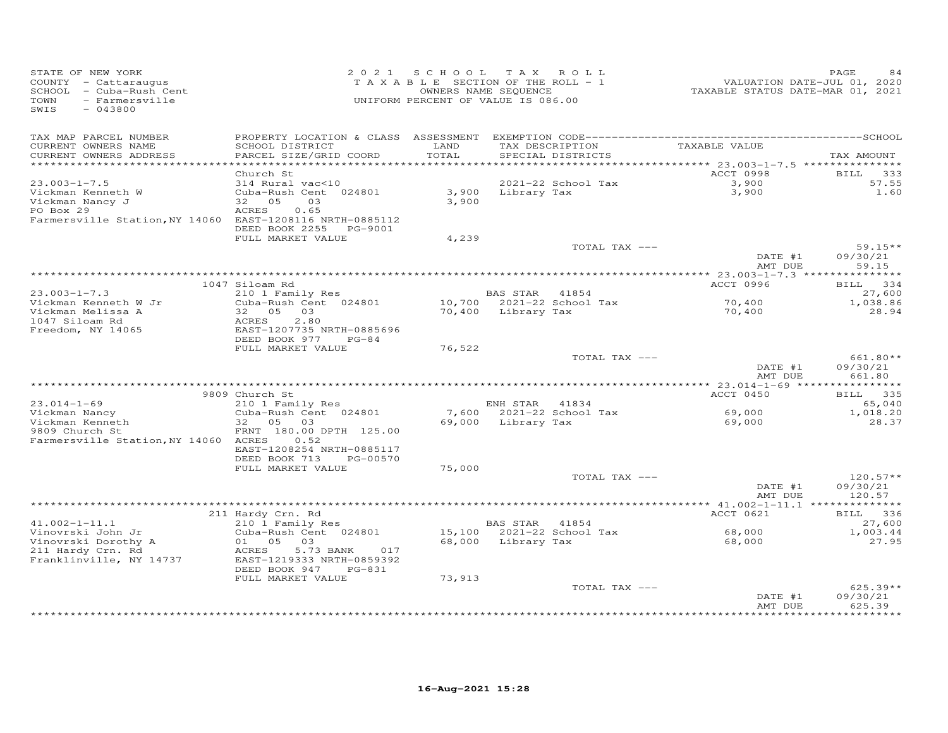| STATE OF NEW YORK<br>COUNTY - Cattaraugus<br>SCHOOL<br>- Cuba-Rush Cent<br>TOWN<br>- Farmersville<br>SWIS<br>$-043800$ | 2 0 2 1                                                                                                                                    | SCHOOL<br>TAXABLE SECTION OF THE ROLL - 1<br>UNIFORM PERCENT OF VALUE IS 086.00 | T A X<br>OWNERS NAME SEQUENCE | ROLL                                 | VALUATION DATE-JUL 01, 2020<br>TAXABLE STATUS DATE-MAR 01, 2021 | PAGE<br>84                       |
|------------------------------------------------------------------------------------------------------------------------|--------------------------------------------------------------------------------------------------------------------------------------------|---------------------------------------------------------------------------------|-------------------------------|--------------------------------------|-----------------------------------------------------------------|----------------------------------|
| TAX MAP PARCEL NUMBER<br>CURRENT OWNERS NAME<br>CURRENT OWNERS ADDRESS<br>************************                     | SCHOOL DISTRICT<br>PARCEL SIZE/GRID COORD                                                                                                  | LAND<br>TOTAL                                                                   |                               | TAX DESCRIPTION<br>SPECIAL DISTRICTS | TAXABLE VALUE                                                   | TAX AMOUNT                       |
|                                                                                                                        | Church St                                                                                                                                  |                                                                                 |                               |                                      | ACCT 0998                                                       | <b>BILL</b><br>333               |
| $23.003 - 1 - 7.5$<br>Vickman Kenneth W<br>Vickman Nancy J<br>PO Box 29<br>Farmersville Station, NY 14060              | 314 Rural vac<10<br>Cuba-Rush Cent 024801<br>32 05<br>03<br><b>ACRES</b><br>0.65<br>EAST-1208116 NRTH-0885112<br>DEED BOOK 2255<br>PG-9001 | 3,900<br>3,900                                                                  | Library Tax                   | 2021-22 School Tax                   | 3,900<br>3,900                                                  | 57.55<br>1.60                    |
|                                                                                                                        | FULL MARKET VALUE                                                                                                                          | 4,239                                                                           |                               | TOTAL TAX ---                        |                                                                 | $59.15**$                        |
|                                                                                                                        |                                                                                                                                            |                                                                                 |                               |                                      | DATE #1<br>AMT DUE                                              | 09/30/21<br>59.15                |
|                                                                                                                        |                                                                                                                                            |                                                                                 |                               |                                      |                                                                 |                                  |
| $23.003 - 1 - 7.3$                                                                                                     | 1047 Siloam Rd<br>210 1 Family Res                                                                                                         |                                                                                 | BAS STAR 41854                |                                      | ACCT 0996                                                       | BILL 334<br>27,600               |
| Vickman Kenneth W Jr                                                                                                   | Cuba-Rush Cent 024801                                                                                                                      |                                                                                 |                               | 10,700 2021-22 School Tax            | 70,400                                                          | 1,038.86                         |
| Vickman Melissa A                                                                                                      | 32 05<br>03                                                                                                                                |                                                                                 | 70,400 Library Tax            |                                      | 70,400                                                          | 28.94                            |
| 1047 Siloam Rd<br>Freedom, NY 14065                                                                                    | ACRES<br>2.80<br>EAST-1207735 NRTH-0885696<br>DEED BOOK 977<br>$PG-84$                                                                     |                                                                                 |                               |                                      |                                                                 |                                  |
|                                                                                                                        | FULL MARKET VALUE                                                                                                                          | 76,522                                                                          |                               | TOTAL TAX ---                        |                                                                 | 661.80**                         |
|                                                                                                                        |                                                                                                                                            |                                                                                 |                               |                                      | DATE #1<br>AMT DUE                                              | 09/30/21<br>661.80               |
|                                                                                                                        |                                                                                                                                            |                                                                                 |                               |                                      |                                                                 | ***********                      |
| $23.014 - 1 - 69$                                                                                                      | 9809 Church St<br>210 1 Family Res                                                                                                         |                                                                                 | ENH STAR 41834                |                                      | ACCT 0450                                                       | 335<br>BILL<br>65,040            |
| Vickman Nancy                                                                                                          | Cuba-Rush Cent 024801                                                                                                                      |                                                                                 |                               | 7,600 2021-22 School Tax             | 69,000                                                          | 1,018.20                         |
| Vickman Kenneth                                                                                                        | 32<br>05<br>03                                                                                                                             | 69,000                                                                          | Library Tax                   |                                      | 69,000                                                          | 28.37                            |
| 9809 Church St<br>Farmersville Station, NY 14060 ACRES                                                                 | FRNT 180.00 DPTH 125.00<br>0.52<br>EAST-1208254 NRTH-0885117<br>DEED BOOK 713<br>PG-00570                                                  |                                                                                 |                               |                                      |                                                                 |                                  |
|                                                                                                                        | FULL MARKET VALUE                                                                                                                          | 75,000                                                                          |                               |                                      |                                                                 |                                  |
|                                                                                                                        |                                                                                                                                            |                                                                                 |                               | TOTAL TAX ---                        | DATE #1<br>AMT DUE                                              | $120.57**$<br>09/30/21<br>120.57 |
|                                                                                                                        |                                                                                                                                            |                                                                                 |                               |                                      |                                                                 |                                  |
| $41.002 - 1 - 11.1$                                                                                                    | 211 Hardy Crn. Rd<br>210 1 Family Res                                                                                                      |                                                                                 | BAS STAR                      | 41854                                | ACCT 0621                                                       | 336<br><b>BILL</b><br>27,600     |
| Vinovrski John Jr                                                                                                      | Cuba-Rush Cent 024801                                                                                                                      | 15,100                                                                          |                               | 2021-22 School Tax                   | 68,000                                                          | 1,003.44                         |
| Vinovrski Dorothy A<br>211 Hardy Crn. Rd<br>Franklinville, NY 14737                                                    | 01 05<br>03<br>ACRES<br>5.73 BANK<br>017<br>EAST-1219333 NRTH-0859392<br>DEED BOOK 947<br>PG-831                                           | 68,000                                                                          | Library Tax                   |                                      | 68,000                                                          | 27.95                            |
|                                                                                                                        | FULL MARKET VALUE                                                                                                                          | 73,913                                                                          |                               | TOTAL TAX ---                        |                                                                 | $625.39**$                       |
|                                                                                                                        |                                                                                                                                            |                                                                                 |                               |                                      | DATE #1<br>AMT DUE                                              | 09/30/21<br>625.39               |
|                                                                                                                        |                                                                                                                                            |                                                                                 |                               |                                      |                                                                 |                                  |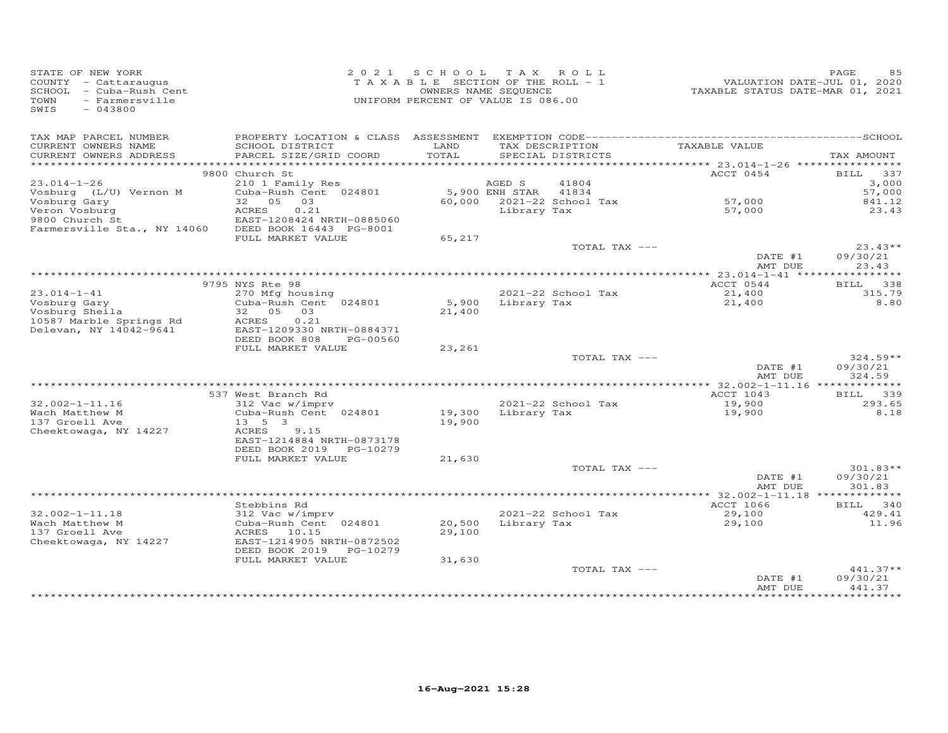| STATE OF NEW YORK<br>COUNTY - Cattaraugus<br>SCHOOL - Cuba-Rush Cent<br>TOWN<br>- Farmersville<br>SWIS<br>$-043800$ |                                          | 2021 SCHOOL TAX ROLL<br>TAXABLE SECTION OF THE ROLL - 1<br>OWNERS NAME SEQUENCE<br>UNIFORM PERCENT OF VALUE IS 086.00 |                      |                                         | VALUATION DATE-JUL 01, 2020<br>TAXABLE STATUS DATE-MAR 01, 2021 | PAGE<br>85             |
|---------------------------------------------------------------------------------------------------------------------|------------------------------------------|-----------------------------------------------------------------------------------------------------------------------|----------------------|-----------------------------------------|-----------------------------------------------------------------|------------------------|
| TAX MAP PARCEL NUMBER<br>CURRENT OWNERS NAME                                                                        | SCHOOL DISTRICT                          | LAND                                                                                                                  |                      | TAX DESCRIPTION                         | TAXABLE VALUE                                                   |                        |
| CURRENT OWNERS ADDRESS                                                                                              | PARCEL SIZE/GRID COORD                   | TOTAL                                                                                                                 |                      | SPECIAL DISTRICTS                       |                                                                 | TAX AMOUNT             |
|                                                                                                                     |                                          |                                                                                                                       |                      |                                         |                                                                 |                        |
| $23.014 - 1 - 26$                                                                                                   | 9800 Church St<br>210 1 Family Res       |                                                                                                                       | AGED S               | 41804                                   | ACCT 0454                                                       | BILL 337<br>3,000      |
| Vosburg (L/U) Vernon M                                                                                              | Cuba-Rush Cent 024801                    |                                                                                                                       | 5,900 ENH STAR 41834 |                                         |                                                                 | 57,000                 |
| Vosburg Gary                                                                                                        | 32 05 03                                 |                                                                                                                       |                      | 60,000 2021-22 School Tax               | 57,000                                                          | 841.12                 |
| Veron Vosburg                                                                                                       | ACRES<br>0.21                            |                                                                                                                       | Library Tax          |                                         | 57,000                                                          | 23.43                  |
| 9800 Church St                                                                                                      | EAST-1208424 NRTH-0885060                |                                                                                                                       |                      |                                         |                                                                 |                        |
| Farmersville Sta., NY 14060                                                                                         | DEED BOOK 16443 PG-8001                  |                                                                                                                       |                      |                                         |                                                                 |                        |
|                                                                                                                     | FULL MARKET VALUE                        | 65,217                                                                                                                |                      | TOTAL TAX ---                           |                                                                 | $23.43**$              |
|                                                                                                                     |                                          |                                                                                                                       |                      |                                         | DATE #1                                                         | 09/30/21               |
|                                                                                                                     |                                          |                                                                                                                       |                      |                                         | AMT DUE                                                         | 23.43                  |
|                                                                                                                     |                                          |                                                                                                                       |                      |                                         |                                                                 |                        |
|                                                                                                                     | 9795 NYS Rte 98                          |                                                                                                                       |                      |                                         | ACCT 0544                                                       | <b>BILL</b><br>338     |
| $23.014 - 1 - 41$<br>Vosburg Gary                                                                                   | 270 Mfg housing<br>Cuba-Rush Cent 024801 |                                                                                                                       |                      | 2021-22 School Tax<br>5,900 Library Tax | 21,400<br>21,400                                                | 315.79<br>8.80         |
| Vosburg Sheila                                                                                                      | 32  05  03                               | 21,400                                                                                                                |                      |                                         |                                                                 |                        |
| 10587 Marble Springs Rd                                                                                             | ACRES<br>0.21                            |                                                                                                                       |                      |                                         |                                                                 |                        |
| Delevan, NY 14042-9641                                                                                              | EAST-1209330 NRTH-0884371                |                                                                                                                       |                      |                                         |                                                                 |                        |
|                                                                                                                     | DEED BOOK 808<br>PG-00560                |                                                                                                                       |                      |                                         |                                                                 |                        |
|                                                                                                                     | FULL MARKET VALUE                        | 23,261                                                                                                                |                      | TOTAL TAX ---                           |                                                                 | $324.59**$             |
|                                                                                                                     |                                          |                                                                                                                       |                      |                                         | DATE #1                                                         | 09/30/21               |
|                                                                                                                     |                                          |                                                                                                                       |                      |                                         | AMT DUE                                                         | 324.59                 |
|                                                                                                                     |                                          |                                                                                                                       |                      |                                         |                                                                 |                        |
|                                                                                                                     | 537 West Branch Rd                       |                                                                                                                       |                      |                                         | ACCT 1043                                                       | BILL 339               |
| $32.002 - 1 - 11.16$<br>Wach Matthew M                                                                              | 312 Vac w/imprv<br>Cuba-Rush Cent 024801 | 2021-22 SCHO<br>19,300 Library Tax                                                                                    |                      | 2021-22 School Tax                      | 19,900<br>19,900                                                | 293.65<br>8.18         |
| 137 Groell Ave                                                                                                      | $13 \quad 5 \quad 3$                     | 19,900                                                                                                                |                      |                                         |                                                                 |                        |
| Cheektowaga, NY 14227                                                                                               | ACRES<br>9.15                            |                                                                                                                       |                      |                                         |                                                                 |                        |
|                                                                                                                     | EAST-1214884 NRTH-0873178                |                                                                                                                       |                      |                                         |                                                                 |                        |
|                                                                                                                     | DEED BOOK 2019 PG-10279                  |                                                                                                                       |                      |                                         |                                                                 |                        |
|                                                                                                                     | FULL MARKET VALUE                        | 21,630                                                                                                                |                      |                                         |                                                                 |                        |
|                                                                                                                     |                                          |                                                                                                                       |                      | TOTAL TAX ---                           | DATE #1                                                         | $301.83**$<br>09/30/21 |
|                                                                                                                     |                                          |                                                                                                                       |                      |                                         | AMT DUE                                                         | 301.83                 |
|                                                                                                                     |                                          |                                                                                                                       |                      |                                         |                                                                 |                        |
|                                                                                                                     | Stebbins Rd                              |                                                                                                                       |                      |                                         | ACCT 1066                                                       | BILL 340               |
| $32.002 - 1 - 11.18$                                                                                                | 312 Vac w/imprv                          |                                                                                                                       |                      | 2021-22 School Tax                      | 29,100                                                          | 429.41                 |
| Wach Matthew M<br>137 Groell Ave                                                                                    | Cuba-Rush Cent 024801<br>ACRES 10.15     | 20,500<br>29,100                                                                                                      |                      | Library Tax                             | 29,100                                                          | 11.96                  |
| Cheektowaga, NY 14227                                                                                               | EAST-1214905 NRTH-0872502                |                                                                                                                       |                      |                                         |                                                                 |                        |
|                                                                                                                     | DEED BOOK 2019 PG-10279                  |                                                                                                                       |                      |                                         |                                                                 |                        |
|                                                                                                                     | FULL MARKET VALUE                        | 31,630                                                                                                                |                      |                                         |                                                                 |                        |
|                                                                                                                     |                                          |                                                                                                                       |                      | TOTAL TAX ---                           |                                                                 | $441.37**$             |
|                                                                                                                     |                                          |                                                                                                                       |                      |                                         | DATE #1<br>AMT DUE                                              | 09/30/21<br>441.37     |
|                                                                                                                     |                                          |                                                                                                                       |                      |                                         |                                                                 |                        |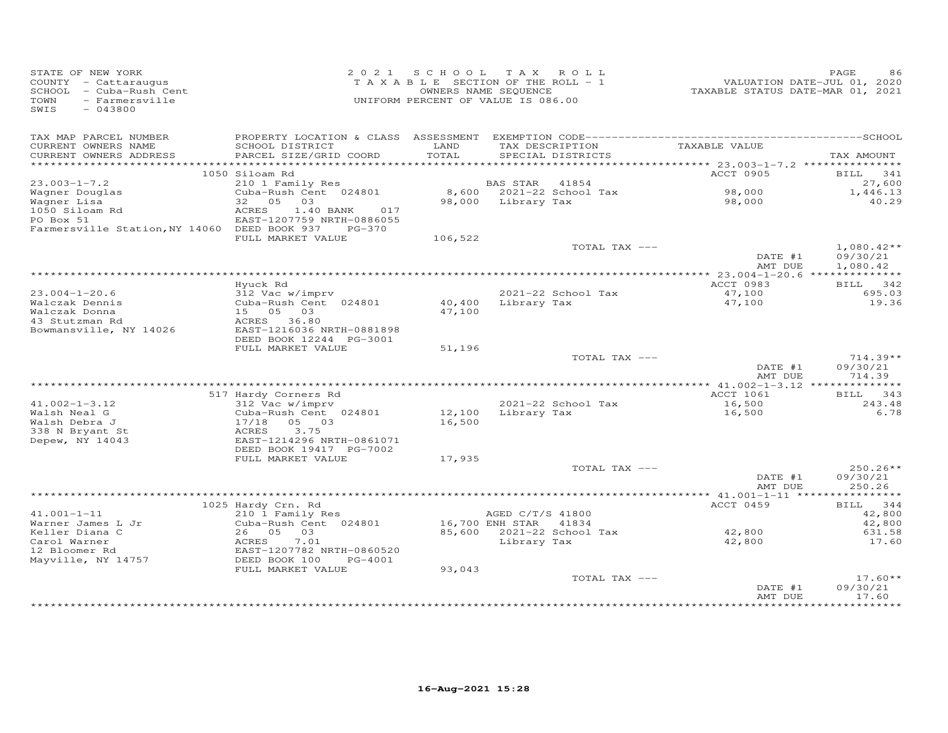| STATE OF NEW YORK<br>COUNTY - Cattaraugus<br>SCHOOL - Cuba-Rush Cent<br>- Farmersville<br>TOWN<br>$-043800$<br>SWIS |                                               | 2021 SCHOOL<br>TAXABLE SECTION OF THE ROLL - 1<br>OWNERS NAME SEQUENCE<br>UNIFORM PERCENT OF VALUE IS 086.00 |                       | TAX ROLL                  | VALUATION DATE-JUL 01, 2020<br>TAXABLE STATUS DATE-MAR 01, 2021 | PAGE<br>86           |
|---------------------------------------------------------------------------------------------------------------------|-----------------------------------------------|--------------------------------------------------------------------------------------------------------------|-----------------------|---------------------------|-----------------------------------------------------------------|----------------------|
| TAX MAP PARCEL NUMBER<br>CURRENT OWNERS NAME                                                                        | SCHOOL DISTRICT                               | LAND                                                                                                         |                       | TAX DESCRIPTION           | TAXABLE VALUE                                                   |                      |
| CURRENT OWNERS ADDRESS                                                                                              | PARCEL SIZE/GRID COORD                        | TOTAL                                                                                                        |                       | SPECIAL DISTRICTS         |                                                                 | TAX AMOUNT           |
|                                                                                                                     |                                               |                                                                                                              |                       |                           |                                                                 |                      |
| $23.003 - 1 - 7.2$                                                                                                  | 1050 Siloam Rd                                |                                                                                                              | BAS STAR              | 41854                     | ACCT 0905                                                       | BILL<br>341          |
| Wagner Douglas                                                                                                      | 210 1 Family Res<br>Cuba-Rush Cent 024801     |                                                                                                              |                       | 8,600 2021-22 School Tax  | 98,000                                                          | 27,600<br>1,446.13   |
| Wagner Lisa                                                                                                         | 32 05 03                                      |                                                                                                              | 98,000 Library Tax    |                           | 98,000                                                          | 40.29                |
| 1050 Siloam Rd                                                                                                      | ACRES<br>1.40 BANK<br>017                     |                                                                                                              |                       |                           |                                                                 |                      |
| PO Box 51                                                                                                           | EAST-1207759 NRTH-0886055                     |                                                                                                              |                       |                           |                                                                 |                      |
| Farmersville Station, NY 14060 DEED BOOK 937                                                                        | PG-370                                        |                                                                                                              |                       |                           |                                                                 |                      |
|                                                                                                                     | FULL MARKET VALUE                             | 106,522                                                                                                      |                       | TOTAL TAX ---             |                                                                 | $1,080.42**$         |
|                                                                                                                     |                                               |                                                                                                              |                       |                           | DATE #1<br>AMT DUE                                              | 09/30/21<br>1,080.42 |
|                                                                                                                     |                                               |                                                                                                              |                       |                           |                                                                 |                      |
|                                                                                                                     | Hyuck Rd                                      |                                                                                                              |                       |                           | ACCT 0983                                                       | BILL 342             |
| $23.004 - 1 - 20.6$                                                                                                 | 312 Vac w/imprv                               |                                                                                                              |                       | 2021-22 School Tax        | 47,100                                                          | 695.03               |
| Walczak Dennis                                                                                                      | Cuba-Rush Cent 024801                         |                                                                                                              | 40,400 Library Tax    |                           | 47,100                                                          | 19.36                |
| Walczak Donna<br>43 Stutzman Rd                                                                                     | 15 05 03<br>ACRES 36.80                       | 47,100                                                                                                       |                       |                           |                                                                 |                      |
| Bowmansville, NY 14026                                                                                              | EAST-1216036 NRTH-0881898                     |                                                                                                              |                       |                           |                                                                 |                      |
|                                                                                                                     | DEED BOOK 12244 PG-3001                       |                                                                                                              |                       |                           |                                                                 |                      |
|                                                                                                                     | FULL MARKET VALUE                             | 51,196                                                                                                       |                       |                           |                                                                 |                      |
|                                                                                                                     |                                               |                                                                                                              |                       | TOTAL TAX ---             |                                                                 | $714.39**$           |
|                                                                                                                     |                                               |                                                                                                              |                       |                           | DATE #1                                                         | 09/30/21             |
|                                                                                                                     |                                               |                                                                                                              |                       |                           | AMT DUE                                                         | 714.39               |
|                                                                                                                     | 517 Hardy Corners Rd                          |                                                                                                              |                       |                           | ACCT 1061                                                       | BILL 343             |
| $41.002 - 1 - 3.12$                                                                                                 | 312 Vac w/imprv                               |                                                                                                              |                       | 2021-22 School Tax        | 16,500                                                          | 243.48               |
| Walsh Neal G                                                                                                        | Cuba-Rush Cent 024801                         | 12,100                                                                                                       |                       | Library Tax               | 16,500                                                          | 6.78                 |
| Walsh Debra J                                                                                                       | 17/18 05 03                                   | 16,500                                                                                                       |                       |                           |                                                                 |                      |
| 338 N Bryant St                                                                                                     | 3.75<br>ACRES<br>EAST-1214296 NRTH-0861071    |                                                                                                              |                       |                           |                                                                 |                      |
| Depew, NY 14043                                                                                                     | DEED BOOK 19417 PG-7002                       |                                                                                                              |                       |                           |                                                                 |                      |
|                                                                                                                     | FULL MARKET VALUE                             | 17,935                                                                                                       |                       |                           |                                                                 |                      |
|                                                                                                                     |                                               |                                                                                                              |                       | TOTAL TAX ---             |                                                                 | $250.26**$           |
|                                                                                                                     |                                               |                                                                                                              |                       |                           | DATE #1                                                         | 09/30/21             |
|                                                                                                                     |                                               |                                                                                                              |                       |                           | AMT DUE                                                         | 250.26               |
|                                                                                                                     | 1025 Hardy Crn. Rd                            |                                                                                                              |                       |                           | ACCT 0459                                                       | BILL 344             |
| $41.001 - 1 - 11$                                                                                                   | 210 1 Family Res                              |                                                                                                              | AGED C/T/S 41800      |                           |                                                                 | 42,800               |
| Warner James L Jr                                                                                                   | Cuba-Rush Cent 024801                         |                                                                                                              | 16,700 ENH STAR 41834 |                           |                                                                 | 42,800               |
| Keller Diana C                                                                                                      | 26 05<br>03                                   |                                                                                                              |                       | 85,600 2021-22 School Tax | 42,800                                                          | 631.58               |
| Carol Warner                                                                                                        | ACRES<br>7.01                                 |                                                                                                              | Library Tax           |                           | 42,800                                                          | 17.60                |
| 12 Bloomer Rd                                                                                                       | EAST-1207782 NRTH-0860520                     |                                                                                                              |                       |                           |                                                                 |                      |
| Mayville, NY 14757                                                                                                  | DEED BOOK 100<br>PG-4001<br>FULL MARKET VALUE | 93,043                                                                                                       |                       |                           |                                                                 |                      |
|                                                                                                                     |                                               |                                                                                                              |                       | TOTAL TAX ---             |                                                                 | $17.60**$            |
|                                                                                                                     |                                               |                                                                                                              |                       |                           | DATE #1                                                         | 09/30/21             |
|                                                                                                                     |                                               |                                                                                                              |                       |                           | AMT DUE                                                         | 17.60<br>********    |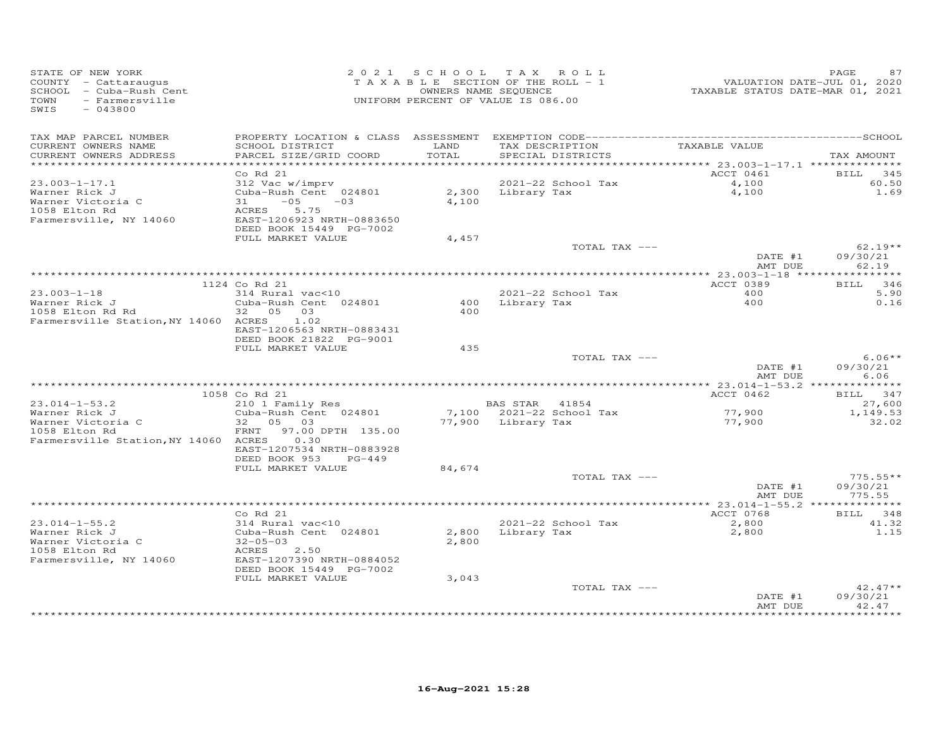| STATE OF NEW YORK<br>COUNTY - Cattaraugus<br>SCHOOL - Cuba-Rush Cent<br>TOWN<br>- Farmersville<br>SWIS<br>$-043800$ |                                                                                                                                      |                | 2021 SCHOOL TAX ROLL<br>TAXABLE SECTION OF THE ROLL - 1<br>OWNERS NAME SEQUENCE<br>UNIFORM PERCENT OF VALUE IS 086.00 | 01, 2020<br>2020, VALUATION DATE-JUL<br>2021, TAXABLE STATUS DATE-MAR 01, 2021 | PAGE<br>87                     |
|---------------------------------------------------------------------------------------------------------------------|--------------------------------------------------------------------------------------------------------------------------------------|----------------|-----------------------------------------------------------------------------------------------------------------------|--------------------------------------------------------------------------------|--------------------------------|
| TAX MAP PARCEL NUMBER<br>CURRENT OWNERS NAME<br>CURRENT OWNERS ADDRESS                                              | SCHOOL DISTRICT<br>PARCEL SIZE/GRID COORD                                                                                            | LAND<br>TOTAL  | TAX DESCRIPTION<br>SPECIAL DISTRICTS                                                                                  | TAXABLE VALUE                                                                  | TAX AMOUNT                     |
| ***********************                                                                                             | Co Rd 21                                                                                                                             |                |                                                                                                                       | ACCT 0461                                                                      | <b>BILL</b><br>345             |
| $23.003 - 1 - 17.1$<br>Warner Rick J<br>Warner Victoria C<br>1058 Elton Rd<br>Farmersville, NY 14060                | 312 Vac w/imprv<br>Cuba-Rush Cent 024801<br>$31 -05 -03$<br>5.75<br>ACRES<br>EAST-1206923 NRTH-0883650<br>DEED BOOK 15449 PG-7002    | 4,100          | 2021-22 School Tax<br>2,300 Library Tax                                                                               | 4,100<br>4,100                                                                 | 60.50<br>1.69                  |
|                                                                                                                     | FULL MARKET VALUE                                                                                                                    | 4,457          |                                                                                                                       |                                                                                |                                |
|                                                                                                                     |                                                                                                                                      |                | TOTAL TAX ---                                                                                                         | DATE #1<br>AMT DUE                                                             | $62.19**$<br>09/30/21<br>62.19 |
|                                                                                                                     |                                                                                                                                      |                |                                                                                                                       |                                                                                |                                |
| $23.003 - 1 - 18$<br>Warner Rick J                                                                                  | 1124 Co Rd 21<br>314 Rural vac<10<br>Cuba-Rush Cent 024801                                                                           | 400            | 2021-22 School Tax<br>Library Tax                                                                                     | ACCT 0389<br>400<br>400                                                        | BILL 346<br>5.90<br>0.16       |
| 1058 Elton Rd Rd<br>Farmersville Station, NY 14060 ACRES                                                            | 32  05  03<br>1.02<br>EAST-1206563 NRTH-0883431<br>DEED BOOK 21822 PG-9001                                                           | 400            |                                                                                                                       |                                                                                |                                |
|                                                                                                                     | FULL MARKET VALUE                                                                                                                    | 435            | TOTAL TAX ---                                                                                                         |                                                                                | $6.06**$                       |
|                                                                                                                     |                                                                                                                                      |                |                                                                                                                       | DATE #1<br>AMT DUE                                                             | 09/30/21<br>6.06               |
|                                                                                                                     | 1058 Co Rd 21                                                                                                                        |                |                                                                                                                       | ACCT 0462                                                                      | BILL 347                       |
| $23.014 - 1 - 53.2$                                                                                                 | 210 1 Family Res                                                                                                                     |                | BAS STAR 41854                                                                                                        |                                                                                | 27,600                         |
| Warner Rick J<br>Warner Victoria C<br>1058 Elton Rd                                                                 | Cuba-Rush Cent 024801<br>32 05 03<br>FRNT 97.00 DPTH 135.00                                                                          |                | 7,100 2021-22 School Tax<br>77,900 Library Tax                                                                        | 77,900<br>77,900                                                               | 1,149.53<br>32.02              |
| Farmersville Station, NY 14060 ACRES                                                                                | 0.30<br>EAST-1207534 NRTH-0883928<br>DEED BOOK 953<br>$PG-449$<br>FULL MARKET VALUE                                                  | 84,674         |                                                                                                                       |                                                                                |                                |
|                                                                                                                     |                                                                                                                                      |                | TOTAL TAX ---                                                                                                         | DATE #1                                                                        | $775.55**$<br>09/30/21         |
|                                                                                                                     |                                                                                                                                      |                |                                                                                                                       | AMT DUE                                                                        | 775.55                         |
|                                                                                                                     | $Co$ Rd $21$                                                                                                                         |                |                                                                                                                       | ACCT 0768                                                                      | BILL 348                       |
| $23.014 - 1 - 55.2$<br>Warner Rick J<br>Warner Victoria C<br>1058 Elton Rd<br>Farmersville, NY 14060                | 314 Rural vac<10<br>Cuba-Rush Cent 024801<br>$32 - 05 - 03$<br>ACRES<br>2.50<br>EAST-1207390 NRTH-0884052<br>DEED BOOK 15449 PG-7002 | 2,800<br>2,800 | 2021-22 School Tax<br>Library Tax                                                                                     | 2,800<br>2,800                                                                 | 41.32<br>1.15                  |
|                                                                                                                     | FULL MARKET VALUE                                                                                                                    | 3,043          | TOTAL TAX ---                                                                                                         |                                                                                | $42.47**$                      |
|                                                                                                                     |                                                                                                                                      |                |                                                                                                                       | DATE #1<br>AMT DUE<br>***************                                          | 09/30/21<br>42.47<br>********* |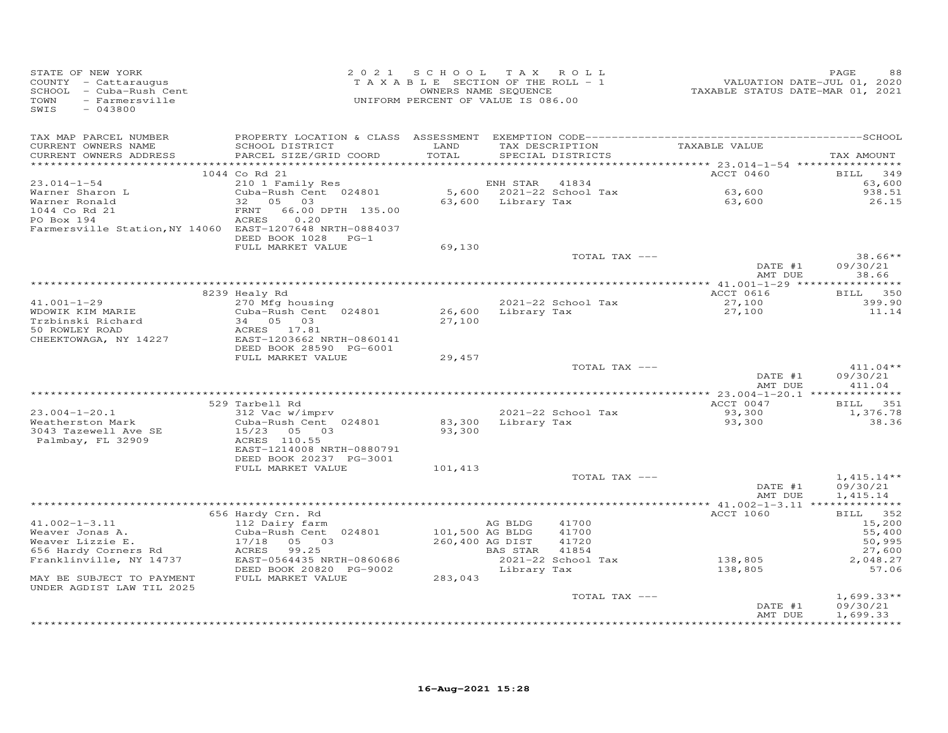| STATE OF NEW YORK<br>COUNTY - Cattaraugus<br>SCHOOL - Cuba-Rush Cent<br>- Farmersville<br>TOWN<br>SWIS<br>$-043800$ |                                                      | 2021 SCHOOL TAX ROLL<br>TAXABLE SECTION OF THE ROLL - 1<br>OWNERS NAME SEQUENCE<br>UNIFORM PERCENT OF VALUE IS 086.00 |                    |                                      | VALUATION DATE-JUL 01, 2020<br>TAXABLE STATUS DATE-MAR 01, 2021 | PAGE<br>88           |
|---------------------------------------------------------------------------------------------------------------------|------------------------------------------------------|-----------------------------------------------------------------------------------------------------------------------|--------------------|--------------------------------------|-----------------------------------------------------------------|----------------------|
| TAX MAP PARCEL NUMBER<br>CURRENT OWNERS NAME<br>CURRENT OWNERS ADDRESS                                              | SCHOOL DISTRICT<br>PARCEL SIZE/GRID COORD            | LAND<br>TOTAL                                                                                                         |                    | TAX DESCRIPTION<br>SPECIAL DISTRICTS | TAXABLE VALUE                                                   | TAX AMOUNT           |
|                                                                                                                     | 1044 Co Rd 21                                        |                                                                                                                       |                    |                                      | ACCT 0460                                                       | BILL 349             |
| $23.014 - 1 - 54$                                                                                                   | 210 1 Family Res                                     |                                                                                                                       | ENH STAR           | 41834                                |                                                                 | 63,600               |
| Warner Sharon L                                                                                                     | Cuba-Rush Cent 024801                                |                                                                                                                       |                    | 5,600 2021-22 School Tax             | 63,600                                                          | 938.51               |
| Warner Ronald                                                                                                       | 05<br>32<br>03                                       |                                                                                                                       | 63,600 Library Tax |                                      | 63,600                                                          | 26.15                |
| 1044 Co Rd 21<br>PO Box 194                                                                                         | 66.00 DPTH 135.00<br>FRNT<br>0.20<br>ACRES           |                                                                                                                       |                    |                                      |                                                                 |                      |
| Farmersville Station, NY 14060 EAST-1207648 NRTH-0884037                                                            |                                                      |                                                                                                                       |                    |                                      |                                                                 |                      |
|                                                                                                                     | DEED BOOK 1028 PG-1                                  |                                                                                                                       |                    |                                      |                                                                 |                      |
|                                                                                                                     | FULL MARKET VALUE                                    | 69,130                                                                                                                |                    | TOTAL TAX ---                        |                                                                 | $38.66**$            |
|                                                                                                                     |                                                      |                                                                                                                       |                    |                                      | DATE #1                                                         | 09/30/21             |
|                                                                                                                     |                                                      |                                                                                                                       |                    |                                      | AMT DUE                                                         | 38.66                |
|                                                                                                                     |                                                      |                                                                                                                       |                    |                                      |                                                                 |                      |
| $41.001 - 1 - 29$                                                                                                   | 8239 Healy Rd<br>270 Mfg housing                     |                                                                                                                       |                    | 2021-22 School Tax                   | ACCT 0616<br>27,100                                             | BILL 350<br>399.90   |
| WDOWIK KIM MARIE                                                                                                    | Cuba-Rush Cent 024801                                | 26,600                                                                                                                | Library Tax        |                                      | 27,100                                                          | 11.14                |
| Trzbinski Richard                                                                                                   | 34 05 03                                             | 27,100                                                                                                                |                    |                                      |                                                                 |                      |
| 50 ROWLEY ROAD                                                                                                      | ACRES 17.81                                          |                                                                                                                       |                    |                                      |                                                                 |                      |
| CHEEKTOWAGA, NY 14227                                                                                               | EAST-1203662 NRTH-0860141<br>DEED BOOK 28590 PG-6001 |                                                                                                                       |                    |                                      |                                                                 |                      |
|                                                                                                                     | FULL MARKET VALUE                                    | 29,457                                                                                                                |                    |                                      |                                                                 |                      |
|                                                                                                                     |                                                      |                                                                                                                       |                    | TOTAL TAX ---                        |                                                                 | $411.04**$           |
|                                                                                                                     |                                                      |                                                                                                                       |                    |                                      | DATE #1<br>AMT DUE                                              | 09/30/21<br>411.04   |
|                                                                                                                     | 529 Tarbell Rd                                       |                                                                                                                       |                    |                                      | ACCT 0047                                                       | BILL 351             |
| $23.004 - 1 - 20.1$                                                                                                 | 312 Vac w/imprv                                      |                                                                                                                       |                    | 2021-22 School Tax                   | 93,300                                                          | 1,376.78             |
| Weatherston Mark                                                                                                    | Cuba-Rush Cent 024801                                |                                                                                                                       |                    | 83,300 Library Tax                   | 93,300                                                          | 38.36                |
| 3043 Tazewell Ave SE                                                                                                | 15/23 05 03                                          | 93,300                                                                                                                |                    |                                      |                                                                 |                      |
| Palmbay, FL 32909                                                                                                   | ACRES 110.55<br>EAST-1214008 NRTH-0880791            |                                                                                                                       |                    |                                      |                                                                 |                      |
|                                                                                                                     | DEED BOOK 20237 PG-3001                              |                                                                                                                       |                    |                                      |                                                                 |                      |
|                                                                                                                     | FULL MARKET VALUE                                    | 101,413                                                                                                               |                    |                                      |                                                                 |                      |
|                                                                                                                     |                                                      |                                                                                                                       |                    | TOTAL TAX ---                        |                                                                 | $1,415.14**$         |
|                                                                                                                     |                                                      |                                                                                                                       |                    |                                      | DATE #1<br>AMT DUE                                              | 09/30/21<br>1,415.14 |
|                                                                                                                     |                                                      |                                                                                                                       |                    |                                      |                                                                 |                      |
|                                                                                                                     | 656 Hardy Crn. Rd                                    |                                                                                                                       |                    |                                      | ACCT 1060                                                       | BILL 352             |
| $41.002 - 1 - 3.11$                                                                                                 | 112 Dairy farm                                       |                                                                                                                       | AG BLDG            | 41700                                |                                                                 | 15,200               |
| Weaver Jonas A.<br>Weaver Lizzie E.                                                                                 | Cuba-Rush Cent 024801<br>17/18<br>05 03              | 101,500 AG BLDG<br>260,400 AG DIST                                                                                    |                    | 41700<br>41720                       |                                                                 | 55,400<br>50,995     |
| 656 Hardy Corners Rd                                                                                                | ACRES<br>99.25                                       |                                                                                                                       | BAS STAR           | 41854                                |                                                                 | 27,600               |
| Franklinville, NY 14737                                                                                             | EAST-0564435 NRTH-0860686                            |                                                                                                                       |                    | 2021-22 School Tax                   | 138,805                                                         | 2,048.27             |
|                                                                                                                     | DEED BOOK 20820 PG-9002                              |                                                                                                                       | Library Tax        |                                      | 138,805                                                         | 57.06                |
| MAY BE SUBJECT TO PAYMENT<br>UNDER AGDIST LAW TIL 2025                                                              | FULL MARKET VALUE                                    | 283,043                                                                                                               |                    |                                      |                                                                 |                      |
|                                                                                                                     |                                                      |                                                                                                                       |                    | TOTAL TAX ---                        |                                                                 | $1,699.33**$         |
|                                                                                                                     |                                                      |                                                                                                                       |                    |                                      | DATE #1                                                         | 09/30/21             |
|                                                                                                                     |                                                      |                                                                                                                       |                    |                                      | AMT DUE                                                         | 1,699.33<br>.        |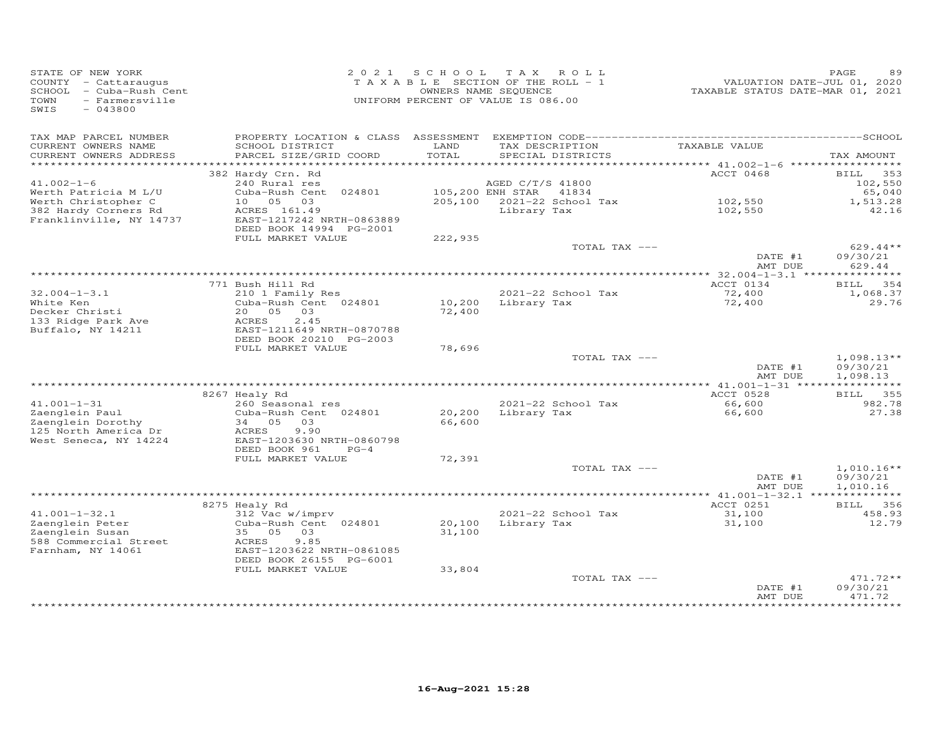| STATE OF NEW YORK<br>COUNTY - Cattaraugus<br>SCHOOL - Cuba-Rush Cent<br>TOWN<br>- Farmersville<br>SWIS<br>$-043800$ |                                              |               | 2021 SCHOOL TAX ROLL<br>TAXABLE SECTION OF THE ROLL - 1<br>OWNERS NAME SEQUENCE<br>UNIFORM PERCENT OF VALUE IS 086.00 | VALUATION DATE-JUL 01, 2020<br>TAXABLE STATUS DATE-MAR 01, 2021 | PAGE               |
|---------------------------------------------------------------------------------------------------------------------|----------------------------------------------|---------------|-----------------------------------------------------------------------------------------------------------------------|-----------------------------------------------------------------|--------------------|
| TAX MAP PARCEL NUMBER                                                                                               |                                              |               |                                                                                                                       |                                                                 |                    |
| CURRENT OWNERS NAME<br>CURRENT OWNERS ADDRESS                                                                       | SCHOOL DISTRICT<br>PARCEL SIZE/GRID COORD    | LAND<br>TOTAL | TAX DESCRIPTION<br>SPECIAL DISTRICTS                                                                                  | TAXABLE VALUE                                                   | TAX AMOUNT         |
| ***********************                                                                                             |                                              |               |                                                                                                                       |                                                                 |                    |
|                                                                                                                     | 382 Hardy Crn. Rd                            |               |                                                                                                                       | ACCT 0468                                                       | 353<br>BILL        |
| $41.002 - 1 - 6$<br>Werth Patricia M L/U                                                                            | 240 Rural res<br>Cuba-Rush Cent 024801       |               | AGED C/T/S 41800<br>105,200 ENH STAR 41834                                                                            |                                                                 | 102,550<br>65,040  |
| Werth Christopher C                                                                                                 | 10  05  03                                   |               | 205,100 2021-22 School Tax                                                                                            | 102,550                                                         | 1,513.28           |
| 382 Hardy Corners Rd                                                                                                | ACRES 161.49                                 |               | Library Tax                                                                                                           | 102,550                                                         | 42.16              |
| Franklinville, NY 14737                                                                                             | EAST-1217242 NRTH-0863889                    |               |                                                                                                                       |                                                                 |                    |
|                                                                                                                     | DEED BOOK 14994 PG-2001                      |               |                                                                                                                       |                                                                 |                    |
|                                                                                                                     | FULL MARKET VALUE                            | 222,935       |                                                                                                                       |                                                                 |                    |
|                                                                                                                     |                                              |               | TOTAL TAX ---                                                                                                         |                                                                 | $629.44**$         |
|                                                                                                                     |                                              |               |                                                                                                                       | DATE #1                                                         | 09/30/21           |
|                                                                                                                     |                                              |               |                                                                                                                       | AMT DUE                                                         | 629.44             |
|                                                                                                                     | 771 Bush Hill Rd                             |               |                                                                                                                       | ACCT 0134                                                       | 354<br>BILL        |
| $32.004 - 1 - 3.1$                                                                                                  | 210 1 Family Res                             |               | 2021-22 School Tax                                                                                                    | 72,400                                                          | 1,068.37           |
| White Ken                                                                                                           | Cuba-Rush Cent 024801                        |               | 10,200 Library Tax                                                                                                    | 72,400                                                          | 29.76              |
| Decker Christi                                                                                                      | 20  05  03                                   | 72,400        |                                                                                                                       |                                                                 |                    |
| 133 Ridge Park Ave                                                                                                  | 2.45<br>ACRES                                |               |                                                                                                                       |                                                                 |                    |
| Buffalo, NY 14211                                                                                                   | EAST-1211649 NRTH-0870788                    |               |                                                                                                                       |                                                                 |                    |
|                                                                                                                     | DEED BOOK 20210 PG-2003<br>FULL MARKET VALUE | 78,696        |                                                                                                                       |                                                                 |                    |
|                                                                                                                     |                                              |               | TOTAL TAX ---                                                                                                         |                                                                 | $1,098.13**$       |
|                                                                                                                     |                                              |               |                                                                                                                       | DATE #1                                                         | 09/30/21           |
|                                                                                                                     |                                              |               |                                                                                                                       | AMT DUE                                                         | 1,098.13           |
|                                                                                                                     |                                              |               |                                                                                                                       |                                                                 |                    |
|                                                                                                                     | 8267 Healy Rd                                |               |                                                                                                                       | ACCT 0528                                                       | BILL 355           |
| $41.001 - 1 - 31$                                                                                                   | 260 Seasonal res                             |               | 2021-22 School Tax                                                                                                    | 66,600                                                          | 982.78             |
| Zaenglein Paul                                                                                                      | Cuba-Rush Cent 024801                        | 20,200        | Library Tax                                                                                                           | 66,600                                                          | 27.38              |
| Zaenglein Dorothy                                                                                                   | 34 05 03<br>9.90                             | 66,600        |                                                                                                                       |                                                                 |                    |
| 125 North America Dr<br>West Seneca, NY 14224                                                                       | ACRES<br>EAST-1203630 NRTH-0860798           |               |                                                                                                                       |                                                                 |                    |
|                                                                                                                     | DEED BOOK 961<br>$PG-4$                      |               |                                                                                                                       |                                                                 |                    |
|                                                                                                                     | FULL MARKET VALUE                            | 72,391        |                                                                                                                       |                                                                 |                    |
|                                                                                                                     |                                              |               | TOTAL TAX ---                                                                                                         |                                                                 | $1,010.16**$       |
|                                                                                                                     |                                              |               |                                                                                                                       | DATE #1                                                         | 09/30/21           |
|                                                                                                                     |                                              |               |                                                                                                                       | AMT DUE                                                         | 1,010.16           |
|                                                                                                                     |                                              |               |                                                                                                                       |                                                                 |                    |
| $41.001 - 1 - 32.1$                                                                                                 | 8275 Healy Rd                                |               | 2021-22 School Tax                                                                                                    | ACCT 0251<br>31,100                                             | BILL 356<br>458.93 |
| Zaenglein Peter                                                                                                     | 312 Vac w/imprv<br>Cuba-Rush Cent 024801     | 20,100        | Library Tax                                                                                                           | 31,100                                                          | 12.79              |
| Zaenglein Susan                                                                                                     | 35 05 03                                     | 31,100        |                                                                                                                       |                                                                 |                    |
| 588 Commercial Street                                                                                               | ACRES<br>9.85                                |               |                                                                                                                       |                                                                 |                    |
| Farnham, NY 14061                                                                                                   | EAST-1203622 NRTH-0861085                    |               |                                                                                                                       |                                                                 |                    |
|                                                                                                                     | DEED BOOK 26155 PG-6001                      |               |                                                                                                                       |                                                                 |                    |
|                                                                                                                     | FULL MARKET VALUE                            | 33,804        |                                                                                                                       |                                                                 |                    |
|                                                                                                                     |                                              |               | TOTAL TAX ---                                                                                                         |                                                                 | $471.72**$         |
|                                                                                                                     |                                              |               |                                                                                                                       | DATE #1<br>AMT DUE                                              | 09/30/21<br>471.72 |
|                                                                                                                     |                                              |               |                                                                                                                       |                                                                 | **********         |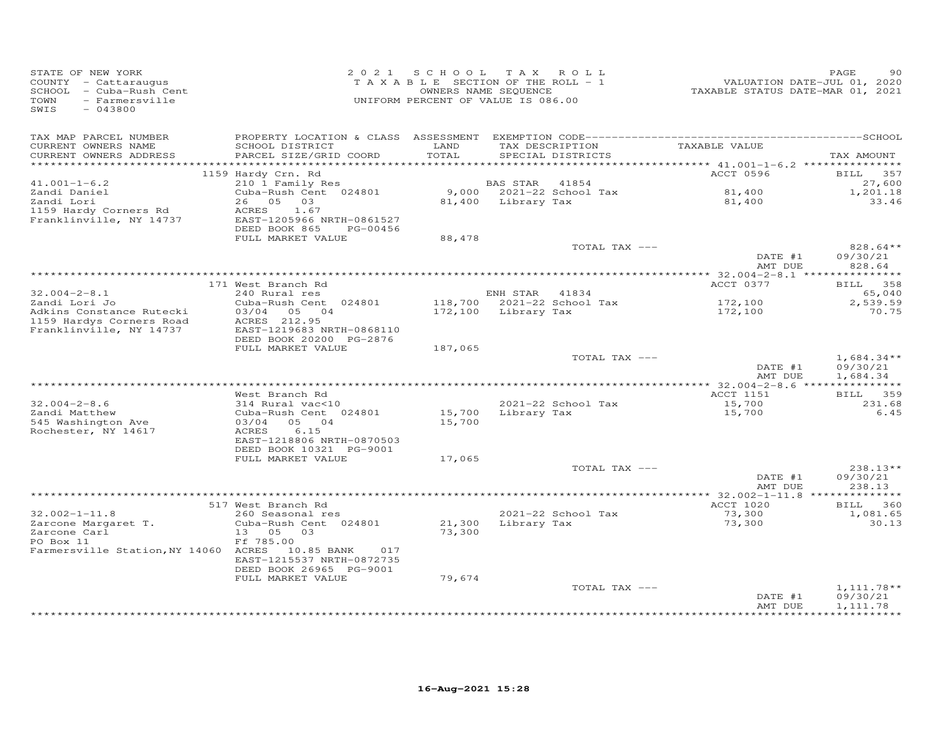| STATE OF NEW YORK<br>COUNTY - Cattaraugus<br>SCHOOL - Cuba-Rush Cent<br>- Farmersville<br>TOWN<br>SWIS<br>$-043800$ |                                                                                                                                                        |                  | 2021 SCHOOL TAX ROLL<br>TAXABLE SECTION OF THE ROLL - 1<br>OWNERS NAME SEQUENCE<br>UNIFORM PERCENT OF VALUE IS 086.00 | VALUATION DATE-JUL 01, 2020<br>TAXABLE STATUS DATE-MAR 01, 2021 | PAGE<br>90                                        |
|---------------------------------------------------------------------------------------------------------------------|--------------------------------------------------------------------------------------------------------------------------------------------------------|------------------|-----------------------------------------------------------------------------------------------------------------------|-----------------------------------------------------------------|---------------------------------------------------|
| TAX MAP PARCEL NUMBER<br>CURRENT OWNERS NAME<br>CURRENT OWNERS ADDRESS<br>************************                  | SCHOOL DISTRICT<br>PARCEL SIZE/GRID COORD                                                                                                              | LAND<br>TOTAL    | TAX DESCRIPTION<br>SPECIAL DISTRICTS                                                                                  | TAXABLE VALUE                                                   | TAX AMOUNT                                        |
| $41.001 - 1 - 6.2$<br>Zandi Daniel<br>Zandi Lori<br>1159 Hardy Corners Rd<br>Franklinville, NY 14737                | 1159 Hardy Crn. Rd<br>210 1 Family Res<br>Cuba-Rush Cent 024801<br>26 05 03<br>ACRES<br>1.67<br>EAST-1205966 NRTH-0861527<br>DEED BOOK 865<br>PG-00456 |                  | BAS STAR<br>41854<br>9,000 2021-22 School Tax<br>81,400 Library Tax                                                   | ACCT 0596<br>$81,400$<br>$81,400$<br>81,400                     | <b>BILL</b><br>357<br>27,600<br>1,201.18<br>33.46 |
|                                                                                                                     | FULL MARKET VALUE                                                                                                                                      | 88,478           | TOTAL TAX ---                                                                                                         | DATE #1<br>AMT DUE                                              | 828.64**<br>09/30/21<br>828.64                    |
|                                                                                                                     |                                                                                                                                                        |                  |                                                                                                                       |                                                                 |                                                   |
|                                                                                                                     | 171 West Branch Rd                                                                                                                                     |                  |                                                                                                                       | ACCT 0377                                                       | BILL 358                                          |
| $32.004 - 2 - 8.1$<br>Zandi Lori Jo<br>Adkins Constance Rutecki                                                     | 240 Rural res<br>Cuba-Rush Cent 024801<br>03/04 05 04                                                                                                  |                  | ENH STAR 41834<br>118,700 2021-22 School Tax<br>172,100 Library Tax                                                   | 172,100<br>172,100                                              | 65,040<br>2,539.59<br>70.75                       |
| 1159 Hardys Corners Road<br>Franklinville, NY 14737                                                                 | ACRES 212.95<br>EAST-1219683 NRTH-0868110<br>DEED BOOK 20200 PG-2876<br>FULL MARKET VALUE                                                              | 187,065          |                                                                                                                       |                                                                 |                                                   |
|                                                                                                                     |                                                                                                                                                        |                  | TOTAL TAX ---                                                                                                         | DATE #1<br>AMT DUE                                              | $1,684.34**$<br>09/30/21<br>1,684.34              |
|                                                                                                                     |                                                                                                                                                        |                  |                                                                                                                       |                                                                 |                                                   |
| $32.004 - 2 - 8.6$<br>Zandi Matthew<br>545 Washington Ave<br>Rochester, NY 14617                                    | West Branch Rd<br>314 Rural vac<10<br>Cuba-Rush Cent 024801<br>03/04 05 04<br>6.15<br>ACRES                                                            | 15,700<br>15,700 | 2021-22 School Tax<br>Library Tax                                                                                     | ACCT 1151<br>15,700<br>15,700                                   | <b>BILL</b><br>359<br>231.68<br>6.45              |
|                                                                                                                     | EAST-1218806 NRTH-0870503<br>DEED BOOK 10321 PG-9001<br>FULL MARKET VALUE                                                                              | 17,065           |                                                                                                                       |                                                                 |                                                   |
|                                                                                                                     |                                                                                                                                                        |                  | TOTAL TAX ---                                                                                                         | DATE #1<br>AMT DUE                                              | 238.13**<br>09/30/21<br>238.13                    |
|                                                                                                                     |                                                                                                                                                        |                  |                                                                                                                       | **** 32.002-1-11.8 **************                               |                                                   |
| $32.002 - 1 - 11.8$<br>Zarcone Margaret T.                                                                          | 517 West Branch Rd<br>260 Seasonal res<br>Cuba-Rush Cent 024801                                                                                        | 21,300           | 2021-22 School Tax<br>Library Tax                                                                                     | ACCT 1020<br>73,300<br>73,300                                   | BILL 360<br>1,081.65<br>30.13                     |
| Zarcone Carl<br>- 2 2 2 1 1 1<br>PO Box 11<br>Farmersville Station, NY 14060 ACRES 10.85 BANK                       | 13 05 03<br>Ff 785.00<br>017<br>EAST-1215537 NRTH-0872735<br>DEED BOOK 26965 PG-9001<br>FULL MARKET VALUE                                              | 73,300<br>79,674 |                                                                                                                       |                                                                 |                                                   |
|                                                                                                                     |                                                                                                                                                        |                  | TOTAL TAX ---                                                                                                         | DATE #1<br>AMT DUE                                              | $1,111.78**$<br>09/30/21<br>1,111.78              |
|                                                                                                                     |                                                                                                                                                        |                  |                                                                                                                       |                                                                 |                                                   |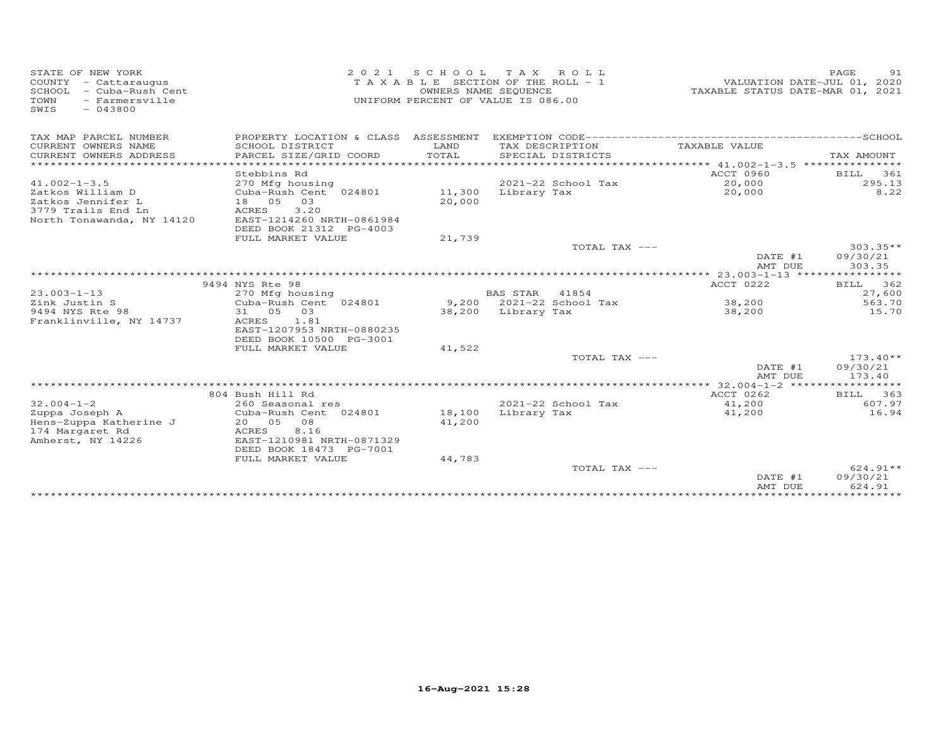| STATE OF NEW YORK<br>COUNTY - Cattaraugus<br>SCHOOL - Cuba-Rush Cent<br>- Farmersville<br>TOWN<br>$-043800$<br>SWIS |                                           | OWNERS NAME SEQUENCE | 2021 SCHOOL TAX ROLL<br>TAXABLE SECTION OF THE ROLL - 1<br>UNIFORM PERCENT OF VALUE IS 086.00 |               | TAXABLE STATUS DATE-MAR 01, 2021 | PAGE<br>VALUATION DATE-JUL 01, 2020 | 91       |
|---------------------------------------------------------------------------------------------------------------------|-------------------------------------------|----------------------|-----------------------------------------------------------------------------------------------|---------------|----------------------------------|-------------------------------------|----------|
| TAX MAP PARCEL NUMBER                                                                                               |                                           |                      |                                                                                               |               |                                  |                                     |          |
| CURRENT OWNERS NAME<br>CURRENT OWNERS ADDRESS                                                                       | SCHOOL DISTRICT<br>PARCEL SIZE/GRID COORD | LAND<br>TOTAL        | TAX DESCRIPTION<br>SPECIAL DISTRICTS                                                          |               | TAXABLE VALUE                    | TAX AMOUNT                          |          |
| **********************                                                                                              | ********************                      |                      |                                                                                               |               |                                  |                                     |          |
|                                                                                                                     | Stebbins Rd                               |                      |                                                                                               |               | ACCT 0960                        | BILL                                | 361      |
| $41.002 - 1 - 3.5$                                                                                                  | 270 Mfg housing                           |                      | 2021-22 School Tax                                                                            |               | 20,000                           |                                     | 295.13   |
| Zatkos William D                                                                                                    | Cuba-Rush Cent 024801                     | 11,300               | Library Tax                                                                                   |               | 20,000                           |                                     | 8.22     |
| Zatkos Jennifer L                                                                                                   | 18 05<br>03                               | 20,000               |                                                                                               |               |                                  |                                     |          |
| 3779 Trails End Ln                                                                                                  | ACRES<br>3.20                             |                      |                                                                                               |               |                                  |                                     |          |
| North Tonawanda, NY 14120                                                                                           | EAST-1214260 NRTH-0861984                 |                      |                                                                                               |               |                                  |                                     |          |
|                                                                                                                     | DEED BOOK 21312 PG-4003                   |                      |                                                                                               |               |                                  |                                     |          |
|                                                                                                                     | FULL MARKET VALUE                         | 21,739               |                                                                                               |               |                                  |                                     |          |
|                                                                                                                     |                                           |                      |                                                                                               | TOTAL TAX --- |                                  | $303.35**$                          |          |
|                                                                                                                     |                                           |                      |                                                                                               |               | DATE #1<br>AMT DUE               | 09/30/21<br>303.35                  |          |
|                                                                                                                     |                                           |                      |                                                                                               |               |                                  |                                     |          |
|                                                                                                                     | 9494 NYS Rte 98                           |                      |                                                                                               |               | ACCT 0222                        | BILL 362                            |          |
| $23.003 - 1 - 13$                                                                                                   | 270 Mfg housing                           |                      | <b>BAS STAR</b>                                                                               | 41854         |                                  |                                     | 27,600   |
| Zink Justin S                                                                                                       | Cuba-Rush Cent 024801                     |                      | 9,200 2021-22 School Tax                                                                      |               | 38,200                           |                                     | 563.70   |
| 9494 NYS Rte 98                                                                                                     | 31 05 03                                  |                      | 38,200 Library Tax                                                                            |               | 38,200                           |                                     | 15.70    |
| Franklinville, NY 14737                                                                                             | ACRES<br>1.81                             |                      |                                                                                               |               |                                  |                                     |          |
|                                                                                                                     | EAST-1207953 NRTH-0880235                 |                      |                                                                                               |               |                                  |                                     |          |
|                                                                                                                     | DEED BOOK 10500 PG-3001                   |                      |                                                                                               |               |                                  |                                     |          |
|                                                                                                                     | FULL MARKET VALUE                         | 41,522               |                                                                                               |               |                                  |                                     |          |
|                                                                                                                     |                                           |                      |                                                                                               | TOTAL TAX --- |                                  | $173.40**$                          |          |
|                                                                                                                     |                                           |                      |                                                                                               |               | DATE #1                          | 09/30/21                            |          |
|                                                                                                                     |                                           |                      |                                                                                               |               | AMT DUE                          | 173.40                              |          |
|                                                                                                                     | 804 Bush Hill Rd                          |                      |                                                                                               |               | ACCT 0262                        | <b>BILL</b>                         | 363      |
| $32.004 - 1 - 2$                                                                                                    | 260 Seasonal res                          |                      | 2021-22 School Tax                                                                            |               | 41,200                           |                                     | 607.97   |
| Zuppa Joseph A                                                                                                      | Cuba-Rush Cent 024801                     | 18,100               | Library Tax                                                                                   |               | 41,200                           |                                     | 16.94    |
| Hens-Zuppa Katherine J                                                                                              | 20 05<br>08                               | 41,200               |                                                                                               |               |                                  |                                     |          |
| 174 Margaret Rd                                                                                                     | 8.16<br>ACRES                             |                      |                                                                                               |               |                                  |                                     |          |
| Amherst, NY 14226                                                                                                   | EAST-1210981 NRTH-0871329                 |                      |                                                                                               |               |                                  |                                     |          |
|                                                                                                                     | DEED BOOK 18473 PG-7001                   |                      |                                                                                               |               |                                  |                                     |          |
|                                                                                                                     | FULL MARKET VALUE                         | 44,783               |                                                                                               |               |                                  |                                     |          |
|                                                                                                                     |                                           |                      |                                                                                               | TOTAL TAX --- |                                  |                                     | 624.91** |
|                                                                                                                     |                                           |                      |                                                                                               |               | DATE #1                          | 09/30/21                            |          |
|                                                                                                                     |                                           |                      |                                                                                               |               | AMT DUE                          | 624.91                              |          |
|                                                                                                                     |                                           |                      |                                                                                               |               |                                  |                                     |          |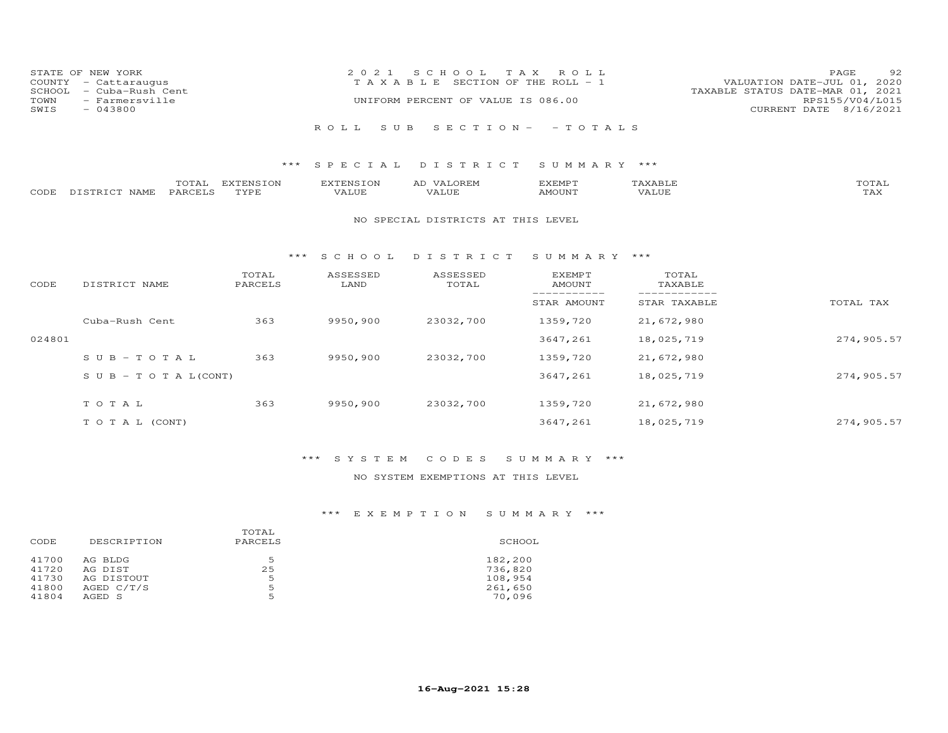| STATE OF NEW YORK<br>COUNTY - Cattaraugus<br>SCHOOL - Cuba-Rush Cent<br>TOWN - Farmersville |  | 2021 SCHOOL TAX ROLL<br>TAXABLE SECTION OF THE ROLL - 1<br>UNIFORM PERCENT OF VALUE IS 086.00 | 92<br>PAGE<br>VALUATION DATE-JUL 01, 2020<br>TAXABLE STATUS DATE-MAR 01, 2021<br>RPS155/V04/L015 |
|---------------------------------------------------------------------------------------------|--|-----------------------------------------------------------------------------------------------|--------------------------------------------------------------------------------------------------|
| SWIS<br>$-043800$                                                                           |  |                                                                                               | CURRENT DATE 8/16/2021                                                                           |
|                                                                                             |  | ROLL SUB SECTION- -TOTALS                                                                     |                                                                                                  |

|      |               | TOTAL   | <b>EXTENSION</b> | EXTENSION | VALOREM<br>AD | KEMPT: | 'AXABLE | TOTAL                 |
|------|---------------|---------|------------------|-----------|---------------|--------|---------|-----------------------|
| CODE | DISTRICT NAME | PARCELS | TYPE.            | VALUE     | VALUE         | AMOUNT | 'Alue   | $m \times r$<br>1 A X |

### NO SPECIAL DISTRICTS AT THIS LEVEL

### \*\*\* S C H O O L D I S T R I C T S U M M A R Y \*\*\*

| CODE   | DISTRICT NAME                    | TOTAL<br>PARCELS | ASSESSED<br>LAND | ASSESSED<br>TOTAL | <b>EXEMPT</b><br>AMOUNT | TOTAL<br>TAXABLE |            |
|--------|----------------------------------|------------------|------------------|-------------------|-------------------------|------------------|------------|
|        |                                  |                  |                  |                   | STAR AMOUNT             | STAR TAXABLE     | TOTAL TAX  |
|        | Cuba-Rush Cent                   | 363              | 9950,900         | 23032,700         | 1359,720                | 21,672,980       |            |
| 024801 |                                  |                  |                  |                   | 3647,261                | 18,025,719       | 274,905.57 |
|        | $SUB - TO T AL$                  | 363              | 9950,900         | 23032,700         | 1359,720                | 21,672,980       |            |
|        | $S \cup B - T \cup T A L (CONT)$ |                  |                  |                   | 3647,261                | 18,025,719       | 274,905.57 |
|        | TOTAL                            | 363              | 9950,900         | 23032,700         | 1359,720                | 21,672,980       |            |
|        | T O T A L (CONT)                 |                  |                  |                   | 3647,261                | 18,025,719       | 274,905.57 |

# \*\*\* S Y S T E M C O D E S S U M M A R Y \*\*\*

## NO SYSTEM EXEMPTIONS AT THIS LEVEL

## \*\*\* E X E M P T I O N S U M M A R Y \*\*\*

| CODE  | DESCRIPTION  | TOTAL<br>PARCELS | SCHOOL  |
|-------|--------------|------------------|---------|
| 41700 | AG BLDG      | .5               | 182,200 |
| 41720 | AG DIST      | 25               | 736,820 |
| 41730 | AG DISTOUT   | 5                | 108,954 |
| 41800 | AGED $C/T/S$ | 5                | 261,650 |
| 41804 | AGED S       | 5                | 70,096  |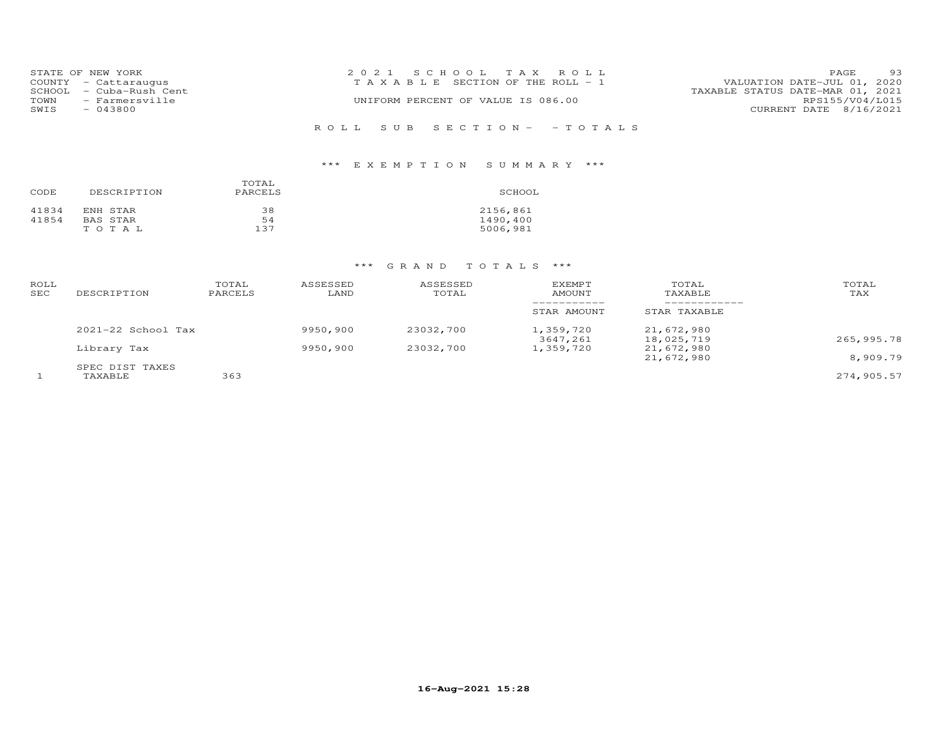|      | STATE OF NEW YORK<br>COUNTY - Cattaraugus | 2021 SCHOOL TAX ROLL<br>T A X A B L E SECTION OF THE ROLL - 1 | VALUATION DATE-JUL 01, 2020      | PAGE            | 93 |
|------|-------------------------------------------|---------------------------------------------------------------|----------------------------------|-----------------|----|
| TOWN | SCHOOL - Cuba-Rush Cent<br>- Farmersville | UNIFORM PERCENT OF VALUE IS 086.00                            | TAXABLE STATUS DATE-MAR 01, 2021 | RPS155/V04/L015 |    |
| SWIS | $-043800$                                 |                                                               | CURRENT DATE 8/16/2021           |                 |    |
|      |                                           | ROLL SUB SECTION- -TOTALS                                     |                                  |                 |    |

# \*\*\* E X E M P T I O N S U M M A R Y \*\*\*

| CODE  | DESCRIPTION | TOTAL<br>PARCELS | SCHOOL   |
|-------|-------------|------------------|----------|
| 41834 | ENH STAR    | 38               | 2156,861 |
| 41854 | BAS STAR    | 54               | 1490,400 |
|       | TOTAL       | 137              | 5006,981 |

| ROLL<br>SEC | DESCRIPTION                | TOTAL<br>PARCELS | ASSESSED<br>LAND | ASSESSED<br>TOTAL | <b>EXEMPT</b><br>AMOUNT | TOTAL<br>TAXABLE         | TOTAL<br>TAX |
|-------------|----------------------------|------------------|------------------|-------------------|-------------------------|--------------------------|--------------|
|             |                            |                  |                  |                   | STAR AMOUNT             | STAR TAXABLE             |              |
|             | $2021-22$ School Tax       |                  | 9950,900         | 23032,700         | 1,359,720<br>3647,261   | 21,672,980<br>18,025,719 | 265,995.78   |
|             | Library Tax                |                  | 9950,900         | 23032,700         | 1,359,720               | 21,672,980<br>21,672,980 | 8,909.79     |
|             | SPEC DIST TAXES<br>TAXABLE | 363              |                  |                   |                         |                          | 274,905.57   |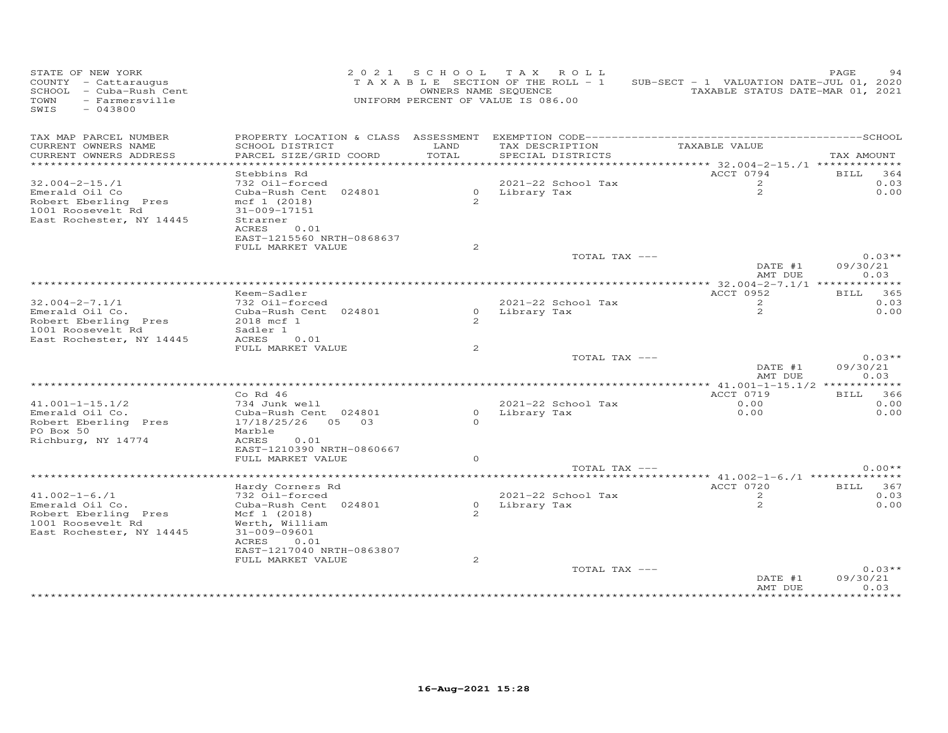| STATE OF NEW YORK<br>COUNTY - Cattaraugus<br>SCHOOL - Cuba-Rush Cent<br>- Farmersville<br>TOWN<br>SWIS<br>$-043800$ |                                                                                       |               | 2021 SCHOOL TAX ROLL<br>TAXABLE SECTION OF THE ROLL - 1<br>OWNERS NAME SEQUENCE<br>UNIFORM PERCENT OF VALUE IS 086.00 | SUB-SECT - 1 VALUATION DATE-JUL 01, 2020<br>TAXABLE STATUS DATE-MAR 01, 2021 | PAGE                         |
|---------------------------------------------------------------------------------------------------------------------|---------------------------------------------------------------------------------------|---------------|-----------------------------------------------------------------------------------------------------------------------|------------------------------------------------------------------------------|------------------------------|
| TAX MAP PARCEL NUMBER<br>CURRENT OWNERS NAME                                                                        | SCHOOL DISTRICT                                                                       | LAND          | TAX DESCRIPTION                                                                                                       | TAXABLE VALUE                                                                |                              |
| CURRENT OWNERS ADDRESS<br>**********************                                                                    | PARCEL SIZE/GRID COORD<br>*************************                                   | TOTAL         | SPECIAL DISTRICTS                                                                                                     |                                                                              | TAX AMOUNT                   |
|                                                                                                                     | Stebbins Rd                                                                           |               |                                                                                                                       | ACCT 0794                                                                    | BILL 364                     |
| $32.004 - 2 - 15.71$                                                                                                | 732 Oil-forced                                                                        |               | 2021-22 School Tax                                                                                                    | 2                                                                            | 0.03                         |
| Emerald Oil Co<br>Robert Eberling Pres<br>1001 Roosevelt Rd<br>East Rochester, NY 14445                             | Cuba-Rush Cent 024801<br>mcf 1 (2018)<br>31-009-17151<br>Strarner<br>ACRES 0.01       | $\mathcal{P}$ | 0 Library Tax                                                                                                         | 2                                                                            | 0.00                         |
|                                                                                                                     | EAST-1215560 NRTH-0868637                                                             |               |                                                                                                                       |                                                                              |                              |
|                                                                                                                     | FULL MARKET VALUE                                                                     | 2             | TOTAL TAX ---                                                                                                         |                                                                              | $0.03**$                     |
|                                                                                                                     |                                                                                       |               |                                                                                                                       | DATE #1<br>AMT DUE                                                           | 09/30/21<br>0.03             |
|                                                                                                                     |                                                                                       |               |                                                                                                                       |                                                                              |                              |
| $32.004 - 2 - 7.1/1$                                                                                                | Keem-Sadler                                                                           |               |                                                                                                                       | ACCT 0952                                                                    | BILL 365                     |
| Emerald Oil Co.<br>Robert Eberling Pres<br>1001 Roosevelt Rd<br>East Rochester, NY 14445                            | 732 Oil-forced<br>Cuba-Rush Cent 024801<br>2018 mcf 1<br>Sadler 1<br>ACRES<br>0.01    | $\mathcal{P}$ | 2021-22 School Tax<br>0 Library Tax                                                                                   | $\overline{2}$<br>2                                                          | 0.03<br>0.00                 |
|                                                                                                                     | FULL MARKET VALUE                                                                     | 2             |                                                                                                                       |                                                                              |                              |
|                                                                                                                     |                                                                                       |               | TOTAL TAX ---                                                                                                         | DATE #1<br>AMT DUE                                                           | $0.03**$<br>09/30/21<br>0.03 |
|                                                                                                                     |                                                                                       |               |                                                                                                                       | ***************** 41.001-1-15.1/2 ************                               |                              |
|                                                                                                                     | $Co$ Rd $46$                                                                          |               |                                                                                                                       | ACCT 0719                                                                    | BILL 366                     |
| $41.001 - 1 - 15.1/2$                                                                                               | 734 Junk well                                                                         |               | 2021-22 School Tax                                                                                                    | 0.00                                                                         | 0.00                         |
| Emerald Oil Co.<br>Robert Eberling Pres<br>PO Box 50<br>Richburg, NY 14774                                          | Cuba-Rush Cent 024801<br>17/18/25/26 05 03<br>Marble<br>ACRES<br>0.01                 | $\circ$       | 0 Library Tax                                                                                                         | 0.00                                                                         | 0.00                         |
|                                                                                                                     | EAST-1210390 NRTH-0860667<br>FULL MARKET VALUE                                        | $\circ$       |                                                                                                                       |                                                                              |                              |
|                                                                                                                     |                                                                                       |               | TOTAL TAX ---                                                                                                         |                                                                              | $0.00**$                     |
|                                                                                                                     |                                                                                       |               |                                                                                                                       | **** $41.002 - 1 - 6.71$ ***************                                     |                              |
|                                                                                                                     | Hardy Corners Rd                                                                      |               |                                                                                                                       | ACCT 0720                                                                    | BILL 367                     |
| $41.002 - 1 - 6.71$                                                                                                 | 732 Oil-forced                                                                        |               | 2021-22 School Tax                                                                                                    | 2                                                                            | 0.03                         |
| Emerald Oil Co.<br>Robert Eberling Pres<br>1001 Roosevelt Rd<br>East Rochester, NY 14445                            | Cuba-Rush Cent 024801<br>Mcf 1 (2018)<br>Werth, William<br>31-009-09601<br>ACRES 0.01 | 2             | 0 Library Tax                                                                                                         | 2                                                                            | 0.00                         |
|                                                                                                                     | EAST-1217040 NRTH-0863807                                                             |               |                                                                                                                       |                                                                              |                              |
|                                                                                                                     | FULL MARKET VALUE                                                                     | 2             |                                                                                                                       |                                                                              |                              |
|                                                                                                                     |                                                                                       |               | TOTAL TAX ---                                                                                                         | DATE #1<br>AMT DUE                                                           | $0.03**$<br>09/30/21<br>0.03 |
|                                                                                                                     |                                                                                       |               |                                                                                                                       | * * * * * * * * * * * * * * *                                                | *********                    |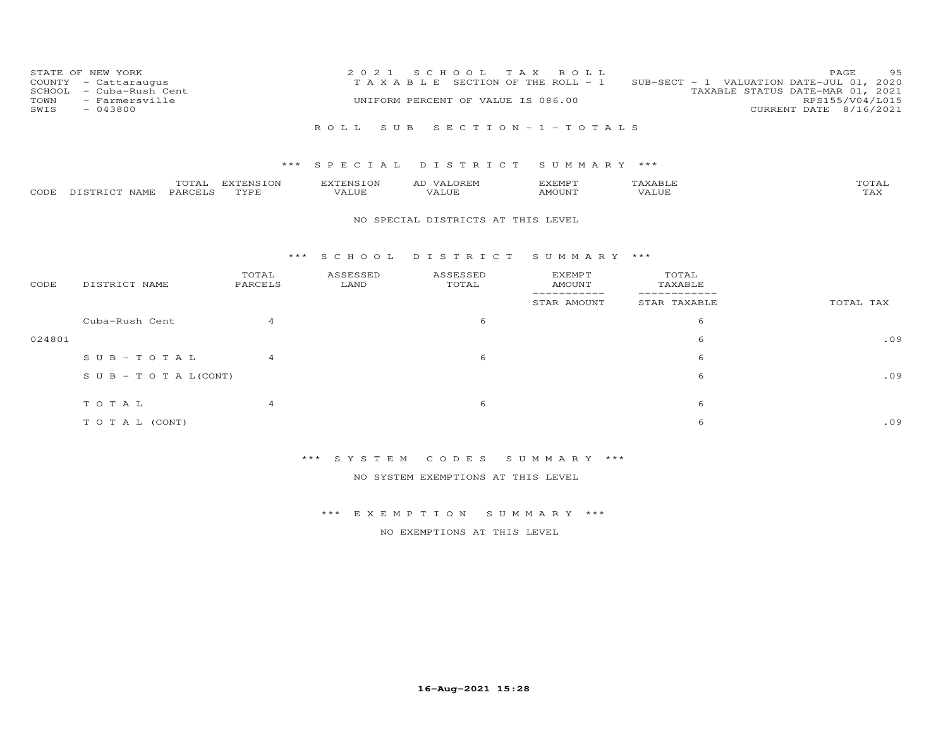| STATE OF NEW YORK | COUNTY - Cattaraugus<br>SCHOOL - Cuba-Rush Cent | 2021 SCHOOL TAX ROLL<br>T A X A B L E SECTION OF THE ROLL - 1 | 95<br>PAGE<br>SUB-SECT - 1 VALUATION DATE-JUL 01, 2020<br>TAXABLE STATUS DATE-MAR 01, 2021 |
|-------------------|-------------------------------------------------|---------------------------------------------------------------|--------------------------------------------------------------------------------------------|
| TOWN<br>SWIS      | - Farmersville<br>$-043800$                     | UNIFORM PERCENT OF VALUE IS 086.00                            | RPS155/V04/L015<br>CURRENT DATE 8/16/2021                                                  |
|                   |                                                 | ROLL SUB SECTION-1-TOTALS                                     |                                                                                            |

|      |               | TOTAL   | EXTENSION | EXTENSION | LOREM<br>77A.T.<br>AD | EXEMPT |       | TOTAL |
|------|---------------|---------|-----------|-----------|-----------------------|--------|-------|-------|
| CODE | DISTRICT NAME | PARCELS | TVDF      | VALUE     | VALUE                 | AMOUNT | VALUE | TAX   |

### NO SPECIAL DISTRICTS AT THIS LEVEL

### \*\*\* S C H O O L D I S T R I C T S U M M A R Y \*\*\*

| CODE   | DISTRICT NAME                    | TOTAL<br>PARCELS | ASSESSED<br>LAND | ASSESSED<br>TOTAL | <b>EXEMPT</b><br>AMOUNT | TOTAL<br>TAXABLE |           |
|--------|----------------------------------|------------------|------------------|-------------------|-------------------------|------------------|-----------|
|        |                                  |                  |                  |                   | STAR AMOUNT             | STAR TAXABLE     | TOTAL TAX |
|        | Cuba-Rush Cent                   | $\overline{a}$   |                  | 6                 |                         | 6                |           |
| 024801 |                                  |                  |                  |                   |                         | 6                | .09       |
|        | SUB-TOTAL                        | $\overline{4}$   |                  | 6                 |                         | 6                |           |
|        | $S \cup B - T \cup T A L (CONT)$ |                  |                  |                   |                         | 6                | .09       |
|        | TOTAL                            | 4                |                  | 6                 |                         | 6                |           |
|        | T O T A L (CONT)                 |                  |                  |                   |                         | 6                | .09       |

# \*\*\* S Y S T E M C O D E S S U M M A R Y \*\*\*

NO SYSTEM EXEMPTIONS AT THIS LEVEL

## \*\*\* E X E M P T I O N S U M M A R Y \*\*\*

NO EXEMPTIONS AT THIS LEVEL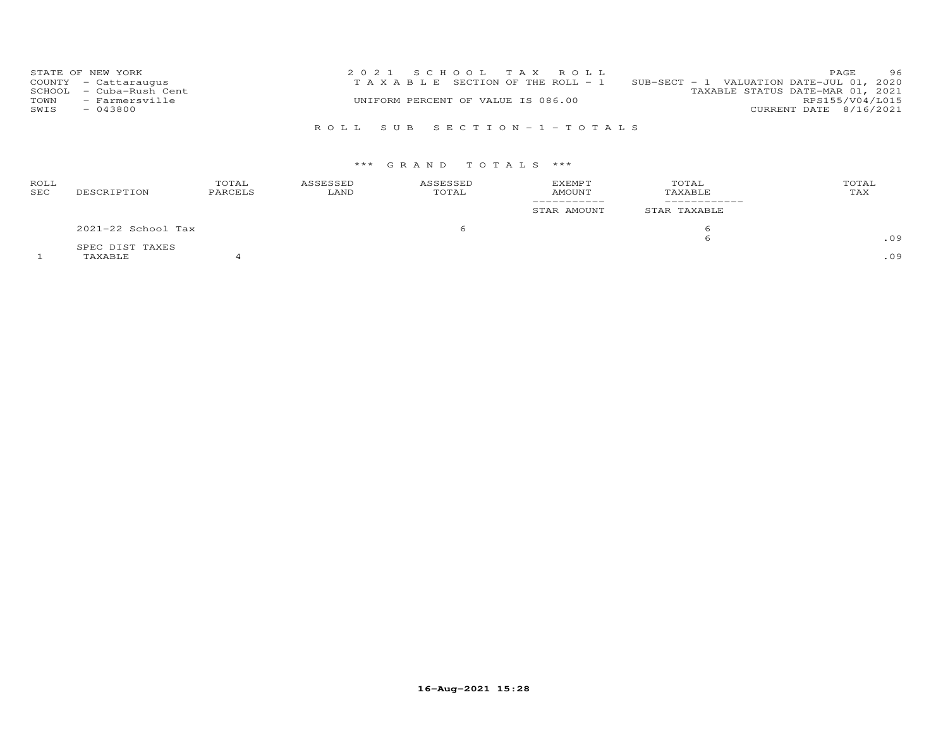| STATE OF NEW YORK       | 2021 SCHOOL TAX ROLL                  | 96<br>PAGE.                              |
|-------------------------|---------------------------------------|------------------------------------------|
| COUNTY - Cattaraugus    | T A X A B L E SECTION OF THE ROLL - 1 | SUB-SECT - 1 VALUATION DATE-JUL 01, 2020 |
| SCHOOL - Cuba-Rush Cent |                                       | TAXABLE STATUS DATE-MAR 01, 2021         |
| TOWN<br>- Farmersville  | UNIFORM PERCENT OF VALUE IS 086.00    | RPS155/V04/L015                          |
| SWIS<br>$-043800$       |                                       | CURRENT DATE 8/16/2021                   |
|                         |                                       |                                          |

## R O L L S U B S E C T I O N - 1 - T O T A L S

| ROLL<br>SEC | DESCRIPTION        | TOTAL<br>PARCELS | ASSESSED<br>LAND | ASSESSED<br>TOTAL | <b>EXEMPT</b><br><b>AMOUNT</b> | TOTAL<br>TAXABLE | TOTAL<br>TAX |
|-------------|--------------------|------------------|------------------|-------------------|--------------------------------|------------------|--------------|
|             |                    |                  |                  |                   | STAR AMOUNT                    | STAR TAXABLE     |              |
|             | 2021-22 School Tax |                  |                  | 6                 |                                | h                |              |
|             | SPEC DIST TAXES    |                  |                  |                   |                                | 6                | .09          |
|             | TAXABLE            |                  |                  |                   |                                |                  | .09          |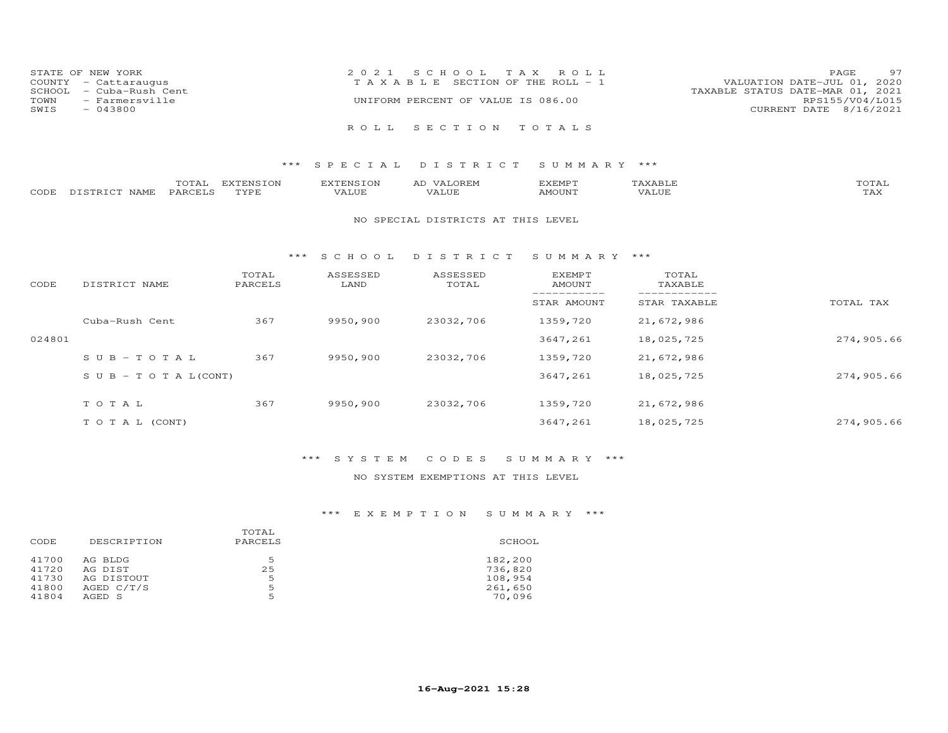| STATE OF NEW YORK       | 2021 SCHOOL TAX ROLL                  | 97<br><b>PAGE</b>                |
|-------------------------|---------------------------------------|----------------------------------|
| COUNTY - Cattaraugus    | T A X A B L E SECTION OF THE ROLL - 1 | VALUATION DATE-JUL 01, 2020      |
| SCHOOL - Cuba-Rush Cent |                                       | TAXABLE STATUS DATE-MAR 01, 2021 |
| - Farmersville<br>TOWN  | UNIFORM PERCENT OF VALUE IS 086.00    | RPS155/V04/L015                  |
| $-043800$<br>SWIS       |                                       | CURRENT DATE 8/16/2021           |
|                         |                                       |                                  |
|                         | ROLL SECTION TOTALS                   |                                  |

|      |                        | $m \wedge m \wedge n$<br>A | EXTENSION | . PENST∩™ | $\Delta$   $\lambda$<br>')R F.∟          | דסאתצי<br>عدىدى | ∸<br>$A$ $A$ $B$ $\cdots$ | TOTAI                |
|------|------------------------|----------------------------|-----------|-----------|------------------------------------------|-----------------|---------------------------|----------------------|
| CODE | <b>NAMF</b><br>TSTRICT | PARCE <sup>T</sup>         | TVDF      | 1.111     | $\left\langle \right\rangle$<br>— 11 I J | MOLINT          |                           | $m \times r$<br>-∠∆∠ |

#### NO SPECIAL DISTRICTS AT THIS LEVEL

#### \*\*\* S C H O O L D I S T R I C T S U M M A R Y \*\*\*

| CODE   | DISTRICT NAME                    | TOTAL<br>PARCELS | ASSESSED<br>LAND | ASSESSED<br>TOTAL | <b>EXEMPT</b><br>AMOUNT | TOTAL<br>TAXABLE |            |
|--------|----------------------------------|------------------|------------------|-------------------|-------------------------|------------------|------------|
|        |                                  |                  |                  |                   | STAR AMOUNT             | STAR TAXABLE     | TOTAL TAX  |
|        | Cuba-Rush Cent                   | 367              | 9950,900         | 23032,706         | 1359,720                | 21,672,986       |            |
| 024801 |                                  |                  |                  |                   | 3647,261                | 18,025,725       | 274,905.66 |
|        | $SUB - TO T AL$                  | 367              | 9950,900         | 23032,706         | 1359,720                | 21,672,986       |            |
|        | $S \cup B - T \cup T A L (CONT)$ |                  |                  |                   | 3647,261                | 18,025,725       | 274,905.66 |
|        | TOTAL                            | 367              | 9950,900         | 23032,706         | 1359,720                | 21,672,986       |            |
|        |                                  |                  |                  |                   |                         |                  |            |
|        | T O T A L (CONT)                 |                  |                  |                   | 3647,261                | 18,025,725       | 274,905.66 |

## \*\*\* S Y S T E M C O D E S S U M M A R Y \*\*\*

## NO SYSTEM EXEMPTIONS AT THIS LEVEL

## \*\*\* E X E M P T I O N S U M M A R Y \*\*\*

| DESCRIPTION | PARCELS | SCHOOL  |
|-------------|---------|---------|
| AG BLDG     | .5      | 182,200 |
| AG DIST     | 25      | 736,820 |
| AG DISTOUT  | 5       | 108,954 |
| AGED C/T/S  | 5       | 261,650 |
| AGED S      | 5       | 70,096  |
|             |         | TOTAL   |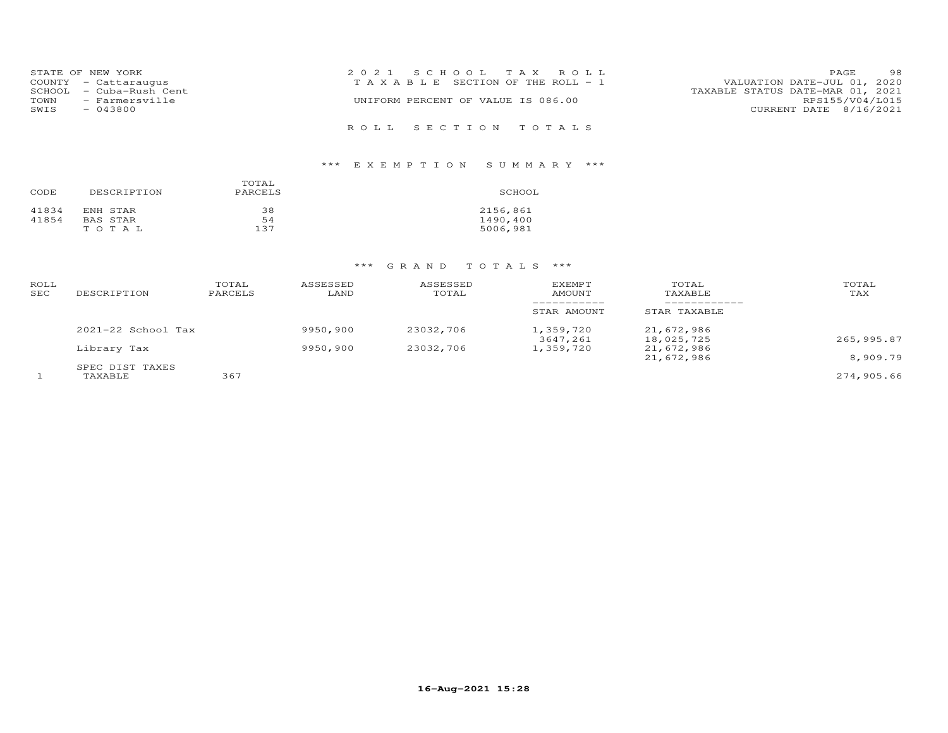|                                             | STATE OF NEW YORK<br>COUNTY - Cattaraugus | 2021 SCHOOL TAX ROLL<br>T A X A B L E SECTION OF THE ROLL - 1 | PAGE<br>VALUATION DATE-JUL 01, 2020 | 98              |
|---------------------------------------------|-------------------------------------------|---------------------------------------------------------------|-------------------------------------|-----------------|
|                                             | SCHOOL - Cuba-Rush Cent                   | TAXABLE STATUS DATE-MAR 01, 2021                              |                                     |                 |
| - Farmersville<br>TOWN<br>$-043800$<br>SWIS |                                           | UNIFORM PERCENT OF VALUE IS 086.00                            | CURRENT DATE 8/16/2021              | RPS155/V04/L015 |
|                                             |                                           | ROLL SECTION TOTALS                                           |                                     |                 |

# \*\*\* E X E M P T I O N S U M M A R Y \*\*\*

| CODE  | DESCRIPTION | TOTAL<br>PARCELS | SCHOOL   |
|-------|-------------|------------------|----------|
| 41834 | ENH STAR    | 38               | 2156,861 |
| 41854 | BAS STAR    | 54               | 1490,400 |
|       | TOTAL       | 137              | 5006,981 |

| ROLL<br>SEC | DESCRIPTION                | TOTAL<br>PARCELS | ASSESSED<br>LAND | ASSESSED<br>TOTAL | <b>EXEMPT</b><br>AMOUNT | TOTAL<br>TAXABLE         | TOTAL<br>TAX |
|-------------|----------------------------|------------------|------------------|-------------------|-------------------------|--------------------------|--------------|
|             |                            |                  |                  |                   | STAR AMOUNT             | STAR TAXABLE             |              |
|             | $2021 - 22$ School Tax     |                  | 9950,900         | 23032,706         | 1,359,720<br>3647,261   | 21,672,986<br>18,025,725 | 265,995.87   |
|             | Library Tax                |                  | 9950,900         | 23032,706         | 1,359,720               | 21,672,986<br>21,672,986 | 8,909.79     |
|             | SPEC DIST TAXES<br>TAXABLE | 367              |                  |                   |                         |                          | 274,905.66   |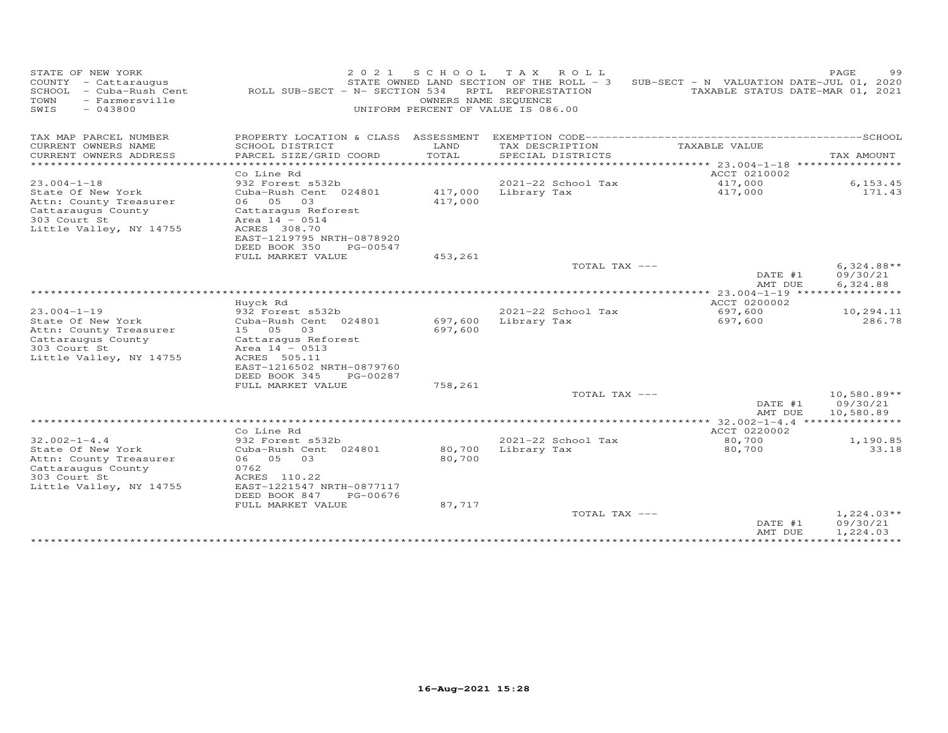| STATE OF NEW YORK<br>COUNTY - Cattaraugus<br>SCHOOL<br>- Cuba-Rush Cent<br>- Farmersville<br>TOWN<br>SWIS<br>$-043800$ | ROLL SUB-SECT - N- SECTION 534             | 2 0 2 1<br>S C H O O L<br>UNIFORM PERCENT OF VALUE IS 086.00 | TAX ROLL<br>STATE OWNED LAND SECTION OF THE ROLL - 3<br>RPTL REFORESTATION<br>OWNERS NAME SEQUENCE | SUB-SECT - N VALUATION DATE-JUL 01, 2020 | PAGE<br>99<br>TAXABLE STATUS DATE-MAR 01, 2021 |
|------------------------------------------------------------------------------------------------------------------------|--------------------------------------------|--------------------------------------------------------------|----------------------------------------------------------------------------------------------------|------------------------------------------|------------------------------------------------|
| TAX MAP PARCEL NUMBER                                                                                                  | PROPERTY LOCATION & CLASS ASSESSMENT       |                                                              |                                                                                                    |                                          |                                                |
| CURRENT OWNERS NAME                                                                                                    | SCHOOL DISTRICT                            | LAND                                                         | TAX DESCRIPTION                                                                                    | TAXABLE VALUE                            |                                                |
| CURRENT OWNERS ADDRESS<br>*************************                                                                    | PARCEL SIZE/GRID COORD                     | TOTAL                                                        | SPECIAL DISTRICTS                                                                                  |                                          | TAX AMOUNT                                     |
|                                                                                                                        | Co Line Rd                                 |                                                              |                                                                                                    | ACCT 0210002                             |                                                |
| $23.004 - 1 - 18$                                                                                                      | 932 Forest s532b                           |                                                              | 2021-22 School Tax                                                                                 | 417,000                                  | 6, 153.45                                      |
| State Of New York                                                                                                      | Cuba-Rush Cent 024801                      | 417,000                                                      | Library Tax                                                                                        | 417,000                                  | 171.43                                         |
| Attn: County Treasurer                                                                                                 | 05<br>03<br>06                             | 417,000                                                      |                                                                                                    |                                          |                                                |
| Cattaraugus County                                                                                                     | Cattaragus Reforest                        |                                                              |                                                                                                    |                                          |                                                |
| 303 Court St                                                                                                           | Area $14 - 0514$                           |                                                              |                                                                                                    |                                          |                                                |
| Little Valley, NY 14755                                                                                                | ACRES 308.70                               |                                                              |                                                                                                    |                                          |                                                |
|                                                                                                                        | EAST-1219795 NRTH-0878920<br>DEED BOOK 350 | PG-00547                                                     |                                                                                                    |                                          |                                                |
|                                                                                                                        | FULL MARKET VALUE                          | 453,261                                                      |                                                                                                    |                                          |                                                |
|                                                                                                                        |                                            |                                                              | TOTAL TAX ---                                                                                      |                                          | $6,324.88**$                                   |
|                                                                                                                        |                                            |                                                              |                                                                                                    | DATE #1                                  | 09/30/21                                       |
|                                                                                                                        |                                            |                                                              |                                                                                                    | AMT DUE                                  | 6,324.88                                       |
|                                                                                                                        |                                            |                                                              |                                                                                                    | $23.004 - 1 - 19$                        |                                                |
|                                                                                                                        | Huyck Rd                                   |                                                              |                                                                                                    | ACCT 0200002                             |                                                |
| $23.004 - 1 - 19$                                                                                                      | 932 Forest s532b                           |                                                              | 2021-22 School Tax                                                                                 | 697,600                                  | 10,294.11<br>286.78                            |
| State Of New York<br>Attn: County Treasurer                                                                            | Cuba-Rush Cent 024801<br>15 05<br>03       | 697,600<br>697,600                                           | Library Tax                                                                                        | 697,600                                  |                                                |
| Cattaraugus County                                                                                                     | Cattaragus Reforest                        |                                                              |                                                                                                    |                                          |                                                |
| 303 Court St                                                                                                           | Area $14 - 0513$                           |                                                              |                                                                                                    |                                          |                                                |
| Little Valley, NY 14755                                                                                                | ACRES 505.11                               |                                                              |                                                                                                    |                                          |                                                |
|                                                                                                                        | EAST-1216502 NRTH-0879760                  |                                                              |                                                                                                    |                                          |                                                |
|                                                                                                                        | DEED BOOK 345                              | PG-00287                                                     |                                                                                                    |                                          |                                                |
|                                                                                                                        | FULL MARKET VALUE                          | 758,261                                                      |                                                                                                    |                                          |                                                |
|                                                                                                                        |                                            |                                                              | TOTAL TAX ---                                                                                      |                                          | $10,580.89**$                                  |
|                                                                                                                        |                                            |                                                              |                                                                                                    | DATE #1<br>AMT DUE                       | 09/30/21<br>10,580.89                          |
|                                                                                                                        |                                            |                                                              |                                                                                                    | $32.002 - 1 - 4.4$                       |                                                |
|                                                                                                                        | Co Line Rd                                 |                                                              |                                                                                                    | ACCT 0220002                             |                                                |
| $32.002 - 1 - 4.4$                                                                                                     | 932 Forest s532b                           |                                                              | 2021-22 School Tax                                                                                 | 80,700                                   | 1,190.85                                       |
| State Of New York                                                                                                      | Cuba-Rush Cent 024801                      | 80,700                                                       | Library Tax                                                                                        | 80,700                                   | 33.18                                          |
| Attn: County Treasurer                                                                                                 | 05<br>03<br>06                             | 80,700                                                       |                                                                                                    |                                          |                                                |
| Cattaraugus County<br>303 Court St                                                                                     | 0762<br>ACRES 110.22                       |                                                              |                                                                                                    |                                          |                                                |
| Little Valley, NY 14755                                                                                                | EAST-1221547 NRTH-0877117                  |                                                              |                                                                                                    |                                          |                                                |
|                                                                                                                        | DEED BOOK 847                              | PG-00676                                                     |                                                                                                    |                                          |                                                |
|                                                                                                                        | FULL MARKET VALUE                          | 87,717                                                       |                                                                                                    |                                          |                                                |
|                                                                                                                        |                                            |                                                              | TOTAL TAX ---                                                                                      |                                          | $1,224.03**$                                   |
|                                                                                                                        |                                            |                                                              |                                                                                                    | DATE #1                                  | 09/30/21                                       |
|                                                                                                                        |                                            |                                                              |                                                                                                    | AMT DUE                                  | 1,224.03                                       |
|                                                                                                                        |                                            |                                                              |                                                                                                    |                                          |                                                |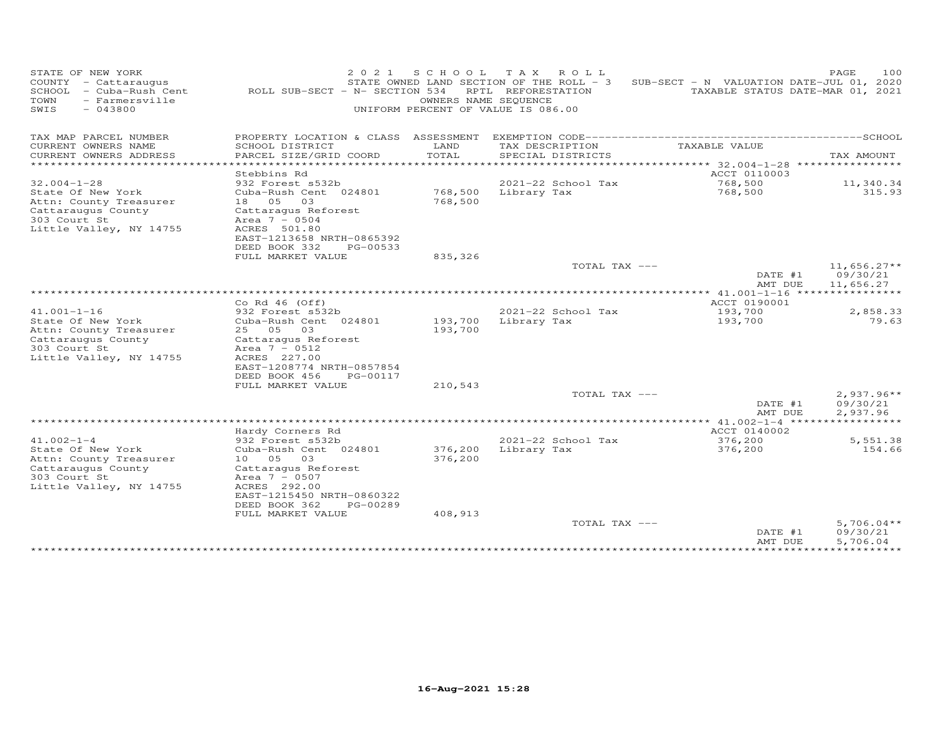| STATE OF NEW YORK<br>COUNTY - Cattaraugus<br>SCHOOL<br>- Cuba-Rush Cent<br>TOWN<br>- Farmersville<br>$-043800$<br>SWIS | 2 0 2 1<br>ROLL SUB-SECT - N- SECTION 534                                                     | S C H O O L<br>OWNERS NAME SEQUENCE<br>UNIFORM PERCENT OF VALUE IS 086.00 | T A X<br>ROLL<br>STATE OWNED LAND SECTION OF THE ROLL - 3<br>RPTL REFORESTATION | SUB-SECT - N VALUATION DATE-JUL 01, 2020        | PAGE<br>100<br>TAXABLE STATUS DATE-MAR 01, 2021 |
|------------------------------------------------------------------------------------------------------------------------|-----------------------------------------------------------------------------------------------|---------------------------------------------------------------------------|---------------------------------------------------------------------------------|-------------------------------------------------|-------------------------------------------------|
| TAX MAP PARCEL NUMBER                                                                                                  | PROPERTY LOCATION & CLASS ASSESSMENT                                                          |                                                                           |                                                                                 |                                                 |                                                 |
| CURRENT OWNERS NAME<br>CURRENT OWNERS ADDRESS                                                                          | SCHOOL DISTRICT<br>PARCEL SIZE/GRID COORD                                                     | LAND<br>TOTAL                                                             | TAX DESCRIPTION<br>SPECIAL DISTRICTS                                            | TAXABLE VALUE                                   | TAX AMOUNT                                      |
| *********************                                                                                                  |                                                                                               | **********                                                                |                                                                                 | *********************************** 32.004-1-28 | ****************                                |
| $32.004 - 1 - 28$                                                                                                      | Stebbins Rd<br>932 Forest s532b                                                               |                                                                           | 2021-22 School Tax                                                              | ACCT 0110003<br>768,500                         | 11,340.34                                       |
| State Of New York<br>Attn: County Treasurer<br>Cattaraugus County<br>303 Court St<br>Little Valley, NY 14755           | Cuba-Rush Cent 024801<br>18  05  03<br>Cattaraqus Reforest<br>Area $7 - 0504$<br>ACRES 501.80 | 768,500<br>768,500                                                        | Library Tax                                                                     | 768,500                                         | 315.93                                          |
|                                                                                                                        | EAST-1213658 NRTH-0865392<br>DEED BOOK 332<br>PG-00533                                        |                                                                           |                                                                                 |                                                 |                                                 |
|                                                                                                                        | FULL MARKET VALUE                                                                             | 835,326                                                                   |                                                                                 |                                                 |                                                 |
|                                                                                                                        |                                                                                               |                                                                           | TOTAL TAX ---                                                                   | DATE #1<br>AMT DUE                              | $11,656.27**$<br>09/30/21<br>11,656.27          |
|                                                                                                                        |                                                                                               |                                                                           |                                                                                 | ************** 41.001-1-16 *****************    |                                                 |
| $41.001 - 1 - 16$                                                                                                      | Co Rd $46$ (Off)                                                                              |                                                                           | 2021-22 School Tax                                                              | ACCT 0190001                                    |                                                 |
| State Of New York                                                                                                      | 932 Forest s532b<br>Cuba-Rush Cent 024801                                                     | 193,700                                                                   | Library Tax                                                                     | 193,700<br>193,700                              | 2,858.33<br>79.63                               |
| Attn: County Treasurer                                                                                                 | 25 05<br>03                                                                                   | 193,700                                                                   |                                                                                 |                                                 |                                                 |
| Cattaraugus County                                                                                                     | Cattaraqus Reforest                                                                           |                                                                           |                                                                                 |                                                 |                                                 |
| 303 Court St<br>Little Valley, NY 14755                                                                                | Area $7 - 0512$<br>ACRES 227.00                                                               |                                                                           |                                                                                 |                                                 |                                                 |
|                                                                                                                        | EAST-1208774 NRTH-0857854                                                                     |                                                                           |                                                                                 |                                                 |                                                 |
|                                                                                                                        | DEED BOOK 456<br>PG-00117                                                                     |                                                                           |                                                                                 |                                                 |                                                 |
|                                                                                                                        | FULL MARKET VALUE                                                                             | 210,543                                                                   |                                                                                 |                                                 |                                                 |
|                                                                                                                        |                                                                                               |                                                                           | TOTAL TAX ---                                                                   | DATE #1                                         | $2,937.96**$<br>09/30/21                        |
|                                                                                                                        |                                                                                               |                                                                           |                                                                                 | AMT DUE                                         | 2,937.96                                        |
|                                                                                                                        |                                                                                               |                                                                           |                                                                                 | ************ 41.002-1-4 ******                  | ***********                                     |
|                                                                                                                        | Hardy Corners Rd                                                                              |                                                                           |                                                                                 | ACCT 0140002                                    |                                                 |
| $41.002 - 1 - 4$<br>State Of New York<br>Attn: County Treasurer<br>Cattaraugus County                                  | 932 Forest s532b<br>Cuba-Rush Cent 024801<br>10 05<br>03<br>Cattaraqus Reforest               | 376,200<br>376,200                                                        | 2021-22 School Tax<br>Library Tax                                               | 376,200<br>376,200                              | 5,551.38<br>154.66                              |
| 303 Court St<br>Little Valley, NY 14755                                                                                | Area $7 - 0507$<br>ACRES 292.00                                                               |                                                                           |                                                                                 |                                                 |                                                 |
|                                                                                                                        | EAST-1215450 NRTH-0860322<br>DEED BOOK 362<br>PG-00289                                        |                                                                           |                                                                                 |                                                 |                                                 |
|                                                                                                                        | FULL MARKET VALUE                                                                             | 408,913                                                                   |                                                                                 |                                                 |                                                 |
|                                                                                                                        |                                                                                               |                                                                           | TOTAL TAX ---                                                                   | DATE #1<br>AMT DUE                              | $5,706.04**$<br>09/30/21<br>5,706.04            |
|                                                                                                                        |                                                                                               |                                                                           |                                                                                 | ****************                                | ***********                                     |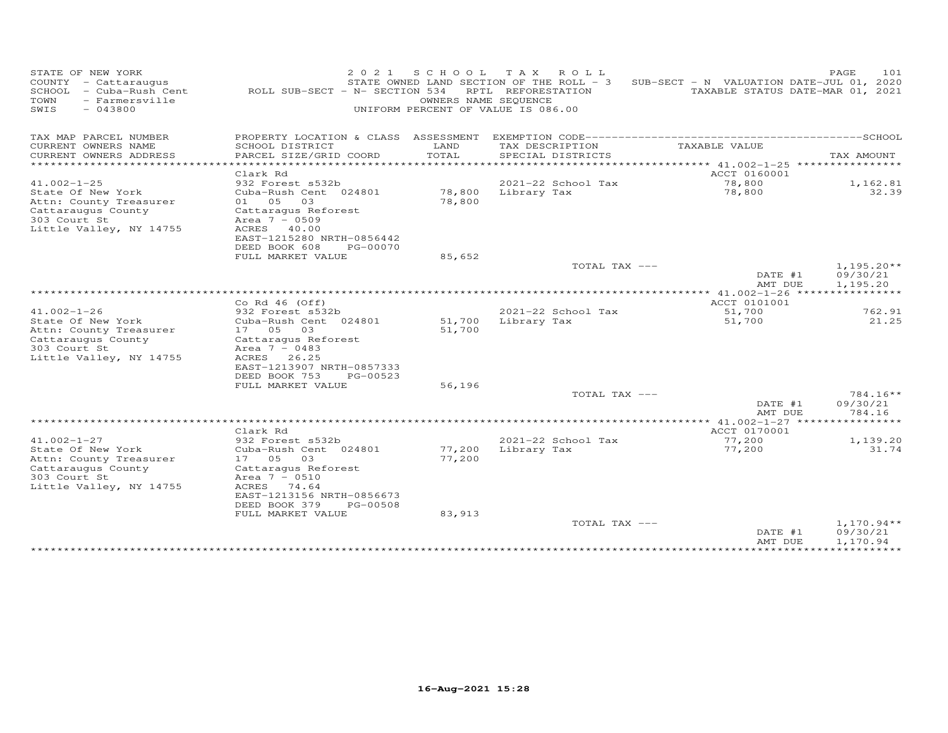| STATE OF NEW YORK<br>COUNTY - Cattaraugus<br>SCHOOL - Cuba-Rush Cent<br>TOWN<br>- Farmersville<br>$-043800$<br>SWIS | 2 0 2 1<br>ROLL SUB-SECT - N- SECTION 534              | S C H O O L<br>OWNERS NAME SEQUENCE<br>UNIFORM PERCENT OF VALUE IS 086.00 | TAX ROLL<br>STATE OWNED LAND SECTION OF THE ROLL - 3<br>RPTL REFORESTATION | SUB-SECT - N VALUATION DATE-JUL 01, 2020                             | PAGE<br>101<br>TAXABLE STATUS DATE-MAR 01, 2021 |
|---------------------------------------------------------------------------------------------------------------------|--------------------------------------------------------|---------------------------------------------------------------------------|----------------------------------------------------------------------------|----------------------------------------------------------------------|-------------------------------------------------|
| TAX MAP PARCEL NUMBER                                                                                               | PROPERTY LOCATION & CLASS ASSESSMENT                   |                                                                           |                                                                            |                                                                      |                                                 |
| CURRENT OWNERS NAME                                                                                                 | SCHOOL DISTRICT                                        | LAND                                                                      | TAX DESCRIPTION                                                            | TAXABLE VALUE                                                        |                                                 |
| CURRENT OWNERS ADDRESS<br>*********************                                                                     | PARCEL SIZE/GRID COORD<br>******************           | TOTAL<br>**********                                                       | SPECIAL DISTRICTS                                                          | ************************************** 41.002-1-25 ***************** | TAX AMOUNT                                      |
|                                                                                                                     | Clark Rd                                               |                                                                           |                                                                            | ACCT 0160001                                                         |                                                 |
| $41.002 - 1 - 25$                                                                                                   | 932 Forest s532b                                       |                                                                           | 2021-22 School Tax                                                         | 78,800                                                               | 1,162.81                                        |
| State Of New York<br>Attn: County Treasurer                                                                         | Cuba-Rush Cent 024801<br>01 05<br>03                   | 78,800<br>78,800                                                          | Library Tax                                                                | 78,800                                                               | 32.39                                           |
| Cattaraugus County                                                                                                  | Cattaraqus Reforest                                    |                                                                           |                                                                            |                                                                      |                                                 |
| 303 Court St<br>Little Valley, NY 14755                                                                             | Area $7 - 0509$<br>ACRES 40.00                         |                                                                           |                                                                            |                                                                      |                                                 |
|                                                                                                                     | EAST-1215280 NRTH-0856442                              |                                                                           |                                                                            |                                                                      |                                                 |
|                                                                                                                     | DEED BOOK 608<br>PG-00070                              |                                                                           |                                                                            |                                                                      |                                                 |
|                                                                                                                     | FULL MARKET VALUE                                      | 85,652                                                                    | TOTAL TAX ---                                                              |                                                                      | $1,195.20**$                                    |
|                                                                                                                     |                                                        |                                                                           |                                                                            | DATE #1<br>AMT DUE                                                   | 09/30/21<br>1,195.20                            |
|                                                                                                                     |                                                        |                                                                           |                                                                            | ************* 41.002-1-26 *****                                      | ***********                                     |
|                                                                                                                     | Co Rd $46$ (Off)                                       |                                                                           |                                                                            | ACCT 0101001                                                         |                                                 |
| $41.002 - 1 - 26$                                                                                                   | 932 Forest s532b                                       |                                                                           | 2021-22 School Tax                                                         | 51,700                                                               | 762.91<br>21.25                                 |
| State Of New York<br>Attn: County Treasurer                                                                         | Cuba-Rush Cent 024801<br>17 05<br>03                   | 51,700<br>51,700                                                          | Library Tax                                                                | 51,700                                                               |                                                 |
| Cattaraugus County                                                                                                  | Cattaragus Reforest                                    |                                                                           |                                                                            |                                                                      |                                                 |
| 303 Court St                                                                                                        | Area $7 - 0483$                                        |                                                                           |                                                                            |                                                                      |                                                 |
| Little Valley, NY 14755                                                                                             | ACRES<br>26.25                                         |                                                                           |                                                                            |                                                                      |                                                 |
|                                                                                                                     | EAST-1213907 NRTH-0857333<br>DEED BOOK 753<br>PG-00523 |                                                                           |                                                                            |                                                                      |                                                 |
|                                                                                                                     | FULL MARKET VALUE                                      | 56,196                                                                    |                                                                            |                                                                      |                                                 |
|                                                                                                                     |                                                        |                                                                           | TOTAL TAX ---                                                              |                                                                      | $784.16**$                                      |
|                                                                                                                     |                                                        |                                                                           |                                                                            | DATE #1<br>AMT DUE                                                   | 09/30/21<br>784.16                              |
|                                                                                                                     |                                                        |                                                                           |                                                                            | ************ 41.002-1-27 ******                                      | *********                                       |
|                                                                                                                     | Clark Rd                                               |                                                                           |                                                                            | ACCT 0170001                                                         |                                                 |
| $41.002 - 1 - 27$                                                                                                   | 932 Forest s532b                                       |                                                                           | 2021-22 School Tax                                                         | 77,200                                                               | 1,139.20                                        |
| State Of New York<br>Attn: County Treasurer                                                                         | Cuba-Rush Cent 024801<br>17 05<br>03                   | 77,200<br>77,200                                                          | Library Tax                                                                | 77,200                                                               | 31.74                                           |
| Cattaraugus County                                                                                                  | Cattaraqus Reforest                                    |                                                                           |                                                                            |                                                                      |                                                 |
| 303 Court St                                                                                                        | Area $7 - 0510$                                        |                                                                           |                                                                            |                                                                      |                                                 |
| Little Valley, NY 14755                                                                                             | ACRES 74.64                                            |                                                                           |                                                                            |                                                                      |                                                 |
|                                                                                                                     | EAST-1213156 NRTH-0856673                              |                                                                           |                                                                            |                                                                      |                                                 |
|                                                                                                                     | DEED BOOK 379<br>PG-00508<br>FULL MARKET VALUE         | 83,913                                                                    |                                                                            |                                                                      |                                                 |
|                                                                                                                     |                                                        |                                                                           | TOTAL TAX ---                                                              |                                                                      | $1,170.94**$                                    |
|                                                                                                                     |                                                        |                                                                           |                                                                            | DATE #1                                                              | 09/30/21                                        |
|                                                                                                                     |                                                        |                                                                           |                                                                            | AMT DUE<br>*************                                             | 1,170.94<br>***********                         |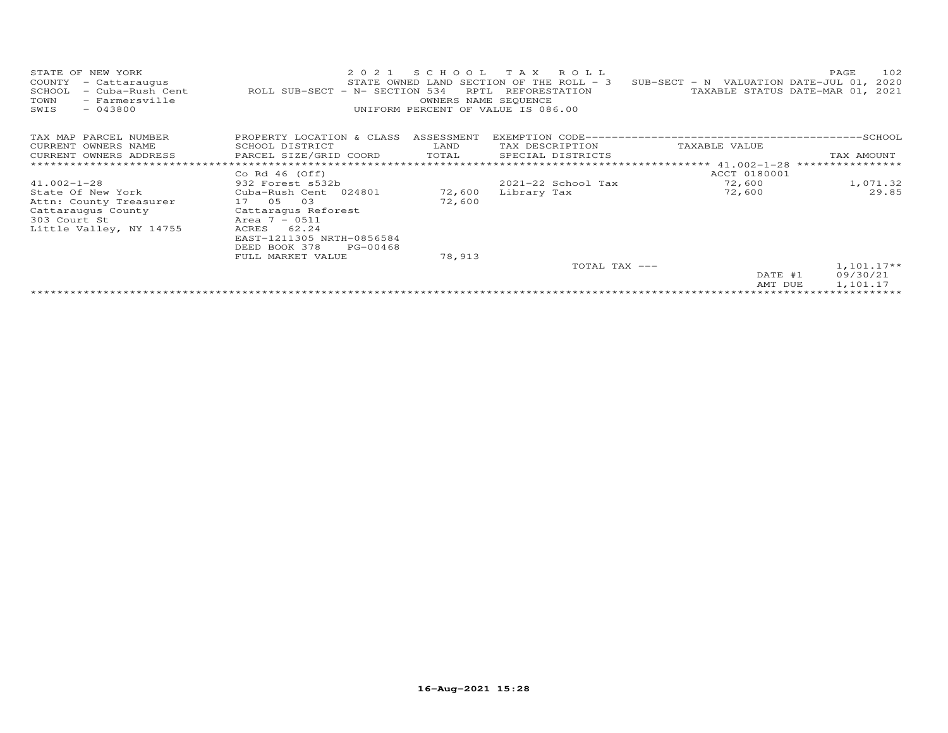| STATE OF NEW YORK<br>COUNTY<br>- Cattaraugus<br>SCHOOL<br>- Cuba-Rush Cent<br>- Farmersville<br>TOWN<br>$-043800$<br>SWIS | 2021<br>ROLL SUB-SECT - N- SECTION 534                 | S C H O O L<br>RPTL<br>OWNERS NAME SEQUENCE | T A X<br>R O L L<br>STATE OWNED LAND SECTION OF THE ROLL - 3<br>REFORESTATION<br>UNIFORM PERCENT OF VALUE IS 086.00 | SUB-SECT - N VALUATION DATE-JUL 01, 2020      | 102<br>PAGE<br>TAXABLE STATUS DATE-MAR 01, 2021 |
|---------------------------------------------------------------------------------------------------------------------------|--------------------------------------------------------|---------------------------------------------|---------------------------------------------------------------------------------------------------------------------|-----------------------------------------------|-------------------------------------------------|
| TAX MAP PARCEL NUMBER                                                                                                     | PROPERTY LOCATION & CLASS                              | ASSESSMENT                                  |                                                                                                                     |                                               |                                                 |
| CURRENT OWNERS NAME                                                                                                       | SCHOOL DISTRICT                                        | LAND                                        | TAX DESCRIPTION                                                                                                     | TAXABLE VALUE                                 |                                                 |
| CURRENT OWNERS ADDRESS                                                                                                    | PARCEL SIZE/GRID COORD                                 | TOTAL                                       | SPECIAL DISTRICTS                                                                                                   |                                               | TAX AMOUNT                                      |
|                                                                                                                           |                                                        |                                             |                                                                                                                     | *************************** $41.002 - 1 - 28$ | ****************                                |
|                                                                                                                           | Co Rd $46$ (Off)                                       |                                             |                                                                                                                     | ACCT 0180001                                  |                                                 |
| $41.002 - 1 - 28$                                                                                                         | 932 Forest s532b                                       |                                             | $2021 - 22$ School Tax                                                                                              | 72,600                                        | 1,071.32                                        |
| State Of New York                                                                                                         | Cuba-Rush Cent 024801                                  | 72,600                                      | Library Tax                                                                                                         | 72,600                                        | 29.85                                           |
| Attn: County Treasurer                                                                                                    | 17 05<br>03                                            | 72,600                                      |                                                                                                                     |                                               |                                                 |
| Cattaraugus County                                                                                                        | Cattaragus Reforest                                    |                                             |                                                                                                                     |                                               |                                                 |
| 303 Court St                                                                                                              | Area $7 - 0511$                                        |                                             |                                                                                                                     |                                               |                                                 |
| Little Valley, NY 14755                                                                                                   | ACRES<br>62.24                                         |                                             |                                                                                                                     |                                               |                                                 |
|                                                                                                                           | EAST-1211305 NRTH-0856584<br>DEED BOOK 378<br>PG-00468 |                                             |                                                                                                                     |                                               |                                                 |
|                                                                                                                           | FULL MARKET VALUE                                      |                                             |                                                                                                                     |                                               |                                                 |
|                                                                                                                           |                                                        | 78,913                                      | TOTAL TAX ---                                                                                                       |                                               | $1,101.17**$                                    |
|                                                                                                                           |                                                        |                                             |                                                                                                                     | DATE #1                                       | 09/30/21                                        |
|                                                                                                                           |                                                        |                                             |                                                                                                                     | AMT DUE                                       | 1,101.17                                        |
|                                                                                                                           |                                                        |                                             |                                                                                                                     |                                               |                                                 |
|                                                                                                                           |                                                        |                                             |                                                                                                                     |                                               |                                                 |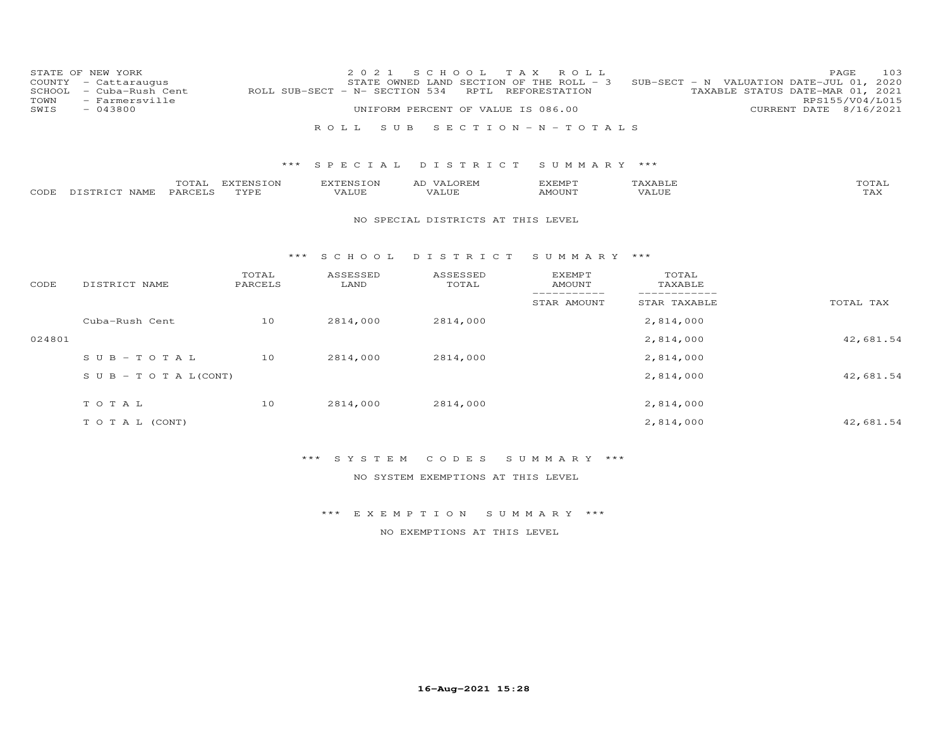| COUNTY<br>SCHOOL<br>TOWN<br>SWIS | STATE OF NEW YORK<br>- Cattaraugus<br>- Cuba-Rush Cent<br>- Farmersville<br>$-043800$ |                   | 2 0 2 1<br>ROLL SUB-SECT - N- SECTION 534 | S C H O O L<br>STATE OWNED LAND SECTION OF THE ROLL - 3<br>RPTL<br>UNIFORM PERCENT OF VALUE IS 086.00 | T A X<br>ROLL<br>REFORESTATION      |                              | 103<br>PAGE<br>SUB-SECT - N VALUATION DATE-JUL 01, 2020<br>TAXABLE STATUS DATE-MAR 01, 2021<br>RPS155/V04/L015<br>8/16/2021<br>CURRENT DATE |
|----------------------------------|---------------------------------------------------------------------------------------|-------------------|-------------------------------------------|-------------------------------------------------------------------------------------------------------|-------------------------------------|------------------------------|---------------------------------------------------------------------------------------------------------------------------------------------|
|                                  |                                                                                       |                   | ROLL<br>S U B                             |                                                                                                       | $S \tE C T I O N - N - T O T A L S$ |                              |                                                                                                                                             |
|                                  |                                                                                       | $***$             | SPECIAL                                   | DISTRICT                                                                                              | SUMMARY ***                         |                              |                                                                                                                                             |
| CODE                             | TOTAL<br>PARCELS<br>DISTRICT NAME                                                     | EXTENSION<br>TYPE | <b>EXTENSION</b><br>VALUE                 | AD VALOREM<br>VALUE                                                                                   | <b>EXEMPT</b><br><b>AMOUNT</b>      | TAXABLE<br>VALUE             | TOTAL<br>TAX                                                                                                                                |
|                                  |                                                                                       |                   |                                           | NO SPECIAL DISTRICTS AT THIS LEVEL                                                                    |                                     |                              |                                                                                                                                             |
|                                  |                                                                                       | ***               | S C H O O L                               | DISTRICT                                                                                              | SUMMARY ***                         |                              |                                                                                                                                             |
| CODE                             | DISTRICT NAME                                                                         | TOTAL<br>PARCELS  | ASSESSED<br>LAND                          | ASSESSED<br>TOTAL                                                                                     | <b>EXEMPT</b><br><b>AMOUNT</b>      | TOTAL<br>TAXABLE             |                                                                                                                                             |
|                                  |                                                                                       |                   |                                           |                                                                                                       | -----------<br>STAR AMOUNT          | ____________<br>STAR TAXABLE | TOTAL TAX                                                                                                                                   |
|                                  | Cuba-Rush Cent                                                                        | 10                | 2814,000                                  | 2814,000                                                                                              |                                     | 2,814,000                    |                                                                                                                                             |
| 024801                           |                                                                                       |                   |                                           |                                                                                                       |                                     | 2,814,000                    | 42,681.54                                                                                                                                   |
|                                  | $SUB - TO T AL$                                                                       | 10                | 2814,000                                  | 2814,000                                                                                              |                                     | 2,814,000                    |                                                                                                                                             |
|                                  | $S \cup B - T \cup T A L (CONT)$                                                      |                   |                                           |                                                                                                       |                                     | 2,814,000                    | 42,681.54                                                                                                                                   |
|                                  | TO TAL                                                                                | 10                | 2814,000                                  | 2814,000                                                                                              |                                     | 2,814,000                    |                                                                                                                                             |
|                                  | T O T A L (CONT)                                                                      |                   |                                           |                                                                                                       |                                     | 2,814,000                    | 42,681.54                                                                                                                                   |

# \*\*\* S Y S T E M C O D E S S U M M A R Y \*\*\*

NO SYSTEM EXEMPTIONS AT THIS LEVEL

\*\*\* E X E M P T I O N S U M M A R Y \*\*\*

NO EXEMPTIONS AT THIS LEVEL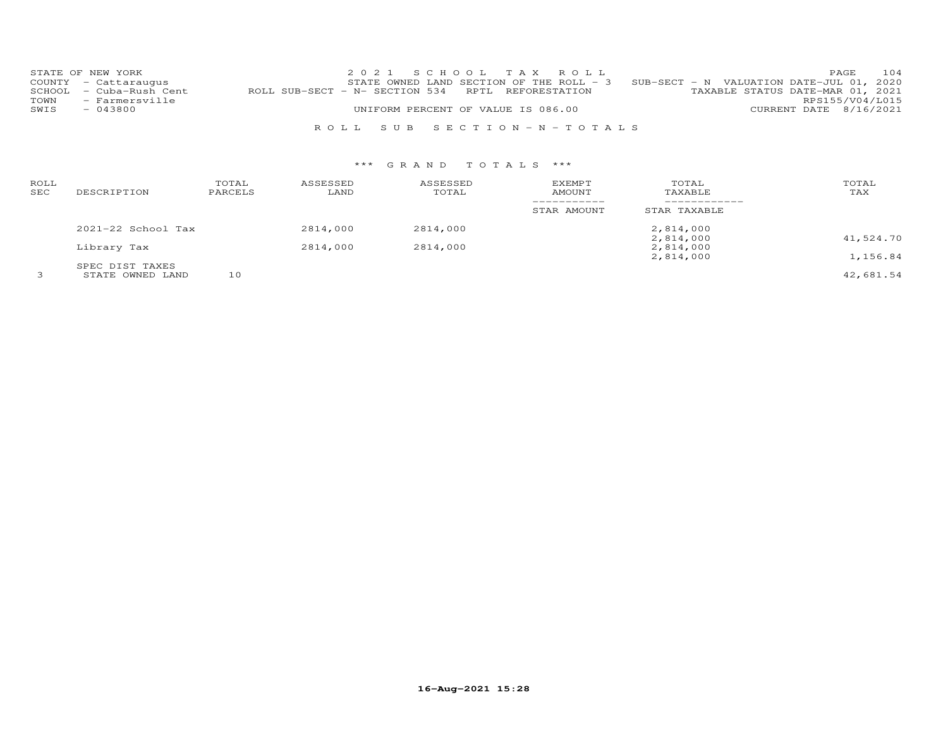|      | STATE OF NEW YORK       |                                                   | 2021 SCHOOL TAX ROLL               |  |                                                                                     |                        | PAGE. | 104 |
|------|-------------------------|---------------------------------------------------|------------------------------------|--|-------------------------------------------------------------------------------------|------------------------|-------|-----|
|      | COUNTY - Cattaraugus    |                                                   |                                    |  | STATE OWNED LAND SECTION OF THE ROLL - $3$ SUB-SECT - N VALUATION DATE-JUL 01, 2020 |                        |       |     |
|      | SCHOOL - Cuba-Rush Cent | ROLL SUB-SECT - N- SECTION 534 RPTL REFORESTATION |                                    |  | TAXABLE STATUS DATE-MAR 01, 2021                                                    |                        |       |     |
| TOWN | - Farmersville          |                                                   |                                    |  |                                                                                     | RPS155/V04/L015        |       |     |
| SWIS | $-043800$               |                                                   | UNIFORM PERCENT OF VALUE IS 086.00 |  |                                                                                     | CURRENT DATE 8/16/2021 |       |     |
|      |                         |                                                   |                                    |  |                                                                                     |                        |       |     |
|      |                         |                                                   | ROLL SUB SECTION-N-TOTALS          |  |                                                                                     |                        |       |     |

| ROLL<br>SEC | DESCRIPTION                         | TOTAL<br>PARCELS | ASSESSED<br>LAND | ASSESSED<br>TOTAL | EXEMPT<br>AMOUNT | TOTAL<br>TAXABLE       | TOTAL<br>TAX |
|-------------|-------------------------------------|------------------|------------------|-------------------|------------------|------------------------|--------------|
|             |                                     |                  |                  |                   | STAR AMOUNT      | STAR TAXABLE           |              |
|             | $2021 - 22$ School Tax              |                  | 2814,000         | 2814,000          |                  | 2,814,000<br>2,814,000 | 41,524.70    |
|             | Library Tax                         |                  | 2814,000         | 2814,000          |                  | 2,814,000<br>2,814,000 | 1,156.84     |
|             | SPEC DIST TAXES<br>STATE OWNED LAND | 10               |                  |                   |                  |                        | 42,681.54    |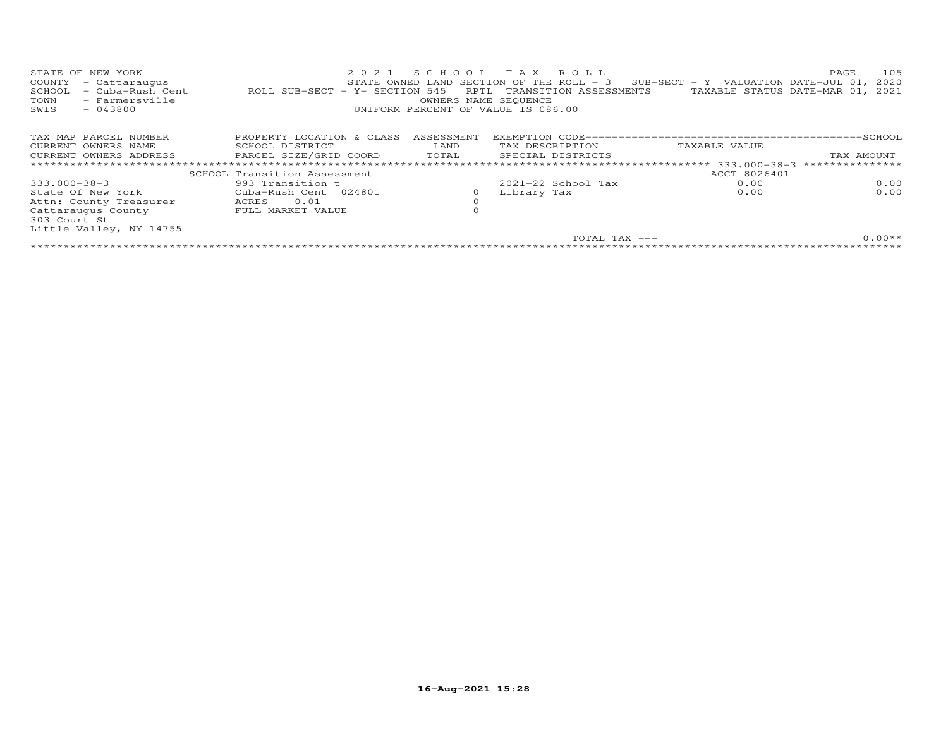| STATE OF NEW YORK<br>COUNTY<br>- Cattaraugus<br>- Cuba-Rush Cent<br>SCHOOL<br>TOWN<br>- Farmersville<br>SWIS<br>$-043800$ | 2021<br>ROLL SUB-SECT - Y- SECTION 545 | SCHOOL<br>RPTL<br>OWNERS NAME SEQUENCE | ROLL<br>T A X<br>STATE OWNED LAND SECTION OF THE ROLL $-$ 3<br>TRANSITION ASSESSMENTS<br>UNIFORM PERCENT OF VALUE IS 086.00 | SUB-SECT - Y VALUATION DATE-JUL $01$ ,<br>TAXABLE STATUS DATE-MAR 01, 2021 | 105<br>PAGE<br>2020 |
|---------------------------------------------------------------------------------------------------------------------------|----------------------------------------|----------------------------------------|-----------------------------------------------------------------------------------------------------------------------------|----------------------------------------------------------------------------|---------------------|
| TAX MAP PARCEL NUMBER                                                                                                     | PROPERTY LOCATION & CLASS              | ASSESSMENT                             |                                                                                                                             |                                                                            |                     |
| CURRENT OWNERS NAME                                                                                                       | SCHOOL DISTRICT                        | LAND                                   | TAX DESCRIPTION                                                                                                             | TAXABLE VALUE                                                              |                     |
| CURRENT OWNERS ADDRESS                                                                                                    | PARCEL SIZE/GRID COORD                 | TOTAL                                  | SPECIAL DISTRICTS                                                                                                           |                                                                            | TAX AMOUNT          |
|                                                                                                                           |                                        |                                        |                                                                                                                             |                                                                            |                     |
|                                                                                                                           | SCHOOL Transition Assessment           |                                        |                                                                                                                             | ACCT 8026401                                                               |                     |
| 333.000-38-3                                                                                                              | 993 Transition t                       |                                        | $2021 - 22$ School Tax                                                                                                      | 0.00                                                                       | 0.00                |
| State Of New York                                                                                                         | Cuba-Rush Cent 024801                  | 0                                      | Library Tax                                                                                                                 | 0.00                                                                       | 0.00                |
| Attn: County Treasurer                                                                                                    | 0.01<br>ACRES                          | $\Omega$                               |                                                                                                                             |                                                                            |                     |
| Cattaraugus County                                                                                                        | FULL MARKET VALUE                      | $\Omega$                               |                                                                                                                             |                                                                            |                     |
| 303 Court St                                                                                                              |                                        |                                        |                                                                                                                             |                                                                            |                     |
| Little Valley, NY 14755                                                                                                   |                                        |                                        |                                                                                                                             |                                                                            |                     |
|                                                                                                                           |                                        |                                        | TOTAL TAX ---                                                                                                               |                                                                            | $0.00**$            |
|                                                                                                                           |                                        |                                        |                                                                                                                             |                                                                            |                     |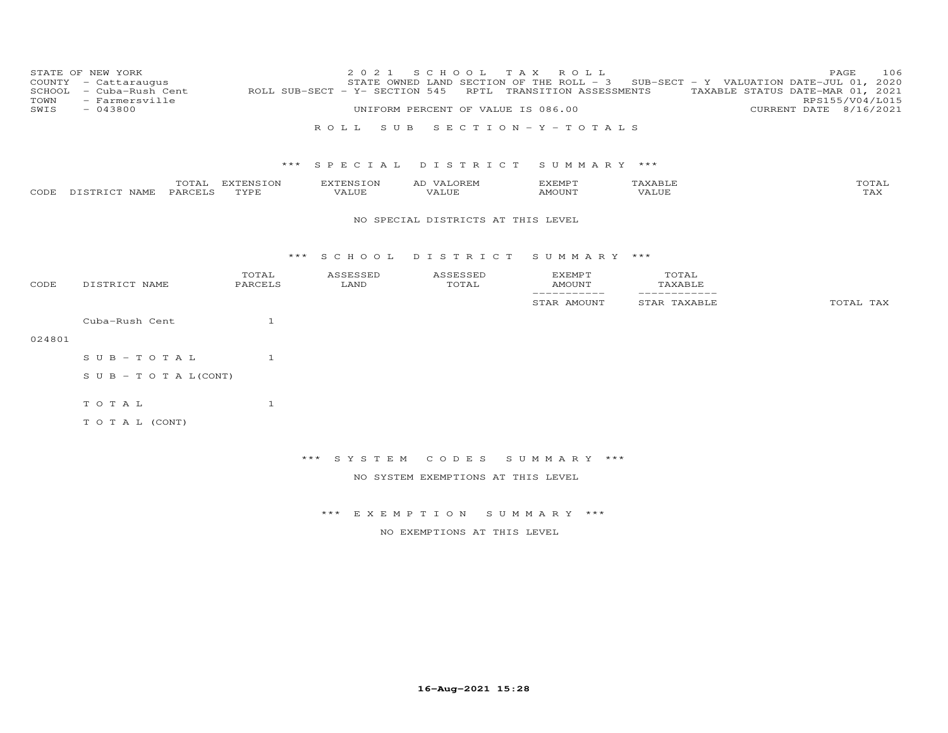| TOWN<br>SWIS | STATE OF NEW YORK<br>COUNTY - Cattaraugus<br>SCHOOL - Cuba-Rush Cent<br>- Farmersville<br>$-043800$ |                         | 2 0 2 1<br>ROLL SUB-SECT - Y- SECTION 545 | S C H O O L<br>T A X<br>UNIFORM PERCENT OF VALUE IS 086.00 | ROLL<br>RPTL TRANSITION ASSESSMENTS |                             | 106<br>PAGE<br>STATE OWNED LAND SECTION OF THE ROLL - 3 SUB-SECT - Y VALUATION DATE-JUL 01, 2020<br>TAXABLE STATUS DATE-MAR 01, 2021<br>RPS155/V04/L015<br>CURRENT DATE 8/16/2021 |
|--------------|-----------------------------------------------------------------------------------------------------|-------------------------|-------------------------------------------|------------------------------------------------------------|-------------------------------------|-----------------------------|-----------------------------------------------------------------------------------------------------------------------------------------------------------------------------------|
|              |                                                                                                     |                         | ROLL SUB                                  | SECTION-Y-TOTALS                                           |                                     |                             |                                                                                                                                                                                   |
|              |                                                                                                     |                         |                                           | *** SPECIAL DISTRICT                                       | SUMMARY ***                         |                             |                                                                                                                                                                                   |
|              | CODE DISTRICT NAME<br>PARCELS                                                                       | TOTAL EXTENSION<br>TYPE | EXTENSION<br>VALUE                        | AD VALOREM<br>VALUE                                        | EXEMPT<br>AMOUNT                    | TAXABLE<br>VALUE            | TOTAL<br>TAX                                                                                                                                                                      |
|              |                                                                                                     |                         |                                           | NO SPECIAL DISTRICTS AT THIS LEVEL                         |                                     |                             |                                                                                                                                                                                   |
|              |                                                                                                     |                         |                                           | *** SCHOOL DISTRICT                                        | SUMMARY ***                         |                             |                                                                                                                                                                                   |
| CODE         | DISTRICT NAME                                                                                       | TOTAL<br>PARCELS        | ASSESSED<br>LAND                          | ASSESSED<br>TOTAL                                          | EXEMPT<br>AMOUNT                    | TOTAL<br>TAXABLE            |                                                                                                                                                                                   |
|              |                                                                                                     |                         |                                           |                                                            | ___________<br>STAR AMOUNT          | ___________<br>STAR TAXABLE | TOTAL TAX                                                                                                                                                                         |
|              | Cuba-Rush Cent                                                                                      | $\mathbf{1}$            |                                           |                                                            |                                     |                             |                                                                                                                                                                                   |
| 024801       |                                                                                                     |                         |                                           |                                                            |                                     |                             |                                                                                                                                                                                   |
|              | $S \cup B - T \cup T A L$                                                                           | 1                       |                                           |                                                            |                                     |                             |                                                                                                                                                                                   |
|              | $S \cup B - T \cup T A L (CONT)$                                                                    |                         |                                           |                                                            |                                     |                             |                                                                                                                                                                                   |
|              | TOTAL                                                                                               | $\mathbf{1}$            |                                           |                                                            |                                     |                             |                                                                                                                                                                                   |
|              | TO TAL (CONT)                                                                                       |                         |                                           |                                                            |                                     |                             |                                                                                                                                                                                   |
|              |                                                                                                     |                         | *** SYSTEM                                | C O D E S                                                  | SUMMARY ***                         |                             |                                                                                                                                                                                   |
|              |                                                                                                     |                         |                                           | NO SYSTEM EXEMPTIONS AT THIS LEVEL                         |                                     |                             |                                                                                                                                                                                   |
|              |                                                                                                     |                         |                                           |                                                            |                                     |                             |                                                                                                                                                                                   |
|              |                                                                                                     |                         |                                           | *** EXEMPTION SUMMARY ***                                  |                                     |                             |                                                                                                                                                                                   |
|              |                                                                                                     |                         |                                           | NO EXEMPTIONS AT THIS LEVEL                                |                                     |                             |                                                                                                                                                                                   |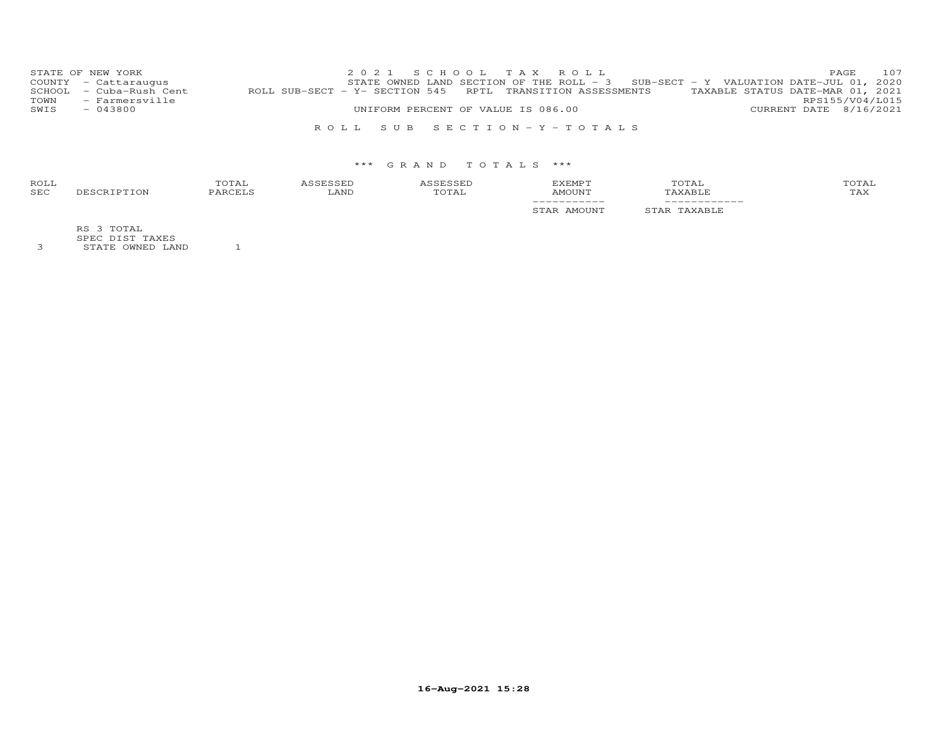|      | STATE OF NEW YORK       |                                                                                             |  |                                    | 2021 SCHOOL TAX ROLL      |                                                                                   |  | <b>PAGE 107</b>        |  |
|------|-------------------------|---------------------------------------------------------------------------------------------|--|------------------------------------|---------------------------|-----------------------------------------------------------------------------------|--|------------------------|--|
|      | COUNTY - Cattaraugus    |                                                                                             |  |                                    |                           | STATE OWNED LAND SECTION OF THE ROLL - 3 SUB-SECT - Y VALUATION DATE-JUL 01, 2020 |  |                        |  |
|      | SCHOOL - Cuba-Rush Cent | ROLL SUB-SECT - Y- SECTION 545 RPTL TRANSITION ASSESSMENTS TAXABLE STATUS DATE-MAR 01, 2021 |  |                                    |                           |                                                                                   |  |                        |  |
|      | TOWN - Farmersville     |                                                                                             |  |                                    |                           |                                                                                   |  | RPS155/V04/L015        |  |
| SWIS | $-043800$               |                                                                                             |  | UNIFORM PERCENT OF VALUE IS 086.00 |                           |                                                                                   |  | CURRENT DATE 8/16/2021 |  |
|      |                         |                                                                                             |  |                                    |                           |                                                                                   |  |                        |  |
|      |                         |                                                                                             |  |                                    | ROLL SUB SECTION-Y-TOTALS |                                                                                   |  |                        |  |

## \*\*\* G R A N D T O T A L S \*\*\*

| ROLL<br>SEC | TOTAL<br><b>DARCELS</b> | <b>CCEL</b><br>LAND | TOTAL | EXEMPT<br>AMOUNT                       | TOTAL<br>TAXABLE        | TOTAL<br>TAX |
|-------------|-------------------------|---------------------|-------|----------------------------------------|-------------------------|--------------|
|             |                         |                     |       | ____________<br>AMOUNT<br>ו ב <i>ו</i> | _____________<br>AXABLE |              |

RS 3 TOTAL

SPEC DIST TAXES 3 STATE OWNED LAND 1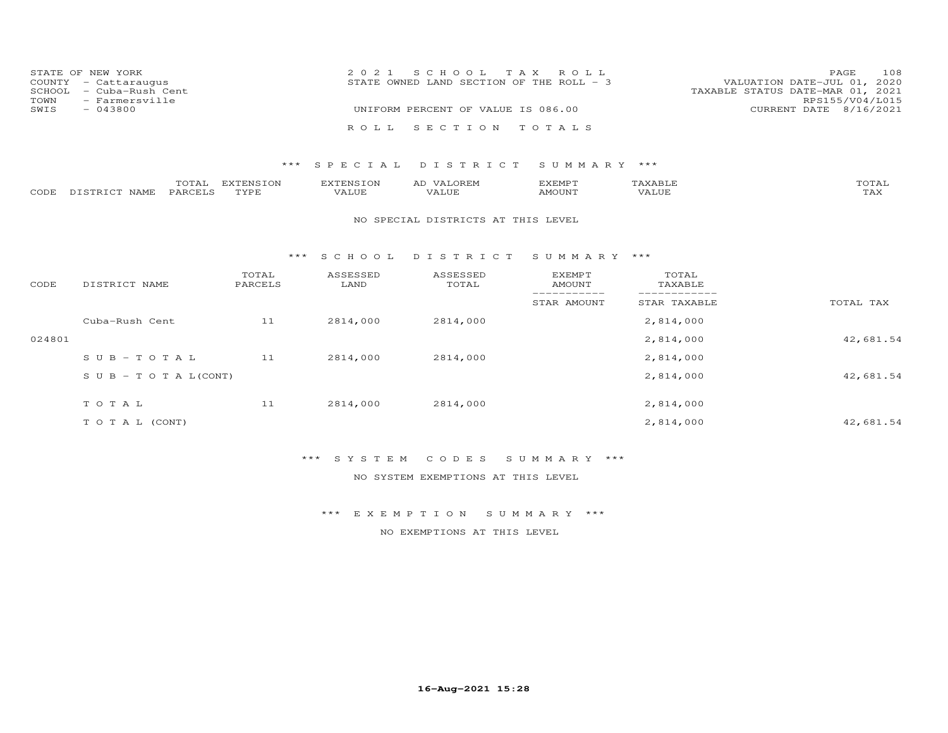|      | STATE OF NEW YORK       | 2021 SCHOOL TAX ROLL                                                      | PAGE.                  | 108 |
|------|-------------------------|---------------------------------------------------------------------------|------------------------|-----|
|      | COUNTY - Cattaraugus    | VALUATION DATE-JUL 01, 2020<br>STATE OWNED LAND SECTION OF THE ROLL $-$ 3 |                        |     |
|      | SCHOOL - Cuba-Rush Cent | TAXABLE STATUS DATE-MAR 01, 2021                                          |                        |     |
| TOWN | - Farmersville          |                                                                           | RPS155/V04/L015        |     |
| SWIS | $-043800$               | UNIFORM PERCENT OF VALUE IS 086.00                                        | CURRENT DATE 8/16/2021 |     |
|      |                         |                                                                           |                        |     |
|      |                         | ROLL SECTION TOTALS                                                       |                        |     |

|      |          | $m \wedge m \wedge$<br>UIAL | $\blacksquare$<br>,,,, | <b>EXTENSION</b> | $\mathcal{M}$<br>ΑL | ,,, <del>,</del> ,,,,,,,,<br>متتبتد | <b>XABIT</b>      | TOTAI                |
|------|----------|-----------------------------|------------------------|------------------|---------------------|-------------------------------------|-------------------|----------------------|
| CODE | 57000700 | PARCET                      | TVDI                   | <b>ALUE</b>      | 7 A I JU P          | $AMO$ UNT                           | $\tau_{\rm dIF.}$ | $m \times r$<br>-∠∆∠ |

#### NO SPECIAL DISTRICTS AT THIS LEVEL

#### \*\*\* S C H O O L D I S T R I C T S U M M A R Y \*\*\*

| CODE   | DISTRICT NAME                    | TOTAL<br>PARCELS | ASSESSED<br>LAND | ASSESSED<br>TOTAL | <b>EXEMPT</b><br>AMOUNT | TOTAL<br>TAXABLE |           |
|--------|----------------------------------|------------------|------------------|-------------------|-------------------------|------------------|-----------|
|        |                                  |                  |                  |                   | STAR AMOUNT             | STAR TAXABLE     | TOTAL TAX |
|        | Cuba-Rush Cent                   | 11               | 2814,000         | 2814,000          |                         | 2,814,000        |           |
| 024801 |                                  |                  |                  |                   |                         | 2,814,000        | 42,681.54 |
|        | $SUB - TO T AL$                  | 11               | 2814,000         | 2814,000          |                         | 2,814,000        |           |
|        | $S \cup B - T \cup T A L (CONT)$ |                  |                  |                   |                         | 2,814,000        | 42,681.54 |
|        | TOTAL                            | 11               | 2814,000         | 2814,000          |                         | 2,814,000        |           |
|        | T O T A L (CONT)                 |                  |                  |                   |                         | 2,814,000        | 42,681.54 |

# \*\*\* S Y S T E M C O D E S S U M M A R Y \*\*\*

NO SYSTEM EXEMPTIONS AT THIS LEVEL

\*\*\* E X E M P T I O N S U M M A R Y \*\*\*

NO EXEMPTIONS AT THIS LEVEL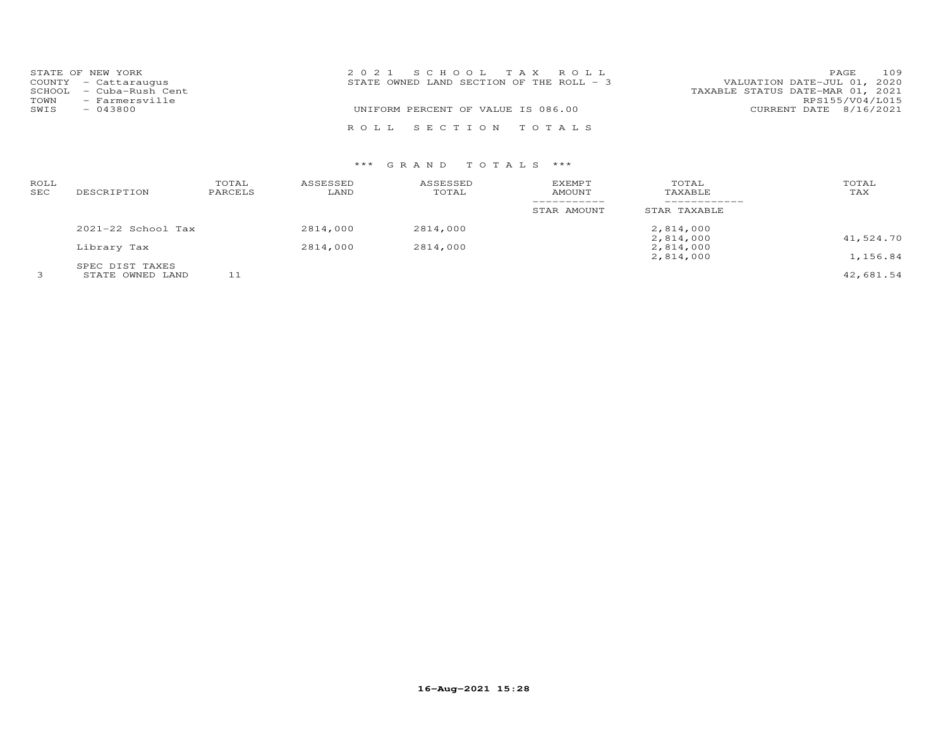|      | STATE OF NEW YORK       | 2021 SCHOOL TAX ROLL                                                      | PAGE                   | 109 |
|------|-------------------------|---------------------------------------------------------------------------|------------------------|-----|
|      | COUNTY - Cattaraugus    | VALUATION DATE-JUL 01, 2020<br>STATE OWNED LAND SECTION OF THE ROLL $-$ 3 |                        |     |
|      | SCHOOL - Cuba-Rush Cent | TAXABLE STATUS DATE-MAR 01, 2021                                          |                        |     |
| TOWN | - Farmersville          |                                                                           | RPS155/V04/L015        |     |
| SWIS | $-043800$               | UNIFORM PERCENT OF VALUE IS 086.00                                        | CURRENT DATE 8/16/2021 |     |
|      |                         | ROLL SECTION TOTALS                                                       |                        |     |

| ROLL<br>SEC | DESCRIPTION                         | TOTAL<br>PARCELS | ASSESSED<br>LAND | ASSESSED<br>TOTAL | EXEMPT<br>AMOUNT | TOTAL<br>TAXABLE       | TOTAL<br>TAX |
|-------------|-------------------------------------|------------------|------------------|-------------------|------------------|------------------------|--------------|
|             |                                     |                  |                  |                   | STAR AMOUNT      | STAR TAXABLE           |              |
|             | $2021 - 22$ School Tax              |                  | 2814,000         | 2814,000          |                  | 2,814,000<br>2,814,000 | 41,524.70    |
|             | Library Tax                         |                  | 2814,000         | 2814,000          |                  | 2,814,000<br>2,814,000 | 1,156.84     |
|             | SPEC DIST TAXES<br>STATE OWNED LAND | ᅩᅩ               |                  |                   |                  |                        | 42,681.54    |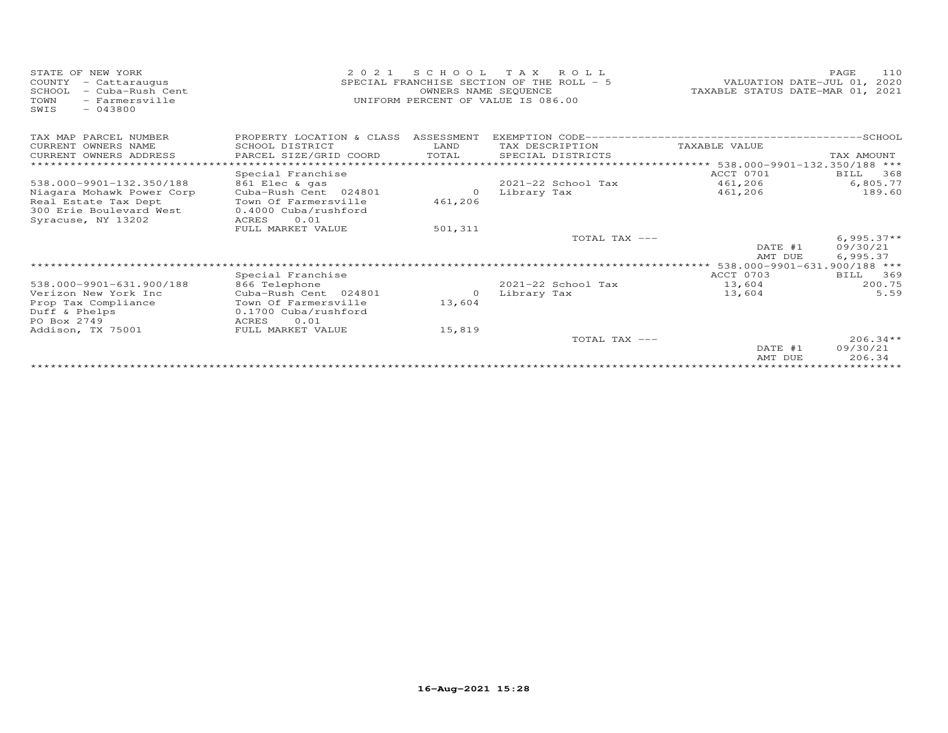| STATE OF NEW YORK<br>COUNTY<br>- Cattaraugus<br>SCHOOL<br>- Cuba-Rush Cent<br>TOWN<br>- Farmersville<br>$-043800$<br>SWIS | 2 0 2 1<br>SPECIAL FRANCHISE SECTION OF THE ROLL - 5<br>UNIFORM PERCENT OF VALUE IS 086.00 | VALUATION DATE-JUL 01,<br>TAXABLE STATUS DATE-MAR 01, | 110<br>PAGE<br>2020<br>2021 |                                                 |                          |
|---------------------------------------------------------------------------------------------------------------------------|--------------------------------------------------------------------------------------------|-------------------------------------------------------|-----------------------------|-------------------------------------------------|--------------------------|
| TAX MAP PARCEL NUMBER                                                                                                     | PROPERTY LOCATION & CLASS                                                                  | ASSESSMENT                                            |                             |                                                 |                          |
| CURRENT OWNERS NAME                                                                                                       | SCHOOL DISTRICT                                                                            | LAND                                                  | TAX DESCRIPTION             | TAXABLE VALUE                                   |                          |
| CURRENT OWNERS ADDRESS                                                                                                    | PARCEL SIZE/GRID COORD                                                                     | TOTAL                                                 | SPECIAL DISTRICTS           |                                                 | TAX AMOUNT               |
|                                                                                                                           |                                                                                            |                                                       |                             | ****************** 538.000-9901-132.350/188 *** |                          |
|                                                                                                                           | Special Franchise                                                                          |                                                       |                             | ACCT 0701                                       | BILL<br>368              |
| 538.000-9901-132.350/188                                                                                                  | 861 Elec & gas                                                                             |                                                       | $2021 - 22$ School Tax      | 461,206                                         | 6,805.77                 |
| Niagara Mohawk Power Corp                                                                                                 | Cuba-Rush Cent 024801                                                                      | $\Omega$                                              | Library Tax                 | 461,206                                         | 189.60                   |
| Real Estate Tax Dept                                                                                                      | Town Of Farmersville                                                                       | 461,206                                               |                             |                                                 |                          |
| 300 Erie Boulevard West                                                                                                   | 0.4000 Cuba/rushford                                                                       |                                                       |                             |                                                 |                          |
| Syracuse, NY 13202                                                                                                        | 0.01<br>ACRES                                                                              |                                                       |                             |                                                 |                          |
|                                                                                                                           | FULL MARKET VALUE                                                                          | 501,311                                               | TOTAL TAX ---               |                                                 |                          |
|                                                                                                                           |                                                                                            |                                                       |                             | DATE #1                                         | $6,995.37**$<br>09/30/21 |
|                                                                                                                           |                                                                                            |                                                       |                             | AMT DUE                                         | 6,995.37                 |
|                                                                                                                           |                                                                                            |                                                       |                             | 538.000-9901-631.900/188 ***                    |                          |
|                                                                                                                           | Special Franchise                                                                          |                                                       |                             | ACCT 0703                                       | 369<br><b>BILL</b>       |
| 538.000-9901-631.900/188                                                                                                  | 866 Telephone                                                                              |                                                       | 2021-22 School Tax          | 13,604                                          | 200.75                   |
| Verizon New York Inc                                                                                                      | Cuba-Rush Cent 024801                                                                      | $\Omega$                                              | Library Tax                 | 13,604                                          | 5.59                     |
| Prop Tax Compliance                                                                                                       | Town Of Farmersville                                                                       | 13,604                                                |                             |                                                 |                          |
| Duff & Phelps                                                                                                             | 0.1700 Cuba/rushford                                                                       |                                                       |                             |                                                 |                          |
| PO Box 2749                                                                                                               | 0.01<br>ACRES                                                                              |                                                       |                             |                                                 |                          |
| Addison, TX 75001                                                                                                         | FULL MARKET VALUE                                                                          | 15,819                                                |                             |                                                 |                          |
|                                                                                                                           |                                                                                            |                                                       | TOTAL TAX ---               |                                                 | $206.34**$               |
|                                                                                                                           |                                                                                            |                                                       |                             | DATE #1                                         | 09/30/21                 |
|                                                                                                                           |                                                                                            |                                                       |                             | AMT DUE                                         | 206.34                   |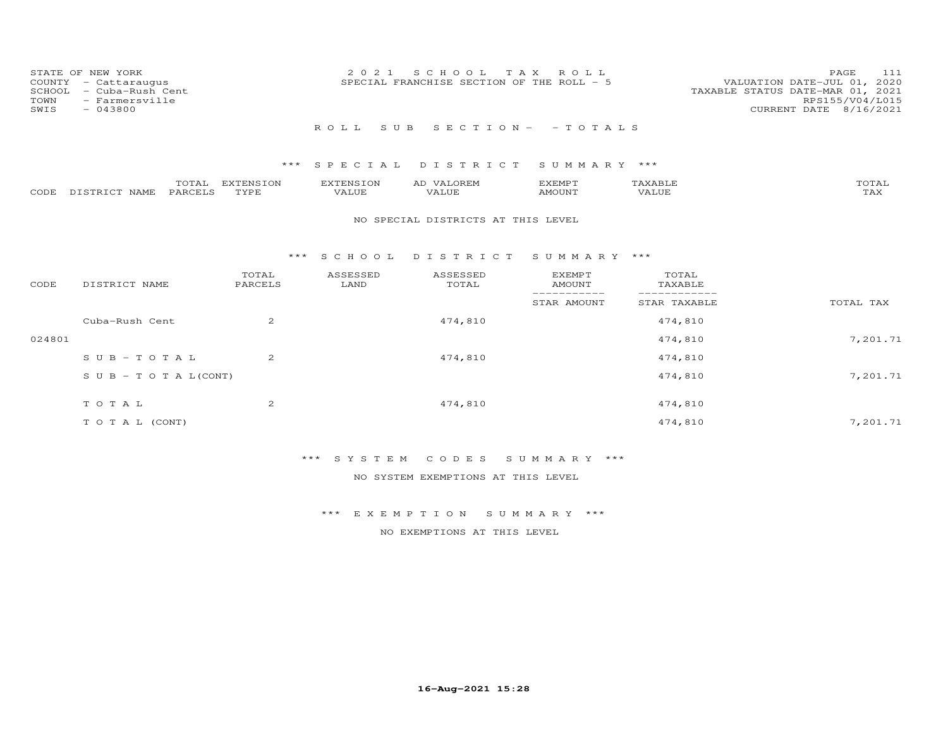| STATE OF NEW YORK<br>COUNTY<br>- Cattaraugus<br>- Cuba-Rush Cent<br>SCHOOL<br>- Farmersville<br>TOWN<br>$-043800$<br>SWIS | 2 0 2 1            | SCHOOL<br>T A X<br>SPECIAL FRANCHISE SECTION OF THE ROLL - 5 | ROLL                            |                              | 111<br>PAGE<br>VALUATION DATE-JUL 01, 2020<br>TAXABLE STATUS DATE-MAR 01, 2021<br>RPS155/V04/L015<br>CURRENT DATE 8/16/2021 |
|---------------------------------------------------------------------------------------------------------------------------|--------------------|--------------------------------------------------------------|---------------------------------|------------------------------|-----------------------------------------------------------------------------------------------------------------------------|
|                                                                                                                           | ROLL<br>S U B      |                                                              | $S E C T I O N - - T O T A L S$ |                              |                                                                                                                             |
|                                                                                                                           | *** SPECIAL        | DISTRICT                                                     | SUMMARY ***                     |                              |                                                                                                                             |
| TOTAL<br>EXTENSION<br>DISTRICT NAME<br>PARCELS<br>TYPE<br>CODE                                                            | EXTENSION<br>VALUE | AD VALOREM<br>VALUE                                          | EXEMPT<br>AMOUNT                | TAXABLE<br>VALUE             | TOTAL<br>TAX                                                                                                                |
|                                                                                                                           |                    | NO SPECIAL DISTRICTS AT THIS LEVEL                           |                                 |                              |                                                                                                                             |
|                                                                                                                           | S C H O O L<br>*** | DISTRICT                                                     | SUMMARY ***                     |                              |                                                                                                                             |
| TOTAL<br>CODE<br>DISTRICT NAME<br>PARCELS                                                                                 | ASSESSED<br>LAND   | ASSESSED<br>TOTAL                                            | EXEMPT<br><b>AMOUNT</b>         | TOTAL<br>TAXABLE             |                                                                                                                             |
|                                                                                                                           |                    |                                                              | STAR AMOUNT                     | ------------<br>STAR TAXABLE | TOTAL TAX                                                                                                                   |
| 2<br>Cuba-Rush Cent                                                                                                       |                    | 474,810                                                      |                                 | 474,810                      |                                                                                                                             |
| 024801                                                                                                                    |                    |                                                              |                                 | 474,810                      | 7,201.71                                                                                                                    |

| 024801 |                                  |                |         | 474,810 | 7,201.71 |
|--------|----------------------------------|----------------|---------|---------|----------|
|        | SUB-TOTAL                        | 2              | 474,810 | 474,810 |          |
|        | $S \cup B - T \cup T A L (CONT)$ |                |         | 474,810 | 7,201.71 |
|        | TOTAL                            | $\overline{2}$ | 474,810 | 474,810 |          |
|        | TO TAL (CONT)                    |                |         | 474,810 | 7,201.71 |

\*\*\* S Y S T E M C O D E S S U M M A R Y \*\*\*

NO SYSTEM EXEMPTIONS AT THIS LEVEL

\*\*\* E X E M P T I O N S U M M A R Y \*\*\*

NO EXEMPTIONS AT THIS LEVEL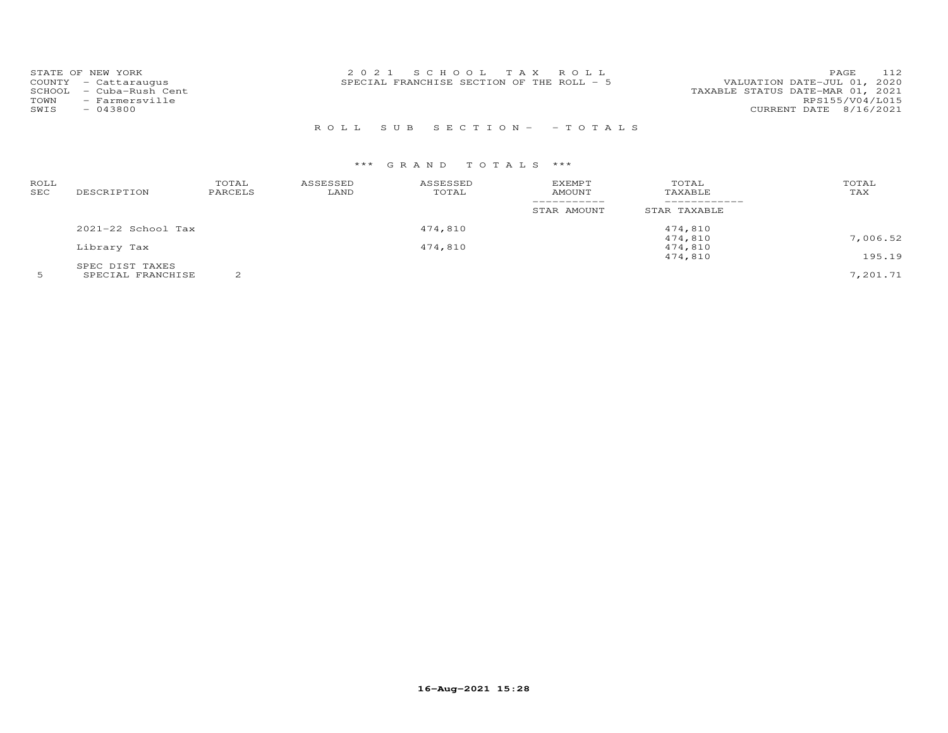| STATE OF NEW YORK          | 2021 SCHOOL TAX ROLL                       | 112<br>PAGE                      |
|----------------------------|--------------------------------------------|----------------------------------|
| COUNTY - Cattaraugus       | SPECIAL FRANCHISE SECTION OF THE ROLL $-5$ | VALUATION DATE-JUL 01, 2020      |
| - Cuba-Rush Cent<br>SCHOOL |                                            | TAXABLE STATUS DATE-MAR 01, 2021 |
| - Farmersville<br>TOWN     |                                            | RPS155/V04/L015                  |
| $-043800$<br>SWIS          |                                            | CURRENT DATE 8/16/2021           |
|                            |                                            |                                  |

## R O L L S U B S E C T I O N - - T O T A L S

| ROLL<br>SEC | DESCRIPTION          | TOTAL<br>PARCELS | ASSESSED<br>LAND | ASSESSED<br>TOTAL | <b>EXEMPT</b><br><b>AMOUNT</b> | TOTAL<br>TAXABLE | TOTAL<br>TAX |
|-------------|----------------------|------------------|------------------|-------------------|--------------------------------|------------------|--------------|
|             |                      |                  |                  |                   | STAR AMOUNT                    | STAR TAXABLE     |              |
|             | $2021-22$ School Tax |                  |                  | 474,810           |                                | 474,810          |              |
|             |                      |                  |                  |                   |                                | 474,810          | 7,006.52     |
|             | Library Tax          |                  |                  | 474,810           |                                | 474,810          |              |
|             |                      |                  |                  |                   |                                | 474,810          | 195.19       |
|             | SPEC DIST TAXES      |                  |                  |                   |                                |                  |              |
|             | SPECIAL FRANCHISE    | $\sim$           |                  |                   |                                |                  | 7,201.71     |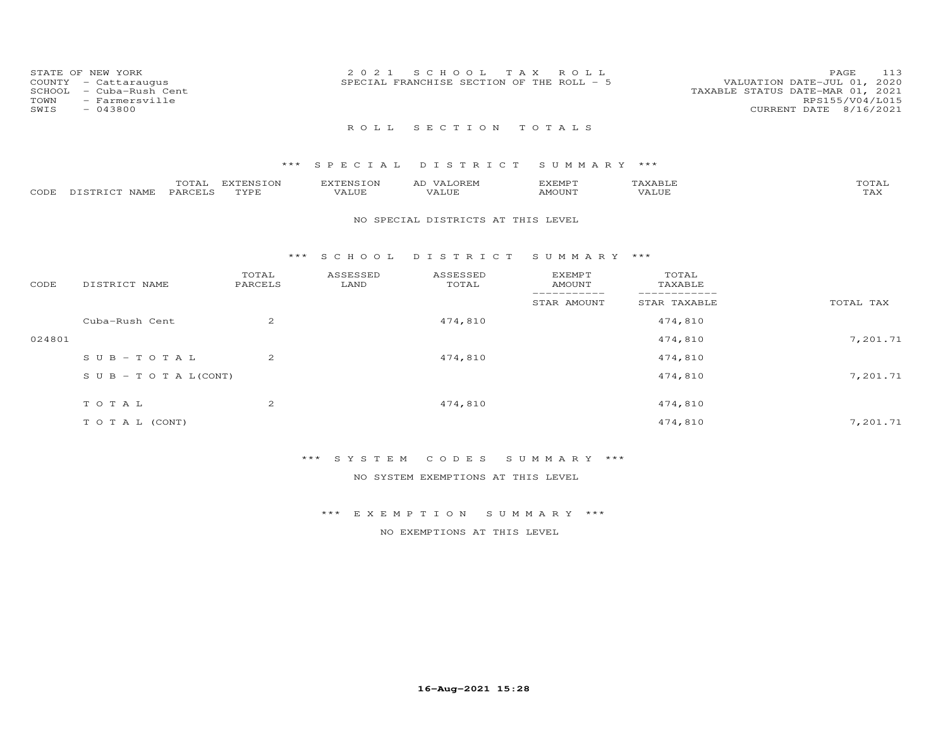| STATE OF NEW YORK<br>COUNTY<br>- Cattaraugus<br>- Cuba-Rush Cent<br>SCHOOL<br>- Farmersville<br>TOWN<br>SWIS<br>$-043800$ | 2021 SCHOOL TAX ROLL<br>SPECIAL FRANCHISE SECTION OF THE ROLL - 5 | 113<br>PAGE<br>VALUATION DATE-JUL 01, 2020<br>TAXABLE STATUS DATE-MAR 01, 2021<br>RPS155/V04/L015<br>CURRENT DATE 8/16/2021 |
|---------------------------------------------------------------------------------------------------------------------------|-------------------------------------------------------------------|-----------------------------------------------------------------------------------------------------------------------------|
|                                                                                                                           | ROLL SECTION TOTALS                                               |                                                                                                                             |
|                                                                                                                           | *** SPECIAL DISTRICT SUMMARY ***                                  |                                                                                                                             |

|      |                      | $\sim$ $\sim$ | <b>TNCTON</b><br>$\blacksquare$<br>$\cdots$ | $\sqrt{11}$         | AI. | <b>FMD</b>    |   | $  -$              |
|------|----------------------|---------------|---------------------------------------------|---------------------|-----|---------------|---|--------------------|
| CODE | <b>NAME</b><br>P T Q | ′ ′∆ ⊢⁄ ∶     | <b>TVD1</b>                                 | $\Delta$<br>$\cdot$ | .   | <b>MOLIN'</b> | △ | $- - - -$<br>- ⊊∡∧ |

#### NO SPECIAL DISTRICTS AT THIS LEVEL

#### \*\*\* S C H O O L D I S T R I C T S U M M A R Y \*\*\*

| CODE   | DISTRICT NAME                    | TOTAL<br>PARCELS | ASSESSED<br>LAND | ASSESSED<br>TOTAL | <b>EXEMPT</b><br>AMOUNT | TOTAL<br>TAXABLE |           |
|--------|----------------------------------|------------------|------------------|-------------------|-------------------------|------------------|-----------|
|        |                                  |                  |                  |                   | STAR AMOUNT             | STAR TAXABLE     | TOTAL TAX |
|        | Cuba-Rush Cent                   | 2                |                  | 474,810           |                         | 474,810          |           |
| 024801 |                                  |                  |                  |                   |                         | 474,810          | 7,201.71  |
|        | $SUB - TO T AL$                  | $\overline{2}$   |                  | 474,810           |                         | 474,810          |           |
|        | $S \cup B - T \cup T A L (CONT)$ |                  |                  |                   |                         | 474,810          | 7,201.71  |
|        | TOTAL                            | 2                |                  | 474,810           |                         | 474,810          |           |
|        | T O T A L (CONT)                 |                  |                  |                   |                         | 474,810          | 7,201.71  |

## \*\*\* S Y S T E M C O D E S S U M M A R Y \*\*\*

NO SYSTEM EXEMPTIONS AT THIS LEVEL

### \*\*\* E X E M P T I O N S U M M A R Y \*\*\*

NO EXEMPTIONS AT THIS LEVEL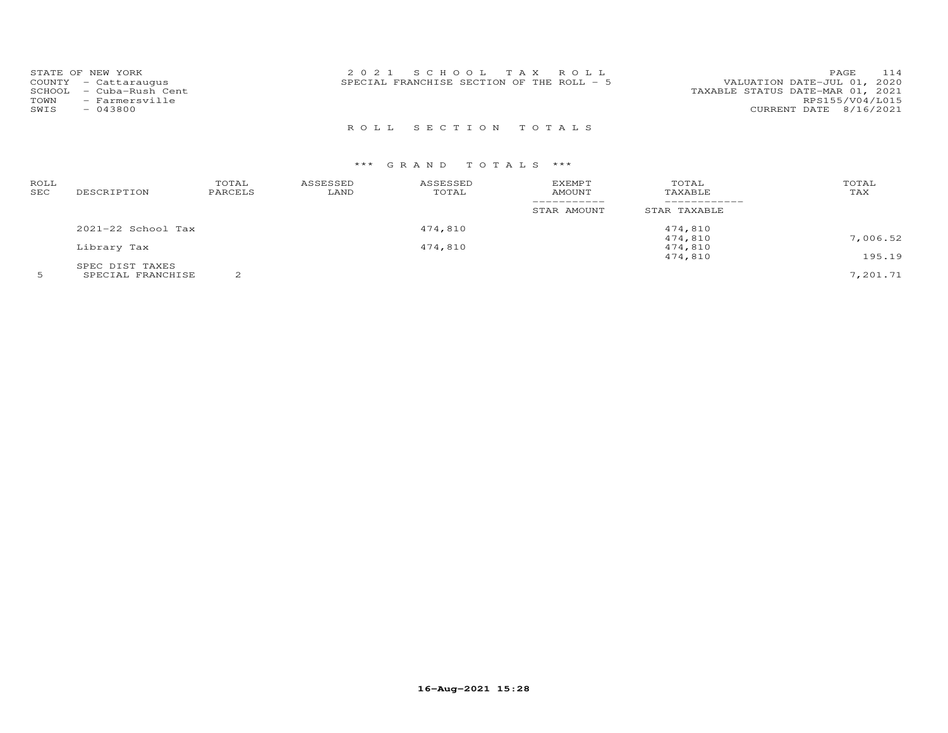| STATE OF NEW YORK<br>COUNTY - Cattaraugus<br>SCHOOL - Cuba-Rush Cent<br>TOWN<br>- Farmersville<br>SWIS<br>$-043800$ | 2021 SCHOOL TAX ROLL<br>SPECIAL FRANCHISE SECTION OF THE ROLL $-5$ | 114<br>PAGE<br>VALUATION DATE-JUL 01, 2020<br>TAXABLE STATUS DATE-MAR 01, 2021<br>RPS155/V04/L015<br>CURRENT DATE 8/16/2021 |
|---------------------------------------------------------------------------------------------------------------------|--------------------------------------------------------------------|-----------------------------------------------------------------------------------------------------------------------------|
|                                                                                                                     | ROLL SECTION TOTALS                                                |                                                                                                                             |

| ROLL<br>SEC | DESCRIPTION        | TOTAL<br>PARCELS | ASSESSED<br>LAND | ASSESSED<br>TOTAL | EXEMPT<br>AMOUNT | TOTAL<br>TAXABLE | TOTAL<br>TAX |
|-------------|--------------------|------------------|------------------|-------------------|------------------|------------------|--------------|
|             |                    |                  |                  |                   | STAR AMOUNT      | STAR TAXABLE     |              |
|             | 2021-22 School Tax |                  |                  | 474,810           |                  | 474,810          |              |
|             |                    |                  |                  |                   |                  | 474,810          | 7,006.52     |
|             | Library Tax        |                  |                  | 474,810           |                  | 474,810          |              |
|             |                    |                  |                  |                   |                  | 474,810          | 195.19       |
|             | SPEC DIST TAXES    |                  |                  |                   |                  |                  |              |
|             | SPECIAL FRANCHISE  | $\sim$           |                  |                   |                  |                  | 7.201.71     |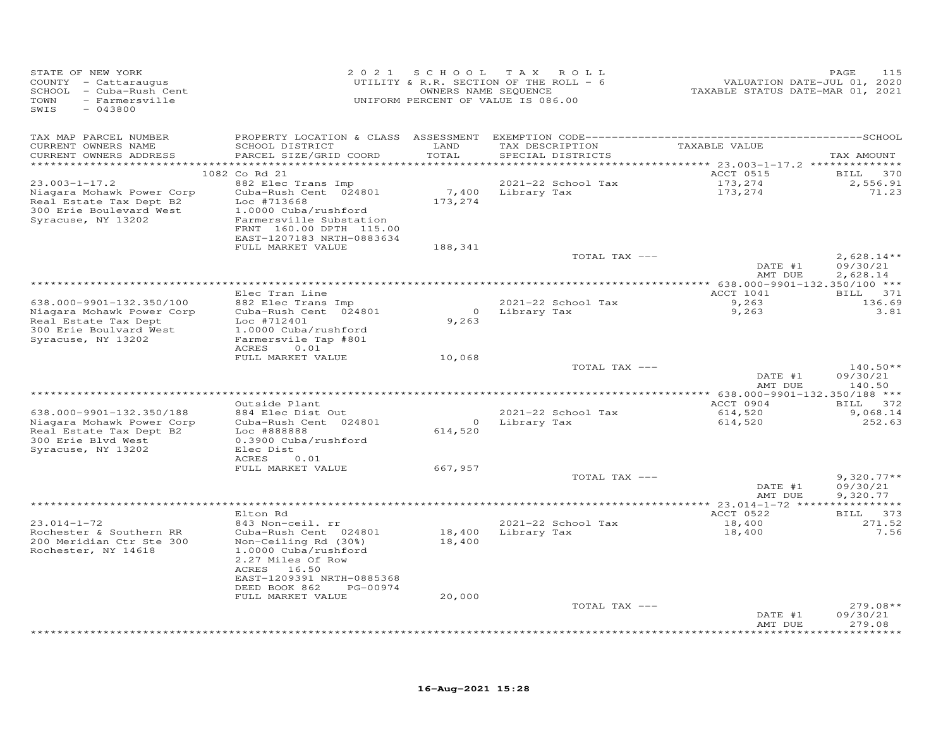| STATE OF NEW YORK<br>COUNTY - Cattaraugus<br>SCHOOL - Cuba-Rush Cent<br>TOWN<br>- Farmersville<br>SWIS<br>$-043800$ |                                                        |                                    | 2021 SCHOOL TAX ROLL<br>UTILITY & R.R. SECTION OF THE ROLL - 6<br>OWNERS NAME SEQUENCE<br>UNIFORM PERCENT OF VALUE IS 086.00 | VALUATION DATE-JUL 01, 2020<br>TAXABLE STATUS DATE-MAR 01, 2021 | PAGE<br>115              |
|---------------------------------------------------------------------------------------------------------------------|--------------------------------------------------------|------------------------------------|------------------------------------------------------------------------------------------------------------------------------|-----------------------------------------------------------------|--------------------------|
| TAX MAP PARCEL NUMBER                                                                                               |                                                        |                                    |                                                                                                                              |                                                                 |                          |
| CURRENT OWNERS NAME<br>CURRENT OWNERS ADDRESS                                                                       | SCHOOL DISTRICT<br>PARCEL SIZE/GRID COORD              | LAND<br>TOTAL<br>* * * * * * * * * | TAX DESCRIPTION<br>SPECIAL DISTRICTS                                                                                         | TAXABLE VALUE                                                   | TAX AMOUNT               |
|                                                                                                                     | 1082 Co Rd 21                                          |                                    |                                                                                                                              | ********** 23.003-1-17.2 **************<br>ACCT 0515            | <b>BILL</b><br>370       |
| $23.003 - 1 - 17.2$                                                                                                 | 882 Elec Trans Imp                                     |                                    | 2021-22 School Tax                                                                                                           | 173,274                                                         | 2,556.91                 |
| Niagara Mohawk Power Corp                                                                                           | Cuba-Rush Cent 024801                                  | 7,400                              | Library Tax                                                                                                                  | 173,274                                                         | 71.23                    |
| Real Estate Tax Dept B2                                                                                             | Loc #713668                                            | 173,274                            |                                                                                                                              |                                                                 |                          |
| 300 Erie Boulevard West                                                                                             | 1.0000 Cuba/rushford                                   |                                    |                                                                                                                              |                                                                 |                          |
| Syracuse, NY 13202                                                                                                  | Farmersville Substation                                |                                    |                                                                                                                              |                                                                 |                          |
|                                                                                                                     | FRNT 160.00 DPTH 115.00<br>EAST-1207183 NRTH-0883634   |                                    |                                                                                                                              |                                                                 |                          |
|                                                                                                                     | FULL MARKET VALUE                                      | 188,341                            |                                                                                                                              |                                                                 |                          |
|                                                                                                                     |                                                        |                                    | TOTAL TAX ---                                                                                                                |                                                                 | $2,628.14**$             |
|                                                                                                                     |                                                        |                                    |                                                                                                                              | DATE #1                                                         | 09/30/21                 |
|                                                                                                                     |                                                        |                                    |                                                                                                                              | AMT DUE                                                         | 2,628.14                 |
|                                                                                                                     |                                                        |                                    |                                                                                                                              | ACCT 1041                                                       |                          |
| 638.000-9901-132.350/100                                                                                            | Elec Tran Line<br>882 Elec Trans Imp                   |                                    | 2021-22 School Tax                                                                                                           | 9,263                                                           | BILL 371<br>136.69       |
| Niagara Mohawk Power Corp                                                                                           | Cuba-Rush Cent 024801                                  |                                    | 0 Library Tax                                                                                                                | 9,263                                                           | 3.81                     |
| Real Estate Tax Dept                                                                                                | Loc #712401                                            | 9,263                              |                                                                                                                              |                                                                 |                          |
| 300 Erie Boulvard West                                                                                              | 1.0000 Cuba/rushford                                   |                                    |                                                                                                                              |                                                                 |                          |
| Syracuse, NY 13202                                                                                                  | Farmersvile Tap #801                                   |                                    |                                                                                                                              |                                                                 |                          |
|                                                                                                                     | ACRES<br>0.01<br>FULL MARKET VALUE                     | 10,068                             |                                                                                                                              |                                                                 |                          |
|                                                                                                                     |                                                        |                                    | TOTAL TAX ---                                                                                                                |                                                                 | $140.50**$               |
|                                                                                                                     |                                                        |                                    |                                                                                                                              | DATE #1                                                         | 09/30/21                 |
|                                                                                                                     |                                                        |                                    |                                                                                                                              | AMT DUE                                                         | 140.50                   |
|                                                                                                                     |                                                        |                                    |                                                                                                                              |                                                                 |                          |
|                                                                                                                     | Outside Plant                                          |                                    | 2021-22 School Tax                                                                                                           | ACCT 0904                                                       | BILL 372<br>9,068.14     |
| 638.000-9901-132.350/188<br>Niagara Mohawk Power Corp                                                               | 884 Elec Dist Out<br>Cuba-Rush Cent 024801             |                                    | 0 Library Tax                                                                                                                | 614,520<br>614,520                                              | 252.63                   |
| Real Estate Tax Dept B2                                                                                             | Loc #888888                                            | 614,520                            |                                                                                                                              |                                                                 |                          |
| 300 Erie Blvd West                                                                                                  | 0.3900 Cuba/rushford                                   |                                    |                                                                                                                              |                                                                 |                          |
| Syracuse, NY 13202                                                                                                  | Elec Dist                                              |                                    |                                                                                                                              |                                                                 |                          |
|                                                                                                                     | 0.01<br>ACRES                                          |                                    |                                                                                                                              |                                                                 |                          |
|                                                                                                                     | FULL MARKET VALUE                                      | 667,957                            | TOTAL TAX ---                                                                                                                |                                                                 | $9,320.77**$             |
|                                                                                                                     |                                                        |                                    |                                                                                                                              | DATE #1                                                         | 09/30/21                 |
|                                                                                                                     |                                                        |                                    |                                                                                                                              | AMT DUE                                                         | 9,320.77                 |
|                                                                                                                     |                                                        |                                    |                                                                                                                              |                                                                 |                          |
|                                                                                                                     | Elton Rd                                               |                                    |                                                                                                                              | ACCT 0522                                                       | BILL 373                 |
| $23.014 - 1 - 72$<br>Rochester & Southern RR                                                                        | 843 Non-ceil. rr<br>Cuba-Rush Cent 024801              |                                    | 2021-22 School Tax<br>18,400 Library Tax                                                                                     | 18,400<br>18,400                                                | 271.52<br>7.56           |
| 200 Meridian Ctr Ste 300                                                                                            | Non-Ceiling Rd (30%)                                   | 18,400                             |                                                                                                                              |                                                                 |                          |
| Rochester, NY 14618                                                                                                 | 1.0000 Cuba/rushford                                   |                                    |                                                                                                                              |                                                                 |                          |
|                                                                                                                     | 2.27 Miles Of Row                                      |                                    |                                                                                                                              |                                                                 |                          |
|                                                                                                                     | ACRES 16.50                                            |                                    |                                                                                                                              |                                                                 |                          |
|                                                                                                                     | EAST-1209391 NRTH-0885368<br>DEED BOOK 862<br>PG-00974 |                                    |                                                                                                                              |                                                                 |                          |
|                                                                                                                     | FULL MARKET VALUE                                      | 20,000                             |                                                                                                                              |                                                                 |                          |
|                                                                                                                     |                                                        |                                    | TOTAL TAX ---                                                                                                                |                                                                 | $279.08**$               |
|                                                                                                                     |                                                        |                                    |                                                                                                                              | DATE #1                                                         | 09/30/21                 |
|                                                                                                                     |                                                        |                                    |                                                                                                                              | AMT DUE                                                         | 279.08                   |
|                                                                                                                     |                                                        |                                    |                                                                                                                              |                                                                 | ، باب باب باب باب باب با |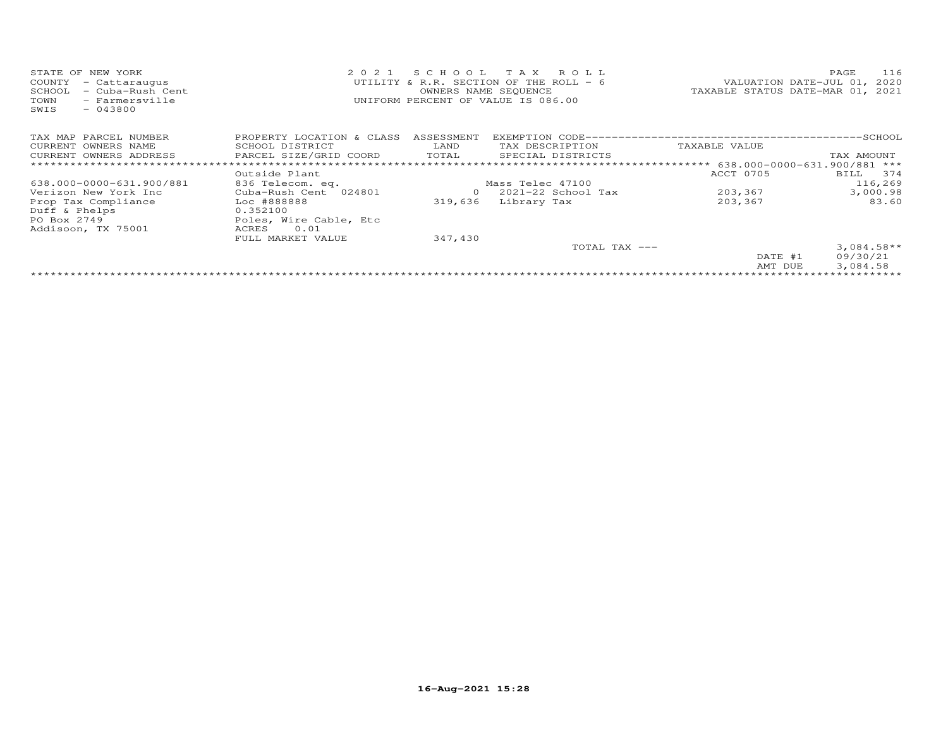| STATE OF NEW YORK<br>COUNTY - Cattaraugus<br>SCHOOL - Cuba-Rush Cent<br>- Farmersville<br>TOWN | 2021 SCHOOL TAX ROLL<br>UTILITY & R.R. SECTION OF THE ROLL - $6$<br>OWNERS NAME SEQUENCE<br>UNIFORM PERCENT OF VALUE IS 086.00 | 116<br><b>PAGE</b><br>VALUATION DATE-JUL 01, 2020<br>TAXABLE STATUS DATE-MAR 01, 2021 |
|------------------------------------------------------------------------------------------------|--------------------------------------------------------------------------------------------------------------------------------|---------------------------------------------------------------------------------------|
| SWIS<br>$-043800$                                                                              |                                                                                                                                |                                                                                       |

| TAX MAP PARCEL NUMBER    | PROPERTY LOCATION & CLASS | ASSESSMENT |                        |                              | -SCHOOL      |
|--------------------------|---------------------------|------------|------------------------|------------------------------|--------------|
| CURRENT OWNERS NAME      | SCHOOL DISTRICT           | LAND       | TAX DESCRIPTION        | TAXABLE VALUE                |              |
| CURRENT OWNERS ADDRESS   | PARCEL SIZE/GRID COORD    | TOTAL      | SPECIAL DISTRICTS      |                              | TAX AMOUNT   |
|                          |                           |            |                        | 638.000-0000-631.900/881 *** |              |
|                          | Outside Plant             |            |                        | ACCT 0705                    | 374<br>BILL  |
| 638.000-0000-631.900/881 | 836 Telecom. eq.          |            | Mass Telec 47100       |                              | 116,269      |
| Verizon New York Inc     | Cuba-Rush Cent 024801     | 0          | $2021 - 22$ School Tax | 203,367                      | 3,000.98     |
| Prop Tax Compliance      | Loc #888888               | 319,636    | Library Tax            | 203,367                      | 83.60        |
| Duff & Phelps            | 0.352100                  |            |                        |                              |              |
| PO Box 2749              | Poles, Wire Cable, Etc    |            |                        |                              |              |
| Addisoon, TX 75001       | ACRES<br>0.01             |            |                        |                              |              |
|                          | FULL MARKET VALUE         | 347,430    |                        |                              |              |
|                          |                           |            | TOTAL TAX $---$        |                              | $3,084.58**$ |
|                          |                           |            |                        | DATE #1                      | 09/30/21     |
|                          |                           |            |                        | AMT DUE                      | 3,084.58     |
|                          |                           |            |                        |                              |              |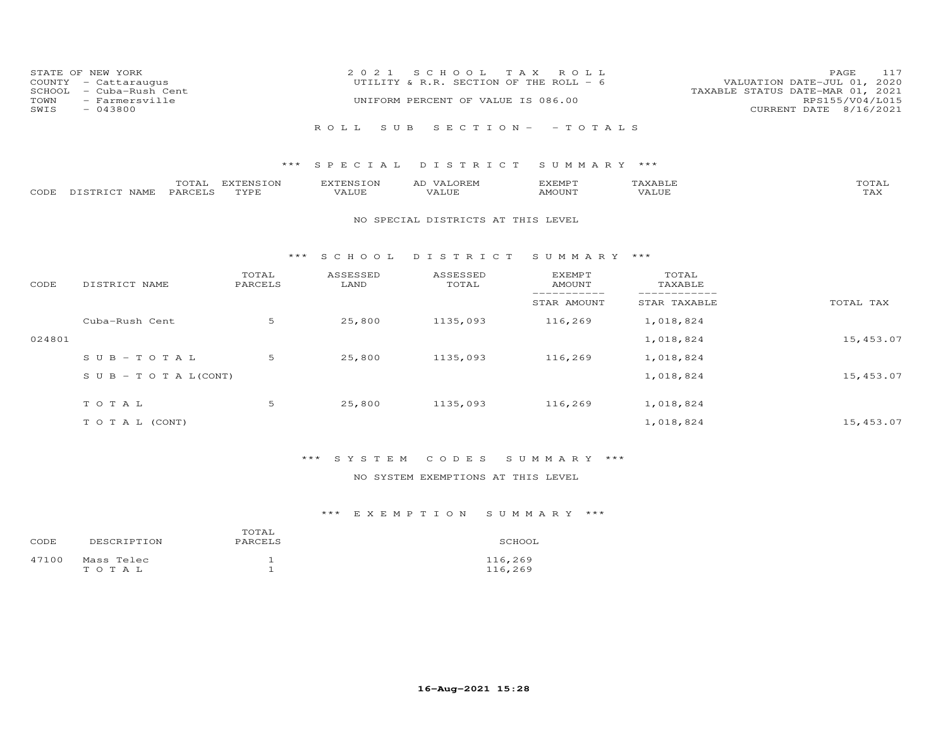| COUNTY<br>SCHOOL<br>TOWN<br>SWIS | STATE OF NEW YORK<br>- Cattaraugus<br>- Cuba-Rush Cent<br>- Farmersville<br>$-043800$ |                          | 2 0 2 1                   | T A X<br>S C H O O L<br>UTILITY & R.R. SECTION OF THE ROLL - 6<br>UNIFORM PERCENT OF VALUE IS 086.00 | ROLL                           |                         | 117<br>PAGE<br>2020<br>VALUATION DATE-JUL 01,<br>TAXABLE STATUS DATE-MAR 01, 2021<br>RPS155/V04/L015<br>CURRENT DATE 8/16/2021 |
|----------------------------------|---------------------------------------------------------------------------------------|--------------------------|---------------------------|------------------------------------------------------------------------------------------------------|--------------------------------|-------------------------|--------------------------------------------------------------------------------------------------------------------------------|
|                                  |                                                                                       |                          | R O L L<br>S U B          | $S E C T I O N -$                                                                                    | $-$ TOTALS                     |                         |                                                                                                                                |
|                                  |                                                                                       | ***                      | SPECIAL                   | DISTRICT                                                                                             | SUMMARY ***                    |                         |                                                                                                                                |
| CODE                             | TOTAL<br>PARCELS<br>DISTRICT NAME                                                     | <b>EXTENSION</b><br>TYPE | <b>EXTENSION</b><br>VALUE | AD VALOREM<br>VALUE                                                                                  | <b>EXEMPT</b><br><b>AMOUNT</b> | TAXABLE<br><b>VALUE</b> | TOTAL<br>TAX                                                                                                                   |
|                                  |                                                                                       |                          |                           | NO SPECIAL DISTRICTS AT THIS LEVEL                                                                   |                                |                         |                                                                                                                                |
|                                  |                                                                                       | $***$                    | S C H O O L               | DISTRICT                                                                                             | SUMMARY                        | ***                     |                                                                                                                                |
| CODE                             | DISTRICT NAME                                                                         | TOTAL<br>PARCELS         | ASSESSED<br>LAND          | ASSESSED<br>TOTAL                                                                                    | <b>EXEMPT</b><br><b>AMOUNT</b> | TOTAL<br>TAXABLE        |                                                                                                                                |
|                                  |                                                                                       |                          |                           |                                                                                                      | STAR AMOUNT                    | STAR TAXABLE            | TOTAL TAX                                                                                                                      |
|                                  | Cuba-Rush Cent                                                                        | 5                        | 25,800                    | 1135,093                                                                                             | 116,269                        | 1,018,824               |                                                                                                                                |
| 024801                           |                                                                                       |                          |                           |                                                                                                      |                                | 1,018,824               | 15,453.07                                                                                                                      |
|                                  | $SUB - TO TAL$                                                                        | 5                        | 25,800                    | 1135,093                                                                                             | 116,269                        | 1,018,824               |                                                                                                                                |

| SUB - TO TA L(CONT) |        | 1,018,824 | 15,453.07 |         |           |           |
|---------------------|--------|-----------|-----------|---------|-----------|-----------|
| тотаь               | $\sim$ | 25,800    | 1135,093  | 116,269 | 1,018,824 |           |
| T O T A L (CONT)    |        |           |           |         | 1,018,824 | 15,453.07 |

## \*\*\* S Y S T E M C O D E S S U M M A R Y \*\*\*

### NO SYSTEM EXEMPTIONS AT THIS LEVEL

| CODE  | DESCRIPTION         | TOTAL<br>PARCELS | SCHOOL             |
|-------|---------------------|------------------|--------------------|
| 47100 | Mass Telec<br>TOTAL |                  | 116,269<br>116,269 |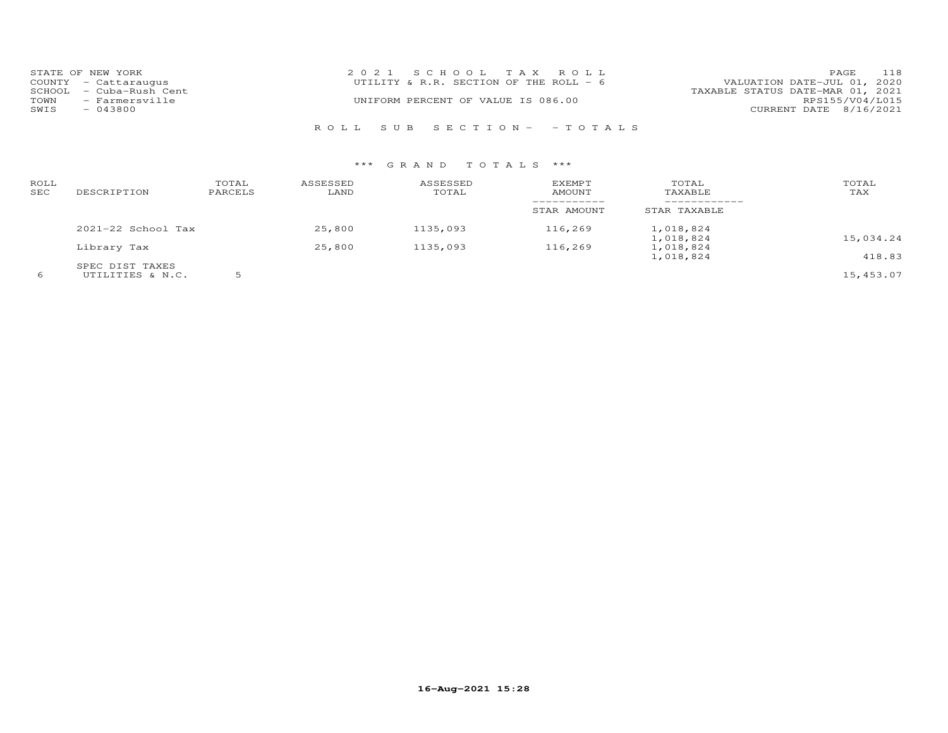|      | STATE OF NEW YORK       | 2021 SCHOOL TAX ROLL                   | PAGE                             | 118             |
|------|-------------------------|----------------------------------------|----------------------------------|-----------------|
|      | COUNTY - Cattaraugus    | UTILITY & R.R. SECTION OF THE ROLL - 6 | VALUATION DATE-JUL 01, 2020      |                 |
|      | SCHOOL - Cuba-Rush Cent |                                        | TAXABLE STATUS DATE-MAR 01, 2021 |                 |
| TOWN | - Farmersville          | UNIFORM PERCENT OF VALUE IS 086.00     |                                  | RPS155/V04/L015 |
| SWIS | $-043800$               |                                        | CURRENT DATE 8/16/2021           |                 |
|      |                         |                                        |                                  |                 |
|      |                         | ROLL SUB SECTION- -TOTALS              |                                  |                 |

| ROLL<br>SEC | DESCRIPTION                         | TOTAL<br>PARCELS | ASSESSED<br>LAND | ASSESSED<br>TOTAL | EXEMPT<br><b>AMOUNT</b> | TOTAL<br>TAXABLE       | TOTAL<br>TAX |
|-------------|-------------------------------------|------------------|------------------|-------------------|-------------------------|------------------------|--------------|
|             |                                     |                  |                  |                   | STAR AMOUNT             | STAR TAXABLE           |              |
|             | $2021-22$ School Tax                |                  | 25,800           | 1135,093          | 116,269                 | 1,018,824<br>1,018,824 | 15,034.24    |
|             | Library Tax                         |                  | 25,800           | 1135,093          | 116,269                 | 1,018,824<br>1,018,824 | 418.83       |
|             | SPEC DIST TAXES<br>UTILITIES & N.C. |                  |                  |                   |                         |                        | 15,453.07    |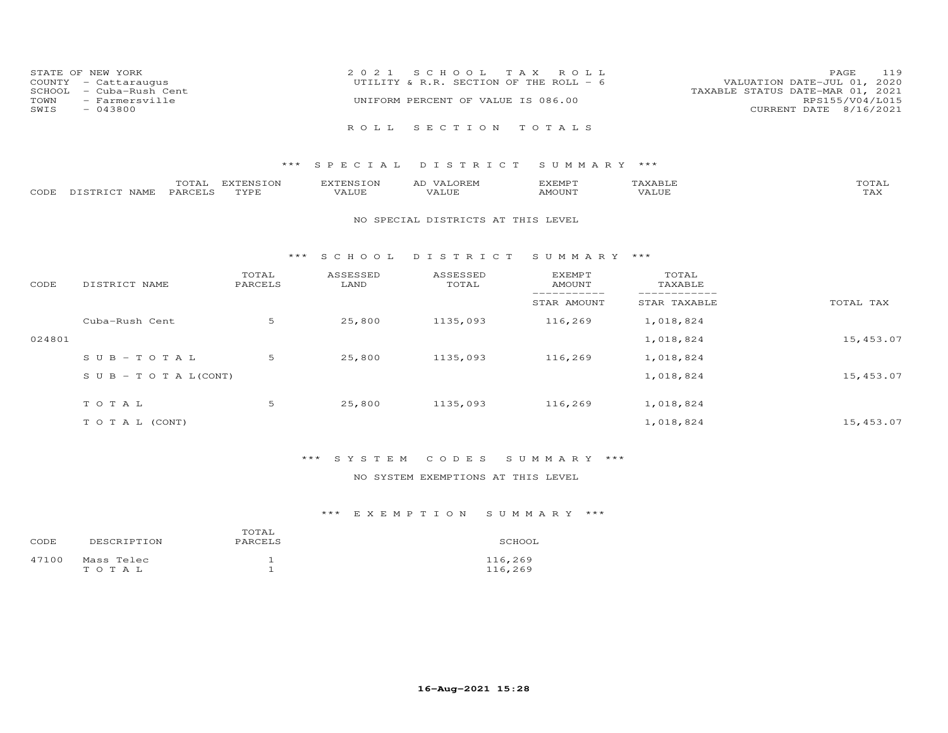|      | STATE OF NEW YORK       | 2021 SCHOOL TAX ROLL                   | 119<br><b>PAGE</b>               |
|------|-------------------------|----------------------------------------|----------------------------------|
|      | COUNTY - Cattaraugus    | UTILITY & R.R. SECTION OF THE ROLL - 6 | VALUATION DATE-JUL 01, 2020      |
|      | SCHOOL - Cuba-Rush Cent |                                        | TAXABLE STATUS DATE-MAR 01, 2021 |
| TOWN | - Farmersville          | UNIFORM PERCENT OF VALUE IS 086.00     | RPS155/V04/L015                  |
| SWIS | $-043800$               |                                        | CURRENT DATE 8/16/2021           |
|      |                         | ROLL SECTION TOTALS                    |                                  |

|      |                                | $m \wedge m \wedge n$<br>⊥A⊥∤ | EXTENSION | XTENSION:                 | $\sim$ 1<br>$\lambda$ $\lambda$ $\kappa$ $\kappa$ $\kappa$ $\kappa$ | ,,, <del>,</del> ,,, <del>,</del> ,<br>≀∧∟PIL |           | <b>noma</b><br>- - - - - - |
|------|--------------------------------|-------------------------------|-----------|---------------------------|---------------------------------------------------------------------|-----------------------------------------------|-----------|----------------------------|
| CODE | <b>NAMF</b><br>$ -$<br>T STR 1 | PARCEL T                      | TVDF      | $- - - - -$<br>$\sqrt{A}$ |                                                                     | AMOUN"                                        | $\top$ UE | $m \times r$<br>⊥⇔∧        |

#### NO SPECIAL DISTRICTS AT THIS LEVEL

#### \*\*\* S C H O O L D I S T R I C T S U M M A R Y \*\*\*

| CODE   | DISTRICT NAME                    | TOTAL<br>PARCELS | ASSESSED<br>LAND | ASSESSED<br>TOTAL | <b>EXEMPT</b><br>AMOUNT | TOTAL<br>TAXABLE |           |
|--------|----------------------------------|------------------|------------------|-------------------|-------------------------|------------------|-----------|
|        |                                  |                  |                  |                   | STAR AMOUNT             | STAR TAXABLE     | TOTAL TAX |
|        | Cuba-Rush Cent                   | 5                | 25,800           | 1135,093          | 116,269                 | 1,018,824        |           |
| 024801 |                                  |                  |                  |                   |                         | 1,018,824        | 15,453.07 |
|        | $SUB - TO T AL$                  | 5                | 25,800           | 1135,093          | 116,269                 | 1,018,824        |           |
|        | $S \cup B - T \cup T A L (CONT)$ |                  |                  |                   |                         | 1,018,824        | 15,453.07 |
|        | TOTAL                            | 5                | 25,800           | 1135,093          | 116,269                 | 1,018,824        |           |
|        | T O T A L (CONT)                 |                  |                  |                   |                         | 1,018,824        | 15,453.07 |

### \*\*\* S Y S T E M C O D E S S U M M A R Y \*\*\*

### NO SYSTEM EXEMPTIONS AT THIS LEVEL

| CODE  | DESCRIPTION         | TOTAL<br>PARCELS | SCHOOL             |
|-------|---------------------|------------------|--------------------|
| 47100 | Mass Telec<br>TOTAL |                  | 116,269<br>116,269 |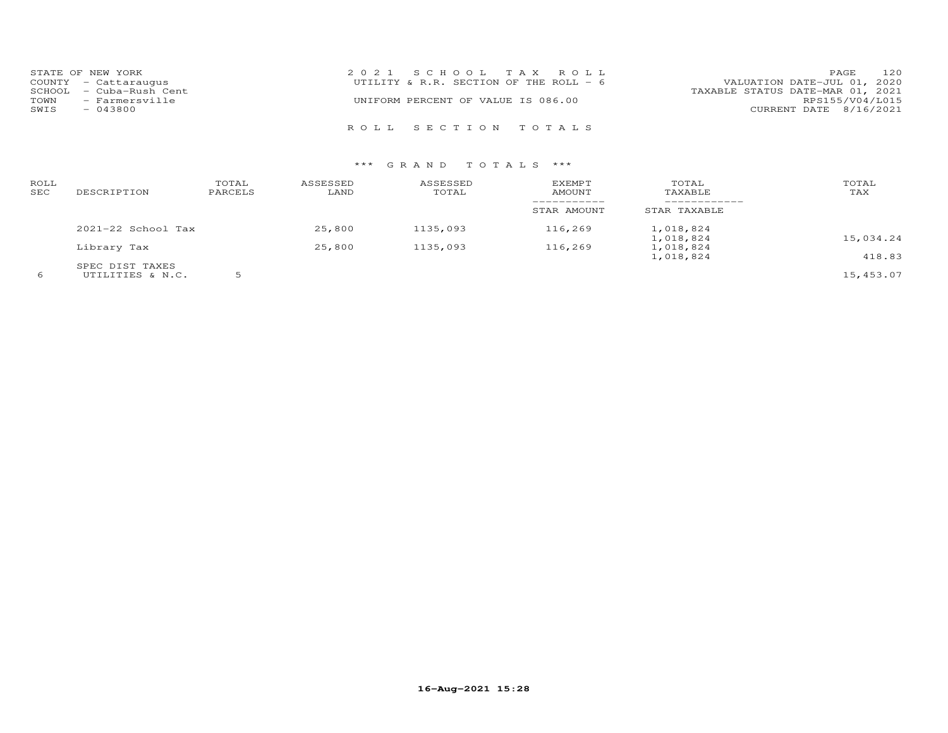|      | STATE OF NEW YORK       | 2021 SCHOOL TAX ROLL                     | PAGE                        | 120 |
|------|-------------------------|------------------------------------------|-----------------------------|-----|
|      | COUNTY - Cattaraugus    | UTILITY & R.R. SECTION OF THE ROLL - $6$ | VALUATION DATE-JUL 01, 2020 |     |
|      | SCHOOL - Cuba-Rush Cent | TAXABLE STATUS DATE-MAR 01, 2021         |                             |     |
| TOWN | - Farmersville          | UNIFORM PERCENT OF VALUE IS 086.00       | RPS155/V04/L015             |     |
| SWIS | $-043800$               |                                          | CURRENT DATE 8/16/2021      |     |
|      |                         |                                          |                             |     |
|      |                         | ROLL SECTION TOTALS                      |                             |     |

| ROLL<br>SEC | DESCRIPTION                         | TOTAL<br>PARCELS | ASSESSED<br>LAND | ASSESSED<br>TOTAL | <b>EXEMPT</b><br>AMOUNT    | TOTAL<br>TAXABLE       | TOTAL<br>TAX |
|-------------|-------------------------------------|------------------|------------------|-------------------|----------------------------|------------------------|--------------|
|             |                                     |                  |                  |                   | -----------<br>STAR AMOUNT | STAR TAXABLE           |              |
|             | $2021-22$ School Tax                |                  | 25,800           | 1135,093          | 116,269                    | 1,018,824<br>1,018,824 | 15,034.24    |
|             | Library Tax                         |                  | 25,800           | 1135,093          | 116,269                    | 1,018,824<br>1,018,824 | 418.83       |
|             | SPEC DIST TAXES<br>UTILITIES & N.C. |                  |                  |                   |                            |                        | 15,453.07    |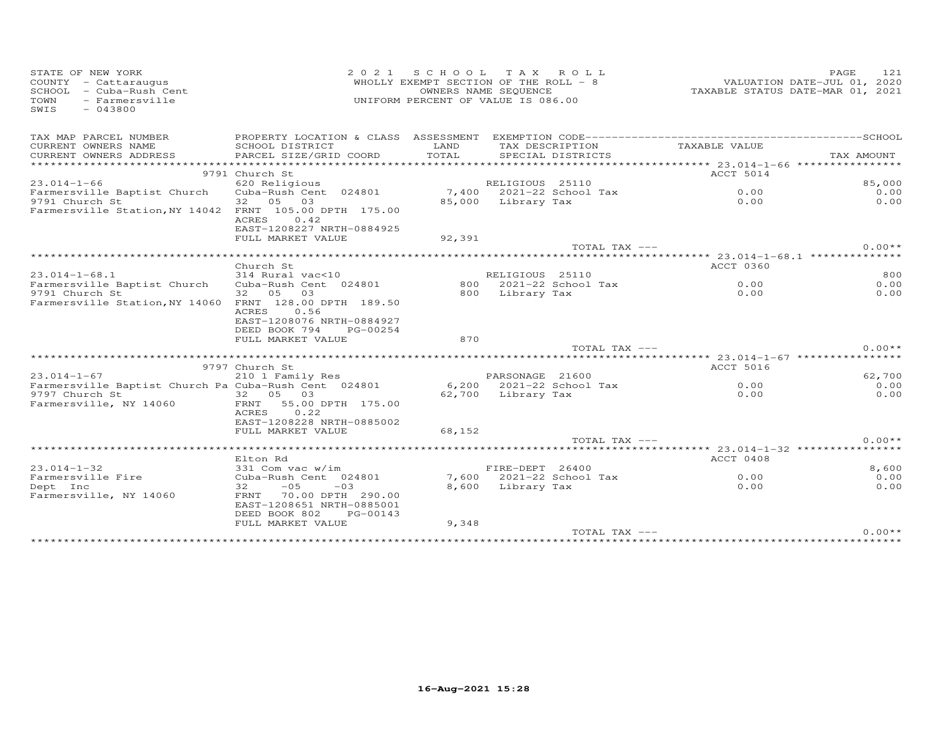| STATE OF NEW YORK<br>COUNTY - Cattaraugus<br>SCHOOL - Cuba-Rush Cent<br>TOWN<br>- Farmersville<br>SWIS<br>$-043800$ | 2 0 2 1                                                                                      |        | SCHOOL TAX ROLL<br>WHOLLY EXEMPT SECTION OF THE ROLL - 8<br>OWNERS NAME SEQUENCE<br>UNIFORM PERCENT OF VALUE IS 086.00 | VALUATION DATE-JUL 01, 2020 | PAGE<br>121<br>TAXABLE STATUS DATE-MAR 01, 2021 |
|---------------------------------------------------------------------------------------------------------------------|----------------------------------------------------------------------------------------------|--------|------------------------------------------------------------------------------------------------------------------------|-----------------------------|-------------------------------------------------|
| TAX MAP PARCEL NUMBER                                                                                               |                                                                                              |        |                                                                                                                        |                             |                                                 |
| CURRENT OWNERS NAME                                                                                                 | SCHOOL DISTRICT                                                                              | LAND   | TAX DESCRIPTION                                                                                                        | TAXABLE VALUE               |                                                 |
| CURRENT OWNERS ADDRESS                                                                                              | PARCEL SIZE/GRID COORD                                                                       | TOTAL  | SPECIAL DISTRICTS                                                                                                      |                             | TAX AMOUNT                                      |
|                                                                                                                     |                                                                                              |        |                                                                                                                        |                             |                                                 |
| $23.014 - 1 - 66$                                                                                                   | 9791 Church St<br>620 Religious                                                              |        | RELIGIOUS 25110                                                                                                        | <b>ACCT 5014</b>            | 85,000                                          |
| Farmersville Baptist Church                                                                                         | Cuba-Rush Cent 024801                                                                        |        |                                                                                                                        | 0.00                        | 0.00                                            |
| 9791 Church St                                                                                                      | 32 05<br>03                                                                                  |        | $7,400$ 2021-22 School Tax<br>85,000 Library Tax                                                                       | 0.00                        | 0.00                                            |
| Farmersville Station, NY 14042 FRNT 105.00 DPTH 175.00                                                              | ACRES<br>0.42<br>EAST-1208227 NRTH-0884925                                                   |        |                                                                                                                        |                             |                                                 |
|                                                                                                                     | FULL MARKET VALUE                                                                            | 92,391 |                                                                                                                        |                             |                                                 |
|                                                                                                                     |                                                                                              |        | TOTAL TAX ---                                                                                                          |                             | $0.00**$                                        |
|                                                                                                                     | Church St                                                                                    |        |                                                                                                                        | ACCT 0360                   |                                                 |
| $23.014 - 1 - 68.1$                                                                                                 | 314 Rural vac<10                                                                             |        | RELIGIOUS 25110                                                                                                        |                             | 800                                             |
| Farmersville Baptist Church                                                                                         | Cuba-Rush Cent 024801                                                                        |        | 800 2021-22 School Tax                                                                                                 | 0.00                        | 0.00                                            |
| 9791 Church St                                                                                                      | 32  05  03                                                                                   |        | 800 Library Tax                                                                                                        | 0.00                        | 0.00                                            |
| Farmersville Station, NY 14060 FRNT 128.00 DPTH 189.50                                                              | 0.56<br>ACRES<br>EAST-1208076 NRTH-0884927<br>DEED BOOK 794<br>PG-00254<br>FULL MARKET VALUE | 870    |                                                                                                                        |                             |                                                 |
|                                                                                                                     |                                                                                              |        | TOTAL TAX ---                                                                                                          |                             | $0.00**$                                        |
|                                                                                                                     |                                                                                              |        |                                                                                                                        |                             |                                                 |
|                                                                                                                     | 9797 Church St                                                                               |        |                                                                                                                        | ACCT 5016                   |                                                 |
| $23.014 - 1 - 67$                                                                                                   | 210 1 Family Res                                                                             |        | PARSONAGE 21600                                                                                                        |                             | 62,700                                          |
| Farmersville Baptist Church Pa Cuba-Rush Cent 024801                                                                |                                                                                              |        | 6,200 2021-22 School Tax                                                                                               | 0.00                        | 0.00                                            |
| 9797 Church St<br>Farmersville, NY 14060                                                                            | 32 05 03<br>FRNT 55.00 DPTH 175.00<br>0.22<br>ACRES<br>EAST-1208228 NRTH-0885002             |        | 62,700 Library Tax                                                                                                     | 0.00                        | 0.00                                            |
|                                                                                                                     | FULL MARKET VALUE                                                                            | 68,152 |                                                                                                                        |                             |                                                 |
|                                                                                                                     |                                                                                              |        | TOTAL TAX ---                                                                                                          |                             | $0.00**$                                        |
|                                                                                                                     |                                                                                              |        |                                                                                                                        |                             |                                                 |
|                                                                                                                     | Elton Rd                                                                                     |        |                                                                                                                        | ACCT 0408                   |                                                 |
| $23.014 - 1 - 32$                                                                                                   | 331 Com vac w/im<br>Cuba-Rush Cent 024801                                                    |        | FIRE-DEPT 26400<br>7,600 2021-22 School Tax                                                                            | 0.00                        | 8,600<br>0.00                                   |
| Farmersville Fire<br>Dept Inc                                                                                       | 32<br>$-05 - 03$                                                                             |        | 8,600 Library Tax                                                                                                      | 0.00                        | 0.00                                            |
| Farmersville, NY 14060                                                                                              | FRNT 70.00 DPTH 290.00<br>EAST-1208651 NRTH-0885001<br>DEED BOOK 802<br>PG-00143             |        |                                                                                                                        |                             |                                                 |
|                                                                                                                     | FULL MARKET VALUE                                                                            | 9,348  | TOTAL TAX ---                                                                                                          |                             | $0.00**$                                        |
|                                                                                                                     |                                                                                              |        |                                                                                                                        |                             |                                                 |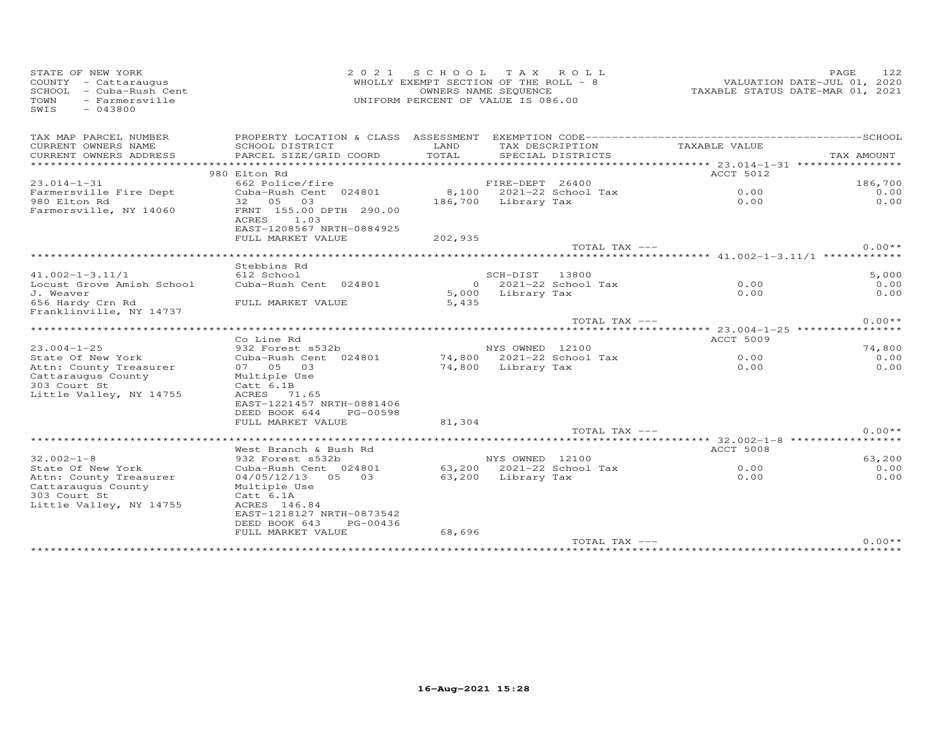| STATE OF NEW YORK<br>COUNTY - Cattaraugus<br>SCHOOL - Cuba-Rush Cent<br>TOWN<br>- Farmersville<br>SWIS<br>$-043800$ | SCHOOL TAX ROLL<br>WHOLLY EXEMPT SECTION OF THE ROLL $-8$<br>OWNERS NAME SEQUENCE<br>UNIFORM PERCENT OF VALUE IS 086.00 |                    |                    |                                      | PAGE<br>122<br>VALUATION DATE-JUL 01, 2020<br>TAXABLE STATUS DATE-MAR 01, 2021 |            |
|---------------------------------------------------------------------------------------------------------------------|-------------------------------------------------------------------------------------------------------------------------|--------------------|--------------------|--------------------------------------|--------------------------------------------------------------------------------|------------|
| TAX MAP PARCEL NUMBER                                                                                               |                                                                                                                         |                    |                    |                                      |                                                                                |            |
| CURRENT OWNERS NAME<br>CURRENT OWNERS ADDRESS                                                                       | SCHOOL DISTRICT<br>PARCEL SIZE/GRID COORD                                                                               | LAND<br>TOTAL      |                    | TAX DESCRIPTION<br>SPECIAL DISTRICTS | TAXABLE VALUE                                                                  | TAX AMOUNT |
| ************************                                                                                            |                                                                                                                         |                    |                    |                                      |                                                                                |            |
|                                                                                                                     | 980 Elton Rd                                                                                                            |                    |                    |                                      | ACCT 5012                                                                      |            |
| $23.014 - 1 - 31$                                                                                                   | 662 Police/fire                                                                                                         |                    | FIRE-DEPT 26400    |                                      |                                                                                | 186,700    |
| Farmersville Fire Dept                                                                                              | Cuba-Rush Cent 024801                                                                                                   |                    |                    | 8,100 2021-22 School Tax             | 0.00                                                                           | 0.00       |
| 980 Elton Rd<br>Farmersville, NY 14060                                                                              | 32  05  03<br>FRNT 155.00 DPTH 290.00<br>ACRES 1.03<br>EAST-1208567 NRTH-0884925<br>FULL MARKET VALUE                   | 186,700<br>202,935 | Library Tax        |                                      | 0.00                                                                           | 0.00       |
|                                                                                                                     |                                                                                                                         |                    |                    | TOTAL TAX ---                        |                                                                                | $0.00**$   |
|                                                                                                                     |                                                                                                                         |                    |                    |                                      |                                                                                |            |
|                                                                                                                     | Stebbins Rd                                                                                                             |                    |                    |                                      |                                                                                |            |
| $41.002 - 1 - 3.11/1$                                                                                               | 612 School                                                                                                              |                    | SCH-DIST 13800     |                                      |                                                                                | 5,000      |
| Locust Grove Amish School                                                                                           | Cuba-Rush Cent 024801                                                                                                   |                    |                    | 0 2021-22 School Tax                 | 0.00                                                                           | 0.00       |
| J. Weaver<br>656 Hardy Crn Rd<br>Franklinville, NY 14737                                                            | FULL MARKET VALUE                                                                                                       | 5,435              | 5,000 Library Tax  |                                      | 0.00                                                                           | 0.00       |
|                                                                                                                     |                                                                                                                         |                    |                    | TOTAL TAX ---                        |                                                                                | $0.00**$   |
|                                                                                                                     |                                                                                                                         |                    |                    |                                      |                                                                                |            |
|                                                                                                                     | Co Line Rd                                                                                                              |                    |                    |                                      | <b>ACCT 5009</b>                                                               |            |
| $23.004 - 1 - 25$                                                                                                   | 932 Forest s532b                                                                                                        |                    | NYS OWNED 12100    |                                      |                                                                                | 74,800     |
| State Of New York                                                                                                   | Cuba-Rush Cent 024801                                                                                                   |                    |                    | 74,800 2021-22 School Tax            | 0.00                                                                           | 0.00       |
| Attn: County Treasurer                                                                                              | 07 05<br>03                                                                                                             |                    | 74,800 Library Tax |                                      | 0.00                                                                           | 0.00       |
| Cattaraugus County                                                                                                  | Multiple Use                                                                                                            |                    |                    |                                      |                                                                                |            |
| 303 Court St                                                                                                        | Catt 6.1B                                                                                                               |                    |                    |                                      |                                                                                |            |
| Little Valley, NY 14755                                                                                             | ACRES 71.65<br>EAST-1221457 NRTH-0881406                                                                                |                    |                    |                                      |                                                                                |            |
|                                                                                                                     | DEED BOOK 644<br>PG-00598                                                                                               |                    |                    |                                      |                                                                                |            |
|                                                                                                                     | FULL MARKET VALUE                                                                                                       | 81,304             |                    |                                      |                                                                                |            |
|                                                                                                                     |                                                                                                                         |                    |                    | TOTAL TAX ---                        |                                                                                | $0.00**$   |
|                                                                                                                     | ********************                                                                                                    |                    |                    |                                      |                                                                                |            |
|                                                                                                                     | West Branch & Bush Rd                                                                                                   |                    |                    |                                      | <b>ACCT 5008</b>                                                               |            |
| $32.002 - 1 - 8$                                                                                                    | 932 Forest s532b                                                                                                        |                    | NYS OWNED 12100    |                                      |                                                                                | 63,200     |
| State Of New York                                                                                                   | Cuba-Rush Cent 024801                                                                                                   |                    |                    | 63,200 2021-22 School Tax            | 0.00                                                                           | 0.00       |
| Attn: County Treasurer                                                                                              | 04/05/12/13 05 03                                                                                                       |                    | 63,200 Library Tax |                                      | 0.00                                                                           | 0.00       |
| Cattaraugus County                                                                                                  | Multiple Use                                                                                                            |                    |                    |                                      |                                                                                |            |
| 303 Court St                                                                                                        | Catt 6.1A                                                                                                               |                    |                    |                                      |                                                                                |            |
| Little Valley, NY 14755                                                                                             | ACRES 146.84                                                                                                            |                    |                    |                                      |                                                                                |            |
|                                                                                                                     | EAST-1218127 NRTH-0873542                                                                                               |                    |                    |                                      |                                                                                |            |
|                                                                                                                     | DEED BOOK 643<br>PG-00436<br>FULL MARKET VALUE                                                                          | 68,696             |                    |                                      |                                                                                |            |
|                                                                                                                     |                                                                                                                         |                    |                    | TOTAL TAX ---                        |                                                                                | $0.00**$   |
|                                                                                                                     |                                                                                                                         |                    |                    |                                      | **************************************                                         |            |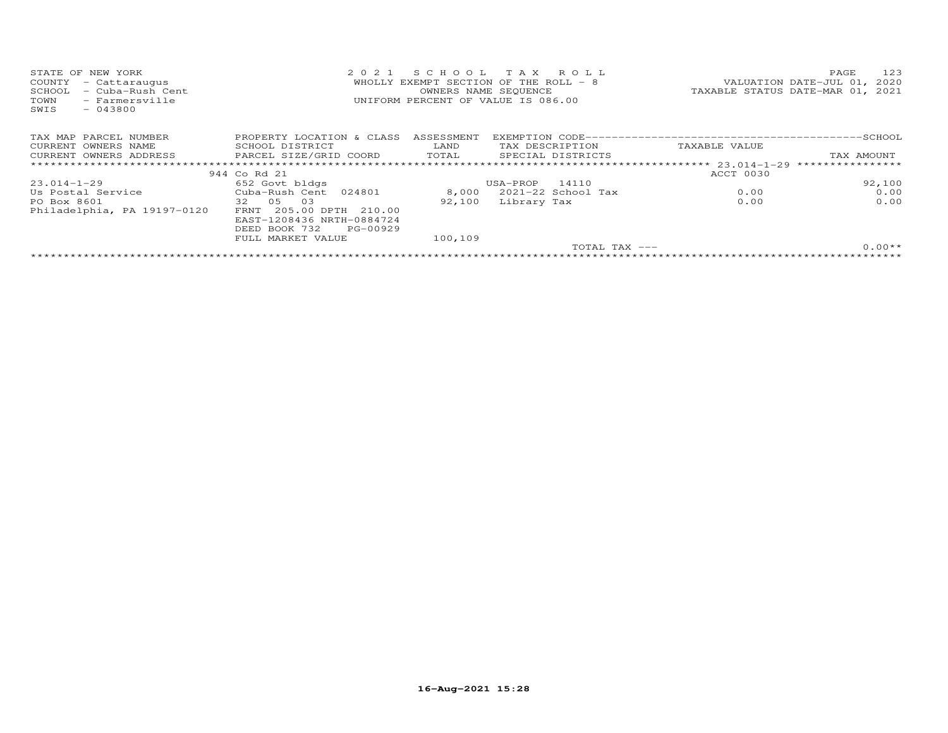| STATE OF NEW YORK<br>COUNTY<br>- Cattaraugus<br>- Cuba-Rush Cent<br>SCHOOL<br>TOWN<br>- Farmersville<br>$-043800$<br>SWIS | 2021                       | SCHOOL TAX ROLL<br>WHOLLY EXEMPT SECTION OF THE ROLL $-8$<br>OWNERS NAME SEQUENCE<br>UNIFORM PERCENT OF VALUE IS 086.00 |                   |                    |               | 123<br>PAGE<br>VALUATION DATE-JUL 01, 2020<br>TAXABLE STATUS DATE-MAR 01, 2021 |
|---------------------------------------------------------------------------------------------------------------------------|----------------------------|-------------------------------------------------------------------------------------------------------------------------|-------------------|--------------------|---------------|--------------------------------------------------------------------------------|
| TAX MAP PARCEL NUMBER                                                                                                     | PROPERTY LOCATION & CLASS  | ASSESSMENT                                                                                                              |                   |                    |               |                                                                                |
| CURRENT OWNERS NAME                                                                                                       | SCHOOL DISTRICT            | LAND                                                                                                                    |                   | TAX DESCRIPTION    | TAXABLE VALUE |                                                                                |
| CURRENT OWNERS ADDRESS                                                                                                    | PARCEL SIZE/GRID COORD     | TOTAL                                                                                                                   | SPECIAL DISTRICTS |                    |               | TAX AMOUNT                                                                     |
|                                                                                                                           |                            |                                                                                                                         |                   |                    |               | ****************                                                               |
|                                                                                                                           | 944 Co Rd 21               |                                                                                                                         |                   |                    | ACCT 0030     |                                                                                |
| 23.014-1-29                                                                                                               | 652 Govt bldgs             |                                                                                                                         | USA-PROP          | 14110              |               | 92,100                                                                         |
| Us Postal Service                                                                                                         | Cuba-Rush Cent 024801      | 8,000                                                                                                                   |                   | 2021-22 School Tax | 0.00          | 0.00                                                                           |
| PO Box 8601                                                                                                               | 32 05<br>03                | 92,100                                                                                                                  | Library Tax       |                    | 0.00          | 0.00                                                                           |
| Philadelphia, PA 19197-0120                                                                                               | 205.00 DPTH 210.00<br>FRNT |                                                                                                                         |                   |                    |               |                                                                                |
|                                                                                                                           | EAST-1208436 NRTH-0884724  |                                                                                                                         |                   |                    |               |                                                                                |
|                                                                                                                           | DEED BOOK 732<br>PG-00929  |                                                                                                                         |                   |                    |               |                                                                                |
|                                                                                                                           | FULL MARKET VALUE          | 100,109                                                                                                                 |                   |                    |               |                                                                                |
|                                                                                                                           |                            |                                                                                                                         |                   | TOTAL TAX $---$    |               | $0.00**$                                                                       |
|                                                                                                                           |                            |                                                                                                                         |                   |                    |               |                                                                                |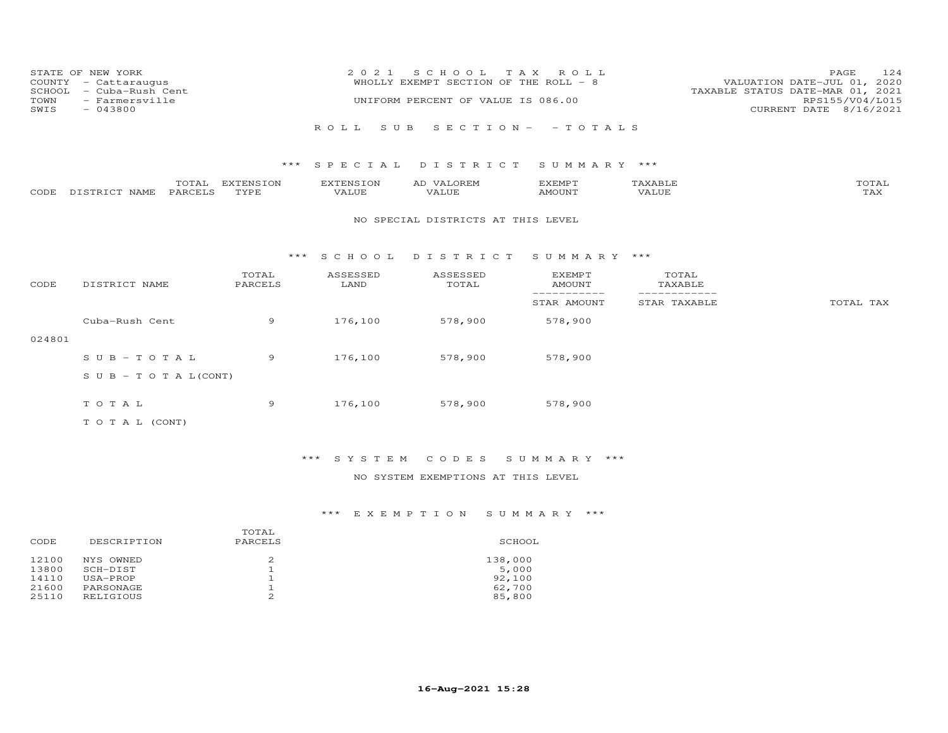| SCHOOL<br>TOWN<br>SWIS | STATE OF NEW YORK<br>COUNTY - Cattaraugus<br>- Cuba-Rush Cent<br>- Farmersville<br>$-043800$ |                   | 2 0 2 1                   | S C H O O L<br>WHOLLY EXEMPT SECTION OF THE ROLL - 8<br>UNIFORM PERCENT OF VALUE IS 086.00 | T A X<br>ROLL                   |                               | 124<br>PAGE<br>VALUATION DATE-JUL 01, 2020<br>TAXABLE STATUS DATE-MAR 01, 2021<br>RPS155/V04/L015<br>CURRENT DATE 8/16/2021 |
|------------------------|----------------------------------------------------------------------------------------------|-------------------|---------------------------|--------------------------------------------------------------------------------------------|---------------------------------|-------------------------------|-----------------------------------------------------------------------------------------------------------------------------|
|                        |                                                                                              |                   | S U B<br>ROLL             |                                                                                            | $S E C T I O N - - T O T A L S$ |                               |                                                                                                                             |
|                        |                                                                                              | ***               | SPECIAL                   | DISTRICT                                                                                   | SUMMARY ***                     |                               |                                                                                                                             |
| CODE                   | TOTAL<br>DISTRICT NAME<br>PARCELS                                                            | EXTENSION<br>TYPE | <b>EXTENSION</b><br>VALUE | AD VALOREM<br>VALUE                                                                        | <b>EXEMPT</b><br>AMOUNT         | TAXABLE<br><b>VALUE</b>       | TOTAL<br>TAX                                                                                                                |
|                        |                                                                                              |                   |                           | NO SPECIAL DISTRICTS AT THIS LEVEL                                                         |                                 |                               |                                                                                                                             |
|                        |                                                                                              | * * *             | S C H O O L               | DISTRICT                                                                                   | SUMMARY ***                     |                               |                                                                                                                             |
| CODE                   | DISTRICT NAME                                                                                | TOTAL<br>PARCELS  | ASSESSED<br>LAND          | ASSESSED<br>TOTAL                                                                          | <b>EXEMPT</b><br><b>AMOUNT</b>  | TOTAL<br>TAXABLE              |                                                                                                                             |
|                        |                                                                                              |                   |                           |                                                                                            | -----------<br>STAR AMOUNT      | -------------<br>STAR TAXABLE | TOTAL TAX                                                                                                                   |
|                        | Cuba-Rush Cent                                                                               | 9                 | 176,100                   | 578,900                                                                                    | 578,900                         |                               |                                                                                                                             |
| 024801                 |                                                                                              |                   |                           |                                                                                            |                                 |                               |                                                                                                                             |
|                        | $SUB - TO T AL$                                                                              | 9                 | 176,100                   | 578,900                                                                                    | 578,900                         |                               |                                                                                                                             |
|                        | S U B - T O T A $L$ (CONT)                                                                   |                   |                           |                                                                                            |                                 |                               |                                                                                                                             |
|                        | TOTAL                                                                                        | 9                 | 176,100                   | 578,900                                                                                    | 578,900                         |                               |                                                                                                                             |
|                        | TO TAL (CONT)                                                                                |                   |                           |                                                                                            |                                 |                               |                                                                                                                             |

## \*\*\* S Y S T E M C O D E S S U M M A R Y \*\*\*

### NO SYSTEM EXEMPTIONS AT THIS LEVEL

| SCHOOL  |
|---------|
| 138,000 |
| 5,000   |
| 92,100  |
| 62,700  |
| 85,800  |
|         |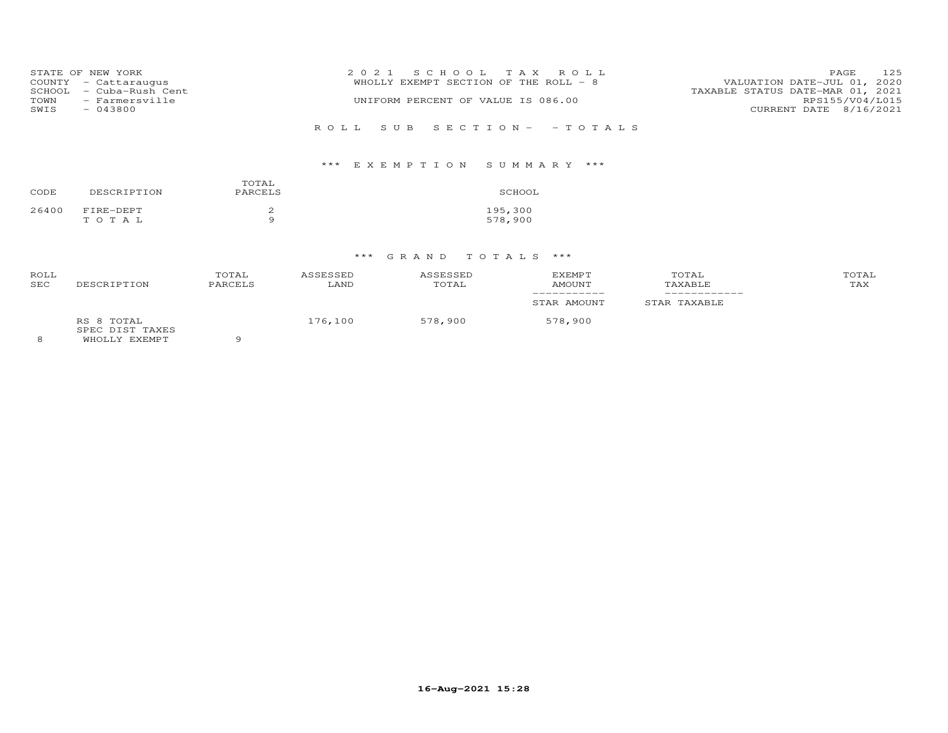|      | STATE OF NEW YORK       | 2021 SCHOOL TAX ROLL                  | <b>PAGE</b>                      | 125             |
|------|-------------------------|---------------------------------------|----------------------------------|-----------------|
|      | COUNTY - Cattaraugus    | WHOLLY EXEMPT SECTION OF THE ROLL - 8 | VALUATION DATE-JUL 01, 2020      |                 |
|      | SCHOOL - Cuba-Rush Cent |                                       | TAXABLE STATUS DATE-MAR 01, 2021 |                 |
| TOWN | - Farmersville          | UNIFORM PERCENT OF VALUE IS 086.00    |                                  | RPS155/V04/L015 |
| SWIS | $-043800$               |                                       | CURRENT DATE 8/16/2021           |                 |
|      |                         |                                       |                                  |                 |
|      |                         | ROLL SUB SECTION- -TOTALS             |                                  |                 |

| CODE  | DESCRIPTION        | TOTAL<br>PARCELS | SCHOOL             |
|-------|--------------------|------------------|--------------------|
| 26400 | FIRE-DEPT<br>TOTAL | Q                | 195,300<br>578,900 |

### \*\*\* G R A N D T O T A L S \*\*\*

| ROLL<br><b>SEC</b> | DESCRIPTION                                    | TOTAL<br>PARCELS | ASSESSED<br>LAND | ASSESSED<br>TOTAL | EXEMPT<br><b>AMOUNT</b> | TOTAL<br>TAXABLE | TOTAL<br>TAX |
|--------------------|------------------------------------------------|------------------|------------------|-------------------|-------------------------|------------------|--------------|
|                    |                                                |                  |                  |                   | STAR AMOUNT             | STAR TAXABLE     |              |
|                    | RS 8 TOTAL<br>SPEC DIST TAXES<br>WHOLLY EXEMPT |                  | 176,100          | 578,900           | 578,900                 |                  |              |

8 WHOLLY EXEMPT 9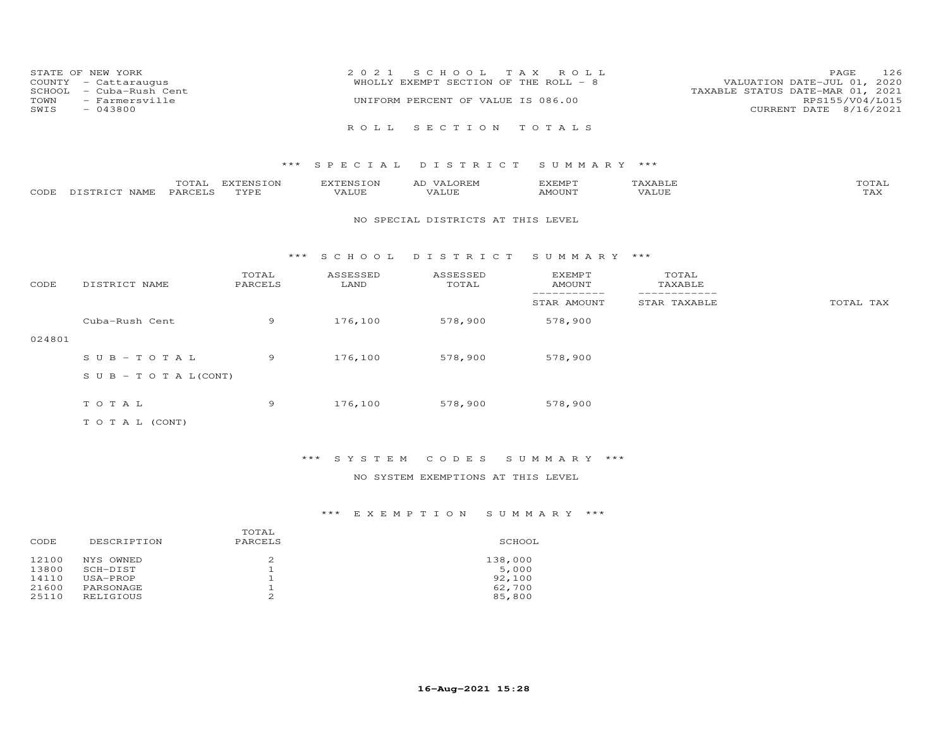| STATE OF NEW YORK<br>COUNTY - Cattaraugus<br>SCHOOL - Cuba-Rush Cent<br>TOWN - Farmersville<br>SWIS<br>$-043800$ | 2021 SCHOOL TAX ROLL<br>WHOLLY EXEMPT SECTION OF THE ROLL - 8<br>UNIFORM PERCENT OF VALUE IS 086.00 | 126<br>PAGE<br>VALUATION DATE-JUL 01, 2020<br>TAXABLE STATUS DATE-MAR 01, 2021<br>RPS155/V04/L015<br>CURRENT DATE 8/16/2021 |
|------------------------------------------------------------------------------------------------------------------|-----------------------------------------------------------------------------------------------------|-----------------------------------------------------------------------------------------------------------------------------|
|                                                                                                                  | ROLL SECTION TOTALS                                                                                 |                                                                                                                             |

|      |                  | ----                | <b>EXTENSION</b> | -NS 1           | ∼ | EXEMPT   |              | $m \wedge m \wedge \tau$<br>OTAL |
|------|------------------|---------------------|------------------|-----------------|---|----------|--------------|----------------------------------|
| CODE | DISTRICT<br>NAME | PARCEI <sup>o</sup> | TVDF             | - דדד<br>. ALUF |   | 35027370 | <b>VALUE</b> | - 777                            |

#### NO SPECIAL DISTRICTS AT THIS LEVEL

#### \*\*\* S C H O O L D I S T R I C T S U M M A R Y \*\*\*

| CODE   | DISTRICT NAME                    | TOTAL<br>PARCELS | ASSESSED<br>LAND | ASSESSED<br>TOTAL | <b>EXEMPT</b><br>AMOUNT | TOTAL<br>TAXABLE |           |
|--------|----------------------------------|------------------|------------------|-------------------|-------------------------|------------------|-----------|
|        |                                  |                  |                  |                   | STAR AMOUNT             | STAR TAXABLE     | TOTAL TAX |
|        | Cuba-Rush Cent                   | 9                | 176,100          | 578,900           | 578,900                 |                  |           |
| 024801 |                                  |                  |                  |                   |                         |                  |           |
|        | $SUB - TO T AL$                  | 9                | 176,100          | 578,900           | 578,900                 |                  |           |
|        | $S \cup B - T \cup T A L (CONT)$ |                  |                  |                   |                         |                  |           |
|        | TOTAL                            | 9                | 176,100          | 578,900           | 578,900                 |                  |           |
|        | T O T A L (CONT)                 |                  |                  |                   |                         |                  |           |

### \*\*\* S Y S T E M C O D E S S U M M A R Y \*\*\*

### NO SYSTEM EXEMPTIONS AT THIS LEVEL

|       |             | TOTAL    |         |
|-------|-------------|----------|---------|
| CODE  | DESCRIPTION | PARCELS  | SCHOOL  |
| 12100 | NYS OWNED   | 2        | 138,000 |
| 13800 | SCH-DIST    |          | 5,000   |
| 14110 | USA-PROP    |          | 92,100  |
| 21600 | PARSONAGE   |          | 62,700  |
| 25110 | RELIGIOUS   | $\Omega$ | 85,800  |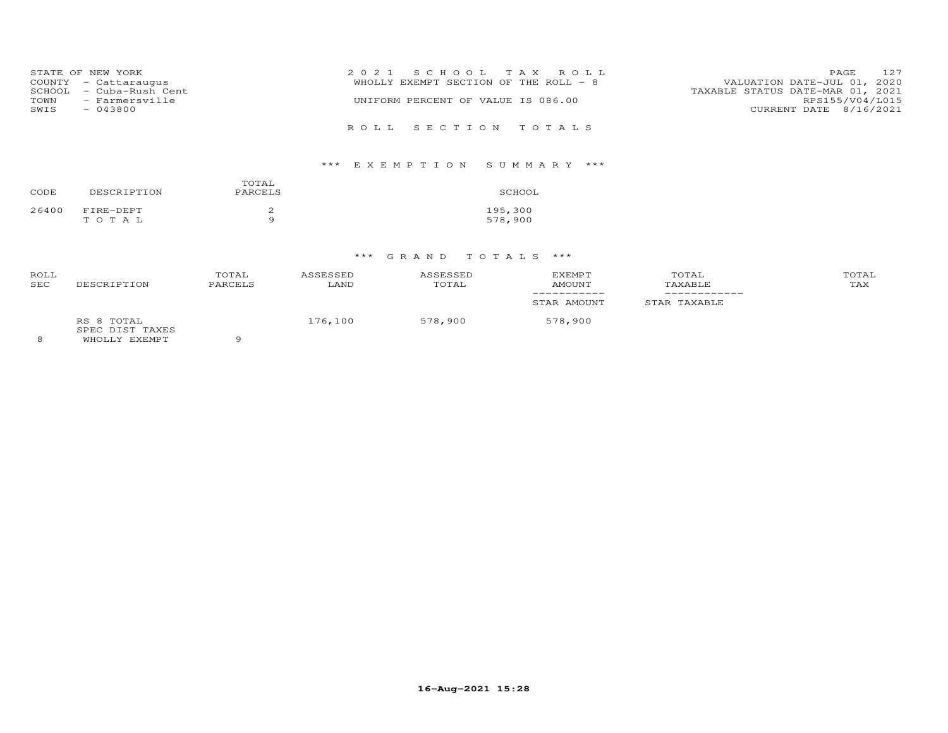| STATE OF NEW YORK<br>COUNTY - Cattaraugus         | 2021 SCHOOL TAX ROLL<br>WHOLLY EXEMPT SECTION OF THE ROLL - 8 | 127<br><b>PAGE</b><br>VALUATION DATE-JUL 01, 2020   |
|---------------------------------------------------|---------------------------------------------------------------|-----------------------------------------------------|
| SCHOOL - Cuba-Rush Cent<br>- Farmersville<br>TOWN | UNIFORM PERCENT OF VALUE IS 086.00                            | TAXABLE STATUS DATE-MAR 01, 2021<br>RPS155/V04/L015 |
| SWIS<br>$-043800$                                 | ROLL SECTION TOTALS                                           | CURRENT DATE 8/16/2021                              |

| CODE  | DESCRIPTION        | TOTAL<br>PARCELS | SCHOOL             |
|-------|--------------------|------------------|--------------------|
| 26400 | FIRE-DEPT<br>TOTAL | a                | 195,300<br>578,900 |

## \*\*\* G R A N D T O T A L S \*\*\*

| ROLL<br><b>SEC</b> | DESCRIPTION                                    | TOTAL<br>PARCELS | ASSESSED<br>LAND | ASSESSED<br>TOTAL | EXEMPT<br>AMOUNT | TOTAL<br>TAXABLE | TOTAL<br>TAX |
|--------------------|------------------------------------------------|------------------|------------------|-------------------|------------------|------------------|--------------|
|                    |                                                |                  |                  |                   | STAR AMOUNT      | STAR TAXABLE     |              |
|                    | RS 8 TOTAL<br>SPEC DIST TAXES<br>WHOLLY EXEMPT |                  | 176,100          | 578,900           | 578,900          |                  |              |

WHOLLY EXEMPT 9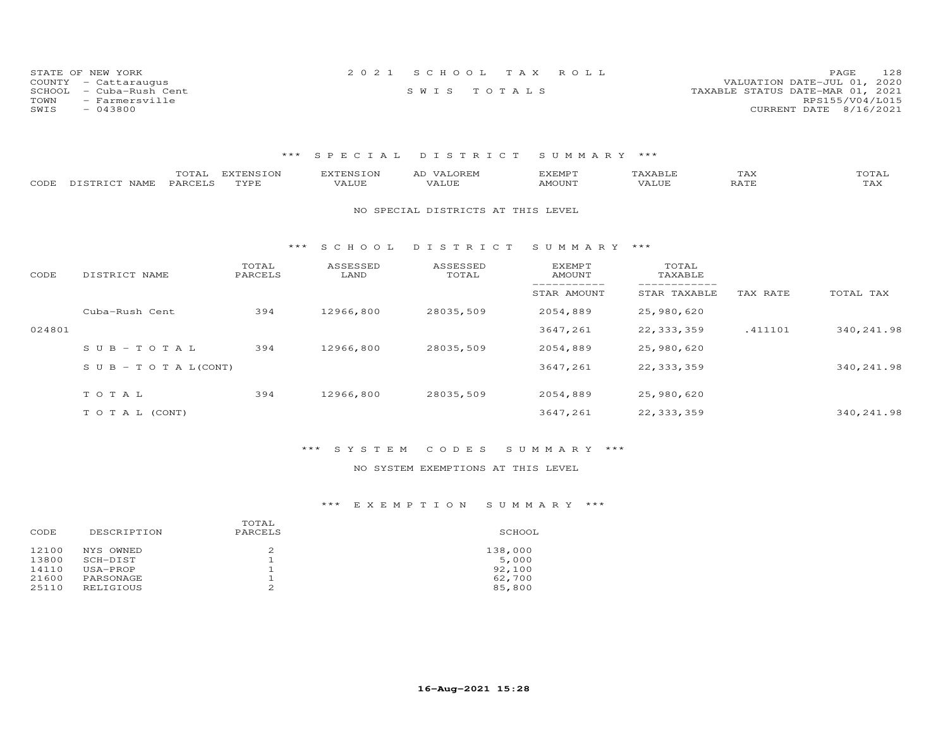| STATE OF NEW YORK          | 2021 SCHOOL TAX ROLL | 128<br>PAGE                      |
|----------------------------|----------------------|----------------------------------|
| COUNTY - Cattaraugus       |                      | VALUATION DATE-JUL 01, 2020      |
| SCHOOL<br>- Cuba-Rush Cent | SWIS TOTALS          | TAXABLE STATUS DATE-MAR 01, 2021 |
| TOWN<br>- Farmersville     |                      | RPS155/V04/L015                  |
| SWIS<br>$-043800$          |                      | CURRENT DATE 8/16/2021           |

| CODE   | TOTAL<br>PARCELS<br>DISTRICT NAME | <b>EXTENSION</b><br>TYPE | <b>EXTENSION</b><br>VALUE | AD VALOREM<br>VALUE                | <b>EXEMPT</b><br><b>AMOUNT</b> | TAXABLE<br>VALUE | TAX<br><b>RATE</b> | TOTAL<br>TAX |
|--------|-----------------------------------|--------------------------|---------------------------|------------------------------------|--------------------------------|------------------|--------------------|--------------|
|        |                                   |                          |                           | NO SPECIAL DISTRICTS AT THIS LEVEL |                                |                  |                    |              |
|        |                                   | ***                      | S C H O O L               | DISTRICT                           | SUMMARY ***                    |                  |                    |              |
| CODE   | DISTRICT NAME                     | TOTAL<br>PARCELS         | ASSESSED<br>LAND          | ASSESSED<br>TOTAL                  | EXEMPT<br><b>AMOUNT</b>        | TOTAL<br>TAXABLE |                    |              |
|        |                                   |                          |                           |                                    | STAR AMOUNT                    | STAR TAXABLE     | TAX RATE           | TOTAL TAX    |
|        | Cuba-Rush Cent                    | 394                      | 12966,800                 | 28035,509                          | 2054,889                       | 25,980,620       |                    |              |
| 024801 |                                   |                          |                           |                                    | 3647,261                       | 22, 333, 359     | .411101            | 340, 241.98  |
|        | $SUB - TO T AL$                   | 394                      | 12966,800                 | 28035,509                          | 2054,889                       | 25,980,620       |                    |              |
|        | $S \cup B - T \cup T A L (CONT)$  |                          |                           |                                    | 3647,261                       | 22, 333, 359     |                    | 340, 241.98  |
|        | TOTAL                             | 394                      | 12966,800                 | 28035,509                          | 2054,889                       | 25,980,620       |                    |              |
|        |                                   |                          |                           |                                    |                                |                  |                    |              |
|        | TO TAL (CONT)                     |                          |                           |                                    | 3647,261                       | 22, 333, 359     |                    | 340, 241.98  |

### \*\*\* S Y S T E M C O D E S S U M M A R Y \*\*\*

### NO SYSTEM EXEMPTIONS AT THIS LEVEL

| CODE  | DESCRIPTION | TOTAL<br>PARCELS | SCHOOL  |
|-------|-------------|------------------|---------|
| 12100 | NYS OWNED   | 2                | 138,000 |
| 13800 | SCH-DIST    |                  | 5,000   |
| 14110 | USA-PROP    |                  | 92,100  |
| 21600 | PARSONAGE   | 2                | 62,700  |
| 25110 | RELIGIOUS   |                  | 85,800  |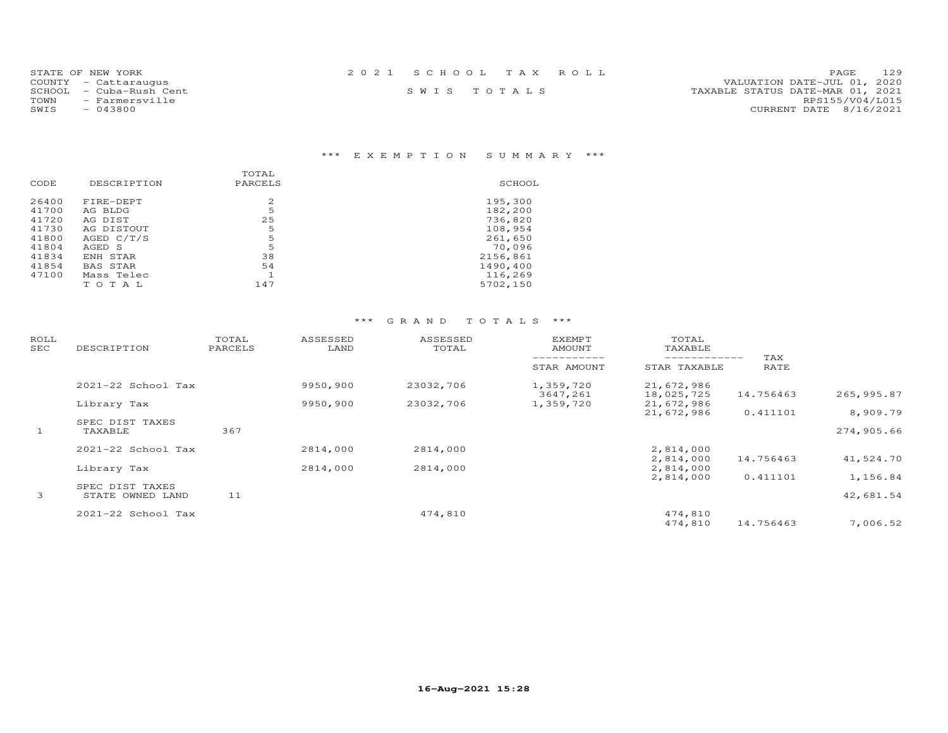| STATE OF NEW YORK       | 2021 SCHOOL TAX ROLL | 129<br><b>PAGE</b>               |
|-------------------------|----------------------|----------------------------------|
| COUNTY - Cattaraugus    |                      | VALUATION DATE-JUL 01, 2020      |
| SCHOOL - Cuba-Rush Cent | SWIS TOTALS          | TAXABLE STATUS DATE-MAR 01, 2021 |
| - Farmersville<br>TOWN  |                      | RPS155/V04/L015                  |
| $-043800$<br>SWIS       |                      | CURRENT DATE 8/16/2021           |
|                         |                      |                                  |

|       |             | TOTAL   |          |
|-------|-------------|---------|----------|
| CODE  | DESCRIPTION | PARCELS | SCHOOL   |
|       |             |         |          |
| 26400 | FIRE-DEPT   | 2       | 195,300  |
| 41700 | AG BLDG     | 5       | 182,200  |
| 41720 | AG DIST     | 25      | 736,820  |
| 41730 | AG DISTOUT  | 5       | 108,954  |
| 41800 | AGED C/T/S  | 5       | 261,650  |
| 41804 | AGED S      | 5       | 70,096   |
| 41834 | ENH STAR    | 38      | 2156,861 |
| 41854 | BAS STAR    | 54      | 1490,400 |
| 47100 | Mass Telec  |         | 116,269  |
|       | TOTAL       | 147     | 5702,150 |
|       |             |         |          |

| ROLL<br>SEC  | DESCRIPTION                         | TOTAL<br>PARCELS | ASSESSED<br>LAND | ASSESSED<br>TOTAL | <b>EXEMPT</b><br>AMOUNT | TOTAL<br>TAXABLE         |             |            |
|--------------|-------------------------------------|------------------|------------------|-------------------|-------------------------|--------------------------|-------------|------------|
|              |                                     |                  |                  |                   | STAR AMOUNT             | STAR TAXABLE             | TAX<br>RATE |            |
|              | 2021-22 School Tax                  |                  | 9950,900         | 23032,706         | 1,359,720<br>3647,261   | 21,672,986<br>18,025,725 | 14.756463   | 265,995.87 |
|              | Library Tax                         |                  | 9950,900         | 23032,706         | 1,359,720               | 21,672,986<br>21,672,986 | 0.411101    | 8,909.79   |
| $\mathbf{1}$ | SPEC DIST TAXES<br>TAXABLE          | 367              |                  |                   |                         |                          |             | 274,905.66 |
|              | 2021-22 School Tax                  |                  | 2814,000         | 2814,000          |                         | 2,814,000<br>2,814,000   | 14.756463   | 41,524.70  |
|              | Library Tax                         |                  | 2814,000         | 2814,000          |                         | 2,814,000<br>2,814,000   | 0.411101    | 1,156.84   |
| $\mathbf{3}$ | SPEC DIST TAXES<br>STATE OWNED LAND | 11               |                  |                   |                         |                          |             | 42,681.54  |
|              | 2021-22 School Tax                  |                  |                  | 474,810           |                         | 474,810<br>474,810       | 14.756463   | 7,006.52   |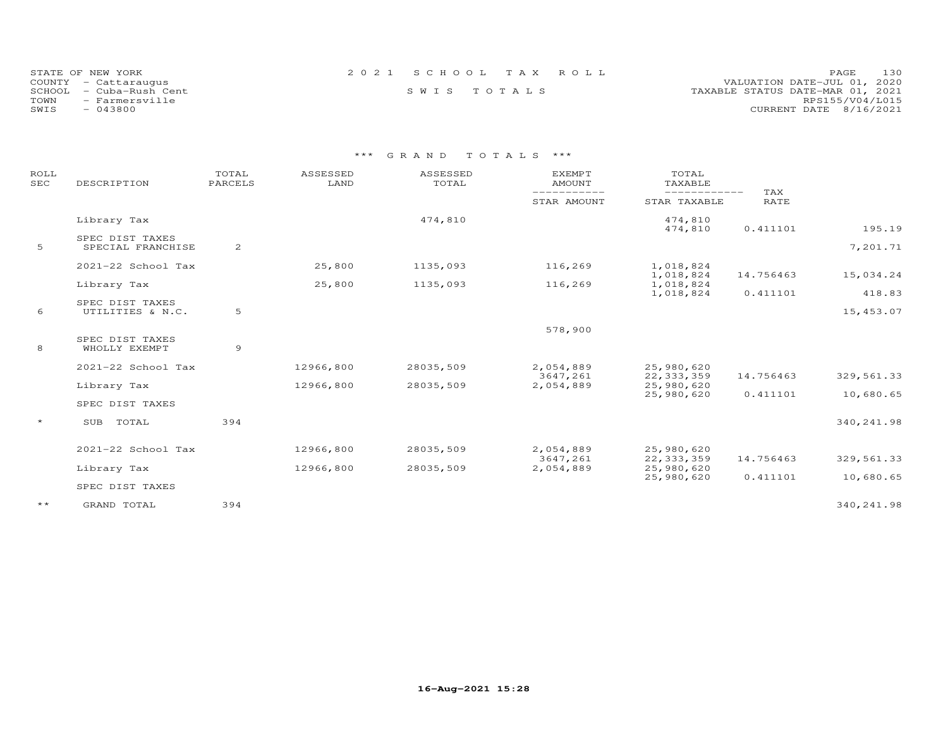| STATE OF NEW YORK       | 2021 SCHOOL TAX ROLL | 130<br><b>PAGE</b>               |
|-------------------------|----------------------|----------------------------------|
| COUNTY - Cattaraugus    |                      | VALUATION DATE-JUL 01, 2020      |
| SCHOOL - Cuba-Rush Cent | SWIS TOTALS          | TAXABLE STATUS DATE-MAR 01, 2021 |
| TOWN<br>- Farmersville  |                      | RPS155/V04/L015                  |
| SWIS<br>- 043800        |                      | CURRENT DATE 8/16/2021           |

| ROLL<br><b>SEC</b> | DESCRIPTION                         | TOTAL<br>PARCELS | ASSESSED<br>LAND | ASSESSED<br>TOTAL | <b>EXEMPT</b><br><b>AMOUNT</b> | TOTAL<br>TAXABLE              |                    |             |
|--------------------|-------------------------------------|------------------|------------------|-------------------|--------------------------------|-------------------------------|--------------------|-------------|
|                    |                                     |                  |                  |                   | -----------<br>STAR AMOUNT     | -------------<br>STAR TAXABLE | TAX<br><b>RATE</b> |             |
|                    | Library Tax                         |                  |                  | 474,810           |                                | 474,810<br>474,810            | 0.411101           | 195.19      |
|                    | SPEC DIST TAXES                     |                  |                  |                   |                                |                               |                    |             |
| 5                  | SPECIAL FRANCHISE                   | 2                |                  |                   |                                |                               |                    | 7,201.71    |
|                    | 2021-22 School Tax                  |                  | 25,800           | 1135,093          | 116,269                        | 1,018,824                     |                    |             |
|                    | Library Tax                         |                  | 25,800           | 1135,093          | 116,269                        | 1,018,824<br>1,018,824        | 14.756463          | 15,034.24   |
|                    |                                     |                  |                  |                   |                                | 1,018,824                     | 0.411101           | 418.83      |
| 6                  | SPEC DIST TAXES<br>UTILITIES & N.C. | 5                |                  |                   |                                |                               |                    | 15,453.07   |
|                    |                                     |                  |                  |                   | 578,900                        |                               |                    |             |
| 8                  | SPEC DIST TAXES<br>WHOLLY EXEMPT    | 9                |                  |                   |                                |                               |                    |             |
|                    | 2021-22 School Tax                  |                  | 12966,800        | 28035,509         | 2,054,889                      | 25,980,620                    |                    |             |
|                    |                                     |                  |                  |                   | 3647,261                       | 22, 333, 359                  | 14.756463          | 329, 561.33 |
|                    | Library Tax                         |                  | 12966,800        | 28035,509         | 2,054,889                      | 25,980,620<br>25,980,620      | 0.411101           | 10,680.65   |
|                    | SPEC DIST TAXES                     |                  |                  |                   |                                |                               |                    |             |
| $\star$            | TOTAL<br>SUB                        | 394              |                  |                   |                                |                               |                    | 340, 241.98 |
|                    | 2021-22 School Tax                  |                  | 12966,800        | 28035,509         | 2,054,889                      | 25,980,620                    |                    |             |
|                    | Library Tax                         |                  | 12966,800        | 28035,509         | 3647,261<br>2,054,889          | 22, 333, 359<br>25,980,620    | 14.756463          | 329, 561.33 |
|                    |                                     |                  |                  |                   |                                | 25,980,620                    | 0.411101           | 10,680.65   |
|                    | SPEC DIST TAXES                     |                  |                  |                   |                                |                               |                    |             |
| $\star\star$       | GRAND TOTAL                         | 394              |                  |                   |                                |                               |                    | 340, 241.98 |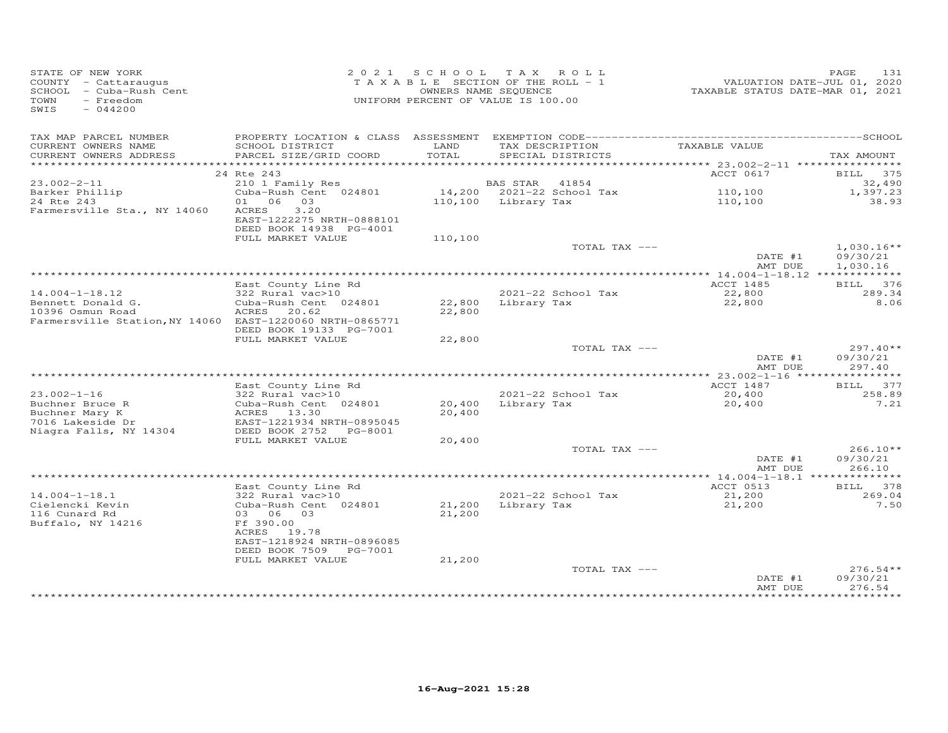| STATE OF NEW YORK<br>COUNTY - Cattaraugus<br>SCHOOL - Cuba-Rush Cent<br>TOWN<br>- Freedom<br>SWIS<br>$-044200$ |                                                                              | 2021 SCHOOL TAX ROLL<br>TAXABLE SECTION OF THE ROLL - 1<br>UNIFORM PERCENT OF VALUE IS 100.00 | OWNERS NAME SEQUENCE |                                      | VALUATION DATE-JUL 01, 2020<br>TAXABLE STATUS DATE-MAR 01, 2021 | PAGE<br>131          |
|----------------------------------------------------------------------------------------------------------------|------------------------------------------------------------------------------|-----------------------------------------------------------------------------------------------|----------------------|--------------------------------------|-----------------------------------------------------------------|----------------------|
| TAX MAP PARCEL NUMBER                                                                                          |                                                                              |                                                                                               |                      |                                      |                                                                 |                      |
| CURRENT OWNERS NAME<br>CURRENT OWNERS ADDRESS                                                                  | SCHOOL DISTRICT<br>PARCEL SIZE/GRID COORD                                    | LAND<br>TOTAL                                                                                 |                      | TAX DESCRIPTION<br>SPECIAL DISTRICTS | TAXABLE VALUE                                                   | TAX AMOUNT           |
|                                                                                                                |                                                                              |                                                                                               |                      |                                      |                                                                 |                      |
|                                                                                                                | 24 Rte 243                                                                   |                                                                                               |                      |                                      | ACCT 0617                                                       | BILL 375             |
| $23.002 - 2 - 11$                                                                                              | 210 1 Family Res                                                             |                                                                                               | <b>BAS STAR</b>      | 41854                                |                                                                 | 32,490               |
| Barker Phillip<br>24 Rte 243                                                                                   | Cuba-Rush Cent 024801<br>01 06 03                                            |                                                                                               | 110,100 Library Tax  | 14,200 2021-22 School Tax            | 110,100<br>110,100                                              | 1,397.23<br>38.93    |
| Farmersville Sta., NY 14060                                                                                    | <b>ACRES</b><br>3.20<br>EAST-1222275 NRTH-0888101<br>DEED BOOK 14938 PG-4001 |                                                                                               |                      |                                      |                                                                 |                      |
|                                                                                                                | FULL MARKET VALUE                                                            | 110,100                                                                                       |                      |                                      |                                                                 |                      |
|                                                                                                                |                                                                              |                                                                                               |                      | TOTAL TAX ---                        |                                                                 | $1,030.16**$         |
|                                                                                                                |                                                                              |                                                                                               |                      |                                      | DATE #1<br>AMT DUE                                              | 09/30/21<br>1,030.16 |
|                                                                                                                | East County Line Rd                                                          |                                                                                               |                      |                                      | ACCT 1485                                                       | <b>BILL</b><br>376   |
| $14.004 - 1 - 18.12$                                                                                           | 322 Rural vac>10                                                             |                                                                                               |                      | 2021-22 School Tax                   | 22,800                                                          | 289.34               |
| Bennett Donald G.                                                                                              | Cuba-Rush Cent 024801                                                        |                                                                                               | 22,800 Library Tax   |                                      | 22,800                                                          | 8.06                 |
| 10396 Osmun Road                                                                                               | ACRES<br>20.62                                                               | 22,800                                                                                        |                      |                                      |                                                                 |                      |
| Farmersville Station, NY 14060 EAST-1220060 NRTH-0865771                                                       | DEED BOOK 19133 PG-7001                                                      |                                                                                               |                      |                                      |                                                                 |                      |
|                                                                                                                | FULL MARKET VALUE                                                            | 22,800                                                                                        |                      |                                      |                                                                 |                      |
|                                                                                                                |                                                                              |                                                                                               |                      | TOTAL TAX ---                        |                                                                 | $297.40**$           |
|                                                                                                                |                                                                              |                                                                                               |                      |                                      | DATE #1                                                         | 09/30/21             |
|                                                                                                                |                                                                              |                                                                                               |                      |                                      | AMT DUE                                                         | 297.40               |
|                                                                                                                | East County Line Rd                                                          |                                                                                               |                      |                                      | ACCT 1487                                                       | BILL 377             |
| $23.002 - 1 - 16$                                                                                              | 322 Rural vac>10                                                             |                                                                                               |                      | 2021-22 School Tax                   | 20,400                                                          | 258.89               |
| Buchner Bruce R                                                                                                | Cuba-Rush Cent 024801                                                        | 20,400                                                                                        | Library Tax          |                                      | 20,400                                                          | 7.21                 |
| Buchner Mary K                                                                                                 | ACRES 13.30<br>EAST-1221934 NRTH-0895045                                     | 20,400                                                                                        |                      |                                      |                                                                 |                      |
| 7016 Lakeside Dr<br>Niagra Falls, NY 14304                                                                     | DEED BOOK 2752 PG-8001                                                       |                                                                                               |                      |                                      |                                                                 |                      |
|                                                                                                                | FULL MARKET VALUE                                                            | 20,400                                                                                        |                      |                                      |                                                                 |                      |
|                                                                                                                |                                                                              |                                                                                               |                      | TOTAL TAX ---                        |                                                                 | $266.10**$           |
|                                                                                                                |                                                                              |                                                                                               |                      |                                      | DATE #1                                                         | 09/30/21             |
|                                                                                                                |                                                                              |                                                                                               |                      |                                      | AMT DUE                                                         | 266.10               |
|                                                                                                                | East County Line Rd                                                          |                                                                                               |                      |                                      | ACCT 0513                                                       | BILL 378             |
| $14.004 - 1 - 18.1$                                                                                            | 322 Rural vac>10                                                             |                                                                                               |                      | 2021-22 School Tax                   | 21,200                                                          | 269.04               |
| Cielencki Kevin                                                                                                | Cuba-Rush Cent 024801                                                        | 21,200                                                                                        | Library Tax          |                                      | 21,200                                                          | 7.50                 |
| 116 Cunard Rd<br>Buffalo, NY 14216                                                                             | 03 06 03<br>Ff 390.00                                                        | 21,200                                                                                        |                      |                                      |                                                                 |                      |
|                                                                                                                | ACRES 19.78                                                                  |                                                                                               |                      |                                      |                                                                 |                      |
|                                                                                                                | EAST-1218924 NRTH-0896085                                                    |                                                                                               |                      |                                      |                                                                 |                      |
|                                                                                                                | DEED BOOK 7509 PG-7001                                                       |                                                                                               |                      |                                      |                                                                 |                      |
|                                                                                                                | FULL MARKET VALUE                                                            | 21,200                                                                                        |                      | TOTAL TAX ---                        |                                                                 | $276.54**$           |
|                                                                                                                |                                                                              |                                                                                               |                      |                                      | DATE #1<br>AMT DUE                                              | 09/30/21<br>276.54   |
|                                                                                                                |                                                                              |                                                                                               |                      |                                      |                                                                 |                      |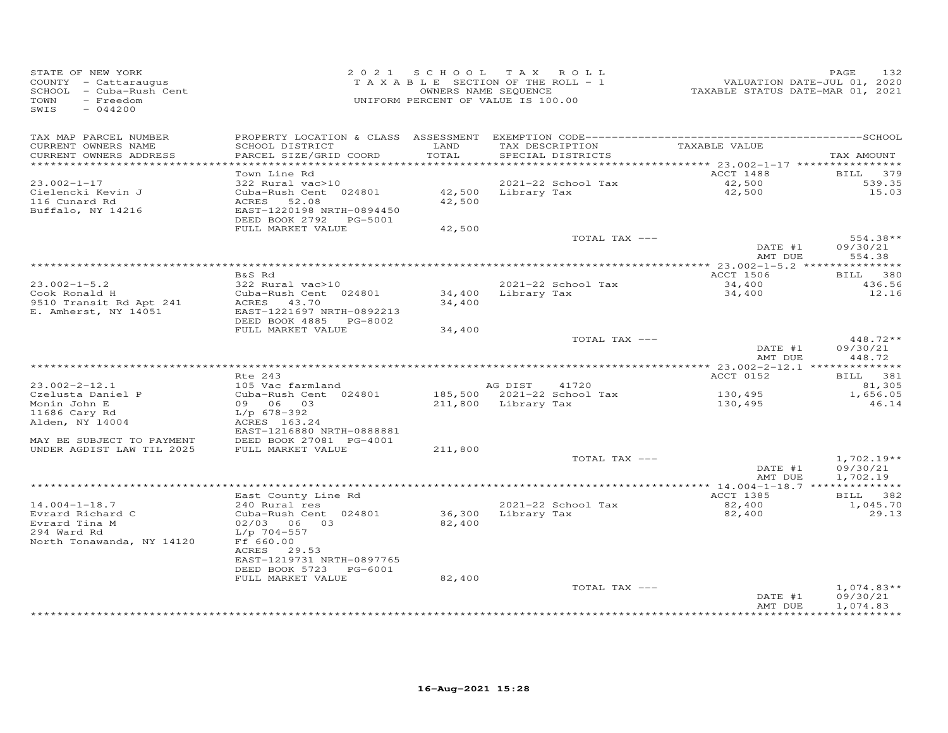| STATE OF NEW YORK<br>COUNTY - Cattaraugus<br>SCHOOL - Cuba-Rush Cent<br>TOWN<br>- Freedom<br>SWIS<br>$-044200$ |                                                                                                                                                         |                  | 2021 SCHOOL TAX ROLL<br>TAXABLE SECTION OF THE ROLL - 1<br>OWNERS NAME SEQUENCE<br>UNIFORM PERCENT OF VALUE IS 100.00 | rand Tax<br>1520 VALUATION DATE-JUL 01, 2020<br>2021 TAXABLE STATUS DATE-MAR | 132<br>PAGE                          |
|----------------------------------------------------------------------------------------------------------------|---------------------------------------------------------------------------------------------------------------------------------------------------------|------------------|-----------------------------------------------------------------------------------------------------------------------|------------------------------------------------------------------------------|--------------------------------------|
| TAX MAP PARCEL NUMBER<br>CURRENT OWNERS NAME<br>CURRENT OWNERS ADDRESS<br>************************             | SCHOOL DISTRICT<br>PARCEL SIZE/GRID COORD                                                                                                               | LAND<br>TOTAL    | TAX DESCRIPTION TAXABLE VALUE<br>SPECIAL DISTRICTS                                                                    |                                                                              | TAX AMOUNT                           |
| $23.002 - 1 - 17$<br>Cielencki Kevin J<br>116 Cunard Rd<br>Buffalo, NY 14216                                   | Town Line Rd<br>322 Rural vac>10<br>Cuba-Rush Cent 024801<br>ACRES<br>52.08<br>EAST-1220198 NRTH-0894450<br>DEED BOOK 2792 PG-5001<br>FULL MARKET VALUE | 42,500<br>42,500 | 2021-22 School Tax<br>42,500 Library Tax                                                                              | ACCT 1488<br>42,500<br>42,500                                                | BILL 379<br>539.35<br>15.03          |
|                                                                                                                |                                                                                                                                                         |                  | TOTAL TAX ---                                                                                                         | DATE #1<br>AMT DUE                                                           | $554.38**$<br>09/30/21<br>554.38     |
| $23.002 - 1 - 5.2$<br>Cook Ronald H<br>9510 Transit Rd Apt 241<br>E. Amherst, NY 14051                         | B&S Rd<br>322 Rural vac>10<br>Cuba-Rush Cent 024801<br>ACRES 43.70<br>EAST-1221697 NRTH-0892213<br>DEED BOOK 4885 PG-8002                               | 34,400           | 2021-22 School Tax<br>34,400 Library Tax                                                                              | ACCT 1506<br>34,400<br>34,400                                                | BILL 380<br>436.56<br>12.16          |
|                                                                                                                | FULL MARKET VALUE                                                                                                                                       | 34,400           | TOTAL TAX ---                                                                                                         | DATE #1<br>AMT DUE                                                           | $448.72**$<br>09/30/21<br>448.72     |
|                                                                                                                | Rte 243                                                                                                                                                 |                  |                                                                                                                       | ACCT 0152                                                                    | BILL 381                             |
| $23.002 - 2 - 12.1$<br>Czelusta Daniel P<br>Monin John E<br>11686 Cary Rd<br>Alden, NY 14004                   | 105 Vac farmland<br>Cuba-Rush Cent 024801<br>09 06 03<br>L/p 678-392<br>ACRES 163.24                                                                    |                  | AG DIST<br>41720<br>185,500 2021-22 School Tax<br>211,800 Library Tax                                                 | 130,495<br>130,495                                                           | 81,305<br>1,656.05<br>46.14          |
| MAY BE SUBJECT TO PAYMENT<br>UNDER AGDIST LAW TIL 2025                                                         | EAST-1216880 NRTH-0888881<br>DEED BOOK 27081 PG-4001<br>FULL MARKET VALUE                                                                               | 211,800          | TOTAL TAX ---                                                                                                         | DATE #1<br>AMT DUE                                                           | $1,702.19**$<br>09/30/21<br>1,702.19 |
|                                                                                                                |                                                                                                                                                         |                  |                                                                                                                       |                                                                              |                                      |
| $14.004 - 1 - 18.7$<br>Evrard Richard C<br>Evrard Tina M<br>294 Ward Rd<br>North Tonawanda, NY 14120           | East County Line Rd<br>240 Rural res<br>Cuba-Rush Cent 024801<br>02/03 06 03<br>L/p 704-557<br>Ff 660.00<br>ACRES 29.53<br>EAST-1219731 NRTH-0897765    | 82,400           | 2021-22 School Tax<br>36,300 Library Tax                                                                              | ACCT 1385<br>82,400<br>82,400                                                | BILL 382<br>1,045.70<br>29.13        |
|                                                                                                                | DEED BOOK 5723 PG-6001<br>FULL MARKET VALUE                                                                                                             | 82,400           | TOTAL TAX ---                                                                                                         | DATE #1<br>AMT DUE                                                           | $1,074.83**$<br>09/30/21<br>1,074.83 |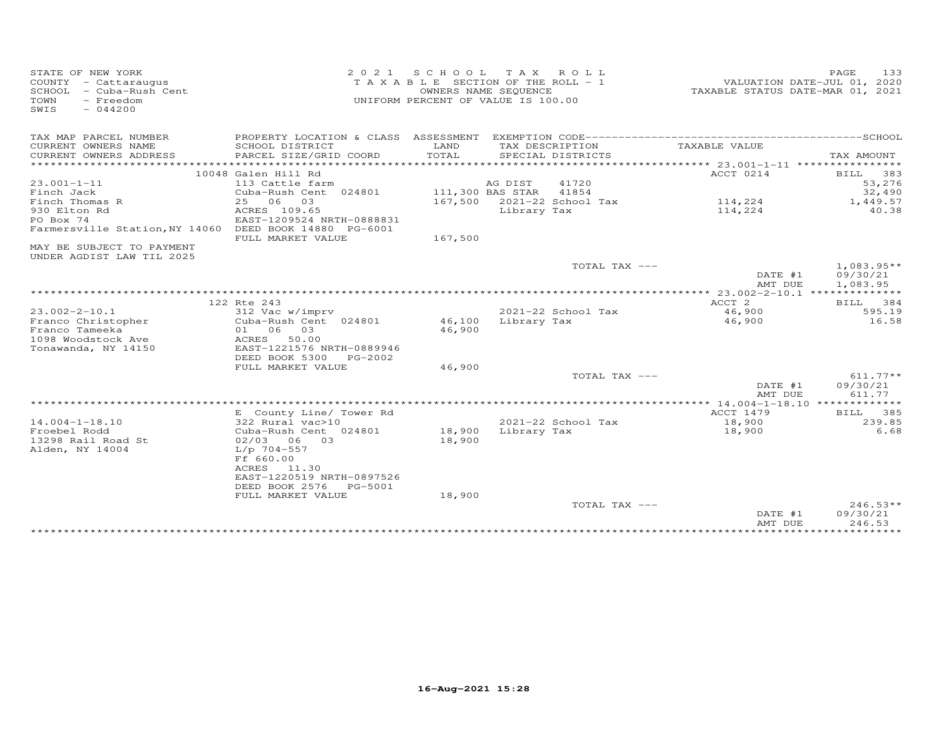| STATE OF NEW YORK              | 2 0 2 1                              | S C H O O L                           | T A X            | ROLL               |                                  | 133<br>PAGE                 |
|--------------------------------|--------------------------------------|---------------------------------------|------------------|--------------------|----------------------------------|-----------------------------|
| COUNTY - Cattaraugus           |                                      | T A X A B L E SECTION OF THE ROLL - 1 |                  |                    |                                  | VALUATION DATE-JUL 01, 2020 |
| - Cuba-Rush Cent<br>SCHOOL     |                                      | OWNERS NAME SEQUENCE                  |                  |                    | TAXABLE STATUS DATE-MAR 01, 2021 |                             |
| $-$ Freedom<br>TOWN            |                                      | UNIFORM PERCENT OF VALUE IS 100.00    |                  |                    |                                  |                             |
| SWIS<br>$-044200$              |                                      |                                       |                  |                    |                                  |                             |
|                                |                                      |                                       |                  |                    |                                  |                             |
|                                |                                      |                                       |                  |                    |                                  |                             |
| TAX MAP PARCEL NUMBER          | PROPERTY LOCATION & CLASS ASSESSMENT |                                       |                  |                    |                                  |                             |
| CURRENT OWNERS NAME            | SCHOOL DISTRICT                      | LAND                                  |                  | TAX DESCRIPTION    | TAXABLE VALUE                    |                             |
| CURRENT OWNERS ADDRESS         | PARCEL SIZE/GRID COORD               | TOTAL                                 |                  | SPECIAL DISTRICTS  |                                  | TAX AMOUNT                  |
| ***********************        | ***************************          |                                       |                  |                    |                                  | *****                       |
|                                | 10048 Galen Hill Rd                  |                                       |                  |                    | ACCT 0214                        | 383<br>BILL                 |
| $23.001 - 1 - 11$              | 113 Cattle farm                      |                                       | AG DIST          | 41720              |                                  | 53,276                      |
| Finch Jack                     | Cuba-Rush Cent 024801                |                                       | 111,300 BAS STAR | 41854              |                                  | 32,490                      |
| Finch Thomas R                 | 25 06<br>03                          | 167,500                               |                  | 2021-22 School Tax | 114,224                          | 1,449.57                    |
| 930 Elton Rd                   | ACRES 109.65                         |                                       | Library Tax      |                    | 114,224                          | 40.38                       |
| PO Box 74                      | EAST-1209524 NRTH-0888831            |                                       |                  |                    |                                  |                             |
| Farmersville Station, NY 14060 | DEED BOOK 14880 PG-6001              |                                       |                  |                    |                                  |                             |
|                                | FULL MARKET VALUE                    | 167,500                               |                  |                    |                                  |                             |
| MAY BE SUBJECT TO PAYMENT      |                                      |                                       |                  |                    |                                  |                             |
| UNDER AGDIST LAW TIL 2025      |                                      |                                       |                  |                    |                                  |                             |
|                                |                                      |                                       |                  | TOTAL TAX ---      |                                  | $1,083.95**$                |
|                                |                                      |                                       |                  |                    |                                  |                             |
|                                |                                      |                                       |                  |                    | DATE #1                          | 09/30/21                    |
|                                |                                      |                                       |                  |                    | AMT DUE                          | 1,083.95                    |
|                                |                                      |                                       |                  |                    |                                  |                             |
|                                | 122 Rte 243                          |                                       |                  |                    | ACCT <sub>2</sub>                | BILL<br>384                 |
| $23.002 - 2 - 10.1$            | 312 Vac w/imprv                      |                                       |                  | 2021-22 School Tax | 46,900                           | 595.19                      |
| Franco Christopher             | Cuba-Rush Cent 024801                | 46,100                                | Library Tax      |                    | 46,900                           | 16.58                       |
| Franco Tameeka                 | 01 06<br>03                          | 46,900                                |                  |                    |                                  |                             |
| 1098 Woodstock Ave             | ACRES<br>50.00                       |                                       |                  |                    |                                  |                             |
| Tonawanda, NY 14150            | EAST-1221576 NRTH-0889946            |                                       |                  |                    |                                  |                             |
|                                | DEED BOOK 5300<br>PG-2002            |                                       |                  |                    |                                  |                             |
|                                | FULL MARKET VALUE                    | 46,900                                |                  |                    |                                  |                             |
|                                |                                      |                                       |                  | TOTAL TAX ---      |                                  | $611.77**$                  |
|                                |                                      |                                       |                  |                    | DATE #1                          | 09/30/21                    |
|                                |                                      |                                       |                  |                    | AMT DUE                          | 611.77                      |
|                                |                                      |                                       |                  |                    |                                  |                             |
|                                | E County Line/ Tower Rd              |                                       |                  |                    | ACCT 1479                        | 385<br>BILL                 |
| $14.004 - 1 - 18.10$           | 322 Rural vac>10                     |                                       |                  | 2021-22 School Tax | 18,900                           | 239.85                      |
| Froebel Rodd                   | Cuba-Rush Cent 024801                | 18,900                                | Library Tax      |                    | 18,900                           | 6.68                        |
| 13298 Rail Road St             | 02/03 06 03                          | 18,900                                |                  |                    |                                  |                             |
| Alden, NY 14004                | $L/p$ 704-557                        |                                       |                  |                    |                                  |                             |
|                                | Ff 660.00                            |                                       |                  |                    |                                  |                             |
|                                | ACRES<br>11.30                       |                                       |                  |                    |                                  |                             |
|                                | EAST-1220519 NRTH-0897526            |                                       |                  |                    |                                  |                             |
|                                |                                      |                                       |                  |                    |                                  |                             |
|                                | DEED BOOK 2576<br>PG-5001            |                                       |                  |                    |                                  |                             |
|                                | FULL MARKET VALUE                    | 18,900                                |                  |                    |                                  |                             |
|                                |                                      |                                       |                  | TOTAL TAX ---      |                                  | $246.53**$                  |
|                                |                                      |                                       |                  |                    | DATE #1                          | 09/30/21                    |
|                                |                                      |                                       |                  |                    | AMT DUE                          | 246.53                      |
|                                |                                      |                                       |                  |                    | * * * * * * * * * * *            |                             |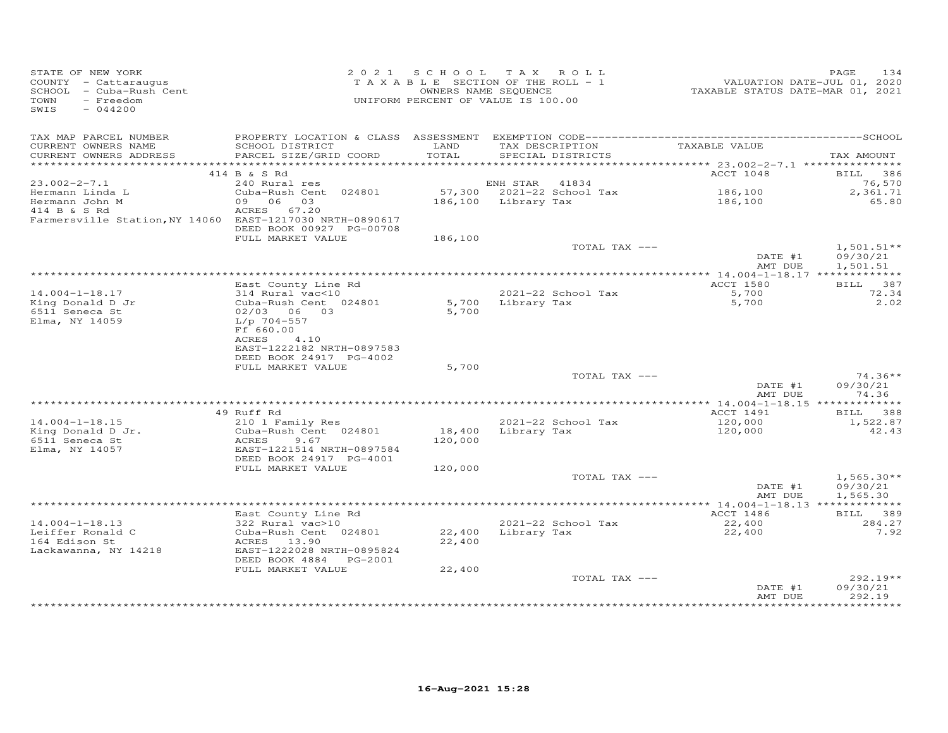| STATE OF NEW YORK<br>COUNTY - Cattaraugus<br>SCHOOL - Cuba-Rush Cent<br>TOWN<br>- Freedom<br>SWIS<br>$-044200$ |                                                |               | 2021 SCHOOL TAX ROLL<br>T A X A B L E SECTION OF THE ROLL - 1<br>OWNERS NAME SEQUENCE<br>UNIFORM PERCENT OF VALUE IS 100.00 | 1<br>2020 VALUATION DATE-JUL 01, 2020<br>2021 TAXABLE STATUS DATE-MART | PAGE<br>134              |
|----------------------------------------------------------------------------------------------------------------|------------------------------------------------|---------------|-----------------------------------------------------------------------------------------------------------------------------|------------------------------------------------------------------------|--------------------------|
| TAX MAP PARCEL NUMBER                                                                                          |                                                |               |                                                                                                                             |                                                                        |                          |
| CURRENT OWNERS NAME<br>CURRENT OWNERS ADDRESS                                                                  | SCHOOL DISTRICT<br>PARCEL SIZE/GRID COORD      | LAND<br>TOTAL | TAX DESCRIPTION<br>SPECIAL DISTRICTS                                                                                        | TAXABLE VALUE                                                          | TAX AMOUNT               |
|                                                                                                                |                                                |               |                                                                                                                             |                                                                        |                          |
|                                                                                                                | 414 B & S Rd                                   |               |                                                                                                                             | ACCT 1048                                                              | BILL 386                 |
| $23.002 - 2 - 7.1$                                                                                             | 240 Rural res                                  |               | ENH STAR 41834<br>57,300 2021-22 School Tax                                                                                 |                                                                        | 76,570                   |
| Hermann Linda L                                                                                                | Cuba-Rush Cent 024801<br>09 06 03              |               | 186,100 Library Tax                                                                                                         | 186,100<br>186,100                                                     | 2,361.71<br>65.80        |
| Hermann John M<br>414 B & S Rd                                                                                 | ACRES 67.20                                    |               |                                                                                                                             |                                                                        |                          |
| Farmersville Station, NY 14060 EAST-1217030 NRTH-0890617                                                       | DEED BOOK 00927 PG-00708                       |               |                                                                                                                             |                                                                        |                          |
|                                                                                                                | FULL MARKET VALUE                              | 186,100       |                                                                                                                             |                                                                        |                          |
|                                                                                                                |                                                |               | TOTAL TAX ---                                                                                                               | DATE #1                                                                | $1,501.51**$<br>09/30/21 |
|                                                                                                                |                                                |               |                                                                                                                             | AMT DUE                                                                | 1,501.51                 |
|                                                                                                                |                                                |               |                                                                                                                             | <b>ACCT 1580</b>                                                       | BILL 387                 |
| $14.004 - 1 - 18.17$                                                                                           | East County Line Rd<br>314 Rural vac<10        |               | 2021-22 School Tax                                                                                                          |                                                                        | 72.34                    |
| King Donald D Jr                                                                                               | Cuba-Rush Cent 024801                          |               | 5,700 Library Tax                                                                                                           | 5,700<br>5,700                                                         | 2.02                     |
| 6511 Seneca St                                                                                                 | 02/03 06 03                                    | 5,700         |                                                                                                                             |                                                                        |                          |
| Elma, NY 14059                                                                                                 | L/p 704-557                                    |               |                                                                                                                             |                                                                        |                          |
|                                                                                                                | Ff 660.00                                      |               |                                                                                                                             |                                                                        |                          |
|                                                                                                                | ACRES 4.10                                     |               |                                                                                                                             |                                                                        |                          |
|                                                                                                                | EAST-1222182 NRTH-0897583                      |               |                                                                                                                             |                                                                        |                          |
|                                                                                                                | DEED BOOK 24917 PG-4002                        |               |                                                                                                                             |                                                                        |                          |
|                                                                                                                | FULL MARKET VALUE                              | 5,700         | TOTAL TAX ---                                                                                                               |                                                                        | $74.36**$                |
|                                                                                                                |                                                |               |                                                                                                                             | DATE #1                                                                | 09/30/21                 |
|                                                                                                                |                                                |               |                                                                                                                             | AMT DUE                                                                | 74.36                    |
|                                                                                                                |                                                |               |                                                                                                                             |                                                                        |                          |
|                                                                                                                | 49 Ruff Rd                                     |               |                                                                                                                             | ACCT 1491                                                              | BILL 388                 |
| $14.004 - 1 - 18.15$                                                                                           | 210 1 Family Res                               |               | 2021-22 School Tax                                                                                                          | 120,000                                                                | 1,522.87                 |
| King Donald D Jr.                                                                                              | Cuba-Rush Cent 024801                          |               | 18,400 Library Tax                                                                                                          | 120,000                                                                | 42.43                    |
| 6511 Seneca St                                                                                                 | ACRES<br>9.67                                  | 120,000       |                                                                                                                             |                                                                        |                          |
| Elma, NY 14057                                                                                                 | EAST-1221514 NRTH-0897584                      |               |                                                                                                                             |                                                                        |                          |
|                                                                                                                | DEED BOOK 24917 PG-4001                        |               |                                                                                                                             |                                                                        |                          |
|                                                                                                                | FULL MARKET VALUE                              | 120,000       | TOTAL TAX ---                                                                                                               |                                                                        | $1,565.30**$             |
|                                                                                                                |                                                |               |                                                                                                                             | DATE #1                                                                | 09/30/21                 |
|                                                                                                                |                                                |               |                                                                                                                             | AMT DUE                                                                | 1,565.30                 |
|                                                                                                                |                                                |               |                                                                                                                             |                                                                        |                          |
|                                                                                                                | East County Line Rd                            |               |                                                                                                                             | ACCT 1486                                                              | BILL 389                 |
| $14.004 - 1 - 18.13$                                                                                           | 322 Rural vac>10                               |               | 2021-22 School Tax                                                                                                          | 22,400<br>22,400                                                       | 284.27                   |
| Leiffer Ronald C                                                                                               | Cuba-Rush Cent 024801                          |               | 22,400 Library Tax                                                                                                          |                                                                        | 7.92                     |
| 164 Edison St                                                                                                  | ACRES 13.90                                    | 22,400        |                                                                                                                             |                                                                        |                          |
| Lackawanna, NY 14218                                                                                           | EAST-1222028 NRTH-0895824                      |               |                                                                                                                             |                                                                        |                          |
|                                                                                                                | DEED BOOK 4884    PG-2001<br>FULL MARKET VALUE |               |                                                                                                                             |                                                                        |                          |
|                                                                                                                |                                                | 22,400        | TOTAL TAX ---                                                                                                               |                                                                        | $292.19**$               |
|                                                                                                                |                                                |               |                                                                                                                             | DATE #1                                                                | 09/30/21                 |
|                                                                                                                |                                                |               |                                                                                                                             | AMT DUE                                                                | 292.19                   |
|                                                                                                                |                                                |               |                                                                                                                             |                                                                        | **********               |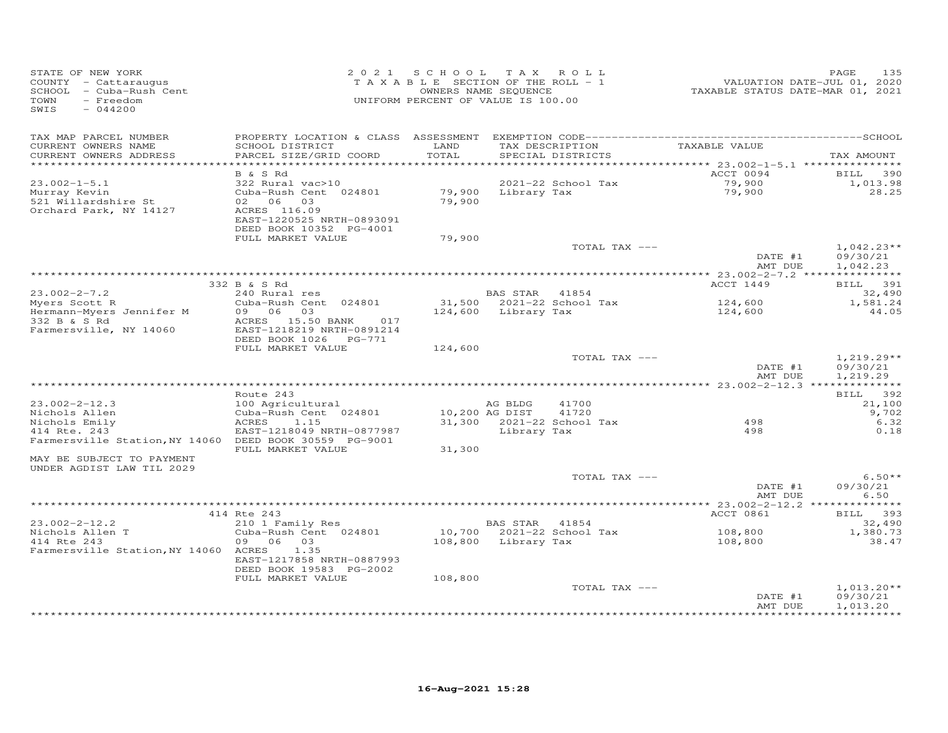| STATE OF NEW YORK<br>COUNTY - Cattaraugus<br>SCHOOL - Cuba-Rush Cent<br>- Freedom<br>TOWN<br>SWIS<br>$-044200$ | 2 0 2 1                                                                                                                                   | SCHOOL TAX ROLL<br>TAXABLE SECTION OF THE ROLL - 1<br>OWNERS NAME SEQUENCE<br>UNIFORM PERCENT OF VALUE IS 100.00 |                           |                                      | TAXABLE STATUS DATE-MAR 01, 2021 | 135<br>PAGE<br>VALUATION DATE-JUL 01, 2020 |
|----------------------------------------------------------------------------------------------------------------|-------------------------------------------------------------------------------------------------------------------------------------------|------------------------------------------------------------------------------------------------------------------|---------------------------|--------------------------------------|----------------------------------|--------------------------------------------|
| TAX MAP PARCEL NUMBER<br>CURRENT OWNERS NAME<br>CURRENT OWNERS ADDRESS                                         | PROPERTY LOCATION & CLASS ASSESSMENT<br>SCHOOL DISTRICT<br>PARCEL SIZE/GRID COORD                                                         | LAND<br>TOTAL                                                                                                    |                           | TAX DESCRIPTION<br>SPECIAL DISTRICTS | TAXABLE VALUE                    | TAX AMOUNT                                 |
| *************************                                                                                      |                                                                                                                                           |                                                                                                                  |                           |                                      |                                  |                                            |
| $23.002 - 1 - 5.1$<br>Murray Kevin<br>521 Willardshire St<br>Orchard Park, NY 14127                            | B & S Rd<br>322 Rural vac>10<br>Cuba-Rush Cent 024801<br>02 06 03<br>ACRES 116.09<br>EAST-1220525 NRTH-0893091<br>DEED BOOK 10352 PG-4001 | 79,900<br>79,900                                                                                                 | Library Tax               | 2021-22 School Tax                   | ACCT 0094<br>79,900<br>79,900    | BILL 390<br>1,013.98<br>28.25              |
|                                                                                                                | FULL MARKET VALUE                                                                                                                         | 79,900                                                                                                           |                           |                                      |                                  |                                            |
|                                                                                                                |                                                                                                                                           |                                                                                                                  |                           | TOTAL TAX ---                        | DATE #1<br>AMT DUE               | $1,042.23**$<br>09/30/21<br>1,042.23       |
|                                                                                                                | 332 B & S Rd                                                                                                                              |                                                                                                                  |                           |                                      | ACCT 1449                        | BILL 391                                   |
| $23.002 - 2 - 7.2$                                                                                             | 240 Rural res                                                                                                                             |                                                                                                                  | BAS STAR 41854            |                                      |                                  | 32,490                                     |
| Myers Scott R                                                                                                  | Cuba-Rush Cent 024801<br>0.9 0.6 0.3                                                                                                      |                                                                                                                  | 124,600 Library Tax       | 31,500 2021-22 School Tax            | 124,600<br>124,600               | 1,581.24<br>44.05                          |
| Hermann-Myers Jennifer M<br>332 B & S Rd<br>Farmersville, NY 14060                                             | ACRES 15.50 BANK<br>017<br>EAST-1218219 NRTH-0891214<br>DEED BOOK 1026<br>PG-771                                                          |                                                                                                                  |                           |                                      |                                  |                                            |
|                                                                                                                | FULL MARKET VALUE                                                                                                                         | 124,600                                                                                                          |                           | TOTAL TAX ---                        |                                  | $1,219.29**$                               |
|                                                                                                                |                                                                                                                                           |                                                                                                                  |                           |                                      | DATE #1<br>AMT DUE               | 09/30/21<br>1,219.29                       |
|                                                                                                                |                                                                                                                                           |                                                                                                                  |                           |                                      |                                  |                                            |
| $23.002 - 2 - 12.3$                                                                                            | Route 243                                                                                                                                 |                                                                                                                  |                           | 41700                                |                                  | 392<br><b>BILL</b>                         |
| Nichols Allen                                                                                                  | 100 Agricultural<br>Cuba-Rush Cent 024801                                                                                                 |                                                                                                                  | AG BLDG<br>10,200 AG DIST | 41720                                |                                  | 21,100<br>9,702                            |
| Nichols Emily                                                                                                  | ACRES<br>1.15                                                                                                                             |                                                                                                                  |                           | 31,300 2021-22 School Tax            | 498                              | 6.32                                       |
| 414 Rte. 243<br>Farmersville Station, NY 14060 DEED BOOK 30559 PG-9001                                         | EAST-1218049 NRTH-0877987                                                                                                                 |                                                                                                                  | Library Tax               |                                      | 498                              | 0.18                                       |
| MAY BE SUBJECT TO PAYMENT                                                                                      | FULL MARKET VALUE                                                                                                                         | 31,300                                                                                                           |                           |                                      |                                  |                                            |
| UNDER AGDIST LAW TIL 2029                                                                                      |                                                                                                                                           |                                                                                                                  |                           |                                      |                                  |                                            |
|                                                                                                                |                                                                                                                                           |                                                                                                                  |                           | TOTAL TAX ---                        |                                  | $6.50**$                                   |
|                                                                                                                |                                                                                                                                           |                                                                                                                  |                           |                                      | DATE #1<br>AMT DUE               | 09/30/21<br>6.50                           |
|                                                                                                                |                                                                                                                                           |                                                                                                                  |                           |                                      |                                  |                                            |
|                                                                                                                | 414 Rte 243                                                                                                                               |                                                                                                                  |                           |                                      | ACCT 0861                        | 393<br>BILL                                |
| $23.002 - 2 - 12.2$<br>Nichols Allen T                                                                         | 210 1 Family Res<br>Cuba-Rush Cent 024801                                                                                                 | 10,700                                                                                                           | BAS STAR                  | 41854<br>2021-22 School Tax          | 108,800                          | 32,490<br>1,380.73                         |
| 414 Rte 243                                                                                                    | 09<br>06 03                                                                                                                               | 108,800                                                                                                          | Library Tax               |                                      | 108,800                          | 38.47                                      |
| Farmersville Station, NY 14060 ACRES                                                                           | 1.35<br>EAST-1217858 NRTH-0887993<br>DEED BOOK 19583 PG-2002                                                                              |                                                                                                                  |                           |                                      |                                  |                                            |
|                                                                                                                | FULL MARKET VALUE                                                                                                                         | 108,800                                                                                                          |                           |                                      |                                  |                                            |
|                                                                                                                |                                                                                                                                           |                                                                                                                  |                           | TOTAL TAX ---                        | DATE #1<br>AMT DUE               | $1,013.20**$<br>09/30/21<br>1,013.20       |
|                                                                                                                |                                                                                                                                           |                                                                                                                  |                           |                                      |                                  |                                            |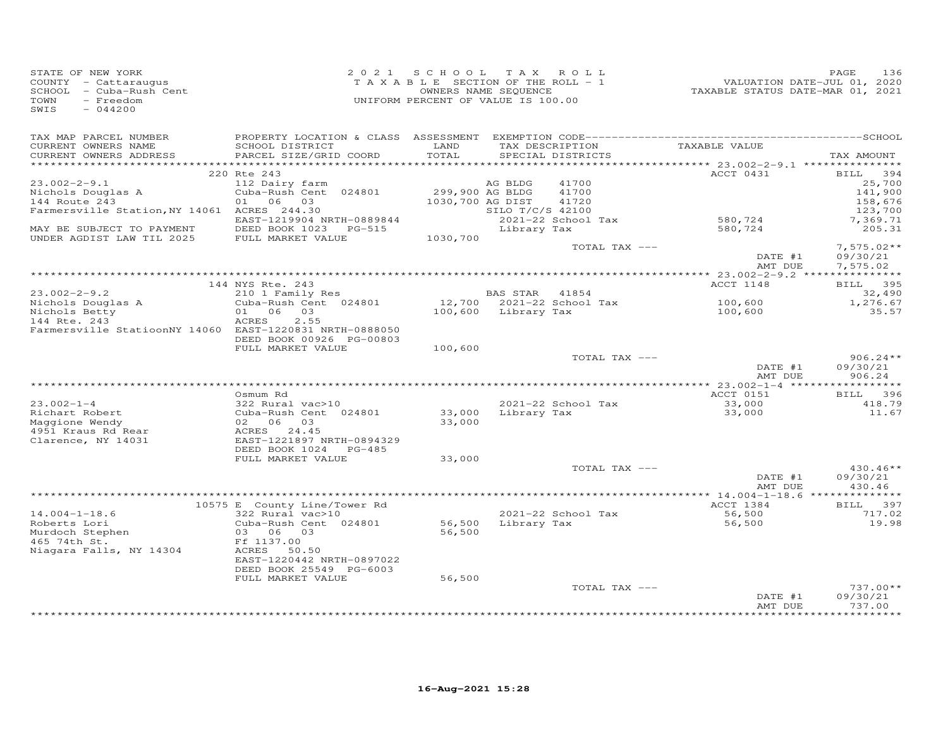| STATE OF NEW YORK       | 2021 SCHOOL TAX ROLL               | 136<br>PAGE                      |
|-------------------------|------------------------------------|----------------------------------|
| COUNTY - Cattaraugus    | TAXABLE SECTION OF THE ROLL - 1    | VALUATION DATE-JUL 01, 2020      |
| SCHOOL - Cuba-Rush Cent | OWNERS NAME SEQUENCE               | TAXABLE STATUS DATE-MAR 01, 2021 |
| TOWN<br>- Freedom       | UNIFORM PERCENT OF VALUE IS 100.00 |                                  |
| SWIS<br>$-044200$       |                                    |                                  |

| TAX MAP PARCEL NUMBER                                   |                               |                  |                     |                           |               |              |
|---------------------------------------------------------|-------------------------------|------------------|---------------------|---------------------------|---------------|--------------|
| CURRENT OWNERS NAME                                     | SCHOOL DISTRICT               | LAND             |                     | TAX DESCRIPTION           | TAXABLE VALUE |              |
| CURRENT OWNERS ADDRESS                                  | PARCEL SIZE/GRID COORD        | TOTAL            |                     | SPECIAL DISTRICTS         |               | TAX AMOUNT   |
|                                                         |                               |                  |                     |                           | ACCT 0431     | BILL 394     |
| $23.002 - 2 - 9.1$                                      | 220 Rte 243<br>112 Dairy farm |                  | AG BLDG             | 41700                     |               | 25,700       |
| Nichols Douglas A                                       | Cuba-Rush Cent 024801         | 299,900 AG BLDG  |                     | 41700                     |               | 141,900      |
| 144 Route 243                                           | 01 06 03                      | 1030,700 AG DIST |                     | 41720                     |               | 158,676      |
| Farmersville Station, NY 14061 ACRES 244.30             |                               |                  | SILO T/C/S 42100    |                           |               | 123,700      |
|                                                         | EAST-1219904 NRTH-0889844     |                  |                     | 2021-22 School Tax        | 580,724       | 7,369.71     |
| MAY BE SUBJECT TO PAYMENT                               | DEED BOOK 1023 PG-515         |                  | Library Tax         |                           | 580,724       | 205.31       |
| UNDER AGDIST LAW TIL 2025                               | FULL MARKET VALUE             | 1030,700         |                     |                           |               |              |
|                                                         |                               |                  |                     | TOTAL TAX ---             |               | $7,575.02**$ |
|                                                         |                               |                  |                     |                           | DATE #1       | 09/30/21     |
|                                                         |                               |                  |                     |                           | AMT DUE       | 7,575.02     |
|                                                         |                               |                  |                     |                           |               |              |
|                                                         | 144 NYS Rte. 243              |                  |                     |                           | ACCT 1148     | BILL 395     |
| $23.002 - 2 - 9.2$                                      | 210 1 Family Res              |                  | BAS STAR 41854      |                           |               | 32,490       |
| Nichols Douglas A                                       | Cuba-Rush Cent 024801         |                  |                     | 12,700 2021-22 School Tax | 100,600       | 1,276.67     |
| Nichols Betty                                           | 01 06 03                      |                  | 100,600 Library Tax |                           | 100,600       | 35.57        |
| 144 Rte. 243                                            | ACRES<br>2.55                 |                  |                     |                           |               |              |
| Farmersville StatioonNY 14060 EAST-1220831 NRTH-0888050 |                               |                  |                     |                           |               |              |
|                                                         | DEED BOOK 00926 PG-00803      |                  |                     |                           |               |              |
|                                                         | FULL MARKET VALUE             | 100,600          |                     | TOTAL TAX ---             |               | $906.24**$   |
|                                                         |                               |                  |                     |                           | DATE #1       | 09/30/21     |
|                                                         |                               |                  |                     |                           | AMT DUE       | 906.24       |
|                                                         |                               |                  |                     |                           |               |              |
|                                                         | Osmum Rd                      |                  |                     |                           | ACCT 0151     | BILL 396     |
| $23.002 - 1 - 4$                                        | 322 Rural vac>10              |                  |                     | 2021-22 School Tax        | 33,000        | 418.79       |
| Richart Robert                                          | Cuba-Rush Cent 024801         |                  | 33,000 Library Tax  |                           | 33,000        | 11.67        |
| Maggione Wendy                                          | 02 06 03                      | 33,000           |                     |                           |               |              |
| 4951 Kraus Rd Rear                                      | ACRES 24.45                   |                  |                     |                           |               |              |
| Clarence, NY 14031                                      | EAST-1221897 NRTH-0894329     |                  |                     |                           |               |              |
|                                                         | DEED BOOK 1024 PG-485         |                  |                     |                           |               |              |
|                                                         | FULL MARKET VALUE             | 33,000           |                     |                           |               |              |
|                                                         |                               |                  |                     | TOTAL TAX ---             |               | $430.46**$   |
|                                                         |                               |                  |                     |                           | DATE #1       | 09/30/21     |
|                                                         |                               |                  |                     |                           | AMT DUE       | 430.46       |
|                                                         |                               |                  |                     |                           |               |              |
|                                                         | 10575 E County Line/Tower Rd  |                  |                     |                           | ACCT 1384     | BILL 397     |
| $14.004 - 1 - 18.6$                                     | 322 Rural vac>10              |                  |                     | 2021-22 School Tax        | 56,500        | 717.02       |
| Roberts Lori                                            | Cuba-Rush Cent 024801         | 56,500<br>56,500 |                     | Library Tax               | 56,500        | 19.98        |
| Murdoch Stephen<br>465 74th St.                         | 03 06 03<br>Ff 1137.00        |                  |                     |                           |               |              |
| Niagara Falls, NY 14304                                 | ACRES 50.50                   |                  |                     |                           |               |              |
|                                                         | EAST-1220442 NRTH-0897022     |                  |                     |                           |               |              |
|                                                         | DEED BOOK 25549 PG-6003       |                  |                     |                           |               |              |
|                                                         | FULL MARKET VALUE             | 56,500           |                     |                           |               |              |
|                                                         |                               |                  |                     | TOTAL TAX ---             |               | $737.00**$   |
|                                                         |                               |                  |                     |                           | DATE #1       | 09/30/21     |
|                                                         |                               |                  |                     |                           | AMT DUE       | 737.00       |
|                                                         |                               |                  |                     |                           |               |              |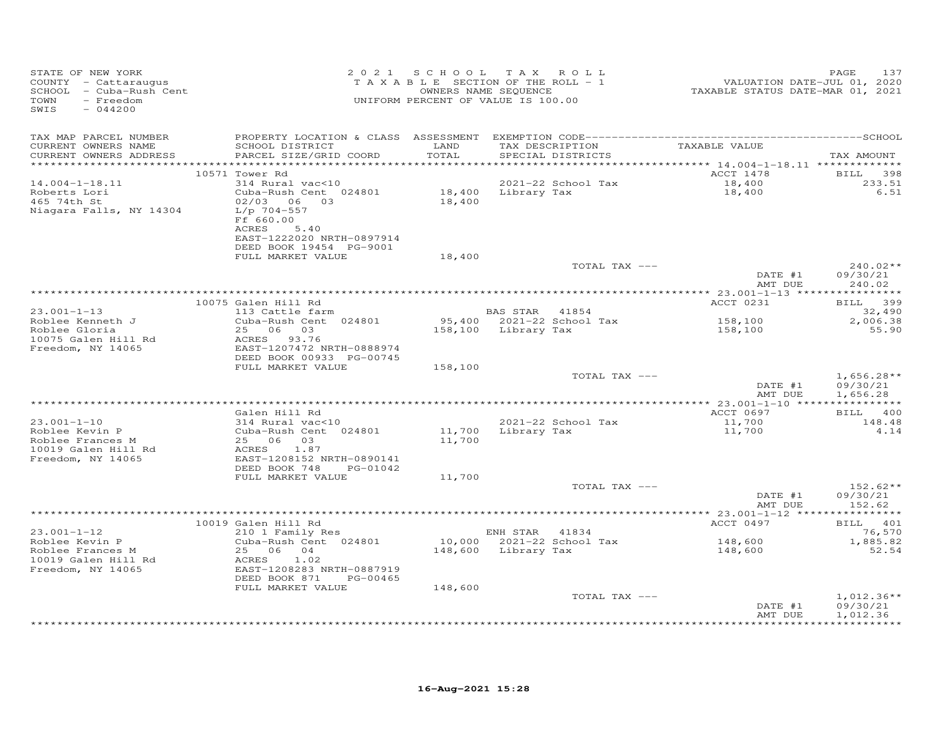| STATE OF NEW YORK<br>COUNTY - Cattaraugus<br>SCHOOL - Cuba-Rush Cent<br>SWIS<br>$-044200$           |                                                                                                                                                                                 | 2021 SCHOOL                   | TAX ROLL<br>T A X A B L E SECTION OF THE ROLL - 1<br>OWNERS NAME SEQUENCE<br>UNIFORM PERCENT OF VALUE IS 100.00 | ratuation date-JUL 01, 2020<br>TAXABLE STATUS DATE-MAR 01, 2021 | 137<br>PAGE                                        |
|-----------------------------------------------------------------------------------------------------|---------------------------------------------------------------------------------------------------------------------------------------------------------------------------------|-------------------------------|-----------------------------------------------------------------------------------------------------------------|-----------------------------------------------------------------|----------------------------------------------------|
| TAX MAP PARCEL NUMBER<br>CURRENT OWNERS NAME<br>CURRENT OWNERS ADDRESS<br>***********************   | SCHOOL DISTRICT<br>PARCEL SIZE/GRID COORD                                                                                                                                       | LAND<br>TOTAL<br>************ | TAX DESCRIPTION<br>SPECIAL DISTRICTS                                                                            | TAXABLE VALUE                                                   | TAX AMOUNT                                         |
| $14.004 - 1 - 18.11$<br>Roberts Lori<br>465 74th St<br>Niagara Falls, NY 14304                      | 10571 Tower Rd<br>314 Rural vac<10<br>Cuba-Rush Cent 024801<br>02/03 06 03<br>L/p 704-557<br>Ff 660.00<br>ACRES<br>5.40<br>EAST-1222020 NRTH-0897914<br>DEED BOOK 19454 PG-9001 |                               | 2021-22 School Tax<br>18,400 Library Tax<br>18,400                                                              | ACCT 1478<br>18,400<br>18,400                                   | <b>BILL</b><br>398<br>233.51<br>6.51               |
|                                                                                                     | FULL MARKET VALUE                                                                                                                                                               | 18,400                        | TOTAL TAX ---                                                                                                   | DATE #1<br>AMT DUE                                              | $240.02**$<br>09/30/21<br>240.02                   |
|                                                                                                     |                                                                                                                                                                                 |                               |                                                                                                                 |                                                                 |                                                    |
| $23.001 - 1 - 13$                                                                                   | 10075 Galen Hill Rd<br>Galen Hill Rd<br>113 Cattle farm                                                                                                                         |                               | BAS STAR 41854                                                                                                  | ACCT 0231                                                       | BILL 399<br>32,490                                 |
| Roblee Kenneth J<br>Roblee Kenneth J<br>10075 Galen Hill Rd<br>Freedom, NY 14065                    | Cuba-Rush Cent 024801<br>25 06 03<br>22<br>ACRES 93.76<br>EAST-1207472 N<br>EAST-1207472 NRTH-0888974                                                                           |                               | 95,400 2021-22 School Tax<br>158,100 Library Tax                                                                | 158,100<br>158,100                                              | 2,006.38<br>55.90                                  |
|                                                                                                     | DEED BOOK 00933 PG-00745<br>FULL MARKET VALUE                                                                                                                                   | 158,100                       |                                                                                                                 |                                                                 |                                                    |
|                                                                                                     |                                                                                                                                                                                 |                               | TOTAL TAX ---                                                                                                   | DATE #1<br>AMT DUE                                              | $1,656.28**$<br>09/30/21<br>1,656.28               |
|                                                                                                     |                                                                                                                                                                                 |                               |                                                                                                                 |                                                                 |                                                    |
| $23.001 - 1 - 10$<br>Roblee Kevin P<br>Roblee Frances M<br>10019 Galen Hill Rd<br>Freedom, NY 14065 | Galen Hill Rd<br>$314$ Rural vac<10<br>Cuba-Rush Cent 024801<br>25 06 03<br>ACRES 1.87<br>EAST-1208152 NRTH-0890141                                                             | 11,700                        | 2021-22 School Tax<br>2021-22 School Tax<br>11,700   Library Tax                                                | ACCT 0697<br>11,700<br>11,700                                   | BILL 400<br>148.48<br>4.14                         |
|                                                                                                     | DEED BOOK 748<br>PG-01042<br>FULL MARKET VALUE                                                                                                                                  | 11,700                        | TOTAL TAX ---                                                                                                   |                                                                 | $152.62**$                                         |
|                                                                                                     |                                                                                                                                                                                 |                               |                                                                                                                 | DATE #1<br>AMT DUE                                              | 09/30/21<br>152.62                                 |
|                                                                                                     |                                                                                                                                                                                 |                               |                                                                                                                 |                                                                 |                                                    |
| $23.001 - 1 - 12$<br>Roblee Kevin P<br>Roblee Frances M<br>10019 Galen Hill Rd<br>Freedom, NY 14065 | 10019 Galen Hill Rd<br>210 1 Family Res<br>Cuba-Rush Cent 024801<br>25 06 04<br>ACRES 1.02<br>EAST-1208283 NRTH-0887919<br>DEED BOOK 871<br>PG-00465<br>FULL MARKET VALUE       | 148,600                       | ENH STAR 41834<br>$10,000$ $2021-22$ School Tax<br>148,600 Library Tax                                          | ACCT 0497<br>148,600<br>148,600                                 | BILL 401<br>76,570<br>1,885.82<br>52.54            |
|                                                                                                     |                                                                                                                                                                                 |                               | TOTAL TAX ---                                                                                                   | DATE #1<br>AMT DUE                                              | $1,012.36**$<br>09/30/21<br>1,012.36<br>********** |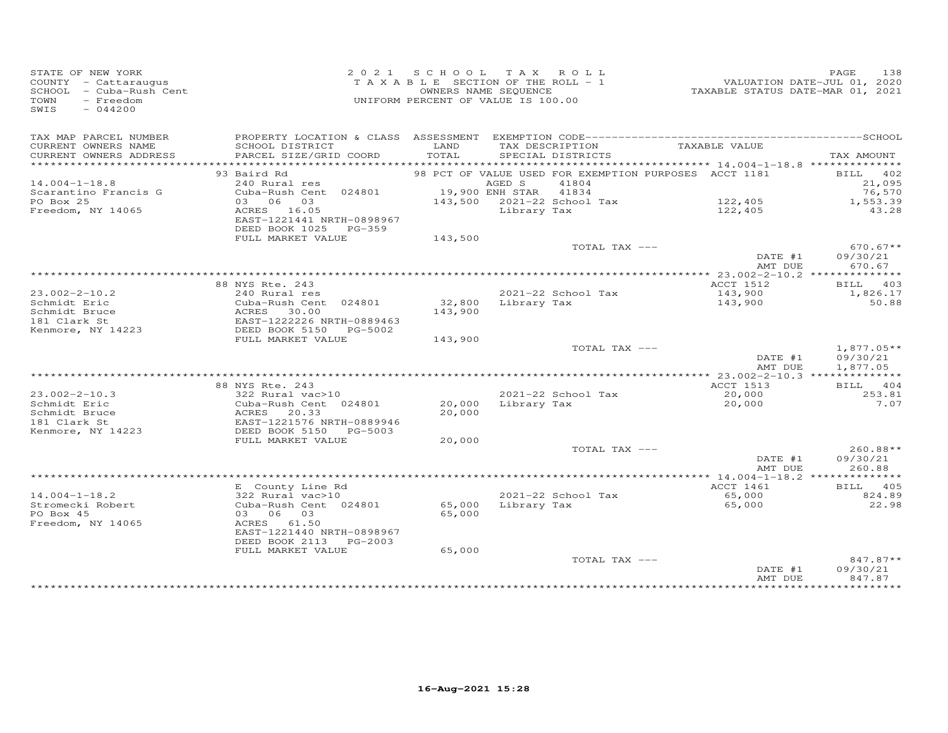| STATE OF NEW YORK<br>COUNTY - Cattaraugus<br>SCHOOL - Cuba-Rush Cent<br>TOWN<br>- Freedom<br>SWIS<br>$-044200$ |                                                                                             | 2021 SCHOOL<br>TAXABLE SECTION OF THE ROLL - 1<br>UNIFORM PERCENT OF VALUE IS 100.00 | OWNERS NAME SEQUENCE | TAX ROLL                          | VALUATION DATE-JUL 01, 2020<br>TAXABLE STATUS DATE-MAR 01, 2021 | PAGE<br>138            |
|----------------------------------------------------------------------------------------------------------------|---------------------------------------------------------------------------------------------|--------------------------------------------------------------------------------------|----------------------|-----------------------------------|-----------------------------------------------------------------|------------------------|
| TAX MAP PARCEL NUMBER<br>CURRENT OWNERS NAME                                                                   | SCHOOL DISTRICT                                                                             | LAND                                                                                 |                      | TAX DESCRIPTION                   | TAXABLE VALUE                                                   |                        |
| CURRENT OWNERS ADDRESS<br>*************************                                                            | PARCEL SIZE/GRID COORD                                                                      | TOTAL                                                                                |                      | SPECIAL DISTRICTS                 |                                                                 | TAX AMOUNT             |
|                                                                                                                | 93 Baird Rd                                                                                 |                                                                                      |                      |                                   | 98 PCT OF VALUE USED FOR EXEMPTION PURPOSES ACCT 1181           | BILL 402               |
| $14.004 - 1 - 18.8$                                                                                            | 240 Rural res                                                                               |                                                                                      | AGED S               | 41804                             |                                                                 | 21,095                 |
| Scarantino Francis G                                                                                           | Cuba-Rush Cent 024801                                                                       | 19,900 ENH STAR 41834                                                                |                      |                                   |                                                                 | 76,570                 |
| PO Box 25                                                                                                      | 03 06 03                                                                                    |                                                                                      |                      | 143,500 2021-22 School Tax        | 122,405                                                         | 1,553.39               |
| Freedom, NY 14065                                                                                              | ACRES 16.05<br>EAST-1221441 NRTH-0898967<br>DEED BOOK 1025 PG-359                           |                                                                                      | Library Tax          |                                   | 122,405                                                         | 43.28                  |
|                                                                                                                | FULL MARKET VALUE                                                                           | 143,500                                                                              |                      |                                   |                                                                 |                        |
|                                                                                                                |                                                                                             |                                                                                      |                      | TOTAL TAX ---                     | DATE #1                                                         | $670.67**$<br>09/30/21 |
|                                                                                                                |                                                                                             |                                                                                      |                      |                                   | AMT DUE                                                         | 670.67                 |
|                                                                                                                | 88 NYS Rte. 243                                                                             |                                                                                      |                      |                                   | ACCT 1512                                                       | BILL 403               |
| $23.002 - 2 - 10.2$                                                                                            | 240 Rural res                                                                               |                                                                                      |                      | 2021-22 School Tax                | 143,900                                                         | 1,826.17               |
| Schmidt Eric                                                                                                   | Cuba-Rush Cent 024801                                                                       | 32,800                                                                               |                      | Library Tax                       | 143,900                                                         | 50.88                  |
| Schmidt Bruce                                                                                                  | ACRES 30.00                                                                                 | 143,900                                                                              |                      |                                   |                                                                 |                        |
| 181 Clark St                                                                                                   | EAST-1222226 NRTH-0889463                                                                   |                                                                                      |                      |                                   |                                                                 |                        |
| Kenmore, NY 14223                                                                                              | DEED BOOK 5150<br>PG-5002<br>FULL MARKET VALUE                                              |                                                                                      |                      |                                   |                                                                 |                        |
|                                                                                                                |                                                                                             | 143,900                                                                              |                      | TOTAL TAX ---                     |                                                                 | $1,877.05**$           |
|                                                                                                                |                                                                                             |                                                                                      |                      |                                   | DATE #1<br>AMT DUE                                              | 09/30/21<br>1,877.05   |
|                                                                                                                |                                                                                             |                                                                                      |                      |                                   |                                                                 |                        |
|                                                                                                                | 88 NYS Rte. 243                                                                             |                                                                                      |                      |                                   | ACCT 1513                                                       | BILL 404               |
| $23.002 - 2 - 10.3$<br>Schmidt Eric                                                                            | 322 Rural vac>10<br>Cuba-Rush Cent 024801                                                   | 20,000                                                                               |                      | 2021-22 School Tax<br>Library Tax | 20,000<br>20,000                                                | 253.81<br>7.07         |
| Schmidt Bruce                                                                                                  | Cuba-Rush Cent 024801<br>ACRES 20.33<br>EAST-1221576 NRTH-0889946<br>DEED BOOK 5150 PG-5003 | 20,000                                                                               |                      |                                   |                                                                 |                        |
| 181 Clark St                                                                                                   |                                                                                             |                                                                                      |                      |                                   |                                                                 |                        |
| Kenmore, NY 14223                                                                                              | DEED BOOK 5150 PG-5003                                                                      |                                                                                      |                      |                                   |                                                                 |                        |
|                                                                                                                | FULL MARKET VALUE                                                                           | 20,000                                                                               |                      |                                   |                                                                 |                        |
|                                                                                                                |                                                                                             |                                                                                      |                      | TOTAL TAX ---                     |                                                                 | $260.88**$             |
|                                                                                                                |                                                                                             |                                                                                      |                      |                                   | DATE #1<br>AMT DUE                                              | 09/30/21<br>260.88     |
|                                                                                                                |                                                                                             |                                                                                      |                      |                                   |                                                                 |                        |
|                                                                                                                | E County Line Rd                                                                            |                                                                                      |                      |                                   | ACCT 1461                                                       | BILL 405               |
| $14.004 - 1 - 18.2$                                                                                            | 322 Rural vac>10                                                                            |                                                                                      |                      | 2021-22 School Tax                | 65,000                                                          | 824.89                 |
| Stromecki Robert                                                                                               | Cuba-Rush Cent 024801                                                                       | 65,000                                                                               | Library Tax          |                                   | 65,000                                                          | 22.98                  |
| PO Box 45                                                                                                      | 03 06 03                                                                                    | 65,000                                                                               |                      |                                   |                                                                 |                        |
| Freedom, NY 14065                                                                                              | ACRES 61.50                                                                                 |                                                                                      |                      |                                   |                                                                 |                        |
|                                                                                                                | EAST-1221440 NRTH-0898967<br>DEED BOOK 2113<br>$PG-2003$                                    |                                                                                      |                      |                                   |                                                                 |                        |
|                                                                                                                | FULL MARKET VALUE                                                                           | 65,000                                                                               |                      |                                   |                                                                 |                        |
|                                                                                                                |                                                                                             |                                                                                      |                      | TOTAL TAX ---                     |                                                                 | 847.87**               |
|                                                                                                                |                                                                                             |                                                                                      |                      |                                   | DATE #1                                                         | 09/30/21               |
|                                                                                                                |                                                                                             |                                                                                      |                      |                                   | AMT DUE                                                         | 847.87                 |
|                                                                                                                |                                                                                             |                                                                                      |                      |                                   |                                                                 |                        |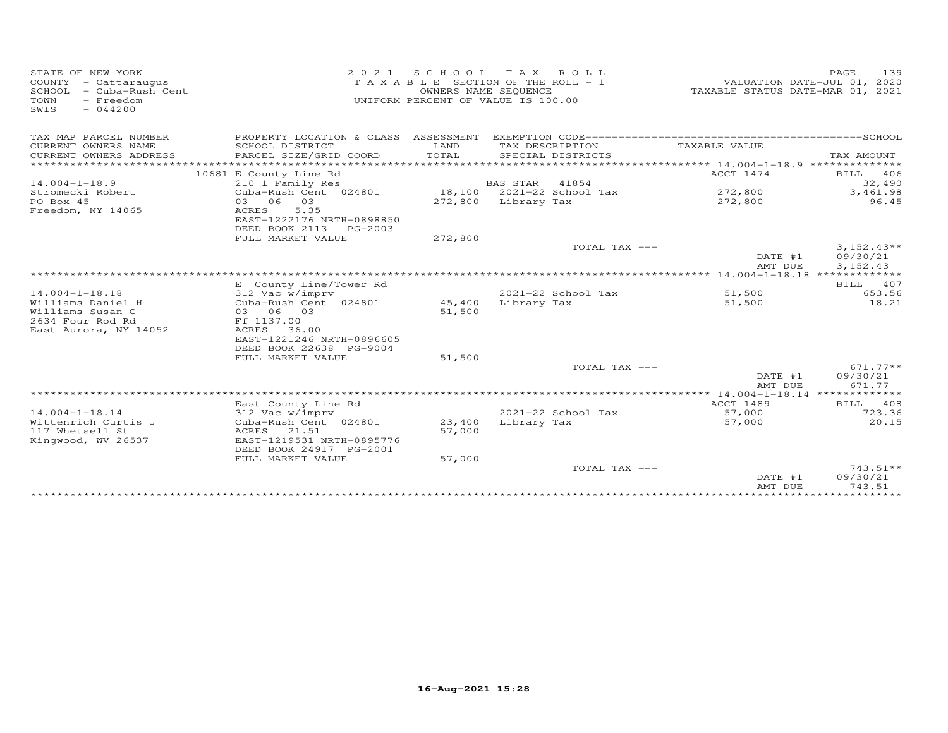| STATE OF NEW YORK<br>COUNTY - Cattaraugus<br>SCHOOL - Cuba-Rush Cent<br>TOWN<br>- Freedom<br>SWIS<br>$-044200$ | 2 0 2 1                                                                                | OWNERS NAME SEQUENCE | SCHOOL TAX ROLL<br>TAXABLE SECTION OF THE ROLL - 1<br>UNIFORM PERCENT OF VALUE IS 100.00 | TAXABLE STATUS DATE-MAR 01, 2021 | PAGE<br>139<br>VALUATION DATE-JUL 01, 2020 |
|----------------------------------------------------------------------------------------------------------------|----------------------------------------------------------------------------------------|----------------------|------------------------------------------------------------------------------------------|----------------------------------|--------------------------------------------|
| TAX MAP PARCEL NUMBER                                                                                          | PROPERTY LOCATION & CLASS ASSESSMENT                                                   |                      |                                                                                          |                                  |                                            |
| CURRENT OWNERS NAME<br>CURRENT OWNERS ADDRESS                                                                  | SCHOOL DISTRICT<br>PARCEL SIZE/GRID COORD<br>*****************                         | LAND<br>TOTAL        | TAX DESCRIPTION<br>SPECIAL DISTRICTS                                                     | TAXABLE VALUE                    | TAX AMOUNT                                 |
| *******************                                                                                            |                                                                                        |                      |                                                                                          |                                  |                                            |
|                                                                                                                | 10681 E County Line Rd                                                                 |                      |                                                                                          | ACCT 1474                        | BILL<br>406                                |
| $14.004 - 1 - 18.9$                                                                                            | 210 1 Family Res                                                                       |                      | <b>BAS STAR</b><br>41854                                                                 |                                  | 32,490                                     |
| Stromecki Robert                                                                                               | Cuba-Rush Cent 024801                                                                  |                      | 18,100 2021-22 School Tax                                                                | 272,800                          | 3,461.98                                   |
| PO Box 45<br>Freedom, NY 14065                                                                                 | 03 06<br>03<br>5.35<br>ACRES<br>EAST-1222176 NRTH-0898850<br>DEED BOOK 2113<br>PG-2003 |                      | 272,800 Library Tax                                                                      | 272,800                          | 96.45                                      |
|                                                                                                                | FULL MARKET VALUE                                                                      | 272,800              |                                                                                          |                                  |                                            |
|                                                                                                                |                                                                                        |                      | TOTAL TAX ---                                                                            |                                  | $3,152.43**$                               |
|                                                                                                                |                                                                                        |                      |                                                                                          | DATE #1<br>AMT DUE               | 09/30/21<br>3, 152.43                      |
|                                                                                                                |                                                                                        |                      |                                                                                          |                                  |                                            |
|                                                                                                                | E County Line/Tower Rd                                                                 |                      |                                                                                          |                                  | BILL 407                                   |
| $14.004 - 1 - 18.18$                                                                                           | 312 Vac w/imprv                                                                        |                      | $2021 - 22$ School Tax                                                                   | 51,500                           | 653.56                                     |
| Williams Daniel H                                                                                              | Cuba-Rush Cent 024801                                                                  | 45,400               | Library Tax                                                                              | 51,500                           | 18.21                                      |
| Williams Susan C                                                                                               | 03 06 03                                                                               | 51,500               |                                                                                          |                                  |                                            |
| 2634 Four Rod Rd                                                                                               | Ff 1137.00                                                                             |                      |                                                                                          |                                  |                                            |
| East Aurora, NY 14052                                                                                          | ACRES<br>36.00<br>EAST-1221246 NRTH-0896605<br>DEED BOOK 22638 PG-9004                 |                      |                                                                                          |                                  |                                            |
|                                                                                                                | FULL MARKET VALUE                                                                      | 51,500               |                                                                                          |                                  |                                            |
|                                                                                                                |                                                                                        |                      | TOTAL TAX ---                                                                            |                                  | $671.77**$                                 |
|                                                                                                                |                                                                                        |                      |                                                                                          | DATE #1<br>AMT DUE               | 09/30/21<br>671.77                         |
|                                                                                                                |                                                                                        |                      |                                                                                          |                                  |                                            |
|                                                                                                                | East County Line Rd                                                                    |                      |                                                                                          | <b>ACCT 1489</b>                 | <b>BILL</b><br>408                         |
| $14.004 - 1 - 18.14$                                                                                           | 312 Vac w/imprv                                                                        |                      | 2021-22 School Tax                                                                       | 57,000                           | 723.36                                     |
| Wittenrich Curtis J                                                                                            | Cuba-Rush Cent 024801                                                                  | 23,400               | Library Tax                                                                              | 57,000                           | 20.15                                      |
| 117 Whetsell St<br>Kingwood, WV 26537                                                                          | ACRES<br>21.51<br>EAST-1219531 NRTH-0895776<br>DEED BOOK 24917 PG-2001                 | 57,000               |                                                                                          |                                  |                                            |
|                                                                                                                | FULL MARKET VALUE                                                                      | 57,000               |                                                                                          |                                  |                                            |
|                                                                                                                |                                                                                        |                      | TOTAL TAX ---                                                                            | DATE #1                          | $743.51**$<br>09/30/21                     |
|                                                                                                                |                                                                                        |                      |                                                                                          | AMT DUE                          | 743.51                                     |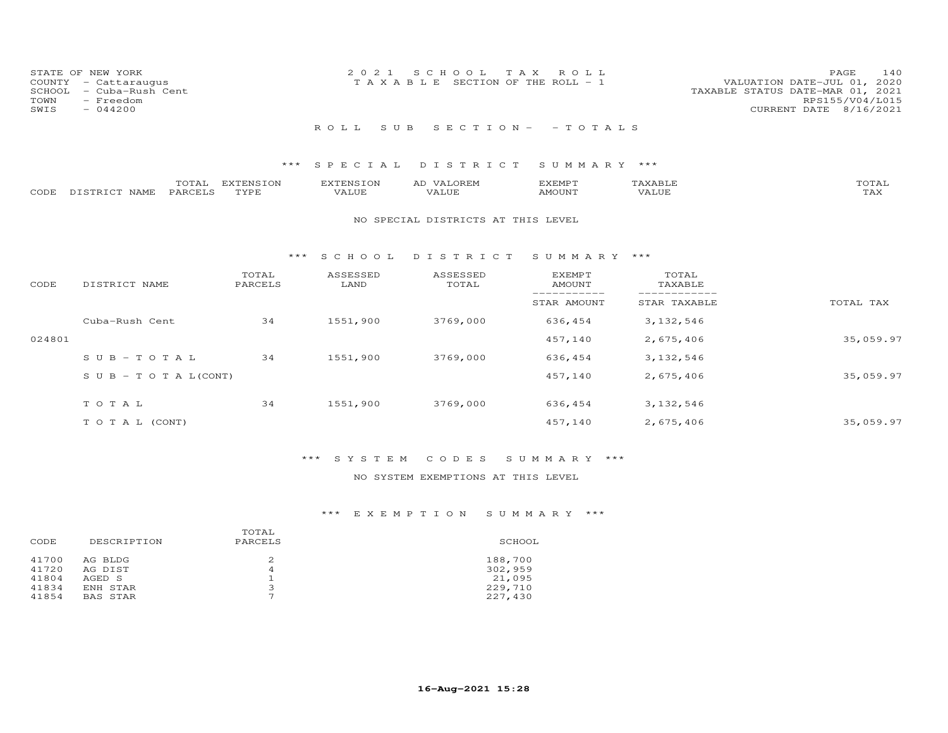| TOWN<br>SWIS | STATE OF NEW YORK<br>COUNTY - Cattaraugus<br>SCHOOL - Cuba-Rush Cent<br>- Freedom<br>$-044200$ | 2021 SCHOOL TAX ROLL<br>VALUATION DATE-JUL 01, 2020<br>T A X A B L E SECTION OF THE ROLL - 1<br>TAXABLE STATUS DATE-MAR 01, 2021 | <b>PAGE</b><br>RPS155/V04/L015<br>CURRENT DATE 8/16/2021 | 140 |
|--------------|------------------------------------------------------------------------------------------------|----------------------------------------------------------------------------------------------------------------------------------|----------------------------------------------------------|-----|
|              |                                                                                                | ROLL SUB SECTION - - TOTALS                                                                                                      |                                                          |     |

|                    | TOTAL   | EXTENSION   | <b>EXTENSION</b> | VALOREM<br>AD | EXEMPT | {XABI∂ | TOTAL       |
|--------------------|---------|-------------|------------------|---------------|--------|--------|-------------|
| CODE DISTRICT NAME | PARCELS | <b>TYPE</b> | VALUE            | VALUE         | AMOUNT | VALUE  | ጥአህ<br>∡AX. |

#### NO SPECIAL DISTRICTS AT THIS LEVEL

#### \*\*\* S C H O O L D I S T R I C T S U M M A R Y \*\*\*

| CODE   | DISTRICT NAME                    | TOTAL<br>PARCELS | ASSESSED<br>LAND | ASSESSED<br>TOTAL | EXEMPT<br>AMOUNT | TOTAL<br>TAXABLE |           |
|--------|----------------------------------|------------------|------------------|-------------------|------------------|------------------|-----------|
|        |                                  |                  |                  |                   | STAR AMOUNT      | STAR TAXABLE     | TOTAL TAX |
|        | Cuba-Rush Cent                   | 34               | 1551,900         | 3769,000          | 636,454          | 3, 132, 546      |           |
| 024801 |                                  |                  |                  |                   | 457,140          | 2,675,406        | 35,059.97 |
|        | $SUB - TO T AL$                  | 34               | 1551,900         | 3769,000          | 636,454          | 3,132,546        |           |
|        | $S \cup B - T \cup T A L (CONT)$ |                  |                  |                   | 457,140          | 2,675,406        | 35,059.97 |
|        | TOTAL                            | 34               | 1551,900         | 3769,000          | 636,454          | 3,132,546        |           |
|        | T O T A L (CONT)                 |                  |                  |                   | 457,140          | 2,675,406        | 35,059.97 |

## \*\*\* S Y S T E M C O D E S S U M M A R Y \*\*\*

### NO SYSTEM EXEMPTIONS AT THIS LEVEL

| DESCRIPTION        | PARCELS | SCHOOL             |
|--------------------|---------|--------------------|
| AG BLDG<br>AG DIST | 4       | 188,700<br>302,959 |
|                    |         | 21,095             |
| ENH STAR           |         | 229,710            |
| BAS STAR           |         | 227,430            |
|                    | AGED S  | TOTAL              |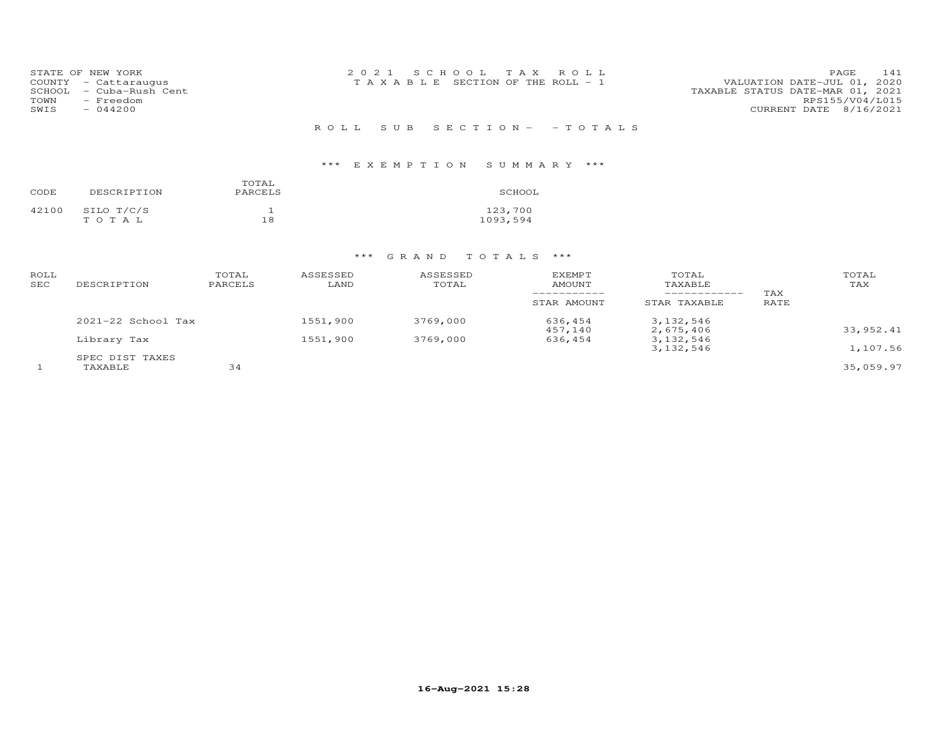| SCHOOL<br>TOWN<br>SWIS | STATE OF NEW YORK<br>COUNTY - Cattaraugus<br>- Cuba-Rush Cent<br>- Freedom<br>$-044200$ | 2021 SCHOOL TAX ROLL<br>VALUATION DATE-JUL 01, 2020<br>T A X A B L E SECTION OF THE ROLL - 1<br>TAXABLE STATUS DATE-MAR 01, 2021<br>CURRENT DATE 8/16/2021 | PAGE<br>RPS155/V04/L015 | 141 |
|------------------------|-----------------------------------------------------------------------------------------|------------------------------------------------------------------------------------------------------------------------------------------------------------|-------------------------|-----|
|                        |                                                                                         | ROLL SUB SECTION- - TOTALS                                                                                                                                 |                         |     |

| CODE  | DESCRIPTION         | TOTAL<br>PARCELS | SCHOOL              |
|-------|---------------------|------------------|---------------------|
| 42100 | SILO T/C/S<br>TOTAL | 18               | 123,700<br>1093,594 |

| ROLL<br>SEC | DESCRIPTION            | TOTAL<br>PARCELS | ASSESSED<br>LAND | ASSESSED<br>TOTAL | <b>EXEMPT</b><br>AMOUNT | TOTAL<br>TAXABLE<br>___________ | TAX  | TOTAL<br>TAX |
|-------------|------------------------|------------------|------------------|-------------------|-------------------------|---------------------------------|------|--------------|
|             |                        |                  |                  |                   | STAR AMOUNT             | STAR TAXABLE                    | RATE |              |
|             | $2021 - 22$ School Tax |                  | 1551,900         | 3769,000          | 636,454<br>457,140      | 3,132,546<br>2,675,406          |      | 33,952.41    |
|             | Library Tax            |                  | 1551,900         | 3769,000          | 636,454                 | 3, 132, 546                     |      |              |
|             |                        |                  |                  |                   |                         | 3, 132, 546                     |      | 1,107.56     |
|             | SPEC DIST TAXES        |                  |                  |                   |                         |                                 |      |              |
|             | TAXABLE                | 34               |                  |                   |                         |                                 |      | 35,059.97    |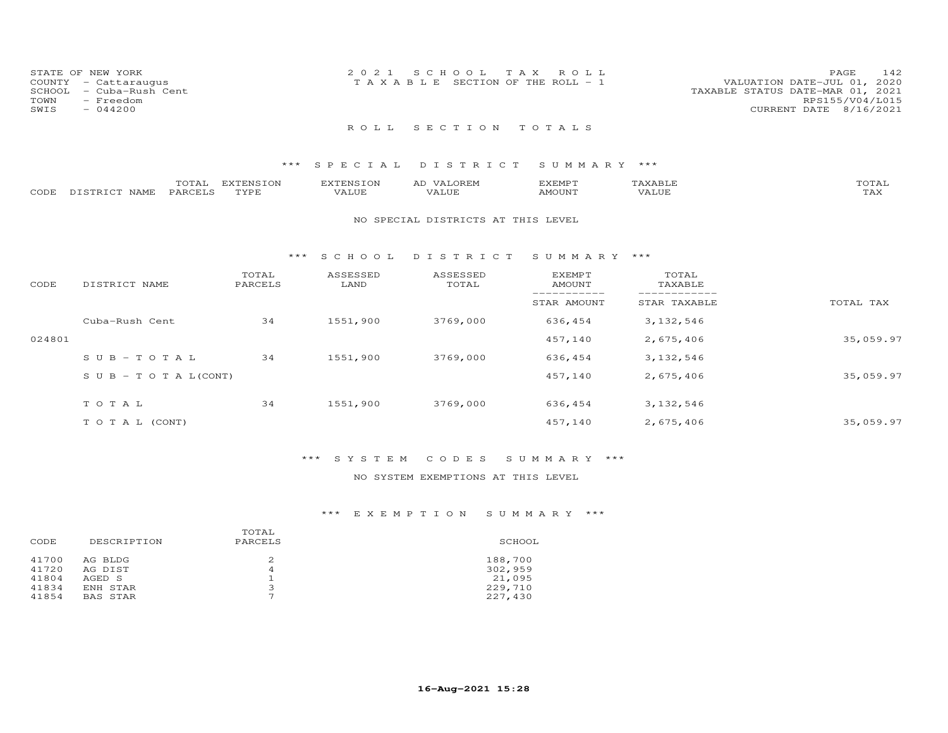| STATE OF NEW YORK<br>COUNTY - Cattaraugus<br>SCHOOL - Cuba-Rush Cent<br>TOWN<br>- Freedom<br>SWIS<br>$-044200$ | 2021 SCHOOL TAX ROLL<br>T A X A B L E SECTION OF THE ROLL - 1 | 142<br>PAGE<br>VALUATION DATE-JUL 01, 2020<br>TAXABLE STATUS DATE-MAR 01, 2021<br>RPS155/V04/L015<br>CURRENT DATE 8/16/2021 |
|----------------------------------------------------------------------------------------------------------------|---------------------------------------------------------------|-----------------------------------------------------------------------------------------------------------------------------|
|                                                                                                                | ROLL SECTION TOTALS                                           |                                                                                                                             |

|      |                         | ----- | <b>EXTENSION</b><br>⊥∪⊾ | <b>PINS</b> | .OREN<br>∼      | EXEMPT        |       | ◡⊥凸 |
|------|-------------------------|-------|-------------------------|-------------|-----------------|---------------|-------|-----|
| CODE | <b>NAMF</b><br>DISTRICT | PARO  | TVDL                    | 'ALUE       | חדד ד<br>. ALUF | <b>AMOUNT</b> | VALUE | ⊥冖⌒ |

#### NO SPECIAL DISTRICTS AT THIS LEVEL

#### \*\*\* S C H O O L D I S T R I C T S U M M A R Y \*\*\*

| CODE   | DISTRICT NAME                    | TOTAL<br>PARCELS | ASSESSED<br>LAND | ASSESSED<br>TOTAL | <b>EXEMPT</b><br>AMOUNT | TOTAL<br>TAXABLE |           |
|--------|----------------------------------|------------------|------------------|-------------------|-------------------------|------------------|-----------|
|        |                                  |                  |                  |                   | STAR AMOUNT             | STAR TAXABLE     | TOTAL TAX |
|        | Cuba-Rush Cent                   | 34               | 1551,900         | 3769,000          | 636,454                 | 3, 132, 546      |           |
| 024801 |                                  |                  |                  |                   | 457,140                 | 2,675,406        | 35,059.97 |
|        | $SUB - TO T AL$                  | 34               | 1551,900         | 3769,000          | 636,454                 | 3, 132, 546      |           |
|        | $S \cup B - T \cup T A L (CONT)$ |                  |                  |                   | 457,140                 | 2,675,406        | 35,059.97 |
|        | TOTAL                            | 34               | 1551,900         | 3769,000          | 636,454                 | 3, 132, 546      |           |
|        | T O T A L (CONT)                 |                  |                  |                   | 457,140                 | 2,675,406        | 35,059.97 |

### \*\*\* S Y S T E M C O D E S S U M M A R Y \*\*\*

### NO SYSTEM EXEMPTIONS AT THIS LEVEL

| DESCRIPTION        | PARCELS                  | SCHOOL             |
|--------------------|--------------------------|--------------------|
| AG BLDG<br>AG DIST | 4                        | 188,700<br>302,959 |
| AGED S             |                          | 21,095             |
| ENH STAR           | $\mathbf{z}$             | 229,710            |
| BAS STAR           | $\overline{\phantom{0}}$ | 227,430            |
|                    |                          | TOTAL              |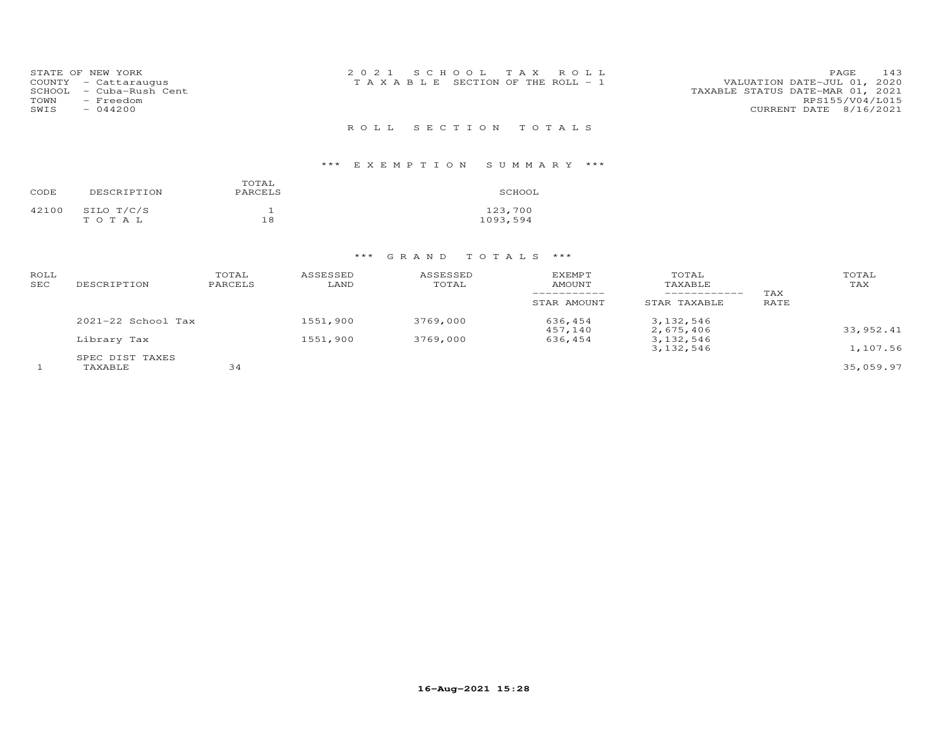| STATE OF NEW YORK<br>COUNTY - Cattaraugus<br>- Cuba-Rush Cent<br>SCHOOL<br>TOWN<br>- Freedom | 2021 SCHOOL TAX ROLL<br>T A X A B L E SECTION OF THE ROLL - 1 | 143<br>PAGE<br>VALUATION DATE-JUL 01, 2020<br>TAXABLE STATUS DATE-MAR 01, 2021<br>RPS155/V04/L015 |  |
|----------------------------------------------------------------------------------------------|---------------------------------------------------------------|---------------------------------------------------------------------------------------------------|--|
| SWIS<br>$-044200$                                                                            | ROLL SECTION TOTALS                                           | CURRENT DATE 8/16/2021                                                                            |  |

| CODE  | DESCRIPTION         | TOTAL<br>PARCELS | SCHOOL              |
|-------|---------------------|------------------|---------------------|
| 42100 | SILO T/C/S<br>TOTAL | 18               | 123,700<br>1093,594 |

| ROLL<br>SEC | DESCRIPTION                | TOTAL<br>PARCELS | ASSESSED<br>LAND | ASSESSED<br>TOTAL | <b>EXEMPT</b><br>AMOUNT<br>STAR AMOUNT | TOTAL<br>TAXABLE<br>------------<br>STAR TAXABLE | TAX<br>RATE | TOTAL<br>TAX |
|-------------|----------------------------|------------------|------------------|-------------------|----------------------------------------|--------------------------------------------------|-------------|--------------|
|             | $2021 - 22$ School Tax     |                  | 1551,900         | 3769,000          | 636,454                                | 3, 132, 546                                      |             | 33, 952.41   |
|             | Library Tax                |                  | 1551,900         | 3769,000          | 457,140<br>636,454                     | 2,675,406<br>3, 132, 546<br>3, 132, 546          |             | 1,107.56     |
|             | SPEC DIST TAXES<br>TAXABLE | 34               |                  |                   |                                        |                                                  |             | 35,059.97    |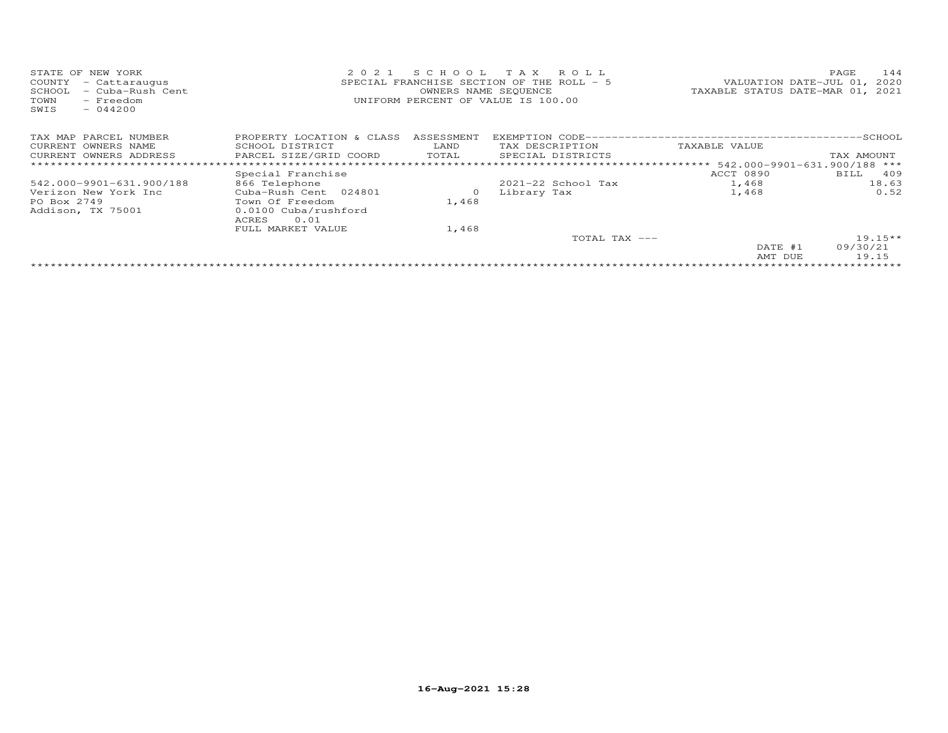| STATE OF NEW YORK                      | 2021                                      |                                  | SCHOOL TAX ROLL             |               | 144<br>PAGE |
|----------------------------------------|-------------------------------------------|----------------------------------|-----------------------------|---------------|-------------|
| COUNTY<br>- Cattaraugus                | SPECIAL FRANCHISE SECTION OF THE ROLL - 5 |                                  | VALUATION DATE-JUL 01, 2020 |               |             |
| - Cuba-Rush Cent<br>SCHOOL             |                                           | TAXABLE STATUS DATE-MAR 01, 2021 |                             |               |             |
| TOWN<br>- Freedom<br>$-044200$<br>SWIS | UNIFORM PERCENT OF VALUE IS 100.00        |                                  |                             |               |             |
| TAX MAP PARCEL NUMBER                  | PROPERTY LOCATION & CLASS                 | ASSESSMENT                       |                             |               |             |
| CURRENT OWNERS NAME                    | SCHOOL DISTRICT                           | LAND                             | TAX DESCRIPTION             | TAXABLE VALUE |             |
| CURRENT OWNERS ADDRESS                 | PARCEL SIZE/GRID COORD                    | TOTAL                            | SPECIAL DISTRICTS           |               | TAX AMOUNT  |
|                                        |                                           |                                  |                             |               |             |
|                                        | Special Franchise                         |                                  |                             | ACCT 0890     | BILL 409    |
| 542.000-9901-631.900/188               | 866 Telephone                             |                                  | $2021 - 22$ School Tax      | 1,468         | 18.63       |
| Verizon New York Inc                   | Cuba-Rush Cent 024801                     | $\circ$                          | Library Tax                 | 1,468         | 0.52        |
| PO Box 2749                            | Town Of Freedom                           | 1,468                            |                             |               |             |
| Addison, TX 75001                      | 0.0100 Cuba/rushford<br>ACRES<br>0.01     |                                  |                             |               |             |
|                                        | FULL MARKET VALUE                         | 1,468                            |                             |               |             |
|                                        |                                           |                                  | TOTAL TAX ---               |               | $19.15**$   |
|                                        |                                           |                                  |                             | DATE #1       | 09/30/21    |
|                                        |                                           |                                  |                             | AMT DUE       | 19.15       |
|                                        |                                           |                                  |                             |               |             |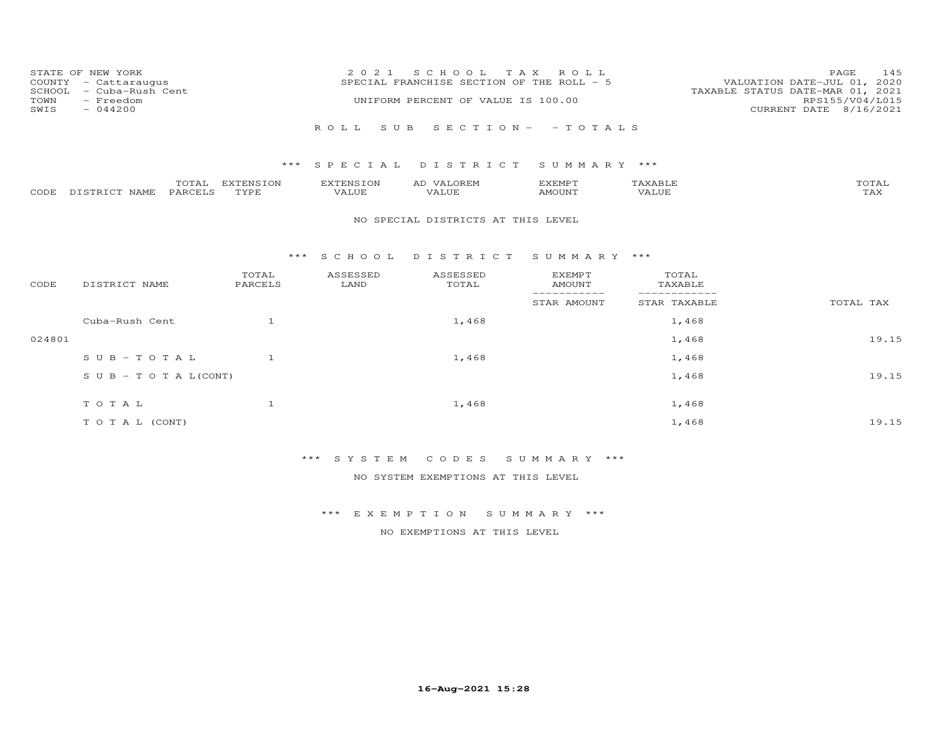| COUNTY<br>SCHOOL<br>TOWN<br>SWIS | STATE OF NEW YORK<br>- Cattaraugus<br>- Cuba-Rush Cent<br>- Freedom<br>$-044200$ |                   | 2 0 2 1                   | S C H O O L<br>SPECIAL FRANCHISE SECTION OF THE ROLL - 5<br>UNIFORM PERCENT OF VALUE IS 100.00 | T A X<br>ROLL                   |                  | 145<br>PAGE<br>VALUATION DATE-JUL 01, 2020<br>TAXABLE STATUS DATE-MAR 01, 2021<br>RPS155/V04/L015<br>CURRENT DATE 8/16/2021 |
|----------------------------------|----------------------------------------------------------------------------------|-------------------|---------------------------|------------------------------------------------------------------------------------------------|---------------------------------|------------------|-----------------------------------------------------------------------------------------------------------------------------|
|                                  |                                                                                  |                   | ROLL                      | S U B                                                                                          | $S E C T I O N - - T O T A L S$ |                  |                                                                                                                             |
|                                  |                                                                                  | ***               | S P E C I A L             | DISTRICT                                                                                       | SUMMARY ***                     |                  |                                                                                                                             |
| CODE                             | TOTAL<br>PARCELS<br>DISTRICT NAME                                                | EXTENSION<br>TYPE | <b>EXTENSION</b><br>VALUE | AD VALOREM<br>VALUE                                                                            | <b>EXEMPT</b><br>AMOUNT         | TAXABLE<br>VALUE | TOTAL<br>TAX                                                                                                                |
|                                  |                                                                                  |                   |                           | NO SPECIAL DISTRICTS AT THIS LEVEL                                                             |                                 |                  |                                                                                                                             |
|                                  |                                                                                  |                   | $***$ SCHOOL              | DISTRICT                                                                                       | SUMMARY ***                     |                  |                                                                                                                             |
| CODE                             | DISTRICT NAME                                                                    | TOTAL<br>PARCELS  | ASSESSED<br>LAND          | ASSESSED<br>TOTAL                                                                              | <b>EXEMPT</b><br><b>AMOUNT</b>  | TOTAL<br>TAXABLE |                                                                                                                             |
|                                  |                                                                                  |                   |                           |                                                                                                | ------------<br>STAR AMOUNT     | STAR TAXABLE     | TOTAL TAX                                                                                                                   |
|                                  | Cuba-Rush Cent                                                                   | $\mathbf{1}$      |                           | 1,468                                                                                          |                                 | 1,468            |                                                                                                                             |
| 024801                           |                                                                                  |                   |                           |                                                                                                |                                 | 1,468            | 19.15                                                                                                                       |
|                                  | $SUB - TO TAL$                                                                   | 1                 |                           | 1,468                                                                                          |                                 | 1,468            |                                                                                                                             |
|                                  | S U B - T O T A $L$ (CONT)                                                       |                   |                           |                                                                                                |                                 | 1,468            | 19.15                                                                                                                       |
|                                  | TOTAL                                                                            | $\mathbf{1}$      |                           | 1,468                                                                                          |                                 | 1,468            |                                                                                                                             |
|                                  | TO TAL (CONT)                                                                    |                   |                           |                                                                                                |                                 | 1,468            | 19.15                                                                                                                       |

\*\*\* S Y S T E M C O D E S S U M M A R Y \*\*\*

NO SYSTEM EXEMPTIONS AT THIS LEVEL

\*\*\* E X E M P T I O N S U M M A R Y \*\*\*

NO EXEMPTIONS AT THIS LEVEL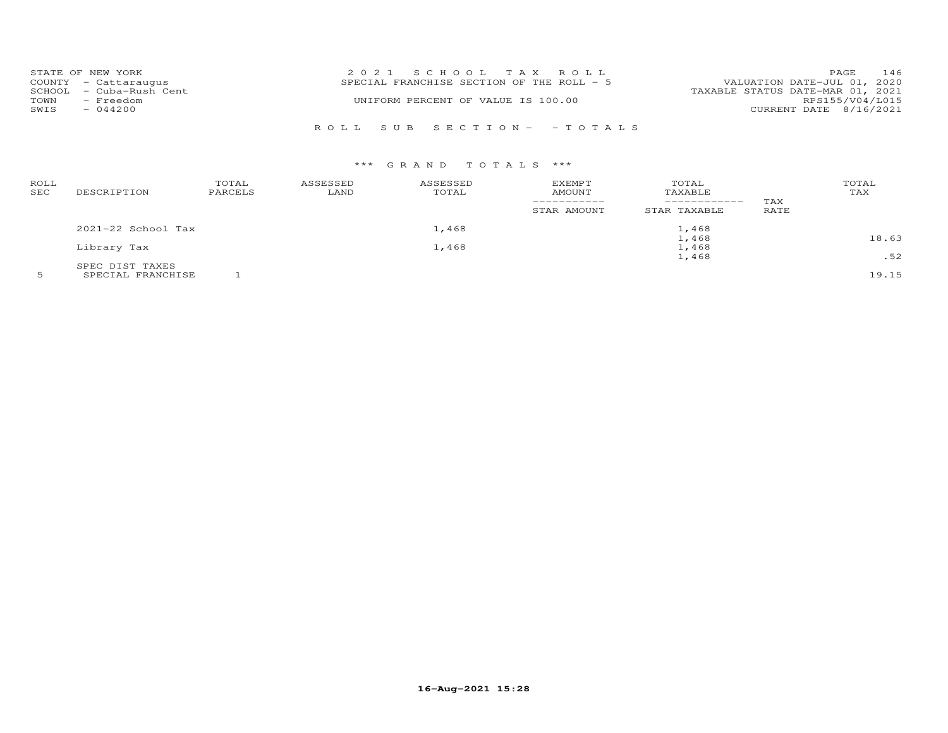|      | STATE OF NEW YORK       | 2021 SCHOOL TAX ROLL                      |                                  | PAGE | 146 |
|------|-------------------------|-------------------------------------------|----------------------------------|------|-----|
|      | COUNTY - Cattaraugus    | SPECIAL FRANCHISE SECTION OF THE ROLL - 5 | VALUATION DATE-JUL 01, 2020      |      |     |
|      | SCHOOL - Cuba-Rush Cent |                                           | TAXABLE STATUS DATE-MAR 01, 2021 |      |     |
| TOWN | - Freedom               | UNIFORM PERCENT OF VALUE IS 100.00        | RPS155/V04/L015                  |      |     |
| SWIS | $-044200$               |                                           | CURRENT DATE 8/16/2021           |      |     |
|      |                         |                                           |                                  |      |     |
|      |                         | ROLL SUB SECTION- -TOTALS                 |                                  |      |     |

| ROLL<br>SEC | DESCRIPTION            | TOTAL<br>PARCELS | ASSESSED<br>LAND | ASSESSED<br>TOTAL | EXEMPT<br><b>AMOUNT</b><br>STAR AMOUNT | TOTAL<br>TAXABLE<br>STAR TAXABLE | TAX<br>RATE | TOTAL<br>TAX |
|-------------|------------------------|------------------|------------------|-------------------|----------------------------------------|----------------------------------|-------------|--------------|
|             | $2021 - 22$ School Tax |                  |                  | 1,468             |                                        | 1,468                            |             |              |
|             |                        |                  |                  |                   |                                        | 1,468                            |             | 18.63        |
|             | Library Tax            |                  |                  | 1,468             |                                        | 1,468                            |             |              |
|             |                        |                  |                  |                   |                                        | 1,468                            |             | .52          |
|             | SPEC DIST TAXES        |                  |                  |                   |                                        |                                  |             |              |
|             | SPECIAL FRANCHISE      |                  |                  |                   |                                        |                                  |             | 19.15        |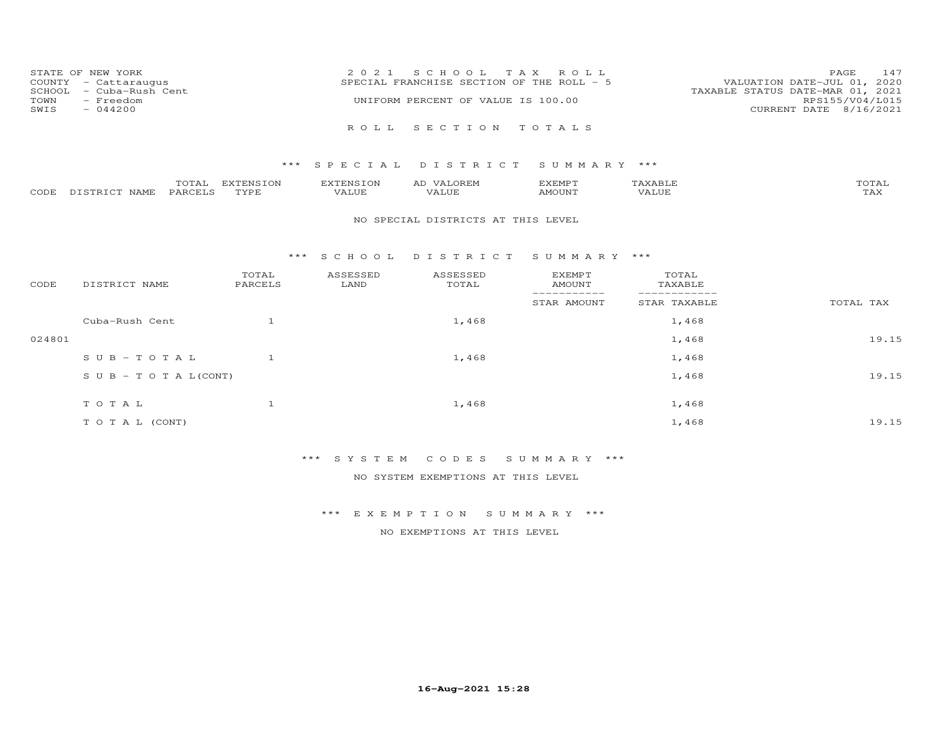|              | STATE OF NEW YORK<br>COUNTY - Cattaraugus         | 2021 SCHOOL TAX ROLL<br>SPECIAL FRANCHISE SECTION OF THE ROLL - 5      | <b>PAGE</b><br>VALUATION DATE-JUL 01, 2020 | 147 |
|--------------|---------------------------------------------------|------------------------------------------------------------------------|--------------------------------------------|-----|
| TOWN<br>SWIS | SCHOOL - Cuba-Rush Cent<br>- Freedom<br>$-044200$ | TAXABLE STATUS DATE-MAR 01, 2021<br>UNIFORM PERCENT OF VALUE IS 100.00 | RPS155/V04/L015<br>CURRENT DATE 8/16/2021  |     |
|              |                                                   | ROLL SECTION TOTALS                                                    |                                            |     |

|      |                  | $- - -$<br>UIAL | EXTENSION | ----------------<br>. IN . | AL | d'XEMP"      |                            | $T$ $\cap$ $T$ $\geq$ $\cap$<br>UIAI |
|------|------------------|-----------------|-----------|----------------------------|----|--------------|----------------------------|--------------------------------------|
| CODE | רפד¤דרי<br>NAMF. | . PARCET C      | TVDE      | .UP                        |    | <b>MOUNT</b> | . <del>.</del><br>$\Delta$ | $m \times r$<br>∸∽                   |

#### NO SPECIAL DISTRICTS AT THIS LEVEL

#### \*\*\* S C H O O L D I S T R I C T S U M M A R Y \*\*\*

| CODE   | DISTRICT NAME                    | TOTAL<br>PARCELS | ASSESSED<br>LAND | ASSESSED<br>TOTAL | <b>EXEMPT</b><br>AMOUNT | TOTAL<br>TAXABLE |           |
|--------|----------------------------------|------------------|------------------|-------------------|-------------------------|------------------|-----------|
|        |                                  |                  |                  |                   | --------<br>STAR AMOUNT | STAR TAXABLE     | TOTAL TAX |
|        | Cuba-Rush Cent                   |                  |                  | 1,468             |                         | 1,468            |           |
| 024801 |                                  |                  |                  |                   |                         | 1,468            | 19.15     |
|        | SUB-TOTAL                        |                  |                  | 1,468             |                         | 1,468            |           |
|        | $S \cup B - T \cup T A L (CONT)$ |                  |                  |                   |                         | 1,468            | 19.15     |
|        | TOTAL                            |                  |                  | 1,468             |                         | 1,468            |           |
|        | T O T A L (CONT)                 |                  |                  |                   |                         | 1,468            | 19.15     |

# \*\*\* S Y S T E M C O D E S S U M M A R Y \*\*\*

NO SYSTEM EXEMPTIONS AT THIS LEVEL

### \*\*\* E X E M P T I O N S U M M A R Y \*\*\*

NO EXEMPTIONS AT THIS LEVEL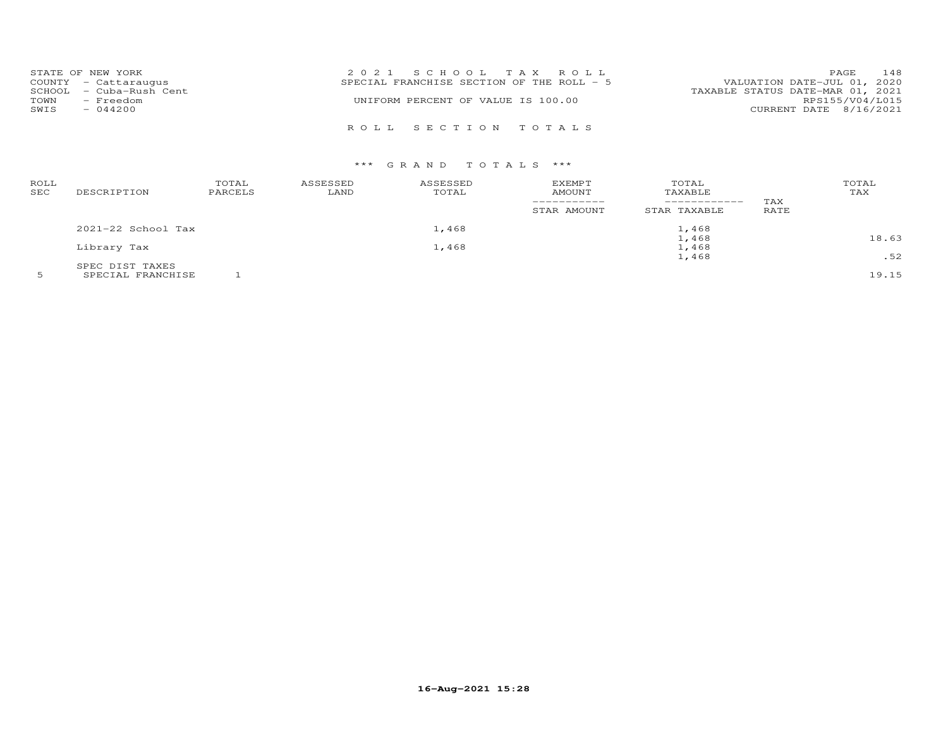|      | STATE OF NEW YORK       | 2021 SCHOOL TAX ROLL                      | PAGE                        | 148 |
|------|-------------------------|-------------------------------------------|-----------------------------|-----|
|      | COUNTY - Cattaraugus    | SPECIAL FRANCHISE SECTION OF THE ROLL - 5 | VALUATION DATE-JUL 01, 2020 |     |
|      | SCHOOL - Cuba-Rush Cent | TAXABLE STATUS DATE-MAR 01, 2021          |                             |     |
| TOWN | - Freedom               | UNIFORM PERCENT OF VALUE IS 100.00        | RPS155/V04/L015             |     |
| SWIS | $-044200$               |                                           | CURRENT DATE 8/16/2021      |     |
|      |                         |                                           |                             |     |
|      |                         | ROLL SECTION TOTALS                       |                             |     |

| ROLL<br>SEC | DESCRIPTION            | TOTAL<br>PARCELS | ASSESSED<br>LAND | ASSESSED<br>TOTAL | EXEMPT<br>AMOUNT | TOTAL<br>TAXABLE<br>------------ | TAX  | TOTAL<br>TAX |
|-------------|------------------------|------------------|------------------|-------------------|------------------|----------------------------------|------|--------------|
|             |                        |                  |                  |                   | STAR AMOUNT      | STAR TAXABLE                     | RATE |              |
|             | $2021 - 22$ School Tax |                  |                  | 1,468             |                  | 1,468                            |      |              |
|             |                        |                  |                  |                   | 1,468            |                                  |      | 18.63        |
|             | Library Tax            |                  |                  | 1,468             |                  | 1,468                            |      |              |
|             |                        |                  |                  |                   |                  | 1,468                            |      | .52          |
|             | SPEC DIST TAXES        |                  |                  |                   |                  |                                  |      |              |
|             | SPECIAL FRANCHISE      |                  |                  |                   |                  |                                  |      | 19.15        |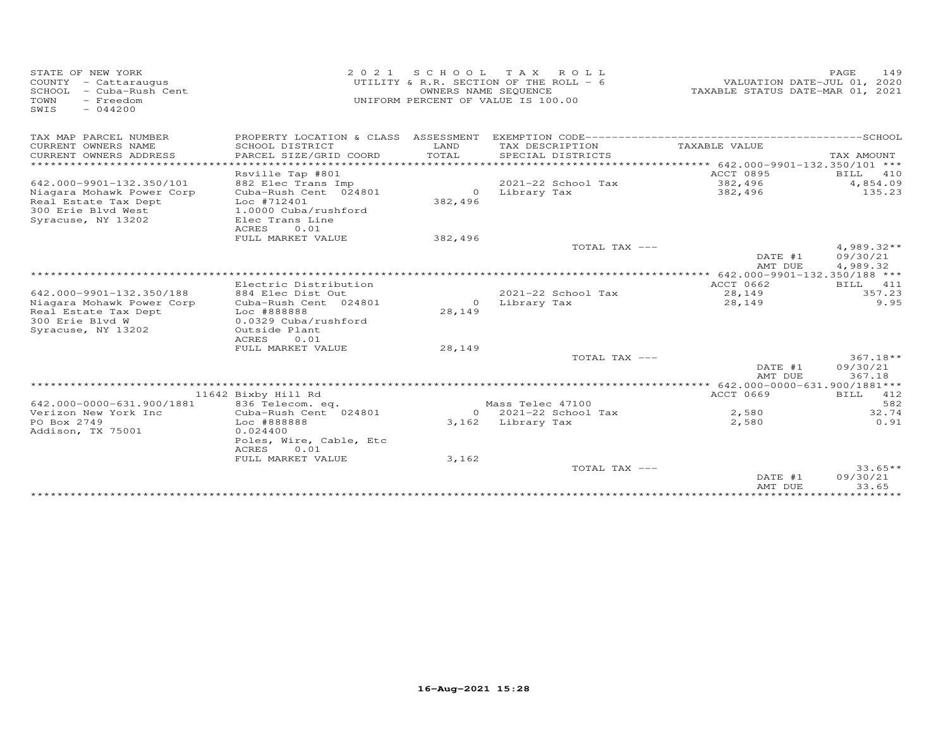| STATE OF NEW YORK<br>COUNTY - Cattaraugus<br>SCHOOL - Cuba-Rush Cent<br>- Freedom<br>TOWN<br>$-044200$<br>SWIS | 2 0 2 1                                                                                          | SCHOOL TAX<br>OWNERS NAME SEQUENCE | ROLL<br>UTILITY & R.R. SECTION OF THE ROLL - 6<br>UNIFORM PERCENT OF VALUE IS 100.00 | VALUATION DATE-JUL 01, 2020<br>TAXABLE STATUS DATE-MAR 01, 2021 | PAGE<br>149          |
|----------------------------------------------------------------------------------------------------------------|--------------------------------------------------------------------------------------------------|------------------------------------|--------------------------------------------------------------------------------------|-----------------------------------------------------------------|----------------------|
| TAX MAP PARCEL NUMBER                                                                                          | PROPERTY LOCATION & CLASS ASSESSMENT                                                             |                                    |                                                                                      |                                                                 |                      |
| CURRENT OWNERS NAME                                                                                            | SCHOOL DISTRICT                                                                                  | T.AND                              | TAX DESCRIPTION                                                                      | TAXABLE VALUE                                                   |                      |
| CURRENT OWNERS ADDRESS                                                                                         | PARCEL SIZE/GRID COORD                                                                           | TOTAL                              | SPECIAL DISTRICTS                                                                    |                                                                 | TAX AMOUNT           |
| **********************                                                                                         |                                                                                                  | *************                      | ********************************** 642.000-9901-132.350/101 ***                      |                                                                 |                      |
|                                                                                                                | Rsville Tap #801                                                                                 |                                    |                                                                                      | ACCT 0895                                                       | BILL<br>410          |
| 642.000-9901-132.350/101                                                                                       | 882 Elec Trans Imp                                                                               |                                    | 2021-22 School Tax                                                                   | 382,496                                                         | 4,854.09             |
| Niagara Mohawk Power Corp<br>Real Estate Tax Dept<br>300 Erie Blvd West<br>Syracuse, NY 13202                  | Cuba-Rush Cent 024801<br>Loc #712401<br>1.0000 Cuba/rushford<br>Elec Trans Line<br>ACRES<br>0.01 | $\circ$<br>382,496                 | Library Tax                                                                          | 382,496                                                         | 135.23               |
|                                                                                                                | FULL MARKET VALUE                                                                                | 382,496                            |                                                                                      |                                                                 |                      |
|                                                                                                                |                                                                                                  |                                    | TOTAL TAX ---                                                                        |                                                                 | $4,989.32**$         |
|                                                                                                                |                                                                                                  |                                    |                                                                                      | DATE #1<br>AMT DUE                                              | 09/30/21<br>4,989.32 |
|                                                                                                                |                                                                                                  |                                    |                                                                                      | $******$ 642.000-9901-132.350/188 ***                           |                      |
|                                                                                                                | Electric Distribution                                                                            |                                    |                                                                                      | ACCT 0662                                                       | BILL 411             |
| 642.000-9901-132.350/188                                                                                       | 884 Elec Dist Out                                                                                |                                    | 2021-22 School Tax                                                                   | 28,149                                                          | 357.23               |
| Niagara Mohawk Power Corp                                                                                      | Cuba-Rush Cent 024801                                                                            | $\Omega$                           | Library Tax                                                                          | 28,149                                                          | 9.95                 |
| Real Estate Tax Dept                                                                                           | Loc #888888                                                                                      | 28,149                             |                                                                                      |                                                                 |                      |
| 300 Erie Blvd W                                                                                                | 0.0329 Cuba/rushford                                                                             |                                    |                                                                                      |                                                                 |                      |
| Syracuse, NY 13202                                                                                             | Outside Plant<br>ACRES<br>0.01                                                                   |                                    |                                                                                      |                                                                 |                      |
|                                                                                                                | FULL MARKET VALUE                                                                                | 28,149                             |                                                                                      |                                                                 |                      |
|                                                                                                                |                                                                                                  |                                    | TOTAL TAX ---                                                                        |                                                                 | 367.18**             |
|                                                                                                                |                                                                                                  |                                    |                                                                                      | DATE #1                                                         | 09/30/21             |
|                                                                                                                |                                                                                                  |                                    |                                                                                      | AMT DUE                                                         | 367.18               |
|                                                                                                                |                                                                                                  |                                    |                                                                                      |                                                                 |                      |
|                                                                                                                | 11642 Bixby Hill Rd                                                                              |                                    |                                                                                      | ACCT 0669                                                       | BILL 412             |
| 642.000-0000-631.900/1881                                                                                      | 836 Telecom. eq.                                                                                 |                                    | Mass Telec 47100                                                                     |                                                                 | 582                  |
| Verizon New York Inc                                                                                           | Cuba-Rush Cent 024801                                                                            |                                    | $0$ 2021-22 School Tax                                                               | 2,580                                                           | 32.74                |
| PO Box 2749                                                                                                    | Loc #888888                                                                                      |                                    | 3,162 Library Tax                                                                    | 2,580                                                           | 0.91                 |
| Addison, TX 75001                                                                                              | 0.024400                                                                                         |                                    |                                                                                      |                                                                 |                      |
|                                                                                                                | Poles, Wire, Cable, Etc<br>0.01<br>ACRES                                                         |                                    |                                                                                      |                                                                 |                      |
|                                                                                                                | FULL MARKET VALUE                                                                                | 3,162                              |                                                                                      |                                                                 |                      |
|                                                                                                                |                                                                                                  |                                    | TOTAL TAX ---                                                                        |                                                                 | $33.65**$            |
|                                                                                                                |                                                                                                  |                                    |                                                                                      | DATE #1                                                         | 09/30/21             |
|                                                                                                                |                                                                                                  |                                    |                                                                                      | AMT DUE                                                         | 33.65                |
|                                                                                                                |                                                                                                  |                                    |                                                                                      |                                                                 |                      |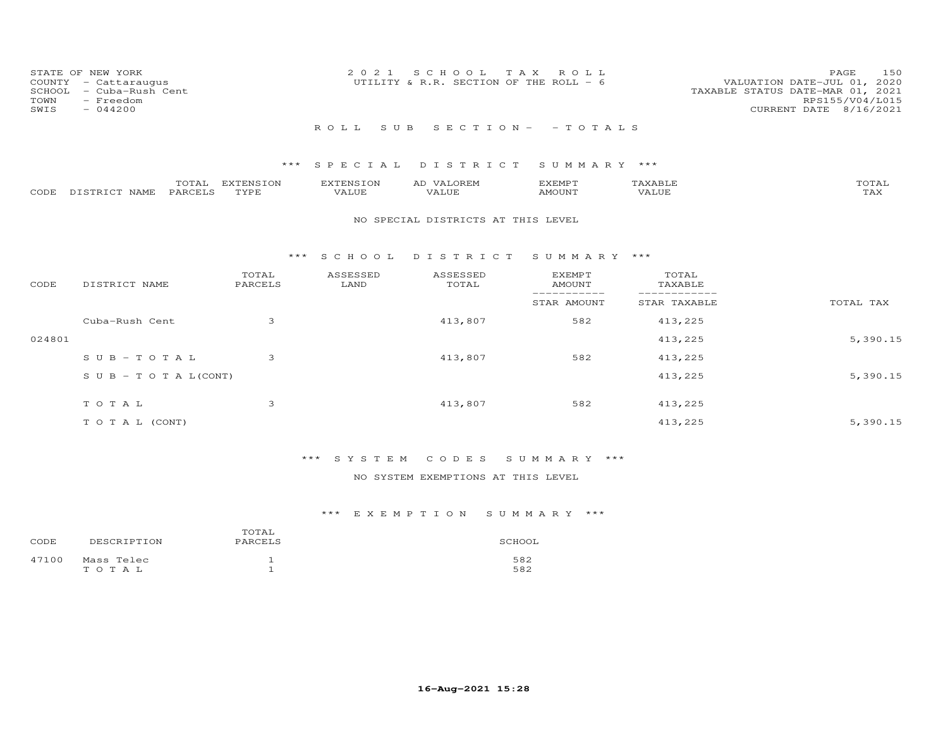| STATE OF NEW YORK<br>COUNTY - Cattaraugus<br>SCHOOL - Cuba-Rush Cent<br>TOWN<br>- Freedom<br>SWIS<br>$-044200$ | 2021 SCHOOL TAX ROLL<br>UTILITY & R.R. SECTION OF THE ROLL - 6 | 150<br><b>PAGE</b><br>VALUATION DATE-JUL 01, 2020<br>TAXABLE STATUS DATE-MAR 01, 2021<br>RPS155/V04/L015<br>CURRENT DATE 8/16/2021 |
|----------------------------------------------------------------------------------------------------------------|----------------------------------------------------------------|------------------------------------------------------------------------------------------------------------------------------------|
|                                                                                                                | ROLL SUB SECTION - - TOTALS                                    |                                                                                                                                    |

|                    | TOTAL   | EXTENSION | <b>EXTENSION</b> | <b>VALOREM</b><br>AD | KEMP T |       | TOTAL        |
|--------------------|---------|-----------|------------------|----------------------|--------|-------|--------------|
| CODE DISTRICT NAME | PARCELS | TYPE      | VALUE            | VALUE                | AMOUNT | VALUE | ጥአህ<br>1 AX. |

#### NO SPECIAL DISTRICTS AT THIS LEVEL

#### \*\*\* S C H O O L D I S T R I C T S U M M A R Y \*\*\*

| CODE   | DISTRICT NAME              | TOTAL<br>PARCELS | ASSESSED<br>LAND | ASSESSED<br>TOTAL | <b>EXEMPT</b><br>AMOUNT | TOTAL<br>TAXABLE |           |
|--------|----------------------------|------------------|------------------|-------------------|-------------------------|------------------|-----------|
|        |                            |                  |                  |                   | STAR AMOUNT             | STAR TAXABLE     | TOTAL TAX |
|        | Cuba-Rush Cent             | 3                |                  | 413,807           | 582                     | 413,225          |           |
| 024801 |                            |                  |                  |                   |                         | 413,225          | 5,390.15  |
|        | $SUB - TO TAL$             | 3                |                  | 413,807           | 582                     | 413,225          |           |
|        | S U B - T O T A $L$ (CONT) |                  |                  |                   |                         | 413,225          | 5,390.15  |
|        | TOTAL                      | 3                |                  | 413,807           | 582                     | 413,225          |           |
|        |                            |                  |                  |                   |                         |                  |           |
|        | T O T A L (CONT)           |                  |                  |                   |                         | 413,225          | 5,390.15  |

# \*\*\* S Y S T E M C O D E S S U M M A R Y \*\*\*

### NO SYSTEM EXEMPTIONS AT THIS LEVEL

| CODE  | DESCRIPTION         | TOTAL<br>PARCELS | SCHOOL     |
|-------|---------------------|------------------|------------|
| 47100 | Mass Telec<br>тотаь |                  | 582<br>582 |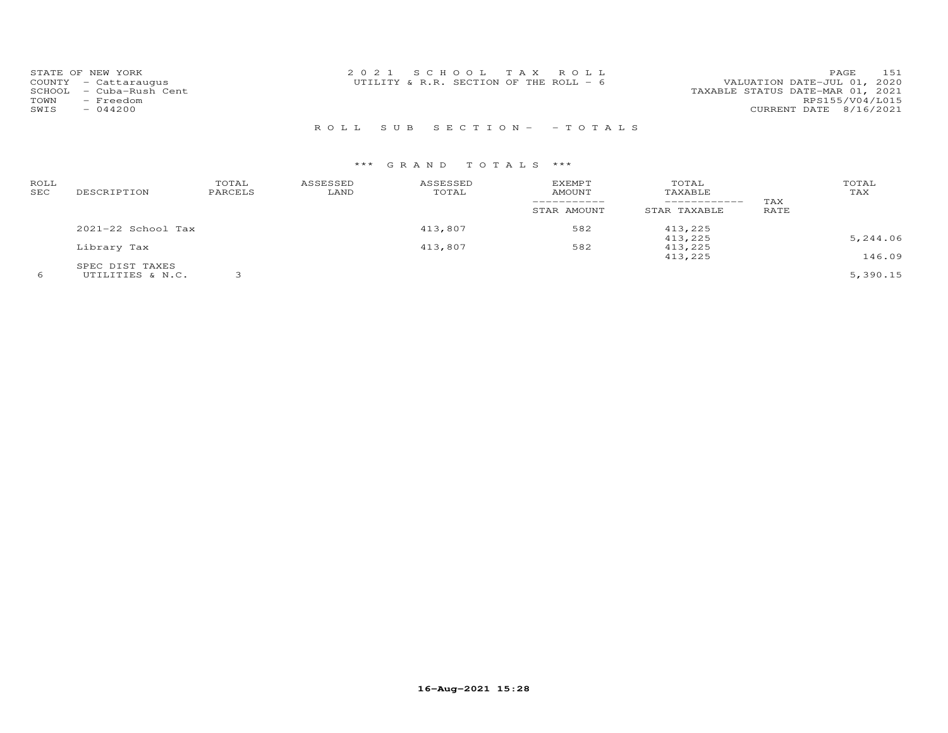|        | STATE OF NEW YORK    | 2021 SCHOOL TAX ROLL<br>PAGE                                            | 151 |
|--------|----------------------|-------------------------------------------------------------------------|-----|
|        | COUNTY - Cattaraugus | VALUATION DATE-JUL 01, 2020<br>UTILITY & R.R. SECTION OF THE ROLL - $6$ |     |
| SCHOOL | - Cuba-Rush Cent     | TAXABLE STATUS DATE-MAR 01, 2021                                        |     |
| TOWN   | - Freedom            | RPS155/V04/L015                                                         |     |
| SWIS   | $-044200$            | CURRENT DATE 8/16/2021                                                  |     |
|        |                      |                                                                         |     |

# R O L L S U B S E C T I O N - - T O T A L S

| ROLL<br>SEC | DESCRIPTION            | TOTAL<br>PARCELS | ASSESSED<br>LAND | ASSESSED<br>TOTAL | <b>EXEMPT</b><br><b>AMOUNT</b> | TOTAL<br>TAXABLE<br>------------- | TAX  | TOTAL<br>TAX |
|-------------|------------------------|------------------|------------------|-------------------|--------------------------------|-----------------------------------|------|--------------|
|             |                        |                  |                  |                   | STAR AMOUNT                    | STAR TAXABLE                      | RATE |              |
|             | $2021 - 22$ School Tax |                  |                  | 413,807           | 582                            | 413,225                           |      |              |
|             |                        |                  |                  |                   |                                | 413,225                           |      | 5,244.06     |
|             | Library Tax            |                  |                  | 413,807           | 582                            | 413,225                           |      |              |
|             |                        |                  |                  |                   |                                | 413,225                           |      | 146.09       |
|             | SPEC DIST TAXES        |                  |                  |                   |                                |                                   |      |              |
| 6           | UTILITIES & N.C.       |                  |                  |                   |                                |                                   |      | 5,390.15     |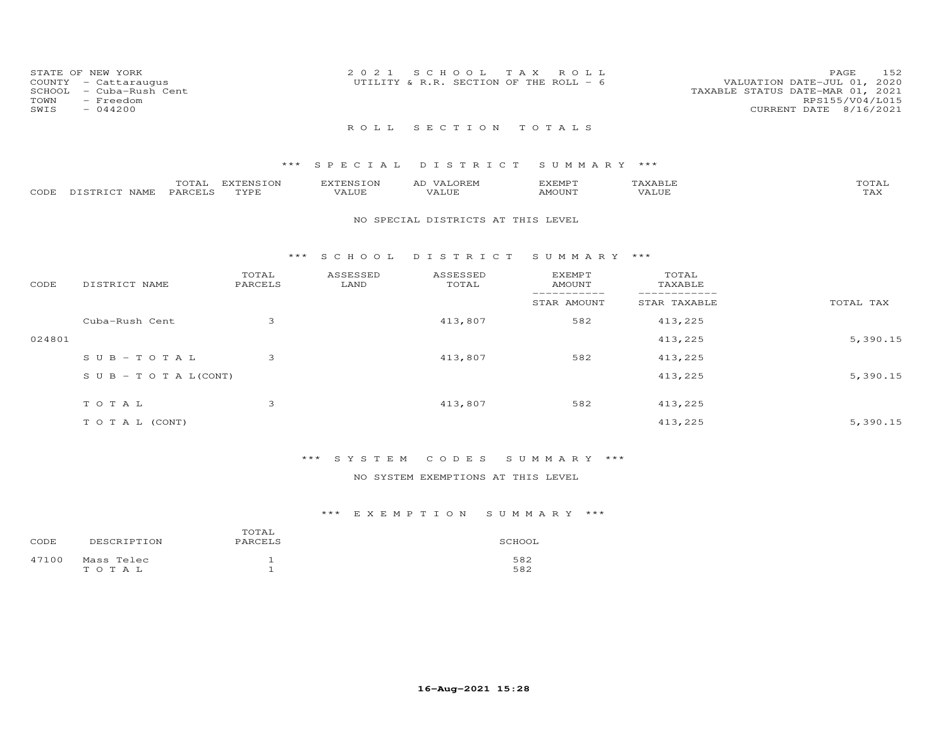| STATE OF NEW YORK<br>COUNTY - Cattaraugus<br>TOWN<br>SWIS | SCHOOL - Cuba-Rush Cent<br>- Freedom<br>$-044200$ | 2021 SCHOOL TAX ROLL<br>UTILITY & R.R. SECTION OF THE ROLL - $6$ |  | VALUATION DATE-JUL 01, 2020<br>TAXABLE STATUS DATE-MAR 01, 2021<br>CURRENT DATE 8/16/2021 | PAGE<br>RPS155/V04/L015 | 152 |
|-----------------------------------------------------------|---------------------------------------------------|------------------------------------------------------------------|--|-------------------------------------------------------------------------------------------|-------------------------|-----|
|                                                           |                                                   | ROLL SECTION TOTALS                                              |  |                                                                                           |                         |     |

|      |                                          | ---                 | <b>EXTENSION</b> | FNRT∩N | 57778500<br>للتالية المتحدي | $\mathbf{x}$ $\mathbf{A}$ . | $\pi$ $\sim$ $\pi$ $\pi$ |
|------|------------------------------------------|---------------------|------------------|--------|-----------------------------|-----------------------------|--------------------------|
| CODE | $5.79$ mm $7.9$ m.<br><b>NAMF</b><br>. ت | ⊢ARCF™ <sup>−</sup> | TVDE             | 1117   | AMOIJN <sup>T</sup>         | T.UE.                       | $- - - -$<br>- ∠∡∨       |

#### NO SPECIAL DISTRICTS AT THIS LEVEL

#### \*\*\* S C H O O L D I S T R I C T S U M M A R Y \*\*\*

| CODE   | DISTRICT NAME              | TOTAL<br>PARCELS | ASSESSED<br>LAND | ASSESSED<br>TOTAL | <b>EXEMPT</b><br>AMOUNT | TOTAL<br>TAXABLE |           |
|--------|----------------------------|------------------|------------------|-------------------|-------------------------|------------------|-----------|
|        |                            |                  |                  |                   | STAR AMOUNT             | STAR TAXABLE     | TOTAL TAX |
|        | Cuba-Rush Cent             | 3                |                  | 413,807           | 582                     | 413,225          |           |
| 024801 |                            |                  |                  |                   |                         | 413,225          | 5,390.15  |
|        | $SUB - TO TAL$             | 3                |                  | 413,807           | 582                     | 413,225          |           |
|        | S U B - T O T A $L$ (CONT) |                  |                  |                   |                         | 413,225          | 5,390.15  |
|        | TOTAL                      | 3                |                  | 413,807           | 582                     | 413,225          |           |
|        |                            |                  |                  |                   |                         |                  |           |
|        | T O T A L (CONT)           |                  |                  |                   |                         | 413,225          | 5,390.15  |

### \*\*\* S Y S T E M C O D E S S U M M A R Y \*\*\*

### NO SYSTEM EXEMPTIONS AT THIS LEVEL

| CODE  | DESCRIPTION         | TOTAL<br>PARCELS | SCHOOL     |
|-------|---------------------|------------------|------------|
| 47100 | Mass Telec<br>тотаь |                  | 582<br>582 |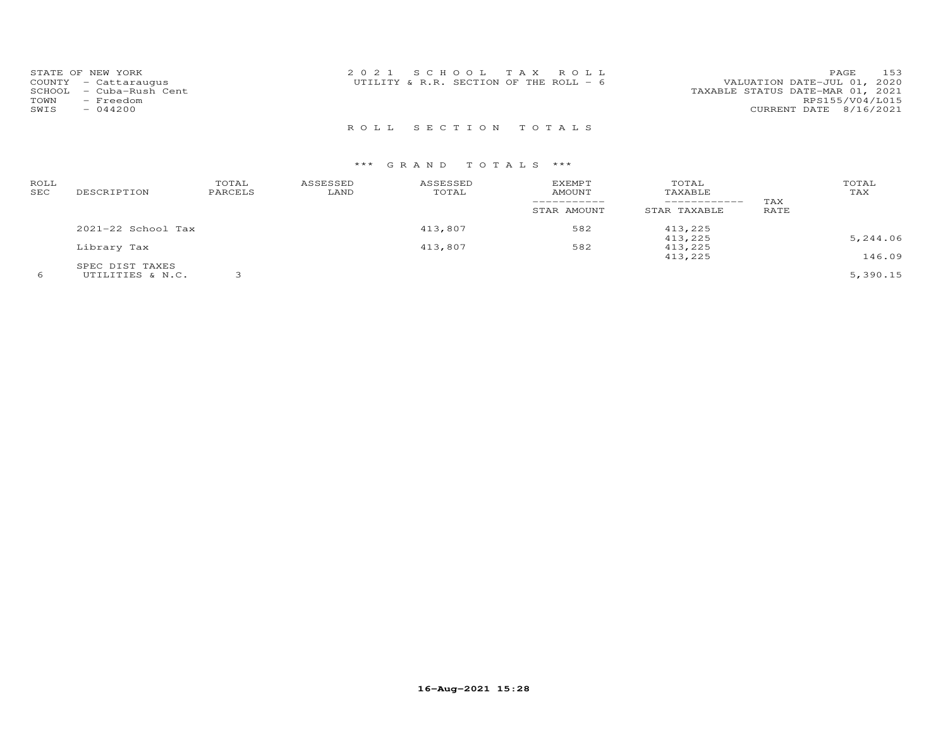| STATE OF NEW YORK<br>COUNTY - Cattaraugus<br>SCHOOL - Cuba-Rush Cent | 2021 SCHOOL TAX ROLL<br>UTILITY & R.R. SECTION OF THE ROLL - 6 | 153<br>PAGE<br>VALUATION DATE-JUL 01, 2020<br>TAXABLE STATUS DATE-MAR 01, 2021<br>RPS155/V04/L015 |
|----------------------------------------------------------------------|----------------------------------------------------------------|---------------------------------------------------------------------------------------------------|
| TOWN<br>- Freedom<br>$-044200$<br>SWIS                               |                                                                | CURRENT DATE 8/16/2021                                                                            |

R O L L S E C T I O N T O T A L S

| ROLL<br>SEC | DESCRIPTION        | TOTAL<br>PARCELS | ASSESSED<br>LAND | ASSESSED<br>TOTAL | <b>EXEMPT</b><br>AMOUNT<br>STAR AMOUNT | TOTAL<br>TAXABLE<br>------------<br>STAR TAXABLE | TAX<br>RATE | TOTAL<br>TAX |
|-------------|--------------------|------------------|------------------|-------------------|----------------------------------------|--------------------------------------------------|-------------|--------------|
|             | 2021-22 School Tax |                  |                  | 413,807           | 582                                    | 413,225                                          |             |              |
|             |                    |                  |                  |                   |                                        | 413,225                                          |             | 5,244.06     |
|             | Library Tax        |                  |                  | 413,807           | 582                                    | 413,225                                          |             |              |
|             |                    |                  |                  |                   |                                        | 413,225                                          |             | 146.09       |
|             | SPEC DIST TAXES    |                  |                  |                   |                                        |                                                  |             |              |
|             | UTILITIES & N.C.   |                  |                  |                   |                                        |                                                  |             | 5,390.15     |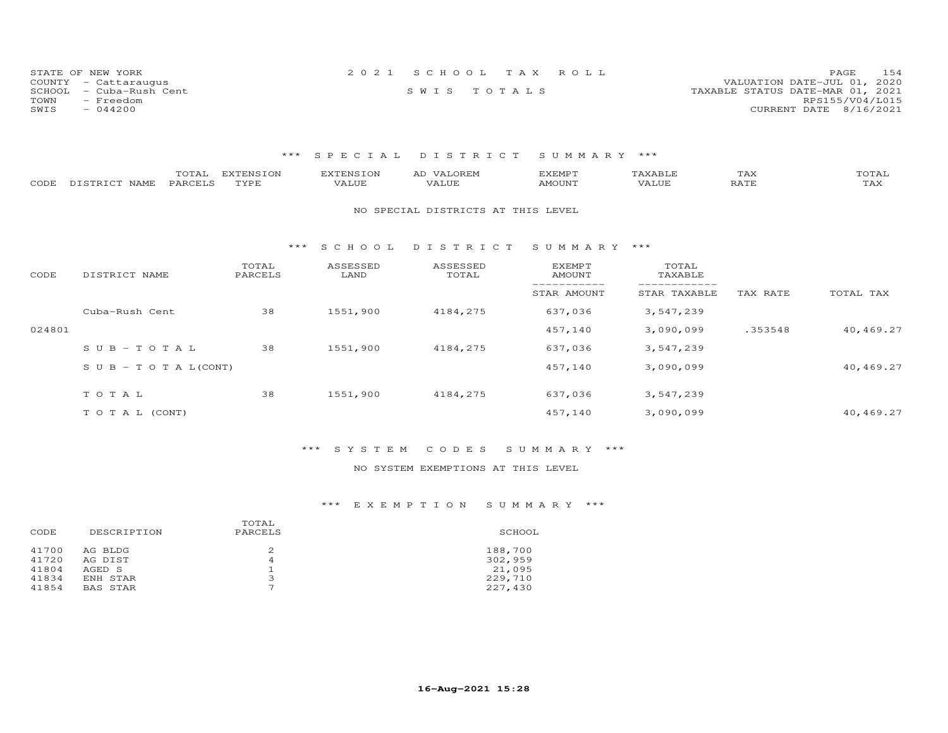| STATE OF NEW YORK       | 2021 SCHOOL TAX ROLL | 154<br><b>PAGE</b>               |
|-------------------------|----------------------|----------------------------------|
| COUNTY - Cattaraugus    |                      | VALUATION DATE-JUL 01, 2020      |
| SCHOOL - Cuba-Rush Cent | SWIS TOTALS          | TAXABLE STATUS DATE-MAR 01, 2021 |
| TOWN<br>- Freedom       |                      | RPS155/V04/L015                  |
| SWIS<br>$-044200$       |                      | CURRENT DATE 8/16/2021           |

| CODE   | TOTAL<br>PARCELS<br>DISTRICT NAME | <b>EXTENSION</b><br>TYPE | <b>EXTENSION</b><br>VALUE | AD VALOREM<br>VALUE                | <b>EXEMPT</b><br>AMOUNT | TAXABLE<br>VALUE | TAX<br>RATE | TOTAL<br>TAX |
|--------|-----------------------------------|--------------------------|---------------------------|------------------------------------|-------------------------|------------------|-------------|--------------|
|        |                                   |                          |                           | NO SPECIAL DISTRICTS AT THIS LEVEL |                         |                  |             |              |
|        |                                   | ***                      | SCHOOL                    | DISTRICT                           | SUMMARY ***             |                  |             |              |
| CODE   | DISTRICT NAME                     | TOTAL<br>PARCELS         | ASSESSED<br>LAND          | ASSESSED<br>TOTAL                  | EXEMPT<br>AMOUNT        | TOTAL<br>TAXABLE |             |              |
|        |                                   |                          |                           |                                    | STAR AMOUNT             | STAR TAXABLE     | TAX RATE    | TOTAL TAX    |
|        | Cuba-Rush Cent                    | 38                       | 1551,900                  | 4184,275                           | 637,036                 | 3,547,239        |             |              |
| 024801 |                                   |                          |                           |                                    | 457,140                 | 3,090,099        | .353548     | 40,469.27    |
|        | $SUB - TO T AL$                   | 38                       | 1551,900                  | 4184,275                           | 637,036                 | 3,547,239        |             |              |
|        | S U B - T O T A $L$ (CONT)        |                          |                           |                                    | 457,140                 | 3,090,099        |             | 40,469.27    |
|        | TOTAL                             | 38                       | 1551,900                  | 4184,275                           | 637,036                 | 3,547,239        |             |              |
|        |                                   |                          |                           |                                    |                         |                  |             |              |
|        | TO TAL (CONT)                     |                          |                           |                                    | 457,140                 | 3,090,099        |             | 40,469.27    |

### \*\*\* S Y S T E M C O D E S S U M M A R Y \*\*\*

### NO SYSTEM EXEMPTIONS AT THIS LEVEL

| DESCRIPTION<br>CODE                                                                               | TOTAL<br>PARCELS | SCHOOL                                             |
|---------------------------------------------------------------------------------------------------|------------------|----------------------------------------------------|
| 41700<br>AG BLDG<br>41720<br>AG DIST<br>41804<br>AGED S<br>41834<br>ENH STAR<br>41854<br>BAS STAR | 2<br>4<br>3<br>⇁ | 188,700<br>302,959<br>21,095<br>229,710<br>227,430 |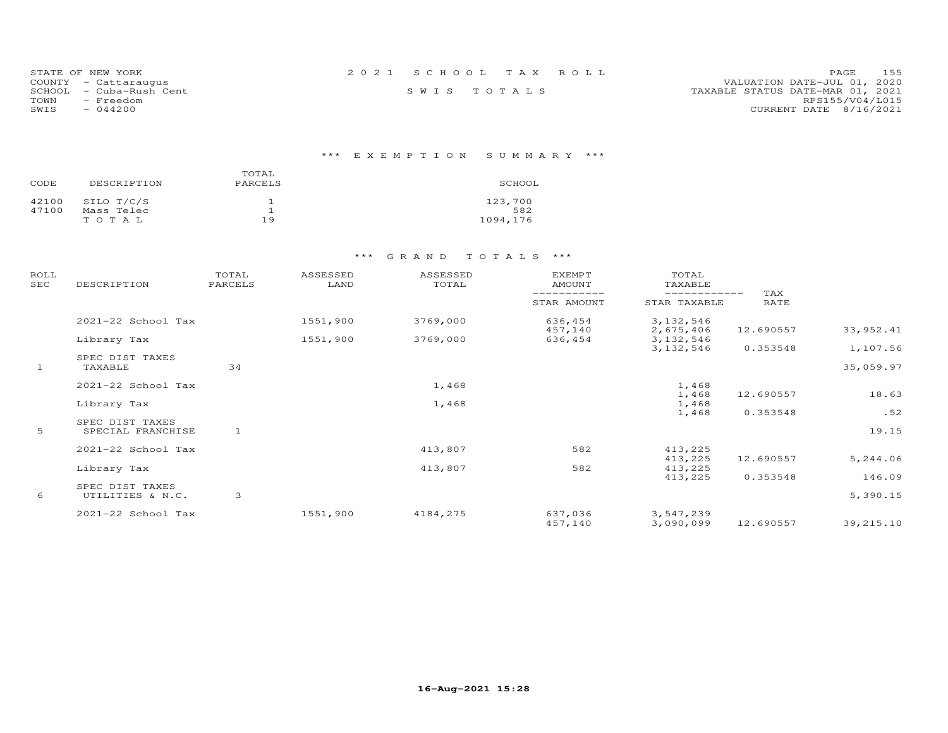| STATE OF NEW YORK       | 2021 SCHOOL TAX ROLL | 155<br>PAGE.                     |
|-------------------------|----------------------|----------------------------------|
| COUNTY - Cattaraugus    |                      | VALUATION DATE-JUL 01, 2020      |
| SCHOOL - Cuba-Rush Cent | SWIS TOTALS          | TAXABLE STATUS DATE-MAR 01, 2021 |
| TOWN<br>- Freedom       |                      | RPS155/V04/L015                  |
| SWIS<br>$-044200$       |                      | CURRENT DATE 8/16/2021           |

# \*\*\* E X E M P T I O N S U M M A R Y \*\*\*

| CODE  | DESCRIPTION | TOTAL<br>PARCELS | SCHOOL   |
|-------|-------------|------------------|----------|
| 42100 | SILO T/C/S  |                  | 123,700  |
| 47100 | Mass Telec  |                  | 582      |
|       | TOTAL       | 19               | 1094,176 |

| ROLL<br><b>SEC</b> | DESCRIPTION                          | TOTAL<br>PARCELS | ASSESSED<br>LAND | ASSESSED<br>TOTAL | EXEMPT<br>AMOUNT   | TOTAL<br>TAXABLE             |                    |            |
|--------------------|--------------------------------------|------------------|------------------|-------------------|--------------------|------------------------------|--------------------|------------|
|                    |                                      |                  |                  |                   | STAR AMOUNT        | ------------<br>STAR TAXABLE | TAX<br><b>RATE</b> |            |
|                    | 2021-22 School Tax                   |                  | 1551,900         | 3769,000          | 636,454<br>457,140 | 3, 132, 546<br>2,675,406     | 12.690557          | 33, 952.41 |
|                    | Library Tax                          |                  | 1551,900         | 3769,000          | 636,454            | 3, 132, 546                  |                    |            |
|                    |                                      |                  |                  |                   |                    | 3, 132, 546                  | 0.353548           | 1,107.56   |
| $\mathbf{1}$       | SPEC DIST TAXES<br>TAXABLE           | 34               |                  |                   |                    |                              |                    | 35,059.97  |
|                    | 2021-22 School Tax                   |                  |                  | 1,468             |                    | 1,468                        |                    |            |
|                    | Library Tax                          |                  |                  | 1,468             |                    | 1,468<br>1,468               | 12.690557          | 18.63      |
|                    |                                      |                  |                  |                   |                    | 1,468                        | 0.353548           | .52        |
| 5                  | SPEC DIST TAXES<br>SPECIAL FRANCHISE | $\mathbf{1}$     |                  |                   |                    |                              |                    | 19.15      |
|                    | 2021-22 School Tax                   |                  |                  | 413,807           | 582                | 413,225                      |                    |            |
|                    |                                      |                  |                  |                   |                    | 413,225                      | 12.690557          | 5,244.06   |
|                    | Library Tax                          |                  |                  | 413,807           | 582                | 413,225                      |                    |            |
|                    |                                      |                  |                  |                   |                    | 413,225                      | 0.353548           | 146.09     |
| 6                  | SPEC DIST TAXES<br>UTILITIES & N.C.  | 3                |                  |                   |                    |                              |                    | 5,390.15   |
|                    | 2021-22 School Tax                   |                  | 1551,900         | 4184,275          | 637,036            | 3,547,239                    |                    |            |
|                    |                                      |                  |                  |                   | 457,140            | 3,090,099                    | 12.690557          | 39,215.10  |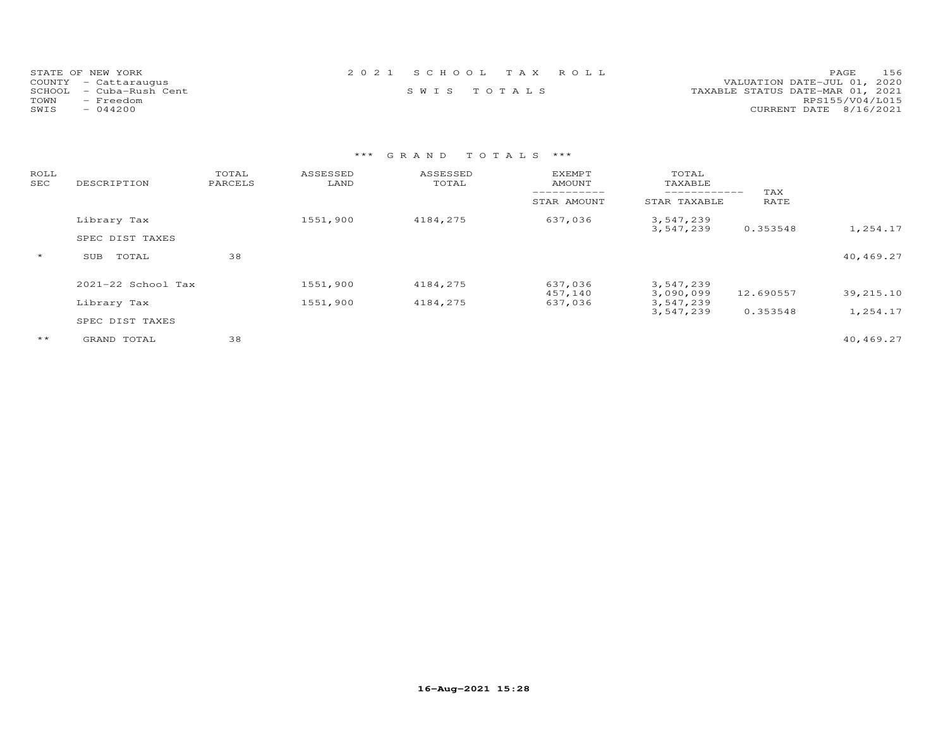| STATE OF NEW YORK       | 2021 SCHOOL TAX ROLL | 156<br>PAGE.                     |
|-------------------------|----------------------|----------------------------------|
| COUNTY - Cattaraugus    |                      | VALUATION DATE-JUL 01, 2020      |
| SCHOOL - Cuba-Rush Cent | SWIS TOTALS          | TAXABLE STATUS DATE-MAR 01, 2021 |
| TOWN<br>- Freedom       |                      | RPS155/V04/L015                  |
| SWIS<br>$-044200$       |                      | CURRENT DATE 8/16/2021           |

| ROLL<br>SEC  | DESCRIPTION            | TOTAL<br>PARCELS | ASSESSED<br>LAND | ASSESSED<br>TOTAL | <b>EXEMPT</b><br>AMOUNT<br>__________ | TOTAL<br>TAXABLE<br>------------- | TAX       |           |
|--------------|------------------------|------------------|------------------|-------------------|---------------------------------------|-----------------------------------|-----------|-----------|
|              |                        |                  |                  |                   | STAR AMOUNT                           | STAR TAXABLE                      | RATE      |           |
|              | Library Tax            |                  | 1551,900         | 4184,275          | 637,036                               | 3,547,239<br>3,547,239            | 0.353548  | 1,254.17  |
|              | SPEC DIST TAXES        |                  |                  |                   |                                       |                                   |           |           |
| $\star$      | SUB<br>TOTAL           | 38               |                  |                   |                                       |                                   |           | 40,469.27 |
|              | $2021 - 22$ School Tax |                  | 1551,900         | 4184,275          | 637,036                               | 3,547,239                         |           |           |
|              | Library Tax            |                  | 1551,900         | 4184,275          | 457,140<br>637,036                    | 3,090,099<br>3,547,239            | 12.690557 | 39,215.10 |
|              | SPEC DIST TAXES        |                  |                  |                   |                                       | 3,547,239                         | 0.353548  | 1,254.17  |
| $\star\star$ | GRAND TOTAL            | 38               |                  |                   |                                       |                                   |           | 40,469.27 |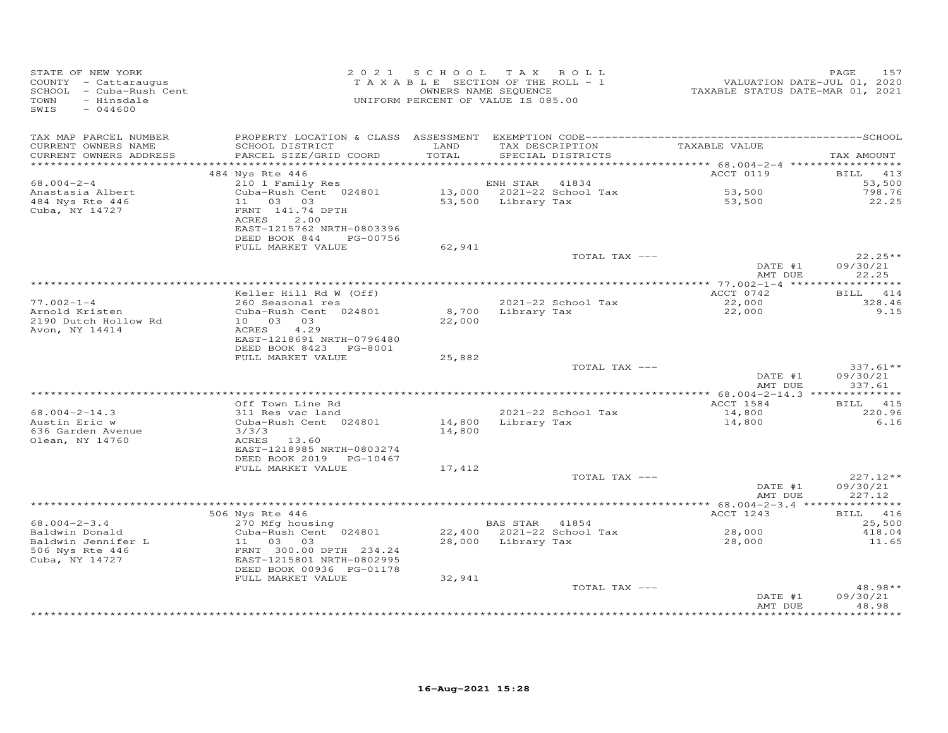| STATE OF NEW YORK<br>COUNTY - Cattaraugus<br>SCHOOL - Cuba-Rush Cent<br>TOWN<br>- Hinsdale<br>SWIS<br>$-044600$ |                                                                                                                            | 2021 SCHOOL TAX ROLL<br>TAXABLE SECTION OF THE ROLL - 1<br>UNIFORM PERCENT OF VALUE IS 085.00 | OWNERS NAME SEQUENCE |                           | VALUATION DATE-JUL 01, 2020<br>TAXABLE STATUS DATE-MAR 01, 2021 | 157<br>PAGE                      |
|-----------------------------------------------------------------------------------------------------------------|----------------------------------------------------------------------------------------------------------------------------|-----------------------------------------------------------------------------------------------|----------------------|---------------------------|-----------------------------------------------------------------|----------------------------------|
| TAX MAP PARCEL NUMBER<br>CURRENT OWNERS NAME                                                                    | SCHOOL DISTRICT                                                                                                            | LAND                                                                                          |                      | TAX DESCRIPTION           | TAXABLE VALUE                                                   |                                  |
| CURRENT OWNERS ADDRESS<br>***********************                                                               | PARCEL SIZE/GRID COORD                                                                                                     | TOTAL                                                                                         |                      | SPECIAL DISTRICTS         |                                                                 | TAX AMOUNT                       |
|                                                                                                                 | 484 Nys Rte 446                                                                                                            |                                                                                               |                      |                           | ACCT 0119                                                       | BILL 413                         |
| $68.004 - 2 - 4$                                                                                                | 210 1 Family Res                                                                                                           |                                                                                               | ENH STAR             | 41834                     |                                                                 | 53,500                           |
| Anastasia Albert                                                                                                | Cuba-Rush Cent 024801                                                                                                      |                                                                                               |                      | 13,000 2021-22 School Tax | 53,500                                                          | 798.76                           |
| 484 Nys Rte 446<br>Cuba, NY 14727                                                                               | 11 03 03<br>FRNT 141.74 DPTH<br>ACRES<br>2.00<br>EAST-1215762 NRTH-0803396<br>DEED BOOK 844<br>PG-00756                    |                                                                                               | 53,500 Library Tax   |                           | 53,500                                                          | 22.25                            |
|                                                                                                                 | FULL MARKET VALUE                                                                                                          | 62,941                                                                                        |                      |                           |                                                                 |                                  |
|                                                                                                                 |                                                                                                                            |                                                                                               |                      | TOTAL TAX ---             | DATE #1                                                         | $22.25**$<br>09/30/21            |
|                                                                                                                 |                                                                                                                            |                                                                                               |                      |                           | AMT DUE                                                         | 22.25                            |
|                                                                                                                 | Keller Hill Rd W (Off)                                                                                                     |                                                                                               |                      |                           | ACCT 0742                                                       | BILL 414                         |
| $77.002 - 1 - 4$                                                                                                | 260 Seasonal res                                                                                                           |                                                                                               |                      | 2021-22 School Tax        | 22,000                                                          | 328.46                           |
| Arnold Kristen                                                                                                  | Cuba-Rush Cent 024801                                                                                                      |                                                                                               | 8,700 Library Tax    |                           | 22,000                                                          | 9.15                             |
| 2190 Dutch Hollow Rd<br>Avon, NY 14414                                                                          | 10 03 03<br>4.29<br>ACRES<br>EAST-1218691 NRTH-0796480<br>DEED BOOK 8423 PG-8001                                           | 22,000                                                                                        |                      |                           |                                                                 |                                  |
|                                                                                                                 | FULL MARKET VALUE                                                                                                          | 25,882                                                                                        |                      |                           |                                                                 |                                  |
|                                                                                                                 |                                                                                                                            |                                                                                               |                      | TOTAL TAX ---             | DATE #1<br>AMT DUE                                              | $337.61**$<br>09/30/21<br>337.61 |
|                                                                                                                 |                                                                                                                            |                                                                                               |                      |                           |                                                                 |                                  |
|                                                                                                                 | Off Town Line Rd                                                                                                           |                                                                                               |                      |                           | ACCT 1584                                                       | BILL 415                         |
| $68.004 - 2 - 14.3$                                                                                             | 311 Res vac land                                                                                                           |                                                                                               |                      | 2021-22 School Tax        | 14,800                                                          | 220.96                           |
| Austin Eric w<br>636 Garden Avenue<br>Olean, NY 14760                                                           | Cuba-Rush Cent 024801<br>3/3/3<br>ACRES 13.60<br>EAST-1218985 NRTH-0803274<br>DEED BOOK 2019 PG-10467<br>FULL MARKET VALUE | 14,800                                                                                        | 14,800 Library Tax   |                           | 14,800                                                          | 6.16                             |
|                                                                                                                 |                                                                                                                            | 17,412                                                                                        |                      | TOTAL TAX ---             |                                                                 | $227.12**$                       |
|                                                                                                                 |                                                                                                                            |                                                                                               |                      |                           | DATE #1<br>AMT DUE                                              | 09/30/21<br>227.12               |
|                                                                                                                 |                                                                                                                            |                                                                                               |                      |                           |                                                                 |                                  |
|                                                                                                                 | 506 Nys Rte 446                                                                                                            |                                                                                               |                      |                           | ACCT 1243                                                       | BILL 416                         |
| $68.004 - 2 - 3.4$                                                                                              | 270 Mfg housing                                                                                                            |                                                                                               | BAS STAR 41854       |                           |                                                                 | 25,500                           |
| Baldwin Donald                                                                                                  | Cuba-Rush Cent 024801                                                                                                      |                                                                                               |                      | 22,400 2021-22 School Tax | 28,000                                                          | 418.04                           |
| Baldwin Jennifer L<br>506 Nys Rte 446<br>Cuba, NY 14727                                                         | 11 03 03<br>FRNT 300.00 DPTH 234.24<br>EAST-1215801 NRTH-0802995<br>DEED BOOK 00936 PG-01178<br>FULL MARKET VALUE          | 32,941                                                                                        | 28,000 Library Tax   |                           | 28,000                                                          | 11.65                            |
|                                                                                                                 |                                                                                                                            |                                                                                               |                      | TOTAL TAX ---             |                                                                 | 48.98**                          |
|                                                                                                                 |                                                                                                                            |                                                                                               |                      |                           | DATE #1<br>AMT DUE                                              | 09/30/21<br>48.98                |
|                                                                                                                 |                                                                                                                            |                                                                                               |                      |                           |                                                                 |                                  |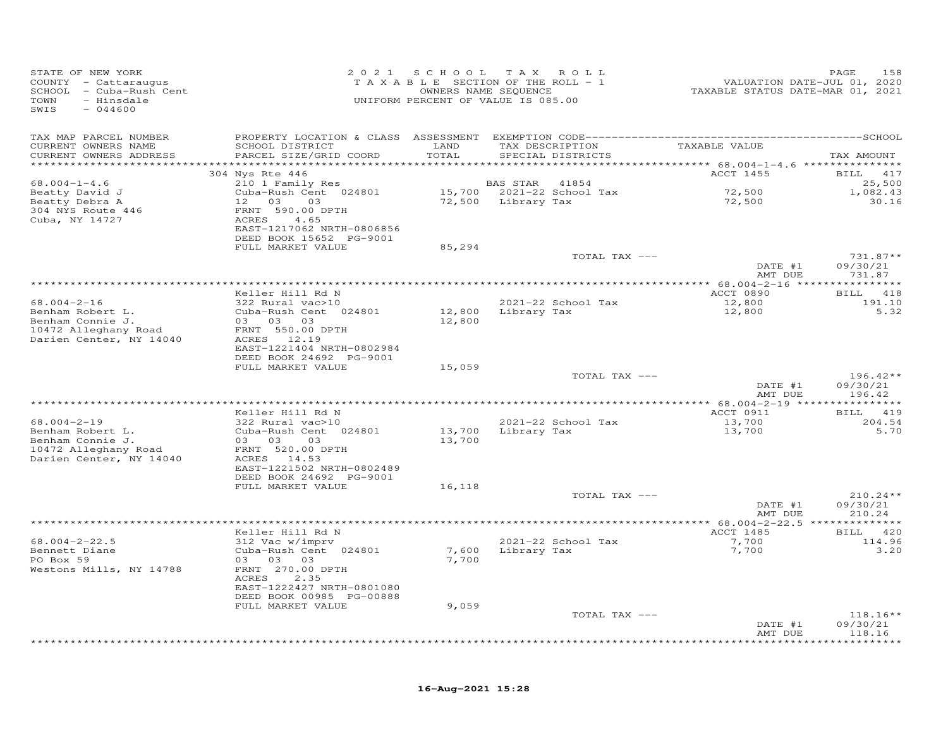| STATE OF NEW YORK<br>COUNTY - Cattaraugus<br>SCHOOL - Cuba-Rush Cent<br>- Hinsdale<br>TOWN<br>$-044600$<br>SWIS |                                                      | 2021 SCHOOL | TAX ROLL<br>TAXABLE SECTION OF THE ROLL - 1<br>OWNERS NAME SEQUENCE<br>UNIFORM PERCENT OF VALUE IS 085.00 | VALUATION DATE-JUL 01, 2020<br>TAXABLE STATUS DATE-MAR 01, 2021 | PAGE<br>158        |
|-----------------------------------------------------------------------------------------------------------------|------------------------------------------------------|-------------|-----------------------------------------------------------------------------------------------------------|-----------------------------------------------------------------|--------------------|
| TAX MAP PARCEL NUMBER                                                                                           |                                                      |             |                                                                                                           |                                                                 |                    |
| CURRENT OWNERS NAME                                                                                             | SCHOOL DISTRICT                                      | LAND        | TAX DESCRIPTION                                                                                           | TAXABLE VALUE                                                   |                    |
| CURRENT OWNERS ADDRESS                                                                                          | PARCEL SIZE/GRID COORD                               | TOTAL       | SPECIAL DISTRICTS                                                                                         |                                                                 | TAX AMOUNT         |
| ***********************                                                                                         |                                                      |             |                                                                                                           |                                                                 |                    |
| $68.004 - 1 - 4.6$                                                                                              | 304 Nys Rte 446<br>210 1 Family Res                  |             | BAS STAR 41854                                                                                            | ACCT 1455                                                       | BILL 417<br>25,500 |
| Beatty David J                                                                                                  | Cuba-Rush Cent 024801                                |             |                                                                                                           |                                                                 | 1,082.43           |
| Beatty Debra A                                                                                                  | 03<br>12 03                                          |             | 72,500 Library Tax                                                                                        | 72,500<br>72,500                                                | 30.16              |
| 304 NYS Route 446                                                                                               | FRNT 590.00 DPTH                                     |             |                                                                                                           |                                                                 |                    |
| Cuba, NY 14727                                                                                                  | ACRES<br>4.65                                        |             |                                                                                                           |                                                                 |                    |
|                                                                                                                 | EAST-1217062 NRTH-0806856                            |             |                                                                                                           |                                                                 |                    |
|                                                                                                                 | DEED BOOK 15652 PG-9001<br>FULL MARKET VALUE         | 85,294      |                                                                                                           |                                                                 |                    |
|                                                                                                                 |                                                      |             | TOTAL TAX ---                                                                                             |                                                                 | $731.87**$         |
|                                                                                                                 |                                                      |             |                                                                                                           | DATE #1                                                         | 09/30/21           |
|                                                                                                                 |                                                      |             |                                                                                                           | AMT DUE                                                         | 731.87             |
|                                                                                                                 |                                                      |             |                                                                                                           |                                                                 |                    |
| $68.004 - 2 - 16$                                                                                               | Keller Hill Rd N<br>322 Rural vac>10                 |             | 2021-22 School Tax                                                                                        | ACCT 0890<br>12,800                                             | BILL 418<br>191.10 |
| Benham Robert L.                                                                                                | Cuba-Rush Cent 024801                                | 12,800      | Library Tax                                                                                               | 12,800                                                          | 5.32               |
| Benham Connie J.                                                                                                | 03 03 03                                             | 12,800      |                                                                                                           |                                                                 |                    |
| 10472 Alleghany Road                                                                                            | FRNT 550.00 DPTH                                     |             |                                                                                                           |                                                                 |                    |
| Darien Center, NY 14040                                                                                         | ACRES 12.19                                          |             |                                                                                                           |                                                                 |                    |
|                                                                                                                 | EAST-1221404 NRTH-0802984<br>DEED BOOK 24692 PG-9001 |             |                                                                                                           |                                                                 |                    |
|                                                                                                                 | FULL MARKET VALUE                                    | 15,059      |                                                                                                           |                                                                 |                    |
|                                                                                                                 |                                                      |             | TOTAL TAX ---                                                                                             |                                                                 | $196.42**$         |
|                                                                                                                 |                                                      |             |                                                                                                           | DATE #1                                                         | 09/30/21           |
|                                                                                                                 |                                                      |             |                                                                                                           | AMT DUE                                                         | 196.42             |
|                                                                                                                 | Keller Hill Rd N                                     |             |                                                                                                           | ACCT 0911                                                       | BILL 419           |
| $68.004 - 2 - 19$                                                                                               | 322 Rural vac>10                                     |             | 2021-22 School Tax                                                                                        |                                                                 | 204.54             |
| Benham Robert L.                                                                                                | Cuba-Rush Cent 024801                                |             | 13,700 Library Tax                                                                                        | 13,700<br>13,700                                                | 5.70               |
| Benham Connie J.                                                                                                | 03 03<br>03                                          | 13,700      |                                                                                                           |                                                                 |                    |
| 10472 Alleghany Road                                                                                            | FRNT 520.00 DPTH                                     |             |                                                                                                           |                                                                 |                    |
| Darien Center, NY 14040                                                                                         | ACRES 14.53<br>EAST-1221502 NRTH-0802489             |             |                                                                                                           |                                                                 |                    |
|                                                                                                                 | DEED BOOK 24692 PG-9001                              |             |                                                                                                           |                                                                 |                    |
|                                                                                                                 | FULL MARKET VALUE                                    | 16,118      |                                                                                                           |                                                                 |                    |
|                                                                                                                 |                                                      |             | TOTAL TAX ---                                                                                             |                                                                 | $210.24**$         |
|                                                                                                                 |                                                      |             |                                                                                                           | DATE #1                                                         | 09/30/21           |
|                                                                                                                 |                                                      |             | *************************************                                                                     | AMT DUE<br>************** 68.004-2-22.5 ***************         | 210.24             |
|                                                                                                                 | Keller Hill Rd N                                     |             |                                                                                                           | ACCT 1485                                                       | BILL 420           |
| $68.004 - 2 - 22.5$                                                                                             | 312 Vac w/imprv                                      |             | 2021-22 School Tax                                                                                        | 7,700                                                           | 114.96             |
| Bennett Diane                                                                                                   | Cuba-Rush Cent 024801                                |             | 7,600 Library Tax                                                                                         | 7,700                                                           | 3.20               |
| PO Box 59                                                                                                       | 03 03 03                                             | 7,700       |                                                                                                           |                                                                 |                    |
| Westons Mills, NY 14788                                                                                         | FRNT 270.00 DPTH<br>ACRES<br>2.35                    |             |                                                                                                           |                                                                 |                    |
|                                                                                                                 | EAST-1222427 NRTH-0801080                            |             |                                                                                                           |                                                                 |                    |
|                                                                                                                 | DEED BOOK 00985 PG-00888                             |             |                                                                                                           |                                                                 |                    |
|                                                                                                                 | FULL MARKET VALUE                                    | 9,059       |                                                                                                           |                                                                 |                    |
|                                                                                                                 |                                                      |             | TOTAL TAX ---                                                                                             |                                                                 | $118.16**$         |
|                                                                                                                 |                                                      |             |                                                                                                           | DATE #1<br>AMT DUE                                              | 09/30/21<br>118.16 |
|                                                                                                                 |                                                      |             |                                                                                                           |                                                                 |                    |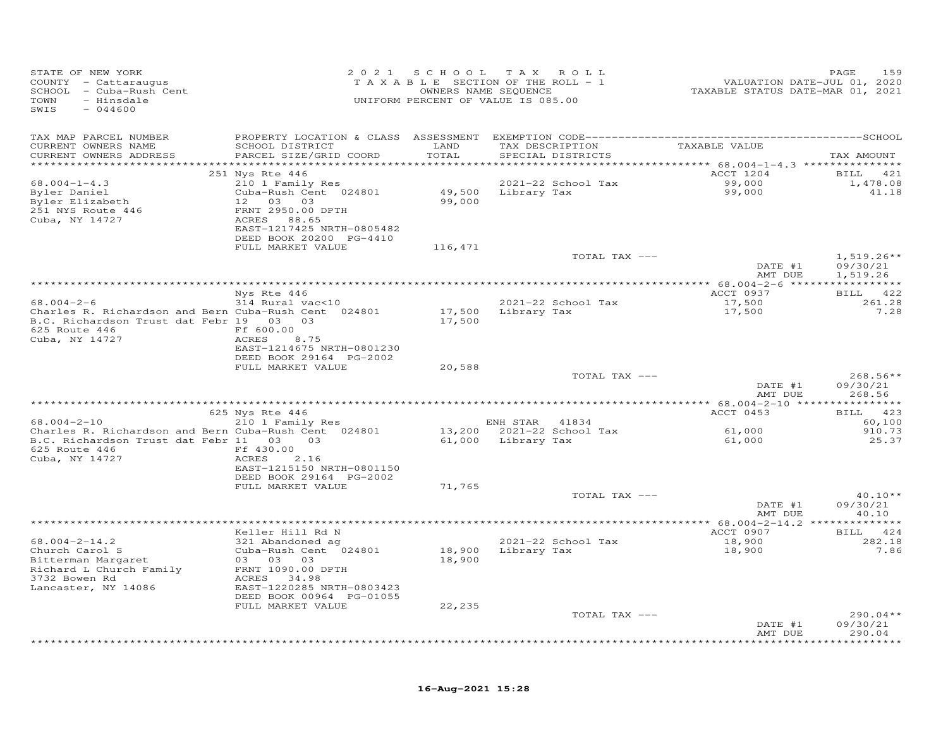| STATE OF NEW YORK<br>COUNTY - Cattaraugus<br>SCHOOL - Cuba-Rush Cent<br>TOWN<br>- Hinsdale<br>SWIS<br>$-044600$ | 2 0 2 1                                              | SCHOOL           | T A X<br>ROLL<br>TAXABLE SECTION OF THE ROLL - 1<br>OWNERS NAME SEQUENCE<br>UNIFORM PERCENT OF VALUE IS 085.00 | VALUATION DATE-JUL 01, 2020<br>TAXABLE STATUS DATE-MAR 01, 2021 | PAGE<br>159        |
|-----------------------------------------------------------------------------------------------------------------|------------------------------------------------------|------------------|----------------------------------------------------------------------------------------------------------------|-----------------------------------------------------------------|--------------------|
| TAX MAP PARCEL NUMBER                                                                                           |                                                      |                  |                                                                                                                |                                                                 |                    |
| CURRENT OWNERS NAME<br>CURRENT OWNERS ADDRESS                                                                   | SCHOOL DISTRICT<br>PARCEL SIZE/GRID COORD            | LAND<br>TOTAL    | TAX DESCRIPTION<br>SPECIAL DISTRICTS                                                                           | TAXABLE VALUE                                                   | TAX AMOUNT         |
| ************************                                                                                        |                                                      |                  |                                                                                                                |                                                                 |                    |
|                                                                                                                 | 251 Nys Rte 446                                      |                  |                                                                                                                | ACCT 1204                                                       | 421<br><b>BILL</b> |
| $68.004 - 1 - 4.3$                                                                                              | 210 1 Family Res                                     |                  | 2021-22 School Tax                                                                                             | 99,000                                                          | 1,478.08           |
| Byler Daniel<br>Byler Elizabeth                                                                                 | Cuba-Rush Cent 024801<br>12 03 03                    | 99,000           | 49,500 Library Tax                                                                                             | 99,000                                                          | 41.18              |
| 251 NYS Route 446                                                                                               | FRNT 2950.00 DPTH                                    |                  |                                                                                                                |                                                                 |                    |
| Cuba, NY 14727                                                                                                  | ACRES 88.65                                          |                  |                                                                                                                |                                                                 |                    |
|                                                                                                                 | EAST-1217425 NRTH-0805482                            |                  |                                                                                                                |                                                                 |                    |
|                                                                                                                 | DEED BOOK 20200 PG-4410                              |                  |                                                                                                                |                                                                 |                    |
|                                                                                                                 | FULL MARKET VALUE                                    | 116,471          | TOTAL TAX ---                                                                                                  |                                                                 | $1,519.26**$       |
|                                                                                                                 |                                                      |                  |                                                                                                                | DATE #1                                                         | 09/30/21           |
|                                                                                                                 |                                                      |                  |                                                                                                                | AMT DUE                                                         | 1,519.26           |
|                                                                                                                 |                                                      |                  |                                                                                                                |                                                                 |                    |
|                                                                                                                 | Nys Rte 446                                          |                  |                                                                                                                | ACCT 0937                                                       | BILL 422           |
| $68.004 - 2 - 6$                                                                                                | 314 Rural vac<10                                     |                  | 2021-22 School Tax                                                                                             | 17,500                                                          | 261.28             |
| Charles R. Richardson and Bern Cuba-Rush Cent 024801<br>B.C. Richardson Trust dat Febr 19 03 03                 |                                                      | 17,500<br>17,500 | Library Tax                                                                                                    | 17,500                                                          | 7.28               |
| 625 Route 446                                                                                                   | Ff 600.00                                            |                  |                                                                                                                |                                                                 |                    |
| Cuba, NY 14727                                                                                                  | ACRES<br>8.75                                        |                  |                                                                                                                |                                                                 |                    |
|                                                                                                                 | EAST-1214675 NRTH-0801230                            |                  |                                                                                                                |                                                                 |                    |
|                                                                                                                 | DEED BOOK 29164 PG-2002<br>FULL MARKET VALUE         |                  |                                                                                                                |                                                                 |                    |
|                                                                                                                 |                                                      | 20,588           | TOTAL TAX ---                                                                                                  |                                                                 | $268.56**$         |
|                                                                                                                 |                                                      |                  |                                                                                                                | DATE #1                                                         | 09/30/21           |
|                                                                                                                 |                                                      |                  |                                                                                                                | AMT DUE                                                         | 268.56             |
|                                                                                                                 |                                                      |                  |                                                                                                                |                                                                 |                    |
| $68.004 - 2 - 10$                                                                                               | 625 Nys Rte 446<br>210 1 Family Res                  |                  | ENH STAR 41834                                                                                                 | ACCT 0453                                                       | BILL 423<br>60,100 |
| Charles R. Richardson and Bern Cuba-Rush Cent 024801                                                            |                                                      | 13,200           | 2021-22 School Tax                                                                                             | 61,000                                                          | 910.73             |
| B.C. Richardson Trust dat Febr 11 03 03                                                                         |                                                      | 61,000           | Library Tax                                                                                                    | 61,000                                                          | 25.37              |
| 625 Route 446                                                                                                   | Ff 430.00                                            |                  |                                                                                                                |                                                                 |                    |
| Cuba, NY 14727                                                                                                  | 2.16<br>ACRES                                        |                  |                                                                                                                |                                                                 |                    |
|                                                                                                                 | EAST-1215150 NRTH-0801150<br>DEED BOOK 29164 PG-2002 |                  |                                                                                                                |                                                                 |                    |
|                                                                                                                 | FULL MARKET VALUE                                    | 71,765           |                                                                                                                |                                                                 |                    |
|                                                                                                                 |                                                      |                  | TOTAL TAX ---                                                                                                  |                                                                 | $40.10**$          |
|                                                                                                                 |                                                      |                  |                                                                                                                | DATE #1                                                         | 09/30/21           |
|                                                                                                                 |                                                      |                  |                                                                                                                | AMT DUE                                                         | 40.10              |
|                                                                                                                 | Keller Hill Rd N                                     |                  |                                                                                                                | ***************** 68.004-2-14.2 **************<br>ACCT 0907     | BILL<br>424        |
| $68.004 - 2 - 14.2$                                                                                             | 321 Abandoned ag                                     |                  | 2021-22 School Tax                                                                                             | 18,900                                                          | 282.18             |
| Church Carol S                                                                                                  | Cuba-Rush Cent 024801                                | 18,900           | Library Tax                                                                                                    | 18,900                                                          | 7.86               |
| Bitterman Margaret                                                                                              | 03 03 03                                             | 18,900           |                                                                                                                |                                                                 |                    |
| Richard L Church Family                                                                                         | FRNT 1090.00 DPTH                                    |                  |                                                                                                                |                                                                 |                    |
| 3732 Bowen Rd<br>Lancaster, NY 14086                                                                            | ACRES 34.98<br>EAST-1220285 NRTH-0803423             |                  |                                                                                                                |                                                                 |                    |
|                                                                                                                 | DEED BOOK 00964 PG-01055                             |                  |                                                                                                                |                                                                 |                    |
|                                                                                                                 | FULL MARKET VALUE                                    | 22,235           |                                                                                                                |                                                                 |                    |
|                                                                                                                 |                                                      |                  | TOTAL TAX ---                                                                                                  |                                                                 | $290.04**$         |
|                                                                                                                 |                                                      |                  |                                                                                                                | DATE #1                                                         | 09/30/21           |
|                                                                                                                 |                                                      |                  |                                                                                                                | AMT DUE                                                         | 290.04<br>*******  |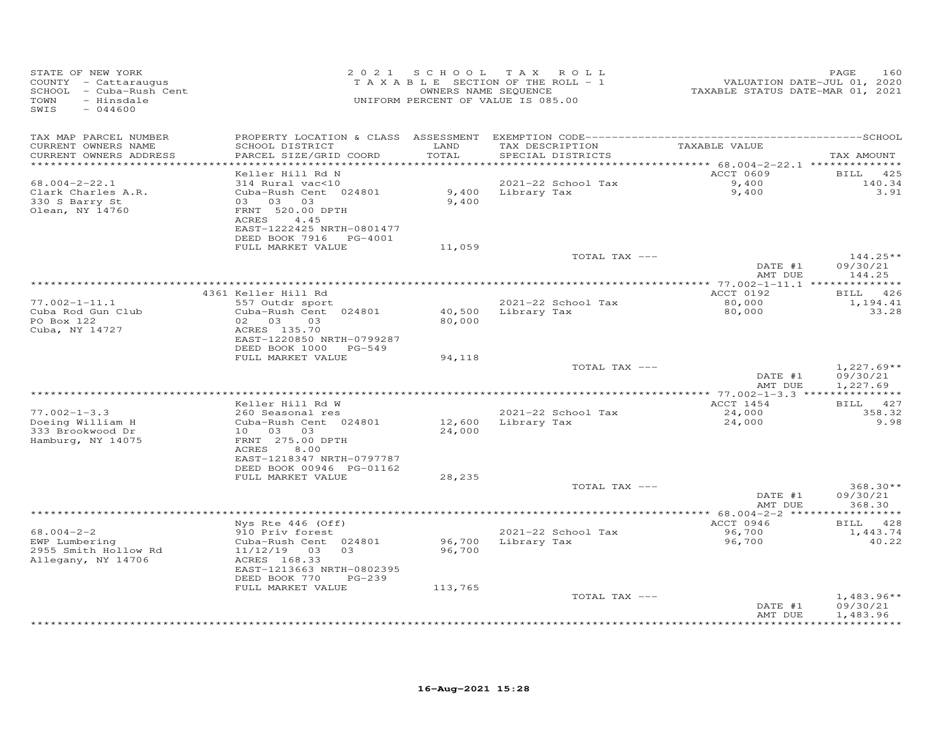| STATE OF NEW YORK<br>COUNTY - Cattaraugus<br>SCHOOL - Cuba-Rush Cent<br>- Hinsdale<br>TOWN<br>SWIS<br>$-044600$ |                                                                                      |               | 2021 SCHOOL TAX ROLL<br>TAXABLE SECTION OF THE ROLL - 1<br>OWNERS NAME SEQUENCE<br>UNIFORM PERCENT OF VALUE IS 085.00 | VALUATION DATE-JUL 01, 2020<br>TAXABLE STATUS DATE-MAR 01, 2021 | 160<br>PAGE                          |
|-----------------------------------------------------------------------------------------------------------------|--------------------------------------------------------------------------------------|---------------|-----------------------------------------------------------------------------------------------------------------------|-----------------------------------------------------------------|--------------------------------------|
| TAX MAP PARCEL NUMBER<br>CURRENT OWNERS NAME<br>CURRENT OWNERS ADDRESS<br>***********************               | SCHOOL DISTRICT<br>PARCEL SIZE/GRID COORD<br>*************************               | LAND<br>TOTAL | TAX DESCRIPTION<br>SPECIAL DISTRICTS                                                                                  | TAXABLE VALUE                                                   | TAX AMOUNT                           |
|                                                                                                                 | Keller Hill Rd N                                                                     |               |                                                                                                                       | ACCT 0609                                                       | BILL 425                             |
| $68.004 - 2 - 22.1$<br>Clark Charles A.R.<br>330 S Barry St<br>Olean, NY 14760                                  | 314 Rural vac<10<br>Cuba-Rush Cent 024801<br>03 03 03<br>FRNT 520.00 DPTH            | 9,400         | 2021-22 School Tax<br>9,400 Library Tax                                                                               | 9,400<br>9,400                                                  | 140.34<br>3.91                       |
|                                                                                                                 | ACRES<br>4.45<br>EAST-1222425 NRTH-0801477<br>DEED BOOK 7916 PG-4001                 |               |                                                                                                                       |                                                                 |                                      |
|                                                                                                                 | FULL MARKET VALUE                                                                    | 11,059        | TOTAL TAX ---                                                                                                         |                                                                 | $144.25**$                           |
|                                                                                                                 |                                                                                      |               |                                                                                                                       | DATE #1<br>AMT DUE                                              | 09/30/21<br>144.25                   |
|                                                                                                                 |                                                                                      |               | *************************************                                                                                 | ************ 77.002-1-11.1 ***                                  | **********                           |
| $77.002 - 1 - 11.1$                                                                                             | 4361 Keller Hill Rd<br>557 Outdr sport                                               |               | 2021-22 School Tax                                                                                                    | ACCT 0192<br>80,000                                             | <b>BILL</b><br>426<br>1,194.41       |
| Cuba Rod Gun Club<br>PO Box 122<br>Cuba, NY 14727                                                               | Cuba-Rush Cent 024801<br>02<br>03<br>0.3<br>ACRES 135.70                             | 80,000        | 40,500 Library Tax                                                                                                    | 80,000                                                          | 33.28                                |
|                                                                                                                 | EAST-1220850 NRTH-0799287<br>DEED BOOK 1000 PG-549                                   |               |                                                                                                                       |                                                                 |                                      |
|                                                                                                                 | FULL MARKET VALUE                                                                    | 94,118        | TOTAL TAX ---                                                                                                         |                                                                 | $1,227.69**$                         |
|                                                                                                                 |                                                                                      |               |                                                                                                                       | DATE #1<br>AMT DUE                                              | 09/30/21<br>1,227.69                 |
|                                                                                                                 | Keller Hill Rd W                                                                     |               |                                                                                                                       | ACCT 1454                                                       | BILL 427                             |
| $77.002 - 1 - 3.3$                                                                                              | 260 Seasonal res                                                                     |               | 2021-22 School Tax                                                                                                    | 24,000                                                          | 358.32                               |
| Doeing William H<br>333 Brookwood Dr<br>Hamburg, NY 14075                                                       | Cuba-Rush Cent 024801<br>10 03 03<br>FRNT 275.00 DPTH                                | 24,000        | 12,600 Library Tax                                                                                                    | 24,000                                                          | 9.98                                 |
|                                                                                                                 | ACRES<br>8.00<br>EAST-1218347 NRTH-0797787<br>DEED BOOK 00946 PG-01162               |               |                                                                                                                       |                                                                 |                                      |
|                                                                                                                 | FULL MARKET VALUE                                                                    | 28,235        | TOTAL TAX ---                                                                                                         |                                                                 | $368.30**$                           |
|                                                                                                                 |                                                                                      |               |                                                                                                                       | DATE #1<br>AMT DUE                                              | 09/30/21<br>368.30                   |
|                                                                                                                 |                                                                                      |               |                                                                                                                       | ACCT 0946                                                       | BILL 428                             |
| $68.004 - 2 - 2$                                                                                                | Nys Rte 446 (Off)<br>910 Priv forest                                                 |               | 2021-22 School Tax                                                                                                    | 96,700                                                          | 1,443.74                             |
| EWP Lumbering<br>2955 Smith Hollow Rd<br>Allegany, NY 14706                                                     | Cuba-Rush Cent 024801<br>11/12/19 03 03<br>ACRES 168.33<br>EAST-1213663 NRTH-0802395 | 96,700        | 96,700 Library Tax                                                                                                    | 96,700                                                          | 40.22                                |
|                                                                                                                 | DEED BOOK 770<br>$PG-239$                                                            |               |                                                                                                                       |                                                                 |                                      |
|                                                                                                                 | FULL MARKET VALUE                                                                    | 113,765       |                                                                                                                       |                                                                 |                                      |
|                                                                                                                 |                                                                                      |               | TOTAL TAX ---                                                                                                         | DATE #1<br>AMT DUE                                              | $1,483.96**$<br>09/30/21<br>1,483.96 |
|                                                                                                                 |                                                                                      |               |                                                                                                                       |                                                                 | ***********                          |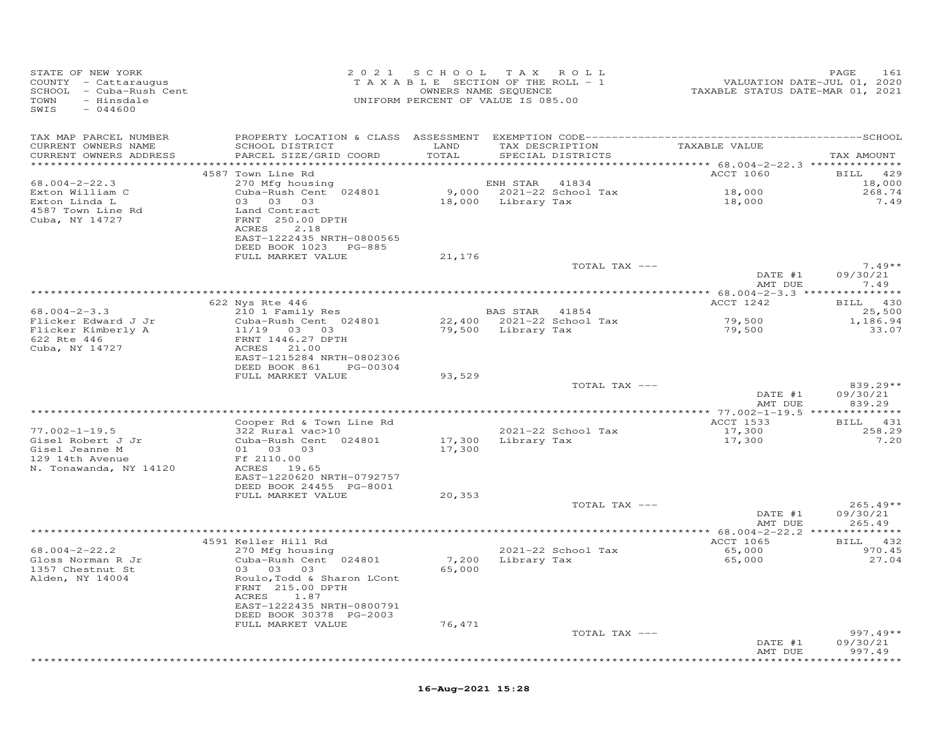| STATE OF NEW YORK<br>COUNTY - Cattaraugus<br>SCHOOL - Cuba-Rush Cent<br>TAXABLE SECTION OF THE ROLL - 1<br>OWNERS NAME SEQUENCE<br>TOWN - Hinsdale<br>TOWN - Hinsdale<br>ONIFORM PERCENT OF VALUE IS 085.00<br>$-044600$<br>SWIS                         |                                                       |        |                                                                                               | 161 PAGE<br>2020 VALUATION DATE-JUL<br>2021 TAXABLE STATUS DATE-MAR | PAGE<br>161                |
|----------------------------------------------------------------------------------------------------------------------------------------------------------------------------------------------------------------------------------------------------------|-------------------------------------------------------|--------|-----------------------------------------------------------------------------------------------|---------------------------------------------------------------------|----------------------------|
| TAX MAP PARCEL NUMBER<br>CURRENT OWNERS NAME                                                                                                                                                                                                             |                                                       |        | SCHOOL DISTRICT                    LAND        TAX DESCRIPTION                  TAXABLE VALUE |                                                                     |                            |
| CURRENT OWNERS ADDRESS<br>***********************                                                                                                                                                                                                        | PARCEL SIZE/GRID COORD                                | TOTAL  | SPECIAL DISTRICTS                                                                             |                                                                     | TAX AMOUNT                 |
|                                                                                                                                                                                                                                                          | 4587 Town Line Rd                                     |        |                                                                                               | ACCT 1060                                                           | BILL 429                   |
| $68.004 - 2 - 22.3$                                                                                                                                                                                                                                      | 270 Mfg housing                                       |        | ENH STAR 41834<br>9,000 2021-22 School Tax<br>18,000 Library Tax                              |                                                                     | 18,000                     |
|                                                                                                                                                                                                                                                          | Cuba-Rush Cent 024801                                 |        |                                                                                               | 18,000<br>18,000                                                    | 268.74<br>7.49             |
|                                                                                                                                                                                                                                                          | 03 03 03<br>Land Contract                             |        |                                                                                               |                                                                     |                            |
| Exton William C<br>Exton Linda L<br>4587 Town Line Rd<br>Cuba, NY 14727                                                                                                                                                                                  | FRNT 250.00 DPTH                                      |        |                                                                                               |                                                                     |                            |
|                                                                                                                                                                                                                                                          | 2.18<br>ACRES                                         |        |                                                                                               |                                                                     |                            |
|                                                                                                                                                                                                                                                          | EAST-1222435 NRTH-0800565                             |        |                                                                                               |                                                                     |                            |
|                                                                                                                                                                                                                                                          | DEED BOOK 1023 PG-885<br>FULL MARKET VALUE            | 21,176 |                                                                                               |                                                                     |                            |
|                                                                                                                                                                                                                                                          |                                                       |        | TOTAL TAX ---                                                                                 |                                                                     | $7.49**$                   |
|                                                                                                                                                                                                                                                          |                                                       |        |                                                                                               | DATE #1                                                             | 09/30/21                   |
|                                                                                                                                                                                                                                                          |                                                       |        |                                                                                               | AMT DUE                                                             | 7.49                       |
|                                                                                                                                                                                                                                                          |                                                       |        |                                                                                               | ACCT 1242                                                           | BILL 430                   |
| 68.004-2-3.3<br>622 Nys Rte 446<br>68.004-2-3.3<br>Flicker Edward J Jr Cuba-Rush Cent 024801<br>79,500 Library Tax<br>622 Rte 446<br>622 Rte 446<br>622 Rte 446<br>622 Rte 446<br>623 Rte 446<br>623 Rte 446<br>623 Rte 446<br>623 Rte 446<br>623 Rte 44 |                                                       |        |                                                                                               |                                                                     | 25,500                     |
|                                                                                                                                                                                                                                                          |                                                       |        |                                                                                               | 79,500<br>79,500                                                    | 1,186.94                   |
|                                                                                                                                                                                                                                                          |                                                       |        |                                                                                               |                                                                     | 33.07                      |
|                                                                                                                                                                                                                                                          |                                                       |        |                                                                                               |                                                                     |                            |
|                                                                                                                                                                                                                                                          | EAST-1215284 NRTH-0802306                             |        |                                                                                               |                                                                     |                            |
|                                                                                                                                                                                                                                                          | DEED BOOK 861 PG-00304                                |        |                                                                                               |                                                                     |                            |
|                                                                                                                                                                                                                                                          | FULL MARKET VALUE                                     | 93,529 | TOTAL TAX ---                                                                                 |                                                                     | $839.29**$                 |
|                                                                                                                                                                                                                                                          |                                                       |        |                                                                                               | DATE #1                                                             | 09/30/21                   |
|                                                                                                                                                                                                                                                          |                                                       |        |                                                                                               | AMT DUE                                                             | 839.29                     |
|                                                                                                                                                                                                                                                          |                                                       |        |                                                                                               |                                                                     |                            |
| $77.002 - 1 - 19.5$                                                                                                                                                                                                                                      | Cooper Rd & Town Line Rd                              |        | 2021-22 School Tax                                                                            | ACCT 1533                                                           | BILL 431<br>258.29         |
| Gisel Robert J Jr                                                                                                                                                                                                                                        |                                                       |        | 17,300 Library Tax                                                                            | 17,300<br>17,300                                                    | 7.20                       |
| Gisel Jeanne M                                                                                                                                                                                                                                           | 322 Rural vac>10<br>Cuba-Rush Cent 024801<br>01 03 03 | 17,300 |                                                                                               |                                                                     |                            |
| 129 14th Avenue                                                                                                                                                                                                                                          | Ff 2110.00                                            |        |                                                                                               |                                                                     |                            |
| N. Tonawanda, NY 14120                                                                                                                                                                                                                                   | ACRES 19.65<br>EAST-1220620 NRTH-0792757              |        |                                                                                               |                                                                     |                            |
|                                                                                                                                                                                                                                                          | DEED BOOK 24455 PG-8001                               |        |                                                                                               |                                                                     |                            |
|                                                                                                                                                                                                                                                          | FULL MARKET VALUE                                     | 20,353 |                                                                                               |                                                                     |                            |
|                                                                                                                                                                                                                                                          |                                                       |        | TOTAL TAX ---                                                                                 | DATE #1                                                             | $265.49**$                 |
|                                                                                                                                                                                                                                                          |                                                       |        |                                                                                               |                                                                     | 09/30/21<br>AMT DUE 265.49 |
|                                                                                                                                                                                                                                                          |                                                       |        |                                                                                               |                                                                     |                            |
|                                                                                                                                                                                                                                                          | 4591 Keller Hill Rd<br>270 Mfg housing                |        |                                                                                               | ACCT 1065                                                           | BILL 432                   |
| $68.004 - 2 - 22.2$                                                                                                                                                                                                                                      |                                                       |        | 2021-22 School Tax<br>7,200 Library Tax                                                       | 65,000<br>65,000                                                    | 970.45<br>27.04            |
| Gloss Norman R Jr<br>1357 Chestnut St                                                                                                                                                                                                                    | Cuba-Rush Cent 024801<br>$03$ $03$ $03$               | 65,000 |                                                                                               |                                                                     |                            |
| Alden, NY 14004                                                                                                                                                                                                                                          | Roulo, Todd & Sharon LCont                            |        |                                                                                               |                                                                     |                            |
|                                                                                                                                                                                                                                                          | FRNT 215.00 DPTH                                      |        |                                                                                               |                                                                     |                            |
|                                                                                                                                                                                                                                                          | ACRES 1.87<br>EAST-1222435 NRTH-0800791               |        |                                                                                               |                                                                     |                            |
|                                                                                                                                                                                                                                                          | DEED BOOK 30378 PG-2003                               |        |                                                                                               |                                                                     |                            |
|                                                                                                                                                                                                                                                          | FULL MARKET VALUE                                     | 76,471 |                                                                                               |                                                                     |                            |
|                                                                                                                                                                                                                                                          |                                                       |        | TOTAL TAX ---                                                                                 |                                                                     | $997.49**$                 |
|                                                                                                                                                                                                                                                          |                                                       |        |                                                                                               | DATE #1<br>AMT DUE                                                  | 09/30/21<br>997.49         |
|                                                                                                                                                                                                                                                          |                                                       |        |                                                                                               | * * * * * * * * * * * * * *                                         | ********                   |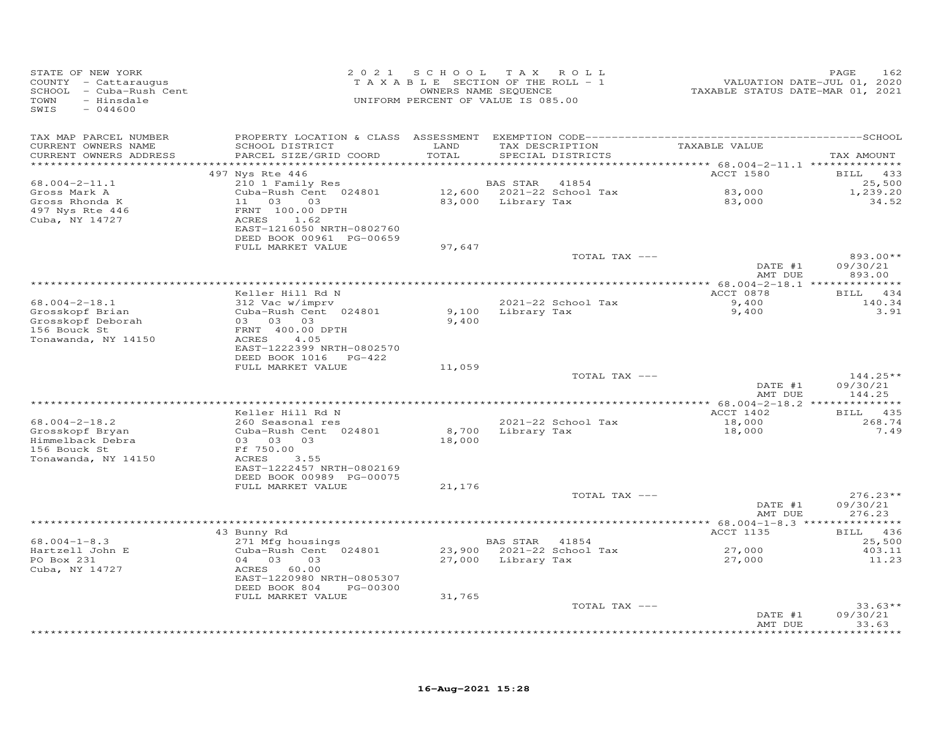| TAX MAP PARCEL NUMBER<br>TAXABLE VALUE<br>SCHOOL DISTRICT<br>TAX DESCRIPTION<br>CURRENT OWNERS NAME<br>LAND<br>CURRENT OWNERS ADDRESS<br>PARCEL SIZE/GRID COORD<br>TOTAL<br>SPECIAL DISTRICTS<br>**********************<br>ACCT 1580<br>497 Nys Rte 446<br>BILL 433<br>$68.004 - 2 - 11.1$<br>210 1 Family Res<br>BAS STAR<br>41854<br>Cuba-Rush Cent 024801<br>12,600 2021-22 School Tax<br>83,000<br>Gross Mark A<br>11 03<br>83,000 Library Tax<br>83,000<br>Gross Rhonda K<br>03<br>497 Nys Rte 446<br>FRNT 100.00 DPTH<br>Cuba, NY 14727<br>ACRES<br>1.62<br>EAST-1216050 NRTH-0802760<br>DEED BOOK 00961 PG-00659<br>FULL MARKET VALUE<br>97,647<br>893.00**<br>TOTAL TAX ---<br>DATE #1<br>893.00<br>AMT DUE<br>************************************<br>**************** 68.004-2-18.1 ***************<br>ACCT 0878<br>Keller Hill Rd N<br>$68.004 - 2 - 18.1$<br>2021-22 School Tax<br>9,400<br>312 Vac w/imprv<br>Grosskopf Brian<br>Cuba-Rush Cent 024801<br>9,100 Library Tax<br>9,400<br>Grosskopf Deborah<br>03 03 03<br>9,400<br>156 Bouck St<br>FRNT 400.00 DPTH<br>4.05<br>Tonawanda, NY 14150<br>ACRES<br>EAST-1222399 NRTH-0802570<br>DEED BOOK 1016 PG-422<br>FULL MARKET VALUE<br>11,059<br>TOTAL TAX ---<br>DATE #1<br>AMT DUE<br>Keller Hill Rd N<br>ACCT 1402<br>BILL 435<br>$68.004 - 2 - 18.2$<br>260 Seasonal res<br>2021-22 School Tax<br>18,000<br>Grosskopf Bryan<br>Cuba-Rush Cent 024801<br>8,700<br>Library Tax<br>18,000<br>Himmelback Debra<br>03 03 03<br>18,000<br>156 Bouck St<br>Ff 750.00<br>Tonawanda, NY 14150<br>ACRES<br>3.55<br>EAST-1222457 NRTH-0802169<br>DEED BOOK 00989 PG-00075<br>FULL MARKET VALUE<br>21,176<br>TOTAL TAX ---<br>DATE #1<br>AMT DUE<br>276.23<br>************ 68.004-1-8.3 ****************<br>43 Bunny Rd<br>ACCT 1135<br>$68.004 - 1 - 8.3$<br>271 Mfg housings<br>BAS STAR 41854<br>Hartzell John E<br>Cuba-Rush Cent 024801<br>23,900 2021-22 School Tax<br>27,000<br>PO Box 231<br>04 03<br>27,000 Library Tax<br>03<br>27,000<br>Cuba, NY 14727<br>ACRES 60.00<br>EAST-1220980 NRTH-0805307<br>DEED BOOK 804<br>PG-00300<br>FULL MARKET VALUE<br>31,765<br>TOTAL TAX ---<br>DATE #1 | STATE OF NEW YORK<br>COUNTY - Cattaraugus<br>SCHOOL - Cuba-Rush Cent<br>TOWN<br>- Hinsdale<br>SWIS<br>$-044600$ | 2021 SCHOOL | TAX ROLL<br>TAXABLE SECTION OF THE ROLL - 1<br>OWNERS NAME SEQUENCE<br>UNIFORM PERCENT OF VALUE IS 085.00 | VALUATION DATE-JUL 01, 2020<br>TAXABLE STATUS DATE-MAR 01, 2021 | PAGE<br>162               |
|---------------------------------------------------------------------------------------------------------------------------------------------------------------------------------------------------------------------------------------------------------------------------------------------------------------------------------------------------------------------------------------------------------------------------------------------------------------------------------------------------------------------------------------------------------------------------------------------------------------------------------------------------------------------------------------------------------------------------------------------------------------------------------------------------------------------------------------------------------------------------------------------------------------------------------------------------------------------------------------------------------------------------------------------------------------------------------------------------------------------------------------------------------------------------------------------------------------------------------------------------------------------------------------------------------------------------------------------------------------------------------------------------------------------------------------------------------------------------------------------------------------------------------------------------------------------------------------------------------------------------------------------------------------------------------------------------------------------------------------------------------------------------------------------------------------------------------------------------------------------------------------------------------------------------------------------------------------------------------------------------------------------------------------------------------------------------------------------------------------------------------------------------------------|-----------------------------------------------------------------------------------------------------------------|-------------|-----------------------------------------------------------------------------------------------------------|-----------------------------------------------------------------|---------------------------|
|                                                                                                                                                                                                                                                                                                                                                                                                                                                                                                                                                                                                                                                                                                                                                                                                                                                                                                                                                                                                                                                                                                                                                                                                                                                                                                                                                                                                                                                                                                                                                                                                                                                                                                                                                                                                                                                                                                                                                                                                                                                                                                                                                               |                                                                                                                 |             |                                                                                                           |                                                                 | TAX AMOUNT                |
|                                                                                                                                                                                                                                                                                                                                                                                                                                                                                                                                                                                                                                                                                                                                                                                                                                                                                                                                                                                                                                                                                                                                                                                                                                                                                                                                                                                                                                                                                                                                                                                                                                                                                                                                                                                                                                                                                                                                                                                                                                                                                                                                                               |                                                                                                                 |             |                                                                                                           |                                                                 |                           |
|                                                                                                                                                                                                                                                                                                                                                                                                                                                                                                                                                                                                                                                                                                                                                                                                                                                                                                                                                                                                                                                                                                                                                                                                                                                                                                                                                                                                                                                                                                                                                                                                                                                                                                                                                                                                                                                                                                                                                                                                                                                                                                                                                               |                                                                                                                 |             |                                                                                                           |                                                                 | 25,500                    |
|                                                                                                                                                                                                                                                                                                                                                                                                                                                                                                                                                                                                                                                                                                                                                                                                                                                                                                                                                                                                                                                                                                                                                                                                                                                                                                                                                                                                                                                                                                                                                                                                                                                                                                                                                                                                                                                                                                                                                                                                                                                                                                                                                               |                                                                                                                 |             |                                                                                                           |                                                                 | 1,239.20<br>34.52         |
|                                                                                                                                                                                                                                                                                                                                                                                                                                                                                                                                                                                                                                                                                                                                                                                                                                                                                                                                                                                                                                                                                                                                                                                                                                                                                                                                                                                                                                                                                                                                                                                                                                                                                                                                                                                                                                                                                                                                                                                                                                                                                                                                                               |                                                                                                                 |             |                                                                                                           |                                                                 |                           |
|                                                                                                                                                                                                                                                                                                                                                                                                                                                                                                                                                                                                                                                                                                                                                                                                                                                                                                                                                                                                                                                                                                                                                                                                                                                                                                                                                                                                                                                                                                                                                                                                                                                                                                                                                                                                                                                                                                                                                                                                                                                                                                                                                               |                                                                                                                 |             |                                                                                                           |                                                                 |                           |
|                                                                                                                                                                                                                                                                                                                                                                                                                                                                                                                                                                                                                                                                                                                                                                                                                                                                                                                                                                                                                                                                                                                                                                                                                                                                                                                                                                                                                                                                                                                                                                                                                                                                                                                                                                                                                                                                                                                                                                                                                                                                                                                                                               |                                                                                                                 |             |                                                                                                           |                                                                 | 09/30/21                  |
|                                                                                                                                                                                                                                                                                                                                                                                                                                                                                                                                                                                                                                                                                                                                                                                                                                                                                                                                                                                                                                                                                                                                                                                                                                                                                                                                                                                                                                                                                                                                                                                                                                                                                                                                                                                                                                                                                                                                                                                                                                                                                                                                                               |                                                                                                                 |             |                                                                                                           |                                                                 |                           |
|                                                                                                                                                                                                                                                                                                                                                                                                                                                                                                                                                                                                                                                                                                                                                                                                                                                                                                                                                                                                                                                                                                                                                                                                                                                                                                                                                                                                                                                                                                                                                                                                                                                                                                                                                                                                                                                                                                                                                                                                                                                                                                                                                               |                                                                                                                 |             |                                                                                                           |                                                                 | BILL 434                  |
|                                                                                                                                                                                                                                                                                                                                                                                                                                                                                                                                                                                                                                                                                                                                                                                                                                                                                                                                                                                                                                                                                                                                                                                                                                                                                                                                                                                                                                                                                                                                                                                                                                                                                                                                                                                                                                                                                                                                                                                                                                                                                                                                                               |                                                                                                                 |             |                                                                                                           |                                                                 | 140.34<br>3.91            |
|                                                                                                                                                                                                                                                                                                                                                                                                                                                                                                                                                                                                                                                                                                                                                                                                                                                                                                                                                                                                                                                                                                                                                                                                                                                                                                                                                                                                                                                                                                                                                                                                                                                                                                                                                                                                                                                                                                                                                                                                                                                                                                                                                               |                                                                                                                 |             |                                                                                                           |                                                                 |                           |
|                                                                                                                                                                                                                                                                                                                                                                                                                                                                                                                                                                                                                                                                                                                                                                                                                                                                                                                                                                                                                                                                                                                                                                                                                                                                                                                                                                                                                                                                                                                                                                                                                                                                                                                                                                                                                                                                                                                                                                                                                                                                                                                                                               |                                                                                                                 |             |                                                                                                           |                                                                 | $144.25**$                |
|                                                                                                                                                                                                                                                                                                                                                                                                                                                                                                                                                                                                                                                                                                                                                                                                                                                                                                                                                                                                                                                                                                                                                                                                                                                                                                                                                                                                                                                                                                                                                                                                                                                                                                                                                                                                                                                                                                                                                                                                                                                                                                                                                               |                                                                                                                 |             |                                                                                                           |                                                                 | 09/30/21<br>144.25        |
|                                                                                                                                                                                                                                                                                                                                                                                                                                                                                                                                                                                                                                                                                                                                                                                                                                                                                                                                                                                                                                                                                                                                                                                                                                                                                                                                                                                                                                                                                                                                                                                                                                                                                                                                                                                                                                                                                                                                                                                                                                                                                                                                                               |                                                                                                                 |             |                                                                                                           |                                                                 |                           |
|                                                                                                                                                                                                                                                                                                                                                                                                                                                                                                                                                                                                                                                                                                                                                                                                                                                                                                                                                                                                                                                                                                                                                                                                                                                                                                                                                                                                                                                                                                                                                                                                                                                                                                                                                                                                                                                                                                                                                                                                                                                                                                                                                               |                                                                                                                 |             |                                                                                                           |                                                                 | 268.74<br>7.49            |
|                                                                                                                                                                                                                                                                                                                                                                                                                                                                                                                                                                                                                                                                                                                                                                                                                                                                                                                                                                                                                                                                                                                                                                                                                                                                                                                                                                                                                                                                                                                                                                                                                                                                                                                                                                                                                                                                                                                                                                                                                                                                                                                                                               |                                                                                                                 |             |                                                                                                           |                                                                 |                           |
|                                                                                                                                                                                                                                                                                                                                                                                                                                                                                                                                                                                                                                                                                                                                                                                                                                                                                                                                                                                                                                                                                                                                                                                                                                                                                                                                                                                                                                                                                                                                                                                                                                                                                                                                                                                                                                                                                                                                                                                                                                                                                                                                                               |                                                                                                                 |             |                                                                                                           |                                                                 | $276.23**$<br>09/30/21    |
|                                                                                                                                                                                                                                                                                                                                                                                                                                                                                                                                                                                                                                                                                                                                                                                                                                                                                                                                                                                                                                                                                                                                                                                                                                                                                                                                                                                                                                                                                                                                                                                                                                                                                                                                                                                                                                                                                                                                                                                                                                                                                                                                                               |                                                                                                                 |             |                                                                                                           |                                                                 |                           |
|                                                                                                                                                                                                                                                                                                                                                                                                                                                                                                                                                                                                                                                                                                                                                                                                                                                                                                                                                                                                                                                                                                                                                                                                                                                                                                                                                                                                                                                                                                                                                                                                                                                                                                                                                                                                                                                                                                                                                                                                                                                                                                                                                               |                                                                                                                 |             |                                                                                                           |                                                                 | BILL 436                  |
|                                                                                                                                                                                                                                                                                                                                                                                                                                                                                                                                                                                                                                                                                                                                                                                                                                                                                                                                                                                                                                                                                                                                                                                                                                                                                                                                                                                                                                                                                                                                                                                                                                                                                                                                                                                                                                                                                                                                                                                                                                                                                                                                                               |                                                                                                                 |             |                                                                                                           |                                                                 | 25,500<br>403.11<br>11.23 |
|                                                                                                                                                                                                                                                                                                                                                                                                                                                                                                                                                                                                                                                                                                                                                                                                                                                                                                                                                                                                                                                                                                                                                                                                                                                                                                                                                                                                                                                                                                                                                                                                                                                                                                                                                                                                                                                                                                                                                                                                                                                                                                                                                               |                                                                                                                 |             |                                                                                                           |                                                                 | $33.63**$                 |
|                                                                                                                                                                                                                                                                                                                                                                                                                                                                                                                                                                                                                                                                                                                                                                                                                                                                                                                                                                                                                                                                                                                                                                                                                                                                                                                                                                                                                                                                                                                                                                                                                                                                                                                                                                                                                                                                                                                                                                                                                                                                                                                                                               |                                                                                                                 |             |                                                                                                           | AMT DUE                                                         | 09/30/21<br>33.63         |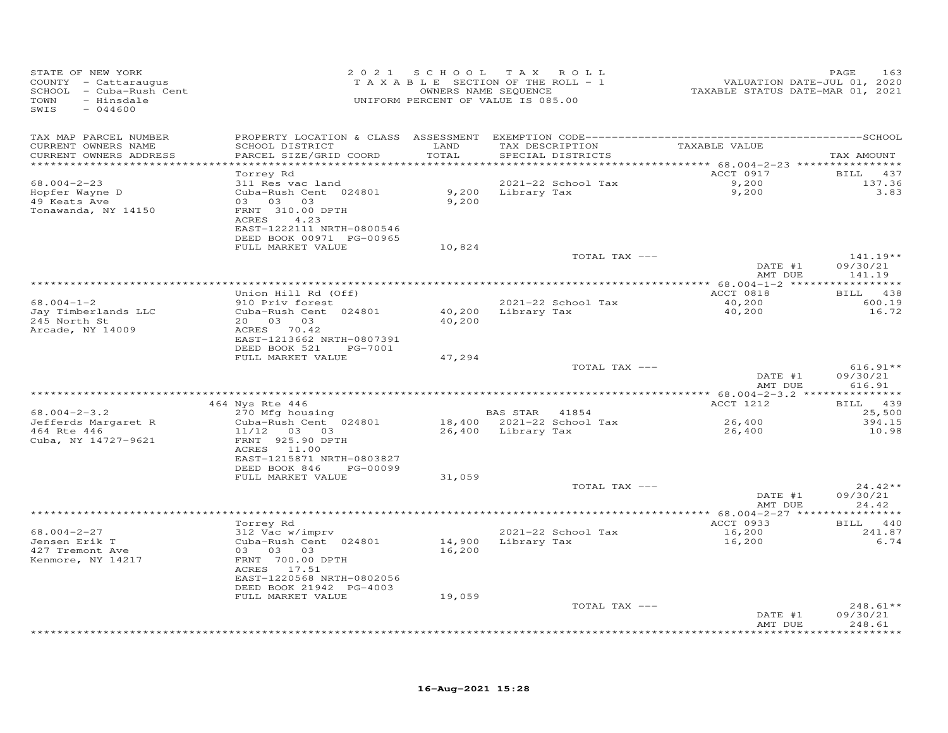| STATE OF NEW YORK<br>COUNTY - Cattaraugus<br>SCHOOL - Cuba-Rush Cent<br>TOWN<br>- Hinsdale<br>SWIS<br>$-044600$ |                                                                                                                                                                  | 2021 SCHOOL                | T A X<br>ROLL<br>TAXABLE SECTION OF THE ROLL - 1<br>OWNERS NAME SEQUENCE<br>UNIFORM PERCENT OF VALUE IS 085.00 | VALUATION DATE-JUL 01, 2020<br>TAXABLE STATUS DATE-MAR 01, 2021 | 163<br>PAGE                    |
|-----------------------------------------------------------------------------------------------------------------|------------------------------------------------------------------------------------------------------------------------------------------------------------------|----------------------------|----------------------------------------------------------------------------------------------------------------|-----------------------------------------------------------------|--------------------------------|
| TAX MAP PARCEL NUMBER                                                                                           |                                                                                                                                                                  |                            |                                                                                                                |                                                                 |                                |
| CURRENT OWNERS NAME<br>CURRENT OWNERS ADDRESS                                                                   | SCHOOL DISTRICT<br>PARCEL SIZE/GRID COORD                                                                                                                        | LAND<br>TOTAL              | TAX DESCRIPTION<br>SPECIAL DISTRICTS                                                                           | TAXABLE VALUE                                                   | TAX AMOUNT                     |
| ********************                                                                                            |                                                                                                                                                                  | * * * * * * * * * * *      |                                                                                                                | *********** 68.004-2-23 *****************                       |                                |
| $68.004 - 2 - 23$<br>Hopfer Wayne D<br>49 Keats Ave<br>Tonawanda, NY 14150                                      | Torrey Rd<br>311 Res vac land<br>Cuba-Rush Cent 024801<br>03 03 03<br>FRNT 310.00 DPTH<br>ACRES<br>4.23<br>EAST-1222111 NRTH-0800546<br>DEED BOOK 00971 PG-00965 | 9,200<br>9,200             | 2021-22 School Tax<br>Library Tax                                                                              | ACCT 0917<br>9,200<br>9,200                                     | BILL 437<br>137.36<br>3.83     |
|                                                                                                                 | FULL MARKET VALUE                                                                                                                                                | 10,824                     |                                                                                                                |                                                                 |                                |
|                                                                                                                 |                                                                                                                                                                  |                            | TOTAL TAX ---                                                                                                  | DATE #1                                                         | $141.19**$<br>09/30/21         |
|                                                                                                                 |                                                                                                                                                                  |                            |                                                                                                                | AMT DUE                                                         | 141.19                         |
|                                                                                                                 | Union Hill Rd (Off)                                                                                                                                              |                            |                                                                                                                | ACCT 0818                                                       | BILL 438                       |
| $68.004 - 1 - 2$<br>Jay Timberlands LLC<br>245 North St<br>Arcade, NY 14009                                     | 910 Priv forest<br>Cuba-Rush Cent 024801<br>20  03  03<br>ACRES 70.42<br>EAST-1213662 NRTH-0807391                                                               | 40,200                     | 2021-22 School Tax<br>40,200 Library Tax                                                                       | 40,200<br>40,200                                                | 600.19<br>16.72                |
|                                                                                                                 | DEED BOOK 521<br>PG-7001                                                                                                                                         |                            |                                                                                                                |                                                                 |                                |
|                                                                                                                 | FULL MARKET VALUE                                                                                                                                                | 47,294                     | TOTAL TAX ---                                                                                                  | DATE #1                                                         | $616.91**$<br>09/30/21         |
|                                                                                                                 |                                                                                                                                                                  |                            |                                                                                                                | AMT DUE                                                         | 616.91                         |
|                                                                                                                 | 464 Nys Rte 446                                                                                                                                                  |                            |                                                                                                                | ACCT 1212                                                       | BILL 439                       |
| $68.004 - 2 - 3.2$                                                                                              | 270 Mfg housing                                                                                                                                                  |                            | BAS STAR 41854                                                                                                 |                                                                 | 25,500                         |
| Jefferds Margaret R<br>464 Rte 446<br>Cuba, NY 14727-9621                                                       | Cuba-Rush Cent 024801<br>$11/12$ 03 03<br>FRNT 925.90 DPTH<br>ACRES 11.00<br>EAST-1215871 NRTH-0803827<br>DEED BOOK 846<br>PG-00099                              |                            | 18,400 2021-22 School Tax<br>26,400 Library Tax                                                                | 26,400<br>26,400                                                | 394.15<br>10.98                |
|                                                                                                                 | FULL MARKET VALUE                                                                                                                                                | 31,059                     |                                                                                                                |                                                                 |                                |
|                                                                                                                 |                                                                                                                                                                  |                            | TOTAL TAX ---                                                                                                  | DATE #1<br>AMT DUE                                              | $24.42**$<br>09/30/21<br>24.42 |
|                                                                                                                 |                                                                                                                                                                  |                            |                                                                                                                |                                                                 |                                |
| $68.004 - 2 - 27$                                                                                               | Torrey Rd<br>312 Vac w/imprv                                                                                                                                     |                            | 2021-22 School Tax                                                                                             | ACCT 0933<br>16,200                                             | BILL 440<br>241.87             |
| Jensen Erik T<br>427 Tremont Ave<br>Kenmore, NY 14217                                                           | Cuba-Rush Cent 024801<br>03 03 03<br>FRNT 700.00 DPTH<br>ACRES 17.51<br>EAST-1220568 NRTH-0802056<br>DEED BOOK 21942 PG-4003<br>FULL MARKET VALUE                | 14,900<br>16,200<br>19,059 | Library Tax                                                                                                    | 16,200                                                          | 6.74                           |
|                                                                                                                 |                                                                                                                                                                  |                            | TOTAL TAX ---                                                                                                  |                                                                 | $248.61**$                     |
|                                                                                                                 |                                                                                                                                                                  |                            |                                                                                                                | DATE #1<br>AMT DUE                                              | 09/30/21<br>248.61<br>******** |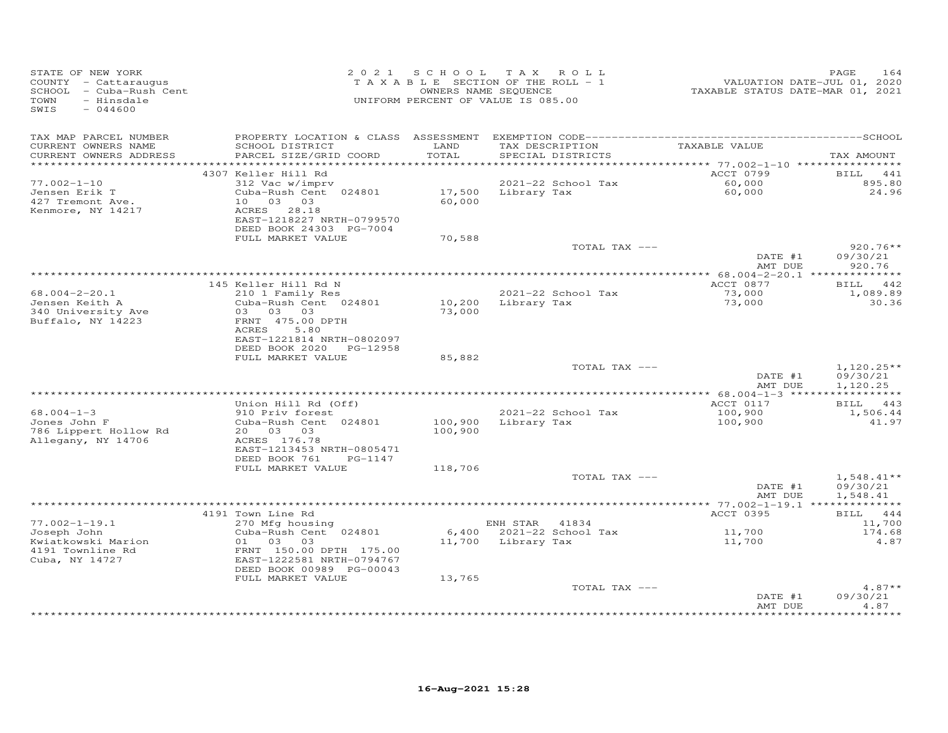| STATE OF NEW YORK<br>COUNTY - Cattaraugus<br>SCHOOL - Cuba-Rush Cent<br>- Hinsdale<br>TOWN<br>SWIS<br>$-044600$ | 2 0 2 1                                                                                             |                    | SCHOOL TAX ROLL<br>TAXABLE SECTION OF THE ROLL - 1<br>OWNERS NAME SEQUENCE<br>UNIFORM PERCENT OF VALUE IS 085.00 | VALUATION DATE-JUL 01, 2020<br>TAXABLE STATUS DATE-MAR 01, 2021 | PAGE<br>164                          |
|-----------------------------------------------------------------------------------------------------------------|-----------------------------------------------------------------------------------------------------|--------------------|------------------------------------------------------------------------------------------------------------------|-----------------------------------------------------------------|--------------------------------------|
| TAX MAP PARCEL NUMBER<br>CURRENT OWNERS NAME<br>CURRENT OWNERS ADDRESS                                          | PROPERTY LOCATION & CLASS ASSESSMENT<br>SCHOOL DISTRICT<br>PARCEL SIZE/GRID COORD                   | LAND<br>TOTAL      | TAX DESCRIPTION<br>SPECIAL DISTRICTS                                                                             | TAXABLE VALUE                                                   | TAX AMOUNT                           |
| ************************                                                                                        |                                                                                                     |                    |                                                                                                                  |                                                                 |                                      |
| $77.002 - 1 - 10$<br>Jensen Erik T<br>427 Tremont Ave.<br>Kenmore, NY 14217                                     | 4307 Keller Hill Rd<br>312 Vac w/imprv<br>Cuba-Rush Cent 024801<br>10<br>03 03<br>ACRES 28.18       | 17,500<br>60,000   | 2021-22 School Tax<br>Library Tax                                                                                | ACCT 0799<br>60,000<br>60,000                                   | BILL<br>441<br>895.80<br>24.96       |
|                                                                                                                 | EAST-1218227 NRTH-0799570<br>DEED BOOK 24303 PG-7004                                                |                    |                                                                                                                  |                                                                 |                                      |
|                                                                                                                 | FULL MARKET VALUE                                                                                   | 70,588             | TOTAL TAX ---                                                                                                    |                                                                 | $920.76**$                           |
|                                                                                                                 |                                                                                                     |                    |                                                                                                                  | DATE #1<br>AMT DUE                                              | 09/30/21<br>920.76                   |
|                                                                                                                 |                                                                                                     |                    |                                                                                                                  | ******* 68.004-2-20.1 ***************                           |                                      |
|                                                                                                                 | 145 Keller Hill Rd N                                                                                |                    |                                                                                                                  | ACCT 0877                                                       | 442<br><b>BILL</b>                   |
| $68.004 - 2 - 20.1$<br>Jensen Keith A<br>340 University Ave                                                     | 210 1 Family Res<br>Cuba-Rush Cent 024801<br>03 03<br>03                                            | 10,200<br>73,000   | 2021-22 School Tax<br>Library Tax                                                                                | 73,000<br>73,000                                                | 1,089.89<br>30.36                    |
| Buffalo, NY 14223                                                                                               | FRNT 475.00 DPTH<br><b>ACRES</b><br>5.80<br>EAST-1221814 NRTH-0802097<br>DEED BOOK 2020<br>PG-12958 |                    |                                                                                                                  |                                                                 |                                      |
|                                                                                                                 | FULL MARKET VALUE                                                                                   | 85,882             |                                                                                                                  |                                                                 |                                      |
|                                                                                                                 |                                                                                                     |                    | TOTAL TAX ---                                                                                                    | DATE #1<br>AMT DUE                                              | $1,120.25**$<br>09/30/21<br>1,120.25 |
|                                                                                                                 |                                                                                                     |                    |                                                                                                                  |                                                                 |                                      |
|                                                                                                                 | Union Hill Rd (Off)                                                                                 |                    |                                                                                                                  | ACCT 0117                                                       | BILL 443                             |
| $68.004 - 1 - 3$<br>Jones John F<br>786 Lippert Hollow Rd                                                       | 910 Priv forest<br>Cuba-Rush Cent 024801<br>20  03  03                                              | 100,900<br>100,900 | 2021-22 School Tax<br>Library Tax                                                                                | 100,900<br>100,900                                              | 1,506.44<br>41.97                    |
| Allegany, NY 14706                                                                                              | ACRES 176.78<br>EAST-1213453 NRTH-0805471<br>DEED BOOK 761<br>PG-1147                               |                    |                                                                                                                  |                                                                 |                                      |
|                                                                                                                 | FULL MARKET VALUE                                                                                   | 118,706            |                                                                                                                  |                                                                 |                                      |
|                                                                                                                 |                                                                                                     |                    | TOTAL TAX ---                                                                                                    |                                                                 | $1,548.41**$                         |
|                                                                                                                 |                                                                                                     |                    |                                                                                                                  | DATE #1<br>AMT DUE                                              | 09/30/21<br>1,548.41                 |
|                                                                                                                 | 4191 Town Line Rd                                                                                   |                    |                                                                                                                  | ACCT 0395                                                       | BILL 444                             |
| $77.002 - 1 - 19.1$                                                                                             | 270 Mfg housing                                                                                     |                    | ENH STAR<br>41834                                                                                                |                                                                 | 11,700                               |
| Joseph John                                                                                                     | Cuba-Rush Cent 024801                                                                               | 6,400              | 2021-22 School Tax                                                                                               | 11,700                                                          | 174.68                               |
| Kwiatkowski Marion<br>4191 Townline Rd<br>Cuba, NY 14727                                                        | 01<br>03<br>03<br>FRNT 150.00 DPTH 175.00<br>EAST-1222581 NRTH-0794767<br>DEED BOOK 00989 PG-00043  | 11,700             | Library Tax                                                                                                      | 11,700                                                          | 4.87                                 |
|                                                                                                                 | FULL MARKET VALUE                                                                                   | 13,765             |                                                                                                                  |                                                                 |                                      |
|                                                                                                                 |                                                                                                     |                    | TOTAL TAX ---                                                                                                    | DATE #1<br>AMT DUE                                              | $4.87**$<br>09/30/21<br>4.87         |
|                                                                                                                 |                                                                                                     |                    | *******************************                                                                                  |                                                                 |                                      |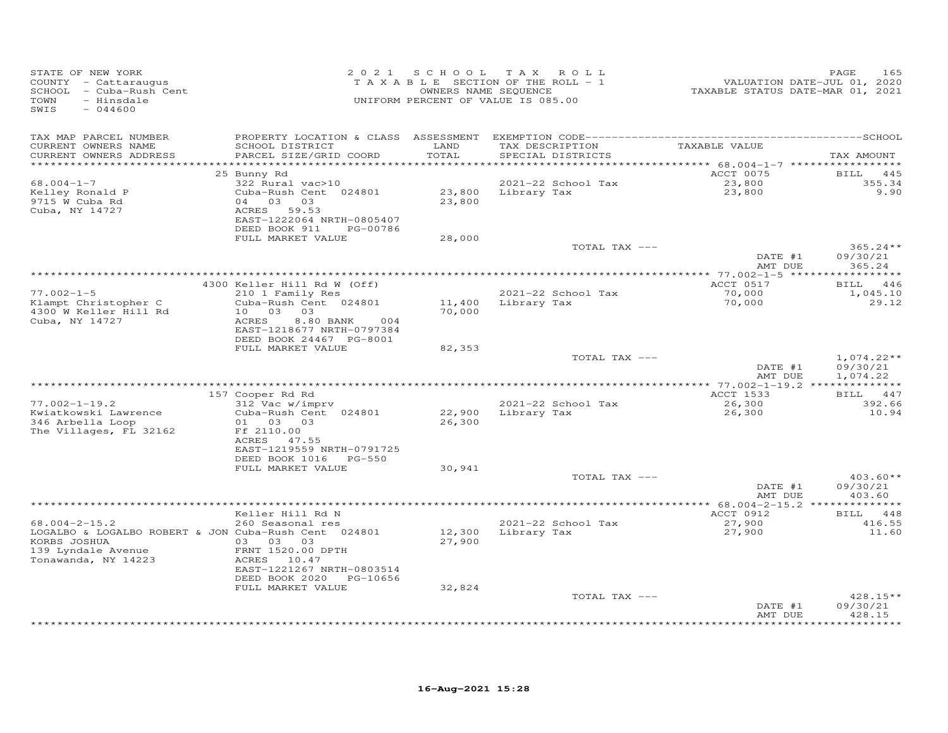| STATE OF NEW YORK<br>COUNTY - Cattaraugus<br>SCHOOL - Cuba-Rush Cent<br>TOWN<br>- Hinsdale<br>SWIS<br>$-044600$                          |                                                                                                                                               |                  | 2021 SCHOOL TAX ROLL<br>TAXABLE SECTION OF THE ROLL - 1<br>OWNERS NAME SEQUENCE<br>UNIFORM PERCENT OF VALUE IS 085.00 | VALUATION DATE-JUL 01, 2020<br>TAXABLE STATUS DATE-MAR 01, 2021 | 165<br>PAGE                          |
|------------------------------------------------------------------------------------------------------------------------------------------|-----------------------------------------------------------------------------------------------------------------------------------------------|------------------|-----------------------------------------------------------------------------------------------------------------------|-----------------------------------------------------------------|--------------------------------------|
| TAX MAP PARCEL NUMBER<br>CURRENT OWNERS NAME<br>CURRENT OWNERS ADDRESS<br>***********************                                        | SCHOOL DISTRICT<br>PARCEL SIZE/GRID COORD                                                                                                     | LAND<br>TOTAL    | TAX DESCRIPTION<br>SPECIAL DISTRICTS                                                                                  | TAXABLE VALUE                                                   | TAX AMOUNT                           |
| 68.004-1-7<br>Kelley Ronald P<br>9715 W Cuba Rd<br>Cuba, NY 14727                                                                        | 25 Bunny Rd<br>322 Rural vac>10<br>Cuba-Rush Cent 024801<br>04 03 03<br>ACRES 59.53<br>EAST-1222064 NRTH-0805407<br>DEED BOOK 911<br>PG-00786 | 23,800           | 2021-22 School Tax<br>23,800 Library Tax                                                                              | ACCT 0075<br>23,800<br>23,800                                   | BILL<br>445<br>355.34<br>9.90        |
|                                                                                                                                          | FULL MARKET VALUE                                                                                                                             | 28,000           | TOTAL TAX ---                                                                                                         | DATE #1                                                         | $365.24**$<br>09/30/21               |
|                                                                                                                                          |                                                                                                                                               |                  |                                                                                                                       | AMT DUE                                                         | 365.24                               |
|                                                                                                                                          | 4300 Keller Hill Rd W (Off)                                                                                                                   |                  |                                                                                                                       | ACCT 0517                                                       | BILL 446                             |
| $77.002 - 1 - 5$<br>Klampt Christopher C<br>4300 W Keller Hill Rd                                                                        | 210 1 Family Res<br>Cuba-Rush Cent 024801<br>10 03 03                                                                                         | 11,400<br>70,000 | 2021-22 School Tax<br>Library Tax                                                                                     | 70,000<br>70,000                                                | 1,045.10<br>29.12                    |
| Cuba, NY 14727                                                                                                                           | ACRES<br>8.80 BANK<br>004<br>EAST-1218677 NRTH-0797384<br>DEED BOOK 24467 PG-8001<br>FULL MARKET VALUE                                        | 82,353           |                                                                                                                       |                                                                 |                                      |
|                                                                                                                                          |                                                                                                                                               |                  | TOTAL TAX ---                                                                                                         | DATE #1<br>AMT DUE                                              | $1,074.22**$<br>09/30/21<br>1,074.22 |
|                                                                                                                                          |                                                                                                                                               |                  |                                                                                                                       |                                                                 |                                      |
| $77.002 - 1 - 19.2$<br>Kwiatkowski Lawrence<br>346 Arbella Loop<br>The Villages, FL 32162                                                | 157 Cooper Rd Rd<br>312 Vac w/imprv<br>Cuba-Rush Cent 024801<br>01 03 03<br>Ff 2110.00<br>ACRES 47.55<br>EAST-1219559 NRTH-0791725            | 26,300           | 2021-22 School Tax<br>22,900 Library Tax                                                                              | ACCT 1533<br>26,300<br>26,300                                   | BILL 447<br>392.66<br>10.94          |
|                                                                                                                                          | DEED BOOK 1016 PG-550<br>FULL MARKET VALUE                                                                                                    | 30,941           |                                                                                                                       |                                                                 |                                      |
|                                                                                                                                          |                                                                                                                                               |                  | TOTAL TAX ---                                                                                                         | DATE #1<br>AMT DUE                                              | $403.60**$<br>09/30/21<br>403.60     |
|                                                                                                                                          |                                                                                                                                               |                  |                                                                                                                       |                                                                 |                                      |
| $68.004 - 2 - 15.2$<br>LOGALBO & LOGALBO ROBERT & JON Cuba-Rush Cent 024801<br>KORBS JOSHUA<br>139 Lyndale Avenue<br>Tonawanda, NY 14223 | Keller Hill Rd N<br>260 Seasonal res<br>03 03 03<br>FRNT 1520.00 DPTH<br>ACRES 10.47<br>EAST-1221267 NRTH-0803514                             | 12,300<br>27,900 | 2021-22 School Tax<br>Library Tax                                                                                     | ACCT 0912<br>27,900<br>27,900                                   | BILL 448<br>416.55<br>11.60          |
|                                                                                                                                          | DEED BOOK 2020 PG-10656                                                                                                                       |                  |                                                                                                                       |                                                                 |                                      |
|                                                                                                                                          | FULL MARKET VALUE                                                                                                                             | 32,824           | TOTAL TAX ---                                                                                                         | DATE #1                                                         | $428.15**$<br>09/30/21               |
|                                                                                                                                          |                                                                                                                                               |                  |                                                                                                                       | AMT DUE                                                         | 428.15<br>*******                    |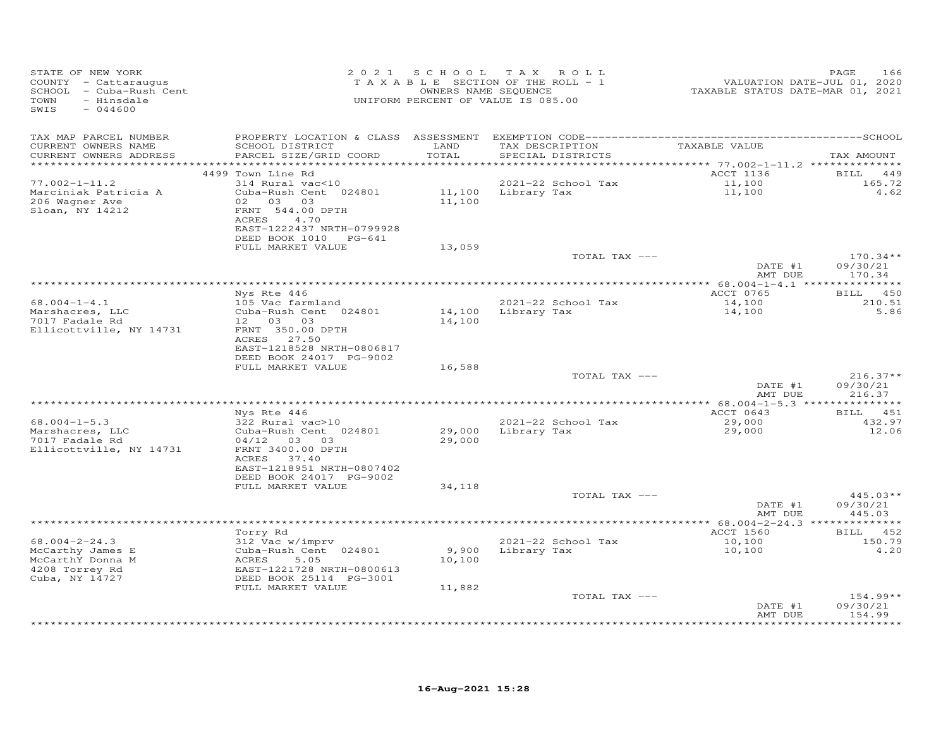| COUNTY - Cattaraugus<br>SCHOOL - Cuba-Rush Cent<br>TOWN<br>- Hinsdale<br>SWIS<br>$-044600$ |                                                                                                       |               | TAXABLE SECTION OF THE ROLL - 1<br>OWNERS NAME SEQUENCE<br>UNIFORM PERCENT OF VALUE IS 085.00 | VALUATION DATE-JUL 01, 2020<br>TAXABLE STATUS DATE-MAR 01, 2021 | 166<br>PAGE                     |
|--------------------------------------------------------------------------------------------|-------------------------------------------------------------------------------------------------------|---------------|-----------------------------------------------------------------------------------------------|-----------------------------------------------------------------|---------------------------------|
| TAX MAP PARCEL NUMBER<br>CURRENT OWNERS NAME<br>CURRENT OWNERS ADDRESS                     | SCHOOL DISTRICT<br>PARCEL SIZE/GRID COORD                                                             | LAND<br>TOTAL | TAX DESCRIPTION<br>SPECIAL DISTRICTS                                                          | TAXABLE VALUE                                                   | TAX AMOUNT                      |
| ***********************                                                                    | ******************************                                                                        |               |                                                                                               |                                                                 |                                 |
|                                                                                            | 4499 Town Line Rd                                                                                     |               |                                                                                               | ACCT 1136                                                       | <b>BILL</b><br>449              |
| $77.002 - 1 - 11.2$                                                                        | 314 Rural vac<10                                                                                      |               | 2021-22 School Tax                                                                            | 11,100<br>11,100                                                | 165.72                          |
| Marciniak Patricia A                                                                       | Cuba-Rush Cent 024801                                                                                 |               | 11,100 Library Tax                                                                            |                                                                 | 4.62                            |
| 206 Wagner Ave<br>Sloan, NY 14212                                                          | 02 03 03<br>FRNT 544.00 DPTH<br>ACRES<br>4.70<br>EAST-1222437 NRTH-0799928                            | 11,100        |                                                                                               |                                                                 |                                 |
|                                                                                            | DEED BOOK 1010 PG-641<br>FULL MARKET VALUE                                                            | 13,059        |                                                                                               |                                                                 |                                 |
|                                                                                            |                                                                                                       |               | TOTAL TAX ---                                                                                 |                                                                 | $170.34**$                      |
|                                                                                            |                                                                                                       |               |                                                                                               | DATE #1<br>AMT DUE                                              | 09/30/21<br>170.34              |
|                                                                                            |                                                                                                       |               |                                                                                               | ************ 68.004-1-4.1 ****************                      |                                 |
| $68.004 - 1 - 4.1$                                                                         | Nys Rte 446<br>105 Vac farmland                                                                       |               | 2021-22 School Tax                                                                            | ACCT 0765<br>14,100                                             | BILL 450<br>210.51              |
| Marshacres, LLC                                                                            | Cuba-Rush Cent 024801                                                                                 |               | 14,100 Library Tax                                                                            | 14,100                                                          | 5.86                            |
| 7017 Fadale Rd<br>Ellicottville, NY 14731                                                  | 12 03 03<br>FRNT 350.00 DPTH<br>ACRES 27.50<br>EAST-1218528 NRTH-0806817                              | 14,100        |                                                                                               |                                                                 |                                 |
|                                                                                            | DEED BOOK 24017 PG-9002                                                                               |               |                                                                                               |                                                                 |                                 |
|                                                                                            | FULL MARKET VALUE                                                                                     | 16,588        |                                                                                               |                                                                 |                                 |
|                                                                                            |                                                                                                       |               | TOTAL TAX ---                                                                                 |                                                                 | $216.37**$                      |
|                                                                                            |                                                                                                       |               |                                                                                               | DATE #1<br>AMT DUE                                              | 09/30/21<br>216.37              |
|                                                                                            |                                                                                                       |               |                                                                                               | *********** 68.004-1-5.3 ***************                        | BILL 451                        |
| $68.004 - 1 - 5.3$                                                                         | Nys Rte 446<br>322 Rural vac>10                                                                       |               | 2021-22 School Tax                                                                            | ACCT 0643                                                       | 432.97                          |
| Marshacres, LLC<br>7017 Fadale Rd<br>Ellicottville, NY 14731                               | Cuba-Rush Cent 024801<br>04/12 03 03<br>FRNT 3400.00 DPTH<br>ACRES 37.40<br>EAST-1218951 NRTH-0807402 | 29,000        | 29,000 Library Tax                                                                            | 29,000<br>29,000                                                | 12.06                           |
|                                                                                            | DEED BOOK 24017 PG-9002                                                                               |               |                                                                                               |                                                                 |                                 |
|                                                                                            | FULL MARKET VALUE                                                                                     | 34,118        |                                                                                               |                                                                 |                                 |
|                                                                                            |                                                                                                       |               | TOTAL TAX ---                                                                                 |                                                                 | $445.03**$                      |
|                                                                                            |                                                                                                       |               |                                                                                               | DATE #1<br>AMT DUE                                              | 09/30/21<br>445.03              |
|                                                                                            |                                                                                                       |               |                                                                                               |                                                                 |                                 |
| $68.004 - 2 - 24.3$                                                                        | Torry Rd<br>312 Vac w/imprv                                                                           |               | 2021-22 School Tax                                                                            | ACCT 1560                                                       | BILL 452<br>150.79              |
| McCarthy James E<br>McCarthY Donna M<br>4208 Torrey Rd                                     | Cuba-Rush Cent 024801<br>5.05<br>ACRES<br>EAST-1221728 NRTH-0800613                                   | 10,100        | 9,900 Library Tax                                                                             | 10,100<br>10,100                                                | 4,20                            |
| Cuba, NY 14727                                                                             | DEED BOOK 25114 PG-3001                                                                               |               |                                                                                               |                                                                 |                                 |
|                                                                                            | FULL MARKET VALUE                                                                                     | 11,882        |                                                                                               |                                                                 | $154.99**$                      |
|                                                                                            |                                                                                                       |               | TOTAL TAX ---                                                                                 | DATE #1<br>AMT DUE                                              | 09/30/21<br>154.99<br>********* |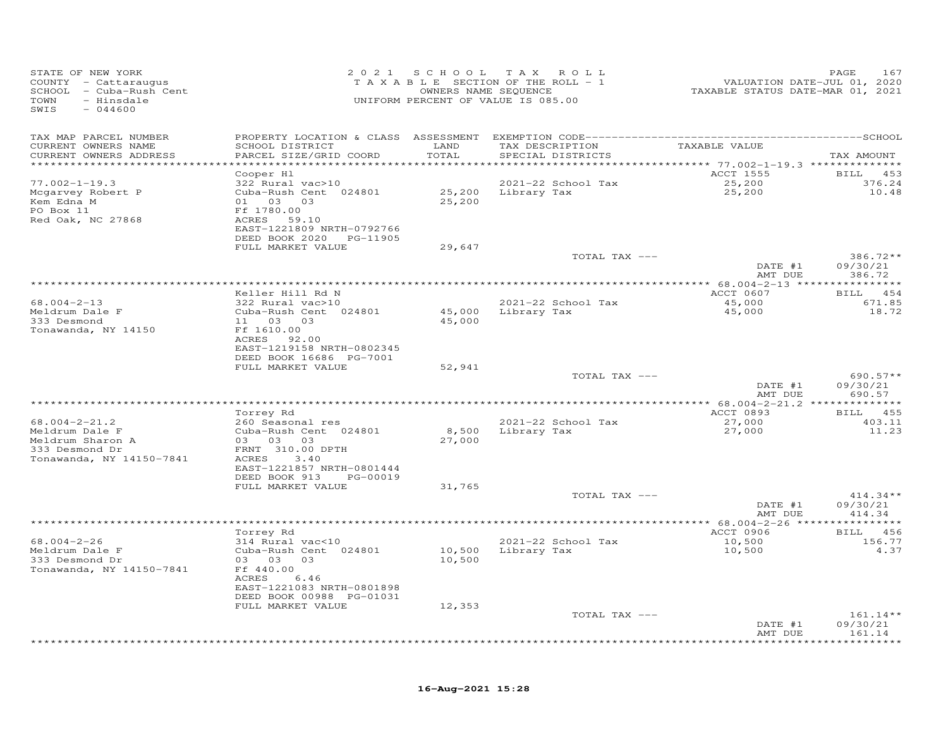| STATE OF NEW YORK<br>COUNTY - Cattaraugus<br>SCHOOL - Cuba-Rush Cent<br>TOWN<br>- Hinsdale<br>SWIS<br>$-044600$ |                                            | 2021 SCHOOL   | T A X<br>ROLL<br>TAXABLE SECTION OF THE ROLL - 1<br>OWNERS NAME SEQUENCE<br>UNIFORM PERCENT OF VALUE IS 085.00 | VALUATION DATE-JUL 01, 2020<br>TAXABLE STATUS DATE-MAR 01, 2021 | PAGE<br>167               |
|-----------------------------------------------------------------------------------------------------------------|--------------------------------------------|---------------|----------------------------------------------------------------------------------------------------------------|-----------------------------------------------------------------|---------------------------|
| TAX MAP PARCEL NUMBER                                                                                           |                                            |               |                                                                                                                |                                                                 |                           |
| CURRENT OWNERS NAME<br>CURRENT OWNERS ADDRESS                                                                   | SCHOOL DISTRICT<br>PARCEL SIZE/GRID COORD  | LAND<br>TOTAL | TAX DESCRIPTION<br>SPECIAL DISTRICTS                                                                           | TAXABLE VALUE                                                   | TAX AMOUNT                |
| ***********************                                                                                         |                                            |               |                                                                                                                |                                                                 |                           |
|                                                                                                                 | Cooper Hl                                  |               |                                                                                                                | ACCT 1555                                                       | <b>BILL</b><br>453        |
| $77.002 - 1 - 19.3$                                                                                             | 322 Rural vac>10                           |               | 2021-22 School Tax                                                                                             | 25,200                                                          | 376.24                    |
| Mcgarvey Robert P                                                                                               | Cuba-Rush Cent 024801                      |               | 25,200 Library Tax                                                                                             | 25,200                                                          | 10.48                     |
| Kem Edna M<br>PO Box 11                                                                                         | 01 03<br>03<br>Ff 1780.00                  | 25,200        |                                                                                                                |                                                                 |                           |
| Red Oak, NC 27868                                                                                               | ACRES 59.10                                |               |                                                                                                                |                                                                 |                           |
|                                                                                                                 | EAST-1221809 NRTH-0792766                  |               |                                                                                                                |                                                                 |                           |
|                                                                                                                 | DEED BOOK 2020 PG-11905                    |               |                                                                                                                |                                                                 |                           |
|                                                                                                                 | FULL MARKET VALUE                          | 29,647        |                                                                                                                |                                                                 |                           |
|                                                                                                                 |                                            |               | TOTAL TAX ---                                                                                                  |                                                                 | $386.72**$                |
|                                                                                                                 |                                            |               |                                                                                                                | DATE #1<br>AMT DUE                                              | 09/30/21<br>386.72        |
|                                                                                                                 |                                            |               | ************************************* 68.004–2–13 ****************                                             |                                                                 |                           |
|                                                                                                                 | Keller Hill Rd N                           |               |                                                                                                                | ACCT 0607                                                       | BILL 454                  |
| 68.004-2-13                                                                                                     | 322 Rural vac>10                           |               | 2021-22 School Tax                                                                                             | 45,000                                                          | 671.85                    |
| Meldrum Dale F                                                                                                  | Cuba-Rush Cent 024801                      | 45,000        | Library Tax                                                                                                    | 45,000                                                          | 18.72                     |
| 333 Desmond                                                                                                     | 11 03 03                                   | 45,000        |                                                                                                                |                                                                 |                           |
| Tonawanda, NY 14150                                                                                             | Ff 1610.00<br>ACRES 92.00                  |               |                                                                                                                |                                                                 |                           |
|                                                                                                                 | EAST-1219158 NRTH-0802345                  |               |                                                                                                                |                                                                 |                           |
|                                                                                                                 | DEED BOOK 16686 PG-7001                    |               |                                                                                                                |                                                                 |                           |
|                                                                                                                 | FULL MARKET VALUE                          | 52,941        |                                                                                                                |                                                                 |                           |
|                                                                                                                 |                                            |               | TOTAL TAX ---                                                                                                  |                                                                 | $690.57**$                |
|                                                                                                                 |                                            |               |                                                                                                                | DATE #1<br>AMT DUE                                              | 09/30/21<br>690.57        |
|                                                                                                                 |                                            |               |                                                                                                                |                                                                 |                           |
|                                                                                                                 | Torrey Rd                                  |               |                                                                                                                | ACCT 0893                                                       | BILL 455                  |
| $68.004 - 2 - 21.2$                                                                                             | 260 Seasonal res                           |               | 2021-22 School Tax                                                                                             | 27,000                                                          | 403.11                    |
| Meldrum Dale F                                                                                                  | Cuba-Rush Cent 024801                      | 8,500         | Library Tax                                                                                                    | 27,000                                                          | 11.23                     |
| Meldrum Sharon A                                                                                                | 03 03 03                                   | 27,000        |                                                                                                                |                                                                 |                           |
| 333 Desmond Dr<br>Tonawanda, NY 14150-7841                                                                      | FRNT 310.00 DPTH<br>ACRES<br>3.40          |               |                                                                                                                |                                                                 |                           |
|                                                                                                                 | EAST-1221857 NRTH-0801444                  |               |                                                                                                                |                                                                 |                           |
|                                                                                                                 | DEED BOOK 913<br>PG-00019                  |               |                                                                                                                |                                                                 |                           |
|                                                                                                                 | FULL MARKET VALUE                          | 31,765        |                                                                                                                |                                                                 |                           |
|                                                                                                                 |                                            |               | TOTAL TAX ---                                                                                                  |                                                                 | $414.34**$                |
|                                                                                                                 |                                            |               |                                                                                                                | DATE #1<br>AMT DUE                                              | 09/30/21<br>414.34        |
|                                                                                                                 |                                            |               |                                                                                                                |                                                                 |                           |
|                                                                                                                 | Torrey Rd                                  |               |                                                                                                                | ACCT 0906                                                       | BILL<br>456               |
| $68.004 - 2 - 26$                                                                                               | 314 Rural vac<10                           |               | 2021-22 School Tax                                                                                             | 10,500                                                          | 156.77                    |
| Meldrum Dale F                                                                                                  | Cuba-Rush Cent 024801                      | 10,500        | Library Tax                                                                                                    | 10,500                                                          | 4.37                      |
| 333 Desmond Dr                                                                                                  | 03 03<br>03                                | 10,500        |                                                                                                                |                                                                 |                           |
| Tonawanda, NY 14150-7841                                                                                        | Ff 440.00                                  |               |                                                                                                                |                                                                 |                           |
|                                                                                                                 | ACRES<br>6.46<br>EAST-1221083 NRTH-0801898 |               |                                                                                                                |                                                                 |                           |
|                                                                                                                 | DEED BOOK 00988 PG-01031                   |               |                                                                                                                |                                                                 |                           |
|                                                                                                                 | FULL MARKET VALUE                          | 12,353        |                                                                                                                |                                                                 |                           |
|                                                                                                                 |                                            |               | TOTAL TAX ---                                                                                                  |                                                                 | $161.14**$                |
|                                                                                                                 |                                            |               |                                                                                                                | DATE #1                                                         | 09/30/21                  |
|                                                                                                                 |                                            |               |                                                                                                                | AMT DUE                                                         | 161.14<br>* * * * * * * * |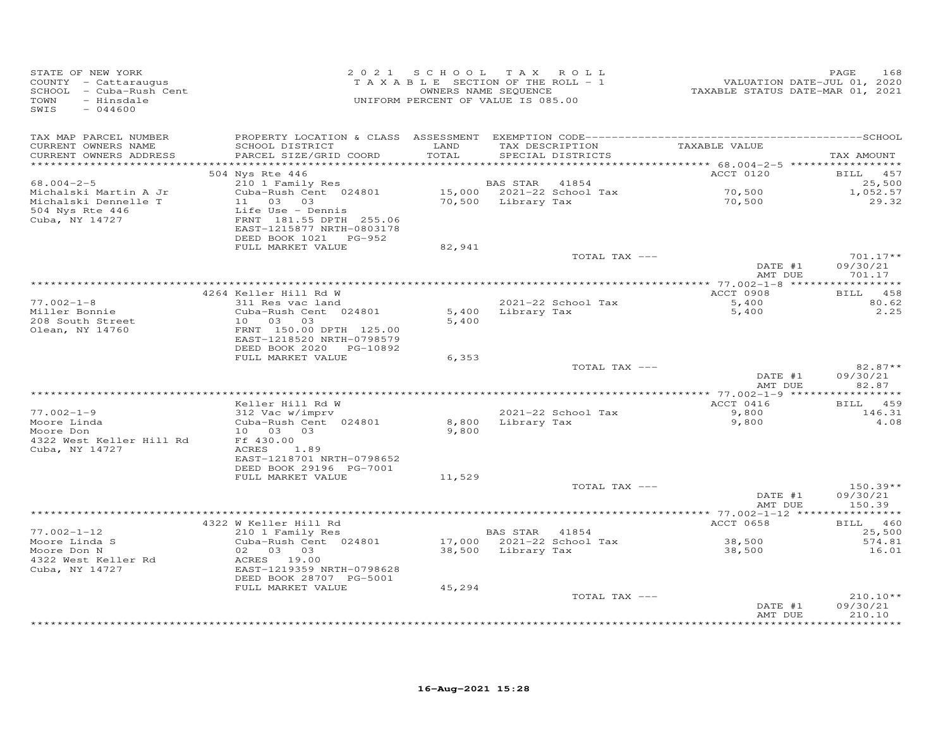| STATE OF NEW YORK<br>COUNTY - Cattaraugus<br>SCHOOL - Cuba-Rush Cent<br>- Hinsdale<br>TOWN<br>$-044600$<br>SWIS |                                                                                                    | 2021 SCHOOL TAX ROLL<br>TAXABLE SECTION OF THE ROLL - 1<br>OWNERS NAME SEQUENCE<br>UNIFORM PERCENT OF VALUE IS 085.00 |                                      |                                         | VALUATION DATE-JUL 01, 2020<br>TAXABLE STATUS DATE-MAR 01, 2021 | PAGE<br>168                             |
|-----------------------------------------------------------------------------------------------------------------|----------------------------------------------------------------------------------------------------|-----------------------------------------------------------------------------------------------------------------------|--------------------------------------|-----------------------------------------|-----------------------------------------------------------------|-----------------------------------------|
| TAX MAP PARCEL NUMBER<br>CURRENT OWNERS NAME<br>CURRENT OWNERS ADDRESS<br>***********************               | SCHOOL DISTRICT<br>PARCEL SIZE/GRID COORD                                                          | LAND<br>TOTAL                                                                                                         |                                      | SPECIAL DISTRICTS                       | TAX DESCRIPTION TAXABLE VALUE                                   | TAX AMOUNT                              |
|                                                                                                                 | 504 Nys Rte 446                                                                                    |                                                                                                                       |                                      |                                         | ACCT 0120                                                       | BILL 457                                |
| $68.004 - 2 - 5$<br>Michalski Martin A Jr<br>Michalski Dennelle T<br>504 Nys Rte 446                            | 210 1 Family Res<br>Cuba-Rush Cent 024801<br>11 03 03<br>Life Use - Dennis                         |                                                                                                                       | BAS STAR 41854<br>70,500 Library Tax | 15,000 2021-22 School Tax               | 70,500<br>70,500                                                | 25,500<br>1,052.57<br>29.32             |
| Cuba, NY 14727                                                                                                  | FRNT 181.55 DPTH 255.06<br>EAST-1215877 NRTH-0803178<br>DEED BOOK 1021 PG-952<br>FULL MARKET VALUE | 82,941                                                                                                                |                                      |                                         |                                                                 |                                         |
|                                                                                                                 |                                                                                                    |                                                                                                                       |                                      | TOTAL TAX ---                           | DATE #1                                                         | $701.17**$<br>09/30/21                  |
|                                                                                                                 |                                                                                                    |                                                                                                                       |                                      |                                         | AMT DUE                                                         | 701.17                                  |
|                                                                                                                 | 4264 Keller Hill Rd W                                                                              |                                                                                                                       |                                      |                                         | ACCT 0908                                                       | 458<br><b>BILL</b>                      |
| $77.002 - 1 - 8$<br>Miller Bonnie                                                                               | 311 Res vac land<br>Cuba-Rush Cent 024801                                                          |                                                                                                                       |                                      | 2021-22 School Tax<br>5,400 Library Tax | 5,400<br>5,400                                                  | 80.62<br>2.25                           |
| 208 South Street<br>Olean, NY 14760                                                                             | 10 03 03<br>FRNT 150.00 DPTH 125.00<br>EAST-1218520 NRTH-0798579<br>DEED BOOK 2020<br>PG-10892     | 5,400                                                                                                                 |                                      |                                         |                                                                 |                                         |
|                                                                                                                 | FULL MARKET VALUE                                                                                  | 6,353                                                                                                                 |                                      |                                         |                                                                 |                                         |
|                                                                                                                 |                                                                                                    |                                                                                                                       |                                      | TOTAL TAX ---                           | DATE #1<br>AMT DUE                                              | $82.87**$<br>09/30/21<br>82.87          |
|                                                                                                                 |                                                                                                    |                                                                                                                       |                                      |                                         |                                                                 |                                         |
| $77.002 - 1 - 9$                                                                                                | Keller Hill Rd W<br>312 Vac w/imprv                                                                |                                                                                                                       |                                      | 2021-22 School Tax                      | ACCT 0416<br>9,800                                              | BILL 459<br>146.31                      |
| Moore Linda<br>Moore Don                                                                                        | Cuba-Rush Cent 024801<br>10 03 03                                                                  | 8,800<br>9,800                                                                                                        |                                      | Library Tax                             | 9,800                                                           | 4.08                                    |
| 4322 West Keller Hill Rd<br>Cuba, NY 14727                                                                      | Ff 430.00<br>ACRES<br>1.89<br>EAST-1218701 NRTH-0798652                                            |                                                                                                                       |                                      |                                         |                                                                 |                                         |
|                                                                                                                 | DEED BOOK 29196 PG-7001<br>FULL MARKET VALUE                                                       | 11,529                                                                                                                |                                      |                                         |                                                                 |                                         |
|                                                                                                                 |                                                                                                    |                                                                                                                       |                                      | TOTAL TAX ---                           | DATE #1<br>AMT DUE                                              | $150.39**$<br>09/30/21<br>150.39        |
|                                                                                                                 |                                                                                                    |                                                                                                                       |                                      |                                         |                                                                 |                                         |
| $77.002 - 1 - 12$                                                                                               | 4322 W Keller Hill Rd<br>210 1 Family Res                                                          |                                                                                                                       | BAS STAR 41854                       |                                         | ACCT 0658                                                       | BILL 460<br>25,500                      |
| Moore Linda S                                                                                                   | Cuba-Rush Cent 024801                                                                              |                                                                                                                       |                                      | 17,000 2021-22 School Tax               | 38,500                                                          | 574.81                                  |
| Moore Don N<br>4322 West Keller Rd<br>Cuba, NY 14727                                                            | 02 03 03<br>ACRES 19.00<br>EAST-1219359 NRTH-0798628<br>DEED BOOK 28707 PG-5001                    |                                                                                                                       | 38,500 Library Tax                   |                                         | 38,500                                                          | 16.01                                   |
|                                                                                                                 | FULL MARKET VALUE                                                                                  | 45,294                                                                                                                |                                      |                                         |                                                                 |                                         |
|                                                                                                                 |                                                                                                    |                                                                                                                       |                                      | TOTAL TAX ---                           | DATE #1                                                         | $210.10**$<br>09/30/21                  |
|                                                                                                                 |                                                                                                    |                                                                                                                       |                                      |                                         | AMT DUE                                                         | 210.10<br>بله بله بله بله بله بله بله . |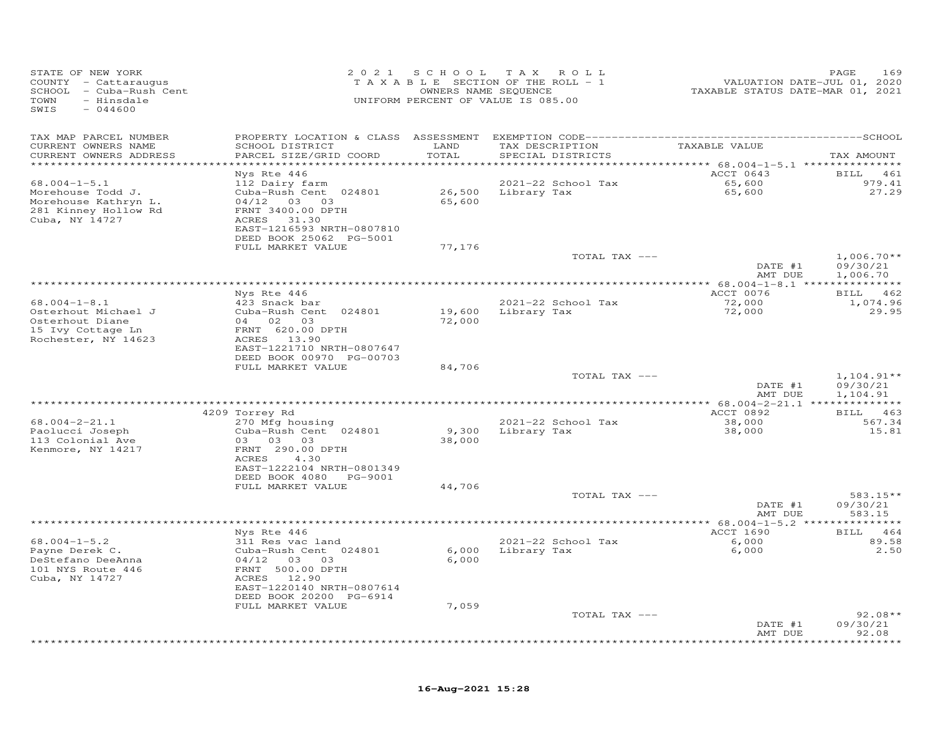| STATE OF NEW YORK<br>COUNTY - Cattaraugus<br>SCHOOL - Cuba-Rush Cent<br>TOWN<br>- Hinsdale<br>$-044600$<br>SWIS | 2 0 2 1                                                                      | SCHOOL           | T A X<br>ROLL<br>TAXABLE SECTION OF THE ROLL - 1<br>OWNERS NAME SEQUENCE<br>UNIFORM PERCENT OF VALUE IS 085.00 | VALUATION DATE-JUL 01, 2020<br>TAXABLE STATUS DATE-MAR 01, 2021 | PAGE<br>169           |
|-----------------------------------------------------------------------------------------------------------------|------------------------------------------------------------------------------|------------------|----------------------------------------------------------------------------------------------------------------|-----------------------------------------------------------------|-----------------------|
| TAX MAP PARCEL NUMBER                                                                                           | PROPERTY LOCATION & CLASS ASSESSMENT EXEMPTION CODE------------------------- |                  |                                                                                                                |                                                                 | --------------SCHOOL  |
| CURRENT OWNERS NAME<br>CURRENT OWNERS ADDRESS                                                                   | SCHOOL DISTRICT<br>PARCEL SIZE/GRID COORD                                    | LAND<br>TOTAL    | TAX DESCRIPTION<br>SPECIAL DISTRICTS                                                                           | TAXABLE VALUE                                                   | TAX AMOUNT            |
| ***********************                                                                                         | **************************                                                   |                  |                                                                                                                |                                                                 |                       |
|                                                                                                                 | Nys Rte 446                                                                  |                  |                                                                                                                | ACCT 0643                                                       | BILL<br>461           |
| $68.004 - 1 - 5.1$                                                                                              | 112 Dairy farm                                                               |                  | 2021-22 School Tax                                                                                             | 65,600                                                          | 979.41                |
| Morehouse Todd J.<br>Morehouse Kathryn L.                                                                       | Cuba-Rush Cent 024801<br>03 03<br>04/12                                      | 26,500<br>65,600 | Library Tax                                                                                                    | 65,600                                                          | 27.29                 |
| 281 Kinney Hollow Rd                                                                                            | FRNT 3400.00 DPTH                                                            |                  |                                                                                                                |                                                                 |                       |
| Cuba, NY 14727                                                                                                  | 31.30<br>ACRES                                                               |                  |                                                                                                                |                                                                 |                       |
|                                                                                                                 | EAST-1216593 NRTH-0807810                                                    |                  |                                                                                                                |                                                                 |                       |
|                                                                                                                 | DEED BOOK 25062 PG-5001                                                      |                  |                                                                                                                |                                                                 |                       |
|                                                                                                                 | FULL MARKET VALUE                                                            | 77,176           | TOTAL TAX ---                                                                                                  |                                                                 | $1,006.70**$          |
|                                                                                                                 |                                                                              |                  |                                                                                                                | DATE #1                                                         | 09/30/21              |
|                                                                                                                 |                                                                              |                  |                                                                                                                | AMT DUE                                                         | 1,006.70              |
|                                                                                                                 |                                                                              |                  | ***************************                                                                                    | ** 68.004-1-8.1 ****************                                |                       |
|                                                                                                                 | Nys Rte 446                                                                  |                  |                                                                                                                | ACCT 0076                                                       | BILL 462              |
| $68.004 - 1 - 8.1$<br>Osterhout Michael J                                                                       | 423 Snack bar<br>Cuba-Rush Cent 024801                                       | 19,600           | 2021-22 School Tax<br>Library Tax                                                                              | 72,000<br>72,000                                                | 1,074.96<br>29.95     |
| Osterhout Diane                                                                                                 | 04 02<br>03                                                                  | 72,000           |                                                                                                                |                                                                 |                       |
| 15 Ivy Cottage Ln                                                                                               | FRNT 620.00 DPTH                                                             |                  |                                                                                                                |                                                                 |                       |
| Rochester, NY 14623                                                                                             | ACRES 13.90                                                                  |                  |                                                                                                                |                                                                 |                       |
|                                                                                                                 | EAST-1221710 NRTH-0807647                                                    |                  |                                                                                                                |                                                                 |                       |
|                                                                                                                 | DEED BOOK 00970 PG-00703<br>FULL MARKET VALUE                                | 84,706           |                                                                                                                |                                                                 |                       |
|                                                                                                                 |                                                                              |                  | TOTAL TAX ---                                                                                                  |                                                                 | $1,104.91**$          |
|                                                                                                                 |                                                                              |                  |                                                                                                                | DATE #1                                                         | 09/30/21              |
|                                                                                                                 |                                                                              |                  |                                                                                                                | AMT DUE                                                         | 1,104.91              |
|                                                                                                                 |                                                                              |                  |                                                                                                                |                                                                 |                       |
| $68.004 - 2 - 21.1$                                                                                             | 4209 Torrey Rd<br>270 Mfg housing                                            |                  | 2021-22 School Tax                                                                                             | ACCT 0892<br>38,000                                             | BILL 463<br>567.34    |
| Paolucci Joseph                                                                                                 | Cuba-Rush Cent 024801                                                        | 9,300            | Library Tax                                                                                                    | 38,000                                                          | 15.81                 |
| 113 Colonial Ave                                                                                                | 03 03 03                                                                     | 38,000           |                                                                                                                |                                                                 |                       |
| Kenmore, NY 14217                                                                                               | FRNT 290.00 DPTH                                                             |                  |                                                                                                                |                                                                 |                       |
|                                                                                                                 | ACRES<br>4.30                                                                |                  |                                                                                                                |                                                                 |                       |
|                                                                                                                 | EAST-1222104 NRTH-0801349<br>DEED BOOK 4080<br>PG-9001                       |                  |                                                                                                                |                                                                 |                       |
|                                                                                                                 | FULL MARKET VALUE                                                            | 44,706           |                                                                                                                |                                                                 |                       |
|                                                                                                                 |                                                                              |                  | TOTAL TAX ---                                                                                                  |                                                                 | 583.15**              |
|                                                                                                                 |                                                                              |                  |                                                                                                                | DATE #1                                                         | 09/30/21              |
|                                                                                                                 |                                                                              |                  |                                                                                                                | AMT DUE<br>**************** 68.004-1-5.2 ****                   | 583.15<br>*********** |
|                                                                                                                 | Nys Rte 446                                                                  |                  |                                                                                                                | ACCT 1690                                                       | BILL<br>464           |
| $68.004 - 1 - 5.2$                                                                                              | 311 Res vac land                                                             |                  | 2021-22 School Tax                                                                                             | 6,000                                                           | 89.58                 |
| Payne Derek C.                                                                                                  | Cuba-Rush Cent 024801                                                        | 6,000            | Library Tax                                                                                                    | 6,000                                                           | 2.50                  |
| DeStefano DeeAnna                                                                                               | 04/12<br>03<br>03                                                            | 6,000            |                                                                                                                |                                                                 |                       |
| 101 NYS Route 446                                                                                               | FRNT 500.00 DPTH                                                             |                  |                                                                                                                |                                                                 |                       |
| Cuba, NY 14727                                                                                                  | 12.90<br>ACRES<br>EAST-1220140 NRTH-0807614                                  |                  |                                                                                                                |                                                                 |                       |
|                                                                                                                 | DEED BOOK 20200 PG-6914                                                      |                  |                                                                                                                |                                                                 |                       |
|                                                                                                                 | FULL MARKET VALUE                                                            | 7,059            |                                                                                                                |                                                                 |                       |
|                                                                                                                 |                                                                              |                  | TOTAL TAX ---                                                                                                  |                                                                 | $92.08**$             |
|                                                                                                                 |                                                                              |                  |                                                                                                                | DATE #1                                                         | 09/30/21              |
|                                                                                                                 |                                                                              |                  |                                                                                                                | AMT DUE                                                         | 92.08<br>******       |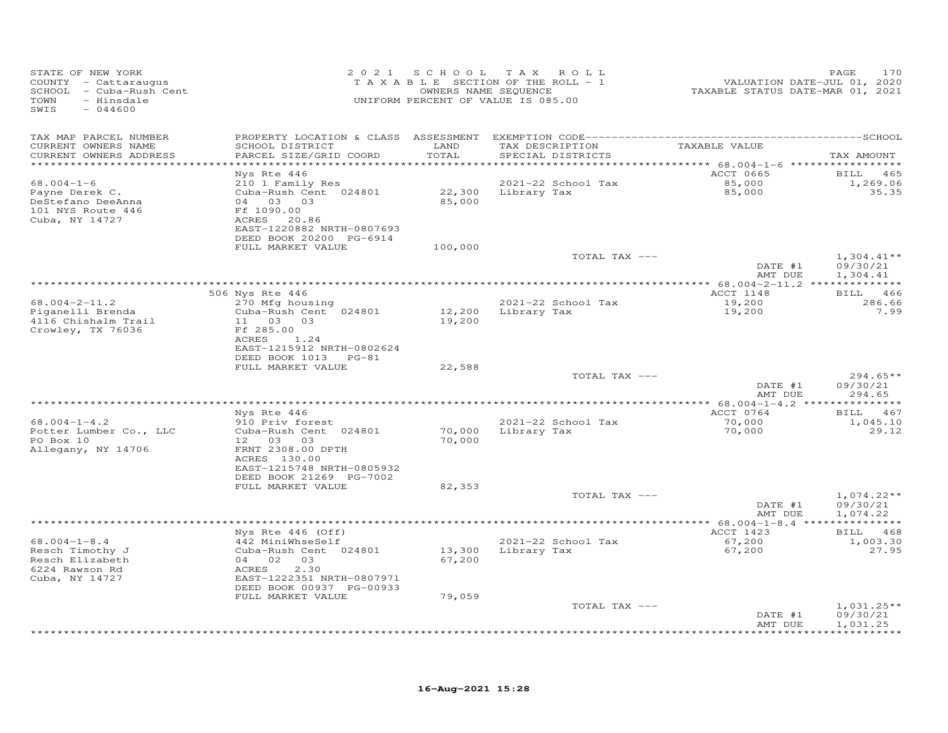| STATE OF NEW YORK<br>COUNTY - Cattaraugus<br>SCHOOL - Cuba-Rush Cent<br>TOWN<br>- Hinsdale<br>SWIS<br>$-044600$ |                                                                                                                                                      | 2021 SCHOOL                | T A X<br>ROLL<br>TAXABLE SECTION OF THE ROLL - 1<br>OWNERS NAME SEQUENCE<br>UNIFORM PERCENT OF VALUE IS 085.00 | VALUATION DATE-JUL 01, 2020<br>TAXABLE STATUS DATE-MAR 01, 2021 | PAGE<br>170                          |
|-----------------------------------------------------------------------------------------------------------------|------------------------------------------------------------------------------------------------------------------------------------------------------|----------------------------|----------------------------------------------------------------------------------------------------------------|-----------------------------------------------------------------|--------------------------------------|
| TAX MAP PARCEL NUMBER<br>CURRENT OWNERS NAME<br>CURRENT OWNERS ADDRESS                                          | SCHOOL DISTRICT<br>PARCEL SIZE/GRID COORD                                                                                                            | LAND<br>TOTAL              | TAX DESCRIPTION<br>SPECIAL DISTRICTS                                                                           | TAXABLE VALUE                                                   | TAX AMOUNT                           |
| *********************                                                                                           |                                                                                                                                                      | ***********                |                                                                                                                | ************ 68.004-1-6 ******************                      |                                      |
| $68.004 - 1 - 6$<br>Payne Derek C.<br>DeStefano DeeAnna<br>101 NYS Route 446<br>Cuba, NY 14727                  | Nys Rte 446<br>210 1 Family Res<br>Cuba-Rush Cent 024801<br>04 03 03<br>Ff 1090.00<br>20.86<br>ACRES<br>EAST-1220882 NRTH-0807693                    | 22,300<br>85,000           | 2021-22 School Tax<br>Library Tax                                                                              | ACCT 0665<br>85,000<br>85,000                                   | <b>BILL</b> 465<br>1,269.06<br>35.35 |
|                                                                                                                 | DEED BOOK 20200 PG-6914<br>FULL MARKET VALUE                                                                                                         | 100,000                    |                                                                                                                |                                                                 |                                      |
|                                                                                                                 |                                                                                                                                                      |                            | TOTAL TAX ---                                                                                                  | DATE #1<br>AMT DUE                                              | $1,304.41**$<br>09/30/21<br>1,304.41 |
|                                                                                                                 | ***********************                                                                                                                              |                            |                                                                                                                |                                                                 |                                      |
| $68.004 - 2 - 11.2$<br>Piganelli Brenda<br>4116 Chishalm Trail<br>Crowley, TX 76036                             | 506 Nys Rte 446<br>270 Mfg housing<br>Cuba-Rush Cent 024801<br>11 03<br>03<br>Ff 285.00<br>ACRES<br>1.24                                             | 12,200<br>19,200           | 2021-22 School Tax<br>Library Tax                                                                              | ACCT 1148<br>19,200<br>19,200                                   | BILL 466<br>286.66<br>7.99           |
|                                                                                                                 | EAST-1215912 NRTH-0802624<br>DEED BOOK 1013 PG-81<br>FULL MARKET VALUE                                                                               | 22,588                     |                                                                                                                |                                                                 |                                      |
|                                                                                                                 |                                                                                                                                                      |                            | TOTAL TAX ---                                                                                                  | DATE #1<br>AMT DUE                                              | $294.65**$<br>09/30/21<br>294.65     |
|                                                                                                                 | Nys Rte 446                                                                                                                                          |                            |                                                                                                                | ACCT 0764                                                       | BILL 467                             |
| $68.004 - 1 - 4.2$<br>Potter Lumber Co., LLC<br>PO Box 10<br>Allegany, NY 14706                                 | 910 Priv forest<br>Cuba-Rush Cent 024801<br>12 03 03<br>FRNT 2308.00 DPTH<br>ACRES 130.00<br>EAST-1215748 NRTH-0805932                               | 70,000<br>70,000           | 2021-22 School Tax<br>Library Tax                                                                              | 70,000<br>70,000                                                | 1,045.10<br>29.12                    |
|                                                                                                                 | DEED BOOK 21269 PG-7002                                                                                                                              |                            |                                                                                                                |                                                                 |                                      |
|                                                                                                                 | FULL MARKET VALUE                                                                                                                                    | 82,353                     | TOTAL TAX ---                                                                                                  | DATE #1<br>AMT DUE                                              | $1,074.22**$<br>09/30/21<br>1,074.22 |
|                                                                                                                 |                                                                                                                                                      |                            | *************************                                                                                      | ********* 68.004-1-8.4 ****************                         |                                      |
|                                                                                                                 | Nys Rte 446 (Off)                                                                                                                                    |                            |                                                                                                                | ACCT 1423                                                       | BILL 468                             |
| $68.004 - 1 - 8.4$<br>Resch Timothy J<br>Resch Elizabeth<br>6224 Rawson Rd<br>Cuba, NY 14727                    | 442 MiniWhseSelf<br>Cuba-Rush Cent 024801<br>04 02 03<br>2.30<br>ACRES<br>EAST-1222351 NRTH-0807971<br>DEED BOOK 00937 PG-00933<br>FULL MARKET VALUE | 13,300<br>67,200<br>79,059 | 2021-22 School Tax<br>Library Tax                                                                              | 67,200<br>67,200                                                | 1,003.30<br>27.95                    |
|                                                                                                                 |                                                                                                                                                      |                            | TOTAL TAX ---                                                                                                  |                                                                 | $1,031.25**$                         |
|                                                                                                                 |                                                                                                                                                      |                            |                                                                                                                | DATE #1<br>AMT DUE                                              | 09/30/21<br>1,031.25<br>***********  |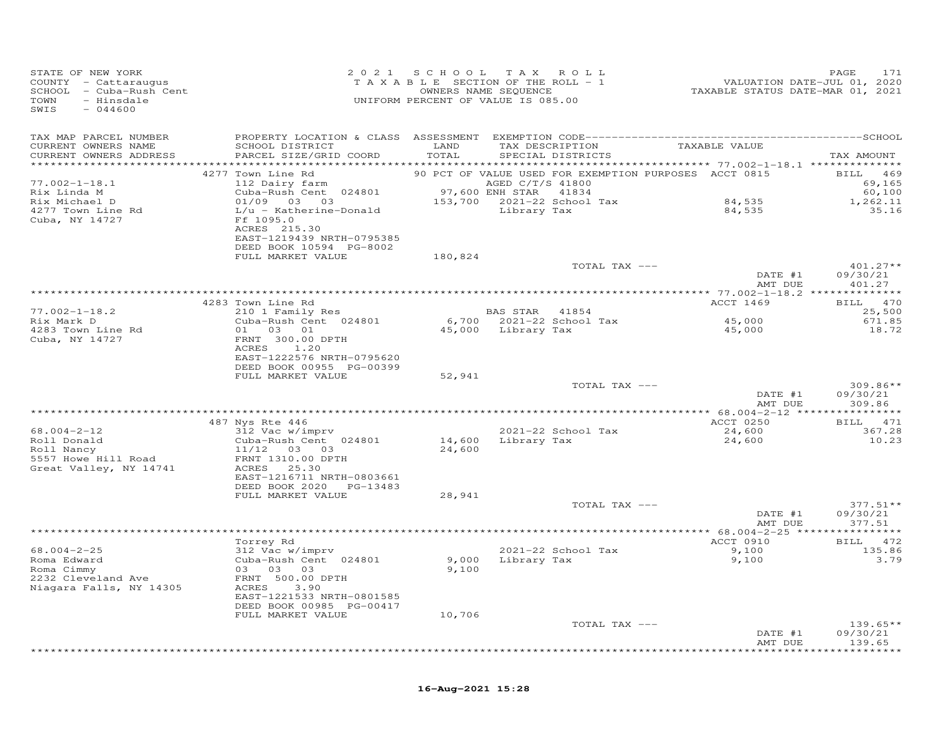| STATE OF NEW YORK<br>COUNTY - Cattaraugus<br>SCHOOL - Cuba-Rush Cent<br>TOWN<br>- Hinsdale<br>SWIS<br>$-044600$ |                                                       | 2021 SCHOOL<br>TAXABLE SECTION OF THE ROLL - 1<br>UNIFORM PERCENT OF VALUE IS 085.00 | TAX ROLL<br>OWNERS NAME SEQUENCE |                          | VALUATION DATE-JUL 01, 2020<br>TAXABLE STATUS DATE-MAR 01, 2021 | PAGE<br>171        |
|-----------------------------------------------------------------------------------------------------------------|-------------------------------------------------------|--------------------------------------------------------------------------------------|----------------------------------|--------------------------|-----------------------------------------------------------------|--------------------|
| TAX MAP PARCEL NUMBER<br>CURRENT OWNERS NAME<br>CURRENT OWNERS ADDRESS                                          | SCHOOL DISTRICT<br>PARCEL SIZE/GRID COORD             | LAND<br>TOTAL                                                                        | TAX DESCRIPTION                  | SPECIAL DISTRICTS        | TAXABLE VALUE                                                   | TAX AMOUNT         |
|                                                                                                                 |                                                       |                                                                                      |                                  |                          |                                                                 |                    |
|                                                                                                                 | 4277 Town Line Rd                                     |                                                                                      |                                  |                          | 90 PCT OF VALUE USED FOR EXEMPTION PURPOSES ACCT 0815           | BILL 469           |
| $77.002 - 1 - 18.1$<br>Rix Linda M                                                                              | 112 Dairy farm<br>Cuba-Rush Cent 024801               |                                                                                      | AGED C/T/S 41800                 |                          |                                                                 | 69,165<br>60,100   |
| Rix Michael D                                                                                                   | 01/09  03  03                                         | 97,600 ENH STAR 41834<br>153,700 2021-22 School Tax                                  |                                  |                          | 84,535                                                          | 1,262.11           |
| 4277 Town Line Rd                                                                                               | L/u - Katherine-Donald                                |                                                                                      | Library Tax                      |                          | 84,535                                                          | 35.16              |
| Cuba, NY 14727                                                                                                  | Ff 1095.0                                             |                                                                                      |                                  |                          |                                                                 |                    |
|                                                                                                                 | ACRES 215.30                                          |                                                                                      |                                  |                          |                                                                 |                    |
|                                                                                                                 | EAST-1219439 NRTH-0795385<br>DEED BOOK 10594 PG-8002  |                                                                                      |                                  |                          |                                                                 |                    |
|                                                                                                                 | FULL MARKET VALUE                                     | 180,824                                                                              |                                  |                          |                                                                 |                    |
|                                                                                                                 |                                                       |                                                                                      |                                  | TOTAL TAX ---            |                                                                 | $401.27**$         |
|                                                                                                                 |                                                       |                                                                                      |                                  |                          | DATE #1                                                         | 09/30/21           |
|                                                                                                                 |                                                       |                                                                                      |                                  |                          | AMT DUE                                                         | 401.27             |
|                                                                                                                 | 4283 Town Line Rd                                     |                                                                                      |                                  |                          | ACCT 1469                                                       | BILL 470           |
| $77.002 - 1 - 18.2$                                                                                             | 210 1 Family Res                                      |                                                                                      | BAS STAR 41854                   |                          |                                                                 | 25,500             |
| Rix Mark D                                                                                                      | Cuba-Rush Cent 024801                                 |                                                                                      |                                  | 6,700 2021-22 School Tax | 45,000                                                          | 671.85             |
| 4283 Town Line Rd                                                                                               | 01  03  01                                            |                                                                                      | 45,000 Library Tax               |                          | 45,000                                                          | 18.72              |
| Cuba, NY 14727                                                                                                  | FRNT 300.00 DPTH<br>ACRES<br>1.20                     |                                                                                      |                                  |                          |                                                                 |                    |
|                                                                                                                 | EAST-1222576 NRTH-0795620                             |                                                                                      |                                  |                          |                                                                 |                    |
|                                                                                                                 | DEED BOOK 00955 PG-00399                              |                                                                                      |                                  |                          |                                                                 |                    |
|                                                                                                                 | FULL MARKET VALUE                                     | 52,941                                                                               |                                  |                          |                                                                 |                    |
|                                                                                                                 |                                                       |                                                                                      |                                  | TOTAL TAX ---            |                                                                 | $309.86**$         |
|                                                                                                                 |                                                       |                                                                                      |                                  |                          | DATE #1<br>AMT DUE                                              | 09/30/21<br>309.86 |
|                                                                                                                 |                                                       |                                                                                      |                                  |                          |                                                                 |                    |
|                                                                                                                 | 487 Nys Rte 446                                       |                                                                                      |                                  |                          | ACCT 0250                                                       | BILL 471           |
| $68.004 - 2 - 12$                                                                                               | 312 Vac w/imprv                                       |                                                                                      |                                  | 2021-22 School Tax       | 24,600                                                          | 367.28             |
| Roll Donald                                                                                                     | Cuba-Rush Cent 024801                                 | 14,600                                                                               |                                  | Library Tax              | 24,600                                                          | 10.23              |
| Roll Nancy<br>5557 Howe Hill Road                                                                               | 11/12 03 03<br>FRNT 1310.00 DPTH                      | 24,600                                                                               |                                  |                          |                                                                 |                    |
| Great Valley, NY 14741                                                                                          | ACRES 25.30                                           |                                                                                      |                                  |                          |                                                                 |                    |
|                                                                                                                 | EAST-1216711 NRTH-0803661                             |                                                                                      |                                  |                          |                                                                 |                    |
|                                                                                                                 | DEED BOOK 2020 PG-13483                               |                                                                                      |                                  |                          |                                                                 |                    |
|                                                                                                                 | FULL MARKET VALUE                                     | 28,941                                                                               |                                  | TOTAL TAX ---            |                                                                 | $377.51**$         |
|                                                                                                                 |                                                       |                                                                                      |                                  |                          | DATE #1                                                         | 09/30/21           |
|                                                                                                                 |                                                       |                                                                                      |                                  |                          | AMT DUE                                                         | 377.51             |
|                                                                                                                 |                                                       |                                                                                      |                                  |                          |                                                                 |                    |
| $68.004 - 2 - 25$                                                                                               | Torrey Rd                                             |                                                                                      |                                  |                          | ACCT 0910                                                       | BILL 472           |
| Roma Edward                                                                                                     | 312 Vac w/imprv<br>Cuba-Rush Cent 024801              | 9,000                                                                                | Library Tax                      | 2021-22 School Tax       | 9,100<br>9,100                                                  | 135.86<br>3.79     |
| Roma Cimmy                                                                                                      | 03 03 03                                              | 9,100                                                                                |                                  |                          |                                                                 |                    |
| 2232 Cleveland Ave                                                                                              | FRNT 500.00 DPTH                                      |                                                                                      |                                  |                          |                                                                 |                    |
| Niagara Falls, NY 14305                                                                                         | ACRES<br>3.90                                         |                                                                                      |                                  |                          |                                                                 |                    |
|                                                                                                                 | EAST-1221533 NRTH-0801585<br>DEED BOOK 00985 PG-00417 |                                                                                      |                                  |                          |                                                                 |                    |
|                                                                                                                 | FULL MARKET VALUE                                     | 10,706                                                                               |                                  |                          |                                                                 |                    |
|                                                                                                                 |                                                       |                                                                                      |                                  | TOTAL TAX ---            |                                                                 | $139.65**$         |
|                                                                                                                 |                                                       |                                                                                      |                                  |                          | DATE #1                                                         | 09/30/21           |
|                                                                                                                 |                                                       |                                                                                      |                                  |                          | AMT DUE                                                         | 139.65<br>******** |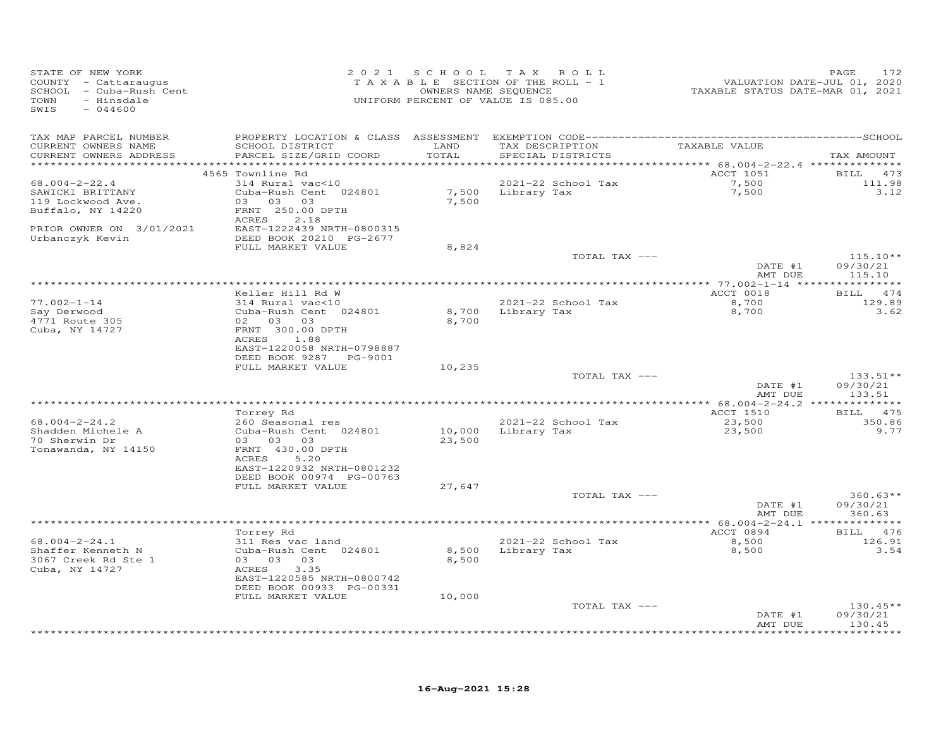| STATE OF NEW YORK<br>COUNTY - Cattaraugus<br>SCHOOL - Cuba-Rush Cent<br>TOWN<br>- Hinsdale<br>SWIS<br>$-044600$ |                                           |               | 2021 SCHOOL TAX ROLL<br>T A X A B L E SECTION OF THE ROLL - 1<br>OWNERS NAME SEQUENCE<br>UNIFORM PERCENT OF VALUE IS 085.00 | 1, 2020<br>TAXABLE STATUS DATE-JUL 01, 2020<br>TAXABLE STATUS DATE-MAR 01, 2021 | PAGE<br>172 |
|-----------------------------------------------------------------------------------------------------------------|-------------------------------------------|---------------|-----------------------------------------------------------------------------------------------------------------------------|---------------------------------------------------------------------------------|-------------|
| TAX MAP PARCEL NUMBER                                                                                           |                                           |               |                                                                                                                             |                                                                                 |             |
| CURRENT OWNERS NAME<br>CURRENT OWNERS ADDRESS                                                                   | SCHOOL DISTRICT<br>PARCEL SIZE/GRID COORD | LAND<br>TOTAL | TAX DESCRIPTION<br>SPECIAL DISTRICTS                                                                                        | TAXABLE VALUE                                                                   | TAX AMOUNT  |
|                                                                                                                 |                                           |               |                                                                                                                             |                                                                                 |             |
|                                                                                                                 | 4565 Townline Rd                          |               |                                                                                                                             | ACCT 1051                                                                       | BILL 473    |
| $68.004 - 2 - 22.4$                                                                                             | 314 Rural vac<10                          |               | 2021-22 School Tax                                                                                                          | 7,500<br>7,500                                                                  | 111.98      |
| SAWICKI BRITTANY                                                                                                | Cuba-Rush Cent 024801                     |               | 7,500 Library Tax                                                                                                           |                                                                                 | 3.12        |
| 119 Lockwood Ave.                                                                                               | 03 03 03                                  | 7,500         |                                                                                                                             |                                                                                 |             |
| Buffalo, NY 14220                                                                                               | FRNT 250.00 DPTH<br>2.18<br>ACRES         |               |                                                                                                                             |                                                                                 |             |
| PRIOR OWNER ON 3/01/2021                                                                                        | EAST-1222439 NRTH-0800315                 |               |                                                                                                                             |                                                                                 |             |
| Urbanczyk Kevin                                                                                                 | DEED BOOK 20210 PG-2677                   |               |                                                                                                                             |                                                                                 |             |
|                                                                                                                 | FULL MARKET VALUE                         | 8,824         |                                                                                                                             |                                                                                 |             |
|                                                                                                                 |                                           |               | TOTAL TAX ---                                                                                                               |                                                                                 | $115.10**$  |
|                                                                                                                 |                                           |               |                                                                                                                             | DATE #1                                                                         | 09/30/21    |
|                                                                                                                 |                                           |               |                                                                                                                             | AMT DUE                                                                         | 115.10      |
|                                                                                                                 | Keller Hill Rd W                          |               |                                                                                                                             | ACCT 0018                                                                       | BILL 474    |
| $77.002 - 1 - 14$                                                                                               | 314 Rural vac<10                          |               | 2021-22 School Tax                                                                                                          | $\frac{8,700}{ }$                                                               | 129.89      |
| Say Derwood                                                                                                     | Cuba-Rush Cent 024801                     |               | 8,700 Library Tax                                                                                                           | 8,700                                                                           | 3.62        |
| 4771 Route 305                                                                                                  | 02  03  03                                | 8,700         |                                                                                                                             |                                                                                 |             |
| Cuba, NY 14727                                                                                                  | FRNT 300.00 DPTH                          |               |                                                                                                                             |                                                                                 |             |
|                                                                                                                 | ACRES 1.88                                |               |                                                                                                                             |                                                                                 |             |
|                                                                                                                 | EAST-1220058 NRTH-0798887                 |               |                                                                                                                             |                                                                                 |             |
|                                                                                                                 | DEED BOOK 9287 PG-9001                    |               |                                                                                                                             |                                                                                 |             |
|                                                                                                                 | FULL MARKET VALUE                         | 10,235        | TOTAL TAX ---                                                                                                               |                                                                                 | $133.51**$  |
|                                                                                                                 |                                           |               |                                                                                                                             | DATE #1                                                                         | 09/30/21    |
|                                                                                                                 |                                           |               |                                                                                                                             | AMT DUE                                                                         | 133.51      |
|                                                                                                                 |                                           |               |                                                                                                                             |                                                                                 |             |
|                                                                                                                 | Torrey Rd                                 |               |                                                                                                                             | <b>ACCT 1510</b>                                                                | BILL 475    |
| $68.004 - 2 - 24.2$                                                                                             | 260 Seasonal res                          |               | 2021-22 School Tax                                                                                                          | 23,500                                                                          | 350.86      |
| Shadden Michele A                                                                                               | Cuba-Rush Cent 024801                     |               | 10,000 Library Tax                                                                                                          | 23,500                                                                          | 9.77        |
| 70 Sherwin Dr<br>Tonawanda, NY 14150                                                                            | 03 03 03<br>FRNT 430.00 DPTH              | 23,500        |                                                                                                                             |                                                                                 |             |
|                                                                                                                 | 5.20<br>ACRES                             |               |                                                                                                                             |                                                                                 |             |
|                                                                                                                 | EAST-1220932 NRTH-0801232                 |               |                                                                                                                             |                                                                                 |             |
|                                                                                                                 | DEED BOOK 00974 PG-00763                  |               |                                                                                                                             |                                                                                 |             |
|                                                                                                                 | FULL MARKET VALUE                         | 27,647        |                                                                                                                             |                                                                                 |             |
|                                                                                                                 |                                           |               | TOTAL TAX ---                                                                                                               |                                                                                 | $360.63**$  |
|                                                                                                                 |                                           |               |                                                                                                                             | DATE #1                                                                         | 09/30/21    |
|                                                                                                                 |                                           |               |                                                                                                                             | AMT DUE                                                                         | 360.63      |
|                                                                                                                 | Torrey Rd                                 |               |                                                                                                                             | ACCT 0894                                                                       | BILL 476    |
| $68.004 - 2 - 24.1$                                                                                             | 311 Res vac land                          |               | 2021-22 School Tax                                                                                                          | 8,500                                                                           | 126.91      |
| Shaffer Kenneth N                                                                                               | Cuba-Rush Cent 024801                     | 8,500         | Library Tax                                                                                                                 | 8,500                                                                           | 3.54        |
| 3067 Creek Rd Ste 1                                                                                             | 03 03 03                                  | 8,500         |                                                                                                                             |                                                                                 |             |
| Cuba, NY 14727                                                                                                  | 3.35<br>ACRES                             |               |                                                                                                                             |                                                                                 |             |
|                                                                                                                 | EAST-1220585 NRTH-0800742                 |               |                                                                                                                             |                                                                                 |             |
|                                                                                                                 | DEED BOOK 00933 PG-00331                  |               |                                                                                                                             |                                                                                 |             |
|                                                                                                                 | FULL MARKET VALUE                         | 10,000        | TOTAL TAX ---                                                                                                               |                                                                                 | $130.45**$  |
|                                                                                                                 |                                           |               |                                                                                                                             | DATE #1                                                                         | 09/30/21    |
|                                                                                                                 |                                           |               |                                                                                                                             | AMT DUE                                                                         | 130.45      |
|                                                                                                                 |                                           |               |                                                                                                                             |                                                                                 | *********   |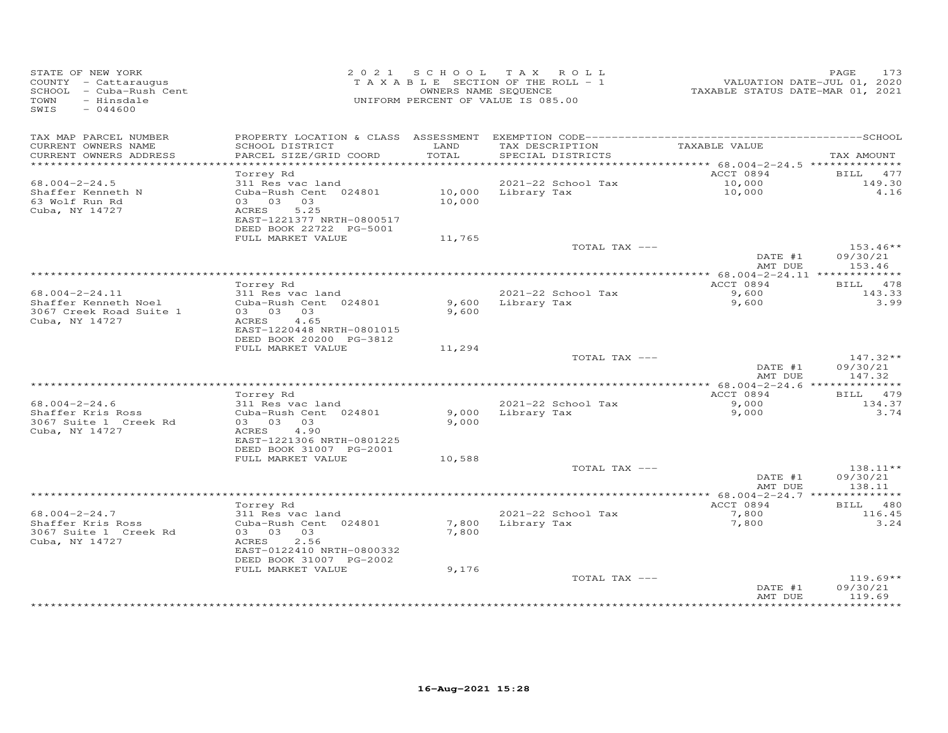| STATE OF NEW YORK<br>COUNTY - Cattaraugus<br>SCHOOL - Cuba-Rush Cent<br>TOWN<br>- Hinsdale<br>$-044600$<br>SWIS |                                                                                                            |                | 2021 SCHOOL TAX ROLL<br>TAXABLE SECTION OF THE ROLL - 1<br>OWNERS NAME SEQUENCE<br>UNIFORM PERCENT OF VALUE IS 085.00 | VALUATION DATE-JUL 01, 2020<br>TAXABLE STATUS DATE-MAR 01, 2021 | 173<br>PAGE                      |
|-----------------------------------------------------------------------------------------------------------------|------------------------------------------------------------------------------------------------------------|----------------|-----------------------------------------------------------------------------------------------------------------------|-----------------------------------------------------------------|----------------------------------|
| TAX MAP PARCEL NUMBER<br>CURRENT OWNERS NAME<br>CURRENT OWNERS ADDRESS                                          | SCHOOL DISTRICT<br>PARCEL SIZE/GRID COORD                                                                  | LAND<br>TOTAL  | TAX DESCRIPTION<br>SPECIAL DISTRICTS                                                                                  | TAXABLE VALUE                                                   | TAX AMOUNT                       |
|                                                                                                                 |                                                                                                            |                |                                                                                                                       | ********** 68.004-2-24.5 ***************                        |                                  |
|                                                                                                                 | Torrey Rd                                                                                                  |                |                                                                                                                       | ACCT 0894                                                       | 477<br>BILL                      |
| $68.004 - 2 - 24.5$                                                                                             | 311 Res vac land                                                                                           |                | 2021-22 School Tax                                                                                                    | 10,000                                                          | 149.30                           |
| Shaffer Kenneth N<br>63 Wolf Run Rd<br>Cuba, NY 14727                                                           | Cuba-Rush Cent 024801<br>03 03 03<br>5.25<br>ACRES<br>EAST-1221377 NRTH-0800517<br>DEED BOOK 22722 PG-5001 | 10,000         | 10,000 Library Tax                                                                                                    | 10,000                                                          | 4.16                             |
|                                                                                                                 | FULL MARKET VALUE                                                                                          | 11,765         |                                                                                                                       |                                                                 |                                  |
|                                                                                                                 |                                                                                                            |                | TOTAL TAX ---                                                                                                         | DATE #1<br>AMT DUE                                              | $153.46**$<br>09/30/21<br>153.46 |
|                                                                                                                 |                                                                                                            |                |                                                                                                                       |                                                                 |                                  |
|                                                                                                                 | Torrey Rd                                                                                                  |                |                                                                                                                       | ACCT 0894                                                       | BILL 478                         |
| $68.004 - 2 - 24.11$<br>Shaffer Kenneth Noel<br>3067 Creek Road Suite 1<br>Cuba, NY 14727                       | 311 Res vac land<br>Cuba-Rush Cent 024801<br>03 03 03<br>4.65<br>ACRES<br>EAST-1220448 NRTH-0801015        | 9,600          | 2021-22 School Tax<br>9,600 Library Tax                                                                               | 9,600<br>9,600                                                  | 143.33<br>3.99                   |
|                                                                                                                 | DEED BOOK 20200 PG-3812                                                                                    |                |                                                                                                                       |                                                                 |                                  |
|                                                                                                                 | FULL MARKET VALUE                                                                                          | 11,294         |                                                                                                                       |                                                                 |                                  |
|                                                                                                                 |                                                                                                            |                | TOTAL TAX ---                                                                                                         | DATE #1<br>AMT DUE                                              | $147.32**$<br>09/30/21<br>147.32 |
|                                                                                                                 |                                                                                                            |                |                                                                                                                       |                                                                 |                                  |
| $68.004 - 2 - 24.6$                                                                                             | Torrey Rd<br>311 Res vac land                                                                              |                | 2021-22 School Tax                                                                                                    | ACCT 0894<br>9,000                                              | BILL 479<br>134.37               |
| Shaffer Kris Ross<br>3067 Suite 1 Creek Rd<br>Cuba, NY 14727                                                    | Cuba-Rush Cent 024801<br>03 03 03<br>ACRES<br>4.90                                                         | 9,000<br>9,000 | Library Tax                                                                                                           | 9,000                                                           | 3.74                             |
|                                                                                                                 | EAST-1221306 NRTH-0801225<br>DEED BOOK 31007 PG-2001                                                       |                |                                                                                                                       |                                                                 |                                  |
|                                                                                                                 | FULL MARKET VALUE                                                                                          | 10,588         |                                                                                                                       |                                                                 |                                  |
|                                                                                                                 |                                                                                                            |                | TOTAL TAX ---                                                                                                         | DATE #1<br>AMT DUE                                              | $138.11**$<br>09/30/21<br>138.11 |
|                                                                                                                 |                                                                                                            |                |                                                                                                                       |                                                                 |                                  |
| $68.004 - 2 - 24.7$                                                                                             | Torrey Rd<br>311 Res vac land                                                                              |                | 2021-22 School Tax                                                                                                    | ACCT 0894<br>7,800                                              | 480<br><b>BILL</b><br>116.45     |
| Shaffer Kris Ross<br>3067 Suite 1 Creek Rd<br>Cuba, NY 14727                                                    | Cuba-Rush Cent 024801<br>03 03 03<br>ACRES<br>2.56<br>EAST-0122410 NRTH-0800332<br>DEED BOOK 31007 PG-2002 | 7,800<br>7,800 | Library Tax                                                                                                           | 7,800                                                           | 3.24                             |
|                                                                                                                 | FULL MARKET VALUE                                                                                          | 9,176          |                                                                                                                       |                                                                 |                                  |
|                                                                                                                 |                                                                                                            |                | TOTAL TAX ---                                                                                                         | DATE #1<br>AMT DUE                                              | $119.69**$<br>09/30/21<br>119.69 |
|                                                                                                                 |                                                                                                            |                |                                                                                                                       |                                                                 |                                  |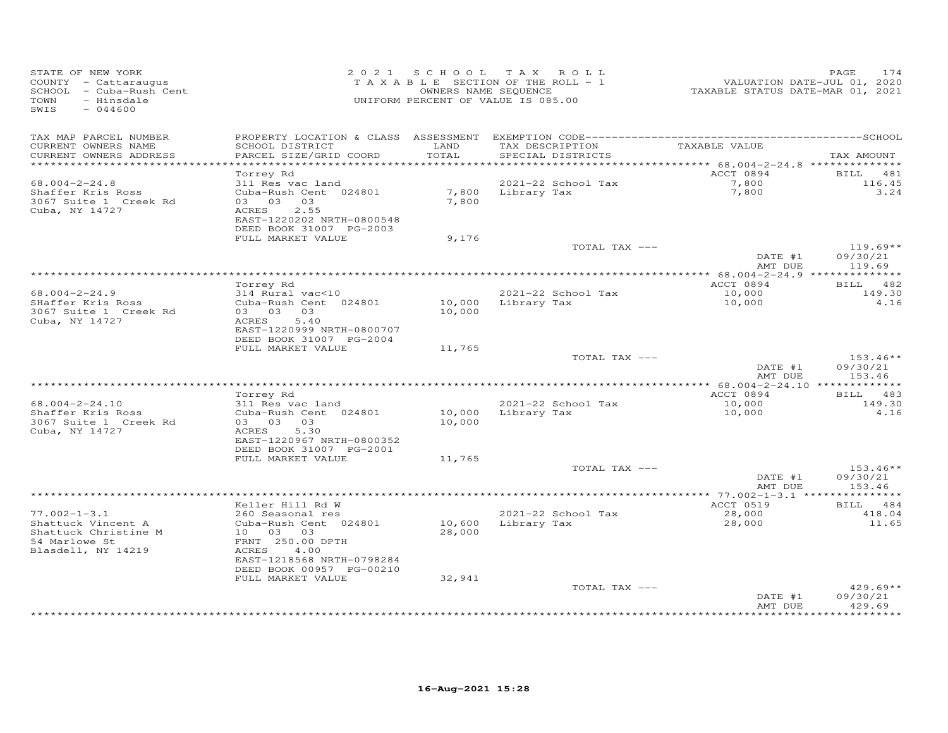| STATE OF NEW YORK<br>COUNTY - Cattaraugus<br>SCHOOL - Cuba-Rush Cent<br>- Hinsdale<br>TOWN<br>SWIS<br>$-044600$ |                                                                                                                             | OWNERS NAME SEQUENCE | 2021 SCHOOL TAX ROLL<br>TAXABLE SECTION OF THE ROLL - 1<br>UNIFORM PERCENT OF VALUE IS 085.00 | VALUATION DATE-JUL 01, 2020<br>TAXABLE STATUS DATE-MAR 01, 2021 | PAGE<br>174                      |
|-----------------------------------------------------------------------------------------------------------------|-----------------------------------------------------------------------------------------------------------------------------|----------------------|-----------------------------------------------------------------------------------------------|-----------------------------------------------------------------|----------------------------------|
| TAX MAP PARCEL NUMBER<br>CURRENT OWNERS NAME<br>CURRENT OWNERS ADDRESS                                          | SCHOOL DISTRICT<br>PARCEL SIZE/GRID COORD                                                                                   | LAND<br>TOTAL        | TAX DESCRIPTION<br>SPECIAL DISTRICTS                                                          | TAXABLE VALUE                                                   | TAX AMOUNT                       |
| ************************                                                                                        | Torrey Rd                                                                                                                   |                      |                                                                                               | ACCT 0894                                                       | <b>BILL</b><br>481               |
| $68.004 - 2 - 24.8$<br>Shaffer Kris Ross<br>3067 Suite 1 Creek Rd<br>Cuba, NY 14727                             | 311 Res vac land<br>Cuba-Rush Cent 024801<br>03 03 03<br>2.55<br>ACRES<br>EAST-1220202 NRTH-0800548                         | 7,800                | 2021-22 School Tax<br>7,800 Library Tax                                                       | 7,800<br>7,800                                                  | 116.45<br>3.24                   |
|                                                                                                                 | DEED BOOK 31007 PG-2003                                                                                                     |                      |                                                                                               |                                                                 |                                  |
|                                                                                                                 | FULL MARKET VALUE                                                                                                           | 9,176                | TOTAL TAX ---                                                                                 | DATE #1                                                         | $119.69**$<br>09/30/21           |
|                                                                                                                 |                                                                                                                             |                      |                                                                                               | AMT DUE                                                         | 119.69                           |
|                                                                                                                 | Torrey Rd                                                                                                                   |                      |                                                                                               | ACCT 0894                                                       | BILL 482                         |
| $68.004 - 2 - 24.9$                                                                                             | 314 Rural vac<10                                                                                                            |                      | 2021-22 School Tax                                                                            | 10,000                                                          | 149.30                           |
| SHaffer Kris Ross<br>3067 Suite 1 Creek Rd<br>Cuba, NY 14727                                                    | Cuba-Rush Cent 024801<br>03 03 03<br>5.40<br>ACRES<br>EAST-1220999 NRTH-0800707                                             | 10,000<br>10,000     | Library Tax                                                                                   | 10,000                                                          | 4.16                             |
|                                                                                                                 | DEED BOOK 31007 PG-2004<br>FULL MARKET VALUE                                                                                | 11,765               |                                                                                               |                                                                 |                                  |
|                                                                                                                 |                                                                                                                             |                      | TOTAL TAX ---                                                                                 | DATE #1                                                         | $153.46**$<br>09/30/21           |
|                                                                                                                 |                                                                                                                             |                      |                                                                                               | AMT DUE                                                         | 153.46                           |
|                                                                                                                 | Torrey Rd                                                                                                                   |                      |                                                                                               | ACCT 0894                                                       | BILL 483                         |
| $68.004 - 2 - 24.10$<br>Shaffer Kris Ross<br>3067 Suite 1 Creek Rd<br>Cuba, NY 14727                            | 311 Res vac land<br>Cuba-Rush Cent 024801<br>03 03 03<br>5.30<br>ACRES<br>EAST-1220967 NRTH-0800352                         | 10,000               | 2021-22 School Tax<br>10,000 Library Tax                                                      | 10,000<br>10,000                                                | 149.30<br>4.16                   |
|                                                                                                                 | DEED BOOK 31007 PG-2001<br>FULL MARKET VALUE                                                                                | 11,765               |                                                                                               |                                                                 |                                  |
|                                                                                                                 |                                                                                                                             |                      | TOTAL TAX ---                                                                                 | DATE #1<br>AMT DUE                                              | $153.46**$<br>09/30/21<br>153.46 |
|                                                                                                                 |                                                                                                                             |                      |                                                                                               |                                                                 |                                  |
| $77.002 - 1 - 3.1$<br>Shattuck Vincent A                                                                        | Keller Hill Rd W<br>260 Seasonal res<br>Cuba-Rush Cent 024801                                                               | 10,600               | 2021-22 School Tax<br>Library Tax                                                             | ACCT 0519<br>28,000<br>28,000                                   | BILL 484<br>418.04<br>11.65      |
| Shattuck Christine M<br>54 Marlowe St<br>Blasdell, NY 14219                                                     | 10 03 03<br>FRNT 250.00 DPTH<br>4.00<br>ACRES<br>EAST-1218568 NRTH-0798284<br>DEED BOOK 00957 PG-00210<br>FULL MARKET VALUE | 28,000<br>32,941     |                                                                                               |                                                                 |                                  |
|                                                                                                                 |                                                                                                                             |                      | TOTAL TAX ---                                                                                 | DATE #1<br>AMT DUE                                              | $429.69**$<br>09/30/21<br>429.69 |
|                                                                                                                 |                                                                                                                             |                      |                                                                                               |                                                                 |                                  |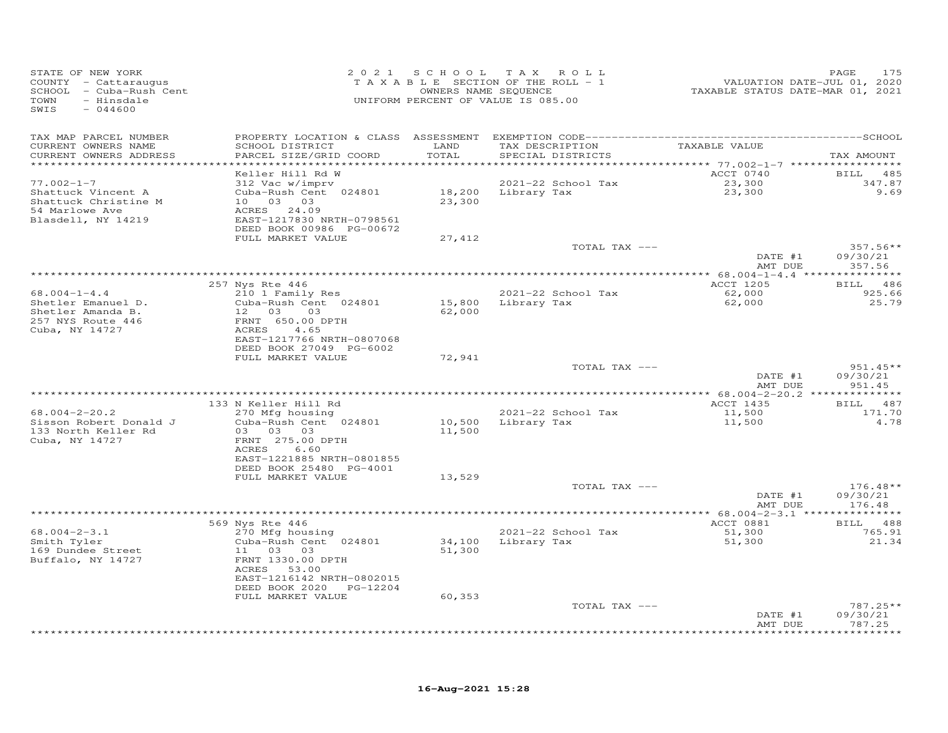| STATE OF NEW YORK<br>COUNTY - Cattaraugus<br>SCHOOL - Cuba-Rush Cent<br>TOWN<br>- Hinsdale<br>SWIS<br>$-044600$ | 2 0 2 1                                    |        | SCHOOL TAX ROLL<br>TAXABLE SECTION OF THE ROLL - 1<br>OWNERS NAME SEQUENCE<br>UNIFORM PERCENT OF VALUE IS 085.00 | VALUATION DATE-JUL 01, 2020<br>TAXABLE STATUS DATE-MAR 01, 2021 | PAGE<br>175        |
|-----------------------------------------------------------------------------------------------------------------|--------------------------------------------|--------|------------------------------------------------------------------------------------------------------------------|-----------------------------------------------------------------|--------------------|
| TAX MAP PARCEL NUMBER                                                                                           |                                            |        |                                                                                                                  |                                                                 |                    |
| CURRENT OWNERS NAME                                                                                             | SCHOOL DISTRICT                            | LAND   | TAX DESCRIPTION                                                                                                  | TAXABLE VALUE                                                   |                    |
| CURRENT OWNERS ADDRESS<br>***********************                                                               | PARCEL SIZE/GRID COORD                     | TOTAL  | SPECIAL DISTRICTS                                                                                                |                                                                 | TAX AMOUNT         |
|                                                                                                                 | Keller Hill Rd W                           |        |                                                                                                                  | ACCT 0740                                                       | BILL 485           |
| $77.002 - 1 - 7$                                                                                                | 312 Vac w/imprv                            |        | 2021-22 School Tax                                                                                               | 23,300                                                          | 347.87             |
| Shattuck Vincent A                                                                                              | Cuba-Rush Cent 024801                      |        | 18,200 Library Tax                                                                                               | 23,300                                                          | 9.69               |
| Shattuck Christine M                                                                                            | 10 03 03                                   | 23,300 |                                                                                                                  |                                                                 |                    |
| 54 Marlowe Ave<br>Blasdell, NY 14219                                                                            | ACRES 24.09<br>EAST-1217830 NRTH-0798561   |        |                                                                                                                  |                                                                 |                    |
|                                                                                                                 | DEED BOOK 00986 PG-00672                   |        |                                                                                                                  |                                                                 |                    |
|                                                                                                                 | FULL MARKET VALUE                          | 27,412 |                                                                                                                  |                                                                 |                    |
|                                                                                                                 |                                            |        | TOTAL TAX ---                                                                                                    |                                                                 | $357.56**$         |
|                                                                                                                 |                                            |        |                                                                                                                  | DATE #1                                                         | 09/30/21           |
|                                                                                                                 |                                            |        |                                                                                                                  | AMT DUE                                                         | 357.56             |
|                                                                                                                 | 257 Nys Rte 446                            |        |                                                                                                                  | ACCT 1205                                                       | BILL<br>486        |
| $68.004 - 1 - 4.4$                                                                                              | 210 1 Family Res                           |        | 2021-22 School Tax                                                                                               | 62,000                                                          | 925.66             |
| Shetler Emanuel D.                                                                                              | Cuba-Rush Cent 024801                      | 15,800 | Library Tax                                                                                                      | 62,000                                                          | 25.79              |
| Shetler Amanda B.                                                                                               | 12 03<br>03                                | 62,000 |                                                                                                                  |                                                                 |                    |
| 257 NYS Route 446                                                                                               | FRNT 650.00 DPTH                           |        |                                                                                                                  |                                                                 |                    |
| Cuba, NY 14727                                                                                                  | ACRES<br>4.65<br>EAST-1217766 NRTH-0807068 |        |                                                                                                                  |                                                                 |                    |
|                                                                                                                 | DEED BOOK 27049 PG-6002                    |        |                                                                                                                  |                                                                 |                    |
|                                                                                                                 | FULL MARKET VALUE                          | 72,941 |                                                                                                                  |                                                                 |                    |
|                                                                                                                 |                                            |        | TOTAL TAX ---                                                                                                    |                                                                 | $951.45**$         |
|                                                                                                                 |                                            |        |                                                                                                                  | DATE #1                                                         | 09/30/21           |
|                                                                                                                 |                                            |        | ************************************                                                                             | AMT DUE<br>************* 68.004-2-20.2 ***************          | 951.45             |
|                                                                                                                 | 133 N Keller Hill Rd                       |        |                                                                                                                  | ACCT 1435                                                       | 487<br>BILL        |
| $68.004 - 2 - 20.2$                                                                                             | 270 Mfg housing                            |        | 2021-22 School Tax                                                                                               | 11,500                                                          | 171.70             |
| Sisson Robert Donald J                                                                                          | Cuba-Rush Cent 024801                      | 10,500 | Library Tax                                                                                                      | 11,500                                                          | 4.78               |
| 133 North Keller Rd                                                                                             | 03 03 03                                   | 11,500 |                                                                                                                  |                                                                 |                    |
| Cuba, NY 14727                                                                                                  | FRNT 275.00 DPTH<br>6.60<br>ACRES          |        |                                                                                                                  |                                                                 |                    |
|                                                                                                                 | EAST-1221885 NRTH-0801855                  |        |                                                                                                                  |                                                                 |                    |
|                                                                                                                 | DEED BOOK 25480 PG-4001                    |        |                                                                                                                  |                                                                 |                    |
|                                                                                                                 | FULL MARKET VALUE                          | 13,529 |                                                                                                                  |                                                                 |                    |
|                                                                                                                 |                                            |        | TOTAL TAX ---                                                                                                    |                                                                 | $176.48**$         |
|                                                                                                                 |                                            |        |                                                                                                                  | DATE #1<br>AMT DUE                                              | 09/30/21<br>176.48 |
|                                                                                                                 |                                            |        |                                                                                                                  |                                                                 |                    |
|                                                                                                                 | 569 Nys Rte 446                            |        |                                                                                                                  | ACCT 0881                                                       | BILL 488           |
| $68.004 - 2 - 3.1$                                                                                              | 270 Mfg housing                            |        | 2021-22 School Tax                                                                                               | 51,300                                                          | 765.91             |
| Smith Tyler                                                                                                     | Cuba-Rush Cent 024801                      |        | 34,100 Library Tax                                                                                               | 51,300                                                          | 21.34              |
| 169 Dundee Street<br>Buffalo, NY 14727                                                                          | 11 03 03<br>FRNT 1330.00 DPTH              | 51,300 |                                                                                                                  |                                                                 |                    |
|                                                                                                                 | ACRES 53.00                                |        |                                                                                                                  |                                                                 |                    |
|                                                                                                                 | EAST-1216142 NRTH-0802015                  |        |                                                                                                                  |                                                                 |                    |
|                                                                                                                 | DEED BOOK 2020 PG-12204                    |        |                                                                                                                  |                                                                 |                    |
|                                                                                                                 | FULL MARKET VALUE                          | 60,353 |                                                                                                                  |                                                                 |                    |
|                                                                                                                 |                                            |        | TOTAL TAX ---                                                                                                    |                                                                 | $787.25**$         |
|                                                                                                                 |                                            |        |                                                                                                                  | DATE #1<br>AMT DUE                                              | 09/30/21<br>787.25 |
|                                                                                                                 |                                            |        | ***************************                                                                                      |                                                                 | *********          |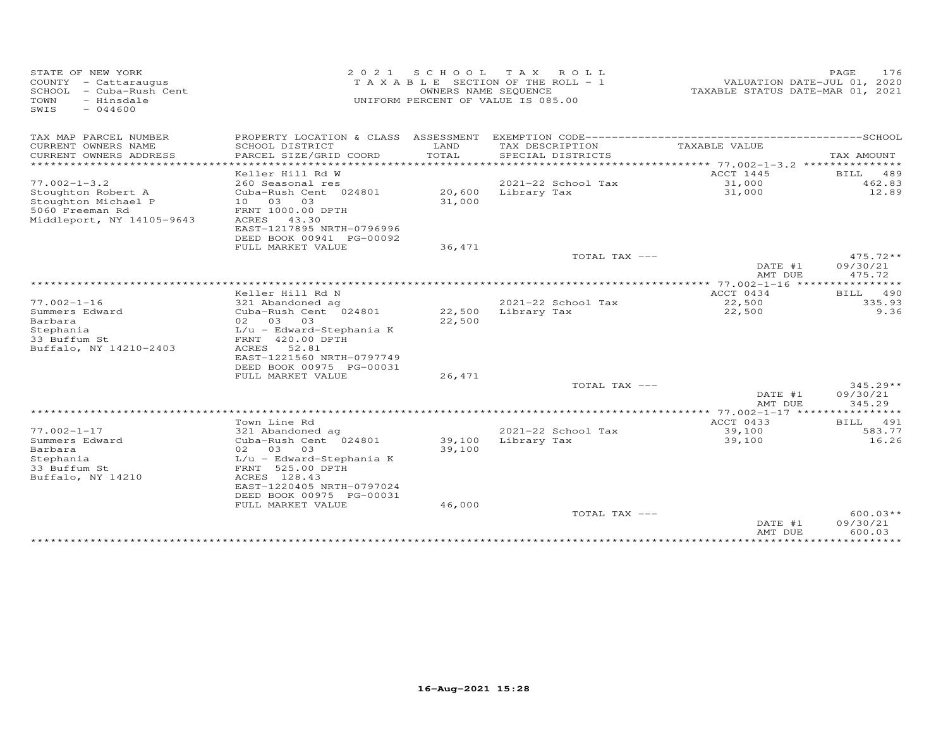| STATE OF NEW YORK<br>COUNTY - Cattaraugus<br>SCHOOL<br>- Cuba-Rush Cent<br>TOWN<br>- Hinsdale<br>SWIS<br>$-044600$ | 2 0 2 1                                     | S C H O O L<br>OWNERS NAME SEQUENCE | T A X<br>ROLL<br>T A X A B L E SECTION OF THE ROLL - 1<br>UNIFORM PERCENT OF VALUE IS 085.00 | VALUATION DATE-JUL 01, 2020<br>TAXABLE STATUS DATE-MAR 01, 2021 | 176<br>PAGE          |
|--------------------------------------------------------------------------------------------------------------------|---------------------------------------------|-------------------------------------|----------------------------------------------------------------------------------------------|-----------------------------------------------------------------|----------------------|
| TAX MAP PARCEL NUMBER                                                                                              | PROPERTY LOCATION & CLASS ASSESSMENT        |                                     |                                                                                              |                                                                 |                      |
| CURRENT OWNERS NAME<br>CURRENT OWNERS ADDRESS                                                                      | SCHOOL DISTRICT<br>PARCEL SIZE/GRID COORD   | LAND<br>TOTAL                       | TAX DESCRIPTION<br>SPECIAL DISTRICTS                                                         | TAXABLE VALUE                                                   |                      |
| *************************                                                                                          |                                             |                                     |                                                                                              |                                                                 | TAX AMOUNT           |
|                                                                                                                    | Keller Hill Rd W                            |                                     |                                                                                              | ACCT 1445                                                       | 489<br>BILL          |
| $77.002 - 1 - 3.2$                                                                                                 | 260 Seasonal res                            |                                     | 2021-22 School Tax                                                                           | 31,000                                                          | 462.83               |
| Stoughton Robert A                                                                                                 | Cuba-Rush Cent 024801                       | 20,600                              | Library Tax                                                                                  | 31,000                                                          | 12.89                |
| Stoughton Michael P                                                                                                | 03<br>03<br>10                              | 31,000                              |                                                                                              |                                                                 |                      |
| 5060 Freeman Rd                                                                                                    | FRNT 1000.00 DPTH                           |                                     |                                                                                              |                                                                 |                      |
| Middleport, NY 14105-9643                                                                                          | ACRES<br>43.30<br>EAST-1217895 NRTH-0796996 |                                     |                                                                                              |                                                                 |                      |
|                                                                                                                    | DEED BOOK 00941 PG-00092                    |                                     |                                                                                              |                                                                 |                      |
|                                                                                                                    | FULL MARKET VALUE                           | 36,471                              |                                                                                              |                                                                 |                      |
|                                                                                                                    |                                             |                                     | TOTAL TAX ---                                                                                |                                                                 | 475.72**             |
|                                                                                                                    |                                             |                                     |                                                                                              | DATE #1                                                         | 09/30/21             |
|                                                                                                                    |                                             |                                     | ************************                                                                     | AMT DUE<br>***** 77.002-1-16 *****                              | 475.72<br>*********  |
|                                                                                                                    | Keller Hill Rd N                            |                                     |                                                                                              | ACCT 0434                                                       | 490<br>BILL          |
| $77.002 - 1 - 16$                                                                                                  | 321 Abandoned ag                            |                                     | 2021-22 School Tax                                                                           | 22,500                                                          | 335.93               |
| Summers Edward                                                                                                     | Cuba-Rush Cent 024801                       | 22,500                              | Library Tax                                                                                  | 22,500                                                          | 9.36                 |
| Barbara                                                                                                            | 02 03<br>03                                 | 22,500                              |                                                                                              |                                                                 |                      |
| Stephania                                                                                                          | $L/u$ - Edward-Stephania K                  |                                     |                                                                                              |                                                                 |                      |
| 33 Buffum St                                                                                                       | FRNT 420.00 DPTH                            |                                     |                                                                                              |                                                                 |                      |
| Buffalo, NY 14210-2403                                                                                             | ACRES<br>52.81<br>EAST-1221560 NRTH-0797749 |                                     |                                                                                              |                                                                 |                      |
|                                                                                                                    | DEED BOOK 00975 PG-00031                    |                                     |                                                                                              |                                                                 |                      |
|                                                                                                                    | FULL MARKET VALUE                           | 26,471                              |                                                                                              |                                                                 |                      |
|                                                                                                                    |                                             |                                     | TOTAL TAX ---                                                                                |                                                                 | 345.29**             |
|                                                                                                                    |                                             |                                     |                                                                                              | DATE #1                                                         | 09/30/21             |
|                                                                                                                    |                                             |                                     |                                                                                              | AMT DUE<br>************* 77.002-1-17 ****************           | 345.29               |
|                                                                                                                    | Town Line Rd                                |                                     |                                                                                              | ACCT 0433                                                       | 491<br>BILL          |
| $77.002 - 1 - 17$                                                                                                  | 321 Abandoned ag                            |                                     | 2021-22 School Tax                                                                           | 39,100                                                          | 583.77               |
| Summers Edward                                                                                                     | Cuba-Rush Cent 024801                       | 39,100                              | Library Tax                                                                                  | 39,100                                                          | 16.26                |
| Barbara                                                                                                            | 03<br>03<br>02                              | 39,100                              |                                                                                              |                                                                 |                      |
| Stephania                                                                                                          | $L/u$ - Edward-Stephania K                  |                                     |                                                                                              |                                                                 |                      |
| 33 Buffum St                                                                                                       | FRNT 525.00 DPTH                            |                                     |                                                                                              |                                                                 |                      |
| Buffalo, NY 14210                                                                                                  | ACRES 128.43<br>EAST-1220405 NRTH-0797024   |                                     |                                                                                              |                                                                 |                      |
|                                                                                                                    | DEED BOOK 00975 PG-00031                    |                                     |                                                                                              |                                                                 |                      |
|                                                                                                                    | FULL MARKET VALUE                           | 46,000                              |                                                                                              |                                                                 |                      |
|                                                                                                                    |                                             |                                     | TOTAL TAX ---                                                                                |                                                                 | 600.03**             |
|                                                                                                                    |                                             |                                     |                                                                                              | DATE #1                                                         | 09/30/21             |
|                                                                                                                    |                                             |                                     |                                                                                              | AMT DUE<br>***********                                          | 600.03<br>********** |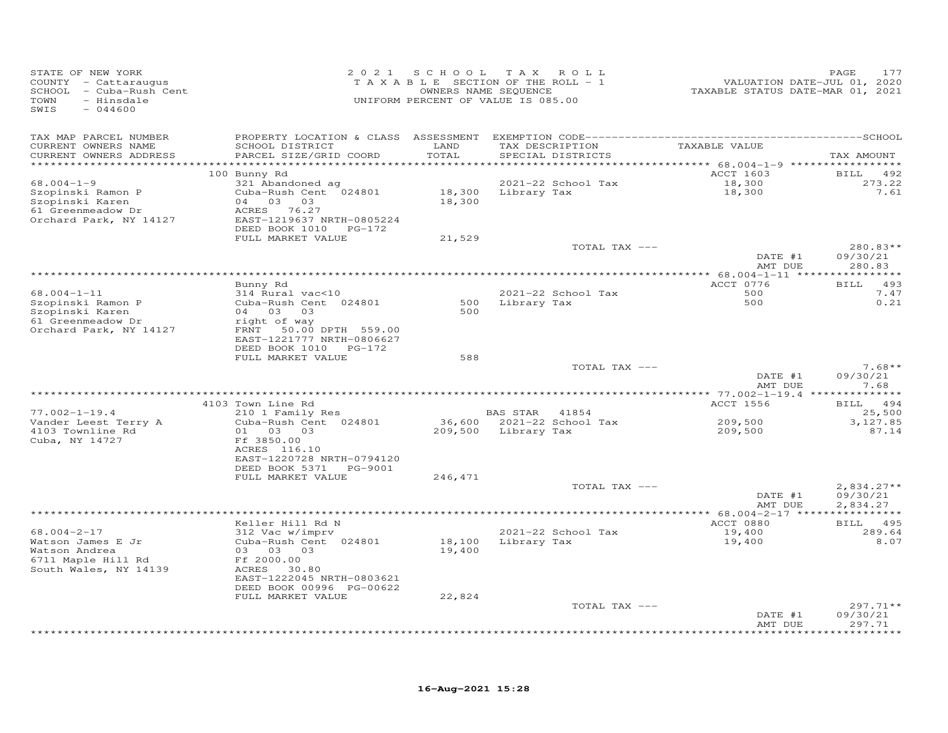| STATE OF NEW YORK<br>COUNTY - Cattaraugus<br>SCHOOL - Cuba-Rush Cent<br>TOWN<br>- Hinsdale<br>SWIS<br>$-044600$ | 2 0 2 1                                               | SCHOOL                | T A X<br>ROLL<br>TAXABLE SECTION OF THE ROLL - 1<br>OWNERS NAME SEQUENCE<br>UNIFORM PERCENT OF VALUE IS 085.00 | VALUATION DATE-JUL 01, 2020<br>TAXABLE STATUS DATE-MAR 01, 2021 | PAGE<br>177          |
|-----------------------------------------------------------------------------------------------------------------|-------------------------------------------------------|-----------------------|----------------------------------------------------------------------------------------------------------------|-----------------------------------------------------------------|----------------------|
| TAX MAP PARCEL NUMBER                                                                                           |                                                       |                       |                                                                                                                |                                                                 |                      |
| CURRENT OWNERS NAME                                                                                             | SCHOOL DISTRICT                                       | LAND                  | TAX DESCRIPTION                                                                                                | TAXABLE VALUE                                                   |                      |
| CURRENT OWNERS ADDRESS<br>*********************                                                                 | PARCEL SIZE/GRID COORD                                | TOTAL<br>************ | SPECIAL DISTRICTS                                                                                              |                                                                 | TAX AMOUNT           |
|                                                                                                                 | 100 Bunny Rd                                          |                       |                                                                                                                | ACCT 1603                                                       | <b>BILL</b><br>492   |
| $68.004 - 1 - 9$                                                                                                | 321 Abandoned ag                                      |                       | 2021-22 School Tax                                                                                             | 18,300                                                          | 273.22               |
| Szopinski Ramon P                                                                                               | Cuba-Rush Cent 024801                                 | 18,300                | Library Tax                                                                                                    | 18,300                                                          | 7.61                 |
| Szopinski Karen                                                                                                 | 04 03 03                                              | 18,300                |                                                                                                                |                                                                 |                      |
| 61 Greenmeadow Dr<br>Orchard Park, NY 14127                                                                     | ACRES 76.27<br>EAST-1219637 NRTH-0805224              |                       |                                                                                                                |                                                                 |                      |
|                                                                                                                 | DEED BOOK 1010 PG-172                                 |                       |                                                                                                                |                                                                 |                      |
|                                                                                                                 | FULL MARKET VALUE                                     | 21,529                |                                                                                                                |                                                                 |                      |
|                                                                                                                 |                                                       |                       | TOTAL TAX ---                                                                                                  |                                                                 | 280.83**             |
|                                                                                                                 |                                                       |                       |                                                                                                                | DATE #1                                                         | 09/30/21             |
|                                                                                                                 |                                                       |                       |                                                                                                                | AMT DUE                                                         | 280.83               |
|                                                                                                                 | Bunny Rd                                              |                       |                                                                                                                | ACCT 0776                                                       | 493<br>BILL          |
| $68.004 - 1 - 11$                                                                                               | 314 Rural vac<10                                      |                       | 2021-22 School Tax                                                                                             | 500                                                             | 7.47                 |
| Szopinski Ramon P                                                                                               | Cuba-Rush Cent 024801                                 | 500                   | Library Tax                                                                                                    | 500                                                             | 0.21                 |
| Szopinski Karen                                                                                                 | 04 03<br>03                                           | 500                   |                                                                                                                |                                                                 |                      |
| 61 Greenmeadow Dr<br>Orchard Park, NY 14127                                                                     | right of way<br>FRNT 50.00 DPTH 559.00                |                       |                                                                                                                |                                                                 |                      |
|                                                                                                                 | EAST-1221777 NRTH-0806627                             |                       |                                                                                                                |                                                                 |                      |
|                                                                                                                 | DEED BOOK 1010 PG-172                                 |                       |                                                                                                                |                                                                 |                      |
|                                                                                                                 | FULL MARKET VALUE                                     | 588                   |                                                                                                                |                                                                 |                      |
|                                                                                                                 |                                                       |                       | TOTAL TAX ---                                                                                                  | DATE #1                                                         | $7.68**$<br>09/30/21 |
|                                                                                                                 |                                                       |                       |                                                                                                                | AMT DUE                                                         | 7.68                 |
|                                                                                                                 |                                                       |                       |                                                                                                                |                                                                 |                      |
|                                                                                                                 | 4103 Town Line Rd                                     |                       |                                                                                                                | ACCT 1556                                                       | <b>BILL</b><br>494   |
| $77.002 - 1 - 19.4$                                                                                             | 210 1 Family Res                                      |                       | BAS STAR 41854                                                                                                 |                                                                 | 25,500               |
| Vander Leest Terry A<br>4103 Townline Rd                                                                        | Cuba-Rush Cent 024801<br>01<br>03 03                  | 209,500               | 36,600 2021-22 School Tax<br>Library Tax                                                                       | 209,500<br>209,500                                              | 3,127.85<br>87.14    |
| Cuba, NY 14727                                                                                                  | Ff 3850.00                                            |                       |                                                                                                                |                                                                 |                      |
|                                                                                                                 | ACRES 116.10                                          |                       |                                                                                                                |                                                                 |                      |
|                                                                                                                 | EAST-1220728 NRTH-0794120                             |                       |                                                                                                                |                                                                 |                      |
|                                                                                                                 | DEED BOOK 5371 PG-9001                                |                       |                                                                                                                |                                                                 |                      |
|                                                                                                                 | FULL MARKET VALUE                                     | 246,471               | TOTAL TAX ---                                                                                                  |                                                                 | $2,834.27**$         |
|                                                                                                                 |                                                       |                       |                                                                                                                | DATE #1                                                         | 09/30/21             |
|                                                                                                                 |                                                       |                       |                                                                                                                | AMT DUE                                                         | 2,834.27             |
|                                                                                                                 |                                                       |                       |                                                                                                                |                                                                 |                      |
| $68.004 - 2 - 17$                                                                                               | Keller Hill Rd N<br>312 Vac w/imprv                   |                       | 2021-22 School Tax                                                                                             | ACCT 0880<br>19,400                                             | BILL 495<br>289.64   |
| Watson James E Jr                                                                                               | Cuba-Rush Cent 024801                                 | 18,100                | Library Tax                                                                                                    | 19,400                                                          | 8.07                 |
| Watson Andrea                                                                                                   | 03 03 03                                              | 19,400                |                                                                                                                |                                                                 |                      |
| 6711 Maple Hill Rd                                                                                              | Ff 2000.00                                            |                       |                                                                                                                |                                                                 |                      |
| South Wales, NY 14139                                                                                           | ACRES 30.80                                           |                       |                                                                                                                |                                                                 |                      |
|                                                                                                                 | EAST-1222045 NRTH-0803621<br>DEED BOOK 00996 PG-00622 |                       |                                                                                                                |                                                                 |                      |
|                                                                                                                 | FULL MARKET VALUE                                     | 22,824                |                                                                                                                |                                                                 |                      |
|                                                                                                                 |                                                       |                       | TOTAL TAX ---                                                                                                  |                                                                 | $297.71**$           |
|                                                                                                                 |                                                       |                       |                                                                                                                | DATE #1                                                         | 09/30/21             |
|                                                                                                                 |                                                       |                       |                                                                                                                | AMT DUE                                                         | 297.71<br>*******    |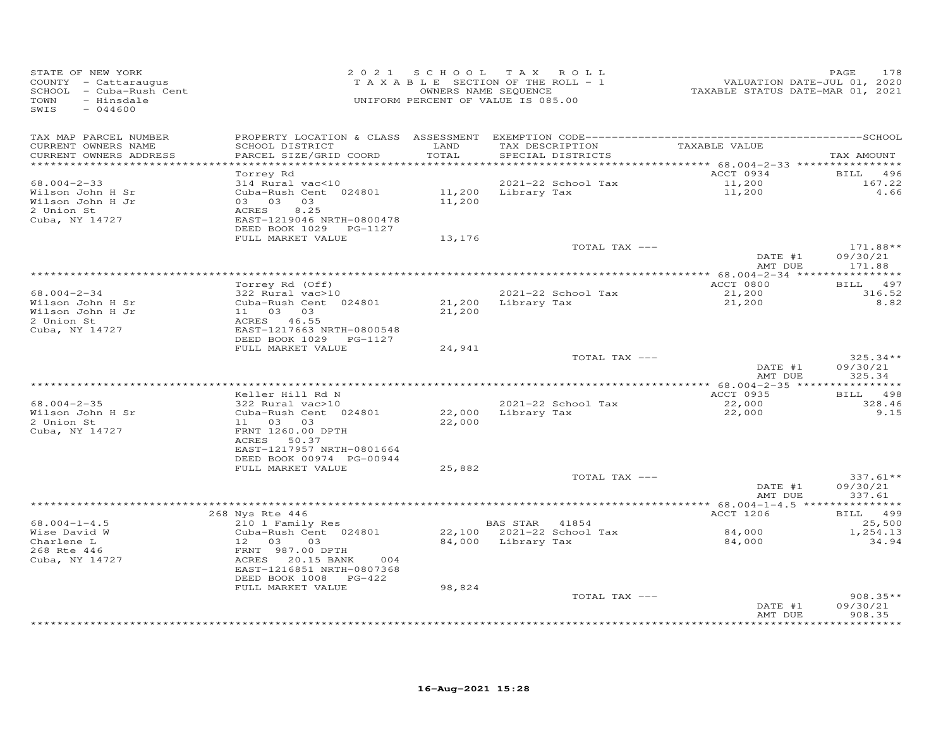| STATE OF NEW YORK<br>COUNTY - Cattaraugus<br>SCHOOL - Cuba-Rush Cent<br>TOWN<br>- Hinsdale<br>$-044600$<br>SWIS | 2 0 2 1                                                                                             |                  | SCHOOL TAX ROLL<br>TAXABLE SECTION OF THE ROLL - 1<br>OWNERS NAME SEQUENCE<br>UNIFORM PERCENT OF VALUE IS 085.00 | 1<br>2020 - VALUATION DATE-JUL<br>2021 - TAXABLE STATUS DATE-MAR | PAGE<br>178                      |
|-----------------------------------------------------------------------------------------------------------------|-----------------------------------------------------------------------------------------------------|------------------|------------------------------------------------------------------------------------------------------------------|------------------------------------------------------------------|----------------------------------|
| TAX MAP PARCEL NUMBER<br>CURRENT OWNERS NAME<br>CURRENT OWNERS ADDRESS                                          | SCHOOL DISTRICT<br>PARCEL SIZE/GRID COORD                                                           | LAND<br>TOTAL    | TAX DESCRIPTION<br>SPECIAL DISTRICTS                                                                             | TAXABLE VALUE                                                    | TAX AMOUNT                       |
| ************************                                                                                        | Torrey Rd                                                                                           |                  |                                                                                                                  | ACCT 0934                                                        | <b>BILL</b><br>496               |
| $68.004 - 2 - 33$<br>Wilson John H Sr<br>Wilson John H Jr<br>2 Union St<br>Cuba, NY 14727                       | 314 Rural vac<10<br>Cuba-Rush Cent 024801<br>03 03 03<br>8.25<br>ACRES<br>EAST-1219046 NRTH-0800478 | 11,200           | 2021-22 School Tax<br>11,200 Library Tax                                                                         | 11,200<br>11,200                                                 | 167.22<br>4.66                   |
|                                                                                                                 | DEED BOOK 1029    PG-1127                                                                           |                  |                                                                                                                  |                                                                  |                                  |
|                                                                                                                 | FULL MARKET VALUE                                                                                   | 13,176           | TOTAL TAX ---                                                                                                    |                                                                  | $171.88**$                       |
|                                                                                                                 |                                                                                                     |                  |                                                                                                                  | DATE #1<br>AMT DUE                                               | 09/30/21<br>171.88               |
|                                                                                                                 |                                                                                                     |                  |                                                                                                                  |                                                                  |                                  |
|                                                                                                                 | Torrey Rd (Off)                                                                                     |                  |                                                                                                                  | ACCT 0800                                                        | BILL 497                         |
| 68.004-2-34                                                                                                     | 322 Rural vac>10                                                                                    |                  | 2021-22 School Tax                                                                                               | 21,200                                                           | 316.52<br>8.82                   |
| Wilson John H Sr<br>Wilson John H Jr                                                                            | Cuba-Rush Cent 024801<br>11 03 03                                                                   | 21,200<br>21,200 | Library Tax                                                                                                      | 21,200                                                           |                                  |
| 2 Union St                                                                                                      | ACRES 46.55                                                                                         |                  |                                                                                                                  |                                                                  |                                  |
| Cuba, NY 14727                                                                                                  | EAST-1217663 NRTH-0800548<br>DEED BOOK 1029    PG-1127                                              |                  |                                                                                                                  |                                                                  |                                  |
|                                                                                                                 | FULL MARKET VALUE                                                                                   | 24,941           |                                                                                                                  |                                                                  |                                  |
|                                                                                                                 |                                                                                                     |                  | TOTAL TAX ---                                                                                                    | DATE #1<br>AMT DUE                                               | $325.34**$<br>09/30/21<br>325.34 |
|                                                                                                                 |                                                                                                     |                  |                                                                                                                  |                                                                  |                                  |
|                                                                                                                 | Keller Hill Rd N                                                                                    |                  |                                                                                                                  | ACCT 0935                                                        | BILL 498                         |
| $68.004 - 2 - 35$                                                                                               | 322 Rural vac>10                                                                                    |                  | 2021-22 School Tax                                                                                               | 22,000<br>22,000                                                 | 328.46                           |
| Wilson John H Sr<br>2 Union St                                                                                  | Cuba-Rush Cent 024801<br>11 03 03                                                                   | 22,000           | 22,000 Library Tax                                                                                               |                                                                  | 9.15                             |
| Cuba, NY 14727                                                                                                  | FRNT 1260.00 DPTH                                                                                   |                  |                                                                                                                  |                                                                  |                                  |
|                                                                                                                 | ACRES 50.37                                                                                         |                  |                                                                                                                  |                                                                  |                                  |
|                                                                                                                 | EAST-1217957 NRTH-0801664                                                                           |                  |                                                                                                                  |                                                                  |                                  |
|                                                                                                                 | DEED BOOK 00974 PG-00944<br>FULL MARKET VALUE                                                       | 25,882           |                                                                                                                  |                                                                  |                                  |
|                                                                                                                 |                                                                                                     |                  | TOTAL TAX ---                                                                                                    |                                                                  | $337.61**$                       |
|                                                                                                                 |                                                                                                     |                  |                                                                                                                  | DATE #1                                                          | 09/30/21                         |
|                                                                                                                 |                                                                                                     |                  |                                                                                                                  | AMT DUE                                                          | 337.61                           |
|                                                                                                                 | 268 Nys Rte 446                                                                                     |                  |                                                                                                                  | ACCT 1206                                                        | BILL 499                         |
| $68.004 - 1 - 4.5$                                                                                              | 210 1 Family Res                                                                                    |                  | BAS STAR 41854                                                                                                   |                                                                  | 25,500                           |
| Wise David W                                                                                                    | Cuba-Rush Cent 024801                                                                               |                  | 22,100 2021-22 School Tax                                                                                        | 84,000                                                           | 1,254.13                         |
| Charlene L<br>268 Rte 446                                                                                       | 12 03<br>03<br>FRNT 987.00 DPTH                                                                     |                  | 84,000 Library Tax                                                                                               | 84,000                                                           | 34.94                            |
| Cuba, NY 14727                                                                                                  | ACRES 20.15 BANK<br>004                                                                             |                  |                                                                                                                  |                                                                  |                                  |
|                                                                                                                 | EAST-1216851 NRTH-0807368<br>DEED BOOK 1008 PG-422                                                  |                  |                                                                                                                  |                                                                  |                                  |
|                                                                                                                 | FULL MARKET VALUE                                                                                   | 98,824           |                                                                                                                  |                                                                  |                                  |
|                                                                                                                 |                                                                                                     |                  | TOTAL TAX ---                                                                                                    |                                                                  | $908.35**$                       |
|                                                                                                                 |                                                                                                     |                  |                                                                                                                  | DATE #1<br>AMT DUE                                               | 09/30/21<br>908.35               |
|                                                                                                                 |                                                                                                     |                  |                                                                                                                  |                                                                  | * * * * * * * * *                |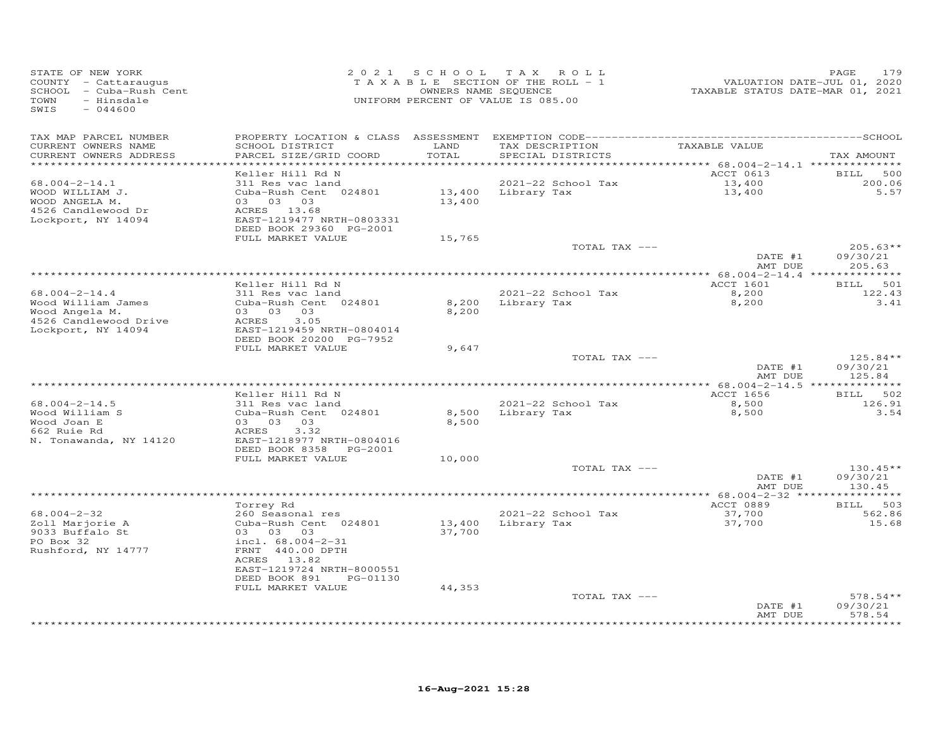| STATE OF NEW YORK<br>COUNTY - Cattaraugus<br>SCHOOL - Cuba-Rush Cent<br>TOWN<br>- Hinsdale<br>SWIS<br>$-044600$ | 2 0 2 1                                                                   |                | SCHOOL TAX ROLL<br>TAXABLE SECTION OF THE ROLL - 1<br>OWNERS NAME SEQUENCE<br>UNIFORM PERCENT OF VALUE IS 085.00 | <br>VALUATION DATE-JUL 01, 2020<br>TAXABLE STATUS DATE-MAR 01, 2021 | 179<br>PAGE                      |
|-----------------------------------------------------------------------------------------------------------------|---------------------------------------------------------------------------|----------------|------------------------------------------------------------------------------------------------------------------|---------------------------------------------------------------------|----------------------------------|
| TAX MAP PARCEL NUMBER<br>CURRENT OWNERS NAME<br>CURRENT OWNERS ADDRESS                                          | SCHOOL DISTRICT<br>PARCEL SIZE/GRID COORD                                 | LAND<br>TOTAL  | TAX DESCRIPTION<br>SPECIAL DISTRICTS                                                                             | TAXABLE VALUE                                                       | TAX AMOUNT                       |
| ***********************                                                                                         | Keller Hill Rd N                                                          |                |                                                                                                                  | ACCT 0613                                                           | <b>BILL</b><br>500               |
| $68.004 - 2 - 14.1$<br>WOOD WILLIAM J.<br>WOOD ANGELA M.<br>4526 Candlewood Dr                                  | 311 Res vac land<br>Cuba-Rush Cent 024801<br>03 03 03<br>ACRES 13.68      | 13,400         | 2021-22 School Tax<br>13,400 Library Tax                                                                         | 13,400<br>13,400                                                    | 200.06<br>5.57                   |
| Lockport, NY 14094                                                                                              | EAST-1219477 NRTH-0803331<br>DEED BOOK 29360 PG-2001                      |                |                                                                                                                  |                                                                     |                                  |
|                                                                                                                 | FULL MARKET VALUE                                                         | 15,765         | TOTAL TAX ---                                                                                                    |                                                                     | $205.63**$                       |
|                                                                                                                 |                                                                           |                |                                                                                                                  | DATE #1<br>AMT DUE                                                  | 09/30/21<br>205.63               |
|                                                                                                                 |                                                                           |                |                                                                                                                  |                                                                     |                                  |
| $68.004 - 2 - 14.4$                                                                                             | Keller Hill Rd N<br>311 Res vac land                                      |                | 2021-22 School Tax                                                                                               | ACCT 1601<br>8,200                                                  | BILL 501<br>122.43               |
| Wood William James<br>Wood Angela M.<br>4526 Candlewood Drive ACRES 3.05<br>Lockport, NY 14094                  | Cuba-Rush Cent 024801<br>03 03 03<br>EAST-1219459 NRTH-0804014            | 8,200<br>8,200 | Library Tax                                                                                                      | 8,200                                                               | 3.41                             |
|                                                                                                                 | DEED BOOK 20200 PG-7952                                                   |                |                                                                                                                  |                                                                     |                                  |
|                                                                                                                 | FULL MARKET VALUE                                                         | 9,647          | TOTAL TAX ---                                                                                                    | DATE #1<br>AMT DUE                                                  | $125.84**$<br>09/30/21<br>125.84 |
|                                                                                                                 |                                                                           |                |                                                                                                                  |                                                                     |                                  |
| $68.004 - 2 - 14.5$<br>Wood William S<br>Wood Joan E                                                            | Keller Hill Rd N<br>311 Res vac land<br>Cuba-Rush Cent 024801<br>03 03 03 | 8,500          | 2021-22 School Tax<br>8,500 Library Tax                                                                          | ACCT 1656<br>8,500<br>8,500                                         | BILL 502<br>126.91<br>3.54       |
| 662 Ruie Rd<br>N. Tonawanda, NY 14120                                                                           | ACRES<br>3.32<br>EAST-1218977 NRTH-0804016<br>DEED BOOK 8358<br>PG-2001   |                |                                                                                                                  |                                                                     |                                  |
|                                                                                                                 | FULL MARKET VALUE                                                         | 10,000         |                                                                                                                  |                                                                     |                                  |
|                                                                                                                 |                                                                           |                | TOTAL TAX ---                                                                                                    | DATE #1<br>AMT DUE                                                  | $130.45**$<br>09/30/21<br>130.45 |
|                                                                                                                 |                                                                           |                |                                                                                                                  |                                                                     |                                  |
| $68.004 - 2 - 32$                                                                                               | Torrey Rd<br>260 Seasonal res                                             |                | 2021-22 School Tax                                                                                               | ACCT 0889<br>37,700                                                 | BILL 503<br>562.86               |
| Zoll Marjorie A<br>9033 Buffalo St<br>PO Box 32                                                                 | Cuba-Rush Cent 024801<br>03 03 03<br>incl. 68.004-2-31                    | 37,700         | 13,400 Library Tax                                                                                               | 37,700                                                              | 15.68                            |
| Rushford, NY 14777                                                                                              | FRNT 440.00 DPTH<br>ACRES 13.82<br>EAST-1219724 NRTH-8000551              |                |                                                                                                                  |                                                                     |                                  |
|                                                                                                                 | DEED BOOK 891<br>PG-01130<br>FULL MARKET VALUE                            | 44,353         |                                                                                                                  |                                                                     |                                  |
|                                                                                                                 |                                                                           |                | TOTAL TAX ---                                                                                                    | DATE #1                                                             | $578.54**$<br>09/30/21           |
|                                                                                                                 |                                                                           |                |                                                                                                                  | AMT DUE                                                             | 578.54<br>*********              |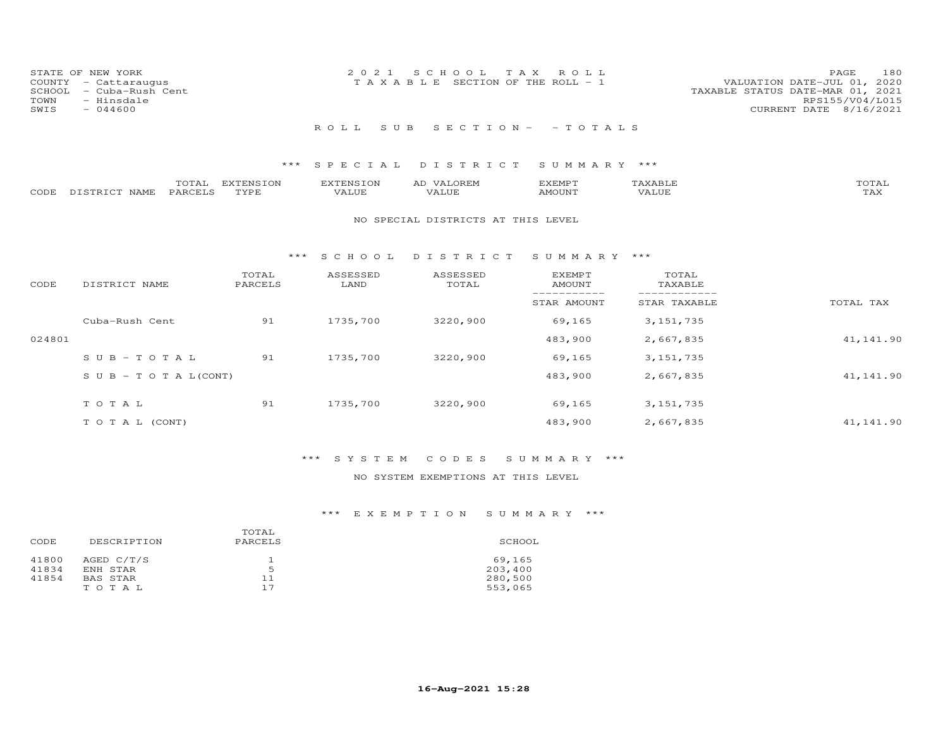|      | STATE OF NEW YORK       | 2021 SCHOOL TAX ROLL                                                 | PAGE            | 180 |
|------|-------------------------|----------------------------------------------------------------------|-----------------|-----|
|      | COUNTY - Cattaraugus    | VALUATION DATE-JUL 01, 2020<br>T A X A B L E SECTION OF THE ROLL - 1 |                 |     |
|      | SCHOOL - Cuba-Rush Cent | TAXABLE STATUS DATE-MAR 01, 2021                                     |                 |     |
| TOWN | - Hinsdale              |                                                                      | RPS155/V04/L015 |     |
| SWIS | $-044600$               | CURRENT DATE 8/16/2021                                               |                 |     |
|      |                         |                                                                      |                 |     |
|      |                         | ROLL SUB SECTION - - TOTALS                                          |                 |     |

|                    | TOTAL   | EXTENSION   | <b>EXTENSION</b> | VALOREM<br>AD | EXEMPT | {XABI∂ | TOTAL       |
|--------------------|---------|-------------|------------------|---------------|--------|--------|-------------|
| CODE DISTRICT NAME | PARCELS | <b>TYPE</b> | VALUE            | VALUE         | AMOUNT | VALUE  | ጥአህ<br>∡AX. |

#### NO SPECIAL DISTRICTS AT THIS LEVEL

#### \*\*\* S C H O O L D I S T R I C T S U M M A R Y \*\*\*

| CODE   | DISTRICT NAME                    | TOTAL<br>PARCELS | ASSESSED<br>LAND | ASSESSED<br>TOTAL | <b>EXEMPT</b><br>AMOUNT | TOTAL<br>TAXABLE |            |
|--------|----------------------------------|------------------|------------------|-------------------|-------------------------|------------------|------------|
|        |                                  |                  |                  |                   | STAR AMOUNT             | STAR TAXABLE     | TOTAL TAX  |
|        | Cuba-Rush Cent                   | 91               | 1735,700         | 3220,900          | 69,165                  | 3, 151, 735      |            |
| 024801 |                                  |                  |                  |                   | 483,900                 | 2,667,835        | 41, 141.90 |
|        | $SUB - TO T AL$                  | 91               | 1735,700         | 3220,900          | 69,165                  | 3, 151, 735      |            |
|        | $S \cup B - T \cup T A L (CONT)$ |                  |                  |                   | 483,900                 | 2,667,835        | 41,141.90  |
|        | TOTAL                            | 91               | 1735,700         | 3220,900          | 69,165                  | 3, 151, 735      |            |
|        | T O T A L (CONT)                 |                  |                  |                   | 483,900                 | 2,667,835        | 41,141.90  |

# \*\*\* S Y S T E M C O D E S S U M M A R Y \*\*\*

### NO SYSTEM EXEMPTIONS AT THIS LEVEL

|       |                 | TOTAL   |         |
|-------|-----------------|---------|---------|
| CODE  | DESCRIPTION     | PARCELS | SCHOOL  |
| 41800 | AGED C/T/S      |         | 69,165  |
| 41834 | ENH STAR        | 5       | 203,400 |
| 41854 | <b>BAS STAR</b> | 11      | 280,500 |
|       | TOTAL           | 17      | 553,065 |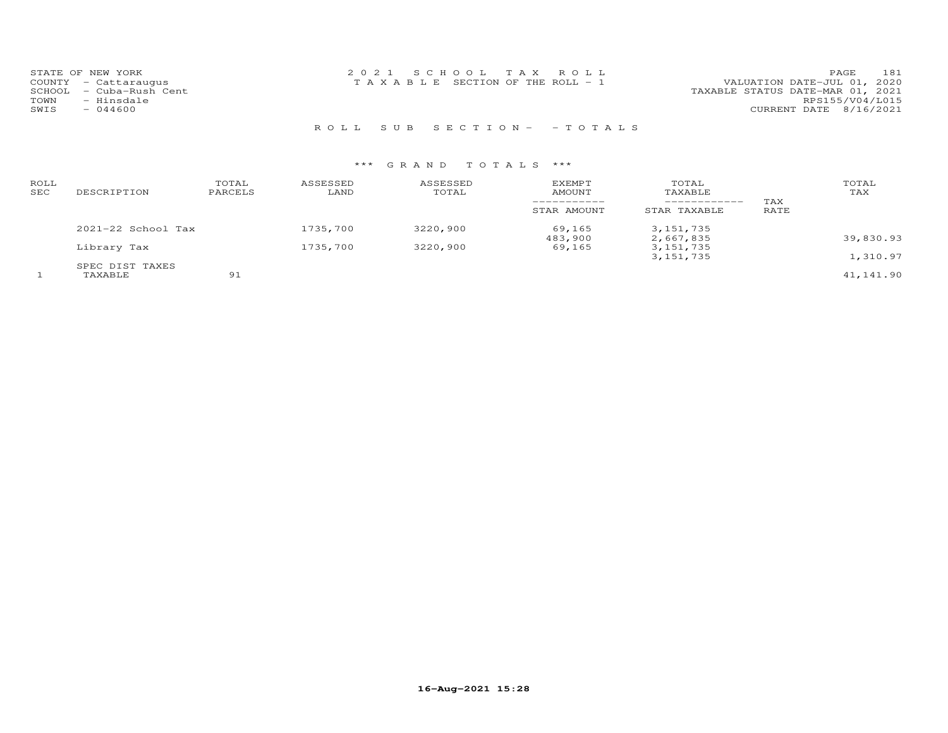| STATE OF NEW YORK       | 2021 SCHOOL TAX ROLL            | 181<br>PAGE.                     |
|-------------------------|---------------------------------|----------------------------------|
| COUNTY - Cattaraugus    | TAXABLE SECTION OF THE ROLL - 1 | VALUATION DATE-JUL 01, 2020      |
| SCHOOL - Cuba-Rush Cent |                                 | TAXABLE STATUS DATE-MAR 01, 2021 |
| TOWN<br>- Hinsdale      |                                 | RPS155/V04/L015                  |
| SWIS<br>- 044600        |                                 | CURRENT DATE 8/16/2021           |
|                         |                                 |                                  |

R O L L S U B S E C T I O N - - T O T A L S

| ROLL<br>SEC | DESCRIPTION            | TOTAL<br>PARCELS | ASSESSED<br>LAND | ASSESSED<br>TOTAL | EXEMPT<br>AMOUNT  | TOTAL<br>TAXABLE<br>___________ | TAX  | TOTAL<br>TAX |
|-------------|------------------------|------------------|------------------|-------------------|-------------------|---------------------------------|------|--------------|
|             |                        |                  |                  |                   | STAR AMOUNT       | STAR TAXABLE                    | RATE |              |
|             | $2021 - 22$ School Tax |                  | 1735,700         | 3220,900          | 69,165<br>483,900 | 3, 151, 735<br>2,667,835        |      | 39,830.93    |
|             | Library Tax            |                  | 1735,700         | 3220,900          | 69,165            | 3, 151, 735<br>3, 151, 735      |      | 1,310.97     |
|             | SPEC DIST TAXES        |                  |                  |                   |                   |                                 |      |              |
|             | TAXABLE                | 91               |                  |                   |                   |                                 |      | 41,141.90    |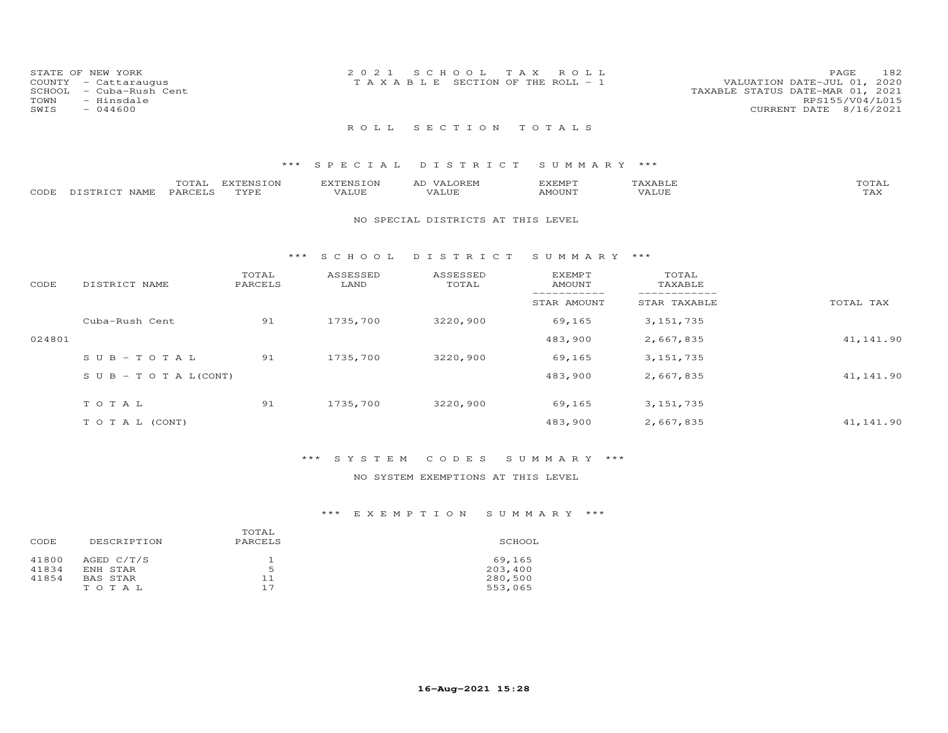| STATE OF NEW YORK<br>COUNTY - Cattaraugus<br>SCHOOL - Cuba-Rush Cent<br>TOWN<br>- Hinsdale<br>SWIS<br>$-044600$ | 2021 SCHOOL TAX ROLL<br>T A X A B L E SECTION OF THE ROLL - 1 | 182<br>PAGE<br>VALUATION DATE-JUL 01, 2020<br>TAXABLE STATUS DATE-MAR 01, 2021<br>RPS155/V04/L015<br>CURRENT DATE 8/16/2021 |
|-----------------------------------------------------------------------------------------------------------------|---------------------------------------------------------------|-----------------------------------------------------------------------------------------------------------------------------|
|                                                                                                                 | ROLL SECTION TOTALS                                           |                                                                                                                             |

|      |                  | $- - - -$<br>UIAL | T1170T110T0T11<br>∸ີ | <b>ENS</b> | .OREN<br>ΑD | EXEMPT |                     | $m \wedge m \wedge n$<br>UIAL |
|------|------------------|-------------------|----------------------|------------|-------------|--------|---------------------|-------------------------------|
| CODE | DISTRICT<br>NAME | PARCELS           | TVDI                 | 'ALUE      |             | AMOUNT | <b><i>JALUE</i></b> | .<br>⊥冖◠                      |

#### NO SPECIAL DISTRICTS AT THIS LEVEL

#### \*\*\* S C H O O L D I S T R I C T S U M M A R Y \*\*\*

| CODE   | DISTRICT NAME                    | TOTAL<br>PARCELS | ASSESSED<br>LAND | ASSESSED<br>TOTAL | <b>EXEMPT</b><br>AMOUNT | TOTAL<br>TAXABLE |            |
|--------|----------------------------------|------------------|------------------|-------------------|-------------------------|------------------|------------|
|        |                                  |                  |                  |                   | STAR AMOUNT             | STAR TAXABLE     | TOTAL TAX  |
|        | Cuba-Rush Cent                   | 91               | 1735,700         | 3220,900          | 69,165                  | 3, 151, 735      |            |
| 024801 |                                  |                  |                  |                   | 483,900                 | 2,667,835        | 41, 141.90 |
|        | $SUB - TO T AL$                  | 91               | 1735,700         | 3220,900          | 69,165                  | 3, 151, 735      |            |
|        | $S \cup B - T \cup T A L (CONT)$ |                  |                  |                   | 483,900                 | 2,667,835        | 41,141.90  |
|        | TOTAL                            | 91               | 1735,700         | 3220,900          | 69,165                  | 3, 151, 735      |            |
|        | T O T A L (CONT)                 |                  |                  |                   | 483,900                 | 2,667,835        | 41,141.90  |

## \*\*\* S Y S T E M C O D E S S U M M A R Y \*\*\*

## NO SYSTEM EXEMPTIONS AT THIS LEVEL

|       |                 | TOTAL   |         |
|-------|-----------------|---------|---------|
| CODE  | DESCRIPTION     | PARCELS | SCHOOL  |
| 41800 | AGED C/T/S      |         | 69,165  |
| 41834 | ENH STAR        | 5       | 203,400 |
| 41854 | <b>BAS STAR</b> | 11      | 280,500 |
|       | TOTAL           | 17      | 553,065 |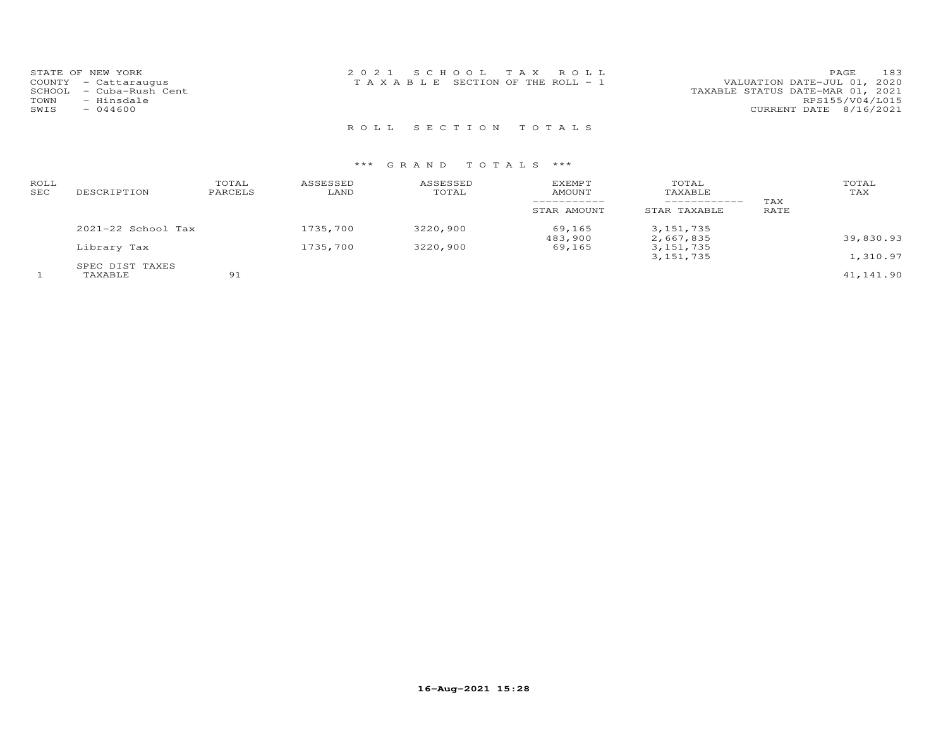| STATE OF NEW YORK       | 2021 SCHOOL TAX ROLL                  | 183<br>PAGE                      |
|-------------------------|---------------------------------------|----------------------------------|
| COUNTY - Cattaraugus    | T A X A B L E SECTION OF THE ROLL - 1 | VALUATION DATE-JUL 01, 2020      |
| SCHOOL - Cuba-Rush Cent |                                       | TAXABLE STATUS DATE-MAR 01, 2021 |
| - Hinsdale<br>TOWN      |                                       | RPS155/V04/L015                  |
| $-044600$<br>SWIS       |                                       | CURRENT DATE 8/16/2021           |
|                         |                                       |                                  |

R O L L S E C T I O N T O T A L S

| ROLL<br>SEC | DESCRIPTION            | TOTAL<br>PARCELS | ASSESSED<br>LAND | ASSESSED<br>TOTAL | EXEMPT<br>AMOUNT  | TOTAL<br>TAXABLE         | TAX  | TOTAL<br>TAX |
|-------------|------------------------|------------------|------------------|-------------------|-------------------|--------------------------|------|--------------|
|             |                        |                  |                  |                   | STAR AMOUNT       | STAR TAXABLE             | RATE |              |
|             | $2021 - 22$ School Tax |                  | 1735,700         | 3220,900          | 69,165<br>483,900 | 3, 151, 735<br>2,667,835 |      | 39,830.93    |
|             | Library Tax            |                  | 1735,700         | 3220,900          | 69,165            | 3, 151, 735              |      |              |
|             | SPEC DIST TAXES        |                  |                  |                   |                   | 3, 151, 735              |      | 1,310.97     |
|             | TAXABLE                | 91               |                  |                   |                   |                          |      | 41,141.90    |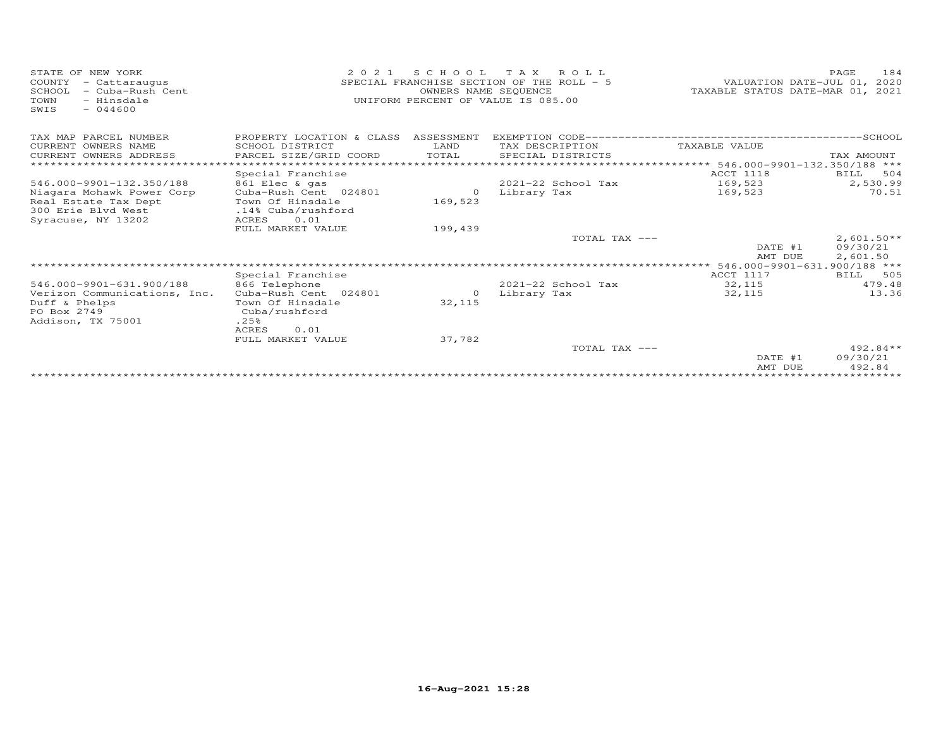| STATE OF NEW YORK<br>- Cattaraugus<br>COUNTY<br>- Cuba-Rush Cent<br>SCHOOL<br>TOWN<br>- Hinsdale<br>$-044600$<br>SWIS | 2 0 2 1                                   | S C H O O L<br>OWNERS NAME SEQUENCE | T A X<br>ROLL<br>SPECIAL FRANCHISE SECTION OF THE ROLL - 5<br>UNIFORM PERCENT OF VALUE IS 085.00 | VALUATION DATE-JUL 01,<br>TAXABLE STATUS DATE-MAR 01, | 184<br>PAGE<br>2020<br>2021 |
|-----------------------------------------------------------------------------------------------------------------------|-------------------------------------------|-------------------------------------|--------------------------------------------------------------------------------------------------|-------------------------------------------------------|-----------------------------|
| TAX MAP PARCEL NUMBER                                                                                                 | PROPERTY LOCATION & CLASS ASSESSMENT      |                                     |                                                                                                  |                                                       |                             |
| CURRENT OWNERS NAME                                                                                                   | SCHOOL DISTRICT                           | LAND                                | TAX DESCRIPTION                                                                                  | TAXABLE VALUE                                         |                             |
| CURRENT OWNERS ADDRESS                                                                                                | PARCEL SIZE/GRID COORD                    | TOTAL                               | SPECIAL DISTRICTS                                                                                |                                                       | TAX AMOUNT                  |
|                                                                                                                       | ********************                      |                                     |                                                                                                  | **** 546.000-9901-132.350/188 ***                     |                             |
|                                                                                                                       | Special Franchise                         |                                     |                                                                                                  | ACCT 1118                                             | BILL<br>504                 |
| 546.000-9901-132.350/188                                                                                              | 861 Elec & gas                            |                                     | $2021 - 22$ School Tax                                                                           | 169,523                                               | 2,530.99                    |
| Niagara Mohawk Power Corp                                                                                             | Cuba-Rush Cent 024801                     | $\circ$                             | Library Tax                                                                                      | 169,523                                               | 70.51                       |
| Real Estate Tax Dept                                                                                                  | Town Of Hinsdale                          | 169,523                             |                                                                                                  |                                                       |                             |
| 300 Erie Blvd West                                                                                                    | .14% Cuba/rushford                        |                                     |                                                                                                  |                                                       |                             |
| Syracuse, NY 13202                                                                                                    | 0.01<br><b>ACRES</b><br>FULL MARKET VALUE | 199,439                             |                                                                                                  |                                                       |                             |
|                                                                                                                       |                                           |                                     | TOTAL TAX ---                                                                                    |                                                       | $2,601.50**$                |
|                                                                                                                       |                                           |                                     |                                                                                                  | DATE #1                                               | 09/30/21                    |
|                                                                                                                       |                                           |                                     |                                                                                                  | AMT DUE                                               | 2,601.50                    |
|                                                                                                                       |                                           |                                     |                                                                                                  | 546.000-9901-631.900/188 ***                          |                             |
|                                                                                                                       | Special Franchise                         |                                     |                                                                                                  | ACCT 1117                                             | 505<br><b>BILL</b>          |
| 546.000-9901-631.900/188                                                                                              | 866 Telephone                             |                                     | 2021-22 School Tax                                                                               | 32,115                                                | 479.48                      |
| Verizon Communications, Inc.                                                                                          | Cuba-Rush Cent 024801                     | $\circ$                             | Library Tax                                                                                      | 32,115                                                | 13.36                       |
| Duff & Phelps                                                                                                         | Town Of Hinsdale                          | 32,115                              |                                                                                                  |                                                       |                             |
| PO Box 2749                                                                                                           | Cuba/rushford                             |                                     |                                                                                                  |                                                       |                             |
| Addison, TX 75001                                                                                                     | .25%                                      |                                     |                                                                                                  |                                                       |                             |
|                                                                                                                       | <b>ACRES</b><br>0.01                      |                                     |                                                                                                  |                                                       |                             |
|                                                                                                                       | FULL MARKET VALUE                         | 37,782                              |                                                                                                  |                                                       |                             |
|                                                                                                                       |                                           |                                     | TOTAL TAX ---                                                                                    | DATE #1                                               | $492.84**$<br>09/30/21      |
|                                                                                                                       |                                           |                                     |                                                                                                  | AMT DUE                                               | 492.84                      |
|                                                                                                                       |                                           |                                     |                                                                                                  | ***************************                           |                             |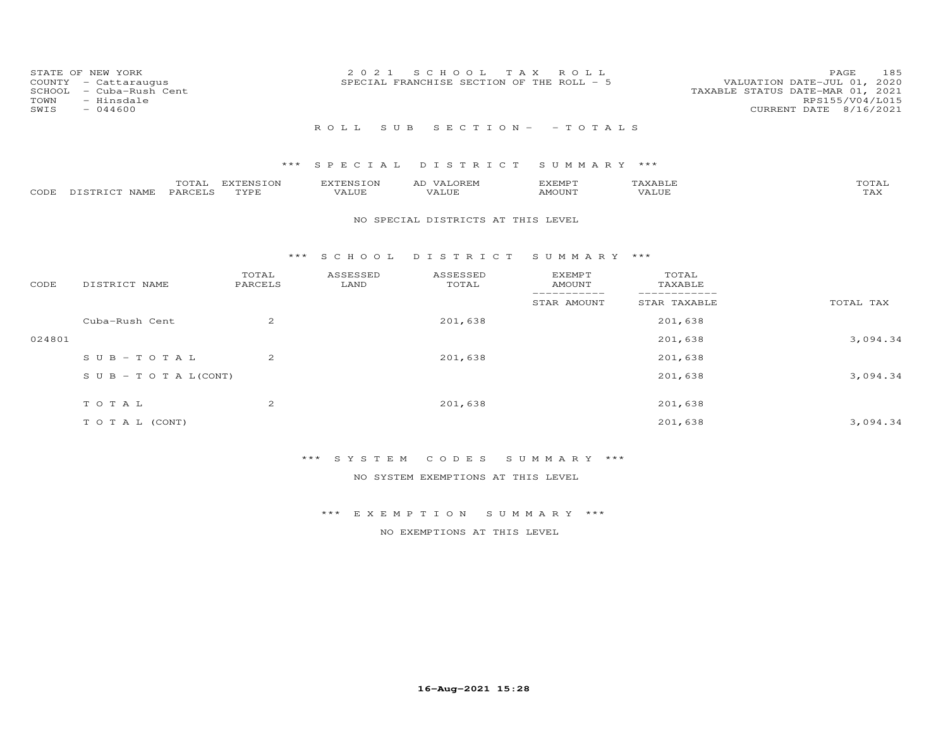| COUNTY<br>SCHOOL<br>TOWN<br>SWIS | STATE OF NEW YORK<br>- Cattaraugus<br>- Cuba-Rush Cent<br>- Hinsdale<br>$-044600$ |                   | 2021                      | SCHOOL TAX<br>SPECIAL FRANCHISE SECTION OF THE ROLL - 5 | ROLL                                        |                  | PAGE<br>185<br>VALUATION DATE-JUL 01, 2020<br>TAXABLE STATUS DATE-MAR 01, 2021<br>RPS155/V04/L015<br>CURRENT DATE 8/16/2021 |
|----------------------------------|-----------------------------------------------------------------------------------|-------------------|---------------------------|---------------------------------------------------------|---------------------------------------------|------------------|-----------------------------------------------------------------------------------------------------------------------------|
|                                  |                                                                                   |                   | ROLL<br>S U B             |                                                         | $S E C T I O N - - T O T A L S$             |                  |                                                                                                                             |
|                                  |                                                                                   | ***               | SPECIAL                   | DISTRICT                                                | SUMMARY ***                                 |                  |                                                                                                                             |
| CODE                             | TOTAL<br>PARCELS<br>DISTRICT NAME                                                 | EXTENSION<br>TYPE | <b>EXTENSION</b><br>VALUE | AD VALOREM<br>VALUE                                     | <b>EXEMPT</b><br><b>AMOUNT</b>              | TAXABLE<br>VALUE | TOTAL<br>TAX                                                                                                                |
|                                  |                                                                                   |                   |                           | NO SPECIAL DISTRICTS AT THIS LEVEL                      |                                             |                  |                                                                                                                             |
|                                  |                                                                                   | ***               | S C H O O L               | DISTRICT                                                | SUMMARY ***                                 |                  |                                                                                                                             |
| CODE                             | DISTRICT NAME                                                                     | TOTAL<br>PARCELS  | ASSESSED<br>LAND          | ASSESSED<br>TOTAL                                       | <b>EXEMPT</b><br><b>AMOUNT</b><br>--------- | TOTAL<br>TAXABLE |                                                                                                                             |
|                                  |                                                                                   |                   |                           |                                                         | STAR AMOUNT                                 | STAR TAXABLE     | TOTAL TAX                                                                                                                   |
|                                  | Cuba-Rush Cent                                                                    | 2                 |                           | 201,638                                                 |                                             | 201,638          |                                                                                                                             |
| 024801                           |                                                                                   |                   |                           |                                                         |                                             | 201,638          | 3,094.34                                                                                                                    |
|                                  | $S \cup B - T \cup T A$                                                           | 2                 |                           | 201,638                                                 |                                             | 201,638          |                                                                                                                             |
|                                  | $S \cup B - T \cup T A L (CONT)$                                                  |                   |                           |                                                         |                                             | 201,638          | 3,094.34                                                                                                                    |
|                                  |                                                                                   |                   |                           |                                                         |                                             |                  |                                                                                                                             |

T O T A L 2 201, 638 201, 638 201, 638 201, 638 201, 638 201, 638 201, 638 201, 638 201, 638 201, 638 201, 638 T O T A L (CONT) 201,638 3,094.34

\*\*\* S Y S T E M C O D E S S U M M A R Y \*\*\*

NO SYSTEM EXEMPTIONS AT THIS LEVEL

\*\*\* E X E M P T I O N S U M M A R Y \*\*\*

NO EXEMPTIONS AT THIS LEVEL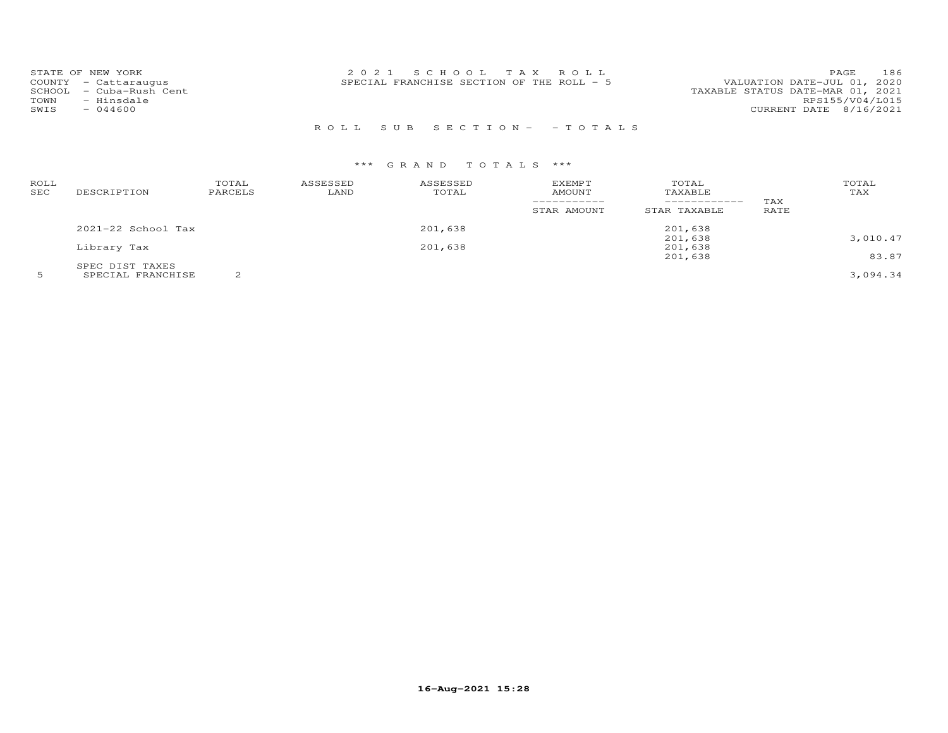| STATE OF NEW YORK          | 2021 SCHOOL TAX ROLL                       | 186<br>PAGE                      |
|----------------------------|--------------------------------------------|----------------------------------|
| COUNTY - Cattaraugus       | SPECIAL FRANCHISE SECTION OF THE ROLL $-5$ | VALUATION DATE-JUL 01, 2020      |
| - Cuba-Rush Cent<br>SCHOOL |                                            | TAXABLE STATUS DATE-MAR 01, 2021 |
| TOWN<br>- Hinsdale         |                                            | RPS155/V04/L015                  |
| SWIS<br>$-044600$          |                                            | CURRENT DATE 8/16/2021           |
|                            |                                            |                                  |

## R O L L S U B S E C T I O N - - T O T A L S

| ROLL<br>SEC | DESCRIPTION          | TOTAL<br>PARCELS | ASSESSED<br>LAND | ASSESSED<br>TOTAL | <b>EXEMPT</b><br><b>AMOUNT</b> | TOTAL<br>TAXABLE<br>------------ | TAX         | TOTAL<br>TAX |
|-------------|----------------------|------------------|------------------|-------------------|--------------------------------|----------------------------------|-------------|--------------|
|             |                      |                  |                  |                   | STAR AMOUNT                    | STAR TAXABLE                     | <b>RATE</b> |              |
|             | $2021-22$ School Tax |                  |                  | 201,638           |                                | 201,638                          |             |              |
|             |                      |                  |                  |                   |                                | 201,638                          |             | 3,010.47     |
|             | Library Tax          |                  |                  | 201,638           |                                | 201,638                          |             |              |
|             |                      |                  |                  |                   |                                | 201,638                          |             | 83.87        |
|             | SPEC DIST TAXES      |                  |                  |                   |                                |                                  |             |              |
|             | SPECIAL FRANCHISE    |                  |                  |                   |                                |                                  |             | 3,094.34     |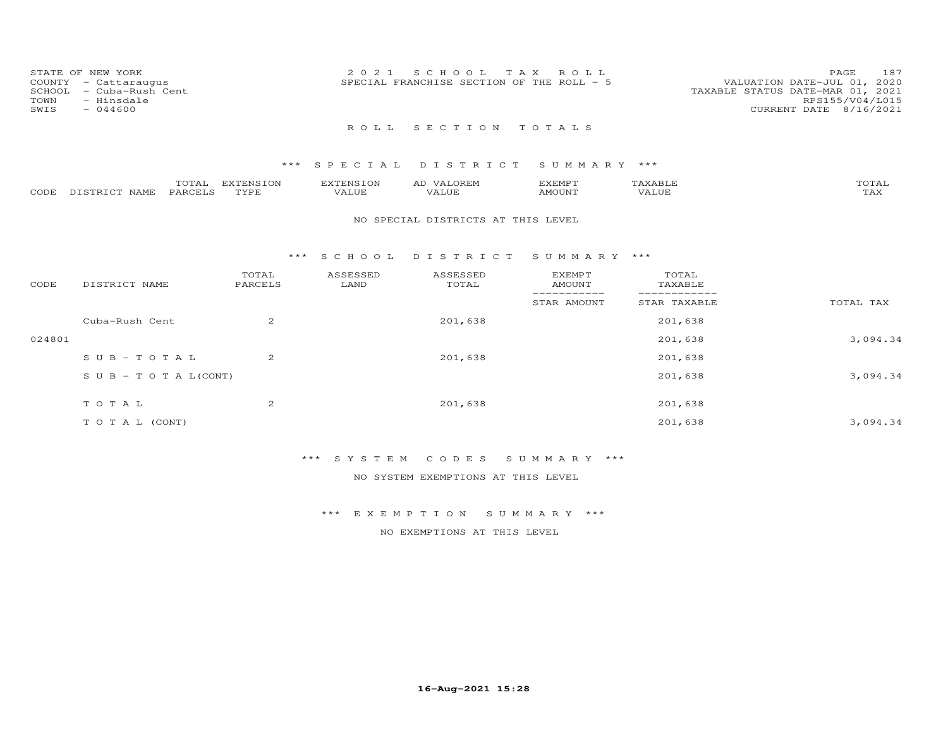| COUNTY<br>SCHOOL<br>TOWN<br>SWIS | STATE OF NEW YORK<br>- Cattaraugus<br>- Cuba-Rush Cent<br>- Hinsdale<br>$-044600$ |                  |                   | 2021               | SCHOOL TAX<br>SPECIAL FRANCHISE SECTION OF THE ROLL - 5 | ROLL             |                  | 187<br>PAGE<br>VALUATION DATE-JUL 01, 2020<br>TAXABLE STATUS DATE-MAR 01, 2021<br>RPS155/V04/L015<br>CURRENT DATE 8/16/2021 |
|----------------------------------|-----------------------------------------------------------------------------------|------------------|-------------------|--------------------|---------------------------------------------------------|------------------|------------------|-----------------------------------------------------------------------------------------------------------------------------|
|                                  |                                                                                   |                  |                   | R O L L            | SECTION TOTALS                                          |                  |                  |                                                                                                                             |
|                                  |                                                                                   |                  |                   |                    | *** SPECIAL DISTRICT SUMMARY ***                        |                  |                  |                                                                                                                             |
| CODE                             | DISTRICT NAME                                                                     | TOTAL<br>PARCELS | EXTENSION<br>TYPE | EXTENSION<br>VALUE | AD VALOREM<br>VALUE                                     | EXEMPT<br>AMOUNT | TAXABLE<br>VALUE | TOTAL<br>TAX                                                                                                                |

## NO SPECIAL DISTRICTS AT THIS LEVEL

### \*\*\* S C H O O L D I S T R I C T S U M M A R Y \*\*\*

| CODE   | DISTRICT NAME              | TOTAL<br>PARCELS | ASSESSED<br>LAND | ASSESSED<br>TOTAL | <b>EXEMPT</b><br>AMOUNT | TOTAL<br>TAXABLE |           |
|--------|----------------------------|------------------|------------------|-------------------|-------------------------|------------------|-----------|
|        |                            |                  |                  |                   | STAR AMOUNT             | STAR TAXABLE     | TOTAL TAX |
|        | Cuba-Rush Cent             | 2                |                  | 201,638           |                         | 201,638          |           |
| 024801 |                            |                  |                  |                   |                         | 201,638          | 3,094.34  |
|        | $SUB - TO T AL$            | 2                |                  | 201,638           |                         | 201,638          |           |
|        | S U B - T O T A $L$ (CONT) |                  |                  |                   |                         | 201,638          | 3,094.34  |
|        | TOTAL                      | 2                |                  | 201,638           |                         | 201,638          |           |
|        | T O T A L (CONT)           |                  |                  |                   |                         | 201,638          | 3,094.34  |

## \*\*\* S Y S T E M C O D E S S U M M A R Y \*\*\*

NO SYSTEM EXEMPTIONS AT THIS LEVEL

\*\*\* E X E M P T I O N S U M M A R Y \*\*\*

NO EXEMPTIONS AT THIS LEVEL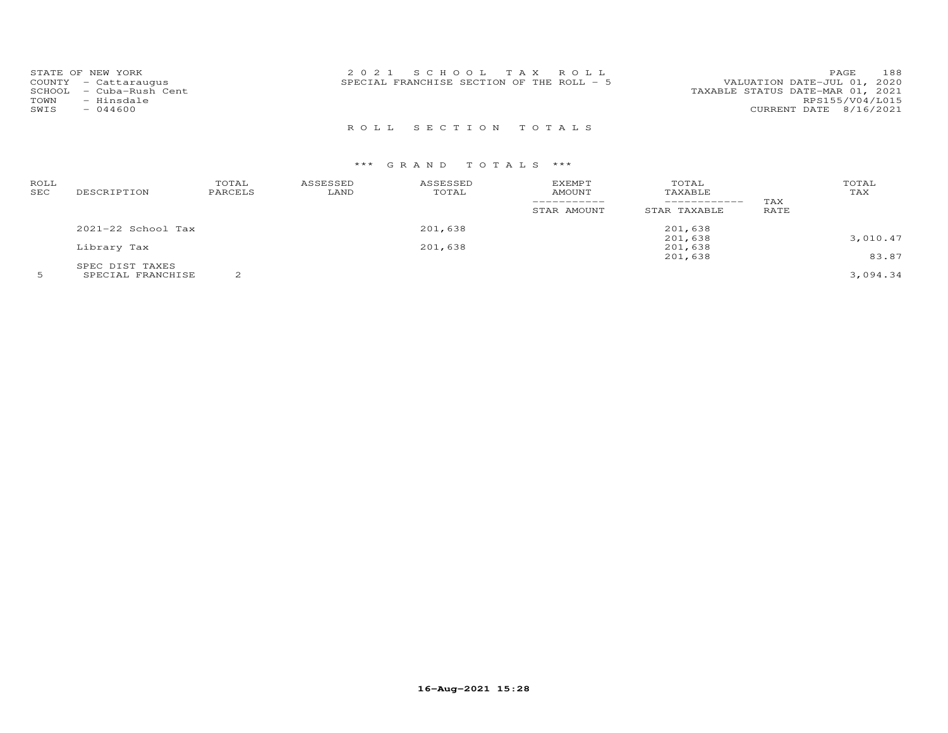| STATE OF NEW YORK<br>COUNTY - Cattaraugus<br>- Cuba-Rush Cent<br>SCHOOL<br>TOWN<br>- Hinsdale<br>SWIS<br>$-044600$ | 2021 SCHOOL TAX ROLL<br>SPECIAL FRANCHISE SECTION OF THE ROLL $-5$ | 188<br>PAGE<br>VALUATION DATE-JUL 01, 2020<br>TAXABLE STATUS DATE-MAR 01, 2021<br>RPS155/V04/L015<br>CURRENT DATE 8/16/2021 |
|--------------------------------------------------------------------------------------------------------------------|--------------------------------------------------------------------|-----------------------------------------------------------------------------------------------------------------------------|
|                                                                                                                    | ROLL SECTION TOTALS                                                |                                                                                                                             |

| ROLL<br>SEC | DESCRIPTION            | TOTAL<br>PARCELS | ASSESSED<br>LAND | ASSESSED<br>TOTAL | EXEMPT<br>AMOUNT<br>STAR AMOUNT | TOTAL<br>TAXABLE<br>------------<br>STAR TAXABLE | TAX<br>RATE | TOTAL<br>TAX |
|-------------|------------------------|------------------|------------------|-------------------|---------------------------------|--------------------------------------------------|-------------|--------------|
|             | $2021 - 22$ School Tax |                  |                  | 201,638           |                                 | 201,638                                          |             |              |
|             |                        |                  |                  |                   |                                 | 201,638                                          |             | 3,010.47     |
|             | Library Tax            |                  |                  | 201,638           |                                 | 201,638                                          |             |              |
|             |                        |                  |                  |                   |                                 | 201,638                                          |             | 83.87        |
|             | SPEC DIST TAXES        |                  |                  |                   |                                 |                                                  |             |              |
|             | SPECIAL FRANCHISE      |                  |                  |                   |                                 |                                                  |             | 3,094.34     |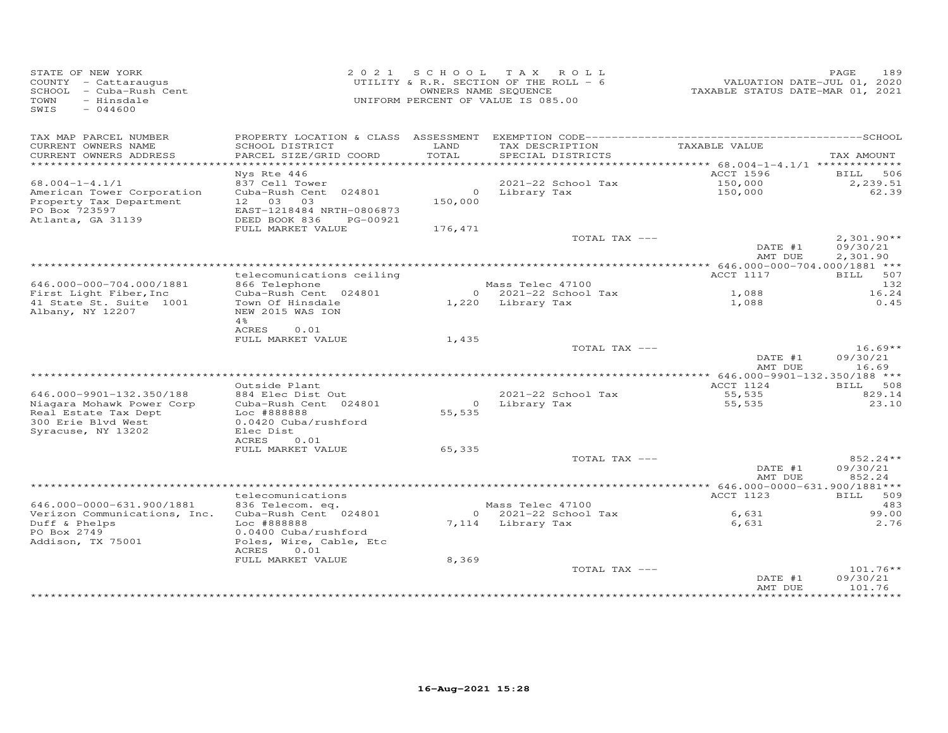| STATE OF NEW YORK<br>COUNTY - Cattaraugus<br>SCHOOL - Cuba-Rush Cent<br>TOWN<br>- Hinsdale<br>SWIS<br>$-044600$ |                                                                                                |               | 2021 SCHOOL TAX ROLL<br>UTILITY & R.R. SECTION OF THE ROLL - 6<br>OWNERS NAME SEQUENCE<br>UNIFORM PERCENT OF VALUE IS 085.00 | VALUATION DATE-JUL 01, 2020<br>TAXABLE STATUS DATE-MAR 01, 2021 | 189<br>PAGE                          |
|-----------------------------------------------------------------------------------------------------------------|------------------------------------------------------------------------------------------------|---------------|------------------------------------------------------------------------------------------------------------------------------|-----------------------------------------------------------------|--------------------------------------|
| TAX MAP PARCEL NUMBER<br>CURRENT OWNERS NAME<br>CURRENT OWNERS ADDRESS<br>*************************             | SCHOOL DISTRICT<br>PARCEL SIZE/GRID COORD                                                      | LAND<br>TOTAL | TAX DESCRIPTION<br>SPECIAL DISTRICTS                                                                                         | TAXABLE VALUE                                                   | TAX AMOUNT                           |
|                                                                                                                 | Nys Rte 446                                                                                    |               |                                                                                                                              | ACCT 1596                                                       | <b>BILL</b> 506                      |
| $68.004 - 1 - 4.1/1$                                                                                            | 837 Cell Tower                                                                                 |               | 2021-22 School Tax                                                                                                           | 150,000                                                         | 2,239.51                             |
| American Tower Corporation<br>Property Tax Department<br>PO Box 723597<br>Atlanta, GA 31139                     | Cuba-Rush Cent 024801<br>12 03<br>03<br>EAST-1218484 NRTH-0806873<br>DEED BOOK 836<br>PG-00921 | 150,000       | 0 Library Tax                                                                                                                | 150,000                                                         | 62.39                                |
|                                                                                                                 | FULL MARKET VALUE                                                                              | 176,471       |                                                                                                                              |                                                                 |                                      |
|                                                                                                                 |                                                                                                |               | TOTAL TAX ---                                                                                                                | DATE #1<br>AMT DUE                                              | $2,301.90**$<br>09/30/21<br>2,301.90 |
|                                                                                                                 |                                                                                                |               |                                                                                                                              |                                                                 |                                      |
|                                                                                                                 | telecomunications ceiling                                                                      |               |                                                                                                                              | ACCT 1117                                                       | BILL 507                             |
| 646.000-000-704.000/1881                                                                                        | 866 Telephone                                                                                  |               | Mass Telec 47100                                                                                                             |                                                                 | 132                                  |
| First Light Fiber, Inc<br>41 State St. Suite 1001                                                               | Cuba-Rush Cent 024801<br>Town Of Hinsdale                                                      |               | 0 2021-22 School Tax<br>1,220 Library Tax                                                                                    | 1,088<br>1,088                                                  | 16.24<br>0.45                        |
| Albany, NY 12207                                                                                                | NEW 2015 WAS ION<br>4%<br>ACRES<br>0.01                                                        |               |                                                                                                                              |                                                                 |                                      |
|                                                                                                                 | FULL MARKET VALUE                                                                              | 1,435         |                                                                                                                              |                                                                 |                                      |
|                                                                                                                 |                                                                                                |               | TOTAL TAX ---                                                                                                                | DATE #1                                                         | $16.69**$<br>09/30/21                |
|                                                                                                                 |                                                                                                |               |                                                                                                                              | AMT DUE                                                         | 16.69                                |
|                                                                                                                 | Outside Plant                                                                                  |               |                                                                                                                              | ACCT 1124                                                       | BILL 508                             |
| 646.000-9901-132.350/188                                                                                        | 884 Elec Dist Out                                                                              |               | 2021-22 School Tax                                                                                                           | 55,535                                                          | 829.14                               |
| Niagara Mohawk Power Corp<br>Real Estate Tax Dept<br>300 Erie Blvd West<br>Syracuse, NY 13202                   | Cuba-Rush Cent 024801<br>Loc #888888<br>0.0420 Cuba/rushford<br>Elec Dist                      | 55,535        | 0 Library Tax                                                                                                                | 55,535                                                          | 23.10                                |
|                                                                                                                 | ACRES<br>0.01                                                                                  |               |                                                                                                                              |                                                                 |                                      |
|                                                                                                                 | FULL MARKET VALUE                                                                              | 65,335        |                                                                                                                              |                                                                 |                                      |
|                                                                                                                 |                                                                                                |               | TOTAL TAX ---                                                                                                                | DATE #1<br>AMT DUE                                              | 852.24**<br>09/30/21<br>852.24       |
|                                                                                                                 |                                                                                                |               |                                                                                                                              |                                                                 |                                      |
|                                                                                                                 | telecomunications                                                                              |               |                                                                                                                              | ACCT 1123                                                       | BILL 509                             |
| 646.000-0000-631.900/1881<br>Verizon Communications, Inc.<br>Duff & Phelps<br>PO Box 2749                       | 836 Telecom. eq.<br>Cuba-Rush Cent 024801<br>Loc #888888<br>0.0400 Cuba/rushford               |               | Mass Telec 47100<br>0 2021-22 School Tax<br>7,114 Library Tax                                                                | 6,631<br>6,631                                                  | 483<br>99.00<br>2.76                 |
| Addison, TX 75001                                                                                               | Poles, Wire, Cable, Etc<br>ACRES<br>0.01                                                       |               |                                                                                                                              |                                                                 |                                      |
|                                                                                                                 | FULL MARKET VALUE                                                                              | 8,369         |                                                                                                                              |                                                                 |                                      |
|                                                                                                                 |                                                                                                |               | TOTAL TAX ---                                                                                                                | DATE #1<br>AMT DUE                                              | $101.76**$<br>09/30/21<br>101.76     |
|                                                                                                                 |                                                                                                |               |                                                                                                                              |                                                                 |                                      |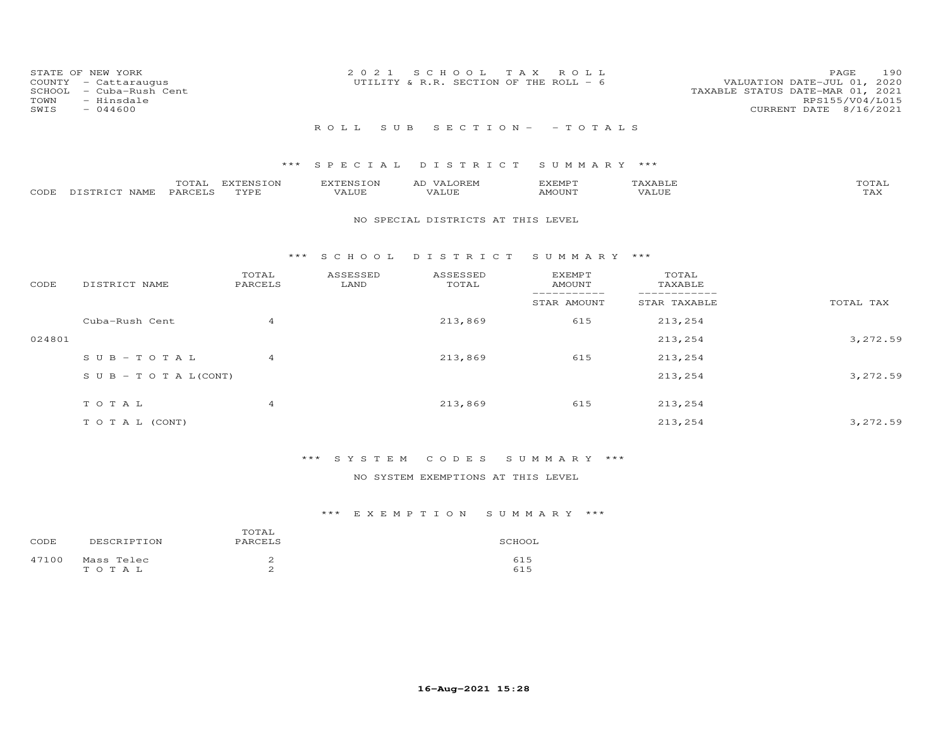| STATE OF NEW YORK<br>COUNTY - Cattaraugus<br>SCHOOL - Cuba-Rush Cent<br>TOWN<br>- Hinsdale<br>SWIS<br>- 044600 |                            | 2021 SCHOOL TAX ROLL<br>UTILITY & R.R. SECTION OF THE ROLL - 6 |  | VALUATION DATE-JUL 01, 2020<br>TAXABLE STATUS DATE-MAR 01, 2021<br>CURRENT DATE 8/16/2021 | PAGE.<br>RPS155/V04/L015 | 190 |
|----------------------------------------------------------------------------------------------------------------|----------------------------|----------------------------------------------------------------|--|-------------------------------------------------------------------------------------------|--------------------------|-----|
|                                                                                                                | ROLL SUB SECTION- - TOTALS |                                                                |  |                                                                                           |                          |     |

|                    | TOTAL   | EXTENSION   | <b>EXTENSION</b> | VALOREM<br>AD | EXEMPT | {XABI∂ | TOTAL       |
|--------------------|---------|-------------|------------------|---------------|--------|--------|-------------|
| CODE DISTRICT NAME | PARCELS | <b>TYPE</b> | VALUE            | VALUE         | AMOUNT | VALUE  | ጥአህ<br>∡AX. |

### NO SPECIAL DISTRICTS AT THIS LEVEL

### \*\*\* S C H O O L D I S T R I C T S U M M A R Y \*\*\*

| CODE   | DISTRICT NAME                    | TOTAL<br>PARCELS | ASSESSED<br>LAND | ASSESSED<br>TOTAL | <b>EXEMPT</b><br>AMOUNT | TOTAL<br>TAXABLE |           |
|--------|----------------------------------|------------------|------------------|-------------------|-------------------------|------------------|-----------|
|        |                                  |                  |                  |                   | STAR AMOUNT             | STAR TAXABLE     | TOTAL TAX |
|        | Cuba-Rush Cent                   | $\overline{4}$   |                  | 213,869           | 615                     | 213,254          |           |
| 024801 |                                  |                  |                  |                   |                         | 213,254          | 3, 272.59 |
|        | $SUB-TOTAL$                      | 4                |                  | 213,869           | 615                     | 213,254          |           |
|        | $S \cup B - T \cup T A L (CONT)$ |                  |                  |                   |                         | 213,254          | 3, 272.59 |
|        | TOTAL                            | 4                |                  | 213,869           | 615                     | 213,254          |           |
|        |                                  |                  |                  |                   |                         |                  |           |
|        | T O T A L (CONT)                 |                  |                  |                   |                         | 213,254          | 3,272.59  |

## \*\*\* S Y S T E M C O D E S S U M M A R Y \*\*\*

## NO SYSTEM EXEMPTIONS AT THIS LEVEL

| CODE  | DESCRIPTION | TOTAL<br>PARCELS | SCHOOL |
|-------|-------------|------------------|--------|
| 47100 | Mass Telec  | ∼                | 615    |
|       | TOTAL       | ∼                | 615    |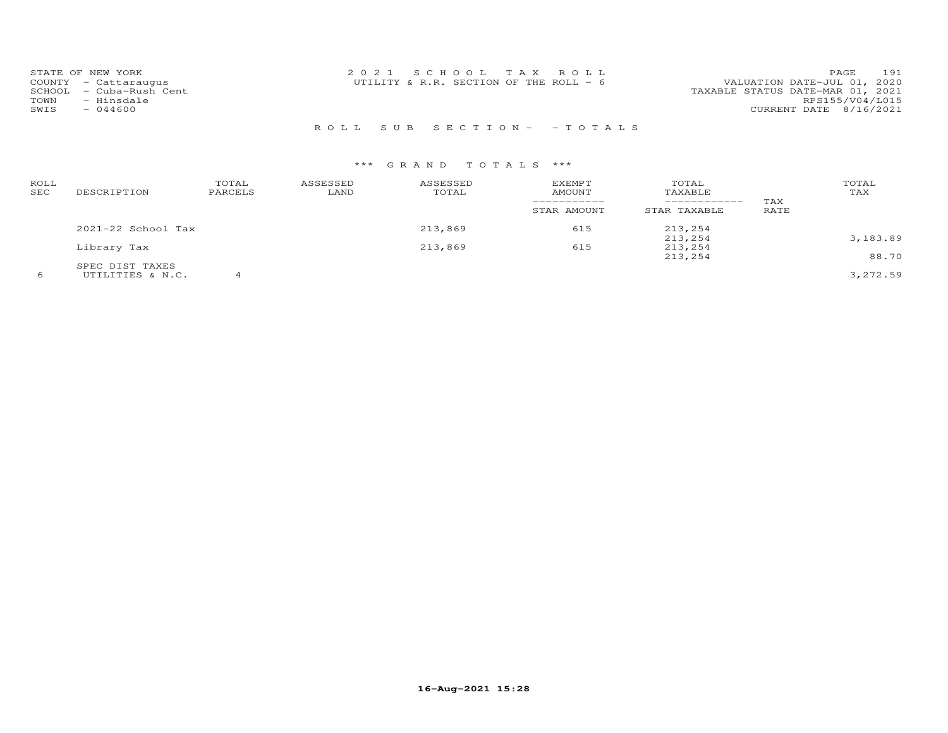| STATE OF NEW YORK       | 2021 SCHOOL TAX ROLL                   |  |                                  | PAGE.                  | 191 |
|-------------------------|----------------------------------------|--|----------------------------------|------------------------|-----|
| COUNTY - Cattaraugus    | UTILITY & R.R. SECTION OF THE ROLL - 6 |  | VALUATION DATE-JUL 01, 2020      |                        |     |
| SCHOOL - Cuba-Rush Cent |                                        |  | TAXABLE STATUS DATE-MAR 01, 2021 |                        |     |
| - Hinsdale<br>TOWN      |                                        |  |                                  | RPS155/V04/L015        |     |
| $-044600$<br>SWIS       |                                        |  |                                  | CURRENT DATE 8/16/2021 |     |
|                         |                                        |  |                                  |                        |     |

## R O L L S U B S E C T I O N - - T O T A L S

| ROLL<br>SEC | DESCRIPTION            | TOTAL<br>PARCELS | ASSESSED<br>LAND | ASSESSED<br>TOTAL | <b>EXEMPT</b><br>AMOUNT | TOTAL<br>TAXABLE   | TAX  | TOTAL<br>TAX |
|-------------|------------------------|------------------|------------------|-------------------|-------------------------|--------------------|------|--------------|
|             |                        |                  |                  |                   | STAR AMOUNT             | STAR TAXABLE       | RATE |              |
|             | $2021 - 22$ School Tax |                  |                  | 213,869           | 615                     | 213,254            |      |              |
|             | Library Tax            |                  |                  | 213,869           | 615                     | 213,254<br>213,254 |      | 3,183.89     |
|             | SPEC DIST TAXES        |                  |                  |                   |                         | 213,254            |      | 88.70        |
| 6           | UTILITIES & N.C.       |                  |                  |                   |                         |                    |      | 3,272.59     |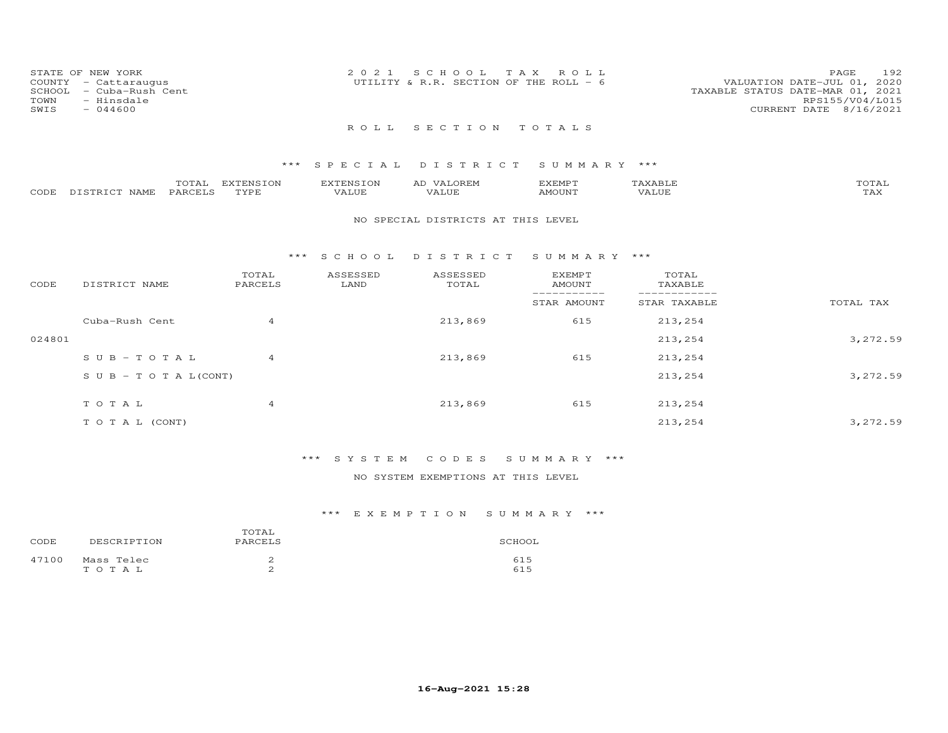| STATE OF NEW YORK<br>COUNTY - Cattaraugus<br>SCHOOL - Cuba-Rush Cent<br>TOWN<br>- Hinsdale<br>SWIS<br>$-044600$ | 2021 SCHOOL TAX ROLL<br>UTILITY & R.R. SECTION OF THE ROLL - 6 | 192<br>PAGE<br>VALUATION DATE-JUL 01, 2020<br>TAXABLE STATUS DATE-MAR 01, 2021<br>RPS155/V04/L015<br>CURRENT DATE 8/16/2021 |
|-----------------------------------------------------------------------------------------------------------------|----------------------------------------------------------------|-----------------------------------------------------------------------------------------------------------------------------|
|                                                                                                                 | ROLL SECTION TOTALS                                            |                                                                                                                             |

|      |                                          | ---                 | <b>EXTENSION</b> | ਸ਼\ਸ਼ਵ⊤∩\ਸ | 57778500<br>للتالية المتحدي | $\mathbf{x}$ $\mathbf{A}$ . | $\pi$ $\sim$ $\pi$ $\pi$ |
|------|------------------------------------------|---------------------|------------------|------------|-----------------------------|-----------------------------|--------------------------|
| CODE | $5.79$ mm $7.9$ m.<br><b>NAMF</b><br>. ت | ⊢ARCF™ <sup>−</sup> | TVDE             | 1117       | AMOIJN <sup>T</sup>         | T.UE.                       | $- - - -$<br>- ∠∡∨       |

#### NO SPECIAL DISTRICTS AT THIS LEVEL

### \*\*\* S C H O O L D I S T R I C T S U M M A R Y \*\*\*

| CODE   | DISTRICT NAME                    | TOTAL<br>PARCELS | ASSESSED<br>LAND | ASSESSED<br>TOTAL | <b>EXEMPT</b><br>AMOUNT | TOTAL<br>TAXABLE |           |
|--------|----------------------------------|------------------|------------------|-------------------|-------------------------|------------------|-----------|
|        |                                  |                  |                  |                   | STAR AMOUNT             | STAR TAXABLE     | TOTAL TAX |
|        | Cuba-Rush Cent                   | $\overline{4}$   |                  | 213,869           | 615                     | 213,254          |           |
| 024801 |                                  |                  |                  |                   |                         | 213,254          | 3,272.59  |
|        | $SUB - TO TAL$                   | $\overline{4}$   |                  | 213,869           | 615                     | 213,254          |           |
|        | $S \cup B - T \cup T A L (CONT)$ |                  |                  |                   |                         | 213,254          | 3,272.59  |
|        | TOTAL                            | $\overline{4}$   |                  | 213,869           | 615                     | 213,254          |           |
|        |                                  |                  |                  |                   |                         |                  |           |
|        | T O T A L (CONT)                 |                  |                  |                   |                         | 213,254          | 3,272.59  |

## \*\*\* S Y S T E M C O D E S S U M M A R Y \*\*\*

## NO SYSTEM EXEMPTIONS AT THIS LEVEL

| CODE  | DESCRIPTION | TOTAL<br>PARCELS | SCHOOL |
|-------|-------------|------------------|--------|
| 47100 | Mass Telec  | ∼                | 615    |
|       | тотаь       | ∼                | 615    |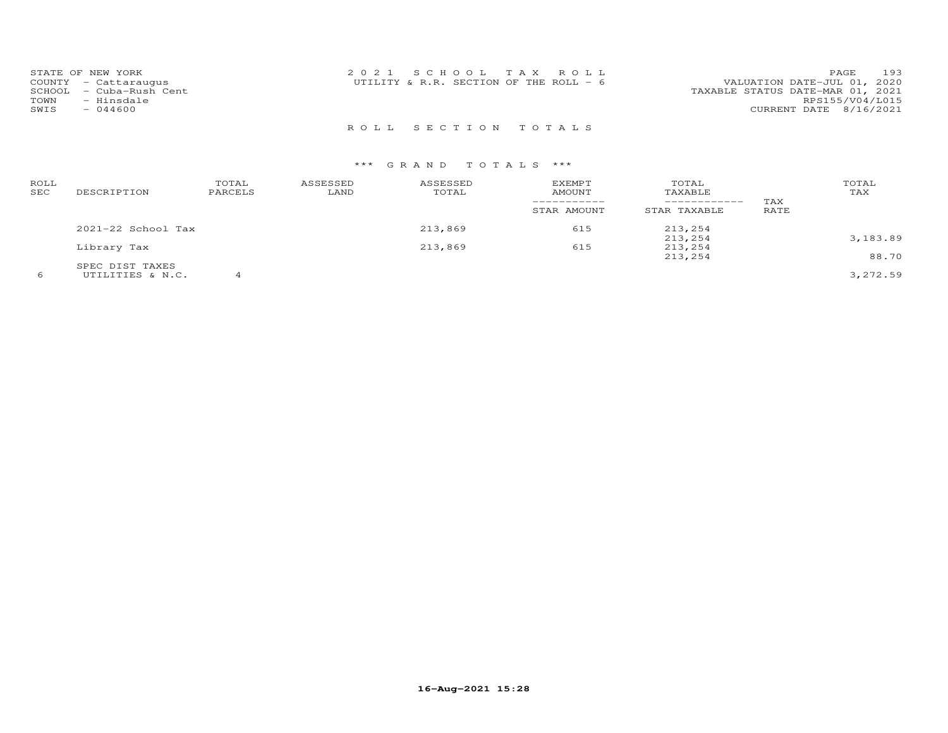| STATE OF NEW YORK          | 2021 SCHOOL TAX ROLL                   | 193<br>PAGE                      |
|----------------------------|----------------------------------------|----------------------------------|
| COUNTY - Cattaraugus       | UTILITY & R.R. SECTION OF THE ROLL - 6 | VALUATION DATE-JUL 01, 2020      |
| - Cuba-Rush Cent<br>SCHOOL |                                        | TAXABLE STATUS DATE-MAR 01, 2021 |
| TOWN<br>- Hinsdale         |                                        | RPS155/V04/L015                  |
| SWIS<br>$-044600$          |                                        | CURRENT DATE 8/16/2021           |
|                            |                                        |                                  |

R O L L S E C T I O N T O T A L S

| ROLL<br>SEC | DESCRIPTION        | TOTAL<br>PARCELS | ASSESSED<br>LAND | ASSESSED<br>TOTAL | <b>EXEMPT</b><br>AMOUNT<br>-----------<br>STAR AMOUNT | TOTAL<br>TAXABLE<br>------------<br>STAR TAXABLE | TAX<br>RATE | TOTAL<br>TAX |
|-------------|--------------------|------------------|------------------|-------------------|-------------------------------------------------------|--------------------------------------------------|-------------|--------------|
|             | 2021-22 School Tax |                  |                  | 213,869           | 615                                                   | 213,254                                          |             |              |
|             |                    |                  |                  |                   |                                                       | 213,254                                          |             | 3,183.89     |
|             | Library Tax        |                  |                  | 213,869           | 615                                                   | 213,254                                          |             |              |
|             |                    |                  |                  |                   |                                                       | 213,254                                          |             | 88.70        |
|             | SPEC DIST TAXES    |                  |                  |                   |                                                       |                                                  |             |              |
|             | UTILITIES & N.C.   |                  |                  |                   |                                                       |                                                  |             | 3,272.59     |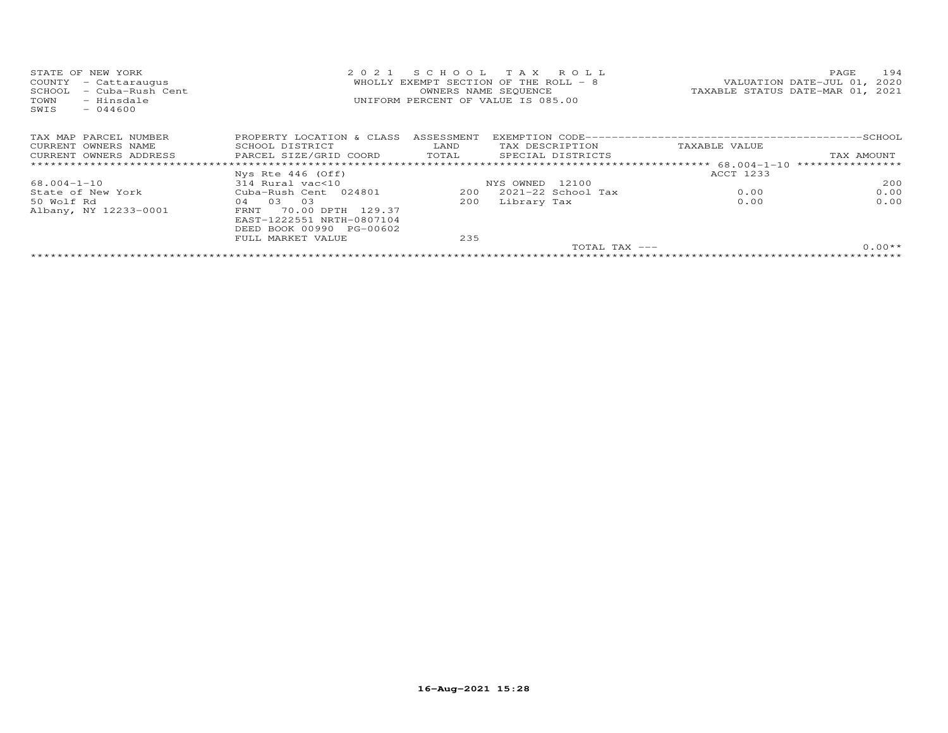| STATE OF NEW YORK<br>- Cattaraugus<br>COUNTY<br>- Cuba-Rush Cent<br>SCHOOL<br>- Hinsdale<br>TOWN<br>$-044600$<br>SWIS | 2021                      | SCHOOL TAX ROLL<br>WHOLLY EXEMPT SECTION OF THE ROLL - 8<br>UNIFORM PERCENT OF VALUE IS 085.00 | OWNERS NAME SEQUENCE |                 | TAXABLE STATUS DATE-MAR 01, 2021 | PAGE<br>VALUATION DATE-JUL 01, 2020 | 194      |
|-----------------------------------------------------------------------------------------------------------------------|---------------------------|------------------------------------------------------------------------------------------------|----------------------|-----------------|----------------------------------|-------------------------------------|----------|
| TAX MAP PARCEL NUMBER                                                                                                 | PROPERTY LOCATION & CLASS | ASSESSMENT                                                                                     |                      |                 |                                  |                                     |          |
| CURRENT OWNERS NAME                                                                                                   | SCHOOL DISTRICT           | LAND                                                                                           |                      | TAX DESCRIPTION | TAXABLE VALUE                    |                                     |          |
| CURRENT OWNERS ADDRESS                                                                                                | PARCEL SIZE/GRID COORD    | TOTAL                                                                                          | SPECIAL DISTRICTS    |                 |                                  | TAX AMOUNT                          |          |
|                                                                                                                       |                           |                                                                                                |                      |                 |                                  | ****************                    |          |
|                                                                                                                       | Nys Rte 446 (Off)         |                                                                                                |                      |                 | ACCT 1233                        |                                     |          |
| 68.004-1-10                                                                                                           | 314 Rural vac<10          |                                                                                                | NYS OWNED 12100      |                 |                                  |                                     | 200      |
| State of New York                                                                                                     | Cuba-Rush Cent 024801     | 200                                                                                            | 2021-22 School Tax   |                 | 0.00                             |                                     | 0.00     |
| 50 Wolf Rd                                                                                                            | 04 03 03                  | 200                                                                                            | Library Tax          |                 | 0.00                             |                                     | 0.00     |
| Albany, NY 12233-0001                                                                                                 | 70.00 DPTH 129.37<br>FRNT |                                                                                                |                      |                 |                                  |                                     |          |
|                                                                                                                       | EAST-1222551 NRTH-0807104 |                                                                                                |                      |                 |                                  |                                     |          |
|                                                                                                                       | DEED BOOK 00990 PG-00602  |                                                                                                |                      |                 |                                  |                                     |          |
|                                                                                                                       | FULL MARKET VALUE         | 235                                                                                            |                      |                 |                                  |                                     |          |
|                                                                                                                       |                           |                                                                                                |                      | TOTAL TAX ---   |                                  |                                     | $0.00**$ |
|                                                                                                                       |                           |                                                                                                |                      |                 |                                  |                                     |          |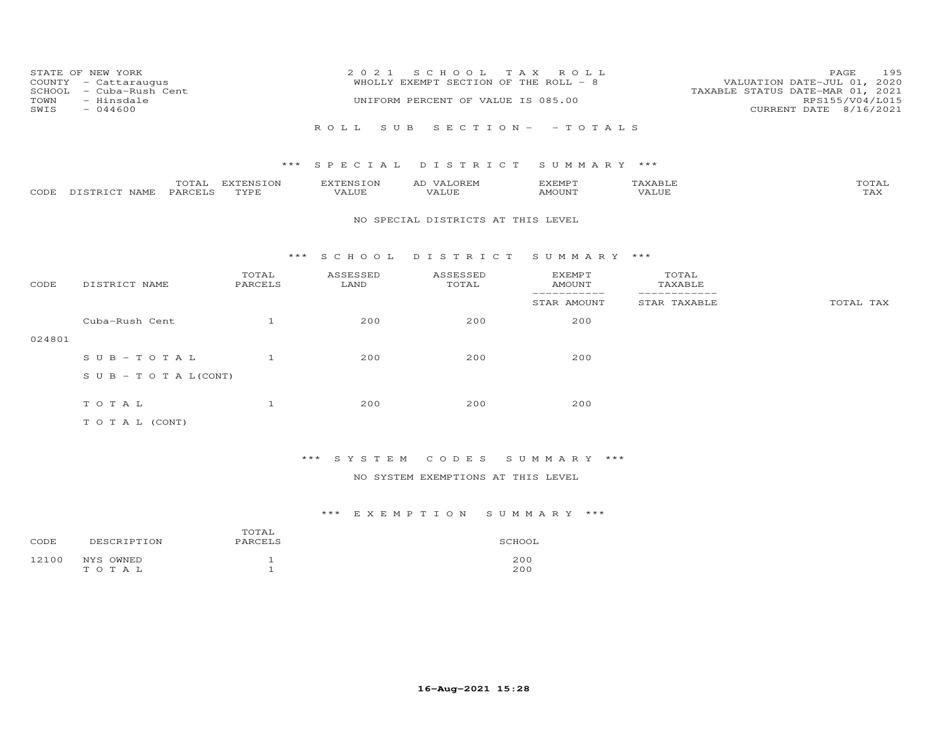| STATE OF NEW YORK<br>COUNTY - Cattaraugus<br>SCHOOL<br>- Cuba-Rush Cent<br>TOWN<br>- Hinsdale<br>$-044600$<br>SWIS |                                   |                   | 2 0 2 1<br>SCHOOL TAX ROLL<br>WHOLLY EXEMPT SECTION OF THE ROLL - 8<br>UNIFORM PERCENT OF VALUE IS 085.00 |                                    |                                |                              | 195<br>PAGE<br>VALUATION DATE-JUL 01, 2020<br>TAXABLE STATUS DATE-MAR 01, 2021<br>RPS155/V04/L015<br>CURRENT DATE 8/16/2021 |  |
|--------------------------------------------------------------------------------------------------------------------|-----------------------------------|-------------------|-----------------------------------------------------------------------------------------------------------|------------------------------------|--------------------------------|------------------------------|-----------------------------------------------------------------------------------------------------------------------------|--|
|                                                                                                                    |                                   |                   |                                                                                                           | ROLL SUB SECTION- - TOTALS         |                                |                              |                                                                                                                             |  |
|                                                                                                                    |                                   |                   |                                                                                                           | *** SPECIAL DISTRICT               | SUMMARY ***                    |                              |                                                                                                                             |  |
| CODE                                                                                                               | TOTAL<br>DISTRICT NAME<br>PARCELS | EXTENSION<br>TYPE | EXTENSION<br>VALUE                                                                                        | AD VALOREM<br>VALUE                | EXEMPT<br>AMOUNT               | TAXABLE<br>VALUE             | TOTAL<br>TAX                                                                                                                |  |
|                                                                                                                    |                                   |                   |                                                                                                           | NO SPECIAL DISTRICTS AT THIS LEVEL |                                |                              |                                                                                                                             |  |
|                                                                                                                    |                                   |                   | *** SCHOOL                                                                                                | DISTRICT                           | SUMMARY ***                    |                              |                                                                                                                             |  |
| CODE                                                                                                               | DISTRICT NAME                     | TOTAL<br>PARCELS  | ASSESSED<br>LAND                                                                                          | ASSESSED<br>TOTAL                  | <b>EXEMPT</b><br><b>AMOUNT</b> | TOTAL<br>TAXABLE             |                                                                                                                             |  |
|                                                                                                                    |                                   |                   |                                                                                                           |                                    | -----------<br>STAR AMOUNT     | ------------<br>STAR TAXABLE | TOTAL TAX                                                                                                                   |  |
|                                                                                                                    | Cuba-Rush Cent                    | $\mathbf{1}$      | 200                                                                                                       | 200                                | 200                            |                              |                                                                                                                             |  |
| 024801                                                                                                             |                                   |                   |                                                                                                           |                                    |                                |                              |                                                                                                                             |  |
|                                                                                                                    | $S \cup B - T \cup T A L$         | $\mathbf{1}$      | 200                                                                                                       | 200                                | 200                            |                              |                                                                                                                             |  |
|                                                                                                                    | S U B - T O T A $L$ (CONT)        |                   |                                                                                                           |                                    |                                |                              |                                                                                                                             |  |
|                                                                                                                    | TOTAL                             | $\mathbf{1}$      | 200                                                                                                       | 200                                | 200                            |                              |                                                                                                                             |  |
|                                                                                                                    | TO TAL (CONT)                     |                   |                                                                                                           |                                    |                                |                              |                                                                                                                             |  |

\*\*\* S Y S T E M C O D E S S U M M A R Y \*\*\*

NO SYSTEM EXEMPTIONS AT THIS LEVEL

| CODE  | DESCRIPTION        | TOTAL<br>PARCELS | SCHOOL     |
|-------|--------------------|------------------|------------|
| 12100 | NYS OWNED<br>TOTAL |                  | 200<br>200 |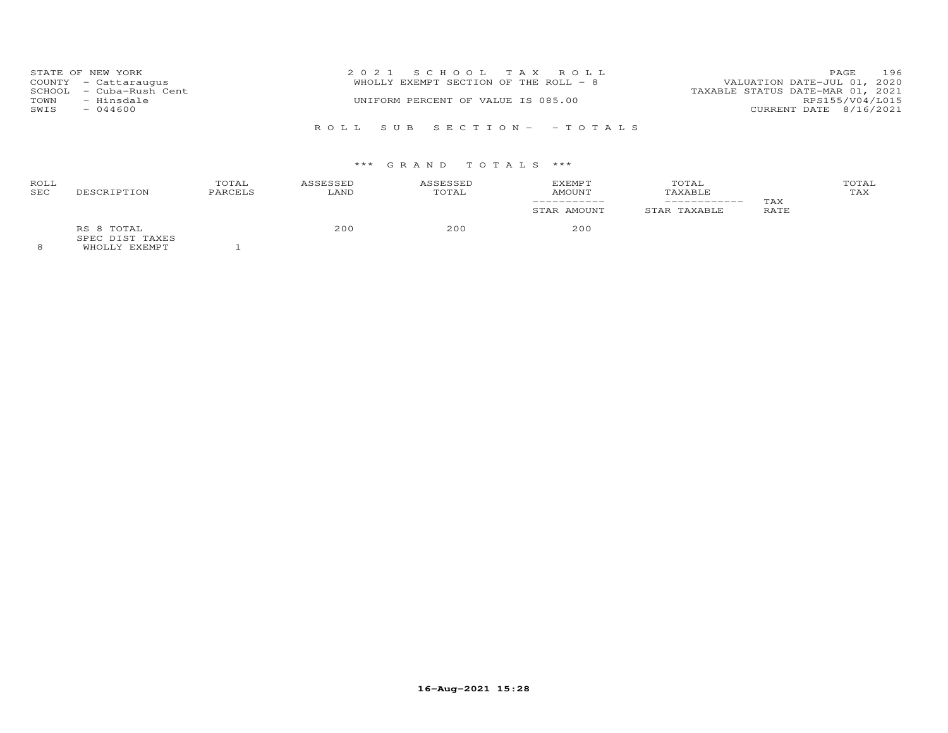|      | STATE OF NEW YORK       | 2021 SCHOOL TAX ROLL                  |                                  | PAGE            | 196 |
|------|-------------------------|---------------------------------------|----------------------------------|-----------------|-----|
|      | COUNTY - Cattaraugus    | WHOLLY EXEMPT SECTION OF THE ROLL - 8 | VALUATION DATE-JUL 01, 2020      |                 |     |
|      | SCHOOL - Cuba-Rush Cent |                                       | TAXABLE STATUS DATE-MAR 01, 2021 |                 |     |
| TOWN | - Hinsdale              | UNIFORM PERCENT OF VALUE IS 085.00    |                                  | RPS155/V04/L015 |     |
| SWIS | $-044600$               |                                       | CURRENT DATE 8/16/2021           |                 |     |
|      |                         |                                       |                                  |                 |     |
|      |                         | ROLL SUB SECTION- -TOTALS             |                                  |                 |     |

| ROLL<br><b>SEC</b> | DESCRIPTION                                    | TOTAL<br>PARCELS | ASSESSED<br>LAND | ASSESSED<br>TOTAL | <b>EXEMPT</b><br>AMOUNT | TOTAL<br>TAXABLE | TAX         | TOTAL<br>TAX |
|--------------------|------------------------------------------------|------------------|------------------|-------------------|-------------------------|------------------|-------------|--------------|
|                    |                                                |                  |                  |                   | STAR AMOUNT             | STAR TAXABLE     | <b>RATE</b> |              |
|                    | RS 8 TOTAL<br>SPEC DIST TAXES<br>WHOLLY EXEMPT |                  | 200              | 200               | 200                     |                  |             |              |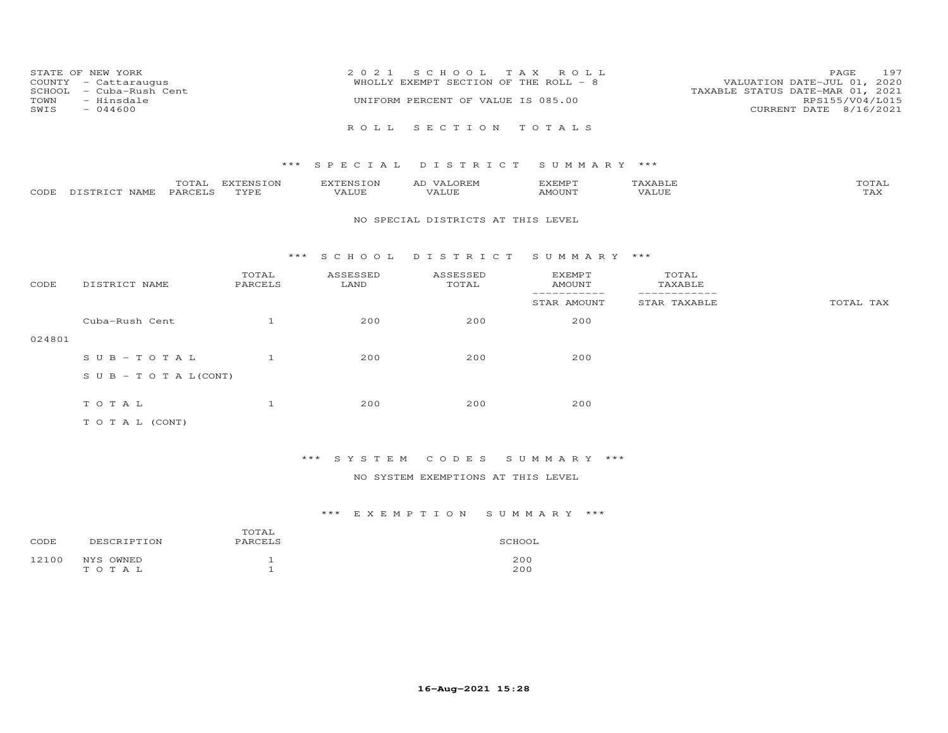| 197                              |
|----------------------------------|
| VALUATION DATE-JUL 01, 2020      |
| TAXABLE STATUS DATE-MAR 01, 2021 |
| RPS155/V04/L015                  |
| CURRENT DATE 8/16/2021           |
|                                  |
|                                  |

|      |                  | $- - -$<br>$\sim$ | EXTENSION | <b>AYTEMSTON</b> | ZXEMPT       |       | $m \wedge m \wedge \tau$<br>OTAL |
|------|------------------|-------------------|-----------|------------------|--------------|-------|----------------------------------|
| CODE | NAME<br>DISTRICT | PARCELS           | TVDF      | ۳ ال سلمہ        | <b>MOUNT</b> | VALUE | ב/בית.                           |

#### NO SPECIAL DISTRICTS AT THIS LEVEL

### \*\*\* S C H O O L D I S T R I C T S U M M A R Y \*\*\*

| CODE   | DISTRICT NAME                    | TOTAL<br>PARCELS | ASSESSED<br>LAND | ASSESSED<br>TOTAL | <b>EXEMPT</b><br>AMOUNT | TOTAL<br>TAXABLE |           |
|--------|----------------------------------|------------------|------------------|-------------------|-------------------------|------------------|-----------|
|        |                                  |                  |                  |                   | STAR AMOUNT             | STAR TAXABLE     | TOTAL TAX |
|        | Cuba-Rush Cent                   |                  | 200              | 200               | 200                     |                  |           |
| 024801 |                                  |                  |                  |                   |                         |                  |           |
|        | $SUB - TO T AL$                  |                  | 200              | 200               | 200                     |                  |           |
|        | $S \cup B - T \cup T A L (CONT)$ |                  |                  |                   |                         |                  |           |
|        |                                  |                  |                  |                   |                         |                  |           |
|        | TOTAL                            |                  | 200              | 200               | 200                     |                  |           |
|        | T O T A L (CONT)                 |                  |                  |                   |                         |                  |           |

## \*\*\* S Y S T E M C O D E S S U M M A R Y \*\*\*

## NO SYSTEM EXEMPTIONS AT THIS LEVEL

| CODE  | DESCRIPTION        | TOTAL<br>PARCELS | SCHOOL     |
|-------|--------------------|------------------|------------|
| 12100 | NYS OWNED<br>TOTAL |                  | 200<br>200 |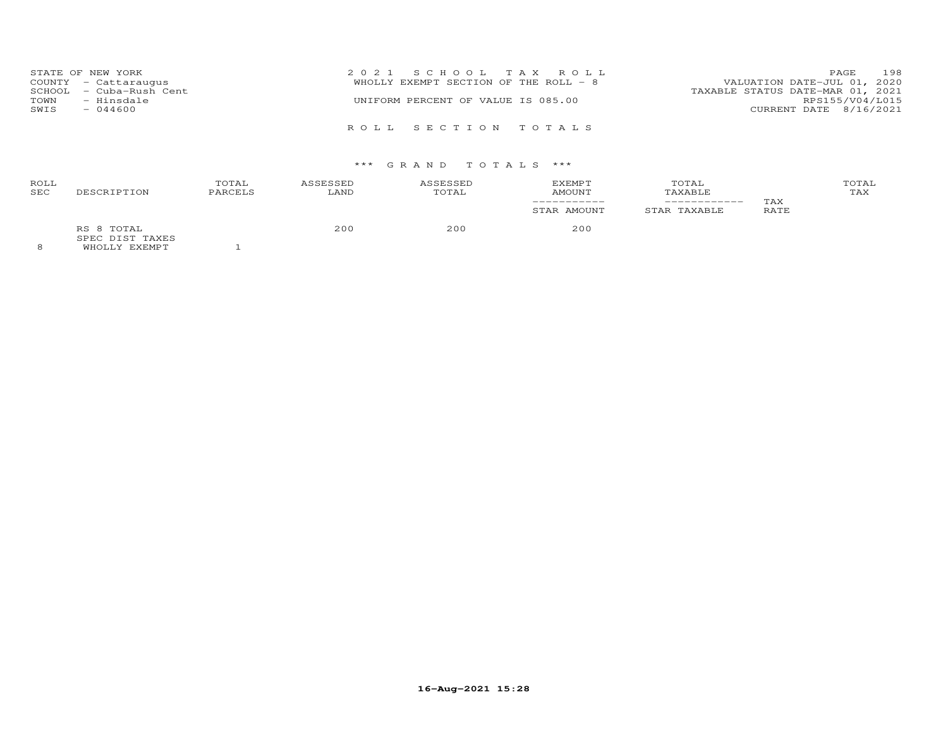| TOWN<br>SWIS | STATE OF NEW YORK<br>COUNTY - Cattaraugus<br>SCHOOL - Cuba-Rush Cent<br>- Hinsdale<br>$-044600$ | 2021 SCHOOL TAX ROLL<br>VALUATION DATE-JUL 01, 2020<br>WHOLLY EXEMPT SECTION OF THE ROLL - 8<br>TAXABLE STATUS DATE-MAR 01, 2021<br>UNIFORM PERCENT OF VALUE IS 085.00<br>CURRENT DATE 8/16/2021 | PAGE<br>RPS155/V04/L015 | 198 |
|--------------|-------------------------------------------------------------------------------------------------|--------------------------------------------------------------------------------------------------------------------------------------------------------------------------------------------------|-------------------------|-----|
|              |                                                                                                 | ROLL SECTION TOTALS                                                                                                                                                                              |                         |     |

| ROLL<br>SEC | DESCRIPTION                                          | TOTAL<br>PARCELS | ASSESSED<br>LAND | ASSESSED<br>TOTAL | EXEMPT<br><b>AMOUNT</b> | TOTAL<br>TAXABLE |             | TOTAL<br>TAX |
|-------------|------------------------------------------------------|------------------|------------------|-------------------|-------------------------|------------------|-------------|--------------|
|             |                                                      |                  |                  |                   | STAR AMOUNT             | STAR TAXABLE     | TAX<br>RATE |              |
| $\Omega$    | RS 8 TOTAL<br>SPEC DIST TAXES<br>EUDATION THE STREET |                  | 200              | 200               | 200                     |                  |             |              |

8 WHOLLY EXEMPT 1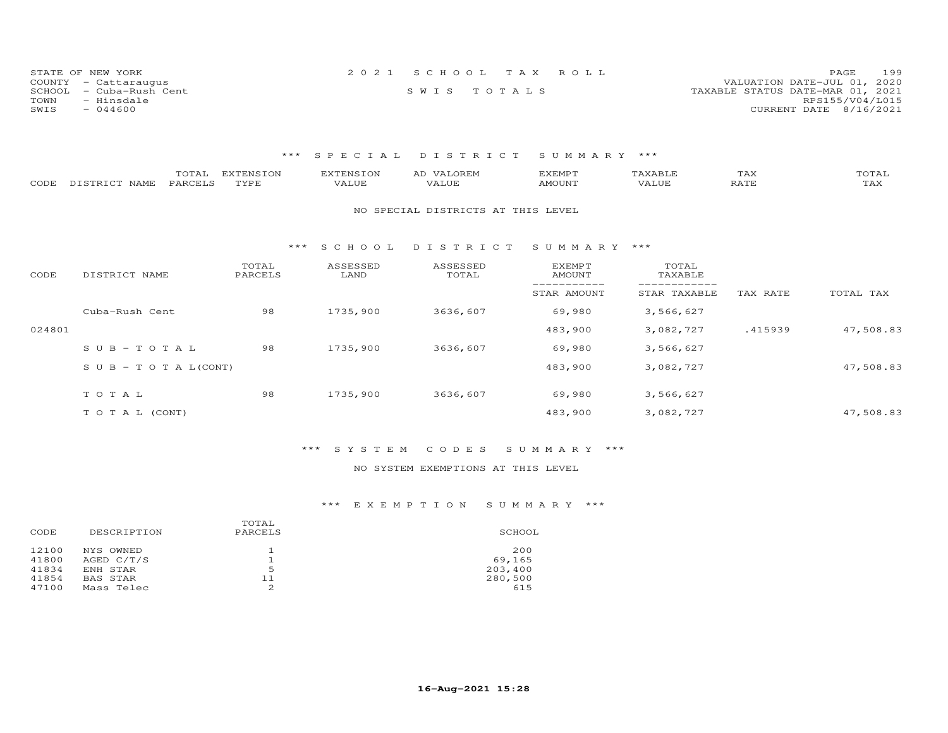| STATE OF NEW YORK          | 2021 SCHOOL TAX ROLL | 199<br>PAGE                      |
|----------------------------|----------------------|----------------------------------|
| COUNTY - Cattaraugus       |                      | VALUATION DATE-JUL 01, 2020      |
| SCHOOL<br>- Cuba-Rush Cent | SWIS TOTALS          | TAXABLE STATUS DATE-MAR 01, 2021 |
| TOWN<br>- Hinsdale         |                      | RPS155/V04/L015                  |
| SWIS<br>$-044600$          |                      | CURRENT DATE 8/16/2021           |

| CODE   | TOTAL<br>PARCELS<br>DISTRICT NAME | <b>EXTENSION</b><br>TYPE | <b>EXTENSION</b><br>VALUE | AD VALOREM<br>VALUE                | <b>EXEMPT</b><br><b>AMOUNT</b> | TAXABLE<br>VALUE | TAX<br>RATE | TOTAL<br>TAX |
|--------|-----------------------------------|--------------------------|---------------------------|------------------------------------|--------------------------------|------------------|-------------|--------------|
|        |                                   |                          |                           | NO SPECIAL DISTRICTS AT THIS LEVEL |                                |                  |             |              |
|        |                                   | * * *                    | S C H O O L               | DISTRICT                           | SUMMARY ***                    |                  |             |              |
| CODE   | DISTRICT NAME                     | TOTAL<br>PARCELS         | ASSESSED<br>LAND          | ASSESSED<br>TOTAL                  | EXEMPT<br><b>AMOUNT</b>        | TOTAL<br>TAXABLE |             |              |
|        |                                   |                          |                           |                                    | STAR AMOUNT                    | STAR TAXABLE     | TAX RATE    | TOTAL TAX    |
|        | Cuba-Rush Cent                    | 98                       | 1735,900                  | 3636,607                           | 69,980                         | 3,566,627        |             |              |
| 024801 |                                   |                          |                           |                                    | 483,900                        | 3,082,727        | .415939     | 47,508.83    |
|        | $SUB - TO T AL$                   | 98                       | 1735,900                  | 3636,607                           | 69,980                         | 3,566,627        |             |              |
|        | S U B - T O T A $L$ (CONT)        |                          |                           |                                    | 483,900                        | 3,082,727        |             | 47,508.83    |
|        | TOTAL                             | 98                       | 1735,900                  | 3636,607                           | 69,980                         | 3,566,627        |             |              |
|        | TO TAL (CONT)                     |                          |                           |                                    | 483,900                        | 3,082,727        |             | 47,508.83    |

## \*\*\* S Y S T E M C O D E S S U M M A R Y \*\*\*

## NO SYSTEM EXEMPTIONS AT THIS LEVEL

| DESCRIPTION | TOTAL<br>PARCELS | SCHOOL  |
|-------------|------------------|---------|
| NYS OWNED   |                  | 200     |
| AGED C/T/S  |                  | 69,165  |
| ENH STAR    | 5                | 203,400 |
| BAS STAR    | 11               | 280,500 |
| Mass Telec  |                  | 615     |
|             |                  |         |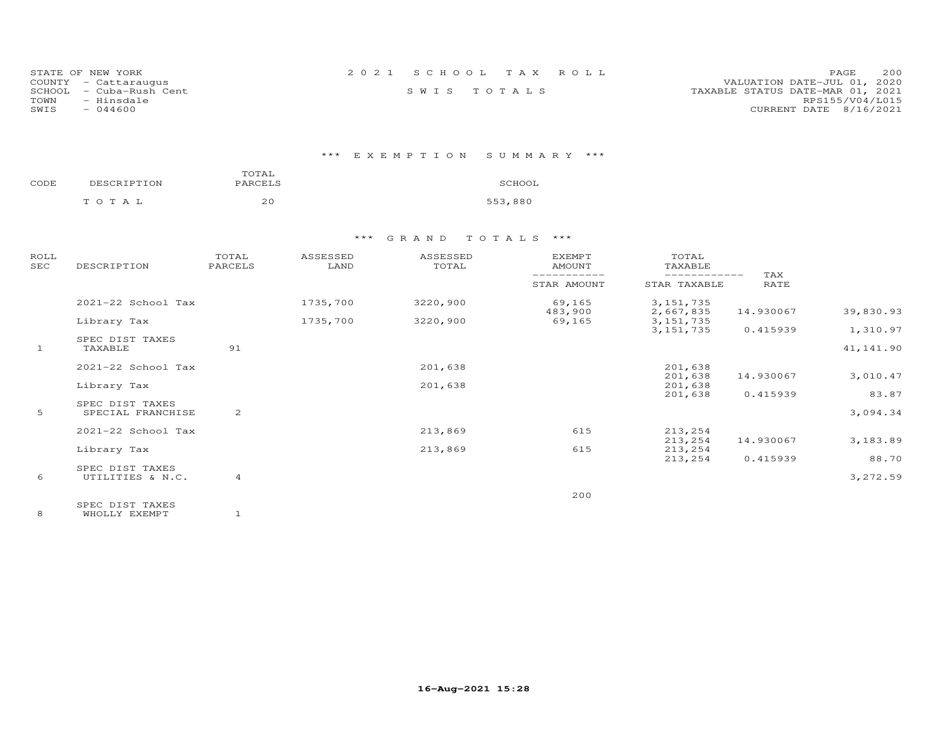| STATE OF NEW YORK       | 2021 SCHOOL TAX ROLL | 200<br><b>PAGE</b>               |
|-------------------------|----------------------|----------------------------------|
| COUNTY - Cattaraugus    |                      | VALUATION DATE-JUL 01, 2020      |
| SCHOOL - Cuba-Rush Cent | SWIS TOTALS          | TAXABLE STATUS DATE-MAR 01, 2021 |
| TOWN<br>- Hinsdale      |                      | RPS155/V04/L015                  |
| SWIS<br>- 044600        |                      | CURRENT DATE 8/16/2021           |

## \*\*\* E X E M P T I O N S U M M A R Y \*\*\*

| CODE | DESCRIPTION | TOTAL<br>PARCELS |         |  |  |  |
|------|-------------|------------------|---------|--|--|--|
|      | тотаь       | 20               | 553,880 |  |  |  |

| ROLL<br>$_{\rm{SEC}}$ | DESCRIPTION                          | TOTAL<br>PARCELS | ASSESSED<br>LAND | ASSESSED<br>TOTAL | <b>EXEMPT</b><br>AMOUNT | TOTAL<br>TAXABLE             |                    |            |
|-----------------------|--------------------------------------|------------------|------------------|-------------------|-------------------------|------------------------------|--------------------|------------|
|                       |                                      |                  |                  |                   | STAR AMOUNT             | ------------<br>STAR TAXABLE | TAX<br><b>RATE</b> |            |
|                       | 2021-22 School Tax                   |                  | 1735,700         | 3220,900          | 69,165<br>483,900       | 3, 151, 735<br>2,667,835     | 14.930067          | 39,830.93  |
|                       | Library Tax                          |                  | 1735,700         | 3220,900          | 69,165                  | 3, 151, 735                  |                    |            |
|                       |                                      |                  |                  |                   |                         | 3, 151, 735                  | 0.415939           | 1,310.97   |
| $\mathbf{1}$          | SPEC DIST TAXES<br>TAXABLE           | 91               |                  |                   |                         |                              |                    | 41, 141.90 |
|                       | 2021-22 School Tax                   |                  |                  | 201,638           |                         | 201,638                      |                    |            |
|                       | Library Tax                          |                  |                  | 201,638           |                         | 201,638<br>201,638           | 14.930067          | 3,010.47   |
|                       |                                      |                  |                  |                   |                         | 201,638                      | 0.415939           | 83.87      |
| 5                     | SPEC DIST TAXES<br>SPECIAL FRANCHISE | 2                |                  |                   |                         |                              |                    | 3,094.34   |
|                       | 2021-22 School Tax                   |                  |                  | 213,869           | 615                     | 213,254                      |                    |            |
|                       |                                      |                  |                  |                   |                         | 213,254                      | 14.930067          | 3,183.89   |
|                       | Library Tax                          |                  |                  | 213,869           | 615                     | 213,254<br>213,254           | 0.415939           | 88.70      |
|                       | SPEC DIST TAXES                      |                  |                  |                   |                         |                              |                    |            |
| 6                     | UTILITIES & N.C.                     | 4                |                  |                   |                         |                              |                    | 3,272.59   |
|                       |                                      |                  |                  |                   | 200                     |                              |                    |            |
| 8                     | SPEC DIST TAXES<br>WHOLLY EXEMPT     |                  |                  |                   |                         |                              |                    |            |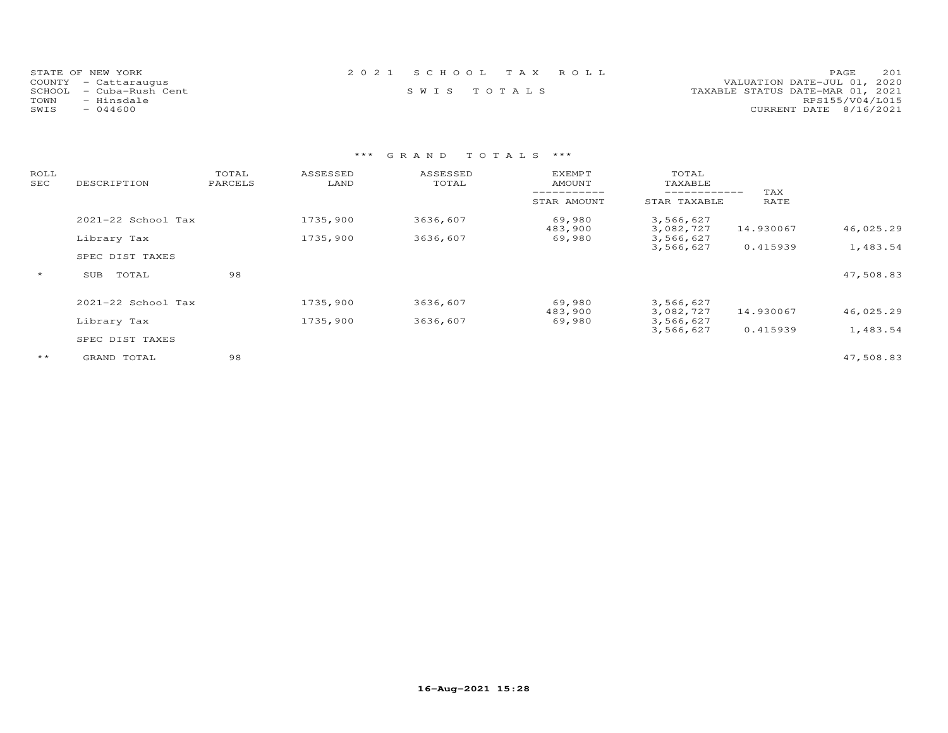| STATE OF NEW YORK          | 2021 SCHOOL TAX ROLL | 201<br>PAGE.                     |
|----------------------------|----------------------|----------------------------------|
| COUNTY - Cattaraugus       |                      | VALUATION DATE-JUL 01, 2020      |
| SCHOOL<br>– Cuba-Rush Cent | SWIS TOTALS          | TAXABLE STATUS DATE-MAR 01, 2021 |
| TOWN<br>- Hinsdale         |                      | RPS155/V04/L015                  |
| SWIS<br>$-044600$          |                      | CURRENT DATE 8/16/2021           |

| ROLL<br>SEC  | DESCRIPTION            | TOTAL<br>PARCELS | ASSESSED<br>LAND | ASSESSED<br>TOTAL | <b>EXEMPT</b><br>AMOUNT | TOTAL<br>TAXABLE       |             |           |
|--------------|------------------------|------------------|------------------|-------------------|-------------------------|------------------------|-------------|-----------|
|              |                        |                  |                  |                   | STAR AMOUNT             | STAR TAXABLE           | TAX<br>RATE |           |
|              | $2021 - 22$ School Tax |                  | 1735,900         | 3636,607          | 69,980<br>483,900       | 3,566,627<br>3,082,727 | 14.930067   | 46,025.29 |
|              | Library Tax            |                  | 1735,900         | 3636,607          | 69,980                  | 3,566,627<br>3,566,627 | 0.415939    | 1,483.54  |
|              | SPEC DIST TAXES        |                  |                  |                   |                         |                        |             |           |
| $\star$      | SUB<br>TOTAL           | 98               |                  |                   |                         |                        |             | 47,508.83 |
|              | 2021-22 School Tax     |                  | 1735,900         | 3636,607          | 69,980<br>483,900       | 3,566,627<br>3,082,727 | 14.930067   | 46,025.29 |
|              | Library Tax            |                  | 1735,900         | 3636,607          | 69,980                  | 3,566,627              |             |           |
|              | SPEC DIST TAXES        |                  |                  |                   |                         | 3,566,627              | 0.415939    | 1,483.54  |
| $\star\star$ | GRAND TOTAL            | 98               |                  |                   |                         |                        |             | 47,508.83 |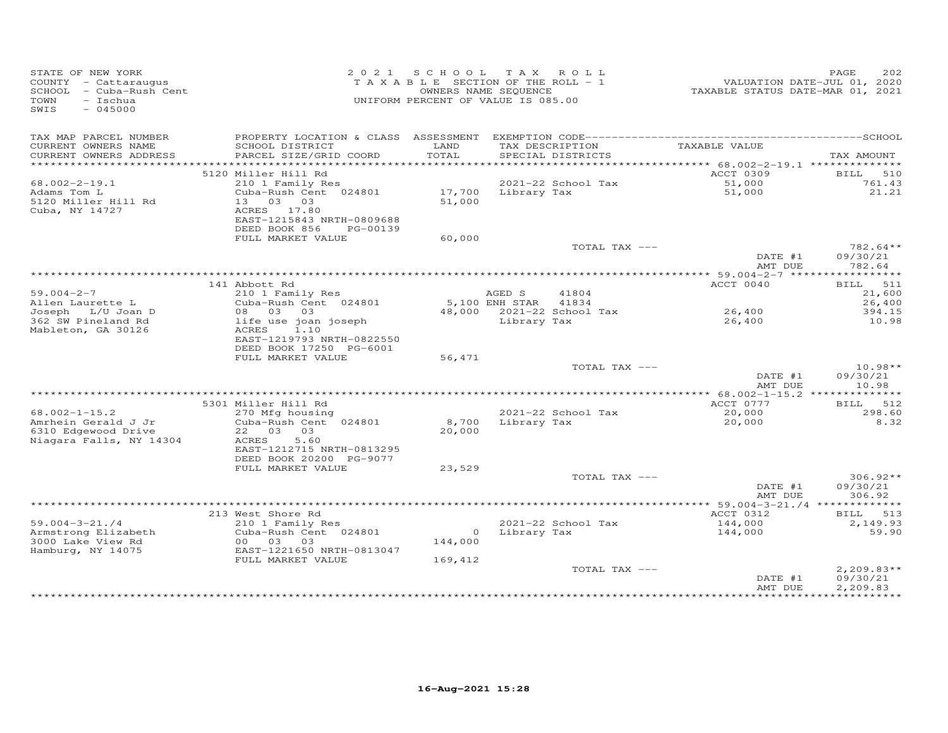| STATE OF NEW YORK<br>COUNTY - Cattaraugus<br>SCHOOL - Cuba-Rush Cent<br>TOWN<br>- Ischua<br>SWIS<br>$-045000$ |                                                                                                                              | 2021 SCHOOL<br>TAXABLE SECTION OF THE ROLL - 1<br>UNIFORM PERCENT OF VALUE IS 085.00 | TAX ROLL<br>OWNERS NAME SEQUENCE |                                      | TAXABLE STATUS DATE-MAR 01, 2021 | 2.02<br>PAGE<br>VALUATION DATE-JUL 01, 2020 |
|---------------------------------------------------------------------------------------------------------------|------------------------------------------------------------------------------------------------------------------------------|--------------------------------------------------------------------------------------|----------------------------------|--------------------------------------|----------------------------------|---------------------------------------------|
| TAX MAP PARCEL NUMBER<br>CURRENT OWNERS NAME<br>CURRENT OWNERS ADDRESS                                        | PROPERTY LOCATION & CLASS ASSESSMENT<br>SCHOOL DISTRICT<br>PARCEL SIZE/GRID COORD                                            | LAND<br>TOTAL                                                                        |                                  | TAX DESCRIPTION<br>SPECIAL DISTRICTS | TAXABLE VALUE                    | TAX AMOUNT                                  |
| ***********************                                                                                       |                                                                                                                              |                                                                                      |                                  |                                      |                                  |                                             |
| $68.002 - 2 - 19.1$                                                                                           | 5120 Miller Hill Rd<br>210 1 Family Res                                                                                      |                                                                                      |                                  | 2021-22 School Tax                   | ACCT 0309<br>51,000              | BILL 510<br>761.43                          |
| Adams Tom L<br>5120 Miller Hill Rd<br>Cuba, NY 14727                                                          | Cuba-Rush Cent 024801<br>13 03 03<br>ACRES 17.80<br>EAST-1215843 NRTH-0809688<br>DEED BOOK 856<br>PG-00139                   | 17,700<br>51,000                                                                     |                                  | Library Tax                          | 51,000                           | 21.21                                       |
|                                                                                                               | FULL MARKET VALUE                                                                                                            | 60,000                                                                               |                                  |                                      |                                  |                                             |
|                                                                                                               |                                                                                                                              |                                                                                      |                                  | TOTAL TAX ---                        | DATE #1<br>AMT DUE               | 782.64**<br>09/30/21<br>782.64              |
|                                                                                                               |                                                                                                                              |                                                                                      |                                  |                                      |                                  |                                             |
| $59.004 - 2 - 7$                                                                                              | 141 Abbott Rd<br>210 1 Family Res                                                                                            |                                                                                      | AGED S                           | 41804                                | ACCT 0040                        | 511<br><b>BILL</b><br>21,600                |
| Allen Laurette L                                                                                              | Cuba-Rush Cent 024801                                                                                                        |                                                                                      | 5,100 ENH STAR 41834             |                                      |                                  | 26,400                                      |
| Joseph L/U Joan D<br>362 SW Pineland Rd<br>Mableton, GA 30126                                                 | 08 03 03<br>life use joan joseph<br>1.10<br>ACRES<br>EAST-1219793 NRTH-0822550<br>DEED BOOK 17250 PG-6001                    |                                                                                      | Library Tax                      | 48,000 2021-22 School Tax            | 26,400<br>26,400                 | 394.15<br>10.98                             |
|                                                                                                               | FULL MARKET VALUE                                                                                                            | 56,471                                                                               |                                  |                                      |                                  | $10.98**$                                   |
|                                                                                                               |                                                                                                                              |                                                                                      |                                  | TOTAL TAX ---                        | DATE #1<br>AMT DUE               | 09/30/21<br>10.98                           |
|                                                                                                               |                                                                                                                              |                                                                                      |                                  |                                      | ACCT 0777                        | BILL 512                                    |
| $68.002 - 1 - 15.2$                                                                                           | 5301 Miller Hill Rd<br>270 Mfg housing                                                                                       |                                                                                      |                                  | 2021-22 School Tax                   | 20,000                           | 298.60                                      |
| Amrhein Gerald J Jr<br>6310 Edgewood Drive<br>Niagara Falls, NY 14304                                         | Cuba-Rush Cent 024801<br>22 03 03<br>5.60<br>ACRES<br>EAST-1212715 NRTH-0813295                                              | 8,700<br>20,000                                                                      |                                  | Library Tax                          | 20,000                           | 8.32                                        |
|                                                                                                               | DEED BOOK 20200 PG-9077                                                                                                      |                                                                                      |                                  |                                      |                                  |                                             |
|                                                                                                               | FULL MARKET VALUE                                                                                                            | 23,529                                                                               |                                  | TOTAL TAX ---                        | DATE #1<br>AMT DUE               | $306.92**$<br>09/30/21<br>306.92            |
|                                                                                                               |                                                                                                                              |                                                                                      |                                  |                                      |                                  |                                             |
| $59.004 - 3 - 21.74$<br>Armstrong Elizabeth<br>3000 Lake View Rd<br>Hamburg, NY 14075                         | 213 West Shore Rd<br>210 1 Family Res<br>Cuba-Rush Cent 024801<br>00 03 03<br>EAST-1221650 NRTH-0813047<br>FULL MARKET VALUE | 144,000<br>169,412                                                                   | 0 Library Tax                    | $2021-22$ School Tax                 | ACCT 0312<br>144,000<br>144,000  | BILL 513<br>2,149.93<br>59.90               |
|                                                                                                               |                                                                                                                              |                                                                                      |                                  | TOTAL TAX ---                        | DATE #1<br>AMT DUE               | $2,209.83**$<br>09/30/21<br>2,209.83        |
|                                                                                                               |                                                                                                                              |                                                                                      |                                  |                                      |                                  |                                             |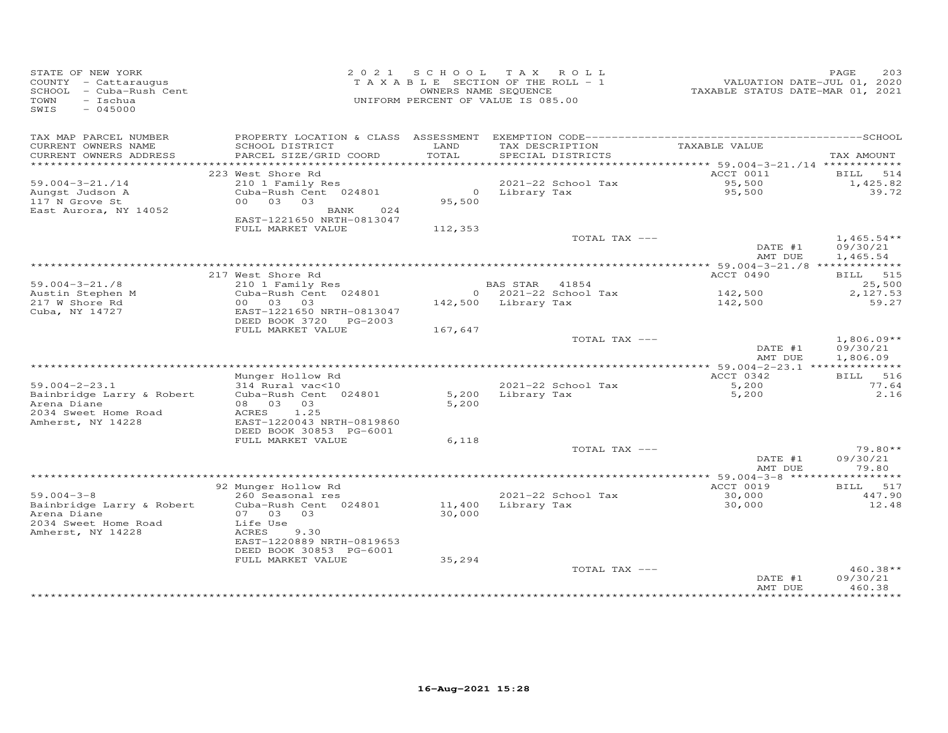| STATE OF NEW YORK<br>COUNTY - Cattaraugus<br>SCHOOL - Cuba-Rush Cent<br>TOWN<br>- Ischua<br>SWIS<br>$-045000$ |                                           | 2021 SCHOOL TAX ROLL<br>TAXABLE SECTION OF THE ROLL - 1<br>OWNERS NAME SEQUENCE<br>UNIFORM PERCENT OF VALUE IS 085.00 |                     |                        | VALUATION DATE-JUL 01, 2020<br>TAXABLE STATUS DATE-MAR 01, 2021 | 203<br>PAGE              |
|---------------------------------------------------------------------------------------------------------------|-------------------------------------------|-----------------------------------------------------------------------------------------------------------------------|---------------------|------------------------|-----------------------------------------------------------------|--------------------------|
| TAX MAP PARCEL NUMBER<br>CURRENT OWNERS NAME                                                                  | SCHOOL DISTRICT                           | LAND                                                                                                                  |                     | TAX DESCRIPTION        | TAXABLE VALUE                                                   |                          |
| CURRENT OWNERS ADDRESS                                                                                        | PARCEL SIZE/GRID COORD                    | TOTAL                                                                                                                 |                     | SPECIAL DISTRICTS      |                                                                 | TAX AMOUNT               |
|                                                                                                               |                                           |                                                                                                                       |                     |                        |                                                                 |                          |
|                                                                                                               | 223 West Shore Rd                         |                                                                                                                       |                     |                        | ACCT 0011                                                       | BILL 514                 |
| $59.004 - 3 - 21.714$<br>Aungst Judson A                                                                      | 210 1 Family Res<br>Cuba-Rush Cent 024801 |                                                                                                                       | 0 Library Tax       | 2021-22 School Tax     | 95,500<br>95,500                                                | 1,425.82<br>39.72        |
| 117 N Grove St                                                                                                | 0 <sub>0</sub><br>03 03                   | 95,500                                                                                                                |                     |                        |                                                                 |                          |
| East Aurora, NY 14052                                                                                         | 024<br>BANK                               |                                                                                                                       |                     |                        |                                                                 |                          |
|                                                                                                               | EAST-1221650 NRTH-0813047                 |                                                                                                                       |                     |                        |                                                                 |                          |
|                                                                                                               | FULL MARKET VALUE                         | 112,353                                                                                                               |                     |                        |                                                                 |                          |
|                                                                                                               |                                           |                                                                                                                       |                     | TOTAL TAX ---          | DATE #1                                                         | $1,465.54**$<br>09/30/21 |
|                                                                                                               |                                           |                                                                                                                       |                     |                        | AMT DUE                                                         | 1,465.54                 |
|                                                                                                               |                                           |                                                                                                                       |                     |                        |                                                                 |                          |
|                                                                                                               | 217 West Shore Rd                         |                                                                                                                       |                     |                        | ACCT 0490                                                       | BILL 515                 |
| $59.004 - 3 - 21.78$                                                                                          | 210 1 Family Res                          |                                                                                                                       | BAS STAR 41854      |                        |                                                                 | 25,500                   |
| Austin Stephen M<br>217 W Shore Rd                                                                            | Cuba-Rush Cent 024801<br>00 03<br>03      |                                                                                                                       | 142,500 Library Tax | $0$ 2021-22 School Tax | 142,500<br>142,500                                              | 2,127.53<br>59.27        |
| Cuba, NY 14727                                                                                                | EAST-1221650 NRTH-0813047                 |                                                                                                                       |                     |                        |                                                                 |                          |
|                                                                                                               | DEED BOOK 3720 PG-2003                    |                                                                                                                       |                     |                        |                                                                 |                          |
|                                                                                                               | FULL MARKET VALUE                         | 167,647                                                                                                               |                     |                        |                                                                 |                          |
|                                                                                                               |                                           |                                                                                                                       |                     | TOTAL TAX ---          | DATE #1<br>AMT DUE                                              | $1,806.09**$<br>09/30/21 |
|                                                                                                               |                                           |                                                                                                                       |                     |                        |                                                                 | 1,806.09                 |
|                                                                                                               | Munger Hollow Rd                          |                                                                                                                       |                     |                        | ACCT 0342                                                       | BILL 516                 |
| $59.004 - 2 - 23.1$                                                                                           | 314 Rural vac<10                          |                                                                                                                       |                     | 2021-22 School Tax     | 5,200                                                           | 77.64                    |
| Bainbridge Larry & Robert                                                                                     | Cuba-Rush Cent 024801                     | 5,200                                                                                                                 |                     | Library Tax            | 5,200                                                           | 2.16                     |
| Arena Diane<br>2034 Sweet Home Road                                                                           | 08 03 03<br>ACRES<br>1.25                 | 5,200                                                                                                                 |                     |                        |                                                                 |                          |
| Amherst, NY 14228                                                                                             | EAST-1220043 NRTH-0819860                 |                                                                                                                       |                     |                        |                                                                 |                          |
|                                                                                                               | DEED BOOK 30853 PG-6001                   |                                                                                                                       |                     |                        |                                                                 |                          |
|                                                                                                               | FULL MARKET VALUE                         | 6,118                                                                                                                 |                     |                        |                                                                 |                          |
|                                                                                                               |                                           |                                                                                                                       |                     | TOTAL TAX ---          |                                                                 | $79.80**$                |
|                                                                                                               |                                           |                                                                                                                       |                     |                        | DATE #1<br>AMT DUE                                              | 09/30/21<br>79.80        |
|                                                                                                               |                                           |                                                                                                                       |                     |                        |                                                                 | ********                 |
|                                                                                                               | 92 Munger Hollow Rd                       |                                                                                                                       |                     |                        | ACCT 0019                                                       | BILL 517                 |
| $59.004 - 3 - 8$                                                                                              | 260 Seasonal res                          |                                                                                                                       |                     | 2021-22 School Tax     | 30,000                                                          | 447.90                   |
| Bainbridge Larry & Robert                                                                                     | Cuba-Rush Cent 024801                     | 11,400                                                                                                                | Library Tax         |                        | 30,000                                                          | 12.48                    |
| Arena Diane<br>2034 Sweet Home Road                                                                           | 07 03<br>03<br>Life Use                   | 30,000                                                                                                                |                     |                        |                                                                 |                          |
| Amherst, NY 14228                                                                                             | ACRES<br>9.30                             |                                                                                                                       |                     |                        |                                                                 |                          |
|                                                                                                               | EAST-1220889 NRTH-0819653                 |                                                                                                                       |                     |                        |                                                                 |                          |
|                                                                                                               | DEED BOOK 30853 PG-6001                   |                                                                                                                       |                     |                        |                                                                 |                          |
|                                                                                                               | FULL MARKET VALUE                         | 35,294                                                                                                                |                     |                        |                                                                 |                          |
|                                                                                                               |                                           |                                                                                                                       |                     | TOTAL TAX ---          | DATE #1                                                         | 460.38**<br>09/30/21     |
|                                                                                                               |                                           |                                                                                                                       |                     |                        | AMT DUE                                                         | 460.38                   |
|                                                                                                               |                                           |                                                                                                                       |                     |                        |                                                                 |                          |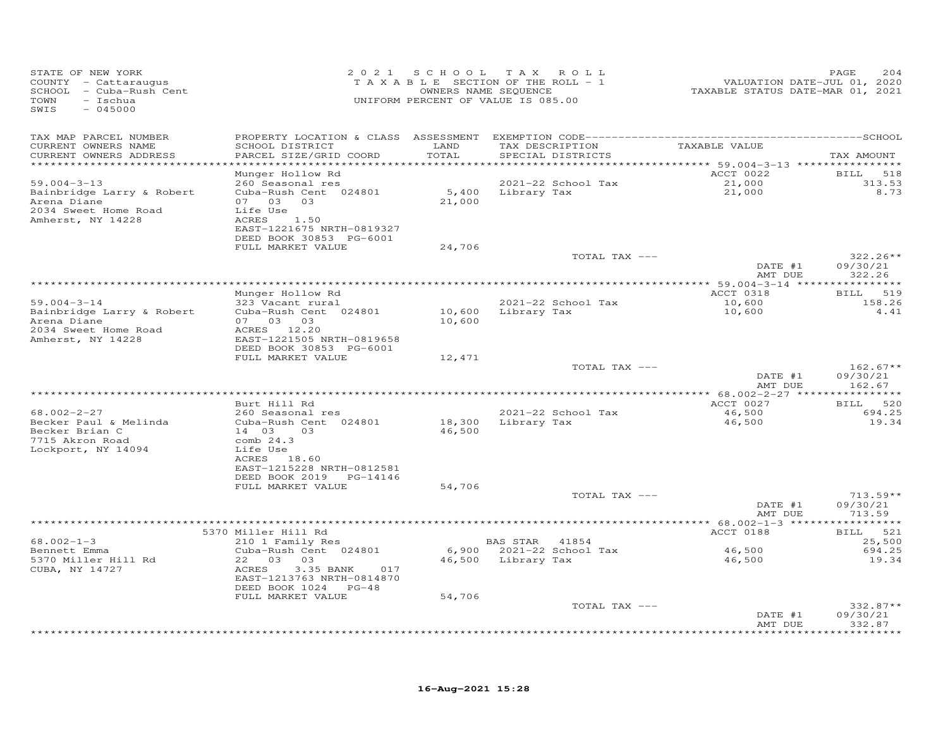| STATE OF NEW YORK<br>COUNTY - Cattaraugus<br>SCHOOL - Cuba-Rush Cent<br>TOWN<br>- Ischua<br>SWIS<br>$-045000$ |                                                                                            | 2021 SCHOOL TAX  | ROLL<br>TAXABLE SECTION OF THE ROLL - 1<br>OWNERS NAME SEQUENCE<br>UNIFORM PERCENT OF VALUE IS 085.00 | VALUATION DATE-JUL 01, 2020<br>TAXABLE STATUS DATE-MAR 01, 2021 | PAGE<br>204                      |
|---------------------------------------------------------------------------------------------------------------|--------------------------------------------------------------------------------------------|------------------|-------------------------------------------------------------------------------------------------------|-----------------------------------------------------------------|----------------------------------|
| TAX MAP PARCEL NUMBER<br>CURRENT OWNERS NAME<br>CURRENT OWNERS ADDRESS                                        | SCHOOL DISTRICT<br>PARCEL SIZE/GRID COORD                                                  | LAND<br>TOTAL    | TAX DESCRIPTION<br>SPECIAL DISTRICTS                                                                  | TAXABLE VALUE                                                   | TAX AMOUNT                       |
| ***********************                                                                                       |                                                                                            |                  |                                                                                                       |                                                                 |                                  |
| $59.004 - 3 - 13$<br>Bainbridge Larry & Robert<br>Arena Diane                                                 | Munger Hollow Rd<br>260 Seasonal res<br>Cuba-Rush Cent 024801<br>07 03 03                  | 21,000           | 2021-22 School Tax<br>5,400 Library Tax                                                               | ACCT 0022<br>21,000<br>21,000                                   | BILL 518<br>313.53<br>8.73       |
| 2034 Sweet Home Road<br>Amherst, NY 14228                                                                     | Life Use<br>1.50<br>ACRES<br>EAST-1221675 NRTH-0819327<br>DEED BOOK 30853 PG-6001          |                  |                                                                                                       |                                                                 |                                  |
|                                                                                                               | FULL MARKET VALUE                                                                          | 24,706           |                                                                                                       |                                                                 |                                  |
|                                                                                                               |                                                                                            |                  | TOTAL TAX ---                                                                                         | DATE #1<br>AMT DUE                                              | $322.26**$<br>09/30/21<br>322.26 |
|                                                                                                               |                                                                                            |                  |                                                                                                       |                                                                 |                                  |
|                                                                                                               | Munger Hollow Rd                                                                           |                  |                                                                                                       | ACCT 0318                                                       | BILL 519                         |
| $59.004 - 3 - 14$<br>Bainbridge Larry & Robert<br>Arena Diane<br>2034 Sweet Home Road                         | 323 Vacant rural<br>Cuba-Rush Cent 024801<br>07 03 03<br>ACRES 12.20                       | 10,600           | 2021-22 School Tax<br>10,600 Library Tax                                                              | 10,600<br>10,600                                                | 158.26<br>4.41                   |
| Amherst, NY 14228                                                                                             | EAST-1221505 NRTH-0819658<br>DEED BOOK 30853 PG-6001                                       |                  |                                                                                                       |                                                                 |                                  |
|                                                                                                               | FULL MARKET VALUE                                                                          | 12,471           |                                                                                                       |                                                                 |                                  |
|                                                                                                               |                                                                                            |                  | TOTAL TAX ---                                                                                         | DATE #1<br>AMT DUE                                              | $162.67**$<br>09/30/21<br>162.67 |
|                                                                                                               |                                                                                            |                  |                                                                                                       |                                                                 |                                  |
|                                                                                                               | Burt Hill Rd                                                                               |                  |                                                                                                       | ACCT 0027                                                       | 520<br><b>BILL</b>               |
| 68.002-2-27<br>Becker Paul & Melinda<br>Becker Brian C                                                        | 260 Seasonal res<br>Cuba-Rush Cent 024801<br>14 03<br>03                                   | 18,300<br>46,500 | 2021-22 School Tax<br>Library Tax                                                                     | 46,500<br>46,500                                                | 694.25<br>19.34                  |
| 7715 Akron Road<br>Lockport, NY 14094                                                                         | comb $24.3$<br>Life Use<br>ACRES 18.60<br>EAST-1215228 NRTH-0812581                        |                  |                                                                                                       |                                                                 |                                  |
|                                                                                                               | DEED BOOK 2019 PG-14146                                                                    |                  |                                                                                                       |                                                                 |                                  |
|                                                                                                               | FULL MARKET VALUE                                                                          | 54,706           | TOTAL TAX ---                                                                                         | DATE #1                                                         | $713.59**$<br>09/30/21           |
|                                                                                                               |                                                                                            |                  |                                                                                                       | AMT DUE                                                         | 713.59                           |
|                                                                                                               |                                                                                            |                  |                                                                                                       |                                                                 |                                  |
|                                                                                                               | 5370 Miller Hill Rd                                                                        |                  |                                                                                                       | ACCT 0188                                                       | BILL 521                         |
| $68.002 - 1 - 3$<br>Bennett Emma                                                                              | 210 1 Family Res<br>Cuba-Rush Cent 024801                                                  |                  | BAS STAR 41854<br>6,900 2021-22 School Tax                                                            | 46,500                                                          | 25,500<br>694.25                 |
| 5370 Miller Hill Rd<br>CUBA, NY 14727                                                                         | 22 03 03<br>ACRES<br>3.35 BANK<br>017<br>EAST-1213763 NRTH-0814870<br>DEED BOOK 1024 PG-48 |                  | 46,500 Library Tax                                                                                    | 46,500                                                          | 19.34                            |
|                                                                                                               | FULL MARKET VALUE                                                                          | 54,706           |                                                                                                       |                                                                 |                                  |
|                                                                                                               |                                                                                            |                  | TOTAL TAX ---                                                                                         | DATE #1                                                         | $332.87**$<br>09/30/21           |
|                                                                                                               |                                                                                            |                  |                                                                                                       | AMT DUE                                                         | 332.87<br>********               |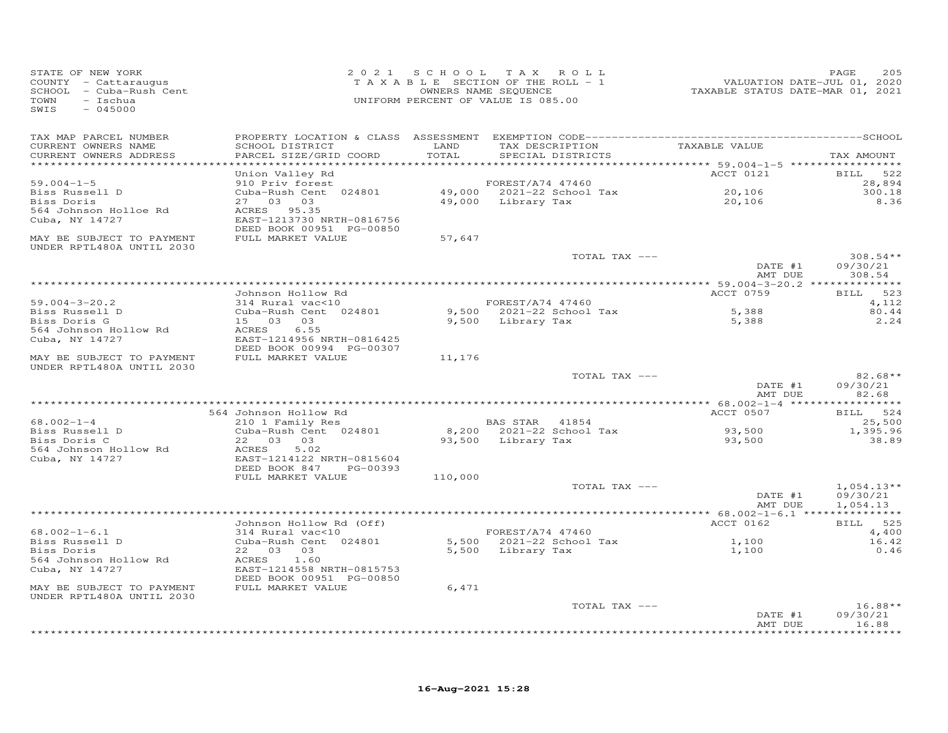| STATE OF NEW YORK<br>COUNTY - Cattaraugus<br>SCHOOL - Cuba-Rush Cent<br>TOWN<br>- Ischua<br>$-045000$<br>SWIS |                                                                                  | 2021 SCHOOL   | TAX ROLL<br>TAXABLE SECTION OF THE ROLL - 1<br>OWNERS NAME SEQUENCE<br>UNIFORM PERCENT OF VALUE IS 085.00 | VALUATION DATE-JUL 01, 2020<br>TAXABLE STATUS DATE-MAR 01, 2021 | 205<br>PAGE                          |
|---------------------------------------------------------------------------------------------------------------|----------------------------------------------------------------------------------|---------------|-----------------------------------------------------------------------------------------------------------|-----------------------------------------------------------------|--------------------------------------|
| TAX MAP PARCEL NUMBER<br>CURRENT OWNERS NAME<br>CURRENT OWNERS ADDRESS<br>*************************           | SCHOOL DISTRICT<br>PARCEL SIZE/GRID COORD                                        | LAND<br>TOTAL | TAX DESCRIPTION<br>SPECIAL DISTRICTS                                                                      | TAXABLE VALUE                                                   | TAX AMOUNT                           |
|                                                                                                               | Union Valley Rd                                                                  |               |                                                                                                           | ACCT 0121                                                       | BILL 522                             |
| $59.004 - 1 - 5$                                                                                              | 910 Priv forest                                                                  |               | FOREST/A74 47460                                                                                          |                                                                 | 28,894                               |
| Biss Russell D                                                                                                | Cuba-Rush Cent 024801                                                            |               | 49,000 2021-22 School Tax                                                                                 | 20,106                                                          | 300.18                               |
| Biss Doris<br>564 Johnson Holloe Rd<br>Cuba, NY 14727                                                         | 27 03 03<br>ACRES 95.35<br>EAST-1213730 NRTH-0816756<br>DEED BOOK 00951 PG-00850 |               | 49,000 Library Tax                                                                                        | 20,106                                                          | 8.36                                 |
| MAY BE SUBJECT TO PAYMENT<br>UNDER RPTL480A UNTIL 2030                                                        | FULL MARKET VALUE                                                                | 57,647        |                                                                                                           |                                                                 |                                      |
|                                                                                                               |                                                                                  |               | TOTAL TAX ---                                                                                             | DATE #1<br>AMT DUE                                              | $308.54**$<br>09/30/21<br>308.54     |
|                                                                                                               |                                                                                  |               |                                                                                                           |                                                                 |                                      |
| $59.004 - 3 - 20.2$                                                                                           | Johnson Hollow Rd<br>314 Rural vac<10                                            |               | FOREST/A74 47460                                                                                          | ACCT 0759                                                       | BILL 523<br>4,112                    |
| Biss Russell D                                                                                                | Cuba-Rush Cent 024801                                                            |               | 9,500 2021-22 School Tax                                                                                  | 5,388                                                           | 80.44                                |
| Biss Doris G                                                                                                  | 15 03 03                                                                         |               | 9,500 Library Tax                                                                                         | 5,388                                                           | 2.24                                 |
| 564 Johnson Hollow Rd<br>Cuba, NY 14727                                                                       | ACRES<br>6.55<br>EAST-1214956 NRTH-0816425<br>DEED BOOK 00994 PG-00307           |               |                                                                                                           |                                                                 |                                      |
| MAY BE SUBJECT TO PAYMENT<br>UNDER RPTL480A UNTIL 2030                                                        | FULL MARKET VALUE                                                                | 11,176        |                                                                                                           |                                                                 |                                      |
|                                                                                                               |                                                                                  |               | TOTAL TAX ---                                                                                             | DATE #1<br>AMT DUE                                              | $82.68**$<br>09/30/21<br>82.68       |
|                                                                                                               |                                                                                  |               |                                                                                                           |                                                                 |                                      |
|                                                                                                               | 564 Johnson Hollow Rd                                                            |               |                                                                                                           | ACCT 0507                                                       | BILL 524                             |
| $68.002 - 1 - 4$<br>Biss Russell D<br>Biss Doris C                                                            | 210 1 Family Res<br>Cuba-Rush Cent 024801<br>22 03 03                            |               | BAS STAR 41854<br>8,200 2021-22 School Tax<br>93,500 Library Tax                                          | 93,500<br>93,500                                                | 25,500<br>1,395.96<br>38.89          |
| 564 Johnson Hollow Rd<br>Cuba, NY 14727                                                                       | ACRES<br>5.02<br>EAST-1214122 NRTH-0815604<br>DEED BOOK 847 PG-00393             |               |                                                                                                           |                                                                 |                                      |
|                                                                                                               | FULL MARKET VALUE                                                                | 110,000       |                                                                                                           |                                                                 |                                      |
|                                                                                                               |                                                                                  |               | TOTAL TAX ---                                                                                             | DATE #1<br>AMT DUE                                              | $1,054.13**$<br>09/30/21<br>1,054.13 |
|                                                                                                               |                                                                                  |               |                                                                                                           |                                                                 |                                      |
|                                                                                                               | Johnson Hollow Rd (Off)                                                          |               |                                                                                                           | ACCT 0162                                                       | BILL 525                             |
| $68.002 - 1 - 6.1$<br>Biss Russell D                                                                          | 314 Rural vac<10<br>Cuba-Rush Cent 024801                                        |               | FOREST/A74 47460<br>5,500 2021-22 School Tax                                                              | 1,100                                                           | 4,400<br>16.42                       |
| Biss Doris                                                                                                    | 22 03 03                                                                         |               | 5,500 Library Tax                                                                                         | 1,100                                                           | 0.46                                 |
| 564 Johnson Hollow Rd                                                                                         | ACRES<br>1.60                                                                    |               |                                                                                                           |                                                                 |                                      |
| Cuba, NY 14727                                                                                                | EAST-1214558 NRTH-0815753                                                        |               |                                                                                                           |                                                                 |                                      |
| MAY BE SUBJECT TO PAYMENT<br>UNDER RPTL480A UNTIL 2030                                                        | DEED BOOK 00951 PG-00850<br>FULL MARKET VALUE                                    | 6,471         |                                                                                                           |                                                                 |                                      |
|                                                                                                               |                                                                                  |               | TOTAL TAX ---                                                                                             |                                                                 | $16.88**$                            |
|                                                                                                               |                                                                                  |               |                                                                                                           | DATE #1<br>AMT DUE                                              | 09/30/21<br>16.88                    |
|                                                                                                               |                                                                                  |               |                                                                                                           |                                                                 | *******                              |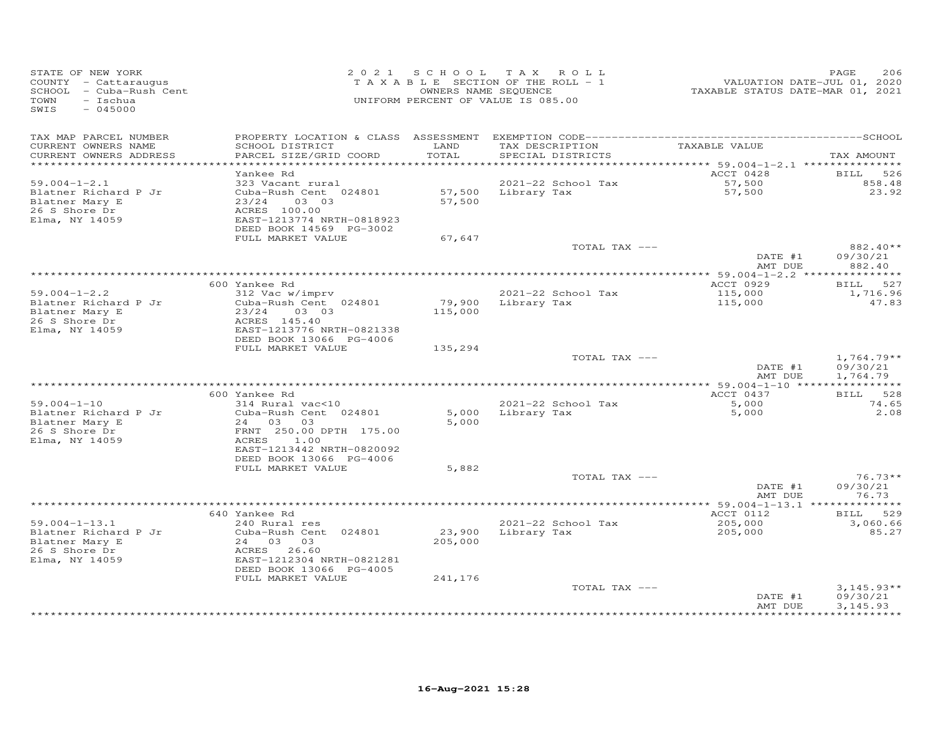| STATE OF NEW YORK<br>COUNTY - Cattaraugus<br>- Cuba-Rush Cent<br>SCHOOL<br>TOWN<br>- Ischua<br>SWIS<br>$-045000$ | 2 0 2 1                                                                                                                                                       |                   | SCHOOL TAX ROLL<br>TAXABLE SECTION OF THE ROLL - 1<br>OWNERS NAME SEQUENCE<br>UNIFORM PERCENT OF VALUE IS 085.00 | VALUATION DATE-JUL 01, 2020<br>TAXABLE STATUS DATE-MAR 01, 2021 | PAGE<br>206                             |
|------------------------------------------------------------------------------------------------------------------|---------------------------------------------------------------------------------------------------------------------------------------------------------------|-------------------|------------------------------------------------------------------------------------------------------------------|-----------------------------------------------------------------|-----------------------------------------|
| TAX MAP PARCEL NUMBER<br>CURRENT OWNERS NAME<br>CURRENT OWNERS ADDRESS                                           | SCHOOL DISTRICT<br>PARCEL SIZE/GRID COORD                                                                                                                     | LAND<br>TOTAL     | TAX DESCRIPTION<br>SPECIAL DISTRICTS                                                                             | TAXABLE VALUE                                                   | TAX AMOUNT                              |
| ***********************                                                                                          | ***************************                                                                                                                                   |                   |                                                                                                                  | ACCT 0428                                                       |                                         |
| $59.004 - 1 - 2.1$<br>Blatner Richard P Jr<br>Blatner Mary E<br>26 S Shore Dr<br>Elma, NY 14059                  | Yankee Rd<br>323 Vacant rural<br>Cuba-Rush Cent 024801<br>23/24<br>03 03<br>ACRES 100.00<br>EAST-1213774 NRTH-0818923<br>DEED BOOK 14569 PG-3002              | 57,500<br>57,500  | 2021-22 School Tax<br>Library Tax                                                                                | 57,500<br>57,500                                                | BILL<br>526<br>858.48<br>23.92          |
|                                                                                                                  | FULL MARKET VALUE                                                                                                                                             | 67,647            | TOTAL TAX ---                                                                                                    |                                                                 | 882.40**                                |
|                                                                                                                  |                                                                                                                                                               |                   |                                                                                                                  | DATE #1<br>AMT DUE                                              | 09/30/21<br>882.40                      |
|                                                                                                                  |                                                                                                                                                               |                   |                                                                                                                  |                                                                 |                                         |
| $59.004 - 1 - 2.2$<br>Blatner Richard P Jr<br>Blatner Mary E<br>26 S Shore Dr<br>Elma, NY 14059                  | 600 Yankee Rd<br>312 Vac w/imprv<br>Cuba-Rush Cent 024801<br>23/24<br>03 03<br>ACRES 145.40<br>EAST-1213776 NRTH-0821338                                      | 79,900<br>115,000 | 2021-22 School Tax<br>Library Tax                                                                                | ACCT 0929<br>115,000<br>115,000                                 | 527<br><b>BILL</b><br>1,716.96<br>47.83 |
|                                                                                                                  | DEED BOOK 13066 PG-4006<br>FULL MARKET VALUE                                                                                                                  | 135,294           |                                                                                                                  |                                                                 |                                         |
|                                                                                                                  |                                                                                                                                                               |                   | TOTAL TAX ---                                                                                                    | DATE #1<br>AMT DUE                                              | $1,764.79**$<br>09/30/21<br>1,764.79    |
|                                                                                                                  |                                                                                                                                                               |                   |                                                                                                                  |                                                                 |                                         |
| $59.004 - 1 - 10$<br>Blatner Richard P Jr<br>Blatner Mary E<br>26 S Shore Dr<br>Elma, NY 14059                   | 600 Yankee Rd<br>314 Rural vac<10<br>Cuba-Rush Cent 024801<br>2.4<br>03<br>03<br>FRNT 250.00 DPTH 175.00<br><b>ACRES</b><br>1.00<br>EAST-1213442 NRTH-0820092 | 5,000<br>5,000    | 2021-22 School Tax<br>Library Tax                                                                                | ACCT 0437<br>5,000<br>5,000                                     | 528<br><b>BILL</b><br>74.65<br>2.08     |
|                                                                                                                  | DEED BOOK 13066 PG-4006<br>FULL MARKET VALUE                                                                                                                  | 5,882             |                                                                                                                  |                                                                 |                                         |
|                                                                                                                  |                                                                                                                                                               |                   | TOTAL TAX ---                                                                                                    |                                                                 | $76.73**$                               |
|                                                                                                                  |                                                                                                                                                               |                   |                                                                                                                  | DATE #1<br>AMT DUE                                              | 09/30/21<br>76.73                       |
|                                                                                                                  | 640 Yankee Rd                                                                                                                                                 |                   |                                                                                                                  | ACCT 0112                                                       | 529<br>BILL                             |
| $59.004 - 1 - 13.1$<br>Blatner Richard P Jr<br>Blatner Mary E<br>26 S Shore Dr<br>Elma, NY 14059                 | 240 Rural res<br>Cuba-Rush Cent 024801<br>24 03 03<br>ACRES<br>26.60<br>EAST-1212304 NRTH-0821281<br>DEED BOOK 13066 PG-4005                                  | 23,900<br>205,000 | 2021-22 School Tax<br>Library Tax                                                                                | 205,000<br>205,000                                              | 3,060.66<br>85.27                       |
|                                                                                                                  | FULL MARKET VALUE                                                                                                                                             | 241,176           | TOTAL TAX ---                                                                                                    | DATE #1<br>AMT DUE                                              | $3,145.93**$<br>09/30/21<br>3,145.93    |
|                                                                                                                  |                                                                                                                                                               |                   |                                                                                                                  |                                                                 |                                         |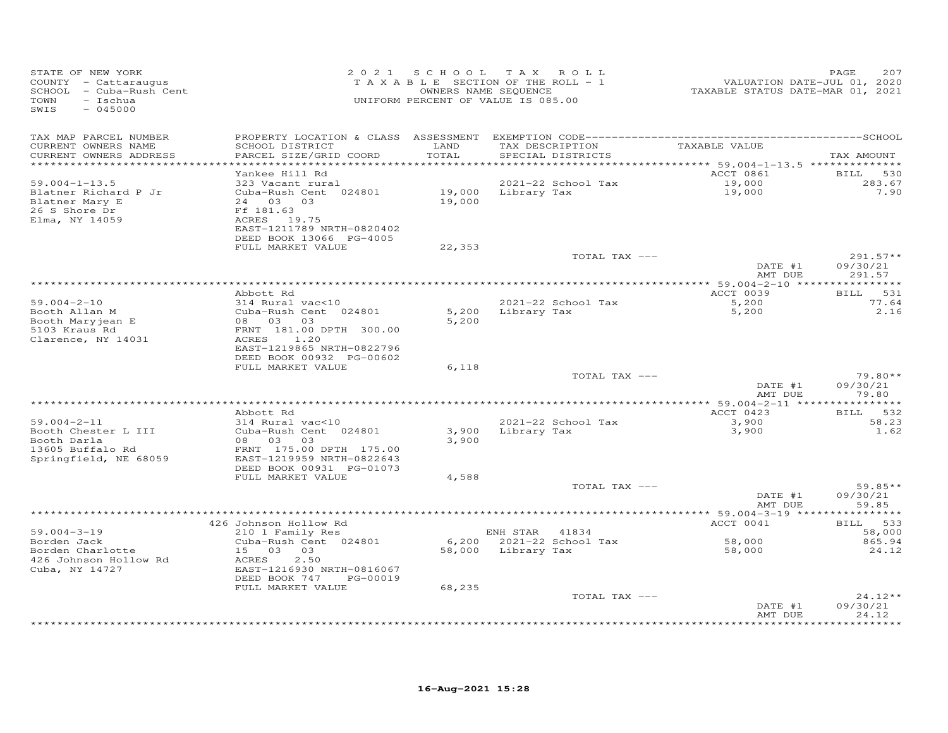| STATE OF NEW YORK<br>COUNTY - Cattaraugus<br>SCHOOL - Cuba-Rush Cent<br>TOWN<br>- Ischua<br>SWIS<br>$-045000$ |                                                                                                                                   | 2021 SCHOOL TAX           | ROLL<br>TAXABLE SECTION OF THE ROLL - 1<br>OWNERS NAME SEQUENCE<br>UNIFORM PERCENT OF VALUE IS 085.00 | TAXABLE STATUS DATE-MAR 01, 2021  | 207<br>PAGE<br>VALUATION DATE-JUL 01, 2020 |
|---------------------------------------------------------------------------------------------------------------|-----------------------------------------------------------------------------------------------------------------------------------|---------------------------|-------------------------------------------------------------------------------------------------------|-----------------------------------|--------------------------------------------|
| TAX MAP PARCEL NUMBER<br>CURRENT OWNERS NAME<br>CURRENT OWNERS ADDRESS                                        | SCHOOL DISTRICT<br>PARCEL SIZE/GRID COORD                                                                                         | LAND<br>TOTAL             | TAX DESCRIPTION<br>SPECIAL DISTRICTS                                                                  | TAXABLE VALUE                     | TAX AMOUNT                                 |
| **********************<br>$59.004 - 1 - 13.5$                                                                 | ************************<br>Yankee Hill Rd<br>323 Vacant rural                                                                    |                           | 2021-22 School Tax                                                                                    | ACCT 0861<br>19,000               | BILL<br>530<br>283.67                      |
| Blatner Richard P Jr<br>Blatner Mary E<br>26 S Shore Dr<br>Elma, NY 14059                                     | Cuba-Rush Cent 024801<br>24 03 03<br>Ff 181.63<br>ACRES 19.75                                                                     | 19,000<br>19,000          | Library Tax                                                                                           | 19,000                            | 7.90                                       |
|                                                                                                               | EAST-1211789 NRTH-0820402<br>DEED BOOK 13066 PG-4005<br>FULL MARKET VALUE                                                         | 22,353                    |                                                                                                       |                                   |                                            |
|                                                                                                               |                                                                                                                                   |                           | TOTAL TAX ---                                                                                         | DATE #1<br>AMT DUE                | $291.57**$<br>09/30/21<br>291.57           |
|                                                                                                               |                                                                                                                                   |                           |                                                                                                       | **************** 59.004-2-10 **** | **********                                 |
| $59.004 - 2 - 10$                                                                                             | Abbott Rd<br>314 Rural vac<10                                                                                                     |                           | 2021-22 School Tax                                                                                    | ACCT 0039<br>5,200                | 531<br>BILL<br>77.64                       |
| Booth Allan M<br>Booth Maryjean E<br>5103 Kraus Rd<br>Clarence, NY 14031                                      | Cuba-Rush Cent 024801<br>03<br>08 03<br>FRNT 181.00 DPTH 300.00<br>ACRES<br>1.20<br>EAST-1219865 NRTH-0822796                     | 5,200<br>5,200            | Library Tax                                                                                           | 5,200                             | 2.16                                       |
|                                                                                                               | DEED BOOK 00932 PG-00602                                                                                                          |                           |                                                                                                       |                                   |                                            |
|                                                                                                               | FULL MARKET VALUE                                                                                                                 | 6,118                     | TOTAL TAX ---                                                                                         | DATE #1                           | $79.80**$<br>09/30/21                      |
|                                                                                                               |                                                                                                                                   |                           |                                                                                                       | AMT DUE                           | 79.80                                      |
|                                                                                                               |                                                                                                                                   |                           |                                                                                                       |                                   |                                            |
| $59.004 - 2 - 11$                                                                                             | Abbott Rd<br>314 Rural vac<10                                                                                                     |                           | 2021-22 School Tax                                                                                    | ACCT 0423<br>3,900                | <b>BILL</b><br>532<br>58.23                |
| Booth Chester L III<br>Booth Darla<br>13605 Buffalo Rd<br>Springfield, NE 68059                               | Cuba-Rush Cent 024801<br>08 03<br>03<br>FRNT 175.00 DPTH 175.00<br>EAST-1219959 NRTH-0822643<br>DEED BOOK 00931 PG-01073          | 3,900<br>3,900            | Library Tax                                                                                           | 3,900                             | 1.62                                       |
|                                                                                                               | FULL MARKET VALUE                                                                                                                 | 4,588                     |                                                                                                       |                                   |                                            |
|                                                                                                               |                                                                                                                                   |                           | TOTAL TAX ---                                                                                         | DATE #1<br>AMT DUE                | $59.85**$<br>09/30/21<br>59.85             |
|                                                                                                               |                                                                                                                                   |                           |                                                                                                       |                                   |                                            |
| $59.004 - 3 - 19$                                                                                             | 426 Johnson Hollow Rd<br>210 1 Family Res                                                                                         |                           | ENH STAR 41834                                                                                        | ACCT 0041                         | BILL 533<br>58,000                         |
| Borden Jack<br>Borden Charlotte<br>426 Johnson Hollow Rd<br>Cuba, NY 14727                                    | Cuba-Rush Cent 024801<br>15 03 03<br>ACRES<br>2.50<br>EAST-1216930 NRTH-0816067<br>DEED BOOK 747<br>PG-00019<br>FULL MARKET VALUE | 6,200<br>58,000<br>68,235 | 2021-22 School Tax<br>Library Tax                                                                     | 58,000<br>58,000                  | 865.94<br>24.12                            |
|                                                                                                               |                                                                                                                                   |                           | TOTAL TAX ---                                                                                         |                                   | $24.12**$                                  |
|                                                                                                               |                                                                                                                                   |                           |                                                                                                       | DATE #1<br>AMT DUE                | 09/30/21<br>24.12<br>.                     |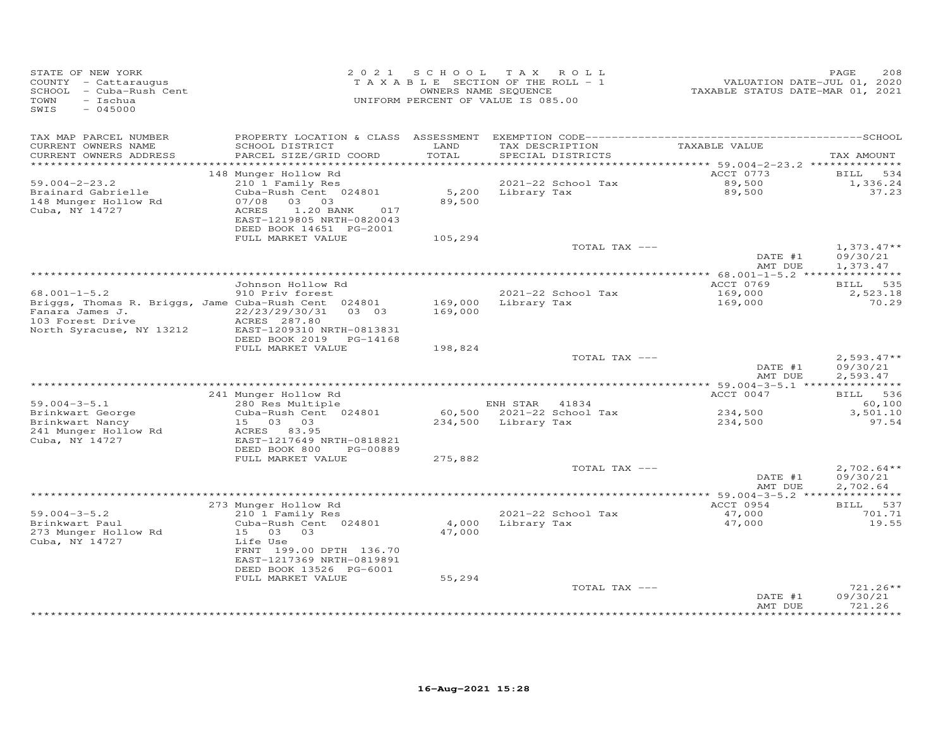| STATE OF NEW YORK<br>COUNTY - Cattaraugus<br>SCHOOL - Cuba-Rush Cent<br>$-$ Ischua<br>TOWN<br>SWIS<br>$-045000$                               |                                                                                                                                                                              |                    | 2021 SCHOOL TAX ROLL<br>TAXABLE SECTION OF THE ROLL - 1<br>OWNERS NAME SEQUENCE<br>UNIFORM PERCENT OF VALUE IS 085.00 | VALUATION DATE-JUL 01, 2020<br>TAXABLE STATUS DATE-MAR 01, 2021 | PAGE<br>208                             |
|-----------------------------------------------------------------------------------------------------------------------------------------------|------------------------------------------------------------------------------------------------------------------------------------------------------------------------------|--------------------|-----------------------------------------------------------------------------------------------------------------------|-----------------------------------------------------------------|-----------------------------------------|
| TAX MAP PARCEL NUMBER<br>CURRENT OWNERS NAME<br>CURRENT OWNERS ADDRESS                                                                        | SCHOOL DISTRICT<br>PARCEL SIZE/GRID COORD                                                                                                                                    | LAND<br>TOTAL      | TAX DESCRIPTION<br>SPECIAL DISTRICTS                                                                                  | TAXABLE VALUE                                                   | TAX AMOUNT                              |
| *************************<br>$59.004 - 2 - 23.2$<br>Brainard Gabrielle<br>148 Munger Hollow Rd<br>Cuba, NY 14727                              | 148 Munger Hollow Rd<br>210 1 Family Res<br>Cuba-Rush Cent 024801<br>07/08<br>03 03<br>ACRES<br>1.20 BANK<br>017<br>EAST-1219805 NRTH-0820043<br>DEED BOOK 14651 PG-2001     | 89,500             | 2021-22 School Tax<br>5,200 Library Tax                                                                               | ACCT 0773<br>89,500<br>89,500                                   | 534<br>BILL<br>1,336.24<br>37.23        |
|                                                                                                                                               | FULL MARKET VALUE                                                                                                                                                            | 105,294            | TOTAL TAX ---                                                                                                         | DATE #1                                                         | $1,373.47**$<br>09/30/21                |
|                                                                                                                                               | Johnson Hollow Rd                                                                                                                                                            |                    |                                                                                                                       | AMT DUE<br>ACCT 0769                                            | 1,373.47<br>BILL 535                    |
| $68.001 - 1 - 5.2$<br>Briggs, Thomas R. Briggs, Jame Cuba-Rush Cent 024801<br>Fanara James J.<br>103 Forest Drive<br>North Syracuse, NY 13212 | 910 Priv forest<br>22/23/29/30/31<br>0303<br>ACRES 287.80<br>EAST-1209310 NRTH-0813831<br>DEED BOOK 2019 PG-14168                                                            | 169,000<br>169,000 | 2021-22 School Tax<br>Library Tax                                                                                     | 169,000<br>169,000                                              | 2,523.18<br>70.29                       |
|                                                                                                                                               | FULL MARKET VALUE                                                                                                                                                            | 198,824            | TOTAL TAX ---                                                                                                         | DATE #1<br>AMT DUE                                              | $2,593.47**$<br>09/30/21<br>2,593.47    |
|                                                                                                                                               |                                                                                                                                                                              |                    |                                                                                                                       |                                                                 |                                         |
| $59.004 - 3 - 5.1$<br>Brinkwart George<br>Brinkwart Nancy<br>241 Munger Hollow Rd<br>Cuba, NY 14727                                           | 241 Munger Hollow Rd<br>280 Res Multiple<br>Cuba-Rush Cent 024801<br>15 03 03<br>ACRES 83.95<br>EAST-1217649 NRTH-0818821<br>DEED BOOK 800<br>PG-00889                       |                    | ENH STAR 41834<br>60,500 2021-22 School Tax<br>234,500 Library Tax                                                    | ACCT 0047<br>234,500<br>234,500                                 | BILL 536<br>60,100<br>3,501.10<br>97.54 |
|                                                                                                                                               | FULL MARKET VALUE                                                                                                                                                            | 275,882            | TOTAL TAX ---                                                                                                         | DATE #1                                                         | $2,702.64**$<br>09/30/21                |
|                                                                                                                                               |                                                                                                                                                                              |                    |                                                                                                                       | AMT DUE                                                         | 2,702.64                                |
| $59.004 - 3 - 5.2$<br>Brinkwart Paul<br>273 Munger Hollow Rd<br>Cuba, NY 14727                                                                | 273 Munger Hollow Rd<br>210 1 Family Res<br>Cuba-Rush Cent 024801<br>15 03 03<br>Life Use<br>FRNT 199.00 DPTH 136.70<br>EAST-1217369 NRTH-0819891<br>DEED BOOK 13526 PG-6001 | 4,000<br>47,000    | 2021-22 School Tax<br>Library Tax                                                                                     | ACCT 0954<br>47,000<br>47,000                                   | BILL 537<br>701.71<br>19.55             |
|                                                                                                                                               | FULL MARKET VALUE                                                                                                                                                            | 55,294             | TOTAL TAX ---                                                                                                         | DATE #1<br>AMT DUE                                              | 721.26**<br>09/30/21<br>721.26          |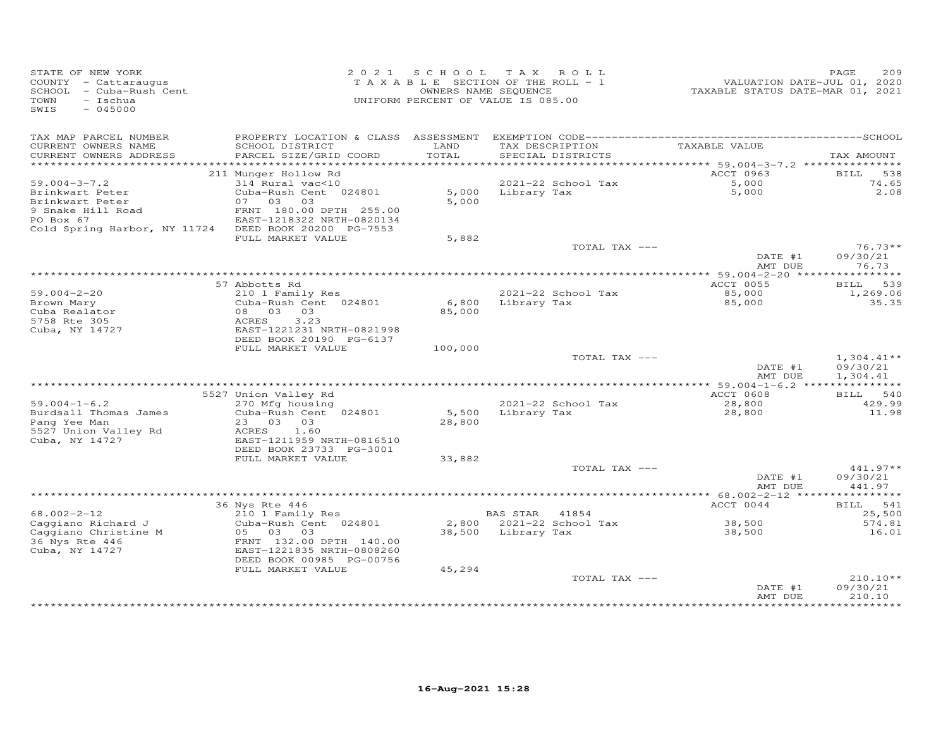| STATE OF NEW YORK<br>COUNTY - Cattaraugus<br>SCHOOL - Cuba-Rush Cent<br>TOWN<br>- Ischua<br>$-045000$<br>SWIS |                                                      |               | 2021 SCHOOL TAX ROLL<br>TAXABLE SECTION OF THE ROLL - 1<br>OWNERS NAME SEQUENCE<br>UNIFORM PERCENT OF VALUE IS 085.00 | VALUATION DATE-JUL 01, 2020<br>TAXABLE STATUS DATE-MAR 01, 2021 | 209<br>PAGE        |
|---------------------------------------------------------------------------------------------------------------|------------------------------------------------------|---------------|-----------------------------------------------------------------------------------------------------------------------|-----------------------------------------------------------------|--------------------|
| TAX MAP PARCEL NUMBER                                                                                         |                                                      |               |                                                                                                                       |                                                                 |                    |
| CURRENT OWNERS NAME<br>CURRENT OWNERS ADDRESS                                                                 | SCHOOL DISTRICT<br>PARCEL SIZE/GRID COORD            | LAND<br>TOTAL | TAX DESCRIPTION TAXABLE VALUE<br>SPECIAL DISTRICTS                                                                    |                                                                 | TAX AMOUNT         |
|                                                                                                               |                                                      |               |                                                                                                                       |                                                                 |                    |
| $59.004 - 3 - 7.2$                                                                                            | 211 Munger Hollow Rd<br>314 Rural vac<10             |               | 2021-22 School Tax                                                                                                    | ACCT 0963                                                       | BILL 538<br>74.65  |
| Brinkwart Peter                                                                                               | Cuba-Rush Cent 024801                                |               | 5,000 Library Tax                                                                                                     | $5,000$<br>5.000                                                | 2.08               |
| Brinkwart Peter                                                                                               | 07 03 03                                             | 5,000         |                                                                                                                       |                                                                 |                    |
|                                                                                                               | FRNT 180.00 DPTH 255.00                              |               |                                                                                                                       |                                                                 |                    |
| PO Box 67                                                                                                     | EAST-1218322 NRTH-0820134                            |               |                                                                                                                       |                                                                 |                    |
| Cold Spring Harbor, NY 11724 DEED BOOK 20200 PG-7553                                                          | FULL MARKET VALUE                                    | 5,882         |                                                                                                                       |                                                                 |                    |
|                                                                                                               |                                                      |               | TOTAL TAX ---                                                                                                         |                                                                 | $76.73**$          |
|                                                                                                               |                                                      |               |                                                                                                                       | DATE #1                                                         | 09/30/21           |
|                                                                                                               |                                                      |               |                                                                                                                       | AMT DUE                                                         | 76.73              |
|                                                                                                               | 57 Abbotts Rd                                        |               |                                                                                                                       | ACCT 0055                                                       | BILL 539           |
| $59.004 - 2 - 20$                                                                                             | 210 1 Family Res                                     |               | 2021-22 School Tax                                                                                                    | 85,000                                                          | 1,269.06           |
| Brown Mary                                                                                                    | Cuba-Rush Cent 024801                                |               | 6,800 Library Tax                                                                                                     | 85,000                                                          | 35.35              |
| Cuba Realator                                                                                                 | 08  03  03  03                                       | 85,000        |                                                                                                                       |                                                                 |                    |
| 5758 Rte 305                                                                                                  | ACRES<br>3.23                                        |               |                                                                                                                       |                                                                 |                    |
| Cuba, NY 14727                                                                                                | EAST-1221231 NRTH-0821998<br>DEED BOOK 20190 PG-6137 |               |                                                                                                                       |                                                                 |                    |
|                                                                                                               | FULL MARKET VALUE                                    | 100,000       |                                                                                                                       |                                                                 |                    |
|                                                                                                               |                                                      |               | TOTAL TAX ---                                                                                                         |                                                                 | $1,304.41**$       |
|                                                                                                               |                                                      |               |                                                                                                                       | DATE #1                                                         | 09/30/21           |
|                                                                                                               |                                                      |               |                                                                                                                       | AMT DUE                                                         | 1,304.41           |
|                                                                                                               |                                                      |               |                                                                                                                       |                                                                 |                    |
| $59.004 - 1 - 6.2$                                                                                            | 5527 Union Valley Rd<br>270 Mfg housing              |               | 2021-22 School Tax                                                                                                    | ACCT 0608<br>28,800                                             | BILL 540<br>429.99 |
| Burdsall Thomas James                                                                                         | Cuba-Rush Cent 024801                                | 5,500         | Library Tax                                                                                                           | 28,800                                                          | 11.98              |
| Pang Yee Man                                                                                                  | 23 03 03                                             | 28,800        |                                                                                                                       |                                                                 |                    |
| 5527 Union Valley Rd                                                                                          | ACRES 1.60                                           |               |                                                                                                                       |                                                                 |                    |
| Cuba, NY 14727                                                                                                | EAST-1211959 NRTH-0816510                            |               |                                                                                                                       |                                                                 |                    |
|                                                                                                               | DEED BOOK 23733 PG-3001<br>FULL MARKET VALUE         | 33,882        |                                                                                                                       |                                                                 |                    |
|                                                                                                               |                                                      |               | TOTAL TAX ---                                                                                                         |                                                                 | 441.97**           |
|                                                                                                               |                                                      |               |                                                                                                                       | DATE #1                                                         | 09/30/21           |
|                                                                                                               |                                                      |               |                                                                                                                       | AMT DUE                                                         | 441.97             |
|                                                                                                               |                                                      |               |                                                                                                                       |                                                                 |                    |
|                                                                                                               | 36 Nys Rte 446                                       |               |                                                                                                                       | ACCT 0044                                                       | BILL 541           |
| $68.002 - 2 - 12$<br>Caggiano Richard J                                                                       | 210 1 Family Res<br>Cuba-Rush Cent 024801            |               | BAS STAR 41854<br>2,800 2021-22 School Tax                                                                            | 38,500                                                          | 25,500<br>574.81   |
| Caggiano Christine M                                                                                          | 05 03 03                                             |               | 38,500 Library Tax                                                                                                    | 38,500                                                          | 16.01              |
| 36 Nys Rte 446                                                                                                | FRNT 132.00 DPTH 140.00                              |               |                                                                                                                       |                                                                 |                    |
| Cuba, NY 14727                                                                                                | EAST-1221835 NRTH-0808260                            |               |                                                                                                                       |                                                                 |                    |
|                                                                                                               | DEED BOOK 00985 PG-00756                             |               |                                                                                                                       |                                                                 |                    |
|                                                                                                               | FULL MARKET VALUE                                    | 45,294        |                                                                                                                       |                                                                 | $210.10**$         |
|                                                                                                               |                                                      |               | TOTAL TAX ---                                                                                                         | DATE #1                                                         | 09/30/21           |
|                                                                                                               |                                                      |               |                                                                                                                       | AMT DUE                                                         | 210.10             |
|                                                                                                               |                                                      |               |                                                                                                                       |                                                                 | ***********        |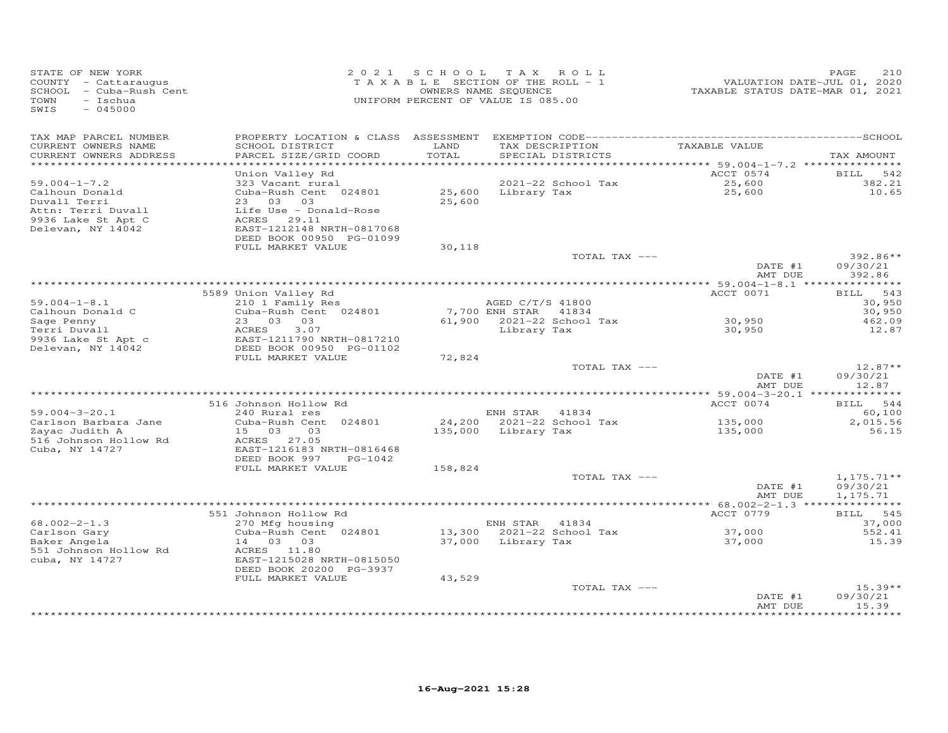| STATE OF NEW YORK<br>COUNTY - Cattaraugus<br>SCHOOL - Cuba-Rush Cent<br>- Ischua<br>TOWN<br>SWIS<br>$-045000$ |                                               |               | 2021 SCHOOL TAX ROLL<br>TAXABLE SECTION OF THE ROLL - 1<br>OWNERS NAME SEQUENCE<br>UNIFORM PERCENT OF VALUE IS 085.00 |               | VALUATION DATE-JUL 01, 2020<br>TAXABLE STATUS DATE-MAR 01, 2021 | PAGE<br>210        |
|---------------------------------------------------------------------------------------------------------------|-----------------------------------------------|---------------|-----------------------------------------------------------------------------------------------------------------------|---------------|-----------------------------------------------------------------|--------------------|
| TAX MAP PARCEL NUMBER                                                                                         |                                               |               |                                                                                                                       |               |                                                                 |                    |
| CURRENT OWNERS NAME<br>CURRENT OWNERS ADDRESS<br>************************                                     | SCHOOL DISTRICT<br>PARCEL SIZE/GRID COORD     | LAND<br>TOTAL | SPECIAL DISTRICTS                                                                                                     |               | TAX DESCRIPTION TAXABLE VALUE                                   | TAX AMOUNT         |
|                                                                                                               | Union Valley Rd                               |               |                                                                                                                       |               | ACCT 0574                                                       | BILL<br>542        |
| $59.004 - 1 - 7.2$                                                                                            | 323 Vacant rural                              |               | 2021-22 School Tax                                                                                                    |               |                                                                 | 382.21             |
| Calhoun Donald                                                                                                | Cuba-Rush Cent 024801                         |               | 25,600 Library Tax                                                                                                    |               | 25,600<br>25,600                                                | 10.65              |
| Duvall Terri                                                                                                  | 23 03 03                                      | 25,600        |                                                                                                                       |               |                                                                 |                    |
| Attn: Terri Duvall                                                                                            | Life Use - Donald-Rose                        |               |                                                                                                                       |               |                                                                 |                    |
| 9936 Lake St Apt C                                                                                            | ACRES 29.11                                   |               |                                                                                                                       |               |                                                                 |                    |
| Delevan, NY 14042                                                                                             | EAST-1212148 NRTH-0817068                     |               |                                                                                                                       |               |                                                                 |                    |
|                                                                                                               | DEED BOOK 00950 PG-01099<br>FULL MARKET VALUE | 30,118        |                                                                                                                       |               |                                                                 |                    |
|                                                                                                               |                                               |               |                                                                                                                       | TOTAL TAX --- |                                                                 | $392.86**$         |
|                                                                                                               |                                               |               |                                                                                                                       |               | DATE #1<br>AMT DUE                                              | 09/30/21<br>392.86 |
|                                                                                                               |                                               |               |                                                                                                                       |               |                                                                 |                    |
|                                                                                                               | 5589 Union Valley Rd                          |               |                                                                                                                       |               | ACCT 0071                                                       | BILL 543           |
| $59.004 - 1 - 8.1$                                                                                            | 210 1 Family Res                              |               | AGED C/T/S 41800                                                                                                      |               |                                                                 | 30,950             |
| Calhoun Donald C                                                                                              | Cuba-Rush Cent 024801<br>23 03 03             |               | 7,700 ENH STAR 41834<br>61,900 2021-22 School Tax                                                                     |               | 30,950                                                          | 30,950             |
| Sage Penny<br>Terri Duvall                                                                                    | ACRES<br>3.07                                 |               | Library Tax                                                                                                           |               | 30,950                                                          | 462.09<br>12.87    |
| 9936 Lake St Apt c                                                                                            | EAST-1211790 NRTH-0817210                     |               |                                                                                                                       |               |                                                                 |                    |
| Delevan, NY 14042                                                                                             | DEED BOOK 00950 PG-01102                      |               |                                                                                                                       |               |                                                                 |                    |
|                                                                                                               | FULL MARKET VALUE                             | 72,824        |                                                                                                                       |               |                                                                 |                    |
|                                                                                                               |                                               |               |                                                                                                                       | TOTAL TAX --- |                                                                 | $12.87**$          |
|                                                                                                               |                                               |               |                                                                                                                       |               | DATE #1<br>AMT DUE                                              | 09/30/21<br>12.87  |
|                                                                                                               | 516 Johnson Hollow Rd                         |               |                                                                                                                       |               | ACCT 0074                                                       | BILL 544           |
| $59.004 - 3 - 20.1$                                                                                           | 240 Rural res                                 |               | ENH STAR 41834                                                                                                        |               |                                                                 | 60,100             |
| Carlson Barbara Jane                                                                                          | Cuba-Rush Cent 024801                         |               | 24,200 2021-22 School Tax                                                                                             |               | 135,000                                                         | 2,015.56           |
| Zayac Judith A                                                                                                | 15 03<br>03                                   |               | 135,000 Library Tax                                                                                                   |               | 135,000                                                         | 56.15              |
| 516 Johnson Hollow Rd                                                                                         | ACRES 27.05                                   |               |                                                                                                                       |               |                                                                 |                    |
| Cuba, NY 14727                                                                                                | EAST-1216183 NRTH-0816468                     |               |                                                                                                                       |               |                                                                 |                    |
|                                                                                                               | DEED BOOK 997<br>PG-1042<br>FULL MARKET VALUE | 158,824       |                                                                                                                       |               |                                                                 |                    |
|                                                                                                               |                                               |               |                                                                                                                       | TOTAL TAX --- |                                                                 | $1, 175.71**$      |
|                                                                                                               |                                               |               |                                                                                                                       |               | DATE #1                                                         | 09/30/21           |
|                                                                                                               |                                               |               |                                                                                                                       |               | AMT DUE                                                         | 1,175.71           |
|                                                                                                               |                                               |               |                                                                                                                       |               |                                                                 |                    |
|                                                                                                               | 551 Johnson Hollow Rd                         |               |                                                                                                                       |               | ACCT 0779                                                       | BILL 545           |
| $68.002 - 2 - 1.3$                                                                                            | 270 Mfg housing                               |               | ENH STAR 41834                                                                                                        |               |                                                                 | 37,000             |
| Carlson Gary<br>Baker Angela                                                                                  | Cuba-Rush Cent 024801<br>14 03 03             |               | 13,300 2021-22 School Tax<br>37,000 Library Tax                                                                       |               | 37,000<br>37,000                                                | 552.41<br>15.39    |
| 551 Johnson Hollow Rd                                                                                         | ACRES 11.80                                   |               |                                                                                                                       |               |                                                                 |                    |
| cuba, NY 14727                                                                                                | EAST-1215028 NRTH-0815050                     |               |                                                                                                                       |               |                                                                 |                    |
|                                                                                                               | DEED BOOK 20200 PG-3937                       |               |                                                                                                                       |               |                                                                 |                    |
|                                                                                                               | FULL MARKET VALUE                             | 43,529        |                                                                                                                       |               |                                                                 |                    |
|                                                                                                               |                                               |               |                                                                                                                       | TOTAL TAX --- |                                                                 | $15.39**$          |
|                                                                                                               |                                               |               |                                                                                                                       |               | DATE #1<br>AMT DUE                                              | 09/30/21<br>15.39  |
|                                                                                                               |                                               |               |                                                                                                                       |               | ****************                                                | *********          |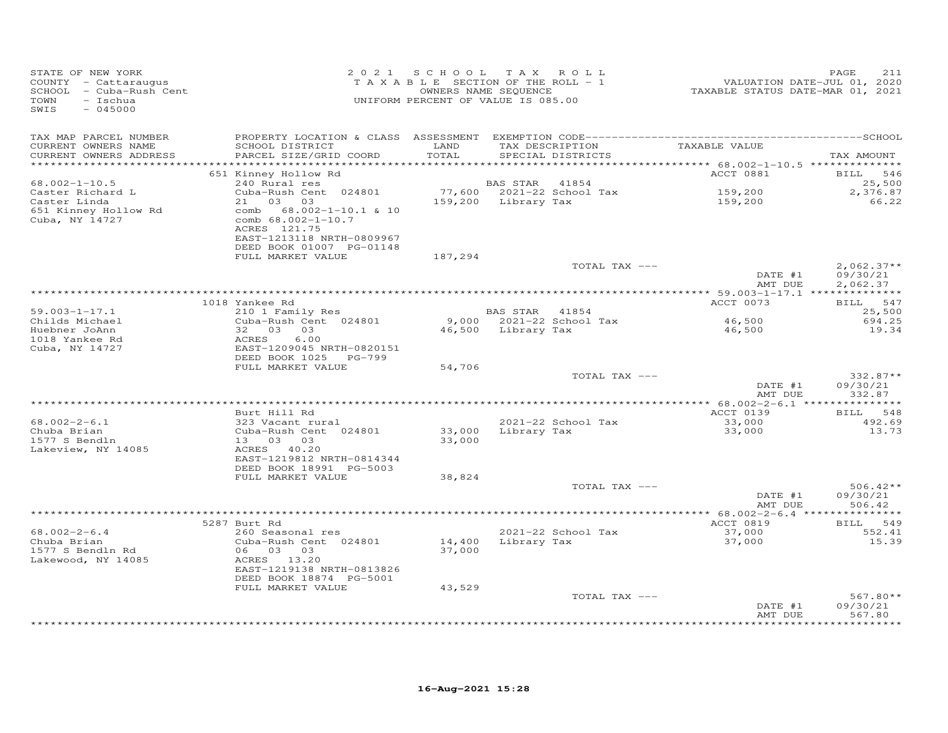| STATE OF NEW YORK<br>COUNTY - Cattaraugus<br>SCHOOL - Cuba-Rush Cent<br>TOWN<br>- Ischua<br>SWIS<br>$-045000$ |                                                                                                                           |                  | 2021 SCHOOL TAX ROLL<br>TAXABLE SECTION OF THE ROLL - 1<br>OWNERS NAME SEQUENCE<br>UNIFORM PERCENT OF VALUE IS 085.00 | VALUATION DATE-JUL 01, 2020<br>TAXABLE STATUS DATE-MAR 01, 2021 | PAGE<br>211                          |
|---------------------------------------------------------------------------------------------------------------|---------------------------------------------------------------------------------------------------------------------------|------------------|-----------------------------------------------------------------------------------------------------------------------|-----------------------------------------------------------------|--------------------------------------|
| TAX MAP PARCEL NUMBER                                                                                         |                                                                                                                           |                  |                                                                                                                       | TAXABLE VALUE                                                   |                                      |
| CURRENT OWNERS NAME<br>CURRENT OWNERS ADDRESS<br>**********************                                       | SCHOOL DISTRICT<br>PARCEL SIZE/GRID COORD                                                                                 | LAND<br>TOTAL    | TAX DESCRIPTION<br>SPECIAL DISTRICTS                                                                                  |                                                                 | TAX AMOUNT                           |
|                                                                                                               | 651 Kinney Hollow Rd                                                                                                      |                  |                                                                                                                       | ACCT 0881                                                       | 546<br><b>BILL</b>                   |
| $68.002 - 1 - 10.5$                                                                                           | 240 Rural res                                                                                                             |                  | BAS STAR 41854                                                                                                        |                                                                 | 25,500                               |
| Caster Richard L                                                                                              | Cuba-Rush Cent 024801                                                                                                     |                  | 77,600 2021-22 School Tax                                                                                             | 159,200                                                         | 2,376.87                             |
| Caster Linda                                                                                                  | 21<br>03 03                                                                                                               |                  | 159,200 Library Tax                                                                                                   | 159,200                                                         | 66.22                                |
| 651 Kinney Hollow Rd<br>Cuba, NY 14727                                                                        | 68.002-1-10.1 & 10<br>comb<br>comb 68.002-1-10.7<br>ACRES 121.75<br>EAST-1213118 NRTH-0809967<br>DEED BOOK 01007 PG-01148 |                  |                                                                                                                       |                                                                 |                                      |
|                                                                                                               | FULL MARKET VALUE                                                                                                         | 187,294          |                                                                                                                       |                                                                 |                                      |
|                                                                                                               |                                                                                                                           |                  | TOTAL TAX ---                                                                                                         | DATE #1<br>AMT DUE                                              | $2,062.37**$<br>09/30/21<br>2,062.37 |
|                                                                                                               |                                                                                                                           |                  |                                                                                                                       |                                                                 |                                      |
|                                                                                                               | 1018 Yankee Rd                                                                                                            |                  |                                                                                                                       | ACCT 0073                                                       | BILL 547                             |
| $59.003 - 1 - 17.1$                                                                                           | 210 1 Family Res                                                                                                          |                  | BAS STAR 41854                                                                                                        |                                                                 | 25,500                               |
| Childs Michael<br>Huebner JoAnn                                                                               | Cuba-Rush Cent 024801<br>32 03 03                                                                                         |                  | 9,000 2021-22 School Tax<br>46,500 Library Tax                                                                        | 46,500<br>46,500                                                | 694.25<br>19.34                      |
| 1018 Yankee Rd                                                                                                | 6.00<br>ACRES                                                                                                             |                  |                                                                                                                       |                                                                 |                                      |
| Cuba, NY 14727                                                                                                | EAST-1209045 NRTH-0820151                                                                                                 |                  |                                                                                                                       |                                                                 |                                      |
|                                                                                                               | DEED BOOK 1025 PG-799                                                                                                     |                  |                                                                                                                       |                                                                 |                                      |
|                                                                                                               | FULL MARKET VALUE                                                                                                         | 54,706           |                                                                                                                       |                                                                 |                                      |
|                                                                                                               |                                                                                                                           |                  | TOTAL TAX ---                                                                                                         | DATE #1                                                         | 332.87**<br>09/30/21                 |
|                                                                                                               |                                                                                                                           |                  |                                                                                                                       | AMT DUE                                                         | 332.87                               |
|                                                                                                               |                                                                                                                           |                  |                                                                                                                       |                                                                 |                                      |
|                                                                                                               | Burt Hill Rd                                                                                                              |                  |                                                                                                                       | ACCT 0139                                                       | BILL<br>548                          |
| $68.002 - 2 - 6.1$                                                                                            | 323 Vacant rural                                                                                                          |                  | 2021-22 School Tax                                                                                                    | 33,000                                                          | 492.69                               |
| Chuba Brian<br>1577 S Bendln                                                                                  | Cuba-Rush Cent 024801<br>13 03 03                                                                                         | 33,000<br>33,000 | Library Tax                                                                                                           | 33,000                                                          | 13.73                                |
| Lakeview, NY 14085                                                                                            | ACRES 40.20                                                                                                               |                  |                                                                                                                       |                                                                 |                                      |
|                                                                                                               | EAST-1219812 NRTH-0814344                                                                                                 |                  |                                                                                                                       |                                                                 |                                      |
|                                                                                                               | DEED BOOK 18991 PG-5003                                                                                                   |                  |                                                                                                                       |                                                                 |                                      |
|                                                                                                               | FULL MARKET VALUE                                                                                                         | 38,824           |                                                                                                                       |                                                                 |                                      |
|                                                                                                               |                                                                                                                           |                  | TOTAL TAX ---                                                                                                         | DATE #1<br>AMT DUE                                              | $506.42**$<br>09/30/21<br>506.42     |
|                                                                                                               |                                                                                                                           |                  |                                                                                                                       |                                                                 |                                      |
|                                                                                                               | 5287 Burt Rd                                                                                                              |                  |                                                                                                                       | ACCT 0819                                                       | 549<br><b>BILL</b>                   |
| $68.002 - 2 - 6.4$<br>Chuba Brian                                                                             | 260 Seasonal res                                                                                                          |                  | 2021-22 School Tax                                                                                                    | 37,000                                                          | 552.41                               |
| 1577 S Bendln Rd                                                                                              | Cuba-Rush Cent 024801<br>06 03 03                                                                                         | 14,400<br>37,000 | Library Tax                                                                                                           | 37,000                                                          | 15.39                                |
| Lakewood, NY 14085                                                                                            | ACRES 13.20                                                                                                               |                  |                                                                                                                       |                                                                 |                                      |
|                                                                                                               | EAST-1219138 NRTH-0813826                                                                                                 |                  |                                                                                                                       |                                                                 |                                      |
|                                                                                                               | DEED BOOK 18874 PG-5001                                                                                                   |                  |                                                                                                                       |                                                                 |                                      |
|                                                                                                               | FULL MARKET VALUE                                                                                                         | 43,529           |                                                                                                                       |                                                                 |                                      |
|                                                                                                               |                                                                                                                           |                  | TOTAL TAX ---                                                                                                         | DATE #1                                                         | $567.80**$<br>09/30/21               |
|                                                                                                               |                                                                                                                           |                  |                                                                                                                       | AMT DUE                                                         | 567.80                               |
|                                                                                                               |                                                                                                                           |                  |                                                                                                                       |                                                                 | ********                             |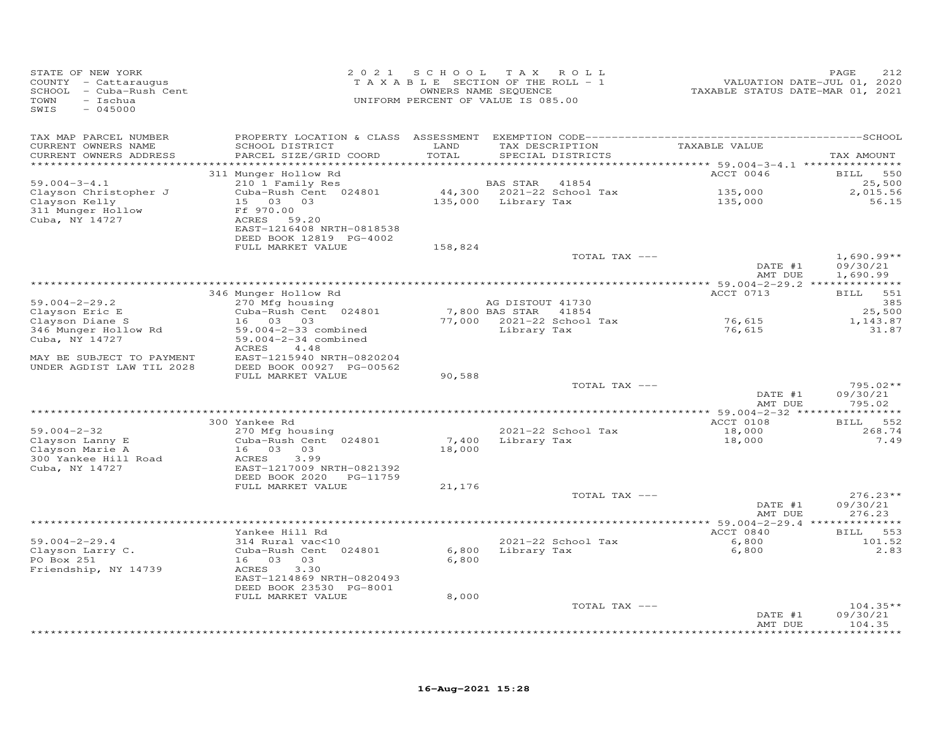| STATE OF NEW YORK<br>COUNTY - Cattaraugus<br>SCHOOL<br>- Cuba-Rush Cent<br>$-$ Ischua<br>TOWN<br>SWIS<br>$-045000$ | 2 0 2 1                                                                                         | S C H O O L<br>OWNERS NAME SEQUENCE | TAX ROLL<br>TAXABLE SECTION OF THE ROLL - 1<br>UNIFORM PERCENT OF VALUE IS 085.00 | VALUATION DATE-JUL 01, 2020<br>TAXABLE STATUS DATE-MAR 01, 2021 | PAGE<br>212                          |
|--------------------------------------------------------------------------------------------------------------------|-------------------------------------------------------------------------------------------------|-------------------------------------|-----------------------------------------------------------------------------------|-----------------------------------------------------------------|--------------------------------------|
| TAX MAP PARCEL NUMBER<br>CURRENT OWNERS NAME                                                                       | SCHOOL DISTRICT                                                                                 | LAND                                | TAX DESCRIPTION                                                                   | TAXABLE VALUE                                                   |                                      |
| CURRENT OWNERS ADDRESS<br>***********************                                                                  | PARCEL SIZE/GRID COORD                                                                          | TOTAL                               | SPECIAL DISTRICTS                                                                 |                                                                 | TAX AMOUNT                           |
|                                                                                                                    | 311 Munger Hollow Rd                                                                            |                                     |                                                                                   | ACCT 0046                                                       | 550<br>BILL                          |
| $59.004 - 3 - 4.1$                                                                                                 | 210 1 Family Res                                                                                |                                     | <b>BAS STAR</b><br>41854                                                          |                                                                 | 25,500                               |
| Clayson Christopher J                                                                                              | Cuba-Rush Cent 024801                                                                           |                                     | 44,300 2021-22 School Tax                                                         | 135,000                                                         | 2,015.56                             |
| Clayson Kelly<br>311 Munger Hollow<br>Cuba, NY 14727                                                               | 15 03 03<br>Ff 970.00<br>ACRES<br>59.20<br>EAST-1216408 NRTH-0818538<br>DEED BOOK 12819 PG-4002 |                                     | 135,000 Library Tax                                                               | 135,000                                                         | 56.15                                |
|                                                                                                                    | FULL MARKET VALUE                                                                               | 158,824                             |                                                                                   |                                                                 |                                      |
|                                                                                                                    |                                                                                                 |                                     | TOTAL TAX ---                                                                     | DATE #1<br>AMT DUE                                              | $1,690.99**$<br>09/30/21<br>1,690.99 |
|                                                                                                                    | ****************                                                                                |                                     | *************************************                                             | *********** 59.004-2-29.2 **************                        |                                      |
| $59.004 - 2 - 29.2$                                                                                                | 346 Munger Hollow Rd<br>270 Mfg housing                                                         |                                     | AG DISTOUT 41730                                                                  | ACCT 0713                                                       | BILL 551<br>385                      |
| Clayson Eric E                                                                                                     | Cuba-Rush Cent 024801                                                                           |                                     | 7,800 BAS STAR<br>41854                                                           |                                                                 | 25,500                               |
| Clayson Diane S                                                                                                    | 16 03<br>03                                                                                     |                                     | 77,000 2021-22 School Tax                                                         | 76,615                                                          | 1,143.87                             |
| 346 Munger Hollow Rd<br>Cuba, NY 14727                                                                             | 59.004-2-33 combined<br>59.004-2-34 combined<br>ACRES<br>4.48                                   |                                     | Library Tax                                                                       | 76,615                                                          | 31.87                                |
| MAY BE SUBJECT TO PAYMENT<br>UNDER AGDIST LAW TIL 2028                                                             | EAST-1215940 NRTH-0820204<br>DEED BOOK 00927 PG-00562                                           |                                     |                                                                                   |                                                                 |                                      |
|                                                                                                                    | FULL MARKET VALUE                                                                               | 90,588                              | TOTAL TAX ---                                                                     |                                                                 | $795.02**$                           |
|                                                                                                                    |                                                                                                 |                                     | ********************************                                                  | DATE #1<br>AMT DUE                                              | 09/30/21<br>795.02                   |
|                                                                                                                    | 300 Yankee Rd                                                                                   |                                     |                                                                                   | ***** 59.004-2-32 ***<br>ACCT 0108                              | BILL 552                             |
| $59.004 - 2 - 32$                                                                                                  | 270 Mfg housing                                                                                 |                                     | 2021-22 School Tax                                                                | 18,000                                                          | 268.74                               |
| Clayson Lanny E<br>Clayson Marie A<br>300 Yankee Hill Road                                                         | Cuba-Rush Cent 024801<br>16 03<br>03<br>ACRES<br>3.99                                           | 7,400<br>18,000                     | Library Tax                                                                       | 18,000                                                          | 7.49                                 |
| Cuba, NY 14727                                                                                                     | EAST-1217009 NRTH-0821392<br>DEED BOOK 2020 PG-11759                                            |                                     |                                                                                   |                                                                 |                                      |
|                                                                                                                    | FULL MARKET VALUE                                                                               | 21,176                              | TOTAL TAX ---                                                                     |                                                                 | $276.23**$                           |
|                                                                                                                    |                                                                                                 |                                     |                                                                                   | DATE #1<br>AMT DUE                                              | 09/30/21<br>276.23                   |
|                                                                                                                    |                                                                                                 |                                     | ****************                                                                  | *** 59.004-2-29.4 **************                                |                                      |
|                                                                                                                    | Yankee Hill Rd                                                                                  |                                     |                                                                                   | ACCT 0840                                                       | <b>BILL</b><br>553                   |
| $59.004 - 2 - 29.4$<br>Clayson Larry C.<br>PO Box 251<br>Friendship, NY 14739                                      | 314 Rural vac<10<br>Cuba-Rush Cent 024801<br>16 03<br>03<br>3.30<br>ACRES                       | 6,800<br>6,800                      | 2021-22 School Tax<br>Library Tax                                                 | 6,800<br>6,800                                                  | 101.52<br>2.83                       |
|                                                                                                                    | EAST-1214869 NRTH-0820493<br>DEED BOOK 23530 PG-8001                                            |                                     |                                                                                   |                                                                 |                                      |
|                                                                                                                    | FULL MARKET VALUE                                                                               | 8,000                               | TOTAL TAX ---                                                                     |                                                                 | $104.35**$                           |
|                                                                                                                    |                                                                                                 |                                     |                                                                                   | DATE #1<br>AMT DUE                                              | 09/30/21<br>104.35                   |
|                                                                                                                    |                                                                                                 |                                     |                                                                                   |                                                                 | ********                             |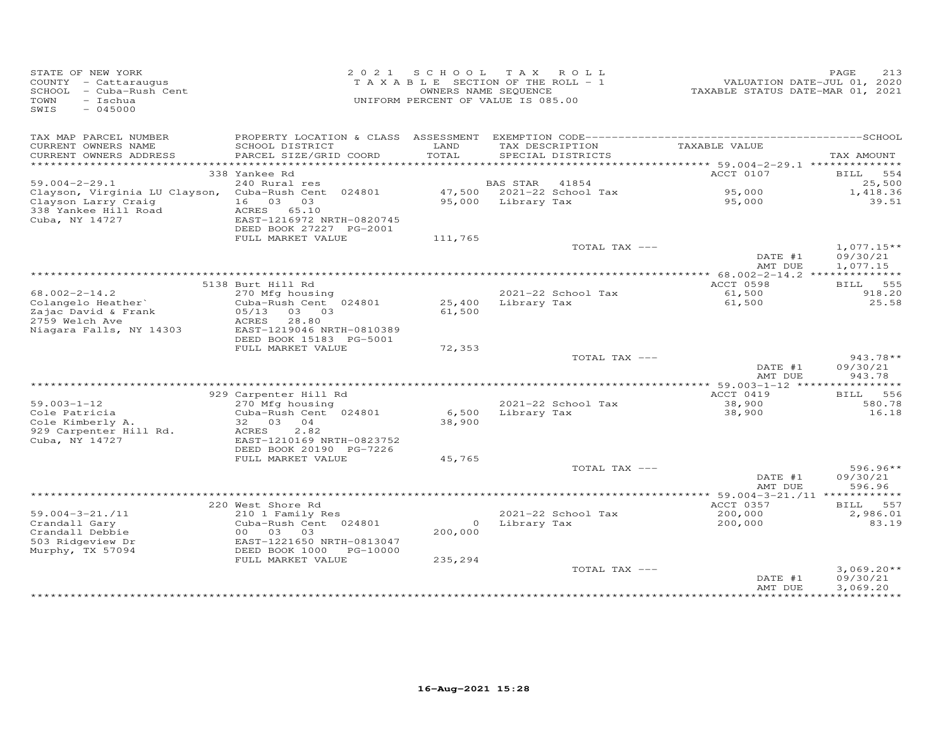| STATE OF NEW YORK<br>COUNTY - Cattaraugus<br>SCHOOL - Cuba-Rush Cent<br>- Ischua<br>TOWN<br>$-045000$<br>SWIS |                                              | 2021 SCHOOL   | T A X<br>ROLL<br>TAXABLE SECTION OF THE ROLL - 1<br>OWNERS NAME SEQUENCE<br>UNIFORM PERCENT OF VALUE IS 085.00 | TAXABLE STATUS DATE-MAR 01, 2021 | PAGE<br>213<br>VALUATION DATE-JUL 01, 2020 |
|---------------------------------------------------------------------------------------------------------------|----------------------------------------------|---------------|----------------------------------------------------------------------------------------------------------------|----------------------------------|--------------------------------------------|
| TAX MAP PARCEL NUMBER                                                                                         |                                              |               |                                                                                                                |                                  |                                            |
| CURRENT OWNERS NAME<br>CURRENT OWNERS ADDRESS                                                                 | SCHOOL DISTRICT<br>PARCEL SIZE/GRID COORD    | LAND<br>TOTAL | TAX DESCRIPTION<br>SPECIAL DISTRICTS                                                                           | TAXABLE VALUE                    | TAX AMOUNT                                 |
|                                                                                                               |                                              |               |                                                                                                                |                                  |                                            |
|                                                                                                               | 338 Yankee Rd                                |               |                                                                                                                | ACCT 0107                        | BILL 554                                   |
| $59.004 - 2 - 29.1$                                                                                           | 240 Rural res                                |               | <b>BAS STAR</b><br>41854                                                                                       |                                  | 25,500                                     |
| Clayson, Virginia LU Clayson, Cuba-Rush Cent 024801                                                           |                                              |               | 47,500 2021-22 School Tax                                                                                      | 95,000                           | 1,418.36                                   |
| Clayson Larry Craig<br>338 Yankee Hill Road                                                                   | 16 03 03<br>ACRES 65.10                      |               | 95,000 Library Tax                                                                                             | 95,000                           | 39.51                                      |
| Cuba, NY 14727                                                                                                | EAST-1216972 NRTH-0820745                    |               |                                                                                                                |                                  |                                            |
|                                                                                                               | DEED BOOK 27227 PG-2001                      |               |                                                                                                                |                                  |                                            |
|                                                                                                               | FULL MARKET VALUE                            | 111,765       |                                                                                                                |                                  |                                            |
|                                                                                                               |                                              |               | TOTAL TAX ---                                                                                                  | DATE #1                          | $1,077.15**$<br>09/30/21                   |
|                                                                                                               |                                              |               |                                                                                                                | AMT DUE                          | 1,077.15                                   |
|                                                                                                               |                                              |               |                                                                                                                |                                  |                                            |
| $68.002 - 2 - 14.2$                                                                                           | 5138 Burt Hill Rd                            |               |                                                                                                                | ACCT 0598                        | 555<br>BILL                                |
| Colangelo Heather'                                                                                            | 270 Mfg housing<br>Cuba-Rush Cent 024801     | 25,400        | 2021-22 School Tax<br>Library Tax                                                                              | 61,500<br>61,500                 | 918.20<br>25.58                            |
| Zajac David & Frank                                                                                           | 05/13 03 03                                  | 61,500        |                                                                                                                |                                  |                                            |
| 2759 Welch Ave                                                                                                | ACRES 28.80                                  |               |                                                                                                                |                                  |                                            |
| Niagara Falls, NY 14303                                                                                       | EAST-1219046 NRTH-0810389                    |               |                                                                                                                |                                  |                                            |
|                                                                                                               | DEED BOOK 15183 PG-5001<br>FULL MARKET VALUE | 72,353        |                                                                                                                |                                  |                                            |
|                                                                                                               |                                              |               | TOTAL TAX ---                                                                                                  |                                  | $943.78**$                                 |
|                                                                                                               |                                              |               |                                                                                                                | DATE #1<br>AMT DUE               | 09/30/21<br>943.78                         |
|                                                                                                               |                                              |               |                                                                                                                |                                  |                                            |
|                                                                                                               | 929 Carpenter Hill Rd                        |               |                                                                                                                | ACCT 0419                        | 556<br>BILL                                |
| $59.003 - 1 - 12$<br>Cole Patricia                                                                            | 270 Mfg housing<br>Cuba-Rush Cent 024801     | 6,500         | 2021-22 School Tax<br>Library Tax                                                                              | 38,900<br>38,900                 | 580.78<br>16.18                            |
| Cole Kimberly A.                                                                                              | 32 03 04                                     | 38,900        |                                                                                                                |                                  |                                            |
| 929 Carpenter Hill Rd.                                                                                        | 2.82<br>ACRES                                |               |                                                                                                                |                                  |                                            |
| Cuba, NY 14727                                                                                                | EAST-1210169 NRTH-0823752                    |               |                                                                                                                |                                  |                                            |
|                                                                                                               | DEED BOOK 20190 PG-7226<br>FULL MARKET VALUE | 45,765        |                                                                                                                |                                  |                                            |
|                                                                                                               |                                              |               | TOTAL TAX ---                                                                                                  |                                  | $596.96**$                                 |
|                                                                                                               |                                              |               |                                                                                                                | DATE #1                          | 09/30/21                                   |
|                                                                                                               |                                              |               |                                                                                                                | AMT DUE                          | 596.96                                     |
|                                                                                                               |                                              |               |                                                                                                                |                                  |                                            |
| $59.004 - 3 - 21.711$                                                                                         | 220 West Shore Rd<br>210 1 Family Res        |               | 2021-22 School Tax                                                                                             | ACCT 0357<br>200,000             | BILL 557<br>2,986.01                       |
| Crandall Gary                                                                                                 | Cuba-Rush Cent 024801                        | $\circ$       | Library Tax                                                                                                    | 200,000                          | 83.19                                      |
| Crandall Debbie                                                                                               | 00 03<br>03                                  | 200,000       |                                                                                                                |                                  |                                            |
| 503 Ridgeview Dr                                                                                              | EAST-1221650 NRTH-0813047                    |               |                                                                                                                |                                  |                                            |
| Murphy, TX 57094                                                                                              | DEED BOOK 1000 PG-10000<br>FULL MARKET VALUE | 235,294       |                                                                                                                |                                  |                                            |
|                                                                                                               |                                              |               | TOTAL TAX ---                                                                                                  |                                  | $3,069.20**$                               |
|                                                                                                               |                                              |               |                                                                                                                | DATE #1                          | 09/30/21                                   |
|                                                                                                               |                                              |               |                                                                                                                | AMT DUE                          | 3,069.20                                   |
|                                                                                                               |                                              |               |                                                                                                                | * * * * * * * * * * * * * * *    | ***********                                |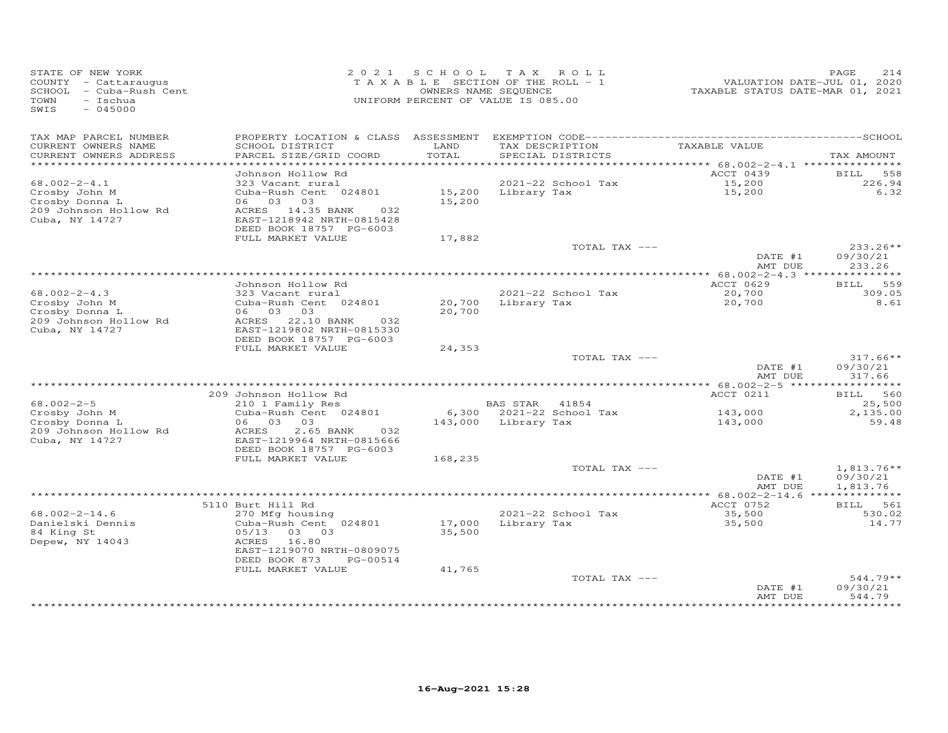| STATE OF NEW YORK<br>COUNTY - Cattaraugus<br>SCHOOL - Cuba-Rush Cent<br>TOWN<br>- Ischua<br>$-045000$<br>SWIS |                                                                                                                                          |                  | 2021 SCHOOL TAX ROLL<br>TAXABLE SECTION OF THE ROLL - 1<br>OWNERS NAME SEQUENCE<br>UNIFORM PERCENT OF VALUE IS 085.00 | VALUATION DATE-JUL 01, 2020<br>TAXABLE STATUS DATE-MAR 01, 2021 | 214<br>PAGE                          |
|---------------------------------------------------------------------------------------------------------------|------------------------------------------------------------------------------------------------------------------------------------------|------------------|-----------------------------------------------------------------------------------------------------------------------|-----------------------------------------------------------------|--------------------------------------|
| TAX MAP PARCEL NUMBER<br>CURRENT OWNERS NAME<br>CURRENT OWNERS ADDRESS                                        | SCHOOL DISTRICT<br>PARCEL SIZE/GRID COORD                                                                                                | LAND<br>TOTAL    | TAX DESCRIPTION<br>SPECIAL DISTRICTS                                                                                  | TAXABLE VALUE                                                   | TAX AMOUNT                           |
| ***********************                                                                                       |                                                                                                                                          |                  |                                                                                                                       |                                                                 |                                      |
| $68.002 - 2 - 4.1$                                                                                            | Johnson Hollow Rd<br>323 Vacant rural                                                                                                    |                  | 2021-22 School Tax                                                                                                    | ACCT 0439                                                       | BILL<br>558<br>226.94                |
| Crosby John M<br>Crosby Donna L<br>209 Johnson Hollow Rd<br>Cuba, NY 14727                                    | Cuba-Rush Cent 024801<br>06 03 03<br>ACRES 14.35 BANK<br>032<br>EAST-1218942 NRTH-0815428<br>DEED BOOK 18757 PG-6003                     | 15,200           | 15,200 Library Tax                                                                                                    | 15,200<br>15,200                                                | 6.32                                 |
|                                                                                                               | FULL MARKET VALUE                                                                                                                        | 17,882           |                                                                                                                       |                                                                 |                                      |
|                                                                                                               |                                                                                                                                          |                  | TOTAL TAX ---                                                                                                         | DATE #1                                                         | $233.26**$<br>09/30/21               |
|                                                                                                               |                                                                                                                                          |                  |                                                                                                                       | AMT DUE                                                         | 233.26                               |
|                                                                                                               | Johnson Hollow Rd                                                                                                                        |                  |                                                                                                                       | ACCT 0629                                                       | <b>BILL</b><br>559                   |
| $68.002 - 2 - 4.3$<br>Crosby John M<br>Crosby Donna L<br>209 Johnson Hollow Rd<br>Cuba, NY 14727              | 323 Vacant rural<br>Cuba-Rush Cent 024801<br>06 03 03<br>ACRES 22.10 BANK<br>032<br>EAST-1219802 NRTH-0815330                            | 20,700           | 2021-22 School Tax<br>20,700 Library Tax                                                                              | 20,700<br>20,700                                                | 309.05<br>8.61                       |
|                                                                                                               | DEED BOOK 18757 PG-6003                                                                                                                  |                  |                                                                                                                       |                                                                 |                                      |
|                                                                                                               | FULL MARKET VALUE                                                                                                                        | 24,353           |                                                                                                                       |                                                                 |                                      |
|                                                                                                               |                                                                                                                                          |                  | TOTAL TAX ---                                                                                                         | DATE #1<br>AMT DUE                                              | $317.66**$<br>09/30/21<br>317.66     |
|                                                                                                               |                                                                                                                                          |                  |                                                                                                                       |                                                                 |                                      |
|                                                                                                               | 209 Johnson Hollow Rd                                                                                                                    |                  |                                                                                                                       | ACCT 0211                                                       | BILL 560                             |
| $68.002 - 2 - 5$<br>Crosby John M                                                                             | 210 1 Family Res<br>Cuba-Rush Cent 024801                                                                                                |                  | BAS STAR 41854<br>6,300 2021-22 School Tax                                                                            | 143,000                                                         | 25,500<br>2,135.00                   |
| Crosby Donna L<br>209 Johnson Hollow Rd<br>Cuba, NY 14727                                                     | 06 03 03<br>2.65 BANK<br>ACRES<br>032<br>EAST-1219964 NRTH-0815666<br>DEED BOOK 18757 PG-6003                                            |                  | 143,000 Library Tax                                                                                                   | 143,000                                                         | 59.48                                |
|                                                                                                               | FULL MARKET VALUE                                                                                                                        | 168,235          |                                                                                                                       |                                                                 |                                      |
|                                                                                                               |                                                                                                                                          |                  | TOTAL TAX ---                                                                                                         | DATE #1<br>AMT DUE                                              | $1,813.76**$<br>09/30/21<br>1,813.76 |
|                                                                                                               |                                                                                                                                          |                  |                                                                                                                       | ********** 68.002-2-14.6 **************                         |                                      |
| $68.002 - 2 - 14.6$                                                                                           | 5110 Burt Hill Rd<br>270 Mfg housing                                                                                                     |                  | 2021-22 School Tax                                                                                                    | ACCT 0752<br>35,500                                             | BILL 561<br>530.02                   |
| Danielski Dennis<br>84 King St<br>Depew, NY 14043                                                             | Cuba-Rush Cent 024801<br>05/13<br>03 03<br>16.80<br>ACRES<br>EAST-1219070 NRTH-0809075<br>DEED BOOK 873<br>PG-00514<br>FULL MARKET VALUE | 35,500<br>41,765 | 17,000 Library Tax                                                                                                    | 35,500                                                          | 14.77                                |
|                                                                                                               |                                                                                                                                          |                  | TOTAL TAX ---                                                                                                         | DATE #1<br>AMT DUE                                              | $544.79**$<br>09/30/21<br>544.79     |
|                                                                                                               |                                                                                                                                          |                  |                                                                                                                       |                                                                 |                                      |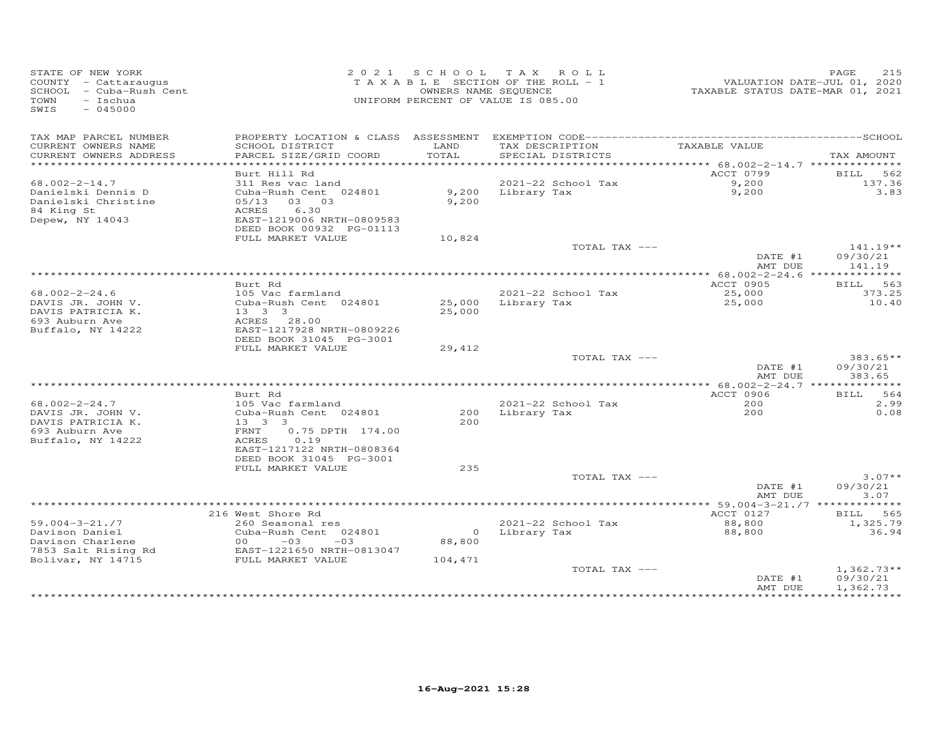| STATE OF NEW YORK<br>COUNTY - Cattaraugus<br>SCHOOL - Cuba-Rush Cent<br>TOWN<br>- Ischua<br>$-045000$<br>SWIS |                                                                                                                                                    | OWNERS NAME SEQUENCE | 2021 SCHOOL TAX ROLL<br>TAXABLE SECTION OF THE ROLL - 1<br>UNIFORM PERCENT OF VALUE IS 085.00 | VALUATION DATE-JUL 01, 2020<br>TAXABLE STATUS DATE-MAR 01, 2021 | PAGE<br>215                          |
|---------------------------------------------------------------------------------------------------------------|----------------------------------------------------------------------------------------------------------------------------------------------------|----------------------|-----------------------------------------------------------------------------------------------|-----------------------------------------------------------------|--------------------------------------|
| TAX MAP PARCEL NUMBER<br>CURRENT OWNERS NAME                                                                  | SCHOOL DISTRICT                                                                                                                                    | LAND                 | TAX DESCRIPTION                                                                               | TAXABLE VALUE                                                   |                                      |
| CURRENT OWNERS ADDRESS<br>******************************                                                      | PARCEL SIZE/GRID COORD                                                                                                                             | TOTAL                | SPECIAL DISTRICTS                                                                             |                                                                 | TAX AMOUNT                           |
|                                                                                                               | Burt Hill Rd                                                                                                                                       |                      |                                                                                               | ACCT 0799                                                       | BILL 562                             |
| $68.002 - 2 - 14.7$                                                                                           | 311 Res vac land                                                                                                                                   |                      | 2021-22 School Tax                                                                            | 9,200                                                           | 137.36                               |
| Danielski Dennis D<br>Danielski Christine<br>84 King St<br>Depew, NY 14043                                    | Cuba-Rush Cent 024801<br>05/13<br>03 03<br>6.30<br>ACRES<br>EAST-1219006 NRTH-0809583<br>DEED BOOK 00932 PG-01113                                  | 9,200                | 9,200 Library Tax                                                                             | 9,200                                                           | 3.83                                 |
|                                                                                                               | FULL MARKET VALUE                                                                                                                                  | 10,824               |                                                                                               |                                                                 |                                      |
|                                                                                                               |                                                                                                                                                    |                      | TOTAL TAX ---                                                                                 | DATE #1                                                         | $141.19**$<br>09/30/21               |
|                                                                                                               |                                                                                                                                                    |                      |                                                                                               | AMT DUE                                                         | 141.19                               |
|                                                                                                               | Burt Rd                                                                                                                                            |                      |                                                                                               | ACCT 0905                                                       | 563<br>BILL                          |
| $68.002 - 2 - 24.6$                                                                                           | 105 Vac farmland                                                                                                                                   |                      | 2021-22 School Tax                                                                            | 25,000                                                          | 373.25                               |
| DAVIS JR. JOHN V.<br>DAVIS PATRICIA K.<br>693 Auburn Ave<br>Buffalo, NY 14222                                 | Cuba-Rush Cent 024801<br>$13 \quad 3 \quad 3$<br>ACRES 28.00<br>EAST-1217928 NRTH-0809226                                                          | 25,000               | 25,000 Library Tax                                                                            | 25,000                                                          | 10.40                                |
|                                                                                                               | DEED BOOK 31045 PG-3001<br>FULL MARKET VALUE                                                                                                       | 29,412               |                                                                                               |                                                                 |                                      |
|                                                                                                               |                                                                                                                                                    |                      | TOTAL TAX ---                                                                                 | DATE #1                                                         | 383.65**<br>09/30/21                 |
|                                                                                                               |                                                                                                                                                    |                      |                                                                                               | AMT DUE                                                         | 383.65                               |
|                                                                                                               | Burt Rd                                                                                                                                            |                      |                                                                                               | ACCT 0906                                                       | 564<br><b>BILL</b>                   |
| $68.002 - 2 - 24.7$                                                                                           | 105 Vac farmland                                                                                                                                   |                      | 2021-22 School Tax                                                                            | 200                                                             | 2.99                                 |
| DAVIS JR. JOHN V.<br>DAVIS PATRICIA K.<br>693 Auburn Ave<br>Buffalo, NY 14222                                 | Cuba-Rush Cent 024801<br>$13 \quad 3 \quad 3$<br>0.75 DPTH 174.00<br>FRNT<br>0.19<br>ACRES<br>EAST-1217122 NRTH-0808364<br>DEED BOOK 31045 PG-3001 | 200                  | 200 Library Tax                                                                               | 200                                                             | 0.08                                 |
|                                                                                                               | FULL MARKET VALUE                                                                                                                                  | 235                  |                                                                                               |                                                                 |                                      |
|                                                                                                               |                                                                                                                                                    |                      | TOTAL TAX ---                                                                                 | DATE #1<br>AMT DUE                                              | $3.07**$<br>09/30/21<br>3.07         |
|                                                                                                               |                                                                                                                                                    |                      |                                                                                               |                                                                 |                                      |
|                                                                                                               | 216 West Shore Rd                                                                                                                                  |                      |                                                                                               | ACCT 0127                                                       | BILL 565                             |
| $59.004 - 3 - 21.77$<br>Davison Daniel                                                                        | 260 Seasonal res<br>Cuba-Rush Cent 024801<br>$00 - 03$                                                                                             |                      | 2021-22 School Tax<br>0 Library Tax                                                           | 88,800<br>88,800                                                | 1,325.79<br>36.94                    |
| Davison Charlene<br>7853 Salt Rising Rd                                                                       | $-03$<br>EAST-1221650 NRTH-0813047                                                                                                                 | 88,800               |                                                                                               |                                                                 |                                      |
| Bolivar, NY 14715                                                                                             | FULL MARKET VALUE                                                                                                                                  | 104,471              |                                                                                               |                                                                 |                                      |
|                                                                                                               |                                                                                                                                                    |                      | TOTAL TAX ---                                                                                 | DATE #1<br>AMT DUE                                              | $1,362.73**$<br>09/30/21<br>1,362.73 |
|                                                                                                               |                                                                                                                                                    |                      |                                                                                               |                                                                 |                                      |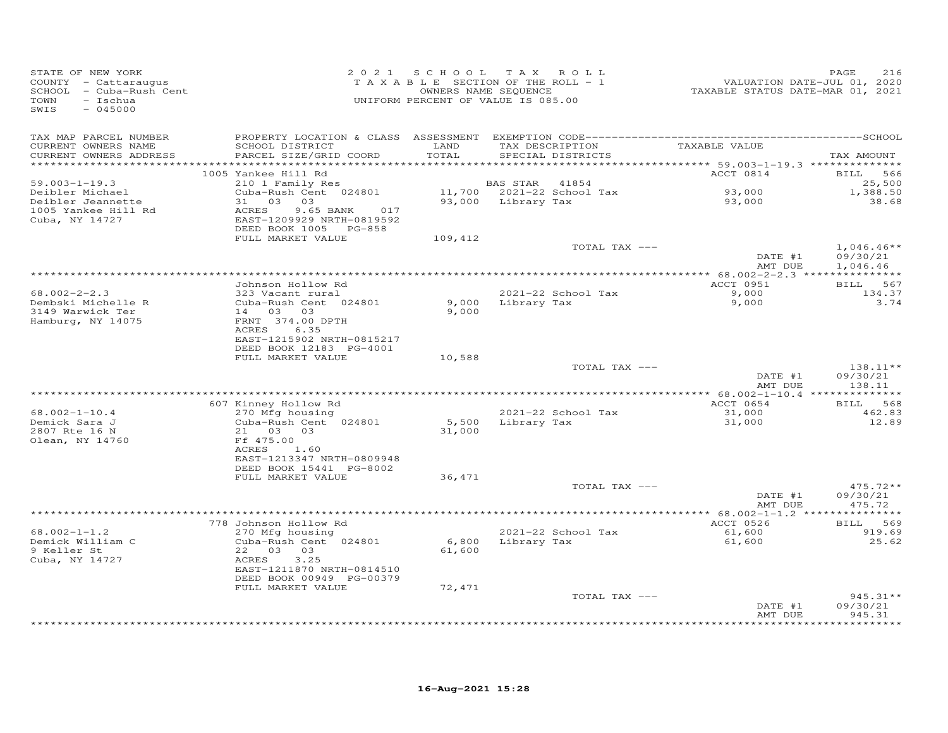| STATE OF NEW YORK<br>COUNTY - Cattaraugus<br>SCHOOL - Cuba-Rush Cent<br>TOWN<br>- Ischua<br>SWIS<br>$-045000$ |                                                                                                                                             | 2021 SCHOOL               | TAX ROLL<br>TAXABLE SECTION OF THE ROLL - 1<br>OWNERS NAME SEQUENCE<br>UNIFORM PERCENT OF VALUE IS 085.00 |                                                         | PAGE<br>216<br>VALUATION DATE-JUL 01, 2020<br>TAXABLE STATUS DATE-MAR 01, 2021 |
|---------------------------------------------------------------------------------------------------------------|---------------------------------------------------------------------------------------------------------------------------------------------|---------------------------|-----------------------------------------------------------------------------------------------------------|---------------------------------------------------------|--------------------------------------------------------------------------------|
| TAX MAP PARCEL NUMBER<br>CURRENT OWNERS NAME<br>CURRENT OWNERS ADDRESS                                        | SCHOOL DISTRICT<br>PARCEL SIZE/GRID COORD                                                                                                   | LAND<br>TOTAL<br>******** | TAX DESCRIPTION<br>SPECIAL DISTRICTS                                                                      | TAXABLE VALUE<br>********* 59.003-1-19.3 ************** | TAX AMOUNT                                                                     |
|                                                                                                               | 1005 Yankee Hill Rd                                                                                                                         |                           |                                                                                                           | ACCT 0814                                               | <b>BILL</b><br>566                                                             |
| $59.003 - 1 - 19.3$<br>Deibler Michael<br>Deibler Jeannette<br>1005 Yankee Hill Rd<br>Cuba, NY 14727          | 210 1 Family Res<br>Cuba-Rush Cent 024801<br>31 03<br>03<br>ACRES<br>9.65 BANK<br>017<br>EAST-1209929 NRTH-0819592<br>DEED BOOK 1005 PG-858 |                           | BAS STAR<br>41854<br>11,700 2021-22 School Tax<br>93,000 Library Tax                                      | 93,000<br>93,000                                        | 25,500<br>1,388.50<br>38.68                                                    |
|                                                                                                               | FULL MARKET VALUE                                                                                                                           | 109,412                   |                                                                                                           |                                                         |                                                                                |
|                                                                                                               |                                                                                                                                             |                           |                                                                                                           | TOTAL TAX ---<br>DATE #1<br>AMT DUE                     | $1,046.46**$<br>09/30/21<br>1,046.46                                           |
|                                                                                                               |                                                                                                                                             |                           |                                                                                                           |                                                         |                                                                                |
| $68.002 - 2 - 2.3$<br>Dembski Michelle R<br>3149 Warwick Ter<br>Hamburg, NY 14075                             | Johnson Hollow Rd<br>323 Vacant rural<br>Cuba-Rush Cent 024801<br>14 03 03<br>FRNT 374.00 DPTH<br>ACRES<br>6.35                             | 9,000<br>9,000            | 2021-22 School Tax<br>Library Tax                                                                         | ACCT 0951<br>9,000<br>9,000                             | <b>BILL</b><br>567<br>134.37<br>3.74                                           |
|                                                                                                               | EAST-1215902 NRTH-0815217<br>DEED BOOK 12183 PG-4001                                                                                        |                           |                                                                                                           |                                                         |                                                                                |
|                                                                                                               | FULL MARKET VALUE                                                                                                                           | 10,588                    |                                                                                                           | TOTAL TAX ---<br>DATE #1<br>AMT DUE                     | $138.11**$<br>09/30/21<br>138.11                                               |
|                                                                                                               |                                                                                                                                             |                           |                                                                                                           |                                                         | **** 68.002-1-10.4 ***************                                             |
|                                                                                                               | 607 Kinney Hollow Rd                                                                                                                        |                           |                                                                                                           | ACCT 0654                                               | 568<br><b>BILL</b>                                                             |
| $68.002 - 1 - 10.4$<br>Demick Sara J<br>2807 Rte 16 N<br>Olean, NY 14760                                      | 270 Mfg housing<br>Cuba-Rush Cent 024801<br>21 03 03<br>Ff 475.00<br>ACRES<br>1.60<br>EAST-1213347 NRTH-0809948                             | 5,500<br>31,000           | 2021-22 School Tax<br>Library Tax                                                                         | 31,000<br>31,000                                        | 462.83<br>12.89                                                                |
|                                                                                                               | DEED BOOK 15441 PG-8002<br>FULL MARKET VALUE                                                                                                | 36,471                    |                                                                                                           |                                                         |                                                                                |
|                                                                                                               |                                                                                                                                             |                           |                                                                                                           | TOTAL TAX ---<br>DATE #1<br>AMT DUE                     | 475.72**<br>09/30/21<br>475.72                                                 |
|                                                                                                               |                                                                                                                                             |                           |                                                                                                           | ** $68.002 - 1 - 1.2$ ***                               | * * * * * * * * * *                                                            |
| $68.002 - 1 - 1.2$<br>Demick William C<br>9 Keller St<br>22<br>03<br>Cuba, NY 14727<br>ACRES                  | 778 Johnson Hollow Rd<br>270 Mfg housing<br>Cuba-Rush Cent 024801<br>03<br>3.25<br>EAST-1211870 NRTH-0814510<br>DEED BOOK 00949 PG-00379    | 6,800<br>61,600           | 2021-22 School Tax<br>Library Tax                                                                         | ACCT 0526<br>61,600<br>61,600                           | BILL 569<br>919.69<br>25.62                                                    |
|                                                                                                               | FULL MARKET VALUE                                                                                                                           | 72,471                    |                                                                                                           | TOTAL TAX ---<br>DATE #1<br>AMT DUE                     | 945.31**<br>09/30/21<br>945.31                                                 |
|                                                                                                               |                                                                                                                                             |                           |                                                                                                           |                                                         |                                                                                |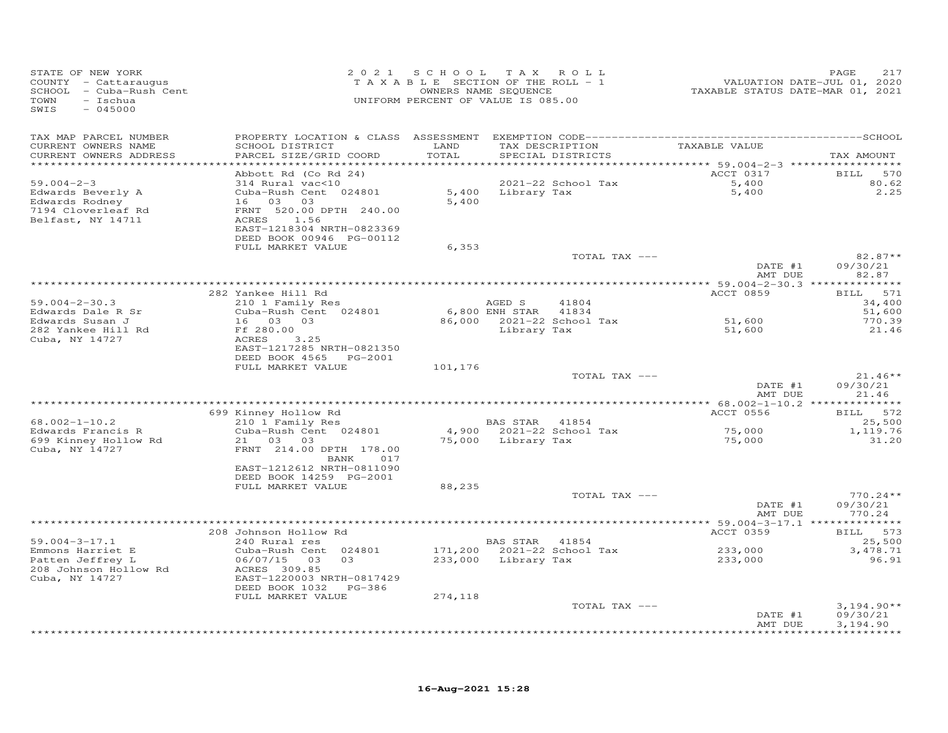| STATE OF NEW YORK<br>COUNTY - Cattaraugus<br>SCHOOL - Cuba-Rush Cent<br>TOWN<br>- Ischua<br>SWIS<br>$-045000$ | 2 0 2 1                                  |         | SCHOOL TAX ROLL<br>TAXABLE SECTION OF THE ROLL - 1<br>OWNERS NAME SEQUENCE<br>UNIFORM PERCENT OF VALUE IS 085.00 | VALUATION DATE-JUL 01, 2020<br>TAXABLE STATUS DATE-MAR 01, 2021 | PAGE<br>217              |
|---------------------------------------------------------------------------------------------------------------|------------------------------------------|---------|------------------------------------------------------------------------------------------------------------------|-----------------------------------------------------------------|--------------------------|
| TAX MAP PARCEL NUMBER<br>CURRENT OWNERS NAME                                                                  | SCHOOL DISTRICT                          | LAND    | TAX DESCRIPTION                                                                                                  | TAXABLE VALUE                                                   |                          |
| CURRENT OWNERS ADDRESS                                                                                        | PARCEL SIZE/GRID COORD                   | TOTAL   | SPECIAL DISTRICTS                                                                                                |                                                                 | TAX AMOUNT               |
|                                                                                                               |                                          |         |                                                                                                                  |                                                                 |                          |
| $59.004 - 2 - 3$                                                                                              | Abbott Rd (Co Rd 24)<br>314 Rural vac<10 |         | 2021-22 School Tax                                                                                               | ACCT 0317<br>5,400                                              | BILL 570<br>80.62        |
| Edwards Beverly A                                                                                             | Cuba-Rush Cent 024801                    |         | 5,400 Library Tax                                                                                                | 5,400                                                           | 2.25                     |
| Edwards Rodney                                                                                                | 16 03 03                                 | 5,400   |                                                                                                                  |                                                                 |                          |
| 7194 Cloverleaf Rd                                                                                            | FRNT 520.00 DPTH 240.00                  |         |                                                                                                                  |                                                                 |                          |
| Belfast, NY 14711                                                                                             | ACRES 1.56<br>EAST-1218304 NRTH-0823369  |         |                                                                                                                  |                                                                 |                          |
|                                                                                                               | DEED BOOK 00946 PG-00112                 |         |                                                                                                                  |                                                                 |                          |
|                                                                                                               | FULL MARKET VALUE                        | 6,353   |                                                                                                                  |                                                                 |                          |
|                                                                                                               |                                          |         | TOTAL TAX ---                                                                                                    |                                                                 | $82.87**$                |
|                                                                                                               |                                          |         |                                                                                                                  | DATE #1<br>AMT DUE                                              | 09/30/21<br>82.87        |
|                                                                                                               |                                          |         |                                                                                                                  |                                                                 |                          |
|                                                                                                               | 282 Yankee Hill Rd                       |         |                                                                                                                  | ACCT 0859                                                       | <b>BILL</b><br>571       |
| $59.004 - 2 - 30.3$                                                                                           | 210 1 Family Res                         |         | AGED S<br>41804                                                                                                  |                                                                 | 34,400                   |
| Edwards Dale R Sr                                                                                             | Cuba-Rush Cent 024801                    |         | 6,800 ENH STAR 41834                                                                                             | 51,600                                                          | 51,600                   |
| Edwards Susan J<br>282 Yankee Hill Rd                                                                         | 16 03 03<br>Ff 280.00                    |         | 86,000 2021-22 School Tax<br>Library Tax                                                                         | 51,600                                                          | 770.39<br>21.46          |
| Cuba, NY 14727                                                                                                | ACRES<br>3.25                            |         |                                                                                                                  |                                                                 |                          |
|                                                                                                               | EAST-1217285 NRTH-0821350                |         |                                                                                                                  |                                                                 |                          |
|                                                                                                               | DEED BOOK 4565 PG-2001                   |         |                                                                                                                  |                                                                 |                          |
|                                                                                                               | FULL MARKET VALUE                        | 101,176 | TOTAL TAX ---                                                                                                    |                                                                 | $21.46**$                |
|                                                                                                               |                                          |         |                                                                                                                  | DATE #1                                                         | 09/30/21                 |
|                                                                                                               |                                          |         |                                                                                                                  | AMT DUE                                                         | 21.46                    |
|                                                                                                               |                                          |         |                                                                                                                  |                                                                 |                          |
| $68.002 - 1 - 10.2$                                                                                           | 699 Kinney Hollow Rd<br>210 1 Family Res |         | BAS STAR 41854                                                                                                   | ACCT 0556                                                       | BILL 572<br>25,500       |
| Edwards Francis R                                                                                             | Cuba-Rush Cent 024801                    |         | 4,900 2021-22 School Tax                                                                                         | 75,000                                                          | 1,119.76                 |
| 699 Kinney Hollow Rd                                                                                          | 21 03 03                                 |         | 75,000 Library Tax                                                                                               | 75,000                                                          | 31.20                    |
| Cuba, NY 14727                                                                                                | FRNT 214.00 DPTH 178.00                  |         |                                                                                                                  |                                                                 |                          |
|                                                                                                               | BANK 017<br>EAST-1212612 NRTH-0811090    |         |                                                                                                                  |                                                                 |                          |
|                                                                                                               | DEED BOOK 14259 PG-2001                  |         |                                                                                                                  |                                                                 |                          |
|                                                                                                               | FULL MARKET VALUE                        | 88,235  |                                                                                                                  |                                                                 |                          |
|                                                                                                               |                                          |         | TOTAL TAX ---                                                                                                    |                                                                 | $770.24**$               |
|                                                                                                               |                                          |         |                                                                                                                  | DATE #1<br>AMT DUE                                              | 09/30/21<br>770.24       |
|                                                                                                               |                                          |         |                                                                                                                  |                                                                 |                          |
|                                                                                                               | 208 Johnson Hollow Rd                    |         |                                                                                                                  | ACCT 0359                                                       | BILL 573                 |
| $59.004 - 3 - 17.1$                                                                                           | 240 Rural res                            |         | BAS STAR 41854                                                                                                   |                                                                 | 25,500                   |
| Emmons Harriet E                                                                                              | Cuba-Rush Cent 024801                    |         | 171,200 2021-22 School Tax                                                                                       | 233,000                                                         | 3,478.71                 |
| Patten Jeffrey L<br>208 Johnson Hollow Rd                                                                     | 06/07/15 03<br>03<br>ACRES 309.85        |         | 233,000 Library Tax                                                                                              | 233,000                                                         | 96.91                    |
| Cuba, NY 14727                                                                                                | EAST-1220003 NRTH-0817429                |         |                                                                                                                  |                                                                 |                          |
|                                                                                                               | DEED BOOK 1032 PG-386                    |         |                                                                                                                  |                                                                 |                          |
|                                                                                                               | FULL MARKET VALUE                        | 274,118 |                                                                                                                  |                                                                 |                          |
|                                                                                                               |                                          |         | TOTAL TAX ---                                                                                                    | DATE #1                                                         | $3,194.90**$<br>09/30/21 |
|                                                                                                               |                                          |         |                                                                                                                  | AMT DUE                                                         | 3,194.90                 |
|                                                                                                               |                                          |         |                                                                                                                  |                                                                 | <b>++++++++++++</b>      |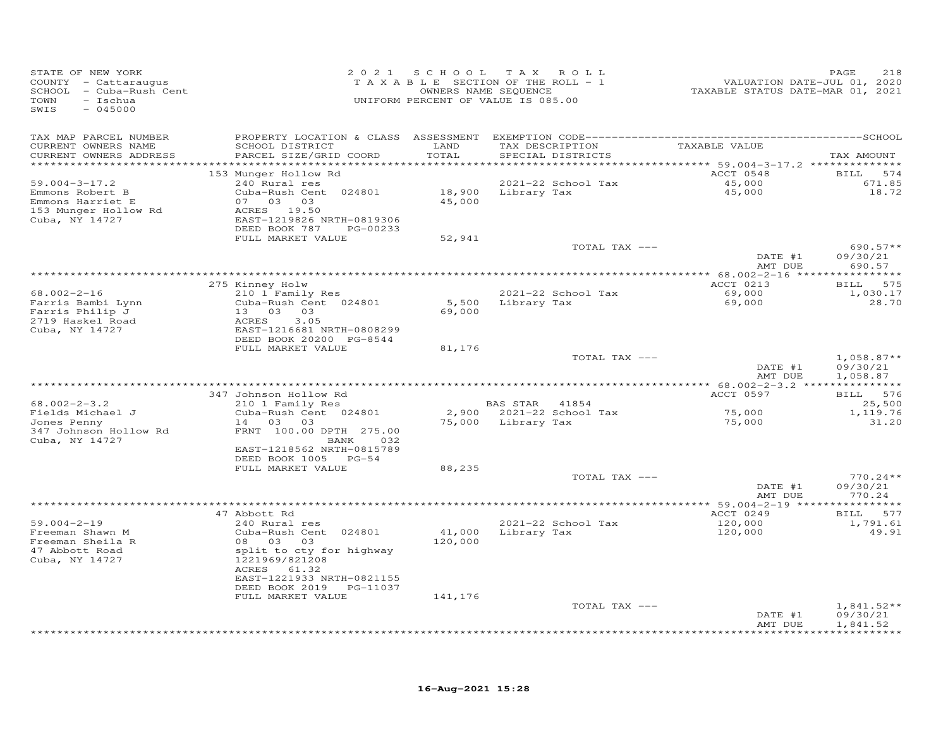| STATE OF NEW YORK<br>COUNTY - Cattaraugus<br>SCHOOL - Cuba-Rush Cent<br>- Ischua<br>TOWN<br>$-045000$<br>SWIS | 2 0 2 1                                                                                                                                                            | SCHOOL<br>TAXABLE SECTION OF THE ROLL - 1<br>OWNERS NAME SEQUENCE<br>UNIFORM PERCENT OF VALUE IS 085.00 | T A X                   | ROLL                                 | VALUATION DATE-JUL 01, 2020<br>TAXABLE STATUS DATE-MAR 01, 2021  | PAGE<br>218                               |
|---------------------------------------------------------------------------------------------------------------|--------------------------------------------------------------------------------------------------------------------------------------------------------------------|---------------------------------------------------------------------------------------------------------|-------------------------|--------------------------------------|------------------------------------------------------------------|-------------------------------------------|
| TAX MAP PARCEL NUMBER<br>CURRENT OWNERS NAME<br>CURRENT OWNERS ADDRESS                                        | SCHOOL DISTRICT<br>PARCEL SIZE/GRID COORD                                                                                                                          | LAND<br>TOTAL<br>******                                                                                 |                         | TAX DESCRIPTION<br>SPECIAL DISTRICTS | TAXABLE VALUE                                                    | TAX AMOUNT                                |
| $59.004 - 3 - 17.2$<br>Emmons Robert B<br>Emmons Harriet E<br>153 Munger Hollow Rd<br>Cuba, NY 14727          | 153 Munger Hollow Rd<br>240 Rural res<br>Cuba-Rush Cent 024801<br>07 03 03<br>ACRES 19.50<br>EAST-1219826 NRTH-0819306<br>DEED BOOK 787<br>PG-00233                | 18,900<br>45,000                                                                                        | Library Tax             | 2021-22 School Tax                   | ******* 59.004-3-17.2 *********<br>ACCT 0548<br>45,000<br>45,000 | <b>BILL</b><br>574<br>671.85<br>18.72     |
|                                                                                                               | FULL MARKET VALUE                                                                                                                                                  | 52,941                                                                                                  |                         | TOTAL TAX ---                        | DATE #1<br>AMT DUE                                               | $690.57**$<br>09/30/21<br>690.57          |
|                                                                                                               |                                                                                                                                                                    |                                                                                                         |                         |                                      | ** $68.002 - 2 - 16$ **                                          |                                           |
| $68.002 - 2 - 16$<br>Farris Bambi Lynn<br>Farris Philip J<br>2719 Haskel Road<br>Cuba, NY 14727               | 275 Kinney Holw<br>210 1 Family Res<br>Cuba-Rush Cent 024801<br>13 03 03<br>ACRES<br>3.05<br>EAST-1216681 NRTH-0808299<br>DEED BOOK 20200 PG-8544                  | 5,500<br>69,000                                                                                         | Library Tax             | 2021-22 School Tax                   | ACCT 0213<br>69,000<br>69,000                                    | <b>BILL</b><br>575<br>1,030.17<br>28.70   |
|                                                                                                               | FULL MARKET VALUE                                                                                                                                                  | 81,176                                                                                                  |                         |                                      |                                                                  |                                           |
|                                                                                                               |                                                                                                                                                                    |                                                                                                         |                         | TOTAL TAX ---                        | DATE #1<br>AMT DUE                                               | $1,058.87**$<br>09/30/21<br>1,058.87      |
|                                                                                                               | 347 Johnson Hollow Rd                                                                                                                                              |                                                                                                         | *********************** |                                      | * 68.002-2-3.2 ****************<br>ACCT 0597                     | BILL 576                                  |
| $68.002 - 2 - 3.2$                                                                                            | 210 1 Family Res                                                                                                                                                   |                                                                                                         | <b>BAS STAR</b>         | 41854                                |                                                                  | 25,500                                    |
| Fields Michael J<br>Jones Penny<br>347 Johnson Hollow Rd<br>Cuba, NY 14727                                    | Cuba-Rush Cent 024801<br>14 03 03<br>FRNT 100.00 DPTH 275.00<br>BANK<br>032<br>EAST-1218562 NRTH-0815789                                                           | 75,000                                                                                                  | Library Tax             | 2,900 2021-22 School Tax             | 75,000<br>75,000                                                 | 1,119.76<br>31.20                         |
|                                                                                                               | DEED BOOK 1005 PG-54<br>FULL MARKET VALUE                                                                                                                          | 88,235                                                                                                  |                         |                                      |                                                                  |                                           |
|                                                                                                               |                                                                                                                                                                    |                                                                                                         |                         | TOTAL TAX ---                        | DATE #1<br>AMT DUE                                               | $770.24**$<br>09/30/21<br>770.24          |
|                                                                                                               |                                                                                                                                                                    |                                                                                                         |                         |                                      | **** 59.004-2-19 *****************                               |                                           |
| $59.004 - 2 - 19$<br>Freeman Shawn M<br>Freeman Sheila R<br>47 Abbott Road<br>Cuba, NY 14727                  | 47 Abbott Rd<br>240 Rural res<br>Cuba-Rush Cent 024801<br>08 03<br>03<br>split to cty for highway<br>1221969/821208<br>ACRES<br>61.32<br>EAST-1221933 NRTH-0821155 | 41,000<br>120,000                                                                                       | Library Tax             | 2021-22 School Tax                   | ACCT 0249<br>120,000<br>120,000                                  | 577<br><b>BILL</b><br>1,791.61<br>49.91   |
|                                                                                                               | DEED BOOK 2019 PG-11037<br>FULL MARKET VALUE                                                                                                                       | 141,176                                                                                                 |                         |                                      |                                                                  |                                           |
|                                                                                                               |                                                                                                                                                                    |                                                                                                         |                         | TOTAL TAX ---                        | DATE #1<br>AMT DUE                                               | $1,841.52**$<br>09/30/21<br>1,841.52<br>. |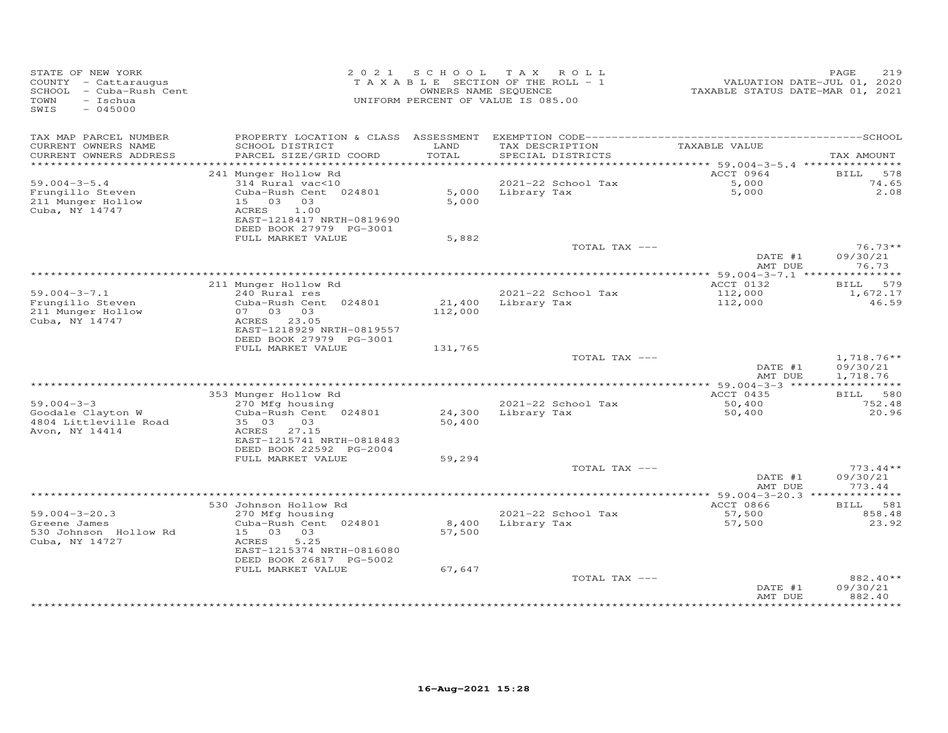| STATE OF NEW YORK<br>COUNTY - Cattaraugus<br>SCHOOL - Cuba-Rush Cent<br>$-$ Ischua<br>TOWN<br>$-045000$<br>SWIS |                                                                                                            |               | 2021 SCHOOL TAX ROLL<br>T A X A B L E SECTION OF THE ROLL - 1<br>OWNERS NAME SEQUENCE<br>UNIFORM PERCENT OF VALUE IS 085.00 | VALUATION DATE-JUL 01, 2020<br>TAXABLE STATUS DATE-MAR 01, 2021 | 219<br>PAGE                          |
|-----------------------------------------------------------------------------------------------------------------|------------------------------------------------------------------------------------------------------------|---------------|-----------------------------------------------------------------------------------------------------------------------------|-----------------------------------------------------------------|--------------------------------------|
| TAX MAP PARCEL NUMBER<br>CURRENT OWNERS NAME<br>CURRENT OWNERS ADDRESS                                          | SCHOOL DISTRICT<br>PARCEL SIZE/GRID COORD                                                                  | LAND<br>TOTAL | TAX DESCRIPTION<br>SPECIAL DISTRICTS                                                                                        | TAXABLE VALUE                                                   | TAX AMOUNT                           |
|                                                                                                                 |                                                                                                            |               |                                                                                                                             |                                                                 |                                      |
|                                                                                                                 | 241 Munger Hollow Rd                                                                                       |               |                                                                                                                             | ACCT 0964                                                       | 578<br><b>BILL</b>                   |
| $59.004 - 3 - 5.4$                                                                                              | 314 Rural vac<10                                                                                           |               | 2021-22 School Tax                                                                                                          | 5,000                                                           | 74.65                                |
| Frungillo Steven<br>211 Munger Hollow<br>Cuba, NY 14747                                                         | Cuba-Rush Cent 024801<br>15 03 03<br>ACRES<br>1.00<br>EAST-1218417 NRTH-0819690<br>DEED BOOK 27979 PG-3001 | 5,000         | 5,000 Library Tax                                                                                                           | 5,000                                                           | 2.08                                 |
|                                                                                                                 | FULL MARKET VALUE                                                                                          | 5,882         |                                                                                                                             |                                                                 |                                      |
|                                                                                                                 |                                                                                                            |               | TOTAL TAX ---                                                                                                               |                                                                 | $76.73**$                            |
|                                                                                                                 |                                                                                                            |               |                                                                                                                             | DATE #1<br>AMT DUE                                              | 09/30/21<br>76.73                    |
|                                                                                                                 | 211 Munger Hollow Rd                                                                                       |               |                                                                                                                             | ACCT 0132                                                       | BILL 579                             |
| $59.004 - 3 - 7.1$                                                                                              | 240 Rural res                                                                                              |               | 2021-22 School Tax                                                                                                          | 112,000                                                         | 1,672.17                             |
| Frungillo Steven<br>211 Munger Hollow<br>Cuba, NY 14747                                                         | Cuba-Rush Cent 024801<br>07  03  03<br>ACRES 23.05<br>EAST-1218929 NRTH-0819557<br>DEED BOOK 27979 PG-3001 | 112,000       | 21,400 Library Tax                                                                                                          | 112,000                                                         | 46.59                                |
|                                                                                                                 | FULL MARKET VALUE                                                                                          | 131,765       |                                                                                                                             |                                                                 |                                      |
|                                                                                                                 |                                                                                                            |               | TOTAL TAX ---                                                                                                               | DATE #1<br>AMT DUE                                              | $1,718.76**$<br>09/30/21<br>1,718.76 |
|                                                                                                                 |                                                                                                            |               |                                                                                                                             |                                                                 |                                      |
|                                                                                                                 | 353 Munger Hollow Rd                                                                                       |               |                                                                                                                             | ACCT 0435                                                       | BILL 580                             |
| $59.004 - 3 - 3$<br>Goodale Clayton W                                                                           | 270 Mfg housing<br>Cuba-Rush Cent 024801                                                                   | 24,300        | 2021-22 School Tax<br>Library Tax                                                                                           | 50,400<br>50,400                                                | 752.48<br>20.96                      |
| 4804 Littleville Road<br>Avon, NY 14414                                                                         | 35 03<br>03<br>ACRES 27.15                                                                                 | 50,400        |                                                                                                                             |                                                                 |                                      |
|                                                                                                                 | EAST-1215741 NRTH-0818483<br>DEED BOOK 22592 PG-2004                                                       |               |                                                                                                                             |                                                                 |                                      |
|                                                                                                                 | FULL MARKET VALUE                                                                                          | 59,294        |                                                                                                                             |                                                                 |                                      |
|                                                                                                                 |                                                                                                            |               | TOTAL TAX ---                                                                                                               | DATE #1<br>AMT DUE                                              | $773.44**$<br>09/30/21<br>773.44     |
|                                                                                                                 |                                                                                                            |               | *************************************                                                                                       | ********** 59.004-3-20.3 **************                         |                                      |
|                                                                                                                 | 530 Johnson Hollow Rd                                                                                      |               |                                                                                                                             | ACCT 0866                                                       | BILL 581                             |
| $59.004 - 3 - 20.3$                                                                                             | 270 Mfg housing                                                                                            |               | 2021-22 School Tax                                                                                                          | 57,500                                                          | 858.48                               |
| Greene James<br>530 Johnson Hollow Rd<br>Cuba, NY 14727                                                         | Cuba-Rush Cent 024801<br>15 03 03<br>5.25<br>ACRES<br>EAST-1215374 NRTH-0816080<br>DEED BOOK 26817 PG-5002 | 57,500        | 8,400 Library Tax                                                                                                           | 57,500                                                          | 23.92                                |
|                                                                                                                 | FULL MARKET VALUE                                                                                          | 67,647        |                                                                                                                             |                                                                 |                                      |
|                                                                                                                 |                                                                                                            |               | TOTAL TAX ---                                                                                                               | DATE #1<br>AMT DUE                                              | 882.40**<br>09/30/21<br>882.40       |
|                                                                                                                 |                                                                                                            |               |                                                                                                                             |                                                                 |                                      |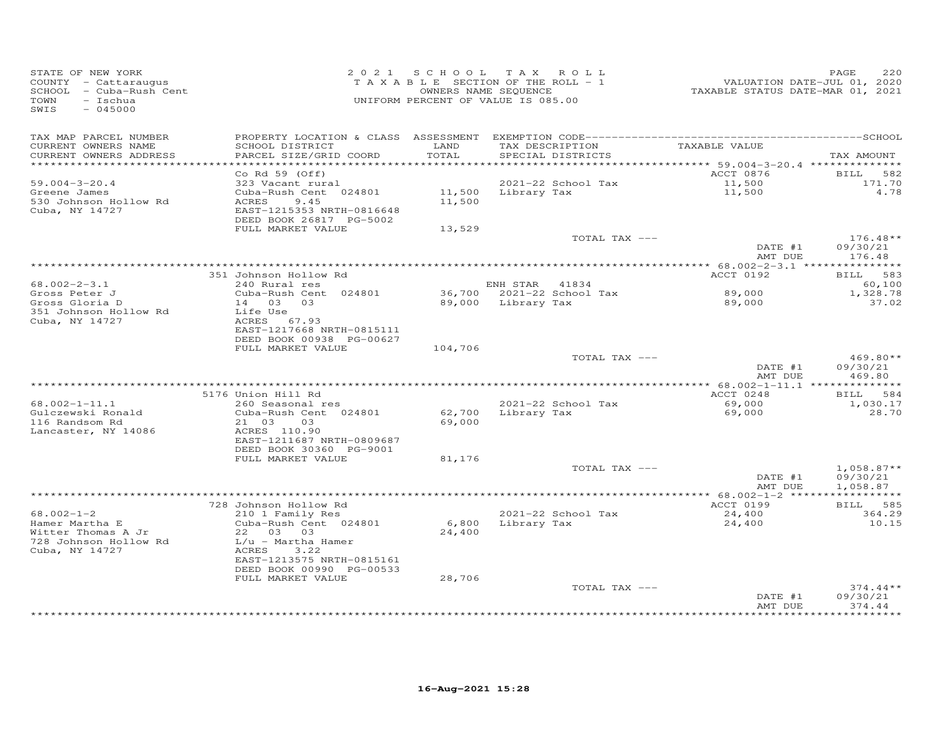| STATE OF NEW YORK<br>COUNTY - Cattaraugus<br>SCHOOL - Cuba-Rush Cent<br>- Ischua<br>TOWN<br>SWIS<br>$-045000$ |                                                                                                                                                             |                  | 2021 SCHOOL TAX ROLL<br>TAXABLE SECTION OF THE ROLL - 1<br>OWNERS NAME SEQUENCE<br>UNIFORM PERCENT OF VALUE IS 085.00 | VALUATION DATE-JUL 01, 2020<br>TAXABLE STATUS DATE-MAR 01, 2021 | 220<br>PAGE                          |
|---------------------------------------------------------------------------------------------------------------|-------------------------------------------------------------------------------------------------------------------------------------------------------------|------------------|-----------------------------------------------------------------------------------------------------------------------|-----------------------------------------------------------------|--------------------------------------|
| TAX MAP PARCEL NUMBER<br>CURRENT OWNERS NAME<br>CURRENT OWNERS ADDRESS                                        | SCHOOL DISTRICT<br>PARCEL SIZE/GRID COORD                                                                                                                   | LAND<br>TOTAL    | TAX DESCRIPTION<br>SPECIAL DISTRICTS                                                                                  | TAXABLE VALUE                                                   | TAX AMOUNT                           |
| ************************<br>$59.004 - 3 - 20.4$<br>Greene James<br>530 Johnson Hollow Rd<br>Cuba, NY 14727    | Co Rd $59$ (Off)<br>323 Vacant rural<br>Cuba-Rush Cent 024801<br>ACRES<br>9.45<br>EAST-1215353 NRTH-0816648<br>DEED BOOK 26817 PG-5002<br>FULL MARKET VALUE | 11,500<br>13,529 | 2021-22 School Tax<br>11,500 Library Tax                                                                              | ACCT 0876<br>11,500<br>11,500                                   | BILL<br>582<br>171.70<br>4.78        |
|                                                                                                               |                                                                                                                                                             |                  | TOTAL TAX ---                                                                                                         | DATE #1<br>AMT DUE                                              | $176.48**$<br>09/30/21<br>176.48     |
|                                                                                                               |                                                                                                                                                             |                  |                                                                                                                       |                                                                 |                                      |
| $68.002 - 2 - 3.1$                                                                                            | 351 Johnson Hollow Rd<br>240 Rural res                                                                                                                      |                  | ENH STAR 41834                                                                                                        | ACCT 0192                                                       | BILL 583<br>60,100                   |
| Gross Peter J<br>Gross Gloria D                                                                               | Cuba-Rush Cent 024801<br>14 03 03                                                                                                                           |                  | 36,700 2021-22 School Tax<br>89,000 Library Tax                                                                       | 89,000<br>89,000                                                | 1,328.78<br>37.02                    |
| 351 Johnson Hollow Rd<br>Cuba, NY 14727                                                                       | Life Use<br>ACRES 67.93<br>EAST-1217668 NRTH-0815111<br>DEED BOOK 00938 PG-00627<br>FULL MARKET VALUE                                                       | 104,706          |                                                                                                                       |                                                                 |                                      |
|                                                                                                               |                                                                                                                                                             |                  | TOTAL TAX ---                                                                                                         | DATE #1                                                         | 469.80**<br>09/30/21                 |
|                                                                                                               |                                                                                                                                                             |                  |                                                                                                                       | AMT DUE                                                         | 469.80                               |
|                                                                                                               | 5176 Union Hill Rd                                                                                                                                          |                  |                                                                                                                       | ACCT 0248                                                       | BILL<br>584                          |
| $68.002 - 1 - 11.1$<br>Gulczewski Ronald<br>116 Randsom Rd<br>Lancaster, NY 14086                             | 260 Seasonal res<br>Cuba-Rush Cent 024801<br>21 03<br>03<br>ACRES 110.90<br>EAST-1211687 NRTH-0809687                                                       | 62,700<br>69,000 | 2021-22 School Tax<br>Library Tax                                                                                     | 69,000<br>69,000                                                | 1,030.17<br>28,70                    |
|                                                                                                               | DEED BOOK 30360 PG-9001<br>FULL MARKET VALUE                                                                                                                | 81,176           |                                                                                                                       |                                                                 |                                      |
|                                                                                                               |                                                                                                                                                             |                  | TOTAL TAX ---                                                                                                         | DATE #1<br>AMT DUE                                              | $1,058.87**$<br>09/30/21<br>1,058.87 |
|                                                                                                               |                                                                                                                                                             |                  |                                                                                                                       | **** 68.002-1-2 ******************                              |                                      |
| $68.002 - 1 - 2$<br>Hamer Martha E<br>Witter Thomas A Jr<br>728 Johnson Hollow Rd                             | 728 Johnson Hollow Rd<br>210 1 Family Res<br>Cuba-Rush Cent 024801<br>22 03 03<br>L/u - Martha Hamer                                                        | 6,800<br>24,400  | 2021-22 School Tax<br>Library Tax                                                                                     | ACCT 0199<br>24,400<br>24,400                                   | BILL 585<br>364.29<br>10.15          |
| Cuba, NY 14727                                                                                                | ACRES<br>3.22<br>EAST-1213575 NRTH-0815161<br>DEED BOOK 00990 PG-00533                                                                                      |                  |                                                                                                                       |                                                                 |                                      |
|                                                                                                               | FULL MARKET VALUE                                                                                                                                           | 28,706           | TOTAL TAX ---                                                                                                         | DATE #1                                                         | $374.44**$<br>09/30/21               |
|                                                                                                               |                                                                                                                                                             |                  | ************************************                                                                                  | AMT DUE                                                         | 374.44                               |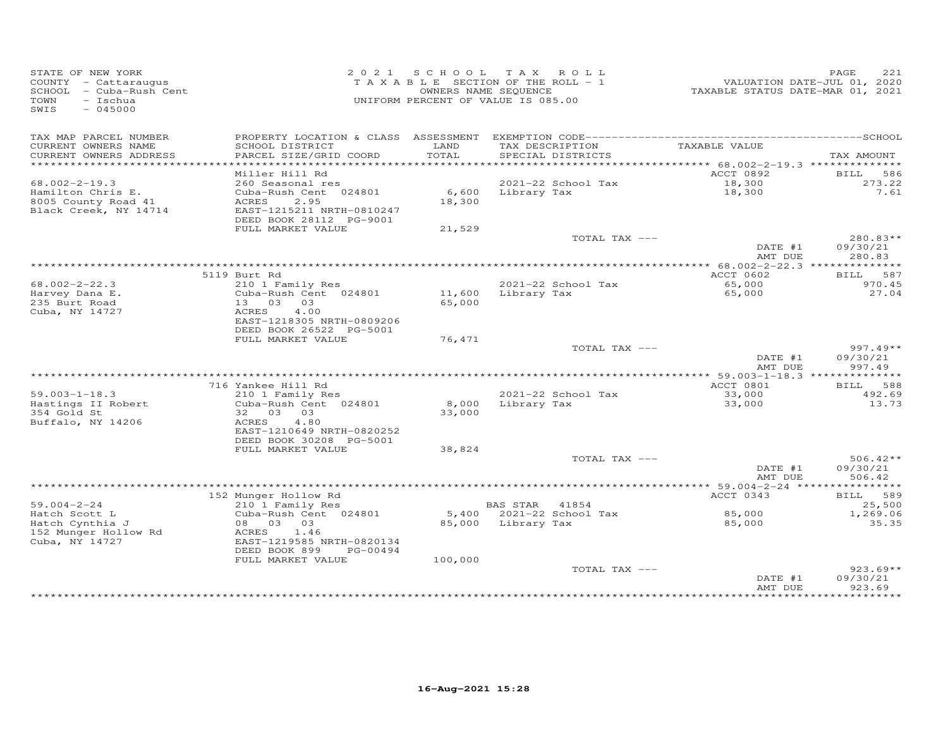| STATE OF NEW YORK<br>COUNTY - Cattaraugus<br>SCHOOL - Cuba-Rush Cent<br>TOWN<br>- Ischua<br>SWIS<br>$-045000$ |                                                                                                |                 | 2021 SCHOOL TAX ROLL<br>TAXABLE SECTION OF THE ROLL - 1<br>OWNERS NAME SEQUENCE<br>UNIFORM PERCENT OF VALUE IS 085.00 | TAXABLE STATUS DATE-MAR 01, 2021 | PAGE<br>221<br>VALUATION DATE-JUL 01, 2020 |
|---------------------------------------------------------------------------------------------------------------|------------------------------------------------------------------------------------------------|-----------------|-----------------------------------------------------------------------------------------------------------------------|----------------------------------|--------------------------------------------|
| TAX MAP PARCEL NUMBER<br>CURRENT OWNERS NAME<br>CURRENT OWNERS ADDRESS                                        | SCHOOL DISTRICT<br>PARCEL SIZE/GRID COORD                                                      | LAND<br>TOTAL   | TAX DESCRIPTION<br>SPECIAL DISTRICTS                                                                                  | TAXABLE VALUE                    | TAX AMOUNT                                 |
|                                                                                                               |                                                                                                |                 |                                                                                                                       |                                  |                                            |
| $68.002 - 2 - 19.3$                                                                                           | Miller Hill Rd<br>260 Seasonal res                                                             |                 | 2021-22 School Tax                                                                                                    | ACCT 0892<br>18,300              | <b>BILL</b><br>586<br>273.22               |
| Hamilton Chris E.<br>8005 County Road 41<br>Black Creek, NY 14714                                             | Cuba-Rush Cent 024801<br>ACRES<br>2.95<br>EAST-1215211 NRTH-0810247<br>DEED BOOK 28112 PG-9001 | 6,600<br>18,300 | Library Tax                                                                                                           | 18,300                           | 7.61                                       |
|                                                                                                               | FULL MARKET VALUE                                                                              | 21,529          |                                                                                                                       |                                  |                                            |
|                                                                                                               |                                                                                                |                 | TOTAL TAX ---                                                                                                         | DATE #1<br>AMT DUE               | 280.83**<br>09/30/21<br>280.83             |
|                                                                                                               |                                                                                                |                 |                                                                                                                       |                                  |                                            |
|                                                                                                               | 5119 Burt Rd                                                                                   |                 |                                                                                                                       | ACCT 0602                        | 587<br>BILL                                |
| $68.002 - 2 - 22.3$<br>Harvey Dana E.                                                                         | 210 1 Family Res<br>Cuba-Rush Cent 024801                                                      | 11,600          | 2021-22 School Tax<br>Library Tax                                                                                     | 65,000<br>65,000                 | 970.45<br>27.04                            |
| 235 Burt Road                                                                                                 | 13 03 03                                                                                       | 65,000          |                                                                                                                       |                                  |                                            |
| Cuba, NY 14727                                                                                                | 4.00<br>ACRES<br>EAST-1218305 NRTH-0809206<br>DEED BOOK 26522 PG-5001                          |                 |                                                                                                                       |                                  |                                            |
|                                                                                                               | FULL MARKET VALUE                                                                              | 76,471          |                                                                                                                       |                                  |                                            |
|                                                                                                               |                                                                                                |                 | TOTAL TAX ---                                                                                                         | DATE #1                          | $997.49**$<br>09/30/21                     |
|                                                                                                               |                                                                                                |                 |                                                                                                                       | AMT DUE                          | 997.49                                     |
|                                                                                                               | 716 Yankee Hill Rd                                                                             |                 |                                                                                                                       | ACCT 0801                        | 588<br>BILL                                |
| $59.003 - 1 - 18.3$                                                                                           | 210 1 Family Res                                                                               |                 | 2021-22 School Tax                                                                                                    | 33,000                           | 492.69                                     |
| Hastings II Robert<br>354 Gold St<br>Buffalo, NY 14206                                                        | Cuba-Rush Cent 024801<br>32 03 03<br>ACRES<br>4.80                                             | 8,000<br>33,000 | Library Tax                                                                                                           | 33,000                           | 13.73                                      |
|                                                                                                               | EAST-1210649 NRTH-0820252<br>DEED BOOK 30208 PG-5001                                           |                 |                                                                                                                       |                                  |                                            |
|                                                                                                               | FULL MARKET VALUE                                                                              | 38,824          | TOTAL TAX ---                                                                                                         |                                  | $506.42**$                                 |
|                                                                                                               |                                                                                                |                 |                                                                                                                       | DATE #1<br>AMT DUE               | 09/30/21<br>506.42                         |
|                                                                                                               |                                                                                                |                 |                                                                                                                       |                                  |                                            |
| $59.004 - 2 - 24$                                                                                             | 152 Munger Hollow Rd<br>210 1 Family Res                                                       |                 | BAS STAR<br>41854                                                                                                     | ACCT 0343                        | BILL 589<br>25,500                         |
| Hatch Scott L<br>Hatch Cynthia J<br>152 Munger Hollow Rd                                                      | Cuba-Rush Cent 024801<br>08 03 03<br>ACRES<br>1.46                                             |                 | 5,400 2021-22 School Tax<br>85,000 Library Tax                                                                        | 85,000<br>85,000                 | 1,269.06<br>35.35                          |
| Cuba, NY 14727                                                                                                | EAST-1219585 NRTH-0820134<br>DEED BOOK 899<br>PG-00494<br>FULL MARKET VALUE                    | 100,000         |                                                                                                                       |                                  |                                            |
|                                                                                                               |                                                                                                |                 | TOTAL TAX ---                                                                                                         | DATE #1<br>AMT DUE               | $923.69**$<br>09/30/21<br>923.69           |
|                                                                                                               |                                                                                                |                 |                                                                                                                       |                                  | ***********                                |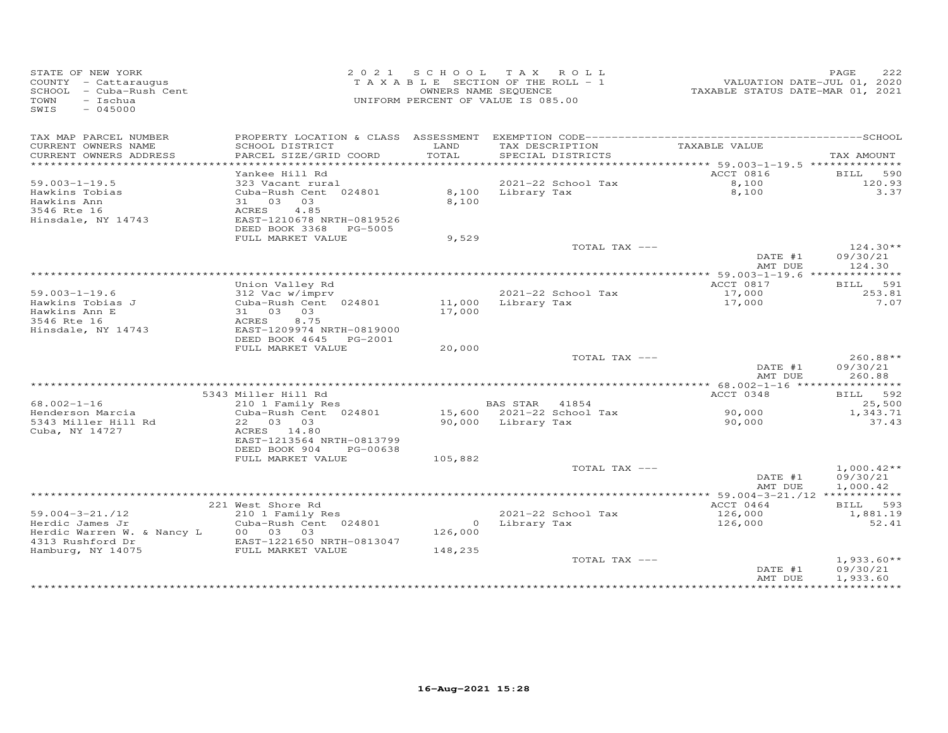| STATE OF NEW YORK<br>COUNTY - Cattaraugus<br>SCHOOL - Cuba-Rush Cent<br>- Ischua<br>TOWN<br>SWIS<br>$-045000$ |                                                | 2021 SCHOOL   | TAX ROLL<br>TAXABLE SECTION OF THE ROLL - 1<br>OWNERS NAME SEQUENCE<br>UNIFORM PERCENT OF VALUE IS 085.00 | VALUATION DATE-JUL 01, 2020<br>TAXABLE STATUS DATE-MAR 01, 2021 | PAGE<br>222        |
|---------------------------------------------------------------------------------------------------------------|------------------------------------------------|---------------|-----------------------------------------------------------------------------------------------------------|-----------------------------------------------------------------|--------------------|
| TAX MAP PARCEL NUMBER<br>CURRENT OWNERS NAME<br>CURRENT OWNERS ADDRESS                                        | SCHOOL DISTRICT<br>PARCEL SIZE/GRID COORD      | LAND<br>TOTAL | TAX DESCRIPTION<br>SPECIAL DISTRICTS                                                                      | TAXABLE VALUE                                                   | TAX AMOUNT         |
|                                                                                                               |                                                |               |                                                                                                           |                                                                 |                    |
| $59.003 - 1 - 19.5$                                                                                           | Yankee Hill Rd                                 |               | 2021-22 School Tax                                                                                        | ACCT 0816<br>8,100                                              | BILL 590<br>120.93 |
| Hawkins Tobias                                                                                                | 323 Vacant rural<br>Cuba-Rush Cent 024801      | 8,100         | Library Tax                                                                                               | 8,100                                                           | 3.37               |
| Hawkins Ann                                                                                                   | 31 03 03                                       | 8,100         |                                                                                                           |                                                                 |                    |
| 3546 Rte 16                                                                                                   | 4.85<br>ACRES                                  |               |                                                                                                           |                                                                 |                    |
| Hinsdale, NY 14743                                                                                            | EAST-1210678 NRTH-0819526                      |               |                                                                                                           |                                                                 |                    |
|                                                                                                               | DEED BOOK 3368 PG-5005                         |               |                                                                                                           |                                                                 |                    |
|                                                                                                               | FULL MARKET VALUE                              | 9,529         | TOTAL TAX ---                                                                                             |                                                                 | $124.30**$         |
|                                                                                                               |                                                |               |                                                                                                           | DATE #1<br>AMT DUE                                              | 09/30/21<br>124.30 |
|                                                                                                               |                                                |               |                                                                                                           |                                                                 |                    |
|                                                                                                               | Union Valley Rd                                |               |                                                                                                           | ACCT 0817                                                       | BILL 591           |
| $59.003 - 1 - 19.6$                                                                                           | 312 Vac w/imprv                                |               | 2021-22 School Tax                                                                                        | 17,000                                                          | 253.81             |
| Hawkins Tobias J                                                                                              | Cuba-Rush Cent 024801                          | 11,000        | Library Tax                                                                                               | 17,000                                                          | 7.07               |
| Hawkins Ann E<br>3546 Rte 16                                                                                  | 31 03 03<br>8.75<br>ACRES                      | 17,000        |                                                                                                           |                                                                 |                    |
| Hinsdale, NY 14743                                                                                            | EAST-1209974 NRTH-0819000                      |               |                                                                                                           |                                                                 |                    |
|                                                                                                               | DEED BOOK 4645<br>PG-2001                      |               |                                                                                                           |                                                                 |                    |
|                                                                                                               | FULL MARKET VALUE                              | 20,000        |                                                                                                           |                                                                 |                    |
|                                                                                                               |                                                |               | TOTAL TAX ---                                                                                             |                                                                 | 260.88**           |
|                                                                                                               |                                                |               |                                                                                                           | DATE #1                                                         | 09/30/21           |
|                                                                                                               |                                                |               |                                                                                                           | AMT DUE                                                         | 260.88             |
|                                                                                                               | 5343 Miller Hill Rd                            |               |                                                                                                           | ACCT 0348                                                       | BILL 592           |
| $68.002 - 1 - 16$                                                                                             | 210 1 Family Res                               |               | BAS STAR 41854                                                                                            |                                                                 | 25,500             |
| Henderson Marcia                                                                                              | Cuba-Rush Cent 024801                          |               | 15,600 2021-22 School Tax                                                                                 | 90,000                                                          | 1,343.71           |
| 5343 Miller Hill Rd                                                                                           | 22 03 03                                       |               | 90,000 Library Tax                                                                                        | 90,000                                                          | 37.43              |
| Cuba, NY 14727                                                                                                | ACRES 14.80                                    |               |                                                                                                           |                                                                 |                    |
|                                                                                                               | EAST-1213564 NRTH-0813799                      |               |                                                                                                           |                                                                 |                    |
|                                                                                                               | DEED BOOK 904<br>PG-00638<br>FULL MARKET VALUE | 105,882       |                                                                                                           |                                                                 |                    |
|                                                                                                               |                                                |               | TOTAL TAX ---                                                                                             |                                                                 | $1,000.42**$       |
|                                                                                                               |                                                |               |                                                                                                           | DATE #1                                                         | 09/30/21           |
|                                                                                                               |                                                |               |                                                                                                           | AMT DUE                                                         | 1,000.42           |
|                                                                                                               |                                                |               |                                                                                                           | ***** 59.004-3-21./12 *************                             |                    |
|                                                                                                               | 221 West Shore Rd                              |               |                                                                                                           | ACCT 0464                                                       | BILL 593           |
| $59.004 - 3 - 21.712$                                                                                         | 210 1 Family Res                               |               | 2021-22 School Tax                                                                                        | 126,000                                                         | 1,881.19           |
| Herdic James Jr<br>Herdic Warren W. & Nancy L                                                                 | Cuba-Rush Cent 024801<br>00 03 03              | 126,000       | 0 Library Tax                                                                                             | 126,000                                                         | 52.41              |
| 4313 Rushford Dr                                                                                              | EAST-1221650 NRTH-0813047                      |               |                                                                                                           |                                                                 |                    |
| Hamburg, NY 14075                                                                                             | FULL MARKET VALUE                              | 148,235       |                                                                                                           |                                                                 |                    |
|                                                                                                               |                                                |               | TOTAL TAX ---                                                                                             |                                                                 | $1,933.60**$       |
|                                                                                                               |                                                |               |                                                                                                           | DATE #1                                                         | 09/30/21           |
|                                                                                                               |                                                |               |                                                                                                           | AMT DUE                                                         | 1,933.60           |
|                                                                                                               |                                                |               |                                                                                                           |                                                                 |                    |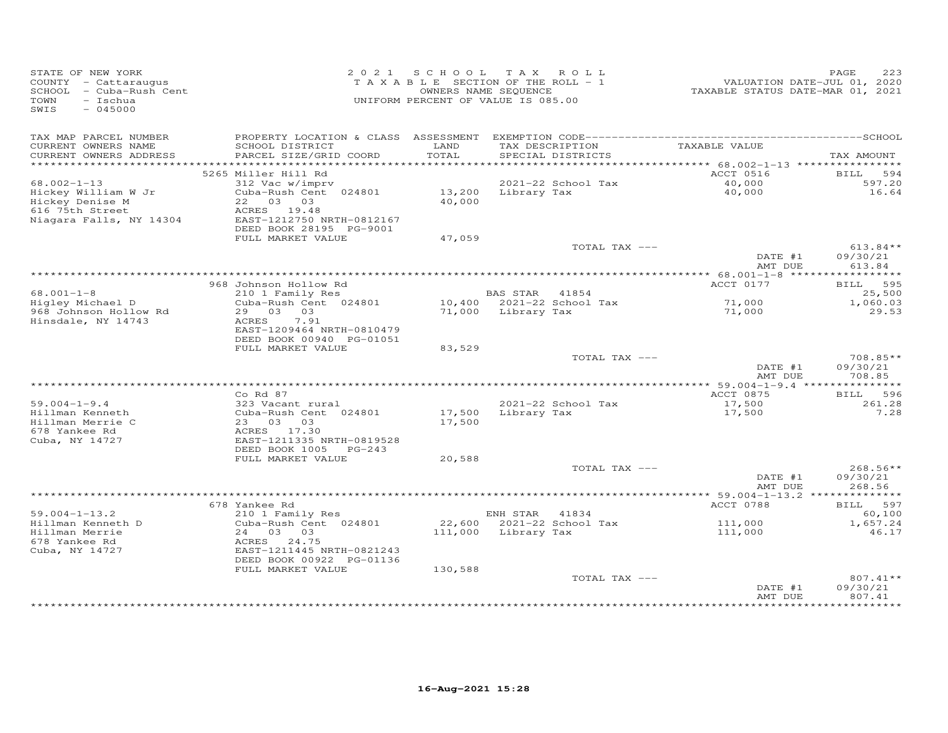| STATE OF NEW YORK<br>COUNTY - Cattaraugus<br>SCHOOL - Cuba-Rush Cent<br><b>TOWN</b><br>$-$ Ischua<br>$-045000$<br>SWIS |                                                    | OWNERS NAME SEQUENCE | 2021 SCHOOL TAX ROLL<br>TAXABLE SECTION OF THE ROLL - 1<br>UNIFORM PERCENT OF VALUE IS 085.00 | VALUATION DATE-JUL 01, 2020<br>TAXABLE STATUS DATE-MAR 01, 2021 | PAGE<br>223         |
|------------------------------------------------------------------------------------------------------------------------|----------------------------------------------------|----------------------|-----------------------------------------------------------------------------------------------|-----------------------------------------------------------------|---------------------|
| TAX MAP PARCEL NUMBER<br>CURRENT OWNERS NAME                                                                           | SCHOOL DISTRICT                                    | LAND                 | TAX DESCRIPTION                                                                               | TAXABLE VALUE                                                   |                     |
| CURRENT OWNERS ADDRESS                                                                                                 | PARCEL SIZE/GRID COORD                             | TOTAL                | SPECIAL DISTRICTS                                                                             |                                                                 | TAX AMOUNT          |
|                                                                                                                        | 5265 Miller Hill Rd                                |                      |                                                                                               | ACCT 0516                                                       | <b>BILL</b><br>594  |
| $68.002 - 1 - 13$                                                                                                      | 312 Vac w/imprv                                    |                      | 2021-22 School Tax                                                                            | 40,000                                                          | 597.20              |
| Hickey William W Jr                                                                                                    | Cuba-Rush Cent 024801                              |                      | 13,200 Library Tax                                                                            | 40,000                                                          | 16.64               |
| Hickey Denise M                                                                                                        | 22 03 03                                           | 40,000               |                                                                                               |                                                                 |                     |
| 616 75th Street                                                                                                        | ACRES 19.48                                        |                      |                                                                                               |                                                                 |                     |
| Niagara Falls, NY 14304                                                                                                | EAST-1212750 NRTH-0812167                          |                      |                                                                                               |                                                                 |                     |
|                                                                                                                        | DEED BOOK 28195 PG-9001<br>FULL MARKET VALUE       | 47,059               |                                                                                               |                                                                 |                     |
|                                                                                                                        |                                                    |                      | TOTAL TAX ---                                                                                 |                                                                 | $613.84**$          |
|                                                                                                                        |                                                    |                      |                                                                                               | DATE #1                                                         | 09/30/21            |
|                                                                                                                        |                                                    |                      |                                                                                               | AMT DUE                                                         | 613.84              |
|                                                                                                                        |                                                    |                      |                                                                                               |                                                                 |                     |
| $68.001 - 1 - 8$                                                                                                       | 968 Johnson Hollow Rd<br>210 1 Family Res          |                      | BAS STAR 41854                                                                                | ACCT 0177                                                       | BILL 595<br>25,500  |
| Higley Michael D                                                                                                       | Cuba-Rush Cent 024801                              |                      | 10,400 2021-22 School Tax                                                                     | 71,000                                                          | 1,060.03            |
| 968 Johnson Hollow Rd                                                                                                  | 29 03 03                                           |                      | 71,000 Library Tax                                                                            | 71,000                                                          | 29.53               |
| Hinsdale, NY 14743                                                                                                     | ACRES<br>7.91                                      |                      |                                                                                               |                                                                 |                     |
|                                                                                                                        | EAST-1209464 NRTH-0810479                          |                      |                                                                                               |                                                                 |                     |
|                                                                                                                        | DEED BOOK 00940 PG-01051<br>FULL MARKET VALUE      | 83,529               |                                                                                               |                                                                 |                     |
|                                                                                                                        |                                                    |                      | TOTAL TAX ---                                                                                 |                                                                 | $708.85**$          |
|                                                                                                                        |                                                    |                      |                                                                                               | DATE #1                                                         | 09/30/21            |
|                                                                                                                        |                                                    |                      |                                                                                               | AMT DUE                                                         | 708.85              |
|                                                                                                                        | $Co$ Rd $87$                                       |                      |                                                                                               | ACCT 0875                                                       | BILL 596            |
| $59.004 - 1 - 9.4$                                                                                                     | 323 Vacant rural                                   |                      | 2021-22 School Tax                                                                            | 17,500                                                          | 261.28              |
| Hillman Kenneth                                                                                                        | Cuba-Rush Cent 024801                              | 17,500               | Library Tax                                                                                   | 17,500                                                          | 7.28                |
| Hillman Merrie C                                                                                                       | 23 03 03                                           | 17,500               |                                                                                               |                                                                 |                     |
| 678 Yankee Rd                                                                                                          | ACRES 17.30                                        |                      |                                                                                               |                                                                 |                     |
| Cuba, NY 14727                                                                                                         | EAST-1211335 NRTH-0819528<br>DEED BOOK 1005 PG-243 |                      |                                                                                               |                                                                 |                     |
|                                                                                                                        | FULL MARKET VALUE                                  | 20,588               |                                                                                               |                                                                 |                     |
|                                                                                                                        |                                                    |                      | TOTAL TAX ---                                                                                 |                                                                 | 268.56**            |
|                                                                                                                        |                                                    |                      |                                                                                               | DATE #1                                                         | 09/30/21            |
|                                                                                                                        |                                                    |                      |                                                                                               | AMT DUE                                                         | 268.56              |
|                                                                                                                        | 678 Yankee Rd                                      |                      |                                                                                               | ACCT 0788                                                       |                     |
| $59.004 - 1 - 13.2$                                                                                                    | 210 1 Family Res                                   |                      | ENH STAR 41834                                                                                |                                                                 | BILL 597<br>60,100  |
| Hillman Kenneth D                                                                                                      | Cuba-Rush Cent 024801                              |                      | 22,600 2021-22 School Tax                                                                     | 111,000                                                         | 1,657.24            |
| Hillman Merrie                                                                                                         | 24 03 03                                           |                      | 111,000 Library Tax                                                                           | 111,000                                                         | 46.17               |
| 678 Yankee Rd                                                                                                          | ACRES 24.75                                        |                      |                                                                                               |                                                                 |                     |
| Cuba, NY 14727                                                                                                         | EAST-1211445 NRTH-0821243                          |                      |                                                                                               |                                                                 |                     |
|                                                                                                                        | DEED BOOK 00922 PG-01136<br>FULL MARKET VALUE      | 130,588              |                                                                                               |                                                                 |                     |
|                                                                                                                        |                                                    |                      | TOTAL TAX ---                                                                                 |                                                                 | $807.41**$          |
|                                                                                                                        |                                                    |                      |                                                                                               | DATE #1                                                         | 09/30/21            |
|                                                                                                                        |                                                    |                      |                                                                                               | AMT DUE                                                         | 807.41              |
|                                                                                                                        |                                                    |                      |                                                                                               |                                                                 | * * * * * * * * * * |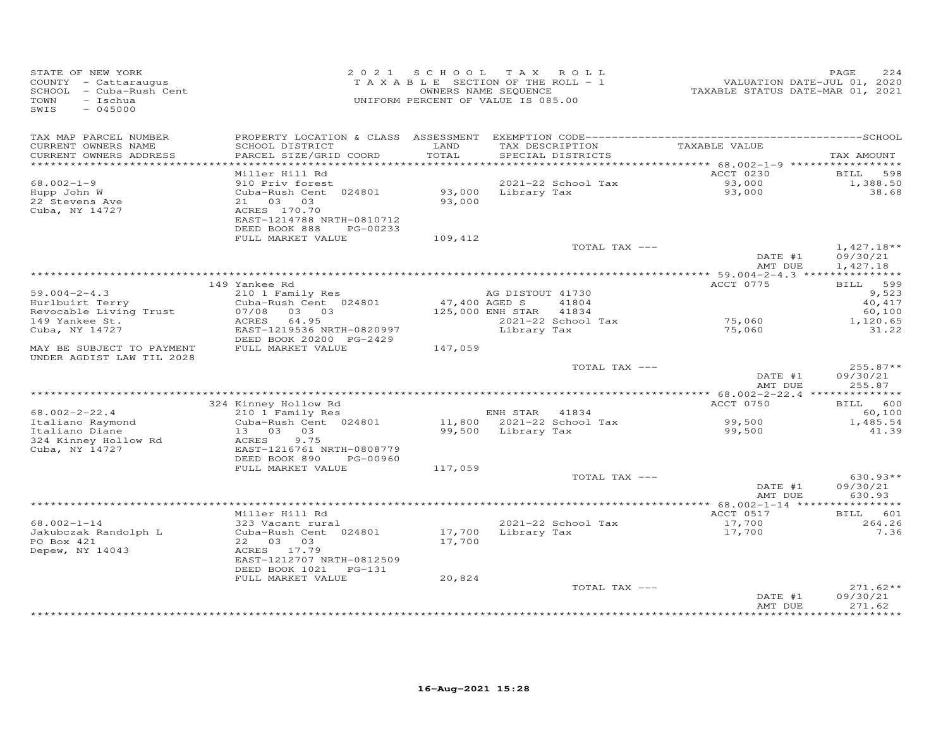| STATE OF NEW YORK<br>COUNTY - Cattaraugus<br>SCHOOL - Cuba-Rush Cent<br>- Ischua<br>TOWN<br>SWIS<br>$-045000$ |                                                                                  |                  | 2021 SCHOOL TAX ROLL<br>TAXABLE SECTION OF THE ROLL - 1<br>OWNERS NAME SEQUENCE<br>UNIFORM PERCENT OF VALUE IS 085.00 | VALUATION DATE-JUL 01, 2020<br>TAXABLE STATUS DATE-MAR 01, 2021 | PAGE<br>224                          |
|---------------------------------------------------------------------------------------------------------------|----------------------------------------------------------------------------------|------------------|-----------------------------------------------------------------------------------------------------------------------|-----------------------------------------------------------------|--------------------------------------|
| TAX MAP PARCEL NUMBER<br>CURRENT OWNERS NAME                                                                  | SCHOOL DISTRICT                                                                  | LAND             | TAX DESCRIPTION                                                                                                       | TAXABLE VALUE                                                   |                                      |
| CURRENT OWNERS ADDRESS<br>************************                                                            | PARCEL SIZE/GRID COORD                                                           | TOTAL            | SPECIAL DISTRICTS                                                                                                     |                                                                 | TAX AMOUNT                           |
|                                                                                                               | Miller Hill Rd                                                                   |                  |                                                                                                                       | ACCT 0230                                                       | BILL<br>598                          |
| $68.002 - 1 - 9$<br>Hupp John W<br>22 Stevens Ave                                                             | 910 Priv forest<br>Cuba-Rush Cent 024801<br>21 03 03                             | 93,000<br>93,000 | 2021-22 School Tax<br>Library Tax                                                                                     | 93,000<br>93,000                                                | 1,388.50<br>38.68                    |
| Cuba, NY 14727                                                                                                | ACRES 170.70<br>EAST-1214788 NRTH-0810712<br>DEED BOOK 888<br>PG-00233           |                  |                                                                                                                       |                                                                 |                                      |
|                                                                                                               | FULL MARKET VALUE                                                                | 109,412          |                                                                                                                       |                                                                 |                                      |
|                                                                                                               |                                                                                  |                  | TOTAL TAX ---                                                                                                         | DATE #1<br>AMT DUE                                              | $1,427.18**$<br>09/30/21<br>1,427.18 |
|                                                                                                               |                                                                                  |                  |                                                                                                                       |                                                                 |                                      |
|                                                                                                               | 149 Yankee Rd                                                                    |                  |                                                                                                                       | ACCT 0775                                                       | BILL 599                             |
| $59.004 - 2 - 4.3$                                                                                            | 210 1 Family Res                                                                 |                  | AG DISTOUT 41730                                                                                                      |                                                                 | 9,523                                |
| Hurlbuirt Terry<br>Revocable Living Trust                                                                     | Cuba-Rush Cent 024801<br>07/08<br>03 03                                          | 47,400 AGED S    | 41804<br>125,000 ENH STAR<br>41834                                                                                    |                                                                 | 40,417<br>60,100                     |
| 149 Yankee St.                                                                                                | ACRES<br>64.95                                                                   |                  | 2021-22 School Tax                                                                                                    | 75,060                                                          | 1,120.65                             |
| Cuba, NY 14727                                                                                                | EAST-1219536 NRTH-0820997<br>DEED BOOK 20200 PG-2429                             |                  | Library Tax                                                                                                           | 75,060                                                          | 31.22                                |
| MAY BE SUBJECT TO PAYMENT<br>UNDER AGDIST LAW TIL 2028                                                        | FULL MARKET VALUE                                                                | 147,059          |                                                                                                                       |                                                                 |                                      |
|                                                                                                               |                                                                                  |                  | TOTAL TAX ---                                                                                                         | DATE #1<br>AMT DUE                                              | $255.87**$<br>09/30/21<br>255.87     |
|                                                                                                               |                                                                                  |                  |                                                                                                                       |                                                                 |                                      |
|                                                                                                               | 324 Kinney Hollow Rd                                                             |                  |                                                                                                                       | ACCT 0750                                                       | BILL 600                             |
| $68.002 - 2 - 22.4$                                                                                           | 210 1 Family Res                                                                 |                  | ENH STAR<br>41834                                                                                                     |                                                                 | 60,100                               |
| Italiano Raymond<br>Italiano Diane<br>324 Kinney Hollow Rd                                                    | Cuba-Rush Cent 024801<br>13 03<br>03<br>ACRES<br>9.75                            |                  | 11,800 2021-22 School Tax<br>99,500 Library Tax                                                                       | 99,500<br>99,500                                                | 1,485.54<br>41.39                    |
| Cuba, NY 14727                                                                                                | EAST-1216761 NRTH-0808779<br>DEED BOOK 890<br>PG-00960<br>FULL MARKET VALUE      | 117,059          |                                                                                                                       |                                                                 |                                      |
|                                                                                                               |                                                                                  |                  | TOTAL TAX ---                                                                                                         |                                                                 | $630.93**$                           |
|                                                                                                               |                                                                                  |                  |                                                                                                                       | DATE #1<br>AMT DUE                                              | 09/30/21<br>630.93                   |
|                                                                                                               |                                                                                  |                  |                                                                                                                       |                                                                 |                                      |
|                                                                                                               | Miller Hill Rd                                                                   |                  |                                                                                                                       | ACCT 0517                                                       | BILL 601                             |
| $68.002 - 1 - 14$<br>Jakubczak Randolph L                                                                     | 323 Vacant rural<br>Cuba-Rush Cent 024801                                        | 17,700           | 2021-22 School Tax<br>Library Tax                                                                                     | 17,700<br>17,700                                                | 264.26<br>7.36                       |
| PO Box 421<br>Depew, NY 14043                                                                                 | 22 03 03<br>ACRES 17.79<br>EAST-1212707 NRTH-0812509<br>DEED BOOK 1021<br>PG-131 | 17,700           |                                                                                                                       |                                                                 |                                      |
|                                                                                                               | FULL MARKET VALUE                                                                | 20,824           |                                                                                                                       |                                                                 |                                      |
|                                                                                                               |                                                                                  |                  | TOTAL TAX ---                                                                                                         | DATE #1<br>AMT DUE                                              | $271.62**$<br>09/30/21<br>271.62     |
|                                                                                                               |                                                                                  |                  |                                                                                                                       |                                                                 |                                      |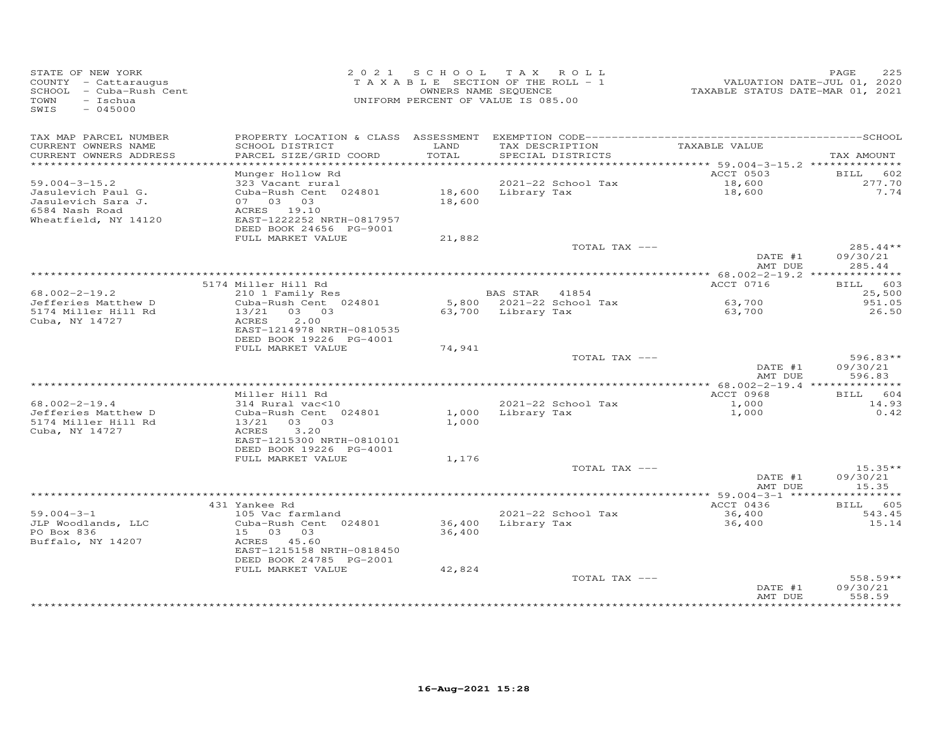| STATE OF NEW YORK<br>COUNTY - Cattaraugus<br>SCHOOL - Cuba-Rush Cent<br>TOWN<br>- Ischua<br>$-045000$<br>SWIS       | 2021 SCHOOL TAX ROLL<br>TAXABLE SECTION OF THE ROLL - 1<br>OWNERS NAME SEQUENCE<br>UNIFORM PERCENT OF VALUE IS 085.00 |                    |                                      | ------<br>2020 TAXABLE STATUS DATE-JUL 01, 2020<br>2021 TAXABLE STATUS DATE-MAR | PAGE<br>225            |
|---------------------------------------------------------------------------------------------------------------------|-----------------------------------------------------------------------------------------------------------------------|--------------------|--------------------------------------|---------------------------------------------------------------------------------|------------------------|
| TAX MAP PARCEL NUMBER<br>CURRENT OWNERS NAME<br>SCHOOL DISTRICT<br>PARCEL SIZE/GRID COORD<br>CURRENT OWNERS ADDRESS | LAND<br>TOTAL                                                                                                         |                    | TAX DESCRIPTION<br>SPECIAL DISTRICTS | TAXABLE VALUE                                                                   | TAX AMOUNT             |
| *************************                                                                                           |                                                                                                                       |                    |                                      |                                                                                 |                        |
| Munger Hollow Rd                                                                                                    |                                                                                                                       |                    |                                      | ACCT 0503                                                                       | 602<br>BILL            |
| $59.004 - 3 - 15.2$<br>323 Vacant rural                                                                             |                                                                                                                       |                    | 2021-22 School Tax                   | 18,600<br>18,600                                                                | 277.70                 |
| Jasulevich Paul G.<br>Cuba-Rush Cent 024801<br>Jasulevich Sara J.<br>07 03 03                                       | 18,600 Library Tax<br>18,600                                                                                          |                    |                                      |                                                                                 | 7.74                   |
| ACRES 19.10<br>6584 Nash Road                                                                                       |                                                                                                                       |                    |                                      |                                                                                 |                        |
| Wheatfield, NY 14120<br>EAST-1222252 NRTH-0817957                                                                   |                                                                                                                       |                    |                                      |                                                                                 |                        |
| DEED BOOK 24656 PG-9001                                                                                             |                                                                                                                       |                    |                                      |                                                                                 |                        |
| FULL MARKET VALUE                                                                                                   | 21,882                                                                                                                |                    |                                      |                                                                                 |                        |
|                                                                                                                     |                                                                                                                       |                    | TOTAL TAX ---                        | DATE #1                                                                         | $285.44**$<br>09/30/21 |
|                                                                                                                     |                                                                                                                       |                    |                                      | AMT DUE                                                                         | 285.44                 |
|                                                                                                                     |                                                                                                                       |                    |                                      |                                                                                 |                        |
| 5174 Miller Hill Rd                                                                                                 |                                                                                                                       |                    |                                      | ACCT 0716                                                                       | BILL 603               |
| $68.002 - 2 - 19.2$<br>210 1 Family Res                                                                             |                                                                                                                       | BAS STAR 41854     |                                      |                                                                                 | 25,500                 |
| Jefferies Matthew D<br>Cuba-Rush Cent 024801                                                                        |                                                                                                                       |                    | 5,800 2021-22 School Tax             | 63,700                                                                          | 951.05                 |
| 5174 Miller Hill Rd<br>13/21 03 03<br>Cuba, NY 14727<br>ACRES<br>2,00                                               |                                                                                                                       | 63,700 Library Tax |                                      | 63,700                                                                          | 26.50                  |
| EAST-1214978 NRTH-0810535                                                                                           |                                                                                                                       |                    |                                      |                                                                                 |                        |
| DEED BOOK 19226 PG-4001                                                                                             |                                                                                                                       |                    |                                      |                                                                                 |                        |
| FULL MARKET VALUE                                                                                                   | 74,941                                                                                                                |                    |                                      |                                                                                 |                        |
|                                                                                                                     |                                                                                                                       |                    | TOTAL TAX ---                        |                                                                                 | $596.83**$             |
|                                                                                                                     |                                                                                                                       |                    |                                      | DATE #1<br>AMT DUE                                                              | 09/30/21<br>596.83     |
|                                                                                                                     |                                                                                                                       |                    |                                      |                                                                                 |                        |
| Miller Hill Rd                                                                                                      |                                                                                                                       |                    |                                      | ACCT 0968                                                                       | BILL 604               |
| $68.002 - 2 - 19.4$<br>314 Rural vac<10                                                                             |                                                                                                                       |                    | 2021-22 School Tax                   | 1,000                                                                           | 14.93                  |
| Jefferies Matthew D<br>Cuba-Rush Cent 024801                                                                        | 1,000                                                                                                                 |                    | Library Tax                          | 1,000                                                                           | 0.42                   |
| 5174 Miller Hill Rd<br>13/21 03 03<br>Cuba, NY 14727<br>3.20<br>ACRES                                               | 1,000                                                                                                                 |                    |                                      |                                                                                 |                        |
| EAST-1215300 NRTH-0810101                                                                                           |                                                                                                                       |                    |                                      |                                                                                 |                        |
| DEED BOOK 19226 PG-4001                                                                                             |                                                                                                                       |                    |                                      |                                                                                 |                        |
| FULL MARKET VALUE                                                                                                   | 1,176                                                                                                                 |                    |                                      |                                                                                 |                        |
|                                                                                                                     |                                                                                                                       |                    | TOTAL TAX ---                        |                                                                                 | $15.35**$              |
|                                                                                                                     |                                                                                                                       |                    |                                      | DATE #1                                                                         | 09/30/21<br>15.35      |
|                                                                                                                     |                                                                                                                       |                    |                                      | AMT DUE<br>************** 59.004-3-1 *****                                      | ********               |
| 431 Yankee Rd                                                                                                       |                                                                                                                       |                    |                                      | ACCT 0436                                                                       | 605<br>BILL            |
| $59.004 - 3 - 1$<br>105 Vac farmland                                                                                |                                                                                                                       |                    | 2021-22 School Tax                   | 36,400                                                                          | 543.45                 |
| Cuba-Rush Cent 024801<br>JLP Woodlands, LLC                                                                         | 36,400                                                                                                                | Library Tax        |                                      | 36,400                                                                          | 15.14                  |
| 15 03 03<br>PO Box 836                                                                                              | 36,400                                                                                                                |                    |                                      |                                                                                 |                        |
| Buffalo, NY 14207<br>ACRES 45.60<br>EAST-1215158 NRTH-0818450                                                       |                                                                                                                       |                    |                                      |                                                                                 |                        |
| DEED BOOK 24785 PG-2001                                                                                             |                                                                                                                       |                    |                                      |                                                                                 |                        |
| FULL MARKET VALUE                                                                                                   | 42,824                                                                                                                |                    |                                      |                                                                                 |                        |
|                                                                                                                     |                                                                                                                       |                    | TOTAL TAX ---                        |                                                                                 | 558.59**               |
|                                                                                                                     |                                                                                                                       |                    |                                      | DATE #1                                                                         | 09/30/21               |
|                                                                                                                     |                                                                                                                       |                    |                                      | AMT DUE                                                                         | 558.59                 |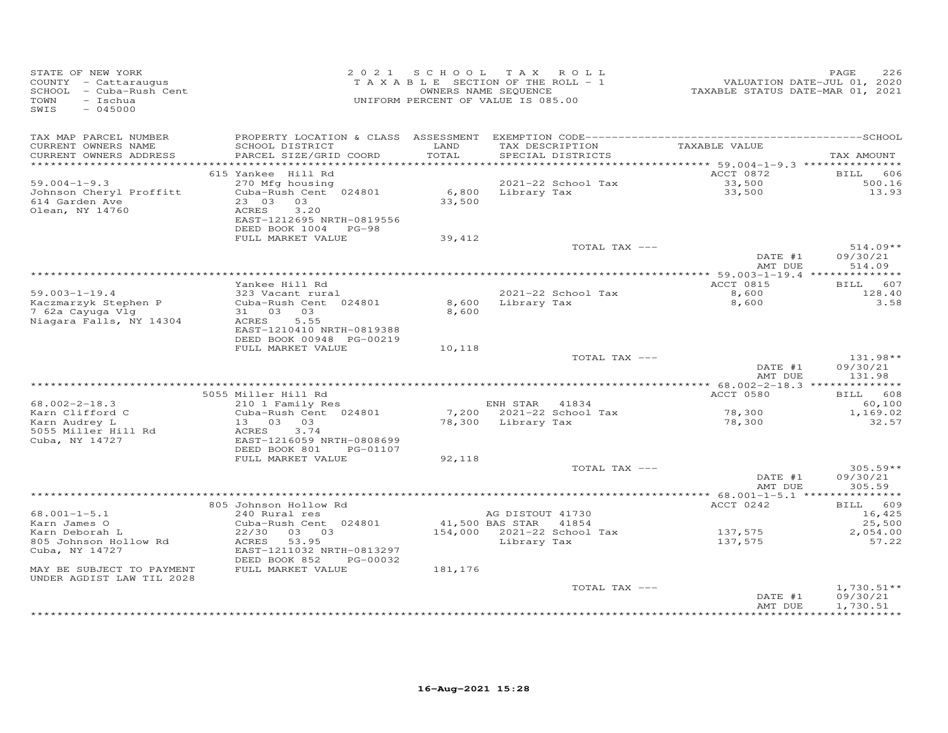| STATE OF NEW YORK<br>COUNTY - Cattaraugus<br>SCHOOL - Cuba-Rush Cent<br>TOWN<br>- Ischua<br>$-045000$<br>SWIS |                                                                                                                                                  |               | 2021 SCHOOL TAX ROLL<br>TAXABLE SECTION OF THE ROLL - 1<br>OWNERS NAME SEQUENCE<br>UNIFORM PERCENT OF VALUE IS 085.00 | 72020<br>TAXABLE STATUS DATE-JUL 01, 2020<br>TAXABLE STATUS DATE-MAR 01, 2021 | PAGE<br>226                                          |
|---------------------------------------------------------------------------------------------------------------|--------------------------------------------------------------------------------------------------------------------------------------------------|---------------|-----------------------------------------------------------------------------------------------------------------------|-------------------------------------------------------------------------------|------------------------------------------------------|
| TAX MAP PARCEL NUMBER<br>CURRENT OWNERS NAME<br>CURRENT OWNERS ADDRESS                                        | SCHOOL DISTRICT<br>PARCEL SIZE/GRID COORD                                                                                                        | LAND<br>TOTAL | TAX DESCRIPTION<br>SPECIAL DISTRICTS                                                                                  | TAXABLE VALUE                                                                 | TAX AMOUNT                                           |
|                                                                                                               |                                                                                                                                                  |               |                                                                                                                       |                                                                               |                                                      |
| $59.004 - 1 - 9.3$<br>Johnson Cheryl Proffitt<br>614 Garden Ave<br>Olean, NY 14760                            | 615 Yankee Hill Rd<br>270 Mfg housing<br>Cuba-Rush Cent 024801<br>23 03 03<br>ACRES<br>3.20<br>EAST-1212695 NRTH-0819556<br>DEED BOOK 1004 PG-98 | 33,500        | 2021-22 School Tax<br>6,800 Library Tax                                                                               | ACCT 0872<br>33,500<br>33,500                                                 | <b>BILL</b><br>606<br>500.16<br>13.93                |
|                                                                                                               | FULL MARKET VALUE                                                                                                                                | 39,412        |                                                                                                                       |                                                                               |                                                      |
|                                                                                                               |                                                                                                                                                  |               | TOTAL TAX ---                                                                                                         | DATE #1<br>AMT DUE                                                            | $514.09**$<br>09/30/21<br>514.09                     |
|                                                                                                               |                                                                                                                                                  |               |                                                                                                                       |                                                                               |                                                      |
| $59.003 - 1 - 19.4$<br>Kaczmarzyk Stephen P                                                                   | Yankee Hill Rd<br>323 Vacant rural<br>Cuba-Rush Cent 024801                                                                                      | 8,600         | 2021-22 School Tax<br>Library Tax                                                                                     | ACCT 0815<br>8,600<br>8,600                                                   | BILL 607<br>128.40<br>3.58                           |
| 7 62a Cayuga Vlg<br>Niagara Falls, NY 14304                                                                   | 31 03 03<br>5.55<br>ACRES<br>EAST-1210410 NRTH-0819388<br>DEED BOOK 00948 PG-00219                                                               | 8,600         |                                                                                                                       |                                                                               |                                                      |
|                                                                                                               | FULL MARKET VALUE                                                                                                                                | 10,118        | TOTAL TAX ---                                                                                                         |                                                                               | 131.98**                                             |
|                                                                                                               |                                                                                                                                                  |               |                                                                                                                       | DATE #1<br>AMT DUE                                                            | 09/30/21<br>131.98                                   |
|                                                                                                               |                                                                                                                                                  |               |                                                                                                                       |                                                                               |                                                      |
| $68.002 - 2 - 18.3$                                                                                           | 5055 Miller Hill Rd<br>210 1 Family Res                                                                                                          |               | ENH STAR 41834                                                                                                        | ACCT 0580                                                                     | BILL 608<br>60,100                                   |
| Karn Clifford C<br>Karn Audrey L<br>5055 Miller Hill Rd                                                       | Cuba-Rush Cent 024801<br>13 03 03<br>ACRES<br>3.74                                                                                               |               | 7,200 2021-22 School Tax<br>78,300 Library Tax                                                                        | 78,300<br>78,300<br>78,300                                                    | 1,169.02<br>32.57                                    |
| Cuba, NY 14727                                                                                                | EAST-1216059 NRTH-0808699<br>DEED BOOK 801<br>PG-01107<br>FULL MARKET VALUE                                                                      | 92,118        |                                                                                                                       |                                                                               |                                                      |
|                                                                                                               |                                                                                                                                                  |               | TOTAL TAX ---                                                                                                         |                                                                               | $305.59**$                                           |
|                                                                                                               | *****************                                                                                                                                |               |                                                                                                                       | DATE #1<br>AMT DUE                                                            | 09/30/21<br>305.59                                   |
|                                                                                                               | 805 Johnson Hollow Rd                                                                                                                            |               |                                                                                                                       | ACCT 0242                                                                     | BILL 609                                             |
| $68.001 - 1 - 5.1$<br>Karn James O                                                                            | 240 Rural res<br>Cuba-Rush Cent 024801                                                                                                           |               | AG DISTOUT 41730<br>41,500 BAS STAR<br>41854                                                                          |                                                                               | 16,425<br>25,500                                     |
| Karn Deborah L<br>805 Johnson Hollow Rd<br>Cuba, NY 14727                                                     | 22/30 03 03<br>ACRES 53.95<br>EAST-1211032 NRTH-0813297<br>DEED BOOK 852<br>PG-00032                                                             |               | 154,000 2021-22 School Tax<br>Library Tax                                                                             | 137,575<br>137,575                                                            | 2,054.00<br>57.22                                    |
| MAY BE SUBJECT TO PAYMENT<br>UNDER AGDIST LAW TIL 2028                                                        | FULL MARKET VALUE                                                                                                                                | 181,176       |                                                                                                                       |                                                                               |                                                      |
|                                                                                                               |                                                                                                                                                  |               | TOTAL TAX ---                                                                                                         | DATE #1<br>AMT DUE                                                            | $1,730.51**$<br>09/30/21<br>1,730.51<br>************ |
|                                                                                                               |                                                                                                                                                  |               |                                                                                                                       |                                                                               |                                                      |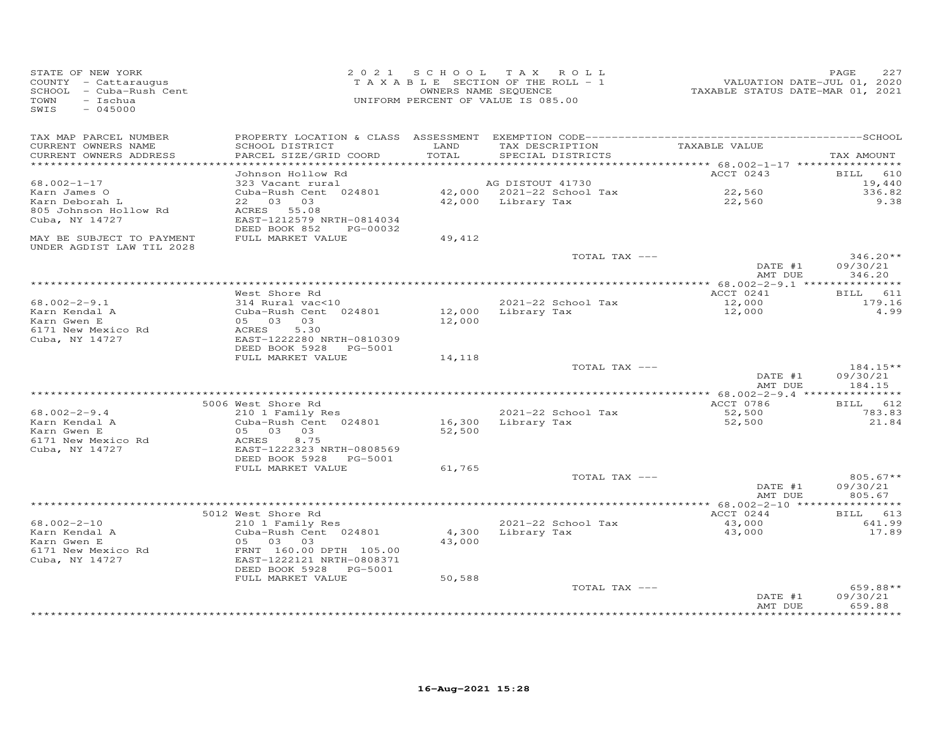| STATE OF NEW YORK<br>COUNTY - Cattaraugus<br>SCHOOL - Cuba-Rush Cent<br>TOWN<br>- Ischua<br>SWIS<br>$-045000$ | 2 0 2 1                                                                                           | SCHOOL           | TAX ROLL<br>TAXABLE SECTION OF THE ROLL - 1<br>OWNERS NAME SEQUENCE<br>UNIFORM PERCENT OF VALUE IS 085.00 | VALUATION DATE-JUL 01, 2020<br>TAXABLE STATUS DATE-MAR 01, 2021 | PAGE<br>227                       |
|---------------------------------------------------------------------------------------------------------------|---------------------------------------------------------------------------------------------------|------------------|-----------------------------------------------------------------------------------------------------------|-----------------------------------------------------------------|-----------------------------------|
| TAX MAP PARCEL NUMBER<br>CURRENT OWNERS NAME<br>CURRENT OWNERS ADDRESS                                        | SCHOOL DISTRICT<br>PARCEL SIZE/GRID COORD                                                         | LAND<br>TOTAL    | TAX DESCRIPTION<br>SPECIAL DISTRICTS                                                                      | TAXABLE VALUE                                                   | TAX AMOUNT                        |
| ***********************                                                                                       | **************************<br>Johnson Hollow Rd                                                   |                  |                                                                                                           | ACCT 0243                                                       | 610<br><b>BILL</b>                |
| $68.002 - 1 - 17$<br>Karn James O<br>Karn Deborah L<br>805 Johnson Hollow Rd<br>Cuba, NY 14727                | 323 Vacant rural<br>Cuba-Rush Cent 024801<br>22 03 03<br>ACRES 55.08<br>EAST-1212579 NRTH-0814034 |                  | AG DISTOUT 41730<br>42,000 2021-22 School Tax<br>42,000 Library Tax                                       | 22,560<br>22,560                                                | 19,440<br>336.82<br>9.38          |
| MAY BE SUBJECT TO PAYMENT                                                                                     | DEED BOOK 852<br>PG-00032<br>FULL MARKET VALUE                                                    | 49,412           |                                                                                                           |                                                                 |                                   |
| UNDER AGDIST LAW TIL 2028                                                                                     |                                                                                                   |                  | TOTAL TAX ---                                                                                             | DATE #1                                                         | $346.20**$<br>09/30/21            |
|                                                                                                               |                                                                                                   |                  |                                                                                                           | AMT DUE                                                         | 346.20<br>* * * * * * * * * * * * |
|                                                                                                               | West Shore Rd                                                                                     |                  |                                                                                                           | ACCT 0241                                                       | BILL 611                          |
| $68.002 - 2 - 9.1$<br>Karn Kendal A<br>Karn Gwen E                                                            | 314 Rural vac<10<br>Cuba-Rush Cent 024801<br>05 03<br>03                                          | 12,000           | 2021-22 School Tax<br>12,000 Library Tax                                                                  | 12,000<br>12,000                                                | 179.16<br>4.99                    |
| 6171 New Mexico Rd<br>Cuba, NY 14727                                                                          | ACRES<br>5.30<br>EAST-1222280 NRTH-0810309<br>DEED BOOK 5928<br>PG-5001                           |                  |                                                                                                           |                                                                 |                                   |
|                                                                                                               | FULL MARKET VALUE                                                                                 | 14,118           | TOTAL TAX ---                                                                                             | DATE #1                                                         | $184.15**$<br>09/30/21            |
|                                                                                                               |                                                                                                   |                  |                                                                                                           | AMT DUE                                                         | 184.15                            |
|                                                                                                               | 5006 West Shore Rd                                                                                |                  |                                                                                                           | ACCT 0786                                                       | BILL 612                          |
| $68.002 - 2 - 9.4$<br>Karn Kendal A<br>Karn Gwen E                                                            | 210 1 Family Res<br>Cuba-Rush Cent 024801<br>05 03<br>03                                          | 16,300<br>52,500 | 2021-22 School Tax<br>Library Tax                                                                         | 52,500<br>52,500                                                | 783.83<br>21.84                   |
| 6171 New Mexico Rd<br>Cuba, NY 14727                                                                          | ACRES<br>8.75<br>EAST-1222323 NRTH-0808569<br>DEED BOOK 5928<br>PG-5001                           |                  |                                                                                                           |                                                                 |                                   |
|                                                                                                               | FULL MARKET VALUE                                                                                 | 61,765           |                                                                                                           |                                                                 |                                   |
|                                                                                                               |                                                                                                   |                  | TOTAL TAX ---                                                                                             | DATE #1<br>AMT DUE                                              | $805.67**$<br>09/30/21<br>805.67  |
|                                                                                                               |                                                                                                   |                  |                                                                                                           |                                                                 | * * * * * * * * * * * *           |
| $68.002 - 2 - 10$<br>Karn Kendal A                                                                            | 5012 West Shore Rd<br>210 1 Family Res<br>Cuba-Rush Cent 024801                                   | 4,300            | 2021-22 School Tax<br>Library Tax                                                                         | ACCT 0244<br>43,000<br>43,000                                   | BILL 613<br>641.99<br>17.89       |
| Karn Gwen E<br>6171 New Mexico Rd<br>Cuba, NY 14727                                                           | 05 03<br>03<br>FRNT 160.00 DPTH 105.00<br>EAST-1222121 NRTH-0808371<br>DEED BOOK 5928<br>PG-5001  | 43,000           |                                                                                                           |                                                                 |                                   |
|                                                                                                               | FULL MARKET VALUE                                                                                 | 50,588           | TOTAL TAX ---                                                                                             |                                                                 | $659.88**$                        |
|                                                                                                               |                                                                                                   |                  |                                                                                                           | DATE #1<br>AMT DUE<br>***************                           | 09/30/21<br>659.88<br>*********   |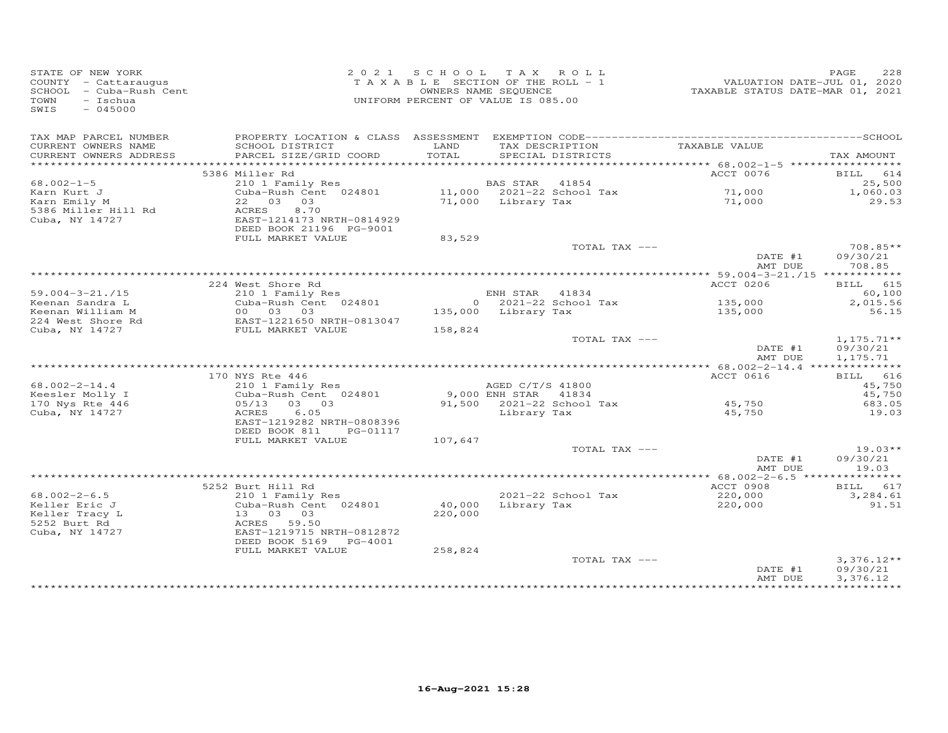| STATE OF NEW YORK<br>COUNTY - Cattaraugus<br>SCHOOL - Cuba-Rush Cent<br>$-$ Ischua<br>TOWN<br>$-045000$<br>SWIS |                                                                                       |               | 2021 SCHOOL TAX ROLL<br>TAXABLE SECTION OF THE ROLL - 1<br>OWNERS NAME SEQUENCE<br>UNIFORM PERCENT OF VALUE IS 085.00 | VALUATION DATE-JUL 01, 2020<br>TAXABLE STATUS DATE-MAR 01, 2021 | PAGE<br>228                           |
|-----------------------------------------------------------------------------------------------------------------|---------------------------------------------------------------------------------------|---------------|-----------------------------------------------------------------------------------------------------------------------|-----------------------------------------------------------------|---------------------------------------|
| TAX MAP PARCEL NUMBER                                                                                           |                                                                                       |               |                                                                                                                       |                                                                 |                                       |
| CURRENT OWNERS NAME<br>CURRENT OWNERS ADDRESS                                                                   | SCHOOL DISTRICT<br>PARCEL SIZE/GRID COORD                                             | LAND<br>TOTAL | TAX DESCRIPTION<br>SPECIAL DISTRICTS                                                                                  | TAXABLE VALUE                                                   | TAX AMOUNT                            |
| ***********************                                                                                         | 5386 Miller Rd                                                                        |               |                                                                                                                       | ACCT 0076                                                       | BILL 614                              |
| $68.002 - 1 - 5$                                                                                                | 210 1 Family Res                                                                      |               | BAS STAR 41854                                                                                                        |                                                                 | 25,500                                |
| Karn Kurt J                                                                                                     | Cuba-Rush Cent 024801                                                                 |               | 11,000 2021-22 School Tax                                                                                             |                                                                 | 1,060.03                              |
| Karn Emily M                                                                                                    | 22 03 03                                                                              |               | 71,000 Library Tax                                                                                                    | 71,000<br>71,000                                                | 29.53                                 |
| 5386 Miller Hill Rd<br>Cuba, NY 14727                                                                           | ACRES<br>8,70<br>EAST-1214173 NRTH-0814929<br>DEED BOOK 21196 PG-9001                 |               |                                                                                                                       |                                                                 |                                       |
|                                                                                                                 | FULL MARKET VALUE                                                                     | 83,529        |                                                                                                                       |                                                                 |                                       |
|                                                                                                                 |                                                                                       |               | TOTAL TAX ---                                                                                                         |                                                                 | 708.85**                              |
|                                                                                                                 |                                                                                       |               |                                                                                                                       | DATE #1<br>AMT DUE                                              | 09/30/21<br>708.85                    |
|                                                                                                                 |                                                                                       |               |                                                                                                                       |                                                                 |                                       |
|                                                                                                                 | 224 West Shore Rd<br>West Shore ka<br>210 1 Family Res<br>Cuba-Rush Cent 024801<br>^^ |               |                                                                                                                       | ACCT 0206                                                       | <b>BILL</b> 615                       |
| $59.004 - 3 - 21.715$                                                                                           |                                                                                       |               | ENH STAR 41834                                                                                                        |                                                                 | 60,100                                |
| Keenan Sandra L                                                                                                 |                                                                                       |               | 0 2021-22 School Tax                                                                                                  | 135,000                                                         | 2,015.56                              |
| Keenan William M<br>224 West Shore Rd                                                                           | 00 03 03<br>EAST-1221650 NRTH-0813047                                                 |               | 135,000 Library Tax                                                                                                   | 135,000                                                         | 56.15                                 |
| Cuba, NY 14727                                                                                                  | FULL MARKET VALUE                                                                     | 158,824       |                                                                                                                       |                                                                 |                                       |
|                                                                                                                 |                                                                                       |               | TOTAL TAX ---                                                                                                         | DATE #1<br>AMT DUE                                              | $1, 175.71**$<br>09/30/21<br>1,175.71 |
|                                                                                                                 |                                                                                       |               |                                                                                                                       |                                                                 |                                       |
|                                                                                                                 | 170 NYS Rte 446                                                                       |               |                                                                                                                       | ACCT 0616                                                       | BILL 616                              |
| $68.002 - 2 - 14.4$                                                                                             | 210 1 Family Res                                                                      |               | AGED C/T/S 41800                                                                                                      |                                                                 | 45,750                                |
| Keesler Molly I                                                                                                 | Cuba-Rush Cent 024801                                                                 |               | 9,000 ENH STAR 41834<br>91,500 2021-22 School Tax                                                                     |                                                                 | 45,750                                |
| 170 Nys Rte 446                                                                                                 | 05/13 03 03                                                                           |               |                                                                                                                       | 45,750                                                          | 683.05                                |
| Cuba, NY 14727                                                                                                  | 6.05<br>ACRES<br>EAST-1219282 NRTH-0808396                                            |               | Library Tax                                                                                                           | 45,750                                                          | 19.03                                 |
|                                                                                                                 | DEED BOOK 811 PG-01117<br>FULL MARKET VALUE                                           | 107,647       |                                                                                                                       |                                                                 |                                       |
|                                                                                                                 |                                                                                       |               | TOTAL TAX ---                                                                                                         |                                                                 | $19.03**$                             |
|                                                                                                                 |                                                                                       |               |                                                                                                                       | DATE #1<br>AMT DUE                                              | 09/30/21<br>19.03                     |
|                                                                                                                 |                                                                                       |               |                                                                                                                       |                                                                 |                                       |
|                                                                                                                 | 5252 Burt Hill Rd                                                                     |               |                                                                                                                       | ACCT 0908                                                       | BILL 617                              |
| $68.002 - 2 - 6.5$                                                                                              | 210 1 Family Res                                                                      |               | 2021-22 School Tax                                                                                                    | 220,000                                                         | 3,284.61                              |
| Keller Eric J<br>Keller Tracy L<br>5252 Burt Rd<br>Cuba, NY 14727                                               | Cuba-Rush Cent 024801<br>13 03 03<br>ACRES 59.50<br>EAST-1219715 NRTH-0812872         | 220,000       | $40,000$ Library Tax                                                                                                  | 220,000                                                         | 91.51                                 |
|                                                                                                                 | DEED BOOK 5169 PG-4001                                                                |               |                                                                                                                       |                                                                 |                                       |
|                                                                                                                 | FULL MARKET VALUE                                                                     | 258,824       |                                                                                                                       |                                                                 |                                       |
|                                                                                                                 |                                                                                       |               | TOTAL TAX ---                                                                                                         | DATE #1                                                         | $3,376.12**$<br>09/30/21              |
|                                                                                                                 |                                                                                       |               |                                                                                                                       | AMT DUE                                                         | 3,376.12<br>**********                |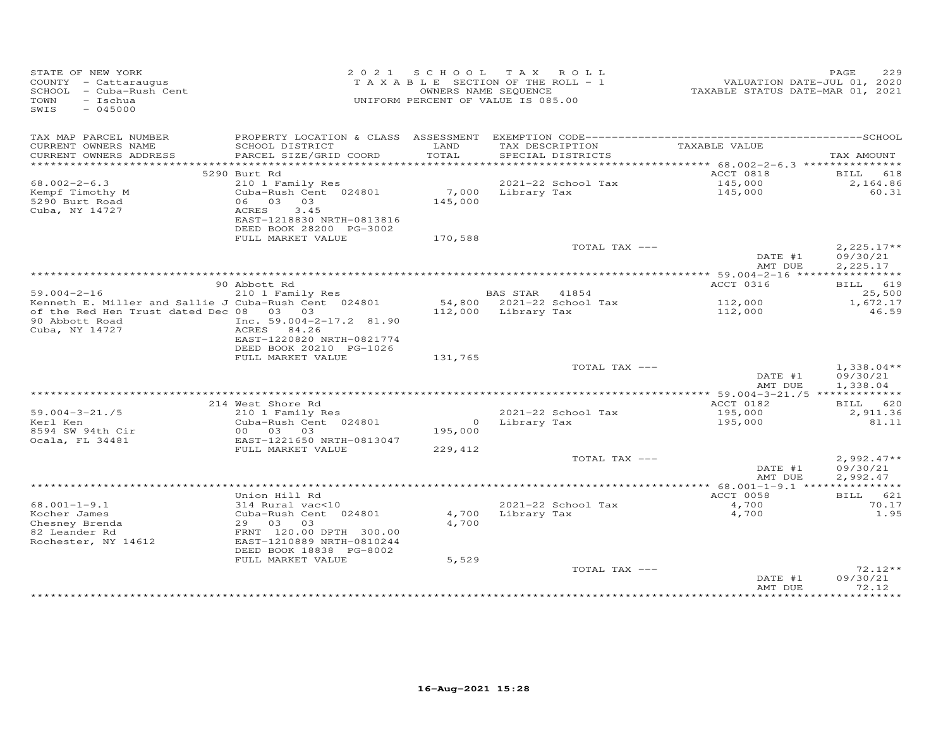| STATE OF NEW YORK<br>COUNTY - Cattaraugus<br>SCHOOL - Cuba-Rush Cent<br>TOWN<br>- Ischua<br>$-045000$<br>SWIS        |                                                                                                                                          | 2021 SCHOOL TAX ROLL<br>TAXABLE SECTION OF THE ROLL - 1<br>UNIFORM PERCENT OF VALUE IS 085.00 | OWNERS NAME SEQUENCE                  |                                         | VALUATION DATE-JUL 01, 2020<br>TAXABLE STATUS DATE-MAR 01, 2021 | PAGE<br>229                          |
|----------------------------------------------------------------------------------------------------------------------|------------------------------------------------------------------------------------------------------------------------------------------|-----------------------------------------------------------------------------------------------|---------------------------------------|-----------------------------------------|-----------------------------------------------------------------|--------------------------------------|
| TAX MAP PARCEL NUMBER<br>CURRENT OWNERS NAME                                                                         | SCHOOL DISTRICT                                                                                                                          | LAND<br>TOTAL                                                                                 |                                       |                                         | TAX DESCRIPTION TAXABLE VALUE                                   |                                      |
| CURRENT OWNERS ADDRESS<br>***********************                                                                    | PARCEL SIZE/GRID COORD                                                                                                                   |                                                                                               |                                       | SPECIAL DISTRICTS                       |                                                                 | TAX AMOUNT                           |
|                                                                                                                      | 5290 Burt Rd                                                                                                                             |                                                                                               |                                       |                                         | ACCT 0818                                                       | BILL 618                             |
| $68.002 - 2 - 6.3$                                                                                                   | 210 1 Family Res                                                                                                                         |                                                                                               |                                       | 2021-22 School Tax                      | 145,000                                                         | 2,164.86                             |
| Kempf Timothy M<br>5290 Burt Road<br>Cuba, NY 14727                                                                  | Cuba-Rush Cent 024801<br>06 03 03<br>ACRES<br>3.45<br>EAST-1218830 NRTH-0813816<br>DEED BOOK 28200 PG-3002                               | 7,000<br>145,000                                                                              |                                       | Library Tax                             | 145,000                                                         | 60.31                                |
|                                                                                                                      | FULL MARKET VALUE                                                                                                                        | 170,588                                                                                       |                                       |                                         |                                                                 |                                      |
|                                                                                                                      |                                                                                                                                          |                                                                                               |                                       | TOTAL TAX ---                           | DATE #1<br>AMT DUE                                              | $2,225.17**$<br>09/30/21<br>2,225.17 |
|                                                                                                                      |                                                                                                                                          |                                                                                               |                                       |                                         |                                                                 |                                      |
|                                                                                                                      | 90 Abbott Rd                                                                                                                             |                                                                                               |                                       |                                         | ACCT 0316                                                       | BILL 619                             |
| $59.004 - 2 - 16$<br>Kenneth E. Miller and Sallie J Cuba-Rush Cent 024801<br>of the Red Hen Trust dated Dec 08 03 03 | 210 1 Family Res                                                                                                                         |                                                                                               | BAS STAR 41854<br>112,000 Library Tax | 54,800 2021-22 School Tax               | 112,000<br>112,000                                              | 25,500<br>1,672.17<br>46.59          |
| 90 Abbott Road<br>Cuba, NY 14727                                                                                     | Inc. $59.004 - 2 - 17.2$ 81.90<br>ACRES 84.26<br>EAST-1220820 NRTH-0821774<br>DEED BOOK 20210 PG-1026<br>FULL MARKET VALUE               | 131,765                                                                                       |                                       |                                         |                                                                 |                                      |
|                                                                                                                      |                                                                                                                                          |                                                                                               |                                       | TOTAL TAX ---                           | DATE #1<br>AMT DUE                                              | $1,338.04**$<br>09/30/21<br>1,338.04 |
|                                                                                                                      |                                                                                                                                          |                                                                                               |                                       |                                         |                                                                 |                                      |
|                                                                                                                      | 214 West Shore Rd                                                                                                                        |                                                                                               |                                       |                                         | ACCT 0182                                                       | BILL 620                             |
| $59.004 - 3 - 21.75$<br>Kerl Ken<br>8594 SW 94th Cir                                                                 | 210 1 Family Res<br>Cuba-Rush Cent 024801<br>00 03 03                                                                                    | 195,000                                                                                       |                                       | 2021-22 School Tax<br>0 Library Tax     | 195,000<br>195,000                                              | 2,911.36<br>81.11                    |
| Ocala, FL 34481                                                                                                      | EAST-1221650 NRTH-0813047<br>FULL MARKET VALUE                                                                                           | 229,412                                                                                       |                                       |                                         |                                                                 |                                      |
|                                                                                                                      |                                                                                                                                          |                                                                                               |                                       | TOTAL TAX ---                           | DATE #1<br>AMT DUE                                              | $2,992.47**$<br>09/30/21<br>2,992.47 |
|                                                                                                                      |                                                                                                                                          |                                                                                               |                                       |                                         |                                                                 |                                      |
|                                                                                                                      | Union Hill Rd                                                                                                                            |                                                                                               |                                       |                                         | ACCT 0058                                                       | BILL 621                             |
| $68.001 - 1 - 9.1$<br>Kocher James<br>Chesney Brenda<br>82 Leander Rd<br>Rochester, NY 14612                         | 314 Rural vac<10<br>Cuba-Rush Cent 024801<br>29 03 03<br>FRNT 120.00 DPTH 300.00<br>EAST-1210889 NRTH-0810244<br>DEED BOOK 18838 PG-8002 | 4,700                                                                                         |                                       | 2021-22 School Tax<br>4,700 Library Tax | 4,700<br>4,700                                                  | 70.17<br>1.95                        |
|                                                                                                                      | FULL MARKET VALUE                                                                                                                        | 5,529                                                                                         |                                       |                                         |                                                                 |                                      |
|                                                                                                                      |                                                                                                                                          |                                                                                               |                                       | TOTAL TAX ---                           | DATE #1<br>AMT DUE                                              | $72.12**$<br>09/30/21<br>72.12       |
|                                                                                                                      |                                                                                                                                          |                                                                                               |                                       |                                         |                                                                 | ********                             |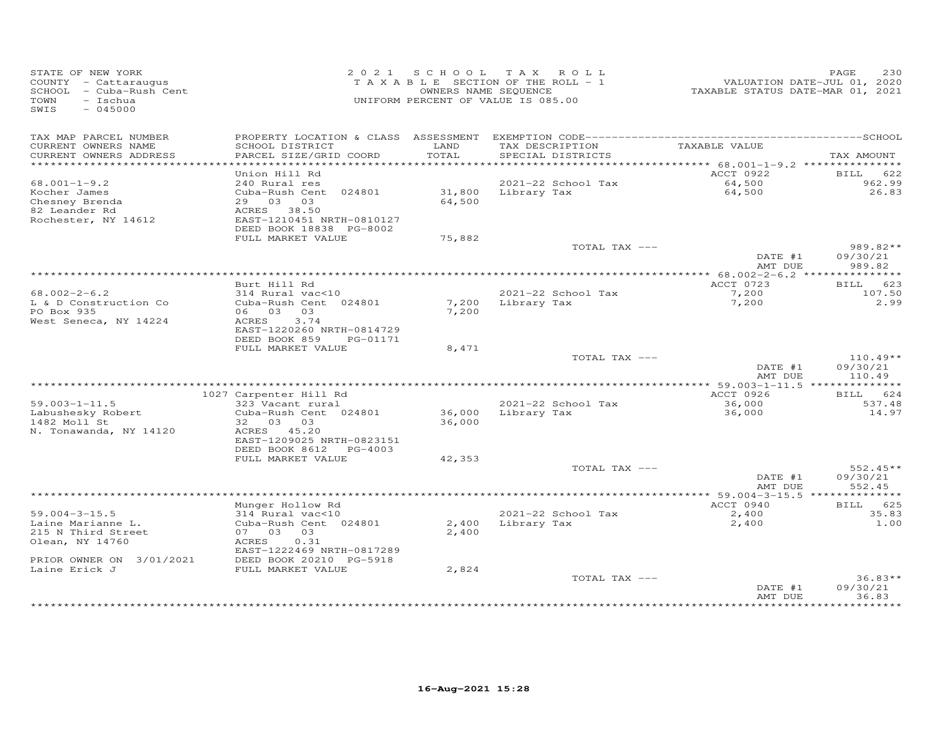| STATE OF NEW YORK<br>COUNTY - Cattaraugus<br>SCHOOL - Cuba-Rush Cent<br>TOWN<br>- Ischua<br>SWIS<br>$-045000$ |                                                |               | 2021 SCHOOL TAX ROLL<br>TAXABLE SECTION OF THE ROLL - 1<br>OWNERS NAME SEQUENCE<br>UNIFORM PERCENT OF VALUE IS 085.00 |                    | 230<br>PAGE                  |
|---------------------------------------------------------------------------------------------------------------|------------------------------------------------|---------------|-----------------------------------------------------------------------------------------------------------------------|--------------------|------------------------------|
| TAX MAP PARCEL NUMBER                                                                                         |                                                |               |                                                                                                                       |                    |                              |
| CURRENT OWNERS NAME<br>CURRENT OWNERS ADDRESS                                                                 | SCHOOL DISTRICT<br>PARCEL SIZE/GRID COORD      | LAND<br>TOTAL | TAX DESCRIPTION<br>SPECIAL DISTRICTS                                                                                  | TAXABLE VALUE      | TAX AMOUNT                   |
|                                                                                                               |                                                |               |                                                                                                                       |                    |                              |
| $68.001 - 1 - 9.2$                                                                                            | Union Hill Rd<br>240 Rural res                 |               | 2021-22 School Tax                                                                                                    | ACCT 0922          | <b>BILL</b><br>622<br>962.99 |
| Kocher James                                                                                                  | Cuba-Rush Cent 024801                          |               | 31,800 Library Tax                                                                                                    | 64,500<br>64,500   | 26.83                        |
| Chesney Brenda<br>82 Leander Rd                                                                               | 29 03 03                                       | 64,500        |                                                                                                                       |                    |                              |
| 82 Leander Rd                                                                                                 | ACRES 38.50                                    |               |                                                                                                                       |                    |                              |
| Rochester, NY 14612                                                                                           | EAST-1210451 NRTH-0810127                      |               |                                                                                                                       |                    |                              |
|                                                                                                               | DEED BOOK 18838 PG-8002<br>FULL MARKET VALUE   | 75,882        |                                                                                                                       |                    |                              |
|                                                                                                               |                                                |               | TOTAL TAX ---                                                                                                         |                    | 989.82**                     |
|                                                                                                               |                                                |               |                                                                                                                       | DATE #1<br>AMT DUE | 09/30/21<br>989.82           |
|                                                                                                               |                                                |               |                                                                                                                       |                    |                              |
|                                                                                                               | Burt Hill Rd                                   |               |                                                                                                                       | ACCT 0723          | BILL 623                     |
| $68.002 - 2 - 6.2$<br>L & D Construction Co                                                                   | 314 Rural vac<10<br>Cuba-Rush Cent 024801      |               | 2021-22 School Tax<br>7,200 Library Tax                                                                               | 7,200<br>7,200     | 107.50<br>2.99               |
| PO Box 935                                                                                                    | 06 03 03                                       | 7,200         |                                                                                                                       |                    |                              |
| West Seneca, NY 14224                                                                                         | ACRES<br>3.74                                  |               |                                                                                                                       |                    |                              |
|                                                                                                               | EAST-1220260 NRTH-0814729                      |               |                                                                                                                       |                    |                              |
|                                                                                                               | DEED BOOK 859<br>PG-01171<br>FULL MARKET VALUE | 8,471         |                                                                                                                       |                    |                              |
|                                                                                                               |                                                |               | TOTAL TAX ---                                                                                                         |                    | $110.49**$                   |
|                                                                                                               |                                                |               |                                                                                                                       | DATE #1            | 09/30/21                     |
|                                                                                                               |                                                |               |                                                                                                                       | AMT DUE            | 110.49                       |
|                                                                                                               | 1027 Carpenter Hill Rd                         |               |                                                                                                                       | ACCT 0926          | BILL 624                     |
| $59.003 - 1 - 11.5$                                                                                           | 323 Vacant rural                               |               | 2021-22 School Tax                                                                                                    | 36,000             | 537.48                       |
| Dy. 000 - 1 11<br>Labushesky Robert                                                                           | Cuba-Rush Cent 024801                          | 36,000        | Library Tax                                                                                                           | 36,000             | 14.97                        |
| 1482 Moll St                                                                                                  | 32 03 03                                       | 36,000        |                                                                                                                       |                    |                              |
| N. Tonawanda, NY 14120                                                                                        | ACRES 45.20<br>EAST-1209025 NRTH-0823151       |               |                                                                                                                       |                    |                              |
|                                                                                                               | DEED BOOK 8612 PG-4003                         |               |                                                                                                                       |                    |                              |
|                                                                                                               | FULL MARKET VALUE                              | 42,353        |                                                                                                                       |                    |                              |
|                                                                                                               |                                                |               | TOTAL TAX ---                                                                                                         |                    | $552.45**$                   |
|                                                                                                               |                                                |               |                                                                                                                       | DATE #1<br>AMT DUE | 09/30/21<br>552.45           |
|                                                                                                               |                                                |               |                                                                                                                       |                    |                              |
|                                                                                                               | Munger Hollow Rd                               |               |                                                                                                                       | ACCT 0940          | BILL 625                     |
| $59.004 - 3 - 15.5$                                                                                           | 314 Rural vac<10                               |               | 2021-22 School Tax                                                                                                    | $2,400$<br>2.400   | 35.83                        |
| Laine Marianne L.<br>215 N Third Street                                                                       | Cuba-Rush Cent 024801<br>07 03 03              | 2,400         | 2,400 Library Tax                                                                                                     |                    | 1.00                         |
| Olean, NY 14760                                                                                               | ACRES<br>0.31                                  |               |                                                                                                                       |                    |                              |
|                                                                                                               | EAST-1222469 NRTH-0817289                      |               |                                                                                                                       |                    |                              |
| PRIOR OWNER ON 3/01/2021                                                                                      | DEED BOOK 20210 PG-5918                        |               |                                                                                                                       |                    |                              |
| Laine Erick J                                                                                                 | FULL MARKET VALUE                              | 2,824         |                                                                                                                       |                    |                              |
|                                                                                                               |                                                |               | TOTAL TAX ---                                                                                                         | DATE #1            | $36.83**$<br>09/30/21        |
|                                                                                                               |                                                |               |                                                                                                                       | AMT DUE            | 36.83                        |
|                                                                                                               |                                                |               |                                                                                                                       |                    | *******                      |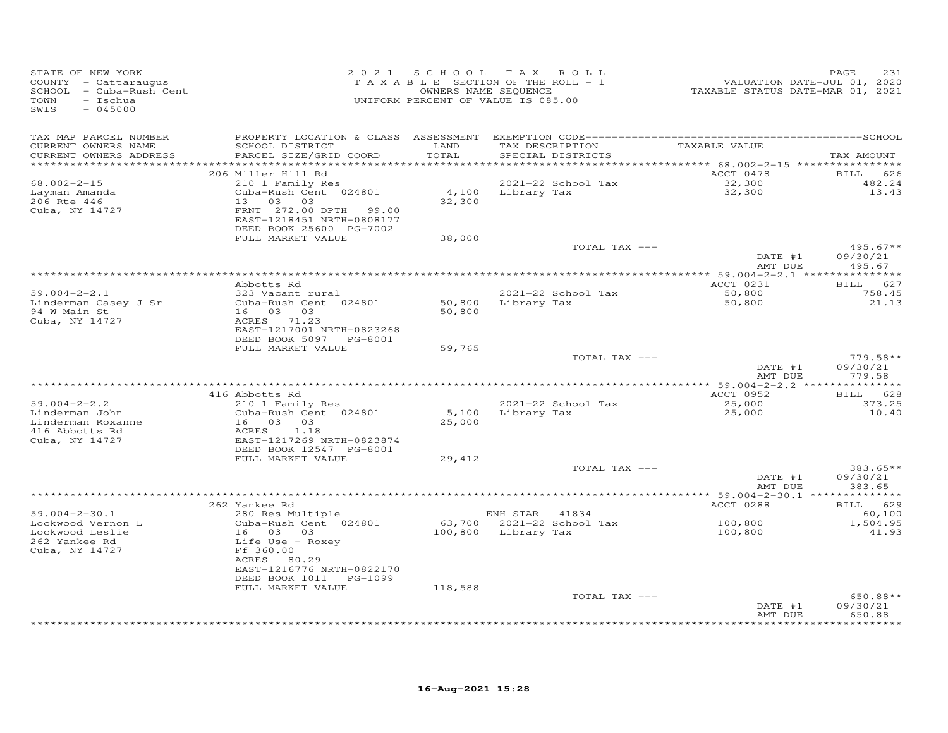| STATE OF NEW YORK<br>COUNTY - Cattaraugus<br>SCHOOL - Cuba-Rush Cent<br>TOWN<br>- Ischua<br>SWIS<br>$-045000$ | 2021 SCHOOL TAX ROLL<br>TAXABLE SECTION OF THE ROLL - 1<br>UNIFORM PERCENT OF VALUE IS 085.00 | OWNERS NAME SEQUENCE                        | VALUATION DATE-JUL 01, 2020<br>TAXABLE STATUS DATE-MAR 01, 2021 | PAGE<br>231                   |
|---------------------------------------------------------------------------------------------------------------|-----------------------------------------------------------------------------------------------|---------------------------------------------|-----------------------------------------------------------------|-------------------------------|
| TAX MAP PARCEL NUMBER<br>CURRENT OWNERS NAME<br>SCHOOL DISTRICT                                               | LAND                                                                                          | TAX DESCRIPTION                             | TAXABLE VALUE                                                   |                               |
| CURRENT OWNERS ADDRESS<br>PARCEL SIZE/GRID COORD<br>**********************                                    | TOTAL<br>* * * * * * * * * *                                                                  | SPECIAL DISTRICTS                           | ************ 68.002-2-15 *****************                      | TAX AMOUNT                    |
| 206 Miller Hill Rd                                                                                            |                                                                                               |                                             | ACCT 0478                                                       | BILL 626                      |
| $68.002 - 2 - 15$<br>210 1 Family Res                                                                         |                                                                                               | 2021-22 School Tax                          | 32,300                                                          | 482.24                        |
| Cuba-Rush Cent 024801<br>Layman Amanda                                                                        |                                                                                               | 4,100 Library Tax                           | 32,300                                                          | 13.43                         |
| 206 Rte 446<br>13 03<br>03                                                                                    | 32,300                                                                                        |                                             |                                                                 |                               |
| Cuba, NY 14727<br>FRNT 272.00 DPTH<br>EAST-1218451 NRTH-0808177<br>DEED BOOK 25600 PG-7002                    | 99.00                                                                                         |                                             |                                                                 |                               |
| FULL MARKET VALUE                                                                                             | 38,000                                                                                        |                                             |                                                                 |                               |
|                                                                                                               |                                                                                               | TOTAL TAX ---                               |                                                                 | $495.67**$                    |
|                                                                                                               |                                                                                               |                                             | DATE #1                                                         | 09/30/21                      |
|                                                                                                               |                                                                                               |                                             | AMT DUE                                                         | 495.67                        |
| Abbotts Rd                                                                                                    |                                                                                               |                                             | ACCT 0231                                                       | BILL 627                      |
| $59.004 - 2 - 2.1$<br>323 Vacant rural                                                                        |                                                                                               | 2021-22 School Tax                          | 50,800                                                          | 758.45                        |
| Linderman Casey J Sr<br>Cuba-Rush Cent 024801                                                                 | 50,800                                                                                        | Library Tax                                 | 50,800                                                          | 21.13                         |
| 16 03 03<br>94 W Main St                                                                                      | 50,800                                                                                        |                                             |                                                                 |                               |
| Cuba, NY 14727<br>ACRES 71.23                                                                                 |                                                                                               |                                             |                                                                 |                               |
| EAST-1217001 NRTH-0823268                                                                                     |                                                                                               |                                             |                                                                 |                               |
| DEED BOOK 5097 PG-8001<br>FULL MARKET VALUE                                                                   | 59,765                                                                                        |                                             |                                                                 |                               |
|                                                                                                               |                                                                                               | TOTAL TAX ---                               |                                                                 | $779.58**$                    |
|                                                                                                               |                                                                                               |                                             | DATE #1                                                         | 09/30/21                      |
|                                                                                                               |                                                                                               |                                             | AMT DUE                                                         | 779.58                        |
|                                                                                                               |                                                                                               |                                             | *********** 59.004-2-2.2 ***                                    | ************                  |
| 416 Abbotts Rd<br>$59.004 - 2 - 2.2$<br>210 1 Family Res                                                      |                                                                                               | 2021-22 School Tax                          | ACCT 0952<br>25,000                                             | BILL 628<br>373.25            |
| Linderman John<br>Cuba-Rush Cent 024801                                                                       | 5,100                                                                                         | Library Tax                                 | 25,000                                                          | 10.40                         |
| Linderman Roxanne<br>16 03 03                                                                                 | 25,000                                                                                        |                                             |                                                                 |                               |
| 416 Abbotts Rd<br>ACRES<br>1.18                                                                               |                                                                                               |                                             |                                                                 |                               |
| EAST-1217269 NRTH-0823874<br>Cuba, NY 14727                                                                   |                                                                                               |                                             |                                                                 |                               |
| DEED BOOK 12547 PG-8001<br>FULL MARKET VALUE                                                                  | 29,412                                                                                        |                                             |                                                                 |                               |
|                                                                                                               |                                                                                               | TOTAL TAX ---                               |                                                                 | $383.65**$                    |
|                                                                                                               |                                                                                               |                                             | DATE #1                                                         | 09/30/21                      |
|                                                                                                               |                                                                                               |                                             | AMT DUE                                                         | 383.65                        |
|                                                                                                               |                                                                                               |                                             |                                                                 |                               |
| 262 Yankee Rd                                                                                                 |                                                                                               |                                             | ACCT 0288                                                       | BILL 629<br>60,100            |
| $59.004 - 2 - 30.1$<br>280 Res Multiple<br>Lockwood Vernon L<br>Cuba-Rush Cent 024801                         |                                                                                               | ENH STAR 41834<br>63,700 2021-22 School Tax | 100,800                                                         | 1,504.95                      |
| Lockwood Leslie<br>16 03 03                                                                                   | 100,800                                                                                       | Library Tax                                 | 100,800                                                         | 41.93                         |
| 262 Yankee Rd<br>Life Use - Roxey                                                                             |                                                                                               |                                             |                                                                 |                               |
| Cuba, NY 14727<br>Ff 360.00                                                                                   |                                                                                               |                                             |                                                                 |                               |
| ACRES 80.29                                                                                                   |                                                                                               |                                             |                                                                 |                               |
| EAST-1216776 NRTH-0822170<br>DEED BOOK 1011 PG-1099                                                           |                                                                                               |                                             |                                                                 |                               |
| FULL MARKET VALUE                                                                                             | 118,588                                                                                       |                                             |                                                                 |                               |
|                                                                                                               |                                                                                               | TOTAL TAX ---                               |                                                                 | 650.88**                      |
|                                                                                                               |                                                                                               |                                             | DATE #1                                                         | 09/30/21                      |
|                                                                                                               |                                                                                               |                                             | AMT DUE                                                         | 650.88<br>* * * * * * * * * * |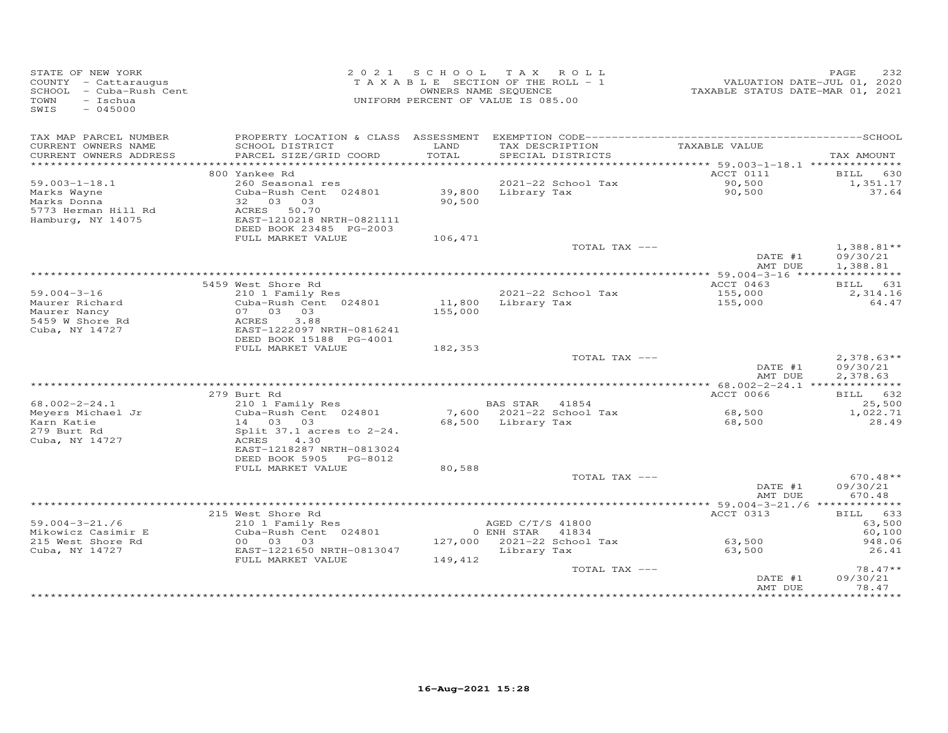| STATE OF NEW YORK<br>COUNTY - Cattaraugus<br>SCHOOL - Cuba-Rush Cent<br>TOWN<br>$-$ Ischua<br>SWIS<br>$-045000$ |                                                      |         | 2021 SCHOOL TAX ROLL<br>TAXABLE SECTION OF THE ROLL - 1<br>OWNERS NAME SEQUENCE<br>UNIFORM PERCENT OF VALUE IS 085.00 | TAXABLE STATUS DATE-MAR 01, 2021 | PAGE<br>232<br>VALUATION DATE-JUL 01, 2020 |
|-----------------------------------------------------------------------------------------------------------------|------------------------------------------------------|---------|-----------------------------------------------------------------------------------------------------------------------|----------------------------------|--------------------------------------------|
| TAX MAP PARCEL NUMBER<br>CURRENT OWNERS NAME                                                                    | SCHOOL DISTRICT                                      | LAND    | TAX DESCRIPTION                                                                                                       | TAXABLE VALUE                    |                                            |
| CURRENT OWNERS ADDRESS                                                                                          | PARCEL SIZE/GRID COORD                               | TOTAL   | SPECIAL DISTRICTS                                                                                                     |                                  | TAX AMOUNT                                 |
|                                                                                                                 |                                                      |         |                                                                                                                       |                                  |                                            |
| $59.003 - 1 - 18.1$                                                                                             | 800 Yankee Rd                                        |         |                                                                                                                       | ACCT 0111                        | <b>BILL</b> 630                            |
| Marks Wayne                                                                                                     | 260 Seasonal res<br>Cuba-Rush Cent 024801            | 39,800  | 2021-22 School Tax<br>Library Tax                                                                                     | 90,500<br>90,500                 | 1,351.17<br>37.64                          |
| Marks Donna                                                                                                     | 32 03 03                                             | 90,500  |                                                                                                                       |                                  |                                            |
| 5773 Herman Hill Rd                                                                                             | ACRES 50.70                                          |         |                                                                                                                       |                                  |                                            |
| Hamburg, NY 14075                                                                                               | EAST-1210218 NRTH-0821111                            |         |                                                                                                                       |                                  |                                            |
|                                                                                                                 | DEED BOOK 23485 PG-2003                              |         |                                                                                                                       |                                  |                                            |
|                                                                                                                 | FULL MARKET VALUE                                    | 106,471 | TOTAL TAX ---                                                                                                         |                                  | $1,388.81**$                               |
|                                                                                                                 |                                                      |         |                                                                                                                       | DATE #1                          | 09/30/21                                   |
|                                                                                                                 |                                                      |         |                                                                                                                       | AMT DUE                          | 1,388.81                                   |
|                                                                                                                 |                                                      |         |                                                                                                                       |                                  |                                            |
| $59.004 - 3 - 16$                                                                                               | 5459 West Shore Rd<br>210 1 Family Res               |         | 2021-22 School Tax                                                                                                    | ACCT 0463<br>155,000             | BILL 631<br>2,314.16                       |
| Maurer Richard                                                                                                  | Cuba-Rush Cent 024801                                |         | 11,800 Library Tax                                                                                                    | 155,000                          | 64.47                                      |
| Maurer Nancy                                                                                                    | 07 03 03                                             | 155,000 |                                                                                                                       |                                  |                                            |
| 5459 W Shore Rd                                                                                                 | ACRES<br>3.88                                        |         |                                                                                                                       |                                  |                                            |
| Cuba, NY 14727                                                                                                  | EAST-1222097 NRTH-0816241<br>DEED BOOK 15188 PG-4001 |         |                                                                                                                       |                                  |                                            |
|                                                                                                                 | FULL MARKET VALUE                                    | 182,353 |                                                                                                                       |                                  |                                            |
|                                                                                                                 |                                                      |         | TOTAL TAX ---                                                                                                         |                                  | $2,378.63**$                               |
|                                                                                                                 |                                                      |         |                                                                                                                       | DATE #1                          | 09/30/21                                   |
|                                                                                                                 |                                                      |         |                                                                                                                       | AMT DUE                          | 2,378.63                                   |
|                                                                                                                 | 279 Burt Rd                                          |         |                                                                                                                       | ACCT 0066                        | BILL 632                                   |
| $68.002 - 2 - 24.1$                                                                                             | 210 1 Family Res                                     |         | BAS STAR 41854                                                                                                        |                                  | 25,500                                     |
| Meyers Michael Jr                                                                                               | Cuba-Rush Cent 024801                                |         | 7,600 2021-22 School Tax                                                                                              | 68,500                           | 1,022.71                                   |
| Karn Katie                                                                                                      | 14 03 03                                             |         | 68,500 Library Tax                                                                                                    | 68,500                           | 28.49                                      |
| 279 Burt Rd                                                                                                     | Split $37.1$ acres to $2-24$ .                       |         |                                                                                                                       |                                  |                                            |
| Cuba, NY 14727                                                                                                  | ACRES<br>4.30<br>EAST-1218287 NRTH-0813024           |         |                                                                                                                       |                                  |                                            |
|                                                                                                                 | DEED BOOK 5905 PG-8012                               |         |                                                                                                                       |                                  |                                            |
|                                                                                                                 | FULL MARKET VALUE                                    | 80,588  |                                                                                                                       |                                  |                                            |
|                                                                                                                 |                                                      |         | TOTAL TAX ---                                                                                                         |                                  | $670.48**$                                 |
|                                                                                                                 |                                                      |         |                                                                                                                       | DATE #1                          | 09/30/21                                   |
|                                                                                                                 |                                                      |         |                                                                                                                       | AMT DUE                          | 670.48                                     |
|                                                                                                                 | 215 West Shore Rd                                    |         |                                                                                                                       | ACCT 0313                        | BILL 633                                   |
| $59.004 - 3 - 21.76$                                                                                            | 210 1 Family Res                                     |         | AGED C/T/S 41800                                                                                                      |                                  | 63,500                                     |
| Mikowicz Casimir E                                                                                              | Cuba-Rush Cent 024801                                |         | 0 ENH STAR 41834                                                                                                      |                                  | 60,100                                     |
| 215 West Shore Rd                                                                                               | 00 03 03                                             |         | 127,000 2021-22 School Tax                                                                                            | 63,500                           | 948.06                                     |
| Cuba, NY 14727                                                                                                  | EAST-1221650 NRTH-0813047<br>FULL MARKET VALUE       | 149,412 | Library Tax                                                                                                           | 63,500                           | 26.41                                      |
|                                                                                                                 |                                                      |         | TOTAL TAX ---                                                                                                         |                                  | $78.47**$                                  |
|                                                                                                                 |                                                      |         |                                                                                                                       | DATE #1                          | 09/30/21                                   |
|                                                                                                                 |                                                      |         |                                                                                                                       | AMT DUE                          | 78.47                                      |
|                                                                                                                 |                                                      |         |                                                                                                                       |                                  | ********                                   |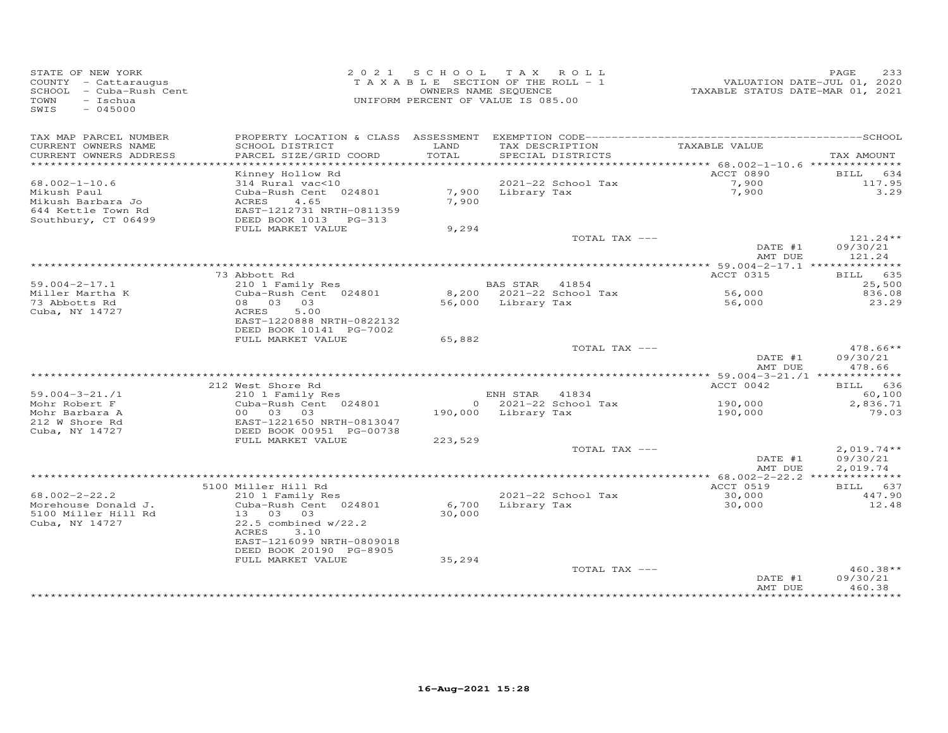| STATE OF NEW YORK<br>COUNTY - Cattaraugus<br>SCHOOL - Cuba-Rush Cent<br>TOWN<br>- Ischua<br>SWIS<br>$-045000$ |                                               | 2021 SCHOOL TAX ROLL<br>TAXABLE SECTION OF THE ROLL - 1<br>OWNERS NAME SEQUENCE<br>UNIFORM PERCENT OF VALUE IS 085.00 |                     |                                      | VALUATION DATE-JUL 01, 2020<br>TAXABLE STATUS DATE-MAR 01, 2021 | 233<br>PAGE        |
|---------------------------------------------------------------------------------------------------------------|-----------------------------------------------|-----------------------------------------------------------------------------------------------------------------------|---------------------|--------------------------------------|-----------------------------------------------------------------|--------------------|
| TAX MAP PARCEL NUMBER                                                                                         |                                               |                                                                                                                       |                     |                                      |                                                                 |                    |
| CURRENT OWNERS NAME<br>CURRENT OWNERS ADDRESS                                                                 | SCHOOL DISTRICT<br>PARCEL SIZE/GRID COORD     | LAND<br>TOTAL                                                                                                         |                     | TAX DESCRIPTION<br>SPECIAL DISTRICTS | TAXABLE VALUE                                                   | TAX AMOUNT         |
| ***********************                                                                                       |                                               |                                                                                                                       |                     |                                      | ACCT 0890                                                       | BILL 634           |
| $68.002 - 1 - 10.6$                                                                                           | Kinney Hollow Rd<br>314 Rural vac<10          |                                                                                                                       |                     | 2021-22 School Tax                   | 7,900                                                           | 117.95             |
| Mikush Paul                                                                                                   | Cuba-Rush Cent 024801                         |                                                                                                                       | 7,900 Library Tax   |                                      | 7,900                                                           | 3.29               |
| Mikush Barbara Jo                                                                                             | ACRES<br>4.65                                 | 7,900                                                                                                                 |                     |                                      |                                                                 |                    |
| 644 Kettle Town Rd                                                                                            | EAST-1212731 NRTH-0811359                     |                                                                                                                       |                     |                                      |                                                                 |                    |
| Southbury, CT 06499                                                                                           | DEED BOOK 1013 PG-313                         |                                                                                                                       |                     |                                      |                                                                 |                    |
|                                                                                                               | FULL MARKET VALUE                             | 9,294                                                                                                                 |                     | TOTAL TAX ---                        |                                                                 | $121.24**$         |
|                                                                                                               |                                               |                                                                                                                       |                     |                                      | DATE #1                                                         | 09/30/21           |
|                                                                                                               |                                               |                                                                                                                       |                     |                                      | AMT DUE                                                         | 121.24             |
|                                                                                                               |                                               |                                                                                                                       |                     |                                      |                                                                 |                    |
|                                                                                                               | 73 Abbott Rd                                  |                                                                                                                       |                     |                                      | ACCT 0315                                                       | BILL 635           |
| $59.004 - 2 - 17.1$                                                                                           | 210 1 Family Res                              |                                                                                                                       | BAS STAR 41854      |                                      |                                                                 | 25,500             |
| Miller Martha K                                                                                               | Cuba-Rush Cent 024801<br>08 03 03             |                                                                                                                       |                     | 8,200 2021-22 School Tax             | 56,000                                                          | 836.08             |
| 73 Abbotts Rd<br>Cuba, NY 14727                                                                               | 5.00<br>ACRES                                 |                                                                                                                       | 56,000 Library Tax  |                                      | 56,000                                                          | 23.29              |
|                                                                                                               | EAST-1220888 NRTH-0822132                     |                                                                                                                       |                     |                                      |                                                                 |                    |
|                                                                                                               | DEED BOOK 10141 PG-7002                       |                                                                                                                       |                     |                                      |                                                                 |                    |
|                                                                                                               | FULL MARKET VALUE                             | 65,882                                                                                                                |                     |                                      |                                                                 |                    |
|                                                                                                               |                                               |                                                                                                                       |                     | TOTAL TAX ---                        |                                                                 | 478.66**           |
|                                                                                                               |                                               |                                                                                                                       |                     |                                      | DATE #1                                                         | 09/30/21<br>478.66 |
|                                                                                                               |                                               |                                                                                                                       |                     |                                      | AMT DUE                                                         |                    |
|                                                                                                               | 212 West Shore Rd                             |                                                                                                                       |                     |                                      | ACCT 0042                                                       | BILL 636           |
| $59.004 - 3 - 21.71$                                                                                          | 210 1 Family Res                              |                                                                                                                       | ENH STAR 41834      |                                      |                                                                 | 60,100             |
| Mohr Robert F                                                                                                 | Cuba-Rush Cent 024801                         |                                                                                                                       |                     | $0$ 2021-22 School Tax               | 190,000                                                         | 2,836.71           |
| Mohr Barbara A                                                                                                | 00 03<br>03                                   |                                                                                                                       | 190,000 Library Tax |                                      | 190,000                                                         | 79.03              |
| 212 W Shore Rd                                                                                                | EAST-1221650 NRTH-0813047                     |                                                                                                                       |                     |                                      |                                                                 |                    |
| Cuba, NY 14727                                                                                                | DEED BOOK 00951 PG-00738<br>FULL MARKET VALUE | 223,529                                                                                                               |                     |                                      |                                                                 |                    |
|                                                                                                               |                                               |                                                                                                                       |                     | TOTAL TAX ---                        |                                                                 | $2,019.74**$       |
|                                                                                                               |                                               |                                                                                                                       |                     |                                      | DATE #1                                                         | 09/30/21           |
|                                                                                                               |                                               |                                                                                                                       |                     |                                      | AMT DUE                                                         | 2,019.74           |
|                                                                                                               |                                               |                                                                                                                       |                     |                                      |                                                                 |                    |
|                                                                                                               | 5100 Miller Hill Rd                           |                                                                                                                       |                     |                                      | ACCT 0519                                                       | BILL 637           |
| $68.002 - 2 - 22.2$<br>Morehouse Donald J.                                                                    | 210 1 Family Res<br>Cuba-Rush Cent 024801     | 6,700                                                                                                                 | Library Tax         | 2021-22 School Tax                   | 30,000<br>30,000                                                | 447.90<br>12.48    |
| 5100 Miller Hill Rd                                                                                           | 13 03 03                                      | 30,000                                                                                                                |                     |                                      |                                                                 |                    |
| Cuba, NY 14727                                                                                                | $22.5$ combined $w/22.2$                      |                                                                                                                       |                     |                                      |                                                                 |                    |
|                                                                                                               | ACRES<br>3.10                                 |                                                                                                                       |                     |                                      |                                                                 |                    |
|                                                                                                               | EAST-1216099 NRTH-0809018                     |                                                                                                                       |                     |                                      |                                                                 |                    |
|                                                                                                               | DEED BOOK 20190 PG-8905                       |                                                                                                                       |                     |                                      |                                                                 |                    |
|                                                                                                               | FULL MARKET VALUE                             | 35,294                                                                                                                |                     | TOTAL TAX ---                        |                                                                 | 460.38**           |
|                                                                                                               |                                               |                                                                                                                       |                     |                                      | DATE #1                                                         | 09/30/21           |
|                                                                                                               |                                               |                                                                                                                       |                     |                                      | AMT DUE                                                         | 460.38             |
|                                                                                                               |                                               |                                                                                                                       |                     |                                      |                                                                 |                    |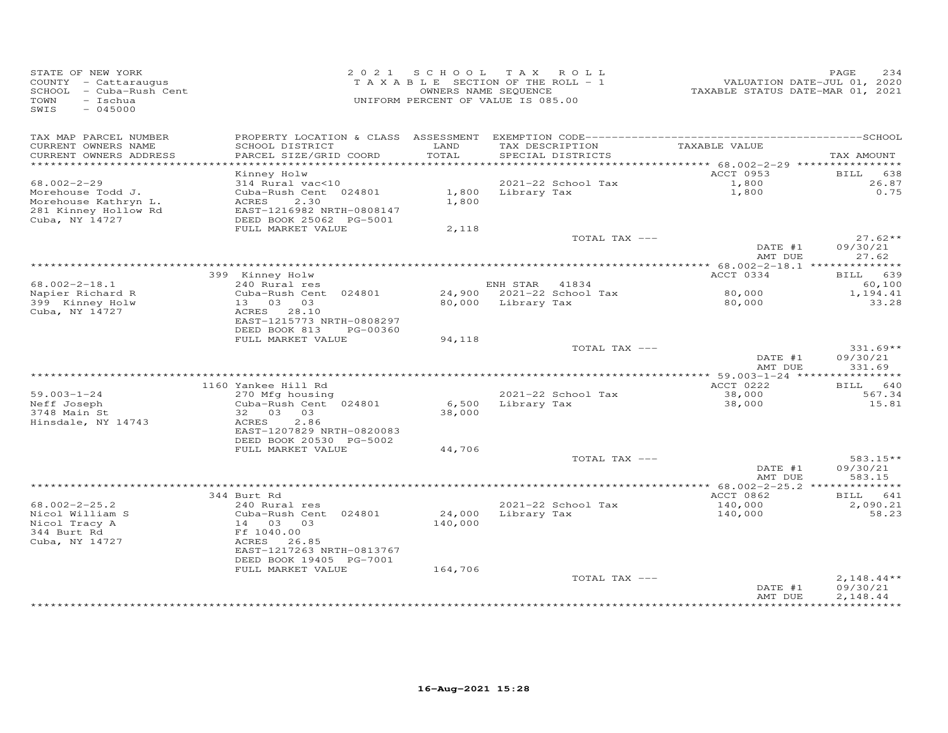| STATE OF NEW YORK<br>COUNTY - Cattaraugus<br>SCHOOL - Cuba-Rush Cent<br>TOWN<br>- Ischua<br>$-045000$<br>SWIS |                                                                                                | 2021 SCHOOL       | TAX ROLL<br>TAXABLE SECTION OF THE ROLL - 1<br>OWNERS NAME SEQUENCE<br>UNIFORM PERCENT OF VALUE IS 085.00 | VALUATION DATE-JUL 01, 2020<br>TAXABLE STATUS DATE-MAR 01, 2021 | 234<br>PAGE                          |
|---------------------------------------------------------------------------------------------------------------|------------------------------------------------------------------------------------------------|-------------------|-----------------------------------------------------------------------------------------------------------|-----------------------------------------------------------------|--------------------------------------|
| TAX MAP PARCEL NUMBER<br>CURRENT OWNERS NAME<br>CURRENT OWNERS ADDRESS                                        | SCHOOL DISTRICT<br>PARCEL SIZE/GRID COORD                                                      | LAND<br>TOTAL     | TAX DESCRIPTION<br>SPECIAL DISTRICTS                                                                      | TAXABLE VALUE                                                   | TAX AMOUNT                           |
| **********************                                                                                        |                                                                                                |                   |                                                                                                           | ********** 68.002-2-29 *****************                        |                                      |
|                                                                                                               | Kinney Holw                                                                                    |                   |                                                                                                           | ACCT 0953                                                       | BILL<br>638                          |
| $68.002 - 2 - 29$                                                                                             | 314 Rural vac<10                                                                               |                   | 2021-22 School Tax                                                                                        | 1,800                                                           | 26.87                                |
| Morehouse Todd J.<br>Morehouse Kathryn L.<br>281 Kinney Hollow Rd<br>Cuba, NY 14727                           | Cuba-Rush Cent 024801<br>ACRES<br>2.30<br>EAST-1216982 NRTH-0808147<br>DEED BOOK 25062 PG-5001 | 1,800             | 1,800 Library Tax                                                                                         | 1,800                                                           | 0.75                                 |
|                                                                                                               | FULL MARKET VALUE                                                                              | 2,118             |                                                                                                           |                                                                 |                                      |
|                                                                                                               |                                                                                                |                   | TOTAL TAX ---                                                                                             | DATE #1<br>AMT DUE                                              | $27.62**$<br>09/30/21<br>27.62       |
|                                                                                                               |                                                                                                |                   |                                                                                                           |                                                                 |                                      |
|                                                                                                               | 399 Kinney Holw                                                                                |                   |                                                                                                           | ACCT 0334                                                       | BILL 639                             |
| $68.002 - 2 - 18.1$                                                                                           | 240 Rural res                                                                                  |                   | ENH STAR 41834                                                                                            |                                                                 | 60,100                               |
| Napier Richard R<br>399 Kinney Holw                                                                           | Cuba-Rush Cent 024801<br>13 03 03                                                              | 80,000            | 24,900 2021-22 School Tax<br>Library Tax                                                                  | 80,000<br>80,000                                                | 1,194.41<br>33.28                    |
| Cuba, NY 14727                                                                                                | ACRES 28.10<br>EAST-1215773 NRTH-0808297<br>DEED BOOK 813<br>PG-00360                          |                   |                                                                                                           |                                                                 |                                      |
|                                                                                                               | FULL MARKET VALUE                                                                              | 94,118            |                                                                                                           |                                                                 |                                      |
|                                                                                                               |                                                                                                |                   | TOTAL TAX ---                                                                                             | DATE #1                                                         | $331.69**$<br>09/30/21               |
|                                                                                                               |                                                                                                |                   |                                                                                                           | AMT DUE<br>*************** 59.003-1-24 *****************        | 331.69                               |
|                                                                                                               | 1160 Yankee Hill Rd                                                                            |                   |                                                                                                           | ACCT 0222                                                       | BILL 640                             |
| $59.003 - 1 - 24$                                                                                             | 270 Mfg housing                                                                                |                   | 2021-22 School Tax                                                                                        | 38,000                                                          | 567.34                               |
| Neff Joseph                                                                                                   | Cuba-Rush Cent 024801                                                                          |                   | 6,500 Library Tax                                                                                         | 38,000                                                          | 15.81                                |
| 3748 Main St<br>Hinsdale, NY 14743                                                                            | 32 03 03<br>ACRES<br>2.86                                                                      | 38,000            |                                                                                                           |                                                                 |                                      |
|                                                                                                               | EAST-1207829 NRTH-0820083                                                                      |                   |                                                                                                           |                                                                 |                                      |
|                                                                                                               | DEED BOOK 20530 PG-5002<br>FULL MARKET VALUE                                                   | 44,706            |                                                                                                           |                                                                 |                                      |
|                                                                                                               |                                                                                                |                   | TOTAL TAX ---                                                                                             |                                                                 | $583.15**$                           |
|                                                                                                               |                                                                                                |                   |                                                                                                           | DATE #1<br>AMT DUE                                              | 09/30/21<br>583.15                   |
|                                                                                                               |                                                                                                |                   |                                                                                                           |                                                                 |                                      |
|                                                                                                               | 344 Burt Rd                                                                                    |                   |                                                                                                           | ACCT 0862                                                       | BILL 641                             |
| $68.002 - 2 - 25.2$                                                                                           | 240 Rural res                                                                                  |                   | 2021-22 School Tax                                                                                        | 140,000                                                         | 2,090.21                             |
| Nicol William S<br>Nicol Tracy A<br>344 Burt Rd<br>Cuba, NY 14727                                             | Cuba-Rush Cent 024801<br>14 03 03<br>Ff 1040.00<br>ACRES 26.85<br>EAST-1217263 NRTH-0813767    | 24,000<br>140,000 | Library Tax                                                                                               | 140,000                                                         | 58.23                                |
|                                                                                                               | DEED BOOK 19405 PG-7001                                                                        |                   |                                                                                                           |                                                                 |                                      |
|                                                                                                               | FULL MARKET VALUE                                                                              | 164,706           |                                                                                                           |                                                                 |                                      |
|                                                                                                               |                                                                                                |                   | TOTAL TAX ---                                                                                             | DATE #1<br>AMT DUE                                              | $2,148.44**$<br>09/30/21<br>2.148.44 |
|                                                                                                               |                                                                                                |                   |                                                                                                           |                                                                 |                                      |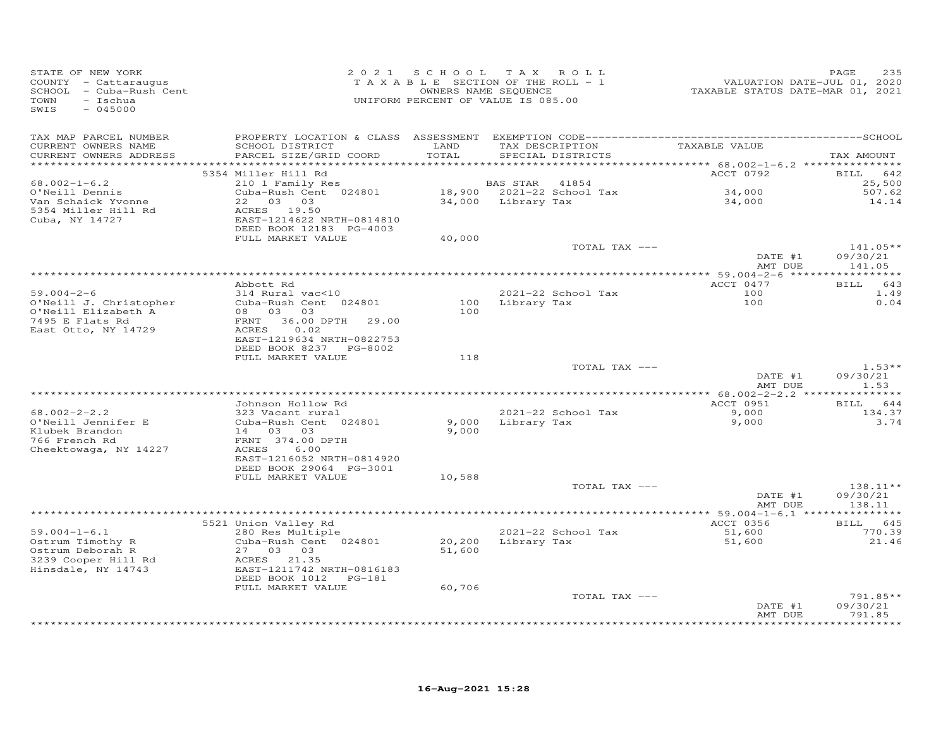| STATE OF NEW YORK<br>COUNTY - Cattaraugus<br>SCHOOL - Cuba-Rush Cent<br>TOWN<br>- Ischua<br>$-045000$<br>SWIS | 2 0 2 1                                                             |               | SCHOOL TAX ROLL<br>T A X A B L E SECTION OF THE ROLL - 1<br>OWNERS NAME SEQUENCE<br>UNIFORM PERCENT OF VALUE IS 085.00 | VALUATION DATE-JUL 01, 2020<br>TAXABLE STATUS DATE-MAR 01, 2021 | PAGE<br>235                  |
|---------------------------------------------------------------------------------------------------------------|---------------------------------------------------------------------|---------------|------------------------------------------------------------------------------------------------------------------------|-----------------------------------------------------------------|------------------------------|
| TAX MAP PARCEL NUMBER<br>CURRENT OWNERS NAME<br>CURRENT OWNERS ADDRESS<br>***********************             | SCHOOL DISTRICT<br>PARCEL SIZE/GRID COORD                           | LAND<br>TOTAL | TAX DESCRIPTION<br>SPECIAL DISTRICTS                                                                                   | TAXABLE VALUE                                                   | TAX AMOUNT                   |
|                                                                                                               | 5354 Miller Hill Rd                                                 |               |                                                                                                                        | ACCT 0792                                                       | <b>BILL</b><br>642           |
| $68.002 - 1 - 6.2$                                                                                            | 210 1 Family Res                                                    |               | BAS STAR 41854                                                                                                         |                                                                 | 25,500                       |
| O'Neill Dennis                                                                                                | Cuba-Rush Cent 024801                                               |               | 18,900 2021-22 School Tax                                                                                              | 34,000                                                          | 507.62                       |
| Van Schaick Yvonne                                                                                            | 22 03 03                                                            |               | 34,000 Library Tax                                                                                                     | 34,000                                                          | 14.14                        |
| 5354 Miller Hill Rd<br>Cuba, NY 14727                                                                         | ACRES 19.50<br>EAST-1214622 NRTH-0814810<br>DEED BOOK 12183 PG-4003 |               |                                                                                                                        |                                                                 |                              |
|                                                                                                               | FULL MARKET VALUE                                                   | 40,000        | TOTAL TAX ---                                                                                                          |                                                                 | $141.05**$                   |
|                                                                                                               |                                                                     |               |                                                                                                                        | DATE #1<br>AMT DUE                                              | 09/30/21<br>141.05           |
|                                                                                                               |                                                                     |               |                                                                                                                        |                                                                 |                              |
|                                                                                                               | Abbott Rd                                                           |               |                                                                                                                        | ACCT 0477                                                       | BILL 643                     |
| $59.004 - 2 - 6$                                                                                              | 314 Rural vac<10                                                    |               | 2021-22 School Tax                                                                                                     | 100                                                             | 1.49                         |
| O'Neill J. Christopher                                                                                        | Cuba-Rush Cent 024801                                               | 100           | Library Tax                                                                                                            | 100                                                             | 0.04                         |
| O'Neill Elizabeth A<br>7495 E Flats Rd                                                                        | 08 03 03<br>36.00 DPTH<br>FRNT<br>29.00                             | 100           |                                                                                                                        |                                                                 |                              |
| East Otto, NY 14729                                                                                           | 0.02<br>ACRES                                                       |               |                                                                                                                        |                                                                 |                              |
|                                                                                                               | EAST-1219634 NRTH-0822753                                           |               |                                                                                                                        |                                                                 |                              |
|                                                                                                               | DEED BOOK 8237 PG-8002                                              |               |                                                                                                                        |                                                                 |                              |
|                                                                                                               | FULL MARKET VALUE                                                   | 118           |                                                                                                                        |                                                                 |                              |
|                                                                                                               |                                                                     |               | TOTAL TAX ---                                                                                                          | DATE #1<br>AMT DUE                                              | $1.53**$<br>09/30/21<br>1.53 |
|                                                                                                               |                                                                     |               |                                                                                                                        |                                                                 |                              |
|                                                                                                               | Johnson Hollow Rd                                                   |               |                                                                                                                        | ACCT 0951                                                       | BILL 644                     |
| $68.002 - 2 - 2.2$                                                                                            | 323 Vacant rural                                                    |               | 2021-22 School Tax                                                                                                     | 9,000                                                           | 134.37                       |
| O'Neill Jennifer E                                                                                            | Cuba-Rush Cent 024801                                               | 9,000         | Library Tax                                                                                                            | 9,000                                                           | 3.74                         |
| Klubek Brandon<br>766 French Rd                                                                               | 14 03 03<br>FRNT 374.00 DPTH                                        | 9,000         |                                                                                                                        |                                                                 |                              |
| Cheektowaga, NY 14227                                                                                         | ACRES<br>6.00                                                       |               |                                                                                                                        |                                                                 |                              |
|                                                                                                               | EAST-1216052 NRTH-0814920                                           |               |                                                                                                                        |                                                                 |                              |
|                                                                                                               | DEED BOOK 29064 PG-3001                                             |               |                                                                                                                        |                                                                 |                              |
|                                                                                                               | FULL MARKET VALUE                                                   | 10,588        |                                                                                                                        |                                                                 |                              |
|                                                                                                               |                                                                     |               | TOTAL TAX ---                                                                                                          | DATE #1                                                         | 138.11**<br>09/30/21         |
|                                                                                                               |                                                                     |               |                                                                                                                        | AMT DUE                                                         | 138.11                       |
|                                                                                                               |                                                                     |               |                                                                                                                        |                                                                 |                              |
|                                                                                                               | 5521 Union Valley Rd                                                |               |                                                                                                                        | ACCT 0356                                                       | BILL 645                     |
| $59.004 - 1 - 6.1$                                                                                            | 280 Res Multiple                                                    |               | 2021-22 School Tax                                                                                                     | 51,600                                                          | 770.39                       |
| Ostrum Timothy R                                                                                              | Cuba-Rush Cent 024801                                               |               | 20,200 Library Tax                                                                                                     | 51,600                                                          | 21.46                        |
| Ostrum Deborah R<br>3239 Cooper Hill Rd                                                                       | 27 03 03<br>ACRES 21.35                                             | 51,600        |                                                                                                                        |                                                                 |                              |
| Hinsdale, NY 14743                                                                                            | EAST-1211742 NRTH-0816183                                           |               |                                                                                                                        |                                                                 |                              |
|                                                                                                               | DEED BOOK 1012    PG-181                                            |               |                                                                                                                        |                                                                 |                              |
|                                                                                                               | FULL MARKET VALUE                                                   | 60,706        |                                                                                                                        |                                                                 |                              |
|                                                                                                               |                                                                     |               | TOTAL TAX ---                                                                                                          |                                                                 | 791.85**                     |
|                                                                                                               |                                                                     |               |                                                                                                                        | DATE #1<br>AMT DUE                                              | 09/30/21<br>791.85           |
|                                                                                                               |                                                                     |               |                                                                                                                        | *****************                                               | **********                   |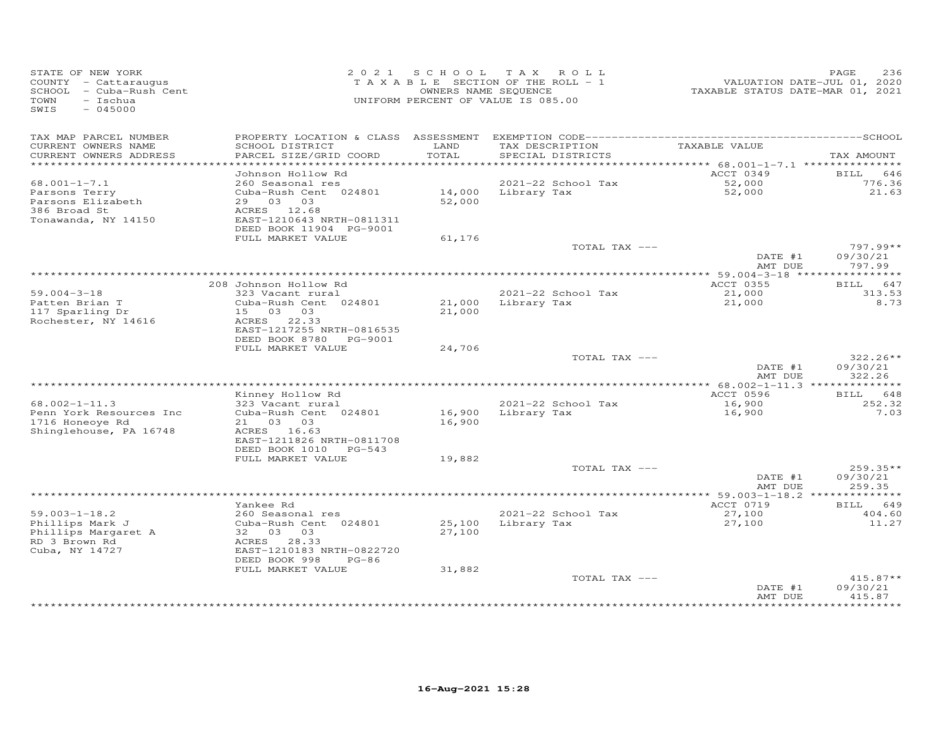| STATE OF NEW YORK<br>COUNTY - Cattaraugus<br>SCHOOL - Cuba-Rush Cent<br>TOWN<br>- Ischua<br>SWIS<br>$-045000$ |                                                                                                          | 2021 SCHOOL      | TAX ROLL<br>TAXABLE SECTION OF THE ROLL - 1<br>OWNERS NAME SEQUENCE<br>UNIFORM PERCENT OF VALUE IS 085.00 | TAXABLE STATUS DATE-MAR 01, 2021                | 236<br>PAGE<br>VALUATION DATE-JUL 01, 2020 |
|---------------------------------------------------------------------------------------------------------------|----------------------------------------------------------------------------------------------------------|------------------|-----------------------------------------------------------------------------------------------------------|-------------------------------------------------|--------------------------------------------|
| TAX MAP PARCEL NUMBER<br>CURRENT OWNERS NAME                                                                  | SCHOOL DISTRICT                                                                                          | LAND<br>TOTAL    | TAX DESCRIPTION                                                                                           | TAXABLE VALUE                                   |                                            |
| CURRENT OWNERS ADDRESS                                                                                        | PARCEL SIZE/GRID COORD                                                                                   |                  | SPECIAL DISTRICTS                                                                                         |                                                 | TAX AMOUNT                                 |
|                                                                                                               | Johnson Hollow Rd                                                                                        |                  |                                                                                                           | ACCT 0349                                       | 646<br>BILL                                |
| $68.001 - 1 - 7.1$                                                                                            | 260 Seasonal res                                                                                         |                  | 2021-22 School Tax                                                                                        | 52,000                                          | 776.36                                     |
| Parsons Terry<br>Parsons Elizabeth<br>386 Broad St<br>Tonawanda, NY 14150                                     | Cuba-Rush Cent 024801<br>29 03 03<br>ACRES 12.68<br>EAST-1210643 NRTH-0811311<br>DEED BOOK 11904 PG-9001 | 52,000           | 14,000 Library Tax                                                                                        |                                                 | 21.63                                      |
|                                                                                                               | FULL MARKET VALUE                                                                                        | 61,176           |                                                                                                           |                                                 |                                            |
|                                                                                                               |                                                                                                          |                  | TOTAL TAX ---                                                                                             | DATE #1<br>AMT DUE                              | $797.99**$<br>09/30/21<br>797.99           |
|                                                                                                               |                                                                                                          |                  |                                                                                                           | ****************** 59.004-3-18 **************** |                                            |
|                                                                                                               | 208 Johnson Hollow Rd                                                                                    |                  |                                                                                                           | ACCT 0355                                       | BILL 647                                   |
| $59.004 - 3 - 18$<br>Patten Brian T<br>117 Sparling Dr<br>Rochester, NY 14616                                 | 323 Vacant rural<br>Cuba-Rush Cent 024801<br>15 03 03<br>ACRES 22.33<br>EAST-1217255 NRTH-0816535        | 21,000           | 2021-22 School Tax<br>21,000 Library Tax                                                                  | 21,000<br>21,000                                | 313.53<br>8.73                             |
|                                                                                                               | DEED BOOK 8780 PG-9001                                                                                   |                  |                                                                                                           |                                                 |                                            |
|                                                                                                               | FULL MARKET VALUE                                                                                        | 24,706           |                                                                                                           |                                                 | $322.26**$                                 |
|                                                                                                               |                                                                                                          |                  | TOTAL TAX ---                                                                                             | DATE #1<br>AMT DUE                              | 09/30/21<br>322.26                         |
|                                                                                                               |                                                                                                          |                  |                                                                                                           |                                                 |                                            |
| $68.002 - 1 - 11.3$                                                                                           | Kinney Hollow Rd<br>323 Vacant rural                                                                     |                  | 2021-22 School Tax                                                                                        | ACCT 0596<br>16,900                             | BILL 648<br>252.32                         |
| Penn York Resources Inc<br>1716 Honeoye Rd<br>Shinglehouse, PA 16748                                          | Cuba-Rush Cent 024801<br>21 03 03<br>ACRES 16.63<br>EAST-1211826 NRTH-0811708<br>DEED BOOK 1010 PG-543   | 16,900<br>16,900 | Library Tax                                                                                               | 16,900                                          | 7.03                                       |
|                                                                                                               | FULL MARKET VALUE                                                                                        | 19,882           |                                                                                                           |                                                 |                                            |
|                                                                                                               |                                                                                                          |                  | TOTAL TAX ---                                                                                             | DATE #1<br>AMT DUE                              | $259.35**$<br>09/30/21<br>259.35           |
|                                                                                                               |                                                                                                          |                  |                                                                                                           |                                                 |                                            |
|                                                                                                               | Yankee Rd                                                                                                |                  |                                                                                                           | ACCT 0719                                       | 649<br>BILL                                |
| $59.003 - 1 - 18.2$<br>Phillips Mark J                                                                        | 260 Seasonal res<br>Cuba-Rush Cent 024801                                                                | 25,100           | 2021-22 School Tax<br>Library Tax                                                                         | 27,100<br>27,100                                | 404.60<br>11.27                            |
| Phillips Margaret A<br>RD 3 Brown Rd<br>Cuba, NY 14727                                                        | 32 03 03<br>ACRES 28.33<br>EAST-1210183 NRTH-0822720<br>DEED BOOK 998<br>$PG-86$<br>FULL MARKET VALUE    | 27,100<br>31,882 |                                                                                                           |                                                 |                                            |
|                                                                                                               |                                                                                                          |                  | TOTAL TAX ---                                                                                             |                                                 | $415.87**$                                 |
|                                                                                                               |                                                                                                          |                  |                                                                                                           | DATE #1<br>AMT DUE                              | 09/30/21<br>415.87<br>********             |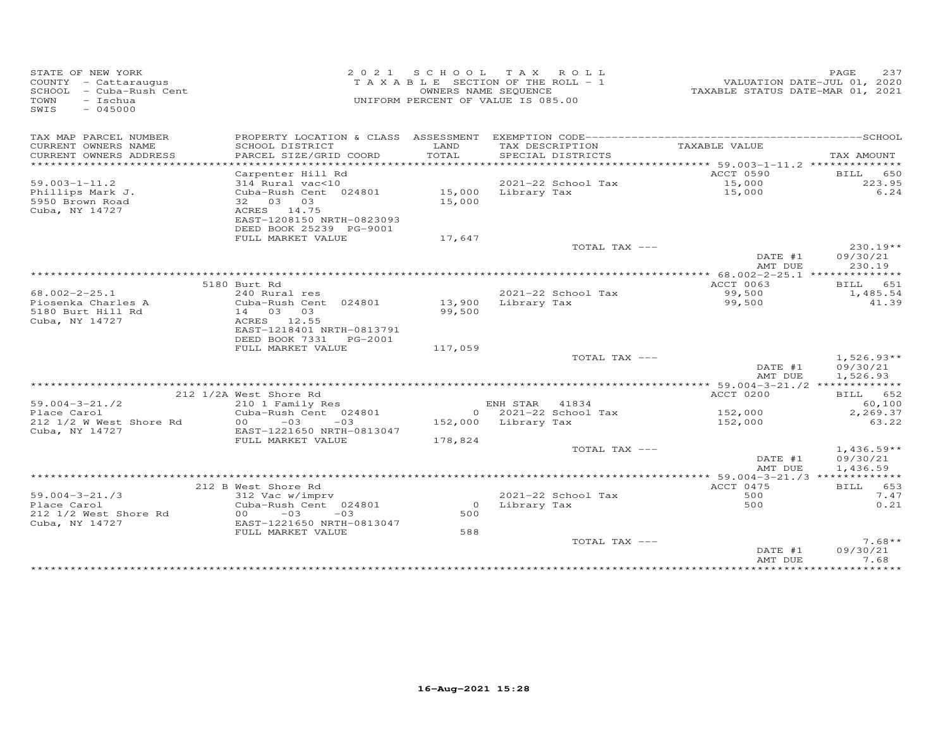| STATE OF NEW YORK<br>COUNTY - Cattaraugus<br>SCHOOL - Cuba-Rush Cent<br>TOWN<br>$-$ Ischua<br>$-045000$<br>SWIS |                                                   |         | 2021 SCHOOL TAX ROLL<br>TAXABLE SECTION OF THE ROLL - 1<br>OWNERS NAME SEQUENCE<br>UNIFORM PERCENT OF VALUE IS 085.00 | TAXABLE STATUS DATE-MAR 01, 2021               | 237<br>PAGE<br>VALUATION DATE-JUL 01, 2020 |
|-----------------------------------------------------------------------------------------------------------------|---------------------------------------------------|---------|-----------------------------------------------------------------------------------------------------------------------|------------------------------------------------|--------------------------------------------|
| TAX MAP PARCEL NUMBER                                                                                           |                                                   |         |                                                                                                                       |                                                |                                            |
| CURRENT OWNERS NAME                                                                                             | SCHOOL DISTRICT                                   | LAND    | TAX DESCRIPTION                                                                                                       | TAXABLE VALUE                                  |                                            |
| CURRENT OWNERS ADDRESS                                                                                          | PARCEL SIZE/GRID COORD                            | TOTAL   | SPECIAL DISTRICTS                                                                                                     | ***************** 59.003-1-11.2 ************** | TAX AMOUNT                                 |
|                                                                                                                 | Carpenter Hill Rd                                 |         |                                                                                                                       | ACCT 0590                                      | BILL 650                                   |
| $59.003 - 1 - 11.2$                                                                                             | 314 Rural vac<10                                  |         | 2021-22 School Tax                                                                                                    | 15,000                                         | 223.95                                     |
| Phillips Mark J.                                                                                                | Cuba-Rush Cent 024801                             |         | 15,000 Library Tax                                                                                                    | 15,000                                         | 6.24                                       |
| 5950 Brown Road                                                                                                 | 32 03 03                                          | 15,000  |                                                                                                                       |                                                |                                            |
| Cuba, NY 14727                                                                                                  | ACRES 14.75<br>EAST-1208150 NRTH-0823093          |         |                                                                                                                       |                                                |                                            |
|                                                                                                                 | DEED BOOK 25239 PG-9001                           |         |                                                                                                                       |                                                |                                            |
|                                                                                                                 | FULL MARKET VALUE                                 | 17,647  |                                                                                                                       |                                                |                                            |
|                                                                                                                 |                                                   |         | TOTAL TAX ---                                                                                                         |                                                | $230.19**$                                 |
|                                                                                                                 |                                                   |         |                                                                                                                       | DATE #1<br>AMT DUE                             | 09/30/21<br>230.19                         |
|                                                                                                                 |                                                   |         |                                                                                                                       |                                                |                                            |
|                                                                                                                 | 5180 Burt Rd                                      |         |                                                                                                                       | ACCT 0063                                      | BILL 651                                   |
| $68.002 - 2 - 25.1$                                                                                             | 240 Rural res                                     |         | 2021-22 School Tax                                                                                                    | 99,500                                         | 1,485.54                                   |
| Piosenka Charles A                                                                                              | Cuba-Rush Cent 024801                             | 13,900  | Library Tax                                                                                                           | 99,500                                         | 41.39                                      |
| 5180 Burt Hill Rd<br>Cuba, NY 14727                                                                             | 14 03 03<br>ACRES 12.55                           | 99,500  |                                                                                                                       |                                                |                                            |
|                                                                                                                 | EAST-1218401 NRTH-0813791                         |         |                                                                                                                       |                                                |                                            |
|                                                                                                                 | DEED BOOK 7331    PG-2001                         |         |                                                                                                                       |                                                |                                            |
|                                                                                                                 | FULL MARKET VALUE                                 | 117,059 |                                                                                                                       |                                                |                                            |
|                                                                                                                 |                                                   |         | TOTAL TAX ---                                                                                                         |                                                | $1,526.93**$                               |
|                                                                                                                 |                                                   |         |                                                                                                                       | DATE #1<br>AMT DUE                             | 09/30/21<br>1,526.93                       |
|                                                                                                                 |                                                   |         |                                                                                                                       |                                                |                                            |
|                                                                                                                 | 212 1/2A West Shore Rd                            |         |                                                                                                                       | ACCT 0200                                      | BILL 652                                   |
| $59.004 - 3 - 21.72$                                                                                            | 210 1 Family Res                                  |         | ENH STAR 41834                                                                                                        |                                                | 60,100                                     |
| Place Carol                                                                                                     | Cuba-Rush Cent 024801                             |         | $0$ 2021-22 School Tax                                                                                                | 152,000                                        | 2,269.37                                   |
| 212 1/2 W West Shore Rd<br>Cuba, NY 14727                                                                       | $-03$<br>00<br>$-03$<br>EAST-1221650 NRTH-0813047 |         | 152,000 Library Tax                                                                                                   | 152,000                                        | 63.22                                      |
|                                                                                                                 | FULL MARKET VALUE                                 | 178,824 |                                                                                                                       |                                                |                                            |
|                                                                                                                 |                                                   |         | TOTAL TAX ---                                                                                                         |                                                | $1,436.59**$                               |
|                                                                                                                 |                                                   |         |                                                                                                                       | DATE #1                                        | 09/30/21                                   |
|                                                                                                                 |                                                   |         |                                                                                                                       | AMT DUE                                        | 1,436.59                                   |
|                                                                                                                 | 212 B West Shore Rd                               |         |                                                                                                                       | ACCT 0475                                      | BILL 653                                   |
| $59.004 - 3 - 21.73$                                                                                            | 312 Vac w/imprv                                   |         | $2021 - 22$ School Tax                                                                                                | 500                                            | 7.47                                       |
| Place Carol                                                                                                     | Cuba-Rush Cent 024801                             |         | 0 Library Tax                                                                                                         | 500                                            | 0.21                                       |
| 212 1/2 West Shore Rd                                                                                           | $00 -03 -03$                                      | 500     |                                                                                                                       |                                                |                                            |
| Cuba, NY 14727                                                                                                  | EAST-1221650 NRTH-0813047                         |         |                                                                                                                       |                                                |                                            |
|                                                                                                                 | FULL MARKET VALUE                                 | 588     | TOTAL TAX ---                                                                                                         |                                                | $7.68**$                                   |
|                                                                                                                 |                                                   |         |                                                                                                                       | DATE #1                                        | 09/30/21                                   |
|                                                                                                                 |                                                   |         |                                                                                                                       | AMT DUE                                        | 7.68                                       |
|                                                                                                                 |                                                   |         |                                                                                                                       |                                                | *****                                      |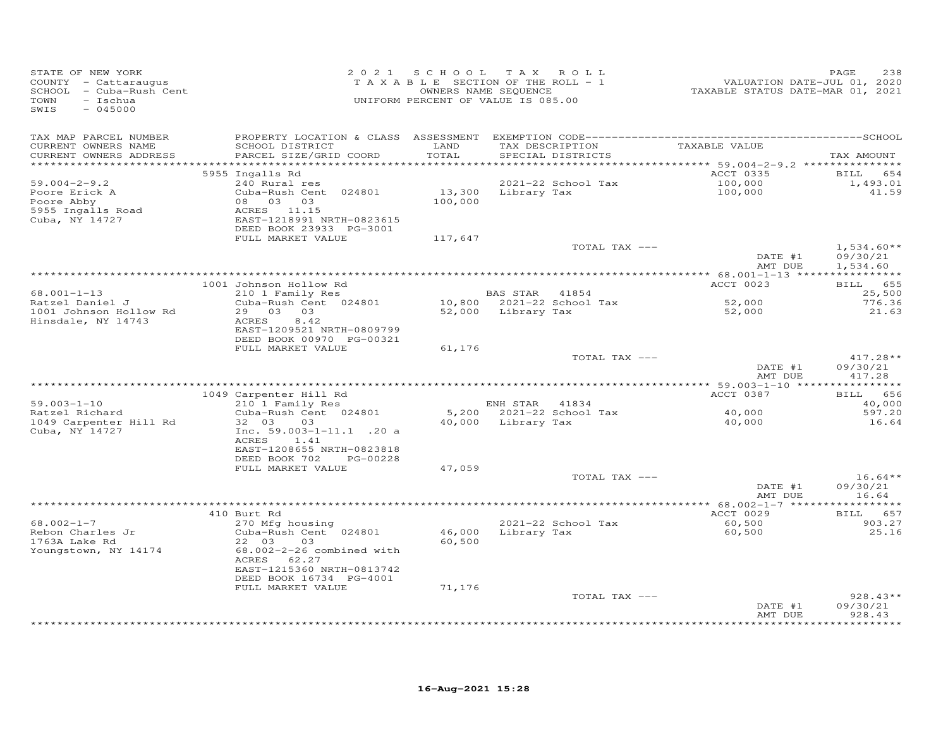| STATE OF NEW YORK<br>COUNTY - Cattaraugus<br>SCHOOL - Cuba-Rush Cent<br>TOWN<br>- Ischua<br>SWIS<br>$-045000$ | 2 0 2 1                                                                                                                                                                                               | SCHOOL TAX ROLL<br>TAXABLE SECTION OF THE ROLL - 1<br>OWNERS NAME SEQUENCE<br>UNIFORM PERCENT OF VALUE IS 085.00 |                                      |                                      | VALUATION DATE-JUL 01, 2020<br>TAXABLE STATUS DATE-MAR 01, 2021 | PAGE<br>238                           |
|---------------------------------------------------------------------------------------------------------------|-------------------------------------------------------------------------------------------------------------------------------------------------------------------------------------------------------|------------------------------------------------------------------------------------------------------------------|--------------------------------------|--------------------------------------|-----------------------------------------------------------------|---------------------------------------|
| TAX MAP PARCEL NUMBER<br>CURRENT OWNERS NAME<br>CURRENT OWNERS ADDRESS<br>***********************             | SCHOOL DISTRICT<br>PARCEL SIZE/GRID COORD                                                                                                                                                             | LAND<br>TOTAL                                                                                                    |                                      | TAX DESCRIPTION<br>SPECIAL DISTRICTS | TAXABLE VALUE                                                   | TAX AMOUNT                            |
| $59.004 - 2 - 9.2$<br>Poore Erick A<br>Poore Abby<br>5955 Ingalls Road<br>Cuba, NY 14727                      | 5955 Ingalls Rd<br>240 Rural res<br>Cuba-Rush Cent 024801<br>08 03 03<br>ACRES 11.15<br>EAST-1218991 NRTH-0823615<br>DEED BOOK 23933 PG-3001<br>FULL MARKET VALUE                                     | 13,300<br>100,000<br>117,647                                                                                     | Library Tax                          | 2021-22 School Tax                   | ACCT 0335<br>100,000<br>100,000                                 | 654<br>BILL<br>1,493.01<br>41.59      |
|                                                                                                               |                                                                                                                                                                                                       |                                                                                                                  |                                      | TOTAL TAX ---                        | DATE #1<br>AMT DUE                                              | $1,534.60**$<br>09/30/21<br>1,534.60  |
|                                                                                                               | 1001 Johnson Hollow Rd                                                                                                                                                                                |                                                                                                                  |                                      |                                      | ACCT 0023                                                       | BILL 655                              |
| $68.001 - 1 - 13$<br>Ratzel Daniel J<br>1001 Johnson Hollow Rd<br>Hinsdale, NY 14743                          | 210 1 Family Res<br>Cuba-Rush Cent 024801<br>29 03 03<br>ACRES<br>8.42<br>EAST-1209521 NRTH-0809799<br>DEED BOOK 00970 PG-00321<br>FULL MARKET VALUE                                                  | 61,176                                                                                                           | BAS STAR 41854<br>52,000 Library Tax | 10,800 2021-22 School Tax            | 52,000<br>52,000                                                | 25,500<br>776.36<br>21.63             |
|                                                                                                               |                                                                                                                                                                                                       |                                                                                                                  |                                      | TOTAL TAX ---                        | DATE #1<br>AMT DUE                                              | $417.28**$<br>09/30/21<br>417.28      |
|                                                                                                               |                                                                                                                                                                                                       |                                                                                                                  |                                      |                                      |                                                                 |                                       |
| $59.003 - 1 - 10$<br>Ratzel Richard<br>1049 Carpenter Hill Rd<br>Cuba, NY 14727                               | 1049 Carpenter Hill Rd<br>210 1 Family Res<br>Cuba-Rush Cent 024801<br>32 03<br>03<br>Inc. 59.003-1-11.1 .20 a<br>ACRES<br>1.41<br>EAST-1208655 NRTH-0823818                                          |                                                                                                                  | ENH STAR<br>40,000 Library Tax       | 41834<br>5,200 2021-22 School Tax    | ACCT 0387<br>40,000<br>40,000                                   | BILL 656<br>40,000<br>597.20<br>16.64 |
|                                                                                                               | DEED BOOK 702<br>PG-00228<br>FULL MARKET VALUE                                                                                                                                                        | 47,059                                                                                                           |                                      | TOTAL TAX ---                        | DATE #1<br>AMT DUE                                              | $16.64**$<br>09/30/21<br>16.64        |
|                                                                                                               |                                                                                                                                                                                                       |                                                                                                                  |                                      |                                      |                                                                 |                                       |
| $68.002 - 1 - 7$<br>Rebon Charles Jr<br>1763A Lake Rd<br>Youngstown, NY 14174                                 | 410 Burt Rd<br>270 Mfg housing<br>Cuba-Rush Cent 024801<br>22 03<br>03<br>$68.002 - 2 - 26$ combined with<br>ACRES 62.27<br>EAST-1215360 NRTH-0813742<br>DEED BOOK 16734 PG-4001<br>FULL MARKET VALUE | 46,000<br>60,500<br>71,176                                                                                       | Library Tax                          | 2021-22 School Tax                   | ACCT 0029<br>60,500<br>60,500                                   | BILL 657<br>903.27<br>25.16           |
|                                                                                                               |                                                                                                                                                                                                       |                                                                                                                  |                                      | TOTAL TAX ---                        | DATE #1<br>AMT DUE                                              | $928.43**$<br>09/30/21<br>928.43      |
|                                                                                                               |                                                                                                                                                                                                       |                                                                                                                  |                                      |                                      |                                                                 | ********                              |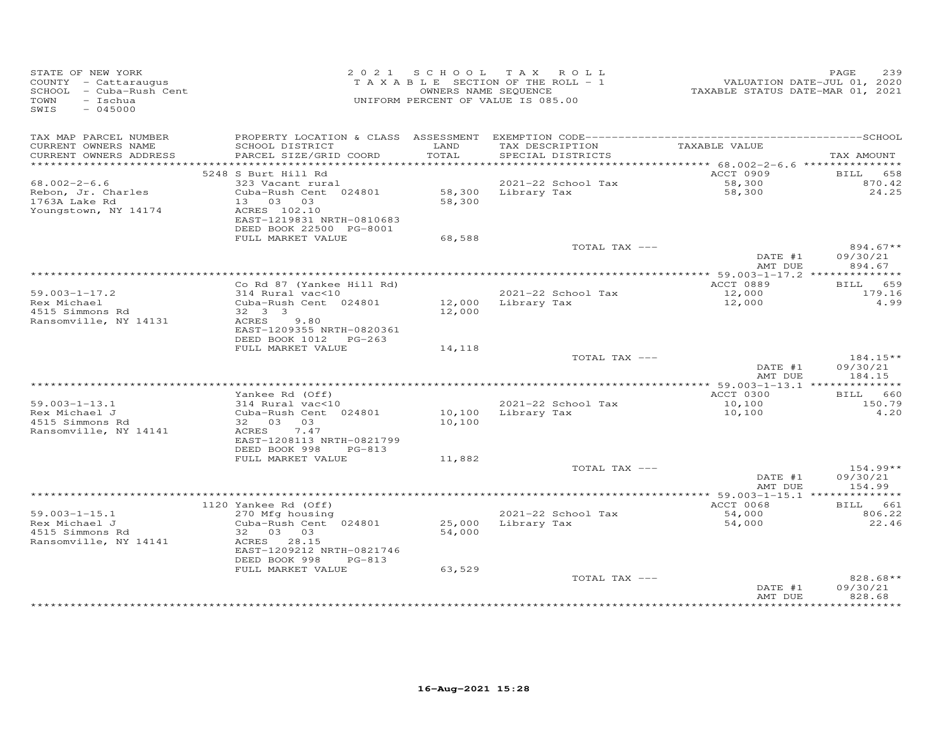| STATE OF NEW YORK<br>COUNTY - Cattaraugus<br>SCHOOL - Cuba-Rush Cent<br>TOWN<br>- Ischua<br>$-045000$<br>SWIS |                                                                       |               | 2021 SCHOOL TAX ROLL<br>TAXABLE SECTION OF THE ROLL - 1<br>OWNERS NAME SEQUENCE<br>UNIFORM PERCENT OF VALUE IS 085.00 | VALUATION DATE-JUL 01, 2020<br>TAXABLE STATUS DATE-MAR 01, 2021 | PAGE<br>239                    |
|---------------------------------------------------------------------------------------------------------------|-----------------------------------------------------------------------|---------------|-----------------------------------------------------------------------------------------------------------------------|-----------------------------------------------------------------|--------------------------------|
| TAX MAP PARCEL NUMBER                                                                                         |                                                                       |               |                                                                                                                       |                                                                 |                                |
| CURRENT OWNERS NAME<br>CURRENT OWNERS ADDRESS                                                                 | SCHOOL DISTRICT<br>PARCEL SIZE/GRID COORD                             | LAND<br>TOTAL | TAX DESCRIPTION<br>SPECIAL DISTRICTS                                                                                  | TAXABLE VALUE                                                   | TAX AMOUNT                     |
|                                                                                                               |                                                                       |               |                                                                                                                       |                                                                 |                                |
|                                                                                                               | 5248 S Burt Hill Rd                                                   |               |                                                                                                                       | ACCT 0909                                                       | 658<br><b>BILL</b>             |
| $68.002 - 2 - 6.6$                                                                                            | 323 Vacant rural                                                      |               | 2021-22 School Tax<br>58,300 Library Tax                                                                              | 58,300<br>58,300                                                | 870.42                         |
| Rebon, Jr. Charles<br>1763A Lake Rd                                                                           | Cuba-Rush Cent 024801<br>13 03 03                                     | 58,300        |                                                                                                                       |                                                                 | 24.25                          |
| Youngstown, NY 14174                                                                                          | ACRES 102.10<br>EAST-1219831 NRTH-0810683<br>DEED BOOK 22500 PG-8001  |               |                                                                                                                       |                                                                 |                                |
|                                                                                                               | FULL MARKET VALUE                                                     | 68,588        |                                                                                                                       |                                                                 |                                |
|                                                                                                               |                                                                       |               | TOTAL TAX ---                                                                                                         | DATE #1                                                         | $894.67**$<br>09/30/21         |
|                                                                                                               |                                                                       |               |                                                                                                                       | AMT DUE                                                         | 894.67                         |
|                                                                                                               |                                                                       |               |                                                                                                                       |                                                                 |                                |
| $59.003 - 1 - 17.2$                                                                                           | Co Rd 87 (Yankee Hill Rd)<br>314 Rural vac<10                         |               | 2021-22 School Tax                                                                                                    | ACCT 0889<br>12,000                                             | BILL 659<br>179.16             |
| Rex Michael                                                                                                   | Cuba-Rush Cent 024801                                                 |               | 12,000 Library Tax                                                                                                    | 12,000                                                          | 4.99                           |
| 4515 Simmons Rd<br>Ransomville, NY 14131                                                                      | $32 \quad 3 \quad 3$<br>ACRES 9.80                                    | 12,000        |                                                                                                                       |                                                                 |                                |
|                                                                                                               | EAST-1209355 NRTH-0820361<br>DEED BOOK 1012 PG-263                    |               |                                                                                                                       |                                                                 |                                |
|                                                                                                               | FULL MARKET VALUE                                                     | 14,118        |                                                                                                                       |                                                                 |                                |
|                                                                                                               |                                                                       |               | TOTAL TAX ---                                                                                                         |                                                                 | $184.15**$                     |
|                                                                                                               |                                                                       |               |                                                                                                                       | DATE #1<br>AMT DUE                                              | 09/30/21<br>184.15             |
|                                                                                                               |                                                                       |               |                                                                                                                       |                                                                 |                                |
| $59.003 - 1 - 13.1$                                                                                           | Yankee Rd (Off)<br>$314$ Rural $vac<10$                               |               | 2021-22 School Tax                                                                                                    | ACCT 0300<br>10,100                                             | BILL 660<br>150.79             |
| Rex Michael J                                                                                                 | Cuba-Rush Cent 024801                                                 | 10,100        | Library Tax                                                                                                           | 10,100                                                          | 4.20                           |
| 4515 Simmons Rd                                                                                               | 32 03 03                                                              | 10,100        |                                                                                                                       |                                                                 |                                |
| Ransomville, NY 14141                                                                                         | ACRES 7.47<br>EAST-1208113 NRTH-0821799                               |               |                                                                                                                       |                                                                 |                                |
|                                                                                                               | DEED BOOK 998<br>PG-813                                               |               |                                                                                                                       |                                                                 |                                |
|                                                                                                               | FULL MARKET VALUE                                                     | 11,882        |                                                                                                                       |                                                                 |                                |
|                                                                                                               |                                                                       |               | TOTAL TAX ---                                                                                                         |                                                                 | $154.99**$                     |
|                                                                                                               |                                                                       |               |                                                                                                                       | DATE #1<br>AMT DUE                                              | 09/30/21<br>154.99             |
|                                                                                                               |                                                                       |               |                                                                                                                       |                                                                 |                                |
|                                                                                                               | 1120 Yankee Rd (Off)                                                  |               |                                                                                                                       | ACCT 0068                                                       | BILL 661                       |
| $59.003 - 1 - 15.1$                                                                                           | 270 Mfg housing                                                       |               | 2021-22 School Tax                                                                                                    | 54,000                                                          | 806.22                         |
| Rex Michael J                                                                                                 | Cuba-Rush Cent 024801                                                 |               | 25,000 Library Tax                                                                                                    | 54,000                                                          | 22.46                          |
| 4515 Simmons Rd                                                                                               | 32 03 03                                                              | 54,000        |                                                                                                                       |                                                                 |                                |
| Ransomville, NY 14141                                                                                         | ACRES 28.15<br>EAST-1209212 NRTH-0821746<br>DEED BOOK 998<br>$PG-813$ |               |                                                                                                                       |                                                                 |                                |
|                                                                                                               | FULL MARKET VALUE                                                     | 63,529        |                                                                                                                       |                                                                 |                                |
|                                                                                                               |                                                                       |               | TOTAL TAX ---                                                                                                         | DATE #1<br>AMT DUE                                              | 828.68**<br>09/30/21<br>828.68 |
|                                                                                                               |                                                                       |               |                                                                                                                       |                                                                 | ********                       |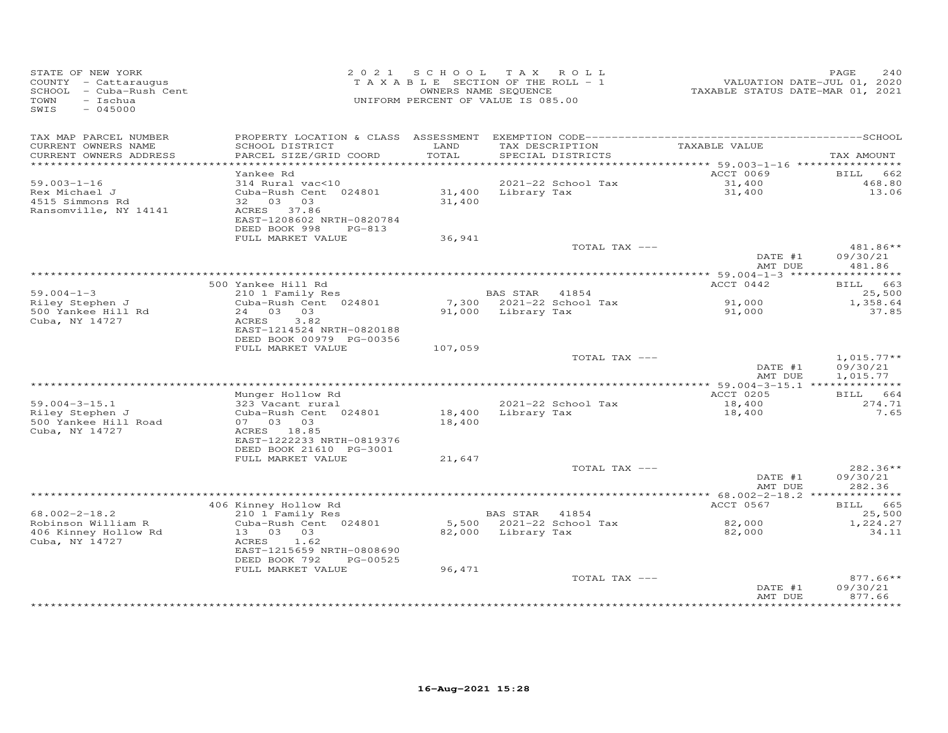| STATE OF NEW YORK<br>COUNTY - Cattaraugus<br>SCHOOL - Cuba-Rush Cent<br>TOWN<br>- Ischua<br>$-045000$<br>SWIS |                                                                                    | 2021 SCHOOL TAX ROLL<br>TAXABLE SECTION OF THE ROLL - 1<br>OWNERS NAME SEQUENCE<br>UNIFORM PERCENT OF VALUE IS 085.00 |                    |                                      | VALUATION DATE-JUL 01, 2020<br>TAXABLE STATUS DATE-MAR 01, 2021 | PAGE<br>240                          |
|---------------------------------------------------------------------------------------------------------------|------------------------------------------------------------------------------------|-----------------------------------------------------------------------------------------------------------------------|--------------------|--------------------------------------|-----------------------------------------------------------------|--------------------------------------|
| TAX MAP PARCEL NUMBER                                                                                         |                                                                                    |                                                                                                                       |                    |                                      |                                                                 |                                      |
| CURRENT OWNERS NAME<br>CURRENT OWNERS ADDRESS                                                                 | SCHOOL DISTRICT<br>PARCEL SIZE/GRID COORD                                          | LAND<br>TOTAL                                                                                                         |                    | TAX DESCRIPTION<br>SPECIAL DISTRICTS | TAXABLE VALUE                                                   | TAX AMOUNT                           |
|                                                                                                               |                                                                                    |                                                                                                                       |                    |                                      |                                                                 |                                      |
|                                                                                                               | Yankee Rd                                                                          |                                                                                                                       |                    |                                      | ACCT 0069                                                       | <b>BILL</b><br>662                   |
| $59.003 - 1 - 16$                                                                                             | 314 Rural vac<10                                                                   |                                                                                                                       |                    | 2021-22 School Tax                   | 31,400                                                          | 468.80                               |
| Rex Michael J<br>4515 Simmons Rd<br>Ransomville, NY 14141                                                     | Cuba-Rush Cent 024801<br>32 03 03<br>ACRES 37.86<br>EAST-1208602 NRTH-0820784      | 31,400                                                                                                                | 31,400 Library Tax |                                      | 31,400                                                          | 13.06                                |
|                                                                                                               | DEED BOOK 998<br>PG-813<br>FULL MARKET VALUE                                       | 36,941                                                                                                                |                    |                                      |                                                                 |                                      |
|                                                                                                               |                                                                                    |                                                                                                                       |                    | TOTAL TAX ---                        |                                                                 | $481.86**$                           |
|                                                                                                               |                                                                                    |                                                                                                                       |                    |                                      | DATE #1<br>AMT DUE                                              | 09/30/21<br>481.86                   |
|                                                                                                               |                                                                                    |                                                                                                                       |                    |                                      |                                                                 |                                      |
|                                                                                                               | 500 Yankee Hill Rd                                                                 |                                                                                                                       |                    |                                      | ACCT 0442                                                       | BILL 663                             |
| $59.004 - 1 - 3$<br>Riley Stephen J                                                                           | 210 1 Family Res<br>Cuba-Rush Cent 024801                                          |                                                                                                                       | BAS STAR 41854     | 7,300 2021-22 School Tax             | 91,000                                                          | 25,500<br>1,358.64                   |
| 500 Yankee Hill Rd<br>Cuba, NY 14727                                                                          | 24 03 03<br>ACRES<br>3.82<br>EAST-1214524 NRTH-0820188<br>DEED BOOK 00979 PG-00356 |                                                                                                                       | 91,000 Library Tax |                                      | 91,000                                                          | 37.85                                |
|                                                                                                               | FULL MARKET VALUE                                                                  | 107,059                                                                                                               |                    |                                      |                                                                 |                                      |
|                                                                                                               |                                                                                    |                                                                                                                       |                    | TOTAL TAX ---                        | DATE #1<br>AMT DUE                                              | $1,015.77**$<br>09/30/21<br>1,015.77 |
|                                                                                                               |                                                                                    |                                                                                                                       |                    |                                      |                                                                 |                                      |
|                                                                                                               | Munger Hollow Rd                                                                   |                                                                                                                       |                    |                                      | ACCT 0205                                                       | BILL 664                             |
| $59.004 - 3 - 15.1$                                                                                           | 323 Vacant rural                                                                   |                                                                                                                       |                    | 2021-22 School Tax                   | 18,400                                                          | 274.71<br>7.65                       |
| Riley Stephen J<br>500 Yankee Hill Road<br>Cuba, NY 14727                                                     | Cuba-Rush Cent 024801<br>07 03 03<br>ACRES 18.85<br>EAST-1222233 NRTH-0819376      | 18,400<br>18,400                                                                                                      |                    | Library Tax                          | 18,400                                                          |                                      |
|                                                                                                               | DEED BOOK 21610 PG-3001                                                            |                                                                                                                       |                    |                                      |                                                                 |                                      |
|                                                                                                               | FULL MARKET VALUE                                                                  | 21,647                                                                                                                |                    | TOTAL TAX ---                        |                                                                 | 282.36**                             |
|                                                                                                               |                                                                                    |                                                                                                                       |                    |                                      | DATE #1<br>AMT DUE                                              | 09/30/21<br>282.36                   |
|                                                                                                               |                                                                                    |                                                                                                                       |                    |                                      |                                                                 |                                      |
|                                                                                                               | 406 Kinney Hollow Rd                                                               |                                                                                                                       |                    |                                      | ACCT 0567                                                       | BILL 665                             |
| $68.002 - 2 - 18.2$                                                                                           | 210 1 Family Res                                                                   |                                                                                                                       | BAS STAR 41854     |                                      |                                                                 | 25,500                               |
| Robinson William R<br>406 Kinney Hollow Rd<br>Cuba, NY 14727                                                  | Cuba-Rush Cent 024801<br>13 03 03<br>ACRES<br>1.62<br>EAST-1215659 NRTH-0808690    |                                                                                                                       | 82,000 Library Tax | 5,500 2021-22 School Tax             | $82,000$<br>82.000<br>82,000                                    | 1,224.27<br>34.11                    |
|                                                                                                               | DEED BOOK 792<br>PG-00525                                                          |                                                                                                                       |                    |                                      |                                                                 |                                      |
|                                                                                                               | FULL MARKET VALUE                                                                  | 96,471                                                                                                                |                    |                                      |                                                                 |                                      |
|                                                                                                               |                                                                                    |                                                                                                                       |                    | TOTAL TAX ---                        | DATE #1<br>AMT DUE                                              | $877.66**$<br>09/30/21<br>877.66     |
|                                                                                                               |                                                                                    |                                                                                                                       |                    |                                      |                                                                 |                                      |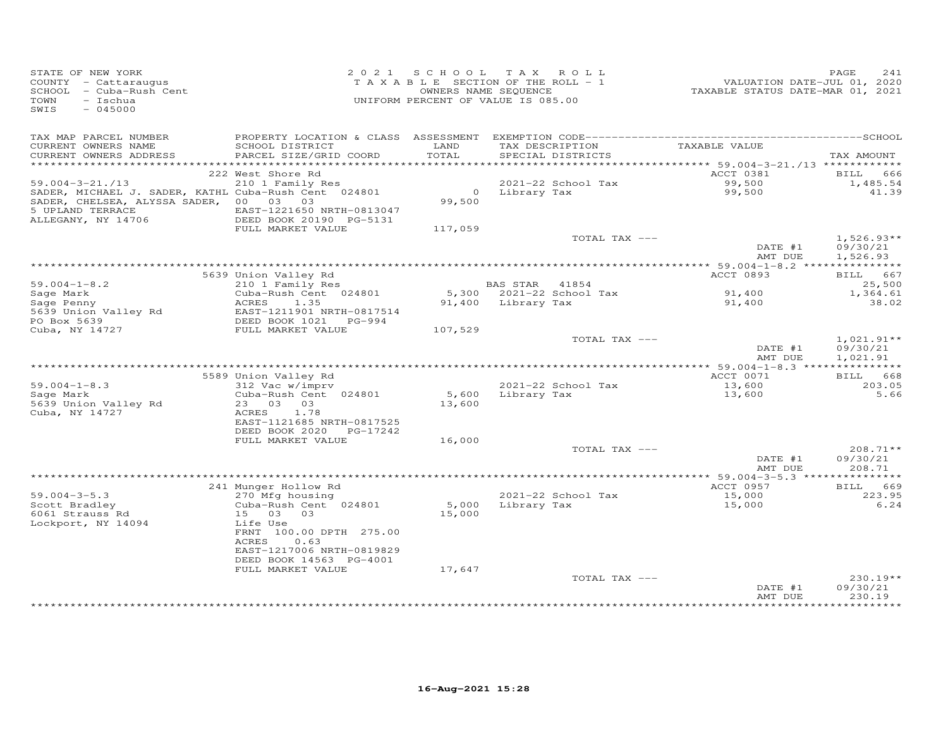| STATE OF NEW YORK<br>STATE OF NEW LOAN<br>COUNTY - Cattaraugus<br>SCHOOL - Cuba-Rush Cent<br>TOWN<br>- Ischua<br>SWIS<br>$-045000$                                           |                                                                       | 2021 SCHOOL TAX ROLL<br>T A X A B L E SECTION OF THE ROLL - 1<br>OWNERS NAME SEQUENCE<br>UNIFORM PERCENT OF VALUE IS 085.00 |                       |                                               |                    | PAGE<br>241                      |
|------------------------------------------------------------------------------------------------------------------------------------------------------------------------------|-----------------------------------------------------------------------|-----------------------------------------------------------------------------------------------------------------------------|-----------------------|-----------------------------------------------|--------------------|----------------------------------|
| TAX MAP PARCEL NUMBER                                                                                                                                                        |                                                                       |                                                                                                                             |                       |                                               |                    |                                  |
| CURRENT OWNERS NAME<br>CURRENT OWNERS ADDRESS                                                                                                                                | SCHOOL DISTRICT<br>PARCEL SIZE/GRID COORD                             | LAND<br>TOTAL                                                                                                               |                       | TAX DESCRIPTION<br>SPECIAL DISTRICTS          | TAXABLE VALUE      | TAX AMOUNT                       |
|                                                                                                                                                                              | 222 West Shore Rd                                                     |                                                                                                                             |                       |                                               | ACCT 0381          | 666<br>BILL                      |
|                                                                                                                                                                              |                                                                       |                                                                                                                             |                       | 2021-22 School Tax                            |                    | 1,485.54                         |
| 59.004-3-21./13 210 1 Family Res<br>SADER, MICHAEL J. SADER, KATHL Cuba-Rush Cent 024801<br>SADER, CHELSEA, ALYSSA SADER, 00 03 03<br>5 UPLAND TERRACE<br>ALLEGANY, NY 14706 | EAST-1221650 NRTH-0813047<br>DEED BOOK 20190 PG-5131                  |                                                                                                                             |                       | 2021-22 SCROOL TAX<br>0 Library Tax<br>99,500 | 99,500<br>99,500   | 41.39                            |
|                                                                                                                                                                              | FULL MARKET VALUE                                                     | 117,059                                                                                                                     |                       |                                               |                    |                                  |
|                                                                                                                                                                              |                                                                       |                                                                                                                             |                       | TOTAL TAX ---                                 | DATE #1            | $1,526.93**$<br>09/30/21         |
|                                                                                                                                                                              |                                                                       |                                                                                                                             |                       |                                               | AMT DUE            | 1,526.93                         |
|                                                                                                                                                                              |                                                                       |                                                                                                                             |                       |                                               |                    |                                  |
| $59.004 - 1 - 8.2$                                                                                                                                                           | 5639 Union Valley Rd<br>$210$ 1 Family Res                            |                                                                                                                             | <b>BAS STAR</b> 41854 |                                               | ACCT 0893          | BILL 667<br>25,500               |
|                                                                                                                                                                              | Cuba-Rush Cent 024801                                                 |                                                                                                                             |                       | 5,300 2021-22 School Tax                      |                    | 1,364.61                         |
| Sage Mark<br>Sage Penny Malley Rd Mark 2007 - 1.35<br>5639 Union Valley Rd BEED BOOK 1021 PG-994<br>DEED BOOK 1021 PG-994                                                    | EAST-1211901 NRTH-0817514                                             |                                                                                                                             | 91,400 Library Tax    |                                               | 91,400<br>91,400   | 38.02                            |
| PO Box 5639<br>Cuba, NY 14727                                                                                                                                                |                                                                       |                                                                                                                             |                       |                                               |                    |                                  |
|                                                                                                                                                                              | FULL MARKET VALUE                                                     | 107,529                                                                                                                     |                       | TOTAL TAX ---                                 |                    | $1,021.91**$                     |
|                                                                                                                                                                              |                                                                       |                                                                                                                             |                       |                                               | DATE #1<br>AMT DUE | 09/30/21<br>1,021.91             |
|                                                                                                                                                                              |                                                                       |                                                                                                                             |                       |                                               |                    |                                  |
|                                                                                                                                                                              | 5589 Union Valley Rd                                                  |                                                                                                                             |                       |                                               | ACCT 0071          | BILL 668                         |
| $59.004 - 1 - 8.3$<br>Sage Mark<br>5639 Union Valley Rd                                                                                                                      | $312$ Vac w/imprv<br>Cuba-Rush Cent 024801<br>23 03 03<br>1.78        | 13,600                                                                                                                      |                       | 2021-22 School Tax<br>5,600 Library Tax       | 13,600<br>13,600   | 203.05<br>5.66                   |
| Cuba, NY 14727                                                                                                                                                               | ACRES<br>EAST-1121685 NRTH-0817525<br>DEED BOOK 2020 PG-17242         |                                                                                                                             |                       |                                               |                    |                                  |
|                                                                                                                                                                              | FULL MARKET VALUE                                                     | 16,000                                                                                                                      |                       | TOTAL TAX ---                                 |                    | $208.71**$                       |
|                                                                                                                                                                              |                                                                       |                                                                                                                             |                       |                                               | DATE #1<br>AMT DUE | 09/30/21<br>208.71               |
|                                                                                                                                                                              |                                                                       |                                                                                                                             |                       |                                               |                    |                                  |
|                                                                                                                                                                              | 241 Munger Hollow Rd                                                  |                                                                                                                             |                       |                                               | ACCT 0957          | BILL 669                         |
| $59.004 - 3 - 5.3$                                                                                                                                                           | 270 Mfg housing                                                       | 5,000 Library Tax                                                                                                           |                       | 2021-22 School Tax                            | 15,000<br>15,000   | 223.95                           |
| 59.004-5-5.5<br>Scott Bradley<br>COS1 Strauss Rd<br>6061 Strauss Rd<br>Lockport, NY 14094                                                                                    | Cuba-Rush Cent 024801<br>15 03 03<br>Life Use                         | 15,000                                                                                                                      |                       |                                               |                    | 6.24                             |
|                                                                                                                                                                              | FRNT 100.00 DPTH 275.00<br>0.63<br>ACRES<br>EAST-1217006 NRTH-0819829 |                                                                                                                             |                       |                                               |                    |                                  |
|                                                                                                                                                                              | DEED BOOK 14563 PG-4001                                               |                                                                                                                             |                       |                                               |                    |                                  |
|                                                                                                                                                                              | FULL MARKET VALUE                                                     | 17,647                                                                                                                      |                       |                                               |                    |                                  |
|                                                                                                                                                                              |                                                                       |                                                                                                                             |                       | TOTAL TAX ---                                 | DATE #1<br>AMT DUE | $230.19**$<br>09/30/21<br>230.19 |
|                                                                                                                                                                              |                                                                       |                                                                                                                             |                       |                                               |                    |                                  |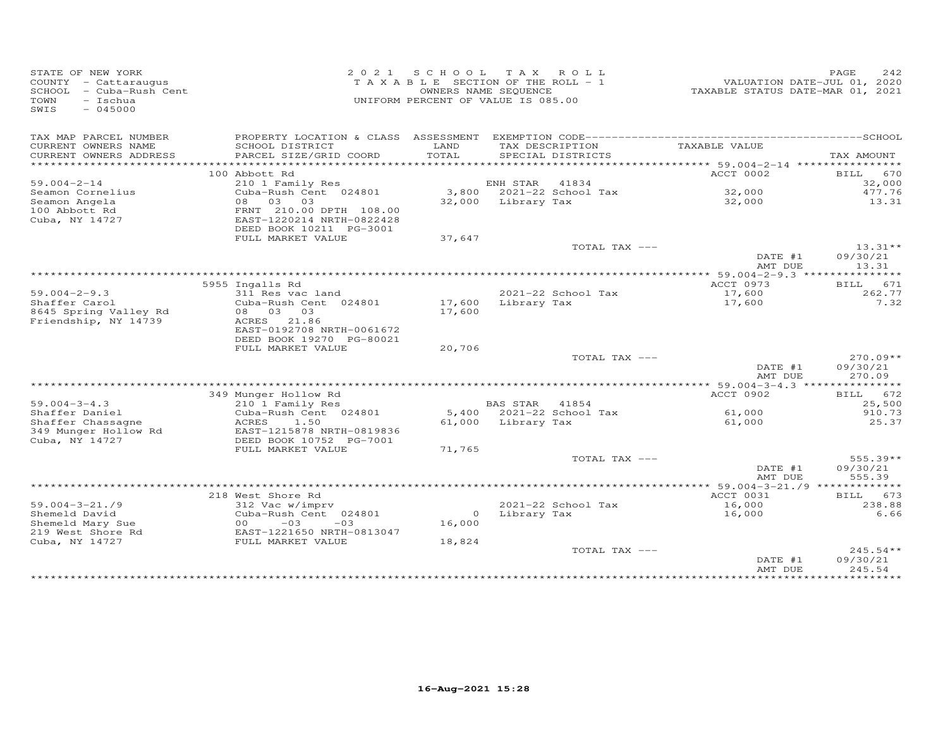| STATE OF NEW YORK<br>COUNTY - Cattaraugus<br>SCHOOL - Cuba-Rush Cent<br>TOWN<br>$-$ Ischua<br>$-045000$<br>SWIS |                                                            |               | 2021 SCHOOL TAX ROLL<br>TAXABLE SECTION OF THE ROLL - 1<br>OWNERS NAME SEQUENCE<br>UNIFORM PERCENT OF VALUE IS 085.00 | VALUATION DATE-JUL 01, 2020<br>TAXABLE STATUS DATE-MAR 01, 2021 | PAGE<br>2.42     |
|-----------------------------------------------------------------------------------------------------------------|------------------------------------------------------------|---------------|-----------------------------------------------------------------------------------------------------------------------|-----------------------------------------------------------------|------------------|
| TAX MAP PARCEL NUMBER                                                                                           |                                                            |               |                                                                                                                       |                                                                 |                  |
| CURRENT OWNERS NAME<br>CURRENT OWNERS ADDRESS                                                                   | SCHOOL DISTRICT<br>PARCEL SIZE/GRID COORD                  | LAND<br>TOTAL | TAX DESCRIPTION<br>SPECIAL DISTRICTS                                                                                  | TAXABLE VALUE                                                   | TAX AMOUNT       |
| *************************                                                                                       |                                                            |               |                                                                                                                       |                                                                 |                  |
| $59.004 - 2 - 14$                                                                                               | 100 Abbott Rd                                              |               |                                                                                                                       | ACCT 0002                                                       | BILL 670         |
| Seamon Cornelius                                                                                                | 210 1 Family Res<br>Cuba-Rush Cent 024801                  |               | ENH STAR<br>41834<br>3,800 2021-22 School Tax                                                                         | 32,000                                                          | 32,000<br>477.76 |
| Seamon Angela                                                                                                   | 08 03 03                                                   |               | 32,000 Library Tax                                                                                                    | 32,000                                                          | 13.31            |
| 100 Abbott Rd                                                                                                   | FRNT 210.00 DPTH 108.00                                    |               |                                                                                                                       |                                                                 |                  |
| Cuba, NY 14727                                                                                                  | EAST-1220214 NRTH-0822428                                  |               |                                                                                                                       |                                                                 |                  |
|                                                                                                                 | DEED BOOK 10211 PG-3001                                    |               |                                                                                                                       |                                                                 |                  |
|                                                                                                                 | FULL MARKET VALUE                                          | 37,647        |                                                                                                                       |                                                                 |                  |
|                                                                                                                 |                                                            |               | TOTAL TAX ---                                                                                                         |                                                                 | $13.31**$        |
|                                                                                                                 |                                                            |               |                                                                                                                       | DATE #1                                                         | 09/30/21         |
|                                                                                                                 |                                                            |               |                                                                                                                       | AMT DUE                                                         | 13.31            |
|                                                                                                                 | 5955 Ingalls Rd                                            |               |                                                                                                                       | ACCT 0973                                                       | BILL 671         |
| $59.004 - 2 - 9.3$                                                                                              | 311 Res vac land                                           |               | 2021-22 School Tax                                                                                                    | 17,600                                                          | 262.77           |
| Shaffer Carol                                                                                                   | Cuba-Rush Cent 024801                                      | 17,600        | Library Tax                                                                                                           | 17,600                                                          | 7.32             |
| 8645 Spring Valley Rd                                                                                           | 08 03 03                                                   | 17,600        |                                                                                                                       |                                                                 |                  |
| Friendship, NY 14739                                                                                            | ACRES 21.86                                                |               |                                                                                                                       |                                                                 |                  |
|                                                                                                                 | EAST-0192708 NRTH-0061672                                  |               |                                                                                                                       |                                                                 |                  |
|                                                                                                                 | DEED BOOK 19270 PG-80021                                   |               |                                                                                                                       |                                                                 |                  |
|                                                                                                                 | FULL MARKET VALUE                                          | 20,706        | TOTAL TAX ---                                                                                                         |                                                                 | $270.09**$       |
|                                                                                                                 |                                                            |               |                                                                                                                       | DATE #1                                                         | 09/30/21         |
|                                                                                                                 |                                                            |               |                                                                                                                       | AMT DUE                                                         | 270.09           |
|                                                                                                                 |                                                            |               |                                                                                                                       | ****** 59.004-3-4.3 ***************                             |                  |
|                                                                                                                 | 349 Munger Hollow Rd                                       |               |                                                                                                                       | ACCT 0902                                                       | BILL 672         |
| $59.004 - 3 - 4.3$                                                                                              | 210 1 Family Res                                           |               | BAS STAR 41854                                                                                                        |                                                                 | 25,500           |
| Shaffer Daniel                                                                                                  | Cuba-Rush Cent 024801                                      |               | 5,400 2021-22 School Tax                                                                                              | 61,000                                                          | 910.73           |
| Shaffer Chassagne                                                                                               | ACRES<br>1.50                                              |               | 61,000 Library Tax                                                                                                    | 61,000                                                          | 25.37            |
| 349 Munger Hollow Rd<br>Cuba, NY 14727                                                                          | EAST-1215878 NRTH-0819836<br>DEED BOOK 10752 PG-7001       |               |                                                                                                                       |                                                                 |                  |
|                                                                                                                 | FULL MARKET VALUE                                          | 71,765        |                                                                                                                       |                                                                 |                  |
|                                                                                                                 |                                                            |               | TOTAL TAX ---                                                                                                         |                                                                 | 555.39**         |
|                                                                                                                 |                                                            |               |                                                                                                                       | DATE #1                                                         | 09/30/21         |
|                                                                                                                 |                                                            |               |                                                                                                                       | AMT DUE                                                         | 555.39           |
|                                                                                                                 |                                                            |               |                                                                                                                       | ********** 59.004-3-21./9 *************                         |                  |
|                                                                                                                 | 218 West Shore Rd                                          |               |                                                                                                                       | ACCT 0031                                                       | 673<br>BILL      |
| $59.004 - 3 - 21.79$                                                                                            | 312 Vac w/imprv                                            | $\circ$       | 2021-22 School Tax                                                                                                    | 16,000                                                          | 238.88           |
| Shemeld David<br>Shemeld Mary Sue                                                                               | Cuba-Rush Cent 024801<br>$-03$<br>00 <sup>o</sup><br>$-03$ | 16,000        | Library Tax                                                                                                           | 16,000                                                          | 6.66             |
| 219 West Shore Rd                                                                                               | EAST-1221650 NRTH-0813047                                  |               |                                                                                                                       |                                                                 |                  |
| Cuba, NY 14727                                                                                                  | FULL MARKET VALUE                                          | 18,824        |                                                                                                                       |                                                                 |                  |
|                                                                                                                 |                                                            |               | TOTAL TAX ---                                                                                                         |                                                                 | $245.54**$       |
|                                                                                                                 |                                                            |               |                                                                                                                       | DATE #1                                                         | 09/30/21         |
|                                                                                                                 |                                                            |               |                                                                                                                       | AMT DUE                                                         | 245.54           |
|                                                                                                                 |                                                            |               | ***********************                                                                                               |                                                                 | *********        |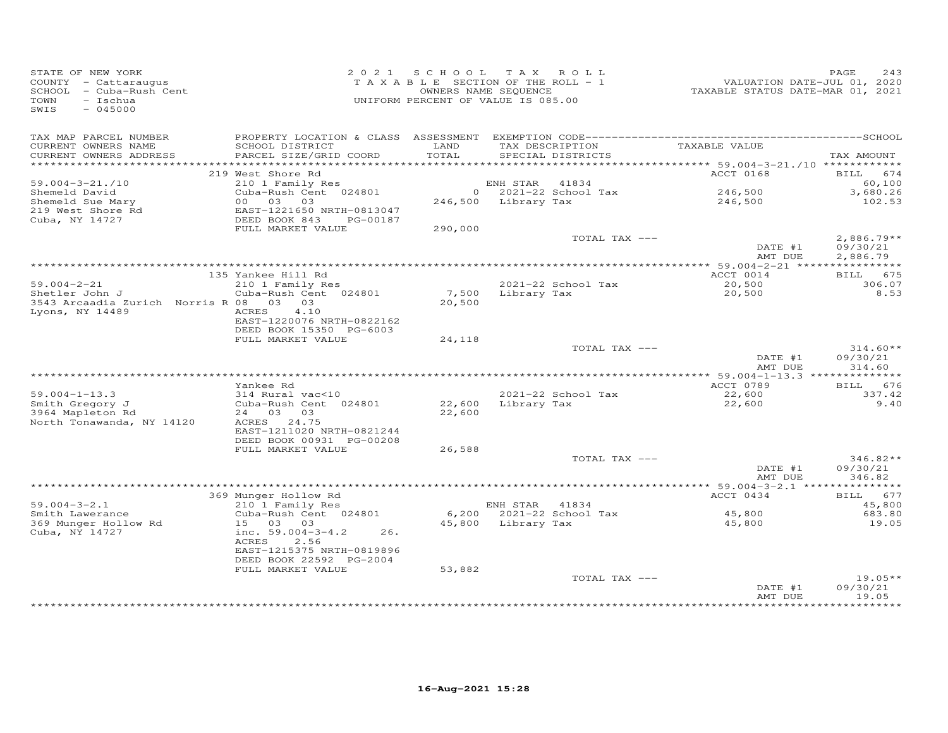| STATE OF NEW YORK<br>COUNTY - Cattaraugus<br>SCHOOL - Cuba-Rush Cent<br>TOWN<br>- Ischua<br>SWIS<br>$-045000$ |                                               | 2021 SCHOOL<br>TAXABLE SECTION OF THE ROLL - 1<br>OWNERS NAME SEQUENCE<br>UNIFORM PERCENT OF VALUE IS 085.00 |                     | TAX ROLL                             | VALUATION DATE-JUL 01, 2020<br>TAXABLE STATUS DATE-MAR 01, 2021 | PAGE<br>243              |
|---------------------------------------------------------------------------------------------------------------|-----------------------------------------------|--------------------------------------------------------------------------------------------------------------|---------------------|--------------------------------------|-----------------------------------------------------------------|--------------------------|
| TAX MAP PARCEL NUMBER<br>CURRENT OWNERS NAME<br>CURRENT OWNERS ADDRESS                                        | SCHOOL DISTRICT<br>PARCEL SIZE/GRID COORD     | LAND<br>TOTAL                                                                                                |                     | TAX DESCRIPTION<br>SPECIAL DISTRICTS | TAXABLE VALUE                                                   | TAX AMOUNT               |
|                                                                                                               |                                               |                                                                                                              |                     |                                      |                                                                 |                          |
| $59.004 - 3 - 21.710$                                                                                         | 219 West Shore Rd<br>210 1 Family Res         |                                                                                                              | ENH STAR            | 41834                                | ACCT 0168                                                       | BILL 674<br>60,100       |
| Shemeld David                                                                                                 | Cuba-Rush Cent 024801                         |                                                                                                              |                     | $0$ 2021-22 School Tax               | 246,500                                                         | 3,680.26                 |
| Shemeld Sue Mary                                                                                              | 00 03 03                                      |                                                                                                              | 246,500 Library Tax |                                      | 246,500                                                         | 102.53                   |
| 219 West Shore Rd                                                                                             | EAST-1221650 NRTH-0813047                     |                                                                                                              |                     |                                      |                                                                 |                          |
| Cuba, NY 14727                                                                                                | DEED BOOK 843<br>PG-00187                     |                                                                                                              |                     |                                      |                                                                 |                          |
|                                                                                                               | FULL MARKET VALUE                             | 290,000                                                                                                      |                     |                                      |                                                                 |                          |
|                                                                                                               |                                               |                                                                                                              |                     | TOTAL TAX ---                        | DATE #1                                                         | $2,886.79**$<br>09/30/21 |
|                                                                                                               |                                               |                                                                                                              |                     |                                      | AMT DUE                                                         | 2,886.79                 |
|                                                                                                               |                                               |                                                                                                              |                     |                                      |                                                                 |                          |
|                                                                                                               | 135 Yankee Hill Rd                            |                                                                                                              |                     |                                      | ACCT 0014                                                       | BILL 675                 |
| $59.004 - 2 - 21$                                                                                             | 210 1 Family Res                              |                                                                                                              |                     | 2021-22 School Tax                   | 20,500                                                          | 306.07                   |
| Shetler John J                                                                                                | Cuba-Rush Cent 024801                         |                                                                                                              | 7,500 Library Tax   |                                      | 20,500                                                          | 8.53                     |
| 3543 Arcaadia Zurich Norris R 08<br>Lyons, NY 14489                                                           | 03 03<br>ACRES<br>4.10                        | 20,500                                                                                                       |                     |                                      |                                                                 |                          |
|                                                                                                               | EAST-1220076 NRTH-0822162                     |                                                                                                              |                     |                                      |                                                                 |                          |
|                                                                                                               | DEED BOOK 15350 PG-6003                       |                                                                                                              |                     |                                      |                                                                 |                          |
|                                                                                                               | FULL MARKET VALUE                             | 24,118                                                                                                       |                     |                                      |                                                                 |                          |
|                                                                                                               |                                               |                                                                                                              |                     | TOTAL TAX ---                        |                                                                 | $314.60**$               |
|                                                                                                               |                                               |                                                                                                              |                     |                                      | DATE #1                                                         | 09/30/21                 |
|                                                                                                               |                                               |                                                                                                              |                     |                                      | AMT DUE                                                         | 314.60                   |
|                                                                                                               | Yankee Rd                                     |                                                                                                              |                     |                                      | ACCT 0789                                                       | BILL 676                 |
| $59.004 - 1 - 13.3$                                                                                           | 314 Rural vac<10                              |                                                                                                              |                     | 2021-22 School Tax                   | 22,600                                                          | 337.42                   |
| Smith Gregory J                                                                                               | Cuba-Rush Cent 024801                         | 22,600                                                                                                       | Library Tax         |                                      | 22,600                                                          | 9.40                     |
| 3964 Mapleton Rd                                                                                              | 24 03 03                                      | 22,600                                                                                                       |                     |                                      |                                                                 |                          |
| North Tonawanda, NY 14120                                                                                     | ACRES 24.75                                   |                                                                                                              |                     |                                      |                                                                 |                          |
|                                                                                                               | EAST-1211020 NRTH-0821244                     |                                                                                                              |                     |                                      |                                                                 |                          |
|                                                                                                               | DEED BOOK 00931 PG-00208<br>FULL MARKET VALUE | 26,588                                                                                                       |                     |                                      |                                                                 |                          |
|                                                                                                               |                                               |                                                                                                              |                     | TOTAL TAX ---                        |                                                                 | $346.82**$               |
|                                                                                                               |                                               |                                                                                                              |                     |                                      | DATE #1                                                         | 09/30/21                 |
|                                                                                                               |                                               |                                                                                                              |                     |                                      | AMT DUE                                                         | 346.82                   |
|                                                                                                               |                                               |                                                                                                              |                     |                                      |                                                                 |                          |
|                                                                                                               | 369 Munger Hollow Rd                          |                                                                                                              |                     |                                      | ACCT 0434                                                       | BILL 677                 |
| $59.004 - 3 - 2.1$<br>Smith Lawerance                                                                         | 210 1 Family Res<br>Cuba-Rush Cent 024801     |                                                                                                              | ENH STAR 41834      | 6,200 2021-22 School Tax             | 45,800                                                          | 45,800<br>683.80         |
| 369 Munger Hollow Rd                                                                                          | 15 03 03                                      | 45,800                                                                                                       | Library Tax         |                                      | 45,800                                                          | 19.05                    |
| Cuba, NY 14727                                                                                                | inc. $59.004 - 3 - 4.2$<br>26.                |                                                                                                              |                     |                                      |                                                                 |                          |
|                                                                                                               | 2.56<br>ACRES                                 |                                                                                                              |                     |                                      |                                                                 |                          |
|                                                                                                               | EAST-1215375 NRTH-0819896                     |                                                                                                              |                     |                                      |                                                                 |                          |
|                                                                                                               | DEED BOOK 22592 PG-2004                       |                                                                                                              |                     |                                      |                                                                 |                          |
|                                                                                                               | FULL MARKET VALUE                             | 53,882                                                                                                       |                     |                                      |                                                                 | $19.05**$                |
|                                                                                                               |                                               |                                                                                                              |                     | TOTAL TAX ---                        | DATE #1                                                         | 09/30/21                 |
|                                                                                                               |                                               |                                                                                                              |                     |                                      | AMT DUE                                                         | 19.05                    |
|                                                                                                               |                                               |                                                                                                              |                     |                                      |                                                                 | *****                    |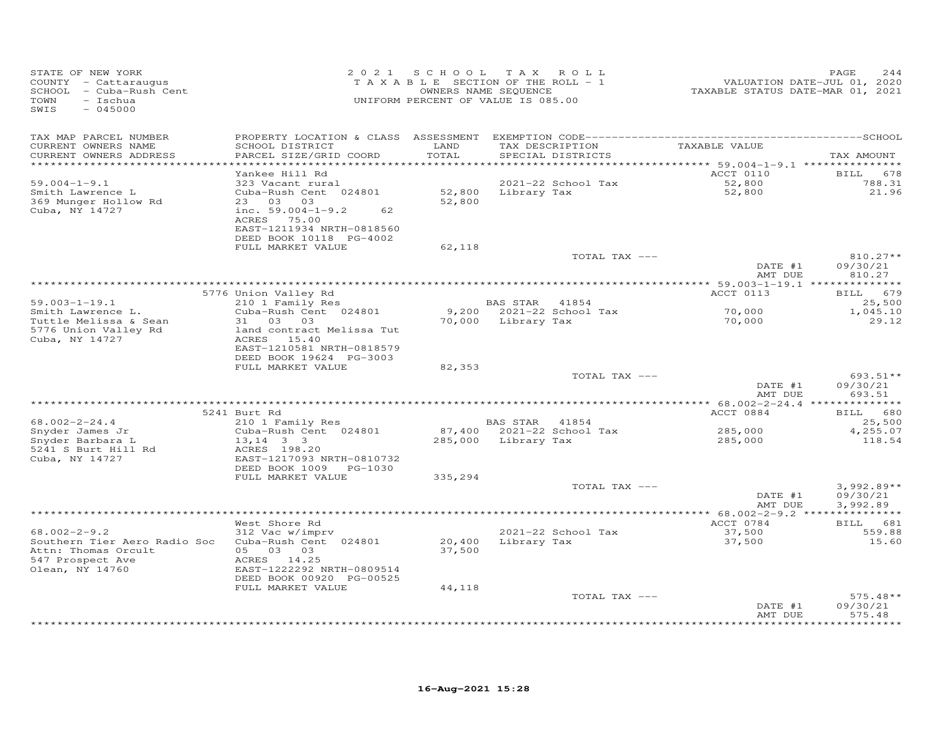| STATE OF NEW YORK<br>COUNTY - Cattaraugus<br>SCHOOL - Cuba-Rush Cent<br>TOWN<br>$-$ Ischua<br>SWIS<br>$-045000$  | 2 0 2 1                                                                                                                                                       | S C H O O L<br>TAXABLE SECTION OF THE ROLL - 1<br>UNIFORM PERCENT OF VALUE IS 085.00 | OWNERS NAME SEQUENCE | TAX ROLL                             | TAXABLE STATUS DATE-MAR 01, 2021 | PAGE<br>244<br>VALUATION DATE-JUL 01, 2020 |
|------------------------------------------------------------------------------------------------------------------|---------------------------------------------------------------------------------------------------------------------------------------------------------------|--------------------------------------------------------------------------------------|----------------------|--------------------------------------|----------------------------------|--------------------------------------------|
| TAX MAP PARCEL NUMBER<br>CURRENT OWNERS NAME<br>CURRENT OWNERS ADDRESS                                           | SCHOOL DISTRICT<br>PARCEL SIZE/GRID COORD<br>*************************                                                                                        | LAND<br>TOTAL                                                                        |                      | TAX DESCRIPTION<br>SPECIAL DISTRICTS | TAXABLE VALUE                    | TAX AMOUNT                                 |
| ************************                                                                                         | Yankee Hill Rd                                                                                                                                                |                                                                                      |                      |                                      | ACCT 0110                        | BILL<br>678                                |
| $59.004 - 1 - 9.1$<br>Smith Lawrence L<br>369 Munger Hollow Rd<br>Cuba, NY 14727                                 | 323 Vacant rural<br>Cuba-Rush Cent 024801<br>23 03 03<br>inc. $59.004 - 1 - 9.2$<br>62<br>ACRES 75.00<br>EAST-1211934 NRTH-0818560<br>DEED BOOK 10118 PG-4002 | 52,800<br>52,800                                                                     | Library Tax          | 2021-22 School Tax                   | 52,800<br>52,800                 | 788.31<br>21.96                            |
|                                                                                                                  | FULL MARKET VALUE                                                                                                                                             | 62,118                                                                               |                      |                                      |                                  |                                            |
|                                                                                                                  |                                                                                                                                                               |                                                                                      |                      | TOTAL TAX ---                        | DATE #1<br>AMT DUE               | 810.27**<br>09/30/21<br>810.27             |
|                                                                                                                  |                                                                                                                                                               |                                                                                      |                      |                                      |                                  |                                            |
|                                                                                                                  | 5776 Union Valley Rd                                                                                                                                          |                                                                                      |                      |                                      | ACCT 0113                        | BILL 679                                   |
| $59.003 - 1 - 19.1$<br>Smith Lawrence L.                                                                         | 210 1 Family Res<br>Cuba-Rush Cent 024801                                                                                                                     |                                                                                      | BAS STAR 41854       | 9,200 2021-22 School Tax             | 70,000                           | 25,500<br>1,045.10                         |
| Tuttle Melissa & Sean<br>5776 Union Valley Rd<br>Cuba, NY 14727                                                  | 31 03 03<br>land contract Melissa Tut<br>ACRES 15.40<br>EAST-1210581 NRTH-0818579                                                                             | 70,000                                                                               | Library Tax          |                                      | 70,000                           | 29.12                                      |
|                                                                                                                  | DEED BOOK 19624 PG-3003                                                                                                                                       |                                                                                      |                      |                                      |                                  |                                            |
|                                                                                                                  | FULL MARKET VALUE                                                                                                                                             | 82,353                                                                               |                      | TOTAL TAX ---                        |                                  | 693.51**                                   |
|                                                                                                                  |                                                                                                                                                               |                                                                                      |                      |                                      | DATE #1<br>AMT DUE               | 09/30/21<br>693.51                         |
|                                                                                                                  |                                                                                                                                                               |                                                                                      |                      |                                      |                                  |                                            |
| $68.002 - 2 - 24.4$                                                                                              | 5241 Burt Rd<br>210 1 Family Res                                                                                                                              |                                                                                      | BAS STAR 41854       |                                      | ACCT 0884                        | 680<br><b>BILL</b><br>25,500               |
| Snyder James Jr                                                                                                  | Cuba-Rush Cent 024801                                                                                                                                         |                                                                                      |                      | 87,400 2021-22 School Tax            | 285,000                          | 4,255.07                                   |
| Snyder Barbara L<br>5241 S Burt Hill Rd<br>Cuba, NY 14727                                                        | $13, 14$ 3 3<br>ACRES 198.20<br>EAST-1217093 NRTH-0810732<br>DEED BOOK 1009<br>PG-1030                                                                        | 285,000                                                                              | Library Tax          |                                      | 285,000                          | 118.54                                     |
|                                                                                                                  | FULL MARKET VALUE                                                                                                                                             | 335,294                                                                              |                      |                                      |                                  |                                            |
|                                                                                                                  |                                                                                                                                                               |                                                                                      |                      | TOTAL TAX ---                        | DATE #1<br>AMT DUE               | $3,992.89**$<br>09/30/21<br>3,992.89       |
|                                                                                                                  |                                                                                                                                                               |                                                                                      |                      |                                      |                                  |                                            |
| $68.002 - 2 - 9.2$<br>Southern Tier Aero Radio Soc<br>Attn: Thomas Orcult<br>547 Prospect Ave<br>Olean, NY 14760 | West Shore Rd<br>312 Vac w/imprv<br>Cuba-Rush Cent 024801<br>05 03 03<br>ACRES 14.25<br>EAST-1222292 NRTH-0809514<br>DEED BOOK 00920 PG-00525                 | 20,400<br>37,500                                                                     |                      | 2021-22 School Tax<br>Library Tax    | ACCT 0784<br>37,500<br>37,500    | BILL 681<br>559.88<br>15.60                |
|                                                                                                                  | FULL MARKET VALUE                                                                                                                                             | 44,118                                                                               |                      |                                      |                                  |                                            |
|                                                                                                                  |                                                                                                                                                               |                                                                                      |                      | TOTAL TAX ---                        | DATE #1<br>AMT DUE               | $575.48**$<br>09/30/21<br>575.48           |
|                                                                                                                  |                                                                                                                                                               |                                                                                      |                      |                                      |                                  | .                                          |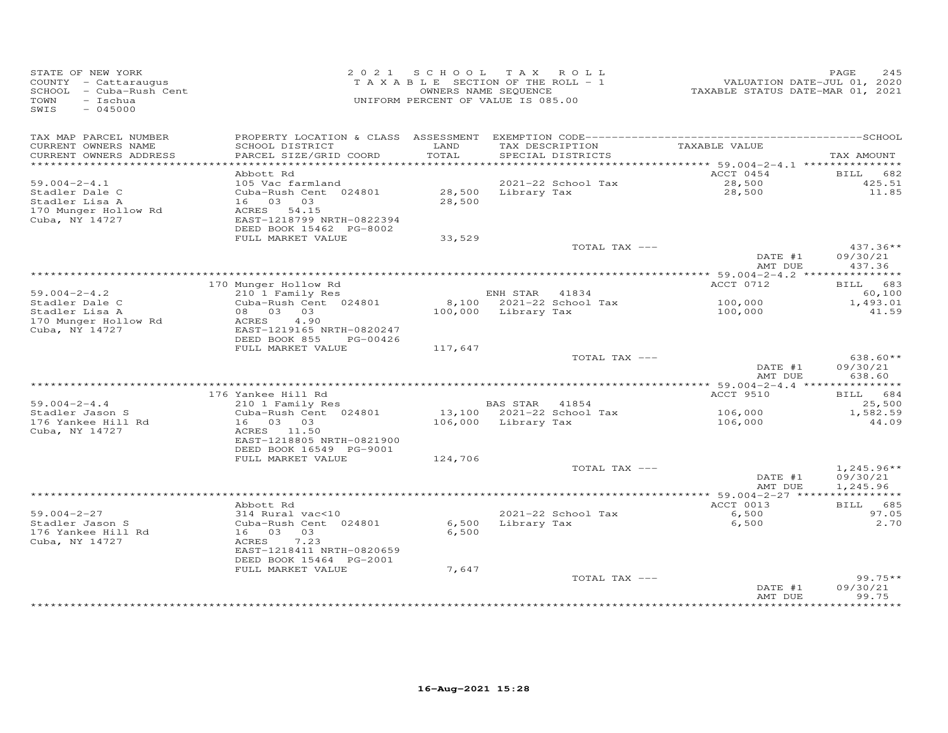| STATE OF NEW YORK<br>COUNTY - Cattaraugus<br>SCHOOL - Cuba-Rush Cent<br>TOWN<br>$-$ Ischua<br>$-045000$<br>SWIS | 2 0 2 1                                   |               | SCHOOL TAX ROLL<br>TAXABLE SECTION OF THE ROLL - 1<br>OWNERS NAME SEQUENCE<br>UNIFORM PERCENT OF VALUE IS 085.00 | VALUATION DATE-JUL 01, 2020<br>TAXABLE STATUS DATE-MAR 01, 2021 | PAGE<br>245        |
|-----------------------------------------------------------------------------------------------------------------|-------------------------------------------|---------------|------------------------------------------------------------------------------------------------------------------|-----------------------------------------------------------------|--------------------|
| TAX MAP PARCEL NUMBER                                                                                           |                                           |               |                                                                                                                  |                                                                 |                    |
| CURRENT OWNERS NAME<br>CURRENT OWNERS ADDRESS                                                                   | SCHOOL DISTRICT<br>PARCEL SIZE/GRID COORD | LAND<br>TOTAL | TAX DESCRIPTION<br>SPECIAL DISTRICTS                                                                             | TAXABLE VALUE                                                   | TAX AMOUNT         |
|                                                                                                                 |                                           |               |                                                                                                                  | ********* 59.004-2-4.1 ****************                         |                    |
|                                                                                                                 | Abbott Rd                                 |               |                                                                                                                  | ACCT 0454                                                       | <b>BILL</b><br>682 |
| $59.004 - 2 - 4.1$                                                                                              | 105 Vac farmland                          |               | 2021-22 School Tax                                                                                               | 28,500                                                          | 425.51<br>11.85    |
| Stadler Dale C<br>Stadler Lisa A                                                                                | Cuba-Rush Cent 024801<br>16 03 03         | 28,500        | 28,500 Library Tax                                                                                               | 28,500                                                          |                    |
| 170 Munger Hollow Rd                                                                                            | ACRES 54.15                               |               |                                                                                                                  |                                                                 |                    |
| Cuba, NY 14727                                                                                                  | EAST-1218799 NRTH-0822394                 |               |                                                                                                                  |                                                                 |                    |
|                                                                                                                 | DEED BOOK 15462 PG-8002                   |               |                                                                                                                  |                                                                 |                    |
|                                                                                                                 | FULL MARKET VALUE                         | 33,529        | TOTAL TAX ---                                                                                                    |                                                                 | $437.36**$         |
|                                                                                                                 |                                           |               |                                                                                                                  | DATE #1                                                         | 09/30/21           |
|                                                                                                                 |                                           |               |                                                                                                                  | AMT DUE                                                         | 437.36             |
|                                                                                                                 |                                           |               |                                                                                                                  |                                                                 |                    |
|                                                                                                                 | 170 Munger Hollow Rd                      |               |                                                                                                                  | ACCT 0712                                                       | BILL 683           |
| $59.004 - 2 - 4.2$                                                                                              | 210 1 Family Res                          |               | ENH STAR 41834<br>8,100 2021-22 School Tax                                                                       |                                                                 | 60,100             |
| Stadler Dale C<br>Stadler Lisa A                                                                                | Cuba-Rush Cent 024801<br>08 03 03         |               | 100,000 Library Tax                                                                                              | 100,000<br>100,000                                              | 1,493.01<br>41.59  |
| 170 Munger Hollow Rd                                                                                            | 4.90<br>ACRES                             |               |                                                                                                                  |                                                                 |                    |
| Cuba, NY 14727                                                                                                  | EAST-1219165 NRTH-0820247                 |               |                                                                                                                  |                                                                 |                    |
|                                                                                                                 | DEED BOOK 855<br>PG-00426                 |               |                                                                                                                  |                                                                 |                    |
|                                                                                                                 | FULL MARKET VALUE                         | 117,647       | TOTAL TAX ---                                                                                                    |                                                                 | $638.60**$         |
|                                                                                                                 |                                           |               |                                                                                                                  | DATE #1                                                         | 09/30/21           |
|                                                                                                                 |                                           |               |                                                                                                                  | AMT DUE                                                         | 638.60             |
|                                                                                                                 |                                           |               |                                                                                                                  |                                                                 |                    |
|                                                                                                                 | 176 Yankee Hill Rd                        |               |                                                                                                                  | ACCT 9510                                                       | BILL 684           |
| $59.004 - 2 - 4.4$<br>Stadler Jason S                                                                           | 210 1 Family Res<br>Cuba-Rush Cent 024801 |               | BAS STAR 41854<br>13,100 2021-22 School Tax                                                                      | 106,000                                                         | 25,500<br>1,582.59 |
| 176 Yankee Hill Rd                                                                                              | 16 03 03                                  |               | 106,000 Library Tax                                                                                              | 106,000                                                         | 44.09              |
| Cuba, NY 14727                                                                                                  | ACRES 11.50                               |               |                                                                                                                  |                                                                 |                    |
|                                                                                                                 | EAST-1218805 NRTH-0821900                 |               |                                                                                                                  |                                                                 |                    |
|                                                                                                                 | DEED BOOK 16549 PG-9001                   |               |                                                                                                                  |                                                                 |                    |
|                                                                                                                 | FULL MARKET VALUE                         | 124,706       | TOTAL TAX ---                                                                                                    |                                                                 | $1,245.96**$       |
|                                                                                                                 |                                           |               |                                                                                                                  | DATE #1                                                         | 09/30/21           |
|                                                                                                                 |                                           |               |                                                                                                                  | AMT DUE                                                         | 1,245.96           |
|                                                                                                                 |                                           |               | *************************************                                                                            | *********** 59.004-2-27 ****                                    | ***********        |
| $59.004 - 2 - 27$                                                                                               | Abbott Rd<br>314 Rural vac<10             |               | 2021-22 School Tax                                                                                               | ACCT 0013<br>6,500                                              | BILL 685<br>97.05  |
| Stadler Jason S                                                                                                 | Cuba-Rush Cent 024801                     | 6,500         | Library Tax                                                                                                      | 6,500                                                           | 2.70               |
| 176 Yankee Hill Rd                                                                                              | 16 03 03                                  | 6,500         |                                                                                                                  |                                                                 |                    |
| Cuba, NY 14727                                                                                                  | ACRES<br>7.23                             |               |                                                                                                                  |                                                                 |                    |
|                                                                                                                 | EAST-1218411 NRTH-0820659                 |               |                                                                                                                  |                                                                 |                    |
|                                                                                                                 | DEED BOOK 15464 PG-2001                   |               |                                                                                                                  |                                                                 |                    |
|                                                                                                                 | FULL MARKET VALUE                         | 7,647         | TOTAL TAX ---                                                                                                    |                                                                 | $99.75**$          |
|                                                                                                                 |                                           |               |                                                                                                                  | DATE #1                                                         | 09/30/21           |
|                                                                                                                 |                                           |               |                                                                                                                  | AMT DUE                                                         | 99.75              |
|                                                                                                                 |                                           |               |                                                                                                                  |                                                                 |                    |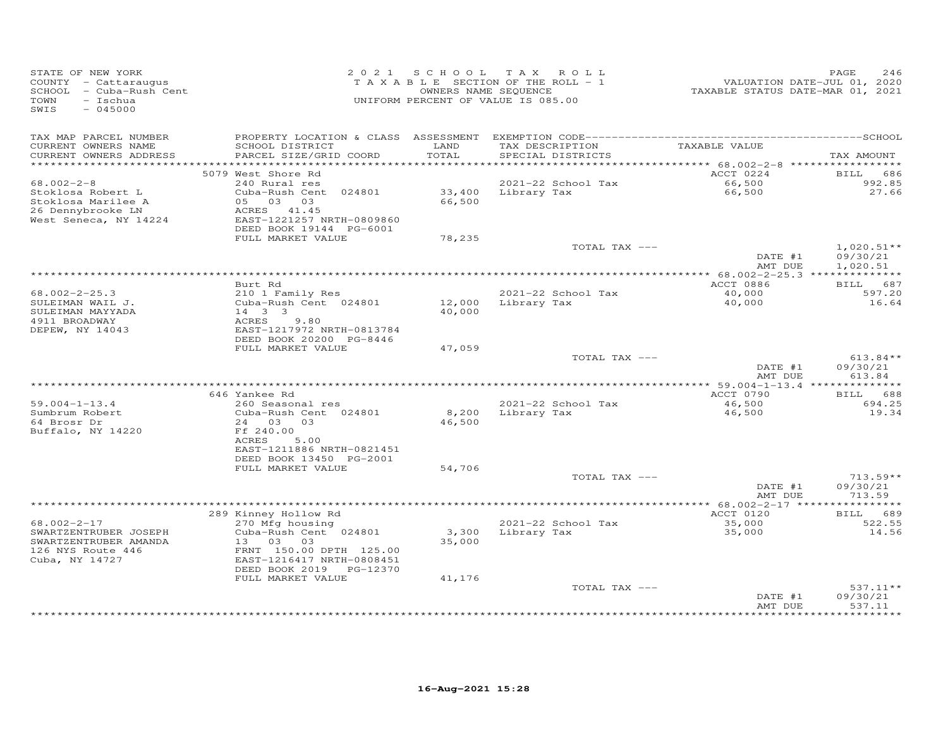| STATE OF NEW YORK<br>COUNTY - Cattaraugus<br>SCHOOL - Cuba-Rush Cent<br>- Ischua<br>TOWN<br>SWIS<br>$-045000$ | 2 0 2 1                                      |                 | SCHOOL TAX ROLL<br>TAXABLE SECTION OF THE ROLL - 1<br>OWNERS NAME SEQUENCE<br>UNIFORM PERCENT OF VALUE IS 085.00 | VALUATION DATE-JUL 01, 2020<br>TAXABLE STATUS DATE-MAR 01, 2021 | PAGE<br>246        |
|---------------------------------------------------------------------------------------------------------------|----------------------------------------------|-----------------|------------------------------------------------------------------------------------------------------------------|-----------------------------------------------------------------|--------------------|
| TAX MAP PARCEL NUMBER                                                                                         | PROPERTY LOCATION & CLASS ASSESSMENT         |                 |                                                                                                                  |                                                                 |                    |
| CURRENT OWNERS NAME<br>CURRENT OWNERS ADDRESS                                                                 | SCHOOL DISTRICT<br>PARCEL SIZE/GRID COORD    | LAND<br>TOTAL   | TAX DESCRIPTION<br>SPECIAL DISTRICTS                                                                             | TAXABLE VALUE                                                   | TAX AMOUNT         |
|                                                                                                               | 5079 West Shore Rd                           |                 |                                                                                                                  | ACCT 0224                                                       | 686<br>BILL        |
| $68.002 - 2 - 8$                                                                                              | 240 Rural res                                |                 | 2021-22 School Tax                                                                                               | 66,500                                                          | 992.85             |
| Stoklosa Robert L                                                                                             | Cuba-Rush Cent 024801                        | 33,400          | Library Tax                                                                                                      | 66,500                                                          | 27.66              |
| Stoklosa Marilee A                                                                                            | 05 03 03                                     | 66,500          |                                                                                                                  |                                                                 |                    |
| 26 Dennybrooke LN                                                                                             | ACRES 41.45                                  |                 |                                                                                                                  |                                                                 |                    |
| West Seneca, NY 14224                                                                                         | EAST-1221257 NRTH-0809860                    |                 |                                                                                                                  |                                                                 |                    |
|                                                                                                               | DEED BOOK 19144 PG-6001<br>FULL MARKET VALUE | 78,235          |                                                                                                                  |                                                                 |                    |
|                                                                                                               |                                              |                 | TOTAL TAX ---                                                                                                    |                                                                 | $1,020.51**$       |
|                                                                                                               |                                              |                 |                                                                                                                  | DATE #1                                                         | 09/30/21           |
|                                                                                                               |                                              |                 |                                                                                                                  | AMT DUE                                                         | 1,020.51           |
|                                                                                                               |                                              |                 |                                                                                                                  | ******** 68.002-2-25.3 **************                           |                    |
|                                                                                                               | Burt Rd                                      |                 |                                                                                                                  | ACCT 0886                                                       | BILL 687           |
| $68.002 - 2 - 25.3$<br>SULEIMAN WAIL J.                                                                       | 210 1 Family Res<br>Cuba-Rush Cent 024801    | 12,000          | 2021-22 School Tax<br>Library Tax                                                                                | 40,000<br>40,000                                                | 597.20<br>16.64    |
| SULEIMAN MAYYADA                                                                                              | 14 3 3                                       | 40,000          |                                                                                                                  |                                                                 |                    |
| 4911 BROADWAY                                                                                                 | ACRES<br>9.80                                |                 |                                                                                                                  |                                                                 |                    |
| DEPEW, NY 14043                                                                                               | EAST-1217972 NRTH-0813784                    |                 |                                                                                                                  |                                                                 |                    |
|                                                                                                               | DEED BOOK 20200 PG-8446                      |                 |                                                                                                                  |                                                                 |                    |
|                                                                                                               | FULL MARKET VALUE                            | 47,059          | TOTAL TAX ---                                                                                                    |                                                                 | $613.84**$         |
|                                                                                                               |                                              |                 |                                                                                                                  | DATE #1                                                         | 09/30/21           |
|                                                                                                               |                                              |                 |                                                                                                                  | AMT DUE                                                         | 613.84             |
|                                                                                                               |                                              |                 |                                                                                                                  |                                                                 |                    |
|                                                                                                               | 646 Yankee Rd                                |                 |                                                                                                                  | ACCT 0790                                                       | <b>BILL</b><br>688 |
| $59.004 - 1 - 13.4$                                                                                           | 260 Seasonal res                             |                 | 2021-22 School Tax                                                                                               | 46,500                                                          | 694.25             |
| Sumbrum Robert<br>64 Brosr Dr                                                                                 | Cuba-Rush Cent 024801<br>24 03 03            | 8,200<br>46,500 | Library Tax                                                                                                      | 46,500                                                          | 19.34              |
| Buffalo, NY 14220                                                                                             | Ff 240.00                                    |                 |                                                                                                                  |                                                                 |                    |
|                                                                                                               | ACRES<br>5.00                                |                 |                                                                                                                  |                                                                 |                    |
|                                                                                                               | EAST-1211886 NRTH-0821451                    |                 |                                                                                                                  |                                                                 |                    |
|                                                                                                               | DEED BOOK 13450 PG-2001                      |                 |                                                                                                                  |                                                                 |                    |
|                                                                                                               | FULL MARKET VALUE                            | 54,706          | TOTAL TAX ---                                                                                                    |                                                                 | $713.59**$         |
|                                                                                                               |                                              |                 |                                                                                                                  | DATE #1                                                         | 09/30/21           |
|                                                                                                               |                                              |                 |                                                                                                                  | AMT DUE                                                         | 713.59             |
|                                                                                                               |                                              |                 |                                                                                                                  |                                                                 |                    |
|                                                                                                               | 289 Kinney Hollow Rd                         |                 |                                                                                                                  | ACCT 0120                                                       | 689<br><b>BILL</b> |
| $68.002 - 2 - 17$                                                                                             | 270 Mfg housing                              |                 | 2021-22 School Tax                                                                                               | 35,000                                                          | 522.55             |
| SWARTZENTRUBER JOSEPH<br>SWARTZENTRUBER AMANDA                                                                | Cuba-Rush Cent 024801<br>13 03               | 3,300<br>35,000 | Library Tax                                                                                                      | 35,000                                                          | 14.56              |
| 126 NYS Route 446                                                                                             | 03<br>FRNT 150.00 DPTH 125.00                |                 |                                                                                                                  |                                                                 |                    |
| Cuba, NY 14727                                                                                                | EAST-1216417 NRTH-0808451                    |                 |                                                                                                                  |                                                                 |                    |
|                                                                                                               | DEED BOOK 2019 PG-12370                      |                 |                                                                                                                  |                                                                 |                    |
|                                                                                                               | FULL MARKET VALUE                            | 41,176          |                                                                                                                  |                                                                 |                    |
|                                                                                                               |                                              |                 | TOTAL TAX ---                                                                                                    |                                                                 | $537.11**$         |
|                                                                                                               |                                              |                 |                                                                                                                  | DATE #1                                                         | 09/30/21           |
|                                                                                                               |                                              |                 |                                                                                                                  | AMT DUE                                                         | 537.11             |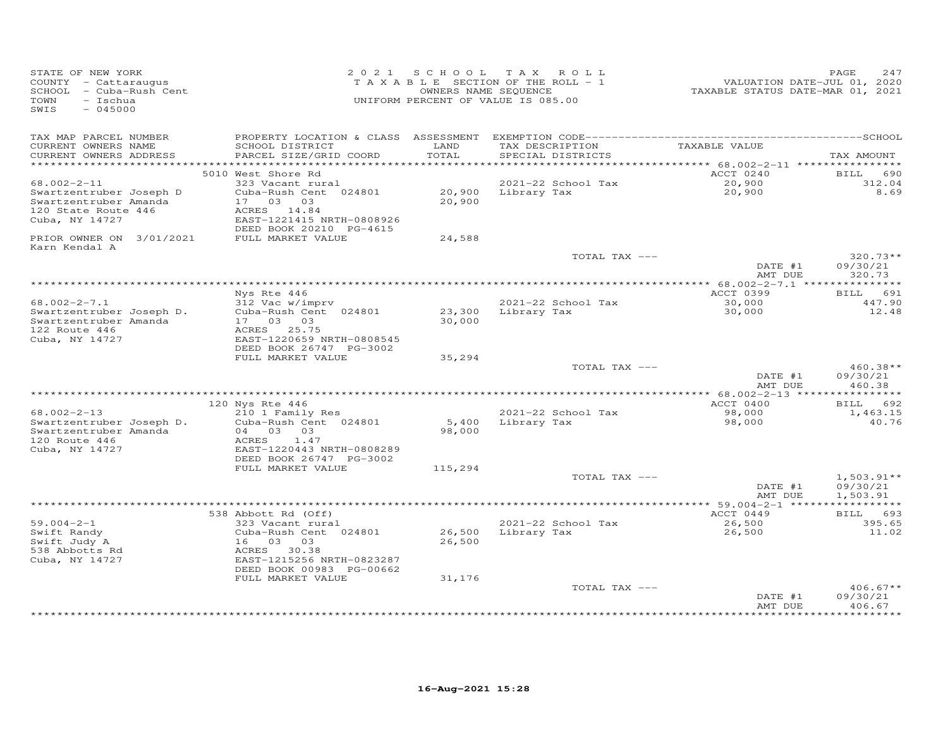| STATE OF NEW YORK<br>COUNTY - Cattaraugus<br>SCHOOL - Cuba-Rush Cent<br>$-$ Ischua<br>TOWN<br>SWIS<br>$-045000$ |                                           |                  | 2021 SCHOOL TAX ROLL<br>T A X A B L E SECTION OF THE ROLL - 1<br>OWNERS NAME SEQUENCE<br>UNIFORM PERCENT OF VALUE IS 085.00 | VALUATION DATE-JUL 01, 2020<br>TAXABLE STATUS DATE-MAR 01, 2021 | 247<br>PAGE            |
|-----------------------------------------------------------------------------------------------------------------|-------------------------------------------|------------------|-----------------------------------------------------------------------------------------------------------------------------|-----------------------------------------------------------------|------------------------|
| TAX MAP PARCEL NUMBER<br>CURRENT OWNERS NAME<br>CURRENT OWNERS ADDRESS                                          | SCHOOL DISTRICT<br>PARCEL SIZE/GRID COORD | LAND<br>TOTAL    | TAX DESCRIPTION<br>SPECIAL DISTRICTS                                                                                        | TAXABLE VALUE                                                   | TAX AMOUNT             |
| *************************                                                                                       |                                           |                  |                                                                                                                             |                                                                 |                        |
|                                                                                                                 | 5010 West Shore Rd                        |                  |                                                                                                                             | ACCT 0240                                                       | <b>BILL</b><br>690     |
| $68.002 - 2 - 11$                                                                                               | 323 Vacant rural                          |                  | 2021-22 School Tax                                                                                                          | 20,900                                                          | 312.04<br>8.69         |
| Swartzentruber Joseph D<br>Swartzentruber Amanda                                                                | Cuba-Rush Cent 024801<br>17 03 03         | 20,900<br>20,900 | Library Tax                                                                                                                 | 20,900                                                          |                        |
| 120 State Route 446                                                                                             | ACRES 14.84                               |                  |                                                                                                                             |                                                                 |                        |
| Cuba, NY 14727                                                                                                  | EAST-1221415 NRTH-0808926                 |                  |                                                                                                                             |                                                                 |                        |
|                                                                                                                 | DEED BOOK 20210 PG-4615                   |                  |                                                                                                                             |                                                                 |                        |
| PRIOR OWNER ON 3/01/2021                                                                                        | FULL MARKET VALUE                         | 24,588           |                                                                                                                             |                                                                 |                        |
| Karn Kendal A                                                                                                   |                                           |                  | TOTAL TAX ---                                                                                                               | DATE #1                                                         | $320.73**$<br>09/30/21 |
|                                                                                                                 |                                           |                  |                                                                                                                             | AMT DUE                                                         | 320.73                 |
|                                                                                                                 |                                           |                  |                                                                                                                             |                                                                 |                        |
|                                                                                                                 | Nys Rte 446                               |                  |                                                                                                                             | ACCT 0399                                                       | BILL 691               |
| $68.002 - 2 - 7.1$                                                                                              | 312 Vac w/imprv                           |                  | 2021-22 School Tax                                                                                                          | 30,000                                                          | 447.90                 |
| Swartzentruber Joseph D.<br>Swartzentruber Amanda                                                               | Cuba-Rush Cent 024801<br>17 03 03         | 30,000           | 23,300 Library Tax                                                                                                          | 30,000                                                          | 12.48                  |
| 122 Route 446                                                                                                   | ACRES 25.75                               |                  |                                                                                                                             |                                                                 |                        |
| Cuba, NY 14727                                                                                                  | EAST-1220659 NRTH-0808545                 |                  |                                                                                                                             |                                                                 |                        |
|                                                                                                                 | DEED BOOK 26747 PG-3002                   |                  |                                                                                                                             |                                                                 |                        |
|                                                                                                                 | FULL MARKET VALUE                         | 35,294           |                                                                                                                             |                                                                 |                        |
|                                                                                                                 |                                           |                  | TOTAL TAX ---                                                                                                               | DATE #1                                                         | $460.38**$<br>09/30/21 |
|                                                                                                                 |                                           |                  |                                                                                                                             | AMT DUE                                                         | 460.38                 |
|                                                                                                                 |                                           |                  |                                                                                                                             |                                                                 |                        |
|                                                                                                                 | 120 Nys Rte 446                           |                  |                                                                                                                             | ACCT 0400                                                       | BILL 692               |
| $68.002 - 2 - 13$                                                                                               | 210 1 Family Res                          |                  | 2021-22 School Tax                                                                                                          | 98,000                                                          | 1,463.15               |
| Swartzentruber Joseph D.<br>Swartzentruber Amanda                                                               | Cuba-Rush Cent 024801<br>04 03 03         | 5,400<br>98,000  | Library Tax                                                                                                                 | 98,000                                                          | 40.76                  |
| 120 Route 446                                                                                                   | ACRES<br>1.47                             |                  |                                                                                                                             |                                                                 |                        |
| Cuba, NY 14727                                                                                                  | EAST-1220443 NRTH-0808289                 |                  |                                                                                                                             |                                                                 |                        |
|                                                                                                                 | DEED BOOK 26747 PG-3002                   |                  |                                                                                                                             |                                                                 |                        |
|                                                                                                                 | FULL MARKET VALUE                         | 115,294          |                                                                                                                             |                                                                 |                        |
|                                                                                                                 |                                           |                  | TOTAL TAX ---                                                                                                               |                                                                 | $1,503.91**$           |
|                                                                                                                 |                                           |                  |                                                                                                                             | DATE #1<br>AMT DUE                                              | 09/30/21<br>1,503.91   |
|                                                                                                                 |                                           |                  |                                                                                                                             |                                                                 |                        |
|                                                                                                                 | 538 Abbott Rd (Off)                       |                  |                                                                                                                             | ACCT 0449                                                       | BILL 693               |
| $59.004 - 2 - 1$                                                                                                | 323 Vacant rural                          |                  | 2021-22 School Tax                                                                                                          | 26,500                                                          | 395.65                 |
| Swift Randy                                                                                                     | Cuba-Rush Cent 024801                     | 26,500           | Library Tax                                                                                                                 | 26,500                                                          | 11.02                  |
| Swift Judy A<br>538 Abbotts Rd                                                                                  | 16 03<br>03<br>ACRES 30.38                | 26,500           |                                                                                                                             |                                                                 |                        |
| Cuba, NY 14727                                                                                                  | EAST-1215256 NRTH-0823287                 |                  |                                                                                                                             |                                                                 |                        |
|                                                                                                                 | DEED BOOK 00983 PG-00662                  |                  |                                                                                                                             |                                                                 |                        |
|                                                                                                                 | FULL MARKET VALUE                         | 31,176           |                                                                                                                             |                                                                 |                        |
|                                                                                                                 |                                           |                  | TOTAL TAX ---                                                                                                               |                                                                 | $406.67**$             |
|                                                                                                                 |                                           |                  |                                                                                                                             | DATE #1<br>AMT DUE                                              | 09/30/21<br>406.67     |
|                                                                                                                 |                                           |                  |                                                                                                                             |                                                                 |                        |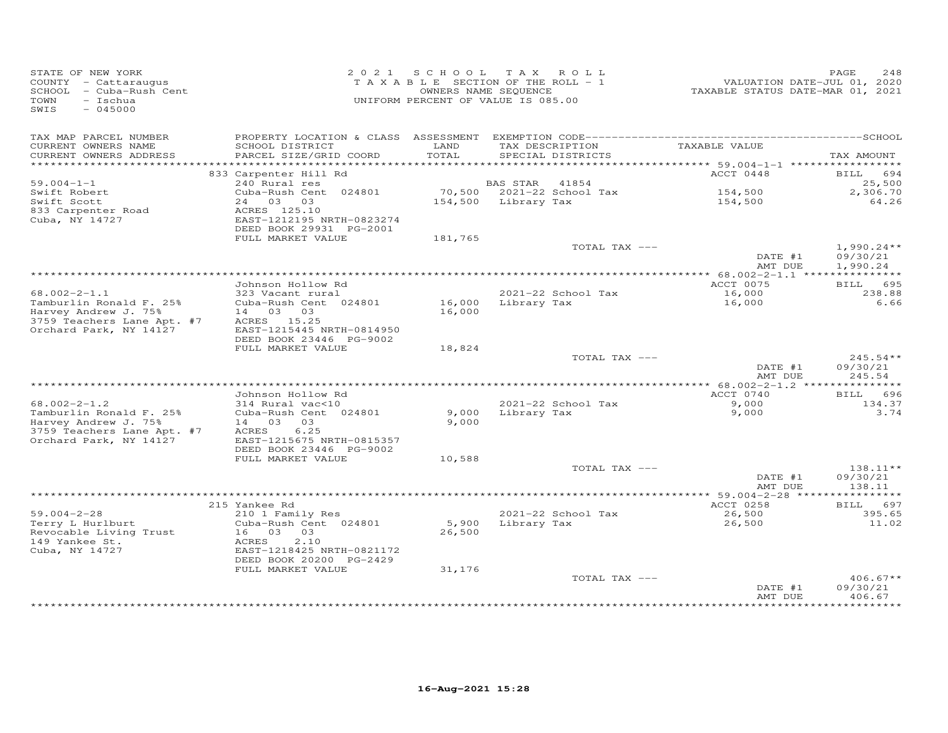| STATE OF NEW YORK<br>COUNTY - Cattaraugus<br>SCHOOL - Cuba-Rush Cent<br>TOWN<br>$-$ Ischua<br>$-045000$<br>SWIS               |                                                                                                            |                 | 2021 SCHOOL TAX ROLL<br>TAXABLE SECTION OF THE ROLL - 1<br>OWNERS NAME SEQUENCE<br>UNIFORM PERCENT OF VALUE IS 085.00 |               | TAXABLE STATUS DATE-MAR 01, 2021                      | PAGE<br>VALUATION DATE-JUL 01, 2020 | 248                                  |
|-------------------------------------------------------------------------------------------------------------------------------|------------------------------------------------------------------------------------------------------------|-----------------|-----------------------------------------------------------------------------------------------------------------------|---------------|-------------------------------------------------------|-------------------------------------|--------------------------------------|
| TAX MAP PARCEL NUMBER<br>CURRENT OWNERS NAME                                                                                  | SCHOOL DISTRICT                                                                                            | LAND            | TAX DESCRIPTION                                                                                                       |               | TAXABLE VALUE                                         |                                     |                                      |
| CURRENT OWNERS ADDRESS                                                                                                        | PARCEL SIZE/GRID COORD                                                                                     | TOTAL           | SPECIAL DISTRICTS                                                                                                     |               |                                                       |                                     | TAX AMOUNT                           |
|                                                                                                                               | 833 Carpenter Hill Rd                                                                                      |                 |                                                                                                                       |               | ********** 59.004-1-1 ******************<br>ACCT 0448 | BILL                                | 694                                  |
| $59.004 - 1 - 1$                                                                                                              | 240 Rural res                                                                                              |                 | BAS STAR<br>41854                                                                                                     |               |                                                       |                                     | 25,500                               |
| Swift Robert<br>Swift Scott<br>833 Carpenter Road<br>Cuba, NY 14727                                                           | Cuba-Rush Cent 024801<br>24 03 03<br>ACRES 125.10<br>EAST-1212195 NRTH-0823274                             |                 | 70,500 2021-22 School Tax<br>154,500 Library Tax                                                                      |               | 154,500<br>154,500                                    |                                     | 2,306.70<br>64.26                    |
|                                                                                                                               | DEED BOOK 29931 PG-2001                                                                                    |                 |                                                                                                                       |               |                                                       |                                     |                                      |
|                                                                                                                               | FULL MARKET VALUE                                                                                          | 181,765         |                                                                                                                       |               |                                                       |                                     |                                      |
|                                                                                                                               |                                                                                                            |                 |                                                                                                                       | TOTAL TAX --- | DATE #1<br>AMT DUE                                    |                                     | $1,990.24**$<br>09/30/21<br>1,990.24 |
|                                                                                                                               |                                                                                                            |                 |                                                                                                                       |               |                                                       |                                     |                                      |
|                                                                                                                               | Johnson Hollow Rd                                                                                          |                 |                                                                                                                       |               | ACCT 0075                                             |                                     | BILL 695                             |
| $68.002 - 2 - 1.1$<br>Tamburlin Ronald F. 25%<br>Harvey Andrew J. 75%<br>3759 Teachers Lane Apt. #7<br>Orchard Park, NY 14127 | 323 Vacant rural<br>Cuba-Rush Cent 024801<br>14 03 03<br>ACRES 15.25<br>EAST-1215445 NRTH-0814950          | 16,000          | 2021-22 School Tax<br>16,000 Library Tax                                                                              |               | 16,000<br>16,000                                      |                                     | 238.88<br>6.66                       |
|                                                                                                                               | DEED BOOK 23446 PG-9002                                                                                    |                 |                                                                                                                       |               |                                                       |                                     |                                      |
|                                                                                                                               | FULL MARKET VALUE                                                                                          | 18,824          |                                                                                                                       |               |                                                       |                                     |                                      |
|                                                                                                                               |                                                                                                            |                 |                                                                                                                       | TOTAL TAX --- | DATE #1<br>AMT DUE                                    |                                     | $245.54**$<br>09/30/21<br>245.54     |
|                                                                                                                               |                                                                                                            |                 |                                                                                                                       |               |                                                       |                                     |                                      |
|                                                                                                                               | Johnson Hollow Rd                                                                                          |                 |                                                                                                                       |               | ACCT 0740                                             |                                     | BILL 696                             |
| $68.002 - 2 - 1.2$<br>Tamburlin Ronald F. 25%<br>Harvey Andrew J. 75%                                                         | 314 Rural vac<10<br>Cuba-Rush Cent 024801<br>14 03 03                                                      | 9,000<br>9,000  | 2021-22 School Tax<br>Library Tax                                                                                     |               | 9,000<br>9,000                                        |                                     | 134.37<br>3.74                       |
| 3759 Teachers Lane Apt. #7<br>Orchard Park, NY 14127                                                                          | 6.25<br>ACRES<br>EAST-1215675 NRTH-0815357<br>DEED BOOK 23446 PG-9002                                      |                 |                                                                                                                       |               |                                                       |                                     |                                      |
|                                                                                                                               | FULL MARKET VALUE                                                                                          | 10,588          |                                                                                                                       |               |                                                       |                                     |                                      |
|                                                                                                                               |                                                                                                            |                 |                                                                                                                       | TOTAL TAX --- | DATE #1<br>AMT DUE                                    |                                     | 138.11**<br>09/30/21<br>138.11       |
|                                                                                                                               |                                                                                                            |                 |                                                                                                                       |               |                                                       |                                     |                                      |
| $59.004 - 2 - 28$                                                                                                             | 215 Yankee Rd<br>210 1 Family Res                                                                          |                 | 2021-22 School Tax                                                                                                    |               | ACCT 0258<br>26,500                                   |                                     | BILL 697<br>395.65                   |
| Terry L Hurlburt<br>Revocable Living Trust<br>149 Yankee St.<br>Cuba, NY 14727                                                | Cuba-Rush Cent 024801<br>16 03 03<br>ACRES<br>2.10<br>EAST-1218425 NRTH-0821172<br>DEED BOOK 20200 PG-2429 | 5,900<br>26,500 | Library Tax                                                                                                           |               | 26,500                                                |                                     | 11.02                                |
|                                                                                                                               | FULL MARKET VALUE                                                                                          | 31,176          |                                                                                                                       |               |                                                       |                                     |                                      |
|                                                                                                                               |                                                                                                            |                 |                                                                                                                       | TOTAL TAX --- | DATE #1<br>AMT DUE                                    |                                     | $406.67**$<br>09/30/21<br>406.67     |
|                                                                                                                               |                                                                                                            |                 |                                                                                                                       |               |                                                       |                                     | **********                           |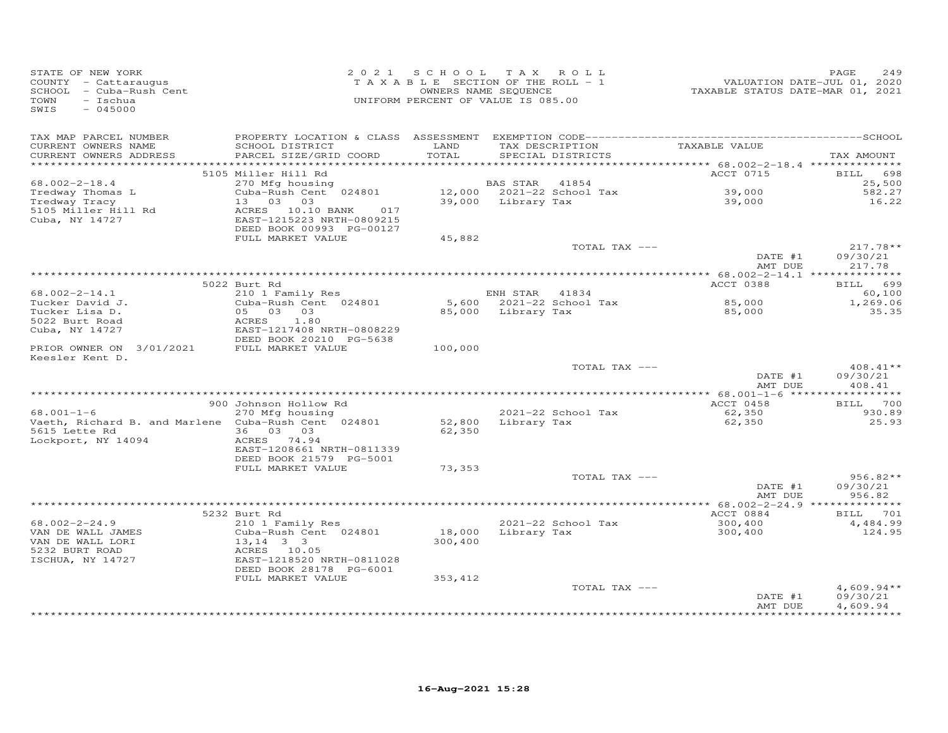| STATE OF NEW YORK<br>COUNTY - Cattaraugus<br>SCHOOL - Cuba-Rush Cent<br>- Ischua<br>TOWN<br>$-045000$<br>SWIS |                                                                                              | 2021 SCHOOL      | TAX ROLL<br>TAXABLE SECTION OF THE ROLL - 1<br>OWNERS NAME SEQUENCE<br>UNIFORM PERCENT OF VALUE IS 085.00 | VALUATION DATE-JUL 01, 2020<br>TAXABLE STATUS DATE-MAR 01, 2021 | PAGE<br>2.49                     |
|---------------------------------------------------------------------------------------------------------------|----------------------------------------------------------------------------------------------|------------------|-----------------------------------------------------------------------------------------------------------|-----------------------------------------------------------------|----------------------------------|
| TAX MAP PARCEL NUMBER<br>CURRENT OWNERS NAME<br>CURRENT OWNERS ADDRESS                                        | SCHOOL DISTRICT<br>PARCEL SIZE/GRID COORD                                                    | LAND<br>TOTAL    | TAX DESCRIPTION<br>SPECIAL DISTRICTS                                                                      | TAXABLE VALUE                                                   | TAX AMOUNT                       |
|                                                                                                               | 5105 Miller Hill Rd                                                                          |                  |                                                                                                           | ACCT 0715                                                       | <b>BILL</b><br>698               |
| $68.002 - 2 - 18.4$                                                                                           | 270 Mfg housing                                                                              |                  | 41854<br>BAS STAR                                                                                         |                                                                 | 25,500                           |
| Tredway Thomas L                                                                                              | Cuba-Rush Cent 024801                                                                        |                  | 12,000 2021-22 School Tax                                                                                 | 39,000<br>39,000                                                | 582.27                           |
| Tredway Tracy<br>5105 Miller Hill Rd<br>Cuba, NY 14727                                                        | 13 03 03<br>ACRES 10.10 BANK<br>017<br>EAST-1215223 NRTH-0809215<br>DEED BOOK 00993 PG-00127 |                  | 39,000 Library Tax                                                                                        |                                                                 | 16.22                            |
|                                                                                                               | FULL MARKET VALUE                                                                            | 45,882           |                                                                                                           |                                                                 |                                  |
|                                                                                                               |                                                                                              |                  | TOTAL TAX ---                                                                                             | DATE #1<br>AMT DUE                                              | $217.78**$<br>09/30/21<br>217.78 |
|                                                                                                               |                                                                                              |                  |                                                                                                           |                                                                 |                                  |
| $68.002 - 2 - 14.1$                                                                                           | 5022 Burt Rd<br>210 1 Family Res                                                             |                  | ENH STAR 41834                                                                                            | ACCT 0388                                                       | BILL 699<br>60,100               |
| Tucker David J.                                                                                               | Cuba-Rush Cent 024801                                                                        |                  | 5,600 2021-22 School Tax                                                                                  |                                                                 | 1,269.06                         |
| Tucker Lisa D.                                                                                                | 05 03 03                                                                                     |                  | 85,000 Library Tax                                                                                        | 85,000<br>85,000                                                | 35.35                            |
| 5022 Burt Road                                                                                                | 1.80<br>ACRES                                                                                |                  |                                                                                                           |                                                                 |                                  |
| Cuba, NY 14727                                                                                                | EAST-1217408 NRTH-0808229<br>DEED BOOK 20210 PG-5638                                         |                  |                                                                                                           |                                                                 |                                  |
| PRIOR OWNER ON 3/01/2021<br>Keesler Kent D.                                                                   | FULL MARKET VALUE                                                                            | 100,000          |                                                                                                           |                                                                 |                                  |
|                                                                                                               |                                                                                              |                  | TOTAL TAX ---                                                                                             | DATE #1<br>AMT DUE                                              | $408.41**$<br>09/30/21<br>408.41 |
|                                                                                                               |                                                                                              |                  |                                                                                                           |                                                                 |                                  |
| $68.001 - 1 - 6$                                                                                              | 900 Johnson Hollow Rd<br>270 Mfg housing                                                     |                  | 2021-22 School Tax                                                                                        | ACCT 0458<br>62,350                                             | BILL 700<br>930.89               |
| Vaeth, Richard B. and Marlene Cuba-Rush Cent 024801<br>5615 Lette Rd                                          | 36 03 03                                                                                     | 52,800<br>62,350 | Library Tax                                                                                               | 62,350                                                          | 25.93                            |
| Lockport, NY 14094                                                                                            | ACRES 74.94<br>EAST-1208661 NRTH-0811339<br>DEED BOOK 21579 PG-5001                          |                  |                                                                                                           |                                                                 |                                  |
|                                                                                                               | FULL MARKET VALUE                                                                            | 73,353           |                                                                                                           |                                                                 |                                  |
|                                                                                                               |                                                                                              |                  | TOTAL TAX ---                                                                                             | DATE #1                                                         | $956.82**$<br>09/30/21           |
|                                                                                                               |                                                                                              |                  |                                                                                                           | AMT DUE                                                         | 956.82                           |
|                                                                                                               |                                                                                              |                  |                                                                                                           |                                                                 |                                  |
|                                                                                                               | 5232 Burt Rd                                                                                 |                  |                                                                                                           | ACCT 0884                                                       | BILL 701                         |
| $68.002 - 2 - 24.9$<br>VAN DE WALL JAMES                                                                      | 210 1 Family Res<br>Cuba-Rush Cent 024801                                                    | 18,000           | 2021-22 School Tax<br>Library Tax                                                                         | 300,400<br>300,400                                              | 4,484.99<br>124.95               |
| VAN DE WALL LORI<br>5232 BURT ROAD<br>ISCHUA, NY 14727                                                        | $13, 14$ 3 3<br>ACRES 10.05<br>EAST-1218520 NRTH-0811028                                     | 300,400          |                                                                                                           |                                                                 |                                  |
|                                                                                                               | DEED BOOK 28178 PG-6001                                                                      |                  |                                                                                                           |                                                                 |                                  |
|                                                                                                               | FULL MARKET VALUE                                                                            | 353,412          | TOTAL TAX ---                                                                                             | DATE #1                                                         | $4,609.94**$<br>09/30/21         |
|                                                                                                               |                                                                                              |                  |                                                                                                           | AMT DUE                                                         | 4,609.94                         |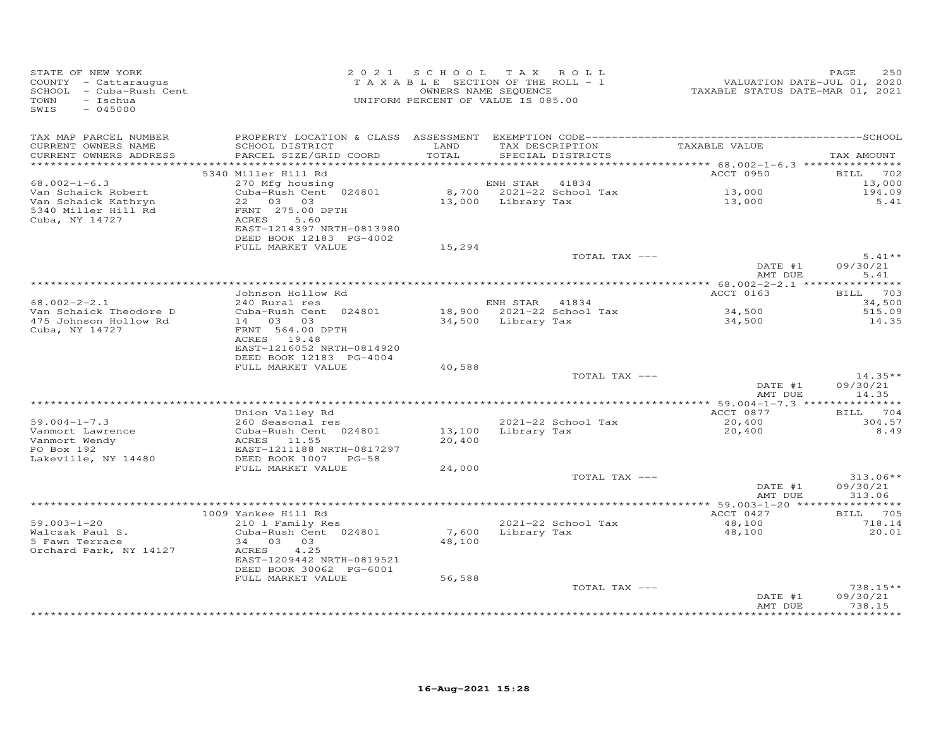| STATE OF NEW YORK<br>COUNTY - Cattaraugus<br>SCHOOL - Cuba-Rush Cent<br>- Ischua<br>TOWN<br>$-045000$<br>SWIS |                                                                                                                                                                                                          | 2021 SCHOOL TAX ROLL<br>TAXABLE SECTION OF THE ROLL - 1<br>OWNERS NAME SEQUENCE<br>UNIFORM PERCENT OF VALUE IS 085.00 |                    |                                                         | 1<br>2020 VALUATION DATE-JUL 01, 2020<br>2021 TAXABLE STATUS DATE-MAR | PAGE<br>250                    |
|---------------------------------------------------------------------------------------------------------------|----------------------------------------------------------------------------------------------------------------------------------------------------------------------------------------------------------|-----------------------------------------------------------------------------------------------------------------------|--------------------|---------------------------------------------------------|-----------------------------------------------------------------------|--------------------------------|
| TAX MAP PARCEL NUMBER<br>CURRENT OWNERS NAME<br>CURRENT OWNERS ADDRESS                                        | SCHOOL DISTRICT<br>PARCEL SIZE/GRID COORD                                                                                                                                                                | LAND<br>TOTAL                                                                                                         |                    | TAX DESCRIPTION<br>SPECIAL DISTRICTS                    | TAXABLE VALUE                                                         | TAX AMOUNT                     |
| ***********************                                                                                       | 5340 Miller Hill Rd                                                                                                                                                                                      |                                                                                                                       |                    |                                                         | ACCT 0950                                                             | BILL 702                       |
| $68.002 - 1 - 6.3$<br>Van Schaick Robert<br>Van Schaick Kathryn<br>5340 Miller Hill Rd<br>Cuba, NY 14727      | 270 Mfg housing<br>Cuba-Rush Cent 024801<br>22 03 03<br>FRNT 275.00 DPTH<br>ACRES<br>5.60                                                                                                                |                                                                                                                       | ENH STAR           | 41834<br>8,700 2021-22 School Tax<br>13,000 Library Tax | 13,000<br>13,000                                                      | 13,000<br>194.09<br>5.41       |
|                                                                                                               | EAST-1214397 NRTH-0813980<br>DEED BOOK 12183 PG-4002<br>FULL MARKET VALUE                                                                                                                                | 15,294                                                                                                                |                    |                                                         |                                                                       |                                |
|                                                                                                               |                                                                                                                                                                                                          |                                                                                                                       |                    | TOTAL TAX ---                                           | DATE #1                                                               | $5.41**$<br>09/30/21           |
|                                                                                                               |                                                                                                                                                                                                          |                                                                                                                       |                    |                                                         | AMT DUE                                                               | 5.41                           |
|                                                                                                               | Johnson Hollow Rd                                                                                                                                                                                        |                                                                                                                       |                    |                                                         | ACCT 0163                                                             | BILL 703                       |
| $68.002 - 2 - 2.1$                                                                                            | 240 Rural res                                                                                                                                                                                            |                                                                                                                       | ENH STAR 41834     |                                                         |                                                                       | 34,500                         |
| Van Schaick Theodore D<br>475 Johnson Hollow Rd<br>Cuba, NY 14727                                             | Cuba-Rush Cent 024801<br>14 03 03<br>FRNT 564.00 DPTH<br>ACRES 19.48<br>EAST-1216052 NRTH-0814920                                                                                                        |                                                                                                                       | 34,500 Library Tax | 18,900 2021-22 School Tax                               | 34,500<br>34,500                                                      | 515.09<br>14.35                |
|                                                                                                               | DEED BOOK 12183 PG-4004                                                                                                                                                                                  |                                                                                                                       |                    |                                                         |                                                                       |                                |
|                                                                                                               | FULL MARKET VALUE                                                                                                                                                                                        | 40,588                                                                                                                |                    | TOTAL TAX ---                                           | DATE #1<br>AMT DUE                                                    | $14.35**$<br>09/30/21<br>14.35 |
|                                                                                                               |                                                                                                                                                                                                          |                                                                                                                       |                    |                                                         |                                                                       |                                |
| $59.004 - 1 - 7.3$<br>Vanmort Lawrence<br>Vanmort Wendy<br>PO Box 192<br>Lakeville, NY 14480                  | Union Valley Rd<br>260 Seasonal res<br>200 Seasonal res<br>Cuba-Rush Cent 024801<br>ACRES 11.55<br>EAST-1211188 NRTH-08172<br>DEED BOOK 1007 PG-58<br>Cuba-Rush Cent 024801<br>EAST-1211188 NRTH-0817297 | 20,400                                                                                                                |                    | 2021-22 School Tax<br>13,100 Library Tax                | ACCT 0877<br>20,400<br>20,400                                         | BILL 704<br>304.57<br>8.49     |
|                                                                                                               | FULL MARKET VALUE                                                                                                                                                                                        | 24,000                                                                                                                |                    | TOTAL TAX ---                                           |                                                                       | $313.06**$                     |
|                                                                                                               |                                                                                                                                                                                                          |                                                                                                                       |                    |                                                         | DATE #1<br>AMT DUE                                                    | 09/30/21<br>313.06             |
|                                                                                                               |                                                                                                                                                                                                          |                                                                                                                       |                    |                                                         |                                                                       |                                |
|                                                                                                               | 1009 Yankee Hill Rd<br>210 1 Family Res                                                                                                                                                                  |                                                                                                                       |                    |                                                         | ACCT 0427                                                             | BILL 705                       |
| $59.003 - 1 - 20$<br>Walczak Paul S.<br>5 Fawn Terrace<br>Orchard Park, NY 14127                              | Cuba-Rush Cent 024801<br>34 03 03<br>ACRES<br>4.25<br>EAST-1209442 NRTH-0819521<br>DEED BOOK 30062 PG-6001                                                                                               | 48,100                                                                                                                |                    | 2021-22 School Tax<br>7,600 Library Tax                 | 48,100<br>48,100                                                      | 718.14<br>20.01                |
|                                                                                                               | FULL MARKET VALUE                                                                                                                                                                                        | 56,588                                                                                                                |                    | TOTAL TAX ---                                           |                                                                       | 738.15**                       |
|                                                                                                               |                                                                                                                                                                                                          |                                                                                                                       |                    |                                                         | DATE #1<br>AMT DUE                                                    | 09/30/21<br>738.15             |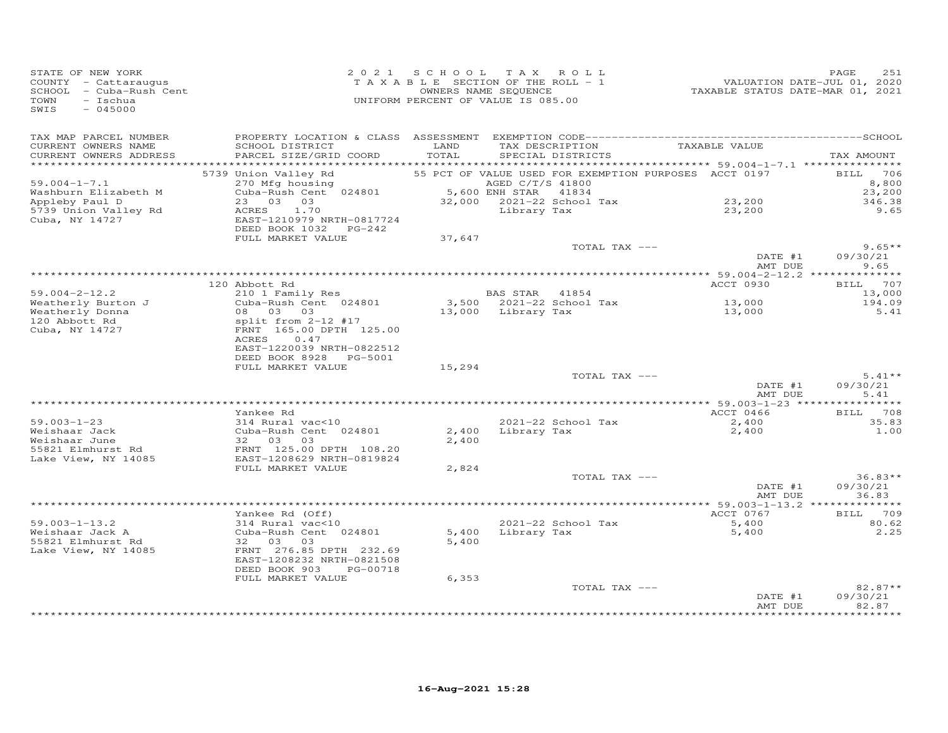| STATE OF NEW YORK<br>COUNTY - Cattaraugus<br>SCHOOL - Cuba-Rush Cent<br>TOWN<br>- Ischua<br>SWIS<br>$-045000$ |                                                                                                                           |                | 2021 SCHOOL TAX ROLL<br>TAXABLE SECTION OF THE ROLL - 1<br>OWNERS NAME SEQUENCE<br>UNIFORM PERCENT OF VALUE IS 085.00          | VALUATION DATE-JUL 01, 2020<br>TAXABLE STATUS DATE-MAR 01, 2021 | PAGE<br>251                           |
|---------------------------------------------------------------------------------------------------------------|---------------------------------------------------------------------------------------------------------------------------|----------------|--------------------------------------------------------------------------------------------------------------------------------|-----------------------------------------------------------------|---------------------------------------|
| TAX MAP PARCEL NUMBER<br>CURRENT OWNERS NAME<br>CURRENT OWNERS ADDRESS<br>***********************             | SCHOOL DISTRICT<br>PARCEL SIZE/GRID COORD                                                                                 | LAND<br>TOTAL  | TAX DESCRIPTION<br>SPECIAL DISTRICTS                                                                                           | TAXABLE VALUE                                                   | TAX AMOUNT                            |
| $59.004 - 1 - 7.1$<br>Washburn Elizabeth M<br>Appleby Paul D                                                  | 5739 Union Valley Rd<br>270 Mfg housing<br>Cuba-Rush Cent 024801<br>23 03 03                                              |                | 55 PCT OF VALUE USED FOR EXEMPTION PURPOSES ACCT 0197<br>AGED C/T/S 41800<br>5,600 ENH STAR 41834<br>32,000 2021-22 School Tax | 23,200                                                          | BILL 706<br>8,800<br>23,200<br>346.38 |
| 5739 Union Valley Rd<br>Cuba, NY 14727                                                                        | ACRES<br>1.70<br>EAST-1210979 NRTH-0817724<br>DEED BOOK 1032 PG-242<br>FULL MARKET VALUE                                  | 37,647         | Library Tax                                                                                                                    | 23,200                                                          | 9.65                                  |
|                                                                                                               |                                                                                                                           |                | TOTAL TAX ---                                                                                                                  | DATE #1                                                         | $9.65**$<br>09/30/21                  |
|                                                                                                               |                                                                                                                           |                |                                                                                                                                | AMT DUE                                                         | 9.65                                  |
|                                                                                                               |                                                                                                                           |                |                                                                                                                                | ACCT 0930                                                       | BILL 707                              |
| $59.004 - 2 - 12.2$                                                                                           | 120 Abbott Rd<br>210 1 Family Res                                                                                         |                | BAS STAR 41854                                                                                                                 |                                                                 | 13,000                                |
| Weatherly Burton J                                                                                            | Cuba-Rush Cent 024801                                                                                                     |                | 3,500 2021-22 School Tax                                                                                                       | 13,000                                                          | 194.09                                |
| Weatherly Donna<br>120 Abbott Rd<br>Cuba, NY 14727                                                            | 08 03 03<br>split from 2-12 #17<br>FRNT 165.00 DPTH 125.00<br>0.47<br>ACRES<br>EAST-1220039 NRTH-0822512                  |                | 13,000 Library Tax                                                                                                             | 13,000                                                          | 5.41                                  |
|                                                                                                               | DEED BOOK 8928 PG-5001<br>FULL MARKET VALUE                                                                               | 15,294         |                                                                                                                                |                                                                 |                                       |
|                                                                                                               |                                                                                                                           |                | TOTAL TAX ---                                                                                                                  | DATE #1<br>AMT DUE                                              | $5.41**$<br>09/30/21<br>5.41          |
|                                                                                                               | Yankee Rd                                                                                                                 |                |                                                                                                                                | ACCT 0466                                                       | BILL 708                              |
| $59.003 - 1 - 23$<br>Weishaar Jack<br>Weishaar June<br>55821 Elmhurst Rd<br>Lake View, NY 14085               | 314 Rural vac<10<br>Cuba-Rush Cent 024801<br>32 03 03<br>FRNT 125.00 DPTH 108.20<br>EAST-1208629 NRTH-0819824             | 2,400<br>2,400 | 2021-22 School Tax<br>Library Tax                                                                                              | 2,400<br>2,400                                                  | 35.83<br>1.00                         |
|                                                                                                               | FULL MARKET VALUE                                                                                                         | 2,824          |                                                                                                                                |                                                                 | $36.83**$                             |
|                                                                                                               |                                                                                                                           |                | TOTAL TAX ---                                                                                                                  | DATE #1<br>AMT DUE                                              | 09/30/21<br>36.83                     |
|                                                                                                               | Yankee Rd (Off)                                                                                                           |                |                                                                                                                                | ACCT 0767                                                       | 709<br>BILL                           |
| $59.003 - 1 - 13.2$                                                                                           | 314 Rural vac<10                                                                                                          |                | 2021-22 School Tax                                                                                                             | 5,400                                                           | 80.62                                 |
| Weishaar Jack A<br>55821 Elmhurst Rd<br>Lake View, NY 14085                                                   | Cuba-Rush Cent 024801<br>32 03<br>03<br>FRNT 276.85 DPTH 232.69<br>EAST-1208232 NRTH-0821508<br>DEED BOOK 903<br>PG-00718 | 5,400<br>5,400 | Library Tax                                                                                                                    | 5,400                                                           | 2.25                                  |
|                                                                                                               | FULL MARKET VALUE                                                                                                         | 6,353          | TOTAL TAX ---                                                                                                                  |                                                                 | 82.87**                               |
|                                                                                                               |                                                                                                                           |                |                                                                                                                                | DATE #1<br>AMT DUE<br>****************                          | 09/30/21<br>82.87<br>*********        |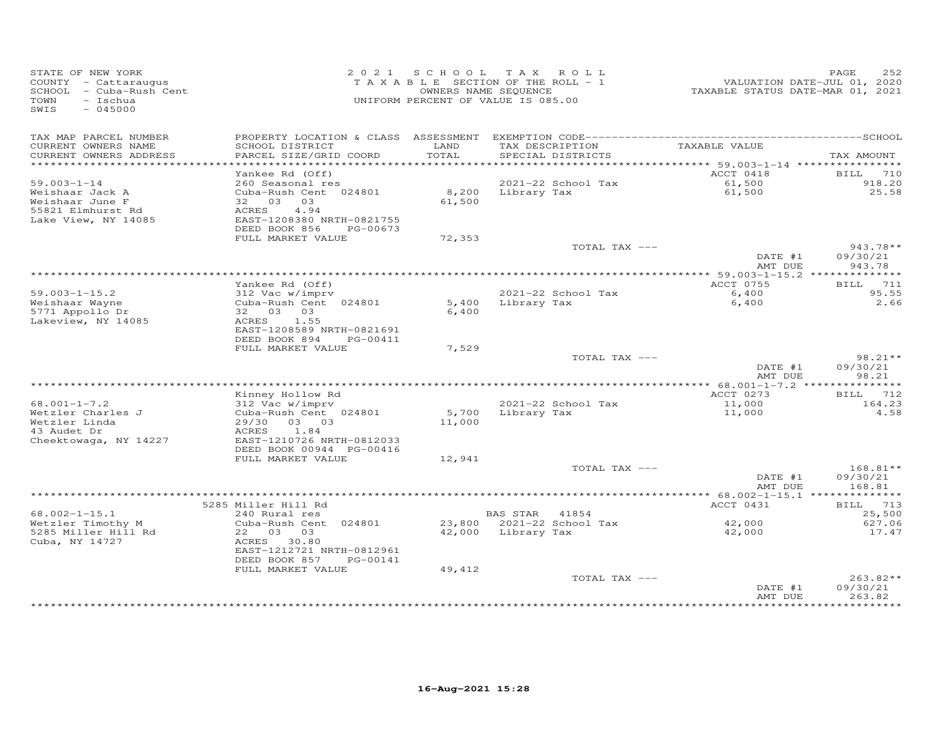| STATE OF NEW YORK<br>COUNTY - Cattaraugus<br>SCHOOL - Cuba-Rush Cent<br>TOWN<br>- Ischua<br>$-045000$<br>SWIS |                                                                                                           |                 | 2021 SCHOOL TAX ROLL<br>TAXABLE SECTION OF THE ROLL - 1<br>OWNERS NAME SEQUENCE<br>UNIFORM PERCENT OF VALUE IS 085.00 |                                | 252<br>PAGE                      |
|---------------------------------------------------------------------------------------------------------------|-----------------------------------------------------------------------------------------------------------|-----------------|-----------------------------------------------------------------------------------------------------------------------|--------------------------------|----------------------------------|
| TAX MAP PARCEL NUMBER<br>CURRENT OWNERS NAME<br>CURRENT OWNERS ADDRESS                                        | SCHOOL DISTRICT<br>PARCEL SIZE/GRID COORD                                                                 | LAND<br>TOTAL   | TAX DESCRIPTION<br>SPECIAL DISTRICTS                                                                                  | TAXABLE VALUE                  | TAX AMOUNT                       |
|                                                                                                               |                                                                                                           |                 |                                                                                                                       |                                |                                  |
|                                                                                                               | Yankee Rd (Off)                                                                                           |                 |                                                                                                                       | ACCT 0418                      | BILL 710                         |
| $59.003 - 1 - 14$<br>Weishaar Jack A                                                                          | 260 Seasonal res<br>Cuba-Rush Cent 024801                                                                 |                 | 2021-22 School Tax<br>8,200 Library Tax                                                                               | 61,500<br>61,500               | 918.20<br>25.58                  |
| Weishaar June F<br>55821 Elmhurst Rd<br>Lake View, NY 14085                                                   | 32 03 03<br>ACRES<br>4.94<br>EAST-1208380 NRTH-0821755<br>DEED BOOK 856<br>PG-00673                       | 61,500          |                                                                                                                       |                                |                                  |
|                                                                                                               | FULL MARKET VALUE                                                                                         | 72,353          |                                                                                                                       |                                |                                  |
|                                                                                                               |                                                                                                           |                 | TOTAL TAX ---                                                                                                         | DATE #1                        | $943.78**$<br>09/30/21           |
|                                                                                                               |                                                                                                           |                 |                                                                                                                       | AMT DUE                        | 943.78                           |
|                                                                                                               | Yankee Rd (Off)                                                                                           |                 |                                                                                                                       | ACCT 0755                      | BILL 711                         |
| $59.003 - 1 - 15.2$                                                                                           | 312 Vac w/imprv                                                                                           |                 | 2021-22 School Tax                                                                                                    | 6,400                          | 95.55                            |
| Weishaar Wayne<br>5771 Appollo Dr<br>Lakeview, NY 14085                                                       | Cuba-Rush Cent 024801<br>32 03 03<br>ACRES 1.55<br>EAST-1208589 NRTH-0821691<br>DEED BOOK 894<br>PG-00411 | 6,400           | 5,400 Library Tax                                                                                                     | 6,400                          | 2.66                             |
|                                                                                                               | FULL MARKET VALUE                                                                                         | 7,529           |                                                                                                                       |                                |                                  |
|                                                                                                               |                                                                                                           |                 | TOTAL TAX ---                                                                                                         | DATE #1                        | $98.21**$<br>09/30/21            |
|                                                                                                               |                                                                                                           |                 |                                                                                                                       | AMT DUE                        | 98.21                            |
|                                                                                                               | Kinney Hollow Rd                                                                                          |                 |                                                                                                                       | ACCT 0273                      | <b>BILL</b> 712                  |
| $68.001 - 1 - 7.2$                                                                                            | 312 Vac w/imprv                                                                                           |                 | 2021-22 School Tax                                                                                                    | 11,000                         | 164.23                           |
| Wetzler Charles J<br>Wetzler Linda<br>43 Audet Dr<br>Cheektowaga, NY 14227                                    | Cuba-Rush Cent 024801<br>29/30 03 03<br>ACRES 1.84<br>EAST-1210726 NRTH-0812033                           | 5,700<br>11,000 | Library Tax                                                                                                           | 11,000                         | 4.58                             |
|                                                                                                               | DEED BOOK 00944 PG-00416                                                                                  |                 |                                                                                                                       |                                |                                  |
|                                                                                                               | FULL MARKET VALUE                                                                                         | 12,941          |                                                                                                                       |                                |                                  |
|                                                                                                               |                                                                                                           |                 | TOTAL TAX ---                                                                                                         | DATE #1<br>AMT DUE             | $168.81**$<br>09/30/21<br>168.81 |
|                                                                                                               |                                                                                                           |                 |                                                                                                                       |                                |                                  |
|                                                                                                               | 5285 Miller Hill Rd                                                                                       |                 |                                                                                                                       | ACCT 0431                      | BILL 713                         |
| $68.002 - 1 - 15.1$                                                                                           | 240 Rural res                                                                                             |                 | BAS STAR 41854                                                                                                        |                                | 25,500                           |
| Wetzler Timothy M<br>5285 Miller Hill Rd                                                                      | Cuba-Rush Cent 024801<br>22 03 03                                                                         |                 |                                                                                                                       | $42,000$<br>$42,000$<br>42,000 | 627.06<br>17.47                  |
| Cuba, NY 14727                                                                                                | ACRES 30.80<br>EAST-1212721 NRTH-0812961<br>DEED BOOK 857<br>PG-00141                                     |                 |                                                                                                                       |                                |                                  |
|                                                                                                               | FULL MARKET VALUE                                                                                         | 49,412          |                                                                                                                       |                                | $263.82**$                       |
|                                                                                                               |                                                                                                           |                 | TOTAL TAX ---                                                                                                         | DATE #1<br>AMT DUE             | 09/30/21<br>263.82               |
|                                                                                                               |                                                                                                           |                 |                                                                                                                       |                                |                                  |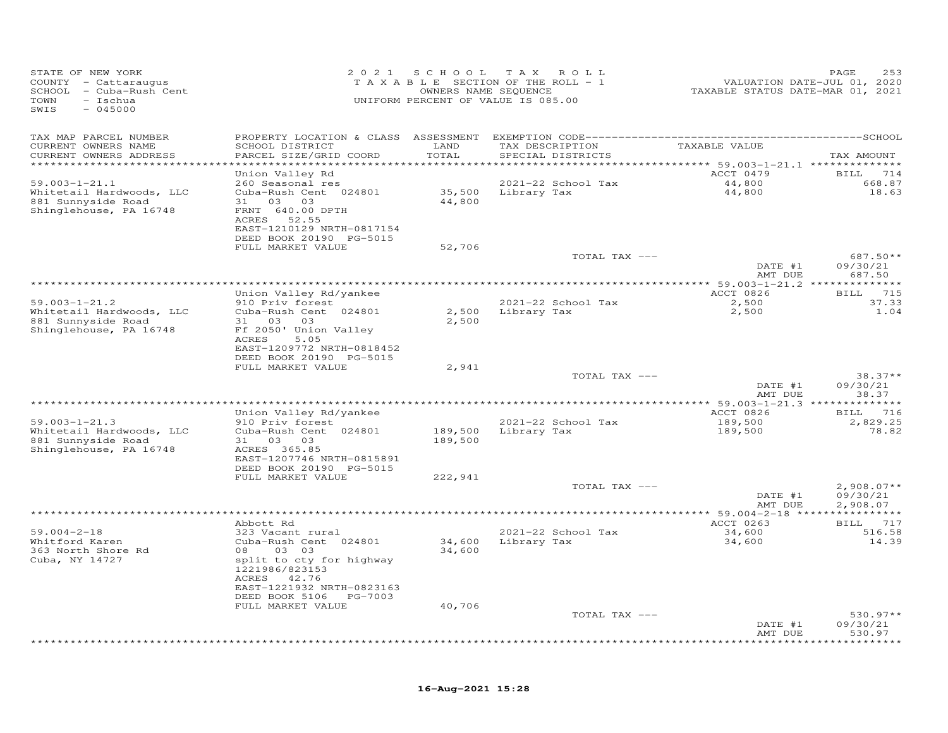| STATE OF NEW YORK<br>COUNTY - Cattaraugus<br>SCHOOL - Cuba-Rush Cent<br>TOWN<br>- Ischua<br>$-045000$<br>SWIS |                                              | 2021 SCHOOL<br>OWNERS NAME SEQUENCE | T A X<br>ROLL<br>TAXABLE SECTION OF THE ROLL - 1<br>UNIFORM PERCENT OF VALUE IS 085.00 | TAXABLE STATUS DATE-MAR 01, 2021 | PAGE<br>253<br>VALUATION DATE-JUL 01, 2020 |
|---------------------------------------------------------------------------------------------------------------|----------------------------------------------|-------------------------------------|----------------------------------------------------------------------------------------|----------------------------------|--------------------------------------------|
| TAX MAP PARCEL NUMBER                                                                                         |                                              |                                     |                                                                                        |                                  |                                            |
| CURRENT OWNERS NAME                                                                                           | SCHOOL DISTRICT                              | LAND                                | TAX DESCRIPTION                                                                        | TAXABLE VALUE                    |                                            |
| CURRENT OWNERS ADDRESS<br>***********************                                                             | PARCEL SIZE/GRID COORD                       | TOTAL                               | SPECIAL DISTRICTS                                                                      |                                  | TAX AMOUNT                                 |
|                                                                                                               | Union Valley Rd                              |                                     |                                                                                        | ACCT 0479                        | BILL 714                                   |
| $59.003 - 1 - 21.1$                                                                                           | 260 Seasonal res                             |                                     | 2021-22 School Tax                                                                     | 44,800                           | 668.87                                     |
| Whitetail Hardwoods, LLC                                                                                      | Cuba-Rush Cent 024801                        |                                     | 35,500 Library Tax                                                                     | 44,800                           | 18.63                                      |
| 881 Sunnyside Road                                                                                            | 31 03 03                                     | 44,800                              |                                                                                        |                                  |                                            |
| Shinglehouse, PA 16748                                                                                        | FRNT 640.00 DPTH<br>ACRES 52.55              |                                     |                                                                                        |                                  |                                            |
|                                                                                                               | EAST-1210129 NRTH-0817154                    |                                     |                                                                                        |                                  |                                            |
|                                                                                                               | DEED BOOK 20190 PG-5015                      |                                     |                                                                                        |                                  |                                            |
|                                                                                                               | FULL MARKET VALUE                            | 52,706                              |                                                                                        |                                  | 687.50**                                   |
|                                                                                                               |                                              |                                     | TOTAL TAX ---                                                                          | DATE #1                          | 09/30/21                                   |
|                                                                                                               |                                              |                                     |                                                                                        | AMT DUE                          | 687.50                                     |
|                                                                                                               |                                              |                                     |                                                                                        |                                  |                                            |
| $59.003 - 1 - 21.2$                                                                                           | Union Valley Rd/yankee<br>910 Priv forest    |                                     | 2021-22 School Tax                                                                     | ACCT 0826<br>2,500               | BILL 715<br>37.33                          |
| Whitetail Hardwoods, LLC                                                                                      | Cuba-Rush Cent 024801                        | 2,500                               | Library Tax                                                                            | 2,500                            | 1.04                                       |
| 881 Sunnyside Road                                                                                            | 31 03 03                                     | 2,500                               |                                                                                        |                                  |                                            |
| Shinglehouse, PA 16748                                                                                        | Ff 2050' Union Valley                        |                                     |                                                                                        |                                  |                                            |
|                                                                                                               | 5.05<br>ACRES<br>EAST-1209772 NRTH-0818452   |                                     |                                                                                        |                                  |                                            |
|                                                                                                               | DEED BOOK 20190 PG-5015                      |                                     |                                                                                        |                                  |                                            |
|                                                                                                               | FULL MARKET VALUE                            | 2,941                               |                                                                                        |                                  |                                            |
|                                                                                                               |                                              |                                     | TOTAL TAX ---                                                                          |                                  | $38.37**$                                  |
|                                                                                                               |                                              |                                     |                                                                                        | DATE #1<br>AMT DUE               | 09/30/21<br>38.37                          |
|                                                                                                               |                                              |                                     |                                                                                        |                                  | ************                               |
|                                                                                                               | Union Valley Rd/yankee                       |                                     |                                                                                        | ACCT 0826                        | BILL 716                                   |
| $59.003 - 1 - 21.3$                                                                                           | 910 Priv forest                              |                                     | 2021-22 School Tax                                                                     | 189,500                          | 2,829.25                                   |
| Whitetail Hardwoods, LLC<br>881 Sunnyside Road                                                                | Cuba-Rush Cent 024801<br>31 03 03            | 189,500<br>189,500                  | Library Tax                                                                            | 189,500                          | 78.82                                      |
| Shinglehouse, PA 16748                                                                                        | ACRES 365.85                                 |                                     |                                                                                        |                                  |                                            |
|                                                                                                               | EAST-1207746 NRTH-0815891                    |                                     |                                                                                        |                                  |                                            |
|                                                                                                               | DEED BOOK 20190 PG-5015<br>FULL MARKET VALUE | 222,941                             |                                                                                        |                                  |                                            |
|                                                                                                               |                                              |                                     | TOTAL TAX ---                                                                          |                                  | $2,908.07**$                               |
|                                                                                                               |                                              |                                     |                                                                                        | DATE #1                          | 09/30/21                                   |
|                                                                                                               |                                              |                                     |                                                                                        | AMT DUE                          | 2,908.07                                   |
|                                                                                                               | Abbott Rd                                    |                                     |                                                                                        | ACCT 0263                        | BILL 717                                   |
| $59.004 - 2 - 18$                                                                                             | 323 Vacant rural                             |                                     | 2021-22 School Tax                                                                     | 34,600                           | 516.58                                     |
| Whitford Karen                                                                                                | Cuba-Rush Cent 024801                        |                                     | 34,600 Library Tax                                                                     | 34,600                           | 14.39                                      |
| 363 North Shore Rd                                                                                            | 03 03<br>08                                  | 34,600                              |                                                                                        |                                  |                                            |
| Cuba, NY 14727                                                                                                | split to cty for highway<br>1221986/823153   |                                     |                                                                                        |                                  |                                            |
|                                                                                                               | ACRES 42.76                                  |                                     |                                                                                        |                                  |                                            |
|                                                                                                               | EAST-1221932 NRTH-0823163                    |                                     |                                                                                        |                                  |                                            |
|                                                                                                               | DEED BOOK 5106 PG-7003                       |                                     |                                                                                        |                                  |                                            |
|                                                                                                               | FULL MARKET VALUE                            | 40,706                              | TOTAL TAX ---                                                                          |                                  | $530.97**$                                 |
|                                                                                                               |                                              |                                     |                                                                                        | DATE #1                          | 09/30/21                                   |
|                                                                                                               |                                              |                                     |                                                                                        | AMT DUE                          | 530.97                                     |
|                                                                                                               |                                              |                                     |                                                                                        |                                  |                                            |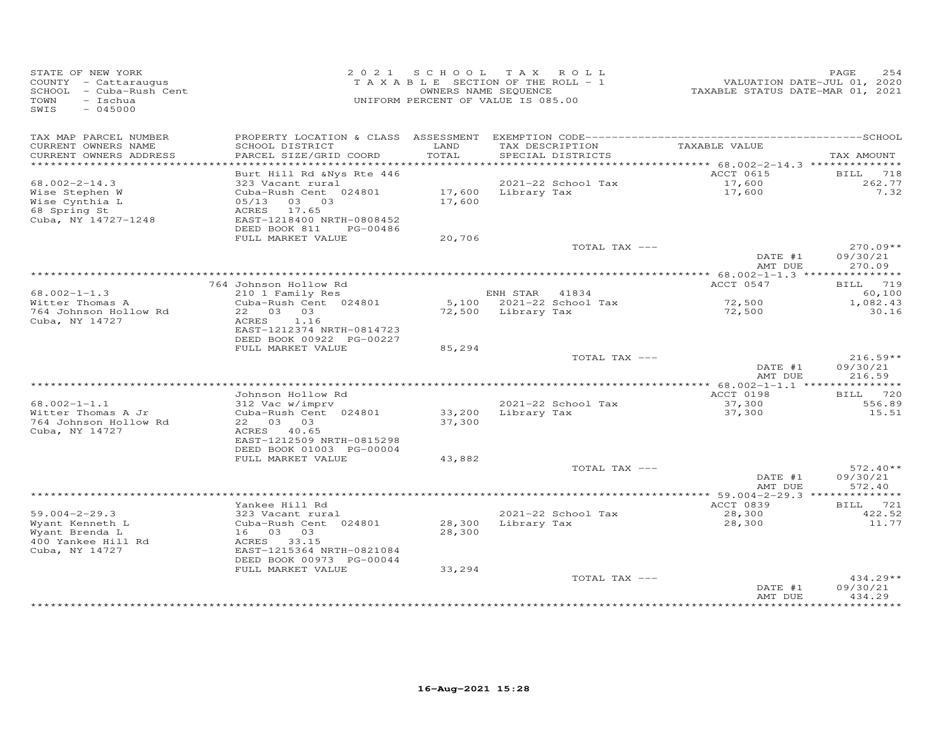| STATE OF NEW YORK<br>COUNTY - Cattaraugus<br>SCHOOL - Cuba-Rush Cent<br>TOWN<br>- Ischua<br>$-045000$<br>SWIS |                                                                                     |                  | 2021 SCHOOL TAX ROLL<br>TAXABLE SECTION OF THE ROLL - 1<br>OWNERS NAME SEQUENCE<br>UNIFORM PERCENT OF VALUE IS 085.00 | VALUATION DATE-JUL 01, 2020<br>TAXABLE STATUS DATE-MAR 01, 2021 | 254<br>PAGE                      |
|---------------------------------------------------------------------------------------------------------------|-------------------------------------------------------------------------------------|------------------|-----------------------------------------------------------------------------------------------------------------------|-----------------------------------------------------------------|----------------------------------|
| TAX MAP PARCEL NUMBER<br>CURRENT OWNERS NAME<br>CURRENT OWNERS ADDRESS                                        | SCHOOL DISTRICT<br>PARCEL SIZE/GRID COORD                                           | LAND<br>TOTAL    | TAX DESCRIPTION<br>SPECIAL DISTRICTS                                                                                  | TAXABLE VALUE                                                   | TAX AMOUNT                       |
|                                                                                                               |                                                                                     |                  |                                                                                                                       | ********** 68.002-2-14.3 **************                         |                                  |
| $68.002 - 2 - 14.3$                                                                                           | Burt Hill Rd & Nys Rte 446<br>323 Vacant rural                                      |                  | 2021-22 School Tax                                                                                                    | ACCT 0615                                                       | BILL<br>718<br>262.77            |
| Wise Stephen W<br>Wise Cynthia L<br>68 Spring St<br>Cuba, NY 14727-1248                                       | Cuba-Rush Cent 024801<br>05/13 03 03<br>ACRES<br>17.65<br>EAST-1218400 NRTH-0808452 | 17,600           | 17,600 Library Tax                                                                                                    | 17,600<br>17,600                                                | 7.32                             |
|                                                                                                               | DEED BOOK 811<br>PG-00486<br>FULL MARKET VALUE                                      |                  |                                                                                                                       |                                                                 |                                  |
|                                                                                                               |                                                                                     | 20,706           | TOTAL TAX ---                                                                                                         | DATE #1                                                         | $270.09**$<br>09/30/21           |
|                                                                                                               |                                                                                     |                  |                                                                                                                       | AMT DUE                                                         | 270.09                           |
|                                                                                                               | 764 Johnson Hollow Rd                                                               |                  |                                                                                                                       | ACCT 0547                                                       | BILL 719                         |
| $68.002 - 1 - 1.3$                                                                                            | 210 1 Family Res                                                                    |                  | ENH STAR<br>41834                                                                                                     |                                                                 | 60,100                           |
| Witter Thomas A<br>764 Johnson Hollow Rd<br>Cuba, NY 14727                                                    | Cuba-Rush Cent 024801<br>22 03 03<br>ACRES<br>1.16                                  |                  | 5,100 2021-22 School Tax<br>72,500 Library Tax                                                                        | 72,500<br>72,500                                                | 1,082.43<br>30.16                |
|                                                                                                               | EAST-1212374 NRTH-0814723<br>DEED BOOK 00922 PG-00227                               |                  |                                                                                                                       |                                                                 |                                  |
|                                                                                                               | FULL MARKET VALUE                                                                   | 85,294           |                                                                                                                       |                                                                 |                                  |
|                                                                                                               |                                                                                     |                  | TOTAL TAX ---                                                                                                         | DATE #1<br>AMT DUE                                              | $216.59**$<br>09/30/21<br>216.59 |
|                                                                                                               |                                                                                     |                  |                                                                                                                       |                                                                 |                                  |
| $68.002 - 1 - 1.1$                                                                                            | Johnson Hollow Rd<br>312 Vac w/imprv                                                |                  | 2021-22 School Tax                                                                                                    | ACCT 0198<br>37,300                                             | BILL 720<br>556.89               |
| Witter Thomas A Jr<br>764 Johnson Hollow Rd<br>Cuba, NY 14727                                                 | Cuba-Rush Cent 024801<br>22 03 03<br>ACRES 40.65                                    | 33,200<br>37,300 | Library Tax                                                                                                           | 37,300                                                          | 15.51                            |
|                                                                                                               | EAST-1212509 NRTH-0815298<br>DEED BOOK 01003 PG-00004<br>FULL MARKET VALUE          | 43,882           |                                                                                                                       |                                                                 |                                  |
|                                                                                                               |                                                                                     |                  | TOTAL TAX ---                                                                                                         |                                                                 | $572.40**$                       |
|                                                                                                               |                                                                                     |                  |                                                                                                                       | DATE #1<br>AMT DUE                                              | 09/30/21<br>572.40               |
|                                                                                                               | Yankee Hill Rd                                                                      |                  |                                                                                                                       | ACCT 0839                                                       | <b>BILL</b> 721                  |
| $59.004 - 2 - 29.3$                                                                                           | 323 Vacant rural                                                                    |                  | 2021-22 School Tax                                                                                                    | 28,300                                                          | 422.52                           |
| Wyant Kenneth L<br>Wyant Brenda L<br>400 Yankee Hill Rd<br>Cuba, NY 14727                                     | Cuba-Rush Cent 024801<br>16 03 03<br>ACRES 33.15<br>EAST-1215364 NRTH-0821084       | 28,300<br>28,300 | Library Tax                                                                                                           | 28,300                                                          | 11.77                            |
|                                                                                                               | DEED BOOK 00973 PG-00044                                                            |                  |                                                                                                                       |                                                                 |                                  |
|                                                                                                               | FULL MARKET VALUE                                                                   | 33,294           | TOTAL TAX ---                                                                                                         | DATE #1<br>AMT DUE                                              | $434.29**$<br>09/30/21<br>434.29 |
|                                                                                                               |                                                                                     |                  |                                                                                                                       |                                                                 | * * * * * * * * * *              |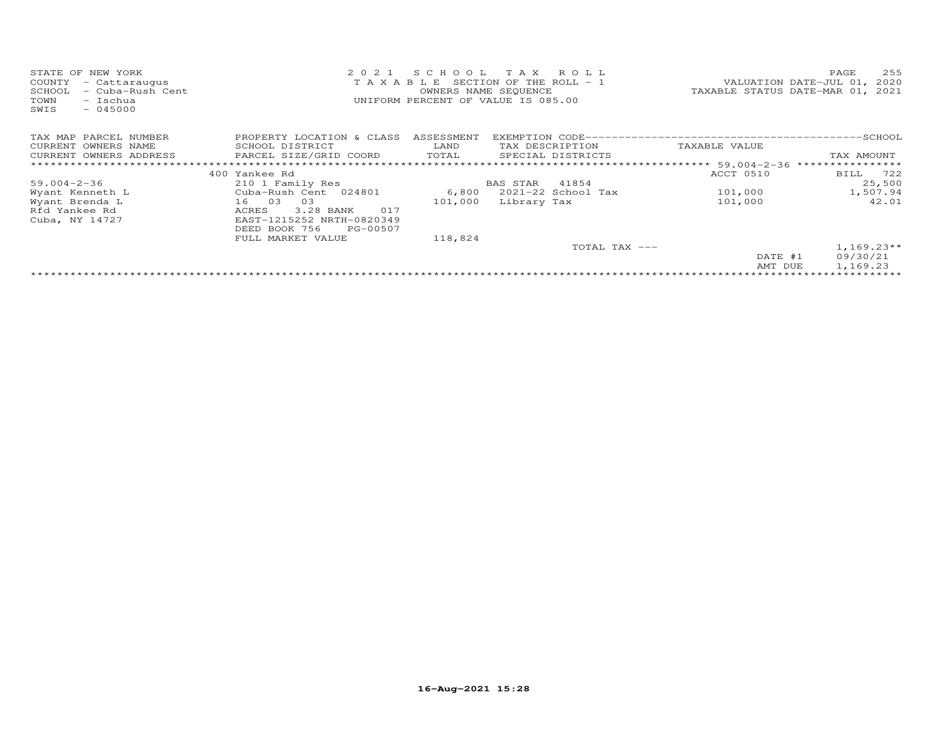| STATE OF NEW YORK<br>COUNTY<br>- Cattaraugus<br>- Cuba-Rush Cent<br>SCHOOL<br>- Ischua<br>TOWN<br>$-045000$<br>SWIS | 2 0 2 1                   | SCHOOL     | T A X<br>R O L L<br>T A X A B L E SECTION OF THE ROLL - 1<br>OWNERS NAME SEQUENCE<br>UNIFORM PERCENT OF VALUE IS 085.00 | TAXABLE STATUS DATE-MAR 01, 2021 | 255<br>PAGE<br>VALUATION DATE-JUL 01, 2020 |
|---------------------------------------------------------------------------------------------------------------------|---------------------------|------------|-------------------------------------------------------------------------------------------------------------------------|----------------------------------|--------------------------------------------|
| TAX MAP PARCEL NUMBER                                                                                               | PROPERTY LOCATION & CLASS | ASSESSMENT |                                                                                                                         |                                  |                                            |
| CURRENT OWNERS NAME                                                                                                 | SCHOOL DISTRICT           | LAND       | TAX DESCRIPTION                                                                                                         | TAXABLE VALUE                    |                                            |
| CURRENT OWNERS ADDRESS                                                                                              | PARCEL SIZE/GRID COORD    | TOTAL      | SPECIAL DISTRICTS                                                                                                       |                                  | TAX AMOUNT                                 |
|                                                                                                                     |                           |            |                                                                                                                         |                                  |                                            |
|                                                                                                                     | 400 Yankee Rd             |            |                                                                                                                         | ACCT 0510                        | BILL 722                                   |
| $59.004 - 2 - 36$                                                                                                   | 210 1 Family Res          |            | 41854<br>BAS STAR                                                                                                       |                                  | 25,500                                     |
| Wyant Kenneth L                                                                                                     | Cuba-Rush Cent 024801     | 6,800      | 2021-22 School Tax                                                                                                      | 101,000                          | 1,507.94                                   |
| Wyant Brenda L                                                                                                      | 03<br>16 03               | 101,000    | Library Tax                                                                                                             | 101,000                          | 42.01                                      |
| Rfd Yankee Rd                                                                                                       | 3.28 BANK<br>017<br>ACRES |            |                                                                                                                         |                                  |                                            |
| Cuba, NY 14727                                                                                                      | EAST-1215252 NRTH-0820349 |            |                                                                                                                         |                                  |                                            |
|                                                                                                                     | DEED BOOK 756<br>PG-00507 |            |                                                                                                                         |                                  |                                            |
|                                                                                                                     | FULL MARKET VALUE         | 118,824    |                                                                                                                         |                                  |                                            |
|                                                                                                                     |                           |            | TOTAL TAX ---                                                                                                           | DATE #1<br>AMT DUE               | $1,169.23**$<br>09/30/21<br>1,169.23       |
|                                                                                                                     |                           |            |                                                                                                                         |                                  |                                            |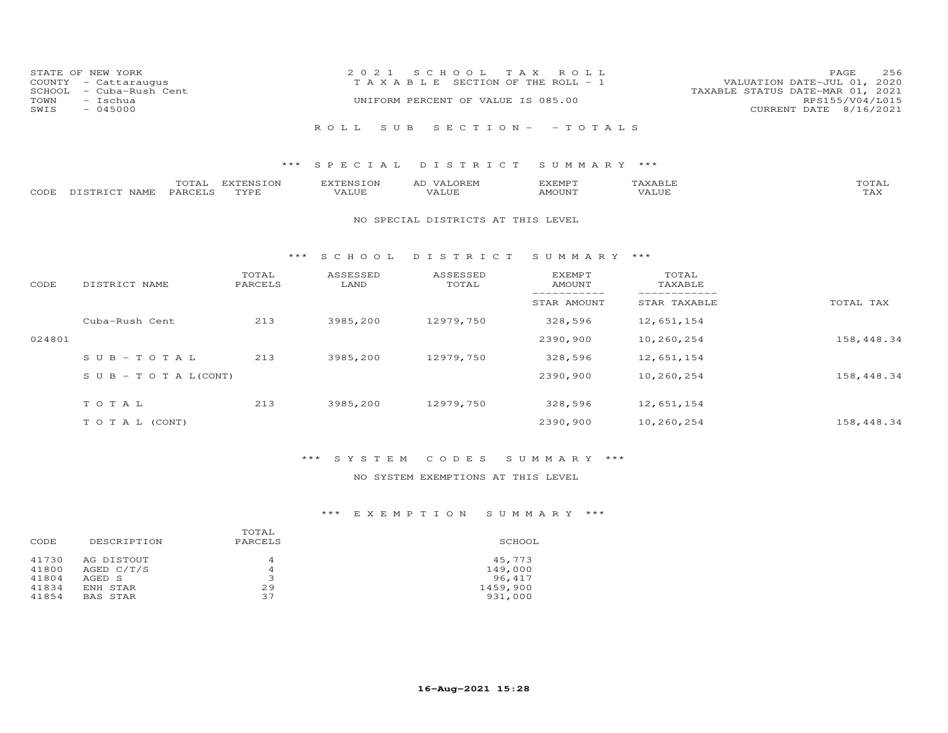| COUNTY<br>SCHOOL<br>TOWN<br>SWIS | STATE OF NEW YORK<br>- Cattaraugus<br>- Cuba-Rush Cent<br>- Ischua<br>$-045000$ |         |           | 2 0 2 1<br>TAXABLE | SCHOOL<br>T A X<br>UNIFORM PERCENT OF VALUE IS 085.00 | R O L L<br>SECTION OF THE ROLL - 1 |         | VALUATION DATE-JUL 01, 2020<br>TAXABLE STATUS DATE-MAR 01, 2021<br>CURRENT DATE 8/16/2021 | 256<br>PAGE<br>RPS155/V04/L015 |
|----------------------------------|---------------------------------------------------------------------------------|---------|-----------|--------------------|-------------------------------------------------------|------------------------------------|---------|-------------------------------------------------------------------------------------------|--------------------------------|
|                                  |                                                                                 |         |           | R O L L            | SUB SECTION - - TOTALS                                |                                    |         |                                                                                           |                                |
|                                  |                                                                                 |         |           |                    |                                                       |                                    |         |                                                                                           |                                |
|                                  |                                                                                 |         |           | *** SPECIAL        | DISTRICT                                              | SUMMARY ***                        |         |                                                                                           |                                |
|                                  |                                                                                 | TOTAL   | EXTENSION | EXTENSION          | AD VALOREM                                            | EXEMPT                             | TAXABLE |                                                                                           | TOTAL                          |
| CODE                             | DISTRICT NAME                                                                   | PARCELS | TYPE      | VALUE              | VALUE                                                 | AMOUNT                             | VALUE   |                                                                                           | TAX                            |
|                                  |                                                                                 |         |           |                    | NO SPECIAL DISTRICTS AT THIS LEVEL                    |                                    |         |                                                                                           |                                |
|                                  |                                                                                 |         | ***       | SCHOOL             | DISTRICT                                              | SUMMARY ***                        |         |                                                                                           |                                |

| CODE   | DISTRICT NAME                    | TOTAL<br>PARCELS | ASSESSED<br>LAND | ASSESSED<br>TOTAL | <b>EXEMPT</b><br>AMOUNT | TOTAL<br>TAXABLE |            |
|--------|----------------------------------|------------------|------------------|-------------------|-------------------------|------------------|------------|
|        |                                  |                  |                  |                   | STAR AMOUNT             | STAR TAXABLE     | TOTAL TAX  |
|        | Cuba-Rush Cent                   | 213              | 3985,200         | 12979,750         | 328,596                 | 12,651,154       |            |
| 024801 |                                  |                  |                  |                   | 2390,900                | 10,260,254       | 158,448.34 |
|        | $SUB - TO T AL$                  | 213              | 3985,200         | 12979,750         | 328,596                 | 12,651,154       |            |
|        | $S \cup B - T \cup T A L (CONT)$ |                  |                  |                   | 2390,900                | 10,260,254       | 158,448.34 |
|        | TOTAL                            | 213              | 3985,200         | 12979,750         | 328,596                 | 12,651,154       |            |
|        | T O T A L (CONT)                 |                  |                  |                   | 2390,900                | 10,260,254       | 158,448.34 |

### NO SYSTEM EXEMPTIONS AT THIS LEVEL

| DESCRIPTION | TOTAL<br>PARCELS | SCHOOL   |
|-------------|------------------|----------|
| AG DISTOUT  | 4                | 45,773   |
| AGED C/T/S  | 4                | 149,000  |
| AGED S      | ∍                | 96,417   |
| ENH STAR    | 29               | 1459,900 |
| BAS STAR    | 37               | 931,000  |
|             |                  |          |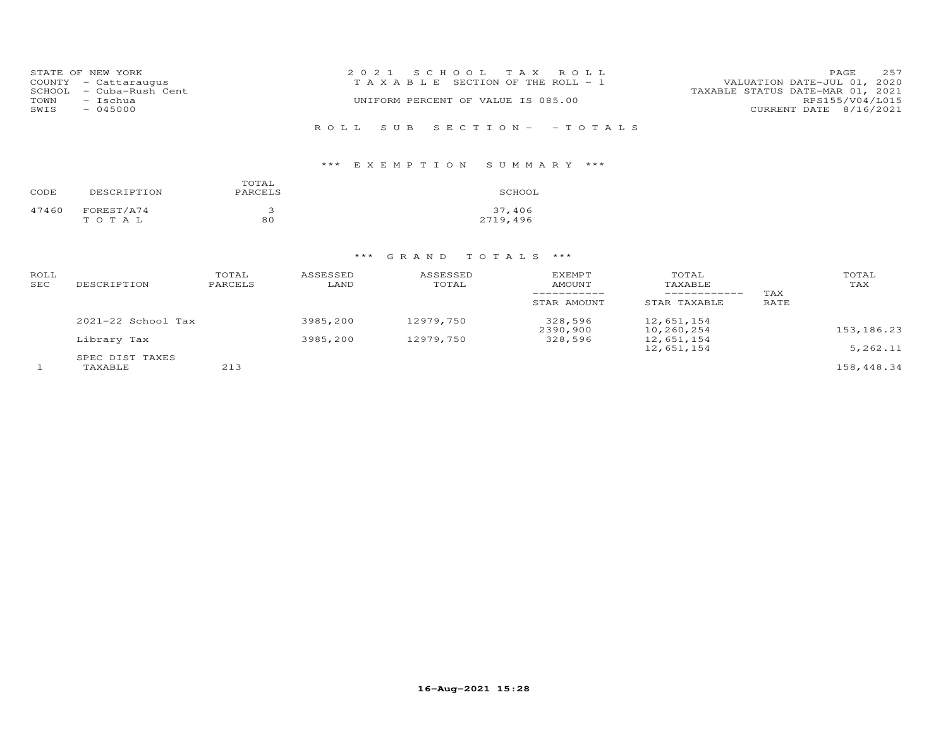| 2021 SCHOOL TAX ROLL                                                                          | 257<br>PAGE                                                         |
|-----------------------------------------------------------------------------------------------|---------------------------------------------------------------------|
|                                                                                               | VALUATION DATE-JUL 01, 2020                                         |
|                                                                                               | TAXABLE STATUS DATE-MAR 01, 2021                                    |
| UNIFORM PERCENT OF VALUE IS 085.00                                                            | RPS155/V04/L015                                                     |
|                                                                                               | CURRENT DATE 8/16/2021                                              |
|                                                                                               |                                                                     |
|                                                                                               |                                                                     |
| STATE OF NEW YORK<br>COUNTY - Cattaraugus<br>SCHOOL - Cuba-Rush Cent<br>- Ischua<br>$-045000$ | T A X A B L E SECTION OF THE ROLL - 1<br>ROLL SUB SECTION- - TOTALS |

## \*\*\* E X E M P T I O N S U M M A R Y \*\*\*

| CODE  | DESCRIPTION | TOTAL<br>PARCELS | SCHOOL   |
|-------|-------------|------------------|----------|
| 47460 | FOREST/A74  | З                | 37,406   |
|       | тотаь       | 80               | 2719,496 |

| ROLL<br><b>SEC</b> | DESCRIPTION            | TOTAL<br>PARCELS | ASSESSED<br>LAND | ASSESSED<br>TOTAL | <b>EXEMPT</b><br>AMOUNT<br>STAR AMOUNT | TOTAL<br>TAXABLE<br>------------<br>STAR TAXABLE | TAX<br>RATE | TOTAL<br>TAX |
|--------------------|------------------------|------------------|------------------|-------------------|----------------------------------------|--------------------------------------------------|-------------|--------------|
|                    | $2021 - 22$ School Tax |                  | 3985,200         | 12979,750         | 328,596<br>2390,900                    | 12,651,154<br>10,260,254                         |             | 153,186.23   |
|                    | Library Tax            |                  | 3985,200         | 12979,750         | 328,596                                | 12,651,154<br>12,651,154                         |             | 5,262.11     |
|                    | SPEC DIST TAXES        |                  |                  |                   |                                        |                                                  |             |              |
|                    | TAXABLE                | 213              |                  |                   |                                        |                                                  |             | 158,448.34   |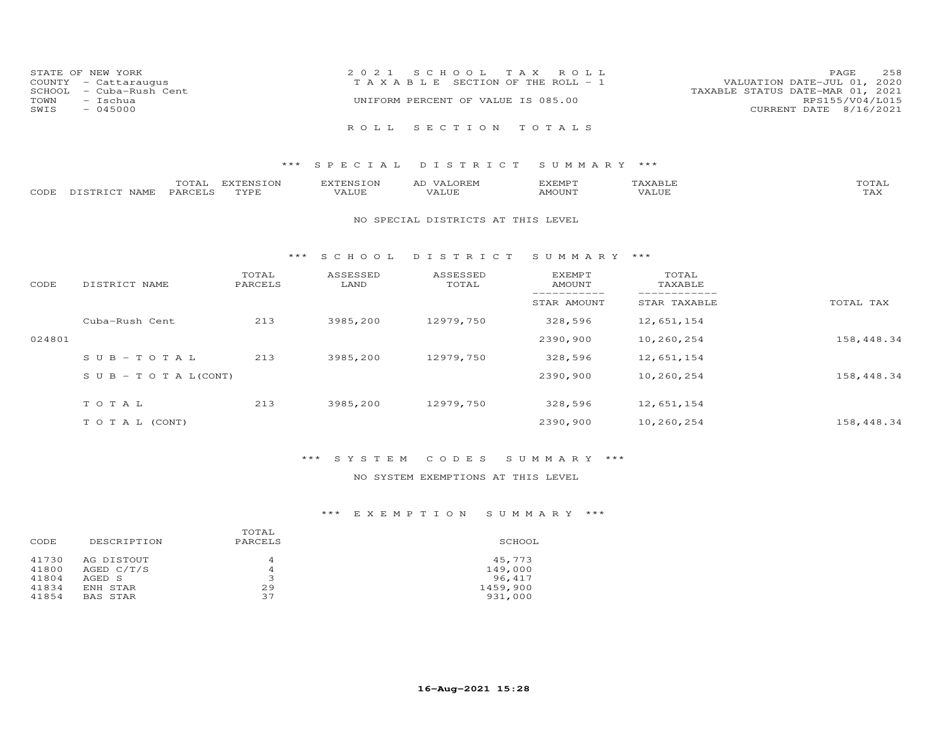|      | STATE OF NEW YORK       | 2021 SCHOOL TAX ROLL                                                 | PAGE                   | 258 |
|------|-------------------------|----------------------------------------------------------------------|------------------------|-----|
|      | COUNTY - Cattaraugus    | VALUATION DATE-JUL 01, 2020<br>T A X A B L E SECTION OF THE ROLL - 1 |                        |     |
|      | SCHOOL - Cuba-Rush Cent | TAXABLE STATUS DATE-MAR 01, 2021                                     |                        |     |
| TOWN | - Ischua                | UNIFORM PERCENT OF VALUE IS 085.00                                   | RPS155/V04/L015        |     |
| SWIS | $-045000$               |                                                                      | CURRENT DATE 8/16/2021 |     |
|      |                         |                                                                      |                        |     |
|      |                         | ROLL SECTION TOTALS                                                  |                        |     |

|      |                               | $- - -$<br>' TAT<br>$\sim$ | ----------------<br>.N.S<br>∽ີ | 'ENSTON  | $\cdots$<br>AL | ,,,,,,,,,<br>$\sim$ $\sim$ $\sim$ $\sim$ $\sim$ $\sim$ $\sim$ | $\cdots$<br>AXABIT. | $T$ $\cap$ $T$ $\geq$ $\cap$<br>. LA J |
|------|-------------------------------|----------------------------|--------------------------------|----------|----------------|---------------------------------------------------------------|---------------------|----------------------------------------|
| CODE | <b>JAMF</b><br>- - -<br>тетр. | PARCE <sup>T</sup>         | TVDE                           | $\cdots$ | ALUF           | <b>MOUNT</b>                                                  | .                   | $m \times r$<br>- − 12                 |

#### NO SPECIAL DISTRICTS AT THIS LEVEL

#### \*\*\* S C H O O L D I S T R I C T S U M M A R Y \*\*\*

| CODE   | DISTRICT NAME                    | TOTAL<br>PARCELS | ASSESSED<br>LAND | ASSESSED<br>TOTAL | EXEMPT<br>AMOUNT | TOTAL<br>TAXABLE |            |
|--------|----------------------------------|------------------|------------------|-------------------|------------------|------------------|------------|
|        |                                  |                  |                  |                   | STAR AMOUNT      | STAR TAXABLE     | TOTAL TAX  |
|        | Cuba-Rush Cent                   | 213              | 3985,200         | 12979,750         | 328,596          | 12,651,154       |            |
| 024801 |                                  |                  |                  |                   | 2390,900         | 10,260,254       | 158,448.34 |
|        | $SUB-TOTAL$                      | 213              | 3985,200         | 12979,750         | 328,596          | 12,651,154       |            |
|        | $S \cup B - T \cup T A L (CONT)$ |                  |                  |                   | 2390,900         | 10,260,254       | 158,448.34 |
|        | TOTAL                            | 213              | 3985,200         | 12979,750         | 328,596          | 12,651,154       |            |
|        |                                  |                  |                  |                   |                  |                  |            |
|        | T O T A L (CONT)                 |                  |                  |                   | 2390,900         | 10,260,254       | 158,448.34 |

### \*\*\* S Y S T E M C O D E S S U M M A R Y \*\*\*

### NO SYSTEM EXEMPTIONS AT THIS LEVEL

| DESCRIPTION | TOTAL<br>PARCELS | SCHOOL   |
|-------------|------------------|----------|
| AG DISTOUT  | 4                | 45,773   |
| AGED C/T/S  | 4                | 149,000  |
| AGED S      | 3                | 96,417   |
| ENH STAR    | 29               | 1459,900 |
| BAS STAR    | 37               | 931,000  |
|             |                  |          |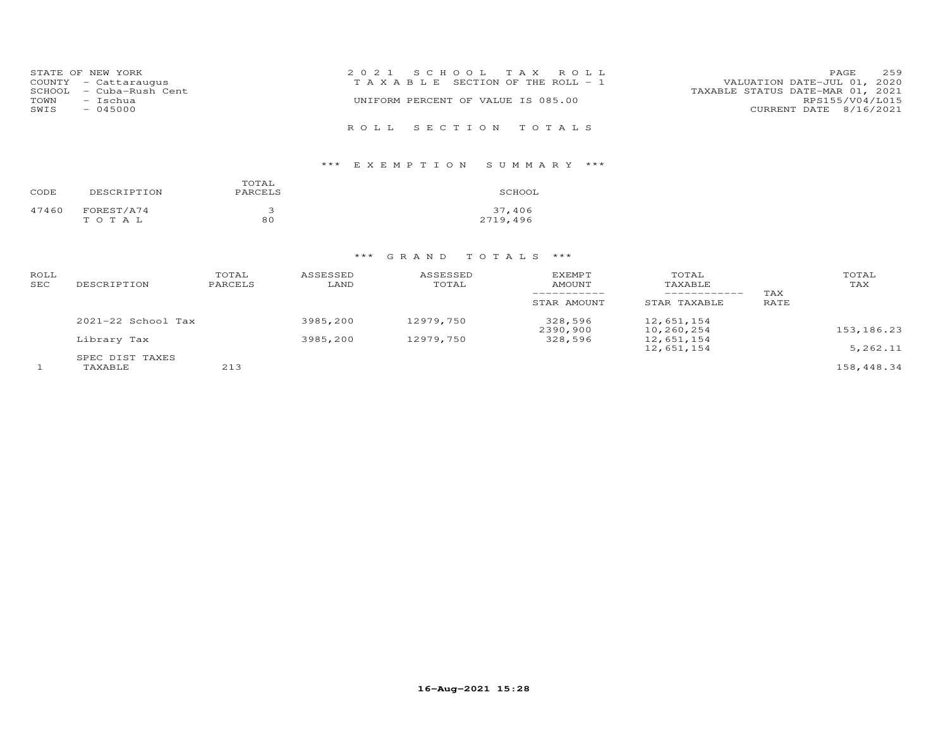|        | STATE OF NEW YORK    | 2021 SCHOOL TAX ROLL                                                 | PAGE                   | 259 |
|--------|----------------------|----------------------------------------------------------------------|------------------------|-----|
|        | COUNTY - Cattaraugus | VALUATION DATE-JUL 01, 2020<br>T A X A B L E SECTION OF THE ROLL - 1 |                        |     |
| SCHOOL | - Cuba-Rush Cent     | TAXABLE STATUS DATE-MAR 01, 2021                                     |                        |     |
| TOWN   | - Ischua             | UNIFORM PERCENT OF VALUE IS 085.00                                   | RPS155/V04/L015        |     |
| SWIS   | $-045000$            |                                                                      | CURRENT DATE 8/16/2021 |     |
|        |                      | ROLL SECTION TOTALS                                                  |                        |     |

## \*\*\* E X E M P T I O N S U M M A R Y \*\*\*

| CODE  | DESCRIPTION | TOTAL<br>PARCELS | SCHOOL   |
|-------|-------------|------------------|----------|
| 47460 | FOREST/A74  | ∍                | 37,406   |
|       | тотаь       | 80               | 2719,496 |

| ROLL<br><b>SEC</b> | DESCRIPTION            | TOTAL<br>PARCELS | ASSESSED<br>LAND | ASSESSED<br>TOTAL | <b>EXEMPT</b><br>AMOUNT<br>STAR AMOUNT | TOTAL<br>TAXABLE<br>------------<br>STAR TAXABLE | TAX<br>RATE | TOTAL<br>TAX |
|--------------------|------------------------|------------------|------------------|-------------------|----------------------------------------|--------------------------------------------------|-------------|--------------|
|                    | $2021 - 22$ School Tax |                  | 3985,200         | 12979,750         | 328,596<br>2390,900                    | 12,651,154<br>10,260,254                         |             | 153,186.23   |
|                    | Library Tax            |                  | 3985,200         | 12979,750         | 328,596                                | 12,651,154<br>12,651,154                         |             | 5,262.11     |
|                    | SPEC DIST TAXES        |                  |                  |                   |                                        |                                                  |             |              |
|                    | TAXABLE                | 213              |                  |                   |                                        |                                                  |             | 158,448.34   |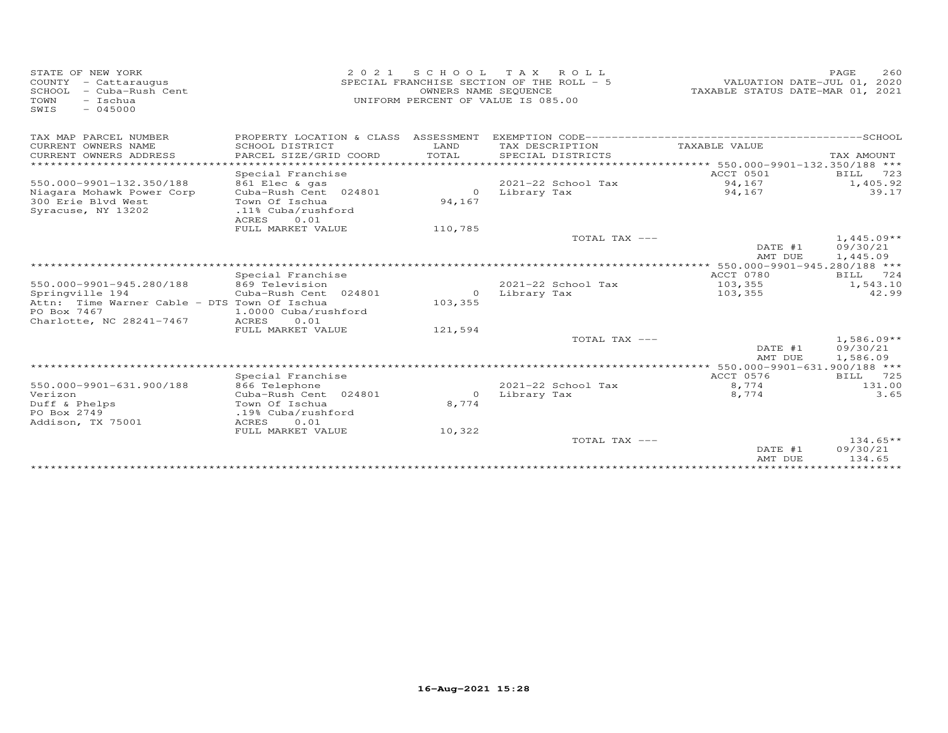| STATE OF NEW YORK<br>COUNTY<br>- Cattaraugus<br>SCHOOL<br>- Cuba-Rush Cent<br>TOWN<br>$-$ Ischua<br>SWIS<br>$-045000$ | 2 0 2 1                                                      | S C H O O L   | T A X<br>ROLL<br>SPECIAL FRANCHISE SECTION OF THE ROLL - 5<br>OWNERS NAME SEQUENCE<br>UNIFORM PERCENT OF VALUE IS 085.00 | VALUATION DATE-JUL 01, 2020<br>TAXABLE STATUS DATE-MAR 01, | PAGE<br>2.60<br>2021                 |
|-----------------------------------------------------------------------------------------------------------------------|--------------------------------------------------------------|---------------|--------------------------------------------------------------------------------------------------------------------------|------------------------------------------------------------|--------------------------------------|
| TAX MAP PARCEL NUMBER                                                                                                 | PROPERTY LOCATION & CLASS ASSESSMENT                         |               |                                                                                                                          |                                                            |                                      |
| CURRENT OWNERS NAME<br>CURRENT OWNERS ADDRESS                                                                         | SCHOOL DISTRICT<br>PARCEL SIZE/GRID COORD                    | LAND<br>TOTAL | TAX DESCRIPTION<br>SPECIAL DISTRICTS                                                                                     | TAXABLE VALUE                                              | TAX AMOUNT                           |
| **********************                                                                                                |                                                              |               | ********************************* 550.000-9901-132.350/188 ***                                                           |                                                            |                                      |
| 550.000-9901-132.350/188<br>Niagara Mohawk Power Corp                                                                 | Special Franchise<br>861 Elec & gas<br>Cuba-Rush Cent 024801 | $\Omega$      | 2021-22 School Tax<br>Library Tax                                                                                        | ACCT 0501<br>94,167<br>94,167                              | BILL<br>723<br>1,405.92<br>39.17     |
| 300 Erie Blvd West<br>Syracuse, NY 13202                                                                              | Town Of Ischua<br>.11% Cuba/rushford<br>ACRES<br>0.01        | 94,167        |                                                                                                                          |                                                            |                                      |
|                                                                                                                       | FULL MARKET VALUE                                            | 110,785       |                                                                                                                          |                                                            |                                      |
|                                                                                                                       |                                                              |               | TOTAL TAX ---                                                                                                            | DATE #1<br>AMT DUE                                         | $1,445.09**$<br>09/30/21<br>1,445.09 |
|                                                                                                                       |                                                              |               |                                                                                                                          |                                                            |                                      |
|                                                                                                                       | Special Franchise                                            |               |                                                                                                                          | ACCT 0780                                                  | BILL<br>724                          |
| 550.000-9901-945.280/188<br>Springville 194                                                                           | 869 Television<br>Cuba-Rush Cent 024801                      | $\circ$       | $2021 - 22$ School Tax<br>Library Tax                                                                                    | 103,355<br>103,355                                         | 1,543.10<br>42.99                    |
| Attn: Time Warner Cable - DTS Town Of Ischua                                                                          |                                                              | 103,355       |                                                                                                                          |                                                            |                                      |
| PO Box 7467                                                                                                           | 1.0000 Cuba/rushford                                         |               |                                                                                                                          |                                                            |                                      |
| Charlotte, NC 28241-7467                                                                                              | ACRES<br>0.01                                                |               |                                                                                                                          |                                                            |                                      |
|                                                                                                                       | FULL MARKET VALUE                                            | 121,594       |                                                                                                                          |                                                            |                                      |
|                                                                                                                       |                                                              |               | TOTAL TAX ---                                                                                                            | DATE #1<br>AMT DUE                                         | $1,586.09**$<br>09/30/21<br>1,586.09 |
|                                                                                                                       |                                                              |               |                                                                                                                          | ************* 550.000-9901-631.900/188 ***                 |                                      |
|                                                                                                                       | Special Franchise                                            |               |                                                                                                                          | ACCT 0576                                                  | 725<br><b>BILL</b>                   |
| 550.000-9901-631.900/188<br>Verizon                                                                                   | 866 Telephone<br>Cuba-Rush Cent 024801                       | $\circ$       | $2021 - 22$ School Tax<br>Library Tax                                                                                    | 8,774<br>8,774                                             | 131.00<br>3.65                       |
| Duff & Phelps<br>PO Box 2749<br>Addison, TX 75001                                                                     | Town Of Ischua<br>.19% Cuba/rushford<br>ACRES<br>0.01        | 8,774         |                                                                                                                          |                                                            |                                      |
|                                                                                                                       | FULL MARKET VALUE                                            | 10,322        |                                                                                                                          |                                                            |                                      |
|                                                                                                                       |                                                              |               | TOTAL TAX ---                                                                                                            | DATE #1<br>AMT DUE                                         | $134.65**$<br>09/30/21<br>134.65     |
|                                                                                                                       |                                                              |               |                                                                                                                          | *******************************                            |                                      |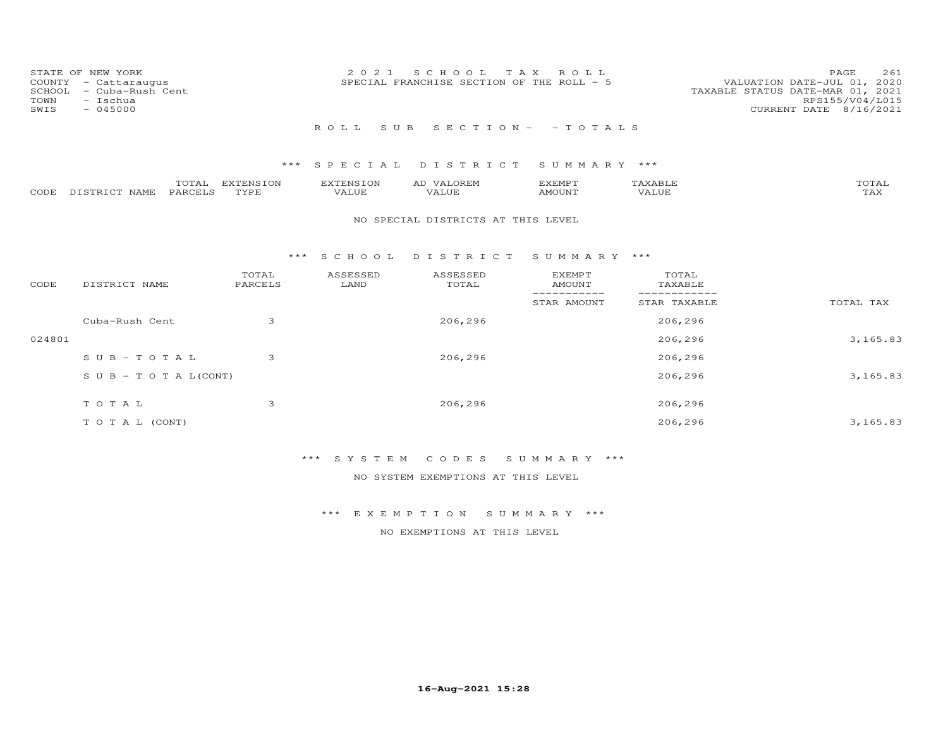| SCHOOL<br>TOWN<br>SWIS | STATE OF NEW YORK<br>COUNTY - Cattaraugus<br>- Cuba-Rush Cent<br>- Ischua<br>$-045000$ |                   | 2021               | SCHOOL TAX<br>SPECIAL FRANCHISE SECTION OF THE ROLL - 5 | ROLL                            |                  | PAGE<br>261<br>VALUATION DATE-JUL 01, 2020<br>TAXABLE STATUS DATE-MAR 01, 2021<br>RPS155/V04/L015<br>CURRENT DATE 8/16/2021 |
|------------------------|----------------------------------------------------------------------------------------|-------------------|--------------------|---------------------------------------------------------|---------------------------------|------------------|-----------------------------------------------------------------------------------------------------------------------------|
|                        |                                                                                        |                   | ROLL<br>S U B      |                                                         | $S E C T I O N - - T O T A L S$ |                  |                                                                                                                             |
|                        |                                                                                        | ***               |                    | SPECIAL DISTRICT                                        | SUMMARY ***                     |                  |                                                                                                                             |
| CODE                   | TOTAL<br>PARCELS<br>DISTRICT NAME                                                      | EXTENSION<br>TYPE | EXTENSION<br>VALUE | AD VALOREM<br>VALUE                                     | <b>EXEMPT</b><br><b>AMOUNT</b>  | TAXABLE<br>VALUE | TOTAL<br>TAX                                                                                                                |
|                        |                                                                                        |                   |                    | NO SPECIAL DISTRICTS AT THIS LEVEL                      |                                 |                  |                                                                                                                             |
|                        |                                                                                        | ***               | S C H O O L        | DISTRICT                                                | SUMMARY ***                     |                  |                                                                                                                             |
| CODE                   | DISTRICT NAME                                                                          | TOTAL<br>PARCELS  | ASSESSED<br>LAND   | ASSESSED<br>TOTAL                                       | <b>EXEMPT</b><br><b>AMOUNT</b>  | TOTAL<br>TAXABLE |                                                                                                                             |
|                        |                                                                                        |                   |                    |                                                         | STAR AMOUNT                     | STAR TAXABLE     | TOTAL TAX                                                                                                                   |
|                        | Cuba-Rush Cent                                                                         | 3                 |                    | 206,296                                                 |                                 | 206,296          |                                                                                                                             |
| 024801                 |                                                                                        |                   |                    |                                                         |                                 | 206,296          | 3,165.83                                                                                                                    |
|                        | $SUB - TO T AL$                                                                        | 3                 |                    | 206,296                                                 |                                 | 206,296          |                                                                                                                             |
|                        | $S \cup B - T \cup T A L (CONT)$                                                       |                   |                    |                                                         |                                 | 206,296          | 3,165.83                                                                                                                    |
|                        | TOTAL                                                                                  | 3                 |                    | 206,296                                                 |                                 | 206,296          |                                                                                                                             |
|                        | TO TAL (CONT)                                                                          |                   |                    |                                                         |                                 | 206,296          | 3,165.83                                                                                                                    |

NO SYSTEM EXEMPTIONS AT THIS LEVEL

\*\*\* E X E M P T I O N S U M M A R Y \*\*\*

NO EXEMPTIONS AT THIS LEVEL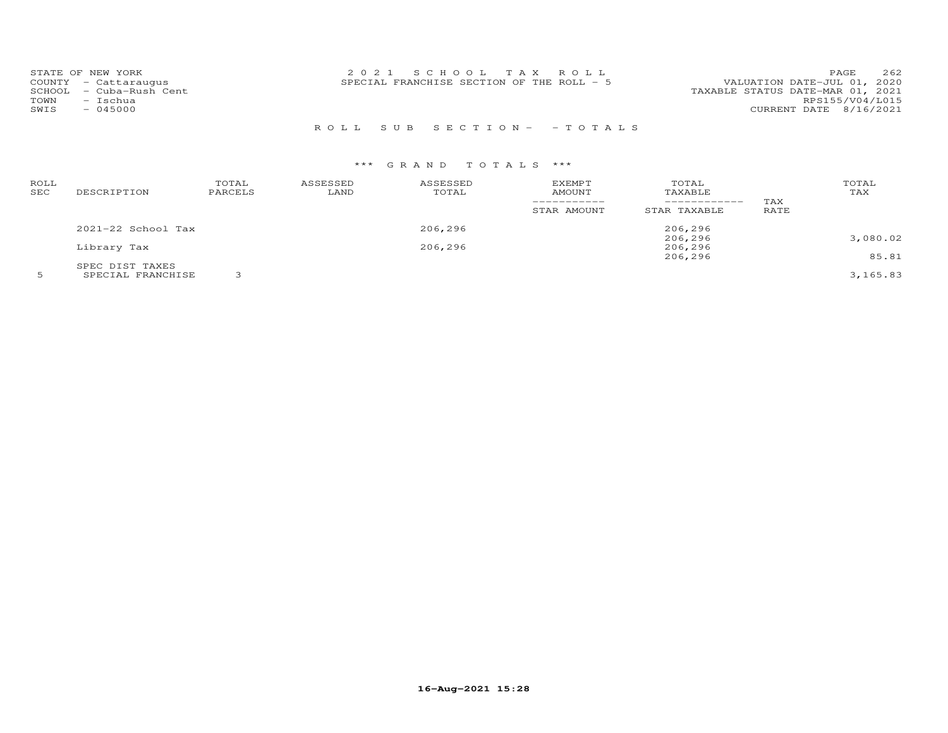| STATE OF NEW YORK<br>COUNTY - Cattaraugus<br>SCHOOL - Cuba-Rush Cent<br>- Ischua<br>TOWN<br>$-045000$<br>SWIS | 2021 SCHOOL TAX ROLL<br>SPECIAL FRANCHISE SECTION OF THE ROLL - 5 | 262<br>PAGE.<br>VALUATION DATE-JUL 01, 2020<br>TAXABLE STATUS DATE-MAR 01, 2021<br>RPS155/V04/L015<br>CURRENT DATE 8/16/2021 |
|---------------------------------------------------------------------------------------------------------------|-------------------------------------------------------------------|------------------------------------------------------------------------------------------------------------------------------|
|                                                                                                               |                                                                   |                                                                                                                              |

## R O L L S U B S E C T I O N - - T O T A L S

| ROLL<br>SEC | DESCRIPTION            | TOTAL<br>PARCELS | ASSESSED<br>LAND | ASSESSED<br>TOTAL | <b>EXEMPT</b><br><b>AMOUNT</b> | TOTAL<br>TAXABLE<br>------------ | TAX         | TOTAL<br>TAX |
|-------------|------------------------|------------------|------------------|-------------------|--------------------------------|----------------------------------|-------------|--------------|
|             |                        |                  |                  |                   | STAR AMOUNT                    | STAR TAXABLE                     | <b>RATE</b> |              |
|             | $2021 - 22$ School Tax |                  |                  | 206,296           |                                | 206,296                          |             |              |
|             |                        |                  |                  |                   |                                | 206,296                          |             | 3,080.02     |
|             | Library Tax            |                  |                  | 206,296           |                                | 206,296                          |             |              |
|             |                        |                  |                  |                   |                                | 206,296                          |             | 85.81        |
|             | SPEC DIST TAXES        |                  |                  |                   |                                |                                  |             |              |
|             | SPECIAL FRANCHISE      |                  |                  |                   |                                |                                  |             | 3,165.83     |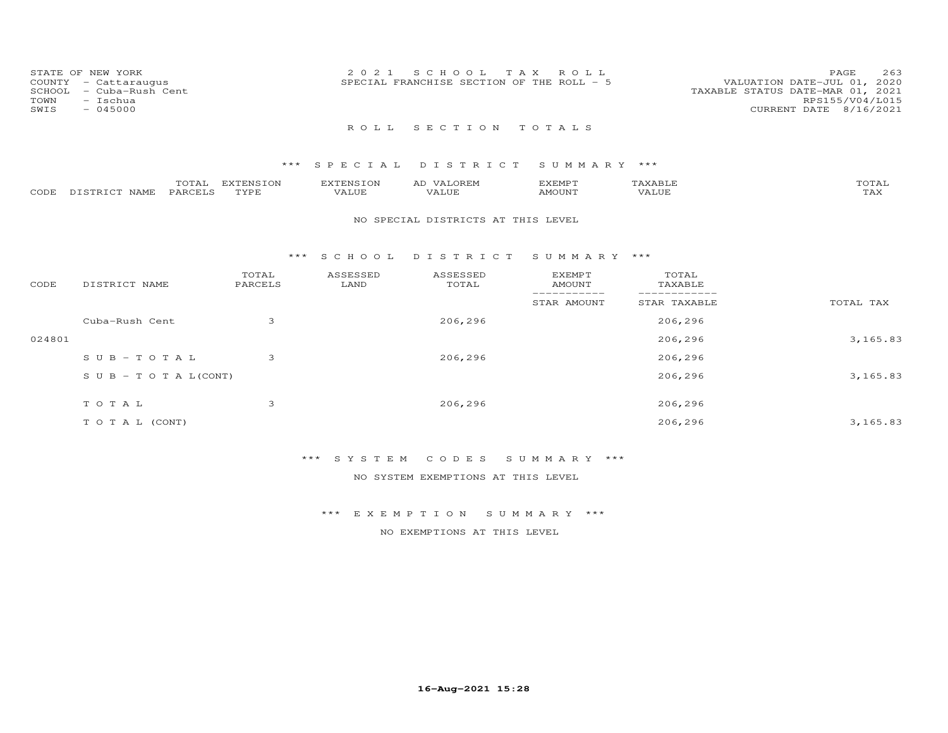| COUNTY<br>SCHOOL<br>TOWN<br>SWIS | STATE OF NEW YORK<br>- Cattaraugus<br>- Cuba-Rush Cent<br>- Ischua<br>$-045000$ |                   | 2021               | T A X<br>S C H O O L<br>SPECIAL FRANCHISE SECTION OF THE ROLL - 5 | ROLL                       |                              | 263<br>PAGE<br>VALUATION DATE-JUL 01, 2020<br>TAXABLE STATUS DATE-MAR 01, 2021<br>RPS155/V04/L015<br>CURRENT DATE 8/16/2021 |
|----------------------------------|---------------------------------------------------------------------------------|-------------------|--------------------|-------------------------------------------------------------------|----------------------------|------------------------------|-----------------------------------------------------------------------------------------------------------------------------|
|                                  |                                                                                 |                   | ROLL.              | SECTION                                                           | TOTALS                     |                              |                                                                                                                             |
|                                  |                                                                                 |                   | *** SPECIAL        | DISTRICT                                                          | SUMMARY ***                |                              |                                                                                                                             |
| CODE                             | TOTAL<br>DISTRICT NAME<br>PARCELS                                               | EXTENSION<br>TYPE | EXTENSION<br>VALUE | AD VALOREM<br>VALUE                                               | <b>EXEMPT</b><br>AMOUNT    | TAXABLE<br>VALUE             | TOTAL<br>TAX                                                                                                                |
|                                  |                                                                                 |                   |                    | NO SPECIAL DISTRICTS AT THIS LEVEL                                |                            |                              |                                                                                                                             |
|                                  |                                                                                 | * * *             | SCHOOL             | DISTRICT                                                          | SUMMARY ***                |                              |                                                                                                                             |
| CODE                             | DISTRICT NAME                                                                   | TOTAL<br>PARCELS  | ASSESSED<br>LAND   | ASSESSED<br>TOTAL                                                 | EXEMPT<br><b>AMOUNT</b>    | TOTAL<br>TAXABLE             |                                                                                                                             |
|                                  |                                                                                 |                   |                    |                                                                   | ___________<br>STAR AMOUNT | ____________<br>STAR TAXABLE | TOTAL TAX                                                                                                                   |

 $024801$   $3,165.83$ 

S U B - T O T A L(CONT) 206,296 3,165.83

T O T A L (CONT) 206,296 3,165.83

Cuba-Rush Cent 3 206,296 206,296

S U B - T O T A L 3 206,296 206,296 206,296

T O T A L 3 206,296 206,296

NO SYSTEM EXEMPTIONS AT THIS LEVEL

\*\*\* E X E M P T I O N S U M M A R Y \*\*\*

NO EXEMPTIONS AT THIS LEVEL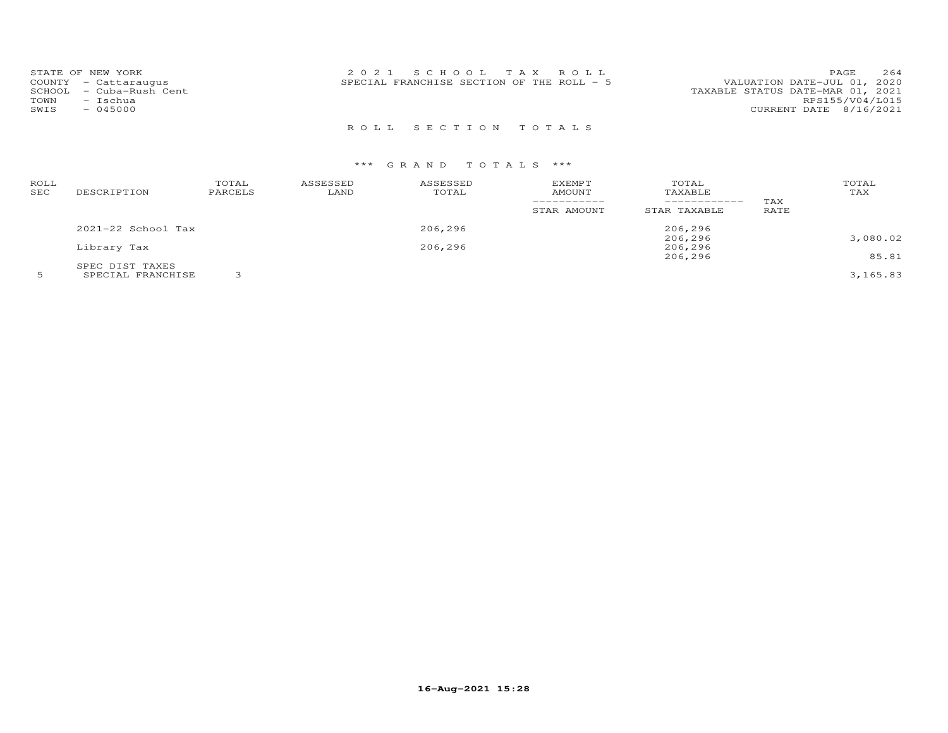| STATE OF NEW YORK<br>COUNTY - Cattaraugus<br>– Cuba-Rush Cent<br>SCHOOL<br>TOWN<br>- Ischua<br>SWIS<br>$-045000$ | 2021 SCHOOL TAX ROLL<br>SPECIAL FRANCHISE SECTION OF THE ROLL - 5 | 264<br>PAGE<br>VALUATION DATE-JUL 01, 2020<br>TAXABLE STATUS DATE-MAR 01, 2021<br>RPS155/V04/L015<br>CURRENT DATE 8/16/2021 |
|------------------------------------------------------------------------------------------------------------------|-------------------------------------------------------------------|-----------------------------------------------------------------------------------------------------------------------------|
|                                                                                                                  | ROLL SECTION TOTALS                                               |                                                                                                                             |

| ROLL<br>SEC | DESCRIPTION            | TOTAL<br>PARCELS | ASSESSED<br>LAND | ASSESSED<br>TOTAL | <b>EXEMPT</b><br>AMOUNT<br>STAR AMOUNT | TOTAL<br>TAXABLE<br>------------<br>STAR TAXABLE | TAX<br>RATE | TOTAL<br>TAX |
|-------------|------------------------|------------------|------------------|-------------------|----------------------------------------|--------------------------------------------------|-------------|--------------|
|             | $2021 - 22$ School Tax |                  |                  | 206,296           |                                        | 206,296                                          |             |              |
|             |                        |                  |                  |                   |                                        | 206,296                                          |             | 3,080.02     |
|             | Library Tax            |                  |                  | 206,296           |                                        | 206,296                                          |             |              |
|             |                        |                  |                  |                   |                                        | 206,296                                          |             | 85.81        |
|             | SPEC DIST TAXES        |                  |                  |                   |                                        |                                                  |             |              |
|             | SPECIAL FRANCHISE      |                  |                  |                   |                                        |                                                  |             | 3,165.83     |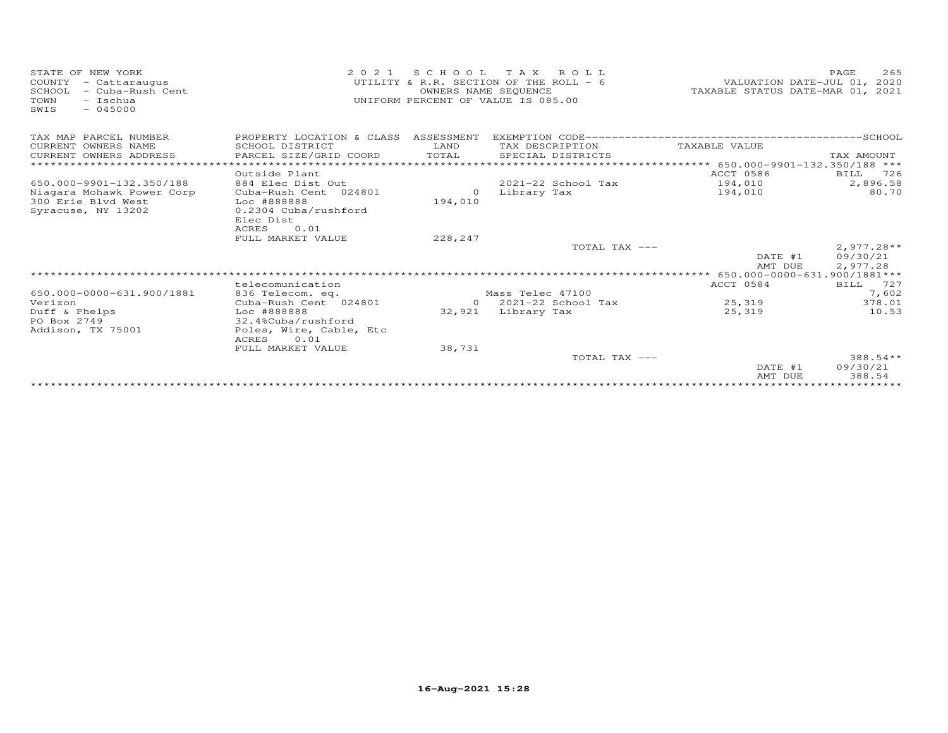| STATE OF NEW YORK<br>COUNTY<br>- Cattaraugus<br>SCHOOL<br>- Cuba-Rush Cent<br>TOWN<br>- Ischua<br>$-045000$<br>SWIS | 2 0 2 1                                                                                    | SCHOOL TAX<br>OWNERS NAME SEQUENCE | ROLL<br>UTILITY & R.R. SECTION OF THE ROLL - 6<br>UNIFORM PERCENT OF VALUE IS 085.00 | VALUATION DATE-JUL 01, 2020<br>TAXABLE STATUS DATE-MAR 01, 2021 | 265<br>PAGE                          |
|---------------------------------------------------------------------------------------------------------------------|--------------------------------------------------------------------------------------------|------------------------------------|--------------------------------------------------------------------------------------|-----------------------------------------------------------------|--------------------------------------|
| TAX MAP PARCEL NUMBER<br>CURRENT OWNERS NAME<br>CURRENT OWNERS ADDRESS<br>*************************                 | PROPERTY LOCATION & CLASS ASSESSMENT<br>SCHOOL DISTRICT<br>PARCEL SIZE/GRID COORD          | LAND<br>TOTAL                      | TAX DESCRIPTION<br>SPECIAL DISTRICTS                                                 | TAXABLE VALUE                                                   | TAX AMOUNT                           |
|                                                                                                                     | Outside Plant                                                                              |                                    |                                                                                      | ACCT 0586                                                       | 726<br>BILL                          |
| 650.000-9901-132.350/188                                                                                            | 884 Elec Dist Out                                                                          |                                    | $2021 - 22$ School Tax                                                               | 194,010                                                         | 2,896.58                             |
| Niagara Mohawk Power Corp<br>300 Erie Blyd West<br>Syracuse, NY 13202                                               | Cuba-Rush Cent 024801<br>Loc #888888<br>0.2304 Cuba/rushford<br>Elec Dist<br>ACRES<br>0.01 | $\Omega$<br>194,010                | Library Tax                                                                          | 194,010                                                         | 80.70                                |
|                                                                                                                     | FULL MARKET VALUE                                                                          | 228,247                            |                                                                                      |                                                                 |                                      |
|                                                                                                                     |                                                                                            |                                    | TOTAL TAX ---                                                                        | DATE #1<br>AMT DUE                                              | $2,977.28**$<br>09/30/21<br>2,977.28 |
|                                                                                                                     |                                                                                            |                                    |                                                                                      |                                                                 |                                      |
|                                                                                                                     | telecomunication                                                                           |                                    |                                                                                      | ACCT 0584                                                       | BILL<br>727                          |
| 650.000-0000-631.900/1881                                                                                           | 836 Telecom. eq.                                                                           |                                    | Mass Telec 47100                                                                     |                                                                 | 7,602                                |
| Verizon                                                                                                             | Cuba-Rush Cent 024801                                                                      | $\Omega$                           | 2021-22 School Tax                                                                   | 25,319                                                          | 378.01                               |
| Duff & Phelps<br>PO Box 2749<br>Addison, TX 75001                                                                   | Loc #888888<br>32.4%Cuba/rushford<br>Poles, Wire, Cable, Etc<br>ACRES<br>0.01              | 32,921                             | Library Tax                                                                          | 25,319                                                          | 10.53                                |
|                                                                                                                     | FULL MARKET VALUE                                                                          | 38,731                             |                                                                                      |                                                                 |                                      |
|                                                                                                                     |                                                                                            |                                    | TOTAL TAX ---                                                                        |                                                                 | 388.54**                             |
|                                                                                                                     |                                                                                            |                                    |                                                                                      | DATE #1<br>AMT DUE                                              | 09/30/21<br>388.54                   |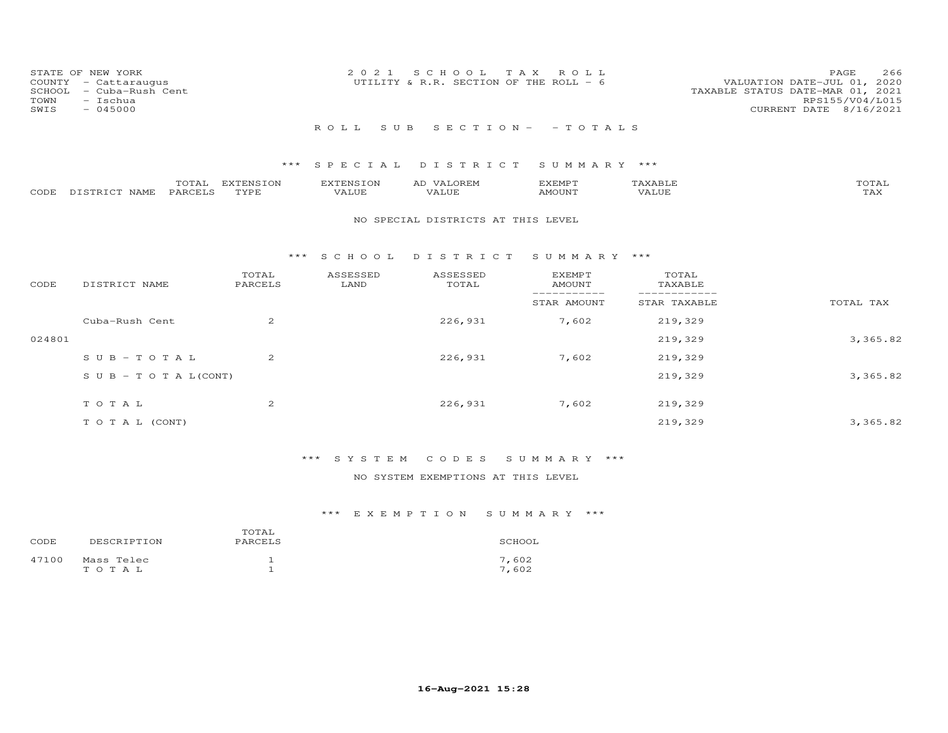| STATE OF NEW YORK<br>COUNTY - Cattaraugus<br>SCHOOL - Cuba-Rush Cent<br>TOWN<br>- Ischua<br>SWIS<br>$-045000$ | 2021 SCHOOL TAX ROLL<br>UTILITY & R.R. SECTION OF THE ROLL - 6 | 266<br>PAGE.<br>VALUATION DATE-JUL 01, 2020<br>TAXABLE STATUS DATE-MAR 01, 2021<br>RPS155/V04/L015<br>CURRENT DATE 8/16/2021 |
|---------------------------------------------------------------------------------------------------------------|----------------------------------------------------------------|------------------------------------------------------------------------------------------------------------------------------|
|                                                                                                               | ROLL SUB SECTION- - TOTALS                                     |                                                                                                                              |

|                    | TOTAL   | EXTENSION   | <b>EXTENSION</b> | VALOREM<br>AD | EXEMPT | {XABI∂ | TOTAL       |
|--------------------|---------|-------------|------------------|---------------|--------|--------|-------------|
| CODE DISTRICT NAME | PARCELS | <b>TYPE</b> | VALUE            | VALUE         | AMOUNT | VALUE  | ጥአህ<br>∡AX. |

#### NO SPECIAL DISTRICTS AT THIS LEVEL

#### \*\*\* S C H O O L D I S T R I C T S U M M A R Y \*\*\*

| CODE   | DISTRICT NAME                    | TOTAL<br>PARCELS | ASSESSED<br>LAND | ASSESSED<br>TOTAL | <b>EXEMPT</b><br>AMOUNT | TOTAL<br>TAXABLE |           |
|--------|----------------------------------|------------------|------------------|-------------------|-------------------------|------------------|-----------|
|        |                                  |                  |                  |                   | STAR AMOUNT             | STAR TAXABLE     | TOTAL TAX |
|        | Cuba-Rush Cent                   | 2                |                  | 226,931           | 7,602                   | 219,329          |           |
| 024801 |                                  |                  |                  |                   |                         | 219,329          | 3,365.82  |
|        | $SUB - TO T AL$                  | $\overline{2}$   |                  | 226,931           | 7,602                   | 219,329          |           |
|        | $S \cup B - T \cup T A L (CONT)$ |                  |                  |                   |                         | 219,329          | 3,365.82  |
|        | TOTAL                            | $\overline{2}$   |                  | 226,931           | 7,602                   | 219,329          |           |
|        | T O T A L (CONT)                 |                  |                  |                   |                         | 219,329          | 3,365.82  |

## \*\*\* S Y S T E M C O D E S S U M M A R Y \*\*\*

### NO SYSTEM EXEMPTIONS AT THIS LEVEL

| CODE  | DESCRIPTION         | TOTAL<br>PARCELS | SCHOOL         |
|-------|---------------------|------------------|----------------|
| 47100 | Mass Telec<br>TOTAL |                  | 7,602<br>7,602 |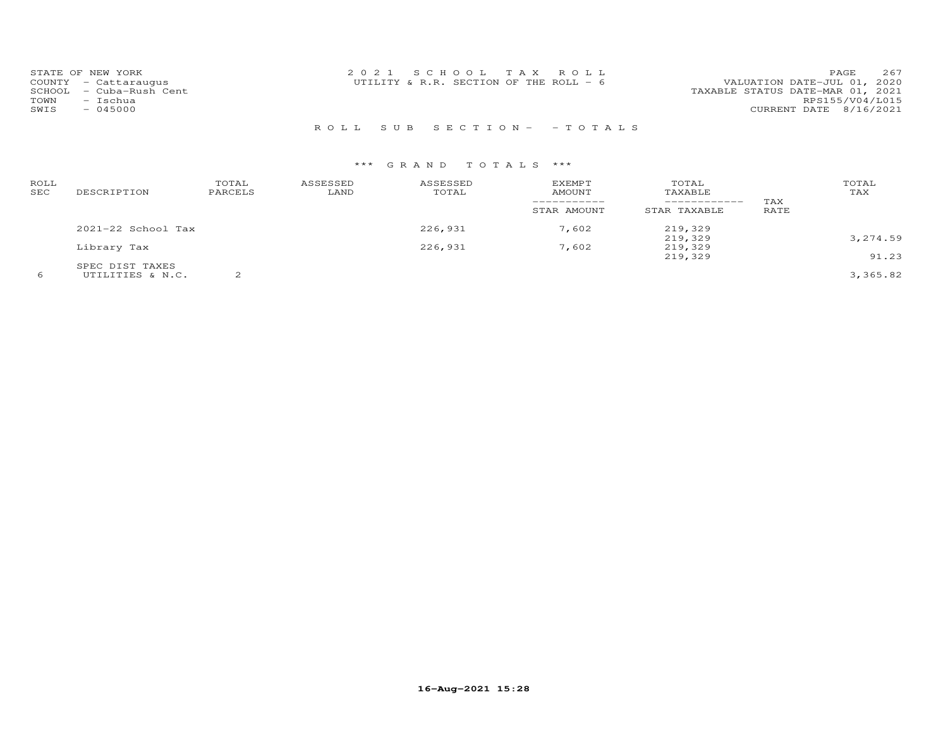| STATE OF NEW YORK          | 2021 SCHOOL TAX ROLL                    | 267<br>PAGE.                     |
|----------------------------|-----------------------------------------|----------------------------------|
| COUNTY - Cattaraugus       | UTILITY & R.R. SECTION OF THE ROLL $-6$ | VALUATION DATE-JUL 01, 2020      |
| - Cuba-Rush Cent<br>SCHOOL |                                         | TAXABLE STATUS DATE-MAR 01, 2021 |
| TOWN<br>- Ischua           |                                         | RPS155/V04/L015                  |
| SWIS<br>$-045000$          |                                         | CURRENT DATE 8/16/2021           |
|                            |                                         |                                  |

## R O L L S U B S E C T I O N - - T O T A L S

| ROLL<br>SEC | DESCRIPTION        | TOTAL<br>PARCELS | ASSESSED<br>LAND | ASSESSED<br>TOTAL | <b>EXEMPT</b><br>AMOUNT<br>STAR AMOUNT | TOTAL<br>TAXABLE<br>------------<br>STAR TAXABLE | TAX<br>RATE | TOTAL<br>TAX |
|-------------|--------------------|------------------|------------------|-------------------|----------------------------------------|--------------------------------------------------|-------------|--------------|
|             | 2021-22 School Tax |                  |                  | 226,931           | 7,602                                  | 219,329                                          |             |              |
|             |                    |                  |                  |                   |                                        | 219,329                                          |             | 3,274.59     |
|             | Library Tax        |                  |                  | 226,931           | 7,602                                  | 219,329                                          |             |              |
|             |                    |                  |                  |                   |                                        | 219,329                                          |             | 91.23        |
|             | SPEC DIST TAXES    |                  |                  |                   |                                        |                                                  |             |              |
| 6           | UTILITIES & N.C.   |                  |                  |                   |                                        |                                                  |             | 3,365.82     |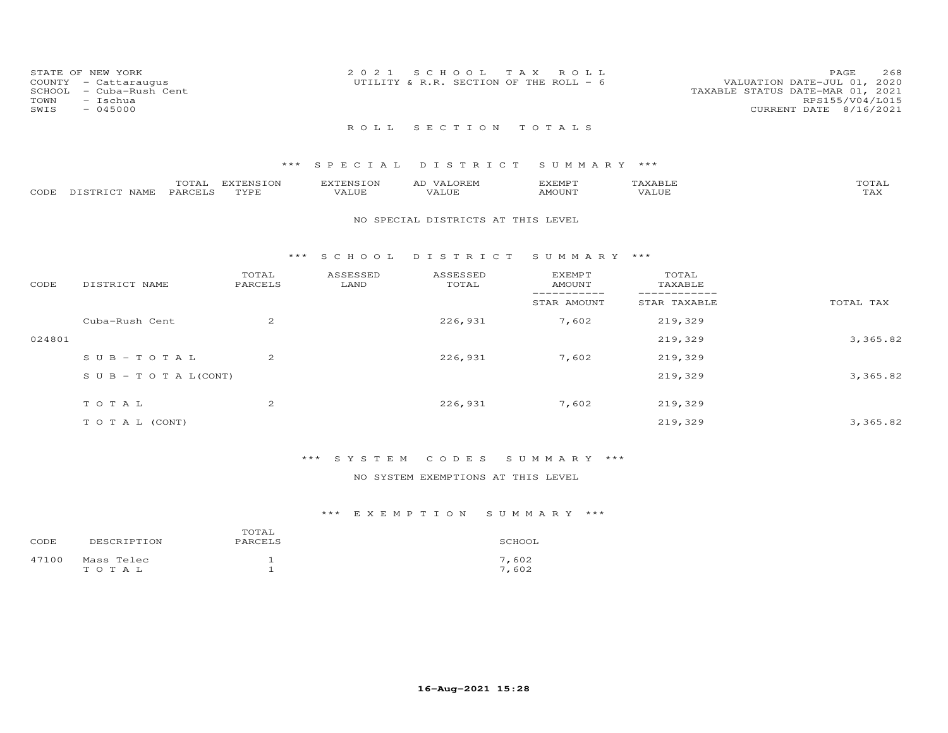| STATE OF NEW YORK<br>COUNTY - Cattaraugus<br>SCHOOL - Cuba-Rush Cent<br>TOWN<br>- Ischua<br>SWIS<br>$-045000$ | 2021 SCHOOL TAX ROLL<br>UTILITY & R.R. SECTION OF THE ROLL - $6$ | 268<br>PAGE<br>VALUATION DATE-JUL 01, 2020<br>TAXABLE STATUS DATE-MAR 01, 2021<br>RPS155/V04/L015<br>CURRENT DATE 8/16/2021 |
|---------------------------------------------------------------------------------------------------------------|------------------------------------------------------------------|-----------------------------------------------------------------------------------------------------------------------------|
|                                                                                                               | ROLL SECTION TOTALS                                              |                                                                                                                             |

|                       | TOTAL          | EXTENSION | <b>EXTENSION</b> | LOREM.<br>ΑD | EXEMPT |       | TOTAL               |
|-----------------------|----------------|-----------|------------------|--------------|--------|-------|---------------------|
| CODE DISTRICT<br>NAME | <b>PARCELS</b> | TYPE      | VALUE            | VALUE        | AMOUNT | VALUE | $m \times r$<br>LAA |

#### NO SPECIAL DISTRICTS AT THIS LEVEL

#### \*\*\* S C H O O L D I S T R I C T S U M M A R Y \*\*\*

| CODE   | DISTRICT NAME                    | TOTAL<br>PARCELS | ASSESSED<br>LAND | ASSESSED<br>TOTAL | <b>EXEMPT</b><br>AMOUNT | TOTAL<br>TAXABLE |           |
|--------|----------------------------------|------------------|------------------|-------------------|-------------------------|------------------|-----------|
|        |                                  |                  |                  |                   | STAR AMOUNT             | STAR TAXABLE     | TOTAL TAX |
|        | Cuba-Rush Cent                   | 2                |                  | 226,931           | 7,602                   | 219,329          |           |
| 024801 |                                  |                  |                  |                   |                         | 219,329          | 3,365.82  |
|        | $SUB - TO TAL$                   | 2                |                  | 226,931           | 7,602                   | 219,329          |           |
|        | $S \cup B - T \cup T A L (CONT)$ |                  |                  |                   |                         | 219,329          | 3,365.82  |
|        | TOTAL                            | 2                |                  | 226,931           | 7,602                   | 219,329          |           |
|        | T O T A L (CONT)                 |                  |                  |                   |                         | 219,329          | 3,365.82  |

### \*\*\* S Y S T E M C O D E S S U M M A R Y \*\*\*

### NO SYSTEM EXEMPTIONS AT THIS LEVEL

| CODE  | DESCRIPTION         | TOTAL<br>PARCELS | SCHOOL         |
|-------|---------------------|------------------|----------------|
| 47100 | Mass Telec<br>TOTAL |                  | 7,602<br>7.602 |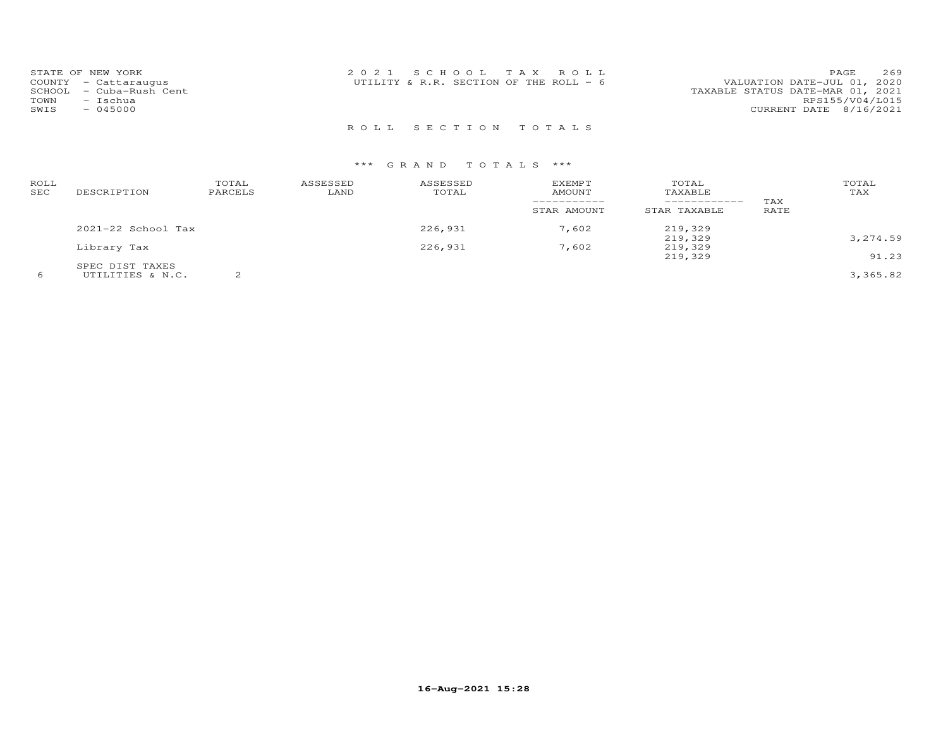| STATE OF NEW YORK          | 2021 SCHOOL TAX ROLL                   | 269<br>PAGE                      |
|----------------------------|----------------------------------------|----------------------------------|
| COUNTY - Cattaraugus       | UTILITY & R.R. SECTION OF THE ROLL - 6 | VALUATION DATE-JUL 01, 2020      |
| - Cuba-Rush Cent<br>SCHOOL |                                        | TAXABLE STATUS DATE-MAR 01, 2021 |
| TOWN<br>- Ischua           |                                        | RPS155/V04/L015                  |
| $-045000$<br>SWIS          |                                        | CURRENT DATE 8/16/2021           |
|                            |                                        |                                  |

R O L L S E C T I O N T O T A L S

| ROLL<br>SEC | DESCRIPTION        | TOTAL<br>PARCELS | ASSESSED<br>LAND | ASSESSED<br>TOTAL | <b>EXEMPT</b><br>AMOUNT<br>STAR AMOUNT | TOTAL<br>TAXABLE<br>------------<br>STAR TAXABLE | TAX<br>RATE | TOTAL<br>TAX |
|-------------|--------------------|------------------|------------------|-------------------|----------------------------------------|--------------------------------------------------|-------------|--------------|
|             | 2021-22 School Tax |                  |                  | 226,931           | 7,602                                  | 219,329                                          |             |              |
|             |                    |                  |                  |                   |                                        | 219,329                                          |             | 3,274.59     |
|             | Library Tax        |                  |                  | 226,931           | 7,602                                  | 219,329                                          |             |              |
|             |                    |                  |                  |                   |                                        | 219,329                                          |             | 91.23        |
|             | SPEC DIST TAXES    |                  |                  |                   |                                        |                                                  |             |              |
|             | UTILITIES & N.C.   |                  |                  |                   |                                        |                                                  |             | 3,365.82     |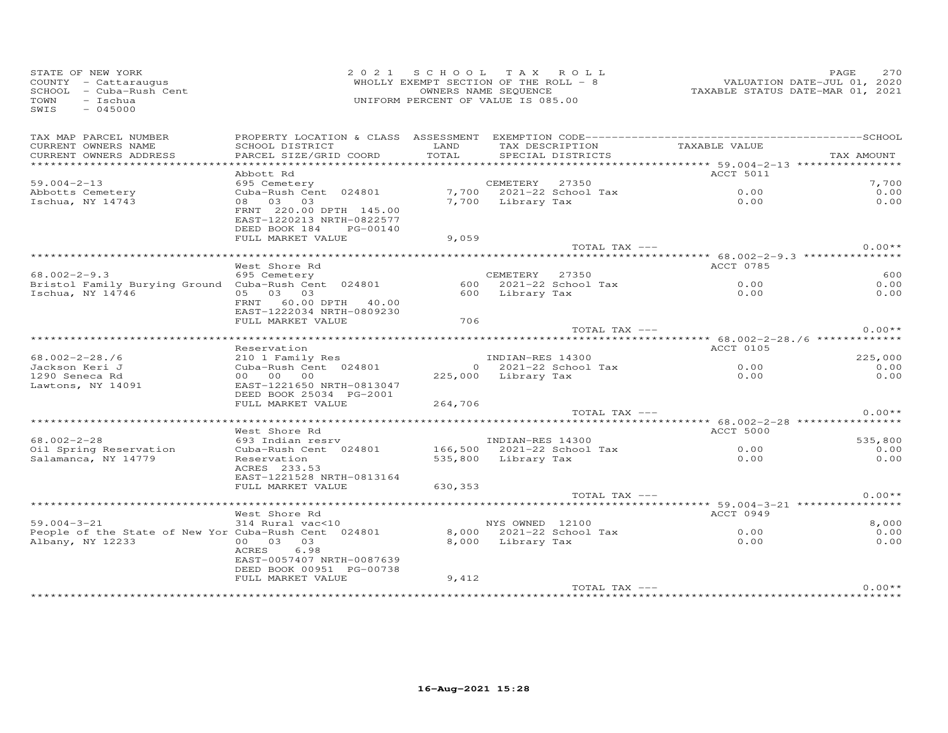| STATE OF NEW YORK<br>COUNTY - Cattaraugus<br>SCHOOL - Cuba-Rush Cent<br>TOWN<br>$-$ Ischua<br>SWIS<br>$-045000$                                       |                                                                                   |         | 2021 SCHOOL TAX ROLL<br>WHOLLY EXEMPT SECTION OF THE ROLL - 8<br>OWNERS NAME SEQUENCE<br>UNIFORM PERCENT OF VALUE IS 085.00 | VALUATION DATE-JUL 01, 2020<br>TAXABLE STATUS DATE-MAR 01, 2021 | PAGE<br>270   |
|-------------------------------------------------------------------------------------------------------------------------------------------------------|-----------------------------------------------------------------------------------|---------|-----------------------------------------------------------------------------------------------------------------------------|-----------------------------------------------------------------|---------------|
| TAX MAP PARCEL NUMBER<br>CURRENT OWNERS NAME                                                                                                          | SCHOOL DISTRICT                                                                   | LAND    | TAX DESCRIPTION                                                                                                             | TAXABLE VALUE                                                   |               |
| CURRENT OWNERS ADDRESS                                                                                                                                | PARCEL SIZE/GRID COORD                                                            | TOTAL   | SPECIAL DISTRICTS                                                                                                           |                                                                 | TAX AMOUNT    |
|                                                                                                                                                       |                                                                                   |         |                                                                                                                             |                                                                 |               |
|                                                                                                                                                       | Abbott Rd                                                                         |         |                                                                                                                             | ACCT 5011                                                       |               |
| $59.004 - 2 - 13$                                                                                                                                     |                                                                                   |         |                                                                                                                             |                                                                 | 7,700<br>0.00 |
| Abbotts Cemetery<br>Ischua, NY 14743                                                                                                                  |                                                                                   |         |                                                                                                                             | $0.00$<br>$0.00$                                                | 0.00          |
|                                                                                                                                                       | FRNT 220.00 DPTH 145.00<br>EAST-1220213 NRTH-0822577<br>DEED BOOK 184<br>PG-00140 |         |                                                                                                                             |                                                                 |               |
|                                                                                                                                                       | FULL MARKET VALUE                                                                 | 9,059   |                                                                                                                             |                                                                 |               |
|                                                                                                                                                       |                                                                                   |         | TOTAL TAX ---                                                                                                               |                                                                 | $0.00**$      |
|                                                                                                                                                       |                                                                                   |         |                                                                                                                             |                                                                 |               |
|                                                                                                                                                       | West Shore Rd                                                                     |         |                                                                                                                             | ACCT 0785                                                       | 600           |
| $68.002 - 2 - 9.3$<br>Bristol Family Burying Ground Cuba-Rush Cent 024801                                                                             | 695 Cemetery                                                                      |         | CEMETERY 27350<br>$600$ $2021-22$ School Tax                                                                                | 0.00                                                            | 0.00          |
| Ischua, NY 14746                                                                                                                                      | 05 03 03                                                                          |         | 600 Library Tax                                                                                                             | 0.00                                                            | 0.00          |
|                                                                                                                                                       | FRNT 60.00 DPTH 40.00<br>EAST-1222034 NRTH-0809230                                |         |                                                                                                                             |                                                                 |               |
|                                                                                                                                                       | FULL MARKET VALUE                                                                 | 706     |                                                                                                                             |                                                                 |               |
|                                                                                                                                                       |                                                                                   |         | TOTAL TAX ---                                                                                                               |                                                                 | $0.00**$      |
|                                                                                                                                                       | Reservation                                                                       |         |                                                                                                                             | ACCT 0105                                                       |               |
| $68.002 - 2 - 28.76$                                                                                                                                  |                                                                                   |         | INDIAN-RES 14300                                                                                                            |                                                                 | 225,000       |
| Jackson Keri J                                                                                                                                        | 210 1 Family Res<br>Cuba-Rush Cent 024801                                         |         | 0 $2021 - 22$ School Tax $0.00$                                                                                             |                                                                 | 0.00          |
| 1290 Seneca Rd                                                                                                                                        | 00 00 00                                                                          |         | 225,000 Library Tax                                                                                                         | 0.00                                                            | 0.00          |
| Lawtons, NY 14091                                                                                                                                     | EAST-1221650 NRTH-0813047<br>DEED BOOK 25034 PG-2001                              |         |                                                                                                                             |                                                                 |               |
|                                                                                                                                                       | FULL MARKET VALUE                                                                 | 264,706 |                                                                                                                             |                                                                 |               |
|                                                                                                                                                       |                                                                                   |         | TOTAL TAX ---                                                                                                               |                                                                 | $0.00**$      |
|                                                                                                                                                       | West Shore Rd                                                                     |         |                                                                                                                             | <b>ACCT 5000</b>                                                |               |
| 68.002-2-28                                                                                                                                           | 093 Indian resrv                                                                  |         | INDIAN-RES 14300                                                                                                            |                                                                 | 535,800       |
| Oil Spring Reservation                                                                                                                                | 693 Indian resrv<br>Cuba-Rush Cent 024801 166,500 2021-22 School Tax              |         |                                                                                                                             |                                                                 | 0.00          |
| Salamanca, NY 14779                                                                                                                                   | Reservation<br>ACRES 233.53                                                       |         | 535,800 Library Tax                                                                                                         | $0.00$<br>$0.00$                                                | 0.00          |
|                                                                                                                                                       | EAST-1221528 NRTH-0813164                                                         |         |                                                                                                                             |                                                                 |               |
|                                                                                                                                                       | FULL MARKET VALUE                                                                 | 630,353 |                                                                                                                             |                                                                 | $0.00**$      |
|                                                                                                                                                       |                                                                                   |         | TOTAL TAX ---                                                                                                               |                                                                 |               |
|                                                                                                                                                       | West Shore Rd                                                                     |         |                                                                                                                             | ACCT 0949                                                       |               |
|                                                                                                                                                       |                                                                                   |         |                                                                                                                             |                                                                 | 8,000         |
|                                                                                                                                                       |                                                                                   |         |                                                                                                                             |                                                                 | 0.00          |
| west short M<br>3100 MYS OWNED 12100<br>People of the State of New Yor Cuba-Rush Cent 024801 8,000 2021-22 School Tax 0.00<br>8.000 1.ibrary Tax 0.00 |                                                                                   |         |                                                                                                                             |                                                                 | 0.00          |
|                                                                                                                                                       | ACRES 6.98<br>EAST-0057407 NRTH-0087639<br>DEED BOOK 00951 PG-00738               |         |                                                                                                                             |                                                                 |               |
|                                                                                                                                                       | FULL MARKET VALUE                                                                 | 9,412   |                                                                                                                             |                                                                 |               |
|                                                                                                                                                       |                                                                                   |         | TOTAL TAX ---                                                                                                               |                                                                 | $0.00**$      |
|                                                                                                                                                       |                                                                                   |         |                                                                                                                             |                                                                 |               |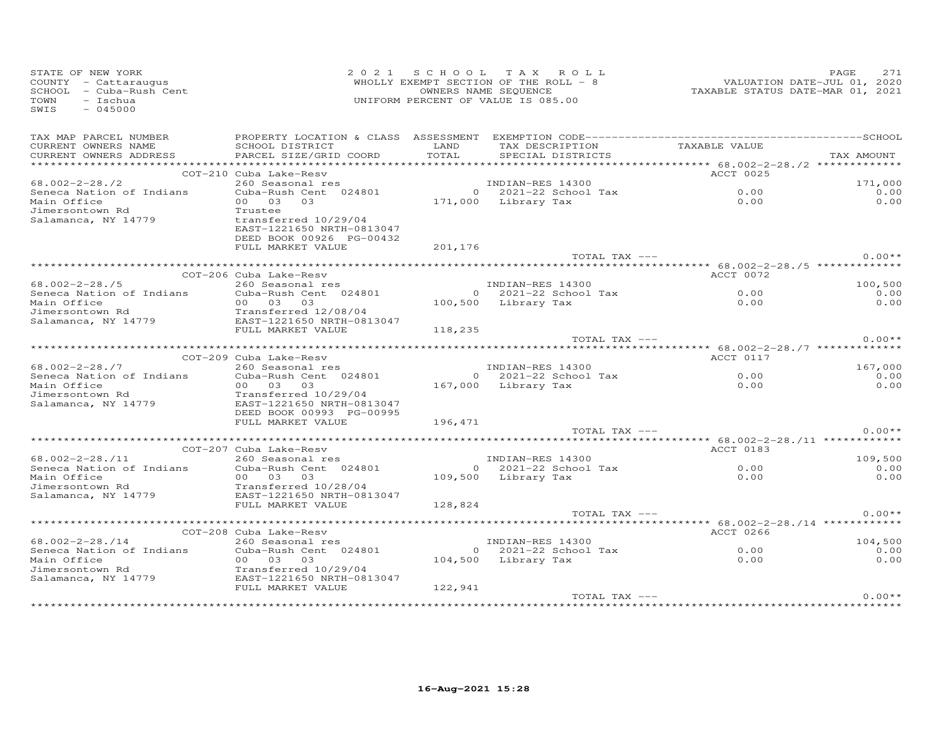| STATE OF NEW YORK<br>COUNTY - Cattaraugus<br>SCHOOL - Cuba-Rush Cent<br>TOWN<br>- Ischua<br>SWIS<br>$-045000$                                                                                                                                                                                                                                                                                                                                       |                                                                                                    |          | 2021 SCHOOL TAX ROLL<br>UNIFORM PERCENT OF VALUE IS 085.00       | 2 0 2 1 S C H O O L T A X R O L L<br>WHOLLY EXEMPT SECTION OF THE ROLL - 8 WALUATION DATE-JUL 01, 2020<br>NHOLLY EXEMPT SECTION OF THE ROLL - 8<br>TAXABLE STATUS DATE-MAR 01, 2021 |              |
|-----------------------------------------------------------------------------------------------------------------------------------------------------------------------------------------------------------------------------------------------------------------------------------------------------------------------------------------------------------------------------------------------------------------------------------------------------|----------------------------------------------------------------------------------------------------|----------|------------------------------------------------------------------|-------------------------------------------------------------------------------------------------------------------------------------------------------------------------------------|--------------|
| TAX MAP PARCEL NUMBER<br>CURRENT OWNERS NAME<br>CURRENT OWNERS ADDRESS                                                                                                                                                                                                                                                                                                                                                                              |                                                                                                    |          | TAX DESCRIPTION TAXABLE VALUE<br>SPECIAL DISTRICTS TAXABLE VALUE |                                                                                                                                                                                     | TAX AMOUNT   |
|                                                                                                                                                                                                                                                                                                                                                                                                                                                     | COT-210 Cuba Lake-Resv                                                                             |          |                                                                  |                                                                                                                                                                                     |              |
| 68.002-2-28./2                                                                                                                                                                                                                                                                                                                                                                                                                                      |                                                                                                    |          |                                                                  |                                                                                                                                                                                     | 171,000      |
| Seneca Nation of Indians<br>Main Office<br>Jimersontown Rd<br>Salamanca, NY 14779                                                                                                                                                                                                                                                                                                                                                                   |                                                                                                    |          |                                                                  |                                                                                                                                                                                     | 0.00<br>0.00 |
|                                                                                                                                                                                                                                                                                                                                                                                                                                                     | transferred 10/29/04<br>EAST-1221650 NRTH-0813047<br>DEED BOOK 00926 PG-00432<br>FULL MARKET VALUE | 201,176  |                                                                  |                                                                                                                                                                                     |              |
|                                                                                                                                                                                                                                                                                                                                                                                                                                                     |                                                                                                    |          | TOTAL TAX ---                                                    |                                                                                                                                                                                     | $0.00**$     |
|                                                                                                                                                                                                                                                                                                                                                                                                                                                     |                                                                                                    |          |                                                                  |                                                                                                                                                                                     |              |
|                                                                                                                                                                                                                                                                                                                                                                                                                                                     |                                                                                                    |          |                                                                  |                                                                                                                                                                                     | 100,500      |
|                                                                                                                                                                                                                                                                                                                                                                                                                                                     |                                                                                                    |          |                                                                  |                                                                                                                                                                                     | 0.00         |
|                                                                                                                                                                                                                                                                                                                                                                                                                                                     |                                                                                                    |          |                                                                  |                                                                                                                                                                                     | 0.00         |
|                                                                                                                                                                                                                                                                                                                                                                                                                                                     |                                                                                                    |          |                                                                  |                                                                                                                                                                                     |              |
|                                                                                                                                                                                                                                                                                                                                                                                                                                                     |                                                                                                    |          |                                                                  |                                                                                                                                                                                     |              |
|                                                                                                                                                                                                                                                                                                                                                                                                                                                     | FULL MARKET VALUE                                                                                  | 118,235  |                                                                  |                                                                                                                                                                                     |              |
|                                                                                                                                                                                                                                                                                                                                                                                                                                                     |                                                                                                    |          | TOTAL TAX ---                                                    |                                                                                                                                                                                     | $0.00**$     |
|                                                                                                                                                                                                                                                                                                                                                                                                                                                     |                                                                                                    |          |                                                                  | ACCT 0117                                                                                                                                                                           |              |
|                                                                                                                                                                                                                                                                                                                                                                                                                                                     |                                                                                                    |          |                                                                  |                                                                                                                                                                                     | 167,000      |
|                                                                                                                                                                                                                                                                                                                                                                                                                                                     |                                                                                                    |          |                                                                  | $0.00$<br>$0.00$                                                                                                                                                                    | 0.00         |
|                                                                                                                                                                                                                                                                                                                                                                                                                                                     |                                                                                                    |          |                                                                  |                                                                                                                                                                                     | 0.00         |
| $\begin{array}{lllllllllll} 68.002-2-28./7 & \text{Coul-205 Coul-24801} & \text{INDIAN-RES 14300} \\ \text{Sence Aation of Indians} & \text{Cuba-Rush Cent} & 024801 & 0 & 2021-22 \text{ School Tax} \\ \text{Main Office} & 00 & 03 & 03 & 167,000 & \text{Library Tax} \\ \text{Jimersontown Rd} & \text{Transfercel} & 10/29/04 & & \\ \text{Salamanca, NY 14779} & \text{EARFID ROK} & \text{M0993} & \text{DC OCOSE}$                         | 00 03 03<br>Transferred 10/29/04<br>EAST-1221650 NRTH-0813047<br>DEED BOOK 00993 PG-00995          |          |                                                                  |                                                                                                                                                                                     |              |
|                                                                                                                                                                                                                                                                                                                                                                                                                                                     | FULL MARKET VALUE                                                                                  | 196, 471 |                                                                  |                                                                                                                                                                                     |              |
|                                                                                                                                                                                                                                                                                                                                                                                                                                                     |                                                                                                    |          | TOTAL TAX ---                                                    |                                                                                                                                                                                     | $0.00**$     |
|                                                                                                                                                                                                                                                                                                                                                                                                                                                     |                                                                                                    |          |                                                                  |                                                                                                                                                                                     |              |
|                                                                                                                                                                                                                                                                                                                                                                                                                                                     |                                                                                                    |          |                                                                  |                                                                                                                                                                                     | 109,500      |
|                                                                                                                                                                                                                                                                                                                                                                                                                                                     |                                                                                                    |          |                                                                  |                                                                                                                                                                                     | 0.00         |
|                                                                                                                                                                                                                                                                                                                                                                                                                                                     |                                                                                                    |          |                                                                  |                                                                                                                                                                                     | 0.00         |
| Seneca Nation of Indian<br>Main Office<br>Jimersontown Rd Transferred 10/28/04<br>Salamanca, NY 14779 EAST-1221650 NRTH-0813047<br>FIILL MARKET VALUE                                                                                                                                                                                                                                                                                               | FULL MARKET VALUE                                                                                  |          |                                                                  |                                                                                                                                                                                     |              |
|                                                                                                                                                                                                                                                                                                                                                                                                                                                     |                                                                                                    | 128,824  | TOTAL TAX ---                                                    |                                                                                                                                                                                     | $0.00**$     |
|                                                                                                                                                                                                                                                                                                                                                                                                                                                     |                                                                                                    |          |                                                                  |                                                                                                                                                                                     |              |
|                                                                                                                                                                                                                                                                                                                                                                                                                                                     |                                                                                                    |          |                                                                  | ACCT 0266                                                                                                                                                                           |              |
|                                                                                                                                                                                                                                                                                                                                                                                                                                                     |                                                                                                    |          |                                                                  |                                                                                                                                                                                     | 104,500      |
|                                                                                                                                                                                                                                                                                                                                                                                                                                                     |                                                                                                    |          |                                                                  | $0.00$<br>$0.00$                                                                                                                                                                    | 0.00         |
|                                                                                                                                                                                                                                                                                                                                                                                                                                                     |                                                                                                    |          |                                                                  |                                                                                                                                                                                     | 0.00         |
|                                                                                                                                                                                                                                                                                                                                                                                                                                                     |                                                                                                    |          |                                                                  |                                                                                                                                                                                     |              |
| $\begin{tabular}{lllllllllllll} 68.002-2-28./14 & \text{COT}-208 \text{ Cuba Lake-Resv} & \text{INDIAN-RES 14300} \\ & 260 \text{ seasonal res} & \text{Cuba-Rush Cent} & 024801 & 0 & 2021-22 \text{ School Tax} \\ \text{Main of Indians} & \text{Cuba-Rush Cent} & 024801 & 0 & 2021-22 \text{ School Tax} \\ \text{Main of Indians} & 0 & 0 & 30 & 30 & \text{Library Tax} \\ \text{Jimersontown Rd} & \text{Transferred 10/29/04 & \text{EAST$ |                                                                                                    |          |                                                                  |                                                                                                                                                                                     |              |
|                                                                                                                                                                                                                                                                                                                                                                                                                                                     |                                                                                                    |          | TOTAL TAX ---                                                    |                                                                                                                                                                                     | $0.00**$     |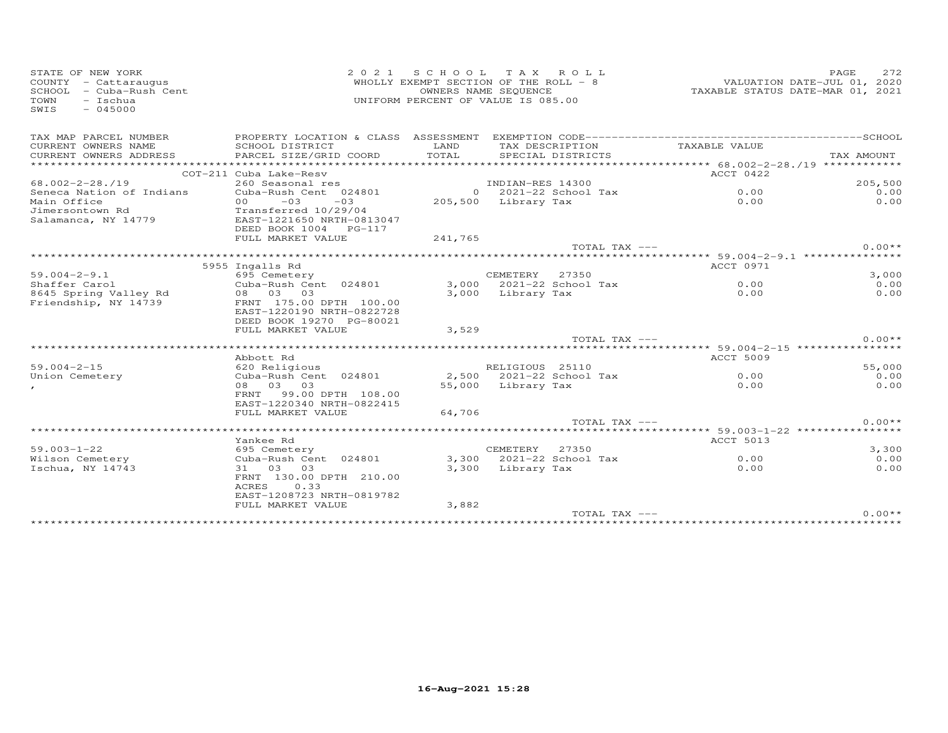| STATE OF NEW YORK<br>COUNTY - Cattaraugus                          | 2021 SCHOOL TAX ROLL<br>WHOLLY EXEMPT SECTION OF THE ROLL - 8                                                     |                                                            |                     | PAGE<br>VALUATION DATE-JUL 01, 2020<br>TAXABLE STATUS DATE-MAR 01, 2021 |                       |  |               |
|--------------------------------------------------------------------|-------------------------------------------------------------------------------------------------------------------|------------------------------------------------------------|---------------------|-------------------------------------------------------------------------|-----------------------|--|---------------|
| SCHOOL - Cuba-Rush Cent<br>$-$ Ischua<br>TOWN<br>$-045000$<br>SWIS |                                                                                                                   | OWNERS NAME SEQUENCE<br>UNIFORM PERCENT OF VALUE IS 085.00 |                     |                                                                         |                       |  |               |
| TAX MAP PARCEL NUMBER                                              |                                                                                                                   |                                                            |                     |                                                                         |                       |  |               |
| CURRENT OWNERS NAME<br>CURRENT OWNERS ADDRESS                      | SCHOOL DISTRICT<br>PARCEL SIZE/GRID COORD                                                                         | LAND<br>TOTAL                                              | TAX DESCRIPTION     | SPECIAL DISTRICTS                                                       | TAXABLE VALUE         |  | TAX AMOUNT    |
|                                                                    | COT-211 Cuba Lake-Resv                                                                                            |                                                            |                     |                                                                         | ACCT 0422             |  |               |
| $68.002 - 2 - 28.19$                                               | 260 Seasonal res                                                                                                  |                                                            | INDIAN-RES 14300    |                                                                         |                       |  | 205,500       |
| Seneca Nation of Indians                                           | Cuba-Rush Cent 024801                                                                                             |                                                            |                     | $0$ 2021-22 School Tax                                                  | 0.00                  |  | 0.00          |
| Main Office                                                        | $-03$<br>$-03$<br>00 <sub>o</sub>                                                                                 |                                                            | 205,500 Library Tax |                                                                         | 0.00                  |  | 0.00          |
| Jimersontown Rd<br>Salamanca, NY 14779                             | Transferred 10/29/04<br>EAST-1221650 NRTH-0813047<br>DEED BOOK 1004 PG-117                                        |                                                            |                     |                                                                         |                       |  |               |
|                                                                    | FULL MARKET VALUE                                                                                                 | 241,765                                                    |                     |                                                                         |                       |  |               |
|                                                                    |                                                                                                                   |                                                            |                     | TOTAL TAX ---                                                           |                       |  | $0.00**$      |
|                                                                    | 5955 Ingalls Rd                                                                                                   |                                                            |                     |                                                                         | ACCT 0971             |  |               |
| $59.004 - 2 - 9.1$                                                 | 695 Cemetery                                                                                                      |                                                            | CEMETERY 27350      |                                                                         |                       |  | 3,000         |
| Shaffer Carol                                                      | Cuba-Rush Cent 024801                                                                                             |                                                            |                     | 3,000 2021-22 School Tax                                                | 0.00                  |  | 0.00          |
| 8645 Spring Valley Rd<br>Friendship, NY 14739                      | 08 03 03<br>FRNT 175.00 DPTH 100.00<br>EAST-1220190 NRTH-0822728<br>DEED BOOK 19270 PG-80021                      | 3,000                                                      | Library Tax         |                                                                         | 0.00                  |  | 0.00          |
|                                                                    | FULL MARKET VALUE                                                                                                 | 3,529                                                      |                     |                                                                         |                       |  |               |
|                                                                    |                                                                                                                   |                                                            |                     | TOTAL TAX ---                                                           |                       |  | $0.00**$      |
|                                                                    | Abbott Rd                                                                                                         |                                                            |                     |                                                                         | <b>ACCT 5009</b>      |  |               |
| $59.004 - 2 - 15$                                                  | 620 Religious                                                                                                     |                                                            | RELIGIOUS 25110     |                                                                         |                       |  | 55,000        |
| Union Cemetery                                                     | Cuba-Rush Cent 024801                                                                                             |                                                            |                     | 2,500 2021-22 School Tax                                                | 0.00                  |  | 0.00          |
|                                                                    | 08 03 03<br>FRNT 99.00 DPTH 108.00<br>EAST-1220340 NRTH-0822415<br>FULL MARKET VALUE                              | 64,706                                                     | 55,000 Library Tax  |                                                                         | 0.00                  |  | 0.00          |
|                                                                    |                                                                                                                   |                                                            |                     | TOTAL TAX ---                                                           |                       |  | $0.00**$      |
|                                                                    |                                                                                                                   |                                                            |                     |                                                                         | ****** 59.003-1-22 ** |  | ************  |
|                                                                    | Yankee Rd                                                                                                         |                                                            |                     |                                                                         | ACCT 5013             |  |               |
| $59.003 - 1 - 22$<br>Wilson Cemetery                               | 695 Cemetery                                                                                                      |                                                            | CEMETERY 27350      | 3,300 2021-22 School Tax                                                | 0.00                  |  | 3,300<br>0.00 |
| Ischua, NY 14743                                                   | Cuba-Rush Cent 024801<br>31 03 03<br>FRNT 130.00 DPTH 210.00<br><b>ACRES</b><br>0.33<br>EAST-1208723 NRTH-0819782 |                                                            | 3,300 Library Tax   |                                                                         | 0.00                  |  | 0.00          |
|                                                                    | FULL MARKET VALUE                                                                                                 | 3,882                                                      |                     |                                                                         |                       |  |               |
|                                                                    |                                                                                                                   |                                                            |                     | TOTAL TAX ---                                                           |                       |  | $0.00**$      |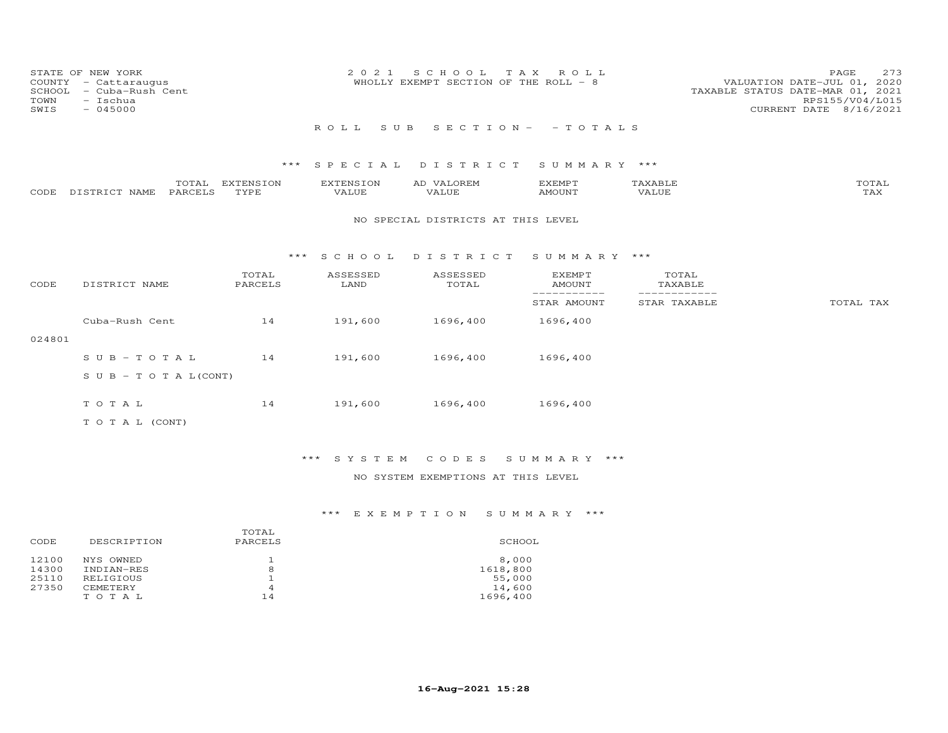| COUNTY<br>SCHOOL<br>TOWN<br>SWIS | STATE OF NEW YORK<br>- Cattaraugus<br>- Cuba-Rush Cent<br>- Ischua<br>$-045000$ |                   | 2 0 2 1                   | S C H O O L<br>WHOLLY EXEMPT SECTION OF THE ROLL - 8 | T A X<br>ROLL                   |                  | 273<br>PAGE<br>VALUATION DATE-JUL 01, 2020<br>TAXABLE STATUS DATE-MAR 01, 2021<br>RPS155/V04/L015<br>CURRENT DATE 8/16/2021 |
|----------------------------------|---------------------------------------------------------------------------------|-------------------|---------------------------|------------------------------------------------------|---------------------------------|------------------|-----------------------------------------------------------------------------------------------------------------------------|
|                                  |                                                                                 |                   | ROLL<br>S U B             |                                                      | $S E C T I O N - - T O T A L S$ |                  |                                                                                                                             |
|                                  |                                                                                 | ***               | SPECIAL                   | DISTRICT                                             | SUMMARY ***                     |                  |                                                                                                                             |
| CODE                             | TOTAL<br>PARCELS<br>DISTRICT NAME                                               | EXTENSION<br>TYPE | <b>EXTENSION</b><br>VALUE | AD VALOREM<br>VALUE                                  | <b>EXEMPT</b><br><b>AMOUNT</b>  | TAXABLE<br>VALUE | TOTAL<br>TAX                                                                                                                |
|                                  |                                                                                 |                   |                           | NO SPECIAL DISTRICTS AT THIS LEVEL                   |                                 |                  |                                                                                                                             |
|                                  |                                                                                 | $***$             | S C H O O L               | DISTRICT                                             | SUMMARY ***                     |                  |                                                                                                                             |
| CODE                             | DISTRICT NAME                                                                   | TOTAL<br>PARCELS  | ASSESSED<br>LAND          | ASSESSED<br>TOTAL                                    | <b>EXEMPT</b><br>AMOUNT         | TOTAL<br>TAXABLE |                                                                                                                             |
|                                  |                                                                                 |                   |                           |                                                      | -----------<br>STAR AMOUNT      | STAR TAXABLE     | TOTAL TAX                                                                                                                   |
|                                  | Cuba-Rush Cent                                                                  | 14                | 191,600                   | 1696,400                                             | 1696,400                        |                  |                                                                                                                             |
| 024801                           |                                                                                 |                   |                           |                                                      |                                 |                  |                                                                                                                             |
|                                  | $S \cup B - T \cup T A L$                                                       | 14                | 191,600                   | 1696,400                                             | 1696,400                        |                  |                                                                                                                             |
|                                  | $S \cup B - T \cup T A L (CONT)$                                                |                   |                           |                                                      |                                 |                  |                                                                                                                             |
|                                  | TOTAL                                                                           | 14                | 191,600                   | 1696,400                                             | 1696,400                        |                  |                                                                                                                             |
|                                  | TO TAL (CONT)                                                                   |                   |                           |                                                      |                                 |                  |                                                                                                                             |

### NO SYSTEM EXEMPTIONS AT THIS LEVEL

| DESCRIPTION | PARCELS | SCHOOL   |
|-------------|---------|----------|
| NYS OWNED   |         | 8,000    |
| INDIAN-RES  | 8       | 1618,800 |
| RELIGIOUS   |         | 55,000   |
| CEMETERY    | 4       | 14,600   |
| TOTAL       | 14      | 1696,400 |
|             |         | TOTAL    |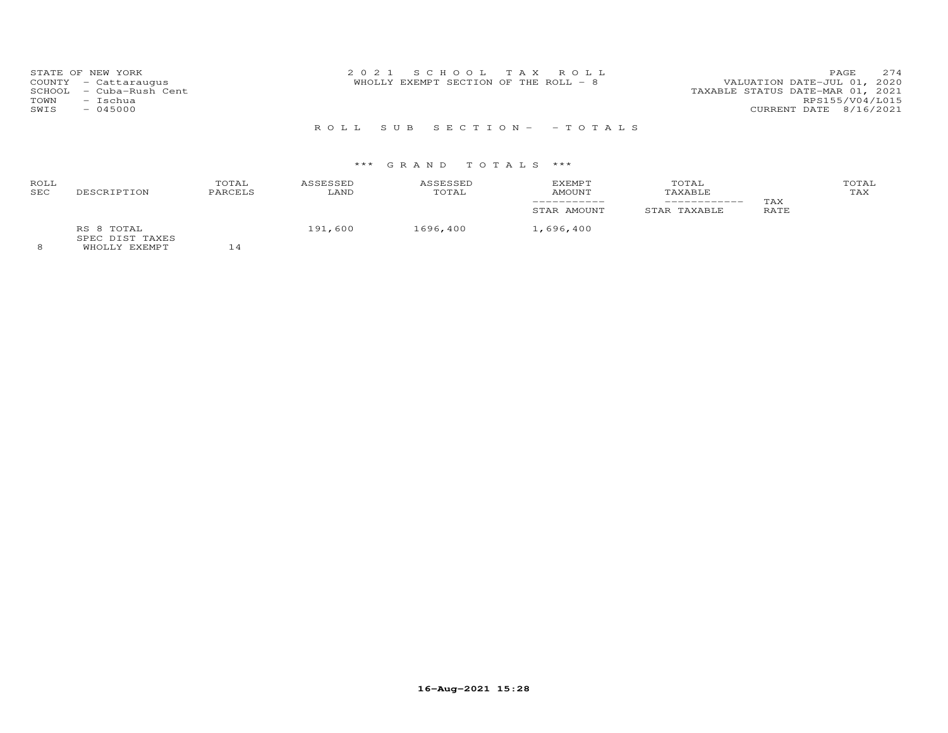R O L L S U B S E C T I O N - - T O T A L S

## \*\*\* G R A N D T O T A L S \*\*\*

| ROLL<br>SEC | DESCRIPTION                   | TOTAL<br>PARCELS | ASSESSED<br>LAND | ASSESSED<br>TOTAL | EXEMPT<br>AMOUNT<br>STAR AMOUNT | TOTAL<br>TAXABLE<br>STAR TAXABLE | TAX<br>RATE | TOTAL<br>TAX |
|-------------|-------------------------------|------------------|------------------|-------------------|---------------------------------|----------------------------------|-------------|--------------|
| $\sim$      | RS 8 TOTAL<br>SPEC DIST TAXES | $-$              | 191,600          | 1696,400          | 1,696,400                       |                                  |             |              |

8 WHOLLY EXEMPT 14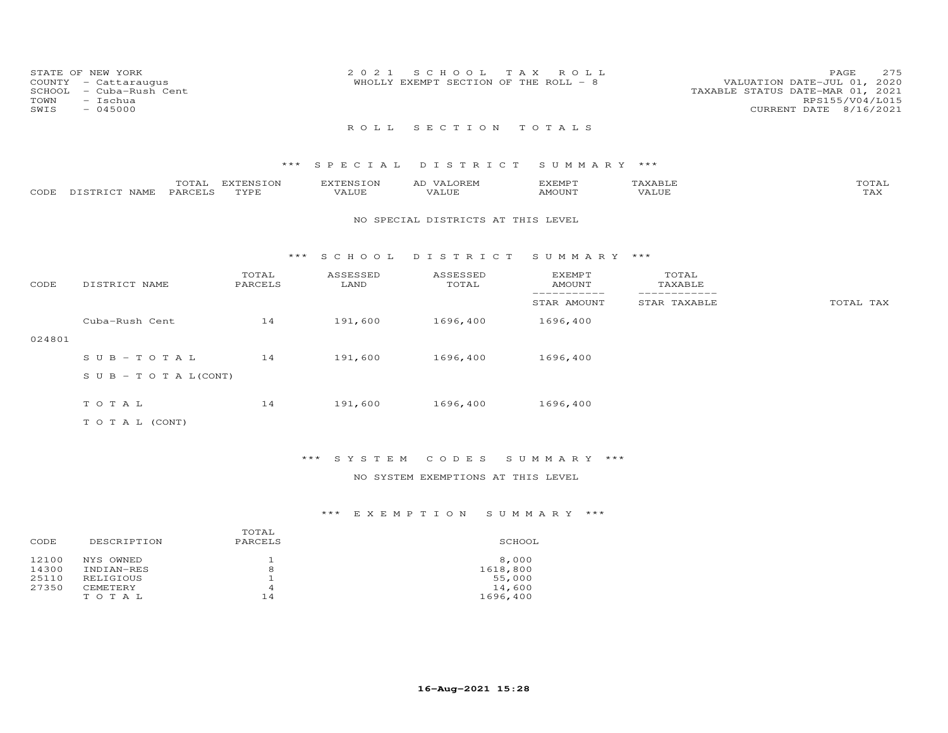| COUNTY<br>SCHOOL<br>TOWN<br>SWIS | STATE OF NEW YORK<br>- Cattaraugus<br>- Cuba-Rush Cent<br>$-$ Ischua<br>$-045000$ |                   | 2 0 2 1                   | S C H O O L<br>T A X<br>WHOLLY EXEMPT SECTION OF THE ROLL - 8 | ROLL                       |                              | 275<br>PAGE<br>VALUATION DATE-JUL 01, 2020<br>TAXABLE STATUS DATE-MAR 01, 2021<br>RPS155/V04/L015<br>CURRENT DATE 8/16/2021 |
|----------------------------------|-----------------------------------------------------------------------------------|-------------------|---------------------------|---------------------------------------------------------------|----------------------------|------------------------------|-----------------------------------------------------------------------------------------------------------------------------|
|                                  |                                                                                   |                   | ROLL                      | SECTION                                                       | TOTALS                     |                              |                                                                                                                             |
|                                  |                                                                                   | $***$             | SPECIAL                   | DISTRICT                                                      | SUMMARY ***                |                              |                                                                                                                             |
| CODE                             | TOTAL<br>PARCELS<br>DISTRICT NAME                                                 | EXTENSION<br>TYPE | <b>EXTENSION</b><br>VALUE | AD VALOREM<br>VALUE                                           | <b>EXEMPT</b><br>AMOUNT    | TAXABLE<br>VALUE             | TOTAL<br>TAX                                                                                                                |
|                                  |                                                                                   |                   |                           | NO SPECIAL DISTRICTS AT THIS LEVEL                            |                            |                              |                                                                                                                             |
|                                  |                                                                                   | * * *             | S C H O O L               | DISTRICT                                                      | SUMMARY ***                |                              |                                                                                                                             |
| CODE                             | DISTRICT NAME                                                                     | TOTAL<br>PARCELS  | ASSESSED<br>LAND          | ASSESSED<br>TOTAL                                             | EXEMPT<br>AMOUNT           | TOTAL<br>TAXABLE             |                                                                                                                             |
|                                  |                                                                                   |                   |                           |                                                               | -----------<br>STAR AMOUNT | ------------<br>STAR TAXABLE | TOTAL TAX                                                                                                                   |
|                                  | Cuba-Rush Cent                                                                    | 14                | 191,600                   | 1696,400                                                      | 1696,400                   |                              |                                                                                                                             |
| 024801                           |                                                                                   |                   |                           |                                                               |                            |                              |                                                                                                                             |
|                                  | $S \cup B - TO T A L$                                                             | 14                | 191,600                   | 1696,400                                                      | 1696,400                   |                              |                                                                                                                             |
|                                  | S U B - T O T A $L$ (CONT)                                                        |                   |                           |                                                               |                            |                              |                                                                                                                             |
|                                  | TOTAL                                                                             | 14                | 191,600                   | 1696,400                                                      | 1696,400                   |                              |                                                                                                                             |
|                                  | T O T A L (CONT)                                                                  |                   |                           |                                                               |                            |                              |                                                                                                                             |

NO SYSTEM EXEMPTIONS AT THIS LEVEL

|       |             | TOTAL   |          |
|-------|-------------|---------|----------|
| CODE  | DESCRIPTION | PARCELS | SCHOOL   |
| 12100 | NYS OWNED   |         | 8,000    |
| 14300 | INDIAN-RES  | 8       | 1618,800 |
| 25110 | RELIGIOUS   |         | 55,000   |
| 27350 | CEMETERY    | 4       | 14,600   |
|       | TOTAL       | 14      | 1696,400 |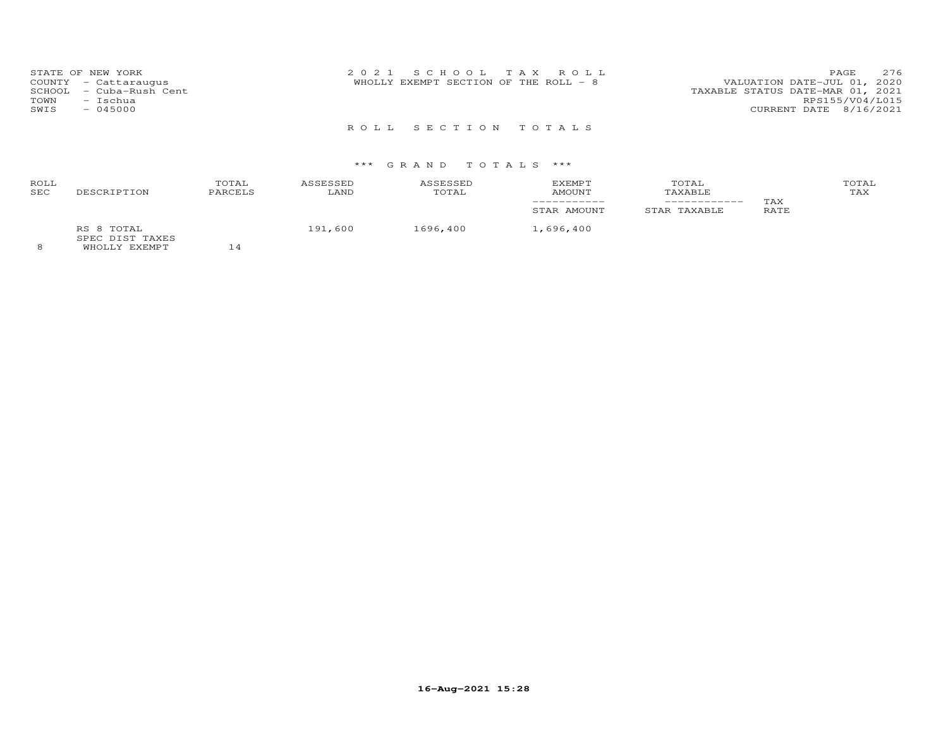| STATE OF NEW YORK<br>COUNTY - Cattaraugus<br>- Cuba-Rush Cent<br>SCHOOL<br>- Ischua<br>TOWN<br>$-045000$<br>SWIS | 2021 SCHOOL TAX ROLL<br>WHOLLY EXEMPT SECTION OF THE ROLL - 8 | 276<br><b>PAGE</b><br>VALUATION DATE-JUL 01, 2020<br>TAXABLE STATUS DATE-MAR 01, 2021<br>RPS155/V04/L015<br>CURRENT DATE 8/16/2021 |
|------------------------------------------------------------------------------------------------------------------|---------------------------------------------------------------|------------------------------------------------------------------------------------------------------------------------------------|
|                                                                                                                  | ROLL SECTION TOTALS                                           |                                                                                                                                    |

## \*\*\* G R A N D T O T A L S \*\*\*

| ROLL<br><b>SEC</b> | DESCRIPTION                               | TOTAL<br>PARCELS | <b>ASSESSED</b><br>LAND | ASSESSED<br>TOTAL | <b>EXEMPT</b><br><b>AMOUNT</b> | TOTAL<br>TAXABLE<br>____________ | TAX  | TOTAL<br>TAX |
|--------------------|-------------------------------------------|------------------|-------------------------|-------------------|--------------------------------|----------------------------------|------|--------------|
| $\sim$             | RS 8 TOTAL<br>SPEC DIST TAXES<br>$\cdots$ | $-1$             | 191,600                 | 1696,400          | STAR AMOUNT<br>1,696,400       | STAR TAXABLE                     | RATE |              |

8 WHOLLY EXEMPT 14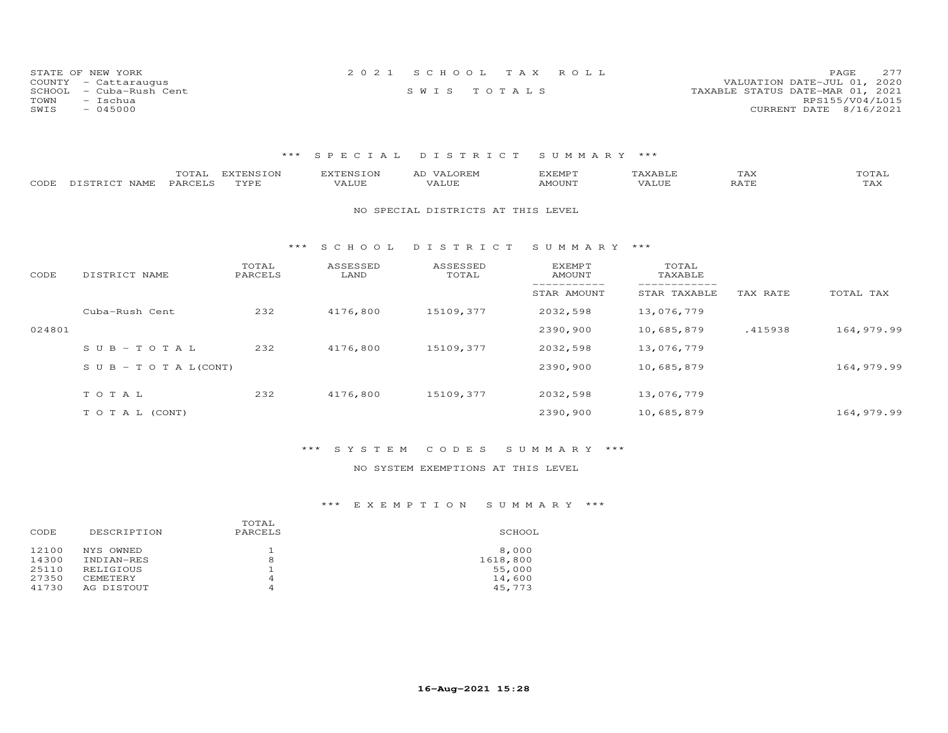| STATE OF NEW YORK       | 2021 SCHOOL TAX ROLL | 277<br>PAGE.                     |
|-------------------------|----------------------|----------------------------------|
| COUNTY - Cattaraugus    |                      | VALUATION DATE-JUL 01, 2020      |
| SCHOOL - Cuba-Rush Cent | SWIS TOTALS          | TAXABLE STATUS DATE-MAR 01, 2021 |
| TOWN<br>- Ischua        |                      | RPS155/V04/L015                  |
| SWIS<br>$-045000$       |                      | CURRENT DATE 8/16/2021           |

| CODE   | TOTAL<br>PARCELS<br>DISTRICT NAME | <b>EXTENSION</b><br>TYPE | <b>EXTENSION</b><br>VALUE | AD VALOREM<br>VALUE                | <b>EXEMPT</b><br>AMOUNT | TAXABLE<br>VALUE | TAX<br>RATE | TOTAL<br>TAX |
|--------|-----------------------------------|--------------------------|---------------------------|------------------------------------|-------------------------|------------------|-------------|--------------|
|        |                                   |                          |                           | NO SPECIAL DISTRICTS AT THIS LEVEL |                         |                  |             |              |
|        |                                   | ***                      | S C H O O L               | DISTRICT                           | SUMMARY ***             |                  |             |              |
| CODE   | DISTRICT NAME                     | TOTAL<br>PARCELS         | ASSESSED<br>LAND          | ASSESSED<br>TOTAL                  | EXEMPT<br>AMOUNT        | TOTAL<br>TAXABLE |             |              |
|        |                                   |                          |                           |                                    | STAR AMOUNT             | STAR TAXABLE     | TAX RATE    | TOTAL TAX    |
|        | Cuba-Rush Cent                    | 232                      | 4176,800                  | 15109,377                          | 2032,598                | 13,076,779       |             |              |
| 024801 |                                   |                          |                           |                                    | 2390,900                | 10,685,879       | .415938     | 164,979.99   |
|        | $S \cup B - TO T A L$             | 232                      | 4176,800                  | 15109,377                          | 2032,598                | 13,076,779       |             |              |
|        | S U B - T O T A $L$ (CONT)        |                          |                           |                                    | 2390,900                | 10,685,879       |             | 164,979.99   |
|        | TOTAL                             | 232                      | 4176,800                  | 15109,377                          | 2032,598                | 13,076,779       |             |              |
|        | TO TAL (CONT)                     |                          |                           |                                    | 2390,900                | 10,685,879       |             | 164,979.99   |
|        |                                   |                          |                           |                                    |                         |                  |             |              |

### \*\*\* S Y S T E M C O D E S S U M M A R Y \*\*\*

### NO SYSTEM EXEMPTIONS AT THIS LEVEL

| DESCRIPTION<br>CODE                                                                                                | TOTAL<br>PARCELS | SCHOOL                                          |
|--------------------------------------------------------------------------------------------------------------------|------------------|-------------------------------------------------|
| 12100<br>NYS OWNED<br>14300<br>INDIAN-RES<br>25110<br>RELIGIOUS<br>27350<br><b>CEMETERY</b><br>41730<br>AG DISTOUT | 8<br>4<br>4      | 8,000<br>1618,800<br>55,000<br>14,600<br>45,773 |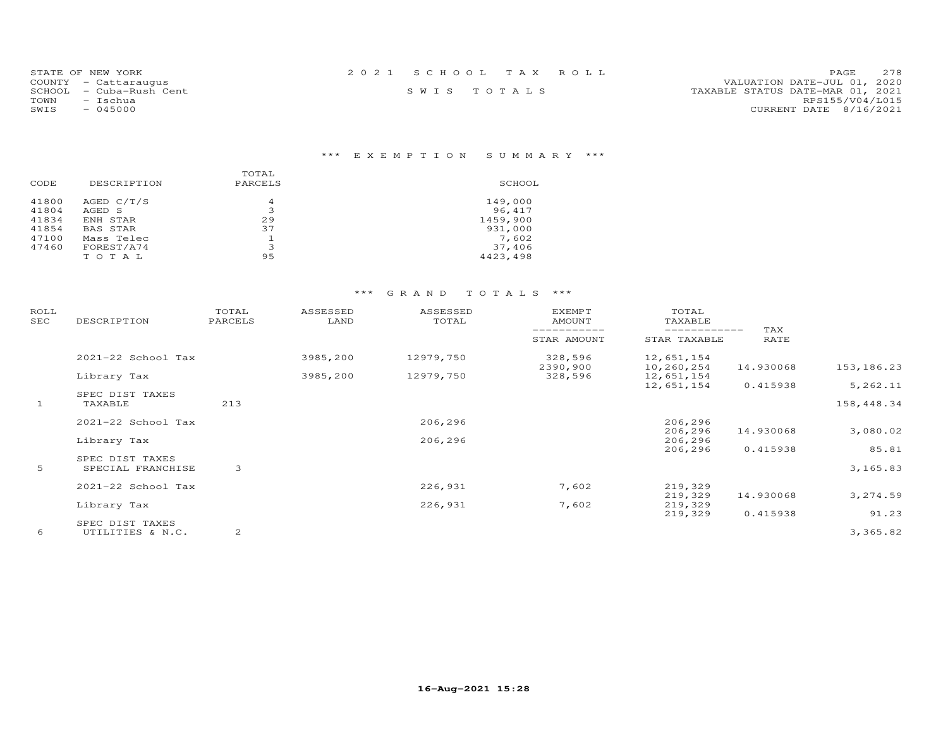| STATE OF NEW YORK       | 2021 SCHOOL TAX ROLL | 2.78<br><b>PAGE</b>              |
|-------------------------|----------------------|----------------------------------|
| COUNTY - Cattaraugus    |                      | VALUATION DATE-JUL 01, 2020      |
| SCHOOL - Cuba-Rush Cent | SWIS TOTALS          | TAXABLE STATUS DATE-MAR 01, 2021 |
| TOWN<br>- Ischua        |                      | RPS155/V04/L015                  |
| SWIS<br>$-045000$       |                      | CURRENT DATE 8/16/2021           |

## \*\*\* E X E M P T I O N S U M M A R Y \*\*\*

| CODE  | DESCRIPTION | TOTAL<br>PARCELS | SCHOOL   |
|-------|-------------|------------------|----------|
| 41800 | AGED C/T/S  | 4                | 149,000  |
| 41804 | AGED S      | 3                | 96,417   |
| 41834 | ENH STAR    | 29               | 1459,900 |
| 41854 | BAS STAR    | 37               | 931,000  |
| 47100 | Mass Telec  | 1                | 7,602    |
| 47460 | FOREST/A74  | 3                | 37,406   |
|       | TOTAL       | 95               | 4423,498 |

| ROLL<br>SEC  | DESCRIPTION        | TOTAL<br>PARCELS | ASSESSED<br>LAND | ASSESSED<br>TOTAL | <b>EXEMPT</b><br>AMOUNT | TOTAL<br>TAXABLE             |             |             |
|--------------|--------------------|------------------|------------------|-------------------|-------------------------|------------------------------|-------------|-------------|
|              |                    |                  |                  |                   | STAR AMOUNT             | ------------<br>STAR TAXABLE | TAX<br>RATE |             |
|              | 2021-22 School Tax |                  | 3985,200         | 12979,750         | 328,596<br>2390,900     | 12,651,154<br>10,260,254     | 14.930068   | 153, 186.23 |
|              | Library Tax        |                  | 3985,200         | 12979,750         | 328,596                 | 12,651,154                   |             |             |
|              | SPEC DIST TAXES    |                  |                  |                   |                         | 12,651,154                   | 0.415938    | 5,262.11    |
| $\mathbf{1}$ | TAXABLE            | 213              |                  |                   |                         |                              |             | 158,448.34  |
|              | 2021-22 School Tax |                  |                  | 206,296           |                         | 206,296                      |             |             |
|              |                    |                  |                  |                   |                         | 206,296                      | 14.930068   | 3,080.02    |
|              | Library Tax        |                  |                  | 206,296           |                         | 206,296<br>206,296           | 0.415938    | 85.81       |
|              | SPEC DIST TAXES    |                  |                  |                   |                         |                              |             |             |
| 5            | SPECIAL FRANCHISE  | 3                |                  |                   |                         |                              |             | 3,165.83    |
|              | 2021-22 School Tax |                  |                  | 226,931           | 7,602                   | 219,329                      |             |             |
|              |                    |                  |                  |                   |                         | 219,329                      | 14.930068   | 3,274.59    |
|              | Library Tax        |                  |                  | 226,931           | 7,602                   | 219,329                      |             |             |
|              | SPEC DIST TAXES    |                  |                  |                   |                         | 219,329                      | 0.415938    | 91.23       |
| 6            | UTILITIES & N.C.   | 2                |                  |                   |                         |                              |             | 3,365.82    |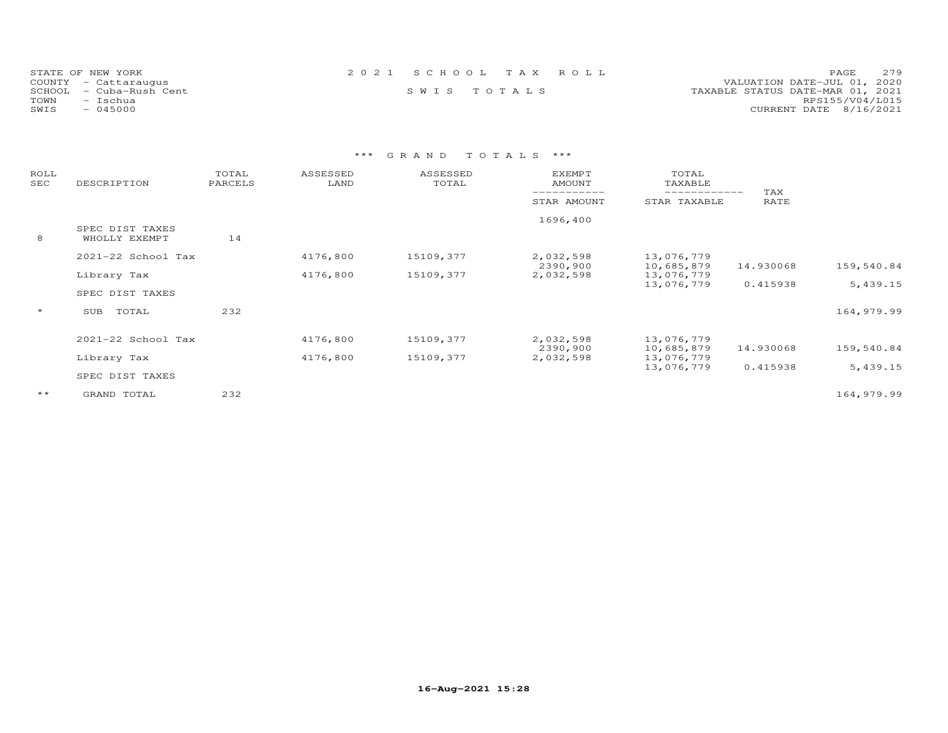| STATE OF NEW YORK          | 2021 SCHOOL TAX ROLL | 279<br>PAGE                      |
|----------------------------|----------------------|----------------------------------|
| COUNTY - Cattaraugus       |                      | VALUATION DATE-JUL 01, 2020      |
| SCHOOL<br>- Cuba-Rush Cent | SWIS TOTALS          | TAXABLE STATUS DATE-MAR 01, 2021 |
| TOWN<br>- Ischua           |                      | RPS155/V04/L015                  |
| SWIS<br>$-045000$          |                      | CURRENT DATE 8/16/2021           |

| ROLL<br>SEC  | DESCRIPTION            | TOTAL<br>PARCELS | ASSESSED<br>LAND | ASSESSED<br>TOTAL | <b>EXEMPT</b><br><b>AMOUNT</b> | TOTAL<br>TAXABLE             |             |            |
|--------------|------------------------|------------------|------------------|-------------------|--------------------------------|------------------------------|-------------|------------|
|              |                        |                  |                  |                   | STAR AMOUNT                    | ____________<br>STAR TAXABLE | TAX<br>RATE |            |
|              | SPEC DIST TAXES        |                  |                  |                   | 1696,400                       |                              |             |            |
| 8            | WHOLLY EXEMPT          | 14               |                  |                   |                                |                              |             |            |
|              | 2021-22 School Tax     |                  | 4176,800         | 15109,377         | 2,032,598<br>2390,900          | 13,076,779<br>10,685,879     | 14.930068   | 159,540.84 |
|              | Library Tax            |                  | 4176,800         | 15109,377         | 2,032,598                      | 13,076,779                   |             |            |
|              | SPEC DIST TAXES        |                  |                  |                   |                                | 13,076,779                   | 0.415938    | 5,439.15   |
| $\star$      | TOTAL<br>SUB           | 232              |                  |                   |                                |                              |             | 164,979.99 |
|              | $2021 - 22$ School Tax |                  | 4176,800         | 15109,377         | 2,032,598                      | 13,076,779                   |             |            |
|              | Library Tax            |                  | 4176,800         | 15109,377         | 2390,900<br>2,032,598          | 10,685,879<br>13,076,779     | 14.930068   | 159,540.84 |
|              | SPEC DIST TAXES        |                  |                  |                   |                                | 13,076,779                   | 0.415938    | 5,439.15   |
| $\star\star$ | GRAND TOTAL            | 232              |                  |                   |                                |                              |             | 164,979.99 |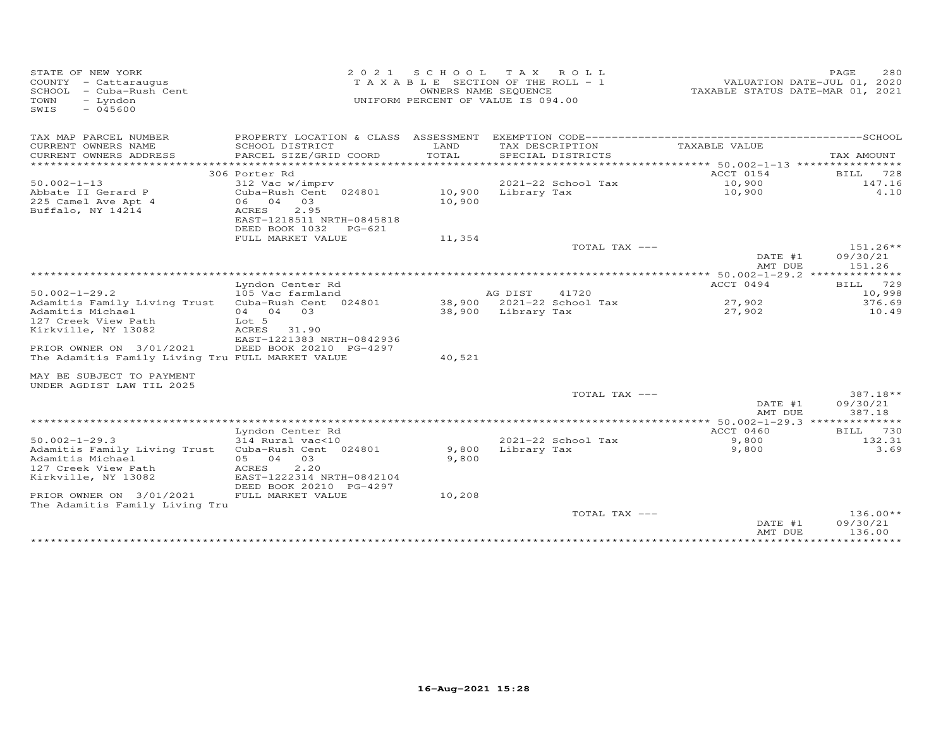| STATE OF NEW YORK<br>COUNTY - Cattaraugus<br>SCHOOL<br>- Cuba-Rush Cent<br>- Lyndon<br>TOWN<br>$-045600$<br>SWIS | 2 0 2 1<br>SCHOOL TAX<br>OWNERS NAME SEQUENCE                                         | ROLL ROLL<br>T A X A B L E SECTION OF THE ROLL - 1<br>UNIFORM PERCENT OF VALUE IS 094.00 | TAXABLE STATUS DATE-MAR 01, 2021 | PAGE<br>280<br>VALUATION DATE-JUL 01, 2020 |                                  |
|------------------------------------------------------------------------------------------------------------------|---------------------------------------------------------------------------------------|------------------------------------------------------------------------------------------|----------------------------------|--------------------------------------------|----------------------------------|
| TAX MAP PARCEL NUMBER                                                                                            | PROPERTY LOCATION & CLASS ASSESSMENT                                                  |                                                                                          |                                  |                                            |                                  |
| CURRENT OWNERS NAME                                                                                              | SCHOOL DISTRICT                                                                       | LAND<br>TOTAL                                                                            | TAX DESCRIPTION                  | TAXABLE VALUE                              |                                  |
| CURRENT OWNERS ADDRESS<br>***********************                                                                | PARCEL SIZE/GRID COORD                                                                |                                                                                          | SPECIAL DISTRICTS                |                                            | TAX AMOUNT                       |
|                                                                                                                  | 306 Porter Rd                                                                         |                                                                                          |                                  | ACCT 0154                                  | 728<br>BILL                      |
| $50.002 - 1 - 13$                                                                                                | 312 Vac w/imprv                                                                       |                                                                                          | 2021-22 School Tax               | 10,900                                     | 147.16                           |
| Abbate II Gerard P                                                                                               | Cuba-Rush Cent 024801                                                                 | 10,900                                                                                   | Library Tax                      | 10,900                                     | 4.10                             |
| 225 Camel Ave Apt 4<br>Buffalo, NY 14214                                                                         | 06 04<br>03<br>ACRES<br>2.95<br>EAST-1218511 NRTH-0845818<br>DEED BOOK 1032<br>PG-621 | 10,900                                                                                   |                                  |                                            |                                  |
|                                                                                                                  | FULL MARKET VALUE                                                                     | 11,354                                                                                   |                                  |                                            |                                  |
|                                                                                                                  |                                                                                       |                                                                                          | TOTAL TAX ---                    |                                            | $151.26**$                       |
|                                                                                                                  |                                                                                       |                                                                                          |                                  | DATE #1<br>AMT DUE                         | 09/30/21<br>151.26               |
|                                                                                                                  |                                                                                       |                                                                                          | ***********************          | ****** 50.002-1-29.2 **************        |                                  |
| $50.002 - 1 - 29.2$                                                                                              | Lyndon Center Rd<br>105 Vac farmland                                                  |                                                                                          | 41720<br>AG DIST                 | ACCT 0494                                  | 729<br>BILL<br>10,998            |
| Adamitis Family Living Trust                                                                                     | Cuba-Rush Cent 024801                                                                 |                                                                                          | 38,900 2021-22 School Tax        | 27,902                                     | 376.69                           |
| Adamitis Michael                                                                                                 | 04 04<br>03                                                                           |                                                                                          | 38,900 Library Tax               | 27,902                                     | 10.49                            |
| 127 Creek View Path                                                                                              | Lot 5                                                                                 |                                                                                          |                                  |                                            |                                  |
| Kirkville, NY 13082                                                                                              | <b>ACRES</b><br>31.90<br>EAST-1221383 NRTH-0842936                                    |                                                                                          |                                  |                                            |                                  |
| PRIOR OWNER ON 3/01/2021<br>The Adamitis Family Living Tru FULL MARKET VALUE                                     | DEED BOOK 20210 PG-4297                                                               | 40,521                                                                                   |                                  |                                            |                                  |
| MAY BE SUBJECT TO PAYMENT<br>UNDER AGDIST LAW TIL 2025                                                           |                                                                                       |                                                                                          |                                  |                                            |                                  |
|                                                                                                                  |                                                                                       |                                                                                          | TOTAL TAX ---                    | DATE #1<br>AMT DUE                         | $387.18**$<br>09/30/21<br>387.18 |
|                                                                                                                  |                                                                                       |                                                                                          |                                  | ** 50.002-1-29.3 **************            |                                  |
|                                                                                                                  | Lyndon Center Rd                                                                      |                                                                                          |                                  | ACCT 0460                                  | 730<br>BILL                      |
| $50.002 - 1 - 29.3$                                                                                              | 314 Rural vac<10                                                                      |                                                                                          | 2021-22 School Tax               | 9,800                                      | 132.31<br>3.69                   |
| Adamitis Family Living Trust<br>Adamitis Michael                                                                 | Cuba-Rush Cent 024801<br>05 04<br>03                                                  | 9,800<br>9,800                                                                           | Library Tax                      | 9,800                                      |                                  |
| 127 Creek View Path<br>Kirkville, NY 13082                                                                       | 2,20<br>ACRES<br>EAST-1222314 NRTH-0842104                                            |                                                                                          |                                  |                                            |                                  |
| PRIOR OWNER ON 3/01/2021<br>The Adamitis Family Living Tru                                                       | DEED BOOK 20210 PG-4297<br>FULL MARKET VALUE                                          | 10,208                                                                                   |                                  |                                            |                                  |
|                                                                                                                  |                                                                                       |                                                                                          | TOTAL TAX ---                    | DATE #1<br>AMT DUE                         | $136.00**$<br>09/30/21<br>136.00 |
|                                                                                                                  |                                                                                       |                                                                                          |                                  |                                            |                                  |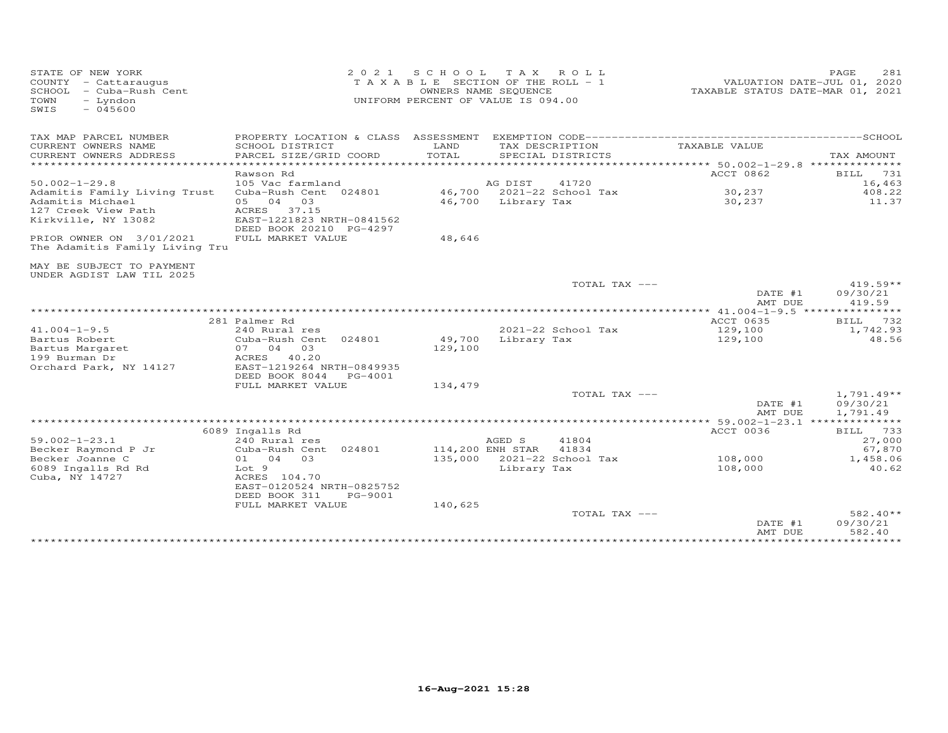| TAX MAP PARCEL NUMBER<br>PROPERTY LOCATION & CLASS ASSESSMENT                                                                                                        |                                            |
|----------------------------------------------------------------------------------------------------------------------------------------------------------------------|--------------------------------------------|
| CURRENT OWNERS NAME<br>SCHOOL DISTRICT<br>LAND<br>TAX DESCRIPTION<br>TAXABLE VALUE<br>TOTAL<br>CURRENT OWNERS ADDRESS<br>PARCEL SIZE/GRID COORD<br>SPECIAL DISTRICTS | TAX AMOUNT                                 |
| ***********************<br>**********************<br>***************<br>**************************** 50.002-1-29.8 **************                                    |                                            |
| ACCT 0862<br>Rawson Rd                                                                                                                                               | BILL<br>731                                |
| $50.002 - 1 - 29.8$<br>41720<br>105 Vac farmland<br>AG DIST                                                                                                          | 16,463                                     |
| 46,700<br>2021-22 School Tax<br>30,237<br>Adamitis Family Living Trust<br>Cuba-Rush Cent 024801                                                                      | 408.22                                     |
| 04<br>30,237<br>Adamitis Michael<br>05<br>03<br>46,700<br>Library Tax<br>127 Creek View Path<br>ACRES 37.15                                                          | 11.37                                      |
| EAST-1221823 NRTH-0841562<br>Kirkville, NY 13082<br>DEED BOOK 20210 PG-4297                                                                                          |                                            |
| PRIOR OWNER ON 3/01/2021<br>FULL MARKET VALUE<br>48,646<br>The Adamitis Family Living Tru                                                                            |                                            |
|                                                                                                                                                                      |                                            |
| MAY BE SUBJECT TO PAYMENT<br>UNDER AGDIST LAW TIL 2025                                                                                                               |                                            |
| TOTAL TAX ---                                                                                                                                                        | $419.59**$                                 |
|                                                                                                                                                                      | 09/30/21<br>DATE #1<br>419.59<br>AMT DUE   |
| ************* 41.004-1-9.5 ****************                                                                                                                          |                                            |
| 281 Palmer Rd<br>ACCT 0635                                                                                                                                           | 732<br>BILL                                |
| $41.004 - 1 - 9.5$<br>240 Rural res<br>2021-22 School Tax<br>129,100                                                                                                 | 1,742.93                                   |
| Bartus Robert<br>Cuba-Rush Cent 024801<br>49,700<br>Library Tax<br>129,100<br>03<br>129,100<br>07 04                                                                 | 48.56                                      |
| Bartus Margaret<br>199 Burman Dr<br>40.20<br>ACRES                                                                                                                   |                                            |
| Orchard Park, NY 14127<br>EAST-1219264 NRTH-0849935                                                                                                                  |                                            |
| DEED BOOK 8044<br>PG-4001                                                                                                                                            |                                            |
| FULL MARKET VALUE<br>134,479                                                                                                                                         |                                            |
| TOTAL TAX ---                                                                                                                                                        | $1,791.49**$                               |
|                                                                                                                                                                      | DATE #1<br>09/30/21<br>1,791.49<br>AMT DUE |
| ************************************<br>$* 59.002 - 1 - 23.1$ ***                                                                                                    | ***********                                |
| 6089 Ingalls Rd<br>ACCT 0036                                                                                                                                         | 733<br>BILL                                |
| $59.002 - 1 - 23.1$<br>AGED S<br>41804<br>240 Rural res                                                                                                              | 27,000                                     |
| 114,200 ENH STAR<br>41834<br>Becker Raymond P Jr<br>Cuba-Rush Cent 024801                                                                                            | 67,870                                     |
| 135,000<br>2021-22 School Tax<br>108,000<br>Becker Joanne C<br>03<br>01 04<br>Lot 9                                                                                  | 1,458.06                                   |
| 6089 Ingalls Rd Rd<br>Library Tax<br>108,000<br>Cuba, NY 14727<br>ACRES 104.70                                                                                       | 40.62                                      |
| EAST-0120524 NRTH-0825752                                                                                                                                            |                                            |
| DEED BOOK 311<br>PG-9001                                                                                                                                             |                                            |
| FULL MARKET VALUE<br>140,625                                                                                                                                         |                                            |
| TOTAL TAX ---                                                                                                                                                        | 582.40**                                   |
|                                                                                                                                                                      | 09/30/21<br>DATE #1<br>AMT DUE<br>582.40   |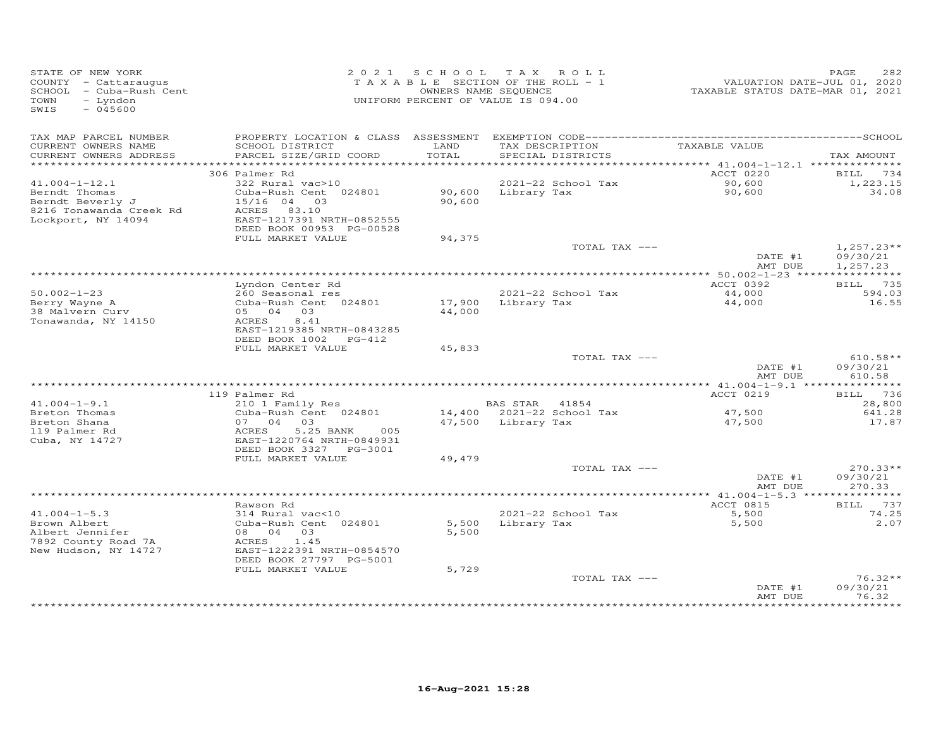| STATE OF NEW YORK<br>COUNTY - Cattaraugus<br>SCHOOL - Cuba-Rush Cent<br>TOWN<br>- Lyndon<br>SWIS<br>$-045600$ |                                                                                  |                | 2021 SCHOOL TAX ROLL<br>T A X A B L E SECTION OF THE ROLL - 1<br>OWNERS NAME SEQUENCE<br>UNIFORM PERCENT OF VALUE IS 094.00 | TAXABLE STATUS DATE-MAR 01, 2021 | PAGE<br>282<br>VALUATION DATE-JUL 01, 2020 |
|---------------------------------------------------------------------------------------------------------------|----------------------------------------------------------------------------------|----------------|-----------------------------------------------------------------------------------------------------------------------------|----------------------------------|--------------------------------------------|
| TAX MAP PARCEL NUMBER                                                                                         |                                                                                  |                |                                                                                                                             |                                  |                                            |
| CURRENT OWNERS NAME<br>CURRENT OWNERS ADDRESS                                                                 | SCHOOL DISTRICT<br>PARCEL SIZE/GRID COORD                                        | LAND<br>TOTAL  | TAX DESCRIPTION<br>SPECIAL DISTRICTS                                                                                        | TAXABLE VALUE                    | TAX AMOUNT                                 |
|                                                                                                               |                                                                                  |                |                                                                                                                             |                                  |                                            |
| $41.004 - 1 - 12.1$                                                                                           | 306 Palmer Rd<br>322 Rural vac>10                                                |                | 2021-22 School Tax                                                                                                          | ACCT 0220<br>90,600              | BILL 734<br>1,223.15                       |
| Berndt Thomas<br>Berndt Beverly J<br>8216 Tonawanda Creek Rd<br>Lockport, NY 14094                            | Cuba-Rush Cent 024801<br>15/16 04 03<br>ACRES 83.10<br>EAST-1217391 NRTH-0852555 | 90,600         | 90,600 Library Tax                                                                                                          | 90,600                           | 34.08                                      |
|                                                                                                               | DEED BOOK 00953 PG-00528                                                         |                |                                                                                                                             |                                  |                                            |
|                                                                                                               | FULL MARKET VALUE                                                                | 94,375         | TOTAL TAX ---                                                                                                               |                                  | $1,257.23**$                               |
|                                                                                                               |                                                                                  |                |                                                                                                                             | DATE #1<br>AMT DUE               | 09/30/21<br>1,257.23                       |
|                                                                                                               |                                                                                  |                |                                                                                                                             |                                  |                                            |
|                                                                                                               | Lyndon Center Rd                                                                 |                |                                                                                                                             | ACCT 0392                        | BILL 735                                   |
| $50.002 - 1 - 23$<br>Berry Wayne A                                                                            | 260 Seasonal res<br>Cuba-Rush Cent 024801                                        |                | $2021 - 22$ School Tax<br>17,900 Library Tax                                                                                | 44,000<br>44,000                 | 594.03<br>16.55                            |
| 38 Malvern Curv<br>Tonawanda, NY 14150                                                                        | 05 04 03<br>ACRES<br>8.41<br>EAST-1219385 NRTH-0843285<br>DEED BOOK 1002 PG-412  | 44,000         |                                                                                                                             |                                  |                                            |
|                                                                                                               | FULL MARKET VALUE                                                                | 45,833         |                                                                                                                             |                                  |                                            |
|                                                                                                               |                                                                                  |                | TOTAL TAX ---                                                                                                               | DATE #1                          | $610.58**$<br>09/30/21                     |
|                                                                                                               |                                                                                  |                |                                                                                                                             | AMT DUE                          | 610.58                                     |
|                                                                                                               | 119 Palmer Rd                                                                    |                |                                                                                                                             | ACCT 0219                        | BILL 736                                   |
| $41.004 - 1 - 9.1$                                                                                            | 210 1 Family Res                                                                 |                | BAS STAR 41854                                                                                                              |                                  | 28,800                                     |
| Breton Thomas                                                                                                 | Cuba-Rush Cent 024801                                                            |                | 14,400 2021-22 School Tax                                                                                                   | 47,500                           | 641.28                                     |
| Breton Shana                                                                                                  | 07 04 03                                                                         |                | 47,500 Library Tax                                                                                                          | 47,500                           | 17.87                                      |
| 119 Palmer Rd<br>Cuba, NY 14727                                                                               | 5.25 BANK<br>ACRES<br>005<br>EAST-1220764 NRTH-0849931                           |                |                                                                                                                             |                                  |                                            |
|                                                                                                               | DEED BOOK 3327 PG-3001<br>FULL MARKET VALUE                                      |                |                                                                                                                             |                                  |                                            |
|                                                                                                               |                                                                                  | 49,479         | TOTAL TAX ---                                                                                                               |                                  | $270.33**$                                 |
|                                                                                                               |                                                                                  |                |                                                                                                                             | DATE #1<br>AMT DUE               | 09/30/21<br>270.33                         |
|                                                                                                               |                                                                                  |                |                                                                                                                             |                                  |                                            |
|                                                                                                               | Rawson Rd                                                                        |                |                                                                                                                             | ACCT 0815                        | BILL 737                                   |
| $41.004 - 1 - 5.3$                                                                                            | 314 Rural vac<10                                                                 |                | 2021-22 School Tax                                                                                                          | 5,500                            | 74.25                                      |
| Brown Albert<br>Albert Jennifer                                                                               | Cuba-Rush Cent 024801<br>08 04 03                                                | 5,500<br>5,500 | Library Tax                                                                                                                 | 5,500                            | 2.07                                       |
| 7892 County Road 7A<br>New Hudson, NY 14727                                                                   | ACRES 1.45<br>EAST-1222391 NRTH-0854570                                          |                |                                                                                                                             |                                  |                                            |
|                                                                                                               | DEED BOOK 27797 PG-5001<br>FULL MARKET VALUE                                     | 5,729          |                                                                                                                             |                                  |                                            |
|                                                                                                               |                                                                                  |                | TOTAL TAX ---                                                                                                               |                                  | $76.32**$                                  |
|                                                                                                               |                                                                                  |                |                                                                                                                             | DATE #1<br>AMT DUE               | 09/30/21<br>76.32                          |
|                                                                                                               |                                                                                  |                |                                                                                                                             |                                  | *********                                  |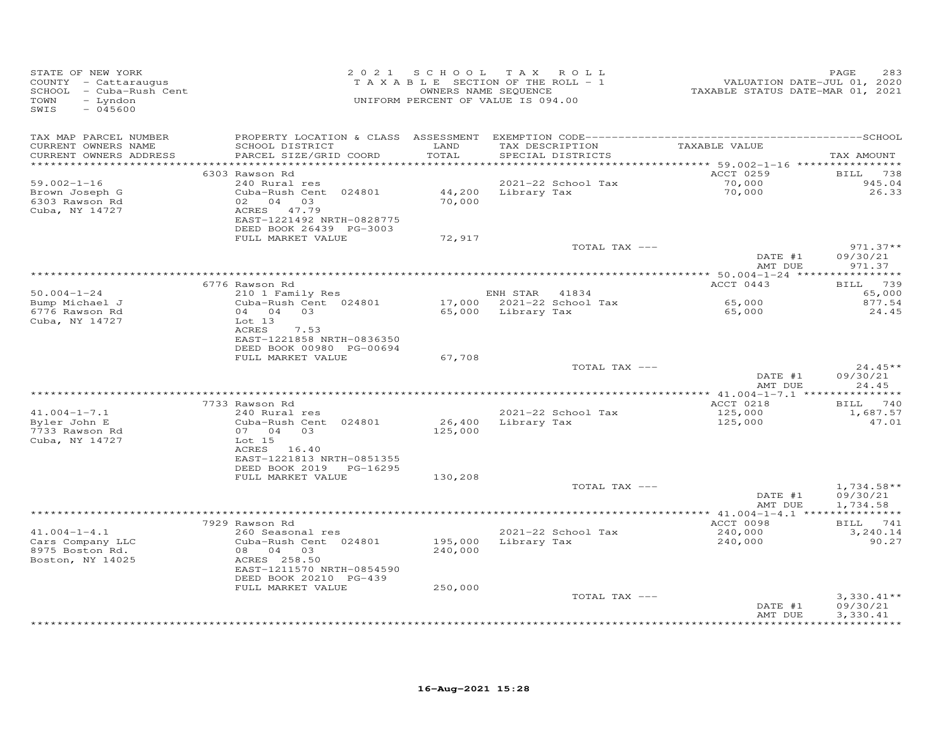| STATE OF NEW YORK<br>COUNTY - Cattaraugus<br>SCHOOL - Cuba-Rush Cent<br>- Lyndon<br>TOWN<br>SWIS<br>$-045600$ |                                                                                                                                                                  | 2021 SCHOOL TAX ROLL<br>TAXABLE SECTION OF THE ROLL - 1<br>OWNERS NAME SEQUENCE<br>UNIFORM PERCENT OF VALUE IS 094.00 |                |                                      | VALUATION DATE-JUL 01, 2020<br>TAXABLE STATUS DATE-MAR 01, 2021                   | 283<br>PAGE                      |
|---------------------------------------------------------------------------------------------------------------|------------------------------------------------------------------------------------------------------------------------------------------------------------------|-----------------------------------------------------------------------------------------------------------------------|----------------|--------------------------------------|-----------------------------------------------------------------------------------|----------------------------------|
| TAX MAP PARCEL NUMBER<br>CURRENT OWNERS NAME<br>CURRENT OWNERS ADDRESS<br>**********************              | SCHOOL DISTRICT<br>PARCEL SIZE/GRID COORD                                                                                                                        | LAND<br>TOTAL<br>**********                                                                                           |                | TAX DESCRIPTION<br>SPECIAL DISTRICTS | TAXABLE VALUE<br>*********************************** 59.002–1–16 **************** | TAX AMOUNT                       |
| $59.002 - 1 - 16$<br>Brown Joseph G<br>6303 Rawson Rd<br>Cuba, NY 14727                                       | 6303 Rawson Rd<br>240 Rural res<br>Cuba-Rush Cent 024801<br>02 04 03<br>ACRES 47.79<br>EAST-1221492 NRTH-0828775<br>DEED BOOK 26439 PG-3003<br>FULL MARKET VALUE | 44,200<br>70,000<br>72,917                                                                                            | Library Tax    | 2021-22 School Tax                   | ACCT 0259<br>70,000<br>70,000                                                     | BILL 738<br>945.04<br>26.33      |
|                                                                                                               |                                                                                                                                                                  |                                                                                                                       |                | TOTAL TAX ---                        | DATE #1<br>AMT DUE                                                                | $971.37**$<br>09/30/21<br>971.37 |
|                                                                                                               | 6776 Rawson Rd                                                                                                                                                   |                                                                                                                       |                |                                      | ACCT 0443                                                                         | BILL 739                         |
| $50.004 - 1 - 24$                                                                                             | 210 1 Family Res                                                                                                                                                 |                                                                                                                       | ENH STAR 41834 |                                      |                                                                                   | 65,000                           |
| Bump Michael J<br>6776 Rawson Rd<br>Cuba, NY 14727                                                            | Cuba-Rush Cent 024801<br>04 04 03<br>Lot 13<br><b>ACRES</b><br>7.53<br>EAST-1221858 NRTH-0836350<br>DEED BOOK 00980 PG-00694                                     | 65,000                                                                                                                | Library Tax    | 17,000 2021-22 School Tax            | 65,000<br>65,000                                                                  | 877.54<br>24.45                  |
|                                                                                                               | FULL MARKET VALUE                                                                                                                                                | 67,708                                                                                                                |                |                                      |                                                                                   |                                  |
|                                                                                                               |                                                                                                                                                                  |                                                                                                                       |                | TOTAL TAX ---                        | DATE #1<br>AMT DUE                                                                | $24.45**$<br>09/30/21<br>24.45   |
|                                                                                                               |                                                                                                                                                                  |                                                                                                                       |                |                                      |                                                                                   |                                  |
| $41.004 - 1 - 7.1$                                                                                            | 7733 Rawson Rd<br>240 Rural res                                                                                                                                  |                                                                                                                       |                | 2021-22 School Tax                   | ACCT 0218<br>125,000                                                              | BILL 740<br>1,687.57             |
| Byler John E<br>7733 Rawson Rd<br>Cuba, NY 14727                                                              | Cuba-Rush Cent 024801<br>07 04 03<br>Lot 15<br>ACRES 16.40<br>EAST-1221813 NRTH-0851355<br>DEED BOOK 2019<br>PG-16295<br>FULL MARKET VALUE                       | 26,400<br>125,000<br>130,208                                                                                          | Library Tax    |                                      | 125,000                                                                           | 47.01                            |
|                                                                                                               |                                                                                                                                                                  |                                                                                                                       |                | TOTAL TAX ---                        |                                                                                   | $1,734.58**$                     |
|                                                                                                               |                                                                                                                                                                  |                                                                                                                       |                |                                      | DATE #1<br>AMT DUE                                                                | 09/30/21<br>1,734.58             |
|                                                                                                               |                                                                                                                                                                  |                                                                                                                       |                |                                      |                                                                                   |                                  |
|                                                                                                               | 7929 Rawson Rd                                                                                                                                                   |                                                                                                                       |                |                                      | ACCT 0098                                                                         | BILL 741                         |
| $41.004 - 1 - 4.1$                                                                                            | 260 Seasonal res                                                                                                                                                 |                                                                                                                       |                | 2021-22 School Tax                   | 240,000                                                                           | 3,240.14                         |
| Cars Company LLC<br>8975 Boston Rd.<br>Boston, NY 14025                                                       | Cuba-Rush Cent 024801<br>08 04 03<br>ACRES 258.50<br>EAST-1211570 NRTH-0854590<br>DEED BOOK 20210 PG-439<br>FULL MARKET VALUE                                    | 195,000<br>240,000<br>250,000                                                                                         | Library Tax    |                                      | 240,000                                                                           | 90.27                            |
|                                                                                                               |                                                                                                                                                                  |                                                                                                                       |                | TOTAL TAX ---                        | DATE #1                                                                           | $3,330.41**$<br>09/30/21         |
|                                                                                                               |                                                                                                                                                                  |                                                                                                                       |                |                                      | AMT DUE                                                                           | 3,330.41                         |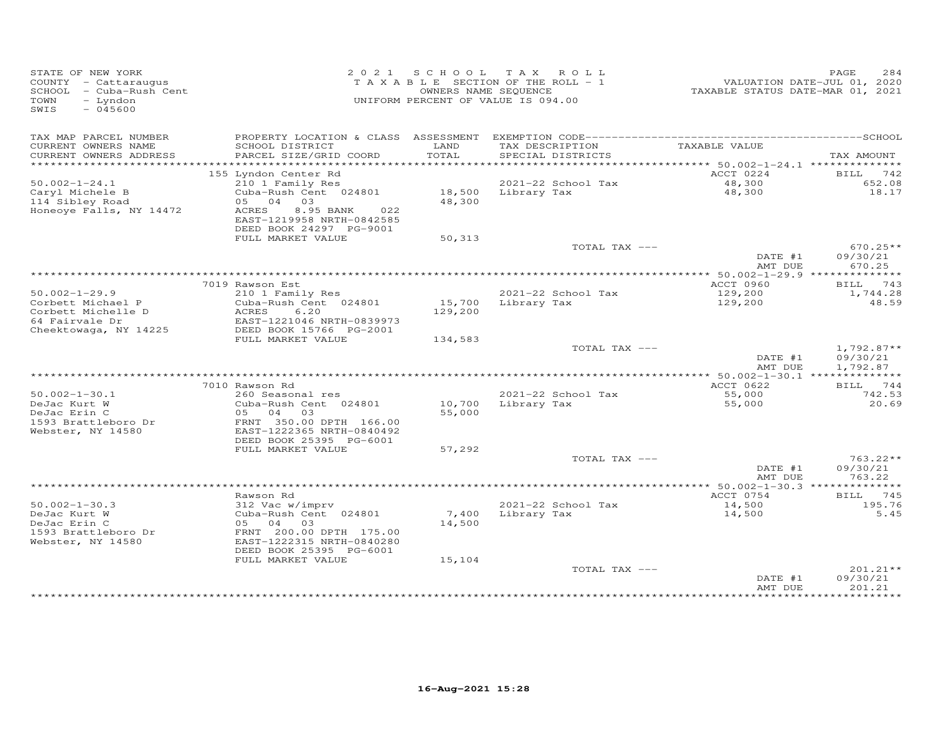| STATE OF NEW YORK<br>COUNTY - Cattaraugus<br>SCHOOL - Cuba-Rush Cent<br>TOWN<br>- Lyndon<br>SWIS<br>$-045600$ |                                                                                   | OWNERS NAME SEQUENCE | 2021 SCHOOL TAX ROLL<br>TAXABLE SECTION OF THE ROLL - 1<br>UNIFORM PERCENT OF VALUE IS 094.00 | TAXABLE STATUS DATE-MAR 01, 2021 | PAGE<br>284<br>VALUATION DATE-JUL 01, 2020 |
|---------------------------------------------------------------------------------------------------------------|-----------------------------------------------------------------------------------|----------------------|-----------------------------------------------------------------------------------------------|----------------------------------|--------------------------------------------|
| TAX MAP PARCEL NUMBER                                                                                         |                                                                                   |                      |                                                                                               |                                  |                                            |
| CURRENT OWNERS NAME<br>CURRENT OWNERS ADDRESS                                                                 | SCHOOL DISTRICT<br>PARCEL SIZE/GRID COORD                                         | LAND<br>TOTAL        | TAX DESCRIPTION<br>SPECIAL DISTRICTS                                                          | TAXABLE VALUE                    | TAX AMOUNT                                 |
|                                                                                                               |                                                                                   |                      |                                                                                               |                                  |                                            |
| $50.002 - 1 - 24.1$                                                                                           | 155 Lyndon Center Rd<br>210 1 Family Res                                          |                      | 2021-22 School Tax                                                                            | ACCT 0224<br>48,300              | <b>BILL</b> 742<br>652.08                  |
| Caryl Michele B                                                                                               | Cuba-Rush Cent 024801                                                             |                      | 18,500 Library Tax                                                                            | 48,300                           | 18.17                                      |
| 114 Sibley Road                                                                                               | 04<br>03<br>05                                                                    | 48,300               |                                                                                               |                                  |                                            |
| Honeoye Falls, NY 14472                                                                                       | ACRES<br>8.95 BANK<br>022<br>EAST-1219958 NRTH-0842585<br>DEED BOOK 24297 PG-9001 |                      |                                                                                               |                                  |                                            |
|                                                                                                               | FULL MARKET VALUE                                                                 | 50,313               |                                                                                               |                                  |                                            |
|                                                                                                               |                                                                                   |                      | TOTAL TAX ---                                                                                 |                                  | $670.25**$                                 |
|                                                                                                               |                                                                                   |                      |                                                                                               | DATE #1<br>AMT DUE               | 09/30/21<br>670.25                         |
|                                                                                                               |                                                                                   |                      |                                                                                               |                                  |                                            |
|                                                                                                               | 7019 Rawson Est                                                                   |                      |                                                                                               | ACCT 0960                        | 743<br>BILL                                |
| $50.002 - 1 - 29.9$<br>Corbett Michael P                                                                      | 210 1 Family Res<br>Cuba-Rush Cent 024801                                         |                      | 2021-22 School Tax<br>Library Tax                                                             | 129,200                          | 1,744.28<br>48.59                          |
| Corbett Michelle D                                                                                            | 6.20<br>ACRES                                                                     | 15,700<br>129,200    |                                                                                               | 129,200                          |                                            |
| 64 Fairvale Dr                                                                                                | EAST-1221046 NRTH-0839973                                                         |                      |                                                                                               |                                  |                                            |
| Cheektowaga, NY 14225                                                                                         | DEED BOOK 15766 PG-2001                                                           |                      |                                                                                               |                                  |                                            |
|                                                                                                               | FULL MARKET VALUE                                                                 | 134,583              | TOTAL TAX ---                                                                                 |                                  | $1,792.87**$                               |
|                                                                                                               |                                                                                   |                      |                                                                                               | DATE #1                          | 09/30/21                                   |
|                                                                                                               |                                                                                   |                      |                                                                                               | AMT DUE                          | 1,792.87                                   |
|                                                                                                               | 7010 Rawson Rd                                                                    |                      |                                                                                               | ACCT 0622                        | BILL 744                                   |
| $50.002 - 1 - 30.1$                                                                                           | 260 Seasonal res                                                                  |                      | 2021-22 School Tax                                                                            | 55,000                           | 742.53                                     |
| DeJac Kurt W                                                                                                  | Cuba-Rush Cent 024801                                                             | 10,700               | Library Tax                                                                                   | 55,000                           | 20.69                                      |
| DeJac Erin C<br>1593 Brattleboro Dr                                                                           | 05 04 03<br>FRNT 350.00 DPTH 166.00                                               | 55,000               |                                                                                               |                                  |                                            |
| Webster, NY 14580                                                                                             | EAST-1222365 NRTH-0840492                                                         |                      |                                                                                               |                                  |                                            |
|                                                                                                               | DEED BOOK 25395 PG-6001                                                           |                      |                                                                                               |                                  |                                            |
|                                                                                                               | FULL MARKET VALUE                                                                 | 57,292               |                                                                                               |                                  | $763.22**$                                 |
|                                                                                                               |                                                                                   |                      | TOTAL TAX ---                                                                                 | DATE #1                          | 09/30/21                                   |
|                                                                                                               |                                                                                   |                      |                                                                                               | AMT DUE                          | 763.22                                     |
|                                                                                                               |                                                                                   |                      |                                                                                               |                                  |                                            |
| $50.002 - 1 - 30.3$                                                                                           | Rawson Rd<br>312 Vac w/imprv                                                      |                      | 2021-22 School Tax                                                                            | ACCT 0754<br>14,500              | BILL 745<br>195.76                         |
| DeJac Kurt W                                                                                                  | Cuba-Rush Cent 024801                                                             |                      | 7,400 Library Tax                                                                             | 14,500                           | 5.45                                       |
| DeJac Erin C                                                                                                  | 05 04 03                                                                          | 14,500               |                                                                                               |                                  |                                            |
| 1593 Brattleboro Dr                                                                                           | FRNT 200.00 DPTH 175.00<br>EAST-1222315 NRTH-0840280                              |                      |                                                                                               |                                  |                                            |
| Webster, NY 14580                                                                                             | DEED BOOK 25395 PG-6001                                                           |                      |                                                                                               |                                  |                                            |
|                                                                                                               | FULL MARKET VALUE                                                                 | 15,104               |                                                                                               |                                  |                                            |
|                                                                                                               |                                                                                   |                      | TOTAL TAX ---                                                                                 |                                  | 201.21**                                   |
|                                                                                                               |                                                                                   |                      |                                                                                               | DATE #1<br>AMT DUE               | 09/30/21<br>201.21                         |
|                                                                                                               |                                                                                   |                      |                                                                                               |                                  |                                            |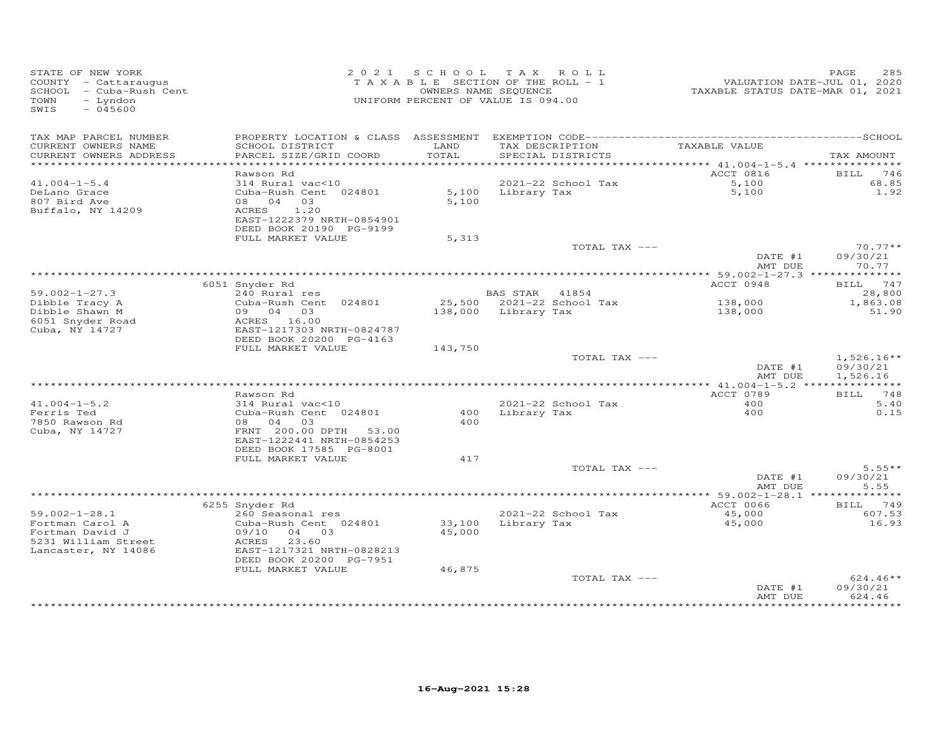| STATE OF NEW YORK<br>COUNTY - Cattaraugus<br>SCHOOL - Cuba-Rush Cent<br>TOWN<br>- Lyndon<br>$-045600$<br>SWIS |                                                                                       |               | 2021 SCHOOL TAX ROLL<br>TAXABLE SECTION OF THE ROLL - 1<br>OWNERS NAME SEQUENCE<br>UNIFORM PERCENT OF VALUE IS 094.00 |                                           | 285<br>PAGE                          |
|---------------------------------------------------------------------------------------------------------------|---------------------------------------------------------------------------------------|---------------|-----------------------------------------------------------------------------------------------------------------------|-------------------------------------------|--------------------------------------|
| TAX MAP PARCEL NUMBER<br>CURRENT OWNERS NAME<br>CURRENT OWNERS ADDRESS                                        | SCHOOL DISTRICT<br>PARCEL SIZE/GRID COORD                                             | LAND<br>TOTAL | TAX DESCRIPTION<br>SPECIAL DISTRICTS                                                                                  | TAXABLE VALUE                             | TAX AMOUNT                           |
|                                                                                                               |                                                                                       |               |                                                                                                                       | *********** 41.004-1-5.4 **************** |                                      |
| $41.004 - 1 - 5.4$                                                                                            | Rawson Rd<br>314 Rural vac<10                                                         |               | 2021-22 School Tax                                                                                                    | ACCT 0816                                 | BILL 746<br>68.85                    |
| DeLano Grace                                                                                                  | Cuba-Rush Cent 024801                                                                 |               | 5,100 Library Tax                                                                                                     | $5,100$<br>5.100<br>5,100                 | 1.92                                 |
| 807 Bird Ave<br>Buffalo, NY 14209                                                                             | 08 04 03<br>ACRES<br>1.20<br>EAST-1222379 NRTH-0854901<br>DEED BOOK 20190 PG-9199     | 5,100         |                                                                                                                       |                                           |                                      |
|                                                                                                               | FULL MARKET VALUE                                                                     | 5,313         |                                                                                                                       |                                           |                                      |
|                                                                                                               |                                                                                       |               | TOTAL TAX ---                                                                                                         |                                           | $70.77**$                            |
|                                                                                                               |                                                                                       |               |                                                                                                                       | DATE #1<br>AMT DUE                        | 09/30/21<br>70.77                    |
|                                                                                                               | 6051 Snyder Rd                                                                        |               |                                                                                                                       | ACCT 0948                                 | BILL 747                             |
| $59.002 - 1 - 27.3$                                                                                           | 240 Rural res                                                                         |               | BAS STAR 41854                                                                                                        |                                           | 28,800                               |
| Dibble Tracy A                                                                                                | Cuba-Rush Cent 024801                                                                 |               | 25,500 2021-22 School Tax                                                                                             | 138,000                                   | 1,863.08                             |
| Dibble Shawn M<br>6051 Snyder Road<br>Cuba, NY 14727                                                          | 09 04 03<br>ACRES 16.00<br>EAST-1217303 NRTH-0824787<br>DEED BOOK 20200 PG-4163       |               | 138,000 Library Tax                                                                                                   | 138,000                                   | 51.90                                |
|                                                                                                               | FULL MARKET VALUE                                                                     | 143,750       |                                                                                                                       |                                           |                                      |
|                                                                                                               |                                                                                       |               | TOTAL TAX ---                                                                                                         | DATE #1<br>AMT DUE                        | $1,526.16**$<br>09/30/21<br>1,526.16 |
|                                                                                                               |                                                                                       |               |                                                                                                                       |                                           |                                      |
|                                                                                                               | Rawson Rd                                                                             |               |                                                                                                                       | ACCT 0789                                 | BILL 748                             |
| $41.004 - 1 - 5.2$<br>Ferris Ted                                                                              | 314 Rural vac<10<br>Cuba-Rush Cent 024801                                             | 400           | 2021-22 School Tax<br>Library Tax                                                                                     | 400<br>400                                | 5.40<br>0.15                         |
| 7850 Rawson Rd<br>Cuba, NY 14727                                                                              | 08 04 03<br>FRNT 200.00 DPTH 53.00<br>EAST-1222441 NRTH-0854253                       | 400           |                                                                                                                       |                                           |                                      |
|                                                                                                               | DEED BOOK 17585 PG-8001                                                               |               |                                                                                                                       |                                           |                                      |
|                                                                                                               | FULL MARKET VALUE                                                                     | 417           | TOTAL TAX ---                                                                                                         |                                           | $5.55**$                             |
|                                                                                                               |                                                                                       |               |                                                                                                                       | DATE #1<br>AMT DUE                        | 09/30/21<br>5.55                     |
|                                                                                                               |                                                                                       |               |                                                                                                                       |                                           |                                      |
|                                                                                                               | 6255 Snyder Rd                                                                        |               |                                                                                                                       | ACCT 0066                                 | BILL 749                             |
| $59.002 - 1 - 28.1$<br>Fortman Carol A                                                                        | 260 Seasonal res<br>Cuba-Rush Cent 024801                                             |               | 2021-22 School Tax<br>33,100 Library Tax                                                                              | 45,000<br>45,000                          | 607.53<br>16.93                      |
| Fortman David J<br>5231 William Street<br>Lancaster, NY 14086                                                 | 09/10<br>04 03<br>ACRES 23.60<br>EAST-1217321 NRTH-0828213<br>DEED BOOK 20200 PG-7951 | 45,000        |                                                                                                                       |                                           |                                      |
|                                                                                                               | FULL MARKET VALUE                                                                     | 46,875        |                                                                                                                       |                                           |                                      |
|                                                                                                               |                                                                                       |               | TOTAL TAX ---                                                                                                         | DATE #1<br>AMT DUE                        | $624.46**$<br>09/30/21<br>624.46     |
|                                                                                                               |                                                                                       |               |                                                                                                                       |                                           |                                      |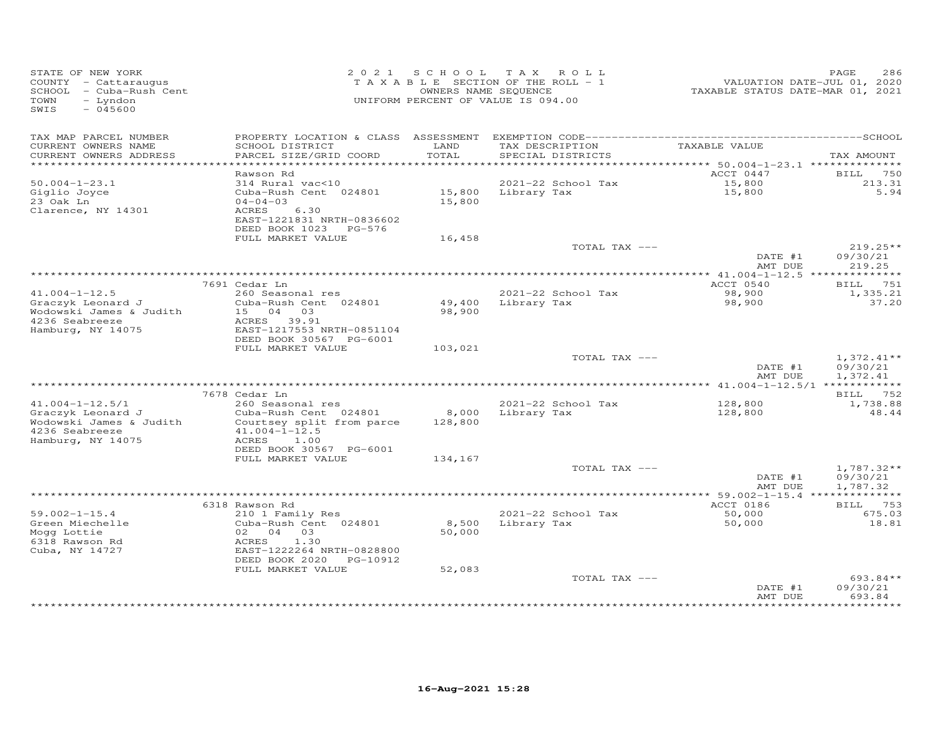| STATE OF NEW YORK<br>COUNTY - Cattaraugus<br>SCHOOL - Cuba-Rush Cent<br>TOWN<br>- Lyndon<br>$-045600$<br>SWIS |                                                                                                          |               | 2021 SCHOOL TAX ROLL<br>TAXABLE SECTION OF THE ROLL - 1<br>OWNERS NAME SEQUENCE<br>UNIFORM PERCENT OF VALUE IS 094.00 | VALUATION DATE-JUL 01, 2020<br>TAXABLE STATUS DATE-MAR 01, 2021 | 286<br>PAGE                          |
|---------------------------------------------------------------------------------------------------------------|----------------------------------------------------------------------------------------------------------|---------------|-----------------------------------------------------------------------------------------------------------------------|-----------------------------------------------------------------|--------------------------------------|
| TAX MAP PARCEL NUMBER<br>CURRENT OWNERS NAME<br>CURRENT OWNERS ADDRESS                                        | SCHOOL DISTRICT<br>PARCEL SIZE/GRID COORD                                                                | LAND<br>TOTAL | TAX DESCRIPTION<br>SPECIAL DISTRICTS                                                                                  | TAXABLE VALUE                                                   | TAX AMOUNT                           |
|                                                                                                               |                                                                                                          |               |                                                                                                                       | ********** 50.004-1-23.1 **************                         |                                      |
|                                                                                                               | Rawson Rd                                                                                                |               |                                                                                                                       | ACCT 0447                                                       | <b>BILL</b> 750                      |
| $50.004 - 1 - 23.1$<br>Giglio Joyce                                                                           | 314 Rural vac<10<br>Cuba-Rush Cent 024801                                                                |               | 2021-22 School Tax<br>15,800 Library Tax                                                                              | 15,800<br>15,800                                                | 213.31<br>5.94                       |
| 23 Oak Ln                                                                                                     | $04 - 04 - 03$                                                                                           | 15,800        |                                                                                                                       |                                                                 |                                      |
| Clarence, NY 14301                                                                                            | ACRES<br>6.30<br>EAST-1221831 NRTH-0836602<br>DEED BOOK 1023 PG-576                                      |               |                                                                                                                       |                                                                 |                                      |
|                                                                                                               | FULL MARKET VALUE                                                                                        | 16,458        |                                                                                                                       |                                                                 |                                      |
|                                                                                                               |                                                                                                          |               | TOTAL TAX ---                                                                                                         | DATE #1<br>AMT DUE                                              | $219.25**$<br>09/30/21<br>219.25     |
|                                                                                                               |                                                                                                          |               |                                                                                                                       |                                                                 |                                      |
|                                                                                                               | 7691 Cedar Ln                                                                                            |               |                                                                                                                       | ACCT 0540                                                       | BILL 751                             |
| $41.004 - 1 - 12.5$                                                                                           | 260 Seasonal res                                                                                         |               | 2021-22 School Tax                                                                                                    | 98,900                                                          | 1,335.21                             |
| Graczyk Leonard J<br>Wodowski James & Judith<br>4236 Seabreeze<br>Hamburg, NY 14075                           | Cuba-Rush Cent 024801<br>15 04 03<br>ACRES 39.91<br>EAST-1217553 NRTH-0851104<br>DEED BOOK 30567 PG-6001 | 98,900        | 49,400 Library Tax                                                                                                    | 98,900                                                          | 37.20                                |
|                                                                                                               | FULL MARKET VALUE                                                                                        | 103,021       |                                                                                                                       |                                                                 |                                      |
|                                                                                                               |                                                                                                          |               | TOTAL TAX ---                                                                                                         | DATE #1<br>AMT DUE                                              | $1,372.41**$<br>09/30/21<br>1,372.41 |
|                                                                                                               |                                                                                                          |               |                                                                                                                       |                                                                 |                                      |
|                                                                                                               | 7678 Cedar Ln                                                                                            |               |                                                                                                                       |                                                                 | BILL 752                             |
| $41.004 - 1 - 12.5/1$<br>Graczyk Leonard J                                                                    | 260 Seasonal res<br>Cuba-Rush Cent 024801                                                                | 8,000         | 2021-22 School Tax<br>Library Tax                                                                                     | 128,800<br>128,800                                              | 1,738.88<br>48.44                    |
| Wodowski James & Judith<br>4236 Seabreeze<br>Hamburg, NY 14075                                                | Courtsey split from parce<br>$41.004 - 1 - 12.5$<br>ACRES<br>1.00                                        | 128,800       |                                                                                                                       |                                                                 |                                      |
|                                                                                                               | DEED BOOK 30567 PG-6001                                                                                  |               |                                                                                                                       |                                                                 |                                      |
|                                                                                                               | FULL MARKET VALUE                                                                                        | 134,167       |                                                                                                                       |                                                                 |                                      |
|                                                                                                               |                                                                                                          |               | TOTAL TAX ---                                                                                                         |                                                                 | $1,787.32**$                         |
|                                                                                                               |                                                                                                          |               |                                                                                                                       | DATE #1<br>AMT DUE                                              | 09/30/21<br>1,787.32                 |
|                                                                                                               |                                                                                                          |               |                                                                                                                       |                                                                 |                                      |
|                                                                                                               | 6318 Rawson Rd                                                                                           |               |                                                                                                                       | ACCT 0186                                                       | <b>BILL</b> 753                      |
| $59.002 - 1 - 15.4$                                                                                           | 210 1 Family Res                                                                                         |               | 2021-22 School Tax                                                                                                    | 50,000                                                          | 675.03                               |
| Green Miechelle                                                                                               | Cuba-Rush Cent 024801<br>02 04 03                                                                        | 50,000        | 8,500 Library Tax                                                                                                     | 50,000                                                          | 18.81                                |
| Mogg Lottie<br>6318 Rawson Rd                                                                                 | ACRES<br>1.30                                                                                            |               |                                                                                                                       |                                                                 |                                      |
| Cuba, NY 14727                                                                                                | EAST-1222264 NRTH-0828800<br>DEED BOOK 2020 PG-10912                                                     |               |                                                                                                                       |                                                                 |                                      |
|                                                                                                               | FULL MARKET VALUE                                                                                        | 52,083        |                                                                                                                       |                                                                 |                                      |
|                                                                                                               |                                                                                                          |               | TOTAL TAX ---                                                                                                         | DATE #1<br>AMT DUE                                              | 693.84**<br>09/30/21<br>693.84       |
|                                                                                                               |                                                                                                          |               |                                                                                                                       |                                                                 | ***********                          |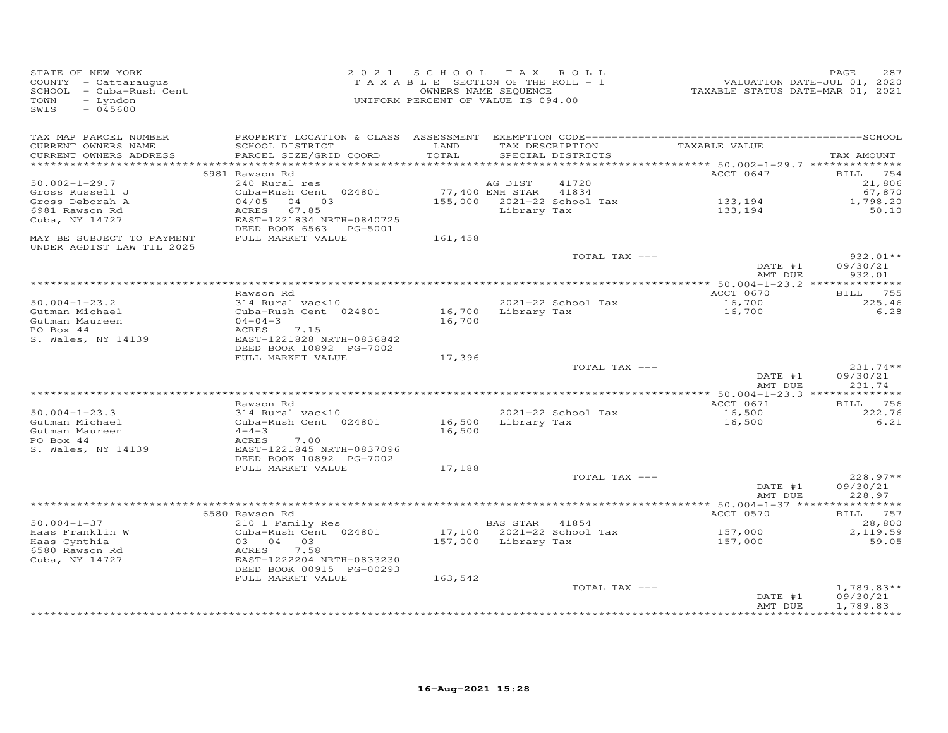| STATE OF NEW YORK<br>COUNTY - Cattaraugus<br>SCHOOL - Cuba-Rush Cent<br>- Lyndon<br>TOWN<br>$-045600$<br>SWIS |                                                       | 2021 SCHOOL TAX ROLL<br>T A X A B L E SECTION OF THE ROLL - 1<br>UNIFORM PERCENT OF VALUE IS 094.00 | OWNERS NAME SEQUENCE |                            | VALUATION DATE-JUL 01, 2020<br>TAXABLE STATUS DATE-MAR 01, 2021 | 287<br>PAGE               |
|---------------------------------------------------------------------------------------------------------------|-------------------------------------------------------|-----------------------------------------------------------------------------------------------------|----------------------|----------------------------|-----------------------------------------------------------------|---------------------------|
| TAX MAP PARCEL NUMBER<br>CURRENT OWNERS NAME                                                                  | SCHOOL DISTRICT                                       | LAND                                                                                                |                      | TAX DESCRIPTION            | TAXABLE VALUE                                                   |                           |
| CURRENT OWNERS ADDRESS                                                                                        | PARCEL SIZE/GRID COORD                                | TOTAL                                                                                               |                      | SPECIAL DISTRICTS          |                                                                 | TAX AMOUNT                |
|                                                                                                               | 6981 Rawson Rd                                        |                                                                                                     |                      |                            | ACCT 0647                                                       | BILL 754                  |
| $50.002 - 1 - 29.7$                                                                                           | 240 Rural res                                         |                                                                                                     | AG DIST              | 41720                      |                                                                 | 21,806                    |
| Gross Russell J                                                                                               | Cuba-Rush Cent 024801                                 | 77,400 ENH STAR 41834                                                                               |                      |                            |                                                                 | 67,870                    |
| Gross Deborah A                                                                                               | 04/05<br>04 03                                        |                                                                                                     |                      | 155,000 2021-22 School Tax | 133,194                                                         | 1,798.20                  |
| 6981 Rawson Rd                                                                                                | 67.85<br><b>ACRES</b>                                 |                                                                                                     | Library Tax          |                            | 133,194                                                         | 50.10                     |
| Cuba, NY 14727                                                                                                | EAST-1221834 NRTH-0840725<br>DEED BOOK 6563 PG-5001   |                                                                                                     |                      |                            |                                                                 |                           |
| MAY BE SUBJECT TO PAYMENT<br>UNDER AGDIST LAW TIL 2025                                                        | FULL MARKET VALUE                                     | 161,458                                                                                             |                      |                            |                                                                 |                           |
|                                                                                                               |                                                       |                                                                                                     |                      | TOTAL TAX ---              |                                                                 | 932.01**                  |
|                                                                                                               |                                                       |                                                                                                     |                      |                            | DATE #1<br>AMT DUE                                              | 09/30/21<br>932.01        |
|                                                                                                               |                                                       |                                                                                                     |                      |                            |                                                                 |                           |
| $50.004 - 1 - 23.2$                                                                                           | Rawson Rd<br>314 Rural vac<10                         |                                                                                                     |                      | 2021-22 School Tax         | ACCT 0670<br>16,700                                             | <b>BILL</b> 755<br>225.46 |
| Gutman Michael                                                                                                | Cuba-Rush Cent 024801                                 |                                                                                                     |                      | 16,700 Library Tax         | 16,700                                                          | 6.28                      |
| Gutman Maureen                                                                                                | $04 - 04 - 3$                                         | 16,700                                                                                              |                      |                            |                                                                 |                           |
| PO Box 44                                                                                                     | ACRES 7.15                                            |                                                                                                     |                      |                            |                                                                 |                           |
| S. Wales, NY 14139                                                                                            | EAST-1221828 NRTH-0836842                             |                                                                                                     |                      |                            |                                                                 |                           |
|                                                                                                               | DEED BOOK 10892 PG-7002<br>FULL MARKET VALUE          | 17,396                                                                                              |                      |                            |                                                                 |                           |
|                                                                                                               |                                                       |                                                                                                     |                      | TOTAL TAX ---              |                                                                 | $231.74**$                |
|                                                                                                               |                                                       |                                                                                                     |                      |                            | DATE #1<br>AMT DUE                                              | 09/30/21<br>231.74        |
|                                                                                                               |                                                       |                                                                                                     |                      |                            | *************** 50.004-1-23.3 **************                    |                           |
|                                                                                                               | Rawson Rd                                             |                                                                                                     |                      |                            | ACCT 0671                                                       | BILL 756                  |
| $50.004 - 1 - 23.3$<br>Gutman Michael                                                                         | 314 Rural vac<10<br>Cuba-Rush Cent 024801             |                                                                                                     | 16,500 Library Tax   | 2021-22 School Tax         | 16,500<br>16,500                                                | 222.76<br>6.21            |
| Gutman Maureen                                                                                                | $4 - 4 - 3$                                           | 16,500                                                                                              |                      |                            |                                                                 |                           |
| PO Box 44                                                                                                     | ACRES<br>7.00                                         |                                                                                                     |                      |                            |                                                                 |                           |
| S. Wales, NY 14139                                                                                            | EAST-1221845 NRTH-0837096                             |                                                                                                     |                      |                            |                                                                 |                           |
|                                                                                                               | DEED BOOK 10892 PG-7002                               |                                                                                                     |                      |                            |                                                                 |                           |
|                                                                                                               | FULL MARKET VALUE                                     | 17,188                                                                                              |                      | TOTAL TAX ---              |                                                                 | $228.97**$                |
|                                                                                                               |                                                       |                                                                                                     |                      |                            | DATE #1                                                         | 09/30/21                  |
|                                                                                                               |                                                       |                                                                                                     |                      |                            | AMT DUE                                                         | 228.97                    |
|                                                                                                               |                                                       |                                                                                                     |                      |                            |                                                                 |                           |
|                                                                                                               | 6580 Rawson Rd                                        |                                                                                                     |                      |                            | ACCT 0570                                                       | BILL 757                  |
| $50.004 - 1 - 37$<br>Haas Franklin W                                                                          | 210 1 Family Res<br>Cuba-Rush Cent 024801             |                                                                                                     | BAS STAR 41854       | 17,100 2021-22 School Tax  | 157,000                                                         | 28,800<br>2,119.59        |
| Haas Cynthia                                                                                                  | 03 04 03                                              |                                                                                                     | 157,000 Library Tax  |                            | 157,000                                                         | 59.05                     |
| 6580 Rawson Rd                                                                                                | 7.58<br>ACRES                                         |                                                                                                     |                      |                            |                                                                 |                           |
| Cuba, NY 14727                                                                                                | EAST-1222204 NRTH-0833230<br>DEED BOOK 00915 PG-00293 |                                                                                                     |                      |                            |                                                                 |                           |
|                                                                                                               | FULL MARKET VALUE                                     | 163,542                                                                                             |                      |                            |                                                                 |                           |
|                                                                                                               |                                                       |                                                                                                     |                      | TOTAL TAX ---              |                                                                 | $1,789.83**$              |
|                                                                                                               |                                                       |                                                                                                     |                      |                            | DATE #1<br>AMT DUE                                              | 09/30/21<br>1,789.83      |
|                                                                                                               |                                                       |                                                                                                     |                      |                            |                                                                 |                           |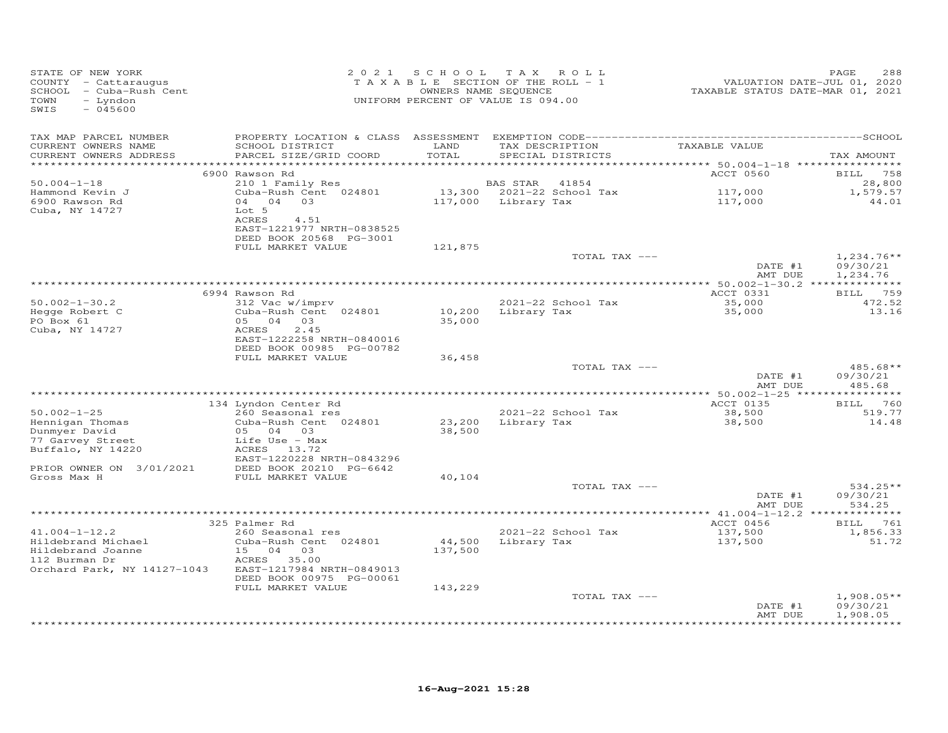| STATE OF NEW YORK<br>COUNTY - Cattaraugus<br>SCHOOL - Cuba-Rush Cent<br>- Lyndon<br>TOWN<br>$-045600$<br>SWIS  | 2 0 2 1                                                                                                                                        | S C H O O L<br>TAXABLE SECTION OF THE ROLL - 1<br>OWNERS NAME SEQUENCE<br>UNIFORM PERCENT OF VALUE IS 094.00 | T A X                           | ROLL                                 | VALUATION DATE-JUL 01, 2020<br>TAXABLE STATUS DATE-MAR 01, 2021 | PAGE<br>288                               |
|----------------------------------------------------------------------------------------------------------------|------------------------------------------------------------------------------------------------------------------------------------------------|--------------------------------------------------------------------------------------------------------------|---------------------------------|--------------------------------------|-----------------------------------------------------------------|-------------------------------------------|
| TAX MAP PARCEL NUMBER<br>CURRENT OWNERS NAME<br>CURRENT OWNERS ADDRESS<br>***********************              | SCHOOL DISTRICT<br>PARCEL SIZE/GRID COORD                                                                                                      | LAND<br>TOTAL                                                                                                |                                 | TAX DESCRIPTION<br>SPECIAL DISTRICTS | TAXABLE VALUE                                                   | TAX AMOUNT                                |
|                                                                                                                | 6900 Rawson Rd                                                                                                                                 |                                                                                                              |                                 |                                      | ACCT 0560                                                       | BILL 758                                  |
| $50.004 - 1 - 18$<br>Hammond Kevin J<br>6900 Rawson Rd<br>Cuba, NY 14727                                       | 210 1 Family Res<br>Cuba-Rush Cent 024801<br>04 04 03<br>Lot 5<br>ACRES<br>4.51<br>EAST-1221977 NRTH-0838525                                   |                                                                                                              | BAS STAR<br>117,000 Library Tax | 41854<br>13,300 2021-22 School Tax   | 117,000<br>117,000                                              | 28,800<br>1,579.57<br>44.01               |
|                                                                                                                | DEED BOOK 20568 PG-3001<br>FULL MARKET VALUE                                                                                                   | 121,875                                                                                                      |                                 |                                      |                                                                 |                                           |
|                                                                                                                |                                                                                                                                                |                                                                                                              |                                 | TOTAL TAX ---                        | DATE #1<br>AMT DUE                                              | $1,234.76**$<br>09/30/21                  |
|                                                                                                                |                                                                                                                                                |                                                                                                              |                                 |                                      |                                                                 | 1,234.76                                  |
|                                                                                                                | 6994 Rawson Rd                                                                                                                                 |                                                                                                              |                                 |                                      | ACCT 0331                                                       | BILL 759                                  |
| $50.002 - 1 - 30.2$<br>Hegge Robert C<br>PO Box 61<br>Cuba, NY 14727                                           | 312 Vac w/imprv<br>Cuba-Rush Cent 024801<br>05 04 03<br>ACRES<br>2.45<br>EAST-1222258 NRTH-0840016                                             | 10,200<br>35,000                                                                                             | Library Tax                     | 2021-22 School Tax                   | 35,000<br>35,000                                                | 472.52<br>13.16                           |
|                                                                                                                | DEED BOOK 00985 PG-00782                                                                                                                       |                                                                                                              |                                 |                                      |                                                                 |                                           |
|                                                                                                                | FULL MARKET VALUE                                                                                                                              | 36,458                                                                                                       |                                 | TOTAL TAX ---                        | DATE #1<br>AMT DUE                                              | $485.68**$<br>09/30/21<br>485.68          |
|                                                                                                                | 134 Lyndon Center Rd                                                                                                                           |                                                                                                              |                                 |                                      | ACCT 0135                                                       | BILL 760                                  |
| $50.002 - 1 - 25$<br>Hennigan Thomas<br>Dunmyer David<br>77 Garvey Street<br>Buffalo, NY 14220                 | 260 Seasonal res<br>Cuba-Rush Cent 024801<br>05 04 03<br>Life Use - Max<br>ACRES 13.72<br>EAST-1220228 NRTH-0843296                            | 23,200<br>38,500                                                                                             |                                 | 2021-22 School Tax<br>Library Tax    | 38,500<br>38,500                                                | 519.77<br>14.48                           |
| PRIOR OWNER ON 3/01/2021                                                                                       | DEED BOOK 20210 PG-6642                                                                                                                        |                                                                                                              |                                 |                                      |                                                                 |                                           |
| Gross Max H                                                                                                    | FULL MARKET VALUE                                                                                                                              | 40,104                                                                                                       |                                 | TOTAL TAX ---                        | DATE #1<br>AMT DUE                                              | 534.25**<br>09/30/21<br>534.25            |
|                                                                                                                |                                                                                                                                                |                                                                                                              |                                 |                                      |                                                                 |                                           |
| $41.004 - 1 - 12.2$<br>Hildebrand Michael<br>Hildebrand Joanne<br>112 Burman Dr<br>Orchard Park, NY 14127-1043 | 325 Palmer Rd<br>260 Seasonal res<br>Cuba-Rush Cent 024801<br>15 04 03<br>ACRES 35.00<br>EAST-1217984 NRTH-0849013<br>DEED BOOK 00975 PG-00061 | 44,500<br>137,500                                                                                            |                                 | 2021-22 School Tax<br>Library Tax    | ACCT 0456<br>137,500<br>137,500                                 | BILL 761<br>1,856.33<br>51.72             |
|                                                                                                                | FULL MARKET VALUE                                                                                                                              | 143,229                                                                                                      |                                 | TOTAL TAX ---                        |                                                                 | $1,908.05**$                              |
|                                                                                                                |                                                                                                                                                |                                                                                                              |                                 |                                      | DATE #1<br>AMT DUE                                              | 09/30/21<br>1,908.05<br>* * * * * * * * * |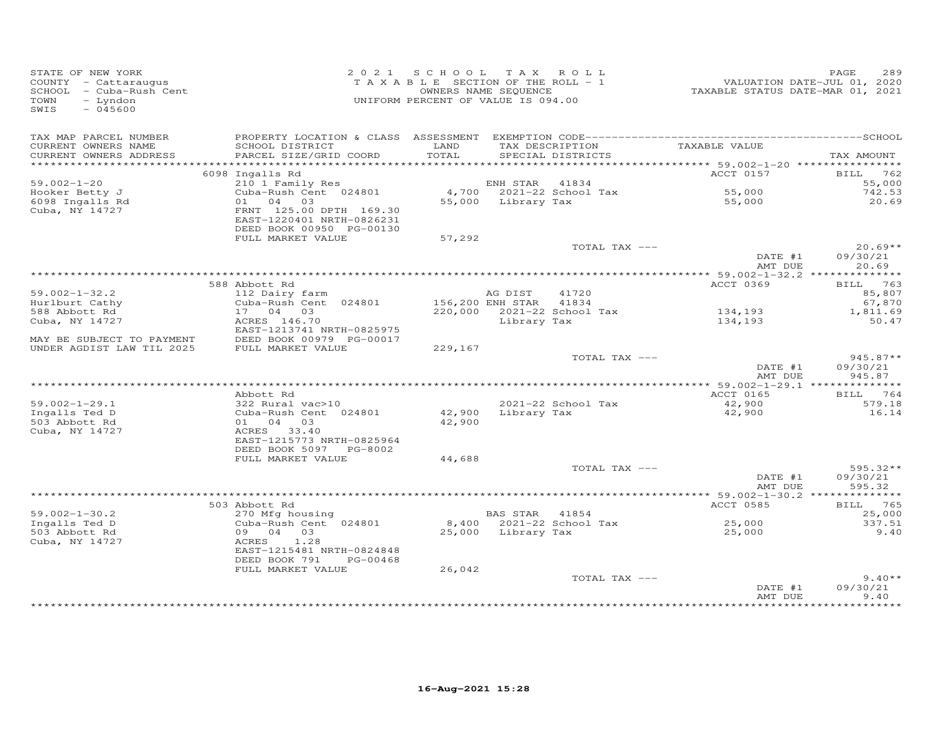| STATE OF NEW YORK<br>SIAIE OF NEW IORN<br>COUNTY - Cattaraugus<br>SCHOOL - Cuba-Rush Cent<br>TOWN - Lyndon<br>- Lyndon<br>TOWN<br>$-045600$<br>SWIS |                                                                                                                  | 2021 SCHOOL TAX ROLL<br>T A X A B L E SECTION OF THE ROLL - 1<br>UNIFORM PERCENT OF VALUE IS 094.00 | OWNERS NAME SEQUENCE  |                                      |                      | PAGE<br>289          |
|-----------------------------------------------------------------------------------------------------------------------------------------------------|------------------------------------------------------------------------------------------------------------------|-----------------------------------------------------------------------------------------------------|-----------------------|--------------------------------------|----------------------|----------------------|
| TAX MAP PARCEL NUMBER                                                                                                                               |                                                                                                                  |                                                                                                     |                       |                                      |                      |                      |
| CURRENT OWNERS NAME<br>CURRENT OWNERS ADDRESS                                                                                                       | SCHOOL DISTRICT<br>PARCEL SIZE/GRID COORD                                                                        | LAND<br>TOTAL                                                                                       |                       | TAX DESCRIPTION<br>SPECIAL DISTRICTS | TAXABLE VALUE        | TAX AMOUNT           |
|                                                                                                                                                     |                                                                                                                  |                                                                                                     |                       |                                      |                      |                      |
|                                                                                                                                                     | 6098 Ingalls Rd                                                                                                  |                                                                                                     |                       |                                      | ACCT 0157            | BILL 762             |
| $59.002 - 1 - 20$                                                                                                                                   | 210 1 Family Res<br>Cuba-Rush Cent 024801 (at 1834 – 4,700 – 2021–22 School Tax<br>01 04 03 – 55,000 Library Tax |                                                                                                     |                       |                                      |                      | 55,000               |
| Hooker Betty J<br>6098 Ingalls Rd                                                                                                                   |                                                                                                                  |                                                                                                     |                       |                                      | 55,000<br>55,000     | 742.53<br>20.69      |
| Cuba, NY 14727                                                                                                                                      | FRNT 125.00 DPTH 169.30<br>EAST-1220401 NRTH-0826231<br>DEED BOOK 00950 PG-00130                                 |                                                                                                     |                       |                                      |                      |                      |
|                                                                                                                                                     | FULL MARKET VALUE                                                                                                | 57,292                                                                                              |                       |                                      |                      |                      |
|                                                                                                                                                     |                                                                                                                  |                                                                                                     |                       | TOTAL TAX ---                        |                      | $20.69**$            |
|                                                                                                                                                     |                                                                                                                  |                                                                                                     |                       |                                      | DATE #1<br>AMT DUE   | 09/30/21<br>20.69    |
|                                                                                                                                                     |                                                                                                                  |                                                                                                     |                       |                                      |                      |                      |
|                                                                                                                                                     | 588 Abbott Rd                                                                                                    |                                                                                                     |                       |                                      | ACCT 0369            | BILL 763             |
| $59.002 - 1 - 32.2$                                                                                                                                 | 112 Dairy farm<br>Cuba-Rush Cent 024801                                                                          | 156,200 ENH STAR 41834                                                                              | AG DIST               | 41720                                |                      | 85,807               |
| Hurlburt Cathy<br>588 Abbott Rd                                                                                                                     |                                                                                                                  |                                                                                                     |                       |                                      |                      | 67,870<br>1,811.69   |
| Cuba, NY 14727                                                                                                                                      | $17$ 04 03 $220,000$ $2021-22$ School Tax<br>ACRES 146 70 $\frac{1}{20}$<br>ACRES 146.70                         |                                                                                                     | Library Tax           |                                      | 134,193<br>134,193   | 50.47                |
|                                                                                                                                                     | EAST-1213741 NRTH-0825975                                                                                        |                                                                                                     |                       |                                      |                      |                      |
| MAY BE SUBJECT TO PAYMENT                                                                                                                           | DEED BOOK 00979 PG-00017                                                                                         |                                                                                                     |                       |                                      |                      |                      |
| UNDER AGDIST LAW TIL 2025                                                                                                                           | FULL MARKET VALUE                                                                                                | 229,167                                                                                             |                       |                                      |                      |                      |
|                                                                                                                                                     |                                                                                                                  |                                                                                                     |                       | TOTAL TAX ---                        |                      | $945.87**$           |
|                                                                                                                                                     |                                                                                                                  |                                                                                                     |                       |                                      | DATE #1              | 09/30/21             |
|                                                                                                                                                     |                                                                                                                  |                                                                                                     |                       |                                      | AMT DUE              | 945.87               |
|                                                                                                                                                     | Abbott Rd                                                                                                        |                                                                                                     |                       |                                      | ACCT 0165            | BILL 764             |
| $59.002 - 1 - 29.1$                                                                                                                                 | $322$ Rural vac > 10                                                                                             |                                                                                                     |                       | 2021-22 School Tax                   | 42,900               | 579.18               |
|                                                                                                                                                     | 322 Rural vac>10<br>Cuba-Rush Cent 024801 42,900                                                                 |                                                                                                     |                       | Library Tax                          | 42,900               | 16.14                |
|                                                                                                                                                     | 01 04 03                                                                                                         | 42,900                                                                                              |                       |                                      |                      |                      |
| Ingalls Ted D<br>503 Abbott Rd<br>Cuba, NY 14727<br>Cuba, NY 14727                                                                                  | ACRES 33.40                                                                                                      |                                                                                                     |                       |                                      |                      |                      |
|                                                                                                                                                     | EAST-1215773 NRTH-0825964                                                                                        |                                                                                                     |                       |                                      |                      |                      |
|                                                                                                                                                     | DEED BOOK 5097 PG-8002                                                                                           |                                                                                                     |                       |                                      |                      |                      |
|                                                                                                                                                     | FULL MARKET VALUE                                                                                                | 44,688                                                                                              |                       |                                      |                      |                      |
|                                                                                                                                                     |                                                                                                                  |                                                                                                     |                       | TOTAL TAX ---                        |                      | $595.32**$           |
|                                                                                                                                                     |                                                                                                                  |                                                                                                     |                       |                                      | DATE #1              | 09/30/21             |
|                                                                                                                                                     |                                                                                                                  |                                                                                                     |                       |                                      | AMT DUE              | 595.32               |
|                                                                                                                                                     | 503 Abbott Rd                                                                                                    |                                                                                                     |                       |                                      | ACCT 0585            | BILL 765             |
| $59.002 - 1 - 30.2$                                                                                                                                 | ADDOLL RG<br>270 Mfg housing<br>Cuba-Rush Cent 024801                                                            |                                                                                                     | <b>BAS STAR</b> 41854 |                                      |                      | 25,000               |
| Ingalls Ted D                                                                                                                                       |                                                                                                                  |                                                                                                     |                       |                                      |                      | 337.51               |
| 503 Abbott Rd                                                                                                                                       | 09 04 03                                                                                                         |                                                                                                     | 25,000 Library Tax    |                                      | $25,000$<br>$25,000$ | 9.40                 |
| Cuba, NY 14727                                                                                                                                      | ACRES<br>1.28                                                                                                    |                                                                                                     |                       |                                      |                      |                      |
|                                                                                                                                                     | EAST-1215481 NRTH-0824848                                                                                        |                                                                                                     |                       |                                      |                      |                      |
|                                                                                                                                                     | DEED BOOK 791 PG-00468                                                                                           |                                                                                                     |                       |                                      |                      |                      |
|                                                                                                                                                     | FULL MARKET VALUE                                                                                                | 26,042                                                                                              |                       |                                      |                      |                      |
|                                                                                                                                                     |                                                                                                                  |                                                                                                     |                       | TOTAL TAX ---                        |                      | $9.40**$<br>09/30/21 |
|                                                                                                                                                     |                                                                                                                  |                                                                                                     |                       |                                      | DATE #1<br>AMT DUE   | 9.40                 |
|                                                                                                                                                     |                                                                                                                  |                                                                                                     |                       |                                      |                      |                      |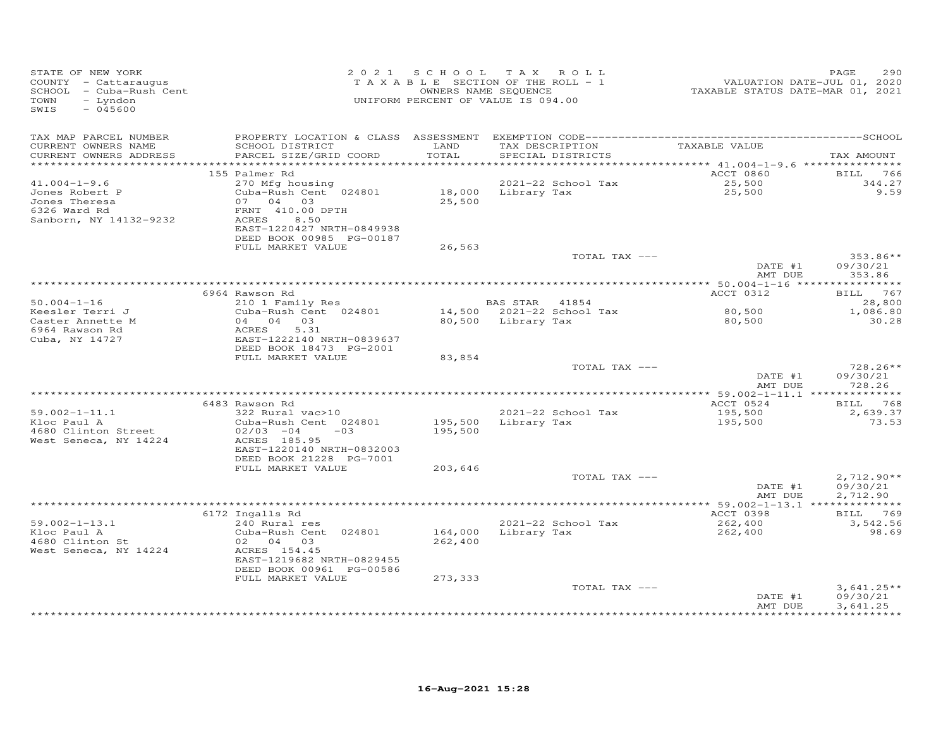| STATE OF NEW YORK<br>COUNTY - Cattaraugus<br>SCHOOL - Cuba-Rush Cent<br>- Lyndon<br>TOWN<br>$-045600$<br>SWIS |                                                                                                                                                    | 2021 SCHOOL TAX ROLL<br>TAXABLE SECTION OF THE ROLL - 1<br>OWNERS NAME SEQUENCE<br>UNIFORM PERCENT OF VALUE IS 094.00 |                    |                                      | VALUATION DATE-JUL 01, 2020<br>TAXABLE STATUS DATE-MAR 01, 2021 | 290<br>PAGE                      |
|---------------------------------------------------------------------------------------------------------------|----------------------------------------------------------------------------------------------------------------------------------------------------|-----------------------------------------------------------------------------------------------------------------------|--------------------|--------------------------------------|-----------------------------------------------------------------|----------------------------------|
| TAX MAP PARCEL NUMBER<br>CURRENT OWNERS NAME<br>CURRENT OWNERS ADDRESS                                        | SCHOOL DISTRICT<br>PARCEL SIZE/GRID COORD                                                                                                          | LAND<br>TOTAL                                                                                                         |                    | TAX DESCRIPTION<br>SPECIAL DISTRICTS | TAXABLE VALUE                                                   | TAX AMOUNT                       |
| ************************                                                                                      | 155 Palmer Rd                                                                                                                                      |                                                                                                                       |                    |                                      | ACCT 0860                                                       | BILL 766                         |
| $41.004 - 1 - 9.6$<br>Jones Robert P<br>Jones Theresa<br>6326 Ward Rd<br>Sanborn, NY 14132-9232               | 270 Mfg housing<br>Cuba-Rush Cent 024801<br>07 04 03<br>FRNT 410.00 DPTH<br>ACRES<br>8.50<br>EAST-1220427 NRTH-0849938<br>DEED BOOK 00985 PG-00187 | 18,000 Library Tax<br>25,500                                                                                          |                    | 2021-22 School Tax                   | 25,500<br>25,500                                                | 344.27<br>9.59                   |
|                                                                                                               | FULL MARKET VALUE                                                                                                                                  | 26,563                                                                                                                |                    |                                      |                                                                 |                                  |
|                                                                                                               |                                                                                                                                                    |                                                                                                                       |                    | TOTAL TAX ---                        | DATE #1<br>AMT DUE                                              | $353.86**$<br>09/30/21<br>353.86 |
|                                                                                                               |                                                                                                                                                    |                                                                                                                       |                    |                                      |                                                                 |                                  |
| $50.004 - 1 - 16$                                                                                             | 6964 Rawson Rd<br>210 1 Family Res                                                                                                                 |                                                                                                                       | BAS STAR 41854     |                                      | ACCT 0312                                                       | BILL 767<br>28,800               |
| Keesler Terri J                                                                                               | Cuba-Rush Cent 024801                                                                                                                              |                                                                                                                       |                    | 14,500 2021-22 School Tax            | 80,500                                                          | 1,086.80                         |
| Caster Annette M<br>6964 Rawson Rd<br>Cuba, NY 14727                                                          | 04 04 03<br>5.31<br>ACRES<br>EAST-1222140 NRTH-0839637<br>DEED BOOK 18473 PG-2001                                                                  |                                                                                                                       | 80,500 Library Tax |                                      | 80,500                                                          | 30.28                            |
|                                                                                                               | FULL MARKET VALUE                                                                                                                                  | 83,854                                                                                                                |                    |                                      |                                                                 |                                  |
|                                                                                                               |                                                                                                                                                    |                                                                                                                       |                    | TOTAL TAX ---                        | DATE #1<br>AMT DUE                                              | $728.26**$<br>09/30/21<br>728.26 |
|                                                                                                               |                                                                                                                                                    |                                                                                                                       |                    |                                      |                                                                 |                                  |
| $59.002 - 1 - 11.1$<br>Kloc Paul A<br>4680 Clinton Street<br>West Seneca, NY 14224                            | 6483 Rawson Rd<br>322 Rural vac>10<br>Cuba-Rush Cent 024801<br>$02/03 -04$<br>$-03$<br>ACRES 185.95                                                | 195,500<br>195,500                                                                                                    | Library Tax        | 2021-22 School Tax                   | ACCT 0524<br>195,500<br>195,500                                 | BILL 768<br>2,639.37<br>73.53    |
|                                                                                                               | EAST-1220140 NRTH-0832003<br>DEED BOOK 21228 PG-7001                                                                                               |                                                                                                                       |                    |                                      |                                                                 |                                  |
|                                                                                                               | FULL MARKET VALUE                                                                                                                                  | 203,646                                                                                                               |                    |                                      |                                                                 |                                  |
|                                                                                                               |                                                                                                                                                    |                                                                                                                       |                    | TOTAL TAX ---                        | DATE #1                                                         | $2,712.90**$<br>09/30/21         |
|                                                                                                               |                                                                                                                                                    |                                                                                                                       |                    |                                      | AMT DUE                                                         | 2,712.90                         |
| $59.002 - 1 - 13.1$                                                                                           | 6172 Ingalls Rd<br>240 Rural res                                                                                                                   |                                                                                                                       |                    | 2021-22 School Tax                   | ACCT 0398<br>262,400                                            | <b>BILL</b> 769<br>3,542.56      |
| Kloc Paul A<br>4680 Clinton St<br>West Seneca, NY 14224                                                       | Cuba-Rush Cent 024801<br>02 04 03<br>ACRES 154.45<br>EAST-1219682 NRTH-0829455<br>DEED BOOK 00961 PG-00586                                         | 164,000<br>262,400                                                                                                    |                    | Library Tax                          | 262,400                                                         | 98.69                            |
|                                                                                                               | FULL MARKET VALUE                                                                                                                                  | 273,333                                                                                                               |                    | TOTAL TAX ---                        | DATE #1                                                         | $3,641.25**$<br>09/30/21         |
|                                                                                                               |                                                                                                                                                    |                                                                                                                       |                    |                                      | AMT DUE                                                         | 3,641.25<br>************         |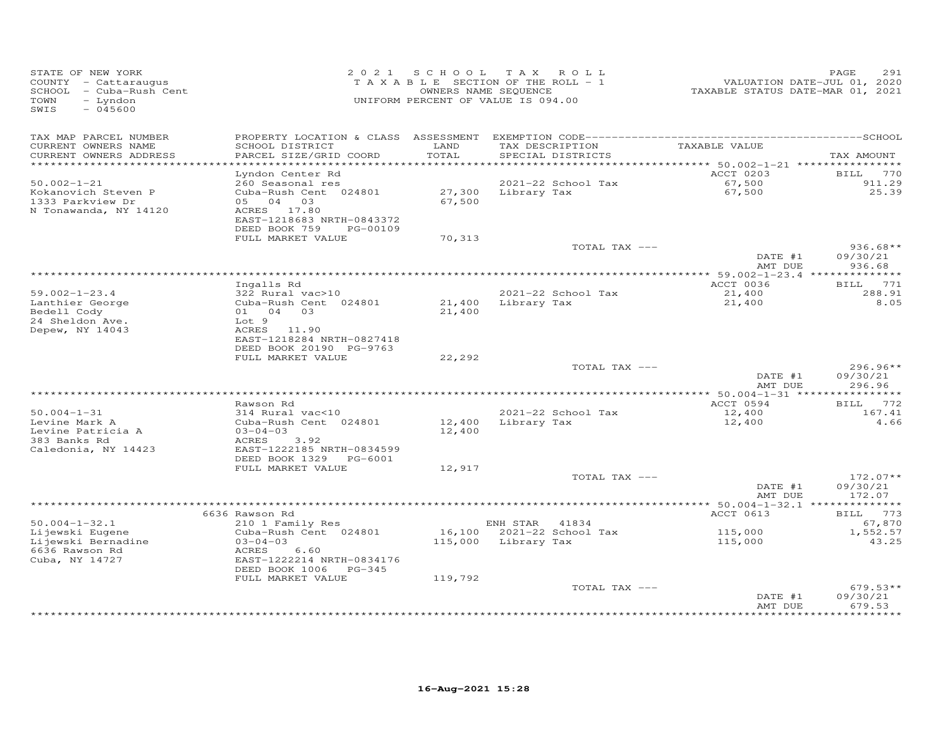| TAX MAP PARCEL NUMBER<br>CURRENT OWNERS NAME<br>SCHOOL DISTRICT<br>LAND<br>TAXABLE VALUE<br>TAX DESCRIPTION<br>PARCEL SIZE/GRID COORD<br>TOTAL<br>SPECIAL DISTRICTS<br>CURRENT OWNERS ADDRESS                                                                                                                      | TAX AMOUNT                       |
|--------------------------------------------------------------------------------------------------------------------------------------------------------------------------------------------------------------------------------------------------------------------------------------------------------------------|----------------------------------|
| ***********************<br>**************************<br>ACCT 0203<br>Lyndon Center Rd                                                                                                                                                                                                                             | 770<br>BILL                      |
| 2021-22 School Tax<br>$50.002 - 1 - 21$<br>260 Seasonal res<br>67,500<br>Kokanovich Steven P<br>Cuba-Rush Cent 024801<br>27,300<br>Library Tax<br>67,500<br>67,500<br>1333 Parkview Dr<br>05 04 03<br>N Tonawanda, NY 14120<br>ACRES 17.80<br>EAST-1218683 NRTH-0843372<br>DEED BOOK 759<br>PG-00109               | 911.29<br>25.39                  |
| FULL MARKET VALUE<br>70,313                                                                                                                                                                                                                                                                                        |                                  |
| TOTAL TAX ---<br>DATE #1<br>AMT DUE                                                                                                                                                                                                                                                                                | $936.68**$<br>09/30/21<br>936.68 |
|                                                                                                                                                                                                                                                                                                                    |                                  |
| ACCT 0036<br>Ingalls Rd<br>$59.002 - 1 - 23.4$<br>322 Rural vac>10<br>2021-22 School Tax<br>21,400<br>Lanthier George<br>Cuba-Rush Cent 024801<br>21,400<br>Library Tax<br>21,400<br>Bedell Cody<br>01 04 03<br>21,400<br>24 Sheldon Ave.<br>Lot 9<br>Depew, NY 14043<br>ACRES 11.90<br>EAST-1218284 NRTH-0827418  | BILL 771<br>288.91<br>8.05       |
| DEED BOOK 20190 PG-9763<br>FULL MARKET VALUE<br>22,292                                                                                                                                                                                                                                                             |                                  |
| TOTAL TAX ---<br>DATE #1<br>AMT DUE                                                                                                                                                                                                                                                                                | $296.96**$<br>09/30/21<br>296.96 |
|                                                                                                                                                                                                                                                                                                                    | * * * * * * * * * * * *          |
| Rawson Rd<br>ACCT 0594<br>$50.004 - 1 - 31$<br>2021-22 School Tax<br>314 Rural vac<10<br>12,400<br>Levine Mark A<br>Cuba-Rush Cent 024801<br>12,400<br>Library Tax<br>12,400<br>Levine Patricia A<br>$03 - 04 - 03$<br>12,400<br>383 Banks Rd<br>ACRES<br>3.92                                                     | BILL 772<br>167.41<br>4.66       |
| Caledonia, NY 14423<br>EAST-1222185 NRTH-0834599<br>DEED BOOK 1329 PG-6001<br>12,917<br>FULL MARKET VALUE                                                                                                                                                                                                          |                                  |
| TOTAL TAX ---<br>DATE #1                                                                                                                                                                                                                                                                                           | $172.07**$<br>09/30/21           |
| AMT DUE                                                                                                                                                                                                                                                                                                            | 172.07                           |
| ACCT 0613<br>6636 Rawson Rd                                                                                                                                                                                                                                                                                        | BILL 773                         |
| $50.004 - 1 - 32.1$<br>210 1 Family Res<br>ENH STAR<br>41834<br>Cuba-Rush Cent 024801<br>16,100<br>2021-22 School Tax<br>115,000<br>Lijewski Eugene<br>Lijewski Bernadine<br>$03 - 04 - 03$<br>115,000<br>Library Tax<br>115,000<br>6636 Rawson Rd<br>ACRES<br>6.60<br>Cuba, NY 14727<br>EAST-1222214 NRTH-0834176 | 67,870<br>1,552.57<br>43.25      |
| DEED BOOK 1006 PG-345<br>FULL MARKET VALUE<br>119,792<br>TOTAL TAX ---<br>DATE #1<br>AMT DUE                                                                                                                                                                                                                       | $679.53**$<br>09/30/21<br>679.53 |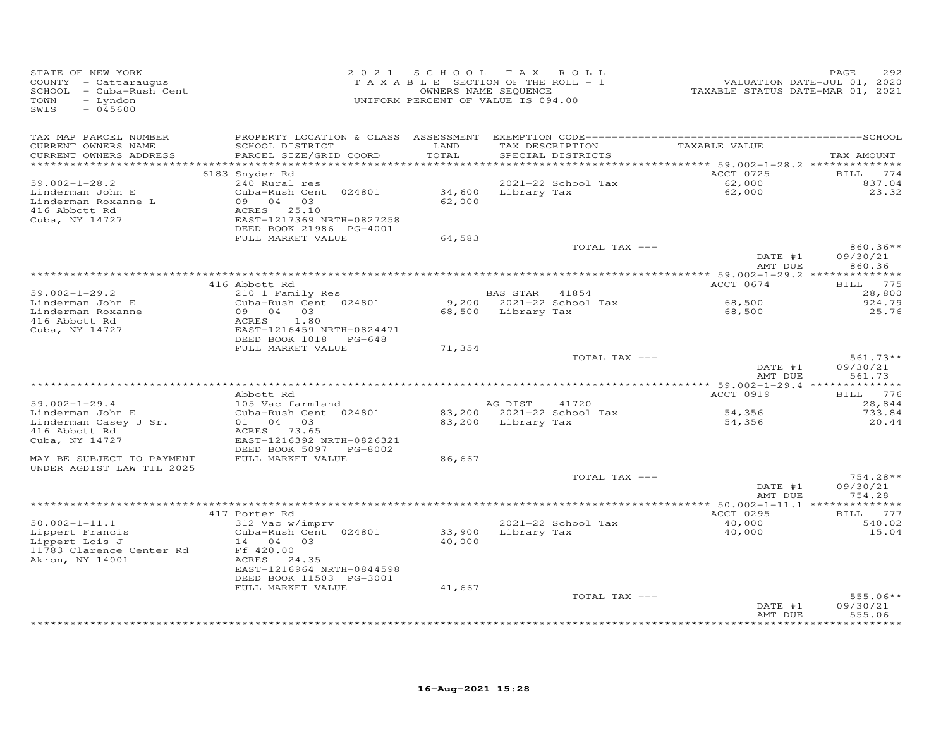| STATE OF NEW YORK<br>COUNTY - Cattaraugus<br>SCHOOL - Cuba-Rush Cent<br>TOWN<br>- Lyndon<br>SWIS<br>$-045600$ | 2 0 2 1                                                                                                                                                                              | SCHOOL TAX ROLL<br>TAXABLE SECTION OF THE ROLL - 1<br>OWNERS NAME SEQUENCE<br>UNIFORM PERCENT OF VALUE IS 094.00 |                               |                                      | VALUATION DATE-JUL 01, 2020<br>TAXABLE STATUS DATE-MAR 01, 2021 | PAGE<br>292                           |
|---------------------------------------------------------------------------------------------------------------|--------------------------------------------------------------------------------------------------------------------------------------------------------------------------------------|------------------------------------------------------------------------------------------------------------------|-------------------------------|--------------------------------------|-----------------------------------------------------------------|---------------------------------------|
| TAX MAP PARCEL NUMBER<br>CURRENT OWNERS NAME<br>CURRENT OWNERS ADDRESS<br>**********************              | SCHOOL DISTRICT<br>PARCEL SIZE/GRID COORD                                                                                                                                            | LAND<br>TOTAL                                                                                                    |                               | TAX DESCRIPTION<br>SPECIAL DISTRICTS | TAXABLE VALUE                                                   | TAX AMOUNT                            |
| $59.002 - 1 - 28.2$<br>Linderman John E<br>Linderman Roxanne L<br>416 Abbott Rd<br>Cuba, NY 14727             | 6183 Snyder Rd<br>240 Rural res<br>Cuba-Rush Cent 024801<br>09 04 03<br>ACRES 25.10<br>EAST-1217369 NRTH-0827258<br>DEED BOOK 21986 PG-4001<br>FULL MARKET VALUE                     | 34,600<br>62,000<br>64,583                                                                                       | Library Tax                   | 2021-22 School Tax                   | ACCT 0725<br>62,000<br>62,000                                   | <b>BILL</b><br>774<br>837.04<br>23.32 |
|                                                                                                               |                                                                                                                                                                                      |                                                                                                                  |                               | TOTAL TAX ---                        | DATE #1<br>AMT DUE                                              | $860.36**$<br>09/30/21<br>860.36      |
|                                                                                                               | 416 Abbott Rd                                                                                                                                                                        |                                                                                                                  |                               |                                      | ACCT 0674                                                       | BILL 775                              |
| $59.002 - 1 - 29.2$<br>Linderman John E<br>Linderman Roxanne<br>416 Abbott Rd<br>Cuba, NY 14727               | 210 1 Family Res<br>Cuba-Rush Cent 024801<br>09 04 03<br>ACRES<br>1.80<br>EAST-1216459 NRTH-0824471<br>DEED BOOK 1018 PG-648<br>FULL MARKET VALUE                                    | 68,500<br>71,354                                                                                                 | BAS STAR 41854<br>Library Tax | 9,200 2021-22 School Tax             | 68,500<br>68,500                                                | 28,800<br>924.79<br>25.76             |
|                                                                                                               |                                                                                                                                                                                      |                                                                                                                  |                               | TOTAL TAX ---                        | DATE #1<br>AMT DUE                                              | $561.73**$<br>09/30/21<br>561.73      |
| $59.002 - 1 - 29.4$<br>Linderman John E<br>Linderman Casey J Sr.<br>416 Abbott Rd<br>Cuba, NY 14727           | Abbott Rd<br>105 Vac farmland<br>Cuba-Rush Cent 024801<br>01 04 03<br>ACRES 73.65<br>EAST-1216392 NRTH-0826321                                                                       |                                                                                                                  | AG DIST<br>83,200 Library Tax | 41720<br>83,200 2021-22 School Tax   | ACCT 0919<br>54,356<br>54,356                                   | BILL 776<br>28,844<br>733.84<br>20.44 |
| MAY BE SUBJECT TO PAYMENT<br>UNDER AGDIST LAW TIL 2025                                                        | DEED BOOK 5097 PG-8002<br>FULL MARKET VALUE                                                                                                                                          | 86,667                                                                                                           |                               | TOTAL TAX ---                        |                                                                 | $754.28**$                            |
|                                                                                                               |                                                                                                                                                                                      |                                                                                                                  |                               |                                      | DATE #1<br>AMT DUE                                              | 09/30/21<br>754.28                    |
|                                                                                                               |                                                                                                                                                                                      |                                                                                                                  |                               |                                      |                                                                 |                                       |
| $50.002 - 1 - 11.1$<br>Lippert Francis<br>Lippert Lois J<br>11783 Clarence Center Rd<br>Akron, NY 14001       | 417 Porter Rd<br>312 Vac w/imprv<br>Cuba-Rush Cent 024801<br>14 04<br>03<br>Ff 420.00<br>ACRES<br>24.35<br>EAST-1216964 NRTH-0844598<br>DEED BOOK 11503 PG-3001<br>FULL MARKET VALUE | 33,900<br>40,000<br>41,667                                                                                       | Library Tax                   | 2021-22 School Tax                   | ACCT 0295<br>40,000<br>40,000                                   | BILL 777<br>540.02<br>15.04           |
|                                                                                                               |                                                                                                                                                                                      |                                                                                                                  |                               | TOTAL TAX ---                        | DATE #1<br>AMT DUE                                              | $555.06**$<br>09/30/21<br>555.06      |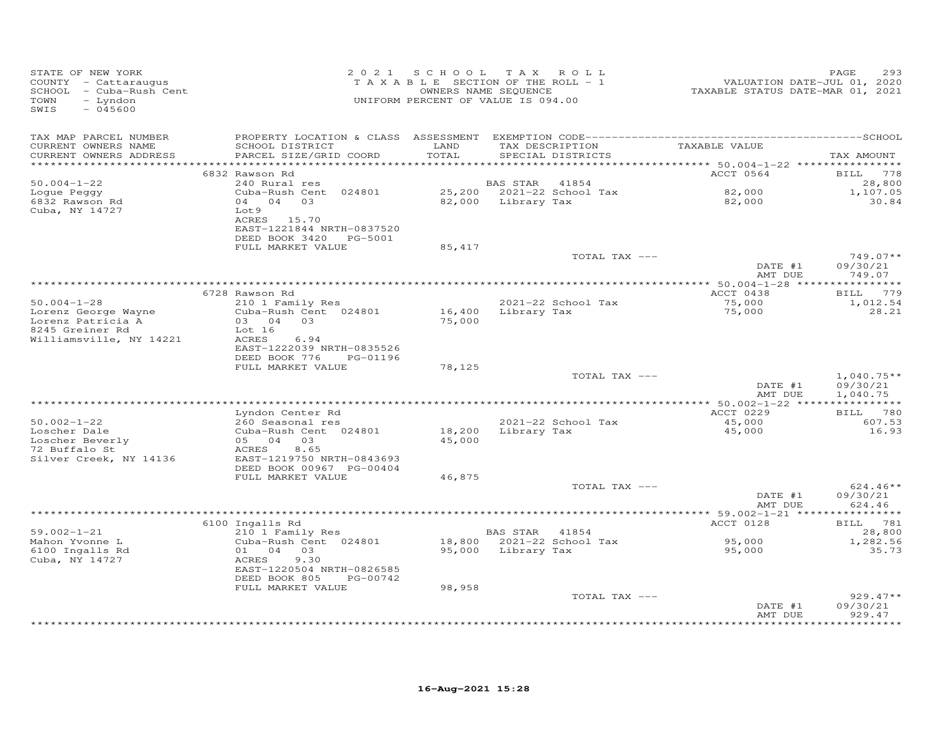| STATE OF NEW YORK<br>COUNTY - Cattaraugus<br>SCHOOL - Cuba-Rush Cent<br>TOWN<br>- Lyndon<br>SWIS<br>$-045600$ |                                                                                                                                   |               | 2021 SCHOOL TAX ROLL<br>TAXABLE SECTION OF THE ROLL - 1<br>OWNERS NAME SEQUENCE<br>UNIFORM PERCENT OF VALUE IS 094.00 | 1,01, 2020<br>TAXABLE STATUS DATE-JUL 01, 2020<br>TAXABLE STATUS DATE-MAR 01, 2021 | PAGE<br>293                                           |
|---------------------------------------------------------------------------------------------------------------|-----------------------------------------------------------------------------------------------------------------------------------|---------------|-----------------------------------------------------------------------------------------------------------------------|------------------------------------------------------------------------------------|-------------------------------------------------------|
| TAX MAP PARCEL NUMBER<br>CURRENT OWNERS NAME<br>CURRENT OWNERS ADDRESS                                        | SCHOOL DISTRICT<br>PARCEL SIZE/GRID COORD                                                                                         | LAND<br>TOTAL | TAX DESCRIPTION TAXABLE VALUE<br>SPECIAL DISTRICTS                                                                    |                                                                                    | TAX AMOUNT                                            |
|                                                                                                               | 6832 Rawson Rd                                                                                                                    |               |                                                                                                                       | ACCT 0564                                                                          | BILL 778                                              |
| $50.004 - 1 - 22$<br>Loque Peggy<br>6832 Rawson Rd<br>Cuba, NY 14727                                          | 240 Rural res<br>Cuba-Rush Cent 024801<br>04 04 03<br>Lot 9<br>ACRES 15.70<br>EAST-1221844 NRTH-0837520<br>DEED BOOK 3420 PG-5001 |               | BAS STAR 41854<br>25,200 2021-22 School Tax<br>82,000 Library Tax                                                     | 82,000<br>82,000                                                                   | 28,800<br>1,107.05<br>30.84                           |
|                                                                                                               | FULL MARKET VALUE                                                                                                                 | 85,417        |                                                                                                                       |                                                                                    |                                                       |
|                                                                                                               |                                                                                                                                   |               | TOTAL TAX ---                                                                                                         | DATE #1<br>AMT DUE                                                                 | $749.07**$<br>09/30/21<br>749.07                      |
|                                                                                                               |                                                                                                                                   |               |                                                                                                                       |                                                                                    |                                                       |
| $50.004 - 1 - 28$<br>Lorenz George Wayne<br>Lorenz Patricia A                                                 | 6728 Rawson Rd<br>210 1 Family Res<br>Cuba-Rush Cent 024801<br>Cuba-Rush Cen<br>03     04    03                                   | 75,000        | 2021-22 School Tax<br>16,400 Library Tax                                                                              | ACCT 0438<br>75,000<br>75,000                                                      | BILL 779<br>1,012.54<br>28.21                         |
| 8245 Greiner Rd<br>Williamsville, NY 14221                                                                    | Lot 16<br>6.94<br>ACRES<br>EAST-1222039 NRTH-0835526<br>DEED BOOK 776 PG-01196                                                    |               |                                                                                                                       |                                                                                    |                                                       |
|                                                                                                               | FULL MARKET VALUE                                                                                                                 | 78,125        | TOTAL TAX ---                                                                                                         |                                                                                    | $1,040.75**$                                          |
|                                                                                                               |                                                                                                                                   |               |                                                                                                                       | DATE #1<br>AMT DUE                                                                 | 09/30/21<br>1,040.75                                  |
|                                                                                                               | Lyndon Center Rd                                                                                                                  |               |                                                                                                                       | ACCT 0229                                                                          | BILL 780                                              |
| $50.002 - 1 - 22$<br>Loscher Dale<br>Loscher Beverly<br>72 Buffalo St<br>Silver Creek, NY 14136               | 260 Seasonal res<br>260 Seasonal res<br>Cuba-Rush Cent 024801<br>05 04 03<br>8.65<br>ACRES<br>EAST-1219750 NRTH-0843693           | 45,000        | 2021-22 School Tax<br>2021-22 School Tar<br>18,200   Library Tax                                                      | 45,000<br>45,000                                                                   | 607.53<br>16.93                                       |
|                                                                                                               | DEED BOOK 00967 PG-00404                                                                                                          |               |                                                                                                                       |                                                                                    |                                                       |
|                                                                                                               | FULL MARKET VALUE                                                                                                                 | 46,875        | TOTAL TAX ---                                                                                                         | DATE #1<br>AMT DUE                                                                 | $624.46**$<br>09/30/21<br>624.46                      |
|                                                                                                               |                                                                                                                                   |               |                                                                                                                       |                                                                                    |                                                       |
|                                                                                                               | 6100 Ingalls Rd                                                                                                                   |               |                                                                                                                       | ACCT 0128                                                                          | BILL 781                                              |
| $59.002 - 1 - 21$<br>Mahon Yvonne L<br>6100 Ingalls Rd<br>Cuba, NY 14727                                      | 210 1 Family Res<br>Cuba-Rush Cent 024801<br>01 04 03<br>ACRES<br>9.30<br>EAST-1220504 NRTH-0826585<br>DEED BOOK 805 PG-00742     |               | BAS STAR 41854<br>18,800 2021-22 School Tax<br>95,000 Library Tax                                                     | 95,000<br>95,000                                                                   | 28,800<br>1,282.56<br>35.73                           |
|                                                                                                               | FULL MARKET VALUE                                                                                                                 | 98,958        |                                                                                                                       |                                                                                    |                                                       |
|                                                                                                               |                                                                                                                                   |               | TOTAL TAX ---                                                                                                         | DATE #1<br>AMT DUE                                                                 | $929.47**$<br>09/30/21<br>929.47<br>* * * * * * * * * |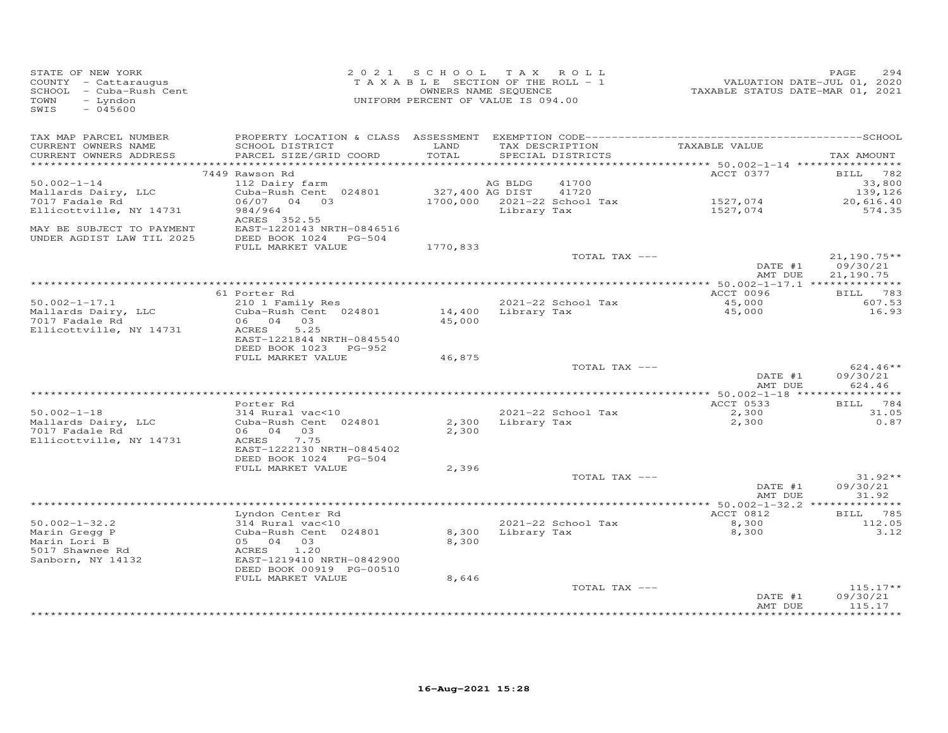| STATE OF NEW YORK<br>COUNTY - Cattaraugus<br>SCHOOL - Cuba-Rush Cent<br>- Lyndon<br>TOWN<br>SWIS<br>$-045600$ |                                                                                                                        |                 | 2021 SCHOOL TAX ROLL<br>TAXABLE SECTION OF THE ROLL - 1<br>OWNERS NAME SEQUENCE<br>UNIFORM PERCENT OF VALUE IS 094.00 | VALUATION DATE-JUL 01, 2020<br>TAXABLE STATUS DATE-MAR 01, 2021 | PAGE<br>294                                |
|---------------------------------------------------------------------------------------------------------------|------------------------------------------------------------------------------------------------------------------------|-----------------|-----------------------------------------------------------------------------------------------------------------------|-----------------------------------------------------------------|--------------------------------------------|
| TAX MAP PARCEL NUMBER<br>CURRENT OWNERS NAME<br>CURRENT OWNERS ADDRESS                                        | SCHOOL DISTRICT<br>PARCEL SIZE/GRID COORD                                                                              | LAND<br>TOTAL   | TAX DESCRIPTION<br>SPECIAL DISTRICTS                                                                                  | TAXABLE VALUE                                                   | TAX AMOUNT                                 |
|                                                                                                               |                                                                                                                        |                 |                                                                                                                       |                                                                 |                                            |
| $50.002 - 1 - 14$<br>Mallards Dairy, LLC<br>7017 Fadale Rd                                                    | 7449 Rawson Rd<br>112 Dairy farm<br>Cuba-Rush Cent 024801<br>06/07 04 03                                               | 327,400 AG DIST | AG BLDG<br>41700<br>41720<br>1700,000 2021-22 School Tax                                                              | ACCT 0377<br>1527,074                                           | BILL 782<br>33,800<br>139,126<br>20,616.40 |
| Ellicottville, NY 14731<br>MAY BE SUBJECT TO PAYMENT<br>UNDER AGDIST LAW TIL 2025                             | 984/964<br>ACRES 352.55<br>EAST-1220143 NRTH-0846516<br>DEED BOOK 1024 PG-504                                          |                 | Library Tax                                                                                                           | 1527,074                                                        | 574.35                                     |
|                                                                                                               | FULL MARKET VALUE                                                                                                      | 1770,833        | TOTAL TAX ---                                                                                                         | DATE #1                                                         | $21,190.75**$<br>09/30/21                  |
|                                                                                                               |                                                                                                                        |                 |                                                                                                                       | AMT DUE                                                         | 21,190.75                                  |
|                                                                                                               | 61 Porter Rd                                                                                                           |                 |                                                                                                                       | ACCT 0096                                                       | BILL 783                                   |
| $50.002 - 1 - 17.1$                                                                                           | 210 1 Family Res                                                                                                       |                 | 2021-22 School Tax                                                                                                    |                                                                 | 607.53                                     |
| Mallards Dairy, LLC<br>7017 Fadale Rd<br>Ellicottville, NY 14731                                              | Cuba-Rush Cent 024801<br>06 04 03<br>5.25<br>ACRES<br>EAST-1221844 NRTH-0845540                                        | 45,000          | 14,400 Library Tax                                                                                                    | 45,000<br>45,000                                                | 16.93                                      |
|                                                                                                               | DEED BOOK 1023 PG-952                                                                                                  |                 |                                                                                                                       |                                                                 |                                            |
|                                                                                                               | FULL MARKET VALUE                                                                                                      | 46,875          |                                                                                                                       |                                                                 |                                            |
|                                                                                                               |                                                                                                                        |                 | TOTAL TAX ---                                                                                                         | DATE #1<br>AMT DUE                                              | $624.46**$<br>09/30/21<br>624.46           |
|                                                                                                               |                                                                                                                        |                 |                                                                                                                       |                                                                 |                                            |
| $50.002 - 1 - 18$                                                                                             | Porter Rd<br>314 Rural vac<10                                                                                          |                 | 2021-22 School Tax                                                                                                    | ACCT 0533                                                       | BILL 784<br>31.05                          |
| Mallards Dairy, LLC<br>7017 Fadale Rd<br>Ellicottville, NY 14731                                              | Cuba-Rush Cent 024801<br>06 04 03<br>7.75<br>ACRES<br>EAST-1222130 NRTH-0845402<br>DEED BOOK 1024 PG-504               | 2,300           | 2,300 Library Tax                                                                                                     | 2,300<br>2,300                                                  | 0.87                                       |
|                                                                                                               | FULL MARKET VALUE                                                                                                      | 2,396           |                                                                                                                       |                                                                 |                                            |
|                                                                                                               |                                                                                                                        |                 | TOTAL TAX ---                                                                                                         | DATE #1<br>AMT DUE                                              | $31.92**$<br>09/30/21<br>31.92             |
|                                                                                                               |                                                                                                                        |                 |                                                                                                                       |                                                                 |                                            |
|                                                                                                               | Lyndon Center Rd                                                                                                       |                 |                                                                                                                       | ACCT 0812                                                       | BILL 785                                   |
| $50.002 - 1 - 32.2$<br>Marin Gregg P<br>Marin Lori B<br>$5017$ Shawnee Rd                                     | 314 Rural vac<10<br>314 Kurai vac<br>Cuba-Rush Cen<br>05 04 03<br>ACRES 1.20<br>Cuba-Rush Cent 024801<br>1,20<br>ACRES | 8,300           | 2021-22 School Tax<br>8,300 Library Tax                                                                               | $8,300$<br>8.300<br>8,300                                       | 112.05<br>3.12                             |
| Sanborn, NY 14132                                                                                             | EAST-1219410 NRTH-0842900<br>DEED BOOK 00919 PG-00510<br>FULL MARKET VALUE                                             | 8,646           |                                                                                                                       |                                                                 |                                            |
|                                                                                                               |                                                                                                                        |                 | TOTAL TAX ---                                                                                                         |                                                                 | $115.17**$                                 |
|                                                                                                               |                                                                                                                        |                 |                                                                                                                       | DATE #1<br>AMT DUE                                              | 09/30/21<br>115.17                         |
|                                                                                                               |                                                                                                                        |                 |                                                                                                                       | ****************                                                | **********                                 |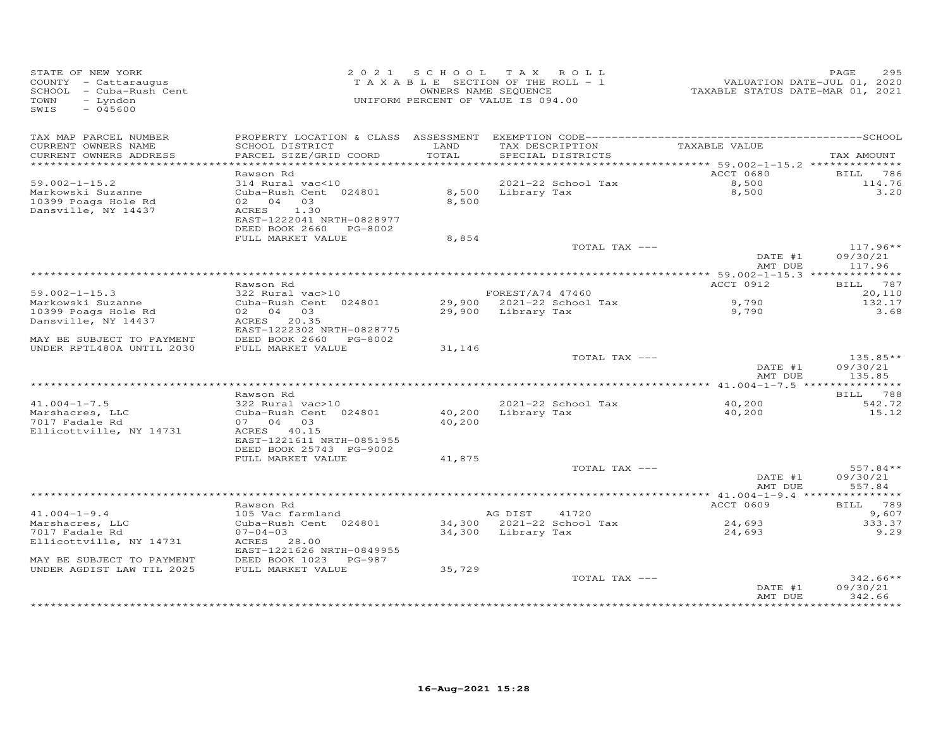| $-045600$<br>SWIS                                                                                                                                                                                      |                                                       |
|--------------------------------------------------------------------------------------------------------------------------------------------------------------------------------------------------------|-------------------------------------------------------|
| TAX MAP PARCEL NUMBER<br>TAX DESCRIPTION                                                                                                                                                               |                                                       |
| TAXABLE VALUE<br>CURRENT OWNERS NAME<br>SCHOOL DISTRICT<br>LAND<br>CURRENT OWNERS ADDRESS<br>PARCEL SIZE/GRID COORD<br>TOTAL<br>SPECIAL DISTRICTS                                                      | TAX AMOUNT                                            |
|                                                                                                                                                                                                        |                                                       |
| ACCT 0680<br>Rawson Rd                                                                                                                                                                                 | <b>BILL</b> 786                                       |
| 2021-22 School Tax<br>$59.002 - 1 - 15.2$<br>8,500<br>8,500<br>314 Rural vac<10<br>Cuba-Rush Cent 024801<br>Markowski Suzanne                                                                          | 114.76<br>3,20                                        |
| 8,500 Library Tax<br>02 04 03<br>8,500<br>10399 Poags Hole Rd<br>Dansville, NY 14437<br>ACRES 1.30<br>EAST-1222041 NRTH-0828977                                                                        |                                                       |
| DEED BOOK 2660 PG-8002<br>FULL MARKET VALUE<br>8,854                                                                                                                                                   |                                                       |
| TOTAL TAX ---                                                                                                                                                                                          | $117.96**$                                            |
|                                                                                                                                                                                                        | DATE #1<br>09/30/21<br>AMT DUE<br>117.96              |
|                                                                                                                                                                                                        |                                                       |
| ACCT 0912<br>Rawson Rd                                                                                                                                                                                 | BILL 787                                              |
| Rawson Ru<br>322 Rural vac>10<br>Cuba-Rush Cent 024801<br>$59.002 - 1 - 15.3$<br>FOREST/A74 47460<br>FOREST/A/4 4/400<br>29,900 2021-22 School Tax<br>29,900 Library Tax<br>9,790<br>Markowski Suzanne | 20,110<br>132.17                                      |
| 02 04 03<br>10399 Poags Hole Rd<br>9,790                                                                                                                                                               | 3.68                                                  |
| Dansville, NY 14437<br>ACRES 20.35<br>EAST-1222302 NRTH-0828775                                                                                                                                        |                                                       |
| MAY BE SUBJECT TO PAYMENT<br>DEED BOOK 2660 PG-8002                                                                                                                                                    |                                                       |
| UNDER RPTL480A UNTIL 2030<br>FULL MARKET VALUE<br>31,146                                                                                                                                               | $135.85**$                                            |
| TOTAL TAX ---                                                                                                                                                                                          | DATE #1<br>09/30/21<br>AMT DUE<br>135.85              |
|                                                                                                                                                                                                        |                                                       |
| Rawson Rd                                                                                                                                                                                              | BILL 788                                              |
| $322$ Rural vac > 10<br>$41.004 - 1 - 7.5$<br>2021-22 School Tax<br>40,200<br>40,200<br>Cuba-Rush Cent 024801<br>Library Tax<br>40,200<br>Marshacres, LLC<br>7017 Fadale Rd<br>07 04 03<br>40,200      | 542.72<br>15.12                                       |
| Ellicottville, NY 14731<br>ACRES 40.15<br>EAST-1221611 NRTH-0851955<br>DEED BOOK 25743 PG-9002                                                                                                         |                                                       |
| FULL MARKET VALUE<br>41,875                                                                                                                                                                            |                                                       |
| TOTAL TAX ---                                                                                                                                                                                          | 557.84**                                              |
|                                                                                                                                                                                                        | DATE #1<br>09/30/21<br>557.84<br>AMT DUE              |
| ACCT 0609<br>Rawson Rd                                                                                                                                                                                 | BILL 789                                              |
| $41.004 - 1 - 9.4$<br>105 Vac farmland<br>AG DIST 41720                                                                                                                                                | 9,607                                                 |
| 34,300 2021-22 School Tax<br>$24,693$<br>$24,693$<br>Marshacres, LLC<br>Cuba-Rush Cent 024801                                                                                                          | 333.37                                                |
| 7017 Fadale Rd<br>$07 - 04 - 03$<br>34,300 Library Tax                                                                                                                                                 | 9.29                                                  |
| Ellicottville, NY 14731<br>ACRES 28.00<br>EAST-1221626 NRTH-0849955                                                                                                                                    |                                                       |
| DEED BOOK 1023 PG-987<br>MAY BE SUBJECT TO PAYMENT<br>35,729<br>UNDER AGDIST LAW TIL 2025<br>FULL MARKET VALUE                                                                                         |                                                       |
| TOTAL TAX ---                                                                                                                                                                                          | $342.66**$                                            |
|                                                                                                                                                                                                        | DATE #1<br>09/30/21<br>342.66<br>AMT DUE<br>********* |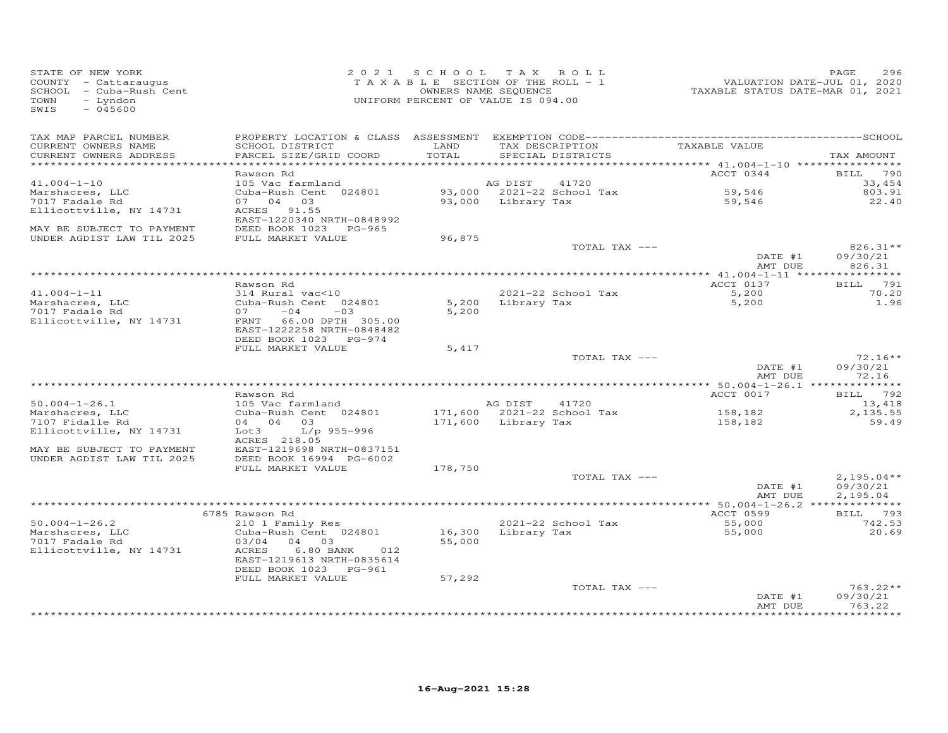| TAX MAP PARCEL NUMBER<br>TAXABLE VALUE<br>SCHOOL DISTRICT<br>LAND<br>CURRENT OWNERS NAME<br>TAX DESCRIPTION<br>CURRENT OWNERS ADDRESS<br>PARCEL SIZE/GRID COORD<br>TOTAL<br>SPECIAL DISTRICTS<br>TAX AMOUNT<br>************************<br>ACCT 0344<br>Rawson Rd<br>BILL 790<br>$41.004 - 1 - 10$<br>105 Vac farmland<br>AG DIST<br>41720<br>33,454<br>Cuba-Rush Cent 024801<br>93,000 2021-22 School Tax<br>59,546<br>59.546<br>803.91<br>Marshacres, LLC<br>93,000 Library Tax<br>7017 Fadale Rd<br>07 04 03<br>59,546<br>22.40<br>ACRES 91.55<br>Ellicottville, NY 14731<br>EAST-1220340 NRTH-0848992<br>MAY BE SUBJECT TO PAYMENT<br>DEED BOOK 1023 PG-965<br>UNDER AGDIST LAW TIL 2025<br>FULL MARKET VALUE<br>96,875<br>TOTAL TAX ---<br>$826.31**$<br>DATE #1<br>09/30/21<br>AMT DUE<br>826.31<br>BILL 791<br>ACCT 0137<br>Rawson Rd<br>5,200<br>70.20<br>$41.004 - 1 - 11$<br>314 Rural vac<10<br>2021-22 School Tax<br>Cuba-Rush Cent 024801<br>5,200<br>Library Tax<br>5,200<br>1.96<br>Marshacres, LLC<br>$-04$<br>7017 Fadale Rd<br>07<br>$-03$<br>5,200<br>Ellicottville, NY 14731<br>FRNT 66.00 DPTH 305.00<br>EAST-1222258 NRTH-0848482<br>DEED BOOK 1023 PG-974<br>FULL MARKET VALUE<br>5,417<br>$72.16**$<br>TOTAL TAX ---<br>DATE #1<br>09/30/21<br>AMT DUE<br>72.16<br>ACCT 0017<br>Rawson Rd<br>BILL 792<br>$50.004 - 1 - 26.1$<br>105 Vac farmland<br>AG DIST<br>41720<br>13,418<br>171,600 2021-22 School Tax<br>Marshacres, LLC<br>Cuba-Rush Cent 024801<br>158,182<br>2,135.55<br>04 04 03<br>7107 Fidalle Rd<br>171,600 Library Tax<br>59.49<br>158,182<br>Ellicottville, NY 14731<br>L/p 955-996<br>Lot 3<br>ACRES 218.05<br>EAST-1219698 NRTH-0837151<br>MAY BE SUBJECT TO PAYMENT<br>UNDER AGDIST LAW TIL 2025<br>DEED BOOK 16994 PG-6002<br>FULL MARKET VALUE<br>178,750<br>$2,195.04**$<br>TOTAL TAX ---<br>09/30/21<br>DATE #1<br>AMT DUE<br>2,195.04<br>ACCT 0599<br>BILL 793<br>6785 Rawson Rd<br>$50.004 - 1 - 26.2$<br>2021-22 School Tax<br>210 1 Family Res<br>55,000<br>742.53<br>Cuba-Rush Cent 024801<br>16,300 Library Tax<br>Marshacres, LLC<br>55,000<br>20.69<br>7017 Fadale Rd<br>03/04 04 03<br>55,000<br>Ellicottville, NY 14731<br>ACRES<br>$6.80$ BANK<br>012<br>EAST-1219613 NRTH-0835614<br>DEED BOOK 1023 PG-961<br>57,292<br>FULL MARKET VALUE<br>$763.22**$<br>TOTAL TAX ---<br>09/30/21<br>DATE #1<br>763.22<br>AMT DUE<br>**********<br>****************** | STATE OF NEW YORK<br>COUNTY - Cattaraugus<br>SCHOOL - Cuba-Rush Cent<br>- Lyndon<br>TOWN<br>SWIS<br>$-045600$ |  | 2021 SCHOOL TAX ROLL<br>TAXABLE SECTION OF THE ROLL - 1<br>OWNERS NAME SEQUENCE<br>UNIFORM PERCENT OF VALUE IS 094.00 | VALUATION DATE-JUL 01, 2020<br>TAXABLE STATUS DATE-MAR 01, 2021 | PAGE<br>296 |
|---------------------------------------------------------------------------------------------------------------------------------------------------------------------------------------------------------------------------------------------------------------------------------------------------------------------------------------------------------------------------------------------------------------------------------------------------------------------------------------------------------------------------------------------------------------------------------------------------------------------------------------------------------------------------------------------------------------------------------------------------------------------------------------------------------------------------------------------------------------------------------------------------------------------------------------------------------------------------------------------------------------------------------------------------------------------------------------------------------------------------------------------------------------------------------------------------------------------------------------------------------------------------------------------------------------------------------------------------------------------------------------------------------------------------------------------------------------------------------------------------------------------------------------------------------------------------------------------------------------------------------------------------------------------------------------------------------------------------------------------------------------------------------------------------------------------------------------------------------------------------------------------------------------------------------------------------------------------------------------------------------------------------------------------------------------------------------------------------------------------------------------------------------------------------------------------------------------------------------------------------------------------------------------------------------------------------------------------------------------------------------------------------------------------|---------------------------------------------------------------------------------------------------------------|--|-----------------------------------------------------------------------------------------------------------------------|-----------------------------------------------------------------|-------------|
|                                                                                                                                                                                                                                                                                                                                                                                                                                                                                                                                                                                                                                                                                                                                                                                                                                                                                                                                                                                                                                                                                                                                                                                                                                                                                                                                                                                                                                                                                                                                                                                                                                                                                                                                                                                                                                                                                                                                                                                                                                                                                                                                                                                                                                                                                                                                                                                                                     |                                                                                                               |  |                                                                                                                       |                                                                 |             |
|                                                                                                                                                                                                                                                                                                                                                                                                                                                                                                                                                                                                                                                                                                                                                                                                                                                                                                                                                                                                                                                                                                                                                                                                                                                                                                                                                                                                                                                                                                                                                                                                                                                                                                                                                                                                                                                                                                                                                                                                                                                                                                                                                                                                                                                                                                                                                                                                                     |                                                                                                               |  |                                                                                                                       |                                                                 |             |
|                                                                                                                                                                                                                                                                                                                                                                                                                                                                                                                                                                                                                                                                                                                                                                                                                                                                                                                                                                                                                                                                                                                                                                                                                                                                                                                                                                                                                                                                                                                                                                                                                                                                                                                                                                                                                                                                                                                                                                                                                                                                                                                                                                                                                                                                                                                                                                                                                     |                                                                                                               |  |                                                                                                                       |                                                                 |             |
|                                                                                                                                                                                                                                                                                                                                                                                                                                                                                                                                                                                                                                                                                                                                                                                                                                                                                                                                                                                                                                                                                                                                                                                                                                                                                                                                                                                                                                                                                                                                                                                                                                                                                                                                                                                                                                                                                                                                                                                                                                                                                                                                                                                                                                                                                                                                                                                                                     |                                                                                                               |  |                                                                                                                       |                                                                 |             |
|                                                                                                                                                                                                                                                                                                                                                                                                                                                                                                                                                                                                                                                                                                                                                                                                                                                                                                                                                                                                                                                                                                                                                                                                                                                                                                                                                                                                                                                                                                                                                                                                                                                                                                                                                                                                                                                                                                                                                                                                                                                                                                                                                                                                                                                                                                                                                                                                                     |                                                                                                               |  |                                                                                                                       |                                                                 |             |
|                                                                                                                                                                                                                                                                                                                                                                                                                                                                                                                                                                                                                                                                                                                                                                                                                                                                                                                                                                                                                                                                                                                                                                                                                                                                                                                                                                                                                                                                                                                                                                                                                                                                                                                                                                                                                                                                                                                                                                                                                                                                                                                                                                                                                                                                                                                                                                                                                     |                                                                                                               |  |                                                                                                                       |                                                                 |             |
|                                                                                                                                                                                                                                                                                                                                                                                                                                                                                                                                                                                                                                                                                                                                                                                                                                                                                                                                                                                                                                                                                                                                                                                                                                                                                                                                                                                                                                                                                                                                                                                                                                                                                                                                                                                                                                                                                                                                                                                                                                                                                                                                                                                                                                                                                                                                                                                                                     |                                                                                                               |  |                                                                                                                       |                                                                 |             |
|                                                                                                                                                                                                                                                                                                                                                                                                                                                                                                                                                                                                                                                                                                                                                                                                                                                                                                                                                                                                                                                                                                                                                                                                                                                                                                                                                                                                                                                                                                                                                                                                                                                                                                                                                                                                                                                                                                                                                                                                                                                                                                                                                                                                                                                                                                                                                                                                                     |                                                                                                               |  |                                                                                                                       |                                                                 |             |
|                                                                                                                                                                                                                                                                                                                                                                                                                                                                                                                                                                                                                                                                                                                                                                                                                                                                                                                                                                                                                                                                                                                                                                                                                                                                                                                                                                                                                                                                                                                                                                                                                                                                                                                                                                                                                                                                                                                                                                                                                                                                                                                                                                                                                                                                                                                                                                                                                     |                                                                                                               |  |                                                                                                                       |                                                                 |             |
|                                                                                                                                                                                                                                                                                                                                                                                                                                                                                                                                                                                                                                                                                                                                                                                                                                                                                                                                                                                                                                                                                                                                                                                                                                                                                                                                                                                                                                                                                                                                                                                                                                                                                                                                                                                                                                                                                                                                                                                                                                                                                                                                                                                                                                                                                                                                                                                                                     |                                                                                                               |  |                                                                                                                       |                                                                 |             |
|                                                                                                                                                                                                                                                                                                                                                                                                                                                                                                                                                                                                                                                                                                                                                                                                                                                                                                                                                                                                                                                                                                                                                                                                                                                                                                                                                                                                                                                                                                                                                                                                                                                                                                                                                                                                                                                                                                                                                                                                                                                                                                                                                                                                                                                                                                                                                                                                                     |                                                                                                               |  |                                                                                                                       |                                                                 |             |
|                                                                                                                                                                                                                                                                                                                                                                                                                                                                                                                                                                                                                                                                                                                                                                                                                                                                                                                                                                                                                                                                                                                                                                                                                                                                                                                                                                                                                                                                                                                                                                                                                                                                                                                                                                                                                                                                                                                                                                                                                                                                                                                                                                                                                                                                                                                                                                                                                     |                                                                                                               |  |                                                                                                                       |                                                                 |             |
|                                                                                                                                                                                                                                                                                                                                                                                                                                                                                                                                                                                                                                                                                                                                                                                                                                                                                                                                                                                                                                                                                                                                                                                                                                                                                                                                                                                                                                                                                                                                                                                                                                                                                                                                                                                                                                                                                                                                                                                                                                                                                                                                                                                                                                                                                                                                                                                                                     |                                                                                                               |  |                                                                                                                       |                                                                 |             |
|                                                                                                                                                                                                                                                                                                                                                                                                                                                                                                                                                                                                                                                                                                                                                                                                                                                                                                                                                                                                                                                                                                                                                                                                                                                                                                                                                                                                                                                                                                                                                                                                                                                                                                                                                                                                                                                                                                                                                                                                                                                                                                                                                                                                                                                                                                                                                                                                                     |                                                                                                               |  |                                                                                                                       |                                                                 |             |
|                                                                                                                                                                                                                                                                                                                                                                                                                                                                                                                                                                                                                                                                                                                                                                                                                                                                                                                                                                                                                                                                                                                                                                                                                                                                                                                                                                                                                                                                                                                                                                                                                                                                                                                                                                                                                                                                                                                                                                                                                                                                                                                                                                                                                                                                                                                                                                                                                     |                                                                                                               |  |                                                                                                                       |                                                                 |             |
|                                                                                                                                                                                                                                                                                                                                                                                                                                                                                                                                                                                                                                                                                                                                                                                                                                                                                                                                                                                                                                                                                                                                                                                                                                                                                                                                                                                                                                                                                                                                                                                                                                                                                                                                                                                                                                                                                                                                                                                                                                                                                                                                                                                                                                                                                                                                                                                                                     |                                                                                                               |  |                                                                                                                       |                                                                 |             |
|                                                                                                                                                                                                                                                                                                                                                                                                                                                                                                                                                                                                                                                                                                                                                                                                                                                                                                                                                                                                                                                                                                                                                                                                                                                                                                                                                                                                                                                                                                                                                                                                                                                                                                                                                                                                                                                                                                                                                                                                                                                                                                                                                                                                                                                                                                                                                                                                                     |                                                                                                               |  |                                                                                                                       |                                                                 |             |
|                                                                                                                                                                                                                                                                                                                                                                                                                                                                                                                                                                                                                                                                                                                                                                                                                                                                                                                                                                                                                                                                                                                                                                                                                                                                                                                                                                                                                                                                                                                                                                                                                                                                                                                                                                                                                                                                                                                                                                                                                                                                                                                                                                                                                                                                                                                                                                                                                     |                                                                                                               |  |                                                                                                                       |                                                                 |             |
|                                                                                                                                                                                                                                                                                                                                                                                                                                                                                                                                                                                                                                                                                                                                                                                                                                                                                                                                                                                                                                                                                                                                                                                                                                                                                                                                                                                                                                                                                                                                                                                                                                                                                                                                                                                                                                                                                                                                                                                                                                                                                                                                                                                                                                                                                                                                                                                                                     |                                                                                                               |  |                                                                                                                       |                                                                 |             |
|                                                                                                                                                                                                                                                                                                                                                                                                                                                                                                                                                                                                                                                                                                                                                                                                                                                                                                                                                                                                                                                                                                                                                                                                                                                                                                                                                                                                                                                                                                                                                                                                                                                                                                                                                                                                                                                                                                                                                                                                                                                                                                                                                                                                                                                                                                                                                                                                                     |                                                                                                               |  |                                                                                                                       |                                                                 |             |
|                                                                                                                                                                                                                                                                                                                                                                                                                                                                                                                                                                                                                                                                                                                                                                                                                                                                                                                                                                                                                                                                                                                                                                                                                                                                                                                                                                                                                                                                                                                                                                                                                                                                                                                                                                                                                                                                                                                                                                                                                                                                                                                                                                                                                                                                                                                                                                                                                     |                                                                                                               |  |                                                                                                                       |                                                                 |             |
|                                                                                                                                                                                                                                                                                                                                                                                                                                                                                                                                                                                                                                                                                                                                                                                                                                                                                                                                                                                                                                                                                                                                                                                                                                                                                                                                                                                                                                                                                                                                                                                                                                                                                                                                                                                                                                                                                                                                                                                                                                                                                                                                                                                                                                                                                                                                                                                                                     |                                                                                                               |  |                                                                                                                       |                                                                 |             |
|                                                                                                                                                                                                                                                                                                                                                                                                                                                                                                                                                                                                                                                                                                                                                                                                                                                                                                                                                                                                                                                                                                                                                                                                                                                                                                                                                                                                                                                                                                                                                                                                                                                                                                                                                                                                                                                                                                                                                                                                                                                                                                                                                                                                                                                                                                                                                                                                                     |                                                                                                               |  |                                                                                                                       |                                                                 |             |
|                                                                                                                                                                                                                                                                                                                                                                                                                                                                                                                                                                                                                                                                                                                                                                                                                                                                                                                                                                                                                                                                                                                                                                                                                                                                                                                                                                                                                                                                                                                                                                                                                                                                                                                                                                                                                                                                                                                                                                                                                                                                                                                                                                                                                                                                                                                                                                                                                     |                                                                                                               |  |                                                                                                                       |                                                                 |             |
|                                                                                                                                                                                                                                                                                                                                                                                                                                                                                                                                                                                                                                                                                                                                                                                                                                                                                                                                                                                                                                                                                                                                                                                                                                                                                                                                                                                                                                                                                                                                                                                                                                                                                                                                                                                                                                                                                                                                                                                                                                                                                                                                                                                                                                                                                                                                                                                                                     |                                                                                                               |  |                                                                                                                       |                                                                 |             |
|                                                                                                                                                                                                                                                                                                                                                                                                                                                                                                                                                                                                                                                                                                                                                                                                                                                                                                                                                                                                                                                                                                                                                                                                                                                                                                                                                                                                                                                                                                                                                                                                                                                                                                                                                                                                                                                                                                                                                                                                                                                                                                                                                                                                                                                                                                                                                                                                                     |                                                                                                               |  |                                                                                                                       |                                                                 |             |
|                                                                                                                                                                                                                                                                                                                                                                                                                                                                                                                                                                                                                                                                                                                                                                                                                                                                                                                                                                                                                                                                                                                                                                                                                                                                                                                                                                                                                                                                                                                                                                                                                                                                                                                                                                                                                                                                                                                                                                                                                                                                                                                                                                                                                                                                                                                                                                                                                     |                                                                                                               |  |                                                                                                                       |                                                                 |             |
|                                                                                                                                                                                                                                                                                                                                                                                                                                                                                                                                                                                                                                                                                                                                                                                                                                                                                                                                                                                                                                                                                                                                                                                                                                                                                                                                                                                                                                                                                                                                                                                                                                                                                                                                                                                                                                                                                                                                                                                                                                                                                                                                                                                                                                                                                                                                                                                                                     |                                                                                                               |  |                                                                                                                       |                                                                 |             |
|                                                                                                                                                                                                                                                                                                                                                                                                                                                                                                                                                                                                                                                                                                                                                                                                                                                                                                                                                                                                                                                                                                                                                                                                                                                                                                                                                                                                                                                                                                                                                                                                                                                                                                                                                                                                                                                                                                                                                                                                                                                                                                                                                                                                                                                                                                                                                                                                                     |                                                                                                               |  |                                                                                                                       |                                                                 |             |
|                                                                                                                                                                                                                                                                                                                                                                                                                                                                                                                                                                                                                                                                                                                                                                                                                                                                                                                                                                                                                                                                                                                                                                                                                                                                                                                                                                                                                                                                                                                                                                                                                                                                                                                                                                                                                                                                                                                                                                                                                                                                                                                                                                                                                                                                                                                                                                                                                     |                                                                                                               |  |                                                                                                                       |                                                                 |             |
|                                                                                                                                                                                                                                                                                                                                                                                                                                                                                                                                                                                                                                                                                                                                                                                                                                                                                                                                                                                                                                                                                                                                                                                                                                                                                                                                                                                                                                                                                                                                                                                                                                                                                                                                                                                                                                                                                                                                                                                                                                                                                                                                                                                                                                                                                                                                                                                                                     |                                                                                                               |  |                                                                                                                       |                                                                 |             |
|                                                                                                                                                                                                                                                                                                                                                                                                                                                                                                                                                                                                                                                                                                                                                                                                                                                                                                                                                                                                                                                                                                                                                                                                                                                                                                                                                                                                                                                                                                                                                                                                                                                                                                                                                                                                                                                                                                                                                                                                                                                                                                                                                                                                                                                                                                                                                                                                                     |                                                                                                               |  |                                                                                                                       |                                                                 |             |
|                                                                                                                                                                                                                                                                                                                                                                                                                                                                                                                                                                                                                                                                                                                                                                                                                                                                                                                                                                                                                                                                                                                                                                                                                                                                                                                                                                                                                                                                                                                                                                                                                                                                                                                                                                                                                                                                                                                                                                                                                                                                                                                                                                                                                                                                                                                                                                                                                     |                                                                                                               |  |                                                                                                                       |                                                                 |             |
|                                                                                                                                                                                                                                                                                                                                                                                                                                                                                                                                                                                                                                                                                                                                                                                                                                                                                                                                                                                                                                                                                                                                                                                                                                                                                                                                                                                                                                                                                                                                                                                                                                                                                                                                                                                                                                                                                                                                                                                                                                                                                                                                                                                                                                                                                                                                                                                                                     |                                                                                                               |  |                                                                                                                       |                                                                 |             |
|                                                                                                                                                                                                                                                                                                                                                                                                                                                                                                                                                                                                                                                                                                                                                                                                                                                                                                                                                                                                                                                                                                                                                                                                                                                                                                                                                                                                                                                                                                                                                                                                                                                                                                                                                                                                                                                                                                                                                                                                                                                                                                                                                                                                                                                                                                                                                                                                                     |                                                                                                               |  |                                                                                                                       |                                                                 |             |
|                                                                                                                                                                                                                                                                                                                                                                                                                                                                                                                                                                                                                                                                                                                                                                                                                                                                                                                                                                                                                                                                                                                                                                                                                                                                                                                                                                                                                                                                                                                                                                                                                                                                                                                                                                                                                                                                                                                                                                                                                                                                                                                                                                                                                                                                                                                                                                                                                     |                                                                                                               |  |                                                                                                                       |                                                                 |             |
|                                                                                                                                                                                                                                                                                                                                                                                                                                                                                                                                                                                                                                                                                                                                                                                                                                                                                                                                                                                                                                                                                                                                                                                                                                                                                                                                                                                                                                                                                                                                                                                                                                                                                                                                                                                                                                                                                                                                                                                                                                                                                                                                                                                                                                                                                                                                                                                                                     |                                                                                                               |  |                                                                                                                       |                                                                 |             |
|                                                                                                                                                                                                                                                                                                                                                                                                                                                                                                                                                                                                                                                                                                                                                                                                                                                                                                                                                                                                                                                                                                                                                                                                                                                                                                                                                                                                                                                                                                                                                                                                                                                                                                                                                                                                                                                                                                                                                                                                                                                                                                                                                                                                                                                                                                                                                                                                                     |                                                                                                               |  |                                                                                                                       |                                                                 |             |
|                                                                                                                                                                                                                                                                                                                                                                                                                                                                                                                                                                                                                                                                                                                                                                                                                                                                                                                                                                                                                                                                                                                                                                                                                                                                                                                                                                                                                                                                                                                                                                                                                                                                                                                                                                                                                                                                                                                                                                                                                                                                                                                                                                                                                                                                                                                                                                                                                     |                                                                                                               |  |                                                                                                                       |                                                                 |             |
|                                                                                                                                                                                                                                                                                                                                                                                                                                                                                                                                                                                                                                                                                                                                                                                                                                                                                                                                                                                                                                                                                                                                                                                                                                                                                                                                                                                                                                                                                                                                                                                                                                                                                                                                                                                                                                                                                                                                                                                                                                                                                                                                                                                                                                                                                                                                                                                                                     |                                                                                                               |  |                                                                                                                       |                                                                 |             |
|                                                                                                                                                                                                                                                                                                                                                                                                                                                                                                                                                                                                                                                                                                                                                                                                                                                                                                                                                                                                                                                                                                                                                                                                                                                                                                                                                                                                                                                                                                                                                                                                                                                                                                                                                                                                                                                                                                                                                                                                                                                                                                                                                                                                                                                                                                                                                                                                                     |                                                                                                               |  |                                                                                                                       |                                                                 |             |
|                                                                                                                                                                                                                                                                                                                                                                                                                                                                                                                                                                                                                                                                                                                                                                                                                                                                                                                                                                                                                                                                                                                                                                                                                                                                                                                                                                                                                                                                                                                                                                                                                                                                                                                                                                                                                                                                                                                                                                                                                                                                                                                                                                                                                                                                                                                                                                                                                     |                                                                                                               |  |                                                                                                                       |                                                                 |             |
|                                                                                                                                                                                                                                                                                                                                                                                                                                                                                                                                                                                                                                                                                                                                                                                                                                                                                                                                                                                                                                                                                                                                                                                                                                                                                                                                                                                                                                                                                                                                                                                                                                                                                                                                                                                                                                                                                                                                                                                                                                                                                                                                                                                                                                                                                                                                                                                                                     |                                                                                                               |  |                                                                                                                       |                                                                 |             |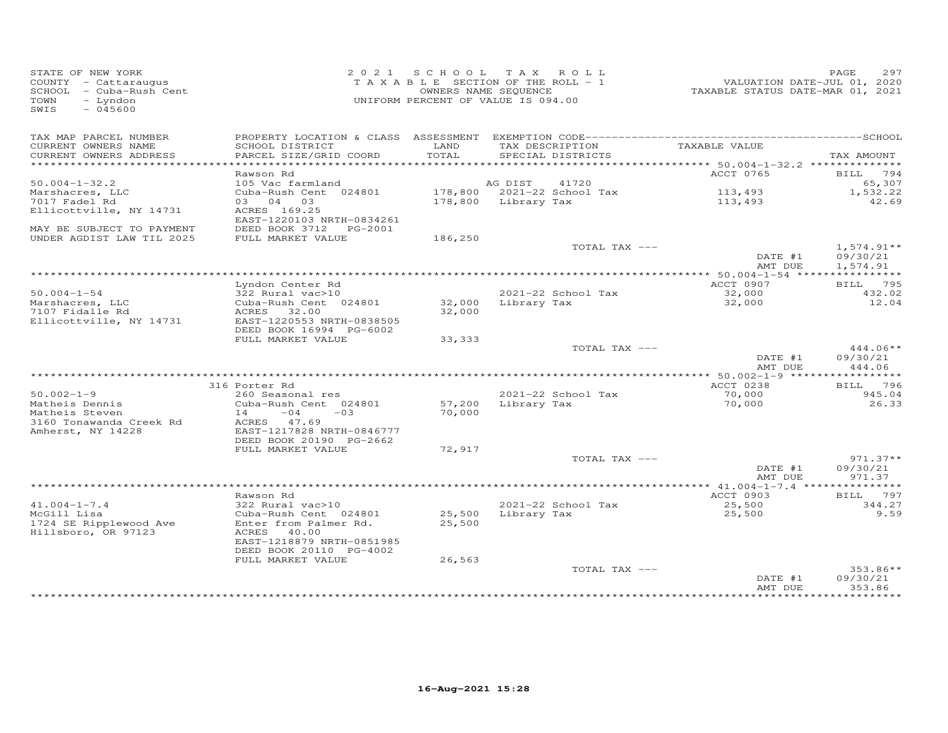| STATE OF NEW YORK<br>COUNTY - Cattaraugus<br>SCHOOL - Cuba-Rush Cent<br>TOWN - Cuba-Rush Cent<br>TOWN - T--- J<br>TOWN<br>- Lyndon<br>$-045600$<br>SWIS |                                                                                                       | 2021 SCHOOL TAX ROLL<br>TAXABLE SECTION OF THE ROLL - 1<br>OWNERS NAME SEQUENCE<br>UNIFORM PERCENT OF VALUE IS 094.00 |                                          | -- ------<br>TAXABLE STATUS DATE-JUL 01, 2020<br>TAXABLE STATUS DATE-MAR 01, 2021 | PAGE<br>297                          |
|---------------------------------------------------------------------------------------------------------------------------------------------------------|-------------------------------------------------------------------------------------------------------|-----------------------------------------------------------------------------------------------------------------------|------------------------------------------|-----------------------------------------------------------------------------------|--------------------------------------|
| TAX MAP PARCEL NUMBER<br>CURRENT OWNERS NAME<br>CURRENT OWNERS ADDRESS                                                                                  | SCHOOL DISTRICT<br>PARCEL SIZE/GRID COORD                                                             | LAND<br>TOTAL                                                                                                         | TAX DESCRIPTION<br>SPECIAL DISTRICTS     | TAXABLE VALUE                                                                     | TAX AMOUNT                           |
| ******************************                                                                                                                          |                                                                                                       |                                                                                                                       |                                          |                                                                                   |                                      |
|                                                                                                                                                         | Rawson Rd                                                                                             |                                                                                                                       |                                          | ACCT 0765                                                                         | BILL 794                             |
| $50.004 - 1 - 32.2$<br>Marshacres, LLC<br>7017 Fadel Rd<br>Ellicottville, NY 14731                                                                      | 105 Vac farmland<br>Cuba-Rush Cent 024801<br>03 04 03<br>ACRES 169.25                                 | AG DIST<br>178,800 Library Tax                                                                                        | 41720<br>178,800 2021-22 School Tax      | 113,493<br>113,493                                                                | 65,307<br>1,532.22<br>42.69          |
| MAY BE SUBJECT TO PAYMENT<br>UNDER AGDIST LAW TIL 2025                                                                                                  | EAST-1220103 NRTH-0834261<br>DEED BOOK 3712 PG-2001<br>FULL MARKET VALUE                              | 186,250                                                                                                               |                                          |                                                                                   |                                      |
|                                                                                                                                                         |                                                                                                       |                                                                                                                       | TOTAL TAX ---                            | DATE #1<br>AMT DUE                                                                | $1,574.91**$<br>09/30/21<br>1,574.91 |
|                                                                                                                                                         |                                                                                                       |                                                                                                                       |                                          |                                                                                   |                                      |
| $50.004 - 1 - 54$<br>Marshacres, LLC                                                                                                                    | Lyndon Center Rd<br>322 Rural vac>10<br>Cuba-Rush Cent 024801                                         |                                                                                                                       | 2021-22 School Tax<br>32,000 Library Tax | ACCT 0907<br>32,000<br>32,000                                                     | BILL 795<br>432.02<br>12.04          |
| 7107 Fidalle Rd<br>Ellicottville, NY 14731                                                                                                              | ACRES 32.00<br>EAST-1220553 NRTH-0838505<br>DEED BOOK 16994 PG-6002                                   | 32,000                                                                                                                |                                          |                                                                                   |                                      |
|                                                                                                                                                         | FULL MARKET VALUE                                                                                     | 33, 333                                                                                                               | TOTAL TAX ---                            | DATE #1<br>AMT DUE                                                                | $444.06**$<br>09/30/21<br>444.06     |
|                                                                                                                                                         |                                                                                                       |                                                                                                                       |                                          |                                                                                   |                                      |
|                                                                                                                                                         | 316 Porter Rd                                                                                         |                                                                                                                       |                                          | ACCT 0238                                                                         | BILL 796                             |
| $50.002 - 1 - 9$<br>Matheis Dennis<br>Matheis Steven<br>3160 Tonawanda Creek Rd<br>Amherst, NY 14228                                                    | 260 Seasonal res<br>Cuba-Rush Cent 024801<br>$14 -04 -03$<br>ACRES 47.69<br>EAST-1217828 NRTH-0846777 | 70,000                                                                                                                | 2021-22 School Tax<br>57,200 Library Tax | 70,000<br>70,000                                                                  | 945.04<br>26.33                      |
|                                                                                                                                                         | DEED BOOK 20190 PG-2662                                                                               |                                                                                                                       |                                          |                                                                                   |                                      |
|                                                                                                                                                         | FULL MARKET VALUE                                                                                     | 72,917                                                                                                                | TOTAL TAX ---                            | DATE #1                                                                           | $971.37**$<br>09/30/21               |
|                                                                                                                                                         |                                                                                                       |                                                                                                                       |                                          | AMT DUE                                                                           | 971.37                               |
|                                                                                                                                                         |                                                                                                       |                                                                                                                       |                                          |                                                                                   |                                      |
| $41.004 - 1 - 7.4$<br>McGill Lisa                                                                                                                       | Rawson Rd<br>322 Rural vac>10<br>Cuba-Rush Cent 024801                                                |                                                                                                                       | 2021-22 School Tax<br>25,500 Library Tax | ACCT 0903<br>25,500<br>25,500                                                     | BILL 797<br>344.27<br>9.59           |
| 1724 SE Ripplewood Ave<br>Hillsboro, OR 97123                                                                                                           | Enter from Palmer Rd.<br>ACRES 40.00<br>EAST-1218879 NRTH-0851985<br>DEED BOOK 20110 PG-4002          | 25,500                                                                                                                |                                          |                                                                                   |                                      |
|                                                                                                                                                         | FULL MARKET VALUE                                                                                     | 26,563                                                                                                                | TOTAL TAX ---                            | DATE #1                                                                           | $353.86**$<br>09/30/21               |
|                                                                                                                                                         |                                                                                                       |                                                                                                                       |                                          | AMT DUE                                                                           | 353.86                               |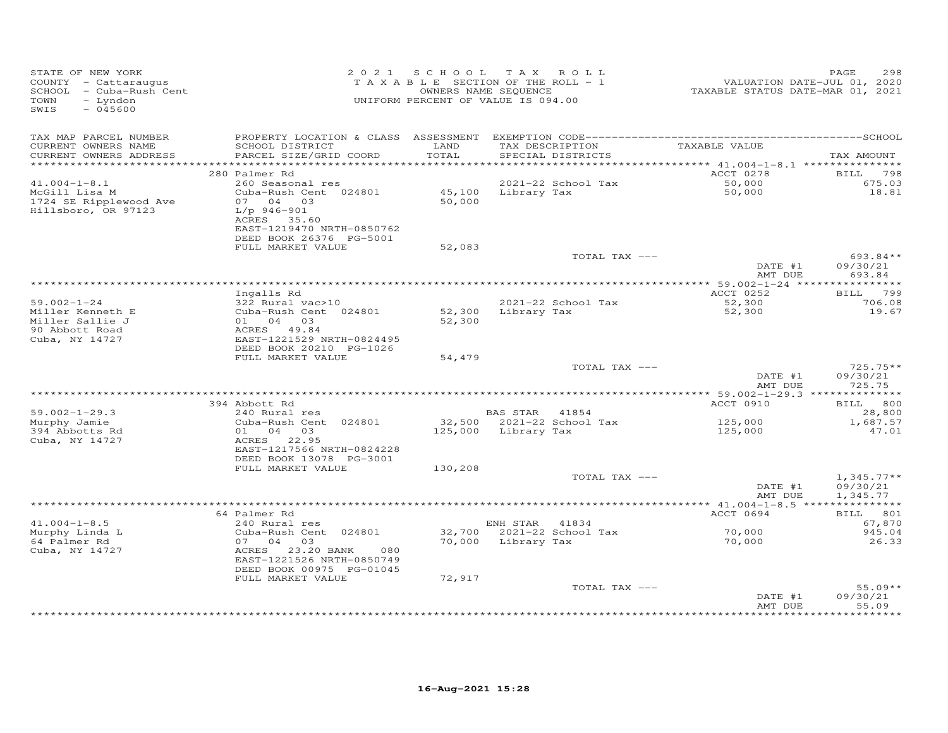| TAX MAP PARCEL NUMBER<br>TAX DESCRIPTION<br>TAXABLE VALUE<br>LAND<br>CURRENT OWNERS NAME<br>SCHOOL DISTRICT<br>TOTAL<br>CURRENT OWNERS ADDRESS<br>PARCEL SIZE/GRID COORD<br>SPECIAL DISTRICTS<br>ACCT 0278<br>280 Palmer Rd<br>$2021-22$ School Tax<br>$41.004 - 1 - 8.1$<br>50,000<br>50,000<br>260 Seasonal res<br>$45,100$ Library Tax<br>McGill Lisa M<br>Cuba-Rush Cent 024801<br>50,000<br>1724 SE Ripplewood Ave<br>07 04 03<br>Hillsboro, OR 97123<br>L/p 946-901<br>ACRES 35.60<br>EAST-1219470 NRTH-0850762<br>DEED BOOK 26376 PG-5001<br>FULL MARKET VALUE<br>52,083<br>TOTAL TAX ---<br>DATE #1<br>AMT DUE<br>693.84<br>ACCT 0252<br>Ingalls Rd<br>2021-22 School Tax<br>$59.002 - 1 - 24$<br>322 Rural vac>10<br>52,300<br>52,300<br>52,300 Library Tax<br>Cuba-Rush Cent 024801<br>Miller Kenneth E<br>Miller Sallie J<br>01 04 03<br>52,300<br>ACRES 49.84<br>90 Abbott Road<br>Cuba, NY 14727<br>EAST-1221529 NRTH-0824495<br>DEED BOOK 20210 PG-1026<br>FULL MARKET VALUE<br>54,479<br>TOTAL TAX ---<br>DATE #1<br>AMT DUE<br>394 Abbott Rd<br>ACCT 0910<br>$59.002 - 1 - 29.3$<br>240 Rural res<br>BAS STAR 41854<br>32,500 2021-22 School Tax<br>125,000<br>Murphy Jamie<br>Cuba-Rush Cent 024801<br>1,687.57<br>125,000 Library Tax<br>394 Abbotts Rd<br>01 04 03<br>125,000<br>ACRES 22.95<br>Cuba, NY 14727<br>EAST-1217566 NRTH-0824228<br>DEED BOOK 13078 PG-3001<br>FULL MARKET VALUE<br>130,208<br>TOTAL TAX ---<br>DATE #1<br>AMT DUE<br>BILL 801<br>64 Palmer Rd<br>ACCT 0694<br>$41.004 - 1 - 8.5$<br>ENH STAR 41834<br>67,870<br>240 Rural res<br>70,000<br>32,700 2021-22 School Tax<br>Murphy Linda L<br>Cuba-Rush Cent 024801<br>64 Palmer Rd<br>07 04 03<br>70,000 Library Tax<br>70,000<br>ACRES 23.20 BANK<br>Cuba, NY 14727<br>080<br>EAST-1221526 NRTH-0850749<br>DEED BOOK 00975 PG-01045<br>72,917<br>FULL MARKET VALUE<br>TOTAL TAX ---<br>DATE #1 | STATE OF NEW YORK<br>STATE OF NEW YORR<br>COUNTY - Cattaraugus<br>SCHOOL - Cuba-Rush Cent<br>- Lyndon<br>TOWN<br>$-045600$<br>SWIS |  | 2021 SCHOOL TAX ROLL<br>T A X A B L E SECTION OF THE ROLL - 1<br>OWNERS NAME SEQUENCE<br>UNIFORM PERCENT OF VALUE IS 094.00 | VALUATION DATE-JUL 01, 2020<br>TAXABLE STATUS DATE-MAR 01, 2021 | 298<br>PAGE                      |
|---------------------------------------------------------------------------------------------------------------------------------------------------------------------------------------------------------------------------------------------------------------------------------------------------------------------------------------------------------------------------------------------------------------------------------------------------------------------------------------------------------------------------------------------------------------------------------------------------------------------------------------------------------------------------------------------------------------------------------------------------------------------------------------------------------------------------------------------------------------------------------------------------------------------------------------------------------------------------------------------------------------------------------------------------------------------------------------------------------------------------------------------------------------------------------------------------------------------------------------------------------------------------------------------------------------------------------------------------------------------------------------------------------------------------------------------------------------------------------------------------------------------------------------------------------------------------------------------------------------------------------------------------------------------------------------------------------------------------------------------------------------------------------------------------------------------------------------------------------------------------------------------|------------------------------------------------------------------------------------------------------------------------------------|--|-----------------------------------------------------------------------------------------------------------------------------|-----------------------------------------------------------------|----------------------------------|
|                                                                                                                                                                                                                                                                                                                                                                                                                                                                                                                                                                                                                                                                                                                                                                                                                                                                                                                                                                                                                                                                                                                                                                                                                                                                                                                                                                                                                                                                                                                                                                                                                                                                                                                                                                                                                                                                                             |                                                                                                                                    |  |                                                                                                                             |                                                                 | TAX AMOUNT                       |
|                                                                                                                                                                                                                                                                                                                                                                                                                                                                                                                                                                                                                                                                                                                                                                                                                                                                                                                                                                                                                                                                                                                                                                                                                                                                                                                                                                                                                                                                                                                                                                                                                                                                                                                                                                                                                                                                                             |                                                                                                                                    |  |                                                                                                                             |                                                                 |                                  |
|                                                                                                                                                                                                                                                                                                                                                                                                                                                                                                                                                                                                                                                                                                                                                                                                                                                                                                                                                                                                                                                                                                                                                                                                                                                                                                                                                                                                                                                                                                                                                                                                                                                                                                                                                                                                                                                                                             |                                                                                                                                    |  |                                                                                                                             |                                                                 | BILL 798                         |
|                                                                                                                                                                                                                                                                                                                                                                                                                                                                                                                                                                                                                                                                                                                                                                                                                                                                                                                                                                                                                                                                                                                                                                                                                                                                                                                                                                                                                                                                                                                                                                                                                                                                                                                                                                                                                                                                                             |                                                                                                                                    |  |                                                                                                                             |                                                                 | 675.03<br>18.81                  |
|                                                                                                                                                                                                                                                                                                                                                                                                                                                                                                                                                                                                                                                                                                                                                                                                                                                                                                                                                                                                                                                                                                                                                                                                                                                                                                                                                                                                                                                                                                                                                                                                                                                                                                                                                                                                                                                                                             |                                                                                                                                    |  |                                                                                                                             |                                                                 |                                  |
|                                                                                                                                                                                                                                                                                                                                                                                                                                                                                                                                                                                                                                                                                                                                                                                                                                                                                                                                                                                                                                                                                                                                                                                                                                                                                                                                                                                                                                                                                                                                                                                                                                                                                                                                                                                                                                                                                             |                                                                                                                                    |  |                                                                                                                             |                                                                 | 693.84**<br>09/30/21             |
|                                                                                                                                                                                                                                                                                                                                                                                                                                                                                                                                                                                                                                                                                                                                                                                                                                                                                                                                                                                                                                                                                                                                                                                                                                                                                                                                                                                                                                                                                                                                                                                                                                                                                                                                                                                                                                                                                             |                                                                                                                                    |  |                                                                                                                             |                                                                 |                                  |
|                                                                                                                                                                                                                                                                                                                                                                                                                                                                                                                                                                                                                                                                                                                                                                                                                                                                                                                                                                                                                                                                                                                                                                                                                                                                                                                                                                                                                                                                                                                                                                                                                                                                                                                                                                                                                                                                                             |                                                                                                                                    |  |                                                                                                                             |                                                                 | BILL 799                         |
|                                                                                                                                                                                                                                                                                                                                                                                                                                                                                                                                                                                                                                                                                                                                                                                                                                                                                                                                                                                                                                                                                                                                                                                                                                                                                                                                                                                                                                                                                                                                                                                                                                                                                                                                                                                                                                                                                             |                                                                                                                                    |  |                                                                                                                             |                                                                 | 706.08                           |
|                                                                                                                                                                                                                                                                                                                                                                                                                                                                                                                                                                                                                                                                                                                                                                                                                                                                                                                                                                                                                                                                                                                                                                                                                                                                                                                                                                                                                                                                                                                                                                                                                                                                                                                                                                                                                                                                                             |                                                                                                                                    |  |                                                                                                                             |                                                                 | 19.67                            |
|                                                                                                                                                                                                                                                                                                                                                                                                                                                                                                                                                                                                                                                                                                                                                                                                                                                                                                                                                                                                                                                                                                                                                                                                                                                                                                                                                                                                                                                                                                                                                                                                                                                                                                                                                                                                                                                                                             |                                                                                                                                    |  |                                                                                                                             |                                                                 |                                  |
|                                                                                                                                                                                                                                                                                                                                                                                                                                                                                                                                                                                                                                                                                                                                                                                                                                                                                                                                                                                                                                                                                                                                                                                                                                                                                                                                                                                                                                                                                                                                                                                                                                                                                                                                                                                                                                                                                             |                                                                                                                                    |  |                                                                                                                             |                                                                 | $725.75**$<br>09/30/21<br>725.75 |
|                                                                                                                                                                                                                                                                                                                                                                                                                                                                                                                                                                                                                                                                                                                                                                                                                                                                                                                                                                                                                                                                                                                                                                                                                                                                                                                                                                                                                                                                                                                                                                                                                                                                                                                                                                                                                                                                                             |                                                                                                                                    |  |                                                                                                                             |                                                                 |                                  |
|                                                                                                                                                                                                                                                                                                                                                                                                                                                                                                                                                                                                                                                                                                                                                                                                                                                                                                                                                                                                                                                                                                                                                                                                                                                                                                                                                                                                                                                                                                                                                                                                                                                                                                                                                                                                                                                                                             |                                                                                                                                    |  |                                                                                                                             |                                                                 | BILL 800                         |
|                                                                                                                                                                                                                                                                                                                                                                                                                                                                                                                                                                                                                                                                                                                                                                                                                                                                                                                                                                                                                                                                                                                                                                                                                                                                                                                                                                                                                                                                                                                                                                                                                                                                                                                                                                                                                                                                                             |                                                                                                                                    |  |                                                                                                                             |                                                                 | 28,800                           |
|                                                                                                                                                                                                                                                                                                                                                                                                                                                                                                                                                                                                                                                                                                                                                                                                                                                                                                                                                                                                                                                                                                                                                                                                                                                                                                                                                                                                                                                                                                                                                                                                                                                                                                                                                                                                                                                                                             |                                                                                                                                    |  |                                                                                                                             |                                                                 | 47.01                            |
|                                                                                                                                                                                                                                                                                                                                                                                                                                                                                                                                                                                                                                                                                                                                                                                                                                                                                                                                                                                                                                                                                                                                                                                                                                                                                                                                                                                                                                                                                                                                                                                                                                                                                                                                                                                                                                                                                             |                                                                                                                                    |  |                                                                                                                             |                                                                 | $1,345.77**$                     |
|                                                                                                                                                                                                                                                                                                                                                                                                                                                                                                                                                                                                                                                                                                                                                                                                                                                                                                                                                                                                                                                                                                                                                                                                                                                                                                                                                                                                                                                                                                                                                                                                                                                                                                                                                                                                                                                                                             |                                                                                                                                    |  |                                                                                                                             |                                                                 | 09/30/21<br>1,345.77             |
|                                                                                                                                                                                                                                                                                                                                                                                                                                                                                                                                                                                                                                                                                                                                                                                                                                                                                                                                                                                                                                                                                                                                                                                                                                                                                                                                                                                                                                                                                                                                                                                                                                                                                                                                                                                                                                                                                             |                                                                                                                                    |  |                                                                                                                             |                                                                 |                                  |
|                                                                                                                                                                                                                                                                                                                                                                                                                                                                                                                                                                                                                                                                                                                                                                                                                                                                                                                                                                                                                                                                                                                                                                                                                                                                                                                                                                                                                                                                                                                                                                                                                                                                                                                                                                                                                                                                                             |                                                                                                                                    |  |                                                                                                                             |                                                                 |                                  |
|                                                                                                                                                                                                                                                                                                                                                                                                                                                                                                                                                                                                                                                                                                                                                                                                                                                                                                                                                                                                                                                                                                                                                                                                                                                                                                                                                                                                                                                                                                                                                                                                                                                                                                                                                                                                                                                                                             |                                                                                                                                    |  |                                                                                                                             |                                                                 | 945.04                           |
|                                                                                                                                                                                                                                                                                                                                                                                                                                                                                                                                                                                                                                                                                                                                                                                                                                                                                                                                                                                                                                                                                                                                                                                                                                                                                                                                                                                                                                                                                                                                                                                                                                                                                                                                                                                                                                                                                             |                                                                                                                                    |  |                                                                                                                             |                                                                 | 26.33                            |
|                                                                                                                                                                                                                                                                                                                                                                                                                                                                                                                                                                                                                                                                                                                                                                                                                                                                                                                                                                                                                                                                                                                                                                                                                                                                                                                                                                                                                                                                                                                                                                                                                                                                                                                                                                                                                                                                                             |                                                                                                                                    |  |                                                                                                                             |                                                                 | $55.09**$                        |
|                                                                                                                                                                                                                                                                                                                                                                                                                                                                                                                                                                                                                                                                                                                                                                                                                                                                                                                                                                                                                                                                                                                                                                                                                                                                                                                                                                                                                                                                                                                                                                                                                                                                                                                                                                                                                                                                                             |                                                                                                                                    |  |                                                                                                                             | AMT DUE                                                         | 09/30/21<br>55.09                |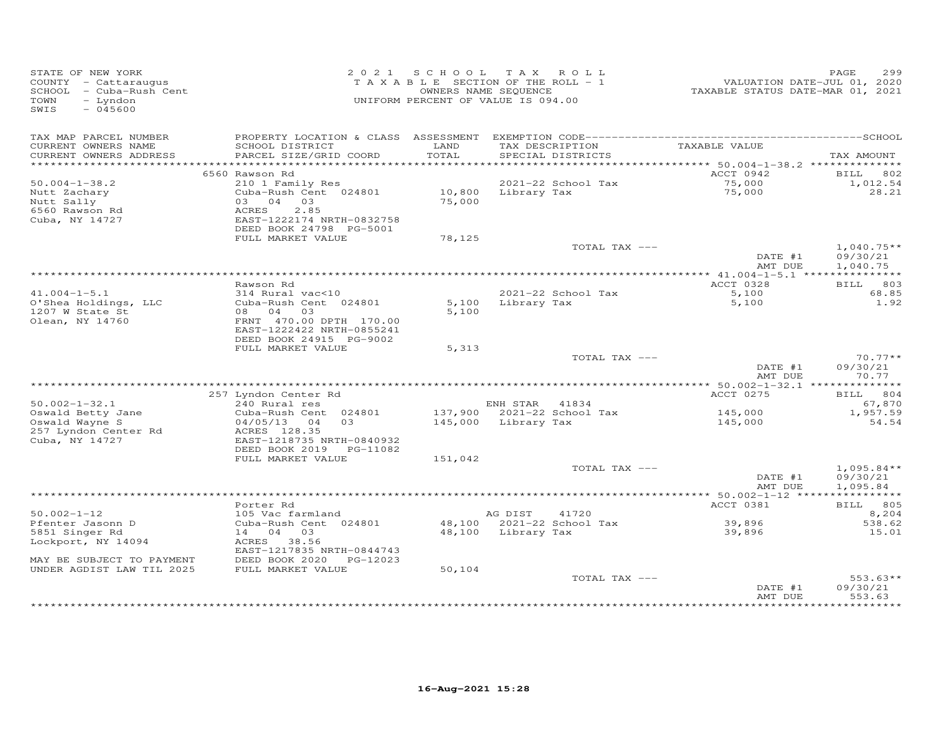| STATE OF NEW YORK<br>COUNTY - Cattaraugus<br>SCHOOL - Cuba-Rush Cent<br>TOWN<br>- Lyndon<br>$-045600$<br>SWIS |                                                                                                            |               | 2021 SCHOOL TAX ROLL<br>TAXABLE SECTION OF THE ROLL - 1<br>OWNERS NAME SEQUENCE<br>UNIFORM PERCENT OF VALUE IS 094.00 | VALUATION DATE-JUL 01, 2020<br>TAXABLE STATUS DATE-MAR 01, 2021 | 299<br>PAGE                    |
|---------------------------------------------------------------------------------------------------------------|------------------------------------------------------------------------------------------------------------|---------------|-----------------------------------------------------------------------------------------------------------------------|-----------------------------------------------------------------|--------------------------------|
| TAX MAP PARCEL NUMBER<br>CURRENT OWNERS NAME<br>CURRENT OWNERS ADDRESS                                        | SCHOOL DISTRICT<br>PARCEL SIZE/GRID COORD                                                                  | LAND<br>TOTAL | TAX DESCRIPTION<br>SPECIAL DISTRICTS                                                                                  | TAXABLE VALUE                                                   | TAX AMOUNT                     |
|                                                                                                               |                                                                                                            |               |                                                                                                                       |                                                                 |                                |
|                                                                                                               | 6560 Rawson Rd                                                                                             |               |                                                                                                                       | ACCT 0942                                                       | 802<br>BILL                    |
| $50.004 - 1 - 38.2$                                                                                           | 210 1 Family Res                                                                                           |               | 2021-22 School Tax                                                                                                    | 75,000<br>75,000                                                | 1,012.54                       |
| Nutt Zachary<br>Nutt Sally<br>6560 Rawson Rd<br>Cuba, NY 14727                                                | Cuba-Rush Cent 024801<br>03 04 03<br>ACRES<br>2.85<br>EAST-1222174 NRTH-0832758<br>DEED BOOK 24798 PG-5001 | 75,000        | 10,800 Library Tax                                                                                                    |                                                                 | 28.21                          |
|                                                                                                               | FULL MARKET VALUE                                                                                          | 78,125        |                                                                                                                       |                                                                 |                                |
|                                                                                                               |                                                                                                            |               | TOTAL TAX ---                                                                                                         | DATE #1                                                         | $1,040.75**$<br>09/30/21       |
|                                                                                                               |                                                                                                            |               |                                                                                                                       | AMT DUE                                                         | 1,040.75                       |
|                                                                                                               | Rawson Rd                                                                                                  |               |                                                                                                                       | ACCT 0328                                                       | BILL 803                       |
| $41.004 - 1 - 5.1$<br>O'Shea Holdings, LLC                                                                    | 314 Rural vac<10<br>Cuba-Rush Cent 024801                                                                  |               | $2021-22$ School Tax<br>5,100 Library Tax                                                                             | 5,100<br>5,100                                                  | 68.85<br>1.92                  |
| 1207 W State St<br>Olean, NY 14760                                                                            | 08 04 03<br>FRNT 470.00 DPTH 170.00<br>EAST-1222422 NRTH-0855241<br>DEED BOOK 24915 PG-9002                | 5,100         |                                                                                                                       |                                                                 |                                |
|                                                                                                               | FULL MARKET VALUE                                                                                          | 5,313         |                                                                                                                       |                                                                 |                                |
|                                                                                                               |                                                                                                            |               | TOTAL TAX ---                                                                                                         | DATE #1<br>AMT DUE                                              | $70.77**$<br>09/30/21<br>70.77 |
|                                                                                                               |                                                                                                            |               |                                                                                                                       |                                                                 |                                |
|                                                                                                               | 257 Lyndon Center Rd                                                                                       |               |                                                                                                                       | ACCT 0275                                                       | BILL 804                       |
| $50.002 - 1 - 32.1$                                                                                           | 240 Rural res                                                                                              |               | ENH STAR 41834                                                                                                        |                                                                 | 67,870                         |
| Oswald Betty Jane<br>Oswald Wayne S<br>257 Lyndon Center Rd                                                   | Cuba-Rush Cent 024801<br>04/05/13 04 03<br>ACRES 128.35                                                    |               | 137,900 2021-22 School Tax<br>145,000 Library Tax                                                                     | 145,000<br>145,000                                              | 1,957.59<br>54.54              |
| Cuba, NY 14727                                                                                                | EAST-1218735 NRTH-0840932<br>DEED BOOK 2019 PG-11082                                                       |               |                                                                                                                       |                                                                 |                                |
|                                                                                                               | FULL MARKET VALUE                                                                                          | 151,042       |                                                                                                                       |                                                                 |                                |
|                                                                                                               |                                                                                                            |               | TOTAL TAX ---                                                                                                         |                                                                 | $1,095.84**$                   |
|                                                                                                               |                                                                                                            |               |                                                                                                                       | DATE #1<br>AMT DUE                                              | 09/30/21<br>1,095.84           |
|                                                                                                               | Porter Rd                                                                                                  |               |                                                                                                                       | ACCT 0381                                                       | BILL 805                       |
| $50.002 - 1 - 12$                                                                                             | 105 Vac farmland                                                                                           |               | AG DIST<br>41720                                                                                                      |                                                                 | 8,204                          |
| Pfenter Jasonn D                                                                                              | Cuba-Rush Cent 024801                                                                                      |               | 48,100 2021-22 School Tax                                                                                             | 39,896                                                          | 538.62                         |
| 5851 Singer Rd                                                                                                | 14 04 03                                                                                                   |               | 48,100 Library Tax                                                                                                    | 39,896                                                          | 15.01                          |
| Lockport, NY 14094                                                                                            | ACRES 38.56<br>EAST-1217835 NRTH-0844743                                                                   |               |                                                                                                                       |                                                                 |                                |
| MAY BE SUBJECT TO PAYMENT<br>UNDER AGDIST LAW TIL 2025                                                        | DEED BOOK 2020 PG-12023<br>FULL MARKET VALUE                                                               | 50,104        |                                                                                                                       |                                                                 |                                |
|                                                                                                               |                                                                                                            |               | TOTAL TAX ---                                                                                                         |                                                                 | $553.63**$                     |
|                                                                                                               |                                                                                                            |               |                                                                                                                       | DATE #1<br>AMT DUE                                              | 09/30/21<br>553.63             |
|                                                                                                               |                                                                                                            |               |                                                                                                                       |                                                                 | ********                       |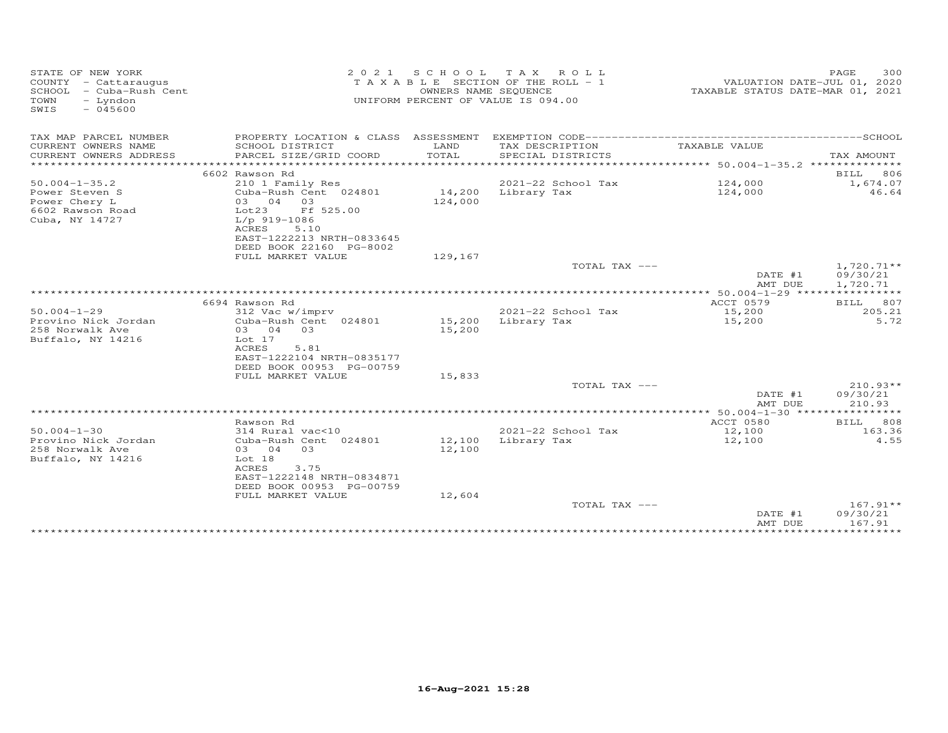| STATE OF NEW YORK<br>COUNTY - Cattaraugus<br>SCHOOL - Cuba-Rush Cent<br>TOWN<br>- Lyndon<br>SWIS<br>$-045600$ | 2 0 2 1                                                                                                                                            | OWNERS NAME SEQUENCE | SCHOOL TAX ROLL<br>T A X A B L E SECTION OF THE ROLL - 1<br>UNIFORM PERCENT OF VALUE IS 094.00 | VALUATION DATE-JUL 01, 2020<br>TAXABLE STATUS DATE-MAR 01, 2021 | PAGE<br>300                      |
|---------------------------------------------------------------------------------------------------------------|----------------------------------------------------------------------------------------------------------------------------------------------------|----------------------|------------------------------------------------------------------------------------------------|-----------------------------------------------------------------|----------------------------------|
| TAX MAP PARCEL NUMBER                                                                                         |                                                                                                                                                    |                      |                                                                                                |                                                                 |                                  |
| CURRENT OWNERS NAME<br>CURRENT OWNERS ADDRESS                                                                 | SCHOOL DISTRICT<br>PARCEL SIZE/GRID COORD                                                                                                          | LAND<br>TOTAL        | TAX DESCRIPTION<br>SPECIAL DISTRICTS                                                           | TAXABLE VALUE                                                   | TAX AMOUNT                       |
|                                                                                                               |                                                                                                                                                    |                      |                                                                                                |                                                                 |                                  |
| $50.004 - 1 - 35.2$                                                                                           | 6602 Rawson Rd<br>210 1 Family Res                                                                                                                 |                      | 2021-22 School Tax                                                                             | 124,000                                                         | BILL<br>806<br>1,674.07          |
| Power Steven S<br>Power Chery L<br>6602 Rawson Road<br>Cuba, NY 14727                                         | Cuba-Rush Cent 024801<br>03 04 03<br>Lot23<br>Ff 525.00<br>$L/p$ 919-1086                                                                          | 14,200<br>124,000    | Library Tax                                                                                    | 124,000                                                         | 46.64                            |
|                                                                                                               | ACRES<br>5.10<br>EAST-1222213 NRTH-0833645<br>DEED BOOK 22160 PG-8002                                                                              |                      |                                                                                                |                                                                 |                                  |
|                                                                                                               | FULL MARKET VALUE                                                                                                                                  | 129,167              | TOTAL TAX ---                                                                                  |                                                                 | $1,720.71**$                     |
|                                                                                                               |                                                                                                                                                    |                      |                                                                                                | DATE #1<br>AMT DUE                                              | 09/30/21<br>1,720.71             |
|                                                                                                               |                                                                                                                                                    |                      |                                                                                                | ************* 50.004-1-29 ****************                      |                                  |
|                                                                                                               | 6694 Rawson Rd                                                                                                                                     |                      |                                                                                                | ACCT 0579                                                       | 807<br>BILL                      |
| $50.004 - 1 - 29$<br>Provino Nick Jordan<br>258 Norwalk Ave<br>Buffalo, NY 14216                              | 312 Vac w/imprv<br>Cuba-Rush Cent 024801<br>03 04<br>03<br>Lot 17<br><b>ACRES</b><br>5.81<br>EAST-1222104 NRTH-0835177<br>DEED BOOK 00953 PG-00759 | 15,200<br>15,200     | 2021-22 School Tax<br>Library Tax                                                              | 15,200<br>15,200                                                | 205.21<br>5.72                   |
|                                                                                                               | FULL MARKET VALUE                                                                                                                                  | 15,833               |                                                                                                |                                                                 |                                  |
|                                                                                                               |                                                                                                                                                    |                      | TOTAL TAX ---                                                                                  | DATE #1<br>AMT DUE                                              | $210.93**$<br>09/30/21<br>210.93 |
|                                                                                                               |                                                                                                                                                    |                      |                                                                                                |                                                                 |                                  |
|                                                                                                               | Rawson Rd                                                                                                                                          |                      |                                                                                                | ACCT 0580                                                       | BILL 808                         |
| $50.004 - 1 - 30$<br>Provino Nick Jordan<br>258 Norwalk Ave<br>Buffalo, NY 14216                              | 314 Rural vac<10<br>Cuba-Rush Cent 024801<br>03 04<br>03<br>Lot 18<br><b>ACRES</b><br>3.75<br>EAST-1222148 NRTH-0834871                            | 12,100<br>12,100     | 2021-22 School Tax<br>Library Tax                                                              | 12,100<br>12,100                                                | 163.36<br>4.55                   |
|                                                                                                               | DEED BOOK 00953 PG-00759                                                                                                                           |                      |                                                                                                |                                                                 |                                  |
|                                                                                                               | FULL MARKET VALUE                                                                                                                                  | 12,604               | TOTAL TAX ---                                                                                  | DATE #1                                                         | $167.91**$<br>09/30/21           |
|                                                                                                               |                                                                                                                                                    |                      |                                                                                                | AMT DUE                                                         | 167.91<br>***********            |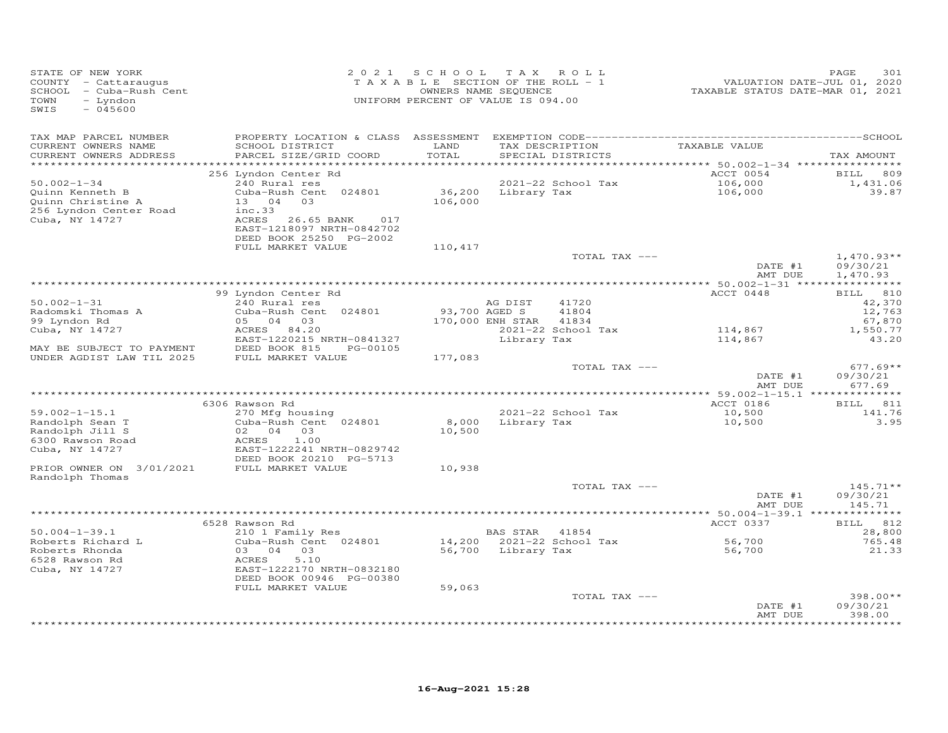| STATE OF NEW YORK<br>COUNTY - Cattaraugus<br>SCHOOL - Cuba-Rush Cent<br>$-$ Lyndon<br>TOWN<br>$-045600$<br>SWIS                                                                                                                                                                      | 2 0 2 1                                                                                                                                                                                                                                                                                                                                            | S C H O O L<br>TAXABLE SECTION OF THE ROLL - 1<br>UNIFORM PERCENT OF VALUE IS 094.00 | T A X<br>OWNERS NAME SEQUENCE                                              | ROLL                                                                                 | VALUATION DATE-JUL 01, 2020<br>TAXABLE STATUS DATE-MAR 01, 2021                                                                       | PAGE<br>301                                                                                                                                                             |
|--------------------------------------------------------------------------------------------------------------------------------------------------------------------------------------------------------------------------------------------------------------------------------------|----------------------------------------------------------------------------------------------------------------------------------------------------------------------------------------------------------------------------------------------------------------------------------------------------------------------------------------------------|--------------------------------------------------------------------------------------|----------------------------------------------------------------------------|--------------------------------------------------------------------------------------|---------------------------------------------------------------------------------------------------------------------------------------|-------------------------------------------------------------------------------------------------------------------------------------------------------------------------|
| TAX MAP PARCEL NUMBER<br>CURRENT OWNERS NAME<br>CURRENT OWNERS ADDRESS<br>***********************                                                                                                                                                                                    | SCHOOL DISTRICT<br>PARCEL SIZE/GRID COORD<br>**************************                                                                                                                                                                                                                                                                            | LAND<br>TOTAL                                                                        |                                                                            | TAX DESCRIPTION<br>SPECIAL DISTRICTS                                                 | TAXABLE VALUE                                                                                                                         | TAX AMOUNT                                                                                                                                                              |
| $50.002 - 1 - 34$<br>Quinn Kenneth B<br>Quinn Christine A<br>256 Lyndon Center Road<br>Cuba, NY 14727                                                                                                                                                                                | 256 Lyndon Center Rd<br>240 Rural res<br>Cuba-Rush Cent 024801<br>03<br>13 04<br>inc.33<br>ACRES 26.65 BANK<br>017<br>EAST-1218097 NRTH-0842702<br>DEED BOOK 25250 PG-2002                                                                                                                                                                         | 36,200<br>106,000                                                                    | Library Tax                                                                | 2021-22 School Tax                                                                   | ACCT 0054<br>106,000<br>106,000                                                                                                       | 809<br>BILL<br>1,431.06<br>39.87                                                                                                                                        |
|                                                                                                                                                                                                                                                                                      | FULL MARKET VALUE                                                                                                                                                                                                                                                                                                                                  | 110,417                                                                              |                                                                            | TOTAL TAX ---                                                                        | DATE #1                                                                                                                               | $1,470.93**$<br>09/30/21                                                                                                                                                |
| $50.002 - 1 - 31$<br>Radomski Thomas A<br>99 Lyndon Rd<br>Cuba, NY 14727<br>MAY BE SUBJECT TO PAYMENT<br>UNDER AGDIST LAW TIL 2025<br>$59.002 - 1 - 15.1$<br>Randolph Sean T<br>Randolph Jill S<br>6300 Rawson Road<br>Cuba, NY 14727<br>PRIOR OWNER ON 3/01/2021<br>Randolph Thomas | 99 Lyndon Center Rd<br>240 Rural res<br>Cuba-Rush Cent 024801<br>05 04 03<br>ACRES<br>84.20<br>EAST-1220215 NRTH-0841327<br>DEED BOOK 815<br>PG-00105<br>FULL MARKET VALUE<br>6306 Rawson Rd<br>270 Mfg housing<br>Cuba-Rush Cent 024801<br>02 04 03<br>ACRES<br>1.00<br>EAST-1222241 NRTH-0829742<br>DEED BOOK 20210 PG-5713<br>FULL MARKET VALUE | 177,083<br>8,000<br>10,500<br>10,938                                                 | AG DIST<br>93,700 AGED S<br>170,000 ENH STAR<br>Library Tax<br>Library Tax | 41720<br>41804<br>41834<br>2021-22 School Tax<br>TOTAL TAX ---<br>2021-22 School Tax | AMT DUE<br>ACCT 0448<br>114,867<br>114,867<br>DATE #1<br>AMT DUE<br>** 59.002-1-15.1 ***************<br>ACCT 0186<br>10,500<br>10,500 | 1,470.93<br>* * * * * * * * * * * *<br>810<br>BILL<br>42,370<br>12,763<br>67,870<br>1,550.77<br>43.20<br>$677.69**$<br>09/30/21<br>677.69<br>BILL 811<br>141.76<br>3.95 |
|                                                                                                                                                                                                                                                                                      |                                                                                                                                                                                                                                                                                                                                                    |                                                                                      |                                                                            | TOTAL TAX ---                                                                        | DATE #1<br>AMT DUE                                                                                                                    | $145.71**$<br>09/30/21<br>145.71                                                                                                                                        |
| $50.004 - 1 - 39.1$<br>Roberts Richard L<br>Roberts Rhonda<br>6528 Rawson Rd<br>Cuba, NY 14727                                                                                                                                                                                       | 6528 Rawson Rd<br>210 1 Family Res<br>Cuba-Rush Cent 024801<br>03 04<br>03<br>5.10<br>ACRES<br>EAST-1222170 NRTH-0832180<br>DEED BOOK 00946 PG-00380<br>FULL MARKET VALUE                                                                                                                                                                          | 14,200<br>56,700<br>59,063                                                           | BAS STAR<br>Library Tax                                                    | 41854<br>2021-22 School Tax<br>TOTAL TAX ---                                         | ACCT 0337<br>56,700<br>56,700                                                                                                         | BILL 812<br>28,800<br>765.48<br>21.33<br>$398.00**$                                                                                                                     |
|                                                                                                                                                                                                                                                                                      |                                                                                                                                                                                                                                                                                                                                                    |                                                                                      |                                                                            |                                                                                      | DATE #1<br>AMT DUE                                                                                                                    | 09/30/21<br>398.00<br>*******                                                                                                                                           |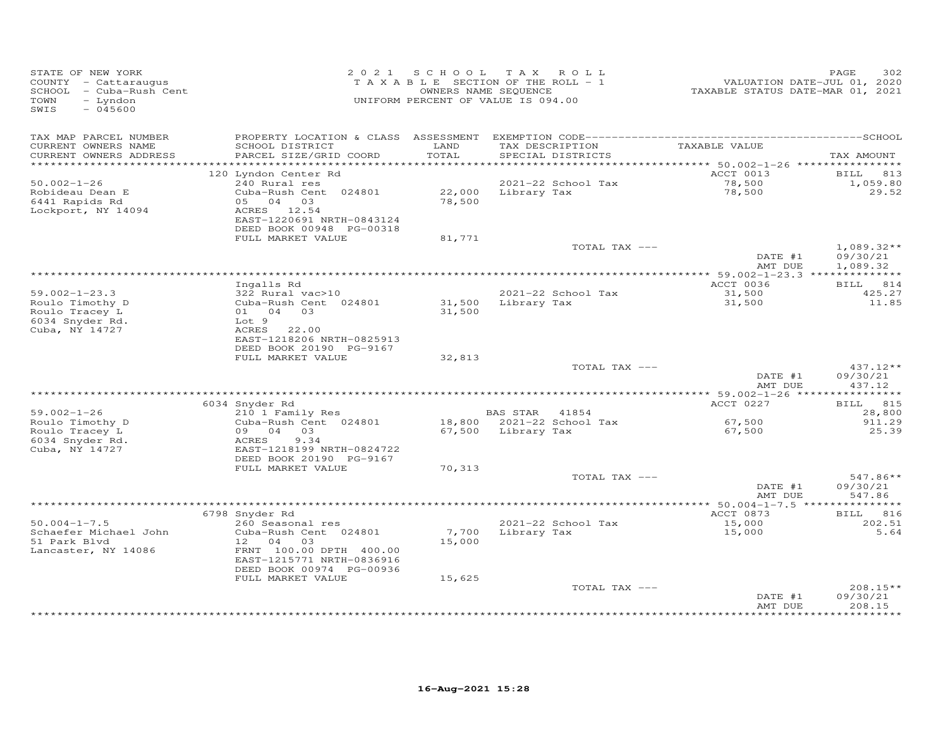| TAX MAP PARCEL NUMBER<br>LAND<br>CURRENT OWNERS NAME<br>SCHOOL DISTRICT<br>TAX DESCRIPTION<br>TAXABLE VALUE<br>TOTAL<br>CURRENT OWNERS ADDRESS<br>PARCEL SIZE/GRID COORD<br>SPECIAL DISTRICTS<br>*************************<br>ACCT 0013<br>120 Lyndon Center Rd<br>$50.002 - 1 - 26$<br>240 Rural res<br>2021-22 School Tax<br>78,500<br>Cuba-Rush Cent 024801<br>22,000<br>78,500<br>Robideau Dean E<br>Library Tax<br>6441 Rapids Rd<br>05 04 03<br>78,500<br>Lockport, NY 14094<br>ACRES 12.54<br>EAST-1220691 NRTH-0843124<br>DEED BOOK 00948 PG-00318<br>FULL MARKET VALUE<br>81,771 | TAX AMOUNT<br>BILL 813<br>1,059.80<br>29.52<br>$1,089.32**$<br>09/30/21<br>1,089.32<br>BILL 814 |
|-------------------------------------------------------------------------------------------------------------------------------------------------------------------------------------------------------------------------------------------------------------------------------------------------------------------------------------------------------------------------------------------------------------------------------------------------------------------------------------------------------------------------------------------------------------------------------------------|-------------------------------------------------------------------------------------------------|
|                                                                                                                                                                                                                                                                                                                                                                                                                                                                                                                                                                                           |                                                                                                 |
|                                                                                                                                                                                                                                                                                                                                                                                                                                                                                                                                                                                           |                                                                                                 |
|                                                                                                                                                                                                                                                                                                                                                                                                                                                                                                                                                                                           |                                                                                                 |
|                                                                                                                                                                                                                                                                                                                                                                                                                                                                                                                                                                                           |                                                                                                 |
| TOTAL TAX ---<br>DATE #1                                                                                                                                                                                                                                                                                                                                                                                                                                                                                                                                                                  |                                                                                                 |
| AMT DUE                                                                                                                                                                                                                                                                                                                                                                                                                                                                                                                                                                                   |                                                                                                 |
| ACCT 0036<br>Ingalls Rd                                                                                                                                                                                                                                                                                                                                                                                                                                                                                                                                                                   |                                                                                                 |
| 31,500<br>$59.002 - 1 - 23.3$<br>322 Rural vac>10<br>2021-22 School Tax<br>Roulo Timothy D<br>Cuba-Rush Cent 024801<br>31,500<br>Library Tax<br>31,500<br>Roulo Tracey L<br>01 04 03<br>31,500                                                                                                                                                                                                                                                                                                                                                                                            | 425.27<br>11.85                                                                                 |
| 6034 Snyder Rd.<br>Lot 9<br>Cuba, NY 14727<br>ACRES<br>22.00<br>EAST-1218206 NRTH-0825913<br>DEED BOOK 20190 PG-9167                                                                                                                                                                                                                                                                                                                                                                                                                                                                      |                                                                                                 |
| FULL MARKET VALUE<br>32,813                                                                                                                                                                                                                                                                                                                                                                                                                                                                                                                                                               |                                                                                                 |
| TOTAL TAX ---<br>DATE #1<br>AMT DUE                                                                                                                                                                                                                                                                                                                                                                                                                                                                                                                                                       | $437.12**$<br>09/30/21<br>437.12                                                                |
|                                                                                                                                                                                                                                                                                                                                                                                                                                                                                                                                                                                           |                                                                                                 |
| ACCT 0227<br>6034 Snyder Rd<br>$59.002 - 1 - 26$<br><b>BAS STAR</b><br>210 1 Family Res<br>41854                                                                                                                                                                                                                                                                                                                                                                                                                                                                                          | BILL 815<br>28,800                                                                              |
| Roulo Timothy D<br>Cuba-Rush Cent 024801<br>18,800 2021-22 School Tax<br>67,500<br>Roulo Tracey L<br>09 04 03<br>67,500<br>67,500 Library Tax<br>6034 Snyder Rd.<br>9.34<br>ACRES                                                                                                                                                                                                                                                                                                                                                                                                         | 911.29<br>25.39                                                                                 |
| Cuba, NY 14727<br>EAST-1218199 NRTH-0824722<br>DEED BOOK 20190 PG-9167<br>FULL MARKET VALUE<br>70,313                                                                                                                                                                                                                                                                                                                                                                                                                                                                                     |                                                                                                 |
| TOTAL TAX ---                                                                                                                                                                                                                                                                                                                                                                                                                                                                                                                                                                             | 547.86**                                                                                        |
| DATE #1<br>AMT DUE                                                                                                                                                                                                                                                                                                                                                                                                                                                                                                                                                                        | 09/30/21<br>547.86                                                                              |
| 6798 Snyder Rd<br>ACCT 0873                                                                                                                                                                                                                                                                                                                                                                                                                                                                                                                                                               | BILL 816                                                                                        |
| $50.004 - 1 - 7.5$<br>260 Seasonal res<br>2021-22 School Tax<br>15,000                                                                                                                                                                                                                                                                                                                                                                                                                                                                                                                    | 202.51                                                                                          |
| Schaefer Michael John<br>7,700<br>Cuba-Rush Cent 024801<br>Library Tax<br>15,000<br>15,000<br>51 Park Blvd<br>12 04 03<br>FRNT 100.00 DPTH 400.00<br>Lancaster, NY 14086<br>EAST-1215771 NRTH-0836916<br>DEED BOOK 00974 PG-00936                                                                                                                                                                                                                                                                                                                                                         | 5.64                                                                                            |
| FULL MARKET VALUE<br>15,625                                                                                                                                                                                                                                                                                                                                                                                                                                                                                                                                                               |                                                                                                 |
| TOTAL TAX ---<br>DATE #1<br>AMT DUE                                                                                                                                                                                                                                                                                                                                                                                                                                                                                                                                                       | 208.15**<br>09/30/21<br>208.15                                                                  |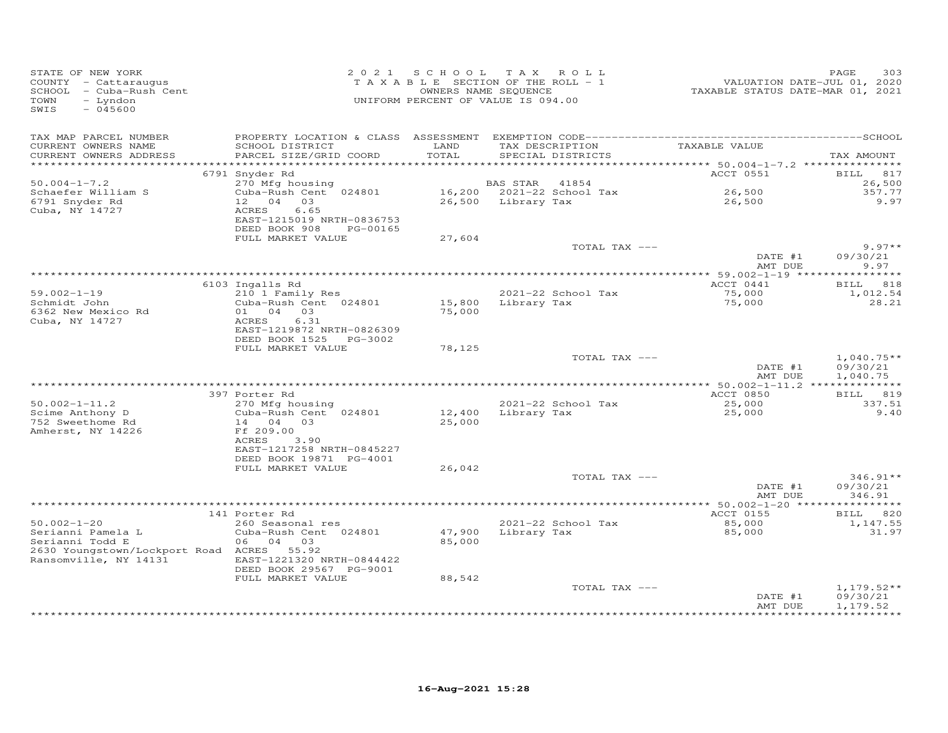| STATE OF NEW YORK<br>COUNTY - Cattaraugus<br>SCHOOL - Cuba-Rush Cent<br>- Lyndon<br>TOWN<br>$-045600$<br>SWIS |                                                                                     |                  | 2021 SCHOOL TAX ROLL<br>TAXABLE SECTION OF THE ROLL - 1<br>OWNERS NAME SEQUENCE<br>UNIFORM PERCENT OF VALUE IS 094.00 | VALUATION DATE-JUL 01, 2020<br>TAXABLE STATUS DATE-MAR 01, 2021 | 303<br>PAGE                          |
|---------------------------------------------------------------------------------------------------------------|-------------------------------------------------------------------------------------|------------------|-----------------------------------------------------------------------------------------------------------------------|-----------------------------------------------------------------|--------------------------------------|
| TAX MAP PARCEL NUMBER<br>CURRENT OWNERS NAME<br>CURRENT OWNERS ADDRESS                                        | SCHOOL DISTRICT<br>PARCEL SIZE/GRID COORD                                           | LAND<br>TOTAL    | TAX DESCRIPTION<br>SPECIAL DISTRICTS                                                                                  | TAXABLE VALUE                                                   | TAX AMOUNT                           |
| ***********************                                                                                       |                                                                                     |                  |                                                                                                                       |                                                                 |                                      |
| $50.004 - 1 - 7.2$<br>Schaefer William S                                                                      | 6791 Snyder Rd<br>270 Mfg housing<br>Cuba-Rush Cent 024801                          |                  | 41854<br>BAS STAR<br>16,200 2021-22 School Tax                                                                        | ACCT 0551<br>26,500                                             | BILL 817<br>26,500<br>357.77         |
| 6791 Snyder Rd<br>Cuba, NY 14727                                                                              | 12 04 03<br>ACRES<br>6.65<br>EAST-1215019 NRTH-0836753<br>DEED BOOK 908<br>PG-00165 |                  | 26,500 Library Tax                                                                                                    | 26,500                                                          | 9.97                                 |
|                                                                                                               | FULL MARKET VALUE                                                                   | 27,604           | TOTAL TAX ---                                                                                                         |                                                                 | $9.97**$                             |
|                                                                                                               |                                                                                     |                  |                                                                                                                       | DATE #1<br>AMT DUE                                              | 09/30/21<br>9.97                     |
|                                                                                                               |                                                                                     |                  |                                                                                                                       |                                                                 |                                      |
| $59.002 - 1 - 19$                                                                                             | 6103 Ingalls Rd<br>210 1 Family Res                                                 |                  | 2021-22 School Tax                                                                                                    | ACCT 0441<br>75,000                                             | BILL 818<br>1,012.54                 |
| Schmidt John<br>6362 New Mexico Rd                                                                            | Cuba-Rush Cent 024801<br>$01 \t 04 \t 03$                                           | 15,800<br>75,000 | Library Tax                                                                                                           | 75,000                                                          | 28.21                                |
| Cuba, NY 14727                                                                                                | 6.31<br>ACRES<br>EAST-1219872 NRTH-0826309<br>DEED BOOK 1525 PG-3002                |                  |                                                                                                                       |                                                                 |                                      |
|                                                                                                               | FULL MARKET VALUE                                                                   | 78,125           |                                                                                                                       |                                                                 |                                      |
|                                                                                                               |                                                                                     |                  | TOTAL TAX ---                                                                                                         | DATE #1<br>AMT DUE                                              | $1,040.75**$<br>09/30/21<br>1,040.75 |
|                                                                                                               |                                                                                     |                  |                                                                                                                       |                                                                 |                                      |
|                                                                                                               | 397 Porter Rd                                                                       |                  |                                                                                                                       | ACCT 0850                                                       | <b>BILL</b><br>819                   |
| $50.002 - 1 - 11.2$<br>Scime Anthony D<br>752 Sweethome Rd                                                    | 270 Mfg housing<br>Cuba-Rush Cent 024801<br>14 04 03                                | 12,400<br>25,000 | 2021-22 School Tax<br>Library Tax                                                                                     | 25,000<br>25,000                                                | 337.51<br>9.40                       |
| Amherst, NY 14226                                                                                             | Ff 209.00<br>ACRES<br>3.90<br>EAST-1217258 NRTH-0845227                             |                  |                                                                                                                       |                                                                 |                                      |
|                                                                                                               | DEED BOOK 19871 PG-4001<br>FULL MARKET VALUE                                        | 26,042           |                                                                                                                       |                                                                 |                                      |
|                                                                                                               |                                                                                     |                  | TOTAL TAX ---                                                                                                         |                                                                 | $346.91**$                           |
|                                                                                                               |                                                                                     |                  |                                                                                                                       | DATE #1<br>AMT DUE                                              | 09/30/21<br>346.91                   |
|                                                                                                               | 141 Porter Rd                                                                       |                  |                                                                                                                       | ACCT 0155                                                       | *********<br>820<br><b>BILL</b>      |
| $50.002 - 1 - 20$                                                                                             | 260 Seasonal res                                                                    |                  | 2021-22 School Tax                                                                                                    | 85,000                                                          | 1,147.55                             |
| Serianni Pamela L<br>Serianni Todd E<br>2630 Youngstown/Lockport Road ACRES 55.92<br>Ransomville, NY 14131    | Cuba-Rush Cent 024801<br>06 04 03<br>EAST-1221320 NRTH-0844422                      | 47,900<br>85,000 | Library Tax                                                                                                           | 85,000                                                          | 31.97                                |
|                                                                                                               | DEED BOOK 29567 PG-9001<br>FULL MARKET VALUE                                        | 88,542           |                                                                                                                       |                                                                 |                                      |
|                                                                                                               |                                                                                     |                  | TOTAL TAX ---                                                                                                         | DATE #1<br>AMT DUE                                              | $1,179.52**$<br>09/30/21<br>1,179.52 |
|                                                                                                               |                                                                                     |                  |                                                                                                                       |                                                                 |                                      |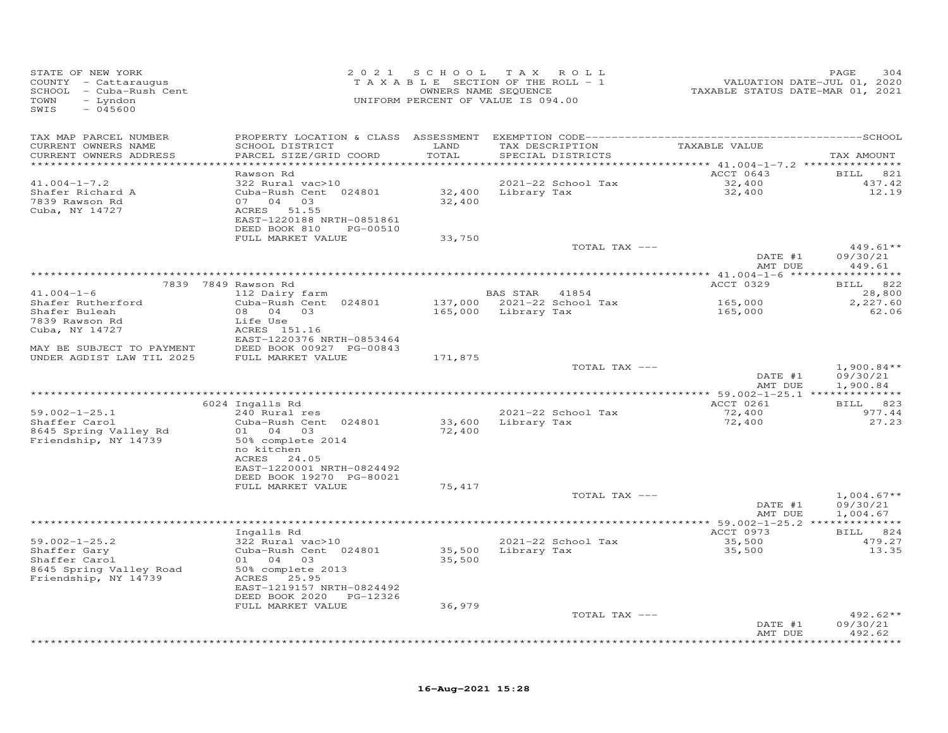| STATE OF NEW YORK<br>COUNTY - Cattaraugus<br>SCHOOL - Cuba-Rush Cent<br>TOWN<br>- Lyndon<br>SWIS<br>$-045600$ |                                                      |         | 2021 SCHOOL TAX ROLL<br>TAXABLE SECTION OF THE ROLL - 1<br>OWNERS NAME SEQUENCE<br>UNIFORM PERCENT OF VALUE IS 094.00 | VALUATION DATE-JUL 01, 2020<br>TAXABLE STATUS DATE-MAR 01, 2021 | PAGE<br>304              |
|---------------------------------------------------------------------------------------------------------------|------------------------------------------------------|---------|-----------------------------------------------------------------------------------------------------------------------|-----------------------------------------------------------------|--------------------------|
| TAX MAP PARCEL NUMBER                                                                                         |                                                      |         |                                                                                                                       |                                                                 |                          |
| CURRENT OWNERS NAME                                                                                           | SCHOOL DISTRICT                                      | LAND    | TAX DESCRIPTION                                                                                                       | TAXABLE VALUE                                                   |                          |
| CURRENT OWNERS ADDRESS<br>************************                                                            | PARCEL SIZE/GRID COORD                               | TOTAL   | SPECIAL DISTRICTS                                                                                                     |                                                                 | TAX AMOUNT               |
|                                                                                                               | Rawson Rd                                            |         |                                                                                                                       | ACCT 0643                                                       | BILL 821                 |
| $41.004 - 1 - 7.2$                                                                                            | 322 Rural vac>10                                     |         | 2021-22 School Tax                                                                                                    | 32,400<br>32,400                                                | 437.42                   |
| Shafer Richard A                                                                                              | Cuba-Rush Cent 024801                                |         | 32,400 Library Tax                                                                                                    |                                                                 | 12.19                    |
| 7839 Rawson Rd<br>Cuba, NY 14727                                                                              | 07 04 03<br>ACRES 51.55                              | 32,400  |                                                                                                                       |                                                                 |                          |
|                                                                                                               | EAST-1220188 NRTH-0851861                            |         |                                                                                                                       |                                                                 |                          |
|                                                                                                               | DEED BOOK 810<br>PG-00510                            |         |                                                                                                                       |                                                                 |                          |
|                                                                                                               | FULL MARKET VALUE                                    | 33,750  |                                                                                                                       |                                                                 |                          |
|                                                                                                               |                                                      |         | TOTAL TAX ---                                                                                                         | DATE #1                                                         | $449.61**$<br>09/30/21   |
|                                                                                                               |                                                      |         |                                                                                                                       | AMT DUE                                                         | 449.61                   |
|                                                                                                               |                                                      |         |                                                                                                                       |                                                                 |                          |
|                                                                                                               | 7839 7849 Rawson Rd                                  |         |                                                                                                                       | ACCT 0329                                                       | BILL 822                 |
| $41.004 - 1 - 6$                                                                                              | 112 Dairy farm                                       |         | BAS STAR 41854                                                                                                        |                                                                 | 28,800                   |
| Shafer Rutherford<br>Shafer Buleah                                                                            | Cuba-Rush Cent 024801<br>08  04  03                  |         | 137,000 2021-22 School Tax<br>165,000 Library Tax                                                                     | 165,000<br>165,000                                              | 2,227.60<br>62.06        |
| 7839 Rawson Rd                                                                                                | Life Use                                             |         |                                                                                                                       |                                                                 |                          |
| Cuba, NY 14727                                                                                                | ACRES 151.16                                         |         |                                                                                                                       |                                                                 |                          |
|                                                                                                               | EAST-1220376 NRTH-0853464                            |         |                                                                                                                       |                                                                 |                          |
| MAY BE SUBJECT TO PAYMENT<br>UNDER AGDIST LAW TIL 2025                                                        | DEED BOOK 00927 PG-00843<br>FULL MARKET VALUE        | 171,875 |                                                                                                                       |                                                                 |                          |
|                                                                                                               |                                                      |         | TOTAL TAX ---                                                                                                         |                                                                 | $1,900.84**$             |
|                                                                                                               |                                                      |         |                                                                                                                       | DATE #1                                                         | 09/30/21                 |
|                                                                                                               |                                                      |         |                                                                                                                       | AMT DUE                                                         | 1,900.84                 |
|                                                                                                               | 6024 Ingalls Rd                                      |         |                                                                                                                       | ACCT 0261                                                       | BILL 823                 |
| $59.002 - 1 - 25.1$                                                                                           | 240 Rural res                                        |         | 2021-22 School Tax                                                                                                    | 72,400                                                          | 977.44                   |
| Shaffer Carol                                                                                                 | Cuba-Rush Cent 024801                                |         | 33,600 Library Tax                                                                                                    | 72,400                                                          | 27.23                    |
| 8645 Spring Valley Rd                                                                                         | 01 04 03                                             | 72,400  |                                                                                                                       |                                                                 |                          |
| Friendship, NY 14739                                                                                          | 50% complete 2014<br>no kitchen                      |         |                                                                                                                       |                                                                 |                          |
|                                                                                                               | ACRES 24.05                                          |         |                                                                                                                       |                                                                 |                          |
|                                                                                                               | EAST-1220001 NRTH-0824492                            |         |                                                                                                                       |                                                                 |                          |
|                                                                                                               | DEED BOOK 19270 PG-80021                             |         |                                                                                                                       |                                                                 |                          |
|                                                                                                               | FULL MARKET VALUE                                    | 75,417  |                                                                                                                       |                                                                 |                          |
|                                                                                                               |                                                      |         | TOTAL TAX ---                                                                                                         | DATE #1                                                         | $1,004.67**$<br>09/30/21 |
|                                                                                                               |                                                      |         |                                                                                                                       | AMT DUE                                                         | 1,004.67                 |
|                                                                                                               |                                                      |         |                                                                                                                       | **************** 59.002-1-25.2 **************                   |                          |
|                                                                                                               | Ingalls Rd<br>322 Rural vac>10                       |         |                                                                                                                       | ACCT 0973                                                       | BILL 824                 |
| $59.002 - 1 - 25.2$<br>Shaffer Gary                                                                           | Cuba-Rush Cent 024801                                |         | 2021-22 School Tax<br>35,500 Library Tax                                                                              | 35,500<br>35,500                                                | 479.27<br>13.35          |
| Shaffer Carol                                                                                                 | 01 04 03                                             | 35,500  |                                                                                                                       |                                                                 |                          |
| 8645 Spring Valley Road                                                                                       | 50% complete 2013                                    |         |                                                                                                                       |                                                                 |                          |
| Friendship, NY 14739                                                                                          | ACRES 25.95                                          |         |                                                                                                                       |                                                                 |                          |
|                                                                                                               | EAST-1219157 NRTH-0824492<br>DEED BOOK 2020 PG-12326 |         |                                                                                                                       |                                                                 |                          |
|                                                                                                               | FULL MARKET VALUE                                    | 36,979  |                                                                                                                       |                                                                 |                          |
|                                                                                                               |                                                      |         | TOTAL TAX ---                                                                                                         |                                                                 | $492.62**$               |
|                                                                                                               |                                                      |         |                                                                                                                       | DATE #1                                                         | 09/30/21                 |
|                                                                                                               |                                                      |         |                                                                                                                       | AMT DUE                                                         | 492.62<br>**********     |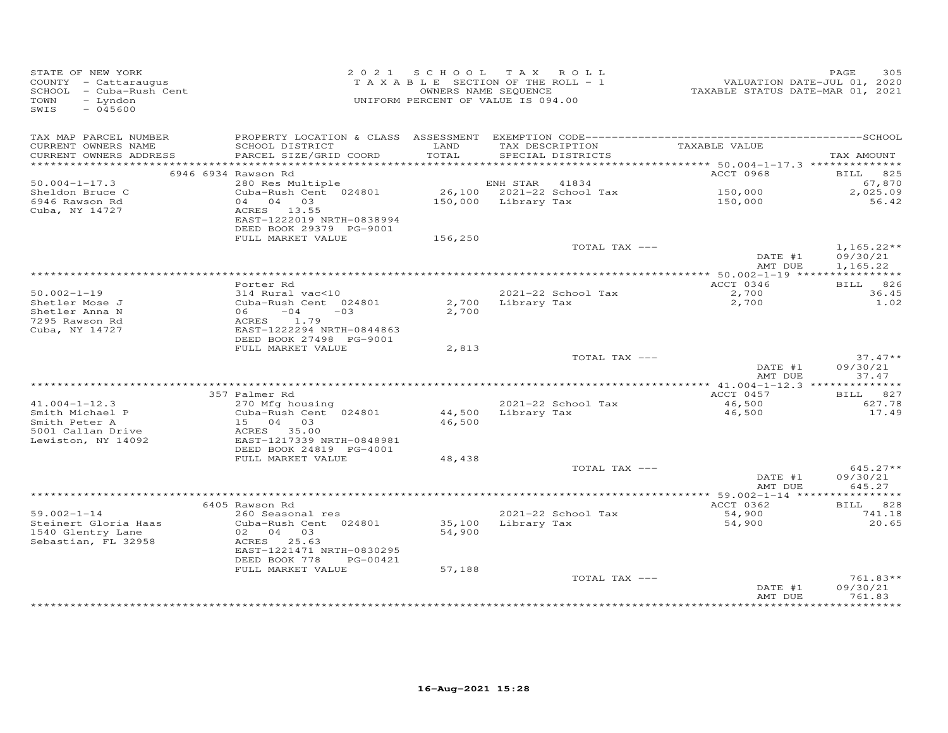| STATE OF NEW YORK<br>COUNTY - Cattaraugus<br>SCHOOL - Cuba-Rush Cent<br>TOWN<br>- Lyndon<br>$-045600$<br>SWIS |                                                                     | 2021 SCHOOL TAX ROLL<br>TAXABLE SECTION OF THE ROLL - 1<br>OWNERS NAME SEQUENCE<br>UNIFORM PERCENT OF VALUE IS 094.00 |                     |                                    | VALUATION DATE-JUL 01, 2020<br>TAXABLE STATUS DATE-MAR 01, 2021 | 305<br>PAGE              |
|---------------------------------------------------------------------------------------------------------------|---------------------------------------------------------------------|-----------------------------------------------------------------------------------------------------------------------|---------------------|------------------------------------|-----------------------------------------------------------------|--------------------------|
| TAX MAP PARCEL NUMBER<br>CURRENT OWNERS NAME                                                                  | SCHOOL DISTRICT                                                     | LAND                                                                                                                  |                     | TAX DESCRIPTION                    | TAXABLE VALUE                                                   |                          |
| CURRENT OWNERS ADDRESS                                                                                        | PARCEL SIZE/GRID COORD                                              | TOTAL                                                                                                                 |                     | SPECIAL DISTRICTS                  |                                                                 | TAX AMOUNT               |
|                                                                                                               |                                                                     |                                                                                                                       |                     |                                    |                                                                 |                          |
|                                                                                                               | 6946 6934 Rawson Rd                                                 |                                                                                                                       |                     |                                    | ACCT 0968                                                       | <b>BILL</b> 825          |
| $50.004 - 1 - 17.3$<br>Sheldon Bruce C                                                                        | 280 Res Multiple<br>Cuba-Rush Cent 024801                           |                                                                                                                       | ENH STAR            | 41834<br>26,100 2021-22 School Tax | 150,000                                                         | 67,870<br>2,025.09       |
| 6946 Rawson Rd                                                                                                | 04  04  03                                                          |                                                                                                                       | 150,000 Library Tax |                                    | 150,000                                                         | 56.42                    |
| Cuba, NY 14727                                                                                                | ACRES 13.55<br>EAST-1222019 NRTH-0838994<br>DEED BOOK 29379 PG-9001 |                                                                                                                       |                     |                                    |                                                                 |                          |
|                                                                                                               | FULL MARKET VALUE                                                   | 156,250                                                                                                               |                     |                                    |                                                                 |                          |
|                                                                                                               |                                                                     |                                                                                                                       |                     | TOTAL TAX ---                      | DATE #1                                                         | $1,165.22**$<br>09/30/21 |
|                                                                                                               |                                                                     |                                                                                                                       |                     |                                    | AMT DUE                                                         | 1,165.22                 |
|                                                                                                               | Porter Rd                                                           |                                                                                                                       |                     |                                    | ACCT 0346                                                       | BILL 826                 |
| $50.002 - 1 - 19$                                                                                             | 314 Rural vac<10                                                    |                                                                                                                       |                     | 2021-22 School Tax                 | 2,700                                                           | 36.45                    |
| Shetler Mose J                                                                                                | Cuba-Rush Cent 024801                                               |                                                                                                                       | 2,700 Library Tax   |                                    | 2,700                                                           | 1.02                     |
| Shetler Anna N                                                                                                | $06 -04 -03$                                                        | 2,700                                                                                                                 |                     |                                    |                                                                 |                          |
| 7295 Rawson Rd                                                                                                | ACRES 1.79                                                          |                                                                                                                       |                     |                                    |                                                                 |                          |
| Cuba, NY 14727                                                                                                | EAST-1222294 NRTH-0844863<br>DEED BOOK 27498 PG-9001                |                                                                                                                       |                     |                                    |                                                                 |                          |
|                                                                                                               | FULL MARKET VALUE                                                   | 2,813                                                                                                                 |                     |                                    |                                                                 |                          |
|                                                                                                               |                                                                     |                                                                                                                       |                     | TOTAL TAX ---                      |                                                                 | $37.47**$                |
|                                                                                                               |                                                                     |                                                                                                                       |                     |                                    | DATE #1                                                         | 09/30/21                 |
|                                                                                                               |                                                                     |                                                                                                                       |                     |                                    | AMT DUE                                                         | 37.47                    |
|                                                                                                               | 357 Palmer Rd                                                       |                                                                                                                       |                     |                                    | ACCT 0457                                                       | BILL 827                 |
| $41.004 - 1 - 12.3$                                                                                           | 270 Mfg housing                                                     |                                                                                                                       |                     | 2021-22 School Tax                 | 46,500                                                          | 627.78                   |
| Smith Michael P                                                                                               | Cuba-Rush Cent 024801                                               | 44,500                                                                                                                |                     | Library Tax                        | 46,500                                                          | 17.49                    |
| Smith Peter A                                                                                                 | 15 04 03                                                            | 46,500                                                                                                                |                     |                                    |                                                                 |                          |
| 5001 Callan Drive                                                                                             | ACRES 35.00                                                         |                                                                                                                       |                     |                                    |                                                                 |                          |
| Lewiston, NY 14092                                                                                            | EAST-1217339 NRTH-0848981                                           |                                                                                                                       |                     |                                    |                                                                 |                          |
|                                                                                                               | DEED BOOK 24819 PG-4001<br>FULL MARKET VALUE                        | 48,438                                                                                                                |                     |                                    |                                                                 |                          |
|                                                                                                               |                                                                     |                                                                                                                       |                     | TOTAL TAX ---                      |                                                                 | $645.27**$               |
|                                                                                                               |                                                                     |                                                                                                                       |                     |                                    | DATE #1                                                         | 09/30/21                 |
|                                                                                                               |                                                                     |                                                                                                                       |                     |                                    | AMT DUE                                                         | 645.27                   |
|                                                                                                               |                                                                     |                                                                                                                       |                     |                                    |                                                                 |                          |
| $59.002 - 1 - 14$                                                                                             | 6405 Rawson Rd                                                      |                                                                                                                       |                     |                                    | ACCT 0362                                                       | 828<br><b>BILL</b>       |
| Steinert Gloria Haas                                                                                          | 260 Seasonal res<br>Cuba-Rush Cent 024801                           |                                                                                                                       | 35,100 Library Tax  | 2021-22 School Tax                 | 54,900<br>54,900                                                | 741.18<br>20.65          |
| 1540 Glentry Lane                                                                                             | 02 04 03                                                            | 54,900                                                                                                                |                     |                                    |                                                                 |                          |
| Sebastian, FL 32958                                                                                           | ACRES 25.63                                                         |                                                                                                                       |                     |                                    |                                                                 |                          |
|                                                                                                               | EAST-1221471 NRTH-0830295                                           |                                                                                                                       |                     |                                    |                                                                 |                          |
|                                                                                                               | DEED BOOK 778<br>PG-00421                                           |                                                                                                                       |                     |                                    |                                                                 |                          |
|                                                                                                               | FULL MARKET VALUE                                                   | 57,188                                                                                                                |                     |                                    |                                                                 | 761.83**                 |
|                                                                                                               |                                                                     |                                                                                                                       |                     | TOTAL TAX ---                      | DATE #1                                                         | 09/30/21                 |
|                                                                                                               |                                                                     |                                                                                                                       |                     |                                    | AMT DUE                                                         | 761.83                   |
|                                                                                                               |                                                                     |                                                                                                                       |                     |                                    |                                                                 |                          |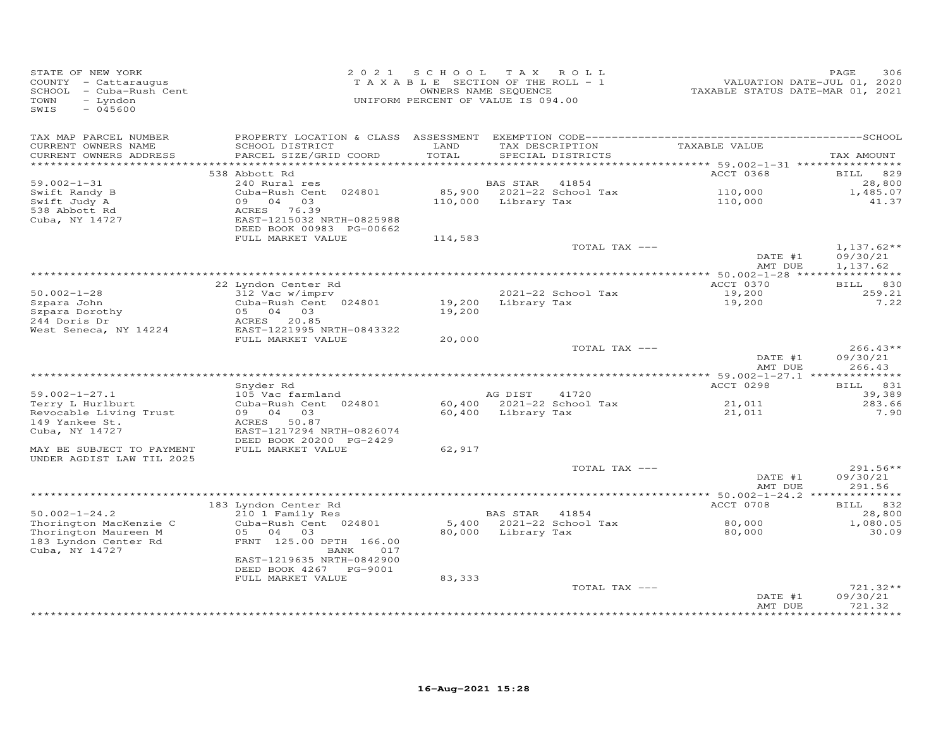| STATE OF NEW YORK<br>COUNTY - Cattaraugus<br>SCHOOL - Cuba-Rush Cent<br>- Lyndon<br>TOWN<br>$-045600$<br>SWIS |                                                                                                           | 2021 SCHOOL TAX ROLL<br>TAXABLE SECTION OF THE ROLL - 1<br>OWNERS NAME SEQUENCE<br>UNIFORM PERCENT OF VALUE IS 094.00 |                    |                                      | VALUATION DATE-JUL 01, 2020<br>TAXABLE STATUS DATE-MAR 01, 2021 | PAGE<br>306                          |
|---------------------------------------------------------------------------------------------------------------|-----------------------------------------------------------------------------------------------------------|-----------------------------------------------------------------------------------------------------------------------|--------------------|--------------------------------------|-----------------------------------------------------------------|--------------------------------------|
| TAX MAP PARCEL NUMBER<br>CURRENT OWNERS NAME<br>CURRENT OWNERS ADDRESS                                        | SCHOOL DISTRICT<br>PARCEL SIZE/GRID COORD                                                                 | LAND<br>TOTAL                                                                                                         |                    | TAX DESCRIPTION<br>SPECIAL DISTRICTS | TAXABLE VALUE                                                   | TAX AMOUNT                           |
| ***********************                                                                                       | 538 Abbott Rd                                                                                             |                                                                                                                       |                    |                                      | ACCT 0368                                                       | <b>BILL</b><br>829                   |
| $59.002 - 1 - 31$                                                                                             | 240 Rural res                                                                                             |                                                                                                                       | BAS STAR           | 41854                                |                                                                 | 28,800                               |
| Swift Randy B<br>Swift Judy A<br>538 Abbott Rd<br>Cuba, NY 14727                                              | Cuba-Rush Cent 024801<br>09 04 03<br>ACRES 76.39<br>EAST-1215032 NRTH-0825988<br>DEED BOOK 00983 PG-00662 | 85,900<br>110,000                                                                                                     | Library Tax        | 2021-22 School Tax                   | 110,000<br>110,000                                              | 1,485.07<br>41.37                    |
|                                                                                                               | FULL MARKET VALUE                                                                                         | 114,583                                                                                                               |                    |                                      |                                                                 |                                      |
|                                                                                                               |                                                                                                           |                                                                                                                       |                    | TOTAL TAX ---                        | DATE #1<br>AMT DUE                                              | $1,137.62**$<br>09/30/21<br>1,137.62 |
|                                                                                                               |                                                                                                           |                                                                                                                       |                    |                                      |                                                                 |                                      |
|                                                                                                               | 22 Lyndon Center Rd                                                                                       |                                                                                                                       |                    |                                      | ACCT 0370                                                       | BILL 830                             |
| $50.002 - 1 - 28$                                                                                             | 312 Vac w/imprv<br>Cuba-Rush Cent 024801                                                                  |                                                                                                                       | Library Tax        | 2021-22 School Tax                   | 19,200<br>19,200                                                | 259.21<br>7.22                       |
| Szpara John<br>Szpara Dorothy                                                                                 | 05 04 03                                                                                                  | 19,200<br>19,200                                                                                                      |                    |                                      |                                                                 |                                      |
| 244 Doris Dr                                                                                                  | ACRES 20.85                                                                                               |                                                                                                                       |                    |                                      |                                                                 |                                      |
| West Seneca, NY 14224                                                                                         | EAST-1221995 NRTH-0843322                                                                                 |                                                                                                                       |                    |                                      |                                                                 |                                      |
|                                                                                                               | FULL MARKET VALUE                                                                                         | 20,000                                                                                                                |                    |                                      |                                                                 |                                      |
|                                                                                                               |                                                                                                           |                                                                                                                       |                    | TOTAL TAX ---                        | DATE #1<br>AMT DUE                                              | $266.43**$<br>09/30/21<br>266.43     |
|                                                                                                               |                                                                                                           |                                                                                                                       |                    |                                      |                                                                 |                                      |
|                                                                                                               | Snyder Rd                                                                                                 |                                                                                                                       |                    |                                      | ACCT 0298                                                       | BILL 831                             |
| $59.002 - 1 - 27.1$                                                                                           | 105 Vac farmland                                                                                          |                                                                                                                       | AG DIST            | 41720                                |                                                                 | 39,389                               |
| Terry L Hurlburt<br>Revocable Living Trust<br>149 Yankee St.                                                  | Cuba-Rush Cent 024801<br>09 04 03<br>ACRES 50.87                                                          |                                                                                                                       | 60,400 Library Tax | 60,400 2021-22 School Tax            | 21,011<br>21,011                                                | 283.66<br>7.90                       |
| Cuba, NY 14727                                                                                                | EAST-1217294 NRTH-0826074<br>DEED BOOK 20200 PG-2429                                                      |                                                                                                                       |                    |                                      |                                                                 |                                      |
| MAY BE SUBJECT TO PAYMENT<br>UNDER AGDIST LAW TIL 2025                                                        | FULL MARKET VALUE                                                                                         | 62,917                                                                                                                |                    |                                      |                                                                 |                                      |
|                                                                                                               |                                                                                                           |                                                                                                                       |                    | TOTAL TAX ---                        | DATE #1<br>AMT DUE                                              | 291.56**<br>09/30/21<br>291.56       |
|                                                                                                               |                                                                                                           |                                                                                                                       |                    |                                      | *********** 50.002-1-24.2 **************                        |                                      |
|                                                                                                               | 183 Lyndon Center Rd                                                                                      |                                                                                                                       |                    |                                      | ACCT 0708                                                       | BILL 832                             |
| $50.002 - 1 - 24.2$<br>Thorington MacKenzie C                                                                 | 210 1 Family Res<br>Cuba-Rush Cent 024801                                                                 |                                                                                                                       | BAS STAR 41854     | 5,400 2021-22 School Tax             | 80,000                                                          | 28,800<br>1,080.05                   |
| Thorington Maureen M<br>183 Lyndon Center Rd<br>Cuba, NY 14727                                                | 05 04 03<br>FRNT 125.00 DPTH 166.00<br>BANK<br>017                                                        |                                                                                                                       | 80,000 Library Tax |                                      | 80,000                                                          | 30.09                                |
|                                                                                                               | EAST-1219635 NRTH-0842900<br>DEED BOOK 4267 PG-9001                                                       |                                                                                                                       |                    |                                      |                                                                 |                                      |
|                                                                                                               | FULL MARKET VALUE                                                                                         | 83,333                                                                                                                |                    |                                      |                                                                 |                                      |
|                                                                                                               |                                                                                                           |                                                                                                                       |                    | TOTAL TAX ---                        | DATE #1<br>AMT DUE                                              | 721.32**<br>09/30/21<br>721.32       |
|                                                                                                               |                                                                                                           |                                                                                                                       |                    |                                      |                                                                 |                                      |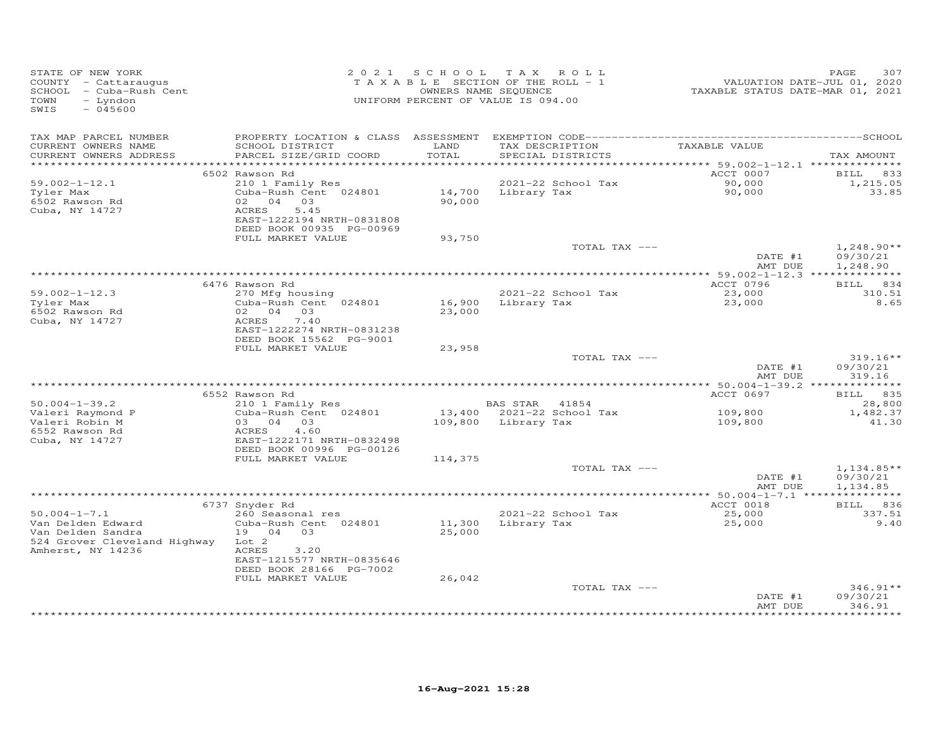| STATE OF NEW YORK<br>COUNTY - Cattaraugus<br>SCHOOL - Cuba-Rush Cent<br>TOWN<br>- Lyndon<br>$-045600$<br>SWIS |                                                                                                                                                   |                  | 2021 SCHOOL TAX ROLL<br>TAXABLE SECTION OF THE ROLL - 1<br>OWNERS NAME SEQUENCE<br>UNIFORM PERCENT OF VALUE IS 094.00 | VALUATION DATE-JUL 01, 2020<br>TAXABLE STATUS DATE-MAR 01, 2021 | 307<br>PAGE                          |
|---------------------------------------------------------------------------------------------------------------|---------------------------------------------------------------------------------------------------------------------------------------------------|------------------|-----------------------------------------------------------------------------------------------------------------------|-----------------------------------------------------------------|--------------------------------------|
| TAX MAP PARCEL NUMBER<br>CURRENT OWNERS NAME<br>CURRENT OWNERS ADDRESS                                        | SCHOOL DISTRICT<br>PARCEL SIZE/GRID COORD                                                                                                         | LAND<br>TOTAL    | TAX DESCRIPTION<br>SPECIAL DISTRICTS                                                                                  | TAXABLE VALUE                                                   | TAX AMOUNT                           |
| ************************                                                                                      |                                                                                                                                                   |                  |                                                                                                                       |                                                                 |                                      |
| $59.002 - 1 - 12.1$<br>Tyler Max<br>6502 Rawson Rd<br>Cuba, NY 14727                                          | 6502 Rawson Rd<br>210 1 Family Res<br>Cuba-Rush Cent 024801<br>02 04 03<br>5.45<br>ACRES<br>EAST-1222194 NRTH-0831808<br>DEED BOOK 00935 PG-00969 | 90,000           | 2021-22 School Tax<br>14,700 Library Tax                                                                              | ACCT 0007<br>90,000<br>90,000                                   | BILL 833<br>1,215.05<br>33.85        |
|                                                                                                               | FULL MARKET VALUE                                                                                                                                 | 93,750           |                                                                                                                       |                                                                 |                                      |
|                                                                                                               |                                                                                                                                                   |                  | TOTAL TAX ---                                                                                                         | DATE #1<br>AMT DUE                                              | $1,248.90**$<br>09/30/21<br>1,248.90 |
|                                                                                                               |                                                                                                                                                   |                  |                                                                                                                       |                                                                 |                                      |
|                                                                                                               | 6476 Rawson Rd                                                                                                                                    |                  |                                                                                                                       | ACCT 0796                                                       | BILL 834                             |
| $59.002 - 1 - 12.3$                                                                                           | 270 Mfg housing<br>Cuba-Rush Cent <sup>024801</sup>                                                                                               |                  | 2021-22 School Tax                                                                                                    | 23,000                                                          | 310.51<br>8.65                       |
| Tyler Max<br>6502 Rawson Rd<br>Cuba, NY 14727                                                                 | 02 04 03<br>7.40<br>ACRES<br>EAST-1222274 NRTH-0831238                                                                                            | 16,900<br>23,000 | Library Tax                                                                                                           | 23,000                                                          |                                      |
|                                                                                                               | DEED BOOK 15562 PG-9001                                                                                                                           |                  |                                                                                                                       |                                                                 |                                      |
|                                                                                                               | FULL MARKET VALUE                                                                                                                                 | 23,958           | TOTAL TAX ---                                                                                                         |                                                                 | $319.16**$                           |
|                                                                                                               |                                                                                                                                                   |                  |                                                                                                                       | DATE #1<br>AMT DUE                                              | 09/30/21<br>319.16                   |
|                                                                                                               |                                                                                                                                                   |                  |                                                                                                                       |                                                                 |                                      |
| $50.004 - 1 - 39.2$                                                                                           | 6552 Rawson Rd                                                                                                                                    |                  | BAS STAR 41854                                                                                                        | ACCT 0697                                                       | BILL 835                             |
| Valeri Raymond P<br>Valeri Robin M<br>6552 Rawson Rd                                                          | 210 1 Family Res<br>Cuba-Rush Cent 024801<br>03 04 03<br>4.60<br>ACRES                                                                            |                  | 13,400 2021-22 School Tax<br>109,800 Library Tax                                                                      | 109,800<br>109,800                                              | 28,800<br>1,482.37<br>41.30          |
| Cuba, NY 14727                                                                                                | EAST-1222171 NRTH-0832498<br>DEED BOOK 00996 PG-00126<br>FULL MARKET VALUE                                                                        | 114,375          |                                                                                                                       |                                                                 |                                      |
|                                                                                                               |                                                                                                                                                   |                  | TOTAL TAX ---                                                                                                         | DATE #1<br>AMT DUE                                              | $1,134.85**$<br>09/30/21<br>1,134.85 |
|                                                                                                               |                                                                                                                                                   |                  |                                                                                                                       | ** $50.004 - 1 - 7.1$ ****************                          |                                      |
|                                                                                                               | 6737 Snyder Rd                                                                                                                                    |                  |                                                                                                                       | ACCT 0018                                                       | BILL 836                             |
| $50.004 - 1 - 7.1$<br>Van Delden Edward                                                                       | 260 Seasonal res<br>Cuba-Rush Cent 024801                                                                                                         | 11,300           | 2021-22 School Tax<br>Library Tax                                                                                     | 25,000<br>25,000                                                | 337.51<br>9.40                       |
| Van Delden Sandra<br>524 Grover Cleveland Highway<br>Amherst, NY 14236                                        | 19 04 03<br>Lot 2<br>ACRES<br>3,20<br>EAST-1215577 NRTH-0835646<br>DEED BOOK 28166 PG-7002<br>FULL MARKET VALUE                                   | 25,000<br>26,042 |                                                                                                                       |                                                                 |                                      |
|                                                                                                               |                                                                                                                                                   |                  | TOTAL TAX ---                                                                                                         |                                                                 | $346.91**$                           |
|                                                                                                               |                                                                                                                                                   |                  |                                                                                                                       | DATE #1<br>AMT DUE                                              | 09/30/21<br>346.91                   |
|                                                                                                               |                                                                                                                                                   |                  |                                                                                                                       |                                                                 |                                      |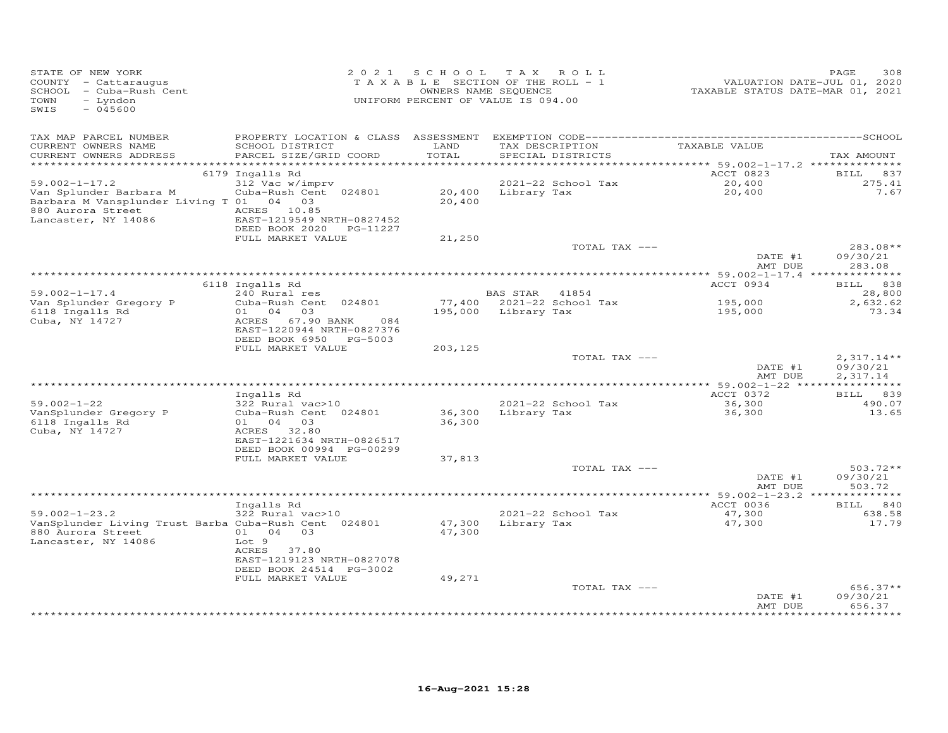| STATE OF NEW YORK<br>COUNTY - Cattaraugus<br>SCHOOL - Cuba-Rush Cent<br>- Lyndon<br>TOWN<br>$-045600$<br>SWIS                        |                                                                                                                        |                  | 2021 SCHOOL TAX ROLL<br>TAXABLE SECTION OF THE ROLL - 1<br>OWNERS NAME SEQUENCE<br>UNIFORM PERCENT OF VALUE IS 094.00 | VALUATION DATE-JUL 01, 2020<br>TAXABLE STATUS DATE-MAR 01, 2021 | PAGE<br>308                          |
|--------------------------------------------------------------------------------------------------------------------------------------|------------------------------------------------------------------------------------------------------------------------|------------------|-----------------------------------------------------------------------------------------------------------------------|-----------------------------------------------------------------|--------------------------------------|
| TAX MAP PARCEL NUMBER<br>CURRENT OWNERS NAME<br>CURRENT OWNERS ADDRESS<br>***********************                                    | SCHOOL DISTRICT<br>PARCEL SIZE/GRID COORD                                                                              | LAND<br>TOTAL    | TAX DESCRIPTION<br>SPECIAL DISTRICTS                                                                                  | TAXABLE VALUE                                                   | TAX AMOUNT                           |
|                                                                                                                                      | 6179 Ingalls Rd                                                                                                        |                  |                                                                                                                       | ACCT 0823                                                       | <b>BILL</b><br>837                   |
| $59.002 - 1 - 17.2$<br>Van Splunder Barbara M<br>Barbara M Vansplunder Living T 01 04 03<br>880 Aurora Street<br>Lancaster, NY 14086 | 312 Vac w/imprv<br>Cuba-Rush Cent 024801<br>ACRES 10.85<br>EAST-1219549 NRTH-0827452<br>DEED BOOK 2020 PG-11227        | 20,400           | 2021-22 School Tax<br>20,400 Library Tax                                                                              | 20,400<br>20,400                                                | 275.41<br>7.67                       |
|                                                                                                                                      | FULL MARKET VALUE                                                                                                      | 21,250           | TOTAL TAX ---                                                                                                         |                                                                 | $283.08**$                           |
|                                                                                                                                      |                                                                                                                        |                  |                                                                                                                       | DATE #1<br>AMT DUE                                              | 09/30/21<br>283.08                   |
|                                                                                                                                      | 6118 Ingalls Rd                                                                                                        |                  |                                                                                                                       | ACCT 0934                                                       | BILL 838                             |
| $59.002 - 1 - 17.4$                                                                                                                  | 240 Rural res                                                                                                          |                  | BAS STAR 41854                                                                                                        |                                                                 | 28,800                               |
| Van Splunder Gregory P<br>6118 Ingalls Rd<br>Cuba, NY 14727                                                                          | Cuba-Rush Cent 024801<br>01 04 03<br>67.90 BANK<br>084<br>ACRES<br>EAST-1220944 NRTH-0827376<br>DEED BOOK 6950 PG-5003 |                  | 77,400 2021-22 School Tax<br>195,000 Library Tax                                                                      | 195,000<br>195,000                                              | 2,632.62<br>73.34                    |
|                                                                                                                                      | FULL MARKET VALUE                                                                                                      | 203,125          |                                                                                                                       |                                                                 |                                      |
|                                                                                                                                      |                                                                                                                        |                  | TOTAL TAX ---                                                                                                         | DATE #1<br>AMT DUE                                              | $2,317.14**$<br>09/30/21<br>2,317.14 |
|                                                                                                                                      |                                                                                                                        |                  |                                                                                                                       | ACCT 0372                                                       |                                      |
| $59.002 - 1 - 22$<br>VanSplunder Gregory P<br>6118 Ingalls Rd<br>Cuba, NY 14727                                                      | Ingalls Rd<br>322 Rural vac>10<br>Cuba-Rush Cent 024801<br>01 04<br>03<br>ACRES 32.80                                  | 36,300<br>36,300 | 2021-22 School Tax<br>Library Tax                                                                                     | 36,300<br>36,300                                                | BILL 839<br>490.07<br>13.65          |
|                                                                                                                                      | EAST-1221634 NRTH-0826517<br>DEED BOOK 00994 PG-00299<br>FULL MARKET VALUE                                             | 37,813           |                                                                                                                       |                                                                 |                                      |
|                                                                                                                                      |                                                                                                                        |                  | TOTAL TAX ---                                                                                                         | DATE #1<br>AMT DUE                                              | $503.72**$<br>09/30/21<br>503.72     |
|                                                                                                                                      |                                                                                                                        |                  |                                                                                                                       |                                                                 |                                      |
| $59.002 - 1 - 23.2$<br>VanSplunder Living Trust Barba Cuba-Rush Cent 024801                                                          | Ingalls Rd<br>322 Rural vac>10                                                                                         | 47,300           | 2021-22 School Tax<br>Library Tax                                                                                     | ACCT 0036<br>47,300<br>47,300                                   | BILL 840<br>638.58<br>17.79          |
| 880 Aurora Street<br>Lancaster, NY 14086                                                                                             | 01 04 03<br>Lot 9<br>ACRES 37.80<br>EAST-1219123 NRTH-0827078<br>DEED BOOK 24514 PG-3002<br>FULL MARKET VALUE          | 47,300<br>49,271 |                                                                                                                       |                                                                 |                                      |
|                                                                                                                                      |                                                                                                                        |                  | TOTAL TAX ---                                                                                                         | DATE #1<br>AMT DUE                                              | $656.37**$<br>09/30/21<br>656.37     |
|                                                                                                                                      |                                                                                                                        |                  |                                                                                                                       |                                                                 |                                      |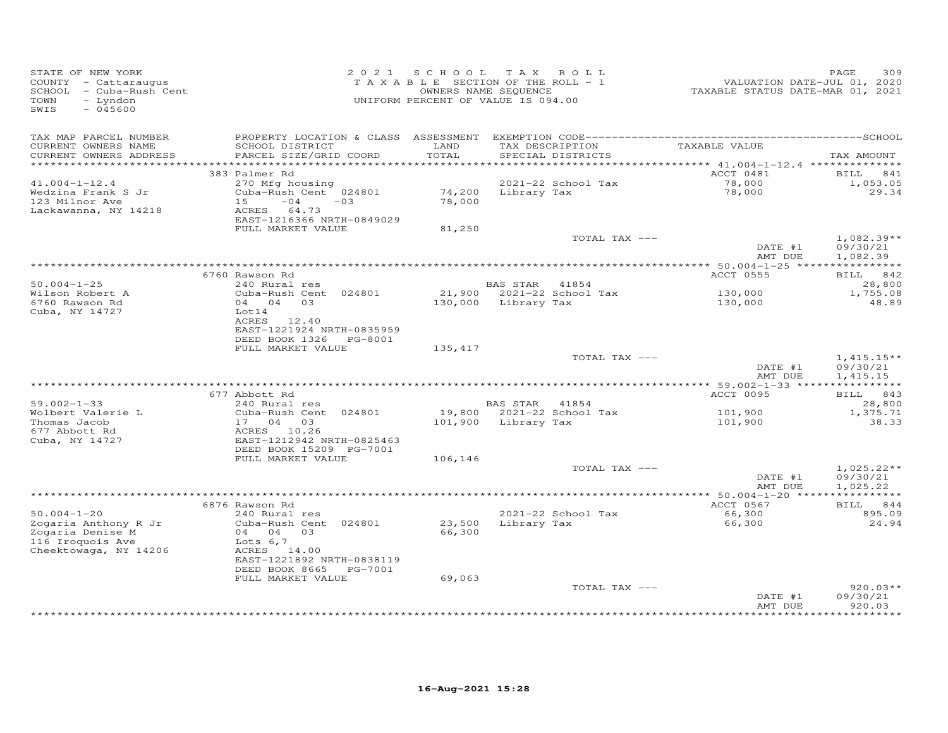| STATE OF NEW YORK<br>COUNTY - Cattaraugus<br>SCHOOL - Cuba-Rush Cent<br>- Lyndon<br>TOWN<br>$-045600$<br>SWIS |                                                                                                                                            |                  | 2021 SCHOOL TAX ROLL<br>T A X A B L E SECTION OF THE ROLL - 1<br>OWNERS NAME SEQUENCE<br>UNIFORM PERCENT OF VALUE IS 094.00 | VALUATION DATE-JUL 01, 2020<br>TAXABLE STATUS DATE-MAR 01, 2021 | 309<br>PAGE                          |
|---------------------------------------------------------------------------------------------------------------|--------------------------------------------------------------------------------------------------------------------------------------------|------------------|-----------------------------------------------------------------------------------------------------------------------------|-----------------------------------------------------------------|--------------------------------------|
| TAX MAP PARCEL NUMBER<br>CURRENT OWNERS NAME<br>CURRENT OWNERS ADDRESS                                        | SCHOOL DISTRICT<br>PARCEL SIZE/GRID COORD                                                                                                  | LAND<br>TOTAL    | TAX DESCRIPTION TAXABLE VALUE<br>SPECIAL DISTRICTS                                                                          |                                                                 | TAX AMOUNT                           |
|                                                                                                               | 383 Palmer Rd                                                                                                                              |                  |                                                                                                                             | ACCT 0481                                                       | <b>BILL</b><br>841                   |
| $41.004 - 1 - 12.4$<br>Wedzina Frank S Jr<br>123 Milnor Ave<br>Lackawanna, NY 14218                           | 270 Mfg housing<br>Cuba-Rush Cent 024801<br>$15 -04 -03$<br>ACRES 64.73<br>EAST-1216366 NRTH-0849029                                       | 78,000           | 2021-22 School Tax<br>74,200 Library Tax                                                                                    | 78,000<br>78,000                                                | 1,053.05<br>29.34                    |
|                                                                                                               | FULL MARKET VALUE                                                                                                                          | 81,250           |                                                                                                                             |                                                                 |                                      |
|                                                                                                               |                                                                                                                                            |                  | TOTAL TAX ---                                                                                                               | DATE #1<br>AMT DUE                                              | $1,082.39**$<br>09/30/21<br>1,082.39 |
|                                                                                                               |                                                                                                                                            |                  |                                                                                                                             |                                                                 |                                      |
|                                                                                                               | 6760 Rawson Rd                                                                                                                             |                  |                                                                                                                             | ACCT 0555                                                       | BILL 842                             |
| $50.004 - 1 - 25$<br>Wilson Robert A                                                                          | 240 Rural res<br>Cuba-Rush Cent 024801                                                                                                     |                  | BAS STAR 41854<br>21,900 2021-22 School Tax                                                                                 | 130,000                                                         | 28,800<br>1,755.08                   |
| 6760 Rawson Rd<br>Cuba, NY 14727                                                                              | 04  04  03<br>Lot14                                                                                                                        |                  | 130,000 Library Tax                                                                                                         | 130,000                                                         | 48.89                                |
|                                                                                                               | ACRES 12.40<br>EAST-1221924 NRTH-0835959<br>DEED BOOK 1326    PG-8001                                                                      |                  |                                                                                                                             |                                                                 |                                      |
|                                                                                                               | FULL MARKET VALUE                                                                                                                          | 135,417          | TOTAL TAX ---                                                                                                               |                                                                 | $1,415.15**$                         |
|                                                                                                               |                                                                                                                                            |                  |                                                                                                                             | DATE #1<br>AMT DUE                                              | 09/30/21<br>1,415.15                 |
|                                                                                                               |                                                                                                                                            |                  |                                                                                                                             | *********** 59.002-1-33 *****************                       |                                      |
| $59.002 - 1 - 33$                                                                                             | 677 Abbott Rd<br>240 Rural res                                                                                                             |                  | BAS STAR 41854                                                                                                              | ACCT 0095                                                       | BILL 843<br>28,800                   |
| Wolbert Valerie L<br>Thomas Jacob<br>677 Abbott Rd                                                            | Cuba-Rush Cent 024801<br>17 04 03<br>ACRES 10.26                                                                                           |                  | 19,800 2021-22 School Tax<br>101,900 Library Tax                                                                            | 101,900<br>101,900                                              | 1,375.71<br>38.33                    |
| Cuba, NY 14727                                                                                                | EAST-1212942 NRTH-0825463<br>DEED BOOK 15209 PG-7001<br>FULL MARKET VALUE                                                                  | 106,146          |                                                                                                                             |                                                                 |                                      |
|                                                                                                               |                                                                                                                                            |                  | TOTAL TAX ---                                                                                                               | DATE #1<br>AMT DUE                                              | $1,025.22**$<br>09/30/21<br>1,025.22 |
|                                                                                                               |                                                                                                                                            |                  |                                                                                                                             |                                                                 |                                      |
| $50.004 - 1 - 20$                                                                                             | 6876 Rawson Rd<br>240 Rural res                                                                                                            |                  | 2021-22 School Tax                                                                                                          | ACCT 0567<br>66,300                                             | BILL 844<br>895.09                   |
| Zogaria Anthony R Jr<br>Zogaria<br>Zogaria Denise M<br>116 Iroquois Ave<br>Cheektowaga, NY 14206              | Cuba-Rush Cent 024801<br>04 04 03<br>Lots $6,7$<br>ACRES 14.00<br>EAST-1221892 NRTH-0838119<br>DEED BOOK 8665 PG-7001<br>FULL MARKET VALUE | 66,300<br>69,063 | 23,500 Library Tax                                                                                                          | 66,300                                                          | 24.94                                |
|                                                                                                               |                                                                                                                                            |                  | TOTAL TAX ---                                                                                                               | DATE #1<br>AMT DUE                                              | $920.03**$<br>09/30/21<br>920.03     |
|                                                                                                               |                                                                                                                                            |                  |                                                                                                                             |                                                                 | ******                               |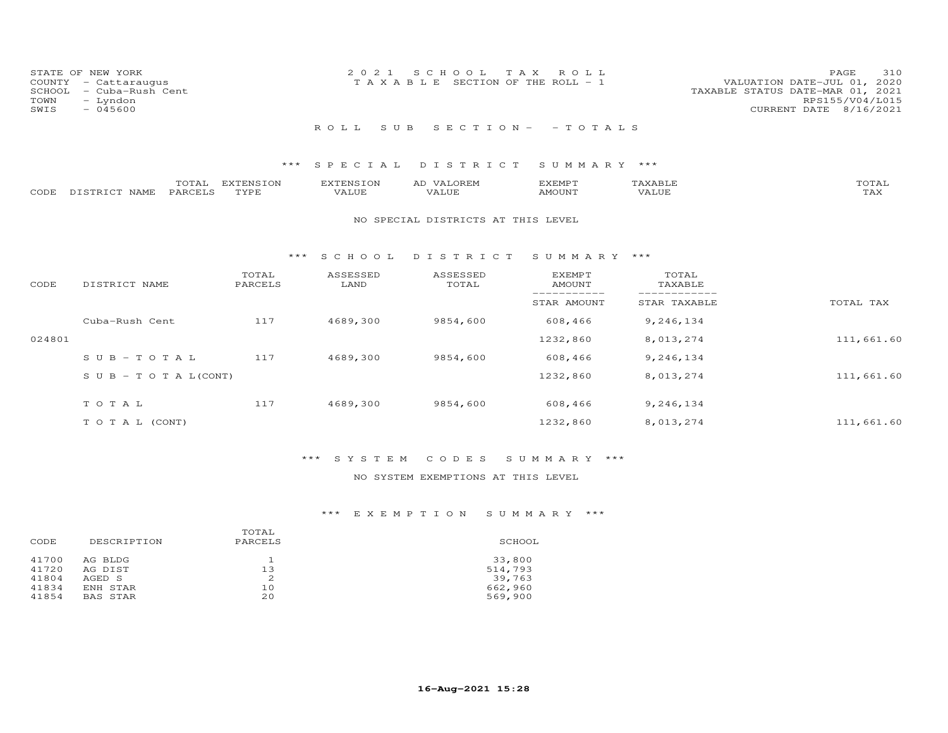|      | STATE OF NEW YORK                               | 2021 SCHOOL TAX ROLL                                                                                     | PAGE            | 310 |
|------|-------------------------------------------------|----------------------------------------------------------------------------------------------------------|-----------------|-----|
|      | COUNTY - Cattaraugus<br>SCHOOL - Cuba-Rush Cent | VALUATION DATE-JUL 01, 2020<br>T A X A B L E SECTION OF THE ROLL - 1<br>TAXABLE STATUS DATE-MAR 01, 2021 |                 |     |
| TOWN | - Lyndon                                        |                                                                                                          | RPS155/V04/L015 |     |
| SWIS | $-045600$                                       | CURRENT DATE 8/16/2021                                                                                   |                 |     |
|      |                                                 | ROLL SUB SECTION- -TOTALS                                                                                |                 |     |

### \*\*\* S P E C I A L D I S T R I C T S U M M A R Y \*\*\*

|      |                                 | $m \wedge m$ | <b>EXTENSION</b> |                    | 41. | 'YEMPT       | ∸     | -----    |
|------|---------------------------------|--------------|------------------|--------------------|-----|--------------|-------|----------|
| CODE | 77.00077.00<br><b>NAMF</b><br>້ | PARTFT       | TVDF             | T T T<br>. . l J F |     | <b>MOUNT</b> | 'Alue | ∟ ∠−∡∡ ∢ |

#### NO SPECIAL DISTRICTS AT THIS LEVEL

#### \*\*\* S C H O O L D I S T R I C T S U M M A R Y \*\*\*

| CODE   | DISTRICT NAME                    | TOTAL<br>PARCELS | ASSESSED<br>LAND | ASSESSED<br>TOTAL | <b>EXEMPT</b><br><b>AMOUNT</b> | TOTAL<br>TAXABLE |            |
|--------|----------------------------------|------------------|------------------|-------------------|--------------------------------|------------------|------------|
|        |                                  |                  |                  |                   | STAR AMOUNT                    | STAR TAXABLE     | TOTAL TAX  |
|        | Cuba-Rush Cent                   | 117              | 4689,300         | 9854,600          | 608,466                        | 9,246,134        |            |
| 024801 |                                  |                  |                  |                   | 1232,860                       | 8,013,274        | 111,661.60 |
|        | $SUB - TO T AL$                  | 117              | 4689,300         | 9854,600          | 608,466                        | 9,246,134        |            |
|        | $S \cup B - T \cup T A L (CONT)$ |                  |                  |                   | 1232,860                       | 8,013,274        | 111,661.60 |
|        | TOTAL                            | 117              | 4689,300         | 9854,600          | 608,466                        | 9,246,134        |            |
|        | T O T A L (CONT)                 |                  |                  |                   | 1232,860                       | 8,013,274        | 111,661.60 |

## \*\*\* S Y S T E M C O D E S S U M M A R Y \*\*\*

### NO SYSTEM EXEMPTIONS AT THIS LEVEL

### \*\*\* E X E M P T I O N S U M M A R Y \*\*\*

| CODE           | DESCRIPTION        | TOTAL<br>PARCELS | SCHOOL            |
|----------------|--------------------|------------------|-------------------|
| 41700<br>41720 | AG BLDG<br>AG DIST | 13               | 33,800<br>514,793 |
| 41804          | AGED S             |                  | 39,763            |
| 41834          | ENH STAR           | 10               | 662,960           |
| 41854          | BAS STAR           | 20               | 569,900           |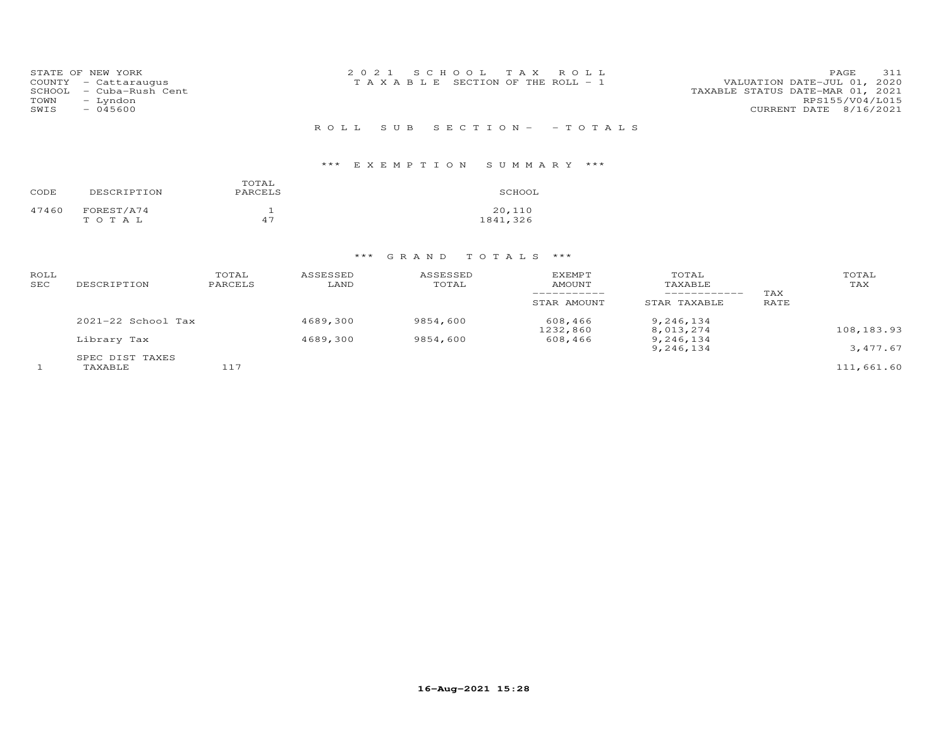| STATE OF NEW YORK<br>COUNTY - Cattaraugus<br>SCHOOL<br>- Cuba-Rush Cent<br>TOWN<br>- Lyndon<br>SWIS<br>$-045600$ | 2021 SCHOOL TAX ROLL<br>T A X A B L E SECTION OF THE ROLL - 1 | 311<br>PAGE<br>VALUATION DATE-JUL 01, 2020<br>TAXABLE STATUS DATE-MAR 01, 2021<br>RPS155/V04/L015<br>CURRENT DATE 8/16/2021 |
|------------------------------------------------------------------------------------------------------------------|---------------------------------------------------------------|-----------------------------------------------------------------------------------------------------------------------------|
|                                                                                                                  | ROLL SUB SECTION- - TOTALS                                    |                                                                                                                             |

## \*\*\* E X E M P T I O N S U M M A R Y \*\*\*

| CODE  | DESCRIPTION         | TOTAL<br>PARCELS | SCHOOL             |
|-------|---------------------|------------------|--------------------|
| 47460 | FOREST/A74<br>тотаь | 47               | 20,110<br>1841,326 |

| ROLL<br>SEC | DESCRIPTION                | TOTAL<br>PARCELS | ASSESSED<br>LAND | ASSESSED<br>TOTAL | <b>EXEMPT</b><br>AMOUNT<br>STAR AMOUNT | TOTAL<br>TAXABLE<br>------------<br>STAR TAXABLE | TAX<br>RATE | TOTAL<br>TAX |
|-------------|----------------------------|------------------|------------------|-------------------|----------------------------------------|--------------------------------------------------|-------------|--------------|
|             | $2021 - 22$ School Tax     |                  | 4689,300         | 9854,600          | 608,466<br>1232,860                    | 9,246,134<br>8,013,274                           |             | 108,183.93   |
|             | Library Tax                |                  | 4689,300         | 9854,600          | 608,466                                | 9,246,134<br>9,246,134                           |             | 3,477.67     |
|             | SPEC DIST TAXES<br>TAXABLE | 117              |                  |                   |                                        |                                                  |             | 111,661.60   |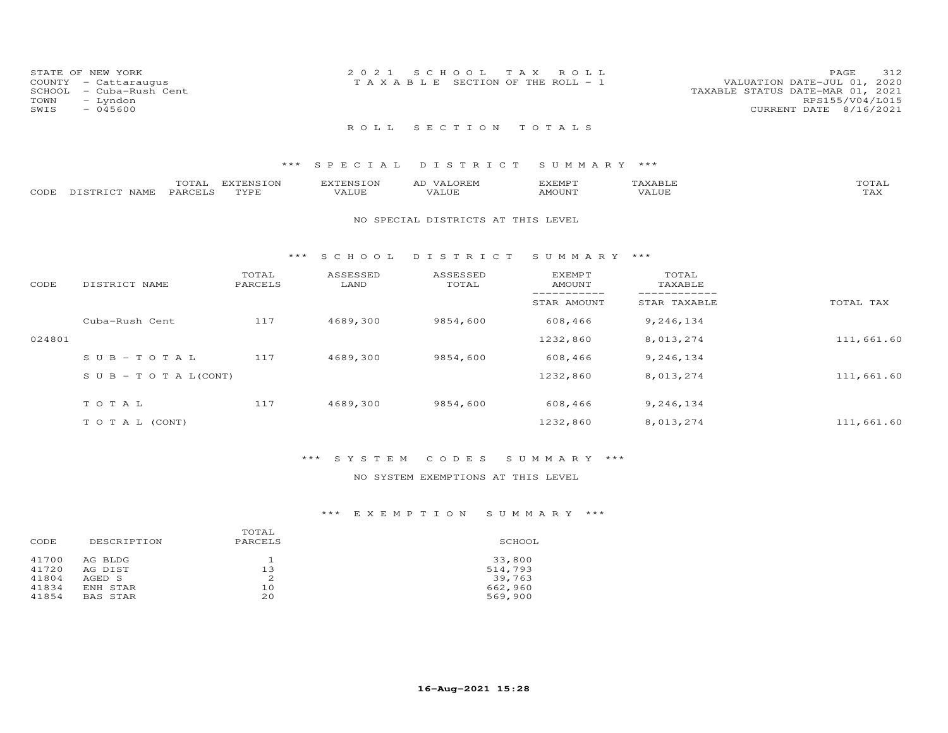| TOWN<br>SWIS | STATE OF NEW YORK<br>COUNTY - Cattaraugus<br>SCHOOL - Cuba-Rush Cent<br>- Lyndon<br>$-045600$ | 2021 SCHOOL TAX ROLL<br>T A X A B L E SECTION OF THE ROLL - 1 |  | 312<br>PAGE<br>VALUATION DATE-JUL 01, 2020<br>TAXABLE STATUS DATE-MAR 01, 2021<br>RPS155/V04/L015<br>CURRENT DATE 8/16/2021 |
|--------------|-----------------------------------------------------------------------------------------------|---------------------------------------------------------------|--|-----------------------------------------------------------------------------------------------------------------------------|
|              |                                                                                               | ROLL SECTION TOTALS                                           |  |                                                                                                                             |

### \*\*\* S P E C I A L D I S T R I C T S U M M A R Y \*\*\*

|       |             | m^m*<br>$\Delta$ | <b>EXTENSION</b> | <b>JVTTNCTOM</b> |       | 'XEMP'       |                 |        |
|-------|-------------|------------------|------------------|------------------|-------|--------------|-----------------|--------|
| CODE. | NAMF<br>- - | PARCELS          | TVDE             | $A \cup D$       | ⊓∪⊔د∡ | $3.60$ TTATH | ′А<br>. I I U P | - ∠⊐ ∿ |

#### NO SPECIAL DISTRICTS AT THIS LEVEL

#### \*\*\* S C H O O L D I S T R I C T S U M M A R Y \*\*\*

| CODE   | DISTRICT NAME                    | TOTAL<br>PARCELS | ASSESSED<br>LAND | ASSESSED<br>TOTAL | <b>EXEMPT</b><br>AMOUNT | TOTAL<br>TAXABLE |            |
|--------|----------------------------------|------------------|------------------|-------------------|-------------------------|------------------|------------|
|        |                                  |                  |                  |                   | STAR AMOUNT             | STAR TAXABLE     | TOTAL TAX  |
|        | Cuba-Rush Cent                   | 117              | 4689,300         | 9854,600          | 608,466                 | 9,246,134        |            |
| 024801 |                                  |                  |                  |                   | 1232,860                | 8,013,274        | 111,661.60 |
|        | $SUB-TOTAL$                      | 117              | 4689,300         | 9854,600          | 608,466                 | 9,246,134        |            |
|        | $S \cup B - T \cup T A L (CONT)$ |                  |                  |                   | 1232,860                | 8,013,274        | 111,661.60 |
|        | TOTAL                            | 117              | 4689,300         | 9854,600          | 608,466                 | 9,246,134        |            |
|        | T O T A L (CONT)                 |                  |                  |                   | 1232,860                | 8,013,274        | 111,661.60 |

### \*\*\* S Y S T E M C O D E S S U M M A R Y \*\*\*

### NO SYSTEM EXEMPTIONS AT THIS LEVEL

### \*\*\* E X E M P T I O N S U M M A R Y \*\*\*

| CODE           | DESCRIPTION        | TOTAL<br>PARCELS | SCHOOL            |
|----------------|--------------------|------------------|-------------------|
| 41700<br>41720 | AG BLDG<br>AG DIST | 13               | 33,800<br>514,793 |
| 41804          | AGED S             |                  | 39,763            |
| 41834          | ENH STAR           | 10               | 662,960           |
| 41854          | BAS STAR           | 20               | 569,900           |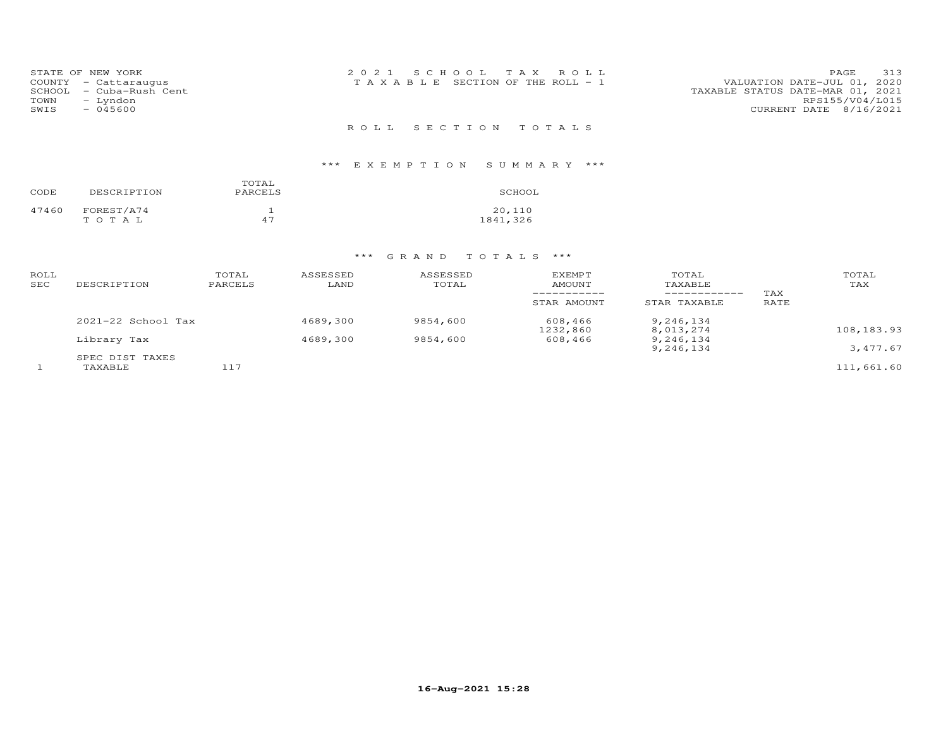| STATE OF NEW YORK<br>COUNTY - Cattaraugus<br>- Cuba-Rush Cent<br>SCHOOL<br>TOWN<br>- Lyndon<br>SWIS<br>$-045600$ | 2021 SCHOOL TAX ROLL<br>T A X A B L E SECTION OF THE ROLL - 1 | 313<br>PAGE<br>VALUATION DATE-JUL 01, 2020<br>TAXABLE STATUS DATE-MAR 01, 2021<br>RPS155/V04/L015<br>CURRENT DATE 8/16/2021 |
|------------------------------------------------------------------------------------------------------------------|---------------------------------------------------------------|-----------------------------------------------------------------------------------------------------------------------------|
|                                                                                                                  | ROLL SECTION TOTALS                                           |                                                                                                                             |

## \*\*\* E X E M P T I O N S U M M A R Y \*\*\*

| CODE  | DESCRIPTION         | TOTAL<br>PARCELS | SCHOOL             |
|-------|---------------------|------------------|--------------------|
| 47460 | FOREST/A74<br>тотаь | $\Delta$ 7       | 20,110<br>1841,326 |

| ROLL<br>SEC | DESCRIPTION                | TOTAL<br>PARCELS | ASSESSED<br>LAND | ASSESSED<br>TOTAL | <b>EXEMPT</b><br>AMOUNT<br>STAR AMOUNT | TOTAL<br>TAXABLE<br>------------<br>STAR TAXABLE | TAX<br>RATE | TOTAL<br>TAX |
|-------------|----------------------------|------------------|------------------|-------------------|----------------------------------------|--------------------------------------------------|-------------|--------------|
|             | $2021 - 22$ School Tax     |                  | 4689,300         | 9854,600          | 608,466<br>1232,860                    | 9,246,134<br>8,013,274                           |             | 108,183.93   |
|             | Library Tax                |                  | 4689,300         | 9854,600          | 608,466                                | 9,246,134<br>9,246,134                           |             | 3,477.67     |
|             | SPEC DIST TAXES<br>TAXABLE | 117              |                  |                   |                                        |                                                  |             | 111,661.60   |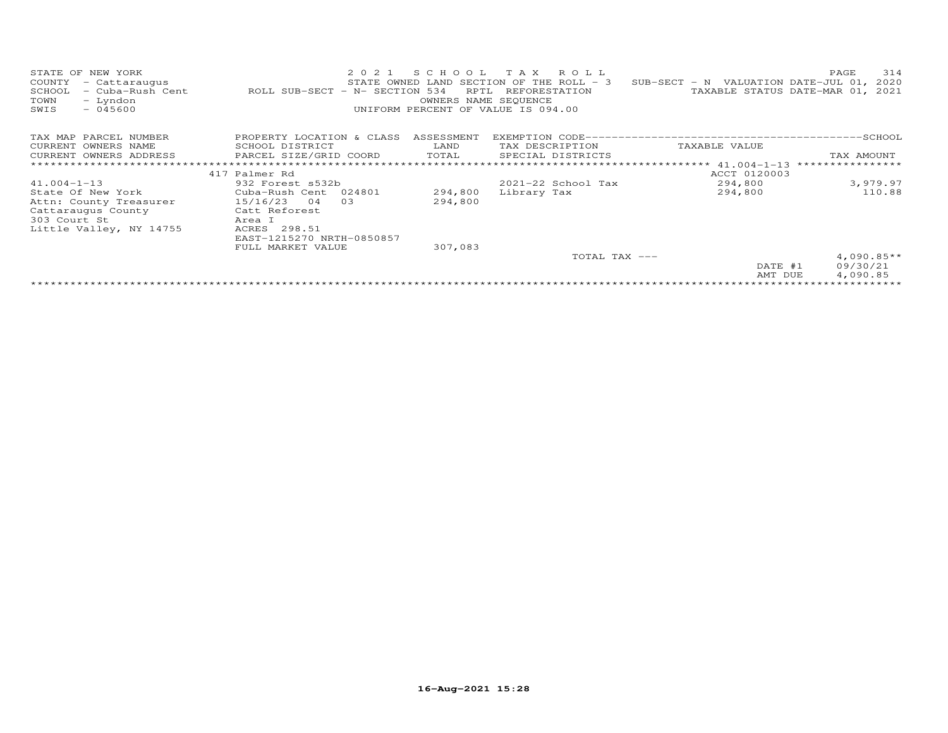| STATE OF NEW YORK<br>COUNTY<br>- Cattaraugus<br>- Cuba-Rush Cent<br>SCHOOL<br>- Lyndon<br>TOWN<br>SWIS<br>$-045600$ | 2021<br>ROLL SUB-SECT - N- SECTION 534 | SCHOOL<br>RPTL<br>OWNERS NAME SEQUENCE | TAX ROLL<br>STATE OWNED LAND SECTION OF THE ROLL - 3<br>REFORESTATION<br>UNIFORM PERCENT OF VALUE IS 094.00 | SUB-SECT - N VALUATION DATE-JUL 01, 2020 | 314<br>PAGE<br>TAXABLE STATUS DATE-MAR 01, 2021 |
|---------------------------------------------------------------------------------------------------------------------|----------------------------------------|----------------------------------------|-------------------------------------------------------------------------------------------------------------|------------------------------------------|-------------------------------------------------|
| TAX MAP PARCEL NUMBER                                                                                               | PROPERTY LOCATION & CLASS              | ASSESSMENT                             |                                                                                                             |                                          |                                                 |
| CURRENT OWNERS NAME                                                                                                 | SCHOOL DISTRICT                        | LAND                                   | TAX DESCRIPTION                                                                                             | TAXABLE VALUE                            |                                                 |
| CURRENT OWNERS ADDRESS                                                                                              | PARCEL SIZE/GRID COORD                 | TOTAL                                  | SPECIAL DISTRICTS                                                                                           |                                          | TAX AMOUNT                                      |
|                                                                                                                     |                                        |                                        |                                                                                                             | *************** 41.004-1-13              | ****************                                |
|                                                                                                                     | 417 Palmer Rd                          |                                        |                                                                                                             | ACCT 0120003                             |                                                 |
| $41.004 - 1 - 13$                                                                                                   | 932 Forest s532b                       |                                        | 2021-22 School Tax                                                                                          | 294,800                                  | 3,979.97                                        |
| State Of New York                                                                                                   | Cuba-Rush Cent 024801                  | 294,800                                | Library Tax                                                                                                 | 294,800                                  | 110.88                                          |
| Attn: County Treasurer                                                                                              | 15/16/23 04<br>03                      | 294,800                                |                                                                                                             |                                          |                                                 |
| Cattaraugus County                                                                                                  | Catt Reforest                          |                                        |                                                                                                             |                                          |                                                 |
| 303 Court St                                                                                                        | Area I                                 |                                        |                                                                                                             |                                          |                                                 |
| Little Valley, NY 14755                                                                                             | ACRES 298.51                           |                                        |                                                                                                             |                                          |                                                 |
|                                                                                                                     | EAST-1215270 NRTH-0850857              |                                        |                                                                                                             |                                          |                                                 |
|                                                                                                                     | FULL MARKET VALUE                      | 307,083                                |                                                                                                             |                                          |                                                 |
|                                                                                                                     |                                        |                                        | TOTAL TAX ---                                                                                               |                                          | $4,090.85**$                                    |
|                                                                                                                     |                                        |                                        |                                                                                                             | DATE #1                                  | 09/30/21                                        |
|                                                                                                                     |                                        |                                        |                                                                                                             | AMT DUE                                  | 4,090.85                                        |
|                                                                                                                     |                                        |                                        |                                                                                                             |                                          |                                                 |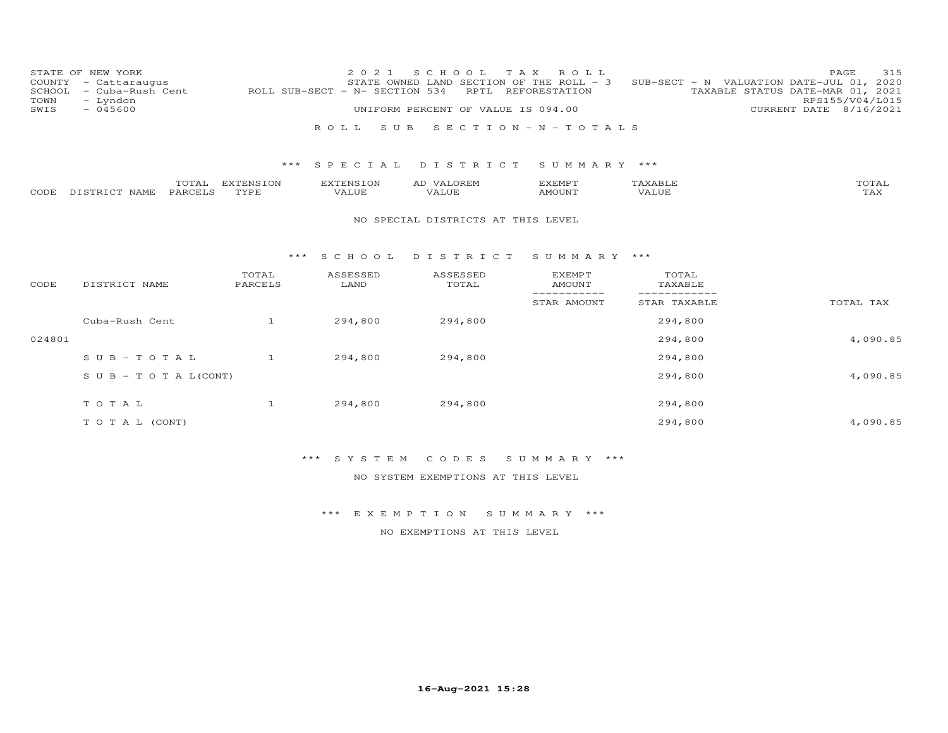| COUNTY<br>SCHOOL<br>TOWN<br>SWIS | STATE OF NEW YORK<br>- Cattaraugus<br>- Cuba-Rush Cent<br>- Lyndon<br>$-045600$ |                          | 2 0 2 1<br>ROLL SUB-SECT - N- SECTION 534 | S C H O O L<br>STATE OWNED LAND SECTION OF THE ROLL - 3<br>UNIFORM PERCENT OF VALUE IS 094.00 | T A X<br>ROLL<br>RPTL REFORESTATION |                  | 315<br>PAGE<br>SUB-SECT - N VALUATION DATE-JUL 01, 2020<br>TAXABLE STATUS DATE-MAR 01, 2021<br>RPS155/V04/L015<br>CURRENT DATE 8/16/2021 |
|----------------------------------|---------------------------------------------------------------------------------|--------------------------|-------------------------------------------|-----------------------------------------------------------------------------------------------|-------------------------------------|------------------|------------------------------------------------------------------------------------------------------------------------------------------|
|                                  |                                                                                 |                          | ROLL<br>S U B                             |                                                                                               | SECTION - $N - T$ OTALS             |                  |                                                                                                                                          |
|                                  |                                                                                 | ***                      | SPECIAL                                   | DISTRICT                                                                                      | SUMMARY ***                         |                  |                                                                                                                                          |
| CODE                             | TOTAL<br>PARCELS<br>DISTRICT NAME                                               | <b>EXTENSION</b><br>TYPE | <b>EXTENSION</b><br>VALUE                 | AD VALOREM<br>VALUE                                                                           | EXEMPT<br>AMOUNT                    | TAXABLE<br>VALUE | TOTAL<br>TAX                                                                                                                             |
|                                  |                                                                                 |                          |                                           | NO SPECIAL DISTRICTS AT THIS LEVEL                                                            |                                     |                  |                                                                                                                                          |
|                                  |                                                                                 | $***$                    | SCHOOL                                    | DISTRICT                                                                                      | SUMMARY ***                         |                  |                                                                                                                                          |
| CODE                             | DISTRICT NAME                                                                   | TOTAL<br>PARCELS         | ASSESSED<br>LAND                          | ASSESSED<br>TOTAL                                                                             | <b>EXEMPT</b><br>AMOUNT             | TOTAL<br>TAXABLE |                                                                                                                                          |
|                                  |                                                                                 |                          |                                           |                                                                                               | -----------<br>STAR AMOUNT          | STAR TAXABLE     | TOTAL TAX                                                                                                                                |
|                                  | Cuba-Rush Cent                                                                  | $\overline{1}$           | 294,800                                   | 294,800                                                                                       |                                     | 294,800          |                                                                                                                                          |
| 024801                           |                                                                                 |                          |                                           |                                                                                               |                                     | 294,800          | 4,090.85                                                                                                                                 |
|                                  | $S \cup B - TO T A L$                                                           | $\mathbf{1}$             | 294,800                                   | 294,800                                                                                       |                                     | 294,800          |                                                                                                                                          |
|                                  | $S \cup B - T \cup T A L (CONT)$                                                |                          |                                           |                                                                                               |                                     | 294,800          | 4,090.85                                                                                                                                 |
|                                  | TOTAL                                                                           | $\mathbf{1}$             | 294,800                                   | 294,800                                                                                       |                                     | 294,800          |                                                                                                                                          |
|                                  | TO TAL (CONT)                                                                   |                          |                                           |                                                                                               |                                     | 294,800          | 4,090.85                                                                                                                                 |

## \*\*\* S Y S T E M C O D E S S U M M A R Y \*\*\*

NO SYSTEM EXEMPTIONS AT THIS LEVEL

\*\*\* E X E M P T I O N S U M M A R Y \*\*\*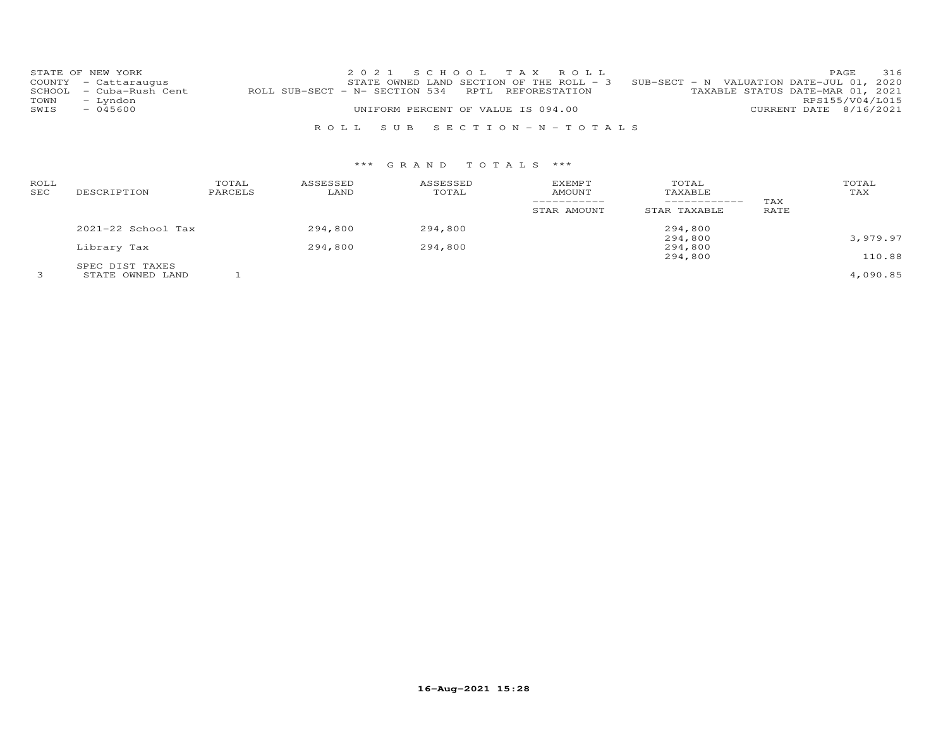|      | STATE OF NEW YORK       |                                                   | 2021 SCHOOL TAX ROLL               |                                                                                     |                                  |                        | PAGE | 316 |
|------|-------------------------|---------------------------------------------------|------------------------------------|-------------------------------------------------------------------------------------|----------------------------------|------------------------|------|-----|
|      | COUNTY - Cattaraugus    |                                                   |                                    | STATE OWNED LAND SECTION OF THE ROLL - $3$ SUB-SECT - N VALUATION DATE-JUL 01, 2020 |                                  |                        |      |     |
|      | SCHOOL - Cuba-Rush Cent | ROLL SUB-SECT - N- SECTION 534 RPTL REFORESTATION |                                    |                                                                                     | TAXABLE STATUS DATE-MAR 01, 2021 |                        |      |     |
| TOWN | - Lyndon                |                                                   |                                    |                                                                                     |                                  | RPS155/V04/L015        |      |     |
| SWIS | $-045600$               |                                                   | UNIFORM PERCENT OF VALUE IS 094.00 |                                                                                     |                                  | CURRENT DATE 8/16/2021 |      |     |
|      |                         |                                                   |                                    |                                                                                     |                                  |                        |      |     |
|      |                         |                                                   | ROLL SUB SECTION-N-TOTALS          |                                                                                     |                                  |                        |      |     |

| ROLL<br>SEC | DESCRIPTION        | TOTAL<br>PARCELS | ASSESSED<br>LAND | ASSESSED<br>TOTAL | <b>EXEMPT</b><br>AMOUNT<br>STAR AMOUNT | TOTAL<br>TAXABLE<br>------------<br>STAR TAXABLE | TAX<br>RATE | TOTAL<br>TAX |
|-------------|--------------------|------------------|------------------|-------------------|----------------------------------------|--------------------------------------------------|-------------|--------------|
|             | 2021-22 School Tax |                  | 294,800          | 294,800           |                                        | 294,800                                          |             |              |
|             |                    |                  |                  |                   |                                        | 294,800                                          |             | 3,979.97     |
|             | Library Tax        |                  | 294,800          | 294,800           |                                        | 294,800                                          |             |              |
|             |                    |                  |                  |                   |                                        | 294,800                                          |             | 110.88       |
|             | SPEC DIST TAXES    |                  |                  |                   |                                        |                                                  |             |              |
|             | STATE OWNED LAND   |                  |                  |                   |                                        |                                                  |             | 4,090.85     |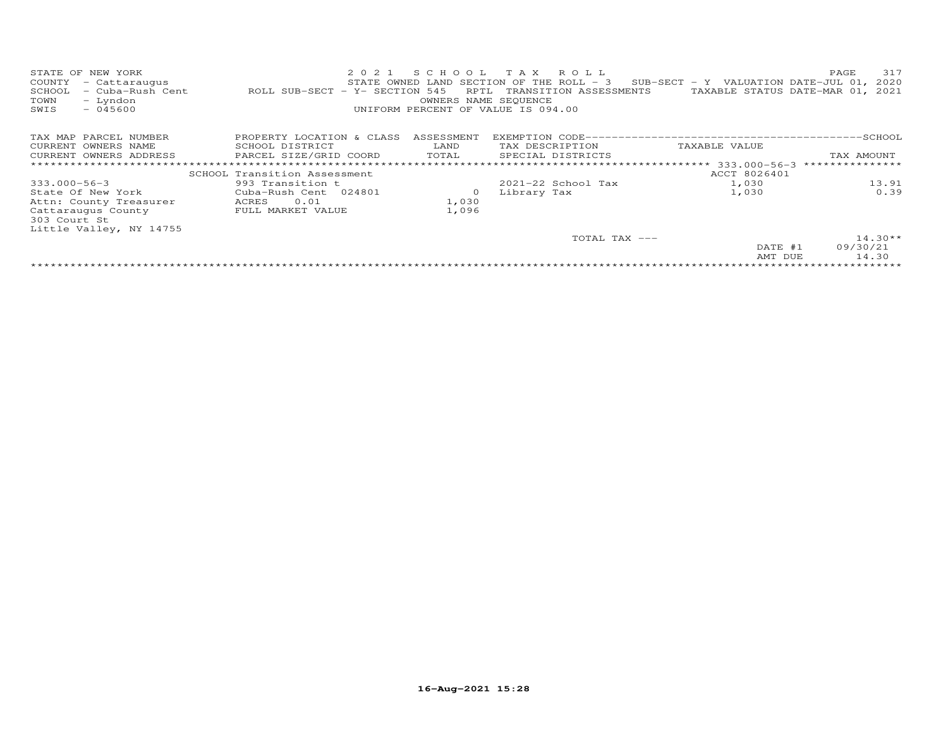| STATE OF NEW YORK<br>COUNTY<br>- Cattaraugus<br>- Cuba-Rush Cent<br>SCHOOL<br>- Lyndon<br>TOWN<br>$-045600$<br>SWIS | 2 0 2 1<br>ROLL SUB-SECT - Y- SECTION 545 | SCHOOL<br>RPTL<br>OWNERS NAME SEQUENCE | TAX ROLL<br>STATE OWNED LAND SECTION OF THE ROLL - 3<br>TRANSITION ASSESSMENTS<br>UNIFORM PERCENT OF VALUE IS 094.00 | $SUB-SECTION = Y$ VALUATION DATE-JUL 01,<br>TAXABLE STATUS DATE-MAR 01, 2021 | 317<br>PAGE<br>2020 |
|---------------------------------------------------------------------------------------------------------------------|-------------------------------------------|----------------------------------------|----------------------------------------------------------------------------------------------------------------------|------------------------------------------------------------------------------|---------------------|
| TAX MAP PARCEL NUMBER                                                                                               | PROPERTY LOCATION & CLASS                 | ASSESSMENT                             |                                                                                                                      |                                                                              |                     |
| CURRENT OWNERS NAME                                                                                                 | SCHOOL DISTRICT                           | LAND                                   | TAX DESCRIPTION                                                                                                      | TAXABLE VALUE                                                                |                     |
| CURRENT OWNERS ADDRESS                                                                                              | PARCEL SIZE/GRID COORD                    | TOTAL                                  | SPECIAL DISTRICTS                                                                                                    |                                                                              | TAX AMOUNT          |
|                                                                                                                     | *****************************             |                                        |                                                                                                                      | ******************** 333.000-56-3                                            | ***************     |
|                                                                                                                     | SCHOOL Transition Assessment              |                                        |                                                                                                                      | ACCT 8026401                                                                 |                     |
| $333.000 - 56 - 3$                                                                                                  | 993 Transition t                          |                                        | 2021-22 School Tax                                                                                                   | 1,030                                                                        | 13.91               |
| State Of New York                                                                                                   | Cuba-Rush Cent 024801                     | $\circ$                                | Library Tax                                                                                                          | 1,030                                                                        | 0.39                |
| Attn: County Treasurer                                                                                              | 0.01<br>ACRES                             | 1,030                                  |                                                                                                                      |                                                                              |                     |
| Cattaraugus County                                                                                                  | FULL MARKET VALUE                         | 1,096                                  |                                                                                                                      |                                                                              |                     |
| 303 Court St                                                                                                        |                                           |                                        |                                                                                                                      |                                                                              |                     |
| Little Valley, NY 14755                                                                                             |                                           |                                        |                                                                                                                      |                                                                              |                     |
|                                                                                                                     |                                           |                                        | TOTAL TAX ---                                                                                                        |                                                                              | $14.30**$           |
|                                                                                                                     |                                           |                                        |                                                                                                                      | DATE #1                                                                      | 09/30/21            |
|                                                                                                                     |                                           |                                        |                                                                                                                      | AMT DUE                                                                      | 14.30               |
|                                                                                                                     |                                           |                                        |                                                                                                                      |                                                                              |                     |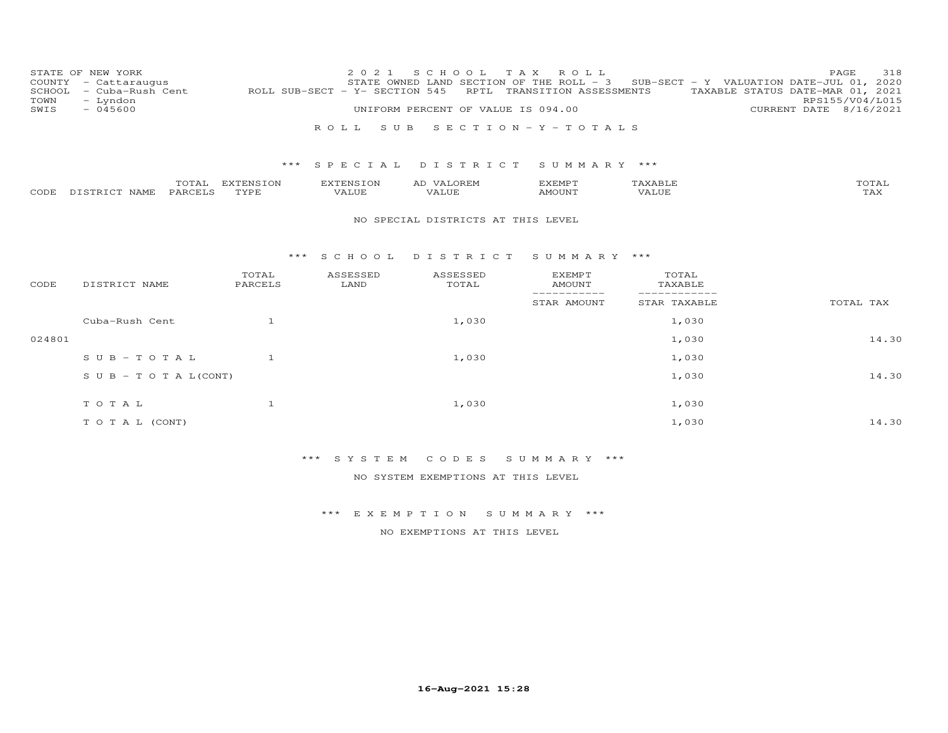| COUNTY<br>SCHOOL<br>TOWN | STATE OF NEW YORK<br>- Cattaraugus<br>- Cuba-Rush Cent<br>- Lyndon |                   | 2 0 2 1<br>ROLL SUB-SECT - Y- SECTION 545 | S C H O O L<br>STATE OWNED LAND SECTION OF THE ROLL - 3<br>RPTL | T A X<br>ROLL<br>TRANSITION ASSESSMENTS |                                  | 318<br>PAGE<br>SUB-SECT - Y VALUATION DATE-JUL 01, 2020<br>TAXABLE STATUS DATE-MAR 01, 2021<br>RPS155/V04/L015 |
|--------------------------|--------------------------------------------------------------------|-------------------|-------------------------------------------|-----------------------------------------------------------------|-----------------------------------------|----------------------------------|----------------------------------------------------------------------------------------------------------------|
| SWIS                     | $-045600$                                                          |                   |                                           | UNIFORM PERCENT OF VALUE IS 094.00                              |                                         |                                  | CURRENT DATE 8/16/2021                                                                                         |
|                          |                                                                    |                   | S U B<br>ROLL                             |                                                                 | SECTION - Y - TOTALS                    |                                  |                                                                                                                |
|                          |                                                                    | ***               | SPECIAL                                   | DISTRICT                                                        | SUMMARY ***                             |                                  |                                                                                                                |
| CODE                     | TOTAL<br>PARCELS<br>DISTRICT NAME                                  | EXTENSION<br>TYPE | EXTENSION<br>VALUE                        | AD VALOREM<br><b>VALUE</b>                                      | <b>EXEMPT</b><br><b>AMOUNT</b>          | TAXABLE<br><b>VALUE</b>          | TOTAL<br>TAX                                                                                                   |
|                          |                                                                    |                   |                                           | NO SPECIAL DISTRICTS AT THIS LEVEL                              |                                         |                                  |                                                                                                                |
|                          |                                                                    | $***$             | S C H O O L                               | DISTRICT                                                        | SUMMARY ***                             |                                  |                                                                                                                |
| CODE                     | DISTRICT NAME                                                      | TOTAL<br>PARCELS  | ASSESSED<br>LAND                          | ASSESSED<br>TOTAL                                               | <b>EXEMPT</b><br><b>AMOUNT</b>          | TOTAL<br>TAXABLE<br>------------ |                                                                                                                |
|                          |                                                                    |                   |                                           |                                                                 | -----------<br>STAR AMOUNT              | STAR TAXABLE                     | TOTAL TAX                                                                                                      |
|                          | Cuba-Rush Cent                                                     | $\overline{1}$    |                                           | 1,030                                                           |                                         | 1,030                            |                                                                                                                |
| 024801                   |                                                                    |                   |                                           |                                                                 |                                         | 1,030                            | 14.30                                                                                                          |
|                          | $S \cup B - TO T A L$                                              | $\overline{1}$    |                                           | 1,030                                                           |                                         | 1,030                            |                                                                                                                |
|                          | $S \cup B - T \cup T A L (CONT)$                                   |                   |                                           |                                                                 |                                         | 1,030                            | 14.30                                                                                                          |
|                          | TOTAL                                                              | $\mathbf{1}$      |                                           | 1,030                                                           |                                         | 1,030                            |                                                                                                                |
|                          | TO TAL (CONT)                                                      |                   |                                           |                                                                 |                                         | 1,030                            | 14.30                                                                                                          |

\*\*\* S Y S T E M C O D E S S U M M A R Y \*\*\*

NO SYSTEM EXEMPTIONS AT THIS LEVEL

\*\*\* E X E M P T I O N S U M M A R Y \*\*\*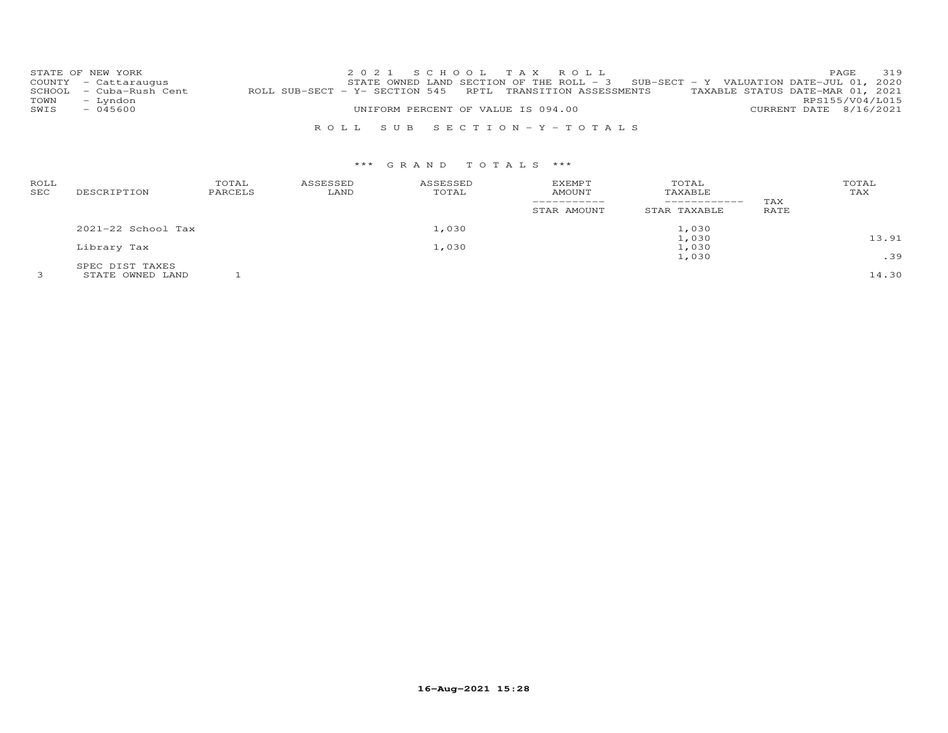|      | STATE OF NEW YORK       |                                                            | 2021 SCHOOL TAX ROLL                                                                |  |  |  |                                  | PAGE                   | 319 |
|------|-------------------------|------------------------------------------------------------|-------------------------------------------------------------------------------------|--|--|--|----------------------------------|------------------------|-----|
|      | COUNTY - Cattaraugus    |                                                            | STATE OWNED LAND SECTION OF THE ROLL - $3$ SUB-SECT - Y VALUATION DATE-JUL 01, 2020 |  |  |  |                                  |                        |     |
|      | SCHOOL - Cuba-Rush Cent | ROLL SUB-SECT - Y- SECTION 545 RPTL TRANSITION ASSESSMENTS |                                                                                     |  |  |  | TAXABLE STATUS DATE-MAR 01, 2021 |                        |     |
| TOWN | - Lyndon                |                                                            |                                                                                     |  |  |  |                                  | RPS155/V04/L015        |     |
| SWIS | $-045600$               |                                                            | UNIFORM PERCENT OF VALUE IS 094.00                                                  |  |  |  |                                  | CURRENT DATE 8/16/2021 |     |
|      |                         |                                                            |                                                                                     |  |  |  |                                  |                        |     |
|      |                         |                                                            | ROLL SUB SECTION-Y-TOTALS                                                           |  |  |  |                                  |                        |     |

| ROLL<br>SEC | DESCRIPTION        | TOTAL<br>PARCELS | ASSESSED<br>LAND | ASSESSED<br>TOTAL | <b>EXEMPT</b><br><b>AMOUNT</b><br>STAR AMOUNT | TOTAL<br>TAXABLE<br>------------<br>STAR TAXABLE | TAX<br>RATE | TOTAL<br>TAX |
|-------------|--------------------|------------------|------------------|-------------------|-----------------------------------------------|--------------------------------------------------|-------------|--------------|
|             | 2021-22 School Tax |                  |                  | 1,030             |                                               | 1,030                                            |             |              |
|             |                    |                  |                  |                   |                                               | 1,030                                            |             | 13.91        |
|             | Library Tax        |                  |                  | 1,030             |                                               | 1,030                                            |             |              |
|             |                    |                  |                  |                   |                                               | 1,030                                            |             | .39          |
|             | SPEC DIST TAXES    |                  |                  |                   |                                               |                                                  |             |              |
|             | STATE OWNED LAND   |                  |                  |                   |                                               |                                                  |             | 14.30        |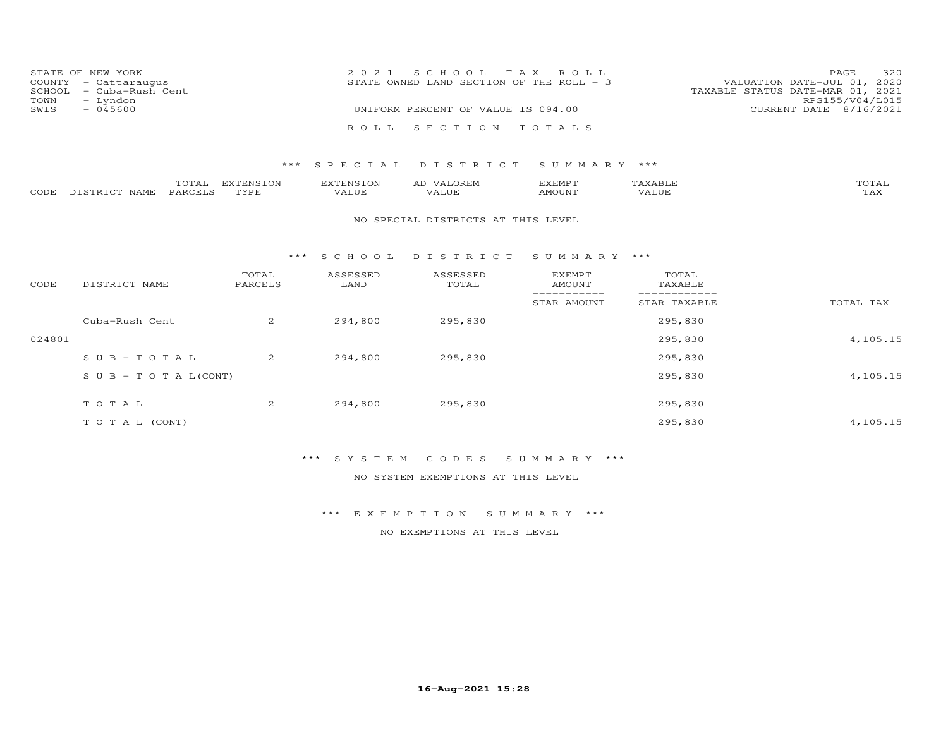|      | STATE OF NEW YORK<br>COUNTY - Cattaraugus | 2021 SCHOOL TAX ROLL<br>VALUATION DATE-JUL 01, 2020<br>STATE OWNED LAND SECTION OF THE ROLL - 3 | PAGE            | 320 |
|------|-------------------------------------------|-------------------------------------------------------------------------------------------------|-----------------|-----|
| TOWN | SCHOOL - Cuba-Rush Cent<br>- Lyndon       | TAXABLE STATUS DATE-MAR 01, 2021                                                                | RPS155/V04/L015 |     |
| SWIS | - 045600                                  | UNIFORM PERCENT OF VALUE IS 094.00<br>CURRENT DATE 8/16/2021                                    |                 |     |
|      |                                           | ROLL SECTION TOTALS                                                                             |                 |     |

### \*\*\* S P E C I A L D I S T R I C T S U M M A R Y \*\*\*

|      |               | $m \wedge m \wedge n$<br>.OTAL: | <b>EXTENSION</b> | <b>EXTENSION</b> | VALOREM<br>AD | EXEMPT | $\mathbf{a}$ $\mathbf{a}$ $\mathbf{b}$ $\mathbf{c}$ $\mathbf{c}$ $\mathbf{a}$ $\mathbf{b}$<br>AXABLL | TOTAL                 |
|------|---------------|---------------------------------|------------------|------------------|---------------|--------|------------------------------------------------------------------------------------------------------|-----------------------|
| CODE | DISTRICT NAME | <b>PARCELS</b>                  | TYPE             | VALUE            |               | AMOUNT | VALUE                                                                                                | $m \times r$<br>1 A.X |

#### NO SPECIAL DISTRICTS AT THIS LEVEL

#### \*\*\* S C H O O L D I S T R I C T S U M M A R Y \*\*\*

| CODE   | DISTRICT NAME                    | TOTAL<br>PARCELS | ASSESSED<br>LAND | ASSESSED<br>TOTAL | <b>EXEMPT</b><br>AMOUNT | TOTAL<br>TAXABLE |           |
|--------|----------------------------------|------------------|------------------|-------------------|-------------------------|------------------|-----------|
|        |                                  |                  |                  |                   | STAR AMOUNT             | STAR TAXABLE     | TOTAL TAX |
|        | Cuba-Rush Cent                   | 2                | 294,800          | 295,830           |                         | 295,830          |           |
| 024801 |                                  |                  |                  |                   |                         | 295,830          | 4,105.15  |
|        | $SUB - TO T AL$                  | $\overline{2}$   | 294,800          | 295,830           |                         | 295,830          |           |
|        | $S \cup B - T \cup T A L (CONT)$ |                  |                  |                   |                         | 295,830          | 4,105.15  |
|        | TOTAL                            | $\overline{2}$   | 294,800          | 295,830           |                         | 295,830          |           |
|        | T O T A L (CONT)                 |                  |                  |                   |                         | 295,830          | 4,105.15  |

## \*\*\* S Y S T E M C O D E S S U M M A R Y \*\*\*

NO SYSTEM EXEMPTIONS AT THIS LEVEL

\*\*\* E X E M P T I O N S U M M A R Y \*\*\*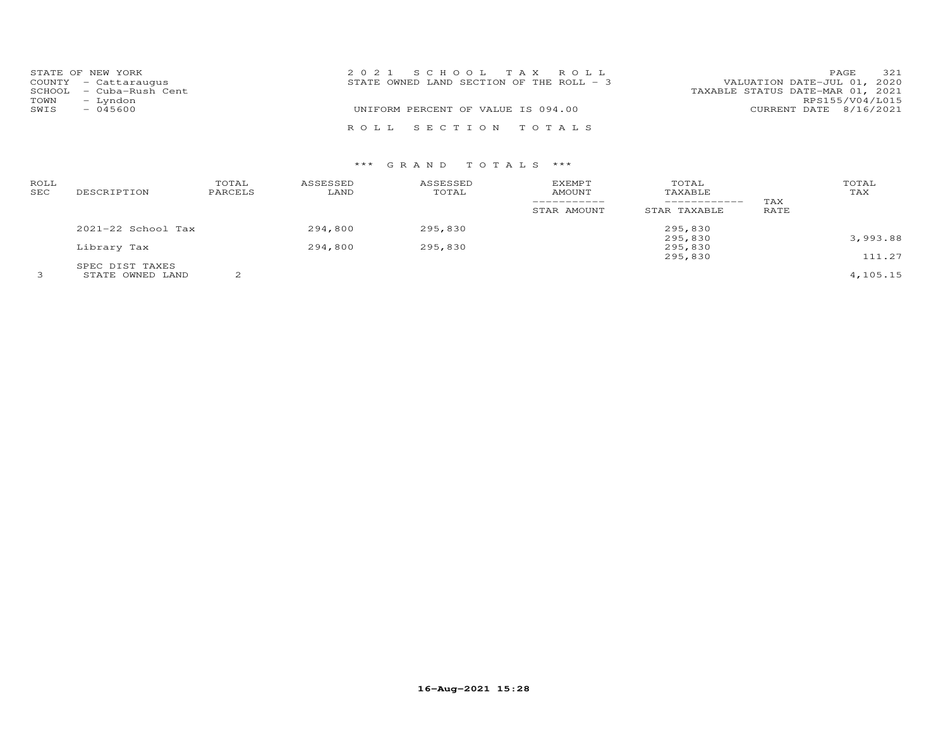|      | STATE OF NEW YORK       | 2021 SCHOOL TAX ROLL                     | 321<br>PAGE                      |
|------|-------------------------|------------------------------------------|----------------------------------|
|      | COUNTY - Cattaraugus    | STATE OWNED LAND SECTION OF THE ROLL - 3 | VALUATION DATE-JUL 01, 2020      |
|      | SCHOOL - Cuba-Rush Cent |                                          | TAXABLE STATUS DATE-MAR 01, 2021 |
| TOWN | - Lyndon                |                                          | RPS155/V04/L015                  |
| SWIS | $-045600$               | UNIFORM PERCENT OF VALUE IS 094.00       | CURRENT DATE 8/16/2021           |
|      |                         | ROLL SECTION TOTALS                      |                                  |

| ROLL<br><b>SEC</b> | DESCRIPTION          | TOTAL<br>PARCELS | ASSESSED<br>LAND | ASSESSED<br>TOTAL | <b>EXEMPT</b><br>AMOUNT<br>-----------<br>STAR AMOUNT | TOTAL<br>TAXABLE<br>------------<br>STAR TAXABLE | TAX<br>RATE | TOTAL<br>TAX |
|--------------------|----------------------|------------------|------------------|-------------------|-------------------------------------------------------|--------------------------------------------------|-------------|--------------|
|                    | $2021-22$ School Tax |                  | 294,800          | 295,830           |                                                       | 295,830                                          |             |              |
|                    |                      |                  |                  |                   |                                                       | 295,830                                          |             | 3,993.88     |
|                    | Library Tax          |                  | 294,800          | 295,830           |                                                       | 295,830                                          |             |              |
|                    |                      |                  |                  |                   |                                                       | 295,830                                          |             | 111.27       |
|                    | SPEC DIST TAXES      |                  |                  |                   |                                                       |                                                  |             |              |
|                    | STATE OWNED LAND     | $\mathcal{L}$    |                  |                   |                                                       |                                                  |             | 4,105.15     |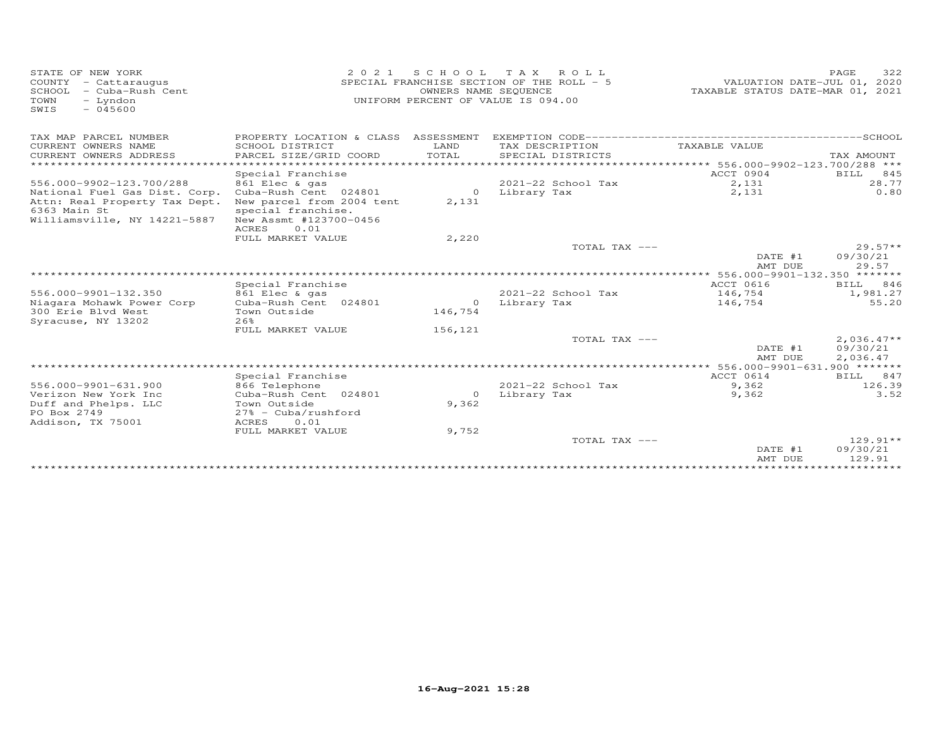| STATE OF NEW YORK<br>COUNTY - Cattaraugus<br>SCHOOL<br>- Cuba-Rush Cent<br>TOWN<br>- Lyndon<br>$-045600$<br>SWIS | 2 0 2 1                                                       |                                 | SCHOOL TAX ROLL<br>SPECIAL FRANCHISE SECTION OF THE ROLL - 5<br>OWNERS NAME SEQUENCE<br>UNIFORM PERCENT OF VALUE IS 094.00 | VALUATION DATE-JUL 01, 2020<br>TAXABLE STATUS DATE-MAR 01, 2021 | PAGE<br>322            |
|------------------------------------------------------------------------------------------------------------------|---------------------------------------------------------------|---------------------------------|----------------------------------------------------------------------------------------------------------------------------|-----------------------------------------------------------------|------------------------|
| TAX MAP PARCEL NUMBER                                                                                            | PROPERTY LOCATION & CLASS ASSESSMENT                          |                                 |                                                                                                                            |                                                                 |                        |
| CURRENT OWNERS NAME<br>CURRENT OWNERS ADDRESS                                                                    | SCHOOL DISTRICT<br>PARCEL SIZE/GRID COORD                     | LAND<br>TOTAL<br>************** | TAX DESCRIPTION<br>SPECIAL DISTRICTS                                                                                       | TAXABLE VALUE                                                   | TAX AMOUNT             |
| **********************                                                                                           |                                                               |                                 |                                                                                                                            | ****************** 556.000-9902-123.700/288 ***                 |                        |
| 556.000-9902-123.700/288                                                                                         | Special Franchise<br>861 Elec & gas                           |                                 | 2021-22 School Tax                                                                                                         | ACCT 0904<br>2,131                                              | BILL<br>845<br>28.77   |
| National Fuel Gas Dist. Corp.<br>Attn: Real Property Tax Dept.                                                   | Cuba-Rush Cent 024801<br>New parcel from 2004 tent            | $\circ$<br>2,131                | Library Tax                                                                                                                | 2,131                                                           | 0.80                   |
| 6363 Main St<br>Williamsville, NY 14221-5887                                                                     | special franchise.<br>New Assmt #123700-0456<br>ACRES<br>0.01 |                                 |                                                                                                                            |                                                                 |                        |
|                                                                                                                  | FULL MARKET VALUE                                             | 2,220                           |                                                                                                                            |                                                                 |                        |
|                                                                                                                  |                                                               |                                 | TOTAL TAX ---                                                                                                              |                                                                 | $29.57**$              |
|                                                                                                                  |                                                               |                                 |                                                                                                                            | DATE #1<br>AMT DUE                                              | 09/30/21<br>29.57      |
|                                                                                                                  |                                                               |                                 |                                                                                                                            | ********** 556.000-9901-132.350 *******                         |                        |
|                                                                                                                  | Special Franchise                                             |                                 |                                                                                                                            | ACCT 0616                                                       | BILL 846               |
| 556.000-9901-132.350                                                                                             | 861 Elec & gas                                                |                                 | 2021-22 School Tax                                                                                                         | 146,754                                                         | 1,981.27               |
| Niagara Mohawk Power Corp                                                                                        | Cuba-Rush Cent 024801                                         | $\circ$                         | Library Tax                                                                                                                | 146,754                                                         | 55.20                  |
| 300 Erie Blvd West<br>Syracuse, NY 13202                                                                         | Town Outside<br>2.6%                                          | 146,754                         |                                                                                                                            |                                                                 |                        |
|                                                                                                                  | FULL MARKET VALUE                                             | 156,121                         |                                                                                                                            |                                                                 |                        |
|                                                                                                                  |                                                               |                                 | TOTAL TAX ---                                                                                                              |                                                                 | $2,036.47**$           |
|                                                                                                                  |                                                               |                                 |                                                                                                                            | DATE #1<br>AMT DUE                                              | 09/30/21<br>2,036.47   |
|                                                                                                                  |                                                               |                                 |                                                                                                                            |                                                                 |                        |
|                                                                                                                  | Special Franchise                                             |                                 |                                                                                                                            | ACCT 0614                                                       | BILL 847               |
| 556.000-9901-631.900                                                                                             | 866 Telephone                                                 |                                 | 2021-22 School Tax                                                                                                         | 9,362                                                           | 126.39                 |
| Verizon New York Inc                                                                                             | Cuba-Rush Cent 024801                                         | $\Omega$                        | Library Tax                                                                                                                | 9,362                                                           | 3.52                   |
| Duff and Phelps. LLC<br>PO Box 2749                                                                              | Town Outside<br>$27\%$ - Cuba/rushford                        | 9,362                           |                                                                                                                            |                                                                 |                        |
| Addison, TX 75001                                                                                                | ACRES<br>0.01                                                 |                                 |                                                                                                                            |                                                                 |                        |
|                                                                                                                  | FULL MARKET VALUE                                             | 9,752                           |                                                                                                                            |                                                                 |                        |
|                                                                                                                  |                                                               |                                 | TOTAL TAX ---                                                                                                              | DATE #1                                                         | $129.91**$<br>09/30/21 |
|                                                                                                                  |                                                               |                                 |                                                                                                                            | AMT DUE<br>***********************************                  | 129.91                 |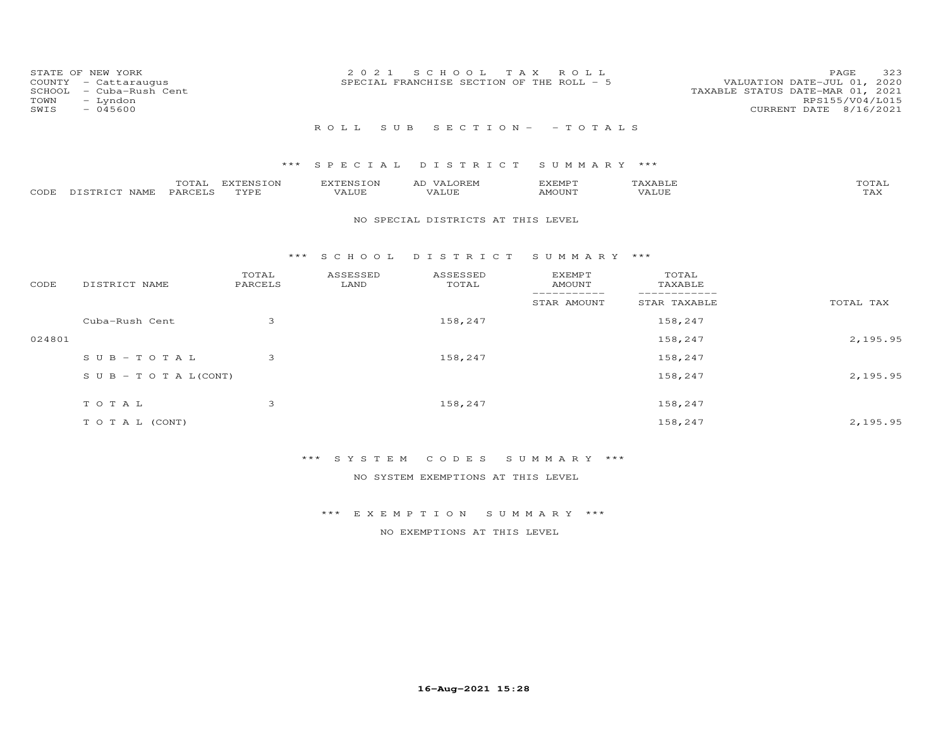| COUNTY<br>SCHOOL<br>TOWN<br>SWIS | STATE OF NEW YORK<br>- Cattaraugus<br>- Cuba-Rush Cent<br>- Lyndon<br>$-045600$ |                          | 2 0 2 1                   | S C H O O L<br>SPECIAL FRANCHISE SECTION OF THE ROLL - 5 | T A X<br>ROLL                   |                              | 323<br>PAGE<br>VALUATION DATE-JUL 01, 2020<br>TAXABLE STATUS DATE-MAR 01, 2021<br>RPS155/V04/L015<br>CURRENT DATE 8/16/2021 |
|----------------------------------|---------------------------------------------------------------------------------|--------------------------|---------------------------|----------------------------------------------------------|---------------------------------|------------------------------|-----------------------------------------------------------------------------------------------------------------------------|
|                                  |                                                                                 |                          | ROLL<br>S U B             |                                                          | $S E C T I O N - - T O T A L S$ |                              |                                                                                                                             |
|                                  |                                                                                 |                          |                           |                                                          |                                 |                              |                                                                                                                             |
|                                  |                                                                                 | ***                      | SPECIAL                   | DISTRICT                                                 | SUMMARY ***                     |                              |                                                                                                                             |
| CODE                             | TOTAL<br>DISTRICT NAME<br>PARCELS                                               | <b>EXTENSION</b><br>TYPE | <b>EXTENSION</b><br>VALUE | AD VALOREM<br>VALUE                                      | <b>EXEMPT</b><br><b>AMOUNT</b>  | TAXABLE<br><b>VALUE</b>      | TOTAL<br>TAX                                                                                                                |
|                                  |                                                                                 |                          |                           | NO SPECIAL DISTRICTS AT THIS LEVEL                       |                                 |                              |                                                                                                                             |
|                                  |                                                                                 | ***                      | S C H O O L               | DISTRICT                                                 | SUMMARY ***                     |                              |                                                                                                                             |
| CODE                             | DISTRICT NAME                                                                   | TOTAL<br>PARCELS         | ASSESSED<br>LAND          | ASSESSED<br>TOTAL                                        | <b>EXEMPT</b><br><b>AMOUNT</b>  | TOTAL<br>TAXABLE             |                                                                                                                             |
|                                  |                                                                                 |                          |                           |                                                          | -----------<br>STAR AMOUNT      | ____________<br>STAR TAXABLE | TOTAL TAX                                                                                                                   |
|                                  | Cuba-Rush Cent                                                                  | 3                        |                           | 158,247                                                  |                                 | 158,247                      |                                                                                                                             |
| 024801                           |                                                                                 |                          |                           |                                                          |                                 | 158,247                      | 2,195.95                                                                                                                    |
|                                  | $SUB - TO T AL$                                                                 | 3                        |                           | 158,247                                                  |                                 | 158,247                      |                                                                                                                             |
|                                  | $S \cup B - T \cup T A L (CONT)$                                                |                          |                           |                                                          |                                 | 158,247                      | 2,195.95                                                                                                                    |
|                                  | TOTAL                                                                           | 3                        |                           | 158,247                                                  |                                 | 158,247                      |                                                                                                                             |
|                                  | TO TAL (CONT)                                                                   |                          |                           |                                                          |                                 | 158,247                      | 2,195.95                                                                                                                    |

\*\*\* S Y S T E M C O D E S S U M M A R Y \*\*\*

NO SYSTEM EXEMPTIONS AT THIS LEVEL

\*\*\* E X E M P T I O N S U M M A R Y \*\*\*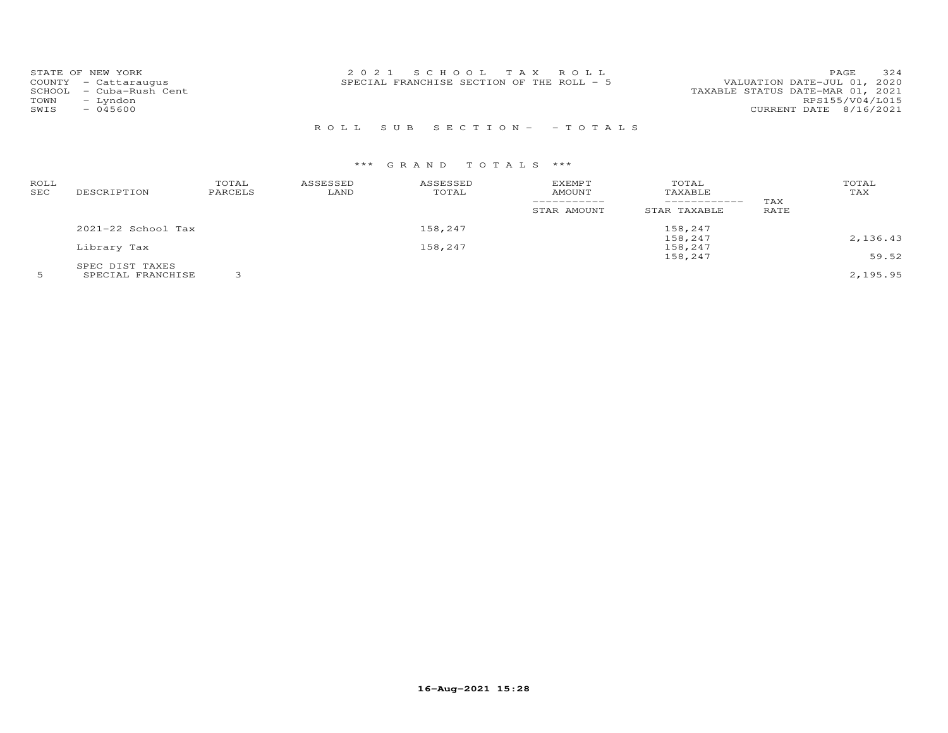| 324<br>2021 SCHOOL TAX ROLL<br>STATE OF NEW YORK<br>PAGE.<br>VALUATION DATE-JUL 01, 2020<br>SPECIAL FRANCHISE SECTION OF THE ROLL - 5<br>COUNTY - Cattaraugus<br>TAXABLE STATUS DATE-MAR 01, 2021<br>SCHOOL - Cuba-Rush Cent<br>RPS155/V04/L015<br>- Lyndon<br>TOWN<br>CURRENT DATE 8/16/2021<br>$-045600$<br>SWIS |
|--------------------------------------------------------------------------------------------------------------------------------------------------------------------------------------------------------------------------------------------------------------------------------------------------------------------|
|--------------------------------------------------------------------------------------------------------------------------------------------------------------------------------------------------------------------------------------------------------------------------------------------------------------------|

## R O L L S U B S E C T I O N - - T O T A L S

| ROLL<br>SEC | DESCRIPTION            | TOTAL<br>PARCELS | ASSESSED<br>LAND | ASSESSED<br>TOTAL | <b>EXEMPT</b><br><b>AMOUNT</b> | TOTAL<br>TAXABLE | TAX  | TOTAL<br>TAX |
|-------------|------------------------|------------------|------------------|-------------------|--------------------------------|------------------|------|--------------|
|             |                        |                  |                  |                   | STAR AMOUNT                    | STAR TAXABLE     | RATE |              |
|             | $2021 - 22$ School Tax |                  |                  | 158,247           |                                | 158,247          |      |              |
|             |                        |                  |                  |                   |                                | 158,247          |      | 2,136.43     |
|             | Library Tax            |                  |                  | 158,247           |                                | 158,247          |      |              |
|             |                        |                  |                  |                   |                                | 158,247          |      | 59.52        |
|             | SPEC DIST TAXES        |                  |                  |                   |                                |                  |      |              |
|             | SPECIAL FRANCHISE      |                  |                  |                   |                                |                  |      | 2,195.95     |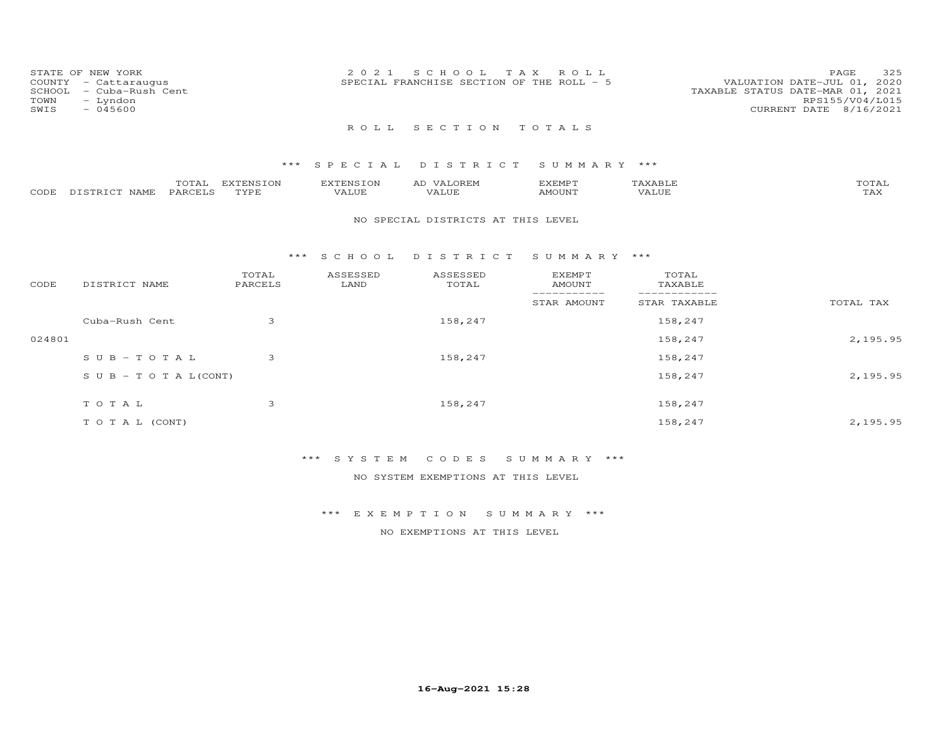| STATE OF NEW YORK<br>COUNTY - Cattaraugus<br>- Cuba-Rush Cent<br>SCHOOL<br>- Lyndon<br>TOWN<br>SWIS<br>$-045600$ | 2021 SCHOOL TAX ROLL<br>SPECIAL FRANCHISE SECTION OF THE ROLL - 5 | 325<br>PAGE<br>VALUATION DATE-JUL 01, 2020<br>TAXABLE STATUS DATE-MAR 01, 2021<br>RPS155/V04/L015<br>CURRENT DATE 8/16/2021 |
|------------------------------------------------------------------------------------------------------------------|-------------------------------------------------------------------|-----------------------------------------------------------------------------------------------------------------------------|
|                                                                                                                  | ROLL SECTION TOTALS                                               |                                                                                                                             |
|                                                                                                                  | *** SPECIAL DISTRICT SUMMARY ***                                  |                                                                                                                             |

|       |                              | $m \wedge m$<br>____   | 'ENSION<br>$T \rightarrow T \rightarrow T \rightarrow T$ | $\Box$<br>IN : | A1. | די הזא יהיא י | .    |
|-------|------------------------------|------------------------|----------------------------------------------------------|----------------|-----|---------------|------|
| CODE. | $T$ $T$ $T$ $T$ $T$<br>NAMF. | $\ldots$ PARCEL $\sim$ | "VDF<br>.                                                | 1 U P          |     | MOUNT         | -∠∆∠ |

#### NO SPECIAL DISTRICTS AT THIS LEVEL

#### \*\*\* S C H O O L D I S T R I C T S U M M A R Y \*\*\*

| CODE   | DISTRICT NAME                    | TOTAL<br>PARCELS | ASSESSED<br>LAND | ASSESSED<br>TOTAL | <b>EXEMPT</b><br>AMOUNT | TOTAL<br>TAXABLE |           |
|--------|----------------------------------|------------------|------------------|-------------------|-------------------------|------------------|-----------|
|        |                                  |                  |                  |                   | STAR AMOUNT             | STAR TAXABLE     | TOTAL TAX |
|        | Cuba-Rush Cent                   | 3                |                  | 158,247           |                         | 158,247          |           |
| 024801 |                                  |                  |                  |                   |                         | 158,247          | 2,195.95  |
|        | SUB-TOTAL                        | 3                |                  | 158,247           |                         | 158,247          |           |
|        | $S \cup B - T \cup T A L (CONT)$ |                  |                  |                   |                         | 158,247          | 2,195.95  |
|        | TOTAL                            | 3                |                  | 158,247           |                         | 158,247          |           |
|        | TO TAL (CONT)                    |                  |                  |                   |                         | 158,247          | 2,195.95  |

## \*\*\* S Y S T E M C O D E S S U M M A R Y \*\*\*

NO SYSTEM EXEMPTIONS AT THIS LEVEL

\*\*\* E X E M P T I O N S U M M A R Y \*\*\*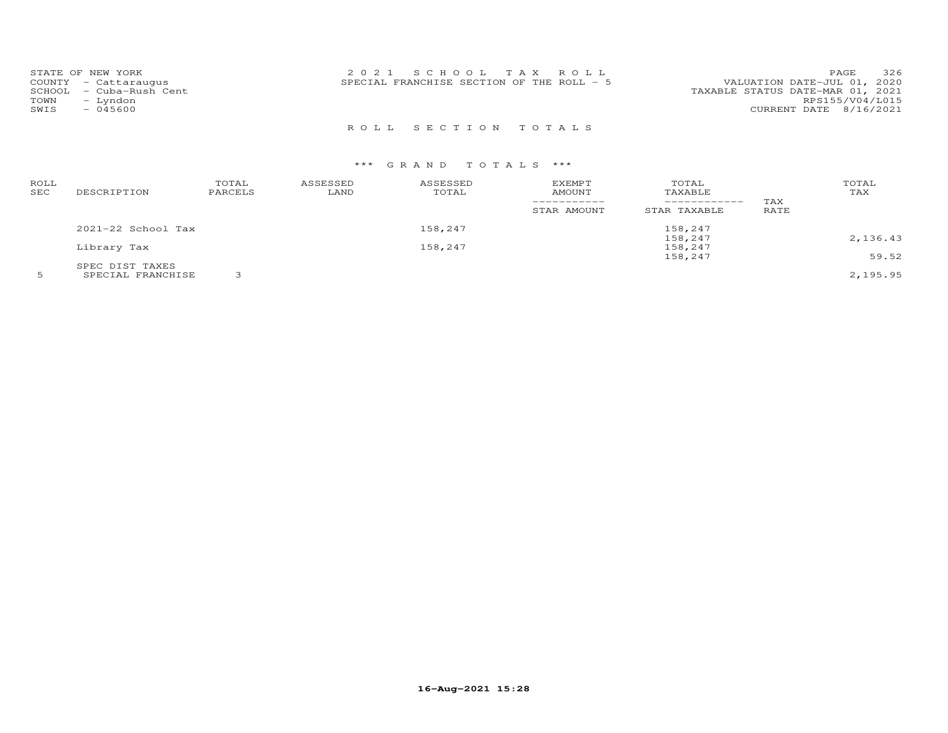| STATE OF NEW YORK<br>COUNTY - Cattaraugus<br>– Cuba-Rush Cent<br>SCHOOL<br>TOWN<br>- Lyndon<br>SWIS<br>$-045600$ | 2021 SCHOOL TAX ROLL<br>SPECIAL FRANCHISE SECTION OF THE ROLL - 5 | 326<br>PAGE<br>VALUATION DATE-JUL 01, 2020<br>TAXABLE STATUS DATE-MAR 01, 2021<br>RPS155/V04/L015<br>CURRENT DATE 8/16/2021 |
|------------------------------------------------------------------------------------------------------------------|-------------------------------------------------------------------|-----------------------------------------------------------------------------------------------------------------------------|
|                                                                                                                  | ROLL SECTION TOTALS                                               |                                                                                                                             |

| ROLL<br>SEC | DESCRIPTION            | TOTAL<br>PARCELS | ASSESSED<br>LAND | ASSESSED<br>TOTAL | EXEMPT<br>AMOUNT<br>STAR AMOUNT | TOTAL<br>TAXABLE<br>------------<br>STAR TAXABLE | TAX<br>RATE | TOTAL<br>TAX |
|-------------|------------------------|------------------|------------------|-------------------|---------------------------------|--------------------------------------------------|-------------|--------------|
|             | $2021 - 22$ School Tax |                  |                  | 158,247           |                                 | 158,247                                          |             |              |
|             |                        |                  |                  |                   |                                 | 158,247                                          |             | 2,136.43     |
|             | Library Tax            |                  |                  | 158,247           |                                 | 158,247                                          |             |              |
|             |                        |                  |                  |                   |                                 | 158,247                                          |             | 59.52        |
|             | SPEC DIST TAXES        |                  |                  |                   |                                 |                                                  |             |              |
|             | SPECIAL FRANCHISE      |                  |                  |                   |                                 |                                                  |             | 2,195.95     |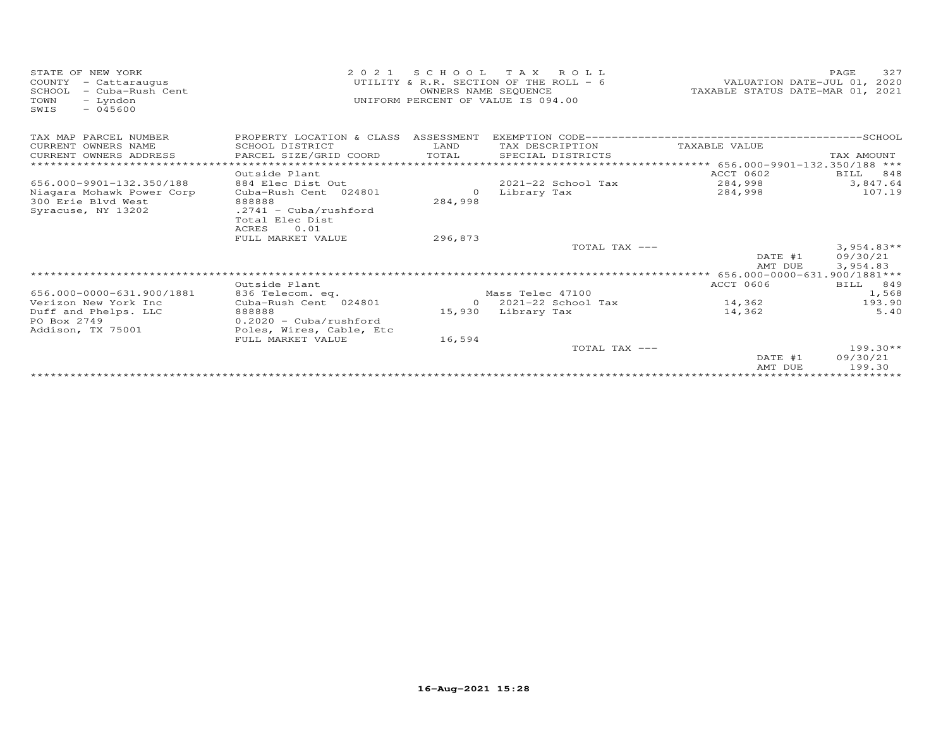| STATE OF NEW YORK<br>COUNTY<br>- Cattaraugus<br>- Cuba-Rush Cent<br>SCHOOL<br>TOWN<br>- Lyndon<br>$-045600$<br>SWIS | 2 0 2 1                              | OWNERS NAME SEQUENCE | SCHOOL TAX ROLL<br>UTILITY & R.R. SECTION OF THE ROLL - 6<br>UNIFORM PERCENT OF VALUE IS 094.00 | VALUATION DATE-JUL 01, 2020<br>TAXABLE STATUS DATE-MAR 01, 2021                   | 327<br>PAGE          |
|---------------------------------------------------------------------------------------------------------------------|--------------------------------------|----------------------|-------------------------------------------------------------------------------------------------|-----------------------------------------------------------------------------------|----------------------|
| TAX MAP PARCEL NUMBER                                                                                               | PROPERTY LOCATION & CLASS ASSESSMENT |                      |                                                                                                 |                                                                                   |                      |
| CURRENT OWNERS NAME                                                                                                 | SCHOOL DISTRICT                      | LAND                 | TAX DESCRIPTION                                                                                 | TAXABLE VALUE                                                                     |                      |
| CURRENT OWNERS ADDRESS                                                                                              | PARCEL SIZE/GRID COORD               | TOTAL                | SPECIAL DISTRICTS                                                                               |                                                                                   | TAX AMOUNT           |
| * * * * * * * * * * * * * * * * * * *                                                                               | ************************             |                      |                                                                                                 | ******************************    656.000-9901-132.350/188                    *** |                      |
|                                                                                                                     | Outside Plant                        |                      |                                                                                                 | ACCT 0602                                                                         | BILL<br>848          |
| 656.000-9901-132.350/188                                                                                            | 884 Elec Dist Out                    |                      | 2021-22 School Tax                                                                              | 284,998                                                                           | 3,847.64<br>107.19   |
| Niagara Mohawk Power Corp<br>300 Erie Blyd West                                                                     | Cuba-Rush Cent 024801<br>888888      | $\Omega$<br>284,998  | Library Tax                                                                                     | 284,998                                                                           |                      |
| Syracuse, NY 13202                                                                                                  | $.2741 - Cuba/rushford$              |                      |                                                                                                 |                                                                                   |                      |
|                                                                                                                     | Total Elec Dist                      |                      |                                                                                                 |                                                                                   |                      |
|                                                                                                                     | ACRES<br>0.01                        |                      |                                                                                                 |                                                                                   |                      |
|                                                                                                                     | FULL MARKET VALUE                    | 296,873              |                                                                                                 |                                                                                   |                      |
|                                                                                                                     |                                      |                      | TOTAL TAX ---                                                                                   |                                                                                   | $3,954.83**$         |
|                                                                                                                     |                                      |                      |                                                                                                 | DATE #1                                                                           | 09/30/21             |
|                                                                                                                     |                                      |                      |                                                                                                 | AMT DUE                                                                           | 3,954.83             |
|                                                                                                                     |                                      |                      |                                                                                                 | **** 656.000-0000-631.900/1881***                                                 |                      |
| 656.000-0000-631.900/1881                                                                                           | Outside Plant<br>836 Telecom. eq.    |                      | Mass Telec 47100                                                                                | ACCT 0606                                                                         | 849<br>BILL<br>1,568 |
| Verizon New York Inc                                                                                                | Cuba-Rush Cent 024801                |                      | $0$ 2021-22 School Tax                                                                          | 14,362                                                                            | 193.90               |
| Duff and Phelps. LLC                                                                                                | 888888                               | 15,930               | Library Tax                                                                                     | 14,362                                                                            | 5.40                 |
| PO Box 2749                                                                                                         | $0.2020 - Cuba/rushford$             |                      |                                                                                                 |                                                                                   |                      |
| Addison, TX 75001                                                                                                   | Poles, Wires, Cable, Etc             |                      |                                                                                                 |                                                                                   |                      |
|                                                                                                                     | FULL MARKET VALUE                    | 16,594               |                                                                                                 |                                                                                   |                      |
|                                                                                                                     |                                      |                      | TOTAL TAX ---                                                                                   |                                                                                   | $199.30**$           |
|                                                                                                                     |                                      |                      |                                                                                                 | DATE #1                                                                           | 09/30/21             |
|                                                                                                                     |                                      |                      |                                                                                                 | AMT DUE                                                                           | 199.30               |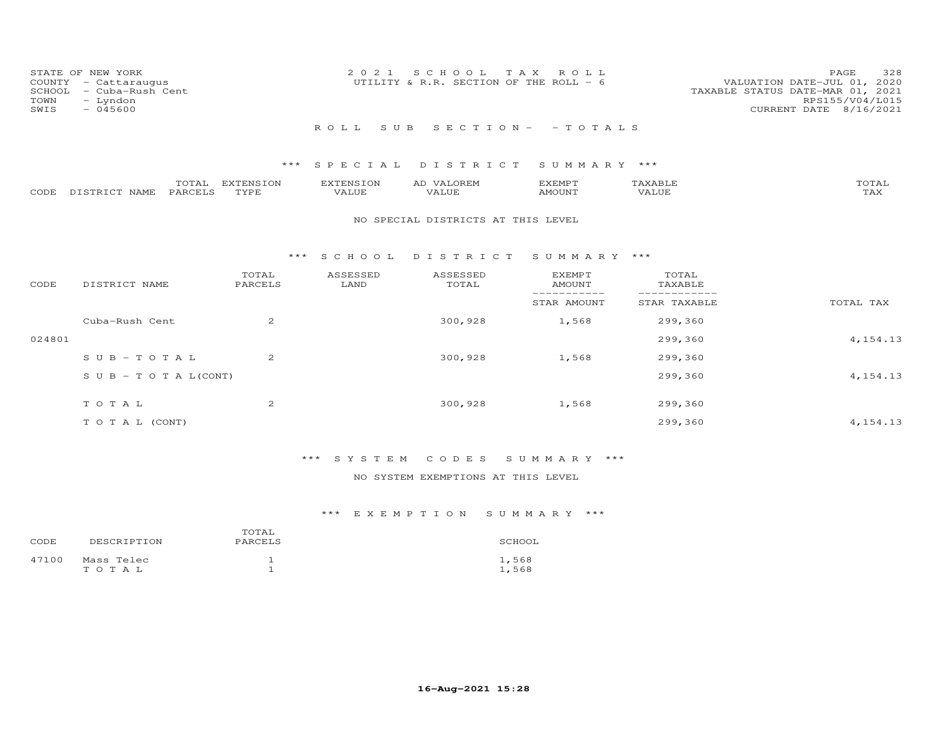| STATE OF NEW YORK<br>COUNTY - Cattaraugus<br>SCHOOL - Cuba-Rush Cent<br>TOWN<br>- Lyndon<br>SWIS<br>$-045600$ | 2021 SCHOOL TAX ROLL<br>UTILITY & R.R. SECTION OF THE ROLL - 6 | 328<br>PAGE<br>VALUATION DATE-JUL 01, 2020<br>TAXABLE STATUS DATE-MAR 01, 2021<br>RPS155/V04/L015<br>CURRENT DATE 8/16/2021 |
|---------------------------------------------------------------------------------------------------------------|----------------------------------------------------------------|-----------------------------------------------------------------------------------------------------------------------------|
|                                                                                                               | ROLL SUB SECTION- - TOTALS                                     |                                                                                                                             |

|                    | TOTAL   | EXTENSION   | <b>EXTENSION</b> | VALOREM<br>AD | EXEMPT | {XABI∂ | TOTAL       |
|--------------------|---------|-------------|------------------|---------------|--------|--------|-------------|
| CODE DISTRICT NAME | PARCELS | <b>TYPE</b> | VALUE            | VALUE         | AMOUNT | VALUE  | ጥአህ<br>∡AX. |

#### NO SPECIAL DISTRICTS AT THIS LEVEL

#### \*\*\* S C H O O L D I S T R I C T S U M M A R Y \*\*\*

| CODE   | DISTRICT NAME                    | TOTAL<br>PARCELS | ASSESSED<br>LAND | ASSESSED<br>TOTAL | <b>EXEMPT</b><br>AMOUNT | TOTAL<br>TAXABLE |            |
|--------|----------------------------------|------------------|------------------|-------------------|-------------------------|------------------|------------|
|        |                                  |                  |                  |                   | STAR AMOUNT             | STAR TAXABLE     | TOTAL TAX  |
|        | Cuba-Rush Cent                   | 2                |                  | 300,928           | 1,568                   | 299,360          |            |
| 024801 |                                  |                  |                  |                   |                         | 299,360          | 4, 154. 13 |
|        | $SUB - TO T AL$                  | $\overline{2}$   |                  | 300,928           | 1,568                   | 299,360          |            |
|        | $S \cup B - T \cup T A L (CONT)$ |                  |                  |                   |                         | 299,360          | 4, 154. 13 |
|        | TOTAL                            | $\overline{c}$   |                  | 300,928           | 1,568                   | 299,360          |            |
|        | T O T A L (CONT)                 |                  |                  |                   |                         | 299,360          | 4, 154. 13 |

## \*\*\* S Y S T E M C O D E S S U M M A R Y \*\*\*

### NO SYSTEM EXEMPTIONS AT THIS LEVEL

| CODE  | DESCRIPTION             | TOTAL<br>PARCELS | SCHOOL         |
|-------|-------------------------|------------------|----------------|
| 47100 | Mass Telec<br>T O T A L |                  | 1,568<br>1,568 |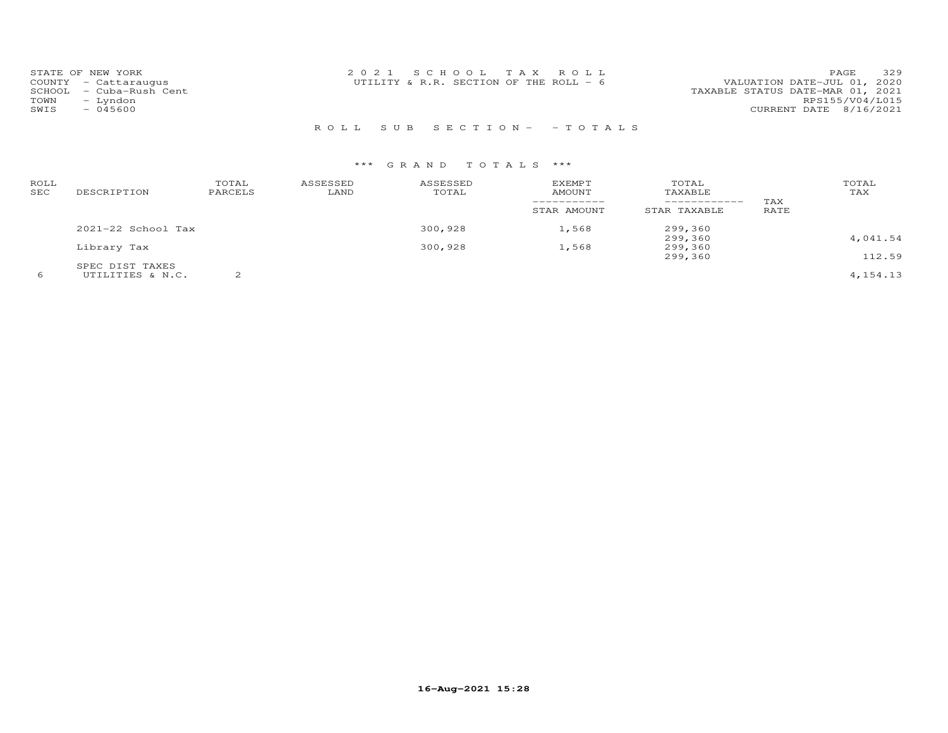| STATE OF NEW YORK       | 2021 SCHOOL TAX ROLL                     | 329<br>PAGE                      |
|-------------------------|------------------------------------------|----------------------------------|
| COUNTY - Cattaraugus    | UTILITY & R.R. SECTION OF THE ROLL - $6$ | VALUATION DATE-JUL 01, 2020      |
| SCHOOL - Cuba-Rush Cent |                                          | TAXABLE STATUS DATE-MAR 01, 2021 |
| TOWN<br>- Lyndon        |                                          | RPS155/V04/L015                  |
| $-045600$<br>SWIS       |                                          | CURRENT DATE 8/16/2021           |
|                         |                                          |                                  |

## R O L L S U B S E C T I O N - - T O T A L S

| ROLL<br>SEC | DESCRIPTION                         | TOTAL<br>PARCELS | ASSESSED<br>LAND | ASSESSED<br>TOTAL | <b>EXEMPT</b><br><b>AMOUNT</b> | TOTAL<br>TAXABLE<br>------------- | TAX  | TOTAL<br>TAX |
|-------------|-------------------------------------|------------------|------------------|-------------------|--------------------------------|-----------------------------------|------|--------------|
|             |                                     |                  |                  |                   | STAR AMOUNT                    | STAR TAXABLE                      | RATE |              |
|             | $2021 - 22$ School Tax              |                  |                  | 300,928           | 1,568                          | 299,360<br>299,360                |      | 4,041.54     |
|             | Library Tax                         |                  |                  | 300,928           | 1,568                          | 299,360<br>299,360                |      | 112.59       |
| 6           | SPEC DIST TAXES<br>UTILITIES & N.C. |                  |                  |                   |                                |                                   |      | 4, 154. 13   |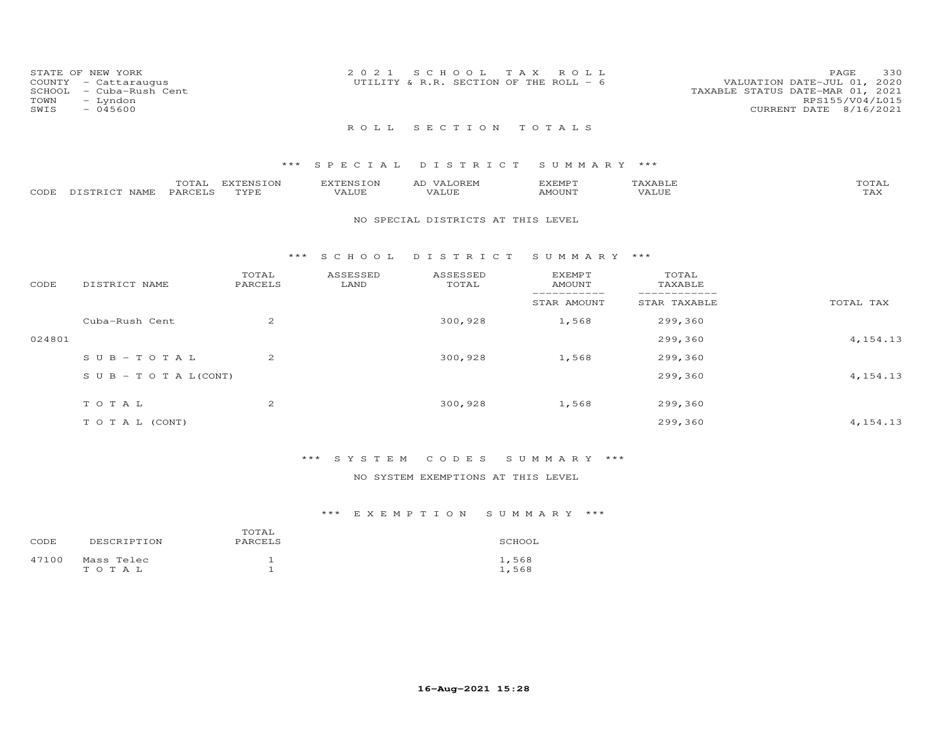| STATE OF NEW YORK<br>TOWN<br>SWIS | COUNTY - Cattaraugus<br>SCHOOL - Cuba-Rush Cent<br>- Lyndon<br>$-045600$ | 2021 SCHOOL TAX ROLL<br>UTILITY & R.R. SECTION OF THE ROLL - $6$ |  | VALUATION DATE-JUL 01, 2020<br>TAXABLE STATUS DATE-MAR 01, 2021<br>CURRENT DATE 8/16/2021 | PAGE<br>RPS155/V04/L015 | 330 |
|-----------------------------------|--------------------------------------------------------------------------|------------------------------------------------------------------|--|-------------------------------------------------------------------------------------------|-------------------------|-----|
|                                   |                                                                          | ROLL SECTION TOTALS                                              |  |                                                                                           |                         |     |

|                       | TOTAL          | EXTENSION | <b>EXTENSION</b> | LOREM.<br>ΑD | EXEMPT |       | TOTAL               |
|-----------------------|----------------|-----------|------------------|--------------|--------|-------|---------------------|
| CODE DISTRICT<br>NAME | <b>PARCELS</b> | TYPE      | VALUE            | VALUE        | AMOUNT | VALUE | $m \times r$<br>LAA |

#### NO SPECIAL DISTRICTS AT THIS LEVEL

#### \*\*\* S C H O O L D I S T R I C T S U M M A R Y \*\*\*

| CODE   | DISTRICT NAME                    | TOTAL<br>PARCELS | ASSESSED<br>LAND | ASSESSED<br>TOTAL | <b>EXEMPT</b><br>AMOUNT | TOTAL<br>TAXABLE |            |
|--------|----------------------------------|------------------|------------------|-------------------|-------------------------|------------------|------------|
|        |                                  |                  |                  |                   | STAR AMOUNT             | STAR TAXABLE     | TOTAL TAX  |
|        | Cuba-Rush Cent                   | 2                |                  | 300,928           | 1,568                   | 299,360          |            |
| 024801 |                                  |                  |                  |                   |                         | 299,360          | 4, 154. 13 |
|        | $SUB - TO T AL$                  | $\overline{2}$   |                  | 300,928           | 1,568                   | 299,360          |            |
|        | $S \cup B - T \cup T A L (CONT)$ |                  |                  |                   |                         | 299,360          | 4, 154. 13 |
|        | TOTAL                            | $\overline{2}$   |                  | 300,928           | 1,568                   | 299,360          |            |
|        | T O T A L (CONT)                 |                  |                  |                   |                         | 299,360          | 4, 154. 13 |
|        |                                  |                  |                  |                   |                         |                  |            |

### \*\*\* S Y S T E M C O D E S S U M M A R Y \*\*\*

### NO SYSTEM EXEMPTIONS AT THIS LEVEL

| CODE  | DESCRIPTION         | TOTAL<br>PARCELS | SCHOOL         |
|-------|---------------------|------------------|----------------|
| 47100 | Mass Telec<br>тотаь |                  | 1,568<br>1,568 |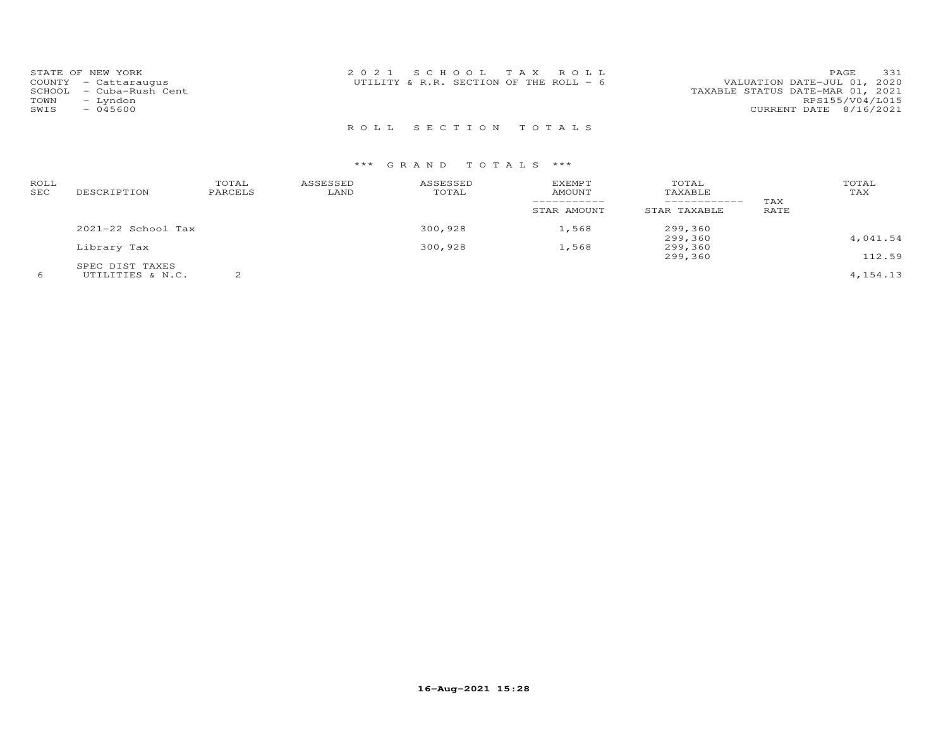| STATE OF NEW YORK<br>COUNTY - Cattaraugus | 2021 SCHOOL TAX ROLL<br>UTILITY & R.R. SECTION OF THE ROLL - 6 | 331<br>PAGE<br>VALUATION DATE-JUL 01, 2020 |
|-------------------------------------------|----------------------------------------------------------------|--------------------------------------------|
| SCHOOL - Cuba-Rush Cent                   |                                                                | TAXABLE STATUS DATE-MAR 01, 2021           |
| TOWN<br>- Lyndon                          |                                                                | RPS155/V04/L015                            |
| $-045600$<br>SWIS                         |                                                                | CURRENT DATE 8/16/2021                     |
|                                           |                                                                |                                            |

R O L L S E C T I O N T O T A L S

| ROLL<br>SEC | DESCRIPTION        | TOTAL<br>PARCELS | ASSESSED<br>LAND | ASSESSED<br>TOTAL | <b>EXEMPT</b><br>AMOUNT<br>STAR AMOUNT | TOTAL<br>TAXABLE<br>------------<br>STAR TAXABLE | TAX<br>RATE | TOTAL<br>TAX |
|-------------|--------------------|------------------|------------------|-------------------|----------------------------------------|--------------------------------------------------|-------------|--------------|
|             | 2021-22 School Tax |                  |                  | 300,928           | 1,568                                  | 299,360                                          |             |              |
|             |                    |                  |                  |                   |                                        | 299,360                                          |             | 4,041.54     |
|             | Library Tax        |                  |                  | 300,928           | 1,568                                  | 299,360                                          |             |              |
|             |                    |                  |                  |                   |                                        | 299,360                                          |             | 112.59       |
|             | SPEC DIST TAXES    |                  |                  |                   |                                        |                                                  |             |              |
|             | UTILITIES & N.C.   |                  |                  |                   |                                        |                                                  |             | 4, 154. 13   |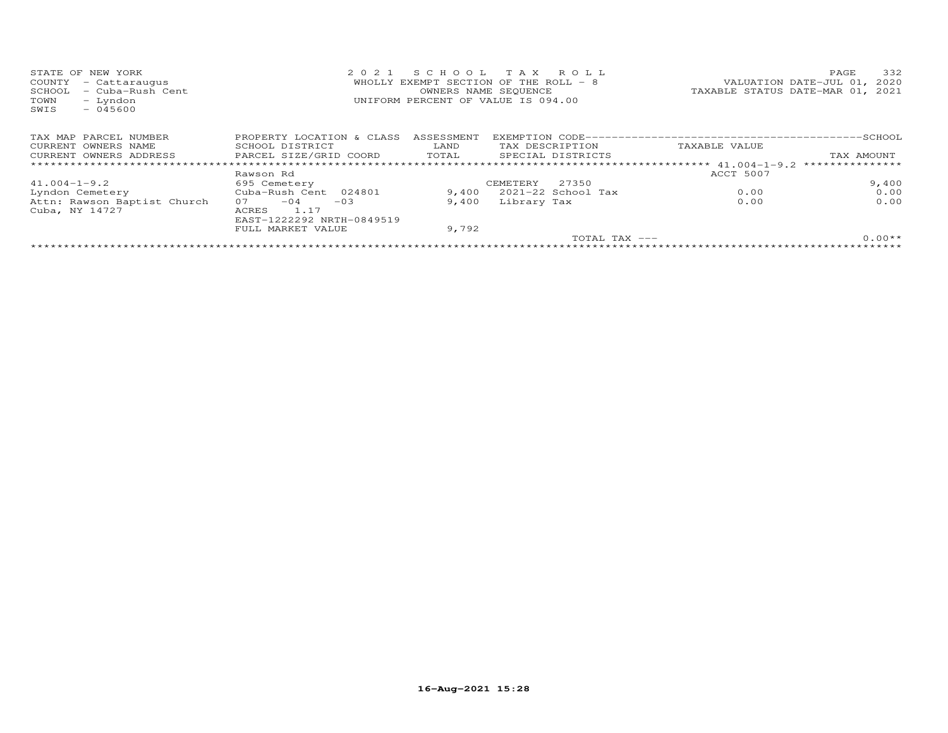| STATE OF<br>NEW YORK<br>COUNTY<br>- Cattaraugus<br>SCHOOL<br>- Cuba-Rush Cent<br>- Lyndon<br>TOWN<br>$-045600$<br>SWIS | 2021                      | SCHOOL     | T A X<br>ROLL<br>WHOLLY EXEMPT SECTION OF THE ROLL - 8<br>OWNERS NAME SEQUENCE<br>UNIFORM PERCENT OF VALUE IS 094.00 | 332<br>PAGE<br>VALUATION DATE-JUL 01,<br>2020<br>TAXABLE STATUS DATE-MAR 01, 2021 |
|------------------------------------------------------------------------------------------------------------------------|---------------------------|------------|----------------------------------------------------------------------------------------------------------------------|-----------------------------------------------------------------------------------|
| TAX MAP PARCEL NUMBER                                                                                                  | PROPERTY LOCATION & CLASS | ASSESSMENT |                                                                                                                      |                                                                                   |
| CURRENT OWNERS NAME                                                                                                    | SCHOOL DISTRICT           | LAND       | TAX DESCRIPTION                                                                                                      | TAXABLE VALUE                                                                     |
| CURRENT OWNERS ADDRESS                                                                                                 | PARCEL SIZE/GRID COORD    | TOTAL      | SPECIAL DISTRICTS                                                                                                    | TAX AMOUNT                                                                        |
|                                                                                                                        |                           |            |                                                                                                                      |                                                                                   |
|                                                                                                                        | Rawson Rd                 |            |                                                                                                                      | ACCT 5007                                                                         |
| $41.004 - 1 - 9.2$                                                                                                     | 695 Cemetery              |            | 27350<br>CEMETERY                                                                                                    | 9,400                                                                             |
| Lyndon Cemetery                                                                                                        | Cuba-Rush Cent 024801     | 9,400      | $2021 - 22$ School Tax                                                                                               | 0.00<br>0.00                                                                      |
| Attn: Rawson Baptist Church                                                                                            | $-04$<br>07<br>$-03$      | 9,400      | Library Tax                                                                                                          | 0.00<br>0.00                                                                      |
| Cuba, NY 14727                                                                                                         | 1.17<br>ACRES             |            |                                                                                                                      |                                                                                   |
|                                                                                                                        | EAST-1222292 NRTH-0849519 |            |                                                                                                                      |                                                                                   |
|                                                                                                                        | FULL MARKET VALUE         | 9,792      |                                                                                                                      |                                                                                   |
|                                                                                                                        |                           |            | TOTAL TAX ---                                                                                                        | $0.00**$                                                                          |
|                                                                                                                        |                           |            |                                                                                                                      |                                                                                   |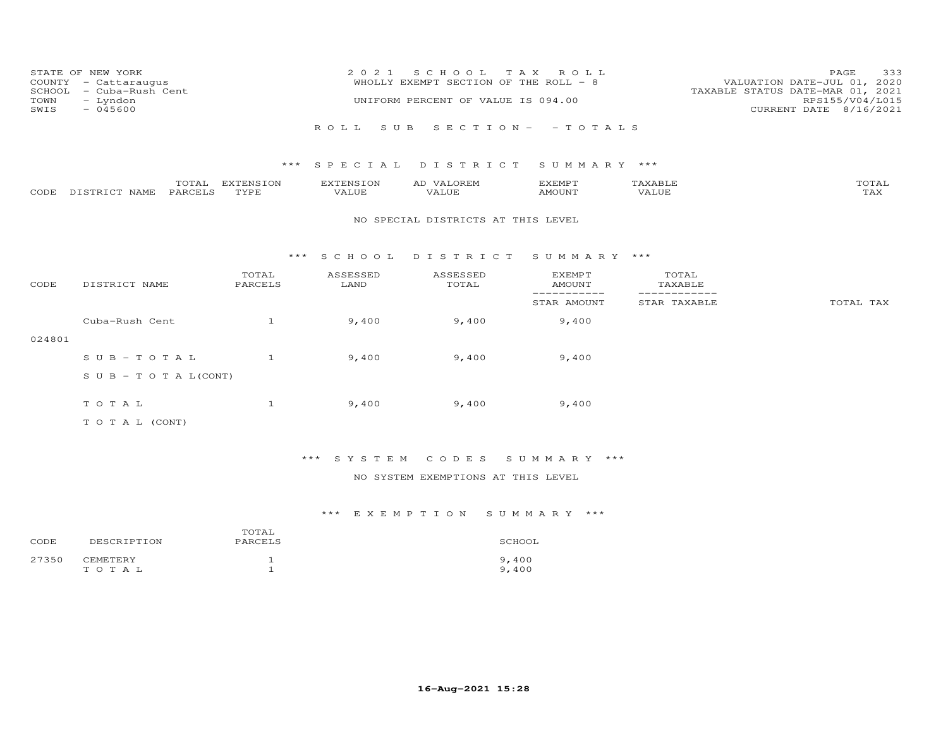| COUNTY<br>SCHOOL<br>TOWN<br>SWIS | STATE OF NEW YORK<br>- Cattaraugus<br>- Cuba-Rush Cent<br>- Lyndon<br>$-045600$ |                         | 2 0 2 1            | S C H O O L<br>WHOLLY EXEMPT SECTION OF THE ROLL - 8<br>UNIFORM PERCENT OF VALUE IS 094.00 | T A X<br>ROLL                  |                              | 333<br>PAGE<br>VALUATION DATE-JUL 01, 2020<br>TAXABLE STATUS DATE-MAR 01, 2021<br>RPS155/V04/L015<br>CURRENT DATE 8/16/2021 |
|----------------------------------|---------------------------------------------------------------------------------|-------------------------|--------------------|--------------------------------------------------------------------------------------------|--------------------------------|------------------------------|-----------------------------------------------------------------------------------------------------------------------------|
|                                  |                                                                                 |                         | ROLL<br>S U B      |                                                                                            | SECTION- - TOTALS              |                              |                                                                                                                             |
|                                  |                                                                                 | $***$                   | S P E C I A L      | DISTRICT                                                                                   | SUMMARY ***                    |                              |                                                                                                                             |
| CODE                             | PARCELS<br>DISTRICT NAME                                                        | TOTAL EXTENSION<br>TYPE | EXTENSION<br>VALUE | AD VALOREM<br>VALUE                                                                        | <b>EXEMPT</b><br><b>AMOUNT</b> | TAXABLE<br>VALUE             | TOTAL<br>TAX                                                                                                                |
|                                  |                                                                                 |                         |                    | NO SPECIAL DISTRICTS AT THIS LEVEL                                                         |                                |                              |                                                                                                                             |
|                                  |                                                                                 | ***                     | S C H O O L        | DISTRICT                                                                                   | SUMMARY                        | ***                          |                                                                                                                             |
| CODE                             | DISTRICT NAME                                                                   | TOTAL<br>PARCELS        | ASSESSED<br>LAND   | ASSESSED<br>TOTAL                                                                          | <b>EXEMPT</b><br><b>AMOUNT</b> | TOTAL<br>TAXABLE             |                                                                                                                             |
|                                  |                                                                                 |                         |                    |                                                                                            | ------------<br>STAR AMOUNT    | ____________<br>STAR TAXABLE | TOTAL TAX                                                                                                                   |
|                                  | Cuba-Rush Cent                                                                  | $\mathbf{1}$            | 9,400              | 9,400                                                                                      | 9,400                          |                              |                                                                                                                             |
| 024801                           |                                                                                 |                         |                    |                                                                                            |                                |                              |                                                                                                                             |
|                                  | $S \cup B - T \cup T A L$                                                       | $\mathbf{1}$            | 9,400              | 9,400                                                                                      | 9,400                          |                              |                                                                                                                             |
|                                  | $S \cup B - T \cup T A L (CONT)$                                                |                         |                    |                                                                                            |                                |                              |                                                                                                                             |
|                                  | TOTAL                                                                           | $\mathbf{1}$            | 9,400              | 9,400                                                                                      | 9,400                          |                              |                                                                                                                             |
|                                  | T O T A L (CONT)                                                                |                         |                    |                                                                                            |                                |                              |                                                                                                                             |

## \*\*\* S Y S T E M C O D E S S U M M A R Y \*\*\*

### NO SYSTEM EXEMPTIONS AT THIS LEVEL

| CODE  | DESCRIPTION              | TOTAL<br>PARCELS | SCHOOL         |
|-------|--------------------------|------------------|----------------|
| 27350 | <b>CEMETERY</b><br>TOTAL |                  | 9,400<br>9,400 |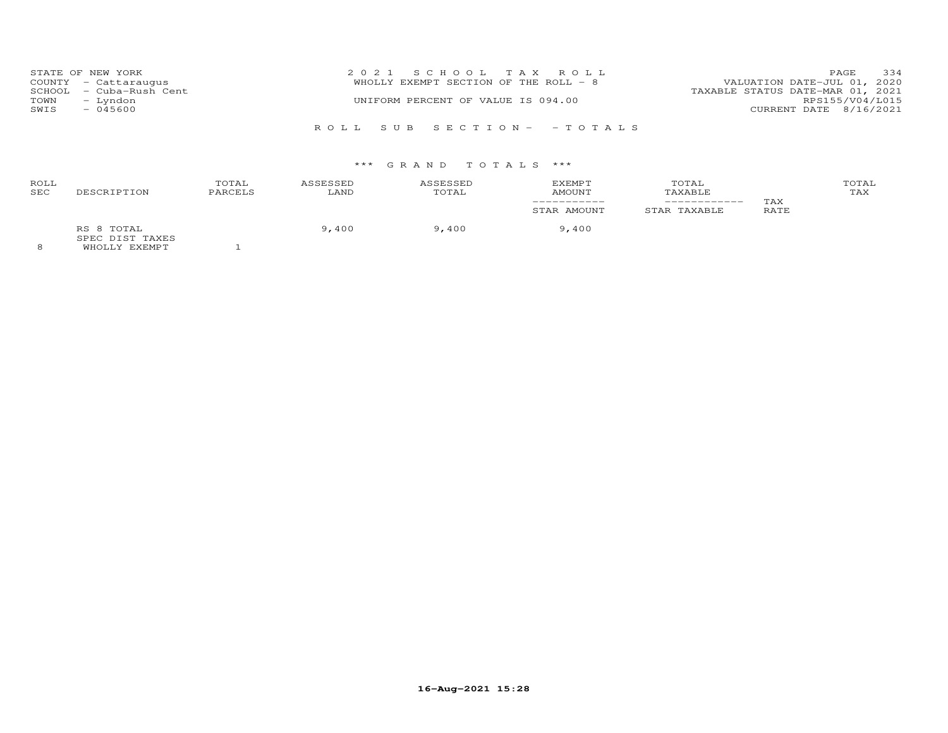|      | STATE OF NEW YORK       | 2021 SCHOOL TAX ROLL                  | PAGE                             | 334             |
|------|-------------------------|---------------------------------------|----------------------------------|-----------------|
|      | COUNTY - Cattaraugus    | WHOLLY EXEMPT SECTION OF THE ROLL - 8 | VALUATION DATE-JUL 01, 2020      |                 |
|      | SCHOOL - Cuba-Rush Cent |                                       | TAXABLE STATUS DATE-MAR 01, 2021 |                 |
| TOWN | - Lyndon                | UNIFORM PERCENT OF VALUE IS 094.00    |                                  | RPS155/V04/L015 |
| SWIS | $-045600$               |                                       | CURRENT DATE 8/16/2021           |                 |
|      |                         |                                       |                                  |                 |
|      |                         | ROLL SUB SECTION- -TOTALS             |                                  |                 |

| ROLL<br>SEC | DESCRIPTION                                           | TOTAL<br>PARCELS | ASSESSED<br>LAND | ASSESSED<br>TOTAL | EXEMPT<br>AMOUNT | TOTAL<br>TAXABLE | TAX  | TOTAL<br>TAX |
|-------------|-------------------------------------------------------|------------------|------------------|-------------------|------------------|------------------|------|--------------|
|             |                                                       |                  |                  |                   | STAR AMOUNT      | STAR TAXABLE     | RATE |              |
|             | RS 8 TOTAL<br>SPEC DIST TAXES<br><b>WUOTIV EVEMBT</b> |                  | 9,400            | 9,400             | 9,400            |                  |      |              |

8 WHOLLY EXEMPT 1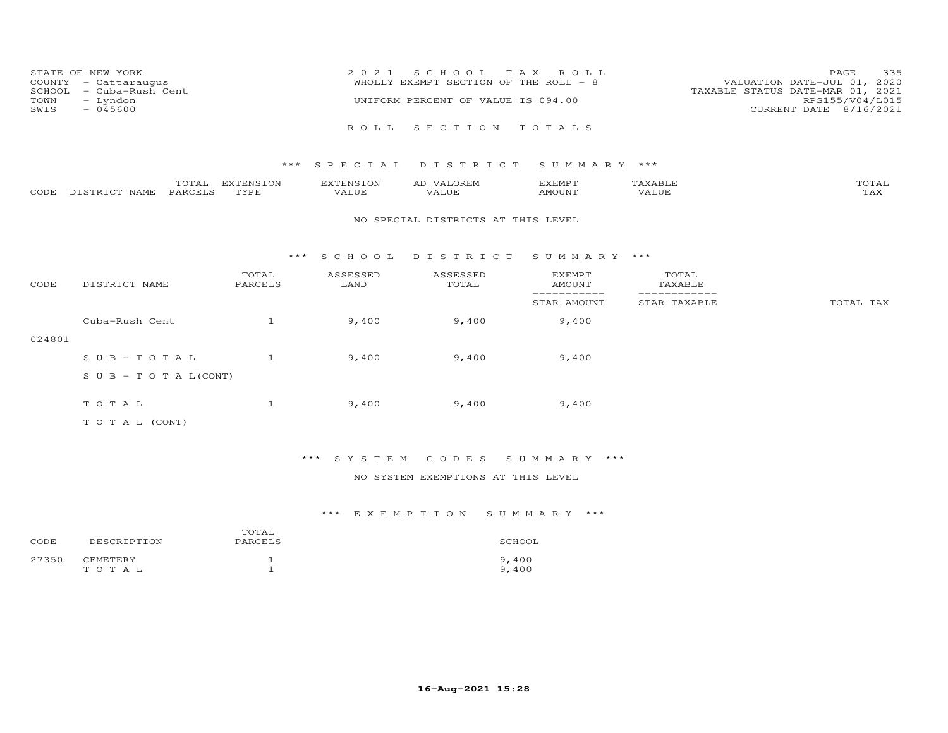| STATE OF NEW YORK<br>COUNTY - Cattaraugus<br>SCHOOL - Cuba-Rush Cent<br>TOWN<br>– Lyndon<br>SWIS<br>$-045600$ | 2021 SCHOOL TAX ROLL<br>WHOLLY EXEMPT SECTION OF THE ROLL - 8<br>UNIFORM PERCENT OF VALUE IS 094.00 | 335<br><b>PAGE</b><br>VALUATION DATE-JUL 01, 2020<br>TAXABLE STATUS DATE-MAR 01, 2021<br>RPS155/V04/L015<br>CURRENT DATE 8/16/2021 |
|---------------------------------------------------------------------------------------------------------------|-----------------------------------------------------------------------------------------------------|------------------------------------------------------------------------------------------------------------------------------------|
|                                                                                                               | ROLL SECTION TOTALS                                                                                 |                                                                                                                                    |

|      |                  | ----                | <b>EXTENSION</b> | -NS 1           | ∼ | EXEMPT   |              | $m \wedge m \wedge \tau$<br>OTAL |
|------|------------------|---------------------|------------------|-----------------|---|----------|--------------|----------------------------------|
| CODE | DISTRICT<br>NAME | PARCEI <sup>o</sup> | TVDF             | - דדד<br>. ALUF |   | 35027370 | <b>VALUE</b> | - 777                            |

#### NO SPECIAL DISTRICTS AT THIS LEVEL

#### \*\*\* S C H O O L D I S T R I C T S U M M A R Y \*\*\*

| CODE   | DISTRICT NAME                    | TOTAL<br>PARCELS | ASSESSED<br>LAND | ASSESSED<br>TOTAL | <b>EXEMPT</b><br>AMOUNT | TOTAL<br>TAXABLE |           |
|--------|----------------------------------|------------------|------------------|-------------------|-------------------------|------------------|-----------|
|        |                                  |                  |                  |                   | STAR AMOUNT             | STAR TAXABLE     | TOTAL TAX |
|        | Cuba-Rush Cent                   |                  | 9,400            | 9,400             | 9,400                   |                  |           |
| 024801 |                                  |                  |                  |                   |                         |                  |           |
|        | $SUB - TO T AL$                  |                  | 9,400            | 9,400             | 9,400                   |                  |           |
|        | $S \cup B - T \cup T A L (CONT)$ |                  |                  |                   |                         |                  |           |
|        | TOTAL                            |                  | 9,400            | 9,400             | 9,400                   |                  |           |
|        | T O T A L (CONT)                 |                  |                  |                   |                         |                  |           |

### \*\*\* S Y S T E M C O D E S S U M M A R Y \*\*\*

### NO SYSTEM EXEMPTIONS AT THIS LEVEL

| CODE  | DESCRIPTION           | TOTAL<br>PARCELS | SCHOOL         |
|-------|-----------------------|------------------|----------------|
| 27350 | CEMETERY<br>T O T A L |                  | 9,400<br>9,400 |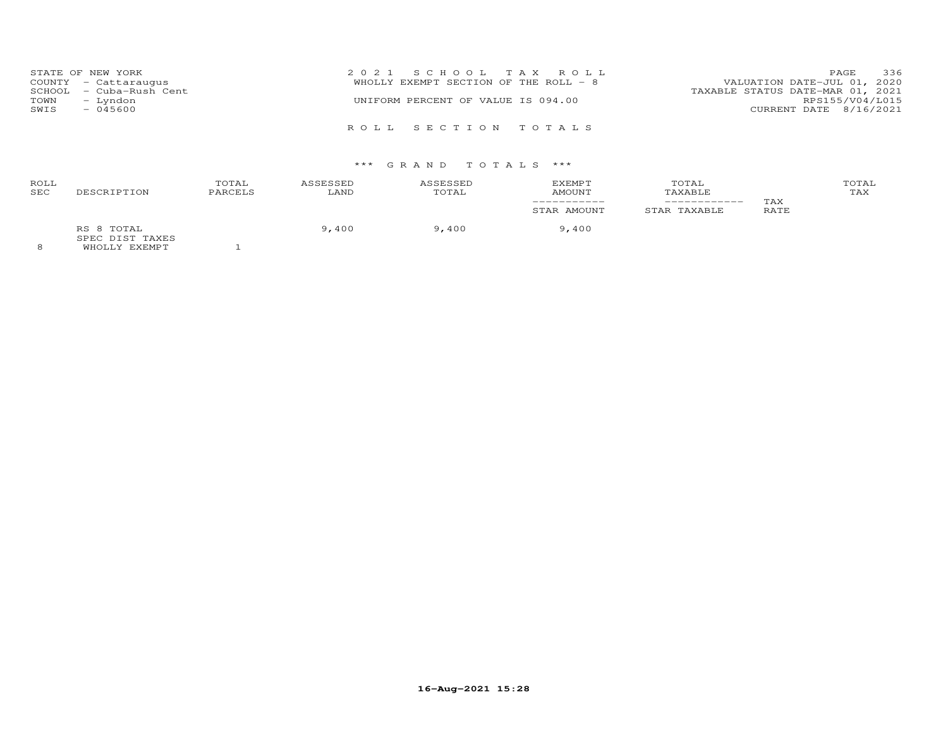| TOWN<br>SWIS | STATE OF NEW YORK<br>COUNTY - Cattaraugus<br>SCHOOL - Cuba-Rush Cent<br>– Lyndon<br>$-045600$ | 2021 SCHOOL TAX ROLL<br>WHOLLY EXEMPT SECTION OF THE ROLL - 8<br>UNIFORM PERCENT OF VALUE IS 094.00 | 336<br>PAGE<br>VALUATION DATE-JUL 01, 2020<br>TAXABLE STATUS DATE-MAR 01, 2021<br>RPS155/V04/L015<br>CURRENT DATE 8/16/2021 |
|--------------|-----------------------------------------------------------------------------------------------|-----------------------------------------------------------------------------------------------------|-----------------------------------------------------------------------------------------------------------------------------|
|              |                                                                                               | ROLL SECTION TOTALS                                                                                 |                                                                                                                             |

| ROLL       |                                           | TOTAL   | ASSESSED | ASSESSED | <b>EXEMPT</b> | TOTAL                   |      | TOTAL |
|------------|-------------------------------------------|---------|----------|----------|---------------|-------------------------|------|-------|
| <b>SEC</b> | DESCRIPTION                               | PARCELS | LAND     | TOTAL    | AMOUNT        | TAXABLE<br>------------ | TAX  | TAX   |
|            |                                           |         |          |          | STAR AMOUNT   | STAR TAXABLE            | RATE |       |
| $\sim$     | RS 8 TOTAL<br>SPEC DIST TAXES<br>$\cdots$ |         | 9,400    | 9,400    | 9,400         |                         |      |       |

8 WHOLLY EXEMPT 1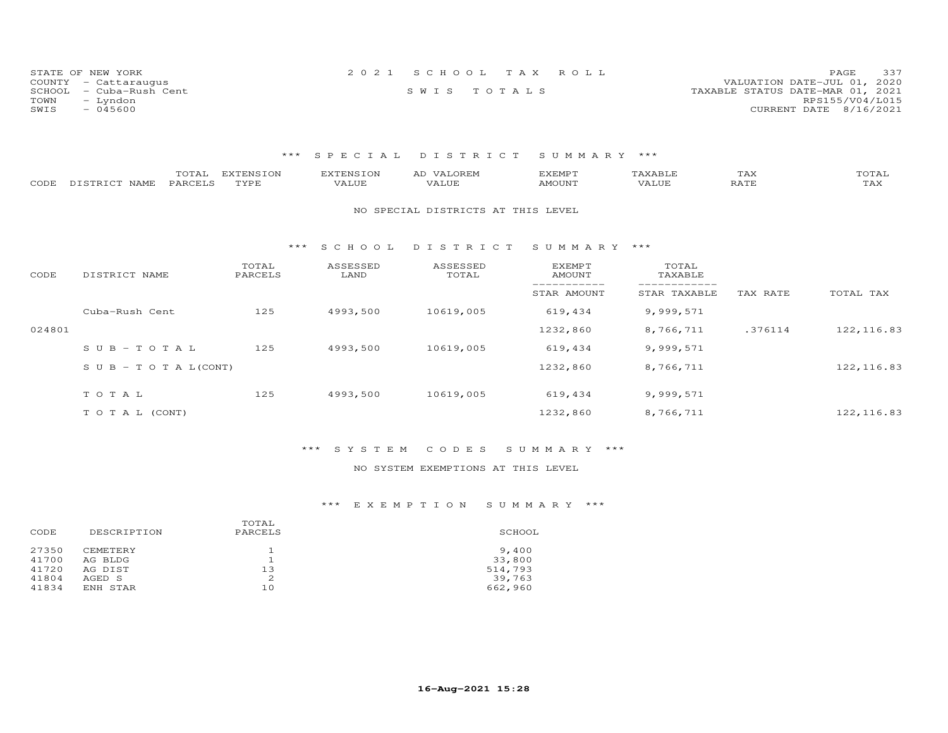| STATE OF NEW YORK       | 2021 SCHOOL TAX ROLL | 337<br>PAGE.                     |
|-------------------------|----------------------|----------------------------------|
| COUNTY - Cattaraugus    |                      | VALUATION DATE-JUL 01, 2020      |
| SCHOOL - Cuba-Rush Cent | SWIS TOTALS          | TAXABLE STATUS DATE-MAR 01, 2021 |
| TOWN<br>– Lyndon        |                      | RPS155/V04/L015                  |
| SWIS<br>- 045600        |                      | CURRENT DATE 8/16/2021           |

| CODE   | TOTAL<br>PARCELS<br>DISTRICT NAME | <b>EXTENSION</b><br>TYPE | <b>EXTENSION</b><br>VALUE | AD VALOREM<br>VALUE                | <b>EXEMPT</b><br>AMOUNT | TAXABLE<br>VALUE | TAX<br>RATE | TOTAL<br>TAX |
|--------|-----------------------------------|--------------------------|---------------------------|------------------------------------|-------------------------|------------------|-------------|--------------|
|        |                                   |                          |                           | NO SPECIAL DISTRICTS AT THIS LEVEL |                         |                  |             |              |
|        |                                   | ***                      | S C H O O L               | DISTRICT                           | SUMMARY ***             |                  |             |              |
| CODE   | DISTRICT NAME                     | TOTAL<br>PARCELS         | ASSESSED<br>LAND          | ASSESSED<br>TOTAL                  | EXEMPT<br>AMOUNT        | TOTAL<br>TAXABLE |             |              |
|        |                                   |                          |                           |                                    | STAR AMOUNT             | STAR TAXABLE     | TAX RATE    | TOTAL TAX    |
|        | Cuba-Rush Cent                    | 125                      | 4993,500                  | 10619,005                          | 619,434                 | 9,999,571        |             |              |
| 024801 |                                   |                          |                           |                                    | 1232,860                | 8,766,711        | .376114     | 122, 116.83  |
|        | $S \cup B - T \cup T A L$         | 125                      | 4993,500                  | 10619,005                          | 619,434                 | 9,999,571        |             |              |
|        | S U B - T O T A $L$ (CONT)        |                          |                           |                                    | 1232,860                | 8,766,711        |             | 122, 116.83  |
|        | TOTAL                             | 125                      | 4993,500                  | 10619,005                          | 619,434                 | 9,999,571        |             |              |
|        | TO TAL (CONT)                     |                          |                           |                                    | 1232,860                | 8,766,711        |             | 122, 116.83  |

### \*\*\* S Y S T E M C O D E S S U M M A R Y \*\*\*

### NO SYSTEM EXEMPTIONS AT THIS LEVEL

| CODE                             | DESCRIPTION                                     | TOTAL<br>PARCELS | SCHOOL                               |
|----------------------------------|-------------------------------------------------|------------------|--------------------------------------|
| 27350<br>41700<br>41720<br>41804 | <b>CEMETERY</b><br>AG BLDG<br>AG DIST<br>AGED S | 13<br>2          | 9,400<br>33,800<br>514,793<br>39,763 |
| 41834                            | ENH STAR                                        | 10               | 662,960                              |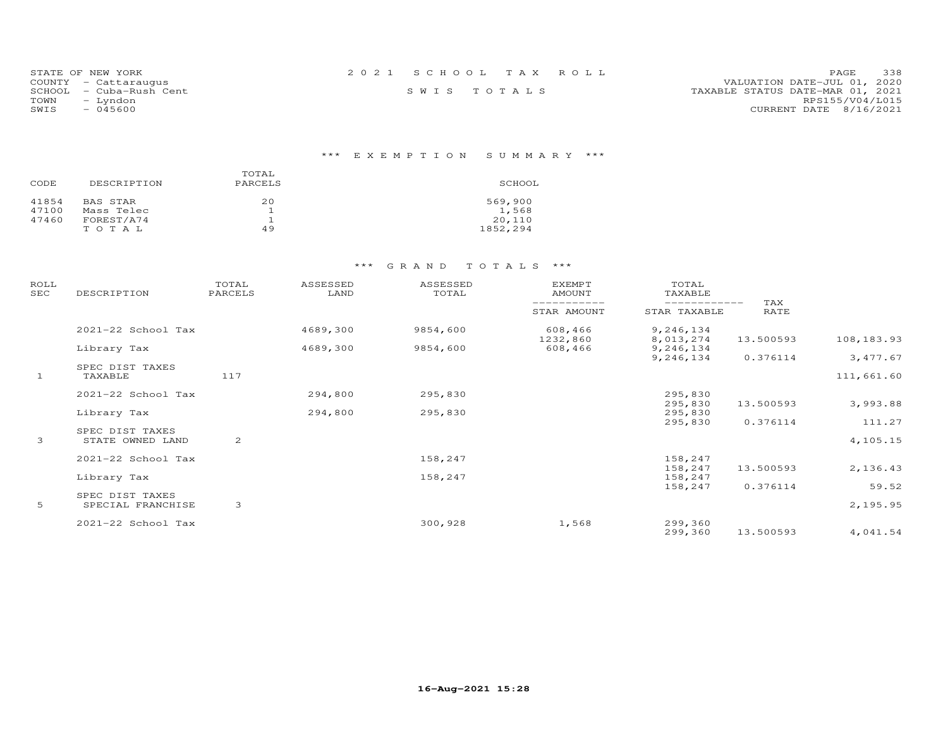| STATE OF NEW YORK       | 2021 SCHOOL TAX ROLL | 338<br><b>PAGE</b>               |
|-------------------------|----------------------|----------------------------------|
| COUNTY - Cattaraugus    |                      | VALUATION DATE-JUL 01, 2020      |
| SCHOOL - Cuba-Rush Cent | SWIS TOTALS          | TAXABLE STATUS DATE-MAR 01, 2021 |
| TOWN<br>– Lyndon        |                      | RPS155/V04/L015                  |
| SWIS<br>- 045600        |                      | CURRENT DATE 8/16/2021           |

## \*\*\* E X E M P T I O N S U M M A R Y \*\*\*

| CODE  | DESCRIPTION | TOTAL<br>PARCELS | SCHOOL   |
|-------|-------------|------------------|----------|
| 41854 | BAS STAR    | 20               | 569,900  |
| 47100 | Mass Telec  |                  | 1,568    |
| 47460 | FOREST/A74  |                  | 20,110   |
|       | TOTAL       | 49               | 1852,294 |

| ROLL<br>SEC  | DESCRIPTION                          | TOTAL<br>PARCELS | ASSESSED<br>LAND | ASSESSED<br>TOTAL | <b>EXEMPT</b><br><b>AMOUNT</b> | TOTAL<br>TAXABLE       | TAX       |            |
|--------------|--------------------------------------|------------------|------------------|-------------------|--------------------------------|------------------------|-----------|------------|
|              |                                      |                  |                  |                   | STAR AMOUNT                    | STAR TAXABLE           | RATE      |            |
|              | 2021-22 School Tax                   |                  | 4689,300         | 9854,600          | 608,466<br>1232,860            | 9,246,134<br>8,013,274 | 13.500593 | 108,183.93 |
|              | Library Tax                          |                  | 4689,300         | 9854,600          | 608,466                        | 9,246,134              |           |            |
|              | SPEC DIST TAXES                      |                  |                  |                   |                                | 9,246,134              | 0.376114  | 3,477.67   |
| $\mathbf{1}$ | TAXABLE                              | 117              |                  |                   |                                |                        |           | 111,661.60 |
|              | 2021-22 School Tax                   |                  | 294,800          | 295,830           |                                | 295,830                |           |            |
|              | Library Tax                          |                  | 294,800          | 295,830           |                                | 295,830<br>295,830     | 13.500593 | 3,993.88   |
|              |                                      |                  |                  |                   |                                | 295,830                | 0.376114  | 111.27     |
| 3            | SPEC DIST TAXES<br>STATE OWNED LAND  | 2                |                  |                   |                                |                        |           | 4,105.15   |
|              | 2021-22 School Tax                   |                  |                  | 158,247           |                                | 158,247                |           |            |
|              | Library Tax                          |                  |                  | 158,247           |                                | 158,247<br>158,247     | 13.500593 | 2,136.43   |
|              |                                      |                  |                  |                   |                                | 158,247                | 0.376114  | 59.52      |
| 5            | SPEC DIST TAXES<br>SPECIAL FRANCHISE | 3                |                  |                   |                                |                        |           | 2,195.95   |
|              | 2021-22 School Tax                   |                  |                  | 300,928           | 1,568                          | 299,360<br>299,360     | 13.500593 | 4,041.54   |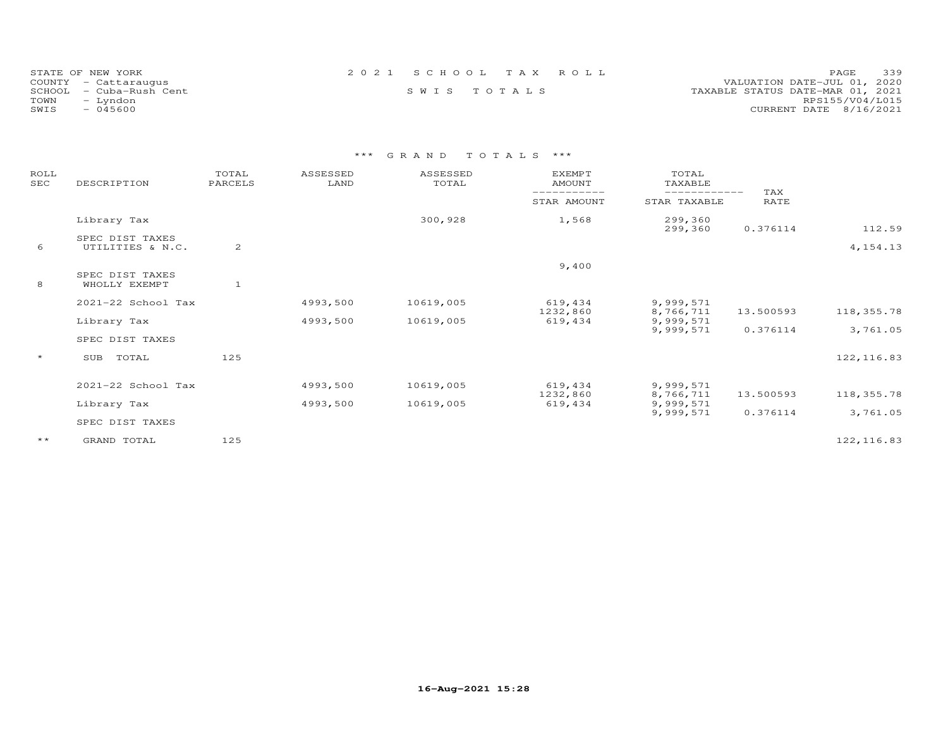| STATE OF NEW YORK    |                         |             |  | 2021 SCHOOL TAX ROLL | 339<br>PAGE.                     |
|----------------------|-------------------------|-------------|--|----------------------|----------------------------------|
| COUNTY - Cattaraugus |                         |             |  |                      | VALUATION DATE-JUL 01, 2020      |
|                      | SCHOOL - Cuba-Rush Cent | SWIS TOTALS |  |                      | TAXABLE STATUS DATE-MAR 01, 2021 |
| TOWN                 | - Lyndon                |             |  |                      | RPS155/V04/L015                  |
| SWIS                 | - 045600                |             |  |                      | CURRENT DATE 8/16/2021           |

| ROLL<br>SEC  | DESCRIPTION                         | TOTAL<br>PARCELS | ASSESSED<br>LAND | ASSESSED<br>TOTAL | <b>EXEMPT</b><br><b>AMOUNT</b> | TOTAL<br>TAXABLE       |             |             |
|--------------|-------------------------------------|------------------|------------------|-------------------|--------------------------------|------------------------|-------------|-------------|
|              |                                     |                  |                  |                   | STAR AMOUNT                    | STAR TAXABLE           | TAX<br>RATE |             |
|              | Library Tax                         |                  |                  | 300,928           | 1,568                          | 299,360<br>299,360     | 0.376114    | 112.59      |
| 6            | SPEC DIST TAXES<br>UTILITIES & N.C. | 2                |                  |                   |                                |                        |             | 4, 154. 13  |
|              | SPEC DIST TAXES                     |                  |                  |                   | 9,400                          |                        |             |             |
| 8            | WHOLLY EXEMPT                       | $\mathbf{1}$     |                  |                   |                                |                        |             |             |
|              | 2021-22 School Tax                  |                  | 4993,500         | 10619,005         | 619,434<br>1232,860            | 9,999,571<br>8,766,711 | 13.500593   | 118,355.78  |
|              | Library Tax                         |                  | 4993,500         | 10619,005         | 619,434                        | 9,999,571              |             |             |
|              | SPEC DIST TAXES                     |                  |                  |                   |                                | 9,999,571              | 0.376114    | 3,761.05    |
| $\star$      | SUB<br>TOTAL                        | 125              |                  |                   |                                |                        |             | 122, 116.83 |
|              | 2021-22 School Tax                  |                  | 4993,500         | 10619,005         | 619,434                        | 9,999,571              |             |             |
|              | Library Tax                         |                  | 4993,500         | 10619,005         | 1232,860<br>619,434            | 8,766,711<br>9,999,571 | 13.500593   | 118,355.78  |
|              | SPEC DIST TAXES                     |                  |                  |                   |                                | 9,999,571              | 0.376114    | 3,761.05    |
| $\star\star$ | GRAND TOTAL                         | 125              |                  |                   |                                |                        |             | 122, 116.83 |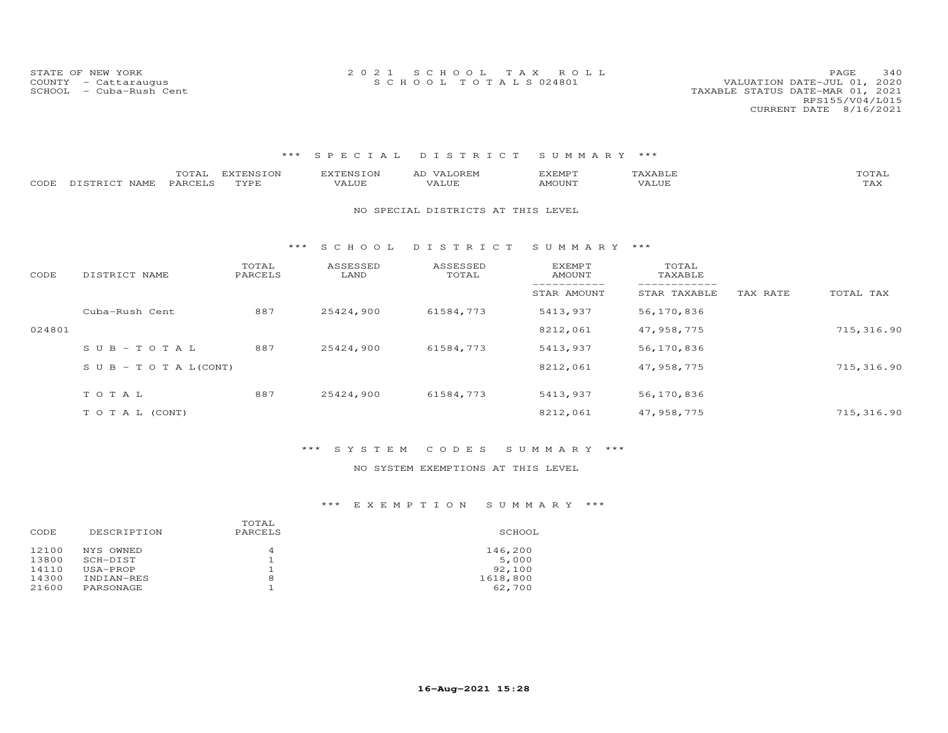STATE OF NEW YORK 2 0 2 1 S C H O O L T A X R O L L PAGE 340COUNTY - Cattaraugus S C H O O L T O T A L S 024801 VALUATION DATE-JUL 01, 2020

### VALUATION DATE-JUL 01, 2020 SCHOOL - Cuba-Rush Cent TAXABLE STATUS DATE-MAR 01, 2021 RPS155/V04/L015CURRENT DATE 8/16/2021

### \*\*\* S P E C I A L D I S T R I C T S U M M A R Y \*\*\*

| CODE   | TOTAL<br>PARCELS<br>DISTRICT NAME | <b>EXTENSION</b><br>TYPE | <b>EXTENSION</b><br>VALUE | AD VALOREM<br>VALUE                | <b>EXEMPT</b><br><b>AMOUNT</b> | TAXABLE<br>VALUE |          | TOTAL<br>TAX |
|--------|-----------------------------------|--------------------------|---------------------------|------------------------------------|--------------------------------|------------------|----------|--------------|
|        |                                   |                          |                           | NO SPECIAL DISTRICTS AT THIS LEVEL |                                |                  |          |              |
|        |                                   | ***                      | S C H O O L               | DISTRICT                           | SUMMARY ***                    |                  |          |              |
| CODE   | DISTRICT NAME                     | TOTAL<br>PARCELS         | ASSESSED<br>LAND          | ASSESSED<br>TOTAL                  | EXEMPT<br><b>AMOUNT</b>        | TOTAL<br>TAXABLE |          |              |
|        |                                   |                          |                           |                                    | STAR AMOUNT                    | STAR TAXABLE     | TAX RATE | TOTAL TAX    |
|        | Cuba-Rush Cent                    | 887                      | 25424,900                 | 61584,773                          | 5413,937                       | 56,170,836       |          |              |
| 024801 |                                   |                          |                           |                                    | 8212,061                       | 47,958,775       |          | 715, 316.90  |
|        | $SUB - TO T AL$                   | 887                      | 25424,900                 | 61584,773                          | 5413,937                       | 56,170,836       |          |              |
|        | $S \cup B - T \cup T A L (CONT)$  |                          |                           |                                    | 8212,061                       | 47,958,775       |          | 715, 316.90  |
|        | TOTAL                             | 887                      | 25424,900                 | 61584,773                          | 5413,937                       | 56,170,836       |          |              |
|        | TO TAL (CONT)                     |                          |                           |                                    | 8212,061                       | 47,958,775       |          | 715,316.90   |

#### \*\*\* S Y S T E M C O D E S S U M M A R Y \*\*\*

#### NO SYSTEM EXEMPTIONS AT THIS LEVEL

| CODE  | DESCRIPTION | TOTAL<br>PARCELS | SCHOOL   |
|-------|-------------|------------------|----------|
| 12100 | NYS OWNED   | 4                | 146,200  |
| 13800 | SCH-DIST    |                  | 5,000    |
| 14110 | USA-PROP    |                  | 92,100   |
| 14300 | INDIAN-RES  | 8                | 1618,800 |
| 21600 | PARSONAGE   |                  | 62,700   |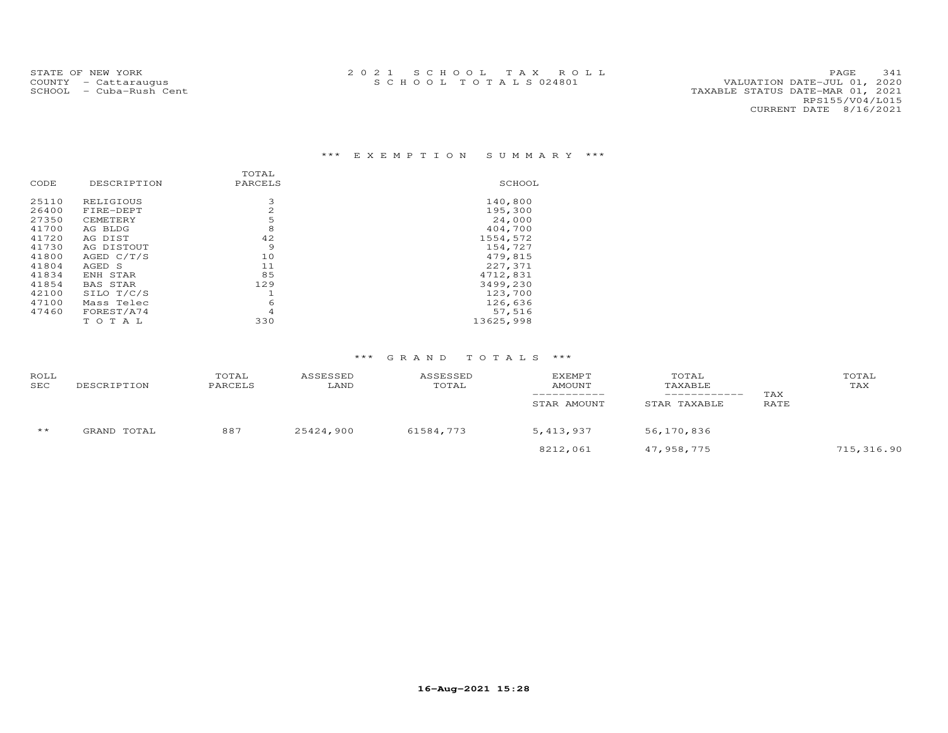### \*\*\* E X E M P T I O N S U M M A R Y \*\*\*

|       |                 | TOTAL   |           |
|-------|-----------------|---------|-----------|
| CODE  | DESCRIPTION     | PARCELS | SCHOOL    |
| 25110 | RELIGIOUS       | 3       | 140,800   |
| 26400 | FIRE-DEPT       | 2       | 195,300   |
| 27350 | CEMETERY        | 5       | 24,000    |
| 41700 | AG BLDG         | 8       | 404,700   |
| 41720 | AG DIST         | 42      | 1554,572  |
| 41730 | AG DISTOUT      | 9       | 154,727   |
| 41800 | AGED C/T/S      | 10      | 479,815   |
| 41804 | AGED S          | 11      | 227,371   |
| 41834 | ENH STAR        | 85      | 4712,831  |
| 41854 | <b>BAS STAR</b> | 129     | 3499,230  |
| 42100 | SILO T/C/S      | 1       | 123,700   |
| 47100 | Mass Telec      | 6       | 126,636   |
| 47460 | FOREST/A74      | 4       | 57,516    |
|       | TOTAL           | 330     | 13625,998 |

| ROLL<br>SEC  | DESCRIPTION | TOTAL<br>PARCELS | ASSESSED<br>LAND | ASSESSED<br>TOTAL | <b>EXEMPT</b><br>AMOUNT<br>STAR AMOUNT | TOTAL<br>TAXABLE<br>STAR TAXABLE | TAX<br>RATE | TOTAL<br>TAX |
|--------------|-------------|------------------|------------------|-------------------|----------------------------------------|----------------------------------|-------------|--------------|
| $\star\star$ | GRAND TOTAL | 887              | 25424,900        | 61584,773         | 5, 413, 937                            | 56,170,836                       |             |              |
|              |             |                  |                  |                   | 8212,061                               | 47,958,775                       |             | 715,316.90   |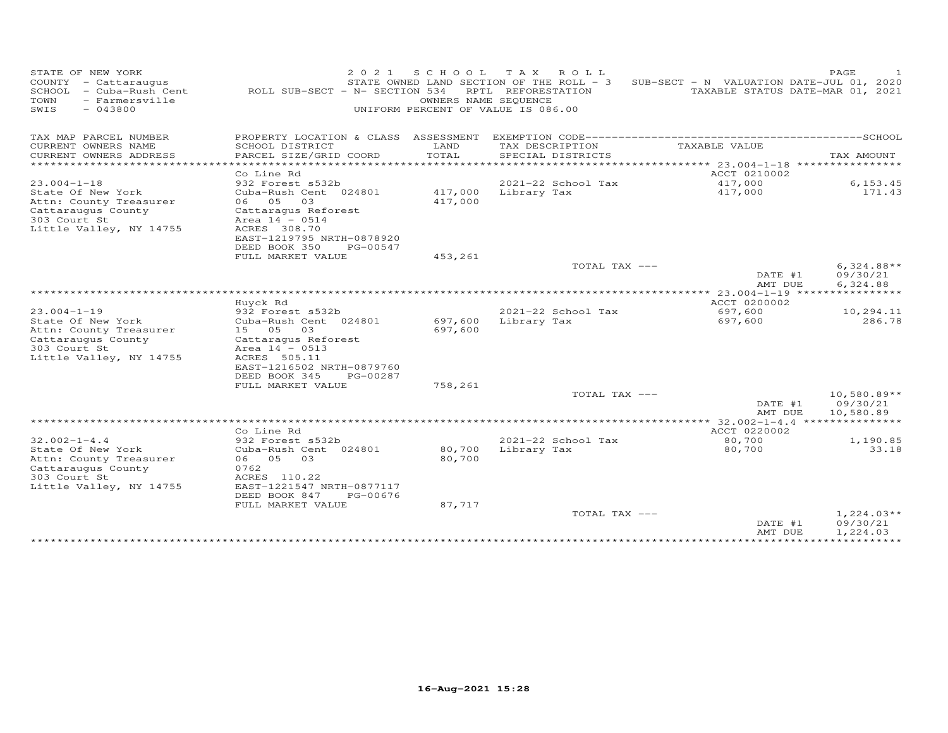| STATE OF NEW YORK<br>COUNTY - Cattaraugus<br>SCHOOL<br>- Cuba-Rush Cent<br>- Farmersville<br>TOWN<br>SWIS<br>$-043800$ | ROLL SUB-SECT - N- SECTION 534            | 2 0 2 1<br>S C H O O L<br>UNIFORM PERCENT OF VALUE IS 086.00 | TAX ROLL<br>STATE OWNED LAND SECTION OF THE ROLL - 3<br>RPTL REFORESTATION<br>OWNERS NAME SEQUENCE | SUB-SECT - N VALUATION DATE-JUL 01, 2020 | PAGE<br>TAXABLE STATUS DATE-MAR 01, 2021 |
|------------------------------------------------------------------------------------------------------------------------|-------------------------------------------|--------------------------------------------------------------|----------------------------------------------------------------------------------------------------|------------------------------------------|------------------------------------------|
| TAX MAP PARCEL NUMBER                                                                                                  | PROPERTY LOCATION & CLASS ASSESSMENT      |                                                              |                                                                                                    |                                          |                                          |
| CURRENT OWNERS NAME                                                                                                    | SCHOOL DISTRICT                           | LAND                                                         | TAX DESCRIPTION                                                                                    | TAXABLE VALUE                            |                                          |
| CURRENT OWNERS ADDRESS<br>*************************                                                                    | PARCEL SIZE/GRID COORD                    | TOTAL                                                        | SPECIAL DISTRICTS                                                                                  |                                          | TAX AMOUNT                               |
|                                                                                                                        | Co Line Rd                                |                                                              |                                                                                                    | ACCT 0210002                             |                                          |
| $23.004 - 1 - 18$                                                                                                      | 932 Forest s532b                          |                                                              | 2021-22 School Tax                                                                                 | 417,000                                  | 6, 153.45                                |
| State Of New York                                                                                                      | Cuba-Rush Cent 024801                     | 417,000                                                      | Library Tax                                                                                        | 417,000                                  | 171.43                                   |
| Attn: County Treasurer                                                                                                 | 05<br>03<br>06                            | 417,000                                                      |                                                                                                    |                                          |                                          |
| Cattaraugus County                                                                                                     | Cattaragus Reforest                       |                                                              |                                                                                                    |                                          |                                          |
| 303 Court St                                                                                                           | Area $14 - 0514$                          |                                                              |                                                                                                    |                                          |                                          |
| Little Valley, NY 14755                                                                                                | ACRES 308.70<br>EAST-1219795 NRTH-0878920 |                                                              |                                                                                                    |                                          |                                          |
|                                                                                                                        | DEED BOOK 350                             | PG-00547                                                     |                                                                                                    |                                          |                                          |
|                                                                                                                        | FULL MARKET VALUE                         | 453,261                                                      |                                                                                                    |                                          |                                          |
|                                                                                                                        |                                           |                                                              | TOTAL TAX ---                                                                                      |                                          | $6,324.88**$                             |
|                                                                                                                        |                                           |                                                              |                                                                                                    | DATE #1<br>AMT DUE                       | 09/30/21<br>6,324.88                     |
|                                                                                                                        |                                           |                                                              |                                                                                                    | $23.004 - 1 - 19$                        |                                          |
|                                                                                                                        | Huyck Rd                                  |                                                              |                                                                                                    | ACCT 0200002                             |                                          |
| $23.004 - 1 - 19$                                                                                                      | 932 Forest s532b                          |                                                              | 2021-22 School Tax                                                                                 | 697,600                                  | 10,294.11<br>286.78                      |
| State Of New York<br>Attn: County Treasurer                                                                            | Cuba-Rush Cent 024801<br>15 05<br>03      | 697,600<br>697,600                                           | Library Tax                                                                                        | 697,600                                  |                                          |
| Cattaraugus County                                                                                                     | Cattaragus Reforest                       |                                                              |                                                                                                    |                                          |                                          |
| 303 Court St                                                                                                           | Area $14 - 0513$                          |                                                              |                                                                                                    |                                          |                                          |
| Little Valley, NY 14755                                                                                                | ACRES 505.11                              |                                                              |                                                                                                    |                                          |                                          |
|                                                                                                                        | EAST-1216502 NRTH-0879760                 |                                                              |                                                                                                    |                                          |                                          |
|                                                                                                                        | DEED BOOK 345                             | PG-00287                                                     |                                                                                                    |                                          |                                          |
|                                                                                                                        | FULL MARKET VALUE                         | 758,261                                                      | TOTAL TAX ---                                                                                      |                                          | $10,580.89**$                            |
|                                                                                                                        |                                           |                                                              |                                                                                                    | DATE #1<br>AMT DUE                       | 09/30/21<br>10,580.89                    |
|                                                                                                                        |                                           |                                                              |                                                                                                    | $32.002 - 1 - 4.4$                       |                                          |
|                                                                                                                        | Co Line Rd                                |                                                              |                                                                                                    | ACCT 0220002                             |                                          |
| $32.002 - 1 - 4.4$                                                                                                     | 932 Forest s532b                          |                                                              | 2021-22 School Tax                                                                                 | 80,700                                   | 1,190.85                                 |
| State Of New York                                                                                                      | Cuba-Rush Cent 024801                     | 80,700                                                       | Library Tax                                                                                        | 80,700                                   | 33.18                                    |
| Attn: County Treasurer<br>Cattaraugus County                                                                           | 05<br>03<br>06<br>0762                    | 80,700                                                       |                                                                                                    |                                          |                                          |
| 303 Court St                                                                                                           | ACRES 110.22                              |                                                              |                                                                                                    |                                          |                                          |
| Little Valley, NY 14755                                                                                                | EAST-1221547 NRTH-0877117                 |                                                              |                                                                                                    |                                          |                                          |
|                                                                                                                        | DEED BOOK 847                             | PG-00676                                                     |                                                                                                    |                                          |                                          |
|                                                                                                                        | FULL MARKET VALUE                         | 87,717                                                       |                                                                                                    |                                          |                                          |
|                                                                                                                        |                                           |                                                              | TOTAL TAX ---                                                                                      |                                          | $1,224.03**$                             |
|                                                                                                                        |                                           |                                                              |                                                                                                    | DATE #1<br>AMT DUE                       | 09/30/21                                 |
|                                                                                                                        |                                           |                                                              |                                                                                                    |                                          | 1,224.03                                 |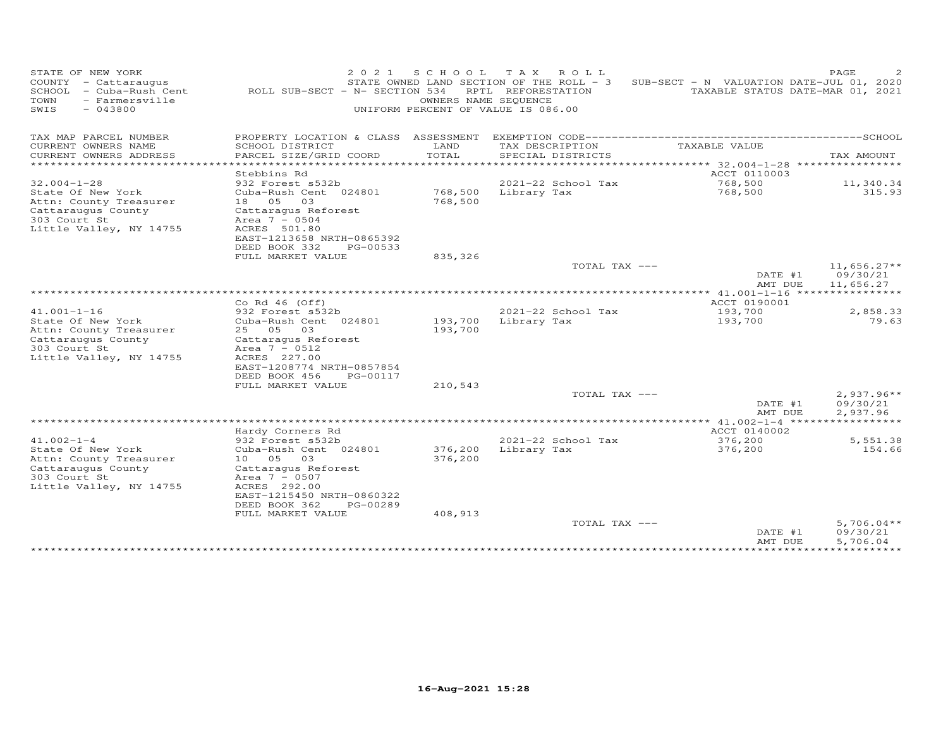| STATE OF NEW YORK<br>COUNTY - Cattaraugus<br>SCHOOL<br>- Cuba-Rush Cent<br>TOWN<br>- Farmersville<br>$-043800$<br>SWIS | 2 0 2 1<br>ROLL SUB-SECT - N- SECTION 534                                                                                                                                     | S C H O O L<br>UNIFORM PERCENT OF VALUE IS 086.00 | TAX ROLL<br>STATE OWNED LAND SECTION OF THE ROLL - 3<br>RPTL REFORESTATION<br>OWNERS NAME SEQUENCE | SUB-SECT - N VALUATION DATE-JUL 01, 2020           | PAGE<br>TAXABLE STATUS DATE-MAR 01, 2021 |
|------------------------------------------------------------------------------------------------------------------------|-------------------------------------------------------------------------------------------------------------------------------------------------------------------------------|---------------------------------------------------|----------------------------------------------------------------------------------------------------|----------------------------------------------------|------------------------------------------|
| TAX MAP PARCEL NUMBER                                                                                                  | PROPERTY LOCATION & CLASS ASSESSMENT                                                                                                                                          |                                                   |                                                                                                    |                                                    |                                          |
| CURRENT OWNERS NAME<br>CURRENT OWNERS ADDRESS                                                                          | SCHOOL DISTRICT<br>PARCEL SIZE/GRID COORD                                                                                                                                     | LAND<br>TOTAL                                     | TAX DESCRIPTION<br>SPECIAL DISTRICTS                                                               | TAXABLE VALUE                                      | TAX AMOUNT                               |
| *********************                                                                                                  |                                                                                                                                                                               | **********                                        |                                                                                                    | ************************************** 32.004-1-28 | ****************                         |
| $32.004 - 1 - 28$                                                                                                      | Stebbins Rd<br>932 Forest s532b                                                                                                                                               |                                                   | 2021-22 School Tax                                                                                 | ACCT 0110003<br>768,500                            | 11,340.34                                |
| State Of New York<br>Attn: County Treasurer<br>Cattaraugus County<br>303 Court St<br>Little Valley, NY 14755           | Cuba-Rush Cent 024801<br>18 05<br>03<br>Cattaraqus Reforest<br>Area $7 - 0504$<br>ACRES 501.80<br>EAST-1213658 NRTH-0865392                                                   | 768,500<br>768,500                                | Library Tax                                                                                        | 768,500                                            | 315.93                                   |
|                                                                                                                        | DEED BOOK 332<br>PG-00533                                                                                                                                                     |                                                   |                                                                                                    |                                                    |                                          |
|                                                                                                                        | FULL MARKET VALUE                                                                                                                                                             | 835,326                                           |                                                                                                    |                                                    |                                          |
|                                                                                                                        |                                                                                                                                                                               |                                                   | TOTAL TAX ---                                                                                      | DATE #1<br>AMT DUE                                 | $11,656.27**$<br>09/30/21<br>11,656.27   |
|                                                                                                                        |                                                                                                                                                                               |                                                   |                                                                                                    | ************* 41.001-1-16 *****************        |                                          |
| $41.001 - 1 - 16$                                                                                                      | Co Rd $46$ (Off)<br>932 Forest s532b                                                                                                                                          |                                                   | 2021-22 School Tax                                                                                 | ACCT 0190001<br>193,700                            | 2,858.33                                 |
| State Of New York<br>Attn: County Treasurer<br>Cattaraugus County<br>303 Court St<br>Little Valley, NY 14755           | Cuba-Rush Cent 024801<br>25 05<br>03<br>Cattaragus Reforest<br>Area $7 - 0512$<br>ACRES 227.00<br>EAST-1208774 NRTH-0857854<br>DEED BOOK 456<br>PG-00117                      | 193,700<br>193,700                                | Library Tax                                                                                        | 193,700                                            | 79.63                                    |
|                                                                                                                        | FULL MARKET VALUE                                                                                                                                                             | 210,543                                           |                                                                                                    |                                                    |                                          |
|                                                                                                                        |                                                                                                                                                                               |                                                   | TOTAL TAX ---                                                                                      | DATE #1<br>AMT DUE                                 | $2,937.96**$<br>09/30/21<br>2,937.96     |
|                                                                                                                        |                                                                                                                                                                               |                                                   |                                                                                                    | **** $41.002 - 1 - 4$ ******                       | * * * * * * * * * * *                    |
| $41.002 - 1 - 4$                                                                                                       | Hardy Corners Rd<br>932 Forest s532b                                                                                                                                          |                                                   | 2021-22 School Tax                                                                                 | ACCT 0140002<br>376,200                            | 5,551.38                                 |
| State Of New York<br>Attn: County Treasurer<br>Cattaraugus County<br>303 Court St<br>Little Valley, NY 14755           | Cuba-Rush Cent 024801<br>10 05<br>03<br>Cattaragus Reforest<br>Area $7 - 0507$<br>ACRES 292.00<br>EAST-1215450 NRTH-0860322<br>DEED BOOK 362<br>PG-00289<br>FULL MARKET VALUE | 376,200<br>376,200<br>408,913                     | Library Tax                                                                                        | 376,200                                            | 154.66                                   |
|                                                                                                                        |                                                                                                                                                                               |                                                   | TOTAL TAX ---                                                                                      | DATE #1                                            | $5,706.04**$<br>09/30/21                 |
|                                                                                                                        |                                                                                                                                                                               |                                                   |                                                                                                    | AMT DUE<br>*************                           | 5,706.04<br>***********                  |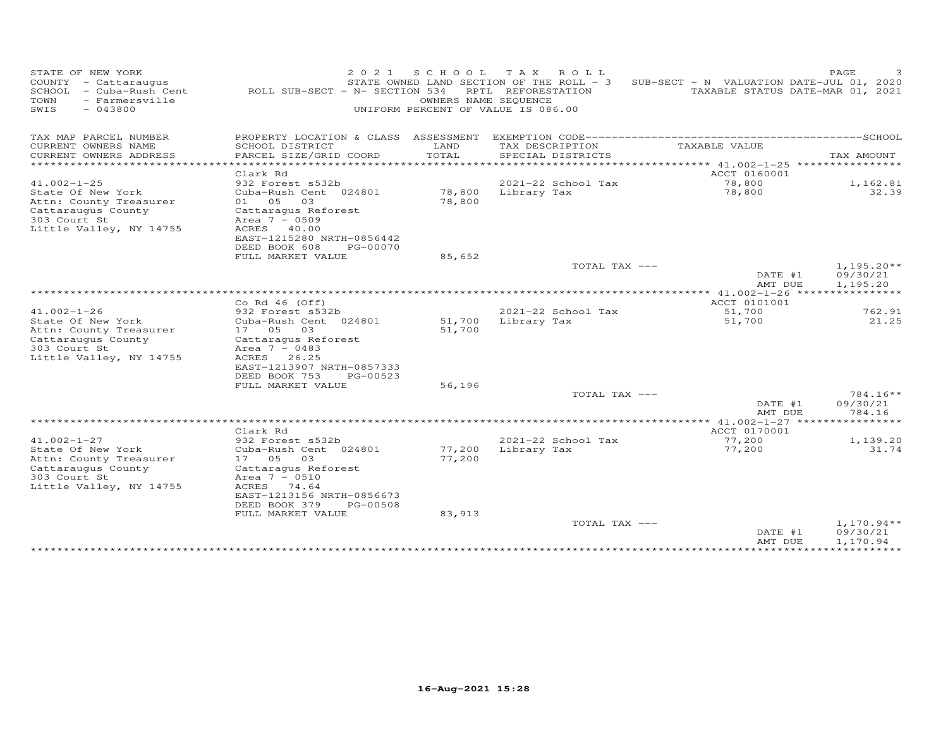| STATE OF NEW YORK<br>COUNTY - Cattaraugus<br>SCHOOL - Cuba-Rush Cent<br>TOWN<br>- Farmersville<br>$-043800$<br>SWIS | 2 0 2 1<br>ROLL SUB-SECT - N- SECTION 534                                                                                      | S C H O O L<br>UNIFORM PERCENT OF VALUE IS 086.00 | TAX ROLL<br>STATE OWNED LAND SECTION OF THE ROLL - 3<br>RPTL REFORESTATION<br>OWNERS NAME SEQUENCE | SUB-SECT - N VALUATION DATE-JUL 01, 2020                             | PAGE<br>TAXABLE STATUS DATE-MAR 01, 2021 |
|---------------------------------------------------------------------------------------------------------------------|--------------------------------------------------------------------------------------------------------------------------------|---------------------------------------------------|----------------------------------------------------------------------------------------------------|----------------------------------------------------------------------|------------------------------------------|
| TAX MAP PARCEL NUMBER                                                                                               | PROPERTY LOCATION & CLASS ASSESSMENT                                                                                           |                                                   |                                                                                                    |                                                                      |                                          |
| CURRENT OWNERS NAME<br>CURRENT OWNERS ADDRESS                                                                       | SCHOOL DISTRICT<br>PARCEL SIZE/GRID COORD                                                                                      | LAND<br>TOTAL                                     | TAX DESCRIPTION<br>SPECIAL DISTRICTS                                                               | TAXABLE VALUE                                                        | TAX AMOUNT                               |
| *********************                                                                                               | ******************                                                                                                             | **********                                        |                                                                                                    | ************************************** 41.002-1-25 ***************** |                                          |
|                                                                                                                     | Clark Rd                                                                                                                       |                                                   |                                                                                                    | ACCT 0160001                                                         |                                          |
| $41.002 - 1 - 25$<br>State Of New York                                                                              | 932 Forest s532b<br>Cuba-Rush Cent 024801                                                                                      | 78,800                                            | 2021-22 School Tax<br>Library Tax                                                                  | 78,800<br>78,800                                                     | 1,162.81<br>32.39                        |
| Attn: County Treasurer<br>Cattaraugus County<br>303 Court St<br>Little Valley, NY 14755                             | 01 05<br>03<br>Cattaraqus Reforest<br>Area $7 - 0509$<br>ACRES 40.00<br>EAST-1215280 NRTH-0856442<br>DEED BOOK 608<br>PG-00070 | 78,800                                            |                                                                                                    |                                                                      |                                          |
|                                                                                                                     | FULL MARKET VALUE                                                                                                              | 85,652                                            |                                                                                                    |                                                                      |                                          |
|                                                                                                                     |                                                                                                                                |                                                   | TOTAL TAX ---                                                                                      | DATE #1<br>AMT DUE                                                   | $1,195.20**$<br>09/30/21<br>1,195.20     |
|                                                                                                                     |                                                                                                                                |                                                   |                                                                                                    | ************* 41.002-1-26 *****                                      | ***********                              |
| $41.002 - 1 - 26$                                                                                                   | Co Rd $46$ (Off)<br>932 Forest s532b                                                                                           |                                                   | 2021-22 School Tax                                                                                 | ACCT 0101001<br>51,700                                               | 762.91                                   |
| State Of New York                                                                                                   | Cuba-Rush Cent 024801                                                                                                          | 51,700                                            | Library Tax                                                                                        | 51,700                                                               | 21.25                                    |
| Attn: County Treasurer                                                                                              | 17 05<br>03                                                                                                                    | 51,700                                            |                                                                                                    |                                                                      |                                          |
| Cattaraugus County                                                                                                  | Cattaragus Reforest                                                                                                            |                                                   |                                                                                                    |                                                                      |                                          |
| 303 Court St<br>Little Valley, NY 14755                                                                             | Area $7 - 0483$<br>ACRES<br>26.25                                                                                              |                                                   |                                                                                                    |                                                                      |                                          |
|                                                                                                                     | EAST-1213907 NRTH-0857333<br>DEED BOOK 753                                                                                     |                                                   |                                                                                                    |                                                                      |                                          |
|                                                                                                                     | PG-00523<br>FULL MARKET VALUE                                                                                                  | 56,196                                            |                                                                                                    |                                                                      |                                          |
|                                                                                                                     |                                                                                                                                |                                                   | TOTAL TAX ---                                                                                      |                                                                      | $784.16**$                               |
|                                                                                                                     |                                                                                                                                |                                                   |                                                                                                    | DATE #1<br>AMT DUE                                                   | 09/30/21<br>784.16                       |
|                                                                                                                     |                                                                                                                                |                                                   |                                                                                                    | ************ 41.002-1-27 ******                                      | *********                                |
|                                                                                                                     | Clark Rd                                                                                                                       |                                                   |                                                                                                    | ACCT 0170001                                                         |                                          |
| $41.002 - 1 - 27$<br>State Of New York                                                                              | 932 Forest s532b<br>Cuba-Rush Cent 024801                                                                                      | 77,200                                            | 2021-22 School Tax<br>Library Tax                                                                  | 77,200<br>77,200                                                     | 1,139.20<br>31.74                        |
| Attn: County Treasurer                                                                                              | 17 05<br>03                                                                                                                    | 77,200                                            |                                                                                                    |                                                                      |                                          |
| Cattaraugus County                                                                                                  | Cattaragus Reforest                                                                                                            |                                                   |                                                                                                    |                                                                      |                                          |
| 303 Court St<br>Little Valley, NY 14755                                                                             | Area $7 - 0510$<br>ACRES 74.64                                                                                                 |                                                   |                                                                                                    |                                                                      |                                          |
|                                                                                                                     | EAST-1213156 NRTH-0856673                                                                                                      |                                                   |                                                                                                    |                                                                      |                                          |
|                                                                                                                     | DEED BOOK 379<br>PG-00508                                                                                                      |                                                   |                                                                                                    |                                                                      |                                          |
|                                                                                                                     | FULL MARKET VALUE                                                                                                              | 83,913                                            |                                                                                                    |                                                                      |                                          |
|                                                                                                                     |                                                                                                                                |                                                   | TOTAL TAX ---                                                                                      | DATE #1<br>AMT DUE                                                   | $1,170.94**$<br>09/30/21<br>1,170.94     |
|                                                                                                                     |                                                                                                                                |                                                   |                                                                                                    | *************                                                        | ***********                              |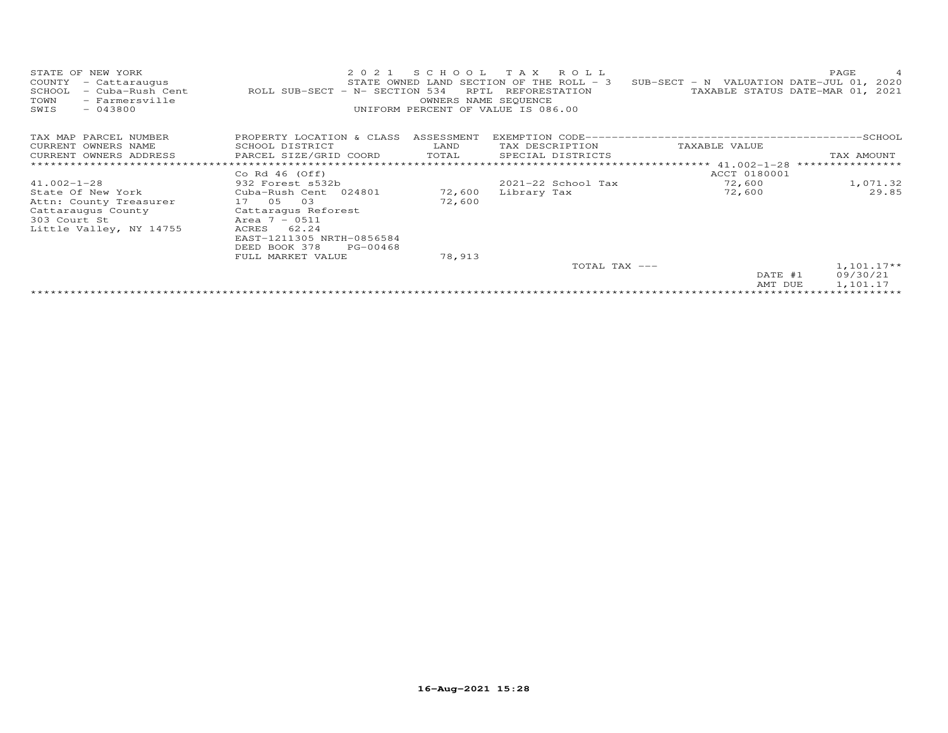| STATE OF NEW YORK<br>COUNTY<br>- Cattaraugus<br>SCHOOL<br>- Cuba-Rush Cent<br>TOWN<br>- Farmersville<br>SWIS<br>$-043800$ | 2021<br>ROLL SUB-SECT - N- SECTION 534 | S C H O O L<br>RPTL<br>OWNERS NAME SEQUENCE | T A X<br>R O L L<br>STATE OWNED LAND SECTION OF THE ROLL - 3<br>REFORESTATION<br>UNIFORM PERCENT OF VALUE IS 086.00 | SUB-SECT - N VALUATION DATE-JUL 01, 2020 | PAGE<br>$\overline{4}$<br>TAXABLE STATUS DATE-MAR 01, 2021 |
|---------------------------------------------------------------------------------------------------------------------------|----------------------------------------|---------------------------------------------|---------------------------------------------------------------------------------------------------------------------|------------------------------------------|------------------------------------------------------------|
| TAX MAP PARCEL NUMBER                                                                                                     | PROPERTY LOCATION & CLASS              | ASSESSMENT                                  |                                                                                                                     |                                          |                                                            |
| CURRENT OWNERS NAME                                                                                                       | SCHOOL DISTRICT                        | LAND                                        | TAX DESCRIPTION                                                                                                     | TAXABLE VALUE                            |                                                            |
| CURRENT OWNERS ADDRESS                                                                                                    | PARCEL SIZE/GRID COORD                 | TOTAL                                       | SPECIAL DISTRICTS                                                                                                   |                                          | TAX AMOUNT                                                 |
|                                                                                                                           |                                        |                                             |                                                                                                                     |                                          | ****************                                           |
|                                                                                                                           | Co Rd $46$ (Off)                       |                                             |                                                                                                                     | ACCT 0180001                             |                                                            |
| $41.002 - 1 - 28$                                                                                                         | 932 Forest s532b                       |                                             | 2021-22 School Tax                                                                                                  | 72,600                                   | 1,071.32                                                   |
| State Of New York                                                                                                         | Cuba-Rush Cent 024801                  | 72,600                                      | Library Tax                                                                                                         | 72,600                                   | 29.85                                                      |
| Attn: County Treasurer                                                                                                    | 17 05 03                               | 72,600                                      |                                                                                                                     |                                          |                                                            |
| Cattaraugus County                                                                                                        | Cattaraqus Reforest                    |                                             |                                                                                                                     |                                          |                                                            |
| 303 Court St                                                                                                              | Area $7 - 0511$                        |                                             |                                                                                                                     |                                          |                                                            |
| Little Valley, NY 14755                                                                                                   | ACRES<br>62.24                         |                                             |                                                                                                                     |                                          |                                                            |
|                                                                                                                           | EAST-1211305 NRTH-0856584              |                                             |                                                                                                                     |                                          |                                                            |
|                                                                                                                           | DEED BOOK 378<br>PG-00468              |                                             |                                                                                                                     |                                          |                                                            |
|                                                                                                                           | FULL MARKET VALUE                      | 78,913                                      | TOTAL TAX ---                                                                                                       |                                          | $1,101.17**$                                               |
|                                                                                                                           |                                        |                                             |                                                                                                                     | DATE #1                                  |                                                            |
|                                                                                                                           |                                        |                                             |                                                                                                                     | AMT DUE                                  | 09/30/21<br>1,101.17                                       |
|                                                                                                                           |                                        |                                             |                                                                                                                     |                                          |                                                            |
|                                                                                                                           |                                        |                                             |                                                                                                                     |                                          |                                                            |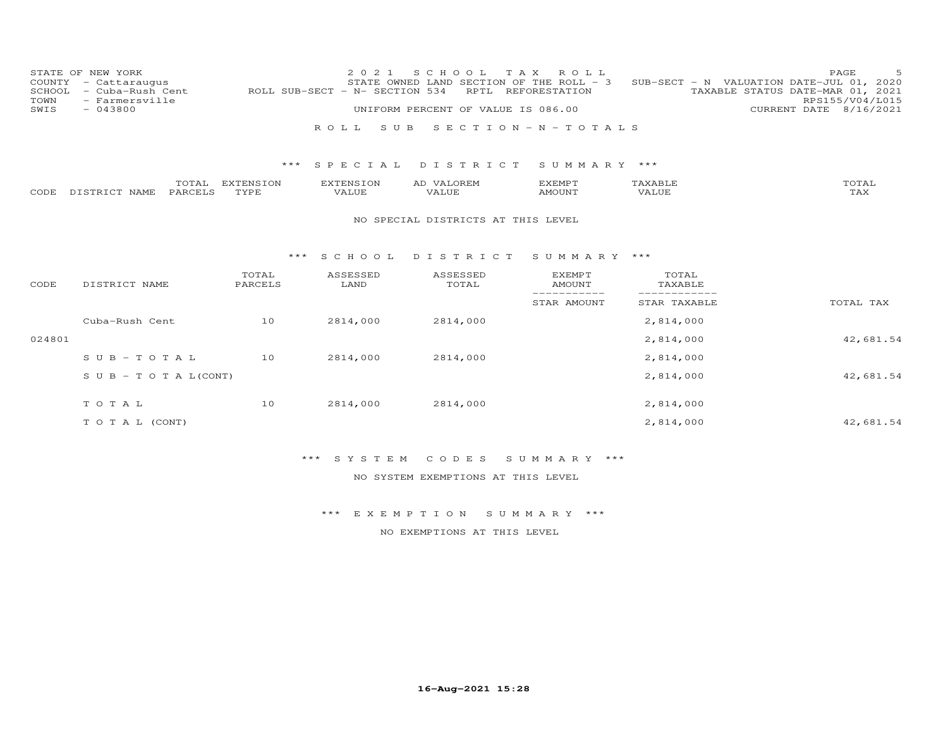| COUNTY<br>SCHOOL<br>TOWN | STATE OF NEW YORK<br>- Cattaraugus<br>- Cuba-Rush Cent<br>- Farmersville |                   | 2 0 2 1<br>ROLL SUB-SECT - N- SECTION 534 | S C H O O L<br>STATE OWNED LAND SECTION OF THE ROLL - 3<br>RPTL | T A X<br>ROLL<br>REFORESTATION |                  | 5<br>PAGE<br>SUB-SECT - N VALUATION DATE-JUL 01, 2020<br>TAXABLE STATUS DATE-MAR 01, 2021<br>RPS155/V04/L015 |
|--------------------------|--------------------------------------------------------------------------|-------------------|-------------------------------------------|-----------------------------------------------------------------|--------------------------------|------------------|--------------------------------------------------------------------------------------------------------------|
| SWIS                     | $-043800$                                                                |                   |                                           | UNIFORM PERCENT OF VALUE IS 086.00                              |                                |                  | CURRENT DATE 8/16/2021                                                                                       |
|                          |                                                                          |                   | ROLL<br>S U B                             |                                                                 | SECTION - $N - T$ OTALS        |                  |                                                                                                              |
|                          |                                                                          | ***               | SPECIAL                                   | DISTRICT                                                        | SUMMARY ***                    |                  |                                                                                                              |
| CODE                     | TOTAL<br>PARCELS<br>DISTRICT NAME                                        | EXTENSION<br>TYPE | <b>EXTENSION</b><br>VALUE                 | AD VALOREM<br>VALUE                                             | <b>EXEMPT</b><br>AMOUNT        | TAXABLE<br>VALUE | TOTAL<br>TAX                                                                                                 |
|                          |                                                                          |                   |                                           | NO SPECIAL DISTRICTS AT THIS LEVEL                              |                                |                  |                                                                                                              |
|                          |                                                                          | ***               | S C H O O L                               | DISTRICT                                                        | SUMMARY ***                    |                  |                                                                                                              |
| CODE                     | DISTRICT NAME                                                            | TOTAL<br>PARCELS  | ASSESSED<br>LAND                          | ASSESSED<br>TOTAL                                               | <b>EXEMPT</b><br>AMOUNT        | TOTAL<br>TAXABLE |                                                                                                              |
|                          |                                                                          |                   |                                           |                                                                 | ___________<br>STAR AMOUNT     | STAR TAXABLE     | TOTAL TAX                                                                                                    |
|                          | Cuba-Rush Cent                                                           | 10                | 2814,000                                  | 2814,000                                                        |                                | 2,814,000        |                                                                                                              |
| 024801                   |                                                                          |                   |                                           |                                                                 |                                | 2,814,000        | 42,681.54                                                                                                    |
|                          | $S \cup B - TO T A L$                                                    | 10                | 2814,000                                  | 2814,000                                                        |                                | 2,814,000        |                                                                                                              |
|                          | $S \cup B - T \cup T A L (CONT)$                                         |                   |                                           |                                                                 |                                | 2,814,000        | 42,681.54                                                                                                    |
|                          | TOTAL                                                                    | 10                | 2814,000                                  | 2814,000                                                        |                                | 2,814,000        |                                                                                                              |
|                          | T O T A L (CONT)                                                         |                   |                                           |                                                                 |                                | 2,814,000        | 42,681.54                                                                                                    |

## \*\*\* S Y S T E M C O D E S S U M M A R Y \*\*\*

NO SYSTEM EXEMPTIONS AT THIS LEVEL

\*\*\* E X E M P T I O N S U M M A R Y \*\*\*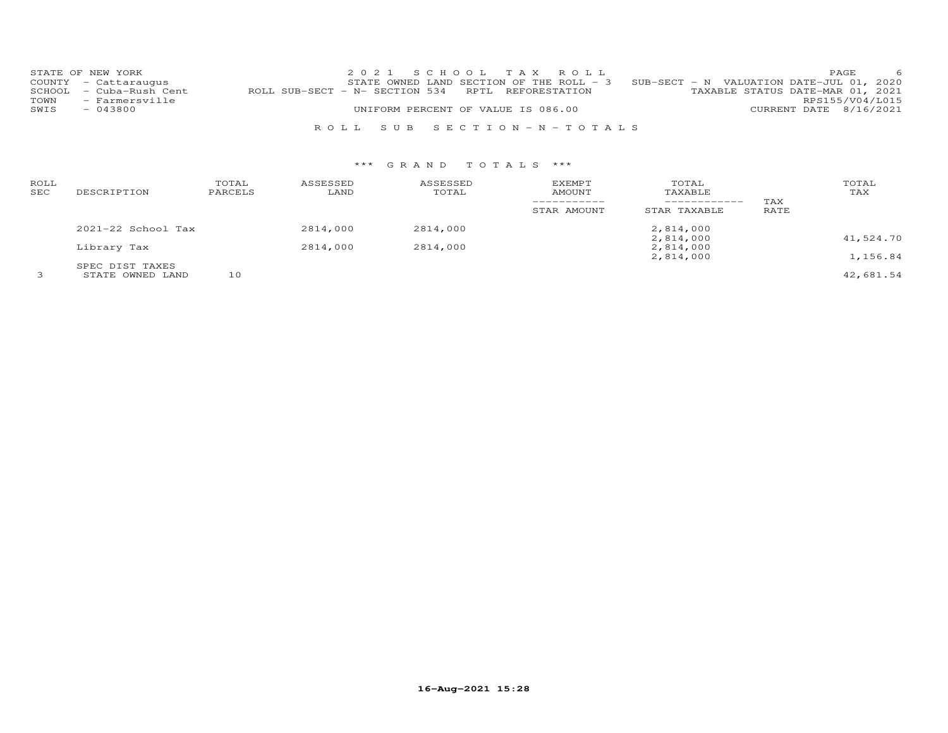|      | STATE OF NEW YORK       | 2021 SCHOOL TAX ROLL                                                                  | <b>PAGE</b>            | - 6             |
|------|-------------------------|---------------------------------------------------------------------------------------|------------------------|-----------------|
|      | COUNTY - Cattaraugus    | STATE OWNED LAND SECTION OF THE ROLL - $3$ SUB-SECT - N VALUATION DATE-JUL 01, 2020   |                        |                 |
|      | SCHOOL - Cuba-Rush Cent | TAXABLE STATUS DATE-MAR 01, 2021<br>ROLL SUB-SECT - N- SECTION 534 RPTL REFORESTATION |                        |                 |
| TOWN | - Farmersville          |                                                                                       |                        | RPS155/V04/L015 |
| SWIS | $-043800$               | UNIFORM PERCENT OF VALUE IS 086.00                                                    | CURRENT DATE 8/16/2021 |                 |
|      |                         |                                                                                       |                        |                 |
|      |                         | ROLL SUB SECTION-N-TOTALS                                                             |                        |                 |

| ROLL<br>SEC | DESCRIPTION                         | TOTAL<br>PARCELS | ASSESSED<br>LAND | ASSESSED<br>TOTAL | EXEMPT<br>AMOUNT<br>STAR AMOUNT | TOTAL<br>TAXABLE<br>STAR TAXABLE | TAX<br>RATE | TOTAL<br>TAX |
|-------------|-------------------------------------|------------------|------------------|-------------------|---------------------------------|----------------------------------|-------------|--------------|
|             | $2021 - 22$ School Tax              |                  | 2814,000         | 2814,000          |                                 | 2,814,000                        |             |              |
|             | Library Tax                         |                  | 2814,000         | 2814,000          |                                 | 2,814,000<br>2,814,000           |             | 41,524.70    |
|             |                                     |                  |                  |                   |                                 | 2,814,000                        |             | 1,156.84     |
|             | SPEC DIST TAXES<br>STATE OWNED LAND | 10               |                  |                   |                                 |                                  |             | 42,681.54    |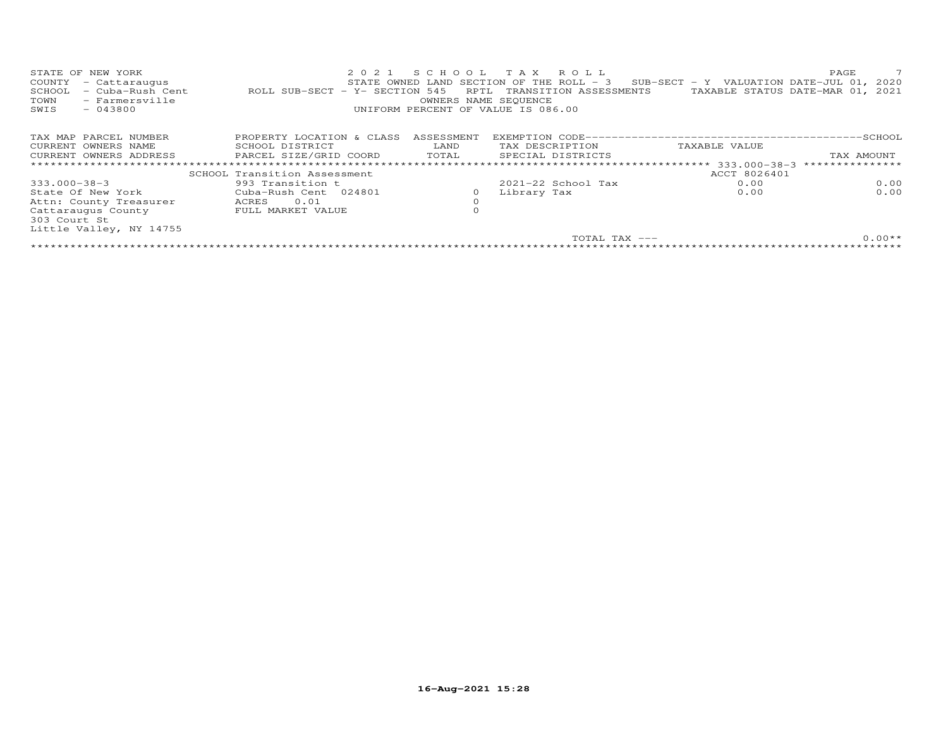| STATE OF NEW YORK<br>COUNTY<br>- Cattaraugus<br>- Cuba-Rush Cent<br>SCHOOL<br>- Farmersville<br>TOWN<br>$-043800$<br>SWIS | 2021<br>ROLL SUB-SECT - Y- SECTION 545 | SCHOOL<br>RPTL<br>OWNERS NAME SEQUENCE | TAX ROLL<br>STATE OWNED LAND SECTION OF THE ROLL - 3<br>TRANSITION ASSESSMENTS<br>UNIFORM PERCENT OF VALUE IS 086.00 | SUB-SECT - Y VALUATION DATE-JUL 01, 2020 | PAGE<br>TAXABLE STATUS DATE-MAR 01, 2021 |
|---------------------------------------------------------------------------------------------------------------------------|----------------------------------------|----------------------------------------|----------------------------------------------------------------------------------------------------------------------|------------------------------------------|------------------------------------------|
| TAX MAP PARCEL NUMBER                                                                                                     | PROPERTY LOCATION & CLASS              | ASSESSMENT                             |                                                                                                                      |                                          |                                          |
| CURRENT OWNERS NAME                                                                                                       | SCHOOL DISTRICT                        | LAND                                   | TAX DESCRIPTION                                                                                                      | TAXABLE VALUE                            |                                          |
| CURRENT OWNERS ADDRESS                                                                                                    | PARCEL SIZE/GRID COORD                 | TOTAL                                  | SPECIAL DISTRICTS                                                                                                    |                                          | TAX AMOUNT                               |
| **************************                                                                                                |                                        |                                        |                                                                                                                      |                                          |                                          |
|                                                                                                                           | SCHOOL Transition Assessment           |                                        |                                                                                                                      | ACCT 8026401                             |                                          |
| 333.000-38-3                                                                                                              | 993 Transition t                       |                                        | $2021 - 22$ School Tax                                                                                               | 0.00                                     | 0.00                                     |
| State Of New York                                                                                                         | Cuba-Rush Cent 024801                  | 0                                      | Library Tax                                                                                                          | 0.00                                     | 0.00                                     |
| Attn: County Treasurer                                                                                                    | 0.01<br>ACRES                          | $\circ$                                |                                                                                                                      |                                          |                                          |
| Cattaraugus County                                                                                                        | FULL MARKET VALUE                      |                                        |                                                                                                                      |                                          |                                          |
| 303 Court St                                                                                                              |                                        |                                        |                                                                                                                      |                                          |                                          |
| Little Valley, NY 14755                                                                                                   |                                        |                                        |                                                                                                                      |                                          |                                          |
|                                                                                                                           |                                        |                                        |                                                                                                                      | TOTAL TAX ---                            | $0.00**$                                 |
|                                                                                                                           |                                        |                                        |                                                                                                                      |                                          |                                          |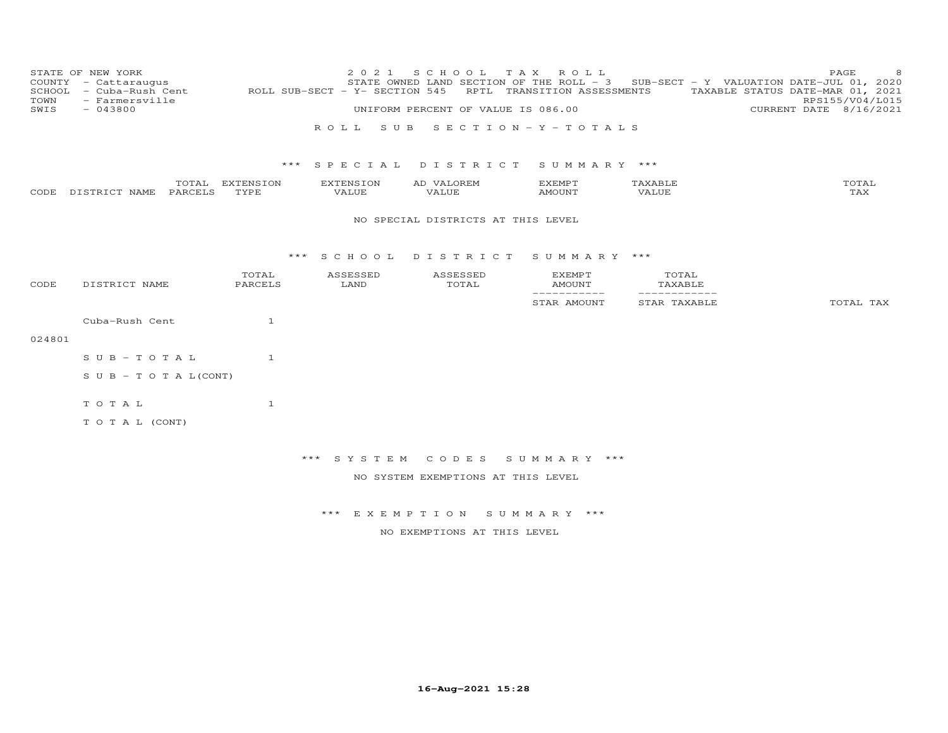| TOWN<br>SWIS | STATE OF NEW YORK<br>COUNTY - Cattaraugus<br>SCHOOL - Cuba-Rush Cent<br>- Farmersville<br>$-043800$ |                         | 2 0 2 1<br>ROLL SUB-SECT - Y- SECTION 545<br>ROLL SUB | S C H O O L<br>T A X<br>STATE OWNED LAND SECTION OF THE ROLL - 3<br>UNIFORM PERCENT OF VALUE IS 086.00 | ROLL<br>RPTL TRANSITION ASSESSMENTS<br>$S E C T I O N - Y - T O T A L S$ |                              | PAGE<br>8<br>SUB-SECT - Y VALUATION DATE-JUL 01, 2020<br>TAXABLE STATUS DATE-MAR 01, 2021<br>RPS155/V04/L015<br>CURRENT DATE 8/16/2021 |
|--------------|-----------------------------------------------------------------------------------------------------|-------------------------|-------------------------------------------------------|--------------------------------------------------------------------------------------------------------|--------------------------------------------------------------------------|------------------------------|----------------------------------------------------------------------------------------------------------------------------------------|
|              |                                                                                                     |                         |                                                       | *** SPECIAL DISTRICT SUMMARY ***                                                                       |                                                                          |                              |                                                                                                                                        |
|              | CODE DISTRICT NAME<br>PARCELS                                                                       | TOTAL EXTENSION<br>TYPE | EXTENSION<br>VALUE                                    | AD VALOREM<br>VALUE                                                                                    | <b>EXEMPT</b><br><b>AMOUNT</b>                                           | TAXABLE<br>VALUE             | TOTAL<br>TAX                                                                                                                           |
|              |                                                                                                     |                         |                                                       | NO SPECIAL DISTRICTS AT THIS LEVEL                                                                     |                                                                          |                              |                                                                                                                                        |
|              |                                                                                                     |                         | *** SCHOOL                                            | DISTRICT SUMMARY ***                                                                                   |                                                                          |                              |                                                                                                                                        |
| CODE         | DISTRICT NAME                                                                                       | TOTAL<br>PARCELS        | ASSESSED<br>LAND                                      | ASSESSED<br>TOTAL                                                                                      | EXEMPT<br><b>AMOUNT</b>                                                  | TOTAL<br>TAXABLE             |                                                                                                                                        |
|              |                                                                                                     |                         |                                                       |                                                                                                        | ------------<br>STAR AMOUNT                                              | ------------<br>STAR TAXABLE | TOTAL TAX                                                                                                                              |
|              | Cuba-Rush Cent                                                                                      | 1                       |                                                       |                                                                                                        |                                                                          |                              |                                                                                                                                        |
| 024801       |                                                                                                     |                         |                                                       |                                                                                                        |                                                                          |                              |                                                                                                                                        |
|              | $S \cup B - T \cup T A L$                                                                           | $\mathbf{1}$            |                                                       |                                                                                                        |                                                                          |                              |                                                                                                                                        |
|              | S U B - T O T A $L$ (CONT)                                                                          |                         |                                                       |                                                                                                        |                                                                          |                              |                                                                                                                                        |
|              | TOTAL                                                                                               | $\mathbf{1}$            |                                                       |                                                                                                        |                                                                          |                              |                                                                                                                                        |
|              | TO TAL (CONT)                                                                                       |                         |                                                       |                                                                                                        |                                                                          |                              |                                                                                                                                        |
|              |                                                                                                     |                         | *** SYSTEM                                            | CODES                                                                                                  | SUMMARY ***                                                              |                              |                                                                                                                                        |
|              |                                                                                                     |                         |                                                       | NO SYSTEM EXEMPTIONS AT THIS LEVEL                                                                     |                                                                          |                              |                                                                                                                                        |
|              |                                                                                                     |                         |                                                       |                                                                                                        |                                                                          |                              |                                                                                                                                        |
|              |                                                                                                     |                         |                                                       | *** EXEMPTION SUMMARY ***                                                                              |                                                                          |                              |                                                                                                                                        |
|              |                                                                                                     |                         |                                                       | NO EXEMPTIONS AT THIS LEVEL                                                                            |                                                                          |                              |                                                                                                                                        |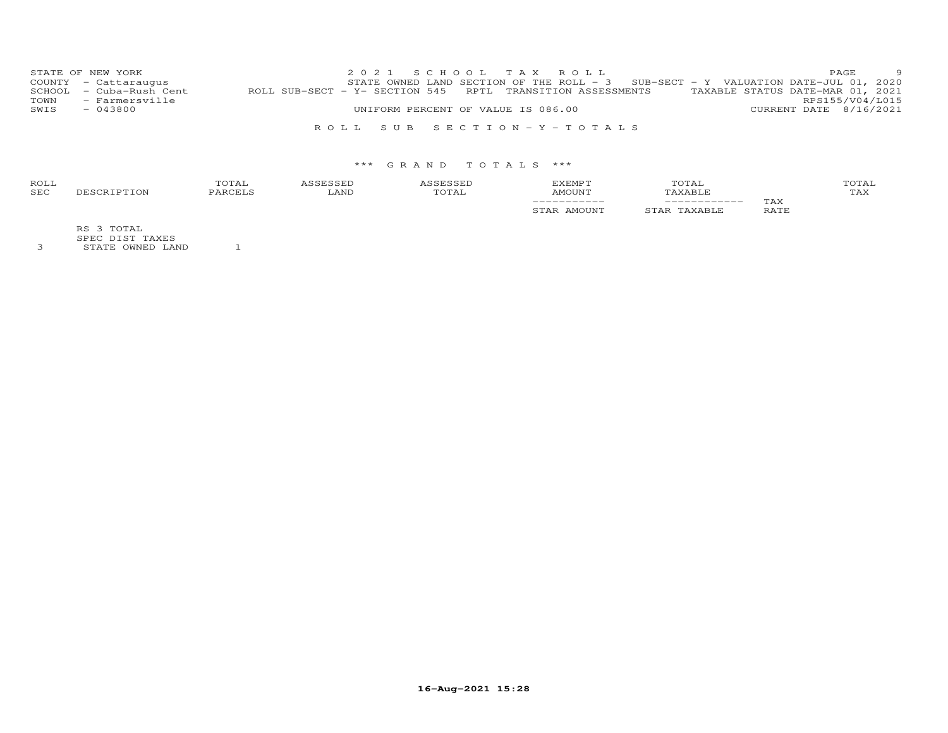|      | STATE OF NEW YORK       |                                                                                             | 2021 SCHOOL TAX ROLL                                                              |  |  |  |                        | <b>PAGE</b> | $\overline{9}$ |
|------|-------------------------|---------------------------------------------------------------------------------------------|-----------------------------------------------------------------------------------|--|--|--|------------------------|-------------|----------------|
|      | COUNTY - Cattaraugus    |                                                                                             | STATE OWNED LAND SECTION OF THE ROLL - 3 SUB-SECT - Y VALUATION DATE-JUL 01, 2020 |  |  |  |                        |             |                |
|      | SCHOOL - Cuba-Rush Cent | ROLL SUB-SECT - Y- SECTION 545 RPTL TRANSITION ASSESSMENTS TAXABLE STATUS DATE-MAR 01, 2021 |                                                                                   |  |  |  |                        |             |                |
|      | TOWN - Farmersville     |                                                                                             |                                                                                   |  |  |  | RPS155/V04/L015        |             |                |
| SWIS | $-043800$               |                                                                                             | UNIFORM PERCENT OF VALUE IS 086.00                                                |  |  |  | CURRENT DATE 8/16/2021 |             |                |
|      |                         |                                                                                             |                                                                                   |  |  |  |                        |             |                |
|      |                         |                                                                                             | ROLL SUB SECTION-Y-TOTALS                                                         |  |  |  |                        |             |                |

| ROLI<br><b>SEC</b> | $\perp$ A | <b>AND</b> | AMOUNT  | ' LA L |             | OTAL<br>TAX |
|--------------------|-----------|------------|---------|--------|-------------|-------------|
|                    |           |            | $- - -$ |        | TAX<br>∍∆⊤ҕ |             |

RS 3 TOTAL

SPEC DIST TAXES 3 STATE OWNED LAND 1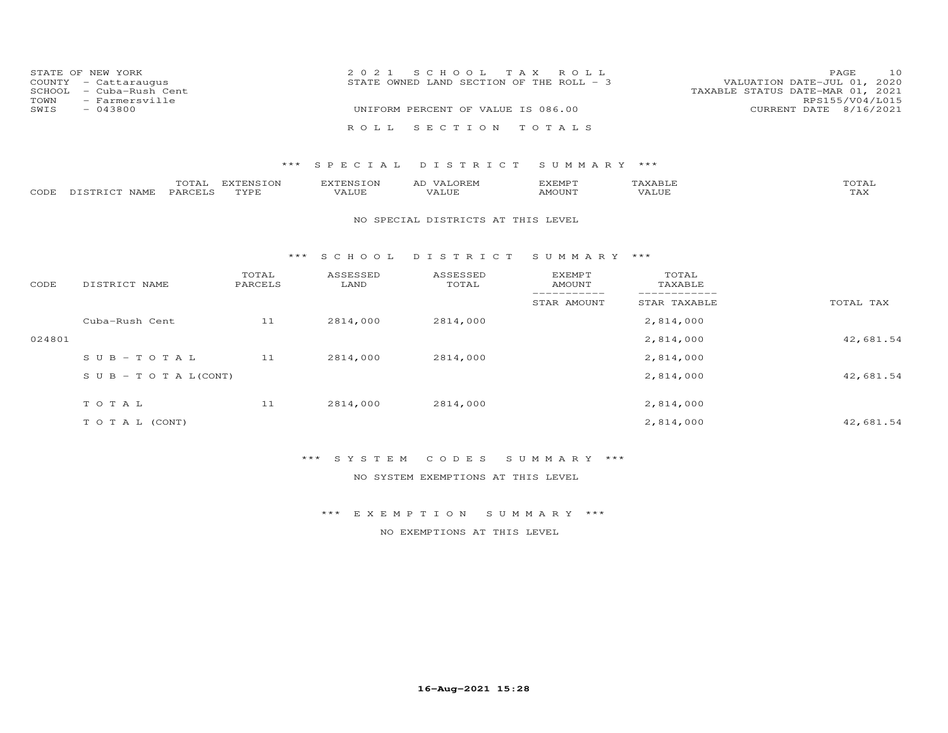|      | STATE OF NEW YORK       | 2021 SCHOOL TAX ROLL                                                      | <b>PAGE</b> | 10                     |
|------|-------------------------|---------------------------------------------------------------------------|-------------|------------------------|
|      | COUNTY - Cattaraugus    | VALUATION DATE-JUL 01, 2020<br>STATE OWNED LAND SECTION OF THE ROLL $-$ 3 |             |                        |
|      | SCHOOL - Cuba-Rush Cent | TAXABLE STATUS DATE-MAR 01, 2021                                          |             |                        |
| TOWN | - Farmersville          |                                                                           |             | RPS155/V04/L015        |
| SWIS | $-043800$               | UNIFORM PERCENT OF VALUE IS 086.00                                        |             | CURRENT DATE 8/16/2021 |
|      |                         |                                                                           |             |                        |
|      |                         | ROLL SECTION TOTALS                                                       |             |                        |

|                    | TOTAL   | EXTENSION | EXTENSION | VALOREM<br>AD | EXEMPT | <b><i>FAXABIJ</i></b> | , , <del>, ,</del> ,<br>UTAL |
|--------------------|---------|-----------|-----------|---------------|--------|-----------------------|------------------------------|
| CODE DISTRICT NAME | PARCELS | TYPE      | VALUE     | VALUE         | AMOUN" | VALUE                 | $m \times r$<br>1 A.X        |

#### NO SPECIAL DISTRICTS AT THIS LEVEL

#### \*\*\* S C H O O L D I S T R I C T S U M M A R Y \*\*\*

| CODE   | DISTRICT NAME                    | TOTAL<br>PARCELS | ASSESSED<br>LAND | ASSESSED<br>TOTAL | <b>EXEMPT</b><br>AMOUNT | TOTAL<br>TAXABLE |           |
|--------|----------------------------------|------------------|------------------|-------------------|-------------------------|------------------|-----------|
|        |                                  |                  |                  |                   | STAR AMOUNT             | STAR TAXABLE     | TOTAL TAX |
|        | Cuba-Rush Cent                   | 11               | 2814,000         | 2814,000          |                         | 2,814,000        |           |
| 024801 |                                  |                  |                  |                   |                         | 2,814,000        | 42,681.54 |
|        | $SUB - TO T AL$                  | 11               | 2814,000         | 2814,000          |                         | 2,814,000        |           |
|        | $S \cup B - T \cup T A L (CONT)$ |                  |                  |                   |                         | 2,814,000        | 42,681.54 |
|        | TOTAL                            | 11               | 2814,000         | 2814,000          |                         | 2,814,000        |           |
|        | T O T A L (CONT)                 |                  |                  |                   |                         | 2,814,000        | 42,681.54 |

## \*\*\* S Y S T E M C O D E S S U M M A R Y \*\*\*

NO SYSTEM EXEMPTIONS AT THIS LEVEL

\*\*\* E X E M P T I O N S U M M A R Y \*\*\*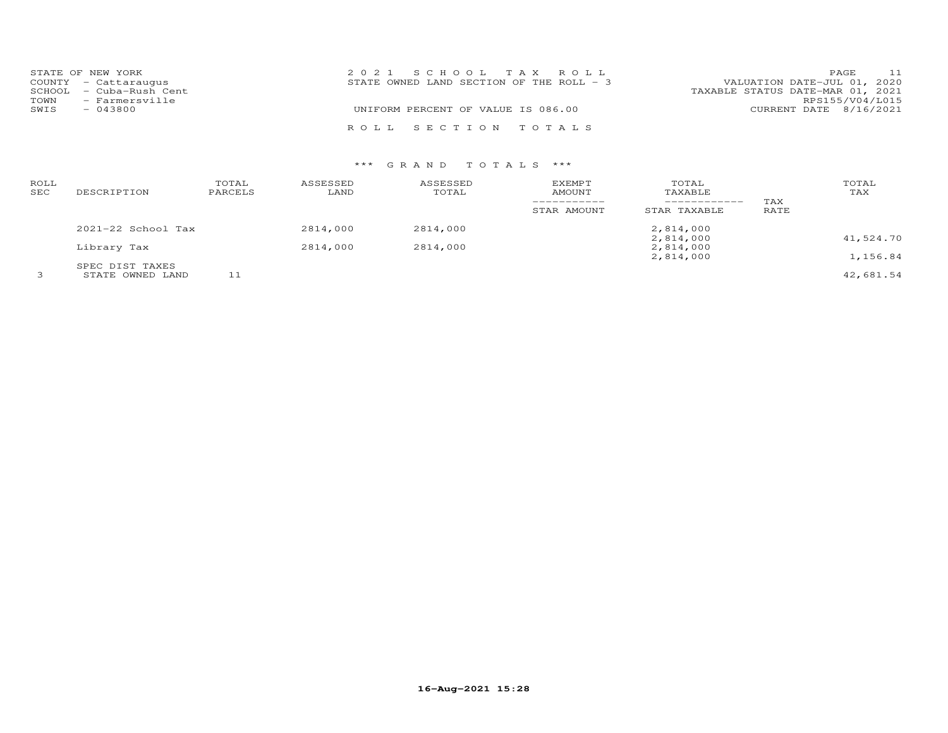|      | STATE OF NEW YORK       | 2021 SCHOOL TAX ROLL                                                      | PAGE            | 11 |
|------|-------------------------|---------------------------------------------------------------------------|-----------------|----|
|      | COUNTY - Cattaraugus    | VALUATION DATE-JUL 01, 2020<br>STATE OWNED LAND SECTION OF THE ROLL $-$ 3 |                 |    |
|      | SCHOOL - Cuba-Rush Cent | TAXABLE STATUS DATE-MAR 01, 2021                                          |                 |    |
| TOWN | - Farmersville          |                                                                           | RPS155/V04/L015 |    |
| SWIS | $-043800$               | UNIFORM PERCENT OF VALUE IS 086.00<br>CURRENT DATE 8/16/2021              |                 |    |
|      |                         | ROLL SECTION TOTALS                                                       |                 |    |

| ROLL<br>SEC | DESCRIPTION                         | TOTAL<br>PARCELS | ASSESSED<br>LAND | ASSESSED<br>TOTAL | <b>EXEMPT</b><br>AMOUNT<br>-----------<br>STAR AMOUNT | TOTAL<br>TAXABLE<br>------------<br>STAR TAXABLE | TAX<br>RATE | TOTAL<br>TAX |
|-------------|-------------------------------------|------------------|------------------|-------------------|-------------------------------------------------------|--------------------------------------------------|-------------|--------------|
|             | $2021 - 22$ School Tax              |                  | 2814,000         | 2814,000          |                                                       | 2,814,000                                        |             |              |
|             | Library Tax                         |                  | 2814,000         | 2814,000          |                                                       | 2,814,000<br>2,814,000                           |             | 41,524.70    |
|             |                                     |                  |                  |                   |                                                       | 2,814,000                                        |             | 1,156.84     |
|             | SPEC DIST TAXES<br>STATE OWNED LAND |                  |                  |                   |                                                       |                                                  |             | 42,681.54    |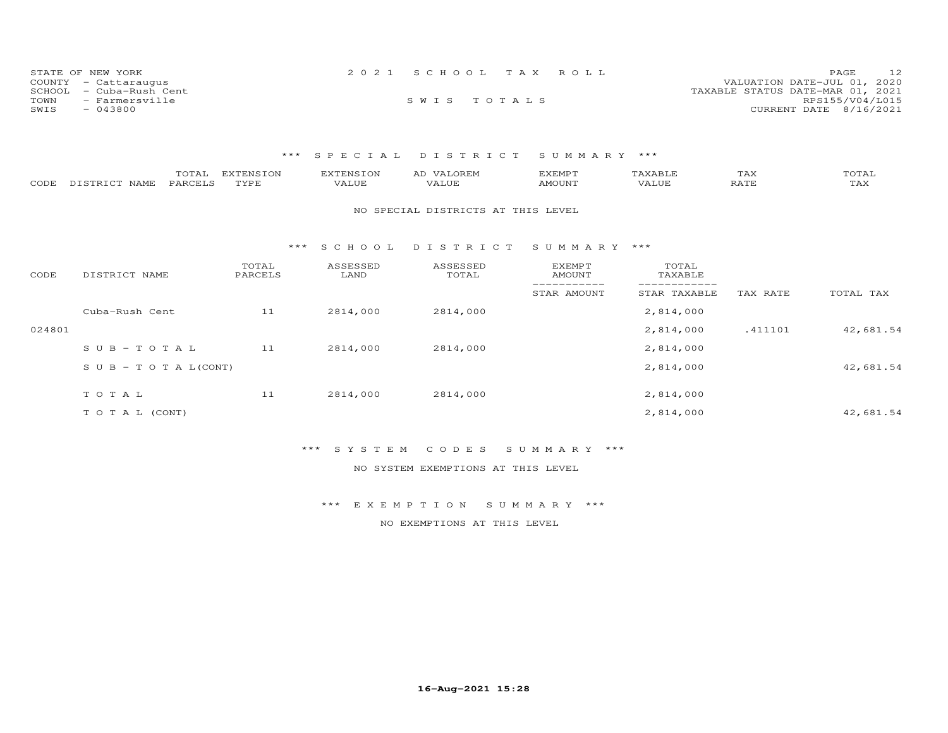| STATE OF NEW YORK        | 2021 SCHOOL TAX ROLL | 12<br><b>PAGE</b>                |
|--------------------------|----------------------|----------------------------------|
| COUNTY - Cattaraugus     |                      | VALUATION DATE-JUL 01, 2020      |
| SCHOOL  – Cuba-Rush Cent |                      | TAXABLE STATUS DATE-MAR 01, 2021 |
| - Farmersville<br>TOWN   | SWIS TOTALS          | RPS155/V04/L015                  |
| SWIS<br>$-043800$        |                      | CURRENT DATE 8/16/2021           |

| CODE   | TOTAL<br>DISTRICT NAME<br>PARCELS | <b>EXTENSION</b><br>TYPE | <b>EXTENSION</b><br>VALUE | AD VALOREM<br>VALUE                | <b>EXEMPT</b><br><b>AMOUNT</b> | TAXABLE<br>VALUE | TAX<br>RATE | TOTAL<br>TAX |
|--------|-----------------------------------|--------------------------|---------------------------|------------------------------------|--------------------------------|------------------|-------------|--------------|
|        |                                   |                          |                           | NO SPECIAL DISTRICTS AT THIS LEVEL |                                |                  |             |              |
|        |                                   | ***                      | S C H O O L               | DISTRICT                           | SUMMARY                        | ***              |             |              |
| CODE   | DISTRICT NAME                     | TOTAL<br>PARCELS         | ASSESSED<br>LAND          | ASSESSED<br>TOTAL                  | EXEMPT<br>AMOUNT               | TOTAL<br>TAXABLE |             |              |
|        |                                   |                          |                           |                                    | STAR AMOUNT                    | STAR TAXABLE     | TAX RATE    | TOTAL TAX    |
|        | Cuba-Rush Cent                    | 11                       | 2814,000                  | 2814,000                           |                                | 2,814,000        |             |              |
| 024801 |                                   |                          |                           |                                    |                                | 2,814,000        | .411101     | 42,681.54    |
|        | $SUB - TO T AL$                   | 11                       | 2814,000                  | 2814,000                           |                                | 2,814,000        |             |              |
|        | S U B - T O T A $L$ (CONT)        |                          |                           |                                    |                                | 2,814,000        |             | 42,681.54    |
|        | TOTAL                             | 11                       | 2814,000                  | 2814,000                           |                                | 2,814,000        |             |              |
|        | TO TAL (CONT)                     |                          |                           |                                    |                                | 2,814,000        |             | 42,681.54    |

### \*\*\* S Y S T E M C O D E S S U M M A R Y \*\*\*

NO SYSTEM EXEMPTIONS AT THIS LEVEL

### \*\*\* E X E M P T I O N S U M M A R Y \*\*\*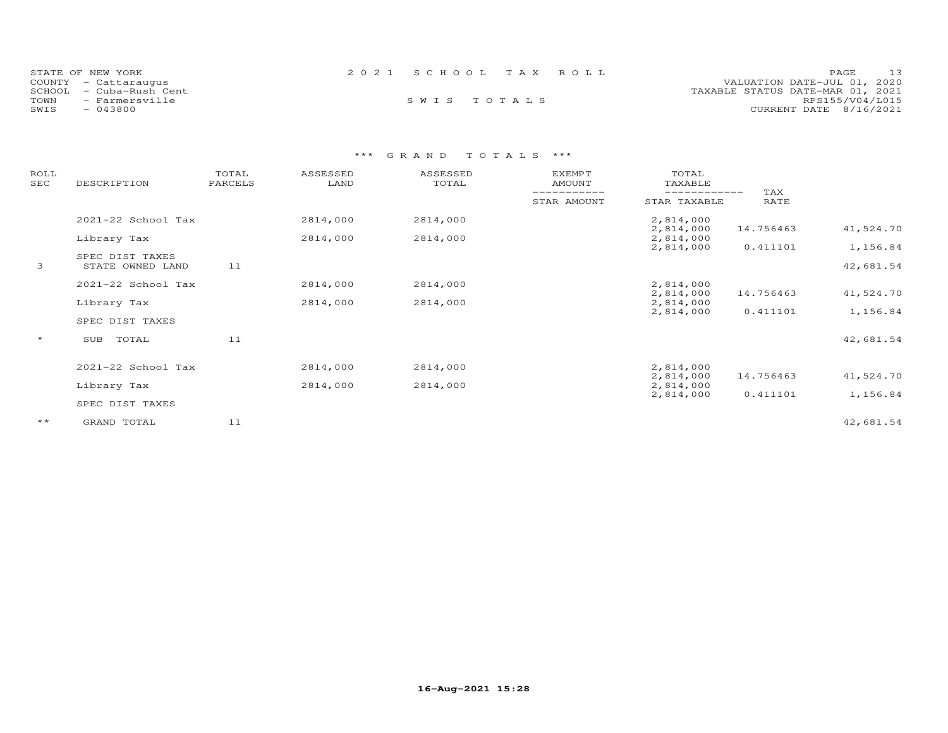| STATE OF NEW YORK<br>COUNTY - Cattaraugus<br>- Cuba-Rush Cent<br>SCHOOL<br>TOWN<br>- Farmersville | 2021 SCHOOL TAX ROLL<br>SWIS TOTALS | 13<br>PAGE<br>VALUATION DATE-JUL 01, 2020<br>TAXABLE STATUS DATE-MAR 01, 2021<br>RPS155/V04/L015 |
|---------------------------------------------------------------------------------------------------|-------------------------------------|--------------------------------------------------------------------------------------------------|
| SWIS<br>$-043800$                                                                                 |                                     | CURRENT DATE 8/16/2021                                                                           |

| ROLL<br>SEC  | DESCRIPTION        | TOTAL<br>PARCELS | ASSESSED<br>LAND | ASSESSED<br>TOTAL | <b>EXEMPT</b><br><b>AMOUNT</b> | TOTAL<br>TAXABLE           |             |           |
|--------------|--------------------|------------------|------------------|-------------------|--------------------------------|----------------------------|-------------|-----------|
|              |                    |                  |                  |                   | STAR AMOUNT                    | ----------<br>STAR TAXABLE | TAX<br>RATE |           |
|              | 2021-22 School Tax |                  | 2814,000         | 2814,000          |                                | 2,814,000                  |             |           |
|              | Library Tax        |                  | 2814,000         | 2814,000          |                                | 2,814,000<br>2,814,000     | 14.756463   | 41,524.70 |
|              | SPEC DIST TAXES    |                  |                  |                   |                                | 2,814,000                  | 0.411101    | 1,156.84  |
| 3            | STATE OWNED LAND   | 11               |                  |                   |                                |                            |             | 42,681.54 |
|              | 2021-22 School Tax |                  | 2814,000         | 2814,000          |                                | 2,814,000                  |             |           |
|              | Library Tax        |                  | 2814,000         | 2814,000          |                                | 2,814,000<br>2,814,000     | 14.756463   | 41,524.70 |
|              | SPEC DIST TAXES    |                  |                  |                   |                                | 2,814,000                  | 0.411101    | 1,156.84  |
| $\star$      | SUB<br>TOTAL       | 11               |                  |                   |                                |                            |             | 42,681.54 |
|              |                    |                  |                  |                   |                                |                            |             |           |
|              | 2021-22 School Tax |                  | 2814,000         | 2814,000          |                                | 2,814,000                  |             |           |
|              | Library Tax        |                  | 2814,000         | 2814,000          |                                | 2,814,000<br>2,814,000     | 14.756463   | 41,524.70 |
|              |                    |                  |                  |                   |                                | 2,814,000                  | 0.411101    | 1,156.84  |
|              | SPEC DIST TAXES    |                  |                  |                   |                                |                            |             |           |
| $\star\star$ | GRAND TOTAL        | 11               |                  |                   |                                |                            |             | 42,681.54 |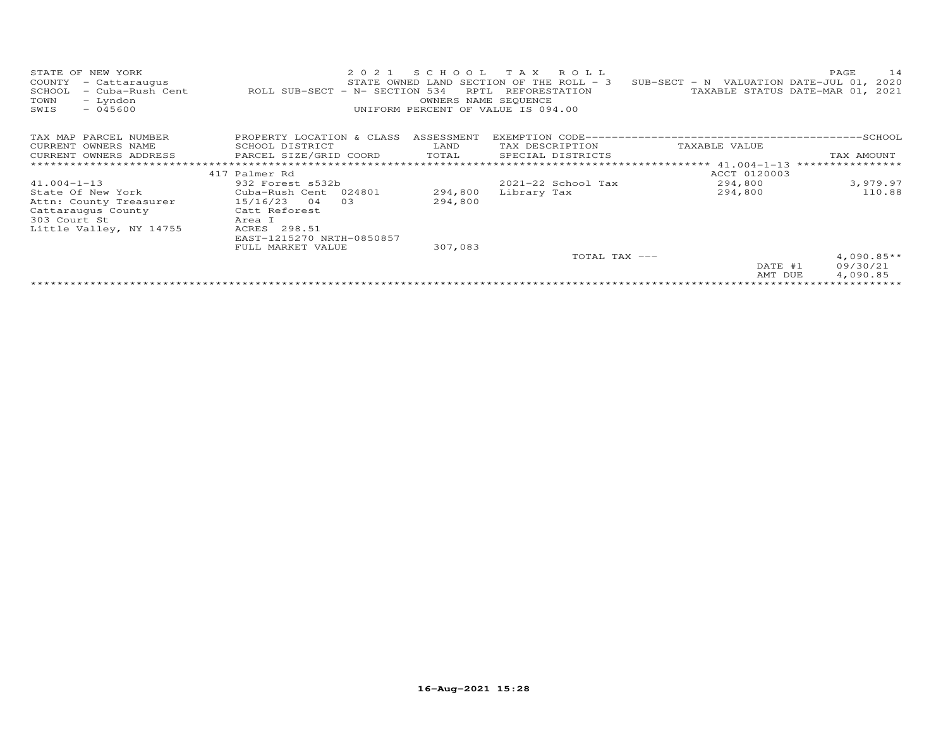| STATE OF NEW YORK<br>COUNTY<br>- Cattaraugus<br>- Cuba-Rush Cent<br>SCHOOL<br>- Lyndon<br>TOWN<br>SWIS<br>$-045600$ | 2021<br>ROLL SUB-SECT - N- SECTION 534 | SCHOOL<br>RPTL<br>OWNERS NAME SEQUENCE | TAX ROLL<br>STATE OWNED LAND SECTION OF THE ROLL - 3<br>REFORESTATION<br>UNIFORM PERCENT OF VALUE IS 094.00 | SUB-SECT - N VALUATION DATE-JUL 01, | 14<br>PAGE<br>2020<br>TAXABLE STATUS DATE-MAR 01, 2021 |
|---------------------------------------------------------------------------------------------------------------------|----------------------------------------|----------------------------------------|-------------------------------------------------------------------------------------------------------------|-------------------------------------|--------------------------------------------------------|
| TAX MAP PARCEL NUMBER                                                                                               | PROPERTY LOCATION & CLASS              | ASSESSMENT                             |                                                                                                             |                                     |                                                        |
| CURRENT OWNERS NAME                                                                                                 | SCHOOL DISTRICT                        | LAND                                   | TAX DESCRIPTION                                                                                             | TAXABLE VALUE                       |                                                        |
| CURRENT OWNERS ADDRESS                                                                                              | PARCEL SIZE/GRID COORD                 | TOTAL                                  | SPECIAL DISTRICTS                                                                                           |                                     | TAX AMOUNT                                             |
|                                                                                                                     |                                        |                                        |                                                                                                             | ***************** 41.004-1-13       |                                                        |
|                                                                                                                     | 417 Palmer Rd                          |                                        |                                                                                                             | ACCT 0120003                        |                                                        |
| $41.004 - 1 - 13$                                                                                                   | 932 Forest s532b                       |                                        | 2021-22 School Tax                                                                                          | 294,800                             | 3,979.97                                               |
| State Of New York                                                                                                   | Cuba-Rush Cent 024801                  | 294,800                                | Library Tax                                                                                                 | 294,800                             | 110.88                                                 |
| Attn: County Treasurer                                                                                              | 15/16/23<br>03<br>04                   | 294,800                                |                                                                                                             |                                     |                                                        |
| Cattaraugus County                                                                                                  | Catt Reforest                          |                                        |                                                                                                             |                                     |                                                        |
| 303 Court St                                                                                                        | Area I                                 |                                        |                                                                                                             |                                     |                                                        |
| Little Valley, NY 14755                                                                                             | ACRES 298.51                           |                                        |                                                                                                             |                                     |                                                        |
|                                                                                                                     | EAST-1215270 NRTH-0850857              |                                        |                                                                                                             |                                     |                                                        |
|                                                                                                                     | FULL MARKET VALUE                      | 307,083                                |                                                                                                             |                                     |                                                        |
|                                                                                                                     |                                        |                                        | TOTAL TAX ---                                                                                               |                                     | $4,090.85**$                                           |
|                                                                                                                     |                                        |                                        |                                                                                                             | DATE #1                             | 09/30/21                                               |
|                                                                                                                     |                                        |                                        |                                                                                                             | AMT DUE                             | 4,090.85                                               |
|                                                                                                                     |                                        |                                        |                                                                                                             |                                     |                                                        |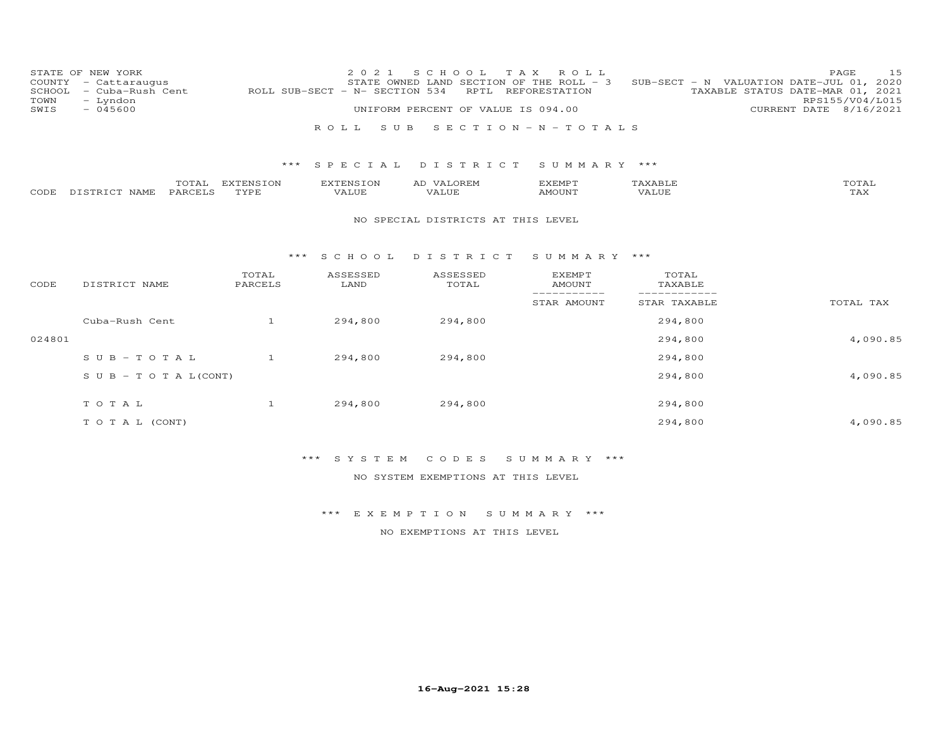| COUNTY<br>SCHOOL<br>TOWN | STATE OF NEW YORK<br>- Cattaraugus<br>- Cuba-Rush Cent<br>- Lyndon |                   | 2 0 2 1<br>ROLL SUB-SECT - N- SECTION 534 | S C H O O L<br>STATE OWNED LAND SECTION OF THE ROLL - 3<br>RPTL | T A X<br>ROLL<br>REFORESTATION                 |                  | 15<br>PAGE<br>SUB-SECT - N VALUATION DATE-JUL 01, 2020<br>TAXABLE STATUS DATE-MAR 01, 2021<br>RPS155/V04/L015 |
|--------------------------|--------------------------------------------------------------------|-------------------|-------------------------------------------|-----------------------------------------------------------------|------------------------------------------------|------------------|---------------------------------------------------------------------------------------------------------------|
| SWIS                     | $-045600$                                                          |                   |                                           | UNIFORM PERCENT OF VALUE IS 094.00                              |                                                |                  | CURRENT DATE 8/16/2021                                                                                        |
|                          |                                                                    |                   | ROLL<br>S U B                             |                                                                 | SECTION - $N - T$ OTALS                        |                  |                                                                                                               |
|                          |                                                                    | ***               | SPECIAL                                   | DISTRICT                                                        | SUMMARY ***                                    |                  |                                                                                                               |
| CODE                     | TOTAL<br>PARCELS<br>DISTRICT NAME                                  | EXTENSION<br>TYPE | <b>EXTENSION</b><br>VALUE                 | AD VALOREM<br>VALUE                                             | <b>EXEMPT</b><br><b>AMOUNT</b>                 | TAXABLE<br>VALUE | TOTAL<br>TAX                                                                                                  |
|                          |                                                                    |                   |                                           | NO SPECIAL DISTRICTS AT THIS LEVEL                              |                                                |                  |                                                                                                               |
|                          |                                                                    | ***               | S C H O O L                               | DISTRICT                                                        | SUMMARY ***                                    |                  |                                                                                                               |
| CODE                     | DISTRICT NAME                                                      | TOTAL<br>PARCELS  | ASSESSED<br>LAND                          | ASSESSED<br>TOTAL                                               | <b>EXEMPT</b><br><b>AMOUNT</b><br>------------ | TOTAL<br>TAXABLE |                                                                                                               |
|                          |                                                                    |                   |                                           |                                                                 | STAR AMOUNT                                    | STAR TAXABLE     | TOTAL TAX                                                                                                     |
|                          | Cuba-Rush Cent                                                     | $\overline{1}$    | 294,800                                   | 294,800                                                         |                                                | 294,800          |                                                                                                               |
| 024801                   |                                                                    |                   |                                           |                                                                 |                                                | 294,800          | 4,090.85                                                                                                      |
|                          | $S \cup B - TO T A L$                                              | $\mathbf{1}$      | 294,800                                   | 294,800                                                         |                                                | 294,800          |                                                                                                               |
|                          | $S \cup B - T \cup T A L (CONT)$                                   |                   |                                           |                                                                 |                                                | 294,800          | 4,090.85                                                                                                      |
|                          | TOTAL                                                              | $\mathbf{1}$      | 294,800                                   | 294,800                                                         |                                                | 294,800          |                                                                                                               |
|                          | TO TAL (CONT)                                                      |                   |                                           |                                                                 |                                                | 294,800          | 4,090.85                                                                                                      |

\*\*\* S Y S T E M C O D E S S U M M A R Y \*\*\*

NO SYSTEM EXEMPTIONS AT THIS LEVEL

\*\*\* E X E M P T I O N S U M M A R Y \*\*\*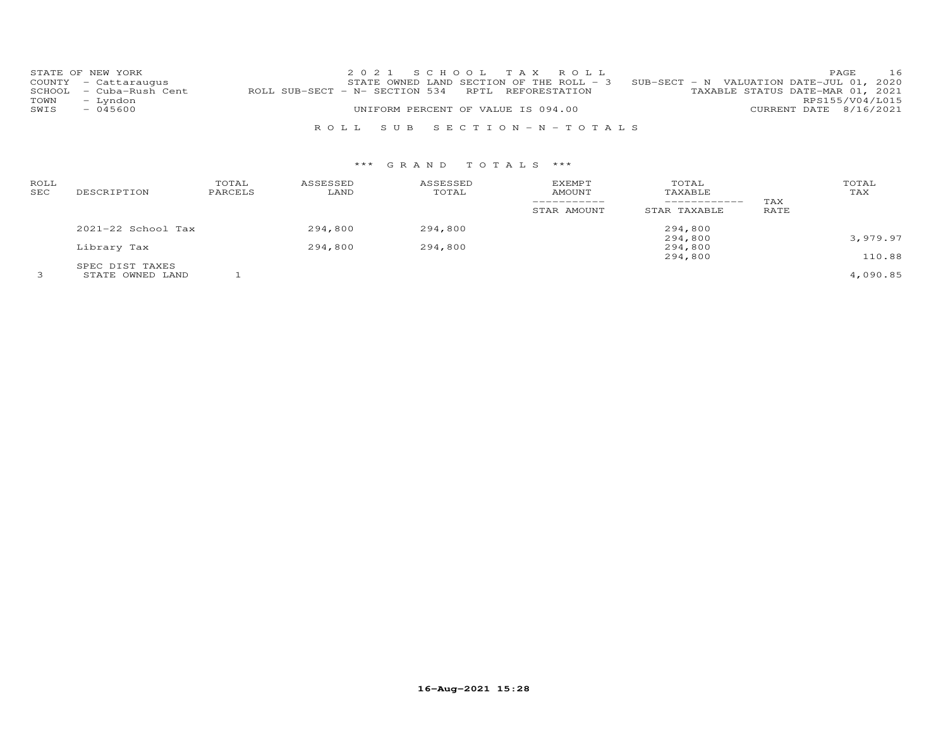|      | STATE OF NEW YORK       |                                                   |                                    | 2021 SCHOOL TAX ROLL      |                                                                                     | PAGE                   | 16 |
|------|-------------------------|---------------------------------------------------|------------------------------------|---------------------------|-------------------------------------------------------------------------------------|------------------------|----|
|      | COUNTY - Cattaraugus    |                                                   |                                    |                           | STATE OWNED LAND SECTION OF THE ROLL - $3$ SUB-SECT - N VALUATION DATE-JUL 01, 2020 |                        |    |
|      | SCHOOL - Cuba-Rush Cent | ROLL SUB-SECT - N- SECTION 534 RPTL REFORESTATION |                                    |                           | TAXABLE STATUS DATE-MAR 01, 2021                                                    |                        |    |
| TOWN | – Lyndon                |                                                   |                                    |                           |                                                                                     | RPS155/V04/L015        |    |
| SWIS | $-045600$               |                                                   | UNIFORM PERCENT OF VALUE IS 094.00 |                           |                                                                                     | CURRENT DATE 8/16/2021 |    |
|      |                         |                                                   |                                    |                           |                                                                                     |                        |    |
|      |                         |                                                   |                                    | ROLL SUB SECTION-N-TOTALS |                                                                                     |                        |    |

| ROLL<br>SEC | DESCRIPTION            | TOTAL<br>PARCELS | ASSESSED<br>LAND | ASSESSED<br>TOTAL | <b>EXEMPT</b><br>AMOUNT<br>----------- | TOTAL<br>TAXABLE   | TAX  | TOTAL<br>TAX |
|-------------|------------------------|------------------|------------------|-------------------|----------------------------------------|--------------------|------|--------------|
|             |                        |                  |                  |                   | STAR AMOUNT                            | STAR TAXABLE       | RATE |              |
|             | $2021 - 22$ School Tax |                  | 294,800          | 294,800           |                                        | 294,800            |      |              |
|             | Library Tax            |                  | 294,800          | 294,800           |                                        | 294,800<br>294,800 |      | 3,979.97     |
|             |                        |                  |                  |                   |                                        | 294,800            |      | 110.88       |
|             | SPEC DIST TAXES        |                  |                  |                   |                                        |                    |      |              |
|             | STATE OWNED LAND       |                  |                  |                   |                                        |                    |      | 4,090.85     |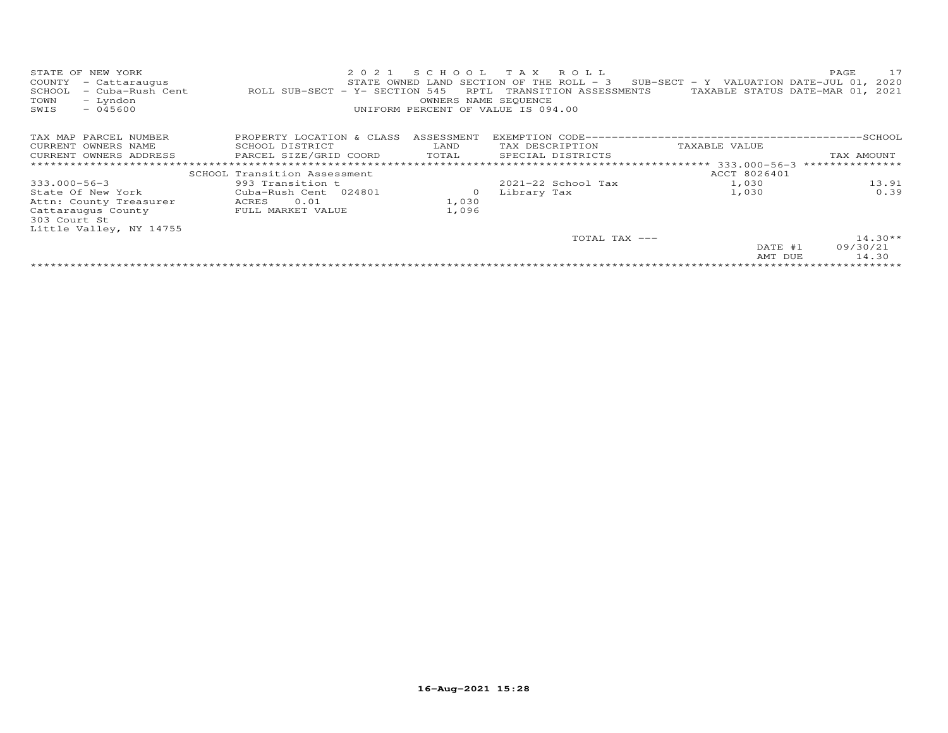| STATE OF<br>NEW YORK<br>COUNTY<br>- Cattaraugus<br>- Cuba-Rush Cent<br>SCHOOL<br>TOWN<br>- Lyndon<br>SWIS<br>$-045600$ | 2 0 2 1<br>ROLL SUB-SECT - Y- SECTION 545 | SCHOOL<br>RPTL<br>OWNERS NAME SEQUENCE | T A X<br>ROLL<br>STATE OWNED LAND SECTION OF THE ROLL $-$ 3<br>TRANSITION ASSESSMENTS<br>UNIFORM PERCENT OF VALUE IS 094.00 | $SUB-SECTION - Y$ VALUATION DATE-JUL 01,<br>TAXABLE STATUS DATE-MAR 01, 2021 | PAGE<br>17<br>2020 |  |  |  |  |
|------------------------------------------------------------------------------------------------------------------------|-------------------------------------------|----------------------------------------|-----------------------------------------------------------------------------------------------------------------------------|------------------------------------------------------------------------------|--------------------|--|--|--|--|
| TAX MAP PARCEL NUMBER                                                                                                  | PROPERTY LOCATION & CLASS                 | ASSESSMENT                             |                                                                                                                             |                                                                              |                    |  |  |  |  |
| CURRENT OWNERS NAME                                                                                                    | SCHOOL DISTRICT                           | LAND                                   | TAX DESCRIPTION                                                                                                             | TAXABLE VALUE                                                                |                    |  |  |  |  |
| CURRENT OWNERS ADDRESS                                                                                                 | PARCEL SIZE/GRID COORD                    | TOTAL                                  | SPECIAL DISTRICTS                                                                                                           |                                                                              | TAX AMOUNT         |  |  |  |  |
|                                                                                                                        | ****************************              |                                        |                                                                                                                             | ******************* 333.000-56-3                                             | ***************    |  |  |  |  |
|                                                                                                                        | SCHOOL Transition Assessment              |                                        |                                                                                                                             | ACCT 8026401                                                                 |                    |  |  |  |  |
| $333.000 - 56 - 3$                                                                                                     | 993 Transition t                          |                                        | $2021 - 22$ School Tax                                                                                                      | 1,030                                                                        | 13.91              |  |  |  |  |
| State Of New York                                                                                                      | Cuba-Rush Cent 024801                     | $\circ$                                | Library Tax                                                                                                                 | 1,030                                                                        | 0.39               |  |  |  |  |
| Attn: County Treasurer                                                                                                 | 0.01<br>ACRES                             | 1,030                                  |                                                                                                                             |                                                                              |                    |  |  |  |  |
| Cattaraugus County                                                                                                     | FULL MARKET VALUE                         | 1,096                                  |                                                                                                                             |                                                                              |                    |  |  |  |  |
| 303 Court St                                                                                                           |                                           |                                        |                                                                                                                             |                                                                              |                    |  |  |  |  |
| Little Valley, NY 14755                                                                                                |                                           |                                        |                                                                                                                             |                                                                              |                    |  |  |  |  |
|                                                                                                                        |                                           |                                        | TOTAL TAX ---                                                                                                               |                                                                              | $14.30**$          |  |  |  |  |
|                                                                                                                        |                                           |                                        |                                                                                                                             | DATE #1                                                                      | 09/30/21           |  |  |  |  |
|                                                                                                                        |                                           |                                        |                                                                                                                             | AMT DUE                                                                      | 14.30              |  |  |  |  |
|                                                                                                                        |                                           |                                        |                                                                                                                             |                                                                              |                    |  |  |  |  |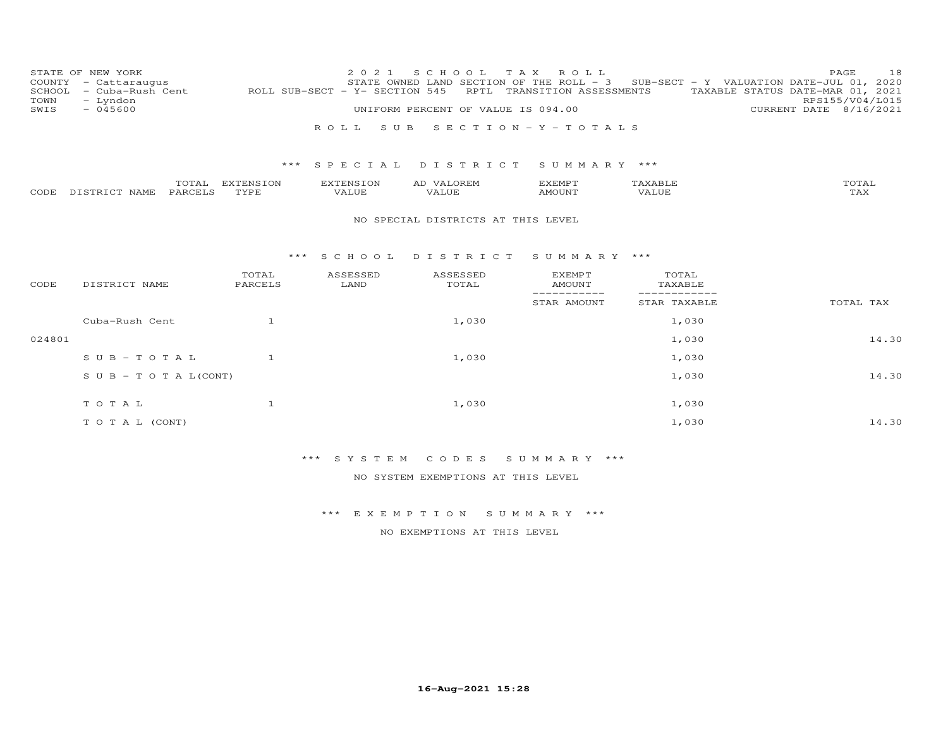| COUNTY<br>SCHOOL<br>TOWN | STATE OF NEW YORK<br>- Cattaraugus<br>- Cuba-Rush Cent<br>- Lyndon |                           | 2 0 2 1<br>ROLL SUB-SECT - Y- SECTION 545 | S C H O O L<br>STATE OWNED LAND SECTION OF THE ROLL - 3 | T A X<br>ROLL<br>RPTL TRANSITION ASSESSMENTS |                  | 18<br>PAGE<br>SUB-SECT - Y VALUATION DATE-JUL 01, 2020<br>TAXABLE STATUS DATE-MAR 01, 2021<br>RPS155/V04/L015 |
|--------------------------|--------------------------------------------------------------------|---------------------------|-------------------------------------------|---------------------------------------------------------|----------------------------------------------|------------------|---------------------------------------------------------------------------------------------------------------|
| SWIS                     | $-045600$                                                          |                           |                                           | UNIFORM PERCENT OF VALUE IS 094.00                      |                                              |                  | CURRENT DATE 8/16/2021                                                                                        |
|                          |                                                                    |                           | S U B<br>R O L L                          |                                                         | SECTION - Y - TOTALS                         |                  |                                                                                                               |
|                          |                                                                    | ***                       | SPECIAL                                   | DISTRICT                                                | SUMMARY ***                                  |                  |                                                                                                               |
|                          |                                                                    | TOTAL EXTENSION           | <b>EXTENSION</b>                          | AD VALOREM                                              | EXEMPT                                       | TAXABLE          | TOTAL                                                                                                         |
| CODE                     | PARCELS<br>DISTRICT NAME                                           | TYPE                      | VALUE                                     | <b>VALUE</b>                                            | AMOUNT                                       | <b>VALUE</b>     | TAX                                                                                                           |
|                          |                                                                    |                           |                                           | NO SPECIAL DISTRICTS AT THIS LEVEL                      |                                              |                  |                                                                                                               |
| CODE                     | DISTRICT NAME                                                      | * * *<br>TOTAL<br>PARCELS | ASSESSED<br>LAND                          | SCHOOL DISTRICT<br>ASSESSED<br>TOTAL                    | SUMMARY ***<br><b>EXEMPT</b><br>AMOUNT       | TOTAL<br>TAXABLE |                                                                                                               |
|                          |                                                                    |                           |                                           |                                                         | -----------<br>STAR AMOUNT                   | STAR TAXABLE     | TOTAL TAX                                                                                                     |
|                          | Cuba-Rush Cent                                                     | $\overline{1}$            |                                           | 1,030                                                   |                                              | 1,030            |                                                                                                               |
| 024801                   |                                                                    |                           |                                           |                                                         |                                              | 1,030            | 14.30                                                                                                         |
|                          | $SUB - TO T AL$                                                    | $\mathbf{1}$              |                                           | 1,030                                                   |                                              | 1,030            |                                                                                                               |
|                          | $S \cup B - T \cup T A L (CONT)$                                   |                           |                                           |                                                         |                                              | 1,030            | 14.30                                                                                                         |
|                          | TOTAL                                                              | $\mathbf{1}$              |                                           | 1,030                                                   |                                              | 1,030            |                                                                                                               |
|                          | TO TAL (CONT)                                                      |                           |                                           |                                                         |                                              | 1,030            | 14.30                                                                                                         |

\*\*\* S Y S T E M C O D E S S U M M A R Y \*\*\*

NO SYSTEM EXEMPTIONS AT THIS LEVEL

\*\*\* E X E M P T I O N S U M M A R Y \*\*\*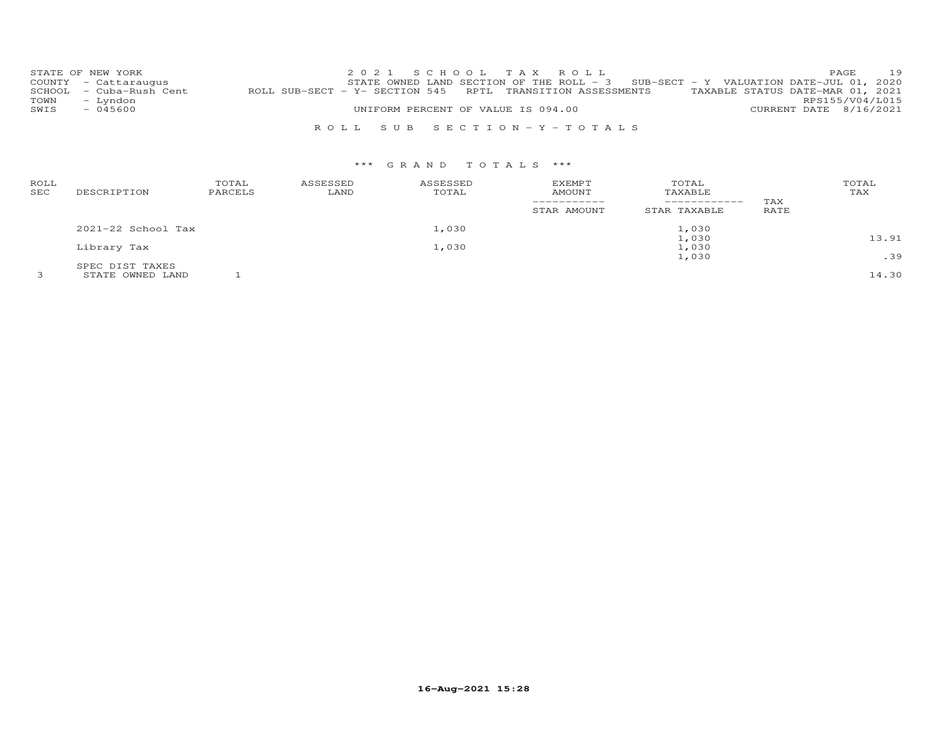|      | STATE OF NEW YORK       |                                                                                             | 2021 SCHOOL TAX ROLL      |                                    |  |                                                                                   |                        | PAGE | 19 |
|------|-------------------------|---------------------------------------------------------------------------------------------|---------------------------|------------------------------------|--|-----------------------------------------------------------------------------------|------------------------|------|----|
|      | COUNTY - Cattaraugus    |                                                                                             |                           |                                    |  | STATE OWNED LAND SECTION OF THE ROLL - 3 SUB-SECT - Y VALUATION DATE-JUL 01, 2020 |                        |      |    |
|      | SCHOOL - Cuba-Rush Cent | ROLL SUB-SECT - Y- SECTION 545 RPTL TRANSITION ASSESSMENTS TAXABLE STATUS DATE-MAR 01, 2021 |                           |                                    |  |                                                                                   |                        |      |    |
| TOWN | - Lyndon                |                                                                                             |                           |                                    |  |                                                                                   | RPS155/V04/L015        |      |    |
| SWIS | $-045600$               |                                                                                             |                           | UNIFORM PERCENT OF VALUE IS 094.00 |  |                                                                                   | CURRENT DATE 8/16/2021 |      |    |
|      |                         |                                                                                             |                           |                                    |  |                                                                                   |                        |      |    |
|      |                         |                                                                                             | ROLL SUB SECTION-Y-TOTALS |                                    |  |                                                                                   |                        |      |    |

| ROLL<br>SEC | DESCRIPTION        | TOTAL<br>PARCELS | ASSESSED<br>LAND | ASSESSED<br>TOTAL | <b>EXEMPT</b><br><b>AMOUNT</b><br>STAR AMOUNT | TOTAL<br>TAXABLE<br>------------<br>STAR TAXABLE | TAX<br>RATE | TOTAL<br>TAX |
|-------------|--------------------|------------------|------------------|-------------------|-----------------------------------------------|--------------------------------------------------|-------------|--------------|
|             | 2021-22 School Tax |                  |                  | 1,030             |                                               | 1,030                                            |             |              |
|             |                    |                  |                  |                   |                                               | 1,030                                            |             | 13.91        |
|             | Library Tax        |                  |                  | 1,030             |                                               | 1,030                                            |             |              |
|             |                    |                  |                  |                   |                                               | 1,030                                            |             | .39          |
|             | SPEC DIST TAXES    |                  |                  |                   |                                               |                                                  |             |              |
|             | STATE OWNED LAND   |                  |                  |                   |                                               |                                                  |             | 14.30        |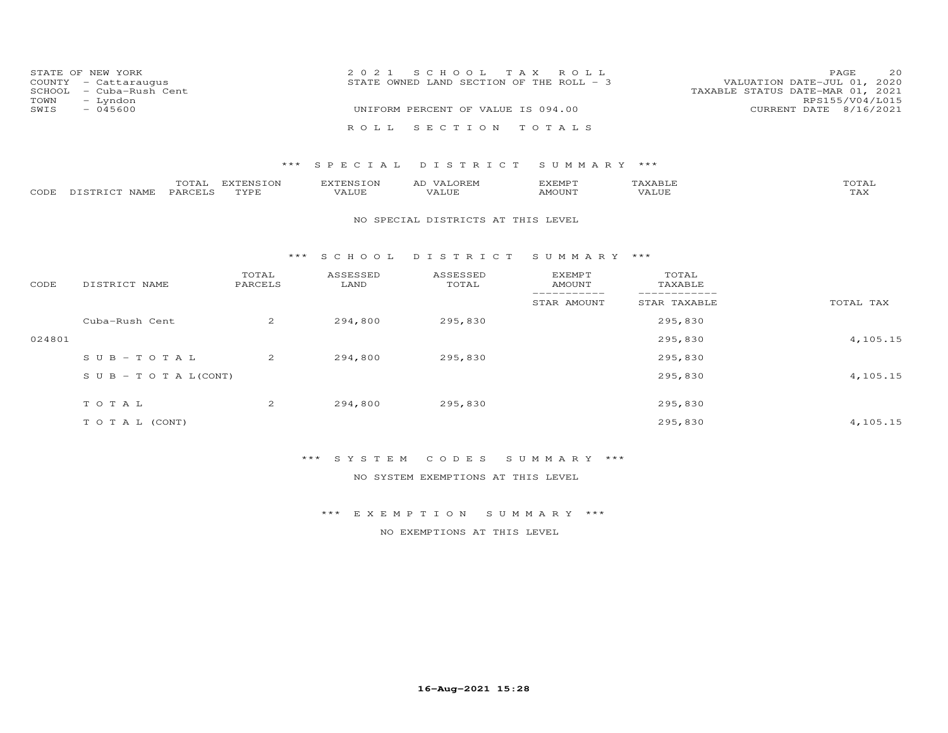|      | STATE OF NEW YORK       | 2021 SCHOOL TAX ROLL                                                    | PAGE            | 20 |
|------|-------------------------|-------------------------------------------------------------------------|-----------------|----|
|      | COUNTY - Cattaraugus    | VALUATION DATE-JUL 01, 2020<br>STATE OWNED LAND SECTION OF THE ROLL - 3 |                 |    |
|      | SCHOOL - Cuba-Rush Cent | TAXABLE STATUS DATE-MAR 01, 2021                                        |                 |    |
| TOWN | - Lyndon                |                                                                         | RPS155/V04/L015 |    |
| SWIS | $-045600$               | UNIFORM PERCENT OF VALUE IS 094.00<br>CURRENT DATE 8/16/2021            |                 |    |
|      |                         | ROLL SECTION TOTALS                                                     |                 |    |

## \*\*\* S P E C I A L D I S T R I C T S U M M A R Y \*\*\*

|      |                  | TOTAL          | <b>EXTENSION</b> | EXTENSION | VALOREM<br>AD        | <b>F.XF.MPT</b>    | TAXABLF | $T$ $\cap$ $\cap$ $T$<br>'O'I'AL |
|------|------------------|----------------|------------------|-----------|----------------------|--------------------|---------|----------------------------------|
| CODE | DISTRICT<br>NAME | <b>PARCELS</b> | <b>TVDL</b>      | VALUE     | ALUE -<br>$\sqrt{4}$ | AMOUN <sup>-</sup> |         | TAX                              |

#### NO SPECIAL DISTRICTS AT THIS LEVEL

#### \*\*\* S C H O O L D I S T R I C T S U M M A R Y \*\*\*

| CODE   | DISTRICT NAME                    | TOTAL<br>PARCELS | ASSESSED<br>LAND | ASSESSED<br>TOTAL | <b>EXEMPT</b><br>AMOUNT | TOTAL<br>TAXABLE |           |
|--------|----------------------------------|------------------|------------------|-------------------|-------------------------|------------------|-----------|
|        |                                  |                  |                  |                   | STAR AMOUNT             | STAR TAXABLE     | TOTAL TAX |
|        | Cuba-Rush Cent                   | 2                | 294,800          | 295,830           |                         | 295,830          |           |
| 024801 |                                  |                  |                  |                   |                         | 295,830          | 4,105.15  |
|        | SUB-TOTAL                        | $\overline{2}$   | 294,800          | 295,830           |                         | 295,830          |           |
|        | $S \cup B - T \cup T A L (CONT)$ |                  |                  |                   |                         | 295,830          | 4,105.15  |
|        | TOTAL                            | $\overline{2}$   | 294,800          | 295,830           |                         | 295,830          |           |
|        | T O T A L (CONT)                 |                  |                  |                   |                         | 295,830          | 4,105.15  |

# \*\*\* S Y S T E M C O D E S S U M M A R Y \*\*\*

NO SYSTEM EXEMPTIONS AT THIS LEVEL

\*\*\* E X E M P T I O N S U M M A R Y \*\*\*

NO EXEMPTIONS AT THIS LEVEL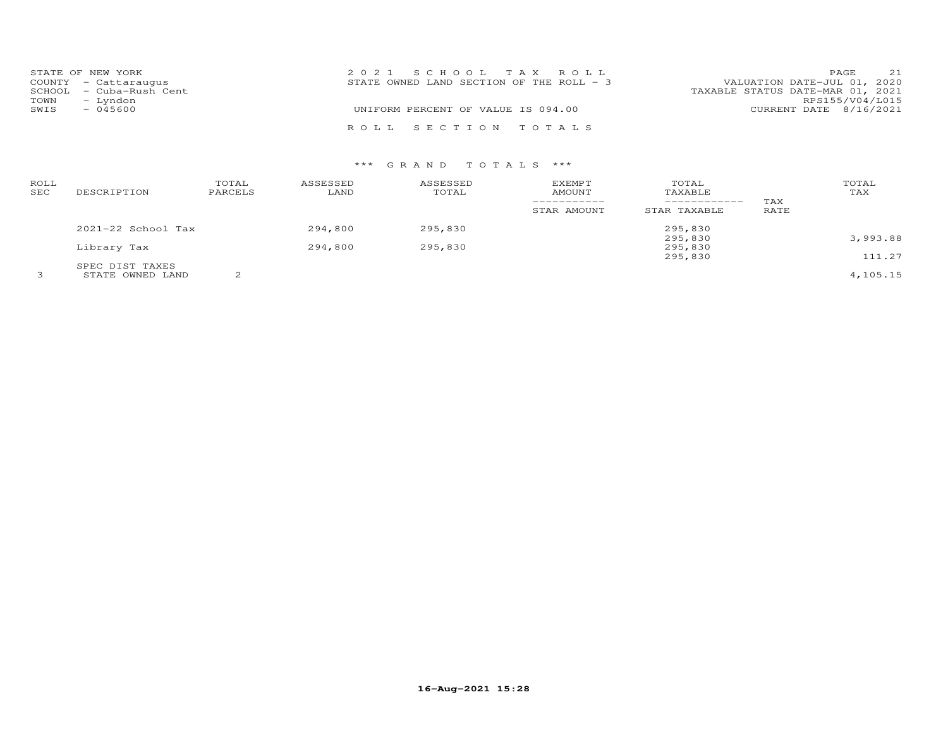|      | STATE OF NEW YORK       | 2021 SCHOOL TAX ROLL                     | 21<br>PAGE                       |
|------|-------------------------|------------------------------------------|----------------------------------|
|      | COUNTY - Cattaraugus    | STATE OWNED LAND SECTION OF THE ROLL - 3 | VALUATION DATE-JUL 01, 2020      |
|      | SCHOOL - Cuba-Rush Cent |                                          | TAXABLE STATUS DATE-MAR 01, 2021 |
| TOWN | - Lyndon                |                                          | RPS155/V04/L015                  |
| SWIS | $-045600$               | UNIFORM PERCENT OF VALUE IS 094.00       | CURRENT DATE 8/16/2021           |
|      |                         | ROLL SECTION TOTALS                      |                                  |

# \*\*\* G R A N D T O T A L S \*\*\*

| ROLL<br>SEC | DESCRIPTION            | TOTAL<br>PARCELS | ASSESSED<br>LAND | ASSESSED<br>TOTAL | <b>EXEMPT</b><br>AMOUNT<br>-----------<br>STAR AMOUNT | TOTAL<br>TAXABLE<br>------------<br>STAR TAXABLE | TAX<br>RATE | TOTAL<br>TAX |
|-------------|------------------------|------------------|------------------|-------------------|-------------------------------------------------------|--------------------------------------------------|-------------|--------------|
|             | $2021 - 22$ School Tax |                  | 294,800          | 295,830           |                                                       | 295,830                                          |             |              |
|             |                        |                  |                  |                   |                                                       | 295,830                                          |             | 3,993.88     |
|             | Library Tax            |                  | 294,800          | 295,830           |                                                       | 295,830                                          |             |              |
|             |                        |                  |                  |                   |                                                       | 295,830                                          |             | 111.27       |
|             | SPEC DIST TAXES        |                  |                  |                   |                                                       |                                                  |             |              |
|             | STATE OWNED LAND       | ⌒                |                  |                   |                                                       |                                                  |             | 4,105.15     |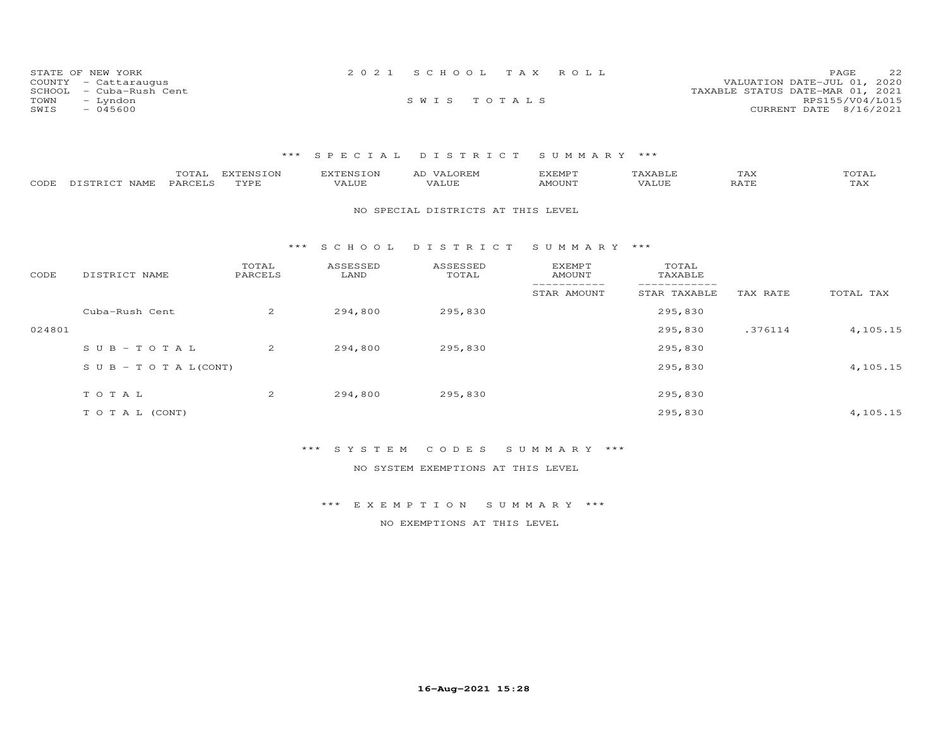| STATE OF NEW YORK          | 2021 SCHOOL TAX ROLL |  | 22<br>PAGE.                      |
|----------------------------|----------------------|--|----------------------------------|
| COUNTY - Cattaraugus       |                      |  | VALUATION DATE-JUL 01, 2020      |
| SCHOOL<br>– Cuba-Rush Cent |                      |  | TAXABLE STATUS DATE-MAR 01, 2021 |
| TOWN<br>– Lyndon           | SWIS TOTALS          |  | RPS155/V04/L015                  |
| SWIS<br>$-045600$          |                      |  | CURRENT DATE 8/16/2021           |

## \*\*\* S P E C I A L D I S T R I C T S U M M A R Y \*\*\*

| CODE   | TOTAL<br>PARCELS<br>DISTRICT NAME | <b>EXTENSION</b><br>TYPE | <b>EXTENSION</b><br>VALUE | AD VALOREM<br>VALUE                | <b>EXEMPT</b><br><b>AMOUNT</b> | TAXABLE<br>VALUE | TAX<br>RATE | TOTAL<br>TAX |
|--------|-----------------------------------|--------------------------|---------------------------|------------------------------------|--------------------------------|------------------|-------------|--------------|
|        |                                   |                          |                           | NO SPECIAL DISTRICTS AT THIS LEVEL |                                |                  |             |              |
|        |                                   | ***                      | S C H O O L               | DISTRICT                           | SUMMARY ***                    |                  |             |              |
| CODE   | DISTRICT NAME                     | TOTAL<br>PARCELS         | ASSESSED<br>LAND          | ASSESSED<br>TOTAL                  | EXEMPT<br>AMOUNT               | TOTAL<br>TAXABLE |             |              |
|        |                                   |                          |                           |                                    | STAR AMOUNT                    | STAR TAXABLE     | TAX RATE    | TOTAL TAX    |
|        | Cuba-Rush Cent                    | 2                        | 294,800                   | 295,830                            |                                | 295,830          |             |              |
| 024801 |                                   |                          |                           |                                    |                                | 295,830          | .376114     | 4,105.15     |
|        | $S \cup B - TO T A L$             | 2                        | 294,800                   | 295,830                            |                                | 295,830          |             |              |
|        | S U B - T O T A $L$ (CONT)        |                          |                           |                                    |                                | 295,830          |             | 4,105.15     |
|        | TOTAL                             | $\overline{2}$           | 294,800                   | 295,830                            |                                | 295,830          |             |              |
|        | T O T A L (CONT)                  |                          |                           |                                    |                                | 295,830          |             | 4,105.15     |

#### \*\*\* S Y S T E M C O D E S S U M M A R Y \*\*\*

NO SYSTEM EXEMPTIONS AT THIS LEVEL

## \*\*\* E X E M P T I O N S U M M A R Y \*\*\*

NO EXEMPTIONS AT THIS LEVEL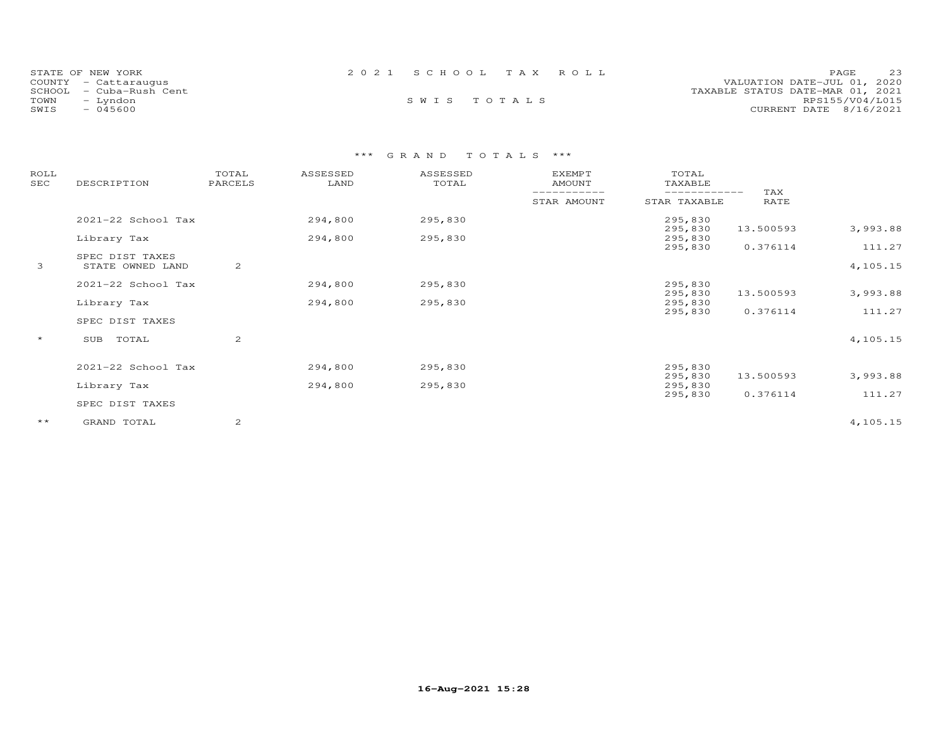| STATE OF NEW YORK<br>COUNTY - Cattaraugus | 2021 SCHOOL TAX ROLL | 23<br>PAGE.<br>VALUATION DATE-JUL 01, 2020 |
|-------------------------------------------|----------------------|--------------------------------------------|
| SCHOOL - Cuba-Rush Cent                   |                      | TAXABLE STATUS DATE-MAR 01, 2021           |
| TOWN<br>- Lyndon                          | SWIS TOTALS          | RPS155/V04/L015                            |
| $-045600$<br>SWIS                         |                      | CURRENT DATE 8/16/2021                     |

# \*\*\* G R A N D T O T A L S \*\*\*

| ROLL<br>SEC  | DESCRIPTION                         | TOTAL<br>PARCELS | ASSESSED<br>LAND | ASSESSED<br>TOTAL | <b>EXEMPT</b><br><b>AMOUNT</b> | TOTAL<br>TAXABLE             |             |          |
|--------------|-------------------------------------|------------------|------------------|-------------------|--------------------------------|------------------------------|-------------|----------|
|              |                                     |                  |                  |                   | STAR AMOUNT                    | ------------<br>STAR TAXABLE | TAX<br>RATE |          |
|              | 2021-22 School Tax                  |                  | 294,800          | 295,830           |                                | 295,830                      |             |          |
|              | Library Tax                         |                  | 294,800          | 295,830           |                                | 295,830<br>295,830           | 13.500593   | 3,993.88 |
|              |                                     |                  |                  |                   |                                | 295,830                      | 0.376114    | 111.27   |
| 3            | SPEC DIST TAXES<br>STATE OWNED LAND | 2                |                  |                   |                                |                              |             | 4,105.15 |
|              | 2021-22 School Tax                  |                  | 294,800          | 295,830           |                                | 295,830                      |             |          |
|              |                                     |                  |                  |                   |                                | 295,830                      | 13.500593   | 3,993.88 |
|              | Library Tax                         |                  | 294,800          | 295,830           |                                | 295,830                      |             |          |
|              | SPEC DIST TAXES                     |                  |                  |                   |                                | 295,830                      | 0.376114    | 111.27   |
| $\star$      | TOTAL<br>SUB                        | 2                |                  |                   |                                |                              |             | 4,105.15 |
|              |                                     |                  |                  |                   |                                |                              |             |          |
|              | 2021-22 School Tax                  |                  | 294,800          | 295,830           |                                | 295,830                      |             |          |
|              |                                     |                  |                  |                   |                                | 295,830                      | 13.500593   | 3,993.88 |
|              | Library Tax                         |                  | 294,800          | 295,830           |                                | 295,830                      |             |          |
|              |                                     |                  |                  |                   |                                | 295,830                      | 0.376114    | 111.27   |
|              | SPEC DIST TAXES                     |                  |                  |                   |                                |                              |             |          |
| $\star\star$ | GRAND TOTAL                         | 2                |                  |                   |                                |                              |             | 4,105.15 |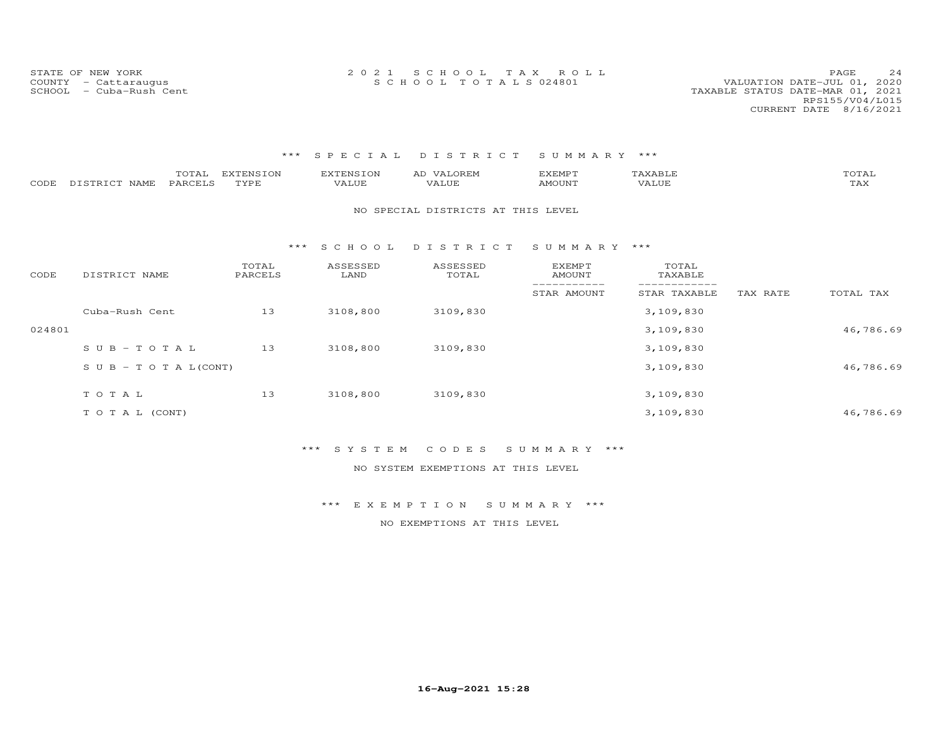STATE OF NEW YORK 2 0 2 1 S C H O O L T A X R O L L PAGE 24COUNTY - Cattaraugus S C H O O L T O T A L S 024801 VALUATION DATE-JUL 01, 2020

VALUATION DATE-JUL 01, 2020

# \*\*\* S P E C I A L D I S T R I C T S U M M A R Y \*\*\*

 RPS155/V04/L015CURRENT DATE 8/16/2021

| CODE   | TOTAL<br>PARCELS<br>DISTRICT NAME | <b>EXTENSION</b><br>TYPE | <b>EXTENSION</b><br>VALUE | AD VALOREM<br>VALUE                | <b>EXEMPT</b><br>AMOUNT | TAXABLE<br>VALUE |          | TOTAL<br>TAX |
|--------|-----------------------------------|--------------------------|---------------------------|------------------------------------|-------------------------|------------------|----------|--------------|
|        |                                   |                          |                           | NO SPECIAL DISTRICTS AT THIS LEVEL |                         |                  |          |              |
|        |                                   | ***                      | SCHOOL                    | DISTRICT                           | SUMMARY ***             |                  |          |              |
| CODE   | DISTRICT NAME                     | TOTAL<br>PARCELS         | ASSESSED<br>LAND          | ASSESSED<br>TOTAL                  | EXEMPT<br><b>AMOUNT</b> | TOTAL<br>TAXABLE |          |              |
|        |                                   |                          |                           |                                    | STAR AMOUNT             | STAR TAXABLE     | TAX RATE | TOTAL TAX    |
|        | Cuba-Rush Cent                    | 13                       | 3108,800                  | 3109,830                           |                         | 3,109,830        |          |              |
| 024801 |                                   |                          |                           |                                    |                         | 3,109,830        |          | 46,786.69    |
|        | $SUB - TO T AL$                   | 13                       | 3108,800                  | 3109,830                           |                         | 3,109,830        |          |              |
|        | S U B - T O T A $L$ (CONT)        |                          |                           |                                    |                         | 3,109,830        |          | 46,786.69    |
|        | TOTAL                             | 13                       | 3108,800                  | 3109,830                           |                         | 3,109,830        |          |              |
|        |                                   |                          |                           |                                    |                         |                  |          |              |
|        | TO TAL (CONT)                     |                          |                           |                                    |                         | 3,109,830        |          | 46,786.69    |

#### \*\*\* S Y S T E M C O D E S S U M M A R Y \*\*\*

NO SYSTEM EXEMPTIONS AT THIS LEVEL

#### \*\*\* E X E M P T I O N S U M M A R Y \*\*\*

NO EXEMPTIONS AT THIS LEVEL